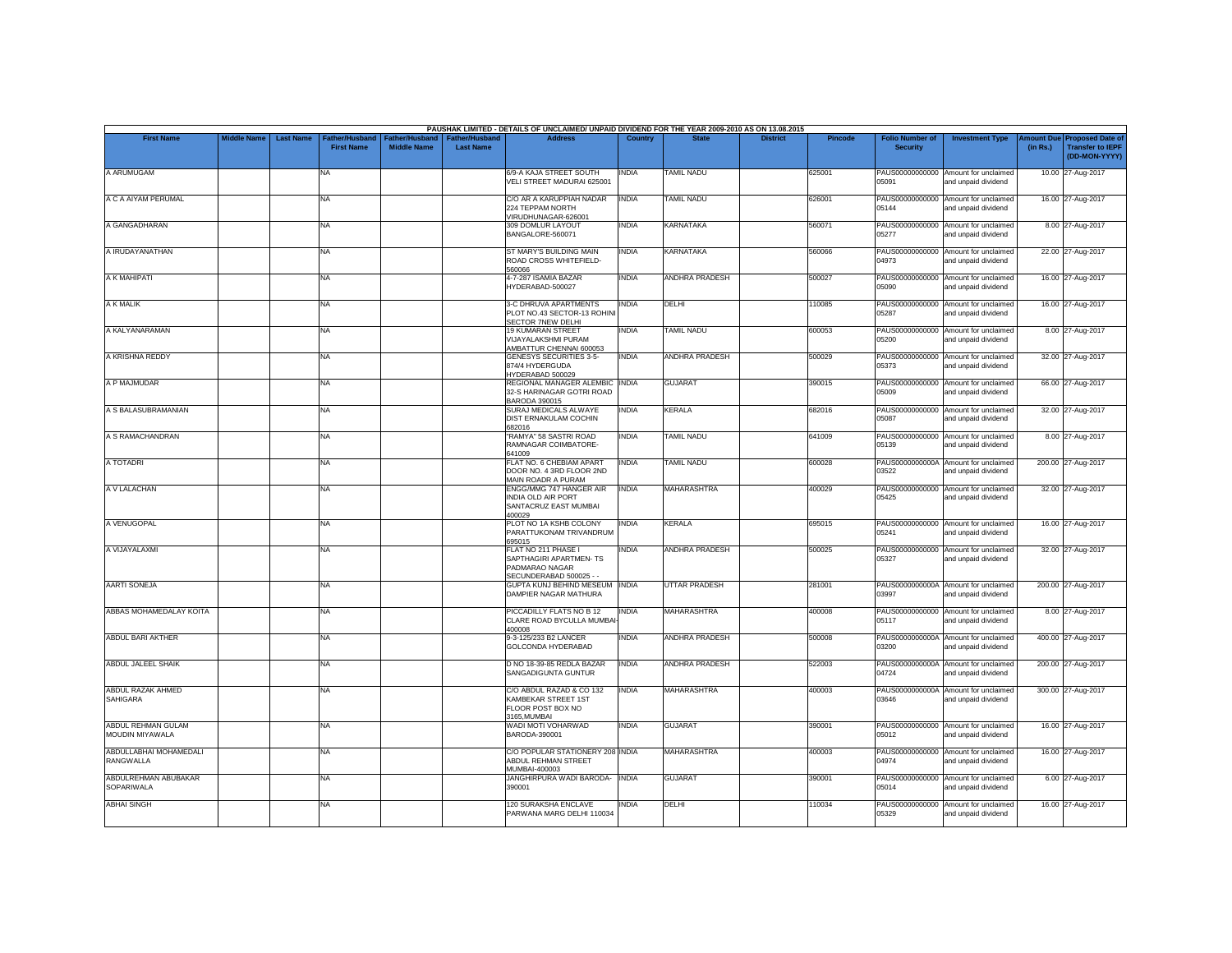|                                       |                    |                  |                                            |                                             |                                           | PAUSHAK LIMITED - DETAILS OF UNCLAIMED/ UNPAID DIVIDEND FOR THE YEAR 2009-2010 AS ON 13.08.2015 |              |                       |                 |         |                                           |                                                             |          |                                                                                |
|---------------------------------------|--------------------|------------------|--------------------------------------------|---------------------------------------------|-------------------------------------------|-------------------------------------------------------------------------------------------------|--------------|-----------------------|-----------------|---------|-------------------------------------------|-------------------------------------------------------------|----------|--------------------------------------------------------------------------------|
| <b>First Name</b>                     | <b>Middle Name</b> | <b>Last Name</b> | <b>Father/Husband</b><br><b>First Name</b> | <b>Father/Husband</b><br><b>Middle Name</b> | <b>Father/Husband</b><br><b>Last Name</b> | <b>Address</b>                                                                                  | Country      | <b>State</b>          | <b>District</b> | Pincode | <b>Folio Number of</b><br><b>Security</b> | <b>Investment Type</b>                                      | (in Rs.) | <b>Amount Due Proposed Date of</b><br><b>Transfer to IEPF</b><br>(DD-MON-YYYY) |
| A ARUMUGAM                            |                    |                  | <b>NA</b>                                  |                                             |                                           | 6/9-A KAJA STREET SOUTH<br>VELI STREET MADURAI 625001                                           | INDIA        | <b>TAMIL NADU</b>     |                 | 625001  | 05091                                     | PAUS00000000000 Amount for unclaimed<br>and unpaid dividend |          | 10.00 27-Aug-2017                                                              |
| A C A AIYAM PERUMAL                   |                    |                  | <b>NA</b>                                  |                                             |                                           | C/O AR A KARUPPIAH NADAR<br>224 TEPPAM NORTH<br>VIRUDHUNAGAR-626001                             | <b>INDIA</b> | <b>TAMIL NADU</b>     |                 | 626001  | PAUS00000000000<br>05144                  | Amount for unclaimed<br>and unpaid dividend                 |          | 16.00 27-Aug-2017                                                              |
| A GANGADHARAN                         |                    |                  | <b>NA</b>                                  |                                             |                                           | 309 DOMLUR LAYOUT<br>BANGALORE-560071                                                           | <b>INDIA</b> | <b>KARNATAKA</b>      |                 | 560071  | 05277                                     | PAUS00000000000 Amount for unclaimed<br>and unpaid dividend |          | 8.00 27-Aug-2017                                                               |
| A IRUDAYANATHAN                       |                    |                  | NA                                         |                                             |                                           | ST MARY'S BUILDING MAIN<br>ROAD CROSS WHITEFIELD-<br>560066                                     | <b>INDIA</b> | <b>KARNATAKA</b>      |                 | 560066  | 04973                                     | PAUS00000000000 Amount for unclaimed<br>and unpaid dividend |          | 22.00 27-Aug-2017                                                              |
| A K MAHIPATI                          |                    |                  | <b>NA</b>                                  |                                             |                                           | 4-7-287 ISAMIA BAZAR<br>HYDERABAD-500027                                                        | INDIA        | ANDHRA PRADESH        |                 | 500027  | 05090                                     | PAUS00000000000 Amount for unclaimed<br>and unpaid dividend |          | 16.00 27-Aug-2017                                                              |
| A K MALIK                             |                    |                  | <b>NA</b>                                  |                                             |                                           | 3-C DHRUVA APARTMENTS<br>PLOT NO.43 SECTOR-13 ROHIN<br>SECTOR 7NEW DELHI                        | <b>INDIA</b> | DELHI                 |                 | 110085  | 05287                                     | PAUS00000000000 Amount for unclaimed<br>and unpaid dividend |          | 16.00 27-Aug-2017                                                              |
| A KALYANARAMAN                        |                    |                  | <b>NA</b>                                  |                                             |                                           | <b>19 KUMARAN STREET</b><br><b>VIJAYALAKSHMI PURAM</b><br>AMBATTUR CHENNAI 600053               | <b>INDIA</b> | <b>TAMIL NADU</b>     |                 | 600053  | PAUS00000000000<br>05200                  | Amount for unclaimed<br>and unpaid dividend                 |          | 8.00 27-Aug-2017                                                               |
| A KRISHNA REDDY                       |                    |                  | <b>NA</b>                                  |                                             |                                           | GENESYS SECURITIES 3-5-<br>874/4 HYDERGUDA<br>HYDERABAD 500029                                  | <b>INDIA</b> | <b>ANDHRA PRADESH</b> |                 | 500029  | 05373                                     | PAUS00000000000 Amount for unclaimed<br>and unpaid dividend |          | 32.00 27-Aug-2017                                                              |
| A P MAJMUDAR                          |                    |                  | <b>NA</b>                                  |                                             |                                           | REGIONAL MANAGER ALEMBIC INDIA<br>32-S HARINAGAR GOTRI ROAD<br>BARODA 390015                    |              | <b>GUJARAT</b>        |                 | 390015  | 05009                                     | PAUS00000000000 Amount for unclaimed<br>and unpaid dividend |          | 66.00 27-Aug-2017                                                              |
| A S BALASUBRAMANIAN                   |                    |                  | <b>NA</b>                                  |                                             |                                           | SURAJ MEDICALS ALWAYE<br>DIST ERNAKULAM COCHIN<br>682016                                        | INDIA        | <b>KERALA</b>         |                 | 682016  | 05087                                     | PAUS00000000000 Amount for unclaimed<br>and unpaid dividend |          | 32.00 27-Aug-2017                                                              |
| A S RAMACHANDRAN                      |                    |                  | <b>NA</b>                                  |                                             |                                           | "RAMYA" 58 SASTRI ROAD<br>RAMNAGAR COIMBATORE-<br>641009                                        | INDIA        | <b>TAMIL NADU</b>     |                 | 641009  | 05139                                     | PAUS00000000000 Amount for unclaimed<br>and unpaid dividend |          | 8.00 27-Aug-2017                                                               |
| A TOTADRI                             |                    |                  | <b>NA</b>                                  |                                             |                                           | FLAT NO. 6 CHEBIAM APART<br>DOOR NO. 4 3RD FLOOR 2ND<br>MAIN ROADR A PURAM                      | INDIA        | <b>TAMIL NADU</b>     |                 | 600028  | PAUS0000000000A<br>03522                  | Amount for unclaimed<br>and unpaid dividend                 |          | 200.00 27-Aug-2017                                                             |
| A V LALACHAN                          |                    |                  | <b>NA</b>                                  |                                             |                                           | ENGG/MMG 747 HANGER AIR<br>INDIA OLD AIR PORT<br>SANTACRUZ EAST MUMBAI<br>400029                | <b>INDIA</b> | MAHARASHTRA           |                 | 400029  | 05425                                     | PAUS00000000000 Amount for unclaimed<br>and unpaid dividend |          | 32.00 27-Aug-2017                                                              |
| A VENUGOPAL                           |                    |                  | <b>NA</b>                                  |                                             |                                           | PLOT NO 1A KSHB COLONY<br>PARATTUKONAM TRIVANDRUM<br>695015                                     | INDIA        | <b>KERALA</b>         |                 | 695015  | PAUS00000000000<br>05241                  | Amount for unclaimed<br>and unpaid dividend                 |          | 16.00 27-Aug-2017                                                              |
| A VIJAYALAXMI                         |                    |                  | <b>NA</b>                                  |                                             |                                           | FLAT NO 211 PHASE I<br>SAPTHAGIRI APARTMEN- TS<br>PADMARAO NAGAR<br>SECUNDERABAD 500025 - -     | <b>INDIA</b> | ANDHRA PRADESH        |                 | 500025  | 05327                                     | PAUS00000000000 Amount for unclaimed<br>and unpaid dividend |          | 32.00 27-Aug-2017                                                              |
| <b>AARTI SONEJA</b>                   |                    |                  | <b>NA</b>                                  |                                             |                                           | GUPTA KUNJ BEHIND MESEUM INDIA<br>DAMPIER NAGAR MATHURA                                         |              | <b>UTTAR PRADESH</b>  |                 | 281001  | 03997                                     | PAUS0000000000A Amount for unclaimed<br>and unpaid dividend |          | 200.00 27-Aug-2017                                                             |
| ABBAS MOHAMEDALAY KOITA               |                    |                  | <b>NA</b>                                  |                                             |                                           | PICCADILLY FLATS NO B 12<br>CLARE ROAD BYCULLA MUMBA<br>400008                                  | <b>INDIA</b> | <b>MAHARASHTRA</b>    |                 | 400008  | 05117                                     | PAUS00000000000 Amount for unclaimed<br>and unpaid dividend |          | 8.00 27-Aug-2017                                                               |
| ABDUL BARI AKTHER                     |                    |                  | <b>NA</b>                                  |                                             |                                           | 9-3-125/233 B2 LANCER<br>GOLCONDA HYDERABAD                                                     | INDIA        | <b>ANDHRA PRADESH</b> |                 | 500008  | 03200                                     | PAUS0000000000A Amount for unclaimed<br>and unpaid dividend |          | 400.00 27-Aug-2017                                                             |
| <b>ABDUL JALEEL SHAIK</b>             |                    |                  | <b>NA</b>                                  |                                             |                                           | D NO 18-39-85 REDLA BAZAR<br>SANGADIGUNTA GUNTUR                                                | <b>INDIA</b> | <b>ANDHRA PRADESH</b> |                 | 522003  | PAUS0000000000A<br>04724                  | Amount for unclaimed<br>and unpaid dividend                 |          | 200.00 27-Aug-2017                                                             |
| ABDUL RAZAK AHMED<br><b>SAHIGARA</b>  |                    |                  | <b>NA</b>                                  |                                             |                                           | C/O ABDUL RAZAD & CO 132<br>KAMBEKAR STREET 1ST<br>FLOOR POST BOX NO<br>3165, MUMBAI            | <b>INDIA</b> | <b>MAHARASHTRA</b>    |                 | 400003  | 03646                                     | PAUS0000000000A Amount for unclaimed<br>and unpaid dividend |          | 300.00 27-Aug-2017                                                             |
| ABDUL REHMAN GULAM<br>MOUDIN MIYAWALA |                    |                  | <b>NA</b>                                  |                                             |                                           | WADI MOTI VOHARWAD<br>BARODA-390001                                                             | INDIA        | <b>GUJARAT</b>        |                 | 390001  | 05012                                     | PAUS00000000000 Amount for unclaimed<br>and unpaid dividend |          | 16.00 27-Aug-2017                                                              |
| ABDULLABHAI MOHAMEDALI<br>RANGWALLA   |                    |                  | <b>NA</b>                                  |                                             |                                           | C/O POPULAR STATIONERY 208 INDIA<br>ABDUL REHMAN STREET<br>MUMBAI-400003                        |              | MAHARASHTRA           |                 | 400003  | 04974                                     | PAUS00000000000 Amount for unclaimed<br>and unpaid dividend |          | 16.00 27-Aug-2017                                                              |
| ABDULREHMAN ABUBAKAR<br>SOPARIWALA    |                    |                  | <b>NA</b>                                  |                                             |                                           | JANGHIRPURA WADI BARODA-<br>390001                                                              | <b>INDIA</b> | <b>GUJARAT</b>        |                 | 390001  | 05014                                     | PAUS00000000000 Amount for unclaimed<br>and unpaid dividend |          | 6.00 27-Aug-2017                                                               |
| <b>ABHAI SINGH</b>                    |                    |                  | <b>NA</b>                                  |                                             |                                           | 120 SURAKSHA ENCLAVE<br>PARWANA MARG DELHI 110034                                               | INDIA        | DELHI                 |                 | 110034  | PAUS00000000000<br>05329                  | Amount for unclaimed<br>and unpaid dividend                 |          | 16.00 27-Aug-2017                                                              |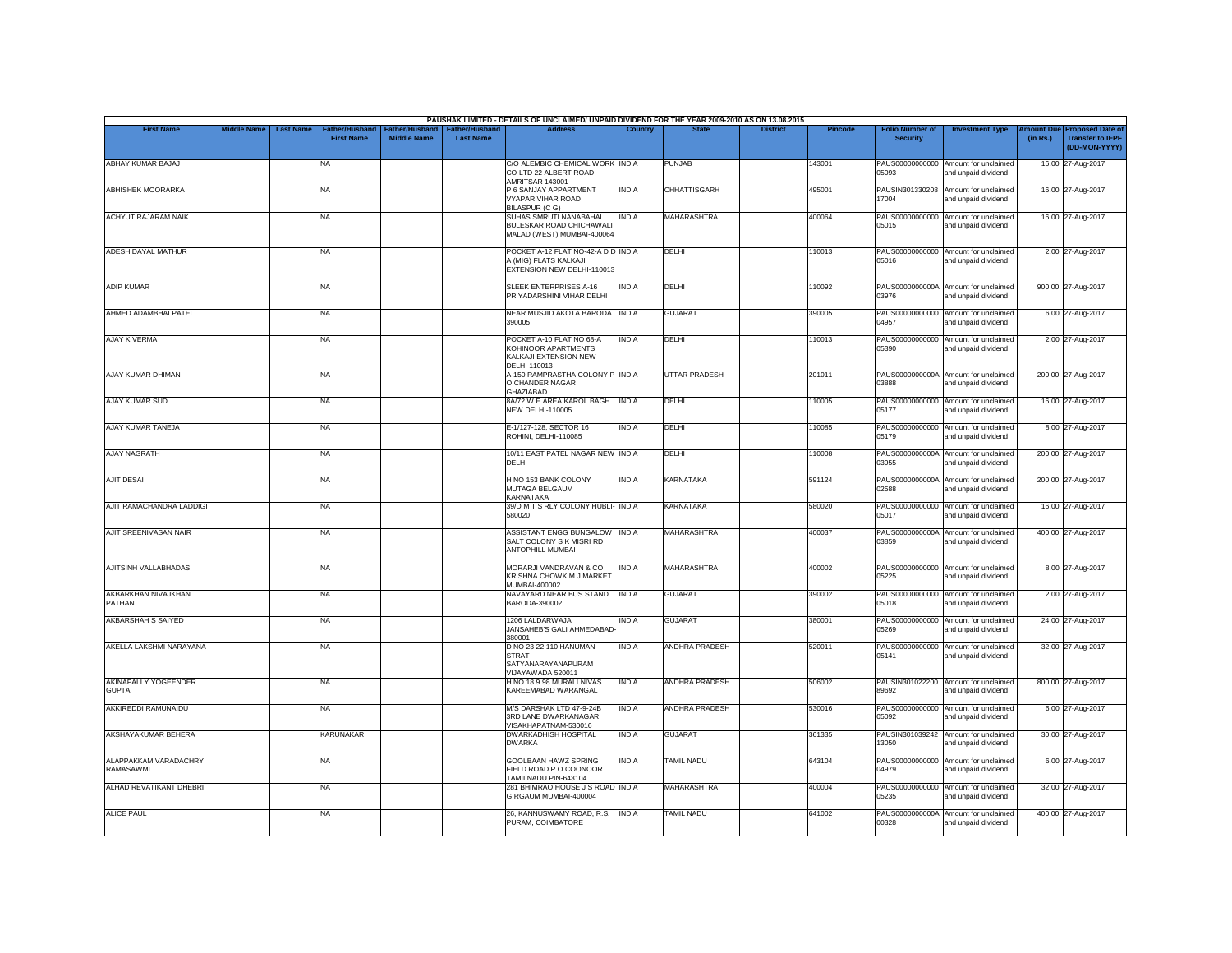|                                           |                    |                                                        |                                      |                                           | PAUSHAK LIMITED - DETAILS OF UNCLAIMED/ UNPAID DIVIDEND FOR THE YEAR 2009-2010 AS ON 13.08.2015 |              |                       |                 |                |                                           |                                                             |                       |                                                                     |
|-------------------------------------------|--------------------|--------------------------------------------------------|--------------------------------------|-------------------------------------------|-------------------------------------------------------------------------------------------------|--------------|-----------------------|-----------------|----------------|-------------------------------------------|-------------------------------------------------------------|-----------------------|---------------------------------------------------------------------|
| <b>First Name</b>                         | <b>Middle Name</b> | <b>Last Name</b><br>ather/Husband<br><b>First Name</b> | Father/Husband<br><b>Middle Name</b> | <b>Father/Husband</b><br><b>Last Name</b> | <b>Address</b>                                                                                  | Country      | <b>State</b>          | <b>District</b> | <b>Pincode</b> | <b>Folio Number of</b><br><b>Security</b> | <b>Investment Type</b>                                      | mount Due<br>(in Rs.) | <b>Proposed Date of</b><br><b>Transfer to IEPF</b><br>(DD-MON-YYYY) |
| ABHAY KUMAR BAJAJ                         |                    | NA                                                     |                                      |                                           | C/O ALEMBIC CHEMICAL WORK INDIA<br>CO LTD 22 ALBERT ROAD<br>AMRITSAR 143001                     |              | PUNJAB                |                 | 143001         | PAUS00000000000<br>05093                  | Amount for unclaimed<br>and unpaid dividend                 |                       | 16.00 27-Aug-2017                                                   |
| <b>ABHISHEK MOORARKA</b>                  |                    | <b>NA</b>                                              |                                      |                                           | P 6 SANJAY APPARTMENT<br>VYAPAR VIHAR ROAD<br>BILASPUR (CG)                                     | <b>INDIA</b> | <b>CHHATTISGARH</b>   |                 | 495001         | 17004                                     | PAUSIN301330208 Amount for unclaimed<br>and unpaid dividend |                       | 16.00 27-Aug-2017                                                   |
| <b>ACHYUT RAJARAM NAIK</b>                |                    | NA                                                     |                                      |                                           | SUHAS SMRUTI NANABAHAI<br>BULESKAR ROAD CHICHAWALI<br>MALAD (WEST) MUMBAI-400064                | <b>INDIA</b> | <b>MAHARASHTRA</b>    |                 | 400064         | PAUS00000000000<br>05015                  | Amount for unclaimed<br>and unpaid dividend                 |                       | 16.00 27-Aug-2017                                                   |
| <b>ADESH DAYAL MATHUR</b>                 |                    | <b>NA</b>                                              |                                      |                                           | POCKET A-12 FLAT NO-42-A D D INDIA<br>A (MIG) FLATS KALKAJI<br>EXTENSION NEW DELHI-110013       |              | DELHI                 |                 | 110013         | 05016                                     | PAUS00000000000 Amount for unclaimed<br>and unpaid dividend |                       | 2.00 27-Aug-2017                                                    |
| <b>ADIP KUMAR</b>                         |                    | <b>NA</b>                                              |                                      |                                           | <b>SLEEK ENTERPRISES A-16</b><br>PRIYADARSHINI VIHAR DELHI                                      | <b>INDIA</b> | DELHI                 |                 | 110092         | 03976                                     | PAUS0000000000A Amount for unclaimed<br>and unpaid dividend |                       | 900.00 27-Aug-2017                                                  |
| AHMED ADAMBHAI PATEL                      |                    | NA                                                     |                                      |                                           | NEAR MUSJID AKOTA BARODA<br>390005                                                              | <b>INDIA</b> | <b>GUJARAT</b>        |                 | 390005         | PAUS00000000000<br>04957                  | Amount for unclaimed<br>and unpaid dividend                 |                       | 6.00 27-Aug-2017                                                    |
| AJAY K VERMA                              |                    | <b>NA</b>                                              |                                      |                                           | POCKET A-10 FLAT NO 68-A<br>KOHINOOR APARTMENTS<br>KALKAJI EXTENSION NEW<br>DELHI 110013        | <b>INDIA</b> | DELHI                 |                 | 110013         | 05390                                     | PAUS00000000000 Amount for unclaimed<br>and unpaid dividend |                       | 2.00 27-Aug-2017                                                    |
| AJAY KUMAR DHIMAN                         |                    | NA                                                     |                                      |                                           | A-150 RAMPRASTHA COLONY P INDIA<br>O CHANDER NAGAR<br><b>GHAZIABAD</b>                          |              | <b>UTTAR PRADESH</b>  |                 | 201011         | <b>CRRR0</b>                              | PAUS0000000000A Amount for unclaimed<br>and unpaid dividend |                       | 200.00 27-Aug-2017                                                  |
| AJAY KUMAR SUD                            |                    | <b>NA</b>                                              |                                      |                                           | 8A/72 W E AREA KAROL BAGH<br><b>NEW DELHI-110005</b>                                            | <b>INDIA</b> | DELHI                 |                 | 110005         | 05177                                     | PAUS00000000000 Amount for unclaimed<br>and unpaid dividend |                       | 16.00 27-Aug-2017                                                   |
| <b>AJAY KUMAR TANEJA</b>                  |                    | <b>NA</b>                                              |                                      |                                           | E-1/127-128, SECTOR 16<br>ROHINI, DELHI-110085                                                  | <b>INDIA</b> | DELHI                 |                 | 110085         | 05179                                     | PAUS00000000000 Amount for unclaimed<br>and unpaid dividend |                       | 8.00 27-Aug-2017                                                    |
| <b>AJAY NAGRATH</b>                       |                    | <b>NA</b>                                              |                                      |                                           | 10/11 EAST PATEL NAGAR NEW INDIA<br>DELHI                                                       |              | DELHI                 |                 | 110008         | 03955                                     | PAUS0000000000A Amount for unclaimed<br>and unpaid dividend |                       | 200.00 27-Aug-2017                                                  |
| <b>AJIT DESAI</b>                         |                    | <b>NA</b>                                              |                                      |                                           | H NO 153 BANK COLONY<br>MUTAGA BELGAUM<br>KARNATAKA                                             | <b>INDIA</b> | <b>KARNATAKA</b>      |                 | 591124         | 02588                                     | PAUS0000000000A Amount for unclaimed<br>and unpaid dividend |                       | 200.00 27-Aug-2017                                                  |
| AJIT RAMACHANDRA LADDIGI                  |                    | <b>NA</b>                                              |                                      |                                           | 39/D M T S RLY COLONY HUBLI- INDIA<br>580020                                                    |              | <b>KARNATAKA</b>      |                 | 580020         | PAUS00000000000<br>05017                  | Amount for unclaimed<br>and unpaid dividend                 |                       | 16.00 27-Aug-2017                                                   |
| AJIT SREENIVASAN NAIR                     |                    | <b>NA</b>                                              |                                      |                                           | <b>ASSISTANT ENGG BUNGALOW</b><br>SALT COLONY S K MISRI RD<br><b>ANTOPHILL MUMBAI</b>           | <b>INDIA</b> | <b>MAHARASHTRA</b>    |                 | 400037         | 03859                                     | PAUS0000000000A Amount for unclaimed<br>and unpaid dividend |                       | 400.00 27-Aug-2017                                                  |
| AJITSINH VALLABHADAS                      |                    | <b>NA</b>                                              |                                      |                                           | MORARJI VANDRAVAN & CO<br>KRISHNA CHOWK M J MARKET<br>MUMBAI-400002                             | <b>INDIA</b> | <b>MAHARASHTRA</b>    |                 | 400002         | 05225                                     | PAUS00000000000 Amount for unclaimed<br>and unpaid dividend |                       | 8.00 27-Aug-2017                                                    |
| AKBARKHAN NIVAJKHAN<br>PATHAN             |                    | <b>NA</b>                                              |                                      |                                           | NAVAYARD NEAR BUS STAND<br>BARODA-390002                                                        | <b>INDIA</b> | <b>GUJARAT</b>        |                 | 390002         | PAUS00000000000<br>05018                  | Amount for unclaimed<br>and unpaid dividend                 |                       | 2.00 27-Aug-2017                                                    |
| AKBARSHAH S SAIYED                        |                    | <b>NA</b>                                              |                                      |                                           | 1206 LALDARWAJA<br>JANSAHEB'S GALI AHMEDABAD<br>380001                                          | INDIA        | <b>GUJARAT</b>        |                 | 380001         | PAUS00000000000<br>05269                  | Amount for unclaimed<br>and unpaid dividend                 |                       | 24.00 27-Aug-2017                                                   |
| AKELLA LAKSHMI NARAYANA                   |                    | <b>NA</b>                                              |                                      |                                           | D NO 23 22 110 HANUMAN<br><b>STRAT</b><br>SATYANARAYANAPURAM<br>VIJAYAWADA 520011               | INDIA        | ANDHRA PRADESH        |                 | 520011         | 05141                                     | PAUS00000000000 Amount for unclaimed<br>and unpaid dividend |                       | 32.00 27-Aug-2017                                                   |
| AKINAPALLY YOGEENDER<br><b>GUPTA</b>      |                    | <b>NA</b>                                              |                                      |                                           | H NO 18 9 98 MURALI NIVAS<br>KAREEMABAD WARANGAL                                                | <b>INDIA</b> | <b>ANDHRA PRADESH</b> |                 | 506002         | <b>CPAPR</b>                              | PAUSIN301022200 Amount for unclaimed<br>and unpaid dividend |                       | 800.00 27-Aug-2017                                                  |
| AKKIREDDI RAMUNAIDU                       |                    | <b>NA</b>                                              |                                      |                                           | M/S DARSHAK LTD 47-9-24B<br>3RD LANE DWARKANAGAR<br>VISAKHAPATNAM-530016                        | <b>INDIA</b> | <b>ANDHRA PRADESH</b> |                 | 530016         | PAUS00000000000<br>05092                  | Amount for unclaimed<br>and unpaid dividend                 |                       | 6.00 27-Aug-2017                                                    |
| AKSHAYAKUMAR BEHERA                       |                    | <b>KARUNAKAR</b>                                       |                                      |                                           | <b>DWARKADHISH HOSPITAL</b><br><b>DWARKA</b>                                                    | <b>INDIA</b> | <b>GUJARAT</b>        |                 | 361335         | 13050                                     | PAUSIN301039242 Amount for unclaimed<br>and unpaid dividend |                       | 30.00 27-Aug-2017                                                   |
| ALAPPAKKAM VARADACHRY<br><b>RAMASAWMI</b> |                    | <b>NA</b>                                              |                                      |                                           | <b>GOOLBAAN HAWZ SPRING</b><br>FIELD ROAD P O COONOOR<br>TAMILNADU PIN-643104                   | <b>INDIA</b> | <b>TAMIL NADU</b>     |                 | 643104         | 04979                                     | PAUS00000000000 Amount for unclaimed<br>and unpaid dividend |                       | 6.00 27-Aug-2017                                                    |
| ALHAD REVATIKANT DHEBRI                   |                    | <b>NA</b>                                              |                                      |                                           | 281 BHIMRAO HOUSE J S ROAD INDIA<br>GIRGAUM MUMBAI-400004                                       |              | <b>MAHARASHTRA</b>    |                 | 400004         | 05235                                     | PAUS00000000000 Amount for unclaimed<br>and unpaid dividend |                       | 32.00 27-Aug-2017                                                   |
| <b>ALICE PAUL</b>                         |                    | NA                                                     |                                      |                                           | 26, KANNUSWAMY ROAD, R.S.<br>PURAM, COIMBATORE                                                  | <b>INDIA</b> | <b>TAMIL NADU</b>     |                 | 641002         | 00328                                     | PAUS0000000000A Amount for unclaimed<br>and unpaid dividend |                       | 400.00 27-Aug-2017                                                  |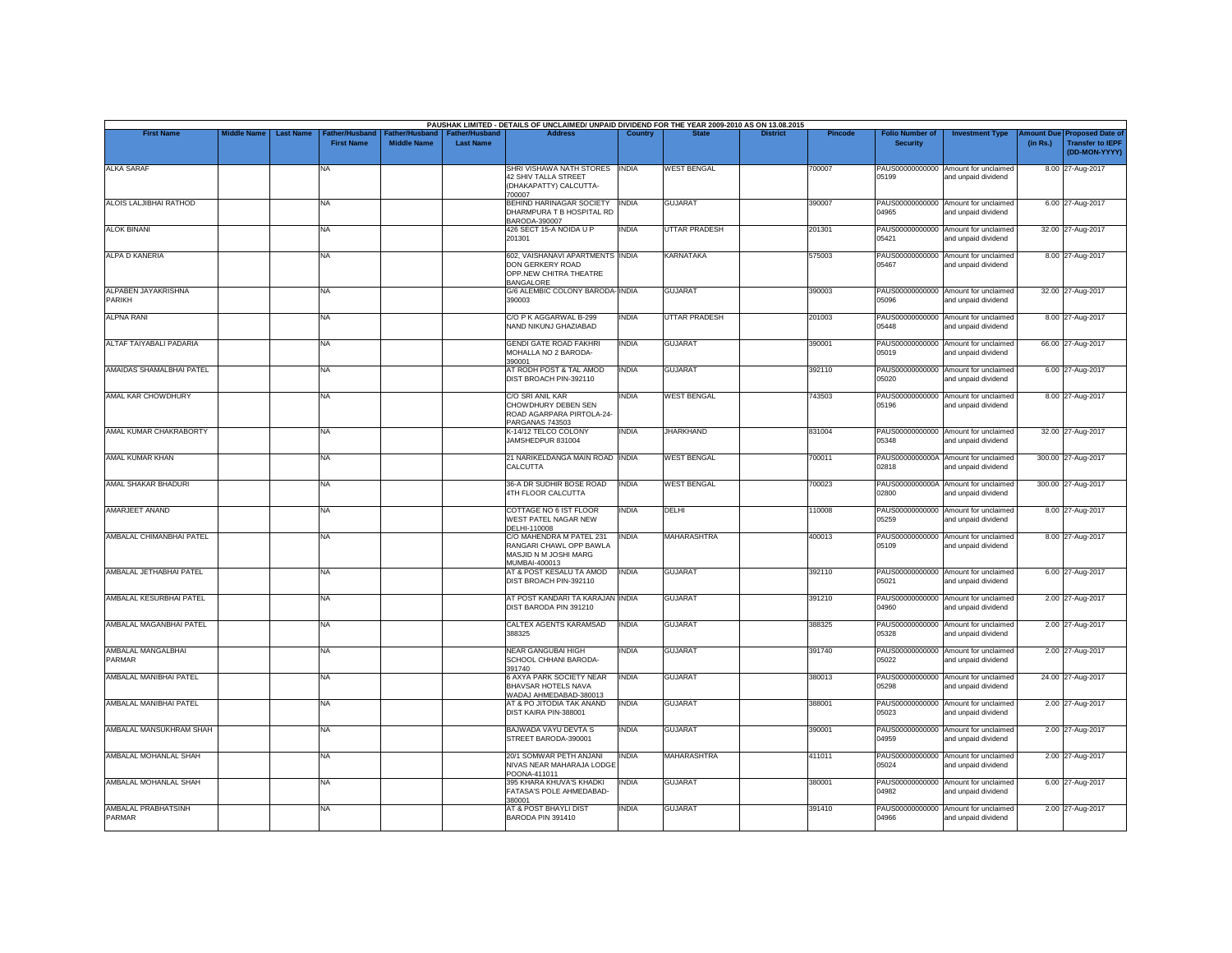| <b>First Name</b>             | <b>Middle Name</b> | <b>Last Name</b> | Father/Husband    | Father/Husband     | <b>Father/Husband</b> | PAUSHAK LIMITED - DETAILS OF UNCLAIMED/ UNPAID DIVIDEND FOR THE YEAR 2009-2010 AS ON 13.08.2015<br><b>Address</b> |              |                      | <b>District</b> | <b>Pincode</b> | <b>Folio Number of</b> | <b>Investment Type</b>                                      | <b>Imount Due</b> | <b>Proposed Date of</b>                  |
|-------------------------------|--------------------|------------------|-------------------|--------------------|-----------------------|-------------------------------------------------------------------------------------------------------------------|--------------|----------------------|-----------------|----------------|------------------------|-------------------------------------------------------------|-------------------|------------------------------------------|
|                               |                    |                  | <b>First Name</b> | <b>Middle Name</b> | <b>Last Name</b>      |                                                                                                                   |              |                      |                 |                | <b>Security</b>        |                                                             | (in Rs.)          | <b>Transfer to IEPF</b><br>(DD-MON-YYYY) |
| <b>ALKA SARAF</b>             |                    |                  | NA                |                    |                       | SHRI VISHAWA NATH STORES INDIA<br>42 SHIV TALLA STREET<br>(DHAKAPATTY) CALCUTTA-<br>700007                        |              | <b>WEST BENGAL</b>   |                 | 700007         | 05199                  | PAUS00000000000 Amount for unclaimed<br>and unpaid dividend |                   | 8.00 27-Aug-2017                         |
| ALOIS LALJIBHAI RATHOD        |                    |                  | NA                |                    |                       | BEHIND HARINAGAR SOCIETY INDIA<br>DHARMPURA T B HOSPITAL RD<br>BARODA-390007                                      |              | <b>GUJARAT</b>       |                 | 390007         | 04965                  | PAUS00000000000 Amount for unclaimed<br>and unpaid dividend |                   | 6.00 27-Aug-2017                         |
| <b>ALOK BINANI</b>            |                    |                  | NA                |                    |                       | 426 SECT 15-A NOIDA U P<br>201301                                                                                 | <b>INDIA</b> | <b>UTTAR PRADESH</b> |                 | 201301         | 05421                  | PAUS00000000000 Amount for unclaimed<br>and unpaid dividend |                   | 32.00 27-Aug-2017                        |
| ALPA D KANERIA                |                    |                  | <b>NA</b>         |                    |                       | 602, VAISHANAVI APARTMENTS INDIA<br>DON GERKERY ROAD<br>OPP.NEW CHITRA THEATRE<br><b>BANGALORE</b>                |              | <b>KARNATAKA</b>     |                 | 575003         | 05467                  | PAUS00000000000 Amount for unclaimed<br>and unpaid dividend |                   | 8.00 27-Aug-2017                         |
| ALPABEN JAYAKRISHNA<br>PARIKH |                    |                  | NA                |                    |                       | G/6 ALEMBIC COLONY BARODA-INDIA<br>390003                                                                         |              | <b>GUJARAT</b>       |                 | 390003         | 05096                  | PAUS00000000000 Amount for unclaimed<br>and unpaid dividend |                   | 32.00 27-Aug-2017                        |
| <b>ALPNA RANI</b>             |                    |                  | NA                |                    |                       | C/O P K AGGARWAL B-299<br>NAND NIKUNJ GHAZIABAD                                                                   | <b>INDIA</b> | <b>UTTAR PRADESH</b> |                 | 201003         | 05448                  | PAUS00000000000 Amount for unclaimed<br>and unpaid dividend |                   | 8.00 27-Aug-2017                         |
| ALTAF TAIYABALI PADARIA       |                    |                  | NA                |                    |                       | <b>GENDI GATE ROAD FAKHRI</b><br>MOHALLA NO 2 BARODA-<br>390001                                                   | <b>INDIA</b> | <b>GUJARAT</b>       |                 | 39000          | 05019                  | PAUS00000000000 Amount for unclaimed<br>and unpaid dividend |                   | 66.00 27-Aug-2017                        |
| AMAIDAS SHAMALBHAI PATEL      |                    |                  | NA                |                    |                       | AT RODH POST & TAL AMOD<br>DIST BROACH PIN-392110                                                                 | <b>INDIA</b> | <b>GUJARAT</b>       |                 | 392110         | 05020                  | PAUS00000000000 Amount for unclaimed<br>and unpaid dividend |                   | 6.00 27-Aug-2017                         |
| AMAL KAR CHOWDHURY            |                    |                  | NA                |                    |                       | C/O SRI ANIL KAR<br>CHOWDHURY DEBEN SEN<br>ROAD AGARPARA PIRTOLA-24<br>PARGANAS 743503                            | <b>INDIA</b> | <b>WEST BENGAL</b>   |                 | 743503         | 05196                  | PAUS00000000000 Amount for unclaimed<br>and unpaid dividend |                   | 8.00 27-Aug-2017                         |
| AMAL KUMAR CHAKRABORTY        |                    |                  | NA                |                    |                       | K-14/12 TELCO COLONY<br>JAMSHEDPUR 831004                                                                         | <b>INDIA</b> | <b>JHARKHAND</b>     |                 | 831004         | 05348                  | PAUS00000000000 Amount for unclaimed<br>and unpaid dividend |                   | 32.00 27-Aug-2017                        |
| <b>AMAL KUMAR KHAN</b>        |                    |                  | NA                |                    |                       | 21 NARIKELDANGA MAIN ROAD INDIA<br>CALCUTTA                                                                       |              | <b>WEST BENGAL</b>   |                 | 700011         | 02818                  | PAUS0000000000A Amount for unclaimed<br>and unpaid dividend |                   | 300.00 27-Aug-2017                       |
| AMAL SHAKAR BHADURI           |                    |                  | NA                |                    |                       | 36-A DR SUDHIR BOSE ROAD<br>4TH FLOOR CALCUTTA                                                                    | <b>INDIA</b> | <b>WEST BENGAL</b>   |                 | 700023         | 02800                  | PAUS0000000000A Amount for unclaimed<br>and unpaid dividend |                   | 300.00 27-Aug-2017                       |
| AMARJEET ANAND                |                    |                  | NA                |                    |                       | COTTAGE NO 6 IST FLOOR<br>WEST PATEL NAGAR NEW<br>DELHI-110008                                                    | <b>INDIA</b> | DELHI                |                 | 110008         | 05259                  | PAUS00000000000 Amount for unclaimed<br>and unpaid dividend |                   | 8.00 27-Aug-2017                         |
| AMBALAL CHIMANBHAI PATEL      |                    |                  | NA                |                    |                       | C/O MAHENDRA M PATEL 231<br>RANGARI CHAWL OPP BAWLA<br>MASJID N M JOSHI MARG<br>MUMBAI-400013                     | <b>INDIA</b> | MAHARASHTRA          |                 | 400013         | 05109                  | PAUS00000000000 Amount for unclaimed<br>and unpaid dividend |                   | 8.00 27-Aug-2017                         |
| AMBALAL JETHABHAI PATEL       |                    |                  | NA                |                    |                       | AT & POST KESALU TA AMOD<br>DIST BROACH PIN-392110                                                                | <b>INDIA</b> | <b>GUJARAT</b>       |                 | 392110         | 05021                  | PAUS00000000000 Amount for unclaimed<br>and unpaid dividend |                   | 6.00 27-Aug-2017                         |
| AMBALAL KESURBHAI PATEL       |                    |                  | NA                |                    |                       | AT POST KANDARI TA KARAJAN INDIA<br>DIST BARODA PIN 391210                                                        |              | <b>GUJARAT</b>       |                 | 391210         | 04960                  | PAUS00000000000 Amount for unclaimed<br>and unpaid dividend |                   | 2.00 27-Aug-2017                         |
| AMBALAL MAGANBHAI PATEL       |                    |                  | NA                |                    |                       | <b>CALTEX AGENTS KARAMSAD</b><br>388325                                                                           | <b>INDIA</b> | <b>GUJARAT</b>       |                 | 388325         | 05328                  | PAUS00000000000 Amount for unclaimed<br>and unpaid dividend |                   | 2.00 27-Aug-2017                         |
| AMBALAL MANGALBHAI<br>PARMAR  |                    |                  | NA                |                    |                       | <b>NEAR GANGUBAI HIGH</b><br>SCHOOL CHHANI BARODA-<br>391740                                                      | <b>INDIA</b> | <b>GUJARAT</b>       |                 | 391740         | 05022                  | PAUS00000000000 Amount for unclaimed<br>and unpaid dividend |                   | 2.00 27-Aug-2017                         |
| AMBALAL MANIBHAI PATEL        |                    |                  | NA                |                    |                       | 6 AXYA PARK SOCIETY NEAR<br>BHAVSAR HOTELS NAVA<br>WADAJ AHMEDABAD-380013                                         | <b>INDIA</b> | <b>GUJARAT</b>       |                 | 380013         | 05298                  | PAUS00000000000 Amount for unclaimed<br>and unpaid dividend |                   | 24.00 27-Aug-2017                        |
| AMBALAL MANIBHAI PATEL        |                    |                  | NA.               |                    |                       | AT & PO JITODIA TAK ANAND<br>DIST KAIRA PIN-388001                                                                | <b>INDIA</b> | <b>GUJARAT</b>       |                 | 388001         | 05023                  | PAUS00000000000 Amount for unclaimed<br>and unpaid dividend |                   | 2.00 27-Aug-2017                         |
| AMBALAL MANSUKHRAM SHAH       |                    |                  | NA                |                    |                       | BAJWADA VAYU DEVTA S<br>STREET BARODA-390001                                                                      | <b>INDIA</b> | <b>GUJARAT</b>       |                 | 39000          | 04959                  | PAUS00000000000 Amount for unclaimed<br>and unpaid dividend |                   | 2.00 27-Aug-2017                         |
| AMBALAL MOHANLAL SHAH         |                    |                  | NA                |                    |                       | 20/1 SOMWAR PETH ANJANI<br>NIVAS NEAR MAHARAJA LODGE<br>POONA-411011                                              | <b>INDIA</b> | <b>MAHARASHTRA</b>   |                 | 411011         | 05024                  | PAUS00000000000 Amount for unclaimed<br>and unpaid dividend |                   | 2.00 27-Aug-2017                         |
| AMBALAL MOHANLAL SHAH         |                    |                  | NA                |                    |                       | 395 KHARA KHUVA'S KHADKI<br>FATASA'S POLE AHMEDABAD-<br>380001                                                    | <b>INDIA</b> | <b>GUJARAT</b>       |                 | 380001         | 04982                  | PAUS00000000000 Amount for unclaimed<br>and unpaid dividend |                   | 6.00 27-Aug-2017                         |
| AMBALAL PRABHATSINH<br>PARMAR |                    |                  | NA                |                    |                       | AT & POST BHAYLI DIST<br>BARODA PIN 391410                                                                        | <b>INDIA</b> | <b>GUJARAT</b>       |                 | 391410         | 04966                  | PAUS00000000000 Amount for unclaimed<br>and unpaid dividend |                   | 2.00 27-Aug-2017                         |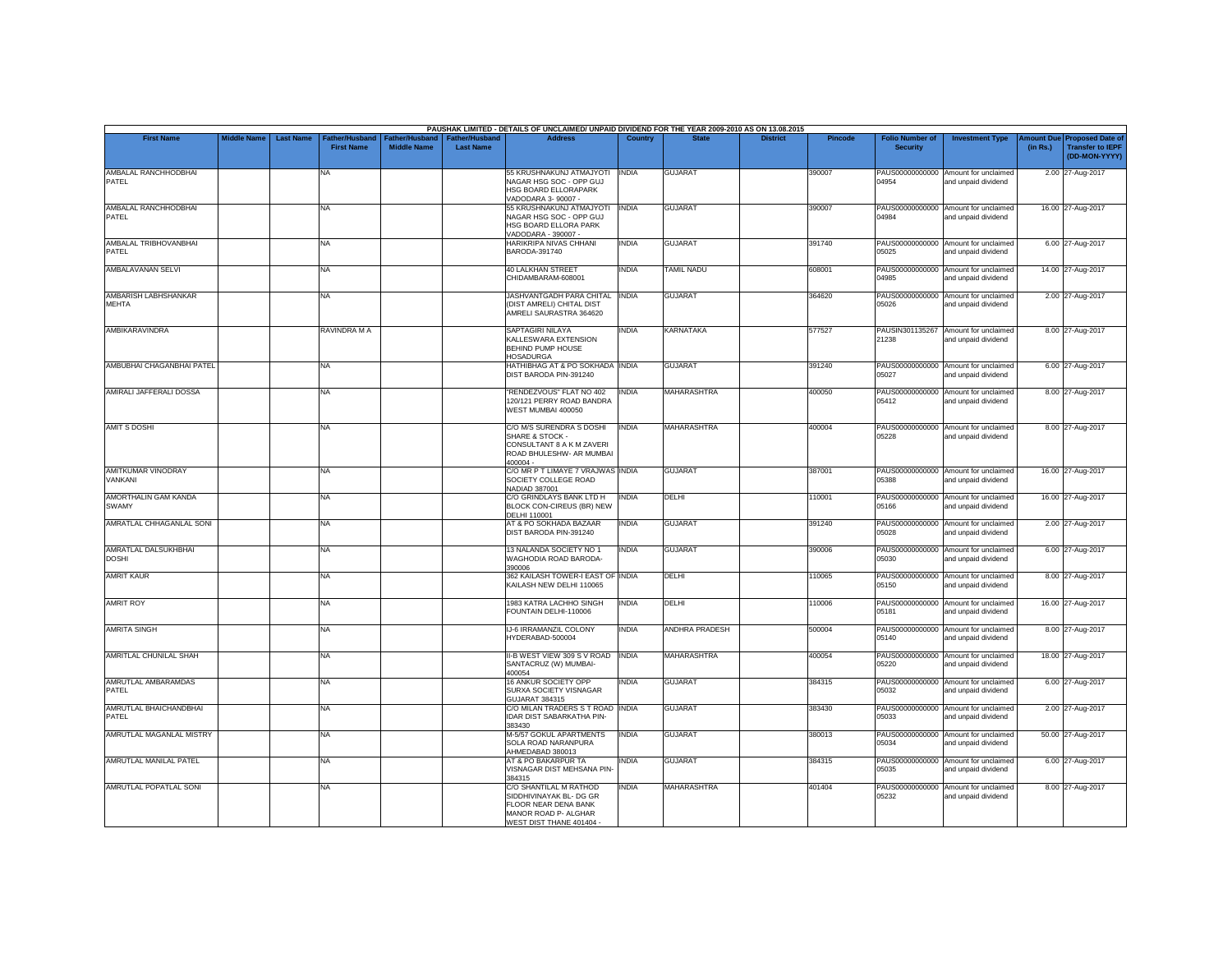|                                      |                    |                  |                                     |                                      |                                           | PAUSHAK LIMITED - DETAILS OF UNCLAIMED/ UNPAID DIVIDEND FOR THE YEAR 2009-2010 AS ON 13.08.2015                                         |                |                       |                 |                |                                           |                                                             |                       |                                                                     |
|--------------------------------------|--------------------|------------------|-------------------------------------|--------------------------------------|-------------------------------------------|-----------------------------------------------------------------------------------------------------------------------------------------|----------------|-----------------------|-----------------|----------------|-------------------------------------------|-------------------------------------------------------------|-----------------------|---------------------------------------------------------------------|
| <b>First Name</b>                    | <b>Middle Name</b> | <b>Last Name</b> | Father/Husband<br><b>First Name</b> | Father/Husband<br><b>Middle Name</b> | <b>Father/Husband</b><br><b>Last Name</b> | <b>Address</b>                                                                                                                          | <b>Country</b> | <b>State</b>          | <b>District</b> | <b>Pincode</b> | <b>Folio Number of</b><br><b>Security</b> | <b>Investment Type</b>                                      | mount Due<br>(in Rs.) | <b>Proposed Date of</b><br><b>Transfer to IEPF</b><br>(DD-MON-YYYY) |
| AMBALAL RANCHHODBHAI<br>PATEL        |                    |                  | <b>NA</b>                           |                                      |                                           | 55 KRUSHNAKUNJ ATMAJYOTI<br>NAGAR HSG SOC - OPP GUJ<br>HSG BOARD ELLORAPARK<br>VADODARA 3-90007 -                                       | <b>INDIA</b>   | <b>GUJARAT</b>        |                 | 390007         | 04954                                     | PAUS00000000000 Amount for unclaimed<br>and unpaid dividend |                       | 2.00 27-Aug-2017                                                    |
| AMBALAL RANCHHODBHAI<br>PATEL        |                    |                  | <b>NA</b>                           |                                      |                                           | 55 KRUSHNAKUNJ ATMAJYOTI<br>NAGAR HSG SOC - OPP GUJ<br>HSG BOARD ELLORA PARK<br>VADODARA - 390007 -                                     | <b>INDIA</b>   | <b>GUJARAT</b>        |                 | 390007         | 04984                                     | PAUS00000000000 Amount for unclaimed<br>and unpaid dividend |                       | 16.00 27-Aug-2017                                                   |
| AMBALAL TRIBHOVANBHAI<br>PATEL       |                    |                  | <b>NA</b>                           |                                      |                                           | HARIKRIPA NIVAS CHHANI<br>BARODA-391740                                                                                                 | <b>INDIA</b>   | <b>GUJARAT</b>        |                 | 391740         | 05025                                     | PAUS00000000000 Amount for unclaimed<br>and unpaid dividend |                       | 6.00 27-Aug-2017                                                    |
| AMBALAVANAN SELVI                    |                    |                  | <b>NA</b>                           |                                      |                                           | <b>40 LALKHAN STREET</b><br>CHIDAMBARAM-608001                                                                                          | INDIA          | <b>TAMIL NADU</b>     |                 | 608001         | 04985                                     | PAUS00000000000 Amount for unclaimed<br>and unpaid dividend |                       | 14.00 27-Aug-2017                                                   |
| AMBARISH LABHSHANKAR<br>MEHTA        |                    |                  | <b>NA</b>                           |                                      |                                           | JASHVANTGADH PARA CHITAL<br>(DIST AMRELI) CHITAL DIST<br>AMRELI SAURASTRA 364620                                                        | <b>INDIA</b>   | <b>GUJARAT</b>        |                 | 364620         | 05026                                     | PAUS00000000000 Amount for unclaimed<br>and unpaid dividend |                       | 2.00 27-Aug-2017                                                    |
| AMBIKARAVINDRA                       |                    |                  | RAVINDRA M A                        |                                      |                                           | SAPTAGIRI NILAYA<br>KALLESWARA EXTENSION<br>BEHIND PUMP HOUSE<br><b>HOSADURGA</b>                                                       | <b>INDIA</b>   | <b>KARNATAKA</b>      |                 | 577527         | PAUSIN301135267<br>21238                  | Amount for unclaimed<br>and unpaid dividend                 |                       | 8.00 27-Aug-2017                                                    |
| AMBUBHAI CHAGANBHAI PATEL            |                    |                  | <b>NA</b>                           |                                      |                                           | <b>HATHIBHAG AT &amp; PO SOKHADA INDIA</b><br>DIST BARODA PIN-391240                                                                    |                | <b>GUJARAT</b>        |                 | 391240         | 05027                                     | PAUS00000000000 Amount for unclaimed<br>and unpaid dividend |                       | 6.00 27-Aug-2017                                                    |
| AMIRALI JAFFERALI DOSSA              |                    |                  | <b>NA</b>                           |                                      |                                           | "RENDEZVOUS" FLAT NO 402<br>120/121 PERRY ROAD BANDRA<br>WEST MUMBAI 400050                                                             | <b>INDIA</b>   | <b>MAHARASHTRA</b>    |                 | 400050         | PAUS00000000000<br>05412                  | Amount for unclaimed<br>and unpaid dividend                 |                       | 8.00 27-Aug-2017                                                    |
| <b>AMIT S DOSHI</b>                  |                    |                  | <b>NA</b>                           |                                      |                                           | C/O M/S SURENDRA S DOSHI<br>SHARE & STOCK -<br>CONSULTANT 8 A K M ZAVERI<br>ROAD BHULESHW- AR MUMBAI<br>400004 -                        | <b>INDIA</b>   | <b>MAHARASHTRA</b>    |                 | 400004         | 05228                                     | PAUS00000000000 Amount for unclaimed<br>and unpaid dividend |                       | 8.00 27-Aug-2017                                                    |
| AMITKUMAR VINODRAY<br>VANKANI        |                    |                  | <b>NA</b>                           |                                      |                                           | C/O MR P T LIMAYE 7 VRAJWAS INDIA<br>SOCIETY COLLEGE ROAD<br>NADIAD 387001                                                              |                | <b>GUJARAT</b>        |                 | 387001         | 05388                                     | PAUS00000000000 Amount for unclaimed<br>and unpaid dividend |                       | 16.00 27-Aug-2017                                                   |
| AMORTHALIN GAM KANDA<br>SWAMY        |                    |                  | <b>NA</b>                           |                                      |                                           | C/O GRINDLAYS BANK LTD H<br>BLOCK CON-CIREUS (BR) NEW<br><b>DELHI 110001</b>                                                            | <b>INDIA</b>   | DELHI                 |                 | 110001         | 05166                                     | PAUS00000000000 Amount for unclaimed<br>and unpaid dividend |                       | 16.00 27-Aug-2017                                                   |
| AMRATLAL CHHAGANLAL SONI             |                    |                  | <b>NA</b>                           |                                      |                                           | AT & PO SOKHADA BAZAAR<br>DIST BARODA PIN-391240                                                                                        | <b>INDIA</b>   | <b>GUJARAT</b>        |                 | 391240         | PAUS00000000000<br>05028                  | Amount for unclaimed<br>and unpaid dividend                 |                       | 2.00 27-Aug-2017                                                    |
| AMRATLAL DALSUKHBHAI<br><b>DOSHI</b> |                    |                  | <b>NA</b>                           |                                      |                                           | 13 NALANDA SOCIETY NO 1<br>WAGHODIA ROAD BARODA-<br>390006                                                                              | <b>INDIA</b>   | <b>GUJARAT</b>        |                 | 390006         | 05030                                     | PAUS00000000000 Amount for unclaimed<br>and unpaid dividend |                       | 6.00 27-Aug-2017                                                    |
| <b>AMRIT KAUR</b>                    |                    |                  | <b>NA</b>                           |                                      |                                           | 362 KAILASH TOWER-I EAST OF INDIA<br>KAILASH NEW DELHI 110065                                                                           |                | DELHI                 |                 | 110065         | 05150                                     | PAUS00000000000 Amount for unclaimed<br>and unpaid dividend |                       | 8.00 27-Aug-2017                                                    |
| <b>AMRIT ROY</b>                     |                    |                  | <b>NA</b>                           |                                      |                                           | 1983 KATRA LACHHO SINGH<br>FOUNTAIN DELHI-110006                                                                                        | <b>INDIA</b>   | DELHI                 |                 | 110006         | 05181                                     | PAUS00000000000 Amount for unclaimed<br>and unpaid dividend |                       | 16.00 27-Aug-2017                                                   |
| <b>AMRITA SINGH</b>                  |                    |                  | <b>NA</b>                           |                                      |                                           | <b>IJ-6 IRRAMANZIL COLONY</b><br>HYDERABAD-500004                                                                                       | <b>INDIA</b>   | <b>ANDHRA PRADESH</b> |                 | 500004         | 05140                                     | PAUS00000000000 Amount for unclaimed<br>and unpaid dividend |                       | 8.00 27-Aug-2017                                                    |
| AMRITLAL CHUNILAL SHAH               |                    |                  | <b>NA</b>                           |                                      |                                           | II-B WEST VIEW 309 S V ROAD<br>SANTACRUZ (W) MUMBAI-<br>400054                                                                          | <b>INDIA</b>   | MAHARASHTRA           |                 | 400054         | 05220                                     | PAUS00000000000 Amount for unclaimed<br>and unpaid dividend |                       | 18.00 27-Aug-2017                                                   |
| AMRUTLAL AMBARAMDAS<br>PATEL         |                    |                  | <b>NA</b>                           |                                      |                                           | 16 ANKUR SOCIETY OPP<br>SURXA SOCIETY VISNAGAR<br><b>GUJARAT 384315</b>                                                                 | INDIA          | <b>GUJARAT</b>        |                 | 384315         | 05032                                     | PAUS00000000000 Amount for unclaimed<br>and unpaid dividend |                       | 6.00 27-Aug-2017                                                    |
| AMRUTLAL BHAICHANDBHAI<br>PATEL      |                    |                  | <b>NA</b>                           |                                      |                                           | C/O MILAN TRADERS S T ROAD INDIA<br>IDAR DIST SABARKATHA PIN-<br>383430                                                                 |                | <b>GUJARAT</b>        |                 | 383430         | 05033                                     | PAUS00000000000 Amount for unclaimed<br>and unpaid dividend |                       | 2.00 27-Aug-2017                                                    |
| AMRUTLAL MAGANLAL MISTRY             |                    |                  | <b>NA</b>                           |                                      |                                           | M-5/57 GOKUL APARTMENTS<br>SOLA ROAD NARANPURA<br>AHMEDABAD 380013                                                                      | <b>INDIA</b>   | <b>GUJARAT</b>        |                 | 380013         | 05034                                     | PAUS00000000000 Amount for unclaimed<br>and unpaid dividend |                       | 50.00 27-Aug-2017                                                   |
| AMRUTLAL MANILAL PATEL               |                    |                  | <b>NA</b>                           |                                      |                                           | AT & PO BAKARPUR TA<br>VISNAGAR DIST MEHSANA PIN-                                                                                       | <b>INDIA</b>   | <b>GUJARAT</b>        |                 | 384315         | 05035                                     | PAUS00000000000 Amount for unclaimed<br>and unpaid dividend |                       | 6.00 27-Aug-2017                                                    |
| AMRUTLAL POPATLAL SONI               |                    |                  | <b>NA</b>                           |                                      |                                           | 384315<br>C/O SHANTILAL M RATHOD<br>SIDDHIVINAYAK BL- DG GR<br>FLOOR NEAR DENA BANK<br>MANOR ROAD P- ALGHAR<br>WEST DIST THANE 401404 - | <b>INDIA</b>   | <b>MAHARASHTRA</b>    |                 | 401404         | 05232                                     | PAUS00000000000 Amount for unclaimed<br>and unpaid dividend |                       | 8.00 27-Aug-2017                                                    |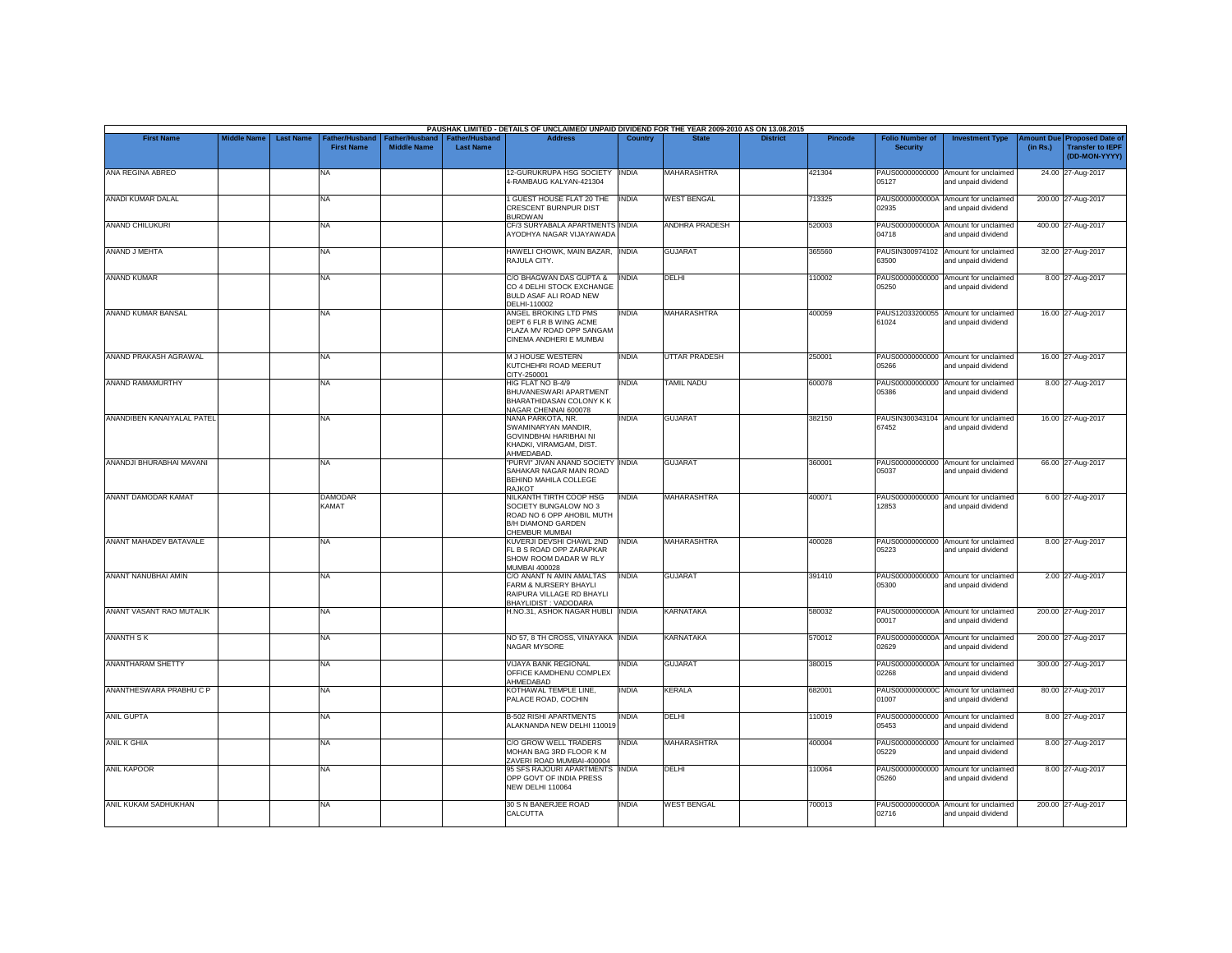|                               |                    |                  |                                            |                                             |                                           | PAUSHAK LIMITED - DETAILS OF UNCLAIMED/ UNPAID DIVIDEND FOR THE YEAR 2009-2010 AS ON 13.08.2015                       |              |                       |                 |         |                                           |                                                             |          |                                                                         |
|-------------------------------|--------------------|------------------|--------------------------------------------|---------------------------------------------|-------------------------------------------|-----------------------------------------------------------------------------------------------------------------------|--------------|-----------------------|-----------------|---------|-------------------------------------------|-------------------------------------------------------------|----------|-------------------------------------------------------------------------|
| <b>First Name</b>             | <b>Middle Name</b> | <b>Last Name</b> | <b>Father/Husband</b><br><b>First Name</b> | <b>Father/Husband</b><br><b>Middle Name</b> | <b>Father/Husband</b><br><b>Last Name</b> | <b>Address</b>                                                                                                        | Country      | <b>State</b>          | <b>District</b> | Pincode | <b>Folio Number of</b><br><b>Security</b> | <b>Investment Type</b>                                      | (in Rs.) | Amount Due Proposed Date of<br><b>Transfer to IEPF</b><br>(DD-MON-YYYY) |
| ANA REGINA ABREO              |                    |                  | <b>NA</b>                                  |                                             |                                           | 12-GURUKRUPA HSG SOCIETY<br>4-RAMBAUG KALYAN-421304                                                                   | <b>INDIA</b> | <b>MAHARASHTRA</b>    |                 | 421304  | 05127                                     | PAUS00000000000 Amount for unclaimed<br>and unpaid dividend |          | 24.00 27-Aug-2017                                                       |
| <b>ANADI KUMAR DALAL</b>      |                    |                  | <b>NA</b>                                  |                                             |                                           | <b>GUEST HOUSE FLAT 20 THE</b><br>CRESCENT BURNPUR DIST<br><b>BURDWAN</b>                                             | <b>INDIA</b> | <b>WEST BENGAL</b>    |                 | 713325  | PAUS0000000000A<br>02935                  | Amount for unclaimed<br>and unpaid dividend                 |          | 200.00 27-Aug-2017                                                      |
| <b>ANAND CHILUKURI</b>        |                    |                  | <b>NA</b>                                  |                                             |                                           | CF/3 SURYABALA APARTMENTS INDIA<br>AYODHYA NAGAR VIJAYAWADA                                                           |              | <b>ANDHRA PRADESH</b> |                 | 520003  | 04718                                     | PAUS0000000000A Amount for unclaimed<br>and unpaid dividend |          | 400.00 27-Aug-2017                                                      |
| ANAND J MEHTA                 |                    |                  | <b>NA</b>                                  |                                             |                                           | HAWELI CHOWK, MAIN BAZAR, INDIA<br>RAJULA CITY.                                                                       |              | <b>GUJARAT</b>        |                 | 365560  | 63500                                     | PAUSIN300974102 Amount for unclaimed<br>and unpaid dividend |          | 32.00 27-Aug-2017                                                       |
| <b>ANAND KUMAR</b>            |                    |                  | <b>NA</b>                                  |                                             |                                           | C/O BHAGWAN DAS GUPTA &<br>CO 4 DELHI STOCK EXCHANGE<br>BULD ASAF ALI ROAD NEW<br>DELHI-110002                        | <b>INDIA</b> | DELHI                 |                 | 110002  | 05250                                     | PAUS00000000000 Amount for unclaimed<br>and unpaid dividend |          | 8.00 27-Aug-2017                                                        |
| ANAND KUMAR BANSAL            |                    |                  | <b>NA</b>                                  |                                             |                                           | ANGEL BROKING LTD PMS<br>DEPT 6 FLR B WING ACME<br>PLAZA MV ROAD OPP SANGAM<br>CINEMA ANDHERI E MUMBAI                | <b>INDIA</b> | MAHARASHTRA           |                 | 400059  | 61024                                     | PAUS12033200055 Amount for unclaimed<br>and unpaid dividend |          | 16.00 27-Aug-2017                                                       |
| ANAND PRAKASH AGRAWAL         |                    |                  | <b>NA</b>                                  |                                             |                                           | M J HOUSE WESTERN<br>KUTCHEHRI ROAD MEERUT<br>CITY-250001                                                             | <b>INDIA</b> | UTTAR PRADESH         |                 | 250001  | 05266                                     | PAUS00000000000 Amount for unclaimed<br>and unpaid dividend |          | 16.00 27-Aug-2017                                                       |
| ANAND RAMAMURTHY              |                    |                  | <b>NA</b>                                  |                                             |                                           | HIG FLAT NO B-4/9<br>BHUVANESWARI APARTMENT<br>BHARATHIDASAN COLONY K K<br>NAGAR CHENNAI 600078                       | INDIA        | <b>TAMIL NADU</b>     |                 | 600078  | 05386                                     | PAUS00000000000 Amount for unclaimed<br>and unpaid dividend |          | 8.00 27-Aug-2017                                                        |
| ANANDIBEN KANAIYALAL PATEL    |                    |                  | <b>NA</b>                                  |                                             |                                           | NANA PARKOTA, NR.<br>SWAMINARYAN MANDIR,<br><b>GOVINDBHAI HARIBHAI NI</b><br>KHADKI, VIRAMGAM, DIST.<br>AHMEDABAD.    | <b>INDIA</b> | <b>GUJARAT</b>        |                 | 382150  | 67452                                     | PAUSIN300343104 Amount for unclaimed<br>and unpaid dividend |          | 16.00 27-Aug-2017                                                       |
| ANANDJI BHURABHAI MAVANI      |                    |                  | <b>NA</b>                                  |                                             |                                           | "PURVI" JIVAN ANAND SOCIETY INDIA<br>SAHAKAR NAGAR MAIN ROAD<br>BEHIND MAHILA COLLEGE<br>RAJKOT                       |              | <b>GUJARAT</b>        |                 | 360001  | 05037                                     | PAUS00000000000 Amount for unclaimed<br>and unpaid dividend |          | 66.00 27-Aug-2017                                                       |
| ANANT DAMODAR KAMAT           |                    |                  | <b>DAMODAR</b><br>KAMAT                    |                                             |                                           | NILKANTH TIRTH COOP HSG<br>SOCIETY BUNGALOW NO 3<br>ROAD NO 6 OPP AHOBIL MUTH<br>B/H DIAMOND GARDEN<br>CHEMBUR MUMBAI | <b>INDIA</b> | <b>MAHARASHTRA</b>    |                 | 400071  | 12853                                     | PAUS00000000000 Amount for unclaimed<br>and unpaid dividend |          | 6.00 27-Aug-2017                                                        |
| <b>ANANT MAHADEV BATAVALE</b> |                    |                  | <b>NA</b>                                  |                                             |                                           | KUVERJI DEVSHI CHAWL 2ND<br>FL B S ROAD OPP ZARAPKAR<br>SHOW ROOM DADAR W RLY<br><b>MUMBAI 400028</b>                 | <b>INDIA</b> | <b>MAHARASHTRA</b>    |                 | 400028  | 05223                                     | PAUS00000000000 Amount for unclaimed<br>and unpaid dividend |          | 8.00 27-Aug-2017                                                        |
| ANANT NANUBHAI AMIN           |                    |                  | <b>NA</b>                                  |                                             |                                           | C/O ANANT N AMIN AMALTAS<br>FARM & NURSERY BHAYLI<br>RAIPURA VILLAGE RD BHAYLI<br>BHAYLIDIST: VADODARA                | <b>INDIA</b> | <b>GUJARAT</b>        |                 | 391410  | 05300                                     | PAUS00000000000 Amount for unclaimed<br>and unpaid dividend |          | 2.00 27-Aug-2017                                                        |
| ANANT VASANT RAO MUTALIK      |                    |                  | <b>NA</b>                                  |                                             |                                           | H.NO.31, ASHOK NAGAR HUBLI INDIA                                                                                      |              | <b>KARNATAKA</b>      |                 | 580032  | 00017                                     | PAUS0000000000A Amount for unclaimed<br>and unpaid dividend |          | 200.00 27-Aug-2017                                                      |
| <b>ANANTH SK</b>              |                    |                  | <b>NA</b>                                  |                                             |                                           | NO 57, 8 TH CROSS, VINAYAKA INDIA<br><b>NAGAR MYSORE</b>                                                              |              | <b>KARNATAKA</b>      |                 | 570012  | 02629                                     | PAUS0000000000A Amount for unclaimed<br>and unpaid dividend |          | 200.00 27-Aug-2017                                                      |
| <b>ANANTHARAM SHETTY</b>      |                    |                  | <b>NA</b>                                  |                                             |                                           | <b>VIJAYA BANK REGIONAL</b><br>OFFICE KAMDHENU COMPLEX<br>AHMEDABAD                                                   | INDIA        | <b>GUJARAT</b>        |                 | 380015  | PAUS0000000000A<br>02268                  | Amount for unclaimed<br>and unpaid dividend                 |          | 300.00 27-Aug-2017                                                      |
| ANANTHESWARA PRABHU C P       |                    |                  | <b>NA</b>                                  |                                             |                                           | KOTHAWAL TEMPLE LINE,<br>PALACE ROAD, COCHIN                                                                          | INDIA        | <b>KERALA</b>         |                 | 682001  | 01007                                     | PAUS0000000000C Amount for unclaimed<br>and unpaid dividend |          | 80.00 27-Aug-2017                                                       |
| <b>ANIL GUPTA</b>             |                    |                  | <b>NA</b>                                  |                                             |                                           | <b>B-502 RISHI APARTMENTS</b><br>ALAKNANDA NEW DELHI 110019                                                           | INDIA        | DELHI                 |                 | 110019  | 05453                                     | PAUS00000000000 Amount for unclaimed<br>and unpaid dividend |          | 8.00 27-Aug-2017                                                        |
| <b>ANIL K GHIA</b>            |                    |                  | <b>NA</b>                                  |                                             |                                           | C/O GROW WELL TRADERS<br>MOHAN BAG 3RD FLOOR K M<br>ZAVERI ROAD MUMBAI-400004                                         | INDIA        | <b>MAHARASHTRA</b>    |                 | 400004  | 05229                                     | PAUS00000000000 Amount for unclaimed<br>and unpaid dividend |          | 8.00 27-Aug-2017                                                        |
| ANIL KAPOOR                   |                    |                  | <b>NA</b>                                  |                                             |                                           | 95 SFS RAJOURI APARTMENTS INDIA<br>OPP GOVT OF INDIA PRESS<br><b>NEW DELHI 110064</b>                                 |              | DELHI                 |                 | 110064  | 05260                                     | PAUS00000000000 Amount for unclaimed<br>and unpaid dividend |          | 8.00 27-Aug-2017                                                        |
| ANIL KUKAM SADHUKHAN          |                    |                  | <b>NA</b>                                  |                                             |                                           | 30 S N BANERJEE ROAD<br>CALCUTTA                                                                                      | <b>INDIA</b> | <b>WEST BENGAL</b>    |                 | 700013  | PAUS0000000000A<br>02716                  | Amount for unclaimed<br>and unpaid dividend                 |          | 200.00 27-Aug-2017                                                      |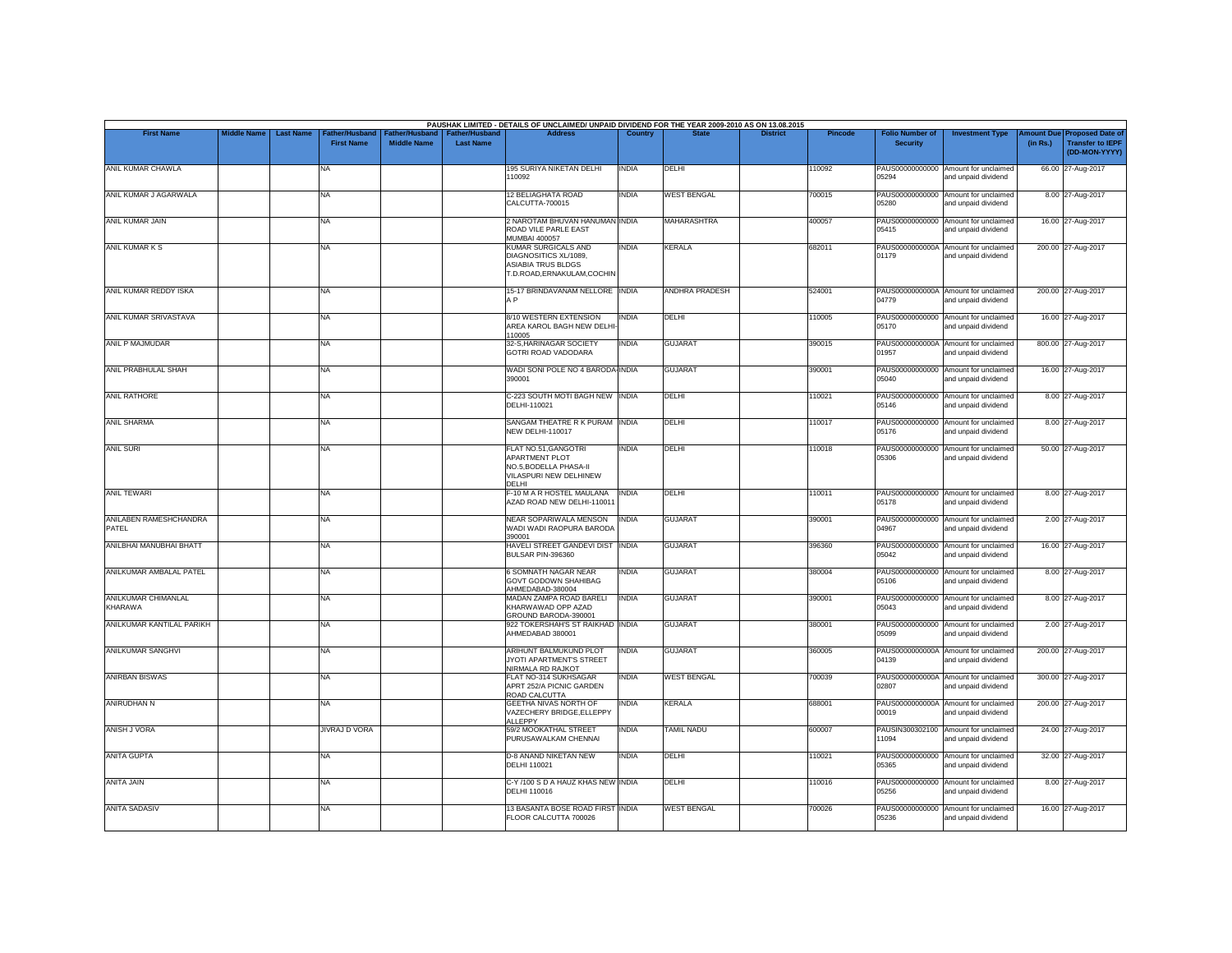| <b>First Name</b>               | <b>Middle Name</b> | <b>Last Name</b> | Father/Husband       | Father/Husband     | <b>Father/Husband</b> | PAUSHAK LIMITED - DETAILS OF UNCLAIMED/ UNPAID DIVIDEND FOR THE YEAR 2009-2010 AS ON 13.08.2015<br><b>Address</b> | Country      |                       | <b>District</b> | <b>Pincode</b> | <b>Folio Number of</b>   | <b>Investment Type</b>                                      | mount Due | <b>Proposed Date of</b>                  |
|---------------------------------|--------------------|------------------|----------------------|--------------------|-----------------------|-------------------------------------------------------------------------------------------------------------------|--------------|-----------------------|-----------------|----------------|--------------------------|-------------------------------------------------------------|-----------|------------------------------------------|
|                                 |                    |                  | <b>First Name</b>    | <b>Middle Name</b> | <b>Last Name</b>      |                                                                                                                   |              |                       |                 |                | <b>Security</b>          |                                                             | (in Rs.)  | <b>Transfer to IEPF</b><br>(DD-MON-YYYY) |
| ANIL KUMAR CHAWLA               |                    |                  | NA                   |                    |                       | 195 SURIYA NIKETAN DELHI<br>110092                                                                                | <b>INDIA</b> | DELHI                 |                 | 110092         | 05294                    | PAUS00000000000 Amount for unclaimed<br>and unpaid dividend |           | 66.00 27-Aug-2017                        |
| ANIL KUMAR J AGARWALA           |                    |                  | NA                   |                    |                       | <b>12 BELIAGHATA ROAD</b><br>CALCUTTA-700015                                                                      | <b>INDIA</b> | <b>WEST BENGAL</b>    |                 | 700015         | 05280                    | PAUS00000000000 Amount for unclaimed<br>and unpaid dividend |           | 8.00 27-Aug-2017                         |
| ANIL KUMAR JAIN                 |                    |                  | NA                   |                    |                       | 2 NAROTAM BHUVAN HANUMAN INDIA<br>ROAD VILE PARLE EAST<br><b>MUMBAI 400057</b>                                    |              | <b>MAHARASHTRA</b>    |                 | 400057         | 05415                    | PAUS00000000000 Amount for unclaimed<br>and unpaid dividend |           | 16.00 27-Aug-2017                        |
| ANIL KUMAR K S                  |                    |                  | NA                   |                    |                       | <b>KUMAR SURGICALS AND</b><br>DIAGNOSITICS XL/1089,<br>ASIABIA TRUS BLDGS<br>T.D.ROAD, ERNAKULAM, COCHIN          | <b>INDIA</b> | <b>KERALA</b>         |                 | 682011         | 01179                    | PAUS0000000000A Amount for unclaimed<br>and unpaid dividend |           | 200.00 27-Aug-2017                       |
| ANIL KUMAR REDDY ISKA           |                    |                  | NA                   |                    |                       | 15-17 BRINDAVANAM NELLORE INDIA<br>A <sub>P</sub>                                                                 |              | <b>ANDHRA PRADESH</b> |                 | 524001         | 04779                    | PAUS0000000000A Amount for unclaimed<br>and unpaid dividend |           | 200.00 27-Aug-2017                       |
| ANIL KUMAR SRIVASTAVA           |                    |                  | NA                   |                    |                       | 8/10 WESTERN EXTENSION<br>AREA KAROL BAGH NEW DELHI<br>110005                                                     | <b>INDIA</b> | DELHI                 |                 | 110005         | 05170                    | PAUS00000000000 Amount for unclaimed<br>and unpaid dividend |           | 16.00 27-Aug-2017                        |
| <b>ANIL P MAJMUDAR</b>          |                    |                  | NA                   |                    |                       | 32-S, HARINAGAR SOCIETY<br>GOTRI ROAD VADODARA                                                                    | <b>INDIA</b> | <b>GUJARAT</b>        |                 | 390015         | 01957                    | PAUS0000000000A Amount for unclaimed<br>and unpaid dividend |           | 800.00 27-Aug-2017                       |
| ANIL PRABHULAL SHAH             |                    |                  | NA                   |                    |                       | WADI SONI POLE NO 4 BARODA INDIA<br>390001                                                                        |              | <b>GUJARAT</b>        |                 | 390001         | 05040                    | PAUS00000000000 Amount for unclaimed<br>and unpaid dividend |           | 16.00 27-Aug-2017                        |
| <b>ANIL RATHORE</b>             |                    |                  | NA                   |                    |                       | C-223 SOUTH MOTI BAGH NEW INDIA<br>DFI HI-110021                                                                  |              | DELHI                 |                 | 110021         | 05146                    | PAUS00000000000 Amount for unclaimed<br>and unpaid dividend |           | 8.00 27-Aug-2017                         |
| <b>ANIL SHARMA</b>              |                    |                  | NA                   |                    |                       | SANGAM THEATRE R K PURAM INDIA<br><b>NEW DELHI-110017</b>                                                         |              | DELHI                 |                 | 110017         | PAUS00000000000<br>05176 | Amount for unclaimed<br>and unpaid dividend                 |           | 8.00 27-Aug-2017                         |
| <b>ANIL SURI</b>                |                    |                  | NA.                  |                    |                       | FLAT NO.51, GANGOTRI<br><b>APARTMENT PLOT</b><br>NO.5, BODELLA PHASA-II<br>VILASPURI NEW DELHINEW<br><b>DELHI</b> | <b>INDIA</b> | DELHI                 |                 | 110018         | 05306                    | PAUS00000000000 Amount for unclaimed<br>and unpaid dividend |           | 50.00 27-Aug-2017                        |
| ANIL TEWARI                     |                    |                  | NA                   |                    |                       | F-10 M A R HOSTEL MAULANA<br>AZAD ROAD NEW DELHI-11001                                                            | <b>INDIA</b> | DELHI                 |                 | 110011         | 05178                    | PAUS00000000000 Amount for unclaimed<br>and unpaid dividend |           | 8.00 27-Aug-2017                         |
| ANILABEN RAMESHCHANDRA<br>PATFI |                    |                  | NA                   |                    |                       | NEAR SOPARIWALA MENSON<br>WADI WADI RAOPURA BARODA<br>390001                                                      | <b>INDIA</b> | <b>GUJARAT</b>        |                 | 390001         | 04967                    | PAUS00000000000 Amount for unclaimed<br>and unpaid dividend |           | 2.00 27-Aug-2017                         |
| ANILBHAI MANUBHAI BHATT         |                    |                  | NA                   |                    |                       | HAVELI STREET GANDEVI DIST INDIA<br>BULSAR PIN-396360                                                             |              | <b>GUJARAT</b>        |                 | 396360         | 05042                    | PAUS00000000000 Amount for unclaimed<br>and unpaid dividend |           | 16.00 27-Aug-2017                        |
| ANILKUMAR AMBALAL PATEL         |                    |                  | NA                   |                    |                       | 6 SOMNATH NAGAR NEAR<br><b>GOVT GODOWN SHAHIBAG</b><br>AHMEDABAD-380004                                           | <b>INDIA</b> | <b>GUJARAT</b>        |                 | 380004         | 05106                    | PAUS00000000000 Amount for unclaimed<br>and unpaid dividend |           | 8.00 27-Aug-2017                         |
| ANILKUMAR CHIMANLAL<br>KHARAWA  |                    |                  | NA                   |                    |                       | MADAN ZAMPA ROAD BARELI<br>KHARWAWAD OPP AZAD<br>GROUND BARODA-390001                                             | <b>INDIA</b> | <b>GUJARAT</b>        |                 | 390001         | 05043                    | PAUS00000000000 Amount for unclaimed<br>and unpaid dividend |           | 8.00 27-Aug-2017                         |
| ANILKUMAR KANTILAL PARIKH       |                    |                  | NA                   |                    |                       | 922 TOKERSHAH'S ST RAIKHAD INDIA<br>AHMEDABAD 380001                                                              |              | <b>GUJARAT</b>        |                 | 380001         | 05099                    | PAUS00000000000 Amount for unclaimed<br>and unpaid dividend |           | 2.00 27-Aug-2017                         |
| <b>ANILKUMAR SANGHVI</b>        |                    |                  | <b>NA</b>            |                    |                       | ARIHUNT BALMUKUND PLOT<br>JYOTI APARTMENT'S STREET<br>NIRMALA RD RAJKOT                                           | <b>INDIA</b> | <b>GUJARAT</b>        |                 | 360005         | 04139                    | PAUS0000000000A Amount for unclaimed<br>and unpaid dividend |           | 200.00 27-Aug-2017                       |
| <b>ANIRBAN BISWAS</b>           |                    |                  | NA                   |                    |                       | FLAT NO-314 SUKHSAGAR<br>APRT 252/A PICNIC GARDEN<br>ROAD CALCUTTA                                                | <b>INDIA</b> | <b>WEST BENGAL</b>    |                 | 700039         | 02807                    | PAUS0000000000A Amount for unclaimed<br>and unpaid dividend |           | 300.00 27-Aug-2017                       |
| <b>ANIRUDHAN N</b>              |                    |                  | <b>NA</b>            |                    |                       | <b>GEETHA NIVAS NORTH OF</b><br>VAZECHERY BRIDGE, ELLEPPY<br><b>ALLEPPY</b>                                       | <b>INDIA</b> | <b>KERALA</b>         |                 | 688001         | 00019                    | PAUS0000000000A Amount for unclaimed<br>and unpaid dividend |           | 200.00 27-Aug-2017                       |
| <b>ANISH J VORA</b>             |                    |                  | <b>JIVRAJ D VORA</b> |                    |                       | 59/2 MOOKATHAL STREET<br>PURUSAWALKAM CHENNAI                                                                     | <b>INDIA</b> | <b>TAMIL NADU</b>     |                 | 600007         | 11094                    | PAUSIN300302100 Amount for unclaimed<br>and unpaid dividend |           | 24.00 27-Aug-2017                        |
| <b>ANITA GUPTA</b>              |                    |                  | NA                   |                    |                       | <b>D-8 ANAND NIKETAN NEW</b><br>DELHI 110021                                                                      | <b>INDIA</b> | DELHI                 |                 | 110021         | 05365                    | PAUS00000000000 Amount for unclaimed<br>and unpaid dividend |           | 32.00 27-Aug-2017                        |
| ANITA JAIN                      |                    |                  | <b>NA</b>            |                    |                       | C-Y /100 S D A HAUZ KHAS NEW INDIA<br>DELHI 110016                                                                |              | DELHI                 |                 | 10016          | 05256                    | PAUS00000000000 Amount for unclaimed<br>and unpaid dividend |           | 8.00 27-Aug-2017                         |
| <b>ANITA SADASIV</b>            |                    |                  | NA                   |                    |                       | 13 BASANTA BOSE ROAD FIRST INDIA<br>FLOOR CALCUTTA 700026                                                         |              | <b>WEST BENGAL</b>    |                 | 700026         | 05236                    | PAUS00000000000 Amount for unclaimed<br>and unpaid dividend |           | 16.00 27-Aug-2017                        |
|                                 |                    |                  |                      |                    |                       |                                                                                                                   |              |                       |                 |                |                          |                                                             |           |                                          |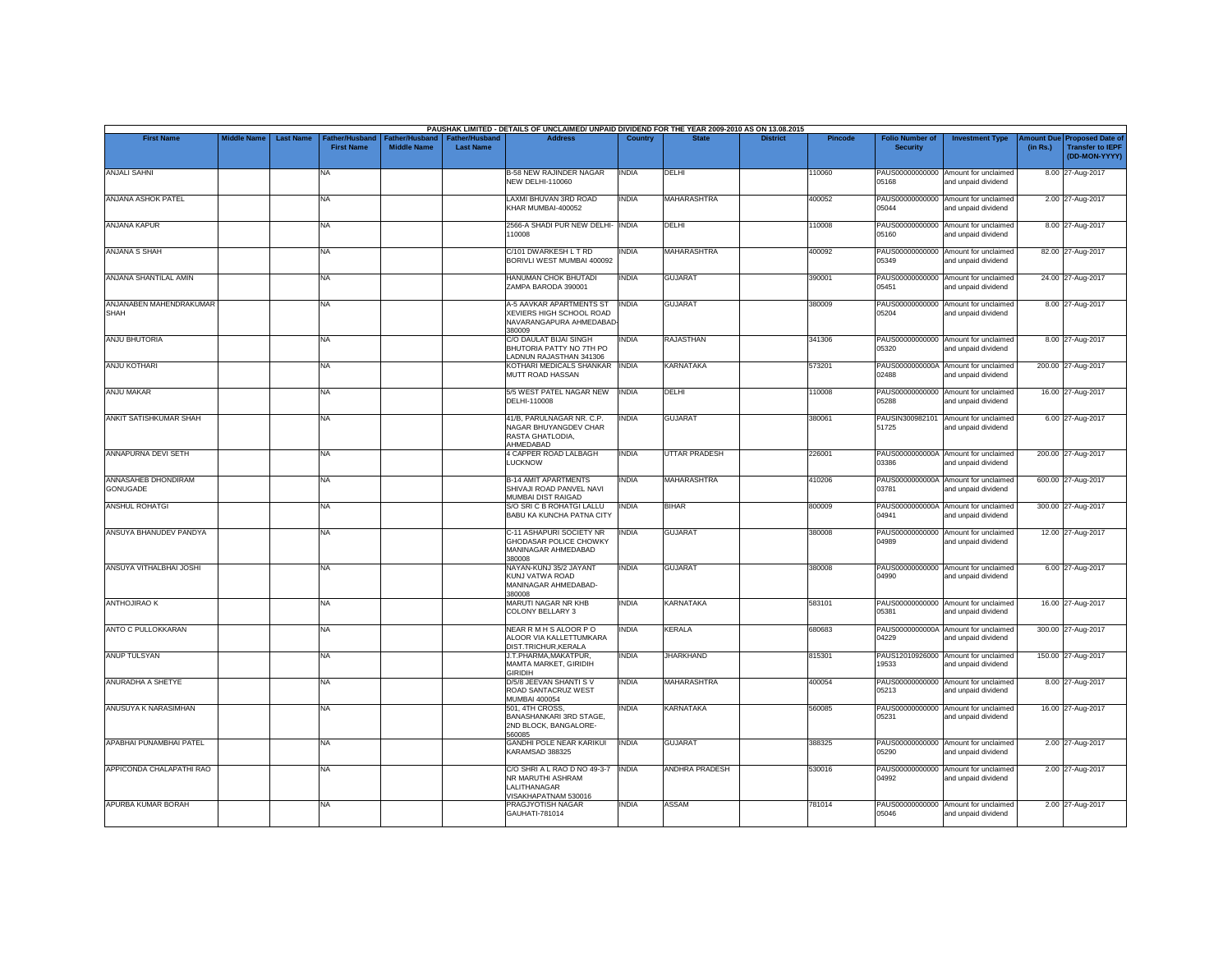|                                        |                    |                  |                                     |                                      |                                           | PAUSHAK LIMITED - DETAILS OF UNCLAIMED/ UNPAID DIVIDEND FOR THE YEAR 2009-2010 AS ON 13.08.2015 |                |                       |                 |                |                                           |                                                             |                               |                                                                     |
|----------------------------------------|--------------------|------------------|-------------------------------------|--------------------------------------|-------------------------------------------|-------------------------------------------------------------------------------------------------|----------------|-----------------------|-----------------|----------------|-------------------------------------------|-------------------------------------------------------------|-------------------------------|---------------------------------------------------------------------|
| <b>First Name</b>                      | <b>Middle Name</b> | <b>Last Name</b> | Father/Husband<br><b>First Name</b> | Father/Husband<br><b>Middle Name</b> | <b>Father/Husband</b><br><b>Last Name</b> | <b>Address</b>                                                                                  | <b>Country</b> | <b>State</b>          | <b>District</b> | <b>Pincode</b> | <b>Folio Number of</b><br><b>Security</b> | <b>Investment Type</b>                                      | <b>Imount Due</b><br>(in Rs.) | <b>Proposed Date of</b><br><b>Transfer to IEPF</b><br>(DD-MON-YYYY) |
| <b>ANJALI SAHNI</b>                    |                    |                  | <b>NA</b>                           |                                      |                                           | <b>B-58 NEW RAJINDER NAGAR</b><br><b>NEW DELHI-110060</b>                                       | <b>INDIA</b>   | DELHI                 |                 | 110060         | 05168                                     | PAUS00000000000 Amount for unclaimed<br>and unpaid dividend |                               | 8.00 27-Aug-2017                                                    |
| ANJANA ASHOK PATEL                     |                    |                  | <b>NA</b>                           |                                      |                                           | LAXMI BHUVAN 3RD ROAD<br>KHAR MUMBAI-400052                                                     | INDIA          | <b>MAHARASHTRA</b>    |                 | 400052         | 05044                                     | PAUS00000000000 Amount for unclaimed<br>and unpaid dividend |                               | 2.00 27-Aug-2017                                                    |
| <b>ANJANA KAPUR</b>                    |                    |                  | <b>NA</b>                           |                                      |                                           | 2566-A SHADI PUR NEW DELHI- INDIA<br>110008                                                     |                | DELHI                 |                 | 110008         | PAUS00000000000<br>05160                  | Amount for unclaimed<br>and unpaid dividend                 |                               | 8.00 27-Aug-2017                                                    |
| <b>ANJANA S SHAH</b>                   |                    |                  | <b>NA</b>                           |                                      |                                           | C/101 DWARKESH L T RD<br>BORIVLI WEST MUMBAI 400092                                             | INDIA          | <b>MAHARASHTRA</b>    |                 | 400092         | PAUS00000000000<br>05349                  | Amount for unclaimed<br>and unpaid dividend                 |                               | 82.00 27-Aug-2017                                                   |
| ANJANA SHANTILAL AMIN                  |                    |                  | <b>NA</b>                           |                                      |                                           | HANUMAN CHOK BHUTADI<br>ZAMPA BARODA 390001                                                     | INDIA          | <b>GUJARAT</b>        |                 | 390001         | 05451                                     | PAUS00000000000 Amount for unclaimed<br>and unpaid dividend |                               | 24.00 27-Aug-2017                                                   |
| ANJANABEN MAHENDRAKUMAR<br><b>SHAH</b> |                    |                  | <b>NA</b>                           |                                      |                                           | A-5 AAVKAR APARTMENTS ST<br>XEVIERS HIGH SCHOOL ROAD<br>NAVARANGAPURA AHMEDABAD<br>380009       | <b>INDIA</b>   | <b>GUJARAT</b>        |                 | 380009         | 05204                                     | PAUS00000000000 Amount for unclaimed<br>and unpaid dividend |                               | 8.00 27-Aug-2017                                                    |
| ANJU BHUTORIA                          |                    |                  | <b>NA</b>                           |                                      |                                           | C/O DAULAT BIJAI SINGH<br>BHUTORIA PATTY NO 7TH PO<br>LADNUN RAJASTHAN 341306                   | <b>INDIA</b>   | <b>RAJASTHAN</b>      |                 | 341306         | 05320                                     | PAUS00000000000 Amount for unclaimed<br>and unpaid dividend |                               | 8.00 27-Aug-2017                                                    |
| <b>ANJU KOTHARI</b>                    |                    |                  | <b>NA</b>                           |                                      |                                           | KOTHARI MEDICALS SHANKAR INDIA<br>MUTT ROAD HASSAN                                              |                | <b>KARNATAKA</b>      |                 | 573201         | 02488                                     | PAUS0000000000A Amount for unclaimed<br>and unpaid dividend |                               | 200.00 27-Aug-2017                                                  |
| <b>ANJU MAKAR</b>                      |                    |                  | <b>NA</b>                           |                                      |                                           | 5/5 WEST PATEL NAGAR NEW<br>DELHI-110008                                                        | <b>INDIA</b>   | DELHI                 |                 | 110008         | PAUS00000000000<br>05288                  | Amount for unclaimed<br>and unpaid dividend                 |                               | 16.00 27-Aug-2017                                                   |
| ANKIT SATISHKUMAR SHAH                 |                    |                  | <b>NA</b>                           |                                      |                                           | 41/B, PARULNAGAR NR. C.P.<br>NAGAR BHUYANGDEV CHAR<br>RASTA GHATLODIA,<br>AHMEDABAD             | india          | <b>GUJARAT</b>        |                 | 380061         | 51725                                     | PAUSIN300982101 Amount for unclaimed<br>and unpaid dividend |                               | 6.00 27-Aug-2017                                                    |
| ANNAPURNA DEVI SETH                    |                    |                  | <b>NA</b>                           |                                      |                                           | 4 CAPPER ROAD LALBAGH<br><b>LUCKNOW</b>                                                         | INDIA          | <b>UTTAR PRADESH</b>  |                 | 226001         | 03386                                     | PAUS0000000000A Amount for unclaimed<br>and unpaid dividend |                               | 200.00 27-Aug-2017                                                  |
| ANNASAHEB DHONDIRAM<br>GONUGADE        |                    |                  | <b>NA</b>                           |                                      |                                           | <b>B-14 AMIT APARTMENTS</b><br>SHIVAJI ROAD PANVEL NAVI<br>MUMBAI DIST RAIGAD                   | INDIA          | MAHARASHTRA           |                 | 410206         | 03781                                     | PAUS0000000000A Amount for unclaimed<br>and unpaid dividend |                               | 600.00 27-Aug-2017                                                  |
| <b>ANSHUL ROHATGI</b>                  |                    |                  | <b>NA</b>                           |                                      |                                           | S/O SRI C B ROHATGI LALLU<br>BABU KA KUNCHA PATNA CITY                                          | <b>INDIA</b>   | <b>BIHAR</b>          |                 | 800009         | 04941                                     | PAUS0000000000A Amount for unclaimed<br>and unpaid dividend |                               | 300.00 27-Aug-2017                                                  |
| ANSUYA BHANUDEV PANDYA                 |                    |                  | <b>NA</b>                           |                                      |                                           | C-11 ASHAPURI SOCIETY NR<br>GHODASAR POLICE CHOWKY<br>MANINAGAR AHMEDABAD<br>380008             | INDIA          | <b>GUJARAT</b>        |                 | 380008         | PAUS00000000000<br>04989                  | Amount for unclaimed<br>and unpaid dividend                 |                               | 12.00 27-Aug-2017                                                   |
| ANSUYA VITHALBHAI JOSHI                |                    |                  | <b>NA</b>                           |                                      |                                           | NAYAN-KUNJ 35/2 JAYANT<br>KUNJ VATWA ROAD<br>MANINAGAR AHMEDABAD-<br>380008                     | <b>INDIA</b>   | <b>GUJARAT</b>        |                 | 380008         | 04990                                     | PAUS00000000000 Amount for unclaimed<br>and unpaid dividend |                               | 6.00 27-Aug-2017                                                    |
| <b>ANTHOJIRAO K</b>                    |                    |                  | <b>NA</b>                           |                                      |                                           | MARUTI NAGAR NR KHB<br>COLONY BELLARY 3                                                         | INDIA          | <b>KARNATAKA</b>      |                 | 583101         | 05381                                     | PAUS00000000000 Amount for unclaimed<br>and unpaid dividend |                               | 16.00 27-Aug-2017                                                   |
| <b>ANTO C PULLOKKARAN</b>              |                    |                  | <b>NA</b>                           |                                      |                                           | NEAR R M H S ALOOR PO<br>ALOOR VIA KALLETTUMKARA<br>DIST.TRICHUR, KERALA                        | <b>INDIA</b>   | <b>KERALA</b>         |                 | 680683         | 04229                                     | PAUS0000000000A Amount for unclaimed<br>and unpaid dividend |                               | 300.00 27-Aug-2017                                                  |
| <b>ANUP TULSYAN</b>                    |                    |                  | <b>NA</b>                           |                                      |                                           | J.T.PHARMA, MAKATPUR,<br>MAMTA MARKET, GIRIDIH<br><b>GIRIDIH</b>                                | INDIA          | <b>JHARKHAND</b>      |                 | 815301         | PAUS12010926000<br>19533                  | Amount for unclaimed<br>and unpaid dividend                 |                               | 150.00 27-Aug-2017                                                  |
| ANURADHA A SHETYE                      |                    |                  | <b>NA</b>                           |                                      |                                           | D/5/8 JEEVAN SHANTI S V<br>ROAD SANTACRUZ WEST<br><b>MUMBAI 400054</b>                          | INDIA          | <b>MAHARASHTRA</b>    |                 | 400054         | 05213                                     | PAUS00000000000 Amount for unclaimed<br>and unpaid dividend |                               | 8.00 27-Aug-2017                                                    |
| ANUSUYA K NARASIMHAN                   |                    |                  | <b>NA</b>                           |                                      |                                           | 501, 4TH CROSS.<br>BANASHANKARI 3RD STAGE,<br>2ND BLOCK, BANGALORE-<br>560085                   | INDIA          | <b>KARNATAKA</b>      |                 | 560085         | PAUS00000000000<br>05231                  | Amount for unclaimed<br>and unpaid dividend                 |                               | 16.00 27-Aug-2017                                                   |
| APABHAI PUNAMBHAI PATEL                |                    |                  | <b>NA</b>                           |                                      |                                           | <b>GANDHI POLE NEAR KARIKUI</b><br>KARAMSAD 388325                                              | <b>INDIA</b>   | <b>GUJARAT</b>        |                 | 388325         | PAUS00000000000<br>05290                  | Amount for unclaimed<br>and unpaid dividend                 |                               | 2.00 27-Aug-2017                                                    |
| APPICONDA CHALAPATHI RAO               |                    |                  | <b>NA</b>                           |                                      |                                           | C/O SHRI A L RAO D NO 49-3-7<br>NR MARUTHI ASHRAM<br>LALITHANAGAR<br>VISAKHAPATNAM 530016       | <b>INDIA</b>   | <b>ANDHRA PRADESH</b> |                 | 530016         | 04992                                     | PAUS00000000000 Amount for unclaimed<br>and unpaid dividend |                               | 2.00 27-Aug-2017                                                    |
| APURBA KUMAR BORAH                     |                    |                  | <b>NA</b>                           |                                      |                                           | PRAGJYOTISH NAGAR<br>GAUHATI-781014                                                             | INDIA          | <b>ASSAM</b>          |                 | 781014         | PAUS00000000000<br>05046                  | Amount for unclaimed<br>and unpaid dividend                 |                               | 2.00 27-Aug-2017                                                    |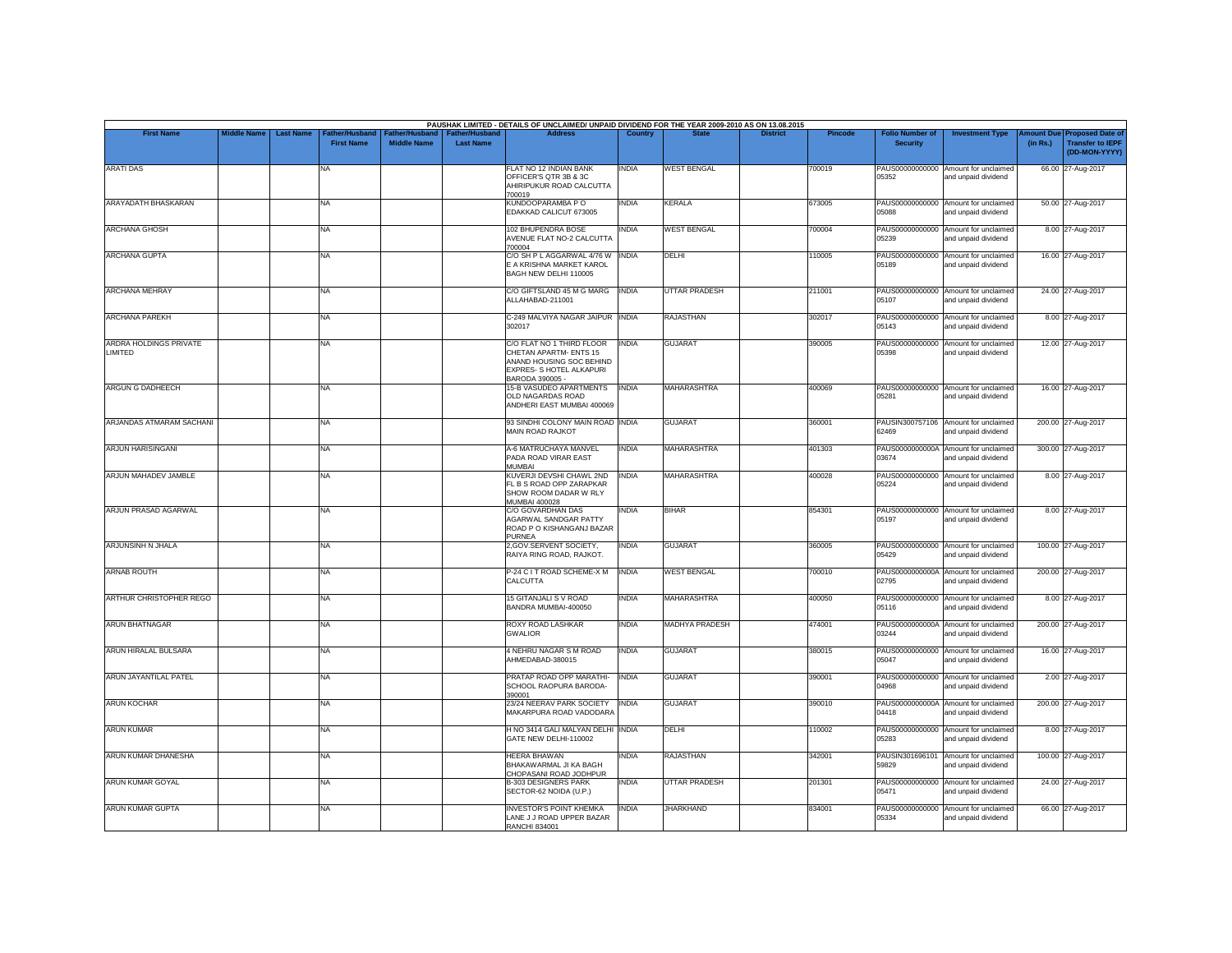|                                   |                    |                  |                                     |                                      |                                    | PAUSHAK LIMITED - DETAILS OF UNCLAIMED/ UNPAID DIVIDEND FOR THE YEAR 2009-2010 AS ON 13.08.2015                                |              |                       |                 |                |                                           |                                                             |                               |                                                                     |
|-----------------------------------|--------------------|------------------|-------------------------------------|--------------------------------------|------------------------------------|--------------------------------------------------------------------------------------------------------------------------------|--------------|-----------------------|-----------------|----------------|-------------------------------------------|-------------------------------------------------------------|-------------------------------|---------------------------------------------------------------------|
| <b>First Name</b>                 | <b>Middle Name</b> | <b>Last Name</b> | Father/Husband<br><b>First Name</b> | Father/Husband<br><b>Middle Name</b> | Father/Husband<br><b>Last Name</b> | <b>Address</b>                                                                                                                 | Country      | <b>State</b>          | <b>District</b> | <b>Pincode</b> | <b>Folio Number of</b><br><b>Security</b> | <b>Investment Type</b>                                      | <b>Imount Due</b><br>(in Rs.) | <b>Proposed Date of</b><br><b>Transfer to IEPF</b><br>(DD-MON-YYYY) |
| <b>ARATI DAS</b>                  |                    |                  | NA                                  |                                      |                                    | FLAT NO 12 INDIAN BANK<br>OFFICER'S QTR 3B & 3C<br>AHIRIPUKUR ROAD CALCUTTA<br>700019                                          | <b>INDIA</b> | <b>WEST BENGAL</b>    |                 | 700019         | 05352                                     | PAUS00000000000 Amount for unclaimed<br>and unpaid dividend |                               | 66.00 27-Aug-2017                                                   |
| ARAYADATH BHASKARAN               |                    |                  | NA                                  |                                      |                                    | KUNDOOPARAMBA PO<br>EDAKKAD CALICUT 673005                                                                                     | <b>INDIA</b> | <b>KERALA</b>         |                 | 673005         | 05088                                     | PAUS00000000000 Amount for unclaimed<br>and unpaid dividend |                               | 50.00 27-Aug-2017                                                   |
| <b>ARCHANA GHOSH</b>              |                    |                  | NA                                  |                                      |                                    | 102 BHUPENDRA BOSE<br>AVENUE FLAT NO-2 CALCUTTA<br>700004                                                                      | <b>INDIA</b> | <b>WEST BENGAL</b>    |                 | 700004         | 05239                                     | PAUS00000000000 Amount for unclaimed<br>and unpaid dividend |                               | 8.00 27-Aug-2017                                                    |
| <b>ARCHANA GUPTA</b>              |                    |                  | <b>NA</b>                           |                                      |                                    | C/O SH P L AGGARWAL 4/76 W   INDIA<br>E A KRISHNA MARKET KAROL<br>BAGH NEW DELHI 110005                                        |              | <b>DELHI</b>          |                 | 110005         | 05189                                     | PAUS00000000000 Amount for unclaimed<br>and unpaid dividend |                               | 16.00 27-Aug-2017                                                   |
| <b>ARCHANA MEHRAY</b>             |                    |                  | NA                                  |                                      |                                    | C/O GIFTSLAND 45 M G MARG<br>ALLAHABAD-211001                                                                                  | <b>INDIA</b> | <b>UTTAR PRADESH</b>  |                 | 211001         | 05107                                     | PAUS00000000000 Amount for unclaimed<br>and unpaid dividend |                               | 24.00 27-Aug-2017                                                   |
| <b>ARCHANA PAREKH</b>             |                    |                  | NA                                  |                                      |                                    | C-249 MALVIYA NAGAR JAIPUR INDIA<br>302017                                                                                     |              | <b>RAJASTHAN</b>      |                 | 302017         | 05143                                     | PAUS00000000000 Amount for unclaimed<br>and unpaid dividend |                               | 8.00 27-Aug-2017                                                    |
| ARDRA HOLDINGS PRIVATE<br>LIMITED |                    |                  | NA                                  |                                      |                                    | C/O FLAT NO 1 THIRD FLOOR<br>CHETAN APARTM- ENTS 15<br>ANAND HOUSING SOC BEHIND<br>EXPRES- S HOTEL ALKAPURI<br>BARODA 390005 - | <b>INDIA</b> | <b>GUJARAT</b>        |                 | 390005         | 05398                                     | PAUS00000000000 Amount for unclaimed<br>and unpaid dividend |                               | 12.00 27-Aug-2017                                                   |
| ARGUN G DADHEECH                  |                    |                  | NA                                  |                                      |                                    | 15-B VASUDEO APARTMENTS<br>OLD NAGARDAS ROAD<br>ANDHERI EAST MUMBAI 400069                                                     | <b>INDIA</b> | MAHARASHTRA           |                 | 400069         | 05281                                     | PAUS00000000000 Amount for unclaimed<br>and unpaid dividend |                               | 16.00 27-Aug-2017                                                   |
| ARJANDAS ATMARAM SACHANI          |                    |                  | NA                                  |                                      |                                    | 93 SINDHI COLONY MAIN ROAD INDIA<br><b>MAIN ROAD RAJKOT</b>                                                                    |              | <b>GUJARAT</b>        |                 | 360001         | 62469                                     | PAUSIN300757106 Amount for unclaimed<br>and unpaid dividend |                               | 200.00 27-Aug-2017                                                  |
| <b>ARJUN HARISINGANI</b>          |                    |                  | NA                                  |                                      |                                    | A-6 MATRUCHAYA MANVEL<br>PADA ROAD VIRAR EAST<br><b>MUMBAL</b>                                                                 | <b>INDIA</b> | <b>MAHARASHTRA</b>    |                 | 401303         | 03674                                     | PAUS0000000000A Amount for unclaimed<br>and unpaid dividend |                               | 300.00 27-Aug-2017                                                  |
| ARJUN MAHADEV JAMBLE              |                    |                  | NA                                  |                                      |                                    | KUVERJI DEVSHI CHAWL 2ND<br>FL B S ROAD OPP ZARAPKAR<br>SHOW ROOM DADAR W RLY<br><b>MUMBAI 400028</b>                          | <b>INDIA</b> | MAHARASHTRA           |                 | 400028         | 05224                                     | PAUS00000000000 Amount for unclaimed<br>and unpaid dividend |                               | 8.00 27-Aug-2017                                                    |
| ARJUN PRASAD AGARWAL              |                    |                  | NA                                  |                                      |                                    | C/O GOVARDHAN DAS<br>AGARWAL SANDGAR PATTY<br>ROAD P O KISHANGANJ BAZAR<br><b>PURNEA</b>                                       | <b>INDIA</b> | <b>BIHAR</b>          |                 | 854301         | 05197                                     | PAUS00000000000 Amount for unclaimed<br>and unpaid dividend |                               | 8.00 27-Aug-2017                                                    |
| ARJUNSINH N JHALA                 |                    |                  | NA                                  |                                      |                                    | 2, GOV. SERVENT SOCIETY,<br>RAIYA RING ROAD, RAJKOT.                                                                           | <b>INDIA</b> | <b>GUJARAT</b>        |                 | 360005         | 05429                                     | PAUS00000000000 Amount for unclaimed<br>and unpaid dividend |                               | 100.00 27-Aug-2017                                                  |
| <b>ARNAB ROUTH</b>                |                    |                  | <b>NA</b>                           |                                      |                                    | P-24 C I T ROAD SCHEME-X M<br>CALCUTTA                                                                                         | <b>INDIA</b> | <b>WEST BENGAL</b>    |                 | 700010         | 02795                                     | PAUS0000000000A Amount for unclaimed<br>and unpaid dividend |                               | 200.00 27-Aug-2017                                                  |
| <b>ARTHUR CHRISTOPHER REGO</b>    |                    |                  | NA                                  |                                      |                                    | 15 GITANJALI S V ROAD<br>BANDRA MUMBAI-400050                                                                                  | <b>INDIA</b> | <b>MAHARASHTRA</b>    |                 | 400050         | 05116                                     | PAUS00000000000 Amount for unclaimed<br>and unpaid dividend |                               | 8.00 27-Aug-2017                                                    |
| <b>ARUN BHATNAGAR</b>             |                    |                  | NA                                  |                                      |                                    | ROXY ROAD LASHKAR<br><b>GWALIOR</b>                                                                                            | <b>INDIA</b> | <b>MADHYA PRADESH</b> |                 | 474001         | 03244                                     | PAUS0000000000A Amount for unclaimed<br>and unpaid dividend |                               | 200.00 27-Aug-2017                                                  |
| ARUN HIRALAL BULSARA              |                    |                  | NA                                  |                                      |                                    | 4 NEHRU NAGAR S M ROAD<br>AHMEDABAD-380015                                                                                     | <b>INDIA</b> | <b>GUJARAT</b>        |                 | 380015         | 05047                                     | PAUS00000000000 Amount for unclaimed<br>and unpaid dividend |                               | 16.00 27-Aug-2017                                                   |
| ARUN JAYANTILAL PATEL             |                    |                  | NA                                  |                                      |                                    | PRATAP ROAD OPP MARATHI-<br>SCHOOL RAOPURA BARODA-<br>390001                                                                   | <b>INDIA</b> | <b>GUJARAT</b>        |                 | 390001         | 04968                                     | PAUS00000000000 Amount for unclaimed<br>and unpaid dividend |                               | 2.00 27-Aug-2017                                                    |
| <b>ARUN KOCHAR</b>                |                    |                  | NA.                                 |                                      |                                    | 23/24 NEERAV PARK SOCIETY<br>MAKARPURA ROAD VADODARA                                                                           | <b>INDIA</b> | <b>GUJARAT</b>        |                 | 390010         | 04418                                     | PAUS0000000000A Amount for unclaimed<br>and unpaid dividend |                               | 200.00 27-Aug-2017                                                  |
| <b>ARUN KUMAR</b>                 |                    |                  | NA                                  |                                      |                                    | H NO 3414 GALI MALYAN DELHI INDIA<br>GATE NEW DELHI-110002                                                                     |              | DELHI                 |                 | 110002         | 05283                                     | PAUS00000000000 Amount for unclaimed<br>and unpaid dividend |                               | 8.00 27-Aug-2017                                                    |
| ARUN KUMAR DHANESHA               |                    |                  | NA                                  |                                      |                                    | <b>HEERA BHAWAN</b><br>BHAKAWARMAL JI KA BAGH<br>CHOPASANI ROAD JODHPUR                                                        | <b>INDIA</b> | <b>RAJASTHAN</b>      |                 | 342001         | PAUSIN301696101<br>59829                  | Amount for unclaimed<br>and unpaid dividend                 |                               | 100.00 27-Aug-2017                                                  |
| ARUN KUMAR GOYAL                  |                    |                  | <b>NA</b>                           |                                      |                                    | <b>B-303 DESIGNERS PARK</b><br>SECTOR-62 NOIDA (U.P.)                                                                          | <b>INDIA</b> | <b>UTTAR PRADESH</b>  |                 | 201301         | 05471                                     | PAUS00000000000 Amount for unclaimed<br>and unpaid dividend |                               | 24.00 27-Aug-2017                                                   |
| <b>ARUN KUMAR GUPTA</b>           |                    |                  | NA                                  |                                      |                                    | <b>INVESTOR'S POINT KHEMKA</b><br>LANE J J ROAD UPPER BAZAR<br><b>RANCHI 834001</b>                                            | <b>INDIA</b> | <b>JHARKHAND</b>      |                 | 834001         | 05334                                     | PAUS00000000000 Amount for unclaimed<br>and unpaid dividend |                               | 66.00 27-Aug-2017                                                   |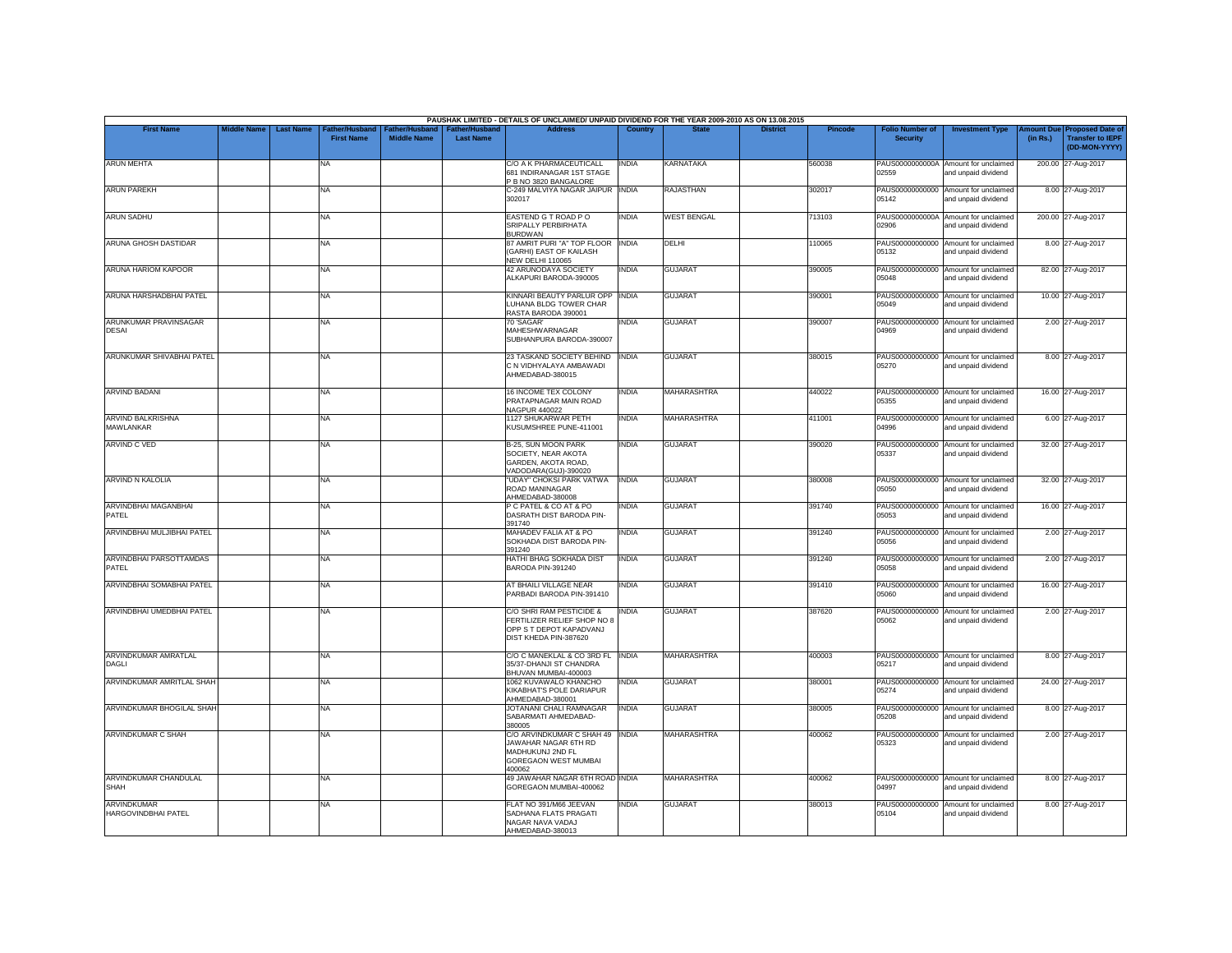|                                       |                    |                  |                                     |                                             |                                           | PAUSHAK LIMITED - DETAILS OF UNCLAIMED/ UNPAID DIVIDEND FOR THE YEAR 2009-2010 AS ON 13.08.2015                      |                |                    |                 |         |                                           |                                                             |                        |                                                                     |
|---------------------------------------|--------------------|------------------|-------------------------------------|---------------------------------------------|-------------------------------------------|----------------------------------------------------------------------------------------------------------------------|----------------|--------------------|-----------------|---------|-------------------------------------------|-------------------------------------------------------------|------------------------|---------------------------------------------------------------------|
| <b>First Name</b>                     | <b>Middle Name</b> | <b>Last Name</b> | Father/Husband<br><b>First Name</b> | <b>Father/Husband</b><br><b>Middle Name</b> | <b>Father/Husband</b><br><b>Last Name</b> | <b>Address</b>                                                                                                       | <b>Country</b> | <b>State</b>       | <b>District</b> | Pincode | <b>Folio Number of</b><br><b>Security</b> | <b>Investment Type</b>                                      | Amount Due<br>(in Rs.) | <b>Proposed Date of</b><br><b>Transfer to IEPF</b><br>(DD-MON-YYYY) |
| <b>ARUN MEHTA</b>                     |                    |                  | <b>NA</b>                           |                                             |                                           | C/O A K PHARMACEUTICALL<br>681 INDIRANAGAR 1ST STAGE<br>P B NO 3820 BANGALORE                                        | <b>INDIA</b>   | KARNATAKA          |                 | 560038  | 02559                                     | PAUS0000000000A Amount for unclaimed<br>and unpaid dividend |                        | 200.00 27-Aug-2017                                                  |
| <b>ARUN PAREKH</b>                    |                    |                  | <b>NA</b>                           |                                             |                                           | C-249 MALVIYA NAGAR JAIPUR INDIA<br>302017                                                                           |                | <b>RAJASTHAN</b>   |                 | 302017  | 05142                                     | PAUS00000000000 Amount for unclaimed<br>and unpaid dividend |                        | 8.00 27-Aug-2017                                                    |
| <b>ARUN SADHU</b>                     |                    |                  | NA                                  |                                             |                                           | EASTEND G T ROAD PO<br>SRIPALLY PERBIRHATA<br><b>BURDWAN</b>                                                         | <b>INDIA</b>   | <b>WEST BENGAL</b> |                 | 713103  | PAUS0000000000A<br>02906                  | Amount for unclaimed<br>and unpaid dividend                 |                        | 200.00 27-Aug-2017                                                  |
| <b>ARUNA GHOSH DASTIDAR</b>           |                    |                  | <b>NA</b>                           |                                             |                                           | 87 AMRIT PURI "A" TOP FLOOR INDIA<br>(GARHI) EAST OF KAILASH<br><b>NEW DELHI 110065</b>                              |                | <b>DFLHI</b>       |                 | 110065  | 05132                                     | PAUS00000000000 Amount for unclaimed<br>and unpaid dividend |                        | 8.00 27-Aug-2017                                                    |
| ARUNA HARIOM KAPOOR                   |                    |                  | <b>NA</b>                           |                                             |                                           | <b>42 ARUNODAYA SOCIETY</b><br>ALKAPURI BARODA-390005                                                                | INDIA          | <b>GUJARAT</b>     |                 | 390005  | PAUS00000000000<br>05048                  | Amount for unclaimed<br>and unpaid dividend                 |                        | 82.00 27-Aug-2017                                                   |
| ARUNA HARSHADBHAI PATEL               |                    |                  | <b>NA</b>                           |                                             |                                           | KINNARI BEAUTY PARLUR OPP<br>LUHANA BLDG TOWER CHAR<br>RASTA BARODA 390001                                           | <b>INDIA</b>   | <b>GUJARAT</b>     |                 | 390001  | 05049                                     | PAUS00000000000 Amount for unclaimed<br>and unpaid dividend |                        | 10.00 27-Aug-2017                                                   |
| ARUNKUMAR PRAVINSAGAR<br><b>DESAI</b> |                    |                  | NA                                  |                                             |                                           | 70 'SAGAR'<br>MAHESHWARNAGAR<br>SUBHANPURA BARODA-390007                                                             | INDIA          | <b>GUJARAT</b>     |                 | 390007  | PAUS00000000000<br>04969                  | Amount for unclaimed<br>and unpaid dividend                 |                        | 2.00 27-Aug-2017                                                    |
| ARUNKUMAR SHIVABHAI PATEL             |                    |                  | <b>NA</b>                           |                                             |                                           | 23 TASKAND SOCIETY BEHIND<br>C N VIDHYALAYA AMBAWADI<br>AHMEDABAD-380015                                             | <b>INDIA</b>   | <b>GUJARAT</b>     |                 | 380015  | 05270                                     | PAUS00000000000 Amount for unclaimed<br>and unpaid dividend |                        | 8.00 27-Aug-2017                                                    |
| <b>ARVIND BADANI</b>                  |                    |                  | <b>NA</b>                           |                                             |                                           | <b>16 INCOME TEX COLONY</b><br>PRATAPNAGAR MAIN ROAD<br>NAGPUR 440022                                                | <b>INDIA</b>   | <b>MAHARASHTRA</b> |                 | 440022  | 05355                                     | PAUS00000000000 Amount for unclaimed<br>and unpaid dividend |                        | 16.00 27-Aug-2017                                                   |
| ARVIND BALKRISHNA<br>MAWLANKAR        |                    |                  | <b>NA</b>                           |                                             |                                           | <b>1127 SHUKARWAR PETH</b><br>KUSUMSHREE PUNE-411001                                                                 | INDIA          | <b>MAHARASHTRA</b> |                 | 411001  | PAUS00000000000<br>04996                  | Amount for unclaimed<br>and unpaid dividend                 |                        | 6.00 27-Aug-2017                                                    |
| <b>ARVIND C VED</b>                   |                    |                  | <b>NA</b>                           |                                             |                                           | B-25, SUN MOON PARK<br>SOCIETY, NEAR AKOTA<br>GARDEN, AKOTA ROAD,<br>VADODARA(GUJ)-390020                            | <b>INDIA</b>   | <b>GUJARAT</b>     |                 | 390020  | PAUS00000000000<br>05337                  | Amount for unclaimed<br>and unpaid dividend                 |                        | 32.00 27-Aug-2017                                                   |
| ARVIND N KALOLIA                      |                    |                  | <b>NA</b>                           |                                             |                                           | "UDAY" CHOKSI PARK VATWA<br>ROAD MANINAGAR<br>AHMEDABAD-380008                                                       | <b>INDIA</b>   | <b>GUJARAT</b>     |                 | 380008  | 05050                                     | PAUS00000000000 Amount for unclaimed<br>and unpaid dividend |                        | 32.00 27-Aug-2017                                                   |
| ARVINDBHAI MAGANBHAI<br>PATEL         |                    |                  | <b>NA</b>                           |                                             |                                           | P C PATEL & CO AT & PO<br>DASRATH DIST BARODA PIN-<br>391740                                                         | INDIA          | <b>GUJARAT</b>     |                 | 391740  | PAUS00000000000<br>05053                  | Amount for unclaimed<br>and unpaid dividend                 |                        | 16.00 27-Aug-2017                                                   |
| ARVINDBHAI MULJIBHAI PATEL            |                    |                  | <b>NA</b>                           |                                             |                                           | MAHADEV FALIA AT & PO<br>SOKHADA DIST BARODA PIN-<br>391240                                                          | india          | <b>GUJARAT</b>     |                 | 391240  | 05056                                     | PAUS00000000000 Amount for unclaimed<br>and unpaid dividend |                        | 2.00 27-Aug-2017                                                    |
| ARVINDBHAI PARSOTTAMDAS<br>PATEL      |                    |                  | <b>NA</b>                           |                                             |                                           | HATHI BHAG SOKHADA DIST<br>BARODA PIN-391240                                                                         | <b>INDIA</b>   | <b>GUJARAT</b>     |                 | 391240  | 05058                                     | PAUS00000000000 Amount for unclaimed<br>and unpaid dividend |                        | 2.00 27-Aug-2017                                                    |
| ARVINDBHAI SOMABHAI PATEL             |                    |                  | <b>NA</b>                           |                                             |                                           | AT BHAILI VILLAGE NEAR<br>PARBADI BARODA PIN-391410                                                                  | <b>INDIA</b>   | <b>GUJARAT</b>     |                 | 391410  | 05060                                     | PAUS00000000000 Amount for unclaimed<br>and unpaid dividend |                        | 16.00 27-Aug-2017                                                   |
| ARVINDBHAI UMEDBHAI PATEL             |                    |                  | <b>NA</b>                           |                                             |                                           | C/O SHRI RAM PESTICIDE &<br>FERTILIZER RELIEF SHOP NO 8<br>OPP S T DEPOT KAPADVANJ<br>DIST KHEDA PIN-387620          | <b>INDIA</b>   | <b>GUJARAT</b>     |                 | 387620  | PAUS00000000000<br>05062                  | Amount for unclaimed<br>and unpaid dividend                 |                        | 2.00 27-Aug-2017                                                    |
| ARVINDKUMAR AMRATLAL<br>DAGLI         |                    |                  | <b>NA</b>                           |                                             |                                           | C/O C MANEKLAL & CO 3RD FL INDIA<br>35/37-DHANJI ST CHANDRA<br>BHUVAN MUMBAI-400003                                  |                | <b>MAHARASHTRA</b> |                 | 400003  | 05217                                     | PAUS00000000000 Amount for unclaimed<br>and unpaid dividend |                        | 8.00 27-Aug-2017                                                    |
| ARVINDKUMAR AMRITLAL SHAH             |                    |                  | <b>NA</b>                           |                                             |                                           | 1062 KUVAWALO KHANCHO<br>KIKABHAT'S POLE DARIAPUR<br>AHMEDABAD-380001                                                | <b>INDIA</b>   | <b>GUJARAT</b>     |                 | 380001  | 05274                                     | PAUS00000000000 Amount for unclaimed<br>and unpaid dividend |                        | 24.00 27-Aug-2017                                                   |
| ARVINDKUMAR BHOGILAL SHAH             |                    |                  | <b>NA</b>                           |                                             |                                           | JOTANANI CHALI RAMNAGAR<br>SABARMATI AHMEDABAD-<br>380005                                                            | <b>INDIA</b>   | <b>GUJARAT</b>     |                 | 380005  | PAUS00000000000<br>05208                  | Amount for unclaimed<br>and unpaid dividend                 |                        | 8.00 27-Aug-2017                                                    |
| <b>ARVINDKUMAR C SHAH</b>             |                    |                  | <b>NA</b>                           |                                             |                                           | C/O ARVINDKUMAR C SHAH 49 INDIA<br>JAWAHAR NAGAR 6TH RD<br>MADHUKUNJ 2ND FL<br><b>GOREGAON WEST MUMBAI</b><br>100062 |                | <b>MAHARASHTRA</b> |                 | 400062  | 05323                                     | PAUS00000000000 Amount for unclaimed<br>and unpaid dividend |                        | 2.00 27-Aug-2017                                                    |
| ARVINDKUMAR CHANDULAL<br><b>SHAH</b>  |                    |                  | <b>NA</b>                           |                                             |                                           | 49 JAWAHAR NAGAR 6TH ROAD INDIA<br>GOREGAON MUMBAI-400062                                                            |                | <b>MAHARASHTRA</b> |                 | 400062  | 04997                                     | PAUS00000000000 Amount for unclaimed<br>and unpaid dividend |                        | 8.00 27-Aug-2017                                                    |
| ARVINDKUMAR<br>HARGOVINDBHAI PATEL    |                    |                  | <b>NA</b>                           |                                             |                                           | FLAT NO 391/M66 JEEVAN<br>SADHANA FLATS PRAGATI<br>NAGAR NAVA VADAJ<br>AHMEDABAD-380013                              | INDIA          | <b>GUJARAT</b>     |                 | 380013  | PAUS00000000000<br>05104                  | Amount for unclaimed<br>and unpaid dividend                 |                        | 8.00 27-Aug-2017                                                    |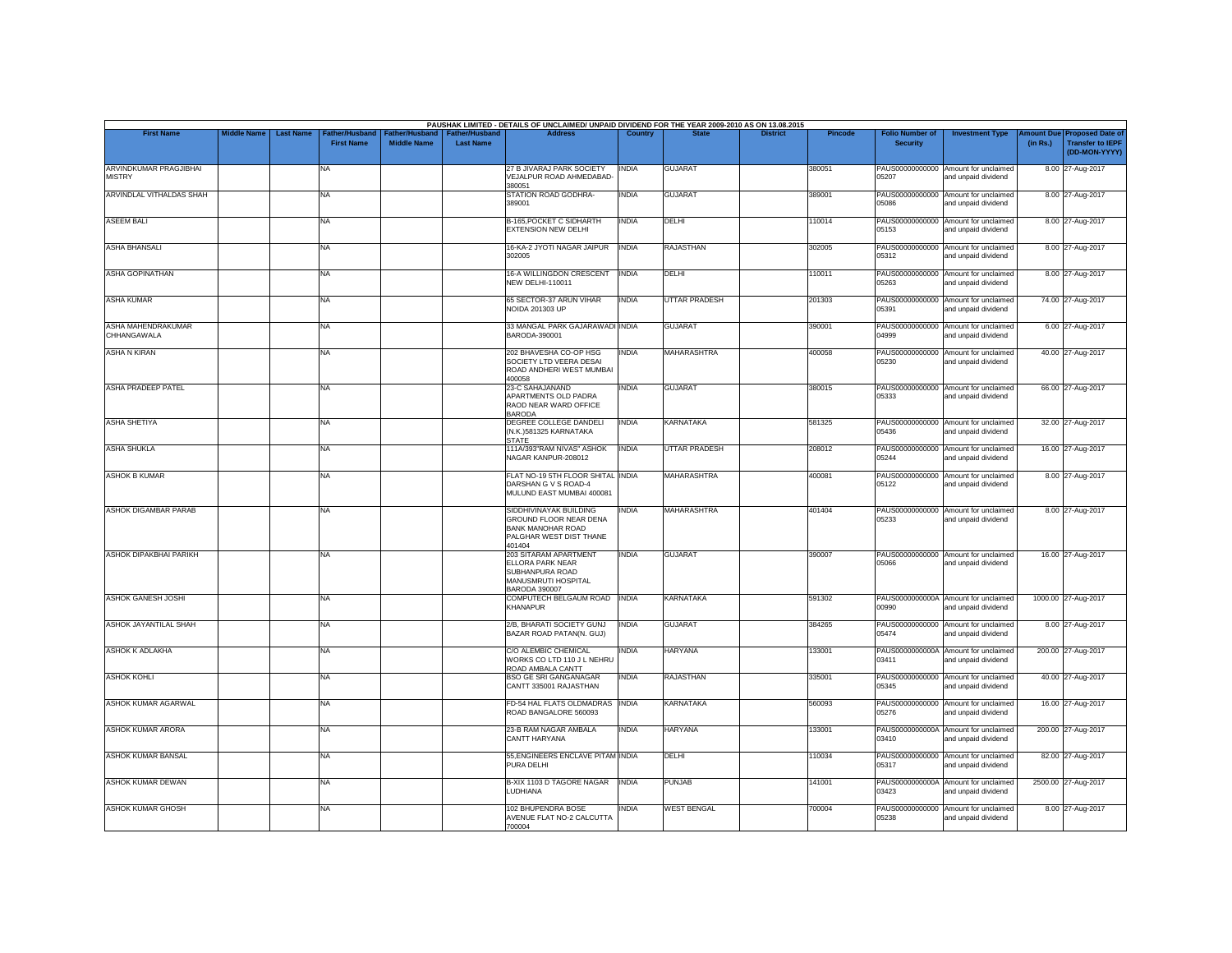|                                         |                    |                  |                                    |                                             |                                           | PAUSHAK LIMITED - DETAILS OF UNCLAIMED/ UNPAID DIVIDEND FOR THE YEAR 2009-2010 AS ON 13.08.2015                   |              |                      |                 |                |                                           |                                                             |                       |                                                                     |
|-----------------------------------------|--------------------|------------------|------------------------------------|---------------------------------------------|-------------------------------------------|-------------------------------------------------------------------------------------------------------------------|--------------|----------------------|-----------------|----------------|-------------------------------------------|-------------------------------------------------------------|-----------------------|---------------------------------------------------------------------|
| <b>First Name</b>                       | <b>Middle Name</b> | <b>Last Name</b> | ather/Husband<br><b>First Name</b> | <b>Father/Husband</b><br><b>Middle Name</b> | <b>Father/Husband</b><br><b>Last Name</b> | <b>Address</b>                                                                                                    | Country      | <b>State</b>         | <b>District</b> | <b>Pincode</b> | <b>Folio Number of</b><br><b>Security</b> | <b>Investment Type</b>                                      | mount Due<br>(in Rs.) | <b>Proposed Date of</b><br><b>Transfer to IEPF</b><br>(DD-MON-YYYY) |
| ARVINDKUMAR PRAGJIBHAI<br><b>MISTRY</b> |                    |                  | NA                                 |                                             |                                           | 27 B JIVARAJ PARK SOCIETY<br>/EJALPUR ROAD AHMEDABAD-<br>380051                                                   | <b>INDIA</b> | GUJARAT              |                 | 380051         | PAUS00000000000<br>05207                  | Amount for unclaimed<br>and unpaid dividend                 |                       | 8.00 27-Aug-2017                                                    |
| ARVINDLAL VITHALDAS SHAH                |                    |                  | <b>NA</b>                          |                                             |                                           | STATION ROAD GODHRA-<br>389001                                                                                    | <b>INDIA</b> | <b>GUJARAT</b>       |                 | 389001         | 05086                                     | PAUS00000000000 Amount for unclaimed<br>and unpaid dividend |                       | 8.00 27-Aug-2017                                                    |
| <b>ASEEM BALL</b>                       |                    |                  | <b>NA</b>                          |                                             |                                           | <b>B-165, POCKET C SIDHARTH</b><br>EXTENSION NEW DELHI                                                            | <b>INDIA</b> | DELHI                |                 | 110014         | PAUS00000000000<br>05153                  | Amount for unclaimed<br>and unpaid dividend                 |                       | 8.00 27-Aug-2017                                                    |
| <b>ASHA BHANSALI</b>                    |                    |                  | <b>NA</b>                          |                                             |                                           | 16-KA-2 JYOTI NAGAR JAIPUR<br>302005                                                                              | <b>INDIA</b> | <b>RAJASTHAN</b>     |                 | 302005         | 05312                                     | PAUS00000000000 Amount for unclaimed<br>and unpaid dividend |                       | 8.00 27-Aug-2017                                                    |
| <b>ASHA GOPINATHAN</b>                  |                    |                  | <b>NA</b>                          |                                             |                                           | 16-A WILLINGDON CRESCENT<br><b>NEW DELHI-110011</b>                                                               | <b>INDIA</b> | DELHI                |                 | 110011         | 05263                                     | PAUS00000000000 Amount for unclaimed<br>and unpaid dividend |                       | 8.00 27-Aug-2017                                                    |
| <b>ASHA KUMAR</b>                       |                    |                  | <b>NA</b>                          |                                             |                                           | 65 SECTOR-37 ARUN VIHAR<br>NOIDA 201303 UP                                                                        | <b>INDIA</b> | <b>UTTAR PRADESH</b> |                 | 201303         | 05391                                     | PAUS00000000000 Amount for unclaimed<br>and unpaid dividend |                       | 74.00 27-Aug-2017                                                   |
| ASHA MAHENDRAKUMAR<br>CHHANGAWALA       |                    |                  | <b>NA</b>                          |                                             |                                           | 33 MANGAL PARK GAJARAWADI INDIA<br>BARODA-390001                                                                  |              | <b>GUJARAT</b>       |                 | 390001         | 04999                                     | PAUS00000000000 Amount for unclaimed<br>and unpaid dividend |                       | 6.00 27-Aug-2017                                                    |
| <b>ASHA N KIRAN</b>                     |                    |                  | <b>NA</b>                          |                                             |                                           | 202 BHAVESHA CO-OP HSG<br>SOCIETY LTD VEERA DESAI<br>ROAD ANDHERI WEST MUMBAI<br>400058                           | INDIA        | <b>MAHARASHTRA</b>   |                 | 400058         | PAUS00000000000<br>05230                  | Amount for unclaimed<br>and unpaid dividend                 |                       | 40.00 27-Aug-2017                                                   |
| ASHA PRADEEP PATEL                      |                    |                  | <b>NA</b>                          |                                             |                                           | 23-C SAHAJANAND<br>APARTMENTS OLD PADRA<br>RAOD NEAR WARD OFFICE<br><b>BARODA</b>                                 | <b>INDIA</b> | <b>GUJARAT</b>       |                 | 380015         | 05333                                     | PAUS00000000000 Amount for unclaimed<br>and unpaid dividend |                       | 66.00 27-Aug-2017                                                   |
| <b>ASHA SHETIYA</b>                     |                    |                  | <b>NA</b>                          |                                             |                                           | DEGREE COLLEGE DANDELI<br>(N.K.)581325 KARNATAKA<br><b>STATE</b>                                                  | <b>INDIA</b> | <b>KARNATAKA</b>     |                 | 581325         | 05436                                     | PAUS00000000000 Amount for unclaimed<br>and unpaid dividend |                       | 32.00 27-Aug-2017                                                   |
| <b>ASHA SHUKLA</b>                      |                    |                  | <b>NA</b>                          |                                             |                                           | 111A/393"RAM NIVAS" ASHOK<br>NAGAR KANPUR-208012                                                                  | <b>INDIA</b> | <b>UTTAR PRADESH</b> |                 | 208012         | PAUS00000000000<br>05244                  | Amount for unclaimed<br>and unpaid dividend                 |                       | 16.00 27-Aug-2017                                                   |
| <b>ASHOK B KUMAR</b>                    |                    |                  | <b>NA</b>                          |                                             |                                           | FLAT NO-19 5TH FLOOR SHITAL INDIA<br>DARSHAN G V S ROAD-4<br>MULUND EAST MUMBAI 400081                            |              | <b>MAHARASHTRA</b>   |                 | 400081         | 05122                                     | PAUS00000000000 Amount for unclaimed<br>and unpaid dividend |                       | 8.00 27-Aug-2017                                                    |
| ASHOK DIGAMBAR PARAB                    |                    |                  | <b>NA</b>                          |                                             |                                           | SIDDHIVINAYAK BUILDING<br>GROUND FLOOR NEAR DENA<br><b>BANK MANOHAR ROAD</b><br>PALGHAR WEST DIST THANE<br>401404 | <b>INDIA</b> | <b>MAHARASHTRA</b>   |                 | 401404         | 05233                                     | PAUS00000000000 Amount for unclaimed<br>and unpaid dividend |                       | 8.00 27-Aug-2017                                                    |
| <b>ASHOK DIPAKBHAI PARIKH</b>           |                    |                  | <b>NA</b>                          |                                             |                                           | 203 SITARAM APARTMENT<br>ELLORA PARK NEAR<br>SUBHANPURA ROAD<br>MANUSMRUTI HOSPITAL<br><b>BARODA 390007</b>       | <b>INDIA</b> | <b>GUJARAT</b>       |                 | 390007         | 05066                                     | PAUS00000000000 Amount for unclaimed<br>and unpaid dividend |                       | 16.00 27-Aug-2017                                                   |
| <b>ASHOK GANESH JOSHI</b>               |                    |                  | <b>NA</b>                          |                                             |                                           | COMPUTECH BELGAUM ROAD<br><b>KHANAPUR</b>                                                                         | <b>INDIA</b> | <b>KARNATAKA</b>     |                 | 591302         | 00990                                     | PAUS0000000000A Amount for unclaimed<br>and unpaid dividend |                       | 1000.00 27-Aug-2017                                                 |
| ASHOK JAYANTILAL SHAH                   |                    |                  | <b>NA</b>                          |                                             |                                           | 2/B, BHARATI SOCIETY GUNJ<br>BAZAR ROAD PATAN(N. GUJ)                                                             | <b>INDIA</b> | <b>GUJARAT</b>       |                 | 384265         | 05474                                     | PAUS00000000000 Amount for unclaimed<br>and unpaid dividend |                       | 8.00 27-Aug-2017                                                    |
| ASHOK K ADLAKHA                         |                    |                  | <b>NA</b>                          |                                             |                                           | C/O ALEMBIC CHEMICAL<br>WORKS CO LTD 110 J L NEHRU<br>ROAD AMBALA CANTT                                           | <b>INDIA</b> | <b>HARYANA</b>       |                 | 133001         | 03411                                     | PAUS0000000000A Amount for unclaimed<br>and unpaid dividend |                       | 200.00 27-Aug-2017                                                  |
| <b>ASHOK KOHLI</b>                      |                    |                  | <b>NA</b>                          |                                             |                                           | <b>BSO GE SRI GANGANAGAR</b><br>CANTT 335001 RAJASTHAN                                                            | <b>INDIA</b> | <b>RAJASTHAN</b>     |                 | 335001         | 05345                                     | PAUS00000000000 Amount for unclaimed<br>and unpaid dividend |                       | 40.00 27-Aug-2017                                                   |
| ASHOK KUMAR AGARWAL                     |                    |                  | <b>NA</b>                          |                                             |                                           | FD-54 HAL FLATS OLDMADRAS<br>ROAD BANGALORE 560093                                                                | <b>INDIA</b> | <b>KARNATAKA</b>     |                 | 560093         | 05276                                     | PAUS00000000000 Amount for unclaimed<br>and unpaid dividend |                       | 16.00 27-Aug-2017                                                   |
| <b>ASHOK KUMAR ARORA</b>                |                    |                  | <b>NA</b>                          |                                             |                                           | 23-B RAM NAGAR AMBALA<br>CANTT HARYANA                                                                            | <b>INDIA</b> | <b>HARYANA</b>       |                 | 133001         | 03410                                     | PAUS0000000000A Amount for unclaimed<br>and unpaid dividend |                       | 200.00 27-Aug-2017                                                  |
| ASHOK KUMAR BANSAL                      |                    |                  | <b>NA</b>                          |                                             |                                           | 55, ENGINEERS ENCLAVE PITAM INDIA<br>PURA DELHI                                                                   |              | DELHI                |                 | 110034         | PAUS00000000000<br>05317                  | Amount for unclaimed<br>and unpaid dividend                 |                       | 82.00 27-Aug-2017                                                   |
| <b>ASHOK KUMAR DEWAN</b>                |                    |                  | <b>NA</b>                          |                                             |                                           | B-XIX 1103 D TAGORE NAGAR<br>LUDHIANA                                                                             | <b>INDIA</b> | <b>PUNJAB</b>        |                 | 141001         | 03423                                     | PAUS0000000000A Amount for unclaimed<br>and unpaid dividend |                       | 2500.00 27-Aug-2017                                                 |
| <b>ASHOK KUMAR GHOSH</b>                |                    |                  | NA                                 |                                             |                                           | 102 BHUPENDRA BOSE<br>AVENUE FLAT NO-2 CALCUTTA<br>700004                                                         | india        | <b>WEST BENGAL</b>   |                 | 700004         | 05238                                     | PAUS00000000000 Amount for unclaimed<br>and unpaid dividend |                       | 8.00 27-Aug-2017                                                    |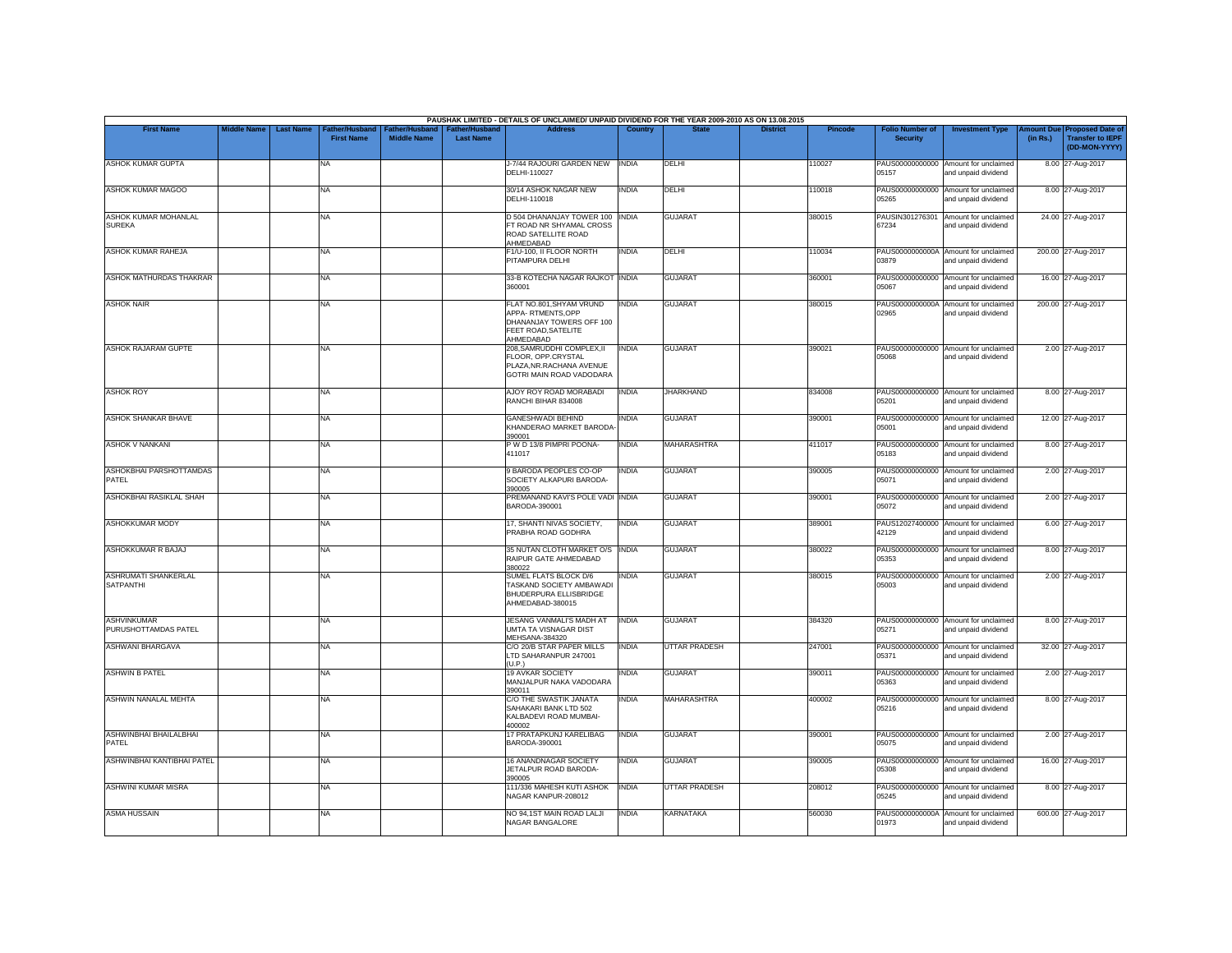|                                          |                    |                                                         |                                      |                                           | PAUSHAK LIMITED - DETAILS OF UNCLAIMED/ UNPAID DIVIDEND FOR THE YEAR 2009-2010 AS ON 13.08.2015              |                |                      |                 |                |                                           |                                                             |          |                                                                        |
|------------------------------------------|--------------------|---------------------------------------------------------|--------------------------------------|-------------------------------------------|--------------------------------------------------------------------------------------------------------------|----------------|----------------------|-----------------|----------------|-------------------------------------------|-------------------------------------------------------------|----------|------------------------------------------------------------------------|
| <b>First Name</b>                        | <b>Middle Name</b> | <b>Last Name</b><br>Father/Husband<br><b>First Name</b> | Father/Husband<br><b>Middle Name</b> | <b>Father/Husband</b><br><b>Last Name</b> | <b>Address</b>                                                                                               | <b>Country</b> | <b>State</b>         | <b>District</b> | <b>Pincode</b> | <b>Folio Number of</b><br><b>Security</b> | <b>Investment Type</b>                                      | (in Rs.) | mount Due Proposed Date of<br><b>Transfer to IEPF</b><br>(DD-MON-YYYY) |
| <b>ASHOK KUMAR GUPTA</b>                 |                    | NA                                                      |                                      |                                           | J-7/44 RAJOURI GARDEN NEW<br>DELHI-110027                                                                    | <b>INDIA</b>   | DELHI                |                 | 110027         | PAUS00000000000<br>05157                  | Amount for unclaimed<br>and unpaid dividend                 |          | 8.00 27-Aug-2017                                                       |
| <b>ASHOK KUMAR MAGOO</b>                 |                    | <b>NA</b>                                               |                                      |                                           | 30/14 ASHOK NAGAR NEW<br>DELHI-110018                                                                        | <b>INDIA</b>   | DELHI                |                 | 110018         | 05265                                     | PAUS00000000000 Amount for unclaimed<br>and unpaid dividend |          | 8.00 27-Aug-2017                                                       |
| ASHOK KUMAR MOHANLAL<br><b>SUREKA</b>    |                    | <b>NA</b>                                               |                                      |                                           | D 504 DHANANJAY TOWER 100 INDIA<br>FT ROAD NR SHYAMAL CROSS<br>ROAD SATELLITE ROAD<br>AHMEDABAD              |                | <b>GUJARAT</b>       |                 | 380015         | PAUSIN301276301<br>67234                  | Amount for unclaimed<br>and unpaid dividend                 |          | 24.00 27-Aug-2017                                                      |
| ASHOK KUMAR RAHEJA                       |                    | <b>NA</b>                                               |                                      |                                           | F1/U-100, II FLOOR NORTH<br>PITAMPURA DELHI                                                                  | <b>INDIA</b>   | DELHI                |                 | 110034         | 03879                                     | PAUS0000000000A Amount for unclaimed<br>and unpaid dividend |          | 200.00 27-Aug-2017                                                     |
| ASHOK MATHURDAS THAKRAR                  |                    | <b>NA</b>                                               |                                      |                                           | 33-B KOTECHA NAGAR RAJKOT INDIA<br>360001                                                                    |                | <b>GUJARAT</b>       |                 | 360001         | 05067                                     | PAUS00000000000 Amount for unclaimed<br>and unpaid dividend |          | 16.00 27-Aug-2017                                                      |
| <b>ASHOK NAIR</b>                        |                    | <b>NA</b>                                               |                                      |                                           | FLAT NO.801, SHYAM VRUND<br>APPA-RTMENTS.OPP<br>DHANANJAY TOWERS OFF 100<br>FEET ROAD, SATELITE<br>AHMEDABAD | <b>INDIA</b>   | <b>GUJARAT</b>       |                 | 380015         | PAUS0000000000A<br>02965                  | Amount for unclaimed<br>and unpaid dividend                 |          | 200.00 27-Aug-2017                                                     |
| ASHOK RAJARAM GUPTE                      |                    | <b>NA</b>                                               |                                      |                                           | 208, SAMRUDDHI COMPLEX, II<br>FLOOR, OPP.CRYSTAL<br>PLAZA, NR. RACHANA AVENUE<br>GOTRI MAIN ROAD VADODARA    | <b>INDIA</b>   | <b>GUJARAT</b>       |                 | 390021         | 05068                                     | PAUS00000000000 Amount for unclaimed<br>and unpaid dividend |          | 2.00 27-Aug-2017                                                       |
| <b>ASHOK ROY</b>                         |                    | <b>NA</b>                                               |                                      |                                           | AJOY ROY ROAD MORABADI<br>RANCHI BIHAR 834008                                                                | <b>INDIA</b>   | <b>JHARKHAND</b>     |                 | 834008         | 05201                                     | PAUS00000000000 Amount for unclaimed<br>and unpaid dividend |          | 8.00 27-Aug-2017                                                       |
| <b>ASHOK SHANKAR BHAVE</b>               |                    | <b>NA</b>                                               |                                      |                                           | <b>GANESHWADI BEHIND</b><br>KHANDERAO MARKET BARODA<br>390001                                                | <b>INDIA</b>   | <b>GUJARAT</b>       |                 | 390001         | PAUS00000000000<br>05001                  | Amount for unclaimed<br>and unpaid dividend                 |          | 12.00 27-Aug-2017                                                      |
| <b>ASHOK V NANKANI</b>                   |                    | <b>NA</b>                                               |                                      |                                           | P W D 13/8 PIMPRI POONA-<br>411017                                                                           | <b>INDIA</b>   | MAHARASHTRA          |                 | 411017         | 05183                                     | PAUS00000000000 Amount for unclaimed<br>and unpaid dividend |          | 8.00 27-Aug-2017                                                       |
| ASHOKBHAI PARSHOTTAMDAS<br>PATEL         |                    | <b>NA</b>                                               |                                      |                                           | 9 BARODA PEOPLES CO-OP<br>SOCIETY ALKAPURI BARODA-<br>390005                                                 | <b>INDIA</b>   | <b>GUJARAT</b>       |                 | 390005         | PAUS00000000000<br>05071                  | Amount for unclaimed<br>and unpaid dividend                 |          | 2.00 27-Aug-2017                                                       |
| ASHOKBHAI RASIKLAL SHAH                  |                    | <b>NA</b>                                               |                                      |                                           | PREMANAND KAVI'S POLE VADI INDIA<br>BARODA-390001                                                            |                | <b>GUJARAT</b>       |                 | 390001         | 05072                                     | PAUS00000000000 Amount for unclaimed<br>and unpaid dividend |          | 2.00 27-Aug-2017                                                       |
| <b>ASHOKKUMAR MODY</b>                   |                    | <b>NA</b>                                               |                                      |                                           | 17, SHANTI NIVAS SOCIETY,<br>PRABHA ROAD GODHRA                                                              | <b>INDIA</b>   | <b>GUJARAT</b>       |                 | 389001         | 42129                                     | PAUS12027400000 Amount for unclaimed<br>and unpaid dividend |          | 6.00 27-Aug-2017                                                       |
| ASHOKKUMAR R BAJAJ                       |                    | <b>NA</b>                                               |                                      |                                           | 35 NUTAN CLOTH MARKET O/S  INDIA<br>RAIPUR GATE AHMEDABAD<br>380022                                          |                | <b>GUJARAT</b>       |                 | 380022         | 05353                                     | PAUS00000000000 Amount for unclaimed<br>and unpaid dividend |          | 8.00 27-Aug-2017                                                       |
| ASHRUMATI SHANKERLAL<br><b>SATPANTHI</b> |                    | <b>NA</b>                                               |                                      |                                           | SUMEL FLATS BLOCK D/6<br>TASKAND SOCIETY AMBAWADI<br>BHUDERPURA ELLISBRIDGE<br>AHMEDABAD-380015              | <b>INDIA</b>   | <b>GUJARAT</b>       |                 | 380015         | 05003                                     | PAUS00000000000 Amount for unclaimed<br>and unpaid dividend |          | 2.00 27-Aug-2017                                                       |
| ASHVINKUMAR<br>PURUSHOTTAMDAS PATEL      |                    | NA                                                      |                                      |                                           | JESANG VANMALI'S MADH AT<br>UMTA TA VISNAGAR DIST<br>MEHSANA-384320                                          | <b>INDIA</b>   | <b>GUJARAT</b>       |                 | 384320         | 05271                                     | PAUS00000000000 Amount for unclaimed<br>and unpaid dividend |          | 8.00 27-Aug-2017                                                       |
| ASHWANI BHARGAVA                         |                    | <b>NA</b>                                               |                                      |                                           | C/O 20/B STAR PAPER MILLS<br>LTD SAHARANPUR 247001<br>U.P.                                                   | <b>INDIA</b>   | <b>UTTAR PRADESH</b> |                 | 247001         | 05371                                     | PAUS00000000000 Amount for unclaimed<br>and unpaid dividend |          | 32.00 27-Aug-2017                                                      |
| <b>ASHWIN B PATEL</b>                    |                    | <b>NA</b>                                               |                                      |                                           | 19 AVKAR SOCIETY<br>MANJALPUR NAKA VADODARA<br>390011                                                        | INDIA          | <b>GUJARAT</b>       |                 | 390011         | 05363                                     | PAUS00000000000 Amount for unclaimed<br>and unpaid dividend |          | 2.00 27-Aug-2017                                                       |
| ASHWIN NANALAL MEHTA                     |                    | <b>NA</b>                                               |                                      |                                           | C/O THE SWASTIK JANATA<br>SAHAKARI BANK LTD 502<br>KALBADEVI ROAD MUMBAI-<br>400002                          | <b>INDIA</b>   | <b>MAHARASHTRA</b>   |                 | 400002         | 05216                                     | PAUS00000000000 Amount for unclaimed<br>and unpaid dividend |          | 8.00 27-Aug-2017                                                       |
| <b>ASHWINBHAI BHAILALBHAI</b><br>PATEL   |                    | <b>NA</b>                                               |                                      |                                           | 17 PRATAPKUNJ KARELIBAG<br>BARODA-390001                                                                     | <b>INDIA</b>   | <b>GUJARAT</b>       |                 | 390001         | 05075                                     | PAUS00000000000 Amount for unclaimed<br>and unpaid dividend |          | 2.00 27-Aug-2017                                                       |
| ASHWINBHAI KANTIBHAI PATEL               |                    | <b>NA</b>                                               |                                      |                                           | 16 ANANDNAGAR SOCIETY<br>JETALPUR ROAD BARODA-<br>390005                                                     | <b>INDIA</b>   | <b>GUJARAT</b>       |                 | 390005         | 05308                                     | PAUS00000000000 Amount for unclaimed<br>and unpaid dividend |          | 16.00 27-Aug-2017                                                      |
| ASHWINI KUMAR MISRA                      |                    | <b>NA</b>                                               |                                      |                                           | 111/336 MAHESH KUTI ASHOK<br>NAGAR KANPUR-208012                                                             | <b>INDIA</b>   | <b>UTTAR PRADESH</b> |                 | 208012         | 05245                                     | PAUS00000000000 Amount for unclaimed<br>and unpaid dividend |          | 8.00 27-Aug-2017                                                       |
| <b>ASMA HUSSAIN</b>                      |                    | <b>NA</b>                                               |                                      |                                           | NO 94.1ST MAIN ROAD LALJI<br>NAGAR BANGALORE                                                                 | <b>INDIA</b>   | <b>KARNATAKA</b>     |                 | 560030         | 01973                                     | PAUS0000000000A Amount for unclaimed<br>and unpaid dividend |          | 600.00 27-Aug-2017                                                     |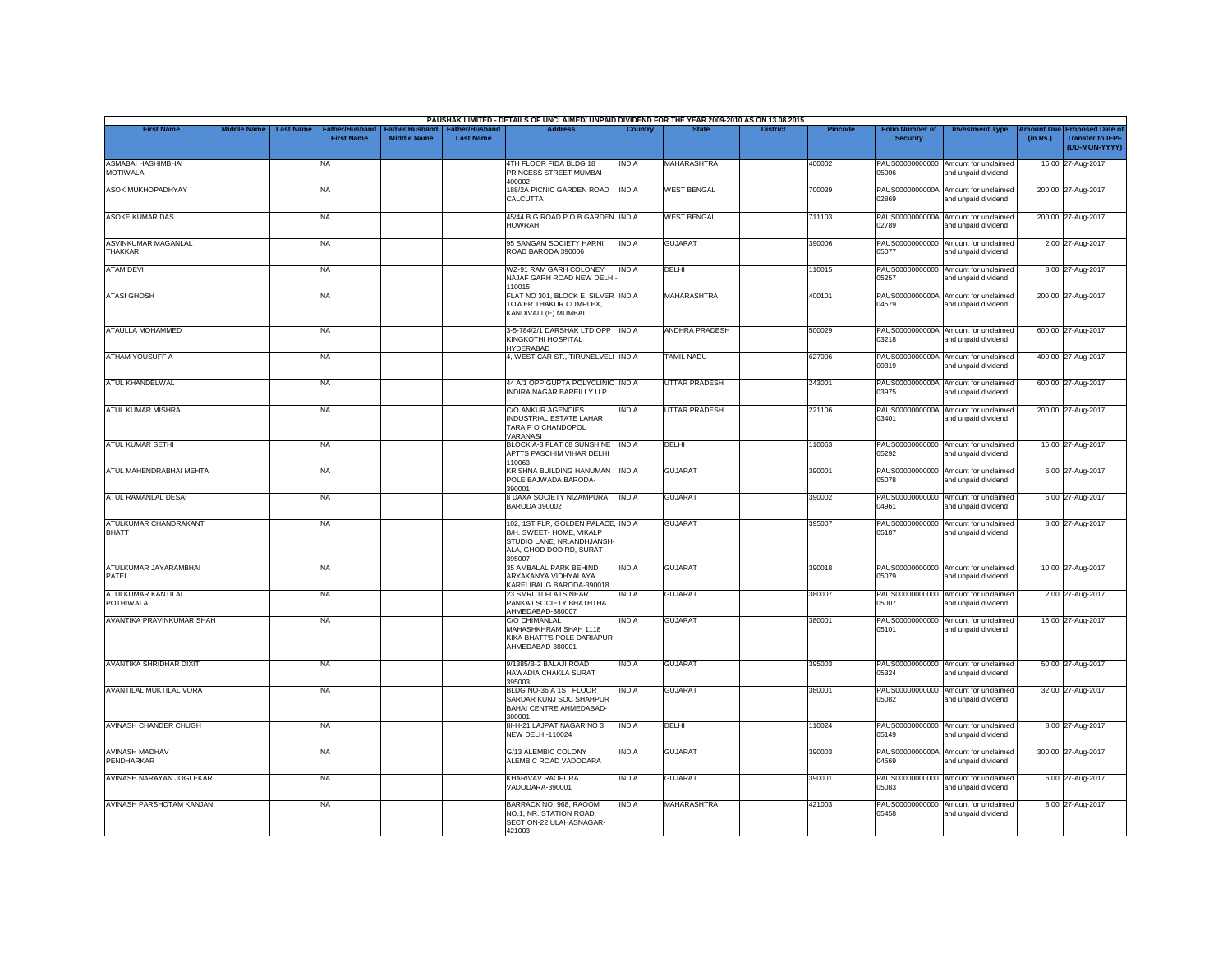|                                        |                    |                                                         |                                      |                                           | PAUSHAK LIMITED - DETAILS OF UNCLAIMED/ UNPAID DIVIDEND FOR THE YEAR 2009-2010 AS ON 13.08.2015                                      |                |                      |                 |                |                                           |                                                             |          |                                                                                |
|----------------------------------------|--------------------|---------------------------------------------------------|--------------------------------------|-------------------------------------------|--------------------------------------------------------------------------------------------------------------------------------------|----------------|----------------------|-----------------|----------------|-------------------------------------------|-------------------------------------------------------------|----------|--------------------------------------------------------------------------------|
| <b>First Name</b>                      | <b>Middle Name</b> | <b>Last Name</b><br>Father/Husband<br><b>First Name</b> | Father/Husband<br><b>Middle Name</b> | <b>Father/Husband</b><br><b>Last Name</b> | <b>Address</b>                                                                                                                       | <b>Country</b> | <b>State</b>         | <b>District</b> | <b>Pincode</b> | <b>Folio Number of</b><br><b>Security</b> | <b>Investment Type</b>                                      | (in Rs.) | <b>Amount Due Proposed Date of</b><br><b>Transfer to IEPF</b><br>(DD-MON-YYYY) |
| ASMABAI HASHIMBHAI<br><b>MOTIWALA</b>  |                    | NA                                                      |                                      |                                           | 4TH FLOOR FIDA BLDG 18<br>PRINCESS STREET MUMBAI-<br>400002                                                                          | INDIA          | <b>MAHARASHTRA</b>   |                 | 400002         | PAUS00000000000<br>05006                  | Amount for unclaimed<br>and unpaid dividend                 |          | 16.00 27-Aug-2017                                                              |
| <b>ASOK MUKHOPADHYAY</b>               |                    | <b>NA</b>                                               |                                      |                                           | 188/2A PICNIC GARDEN ROAD<br>CALCUTTA                                                                                                | <b>INDIA</b>   | <b>WEST BENGAL</b>   |                 | 700039         | 02869                                     | PAUS0000000000A Amount for unclaimed<br>and unpaid dividend |          | 200.00 27-Aug-2017                                                             |
| <b>ASOKE KUMAR DAS</b>                 |                    | <b>NA</b>                                               |                                      |                                           | 45/44 B G ROAD P O B GARDEN INDIA<br><b>HOWRAH</b>                                                                                   |                | <b>WEST BENGAL</b>   |                 | 711103         | PAUS0000000000A<br>02789                  | Amount for unclaimed<br>and unpaid dividend                 |          | 200.00 27-Aug-2017                                                             |
| <b>ASVINKUMAR MAGANLAL</b><br>THAKKAR  |                    | <b>NA</b>                                               |                                      |                                           | 95 SANGAM SOCIETY HARNI<br>ROAD BARODA 390006                                                                                        | <b>INDIA</b>   | <b>GUJARAT</b>       |                 | 390006         | 05077                                     | PAUS00000000000 Amount for unclaimed<br>and unpaid dividend |          | 2.00 27-Aug-2017                                                               |
| <b>ATAM DEVI</b>                       |                    | NA                                                      |                                      |                                           | WZ-91 RAM GARH COLONEY<br>NAJAF GARH ROAD NEW DELHI<br>110015                                                                        | <b>INDIA</b>   | DELHI                |                 | 110015         | 05257                                     | PAUS00000000000 Amount for unclaimed<br>and unpaid dividend |          | 8.00 27-Aug-2017                                                               |
| <b>ATASI GHOSH</b>                     |                    | <b>NA</b>                                               |                                      |                                           | FLAT NO 301, BLOCK E, SILVER INDIA<br>TOWER THAKUR COMPLEX,<br>KANDIVALI (E) MUMBAI                                                  |                | <b>MAHARASHTRA</b>   |                 | 400101         | 04579                                     | PAUS0000000000A Amount for unclaimed<br>and unpaid dividend |          | 200.00 27-Aug-2017                                                             |
| ATAULLA MOHAMMED                       |                    | <b>NA</b>                                               |                                      |                                           | 3-5-784/2/1 DARSHAK LTD OPP   INDIA<br>KINGKOTHI HOSPITAL<br>HYDERABAD                                                               |                | ANDHRA PRADESH       |                 | 500029         | 03218                                     | PAUS0000000000A Amount for unclaimed<br>and unpaid dividend |          | 600.00 27-Aug-2017                                                             |
| ATHAM YOUSUFF A                        |                    | <b>NA</b>                                               |                                      |                                           | 4, WEST CAR ST., TIRUNELVELI INDIA                                                                                                   |                | TAMIL NADU           |                 | 627006         | 00319                                     | PAUS0000000000A Amount for unclaimed<br>and unpaid dividend |          | 400.00 27-Aug-2017                                                             |
| ATUL KHANDELWAL                        |                    | <b>NA</b>                                               |                                      |                                           | 44 A/1 OPP GUPTA POLYCLINIC INDIA<br>INDIRA NAGAR BAREILLY U P                                                                       |                | <b>UTTAR PRADESH</b> |                 | 243001         | 03975                                     | PAUS0000000000A Amount for unclaimed<br>and unpaid dividend |          | 600.00 27-Aug-2017                                                             |
| <b>ATUL KUMAR MISHRA</b>               |                    | <b>NA</b>                                               |                                      |                                           | C/O ANKUR AGENCIES<br>INDUSTRIAL ESTATE LAHAR<br>TARA P O CHANDOPOL<br>VARANASI                                                      | INDIA          | <b>UTTAR PRADESH</b> |                 | 221106         | PAUS0000000000A<br>03401                  | Amount for unclaimed<br>and unpaid dividend                 |          | 200.00 27-Aug-2017                                                             |
| ATUL KUMAR SETHI                       |                    | <b>NA</b>                                               |                                      |                                           | BLOCK A-3 FLAT 68 SUNSHINE<br>APTTS PASCHIM VIHAR DELHI<br>110063                                                                    | <b>INDIA</b>   | DELHI                |                 | 110063         | 05292                                     | PAUS00000000000 Amount for unclaimed<br>and unpaid dividend |          | 16.00 27-Aug-2017                                                              |
| ATUL MAHENDRABHAI MEHTA                |                    | <b>NA</b>                                               |                                      |                                           | KRISHNA BUILDING HANUMAN   INDIA<br>POLE BAJWADA BARODA-<br>390001                                                                   |                | <b>GUJARAT</b>       |                 | 390001         | 05078                                     | PAUS00000000000 Amount for unclaimed<br>and unpaid dividend |          | 6.00 27-Aug-2017                                                               |
| ATUL RAMANLAL DESAI                    |                    | <b>NA</b>                                               |                                      |                                           | 8 DAXA SOCIETY NIZAMPURA<br><b>BARODA 390002</b>                                                                                     | <b>INDIA</b>   | <b>GUJARAT</b>       |                 | 390002         | 04961                                     | PAUS00000000000 Amount for unclaimed<br>and unpaid dividend |          | 6.00 27-Aug-2017                                                               |
| ATULKUMAR CHANDRAKANT<br><b>BHATT</b>  |                    | <b>NA</b>                                               |                                      |                                           | 102, 1ST FLR, GOLDEN PALACE, INDIA<br>B/H. SWEET- HOME, VIKALP<br>STUDIO LANE, NR.ANDHJANSH-<br>ALA, GHOD DOD RD, SURAT-<br>395007 - |                | <b>GUJARAT</b>       |                 | 395007         | 05187                                     | PAUS00000000000 Amount for unclaimed<br>and unpaid dividend |          | 8.00 27-Aug-2017                                                               |
| ATULKUMAR JAYARAMBHAI<br>PATEL         |                    | <b>NA</b>                                               |                                      |                                           | 35 AMBALAL PARK BEHIND<br>ARYAKANYA VIDHYALAYA<br>KARELIBAUG BARODA-390018                                                           | <b>INDIA</b>   | <b>GUJARAT</b>       |                 | 390018         | 05079                                     | PAUS00000000000 Amount for unclaimed<br>and unpaid dividend |          | 10.00 27-Aug-2017                                                              |
| ATULKUMAR KANTILAL<br><b>POTHIWALA</b> |                    | <b>NA</b>                                               |                                      |                                           | 23 SMRUTI FLATS NEAR<br>PANKAJ SOCIETY BHATHTHA<br>AHMEDABAD-380007                                                                  | INDIA          | <b>GUJARAT</b>       |                 | 380007         | 05007                                     | PAUS00000000000 Amount for unclaimed<br>and unpaid dividend |          | 2.00 27-Aug-2017                                                               |
| AVANTIKA PRAVINKUMAR SHAH              |                    | <b>NA</b>                                               |                                      |                                           | <b>C/O CHIMANLAL</b><br>MAHASHKHRAM SHAH 1118<br>KIKA BHATT'S POLE DARIAPUR<br>AHMEDABAD-380001                                      | INDIA          | <b>GUJARAT</b>       |                 | 380001         | 05101                                     | PAUS00000000000 Amount for unclaimed<br>and unpaid dividend |          | 16.00 27-Aug-2017                                                              |
| AVANTIKA SHRIDHAR DIXIT                |                    | NA                                                      |                                      |                                           | 9/1385/B-2 BALAJI ROAD<br>HAWADIA CHAKLA SURAT<br>395003                                                                             | INDIA          | <b>GUJARAT</b>       |                 | 395003         | 05324                                     | PAUS00000000000 Amount for unclaimed<br>and unpaid dividend |          | 50.00 27-Aug-2017                                                              |
| AVANTILAL MUKTILAL VORA                |                    | <b>NA</b>                                               |                                      |                                           | BLDG NO-36 A 1ST FLOOR<br>SARDAR KUNJ SOC SHAHPUR<br>BAHAI CENTRE AHMEDABAD-<br>380001                                               | INDIA          | <b>GUJARAT</b>       |                 | 380001         | PAUS00000000000<br>05082                  | Amount for unclaimed<br>and unpaid dividend                 |          | 32.00 27-Aug-2017                                                              |
| AVINASH CHANDER CHUGH                  |                    | <b>NA</b>                                               |                                      |                                           | III-H-21 LAJPAT NAGAR NO 3<br><b>NEW DELHI-110024</b>                                                                                | <b>INDIA</b>   | DELHI                |                 | 110024         | 05149                                     | PAUS00000000000 Amount for unclaimed<br>and unpaid dividend |          | 8.00 27-Aug-2017                                                               |
| <b>AVINASH MADHAV</b><br>PENDHARKAR    |                    | <b>NA</b>                                               |                                      |                                           | G/13 ALEMBIC COLONY<br>ALEMBIC ROAD VADODARA                                                                                         | india          | <b>GUJARAT</b>       |                 | 390003         | 04569                                     | PAUS0000000000A Amount for unclaimed<br>and unpaid dividend |          | 300.00 27-Aug-2017                                                             |
| AVINASH NARAYAN JOGLEKAR               |                    | <b>NA</b>                                               |                                      |                                           | KHARIVAV RAOPURA<br>VADODARA-390001                                                                                                  | <b>INDIA</b>   | <b>GUJARAT</b>       |                 | 390001         | 05083                                     | PAUS00000000000 Amount for unclaimed<br>and unpaid dividend |          | 6.00 27-Aug-2017                                                               |
| AVINASH PARSHOTAM KANJANI              |                    | <b>NA</b>                                               |                                      |                                           | BARRACK NO. 968, RAOOM<br>NO.1, NR. STATION ROAD.<br>SECTION-22 ULAHASNAGAR-<br>421003                                               | <b>INDIA</b>   | <b>MAHARASHTRA</b>   |                 | 421003         | PAUS00000000000<br>05458                  | Amount for unclaimed<br>and unpaid dividend                 |          | 8.00 27-Aug-2017                                                               |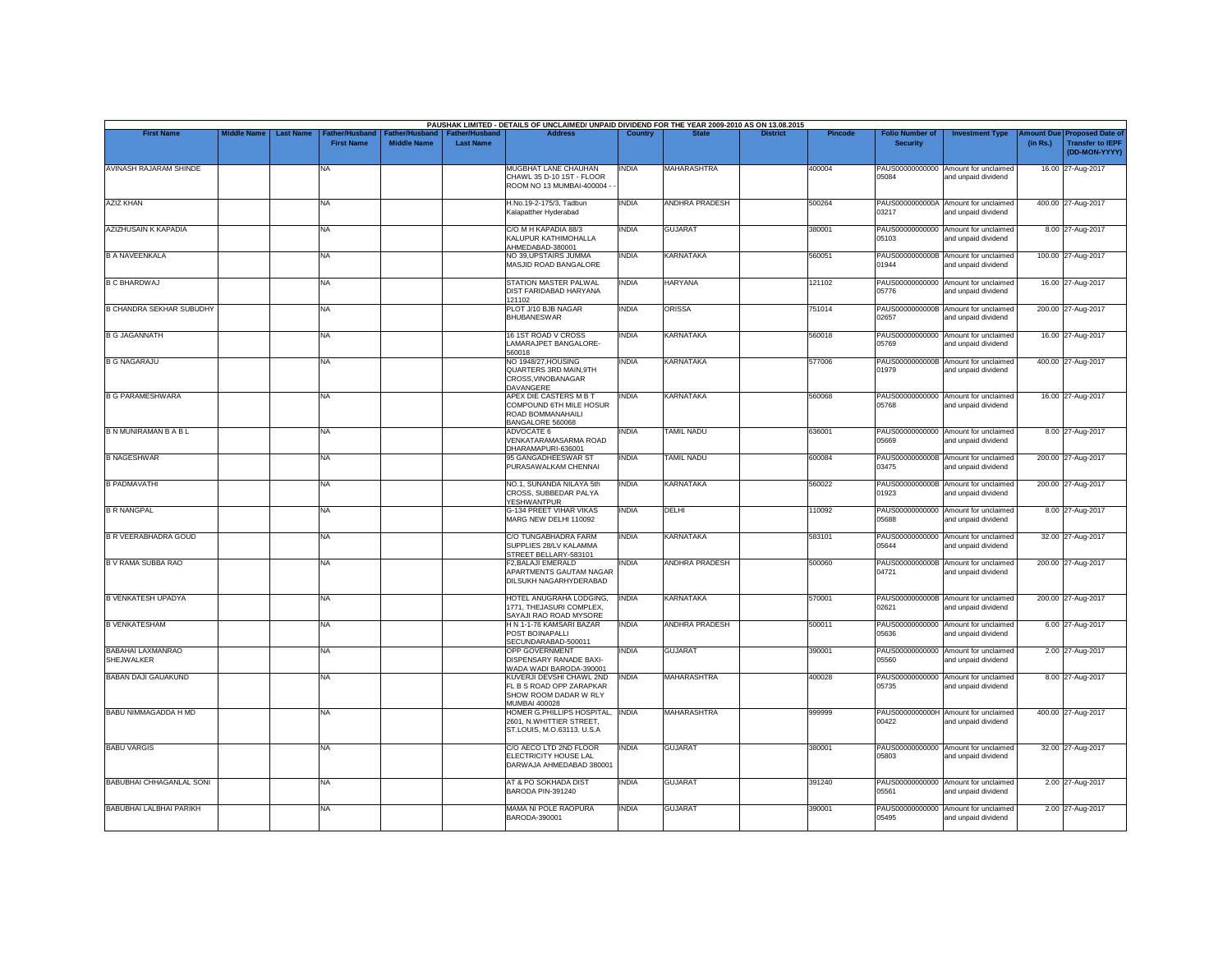| <b>First Name</b><br><b>AVINASH RAJARAM SHINDE</b>     | <b>Middle Name</b> | <b>Last Name</b> | Father/Husband<br><b>First Name</b><br>NA<br>NA<br>NA<br><b>NA</b><br>NA<br>NA | Father/Husband<br><b>Middle Name</b> | Father/Husband<br><b>Last Name</b> | <b>Address</b><br>MUGBHAT LANE CHAUHAN<br>CHAWL 35 D-10 1ST - FLOOR<br>ROOM NO 13 MUMBAI-400004<br>H.No.19-2-175/3, Tadbun<br>Kalapatther Hyderabad<br>C/O M H KAPADIA 88/3<br>KALUPUR KATHIMOHALLA<br>AHMEDABAD-380001 | Country<br><b>INDIA</b><br><b>INDIA</b><br><b>INDIA</b> | <b>MAHARASHTRA</b><br>ANDHRA PRADESH<br><b>GUJARAT</b> | <b>District</b><br><b>Pincode</b><br>400004<br>500264 | <b>Folio Number of</b><br><b>Security</b><br>05084<br>03217 | <b>Investment Type</b><br>PAUS00000000000 Amount for unclaimed<br>and unpaid dividend<br>PAUS0000000000A Amount for unclaimed<br>and unpaid dividend | <b>Imount Due</b><br><b>Transfer to IEPF</b><br>(in Rs.)<br>16.00 27-Aug-2017<br>400.00 27-Aug-2017 | <b>Proposed Date of</b><br>(DD-MON-YYYY) |
|--------------------------------------------------------|--------------------|------------------|--------------------------------------------------------------------------------|--------------------------------------|------------------------------------|-------------------------------------------------------------------------------------------------------------------------------------------------------------------------------------------------------------------------|---------------------------------------------------------|--------------------------------------------------------|-------------------------------------------------------|-------------------------------------------------------------|------------------------------------------------------------------------------------------------------------------------------------------------------|-----------------------------------------------------------------------------------------------------|------------------------------------------|
|                                                        |                    |                  |                                                                                |                                      |                                    |                                                                                                                                                                                                                         |                                                         |                                                        |                                                       |                                                             |                                                                                                                                                      |                                                                                                     |                                          |
| <b>AZIZ KHAN</b>                                       |                    |                  |                                                                                |                                      |                                    |                                                                                                                                                                                                                         |                                                         |                                                        |                                                       |                                                             |                                                                                                                                                      |                                                                                                     |                                          |
| AZIZHUSAIN K KAPADIA<br><b>B A NAVEENKALA</b>          |                    |                  |                                                                                |                                      |                                    |                                                                                                                                                                                                                         |                                                         |                                                        |                                                       |                                                             |                                                                                                                                                      |                                                                                                     |                                          |
|                                                        |                    |                  |                                                                                |                                      |                                    |                                                                                                                                                                                                                         |                                                         |                                                        | 380001                                                | 05103                                                       | PAUS00000000000 Amount for unclaimed<br>and unpaid dividend                                                                                          | 8.00 27-Aug-2017                                                                                    |                                          |
| <b>B C BHARDWAJ</b><br><b>B CHANDRA SEKHAR SUBUDHY</b> |                    |                  |                                                                                |                                      |                                    | NO 39, UPSTAIRS JUMMA<br>MASJID ROAD BANGALORE                                                                                                                                                                          | <b>INDIA</b>                                            | <b>KARNATAKA</b>                                       | 560051                                                | 01944                                                       | PAUS0000000000B Amount for unclaimed<br>and unpaid dividend                                                                                          | 100.00 27-Aug-2017                                                                                  |                                          |
|                                                        |                    |                  |                                                                                |                                      |                                    | STATION MASTER PALWAL<br><b>DIST FARIDABAD HARYANA</b><br>121102                                                                                                                                                        | <b>INDIA</b>                                            | <b>HARYANA</b>                                         | 121102                                                | 05776                                                       | PAUS00000000000 Amount for unclaimed<br>and unpaid dividend                                                                                          | 16.00 27-Aug-2017                                                                                   |                                          |
| <b>B G JAGANNATH</b>                                   |                    |                  |                                                                                |                                      |                                    | PLOT J/10 BJB NAGAR<br><b>BHUBANESWAR</b>                                                                                                                                                                               | <b>INDIA</b>                                            | <b>ORISSA</b>                                          | 751014                                                | 02657                                                       | PAUS0000000000B Amount for unclaimed<br>and unpaid dividend                                                                                          | 200.00 27-Aug-2017                                                                                  |                                          |
|                                                        |                    |                  | NA                                                                             |                                      |                                    | 16 1ST ROAD V CROSS<br>LAMARAJPET BANGALORE-<br>560018                                                                                                                                                                  | <b>INDIA</b>                                            | <b>KARNATAKA</b>                                       | 560018                                                | 05769                                                       | PAUS00000000000 Amount for unclaimed<br>and unpaid dividend                                                                                          | 16.00 27-Aug-2017                                                                                   |                                          |
| <b>B G NAGARAJU</b>                                    |                    |                  | NA                                                                             |                                      |                                    | NO 1948/27.HOUSING<br>QUARTERS 3RD MAIN, 9TH<br>CROSS.VINOBANAGAR<br>DAVANGERE                                                                                                                                          | <b>INDIA</b>                                            | KARNATAKA                                              | 577006                                                | 01979                                                       | PAUS0000000000B Amount for unclaimed<br>and unpaid dividend                                                                                          | 400.00 27-Aug-2017                                                                                  |                                          |
| <b>B G PARAMESHWARA</b>                                |                    |                  | NA                                                                             |                                      |                                    | APEX DIE CASTERS M B T<br>COMPOUND 6TH MILE HOSUR<br>ROAD BOMMANAHAILI<br>BANGALORE 560068                                                                                                                              | <b>INDIA</b>                                            | <b>KARNATAKA</b>                                       | 560068                                                | 05768                                                       | PAUS00000000000 Amount for unclaimed<br>bnebivib bironu bne                                                                                          | 16.00 27-Aug-2017                                                                                   |                                          |
| <b>B N MUNIRAMAN B A B L</b>                           |                    |                  | NA                                                                             |                                      |                                    | ADVOCATE 6<br>VENKATARAMASARMA ROAD<br>DHARAMAPURI-636001                                                                                                                                                               | <b>INDIA</b>                                            | <b><i>FAMIL NADU</i></b>                               | 636001                                                | 05669                                                       | PAUS00000000000 Amount for unclaimed<br>and unpaid dividend                                                                                          | 8.00 27-Aug-2017                                                                                    |                                          |
| <b>B NAGESHWAR</b>                                     |                    |                  | NA                                                                             |                                      |                                    | 95 GANGADHEESWAR ST<br>PURASAWALKAM CHENNAI                                                                                                                                                                             | <b>INDIA</b>                                            | <b>TAMIL NADU</b>                                      | 600084                                                | 03475                                                       | PAUS0000000000B Amount for unclaimed<br>and unpaid dividend                                                                                          | 200.00 27-Aug-2017                                                                                  |                                          |
| <b>B PADMAVATHI</b>                                    |                    |                  | NA                                                                             |                                      |                                    | NO.1, SUNANDA NILAYA 5th<br>CROSS, SUBBEDAR PALYA<br><b>YESHWANTPUR</b>                                                                                                                                                 | <b>INDIA</b>                                            | <b>KARNATAKA</b>                                       | 560022                                                | 01923                                                       | PAUS0000000000B Amount for unclaimed<br>and unpaid dividend                                                                                          | 200.00 27-Aug-2017                                                                                  |                                          |
| <b>B R NANGPAL</b>                                     |                    |                  | NA                                                                             |                                      |                                    | G-134 PREET VIHAR VIKAS<br>MARG NEW DELHI 110092                                                                                                                                                                        | <b>INDIA</b>                                            | DELHI                                                  | 110092                                                | 05688                                                       | PAUS00000000000 Amount for unclaimed<br>and unpaid dividend                                                                                          | 8.00 27-Aug-2017                                                                                    |                                          |
| <b>B R VEERABHADRA GOUD</b>                            |                    |                  | NA                                                                             |                                      |                                    | C/O TUNGABHADRA FARM<br>SUPPLIES 28/LV KALAMMA<br>STREET BELLARY-583101                                                                                                                                                 | <b>INDIA</b>                                            | KARNATAKA                                              | 583101                                                | 05644                                                       | PAUS00000000000 Amount for unclaimed<br>and unpaid dividend                                                                                          | 32.00 27-Aug-2017                                                                                   |                                          |
| B V RAMA SUBBA RAO                                     |                    |                  | NA                                                                             |                                      |                                    | F2, BALAJI EMERALD<br>APARTMENTS GAUTAM NAGAR<br>DILSUKH NAGARHYDERABAD                                                                                                                                                 | <b>INDIA</b>                                            | <b>ANDHRA PRADESH</b>                                  | 500060                                                | 04721                                                       | PAUS0000000000B Amount for unclaimed<br>and unpaid dividend                                                                                          | 200.00 27-Aug-2017                                                                                  |                                          |
| <b>B VENKATESH UPADYA</b>                              |                    |                  | NA                                                                             |                                      |                                    | HOTEL ANUGRAHA LODGING.<br>1771, THEJASURI COMPLEX,<br>SAYAJI RAO ROAD MYSORE                                                                                                                                           | <b>INDIA</b>                                            | <b>KARNATAKA</b>                                       | 570001                                                | 02621                                                       | PAUS0000000000B Amount for unclaimed<br>and unpaid dividend                                                                                          | 200.00 27-Aug-2017                                                                                  |                                          |
| <b>B VENKATESHAM</b>                                   |                    |                  | NA                                                                             |                                      |                                    | H N 1-1-76 KAMSARI BAZAR<br>POST BOINAPALLI<br>SECUNDARABAD-500011                                                                                                                                                      | <b>INDIA</b>                                            | <b>ANDHRA PRADESH</b>                                  | 500011                                                | 05636                                                       | PAUS00000000000 Amount for unclaimed<br>bnebivib bironu bne                                                                                          | 6.00 27-Aug-2017                                                                                    |                                          |
| BABAHAI LAXMANRAO<br>SHEJWALKER                        |                    |                  | NA                                                                             |                                      |                                    | OPP GOVERNMENT<br>DISPENSARY RANADE BAXI-<br>WADA WADI BARODA-390001                                                                                                                                                    | <b>INDIA</b>                                            | <b>GUJARAT</b>                                         | 390001                                                | 05560                                                       | PAUS00000000000 Amount for unclaimed<br>and unpaid dividend                                                                                          | 2.00 27-Aug-2017                                                                                    |                                          |
| <b>BABAN DAJI GAUAKUND</b>                             |                    |                  | NA                                                                             |                                      |                                    | KUVERJI DEVSHI CHAWL 2ND<br>FL B S ROAD OPP ZARAPKAR<br>SHOW ROOM DADAR W RLY<br><b>MUMBAI 400028</b>                                                                                                                   | <b>INDIA</b>                                            | <b>MAHARASHTRA</b>                                     | 400028                                                | 05735                                                       | PAUS00000000000 Amount for unclaimed<br>and unpaid dividend                                                                                          | 8.00 27-Aug-2017                                                                                    |                                          |
| <b>BABU NIMMAGADDA H MD</b>                            |                    |                  | <b>NA</b>                                                                      |                                      |                                    | HOMER G.PHILLIPS HOSPITAL, INDIA<br>2601. N.WHITTIER STREET.<br>ST.LOUIS, M.O.63113. U.S.A                                                                                                                              |                                                         | <b>MAHARASHTRA</b>                                     | 999999                                                | 00422                                                       | PAUS0000000000H Amount for unclaimed<br>and unpaid dividend                                                                                          | 400.00 27-Aug-2017                                                                                  |                                          |
| <b>BABU VARGIS</b>                                     |                    |                  | NA                                                                             |                                      |                                    | C/O AECO LTD 2ND FLOOR<br>ELECTRICITY HOUSE LAL<br>DARWAJA AHMEDABAD 380001                                                                                                                                             | <b>INDIA</b>                                            | <b>GUJARAT</b>                                         | 380001                                                | 05803                                                       | PAUS00000000000 Amount for unclaimed<br>and unpaid dividend                                                                                          | 32.00 27-Aug-2017                                                                                   |                                          |
| <b>BABUBHAI CHHAGANLAL SONI</b>                        |                    |                  | <b>NA</b>                                                                      |                                      |                                    | AT & PO SOKHADA DIST<br>BARODA PIN-391240                                                                                                                                                                               | <b>INDIA</b>                                            | <b>GUJARAT</b>                                         | 391240                                                | 05561                                                       | PAUS00000000000 Amount for unclaimed<br>and unpaid dividend                                                                                          | 2.00 27-Aug-2017                                                                                    |                                          |
| <b>BABUBHAI LALBHAI PARIKH</b>                         |                    |                  | NA                                                                             |                                      |                                    | MAMA NI POLE RAOPURA<br>BARODA-390001                                                                                                                                                                                   | <b>INDIA</b>                                            | <b>GUJARAT</b>                                         | 390001                                                | 05495                                                       | PAUS00000000000 Amount for unclaimed<br>and unpaid dividend                                                                                          | 2.00 27-Aug-2017                                                                                    |                                          |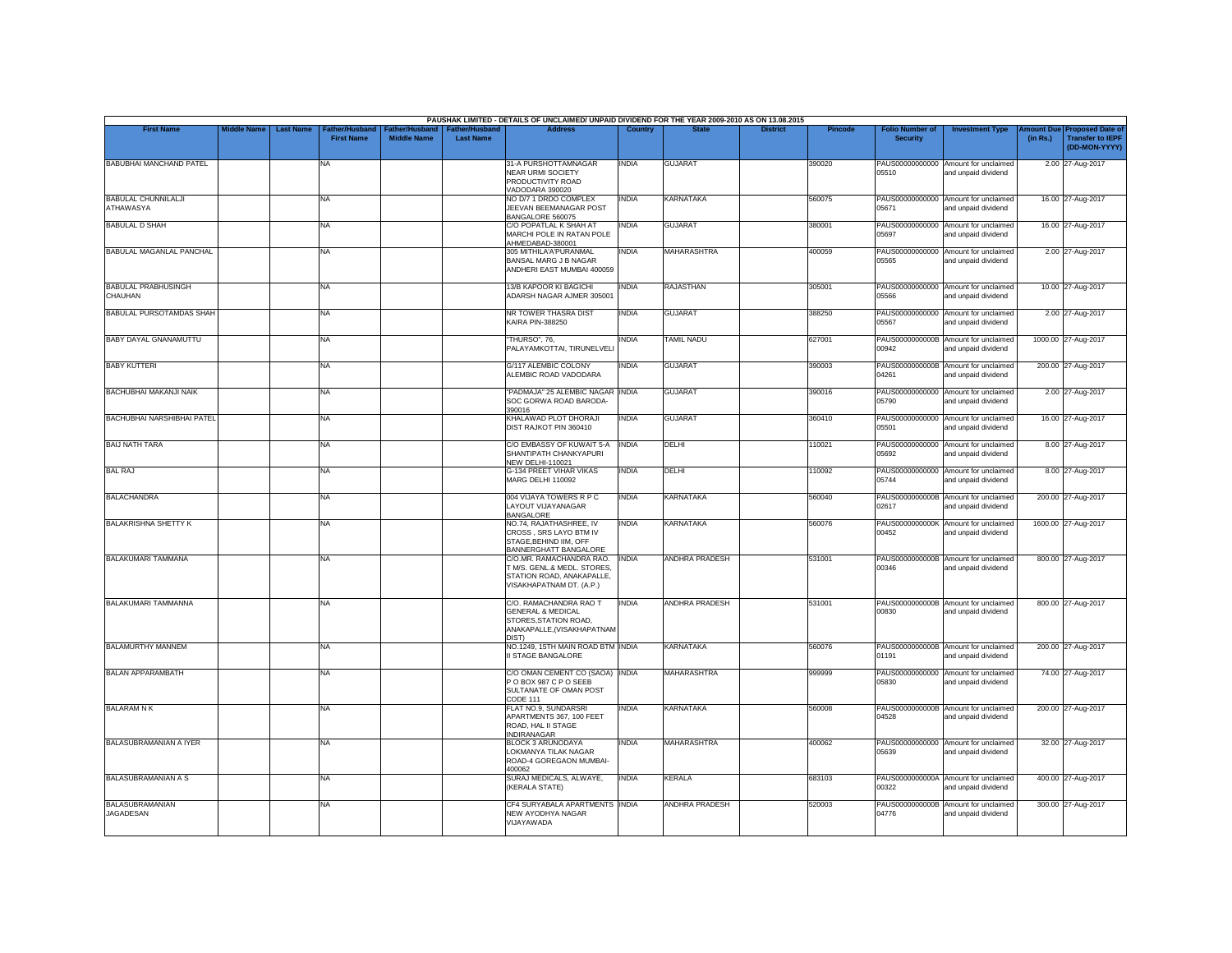|                                                |                    |                  |                                     |                                      |                                           | PAUSHAK LIMITED - DETAILS OF UNCLAIMED/ UNPAID DIVIDEND FOR THE YEAR 2009-2010 AS ON 13.08.2015                       |                |                       |                 |                |                                           |                                                             |          |                                                                        |
|------------------------------------------------|--------------------|------------------|-------------------------------------|--------------------------------------|-------------------------------------------|-----------------------------------------------------------------------------------------------------------------------|----------------|-----------------------|-----------------|----------------|-------------------------------------------|-------------------------------------------------------------|----------|------------------------------------------------------------------------|
| <b>First Name</b>                              | <b>Middle Name</b> | <b>Last Name</b> | Father/Husband<br><b>First Name</b> | Father/Husband<br><b>Middle Name</b> | <b>Father/Husband</b><br><b>Last Name</b> | <b>Address</b>                                                                                                        | <b>Country</b> | <b>State</b>          | <b>District</b> | <b>Pincode</b> | <b>Folio Number of</b><br><b>Security</b> | <b>Investment Type</b>                                      | (in Rs.) | mount Due Proposed Date of<br><b>Transfer to IEPF</b><br>(DD-MON-YYYY) |
| BABUBHAI MANCHAND PATEL                        |                    |                  | NA                                  |                                      |                                           | 31-A PURSHOTTAMNAGAR<br><b>NEAR URMI SOCIETY</b><br>PRODUCTIVITY ROAD<br>VADODARA 390020                              | <b>INDIA</b>   | <b>GUJARAT</b>        |                 | 390020         | 05510                                     | PAUS00000000000 Amount for unclaimed<br>and unpaid dividend |          | 2.00 27-Aug-2017                                                       |
| <b>BABULAL CHUNNILALJI</b><br><b>ATHAWASYA</b> |                    |                  | <b>NA</b>                           |                                      |                                           | NO D/7 1 DRDO COMPLEX<br>JEEVAN BEEMANAGAR POST<br>BANGALORE 560075                                                   | <b>INDIA</b>   | <b>KARNATAKA</b>      |                 | 560075         | 05671                                     | PAUS00000000000 Amount for unclaimed<br>and unpaid dividend |          | 16.00 27-Aug-2017                                                      |
| <b>BABULAL D SHAH</b>                          |                    |                  | <b>NA</b>                           |                                      |                                           | C/O POPATLAL K SHAH AT<br>MARCHI POLE IN RATAN POLE<br>AHMEDABAD-380001                                               | <b>INDIA</b>   | <b>GUJARAT</b>        |                 | 380001         | 05697                                     | PAUS00000000000 Amount for unclaimed<br>and unpaid dividend |          | 16.00 27-Aug-2017                                                      |
| BABULAL MAGANLAL PANCHAL                       |                    |                  | <b>NA</b>                           |                                      |                                           | 305 MITHILA'A'PURANMAL<br>BANSAL MARG J B NAGAR<br>ANDHERI EAST MUMBAI 400059                                         | <b>INDIA</b>   | <b>MAHARASHTRA</b>    |                 | 400059         | 05565                                     | PAUS00000000000 Amount for unclaimed<br>and unpaid dividend |          | 2.00 27-Aug-2017                                                       |
| <b>BABULAL PRABHUSINGH</b><br>CHAUHAN          |                    |                  | <b>NA</b>                           |                                      |                                           | 13/B KAPOOR KI BAGICHI<br>ADARSH NAGAR AJMER 305001                                                                   | <b>INDIA</b>   | <b>RAJASTHAN</b>      |                 | 305001         | 05566                                     | PAUS00000000000 Amount for unclaimed<br>and unpaid dividend |          | 10.00 27-Aug-2017                                                      |
| <b>BABULAL PURSOTAMDAS SHAH</b>                |                    |                  | <b>NA</b>                           |                                      |                                           | NR TOWER THASRA DIST<br>KAIRA PIN-388250                                                                              | <b>INDIA</b>   | <b>GUJARAT</b>        |                 | 388250         | PAUS00000000000<br>05567                  | Amount for unclaimed<br>and unpaid dividend                 |          | 2.00 27-Aug-2017                                                       |
| BABY DAYAL GNANAMUTTU                          |                    |                  | <b>NA</b>                           |                                      |                                           | "THURSO", 76.<br>PALAYAMKOTTAI, TIRUNELVEL                                                                            | <b>INDIA</b>   | <b>TAMIL NADU</b>     |                 | 627001         | 00942                                     | PAUS0000000000B Amount for unclaimed<br>and unpaid dividend |          | 1000.00 27-Aug-2017                                                    |
| <b>BABY KUTTERI</b>                            |                    |                  | <b>NA</b>                           |                                      |                                           | G/117 ALEMBIC COLONY<br>ALEMBIC ROAD VADODARA                                                                         | <b>INDIA</b>   | <b>GUJARAT</b>        |                 | 390003         | 04261                                     | PAUS0000000000B Amount for unclaimed<br>and unpaid dividend |          | 200.00 27-Aug-2017                                                     |
| <b>BACHUBHAI MAKANJI NAIK</b>                  |                    |                  | <b>NA</b>                           |                                      |                                           | "PADMAJA" 25 ALEMBIC NAGAR INDIA<br>SOC GORWA ROAD BARODA-<br>390016                                                  |                | <b>GUJARAT</b>        |                 | 390016         | 05790                                     | PAUS00000000000 Amount for unclaimed<br>and unpaid dividend |          | 2.00 27-Aug-2017                                                       |
| <b>BACHUBHAI NARSHIBHAI PATEL</b>              |                    |                  | <b>NA</b>                           |                                      |                                           | KHALAWAD PLOT DHORAJI<br>DIST RAJKOT PIN 360410                                                                       | <b>INDIA</b>   | <b>GUJARAT</b>        |                 | 360410         | PAUS00000000000<br>05501                  | Amount for unclaimed<br>and unpaid dividend                 |          | 16.00 27-Aug-2017                                                      |
| <b>BAIJ NATH TARA</b>                          |                    |                  | <b>NA</b>                           |                                      |                                           | C/O EMBASSY OF KUWAIT 5-A<br>SHANTIPATH CHANKYAPURI<br>NEW DELHI-110021                                               | <b>INDIA</b>   | DELHI                 |                 | 110021         | 05692                                     | PAUS00000000000 Amount for unclaimed<br>and unpaid dividend |          | 8.00 27-Aug-2017                                                       |
| <b>BAL RAJ</b>                                 |                    |                  | <b>NA</b>                           |                                      |                                           | <b>G-134 PREET VIHAR VIKAS</b><br>MARG DELHI 110092                                                                   | <b>INDIA</b>   | DELHI                 |                 | 110092         | PAUS00000000000<br>05744                  | Amount for unclaimed<br>and unpaid dividend                 |          | 8.00 27-Aug-2017                                                       |
| <b>BALACHANDRA</b>                             |                    |                  | <b>NA</b>                           |                                      |                                           | 004 VIJAYA TOWERS R P C<br>LAYOUT VIJAYANAGAR<br><b>BANGALORE</b>                                                     | <b>INDIA</b>   | <b>KARNATAKA</b>      |                 | 560040         | 02617                                     | PAUS0000000000B Amount for unclaimed<br>and unpaid dividend |          | 200.00 27-Aug-2017                                                     |
| <b>BALAKRISHNA SHETTY K</b>                    |                    |                  | NA                                  |                                      |                                           | NO.74, RAJATHASHREE, IV<br>CROSS, SRS LAYO BTM IV<br>STAGE, BEHIND IIM, OFF<br>BANNERGHATT BANGALORE                  | <b>INDIA</b>   | KARNATAKA             |                 | 560076         | 00452                                     | PAUS0000000000K Amount for unclaimed<br>and unpaid dividend |          | 1600.00 27-Aug-2017                                                    |
| <b>BALAKUMARI TAMMANA</b>                      |                    |                  | <b>NA</b>                           |                                      |                                           | C/O.MR. RAMACHANDRA RAO.<br>T M/S. GENL.& MEDL. STORES,<br>STATION ROAD, ANAKAPALLE,<br>VISAKHAPATNAM DT. (A.P.)      | <b>INDIA</b>   | ANDHRA PRADESH        |                 | 531001         | 00346                                     | PAUS0000000000B Amount for unclaimed<br>and unpaid dividend |          | 800.00 27-Aug-2017                                                     |
| <b>BALAKUMARI TAMMANNA</b>                     |                    |                  | <b>NA</b>                           |                                      |                                           | C/O. RAMACHANDRA RAO T<br><b>GENERAL &amp; MEDICAL</b><br>STORES.STATION ROAD.<br>ANAKAPALLE, (VISAKHAPATNAM<br>DIST) | <b>INDIA</b>   | <b>ANDHRA PRADESH</b> |                 | 531001         | 00830                                     | PAUS0000000000B Amount for unclaimed<br>and unpaid dividend |          | 800.00 27-Aug-2017                                                     |
| <b>BALAMURTHY MANNEM</b>                       |                    |                  | <b>NA</b>                           |                                      |                                           | NO.1249, 15TH MAIN ROAD BTM INDIA<br><b>II STAGE BANGALORE</b>                                                        |                | <b>KARNATAKA</b>      |                 | 560076         | 01191                                     | PAUS0000000000B Amount for unclaimed<br>and unpaid dividend |          | 200.00 27-Aug-2017                                                     |
| <b>BALAN APPARAMBATH</b>                       |                    |                  | <b>NA</b>                           |                                      |                                           | C/O OMAN CEMENT CO (SAOA) INDIA<br>POBOX 987 CPOSEEB<br>SULTANATE OF OMAN POST<br>CODE 111                            |                | <b>MAHARASHTRA</b>    |                 | 999999         | PAUS00000000000<br>05830                  | Amount for unclaimed<br>and unpaid dividend                 |          | 74.00 27-Aug-2017                                                      |
| <b>BALARAM N K</b>                             |                    |                  | <b>NA</b>                           |                                      |                                           | FLAT NO.9, SUNDARSRI<br>APARTMENTS 367, 100 FEET<br>ROAD, HAL II STAGE<br>INDIRANAGAR                                 | INDIA          | <b>KARNATAKA</b>      |                 | 560008         | 04528                                     | PAUS0000000000B Amount for unclaimed<br>and unpaid dividend |          | 200.00 27-Aug-2017                                                     |
| BALASUBRAMANIAN A IYER                         |                    |                  | <b>NA</b>                           |                                      |                                           | <b>BLOCK 3 ARUNODAYA</b><br>LOKMANYA TILAK NAGAR<br>ROAD-4 GOREGAON MUMBAI-<br>400062                                 | <b>INDIA</b>   | <b>MAHARASHTRA</b>    |                 | 400062         | 05639                                     | PAUS00000000000 Amount for unclaimed<br>and unpaid dividend |          | 32.00 27-Aug-2017                                                      |
| <b>BALASUBRAMANIAN A S</b>                     |                    |                  | <b>NA</b>                           |                                      |                                           | SURAJ MEDICALS, ALWAYE,<br>(KERALA STATE)                                                                             | <b>INDIA</b>   | <b>KERALA</b>         |                 | 683103         | 00322                                     | PAUS0000000000A Amount for unclaimed<br>and unpaid dividend |          | 400.00 27-Aug-2017                                                     |
| <b>BALASUBRAMANIAN</b><br>JAGADESAN            |                    |                  | <b>NA</b>                           |                                      |                                           | CF4 SURYABALA APARTMENTS INDIA<br>NEW AYODHYA NAGAR<br>VIJAYAWADA                                                     |                | <b>ANDHRA PRADESH</b> |                 | 520003         | 04776                                     | PAUS0000000000B Amount for unclaimed<br>and unpaid dividend |          | 300.00 27-Aug-2017                                                     |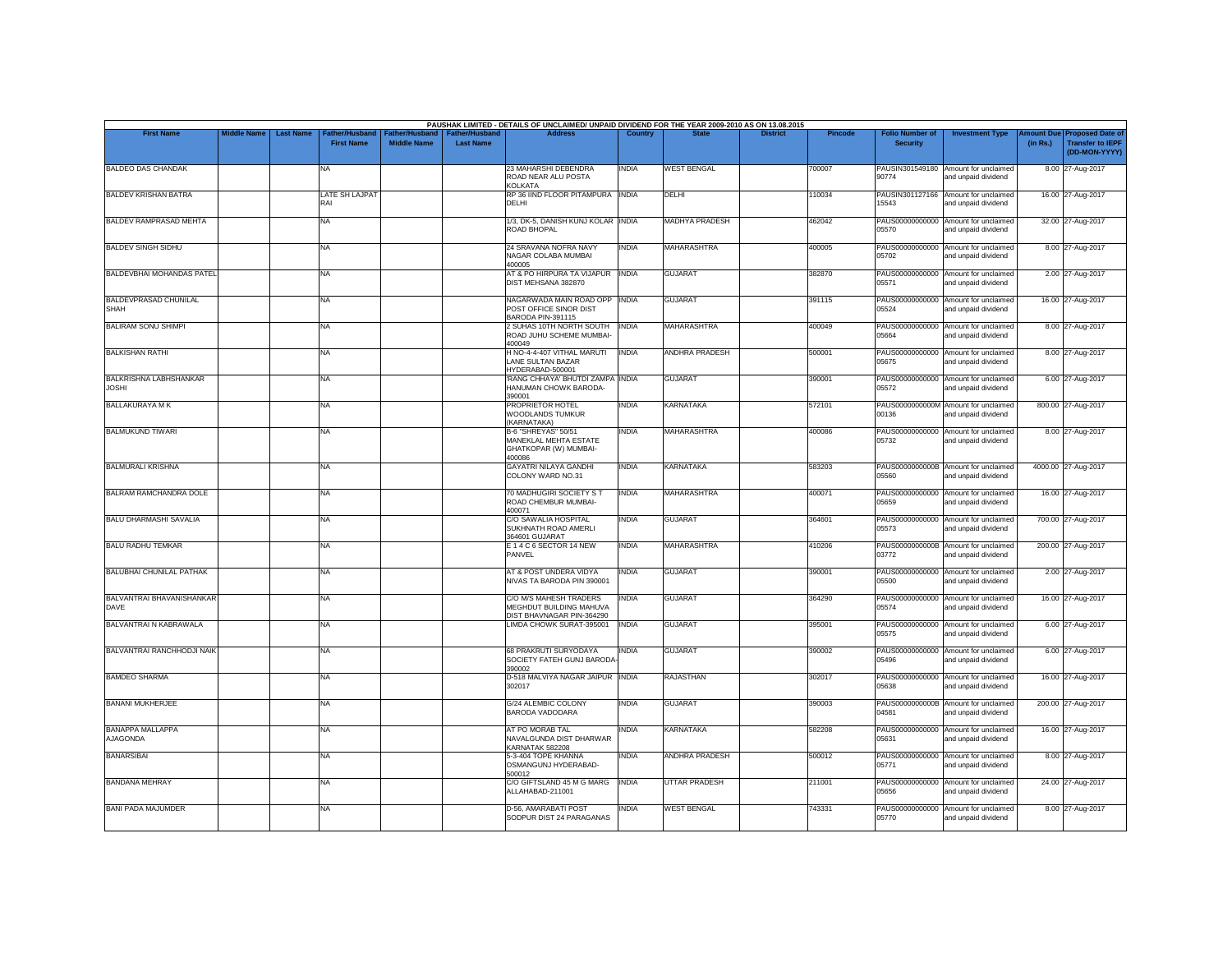| <b>First Name</b>                             | <b>Middle Name</b> | <b>Last Name</b> | <b>Father/Husband</b> |                    | <b>Father/Hushand</b> | PAUSHAK LIMITED - DETAILS OF UNCLAIMED/ UNPAID DIVIDEND FOR THE YEAR 2009-2010 AS ON 13.08.2015<br><b>Address</b> | Country      |                       | <b>District</b> | Pincode | <b>Folio Number of</b>   | <b>Investment Type</b>                                      | mount Due | <b>Proposed Date of</b>                  |
|-----------------------------------------------|--------------------|------------------|-----------------------|--------------------|-----------------------|-------------------------------------------------------------------------------------------------------------------|--------------|-----------------------|-----------------|---------|--------------------------|-------------------------------------------------------------|-----------|------------------------------------------|
|                                               |                    |                  | <b>First Name</b>     | <b>Middle Name</b> | <b>Last Name</b>      |                                                                                                                   |              |                       |                 |         | <b>Security</b>          |                                                             | (in Rs.)  | <b>Transfer to IEPF</b><br>(DD-MON-YYYY) |
| <b>BALDEO DAS CHANDAK</b>                     |                    |                  | NA                    |                    |                       | 23 MAHARSHI DEBENDRA<br>ROAD NEAR ALU POSTA<br><b>KOLKATA</b>                                                     | <b>INDIA</b> | <b>WEST BENGAL</b>    |                 | 700007  | PAUSIN301549180<br>90774 | Amount for unclaimed<br>and unpaid dividend                 |           | 8.00 27-Aug-2017                         |
| <b>BALDEV KRISHAN BATRA</b>                   |                    |                  | LATE SH LAJPAT<br>RAI |                    |                       | RP 36 IIND FLOOR PITAMPURA INDIA<br><b>DELHI</b>                                                                  |              | DELHI                 |                 | 110034  | PAUSIN301127166<br>15543 | Amount for unclaimed<br>and unpaid dividend                 |           | 16.00 27-Aug-2017                        |
| BALDEV RAMPRASAD MEHTA                        |                    |                  | NA                    |                    |                       | 1/3, DK-5, DANISH KUNJ KOLAR INDIA<br>ROAD BHOPAL                                                                 |              | <b>MADHYA PRADESH</b> |                 | 462042  | 05570                    | PAUS00000000000 Amount for unclaimed<br>and unpaid dividend |           | 32.00 27-Aug-2017                        |
| <b>BALDEV SINGH SIDHU</b>                     |                    |                  | NA                    |                    |                       | 24 SRAVANA NOFRA NAVY<br>NAGAR COLABA MUMBAI<br>400005                                                            | <b>INDIA</b> | MAHARASHTRA           |                 | 400005  | PAUS00000000000<br>05702 | Amount for unclaimed<br>and unpaid dividend                 |           | 8.00 27-Aug-2017                         |
| BALDEVBHAI MOHANDAS PATEL                     |                    |                  | NA.                   |                    |                       | AT & PO HIRPURA TA VIJAPUR   INDIA<br>DIST MEHSANA 382870                                                         |              | <b>GUJARAT</b>        |                 | 382870  | 05571                    | PAUS00000000000 Amount for unclaimed<br>and unpaid dividend |           | 2.00 27-Aug-2017                         |
| BALDEVPRASAD CHUNILAL<br><b>SHAH</b>          |                    |                  | NA                    |                    |                       | NAGARWADA MAIN ROAD OPP INDIA<br>POST OFFICE SINOR DIST<br>BARODA PIN-391115                                      |              | <b>GUJARAT</b>        |                 | 391115  | 05524                    | PAUS00000000000 Amount for unclaimed<br>and unpaid dividend |           | 16.00 27-Aug-2017                        |
| <b>BALIRAM SONU SHIMPI</b>                    |                    |                  | NA                    |                    |                       | 2 SUHAS 10TH NORTH SOUTH   INDIA<br>ROAD JUHU SCHEME MUMBAI-<br>400049                                            |              | MAHARASHTRA           |                 | 400049  | 05664                    | PAUS00000000000 Amount for unclaimed<br>and unpaid dividend |           | 8.00 27-Aug-2017                         |
| <b>BALKISHAN RATHI</b>                        |                    |                  | NA                    |                    |                       | H NO-4-4-407 VITHAL MARUTI<br>LANE SULTAN BAZAR<br>HYDERABAD-500001                                               | <b>INDIA</b> | <b>ANDHRA PRADESH</b> |                 | 500001  | PAUS00000000000<br>05675 | Amount for unclaimed<br>and unpaid dividend                 |           | 8.00 27-Aug-2017                         |
| <b>BALKRISHNA LABHSHANKAR</b><br><b>JOSHI</b> |                    |                  | NA                    |                    |                       | 'RANG CHHAYA' BHUTDI ZAMPA INDIA<br>HANUMAN CHOWK BARODA-<br>390001                                               |              | <b>GUJARAT</b>        |                 | 390001  | PAUS00000000000<br>05572 | Amount for unclaimed<br>and unpaid dividend                 |           | 6.00 27-Aug-2017                         |
| <b>BALLAKURAYA M K</b>                        |                    |                  | NA                    |                    |                       | PROPRIETOR HOTEL<br><b>WOODLANDS TUMKUR</b><br>(KARNATAKA)                                                        | <b>INDIA</b> | KARNATAKA             |                 | 572101  | PAUS0000000000M<br>00136 | Amount for unclaimed<br>and unpaid dividend                 |           | 800.00 27-Aug-2017                       |
| <b>BALMUKUND TIWARI</b>                       |                    |                  | <b>NA</b>             |                    |                       | <b>B-6 "SHREYAS" 50/51</b><br>MANEKLAL MEHTA ESTATE<br>GHATKOPAR (W) MUMBAI-<br>400086                            | <b>INDIA</b> | <b>MAHARASHTRA</b>    |                 | 400086  | 05732                    | PAUS00000000000 Amount for unclaimed<br>and unpaid dividend |           | 8.00 27-Aug-2017                         |
| <b>BALMURALI KRISHNA</b>                      |                    |                  | NA                    |                    |                       | <b>GAYATRI NILAYA GANDHI</b><br>COLONY WARD NO.31                                                                 | <b>INDIA</b> | KARNATAKA             |                 | 583203  | 05560                    | PAUS0000000000B Amount for unclaimed<br>and unpaid dividend |           | 4000.00 27-Aug-2017                      |
| <b>BALRAM RAMCHANDRA DOLE</b>                 |                    |                  | <b>NA</b>             |                    |                       | 70 MADHUGIRI SOCIETY S T<br>ROAD CHEMBUR MUMBAI-<br>400071                                                        | <b>INDIA</b> | <b>MAHARASHTRA</b>    |                 | 400071  | PAUS00000000000<br>05659 | Amount for unclaimed<br>and unpaid dividend                 |           | 16.00 27-Aug-2017                        |
| <b>BALU DHARMASHI SAVALIA</b>                 |                    |                  | NA                    |                    |                       | C/O SAWALIA HOSPITAL<br>SUKHNATH ROAD AMERLI<br>364601 GUJARAT                                                    | INDIA        | GUJARAT               |                 | 364601  | PAUS00000000000<br>05573 | Amount for unclaimed<br>and unpaid dividend                 |           | 700.00 27-Aug-2017                       |
| <b>BALU RADHU TEMKAR</b>                      |                    |                  | NA                    |                    |                       | E 14 C 6 SECTOR 14 NEW<br>PANVEL                                                                                  | <b>INDIA</b> | MAHARASHTRA           |                 | 410206  | 03772                    | PAUS0000000000B Amount for unclaimed<br>and unpaid dividend |           | 200.00 27-Aug-2017                       |
| <b>BALUBHAI CHUNILAL PATHAK</b>               |                    |                  | NA                    |                    |                       | AT & POST UNDERA VIDYA<br>NIVAS TA BARODA PIN 390001                                                              | INDIA        | <b>GUJARAT</b>        |                 | 390001  | PAUS00000000000<br>05500 | Amount for unclaimed<br>and unpaid dividend                 |           | 2.00 27-Aug-2017                         |
| BALVANTRAI BHAVANISHANKAR<br><b>DAVE</b>      |                    |                  | NA                    |                    |                       | C/O M/S MAHESH TRADERS<br>MEGHDUT BUILDING MAHUVA<br>DIST BHAVNAGAR PIN-364290                                    | <b>INDIA</b> | <b>GUJARAT</b>        |                 | 364290  | PAUS00000000000<br>05574 | Amount for unclaimed<br>and unpaid dividend                 |           | 16.00 27-Aug-2017                        |
| BALVANTRAI N KABRAWALA                        |                    |                  | NA                    |                    |                       | LIMDA CHOWK SURAT-395001                                                                                          | <b>INDIA</b> | <b>GUJARAT</b>        |                 | 395001  | 05575                    | PAUS00000000000 Amount for unclaimed<br>and unpaid dividend |           | 6.00 27-Aug-2017                         |
| BALVANTRAI RANCHHODJI NAIK                    |                    |                  | NA                    |                    |                       | 68 PRAKRUTI SURYODAYA<br>SOCIETY FATEH GUNJ BARODA<br>390002                                                      | <b>INDIA</b> | <b>GUJARAT</b>        |                 | 390002  | 05496                    | PAUS00000000000 Amount for unclaimed<br>and unpaid dividend |           | 6.00 27-Aug-2017                         |
| <b>BAMDEO SHARMA</b>                          |                    |                  | NA                    |                    |                       | D-518 MALVIYA NAGAR JAIPUR INDIA<br>302017                                                                        |              | <b>RAJASTHAN</b>      |                 | 302017  | PAUS00000000000<br>05638 | Amount for unclaimed<br>and unpaid dividend                 |           | 16.00 27-Aug-2017                        |
| <b>BANANI MUKHERJEE</b>                       |                    |                  | <b>NA</b>             |                    |                       | G/24 ALEMBIC COLONY<br><b>BARODA VADODARA</b>                                                                     | <b>INDIA</b> | <b>GUJARAT</b>        |                 | 390003  | 04581                    | PAUS0000000000B Amount for unclaimed<br>and unpaid dividend |           | 200.00 27-Aug-2017                       |
| <b>BANAPPA MALLAPPA</b><br><b>AJAGONDA</b>    |                    |                  | NA                    |                    |                       | AT PO MORAB TAL<br>NAVALGUNDA DIST DHARWAR                                                                        | <b>INDIA</b> | KARNATAKA             |                 | 582208  | 05631                    | PAUS00000000000 Amount for unclaimed<br>and unpaid dividend |           | 16.00 27-Aug-2017                        |
| <b>BANARSIBAI</b>                             |                    |                  | NA                    |                    |                       | KARNATAK 582208<br>5-3-404 TOPE KHANNA<br>OSMANGUNJ HYDERABAD-                                                    | <b>INDIA</b> | ANDHRA PRADESH        |                 | 500012  | 05771                    | PAUS00000000000 Amount for unclaimed<br>and unpaid dividend |           | 8.00 27-Aug-2017                         |
| <b>BANDANA MEHRAY</b>                         |                    |                  | NA                    |                    |                       | 500012<br>C/O GIFTSLAND 45 M G MARG<br>ALLAHABAD-211001                                                           | <b>INDIA</b> | <b>UTTAR PRADESH</b>  |                 | 211001  | PAUS00000000000<br>05656 | Amount for unclaimed<br>and unpaid dividend                 |           | 24.00 27-Aug-2017                        |
| <b>BANI PADA MAJUMDER</b>                     |                    |                  | NA                    |                    |                       | D-56, AMARABATI POST<br>SODPUR DIST 24 PARAGANAS                                                                  | <b>INDIA</b> | <b>WEST BENGAL</b>    |                 | 743331  | PAUS00000000000<br>05770 | Amount for unclaimed<br>and unpaid dividend                 |           | 8.00 27-Aug-2017                         |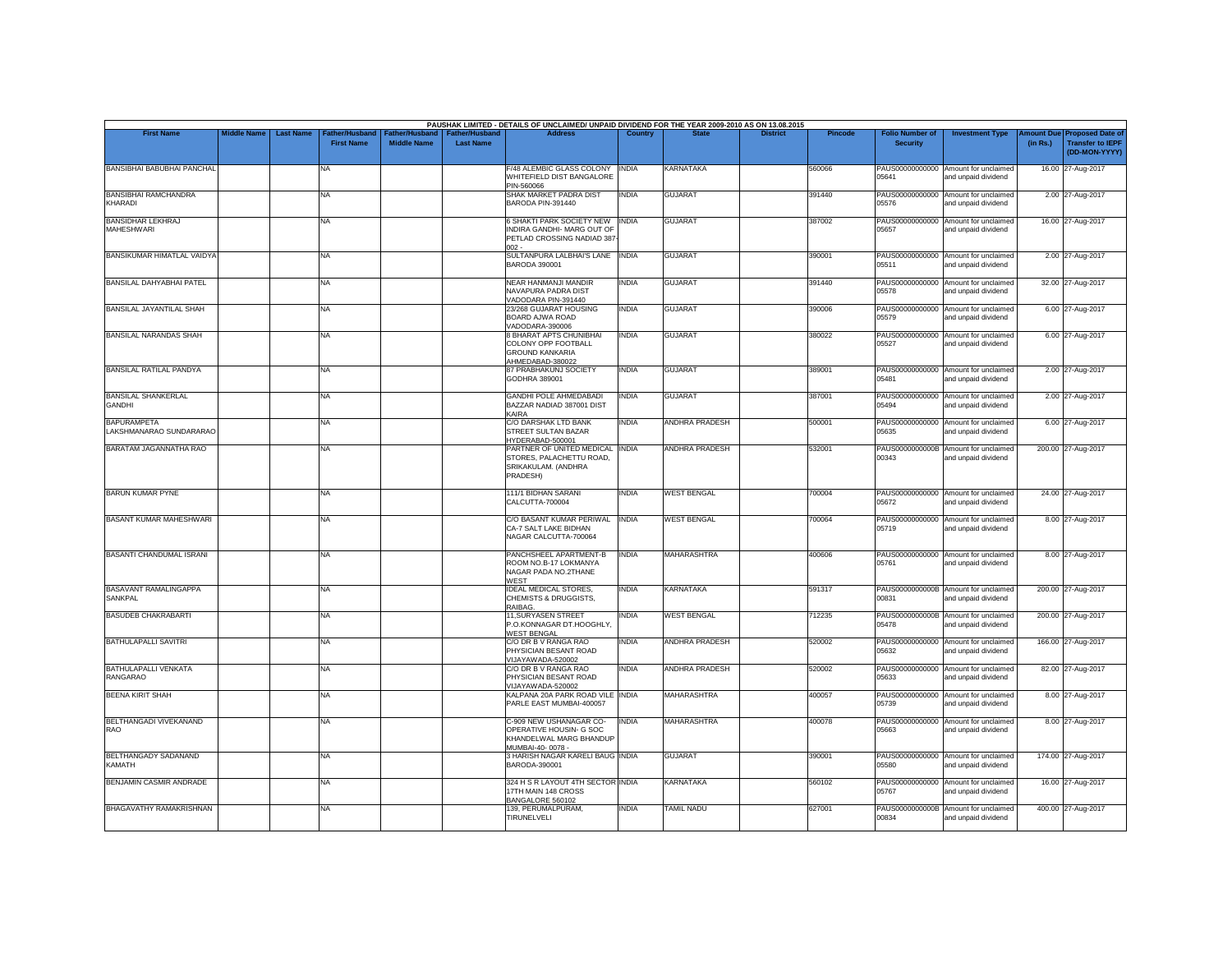| <b>First Name</b>                                                                                       | <b>Middle Name</b> | <b>Last Name</b> | Father/Husband<br><b>First Name</b><br>NA | Father/Husband<br><b>Middle Name</b> | <b>Father/Husband</b><br><b>Last Name</b> | <b>Address</b>                                                                                         | Country      |                       | <b>District</b> | <b>Pincode</b> | <b>Folio Number of</b><br><b>Security</b> | <b>Investment Type</b>                                      | <b>Imount Due</b><br>(in Rs.) | <b>Proposed Date of</b><br><b>Transfer to IEPF</b> |
|---------------------------------------------------------------------------------------------------------|--------------------|------------------|-------------------------------------------|--------------------------------------|-------------------------------------------|--------------------------------------------------------------------------------------------------------|--------------|-----------------------|-----------------|----------------|-------------------------------------------|-------------------------------------------------------------|-------------------------------|----------------------------------------------------|
| <b>BANSIBHAI BABUBHAI PANCHAL</b><br><b>BANSIBHAI RAMCHANDRA</b><br>KHARADI<br><b>BANSIDHAR LEKHRAJ</b> |                    |                  |                                           |                                      |                                           |                                                                                                        |              |                       |                 |                |                                           |                                                             |                               | (DD-MON-YYYY)                                      |
|                                                                                                         |                    |                  |                                           |                                      |                                           | F/48 ALEMBIC GLASS COLONY<br>WHITEFIELD DIST BANGALORE<br>PIN-560066                                   | <b>INDIA</b> | KARNATAKA             |                 | 560066         | 05641                                     | PAUS00000000000 Amount for unclaimed<br>and unpaid dividend |                               | 16.00 27-Aug-2017                                  |
|                                                                                                         |                    |                  | NA                                        |                                      |                                           | SHAK MARKET PADRA DIST<br>BARODA PIN-391440                                                            | <b>INDIA</b> | <b>GUJARAT</b>        |                 | 391440         | PAUS00000000000<br>05576                  | Amount for unclaimed<br>and unpaid dividend                 |                               | 2.00 27-Aug-2017                                   |
| <b>MAHESHWARI</b>                                                                                       |                    |                  | NA                                        |                                      |                                           | 6 SHAKTI PARK SOCIETY NEW INDIA<br>INDIRA GANDHI- MARG OUT OF<br>PETLAD CROSSING NADIAD 387<br>$002 -$ |              | <b>GUJARAT</b>        |                 | 387002         | 05657                                     | PAUS00000000000 Amount for unclaimed<br>and unpaid dividend |                               | 16.00 27-Aug-2017                                  |
| BANSIKUMAR HIMATLAL VAIDYA                                                                              |                    |                  | <b>NA</b>                                 |                                      |                                           | SULTANPURA LALBHAI'S LANE  INDIA<br><b>BARODA 390001</b>                                               |              | <b>GUJARAT</b>        |                 | 390001         | 05511                                     | PAUS00000000000 Amount for unclaimed<br>and unpaid dividend |                               | 2.00 27-Aug-2017                                   |
| <b>BANSILAL DAHYABHAI PATEL</b>                                                                         |                    |                  | NA                                        |                                      |                                           | NEAR HANMANJI MANDIR<br>NAVAPURA PADRA DIST<br>VADODARA PIN-391440                                     | <b>INDIA</b> | <b>GUJARAT</b>        |                 | 391440         | 05578                                     | PAUS00000000000 Amount for unclaimed<br>and unpaid dividend |                               | 32.00 27-Aug-2017                                  |
| <b>BANSILAL JAYANTILAL SHAH</b>                                                                         |                    |                  | NA                                        |                                      |                                           | 23/268 GUJARAT HOUSING<br>BOARD AJWA ROAD<br>VADODARA-390006                                           | <b>INDIA</b> | <b>GUJARAT</b>        |                 | 390006         | 05579                                     | PAUS00000000000 Amount for unclaimed<br>and unpaid dividend |                               | 6.00 27-Aug-2017                                   |
| <b>BANSILAL NARANDAS SHAH</b>                                                                           |                    |                  | NA                                        |                                      |                                           | 8 BHARAT APTS CHUNIBHAI<br>COLONY OPP FOOTBALL<br><b>GROUND KANKARIA</b><br>AHMEDABAD-380022           | <b>INDIA</b> | <b>GUJARAT</b>        |                 | 380022         | 05527                                     | PAUS00000000000 Amount for unclaimed<br>and unpaid dividend |                               | 6.00 27-Aug-2017                                   |
| BANSILAL RATILAL PANDYA                                                                                 |                    |                  | NA                                        |                                      |                                           | 87 PRABHAKUNJ SOCIETY<br>GODHRA 389001                                                                 | <b>INDIA</b> | <b>GUJARAT</b>        |                 | 389001         | 05481                                     | PAUS00000000000 Amount for unclaimed<br>and unpaid dividend |                               | 2.00 27-Aug-2017                                   |
| <b>BANSILAL SHANKERLAL</b><br><b>GANDHI</b>                                                             |                    |                  | NA                                        |                                      |                                           | <b>GANDHI POLE AHMEDABADI</b><br>BAZZAR NADIAD 387001 DIST<br>KAIRA                                    | <b>INDIA</b> | <b>GUJARAT</b>        |                 | 387001         | 05494                                     | PAUS00000000000 Amount for unclaimed<br>and unpaid dividend |                               | 2.00 27-Aug-2017                                   |
| <b>BAPURAMPETA</b><br>LAKSHMANARAO SUNDARARAO                                                           |                    |                  | NA                                        |                                      |                                           | C/O DARSHAK LTD BANK<br>STREET SULTAN BAZAR<br>HYDERABAD-500001                                        | <b>INDIA</b> | <b>ANDHRA PRADESH</b> |                 | 500001         | 05635                                     | PAUS00000000000 Amount for unclaimed<br>and unpaid dividend |                               | 6.00 27-Aug-2017                                   |
| BARATAM JAGANNATHA RAO                                                                                  |                    |                  | NA                                        |                                      |                                           | PARTNER OF UNITED MEDICAL INDIA<br>STORES, PALACHETTU ROAD,<br>SRIKAKULAM. (ANDHRA<br>PRADESH)         |              | <b>ANDHRA PRADESH</b> |                 | 532001         | 00343                                     | PAUS0000000000B Amount for unclaimed<br>and unpaid dividend |                               | 200.00 27-Aug-2017                                 |
| BARUN KUMAR PYNE                                                                                        |                    |                  | NA                                        |                                      |                                           | 111/1 BIDHAN SARANI<br>CALCUTTA-700004                                                                 | <b>INDIA</b> | <b>WEST BENGAL</b>    |                 | 700004         | 05672                                     | PAUS00000000000 Amount for unclaimed<br>and unpaid dividend |                               | 24.00 27-Aug-2017                                  |
| <b>BASANT KUMAR MAHESHWARI</b>                                                                          |                    |                  | NA                                        |                                      |                                           | C/O BASANT KUMAR PERIWAL INDIA<br>CA-7 SALT LAKE BIDHAN<br>NAGAR CALCUTTA-700064                       |              | <b>WEST BENGAL</b>    |                 | 700064         | PAUS00000000000<br>05719                  | Amount for unclaimed<br>and unpaid dividend                 |                               | 8.00 27-Aug-2017                                   |
| BASANTI CHANDUMAL ISRANI                                                                                |                    |                  | NA                                        |                                      |                                           | PANCHSHEEL APARTMENT-B<br>ROOM NO.B-17 LOKMANYA<br>NAGAR PADA NO.2THANE<br>WEST                        | <b>INDIA</b> | MAHARASHTRA           |                 | 400606         | 05761                                     | PAUS00000000000 Amount for unclaimed<br>and unpaid dividend |                               | 8.00 27-Aug-2017                                   |
| BASAVANT RAMALINGAPPA<br>SANKPAL                                                                        |                    |                  | <b>NA</b>                                 |                                      |                                           | <b>IDEAL MEDICAL STORES,</b><br>CHEMISTS & DRUGGISTS.<br>RAIBAG.                                       | <b>INDIA</b> | <b>KARNATAKA</b>      |                 | 591317         | 00831                                     | PAUS0000000000B Amount for unclaimed<br>and unpaid dividend |                               | 200.00 27-Aug-2017                                 |
| <b>BASUDEB CHAKRABARTI</b>                                                                              |                    |                  | NA                                        |                                      |                                           | 11.SURYASEN STREET<br>P.O.KONNAGAR DT.HOOGHLY,<br><b>WEST BENGAL</b>                                   | <b>INDIA</b> | <b>WEST BENGAL</b>    |                 | 712235         | 05478                                     | PAUS0000000000B Amount for unclaimed<br>and unpaid dividend |                               | 200.00 27-Aug-2017                                 |
| <b>BATHULAPALLI SAVITRI</b>                                                                             |                    |                  | NA                                        |                                      |                                           | C/O DR B V RANGA RAO<br>PHYSICIAN BESANT ROAD<br>VIJAYAWADA-520002                                     | <b>INDIA</b> | <b>ANDHRA PRADESH</b> |                 | 520002         | 05632                                     | PAUS00000000000 Amount for unclaimed<br>and unpaid dividend |                               | 166.00 27-Aug-2017                                 |
| <b>BATHULAPALLI VENKATA</b><br>RANGARAO                                                                 |                    |                  | NA                                        |                                      |                                           | C/O DR B V RANGA RAO<br>PHYSICIAN BESANT ROAD<br>VIJAYAWADA-520002                                     | <b>INDIA</b> | <b>ANDHRA PRADESH</b> |                 | 520002         | PAUS00000000000<br>05633                  | Amount for unclaimed<br>and unpaid dividend                 |                               | 82.00 27-Aug-2017                                  |
| <b>BEENA KIRIT SHAH</b>                                                                                 |                    |                  | <b>NA</b>                                 |                                      |                                           | KALPANA 20A PARK ROAD VILE INDIA<br>PARLE EAST MUMBAI-400057                                           |              | <b>MAHARASHTRA</b>    |                 | 400057         | 05739                                     | PAUS00000000000 Amount for unclaimed<br>and unpaid dividend |                               | 8.00 27-Aug-2017                                   |
| BELTHANGADI VIVEKANAND<br>RAO                                                                           |                    |                  | NA.                                       |                                      |                                           | C-909 NEW USHANAGAR CO-<br>OPERATIVE HOUSIN- G SOC<br>KHANDELWAL MARG BHANDUP<br>MUMBAI-40-0078 -      | <b>INDIA</b> | <b>MAHARASHTRA</b>    |                 | 400078         | 05663                                     | PAUS00000000000 Amount for unclaimed<br>and unpaid dividend |                               | 8.00 27-Aug-2017                                   |
| BELTHANGADY SADANAND<br><b>KAMATH</b>                                                                   |                    |                  | NA                                        |                                      |                                           | 3 HARISH NAGAR KARELI BAUG INDIA<br>BARODA-390001                                                      |              | <b>GUJARAT</b>        |                 | 390001         | 05580                                     | PAUS00000000000 Amount for unclaimed<br>and unpaid dividend |                               | 174.00 27-Aug-2017                                 |
| BENJAMIN CASMIR ANDRADE                                                                                 |                    |                  | NA                                        |                                      |                                           | 324 H S R LAYOUT 4TH SECTOR INDIA<br>17TH MAIN 148 CROSS<br>BANGALORE 560102                           |              | <b>KARNATAKA</b>      |                 | 560102         | 05767                                     | PAUS00000000000 Amount for unclaimed<br>and unpaid dividend |                               | 16.00 27-Aug-2017                                  |
| <b>BHAGAVATHY RAMAKRISHNAN</b>                                                                          |                    |                  | NA                                        |                                      |                                           | 139. PERUMALPURAM.<br>TIRUNELVELI                                                                      | <b>INDIA</b> | <b>TAMIL NADU</b>     |                 | 627001         | 00834                                     | PAUS0000000000B Amount for unclaimed<br>and unpaid dividend |                               | 400.00 27-Aug-2017                                 |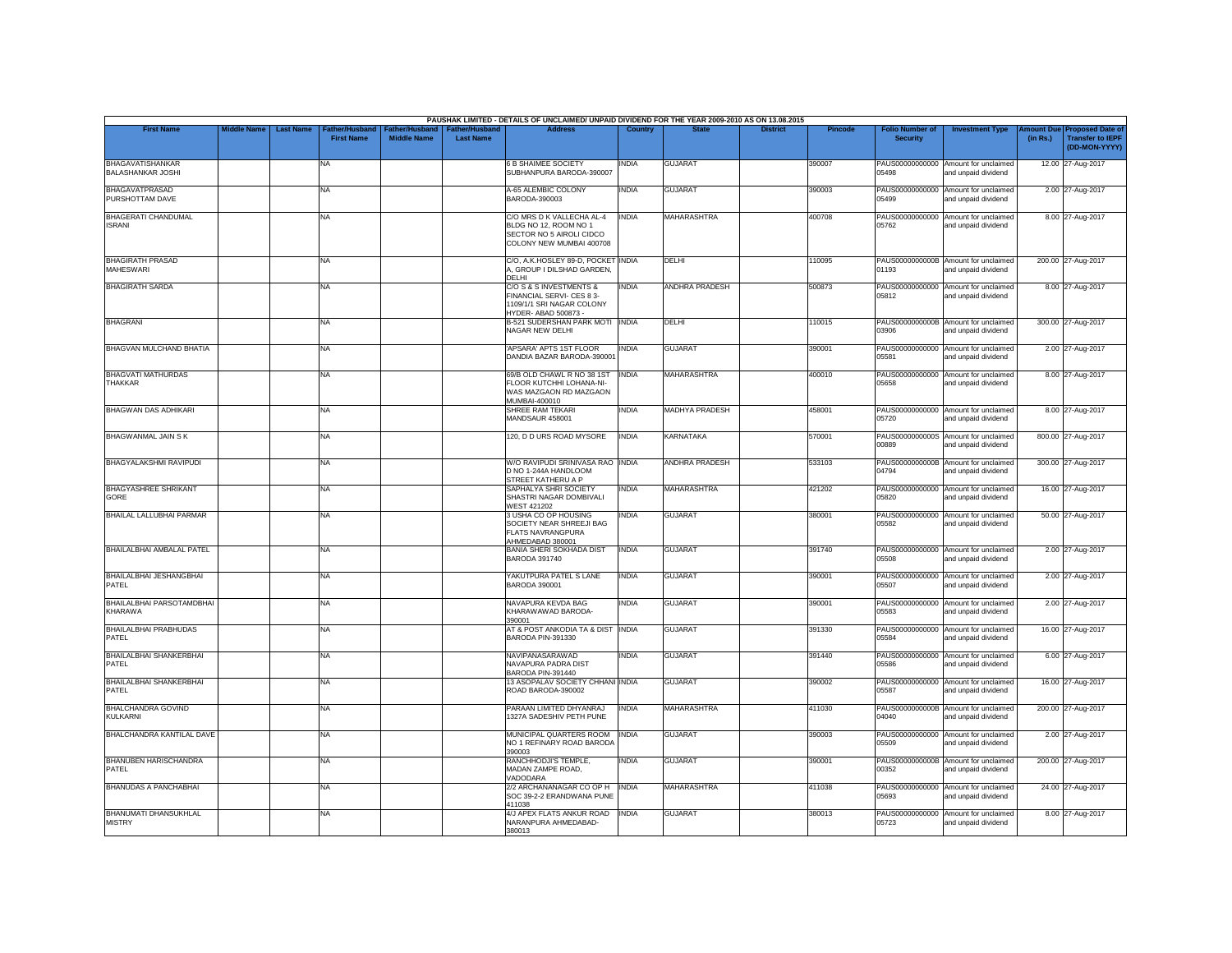|                                                     |                    |                  |                                     |                                      |                                           | PAUSHAK LIMITED - DETAILS OF UNCLAIMED/ UNPAID DIVIDEND FOR THE YEAR 2009-2010 AS ON 13.08.2015            |                |                       |                 |                |                                           |                                                             |          |                                                                        |
|-----------------------------------------------------|--------------------|------------------|-------------------------------------|--------------------------------------|-------------------------------------------|------------------------------------------------------------------------------------------------------------|----------------|-----------------------|-----------------|----------------|-------------------------------------------|-------------------------------------------------------------|----------|------------------------------------------------------------------------|
| <b>First Name</b>                                   | <b>Middle Name</b> | <b>Last Name</b> | Father/Husband<br><b>First Name</b> | Father/Husband<br><b>Middle Name</b> | <b>Father/Husband</b><br><b>Last Name</b> | <b>Address</b>                                                                                             | <b>Country</b> | <b>State</b>          | <b>District</b> | <b>Pincode</b> | <b>Folio Number of</b><br><b>Security</b> | <b>Investment Type</b>                                      | (in Rs.) | mount Due Proposed Date of<br><b>Transfer to IEPF</b><br>(DD-MON-YYYY) |
| <b>BHAGAVATISHANKAR</b><br><b>BALASHANKAR JOSHI</b> |                    |                  | NA                                  |                                      |                                           | <b>6 B SHAIMEE SOCIETY</b><br>SUBHANPURA BARODA-390007                                                     | <b>INDIA</b>   | <b>GUJARAT</b>        |                 | 390007         | PAUS00000000000<br>05498                  | Amount for unclaimed<br>and unpaid dividend                 |          | 12.00 27-Aug-2017                                                      |
| <b>BHAGAVATPRASAD</b><br>PURSHOTTAM DAVE            |                    |                  | <b>NA</b>                           |                                      |                                           | A-65 ALEMBIC COLONY<br>BARODA-390003                                                                       | <b>INDIA</b>   | <b>GUJARAT</b>        |                 | 390003         | 05499                                     | PAUS00000000000 Amount for unclaimed<br>and unpaid dividend |          | 2.00 27-Aug-2017                                                       |
| BHAGERATI CHANDUMAL<br><b>ISRANI</b>                |                    |                  | <b>NA</b>                           |                                      |                                           | C/O MRS D K VALLECHA AL-4<br>BLDG NO 12, ROOM NO 1<br>SECTOR NO 5 AIROLI CIDCO<br>COLONY NEW MUMBAI 400708 | <b>INDIA</b>   | <b>MAHARASHTRA</b>    |                 | 400708         | PAUS00000000000<br>05762                  | Amount for unclaimed<br>and unpaid dividend                 |          | 8.00 27-Aug-2017                                                       |
| <b>BHAGIRATH PRASAD</b><br><b>MAHESWARI</b>         |                    |                  | <b>NA</b>                           |                                      |                                           | C/O, A.K.HOSLEY 89-D, POCKET INDIA<br>4, GROUP I DILSHAD GARDEN,<br>DELHI                                  |                | DELHI                 |                 | 110095         | 01193                                     | PAUS0000000000B Amount for unclaimed<br>and unpaid dividend |          | 200.00 27-Aug-2017                                                     |
| <b>BHAGIRATH SARDA</b>                              |                    |                  | <b>NA</b>                           |                                      |                                           | C/O S & S INVESTMENTS &<br>FINANCIAL SERVI- CES 83-<br>1109/1/1 SRI NAGAR COLONY<br>HYDER- ABAD 500873 -   | <b>INDIA</b>   | <b>ANDHRA PRADESH</b> |                 | 500873         | 05812                                     | PAUS00000000000 Amount for unclaimed<br>and unpaid dividend |          | 8.00 27-Aug-2017                                                       |
| <b>BHAGRANI</b>                                     |                    |                  | NA                                  |                                      |                                           | <b>B-521 SUDERSHAN PARK MOTI INDIA</b><br>NAGAR NEW DELHI                                                  |                | <b>DELHI</b>          |                 | 110015         | 03906                                     | PAUS0000000000B Amount for unclaimed<br>and unpaid dividend |          | 300.00 27-Aug-2017                                                     |
| BHAGVAN MULCHAND BHATIA                             |                    |                  | <b>NA</b>                           |                                      |                                           | 'APSARA' APTS 1ST FLOOR<br>DANDIA BAZAR BARODA-39000                                                       | <b>INDIA</b>   | <b>GUJARAT</b>        |                 | 390001         | 05581                                     | PAUS00000000000 Amount for unclaimed<br>and unpaid dividend |          | 2.00 27-Aug-2017                                                       |
| <b>BHAGVATI MATHURDAS</b><br><b>THAKKAR</b>         |                    |                  | NA                                  |                                      |                                           | 69/B OLD CHAWL R NO 38 1ST<br>FLOOR KUTCHHI LOHANA-NI-<br>WAS MAZGAON RD MAZGAON<br>MUMBAI-400010          | <b>INDIA</b>   | <b>MAHARASHTRA</b>    |                 | 400010         | 05658                                     | PAUS00000000000 Amount for unclaimed<br>and unpaid dividend |          | 8.00 27-Aug-2017                                                       |
| <b>BHAGWAN DAS ADHIKARI</b>                         |                    |                  | <b>NA</b>                           |                                      |                                           | SHREE RAM TEKARI<br><b>MANDSAUR 458001</b>                                                                 | <b>INDIA</b>   | <b>MADHYA PRADESH</b> |                 | 458001         | 05720                                     | PAUS00000000000 Amount for unclaimed<br>and unpaid dividend |          | 8.00 27-Aug-2017                                                       |
| <b>BHAGWANMAL JAIN S K</b>                          |                    |                  | <b>NA</b>                           |                                      |                                           | 120, D D URS ROAD MYSORE                                                                                   | <b>INDIA</b>   | <b>KARNATAKA</b>      |                 | 570001         | 00889                                     | PAUS0000000000S Amount for unclaimed<br>and unpaid dividend |          | 800.00 27-Aug-2017                                                     |
| <b>BHAGYALAKSHMI RAVIPUDI</b>                       |                    |                  | <b>NA</b>                           |                                      |                                           | W/O RAVIPUDI SRINIVASA RAO INDIA<br>D NO 1-244A HANDLOOM<br>STREET KATHERU A P                             |                | <b>ANDHRA PRADESH</b> |                 | 533103         | 04794                                     | PAUS0000000000B Amount for unclaimed<br>and unpaid dividend |          | 300.00 27-Aug-2017                                                     |
| <b>BHAGYASHREE SHRIKANT</b><br>GORE                 |                    |                  | <b>NA</b>                           |                                      |                                           | SAPHALYA SHRI SOCIETY<br>SHASTRI NAGAR DOMBIVALI<br><b>WEST 421202</b>                                     | <b>INDIA</b>   | <b>MAHARASHTRA</b>    |                 | 421202         | 05820                                     | PAUS00000000000 Amount for unclaimed<br>and unpaid dividend |          | 16.00 27-Aug-2017                                                      |
| <b>BHAILAL LALLUBHAI PARMAR</b>                     |                    |                  | <b>NA</b>                           |                                      |                                           | 3 USHA CO OP HOUSING<br>SOCIETY NEAR SHREEJI BAG<br><b>FLATS NAVRANGPURA</b><br>AHMEDABAD 380001           | <b>INDIA</b>   | <b>GUJARAT</b>        |                 | 380001         | PAUS00000000000<br>05582                  | Amount for unclaimed<br>and unpaid dividend                 |          | 50.00 27-Aug-2017                                                      |
| BHAILALBHAI AMBALAL PATEL                           |                    |                  | <b>NA</b>                           |                                      |                                           | BANIA SHERI SOKHADA DIST<br><b>BARODA 391740</b>                                                           | <b>INDIA</b>   | <b>GUJARAT</b>        |                 | 391740         | 05508                                     | PAUS00000000000 Amount for unclaimed<br>and unpaid dividend |          | 2.00 27-Aug-2017                                                       |
| BHAILALBHAI JESHANGBHAI<br>PATEL                    |                    |                  | <b>NA</b>                           |                                      |                                           | YAKUTPURA PATEL S LANE<br>BARODA 390001                                                                    | <b>INDIA</b>   | <b>GUJARAT</b>        |                 | 390001         | 05507                                     | PAUS00000000000 Amount for unclaimed<br>and unpaid dividend |          | 2.00 27-Aug-2017                                                       |
| BHAILALBHAI PARSOTAMDBHAI<br><b>KHARAWA</b>         |                    |                  | <b>NA</b>                           |                                      |                                           | NAVAPURA KEVDA BAG<br>KHARAWAWAD BARODA-<br>390001                                                         | <b>INDIA</b>   | <b>GUJARAT</b>        |                 | 390001         | 05583                                     | PAUS00000000000 Amount for unclaimed<br>and unpaid dividend |          | 2.00 27-Aug-2017                                                       |
| <b>BHAILALBHAI PRABHUDAS</b><br>PATEL               |                    |                  | <b>NA</b>                           |                                      |                                           | AT & POST ANKODIA TA & DIST INDIA<br><b>BARODA PIN-391330</b>                                              |                | <b>GUJARAT</b>        |                 | 391330         | 05584                                     | PAUS00000000000 Amount for unclaimed<br>and unpaid dividend |          | 16.00 27-Aug-2017                                                      |
| BHAILALBHAI SHANKERBHAI<br>PATEL                    |                    |                  | <b>NA</b>                           |                                      |                                           | NAVIPANASARAWAD<br>NAVAPURA PADRA DIST<br>BARODA PIN-391440                                                | <b>INDIA</b>   | <b>GUJARAT</b>        |                 | 391440         | 05586                                     | PAUS00000000000 Amount for unclaimed<br>and unpaid dividend |          | 6.00 27-Aug-2017                                                       |
| <b>BHAILALBHAI SHANKERBHAI</b><br>PATEL             |                    |                  | <b>NA</b>                           |                                      |                                           | 13 ASOPALAV SOCIETY CHHANI INDIA<br>ROAD BARODA-390002                                                     |                | <b>GUJARAT</b>        |                 | 390002         | 05587                                     | PAUS00000000000 Amount for unclaimed<br>and unpaid dividend |          | 16.00 27-Aug-2017                                                      |
| <b>BHALCHANDRA GOVIND</b><br><b>KULKARNI</b>        |                    |                  | <b>NA</b>                           |                                      |                                           | PARAAN LIMITED DHYANRAJ<br>1327A SADESHIV PETH PUNE                                                        | <b>INDIA</b>   | <b>MAHARASHTRA</b>    |                 | 411030         | 04040                                     | PAUS0000000000B Amount for unclaimed<br>and unpaid dividend |          | 200.00 27-Aug-2017                                                     |
| BHALCHANDRA KANTILAL DAVE                           |                    |                  | <b>NA</b>                           |                                      |                                           | MUNICIPAL QUARTERS ROOM<br>NO 1 REFINARY ROAD BARODA<br>390003                                             | <b>INDIA</b>   | <b>GUJARAT</b>        |                 | 390003         | 05509                                     | PAUS00000000000 Amount for unclaimed<br>and unpaid dividend |          | 2.00 27-Aug-2017                                                       |
| <b>BHANUBEN HARISCHANDRA</b><br><b>PATEL</b>        |                    |                  | <b>NA</b>                           |                                      |                                           | RANCHHODJI'S TEMPLE,<br>MADAN ZAMPE ROAD.<br>VADODARA                                                      | <b>INDIA</b>   | <b>GUJARAT</b>        |                 | 390001         | 00352                                     | PAUS0000000000B Amount for unclaimed<br>and unpaid dividend |          | 200.00 27-Aug-2017                                                     |
| <b>BHANUDAS A PANCHABHAI</b>                        |                    |                  | <b>NA</b>                           |                                      |                                           | 2/2 ARCHANANAGAR CO OP H<br>SOC 39-2-2 ERANDWANA PUNE<br>411038                                            | <b>INDIA</b>   | <b>MAHARASHTRA</b>    |                 | 411038         | 05693                                     | PAUS00000000000 Amount for unclaimed<br>and unpaid dividend |          | 24.00 27-Aug-2017                                                      |
| <b>BHANUMATI DHANSUKHLAL</b><br><b>MISTRY</b>       |                    |                  | <b>NA</b>                           |                                      |                                           | 4/J APEX FLATS ANKUR ROAD<br>NARANPURA AHMEDABAD-<br>380013                                                | <b>INDIA</b>   | <b>GUJARAT</b>        |                 | 380013         | PAUS00000000000<br>05723                  | Amount for unclaimed<br>and unpaid dividend                 |          | 8.00 27-Aug-2017                                                       |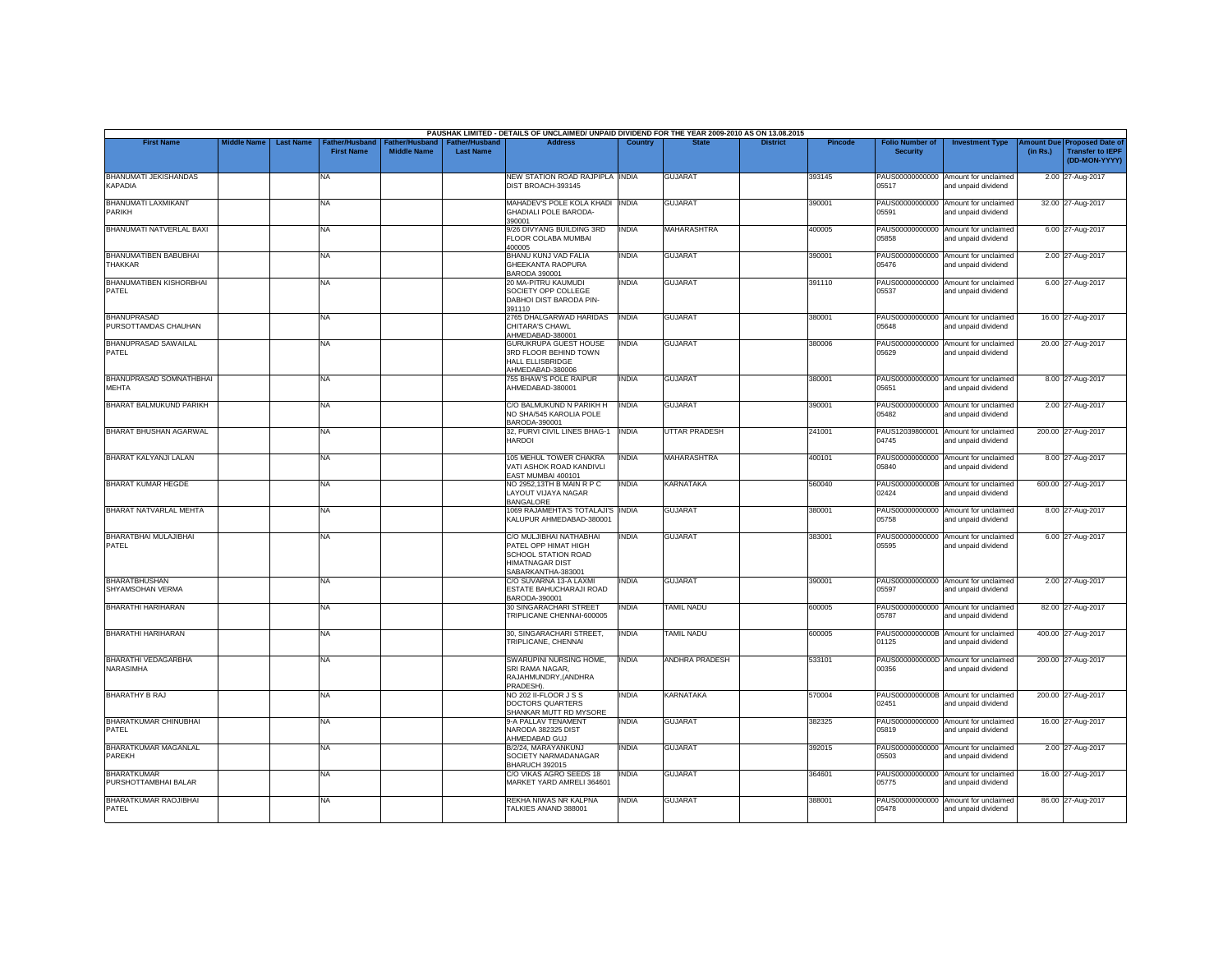|                                                |                    |                  |                                     |                                             |                                           | PAUSHAK LIMITED - DETAILS OF UNCLAIMED/ UNPAID DIVIDEND FOR THE YEAR 2009-2010 AS ON 13.08.2015                        |                |                       |                 |         |                                           |                                                             |          |                                                                         |
|------------------------------------------------|--------------------|------------------|-------------------------------------|---------------------------------------------|-------------------------------------------|------------------------------------------------------------------------------------------------------------------------|----------------|-----------------------|-----------------|---------|-------------------------------------------|-------------------------------------------------------------|----------|-------------------------------------------------------------------------|
| <b>First Name</b>                              | <b>Middle Name</b> | <b>Last Name</b> | Father/Husband<br><b>First Name</b> | <b>Father/Husband</b><br><b>Middle Name</b> | <b>Father/Husband</b><br><b>Last Name</b> | <b>Address</b>                                                                                                         | <b>Country</b> | <b>State</b>          | <b>District</b> | Pincode | <b>Folio Number of</b><br><b>Security</b> | <b>Investment Type</b>                                      | (in Rs.) | Amount Due Proposed Date of<br><b>Transfer to IEPF</b><br>(DD-MON-YYYY) |
| <b>BHANUMATI JEKISHANDAS</b><br><b>KAPADIA</b> |                    |                  | <b>NA</b>                           |                                             |                                           | NEW STATION ROAD RAJPIPLA INDIA<br>DIST BROACH-393145                                                                  |                | <b>GUJARAT</b>        |                 | 393145  | 05517                                     | PAUS00000000000 Amount for unclaimed<br>and unpaid dividend |          | 2.00 27-Aug-2017                                                        |
| <b>BHANUMATI LAXMIKANT</b><br>PARIKH           |                    |                  | <b>NA</b>                           |                                             |                                           | MAHADEV'S POLE KOLA KHADI INDIA<br><b>GHADIALI POLE BARODA-</b><br>390001                                              |                | <b>GUJARAT</b>        |                 | 390001  | 05591                                     | PAUS00000000000 Amount for unclaimed<br>and unpaid dividend |          | 32.00 27-Aug-2017                                                       |
| BHANUMATI NATVERLAL BAXI                       |                    |                  | <b>NA</b>                           |                                             |                                           | 9/26 DIVYANG BUILDING 3RD<br>FLOOR COLABA MUMBAI<br>400005                                                             | <b>INDIA</b>   | <b>MAHARASHTRA</b>    |                 | 400005  | 05858                                     | PAUS00000000000 Amount for unclaimed<br>and unpaid dividend |          | 6.00 27-Aug-2017                                                        |
| BHANUMATIBEN BABUBHAI<br><b>THAKKAR</b>        |                    |                  | <b>NA</b>                           |                                             |                                           | BHANU KUNJ VAD FALIA<br>GHEEKANTA RAOPURA<br>BARODA 390001                                                             | <b>INDIA</b>   | <b>GUJARAT</b>        |                 | 390001  | 05476                                     | PAUS00000000000 Amount for unclaimed<br>and unpaid dividend |          | 2.00 27-Aug-2017                                                        |
| BHANUMATIBEN KISHORBHAI<br>PATEL               |                    |                  | <b>NA</b>                           |                                             |                                           | 20 MA-PITRU KAUMUDI<br>SOCIETY OPP COLLEGE<br>DABHOI DIST BARODA PIN-<br>391110                                        | <b>INDIA</b>   | <b>GUJARAT</b>        |                 | 391110  | PAUS00000000000<br>05537                  | Amount for unclaimed<br>and unpaid dividend                 |          | 6.00 27-Aug-2017                                                        |
| <b>BHANUPRASAD</b><br>PURSOTTAMDAS CHAUHAN     |                    |                  | <b>NA</b>                           |                                             |                                           | 2765 DHALGARWAD HARIDAS<br>CHITARA'S CHAWL<br>AHMEDABAD-380001                                                         | <b>INDIA</b>   | <b>GUJARAT</b>        |                 | 380001  | 05648                                     | PAUS00000000000 Amount for unclaimed<br>and unpaid dividend |          | 16.00 27-Aug-2017                                                       |
| <b>BHANUPRASAD SAWAILAL</b><br>PATEL           |                    |                  | <b>NA</b>                           |                                             |                                           | <b>GURUKRUPA GUEST HOUSE</b><br>3RD FLOOR BEHIND TOWN<br>HALL ELLISBRIDGE<br>AHMEDABAD-380006                          | <b>INDIA</b>   | <b>GUJARAT</b>        |                 | 380006  | 05629                                     | PAUS00000000000 Amount for unclaimed<br>and unpaid dividend |          | 20.00 27-Aug-2017                                                       |
| BHANUPRASAD SOMNATHBHAI<br>MEHTA               |                    |                  | <b>NA</b>                           |                                             |                                           | 755 BHAW'S POLE RAIPUR<br>AHMEDABAD-380001                                                                             | <b>INDIA</b>   | <b>GUJARAT</b>        |                 | 380001  | 05651                                     | PAUS00000000000 Amount for unclaimed<br>and unpaid dividend |          | 8.00 27-Aug-2017                                                        |
| BHARAT BALMUKUND PARIKH                        |                    |                  | <b>NA</b>                           |                                             |                                           | C/O BALMUKUND N PARIKH H<br>NO SHA/545 KAROLIA POLE<br>BARODA-390001                                                   | <b>INDIA</b>   | <b>GUJARAT</b>        |                 | 390001  | 05482                                     | PAUS00000000000 Amount for unclaimed<br>and unpaid dividend |          | 2.00 27-Aug-2017                                                        |
| <b>BHARAT BHUSHAN AGARWAL</b>                  |                    |                  | <b>NA</b>                           |                                             |                                           | 32, PURVI CIVIL LINES BHAG-1<br><b>HARDOI</b>                                                                          | <b>INDIA</b>   | <b>UTTAR PRADESH</b>  |                 | 241001  | 04745                                     | PAUS12039800001 Amount for unclaimed<br>and unpaid dividend |          | 200.00 27-Aug-2017                                                      |
| BHARAT KALYANJI LALAN                          |                    |                  | <b>NA</b>                           |                                             |                                           | 105 MEHUL TOWER CHAKRA<br>VATI ASHOK ROAD KANDIVLI<br>EAST MUMBAI 400101                                               | <b>INDIA</b>   | <b>MAHARASHTRA</b>    |                 | 400101  | PAUS00000000000<br>05840                  | Amount for unclaimed<br>and unpaid dividend                 |          | 8.00 27-Aug-2017                                                        |
| <b>BHARAT KUMAR HEGDE</b>                      |                    |                  | <b>NA</b>                           |                                             |                                           | NO 2952,13TH B MAIN R P C<br>LAYOUT VIJAYA NAGAR<br><b>BANGALORE</b>                                                   | <b>INDIA</b>   | <b>KARNATAKA</b>      |                 | 560040  | 02424                                     | PAUS0000000000B Amount for unclaimed<br>and unpaid dividend |          | 600.00 27-Aug-2017                                                      |
| BHARAT NATVARLAL MEHTA                         |                    |                  | <b>NA</b>                           |                                             |                                           | 1069 RAJAMEHTA'S TOTALAJI'S INDIA<br>KALUPUR AHMEDABAD-380001                                                          |                | <b>GUJARAT</b>        |                 | 380001  | 05758                                     | PAUS00000000000 Amount for unclaimed<br>and unpaid dividend |          | 8.00 27-Aug-2017                                                        |
| BHARATBHAI MULAJIBHAI<br>PATEL                 |                    |                  | <b>NA</b>                           |                                             |                                           | C/O MULJIBHAI NATHABHAI<br>PATFL OPP HIMAT HIGH<br>SCHOOL STATION ROAD<br><b>HIMATNAGAR DIST</b><br>SABARKANTHA-383001 | <b>INDIA</b>   | <b>GUJARAT</b>        |                 | 383001  | 05595                                     | PAUS00000000000 Amount for unclaimed<br>and unpaid dividend |          | 6.00 27-Aug-2017                                                        |
| <b>BHARATBHUSHAN</b><br>SHYAMSOHAN VERMA       |                    |                  | <b>NA</b>                           |                                             |                                           | C/O SUVARNA 13-A LAXMI<br>ESTATE BAHUCHARAJI ROAD<br>BARODA-390001                                                     | <b>INDIA</b>   | <b>GUJARAT</b>        |                 | 390001  | 05597                                     | PAUS00000000000 Amount for unclaimed<br>and unpaid dividend |          | 2.00 27-Aug-2017                                                        |
| BHARATHI HARIHARAN                             |                    |                  | <b>NA</b>                           |                                             |                                           | 30 SINGARACHARI STREET<br>TRIPLICANE CHENNAI-600005                                                                    | INDIA          | <b>TAMIL NADU</b>     |                 | 600005  | 05787                                     | PAUS00000000000 Amount for unclaimed<br>and unpaid dividend |          | 82.00 27-Aug-2017                                                       |
| <b>BHARATHI HARIHARAN</b>                      |                    |                  | <b>NA</b>                           |                                             |                                           | 30. SINGARACHARI STREET.<br>TRIPLICANE, CHENNAI                                                                        | INDIA          | <b>TAMIL NADU</b>     |                 | 600005  | 01125                                     | PAUS0000000000B Amount for unclaimed<br>and unpaid dividend |          | 400.00 27-Aug-2017                                                      |
| <b>BHARATHI VEDAGARBHA</b><br><b>NARASIMHA</b> |                    |                  | <b>NA</b>                           |                                             |                                           | SWARUPINI NURSING HOME,<br>SRI RAMA NAGAR.<br>RAJAHMUNDRY,(ANDHRA<br>PRADESH).                                         | <b>INDIA</b>   | <b>ANDHRA PRADESH</b> |                 | 533101  | 00356                                     | PAUS0000000000D Amount for unclaimed<br>and unpaid dividend |          | 200.00 27-Aug-2017                                                      |
| BHARATHY B RAJ                                 |                    |                  | <b>NA</b>                           |                                             |                                           | NO 202 II-FLOOR J S S<br>DOCTORS QUARTERS<br>SHANKAR MUTT RD MYSORE                                                    | <b>INDIA</b>   | <b>KARNATAKA</b>      |                 | 570004  | 02451                                     | PAUS0000000000B Amount for unclaimed<br>and unpaid dividend |          | 200.00 27-Aug-2017                                                      |
| BHARATKUMAR CHINUBHAI<br>PATEL                 |                    |                  | <b>NA</b>                           |                                             |                                           | 9-A PALLAV TENAMENT<br>NARODA 382325 DIST<br>AHMEDABAD GUJ                                                             | <b>INDIA</b>   | <b>GUJARAT</b>        |                 | 382325  | 05819                                     | PAUS00000000000 Amount for unclaimed<br>and unpaid dividend |          | 16.00 27-Aug-2017                                                       |
| <b>BHARATKUMAR MAGANLAL</b><br><b>PAREKH</b>   |                    |                  | <b>NA</b>                           |                                             |                                           | B/2/24, MARAYANKUNJ<br>SOCIFTY NARMADANAGAR<br>BHARUCH 392015                                                          | <b>INDIA</b>   | <b>GUJARAT</b>        |                 | 392015  | 05503                                     | PAUS00000000000 Amount for unclaimed<br>and unpaid dividend |          | 2.00 27-Aug-2017                                                        |
| <b>BHARATKUMAR</b><br>PURSHOTTAMBHAI BALAR     |                    |                  | <b>NA</b>                           |                                             |                                           | C/O VIKAS AGRO SEEDS 18<br>MARKET YARD AMRELI 364601                                                                   | <b>INDIA</b>   | <b>GUJARAT</b>        |                 | 364601  | 05775                                     | PAUS00000000000 Amount for unclaimed<br>and unpaid dividend |          | 16.00 27-Aug-2017                                                       |
| <b>BHARATKUMAR RAOJIBHAI</b><br>PATEL          |                    |                  | <b>NA</b>                           |                                             |                                           | REKHA NIWAS NR KALPNA<br>TALKIES ANAND 388001                                                                          | INDIA          | <b>GUJARAT</b>        |                 | 388001  | PAUS00000000000<br>05478                  | Amount for unclaimed<br>and unpaid dividend                 |          | 86.00 27-Aug-2017                                                       |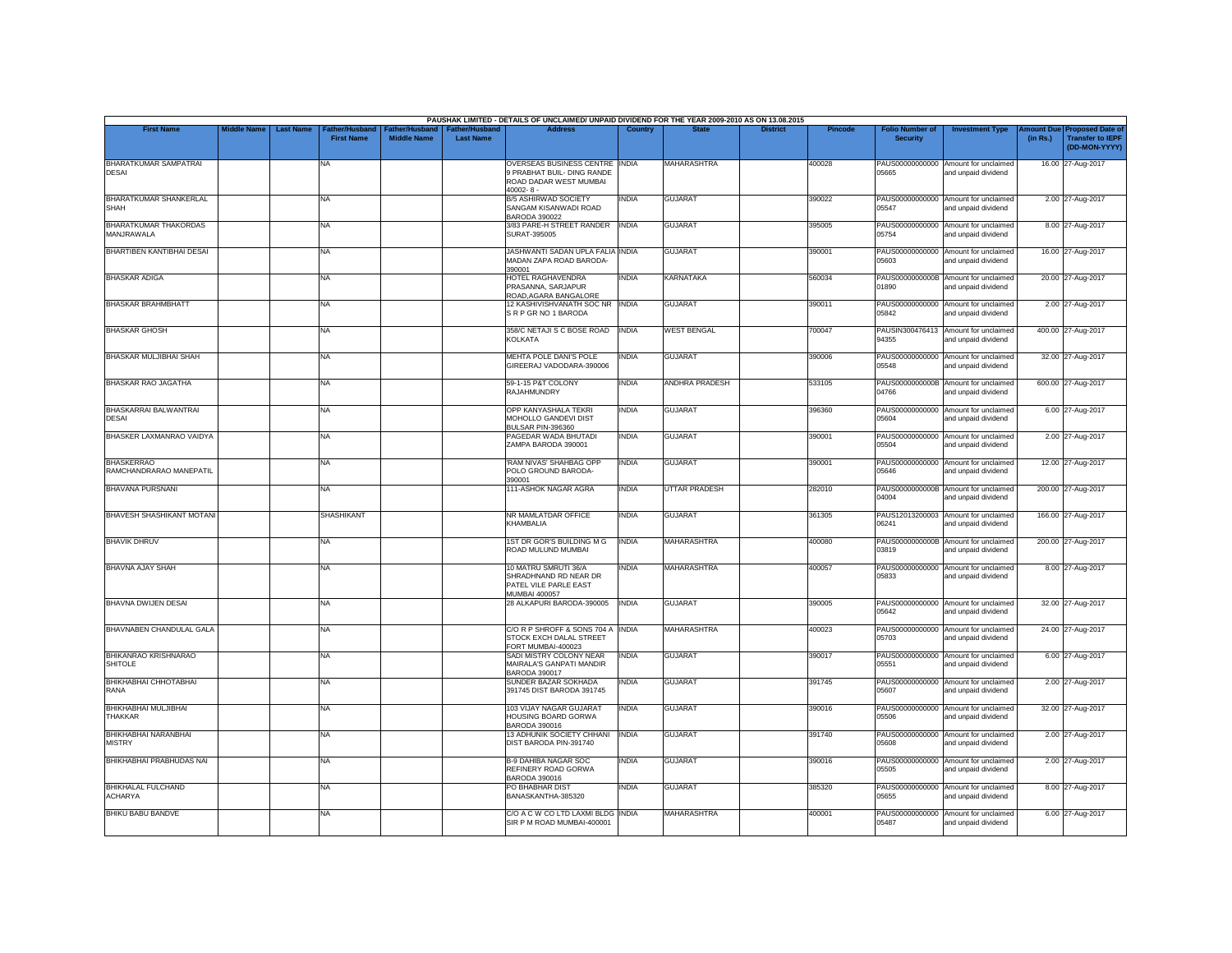|                                              |                    |                                                        |                                             |                                           | PAUSHAK LIMITED - DETAILS OF UNCLAIMED/ UNPAID DIVIDEND FOR THE YEAR 2009-2010 AS ON 13.08.2015         |              |                       |                 |         |                                           |                                                             |                       |                                                                     |
|----------------------------------------------|--------------------|--------------------------------------------------------|---------------------------------------------|-------------------------------------------|---------------------------------------------------------------------------------------------------------|--------------|-----------------------|-----------------|---------|-------------------------------------------|-------------------------------------------------------------|-----------------------|---------------------------------------------------------------------|
| <b>First Name</b>                            | <b>Middle Name</b> | <b>Last Name</b><br>ather/Husband<br><b>First Name</b> | <b>Father/Husband</b><br><b>Middle Name</b> | <b>Father/Husband</b><br><b>Last Name</b> | <b>Address</b>                                                                                          | Country      | <b>State</b>          | <b>District</b> | Pincode | <b>Folio Number of</b><br><b>Security</b> | <b>Investment Type</b>                                      | mount Due<br>(in Rs.) | <b>Proposed Date of</b><br><b>Transfer to IEPF</b><br>(DD-MON-YYYY) |
| <b>BHARATKUMAR SAMPATRAI</b><br><b>DESAI</b> |                    | NA                                                     |                                             |                                           | OVERSEAS BUSINESS CENTRE INDIA<br>9 PRABHAT BUIL- DING RANDE<br>ROAD DADAR WEST MUMBAI<br>$40002 - 8 -$ |              | <b>MAHARASHTRA</b>    |                 | 400028  | PAUS00000000000<br>05665                  | Amount for unclaimed<br>and unpaid dividend                 |                       | 16.00 27-Aug-2017                                                   |
| <b>BHARATKUMAR SHANKERLAL</b><br><b>SHAH</b> |                    | <b>NA</b>                                              |                                             |                                           | B/5 ASHIRWAD SOCIETY<br>SANGAM KISANWADI ROAD                                                           | <b>INDIA</b> | <b>GUJARAT</b>        |                 | 390022  | 05547                                     | PAUS00000000000 Amount for unclaimed<br>and unpaid dividend |                       | 2.00 27-Aug-2017                                                    |
| BHARATKUMAR THAKORDAS<br>MANJRAWALA          |                    | <b>NA</b>                                              |                                             |                                           | <b>BARODA 390022</b><br>3/83 PARE-H STREET RANDER<br>SURAT-395005                                       | <b>INDIA</b> | <b>GUJARAT</b>        |                 | 395005  | 05754                                     | PAUS00000000000 Amount for unclaimed<br>and unpaid dividend |                       | 8.00 27-Aug-2017                                                    |
| <b>BHARTIBEN KANTIBHAI DESAI</b>             |                    | <b>NA</b>                                              |                                             |                                           | JASHWANTI SADAN UPLA FALIA INDIA<br>MADAN ZAPA ROAD BARODA-                                             |              | <b>GUJARAT</b>        |                 | 390001  | 05603                                     | PAUS00000000000 Amount for unclaimed<br>and unpaid dividend |                       | 16.00 27-Aug-2017                                                   |
| <b>BHASKAR ADIGA</b>                         |                    | <b>NA</b>                                              |                                             |                                           | 390001<br>HOTEL RAGHAVENDRA<br>PRASANNA, SARJAPUR                                                       | <b>INDIA</b> | <b>KARNATAKA</b>      |                 | 560034  | 01890                                     | PAUS0000000000B Amount for unclaimed<br>and unpaid dividend |                       | 20.00 27-Aug-2017                                                   |
| <b>BHASKAR BRAHMBHATT</b>                    |                    | <b>NA</b>                                              |                                             |                                           | ROAD, AGARA BANGALORE<br>12 KASHIVISHVANATH SOC NR INDIA<br>SRP GRNO 1 BARODA                           |              | <b>GUJARAT</b>        |                 | 390011  | PAUS00000000000<br>05842                  | Amount for unclaimed<br>and unpaid dividend                 |                       | 2.00 27-Aug-2017                                                    |
| <b>BHASKAR GHOSH</b>                         |                    | <b>NA</b>                                              |                                             |                                           | 358/C NETAJI S C BOSE ROAD<br><b>KOLKATA</b>                                                            | <b>INDIA</b> | <b>WEST BENGAL</b>    |                 | 700047  | 94355                                     | PAUSIN300476413 Amount for unclaimed<br>and unpaid dividend |                       | 400.00 27-Aug-2017                                                  |
| <b>BHASKAR MULJIBHAI SHAH</b>                |                    | <b>NA</b>                                              |                                             |                                           | MEHTA POLE DANI'S POLE<br>GIREERAJ VADODARA-390006                                                      | <b>INDIA</b> | <b>GUJARAT</b>        |                 | 390006  | PAUS00000000000<br>05548                  | Amount for unclaimed<br>and unpaid dividend                 |                       | 32.00 27-Aug-2017                                                   |
| <b>BHASKAR RAO JAGATHA</b>                   |                    | <b>NA</b>                                              |                                             |                                           | 59-1-15 P&T COLONY<br><b>RAJAHMUNDRY</b>                                                                | <b>INDIA</b> | <b>ANDHRA PRADESH</b> |                 | 533105  | 04766                                     | PAUS0000000000B Amount for unclaimed<br>and unpaid dividend |                       | 600.00 27-Aug-2017                                                  |
| <b>BHASKARRAI BALWANTRAI</b><br><b>DESAI</b> |                    | <b>NA</b>                                              |                                             |                                           | <b>OPP KANYASHALA TEKRI</b><br>MOHOLLO GANDEVI DIST<br>BULSAR PIN-396360                                | INDIA        | <b>GUJARAT</b>        |                 | 396360  | PAUS00000000000<br>05604                  | Amount for unclaimed<br>and unpaid dividend                 |                       | 6.00 27-Aug-2017                                                    |
| BHASKER LAXMANRAO VAIDYA                     |                    | <b>NA</b>                                              |                                             |                                           | PAGEDAR WADA BHUTADI<br>ZAMPA BARODA 390001                                                             | <b>INDIA</b> | <b>GUJARAT</b>        |                 | 390001  | 05504                                     | PAUS00000000000 Amount for unclaimed<br>and unpaid dividend |                       | 2.00 27-Aug-2017                                                    |
| <b>BHASKERRAO</b><br>RAMCHANDRARAO MANEPATIL |                    | <b>NA</b>                                              |                                             |                                           | RAM NIVAS' SHAHBAG OPP<br>POLO GROUND BARODA-<br>390001                                                 | <b>INDIA</b> | <b>GUJARAT</b>        |                 | 390001  | 05646                                     | PAUS00000000000 Amount for unclaimed<br>and unpaid dividend |                       | 12.00 27-Aug-2017                                                   |
| <b>BHAVANA PURSNANI</b>                      |                    | <b>NA</b>                                              |                                             |                                           | 111-ASHOK NAGAR AGRA                                                                                    | <b>INDIA</b> | <b>UTTAR PRADESH</b>  |                 | 282010  | 04004                                     | PAUS0000000000B Amount for unclaimed<br>and unpaid dividend |                       | 200.00 27-Aug-2017                                                  |
| <b>BHAVESH SHASHIKANT MOTANI</b>             |                    | <b>SHASHIKANT</b>                                      |                                             |                                           | NR MAMLATDAR OFFICE<br>KHAMBALIA                                                                        | INDIA        | <b>GUJARAT</b>        |                 | 361305  | PAUS12013200003<br>06241                  | Amount for unclaimed<br>and unpaid dividend                 |                       | 166.00 27-Aug-2017                                                  |
| <b>BHAVIK DHRUV</b>                          |                    | <b>NA</b>                                              |                                             |                                           | 1ST DR GOR'S BUILDING M G<br>ROAD MULUND MUMBAI                                                         | <b>INDIA</b> | <b>MAHARASHTRA</b>    |                 | 400080  | 03819                                     | PAUS0000000000B Amount for unclaimed<br>and unpaid dividend |                       | 200.00 27-Aug-2017                                                  |
| <b>BHAVNA AJAY SHAH</b>                      |                    | <b>NA</b>                                              |                                             |                                           | 10 MATRU SMRUTI 36/A<br>SHRADHNAND RD NEAR DR<br>PATEL VILE PARLE EAST<br><b>MUMBAI 400057</b>          | <b>INDIA</b> | <b>MAHARASHTRA</b>    |                 | 400057  | 05833                                     | PAUS00000000000 Amount for unclaimed<br>and unpaid dividend |                       | 8.00 27-Aug-2017                                                    |
| <b>BHAVNA DWIJEN DESAI</b>                   |                    | <b>NA</b>                                              |                                             |                                           | 28 ALKAPURI BARODA-390005                                                                               | <b>INDIA</b> | <b>GUJARAT</b>        |                 | 390005  | 05642                                     | PAUS00000000000 Amount for unclaimed<br>and unpaid dividend |                       | 32.00 27-Aug-2017                                                   |
| BHAVNABEN CHANDULAL GALA                     |                    | <b>NA</b>                                              |                                             |                                           | C/O R P SHROFF & SONS 704 A INDIA<br>STOCK EXCH DALAL STREET<br>FORT MUMBAI-400023                      |              | <b>MAHARASHTRA</b>    |                 | 400023  | 05703                                     | PAUS00000000000 Amount for unclaimed<br>and unpaid dividend |                       | 24.00 27-Aug-2017                                                   |
| BHIKANRAO KRISHNARAO<br><b>SHITOLE</b>       |                    | <b>NA</b>                                              |                                             |                                           | SADI MISTRY COLONY NEAR<br>MAIRALA'S GANPATI MANDIR<br>BARODA 390017                                    | <b>INDIA</b> | <b>GUJARAT</b>        |                 | 390017  | 05551                                     | PAUS00000000000 Amount for unclaimed<br>and unpaid dividend |                       | 6.00 27-Aug-2017                                                    |
| ВНІКНАВНАІ СННОТАВНАІ<br><b>RANA</b>         |                    | <b>NA</b>                                              |                                             |                                           | SUNDER BAZAR SOKHADA<br>391745 DIST BARODA 391745                                                       | <b>INDIA</b> | <b>GUJARAT</b>        |                 | 391745  | 05607                                     | PAUS00000000000 Amount for unclaimed<br>and unpaid dividend |                       | 2.00 27-Aug-2017                                                    |
| BHIKHABHAI MULJIBHAI<br><b>THAKKAR</b>       |                    | <b>NA</b>                                              |                                             |                                           | 103 VIJAY NAGAR GUJARAT<br>HOUSING BOARD GORWA<br>BARODA 390016                                         | <b>INDIA</b> | <b>GUJARAT</b>        |                 | 390016  | PAUS00000000000<br>05506                  | Amount for unclaimed<br>and unpaid dividend                 |                       | 32.00 27-Aug-2017                                                   |
| <b>BHIKHABHAI NARANBHAI</b><br><b>MISTRY</b> |                    | <b>NA</b>                                              |                                             |                                           | 13 ADHUNIK SOCIETY CHHANI<br>DIST BARODA PIN-391740                                                     | <b>INDIA</b> | <b>GUJARAT</b>        |                 | 391740  | 05608                                     | PAUS00000000000 Amount for unclaimed<br>and unpaid dividend |                       | 2.00 27-Aug-2017                                                    |
| <b>BHIKHABHAI PRABHUDAS NAI</b>              |                    | <b>NA</b>                                              |                                             |                                           | <b>B-9 DAHIBA NAGAR SOC</b><br>REFINERY ROAD GORWA<br>BARODA 390016                                     | <b>INDIA</b> | <b>GUJARAT</b>        |                 | 390016  | 05505                                     | PAUS00000000000 Amount for unclaimed<br>and unpaid dividend |                       | 2.00 27-Aug-2017                                                    |
| <b>BHIKHALAL FULCHAND</b><br><b>ACHARYA</b>  |                    | <b>NA</b>                                              |                                             |                                           | PO BHABHAR DIST<br>BANASKANTHA-385320                                                                   | <b>INDIA</b> | <b>GUJARAT</b>        |                 | 385320  | PAUS00000000000<br>05655                  | Amount for unclaimed<br>and unpaid dividend                 |                       | 8.00 27-Aug-2017                                                    |
| <b>BHIKU BABU BANDVE</b>                     |                    | NA                                                     |                                             |                                           | C/O A C W CO LTD LAXMI BLDG INDIA<br>SIR P M ROAD MUMBAI-400001                                         |              | <b>MAHARASHTRA</b>    |                 | 400001  | PAUS00000000000<br>05487                  | Amount for unclaimed<br>and unpaid dividend                 |                       | 6.00 27-Aug-2017                                                    |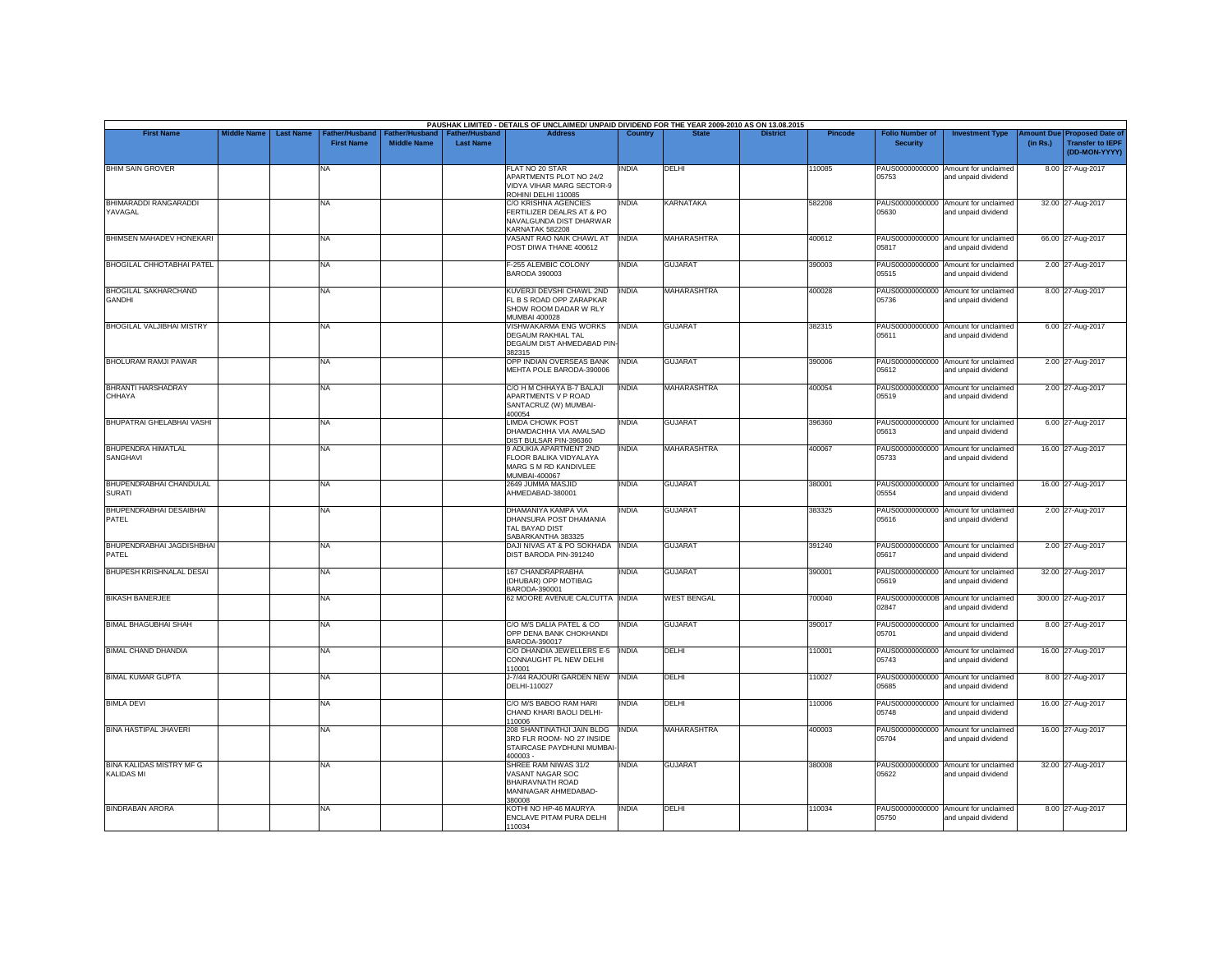| <b>First Name</b>                            | <b>Middle Name</b> | <b>Last Name</b> | Father/Husband    |                    | Father/Husband   Father/Husband | PAUSHAK LIMITED - DETAILS OF UNCLAIMED/ UNPAID DIVIDEND FOR THE YEAR 2009-2010 AS ON 13.08.2015<br><b>Address</b> | Country      |                    | <b>District</b> | <b>Pincode</b> | <b>Folio Number of</b> | <b>Investment Type</b>                                      |          | Amount Due Proposed Date of              |
|----------------------------------------------|--------------------|------------------|-------------------|--------------------|---------------------------------|-------------------------------------------------------------------------------------------------------------------|--------------|--------------------|-----------------|----------------|------------------------|-------------------------------------------------------------|----------|------------------------------------------|
|                                              |                    |                  | <b>First Name</b> | <b>Middle Name</b> | <b>Last Name</b>                |                                                                                                                   |              |                    |                 |                | <b>Security</b>        |                                                             | (in Rs.) | <b>Transfer to IEPF</b><br>(DD-MON-YYYY) |
| <b>BHIM SAIN GROVER</b>                      |                    |                  | NA                |                    |                                 | FLAT NO 20 STAR<br>APARTMENTS PLOT NO 24/2<br>VIDYA VIHAR MARG SECTOR-9<br>ROHINI DELHI 110085                    | <b>INDIA</b> | DELHI              |                 | 110085         | 05753                  | PAUS00000000000 Amount for unclaimed<br>and unpaid dividend |          | 8.00 27-Aug-2017                         |
| BHIMARADDI RANGARADDI<br>YAVAGAL             |                    |                  | <b>NA</b>         |                    |                                 | C/O KRISHNA AGENCIES<br>FERTILIZER DEALRS AT & PO<br>NAVALGUNDA DIST DHARWAR<br>KARNATAK 582208                   | <b>INDIA</b> | <b>KARNATAKA</b>   |                 | 582208         | 05630                  | PAUS00000000000 Amount for unclaimed<br>and unpaid dividend |          | 32.00 27-Aug-2017                        |
| <b>BHIMSEN MAHADEV HONEKARI</b>              |                    |                  | <b>NA</b>         |                    |                                 | VASANT RAO NAIK CHAWL AT<br>POST DIWA THANE 400612                                                                | <b>INDIA</b> | MAHARASHTRA        |                 | 400612         | 05817                  | PAUS00000000000 Amount for unclaimed<br>and unpaid dividend |          | 66.00 27-Aug-2017                        |
| <b>BHOGILAL CHHOTABHAI PATEL</b>             |                    |                  | <b>NA</b>         |                    |                                 | F-255 ALEMBIC COLONY<br><b>BARODA 390003</b>                                                                      | <b>INDIA</b> | <b>GUJARAT</b>     |                 | 390003         | 05515                  | PAUS00000000000 Amount for unclaimed<br>and unpaid dividend |          | 2.00 27-Aug-2017                         |
| <b>BHOGILAL SAKHARCHAND</b><br><b>GANDHI</b> |                    |                  | <b>NA</b>         |                    |                                 | KUVERJI DEVSHI CHAWL 2ND<br>FL B S ROAD OPP ZARAPKAR<br>SHOW ROOM DADAR W RLY<br><b>MUMBAI 400028</b>             | <b>INDIA</b> | <b>MAHARASHTRA</b> |                 | 400028         | 05736                  | PAUS00000000000 Amount for unclaimed<br>and unpaid dividend |          | 8.00 27-Aug-2017                         |
| <b>BHOGILAL VALJIBHAI MISTRY</b>             |                    |                  | <b>NA</b>         |                    |                                 | VISHWAKARMA ENG WORKS<br>DEGAUM RAKHIAL TAL<br>DEGAUM DIST AHMEDABAD PIN<br>382315                                | <b>INDIA</b> | <b>GUJARAT</b>     |                 | 382315         | 05611                  | PAUS00000000000 Amount for unclaimed<br>and unpaid dividend |          | 6.00 27-Aug-2017                         |
| <b>BHOLURAM RAMJI PAWAR</b>                  |                    |                  | <b>NA</b>         |                    |                                 | OPP INDIAN OVERSEAS BANK INDIA<br>MEHTA POLE BARODA-390006                                                        |              | <b>GUJARAT</b>     |                 | 390006         | 05612                  | PAUS00000000000 Amount for unclaimed<br>and unpaid dividend |          | 2.00 27-Aug-2017                         |
| <b>BHRANTI HARSHADRAY</b><br>CHHAYA          |                    |                  | <b>NA</b>         |                    |                                 | C/O H M CHHAYA B-7 BALAJI<br>APARTMENTS V P ROAD<br>SANTACRUZ (W) MUMBAI-<br>400054                               | <b>INDIA</b> | <b>MAHARASHTRA</b> |                 | 400054         | 05519                  | PAUS00000000000 Amount for unclaimed<br>and unpaid dividend |          | 2.00 27-Aug-2017                         |
| BHUPATRAI GHELABHAI VASHI                    |                    |                  | <b>NA</b>         |                    |                                 | <b>LIMDA CHOWK POST</b><br>DHAMDACHHA VIA AMALSAD<br>DIST BULSAR PIN-396360                                       | <b>INDIA</b> | <b>GUJARAT</b>     |                 | 396360         | 05613                  | PAUS00000000000 Amount for unclaimed<br>and unpaid dividend |          | 6.00 27-Aug-2017                         |
| <b>BHUPENDRA HIMATLAL</b><br>SANGHAVI        |                    |                  | <b>NA</b>         |                    |                                 | 9 ADUKIA APARTMENT 2ND<br>FLOOR BALIKA VIDYALAYA<br>MARG S M RD KANDIVLEE<br>MUMBAI-400067                        | <b>INDIA</b> | <b>MAHARASHTRA</b> |                 | 400067         | 05733                  | PAUS00000000000 Amount for unclaimed<br>and unpaid dividend |          | 16.00 27-Aug-2017                        |
| BHUPENDRABHAI CHANDULAL<br><b>SURATI</b>     |                    |                  | <b>NA</b>         |                    |                                 | 2649 JUMMA MASJID<br>AHMEDABAD-380001                                                                             | <b>INDIA</b> | <b>GUJARAT</b>     |                 | 380001         | 05554                  | PAUS00000000000 Amount for unclaimed<br>and unpaid dividend |          | 16.00 27-Aug-2017                        |
| <b>BHUPENDRABHAI DESAIBHAI</b><br>PATEL      |                    |                  | <b>NA</b>         |                    |                                 | DHAMANIYA KAMPA VIA<br>DHANSURA POST DHAMANIA<br>TAL BAYAD DIST<br>SABARKANTHA 383325                             | <b>INDIA</b> | <b>GUJARAT</b>     |                 | 383325         | 05616                  | PAUS00000000000 Amount for unclaimed<br>and unpaid dividend |          | 2.00 27-Aug-2017                         |
| BHUPENDRABHAI JAGDISHBHAI<br>PATEL           |                    |                  | <b>NA</b>         |                    |                                 | DAJI NIVAS AT & PO SOKHADA INDIA<br>DIST BARODA PIN-391240                                                        |              | <b>GUJARAT</b>     |                 | 391240         | 05617                  | PAUS00000000000 Amount for unclaimed<br>and unpaid dividend |          | 2.00 27-Aug-2017                         |
| <b>BHUPESH KRISHNALAL DESAI</b>              |                    |                  | <b>NA</b>         |                    |                                 | 167 CHANDRAPRABHA<br>(DHUBAR) OPP MOTIBAG<br>BARODA-390001                                                        | <b>INDIA</b> | <b>GUJARAT</b>     |                 | 390001         | 05619                  | PAUS00000000000 Amount for unclaimed<br>and unpaid dividend |          | 32.00 27-Aug-2017                        |
| <b>BIKASH BANERJEE</b>                       |                    |                  | <b>NA</b>         |                    |                                 | 62 MOORE AVENUE CALCUTTA INDIA                                                                                    |              | <b>WEST BENGAL</b> |                 | 700040         | 02847                  | PAUS0000000000B Amount for unclaimed<br>and unpaid dividend |          | 300.00 27-Aug-2017                       |
| <b>BIMAL BHAGUBHAI SHAH</b>                  |                    |                  | <b>NA</b>         |                    |                                 | C/O M/S DALIA PATEL & CO<br>OPP DENA BANK CHOKHANDI<br>BARODA-390017                                              | <b>INDIA</b> | <b>GUJARAT</b>     |                 | 390017         | 05701                  | PAUS00000000000 Amount for unclaimed<br>and unpaid dividend |          | 8.00 27-Aug-2017                         |
| <b>BIMAL CHAND DHANDIA</b>                   |                    |                  | <b>NA</b>         |                    |                                 | C/O DHANDIA JEWELLERS E-5 INDIA<br>CONNAUGHT PL NEW DELHI<br>110001                                               |              | DELHI              |                 | 110001         | 05743                  | PAUS00000000000 Amount for unclaimed<br>and unpaid dividend |          | 16.00 27-Aug-2017                        |
| <b>BIMAL KUMAR GUPTA</b>                     |                    |                  | <b>NA</b>         |                    |                                 | J-7/44 RAJOURI GARDEN NEW INDIA<br>DELHI-110027                                                                   |              | <b>DELHI</b>       |                 | 110027         | 05685                  | PAUS00000000000 Amount for unclaimed<br>and unpaid dividend |          | 8.00 27-Aug-2017                         |
| <b>BIMLA DEVI</b>                            |                    |                  | <b>NA</b>         |                    |                                 | C/O M/S BABOO RAM HARI<br>CHAND KHARI BAOLI DELHI-<br>110006                                                      | <b>INDIA</b> | <b>DELHI</b>       |                 | 110006         | 05748                  | PAUS00000000000 Amount for unclaimed<br>and unpaid dividend |          | 16.00 27-Aug-2017                        |
| <b>BINA HASTIPAL JHAVERI</b>                 |                    |                  | NA                |                    |                                 | 208 SHANTINATHJI JAIN BLDG<br>3RD FLR ROOM- NO 27 INSIDE<br>STAIRCASE PAYDHUNI MUMBAI<br>400003-                  | <b>INDIA</b> | <b>MAHARASHTRA</b> |                 | 400003         | 05704                  | PAUS00000000000 Amount for unclaimed<br>and unpaid dividend |          | 16.00 27-Aug-2017                        |
| <b>BINA KALIDAS MISTRY MF G</b>              |                    |                  | <b>NA</b>         |                    |                                 | SHREE RAM NIWAS 31/2                                                                                              | <b>INDIA</b> | <b>GUJARAT</b>     |                 | 380008         |                        | PAUS00000000000 Amount for unclaimed                        |          | 32.00 27-Aug-2017                        |
| <b>KALIDAS MI</b>                            |                    |                  |                   |                    |                                 | VASANT NAGAR SOC<br>BHAIRAVNATH ROAD<br>MANINAGAR AHMEDABAD-<br>380008                                            |              |                    |                 |                | 05622                  | and unpaid dividend                                         |          |                                          |
| <b>BINDRABAN ARORA</b>                       |                    |                  | <b>NA</b>         |                    |                                 | KOTHI NO HP-46 MAURYA<br>ENCLAVE PITAM PURA DELHI<br>110034                                                       | <b>INDIA</b> | DELHI              |                 | 110034         | 05750                  | PAUS00000000000 Amount for unclaimed<br>and unpaid dividend |          | 8.00 27-Aug-2017                         |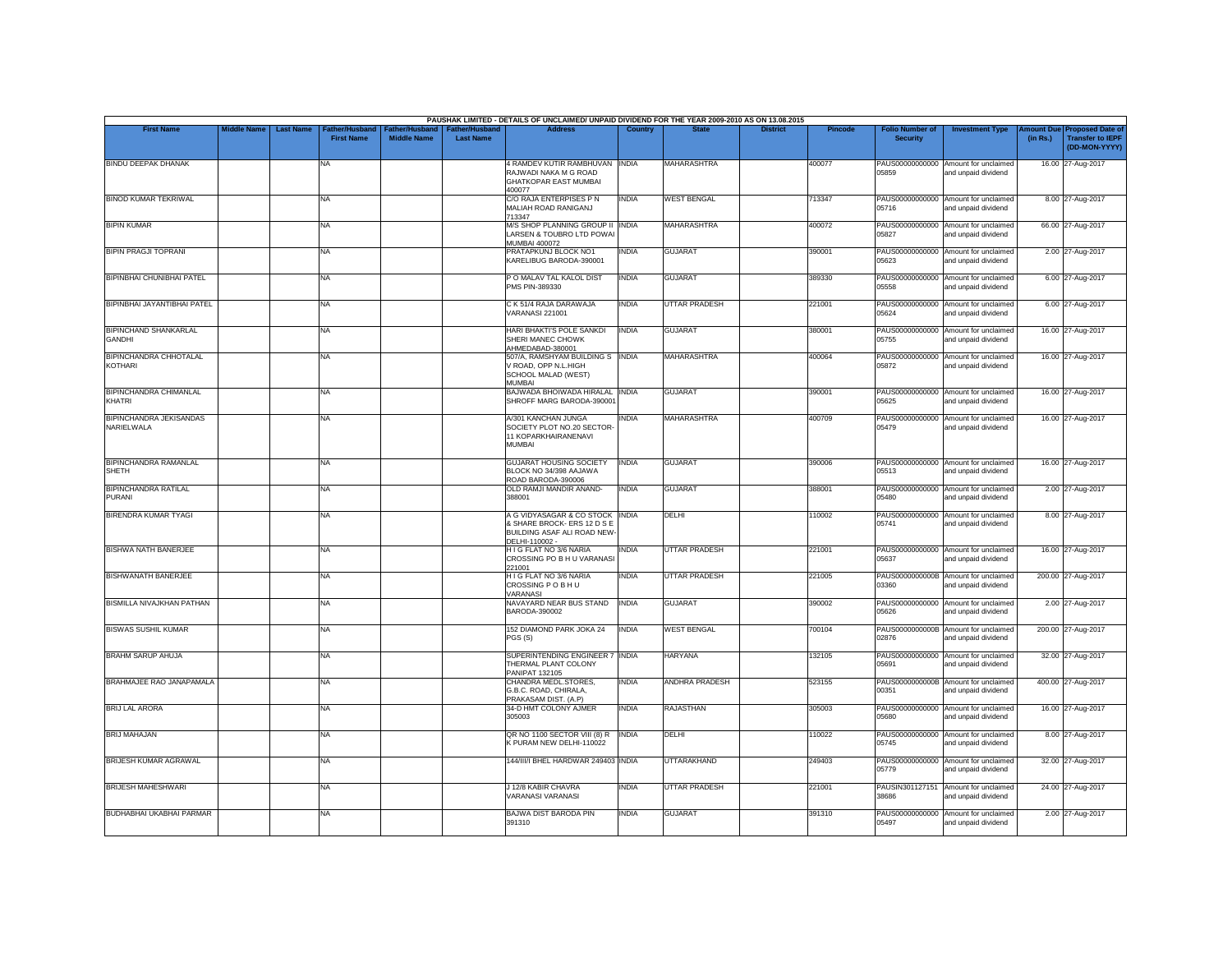|                                                 |                    |                  |                                     |                                      |                                           | PAUSHAK LIMITED - DETAILS OF UNCLAIMED/ UNPAID DIVIDEND FOR THE YEAR 2009-2010 AS ON 13.08.2015                       |                |                       |                 |                |                                           |                                                             |          |                                                                        |
|-------------------------------------------------|--------------------|------------------|-------------------------------------|--------------------------------------|-------------------------------------------|-----------------------------------------------------------------------------------------------------------------------|----------------|-----------------------|-----------------|----------------|-------------------------------------------|-------------------------------------------------------------|----------|------------------------------------------------------------------------|
| <b>First Name</b>                               | <b>Middle Name</b> | <b>Last Name</b> | Father/Husband<br><b>First Name</b> | Father/Husband<br><b>Middle Name</b> | <b>Father/Husband</b><br><b>Last Name</b> | <b>Address</b>                                                                                                        | <b>Country</b> | <b>State</b>          | <b>District</b> | <b>Pincode</b> | <b>Folio Number of</b><br><b>Security</b> | <b>Investment Type</b>                                      | (in Rs.) | mount Due Proposed Date of<br><b>Transfer to IEPF</b><br>(DD-MON-YYYY) |
| <b>BINDU DEEPAK DHANAK</b>                      |                    |                  | NA                                  |                                      |                                           | 4 RAMDEV KUTIR RAMBHUVAN INDIA<br>RAJWADI NAKA M G ROAD<br><b>GHATKOPAR EAST MUMBAI</b><br>400077                     |                | <b>MAHARASHTRA</b>    |                 | 400077         | 05859                                     | PAUS00000000000 Amount for unclaimed<br>and unpaid dividend |          | 16.00 27-Aug-2017                                                      |
| <b>BINOD KUMAR TEKRIWAL</b>                     |                    |                  | <b>NA</b>                           |                                      |                                           | C/O RAJA ENTERPISES P N<br>MALIAH ROAD RANIGANJ<br>713347                                                             | <b>INDIA</b>   | <b>WEST BENGAL</b>    |                 | 713347         | 05716                                     | PAUS00000000000 Amount for unclaimed<br>and unpaid dividend |          | 8.00 27-Aug-2017                                                       |
| <b>BIPIN KUMAR</b>                              |                    |                  | <b>NA</b>                           |                                      |                                           | M/S SHOP PLANNING GROUP II INDIA<br>LARSEN & TOUBRO LTD POWAI<br><b>MUMBAI 400072</b>                                 |                | <b>MAHARASHTRA</b>    |                 | 400072         | 05827                                     | PAUS00000000000 Amount for unclaimed<br>and unpaid dividend |          | 66.00 27-Aug-2017                                                      |
| <b>BIPIN PRAGJI TOPRANI</b>                     |                    |                  | <b>NA</b>                           |                                      |                                           | PRATAPKUNJ BLOCK NO1<br>KARELIBUG BARODA-390001                                                                       | <b>INDIA</b>   | <b>GUJARAT</b>        |                 | 390001         | 05623                                     | PAUS00000000000 Amount for unclaimed<br>and unpaid dividend |          | 2.00 27-Aug-2017                                                       |
| <b>BIPINBHAI CHUNIBHAI PATEL</b>                |                    |                  | <b>NA</b>                           |                                      |                                           | PO MALAV TAL KALOL DIST<br>PMS PIN-389330                                                                             | <b>INDIA</b>   | <b>GUJARAT</b>        |                 | 389330         | 05558                                     | PAUS00000000000 Amount for unclaimed<br>and unpaid dividend |          | 6.00 27-Aug-2017                                                       |
| <b>BIPINBHAI JAYANTIBHAI PATEL</b>              |                    |                  | <b>NA</b>                           |                                      |                                           | C K 51/4 RAJA DARAWAJA<br><b>VARANASI 221001</b>                                                                      | <b>INDIA</b>   | <b>UTTAR PRADESH</b>  |                 | 221001         | 05624                                     | PAUS00000000000 Amount for unclaimed<br>and unpaid dividend |          | 6.00 27-Aug-2017                                                       |
| <b>BIPINCHAND SHANKARLAL</b><br><b>GANDHI</b>   |                    |                  | <b>NA</b>                           |                                      |                                           | HARI BHAKTI'S POLE SANKDI<br>SHERI MANEC CHOWK                                                                        | <b>INDIA</b>   | <b>GUJARAT</b>        |                 | 380001         | 05755                                     | PAUS00000000000 Amount for unclaimed<br>and unpaid dividend |          | 16.00 27-Aug-2017                                                      |
| <b>BIPINCHANDRA CHHOTALAL</b><br><b>KOTHARI</b> |                    |                  | <b>NA</b>                           |                                      |                                           | AHMEDABAD-380001<br>507/A, RAMSHYAM BUILDING S INDIA<br>V ROAD, OPP N.L.HIGH<br>SCHOOL MALAD (WEST)<br>MI IMRAI       |                | MAHARASHTRA           |                 | 400064         | 05872                                     | PAUS00000000000 Amount for unclaimed<br>and unpaid dividend |          | 16.00 27-Aug-2017                                                      |
| <b>BIPINCHANDRA CHIMANLAL</b><br>KHATRI         |                    |                  | <b>NA</b>                           |                                      |                                           | BAJWADA BHOIWADA HIRALAL INDIA<br>SHROFF MARG BARODA-390001                                                           |                | <b>GUJARAT</b>        |                 | 390001         | 05625                                     | PAUS00000000000 Amount for unclaimed<br>and unpaid dividend |          | 16.00 27-Aug-2017                                                      |
| <b>BIPINCHANDRA JEKISANDAS</b><br>NARIELWALA    |                    |                  | <b>NA</b>                           |                                      |                                           | A/301 KANCHAN JUNGA<br>SOCIETY PLOT NO.20 SECTOR-<br>11 KOPARKHAIRANENAVI<br>MUMBAI                                   | <b>INDIA</b>   | <b>MAHARASHTRA</b>    |                 | 400709         | PAUS00000000000<br>05479                  | Amount for unclaimed<br>and unpaid dividend                 |          | 16.00 27-Aug-2017                                                      |
| <b>BIPINCHANDRA RAMANLAL</b><br><b>SHETH</b>    |                    |                  | <b>NA</b>                           |                                      |                                           | <b>GUJARAT HOUSING SOCIETY</b><br>BLOCK NO 34/398 AAJAWA<br>ROAD BARODA-390006                                        | <b>INDIA</b>   | <b>GUJARAT</b>        |                 | 390006         | 05513                                     | PAUS00000000000 Amount for unclaimed<br>and unpaid dividend |          | 16.00 27-Aug-2017                                                      |
| <b>BIPINCHANDRA RATILAL</b><br>PURANI           |                    |                  | <b>NA</b>                           |                                      |                                           | OLD RAMJI MANDIR ANAND-<br>388001                                                                                     | <b>INDIA</b>   | <b>GUJARAT</b>        |                 | 388001         | 05480                                     | PAUS00000000000 Amount for unclaimed<br>and unpaid dividend |          | 2.00 27-Aug-2017                                                       |
| <b>BIRENDRA KUMAR TYAGI</b>                     |                    |                  | <b>NA</b>                           |                                      |                                           | A G VIDYASAGAR & CO STOCK INDIA<br>& SHARE BROCK- ERS 12 D S E<br><b>BUILDING ASAF ALI ROAD NEW</b><br>DELHI-110002 - |                | <b>DELHI</b>          |                 | 110002         | PAUS00000000000<br>05741                  | Amount for unclaimed<br>and unpaid dividend                 |          | 8.00 27-Aug-2017                                                       |
| BISHWA NATH BANERJEE                            |                    |                  | <b>NA</b>                           |                                      |                                           | H I G FLAT NO 3/6 NARIA<br>CROSSING PO B H U VARANAS<br>221001                                                        | <b>INDIA</b>   | UTTAR PRADESH         |                 | 221001         | 05637                                     | PAUS00000000000 Amount for unclaimed<br>and unpaid dividend |          | 16.00 27-Aug-2017                                                      |
| BISHWANATH BANERJEE                             |                    |                  | <b>NA</b>                           |                                      |                                           | H I G FLAT NO 3/6 NARIA<br>CROSSING P O B H U<br><b>VARANASI</b>                                                      | <b>INDIA</b>   | UTTAR PRADESH         |                 | 221005         | 03360                                     | PAUS0000000000B Amount for unclaimed<br>and unpaid dividend |          | 200.00 27-Aug-2017                                                     |
| <b>BISMILLA NIVAJKHAN PATHAN</b>                |                    |                  | <b>NA</b>                           |                                      |                                           | NAVAYARD NEAR BUS STAND<br>BARODA-390002                                                                              | <b>INDIA</b>   | <b>GUJARAT</b>        |                 | 390002         | 05626                                     | PAUS00000000000 Amount for unclaimed<br>and unpaid dividend |          | 2.00 27-Aug-2017                                                       |
| <b>BISWAS SUSHIL KUMAR</b>                      |                    |                  | <b>NA</b>                           |                                      |                                           | 152 DIAMOND PARK JOKA 24<br>PGS (S)                                                                                   | <b>INDIA</b>   | <b>WEST BENGAL</b>    |                 | 700104         | 02876                                     | PAUS0000000000B Amount for unclaimed<br>and unpaid dividend |          | 200.00 27-Aug-2017                                                     |
| <b>BRAHM SARUP AHUJA</b>                        |                    |                  | <b>NA</b>                           |                                      |                                           | SUPERINTENDING ENGINEER 7 INDIA<br>THERMAL PLANT COLONY<br><b>PANIPAT 132105</b>                                      |                | <b>HARYANA</b>        |                 | 132105         | 05691                                     | PAUS00000000000 Amount for unclaimed<br>and unpaid dividend |          | 32.00 27-Aug-2017                                                      |
| BRAHMAJEE RAO JANAPAMALA                        |                    |                  | <b>NA</b>                           |                                      |                                           | CHANDRA MEDL.STORES,<br>G.B.C. ROAD, CHIRALA.<br>PRAKASAM DIST. (A.P)                                                 | <b>INDIA</b>   | <b>ANDHRA PRADESH</b> |                 | 523155         | 00351                                     | PAUS0000000000B Amount for unclaimed<br>and unpaid dividend |          | 400.00 27-Aug-2017                                                     |
| <b>BRIJ LAL ARORA</b>                           |                    |                  | <b>NA</b>                           |                                      |                                           | 34-D HMT COLONY AJMER<br>305003                                                                                       | <b>INDIA</b>   | <b>RAJASTHAN</b>      |                 | 305003         | PAUS00000000000<br>05680                  | Amount for unclaimed<br>and unpaid dividend                 |          | 16.00 27-Aug-2017                                                      |
| <b>BRIJ MAHAJAN</b>                             |                    |                  | <b>NA</b>                           |                                      |                                           | QR NO 1100 SECTOR VIII (8) R<br>K PURAM NEW DELHI-110022                                                              | <b>INDIA</b>   | <b>DFIHI</b>          |                 | 110022         | 05745                                     | PAUS00000000000 Amount for unclaimed<br>and unpaid dividend |          | 8.00 27-Aug-2017                                                       |
| BRIJESH KUMAR AGRAWAL                           |                    |                  | <b>NA</b>                           |                                      |                                           | 144/III/I BHEL HARDWAR 249403 INDIA                                                                                   |                | <b>UTTARAKHAND</b>    |                 | 249403         | 05779                                     | PAUS00000000000 Amount for unclaimed<br>and unpaid dividend |          | 32.00 27-Aug-2017                                                      |
| <b>BRIJESH MAHESHWARI</b>                       |                    |                  | <b>NA</b>                           |                                      |                                           | J 12/8 KABIR CHAVRA<br>VARANASI VARANASI                                                                              | <b>INDIA</b>   | <b>UTTAR PRADESH</b>  |                 | 221001         | PAUSIN301127151<br>38686                  | Amount for unclaimed<br>and unpaid dividend                 |          | 24.00 27-Aug-2017                                                      |
| <b>BUDHABHAI UKABHAI PARMAR</b>                 |                    |                  | <b>NA</b>                           |                                      |                                           | <b>BAJWA DIST BARODA PIN</b><br>391310                                                                                | <b>INDIA</b>   | <b>GUJARAT</b>        |                 | 391310         | PAUS00000000000<br>05497                  | Amount for unclaimed<br>and unpaid dividend                 |          | 2.00 27-Aug-2017                                                       |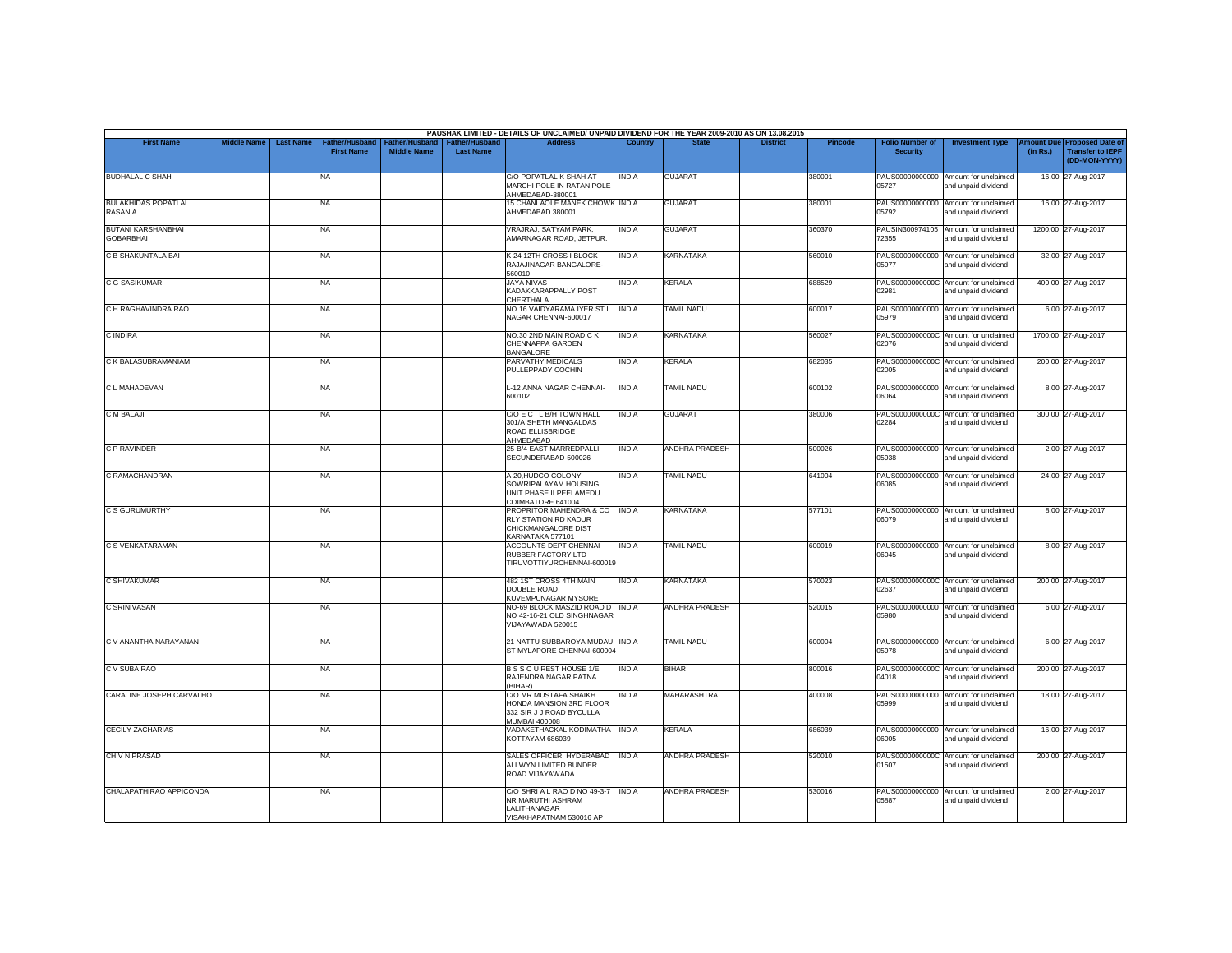|                                               |                    |                  |                                     |                                             |                                           | PAUSHAK LIMITED - DETAILS OF UNCLAIMED/ UNPAID DIVIDEND FOR THE YEAR 2009-2010 AS ON 13.08.2015             |                |                       |                 |         |                                           |                                                             |          |                                                                         |
|-----------------------------------------------|--------------------|------------------|-------------------------------------|---------------------------------------------|-------------------------------------------|-------------------------------------------------------------------------------------------------------------|----------------|-----------------------|-----------------|---------|-------------------------------------------|-------------------------------------------------------------|----------|-------------------------------------------------------------------------|
| <b>First Name</b>                             | <b>Middle Name</b> | <b>Last Name</b> | Father/Husband<br><b>First Name</b> | <b>Father/Husband</b><br><b>Middle Name</b> | <b>Father/Husband</b><br><b>Last Name</b> | <b>Address</b>                                                                                              | <b>Country</b> | <b>State</b>          | <b>District</b> | Pincode | <b>Folio Number of</b><br><b>Security</b> | <b>Investment Type</b>                                      | (in Rs.) | Amount Due Proposed Date of<br><b>Transfer to IEPF</b><br>(DD-MON-YYYY) |
| <b>BUDHALAL C SHAH</b>                        |                    |                  | <b>NA</b>                           |                                             |                                           | C/O POPATLAL K SHAH AT<br>MARCHI POLE IN RATAN POLE<br>AHMEDABAD-380001                                     | INDIA          | <b>GUJARAT</b>        |                 | 380001  | 05727                                     | PAUS00000000000 Amount for unclaimed<br>and unpaid dividend |          | 16.00 27-Aug-2017                                                       |
| <b>BULAKHIDAS POPATLAL</b><br><b>RASANIA</b>  |                    |                  | <b>NA</b>                           |                                             |                                           | <b>15 CHANLAOLE MANEK CHOWK INDIA</b><br>AHMEDABAD 380001                                                   |                | <b>GUJARAT</b>        |                 | 380001  | 05792                                     | PAUS00000000000 Amount for unclaimed<br>and unpaid dividend |          | 16.00 27-Aug-2017                                                       |
| <b>BUTANI KARSHANBHAI</b><br><b>GOBARBHAI</b> |                    |                  | NA                                  |                                             |                                           | VRAJRAJ, SATYAM PARK,<br>AMARNAGAR ROAD, JETPUR.                                                            | <b>INDIA</b>   | <b>GUJARAT</b>        |                 | 360370  | 72355                                     | PAUSIN300974105 Amount for unclaimed<br>and unpaid dividend |          | 1200.00 27-Aug-2017                                                     |
| C B SHAKUNTALA BAI                            |                    |                  | <b>NA</b>                           |                                             |                                           | K-24 12TH CROSS I BLOCK<br>RAJAJINAGAR BANGALORE-<br>560010                                                 | <b>INDIA</b>   | KARNATAKA             |                 | 560010  | PAUS00000000000<br>05977                  | Amount for unclaimed<br>and unpaid dividend                 |          | 32.00 27-Aug-2017                                                       |
| <b>C G SASIKUMAR</b>                          |                    |                  | <b>NA</b>                           |                                             |                                           | JAYA NIVAS<br>KADAKKARAPPALLY POST<br>CHERTHALA                                                             | <b>INDIA</b>   | KERALA                |                 | 688529  | PAUS0000000000C<br>02981                  | Amount for unclaimed<br>and unpaid dividend                 |          | 400.00 27-Aug-2017                                                      |
| C H RAGHAVINDRA RAO                           |                    |                  | NA                                  |                                             |                                           | NO 16 VAIDYARAMA IYER ST I<br>NAGAR CHENNAI-600017                                                          | <b>INDIA</b>   | <b>TAMIL NADU</b>     |                 | 600017  | 05979                                     | PAUS00000000000 Amount for unclaimed<br>and unpaid dividend |          | 6.00 27-Aug-2017                                                        |
| C INDIRA                                      |                    |                  | <b>NA</b>                           |                                             |                                           | NO.30 2ND MAIN ROAD CK<br>CHENNAPPA GARDEN<br>BANGALORE                                                     | <b>INDIA</b>   | KARNATAKA             |                 | 560027  | 02076                                     | PAUS0000000000C Amount for unclaimed<br>and unpaid dividend |          | 1700.00 27-Aug-2017                                                     |
| C K BALASUBRAMANIAM                           |                    |                  | NA                                  |                                             |                                           | PARVATHY MEDICALS<br>PULLEPPADY COCHIN                                                                      | <b>INDIA</b>   | KERALA                |                 | 682035  | 02005                                     | PAUS0000000000C Amount for unclaimed<br>and unpaid dividend |          | 200.00 27-Aug-2017                                                      |
| C L MAHADEVAN                                 |                    |                  | <b>NA</b>                           |                                             |                                           | L-12 ANNA NAGAR CHENNAI-<br>600102                                                                          | <b>INDIA</b>   | <b>TAMIL NADU</b>     |                 | 600102  | PAUS00000000000<br>06064                  | Amount for unclaimed<br>and unpaid dividend                 |          | 8.00 27-Aug-2017                                                        |
| C M BALAJI                                    |                    |                  | <b>NA</b>                           |                                             |                                           | C/O E C I L B/H TOWN HALL<br>301/A SHETH MANGALDAS<br>ROAD ELLISBRIDGE<br>AHMEDABAD                         | <b>INDIA</b>   | <b>GUJARAT</b>        |                 | 380006  | 02284                                     | PAUS0000000000C Amount for unclaimed<br>and unpaid dividend |          | 300.00 27-Aug-2017                                                      |
| C P RAVINDER                                  |                    |                  | <b>NA</b>                           |                                             |                                           | 25-B/4 EAST MARREDPALLI<br>SECUNDERABAD-500026                                                              | <b>INDIA</b>   | <b>ANDHRA PRADESH</b> |                 | 500026  | PAUS00000000000<br>05938                  | Amount for unclaimed<br>and unpaid dividend                 |          | 2.00 27-Aug-2017                                                        |
| C RAMACHANDRAN                                |                    |                  | <b>NA</b>                           |                                             |                                           | A-20.HUDCO COLONY<br>SOWRIPALAYAM HOUSING<br>UNIT PHASE II PEELAMEDU<br>COIMBATORE 641004                   | <b>INDIA</b>   | <b>TAMIL NADU</b>     |                 | 641004  | 06085                                     | PAUS00000000000 Amount for unclaimed<br>and unpaid dividend |          | 24.00 27-Aug-2017                                                       |
| <b>C S GURUMURTHY</b>                         |                    |                  | <b>NA</b>                           |                                             |                                           | PROPRITOR MAHENDRA & CO   INDIA<br>RLY STATION RD KADUR<br>CHICKMANGALORE DIST<br>KARNATAKA 577101          |                | <b>KARNATAKA</b>      |                 | 577101  | 06079                                     | PAUS00000000000 Amount for unclaimed<br>and unpaid dividend |          | 8.00 27-Aug-2017                                                        |
| C S VENKATARAMAN                              |                    |                  | <b>NA</b>                           |                                             |                                           | <b>ACCOUNTS DEPT CHENNAL</b><br>RUBBER FACTORY LTD<br>TIRUVOTTIYURCHENNAI-600019                            | <b>INDIA</b>   | <b>TAMIL NADU</b>     |                 | 600019  | 06045                                     | PAUS00000000000 Amount for unclaimed<br>and unpaid dividend |          | 8.00 27-Aug-2017                                                        |
| <b>C SHIVAKUMAR</b>                           |                    |                  | NA                                  |                                             |                                           | 482 1ST CROSS 4TH MAIN<br><b>DOUBLE ROAD</b>                                                                | <b>INDIA</b>   | <b>KARNATAKA</b>      |                 | 570023  | 02637                                     | PAUS0000000000C Amount for unclaimed<br>and unpaid dividend |          | 200.00 27-Aug-2017                                                      |
| C SRINIVASAN                                  |                    |                  | NA                                  |                                             |                                           | KUVEMPUNAGAR MYSORE<br>NO-69 BLOCK MASZID ROAD D   INDIA<br>NO 42-16-21 OLD SINGHNAGAR<br>VIJAYAWADA 520015 |                | ANDHRA PRADESH        |                 | 520015  | PAUS00000000000<br>05980                  | Amount for unclaimed<br>and unpaid dividend                 |          | 6.00 27-Aug-2017                                                        |
| C V ANANTHA NARAYANAN                         |                    |                  | <b>NA</b>                           |                                             |                                           | 21 NATTU SUBBAROYA MUDAU INDIA<br>ST MYLAPORE CHENNAI-600004                                                |                | <b>TAMIL NADU</b>     |                 | 600004  | 05978                                     | PAUS00000000000 Amount for unclaimed<br>and unpaid dividend |          | 6.00 27-Aug-2017                                                        |
| C V SUBA RAO                                  |                    |                  | <b>NA</b>                           |                                             |                                           | BSSCUREST HOUSE 1/E<br>RAJENDRA NAGAR PATNA<br>(BIHAR)                                                      | <b>INDIA</b>   | <b>BIHAR</b>          |                 | 800016  | 04018                                     | PAUS0000000000C Amount for unclaimed<br>and unpaid dividend |          | 200.00 27-Aug-2017                                                      |
| CARALINE JOSEPH CARVALHO                      |                    |                  | <b>NA</b>                           |                                             |                                           | C/O MR MUSTAFA SHAIKH<br>HONDA MANSION 3RD FLOOR<br>332 SIR J J ROAD BYCULLA<br>MUMBAI 400008               | <b>INDIA</b>   | <b>MAHARASHTRA</b>    |                 | 400008  | 05999                                     | PAUS00000000000 Amount for unclaimed<br>and unpaid dividend |          | 18.00 27-Aug-2017                                                       |
| <b>CECILY ZACHARIAS</b>                       |                    |                  | <b>NA</b>                           |                                             |                                           | VADAKETHACKAL KODIMATHA<br>KOTTAYAM 686039                                                                  | <b>INDIA</b>   | KERALA                |                 | 686039  | 06005                                     | PAUS00000000000 Amount for unclaimed<br>and unpaid dividend |          | 16.00 27-Aug-2017                                                       |
| CH V N PRASAD                                 |                    |                  | <b>NA</b>                           |                                             |                                           | SALES OFFICER, HYDERABAD<br>ALLWYN LIMITED BUNDER<br>ROAD VIJAYAWADA                                        | <b>INDIA</b>   | <b>ANDHRA PRADESH</b> |                 | 520010  | 01507                                     | PAUS0000000000C Amount for unclaimed<br>and unpaid dividend |          | 200.00 27-Aug-2017                                                      |
| CHALAPATHIRAO APPICONDA                       |                    |                  | NA                                  |                                             |                                           | C/O SHRI A L RAO D NO 49-3-7<br>NR MARUTHI ASHRAM<br>LALITHANAGAR<br>VISAKHAPATNAM 530016 AP                | <b>INDIA</b>   | <b>ANDHRA PRADESH</b> |                 | 530016  | PAUS00000000000<br>05887                  | Amount for unclaimed<br>and unpaid dividend                 |          | 2.00 27-Aug-2017                                                        |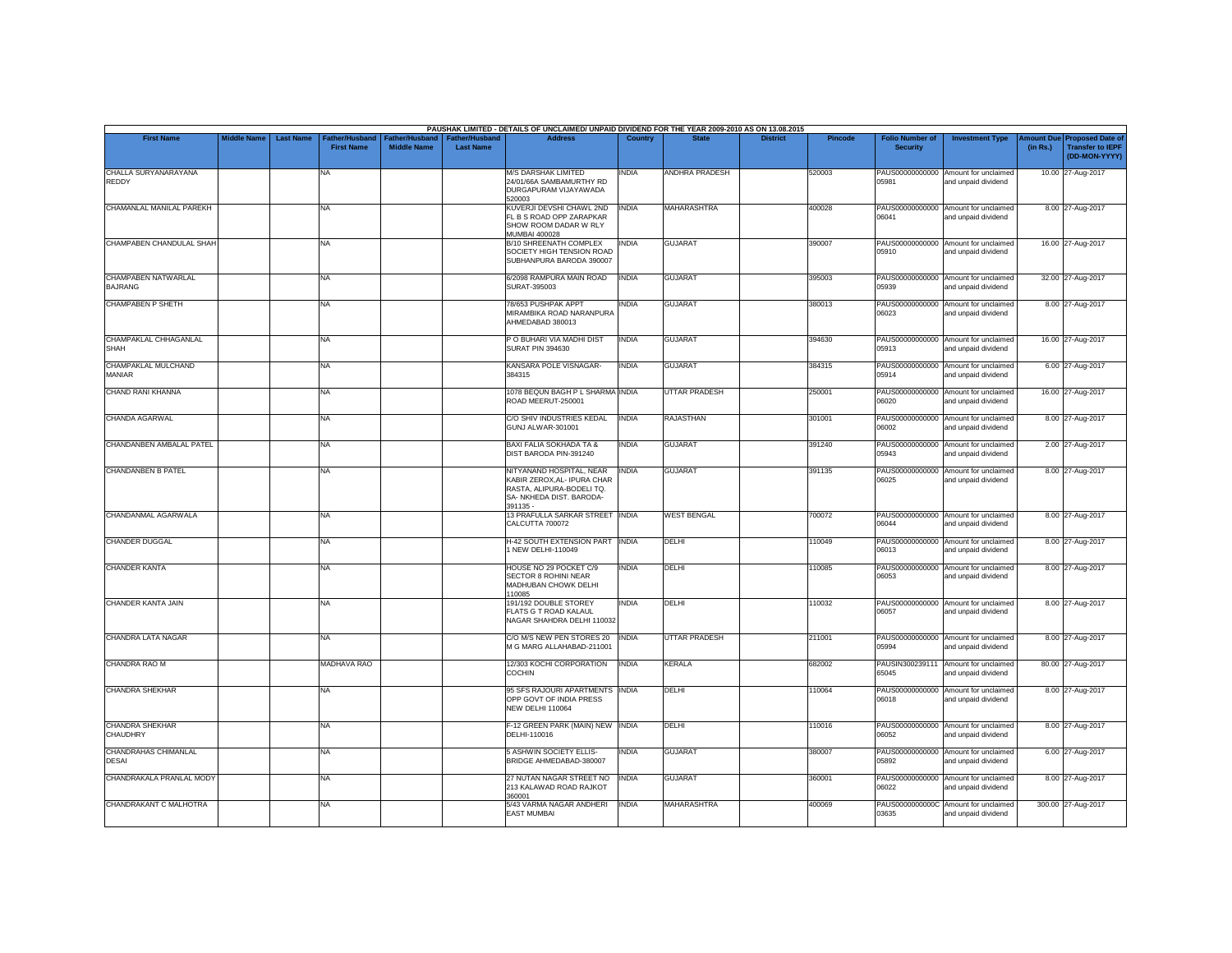|                                       |                    |                  |                                     |                                      |                                           | PAUSHAK LIMITED - DETAILS OF UNCLAIMED/ UNPAID DIVIDEND FOR THE YEAR 2009-2010 AS ON 13.08.2015                             |                |                      |                 |         |                                           |                                                             |          |                                                                                |
|---------------------------------------|--------------------|------------------|-------------------------------------|--------------------------------------|-------------------------------------------|-----------------------------------------------------------------------------------------------------------------------------|----------------|----------------------|-----------------|---------|-------------------------------------------|-------------------------------------------------------------|----------|--------------------------------------------------------------------------------|
| <b>First Name</b>                     | <b>Middle Name</b> | <b>Last Name</b> | Father/Husband<br><b>First Name</b> | Father/Husband<br><b>Middle Name</b> | <b>Father/Husband</b><br><b>Last Name</b> | <b>Address</b>                                                                                                              | <b>Country</b> | <b>State</b>         | <b>District</b> | Pincode | <b>Folio Number of</b><br><b>Security</b> | <b>Investment Type</b>                                      | (in Rs.) | <b>Amount Due Proposed Date of</b><br><b>Transfer to IEPF</b><br>(DD-MON-YYYY) |
| CHALLA SURYANARAYANA<br>REDDY         |                    |                  | <b>NA</b>                           |                                      |                                           | <b>M/S DARSHAK LIMITED</b><br>24/01/66A SAMBAMURTHY RD<br>DURGAPURAM VIJAYAWADA<br>520003                                   | INDIA          | ANDHRA PRADESH       |                 | 520003  | 05981                                     | PAUS00000000000 Amount for unclaimed<br>and unpaid dividend |          | 10.00 27-Aug-2017                                                              |
| CHAMANLAL MANILAL PAREKH              |                    |                  | <b>NA</b>                           |                                      |                                           | KUVERJI DEVSHI CHAWL 2ND<br>FL B S ROAD OPP ZARAPKAR<br>SHOW ROOM DADAR W RLY<br><b>MUMBAI 400028</b>                       | <b>INDIA</b>   | <b>MAHARASHTRA</b>   |                 | 400028  | 06041                                     | PAUS00000000000 Amount for unclaimed<br>and unpaid dividend |          | 8.00 27-Aug-2017                                                               |
| CHAMPABEN CHANDULAL SHAH              |                    |                  | <b>NA</b>                           |                                      |                                           | B/10 SHREENATH COMPLEX<br>SOCIETY HIGH TENSION ROAD<br>SUBHANPURA BARODA 390007                                             | <b>INDIA</b>   | <b>GUJARAT</b>       |                 | 390007  | 05910                                     | PAUS00000000000 Amount for unclaimed<br>and unpaid dividend |          | 16.00 27-Aug-2017                                                              |
| CHAMPABEN NATWARLAL<br><b>BAJRANG</b> |                    |                  | <b>NA</b>                           |                                      |                                           | 6/2098 RAMPURA MAIN ROAD<br>SURAT-395003                                                                                    | <b>INDIA</b>   | <b>GUJARAT</b>       |                 | 395003  | 05939                                     | PAUS00000000000 Amount for unclaimed<br>and unpaid dividend |          | 32.00 27-Aug-2017                                                              |
| <b>CHAMPABEN P SHETH</b>              |                    |                  | <b>NA</b>                           |                                      |                                           | 78/653 PUSHPAK APPT<br>MIRAMBIKA ROAD NARANPURA<br>AHMEDABAD 380013                                                         | <b>INDIA</b>   | <b>GUJARAT</b>       |                 | 380013  | 06023                                     | PAUS00000000000 Amount for unclaimed<br>and unpaid dividend |          | 8.00 27-Aug-2017                                                               |
| CHAMPAKLAL CHHAGANLAL<br><b>SHAH</b>  |                    |                  | <b>NA</b>                           |                                      |                                           | P O BUHARI VIA MADHI DIST<br><b>SURAT PIN 394630</b>                                                                        | <b>INDIA</b>   | <b>GUJARAT</b>       |                 | 394630  | 05913                                     | PAUS00000000000 Amount for unclaimed<br>and unpaid dividend |          | 16.00 27-Aug-2017                                                              |
| CHAMPAKLAL MULCHAND<br>MANIAR         |                    |                  | <b>NA</b>                           |                                      |                                           | KANSARA POLE VISNAGAR-<br>384315                                                                                            | <b>INDIA</b>   | <b>GUJARAT</b>       |                 | 384315  | 05914                                     | PAUS00000000000 Amount for unclaimed<br>and unpaid dividend |          | 6.00 27-Aug-2017                                                               |
| CHAND RANI KHANNA                     |                    |                  | <b>NA</b>                           |                                      |                                           | 1078 BEQUN BAGH P L SHARMA INDIA<br>ROAD MEERUT-250001                                                                      |                | <b>UTTAR PRADESH</b> |                 | 250001  | PAUS00000000000<br>06020                  | Amount for unclaimed<br>and unpaid dividend                 |          | 16.00 27-Aug-2017                                                              |
| CHANDA AGARWAL                        |                    |                  | <b>NA</b>                           |                                      |                                           | C/O SHIV INDUSTRIES KEDAL<br>GUNJ ALWAR-301001                                                                              | <b>INDIA</b>   | <b>RAJASTHAN</b>     |                 | 301001  | 06002                                     | PAUS00000000000 Amount for unclaimed<br>and unpaid dividend |          | 8.00 27-Aug-2017                                                               |
| CHANDANBEN AMBALAL PATEL              |                    |                  | <b>NA</b>                           |                                      |                                           | BAXI FALIA SOKHADA TA &<br>DIST BARODA PIN-391240                                                                           | <b>INDIA</b>   | <b>GUJARAT</b>       |                 | 391240  | 05943                                     | PAUS00000000000 Amount for unclaimed<br>and unpaid dividend |          | 2.00 27-Aug-2017                                                               |
| <b>CHANDANBEN B PATEL</b>             |                    |                  | <b>NA</b>                           |                                      |                                           | NITYANAND HOSPITAL, NEAR<br>KABIR ZEROX,AL- IPURA CHAR<br>RASTA, ALIPURA-BODELI TQ.<br>SA- NKHEDA DIST. BARODA-<br>391135 - | <b>INDIA</b>   | <b>GUJARAT</b>       |                 | 391135  | 06025                                     | PAUS00000000000 Amount for unclaimed<br>and unpaid dividend |          | 8.00 27-Aug-2017                                                               |
| CHANDANMAL AGARWALA                   |                    |                  | <b>NA</b>                           |                                      |                                           | 13 PRAFULLA SARKAR STREET INDIA<br>CALCUTTA 700072                                                                          |                | <b>WEST BENGAL</b>   |                 | 700072  | 06044                                     | PAUS00000000000 Amount for unclaimed<br>and unpaid dividend |          | 8.00 27-Aug-2017                                                               |
| <b>CHANDER DUGGAL</b>                 |                    |                  | <b>NA</b>                           |                                      |                                           | <b>H-42 SOUTH EXTENSION PART</b><br>NEW DELHI-110049                                                                        | <b>INDIA</b>   | DELHI                |                 | 110049  | 06013                                     | PAUS00000000000 Amount for unclaimed<br>and unpaid dividend |          | 8.00 27-Aug-2017                                                               |
| <b>CHANDER KANTA</b>                  |                    |                  | <b>NA</b>                           |                                      |                                           | HOUSE NO 29 POCKET C/9<br>SECTOR 8 ROHINI NEAR<br>MADHUBAN CHOWK DELHI<br>110085                                            | <b>INDIA</b>   | DELHI                |                 | 110085  | 06053                                     | PAUS00000000000 Amount for unclaimed<br>and unpaid dividend |          | 8.00 27-Aug-2017                                                               |
| CHANDER KANTA JAIN                    |                    |                  | <b>NA</b>                           |                                      |                                           | 191/192 DOUBLE STOREY<br>FLATS G T ROAD KALAUL<br>NAGAR SHAHDRA DELHI 110032                                                | INDIA          | DELHI                |                 | 110032  | 06057                                     | PAUS00000000000 Amount for unclaimed<br>and unpaid dividend |          | 8.00 27-Aug-2017                                                               |
| CHANDRA LATA NAGAR                    |                    |                  | <b>NA</b>                           |                                      |                                           | C/O M/S NEW PEN STORES 20<br>M G MARG ALLAHABAD-211001                                                                      | <b>INDIA</b>   | <b>UTTAR PRADESH</b> |                 | 211001  | 05994                                     | PAUS00000000000 Amount for unclaimed<br>and unpaid dividend |          | 8.00 27-Aug-2017                                                               |
| <b>CHANDRA RAO M</b>                  |                    |                  | <b>MADHAVA RAO</b>                  |                                      |                                           | 12/303 KOCHI CORPORATION<br>COCHIN                                                                                          | <b>INDIA</b>   | <b>KERALA</b>        |                 | 682002  | PAUSIN300239111<br>65045                  | Amount for unclaimed<br>and unpaid dividend                 |          | 80.00 27-Aug-2017                                                              |
| <b>CHANDRA SHEKHAR</b>                |                    |                  | <b>NA</b>                           |                                      |                                           | 95 SFS RAJOURI APARTMENTS INDIA<br>OPP GOVT OF INDIA PRESS<br>NEW DELHI 110064                                              |                | DELHI                |                 | 110064  | 06018                                     | PAUS00000000000 Amount for unclaimed<br>and unpaid dividend |          | 8.00 27-Aug-2017                                                               |
| <b>CHANDRA SHEKHAR</b><br>CHAUDHRY    |                    |                  | <b>NA</b>                           |                                      |                                           | F-12 GREEN PARK (MAIN) NEW INDIA<br>DELHI-110016                                                                            |                | DELHI                |                 | 110016  | 06052                                     | PAUS00000000000 Amount for unclaimed<br>and unpaid dividend |          | 8.00 27-Aug-2017                                                               |
| CHANDRAHAS CHIMANLAL<br>DESAI         |                    |                  | <b>NA</b>                           |                                      |                                           | <b>5 ASHWIN SOCIETY ELLIS-</b><br>BRIDGE AHMEDABAD-380007                                                                   | <b>INDIA</b>   | <b>GUJARAT</b>       |                 | 380007  | 05892                                     | PAUS00000000000 Amount for unclaimed<br>and unpaid dividend |          | 6.00 27-Aug-2017                                                               |
| CHANDRAKALA PRANLAL MODY              |                    |                  | <b>NA</b>                           |                                      |                                           | 27 NUTAN NAGAR STREET NO<br>213 KALAWAD ROAD RAJKOT<br>360001                                                               | <b>INDIA</b>   | <b>GUJARAT</b>       |                 | 360001  | 06022                                     | PAUS00000000000 Amount for unclaimed<br>and unpaid dividend |          | 8.00 27-Aug-2017                                                               |
| CHANDRAKANT C MALHOTRA                |                    |                  | <b>NA</b>                           |                                      |                                           | 5/43 VARMA NAGAR ANDHERI<br><b>EAST MUMBAI</b>                                                                              | <b>INDIA</b>   | <b>MAHARASHTRA</b>   |                 | 400069  | PAUS0000000000C<br>03635                  | Amount for unclaimed<br>and unpaid dividend                 |          | 300.00 27-Aug-2017                                                             |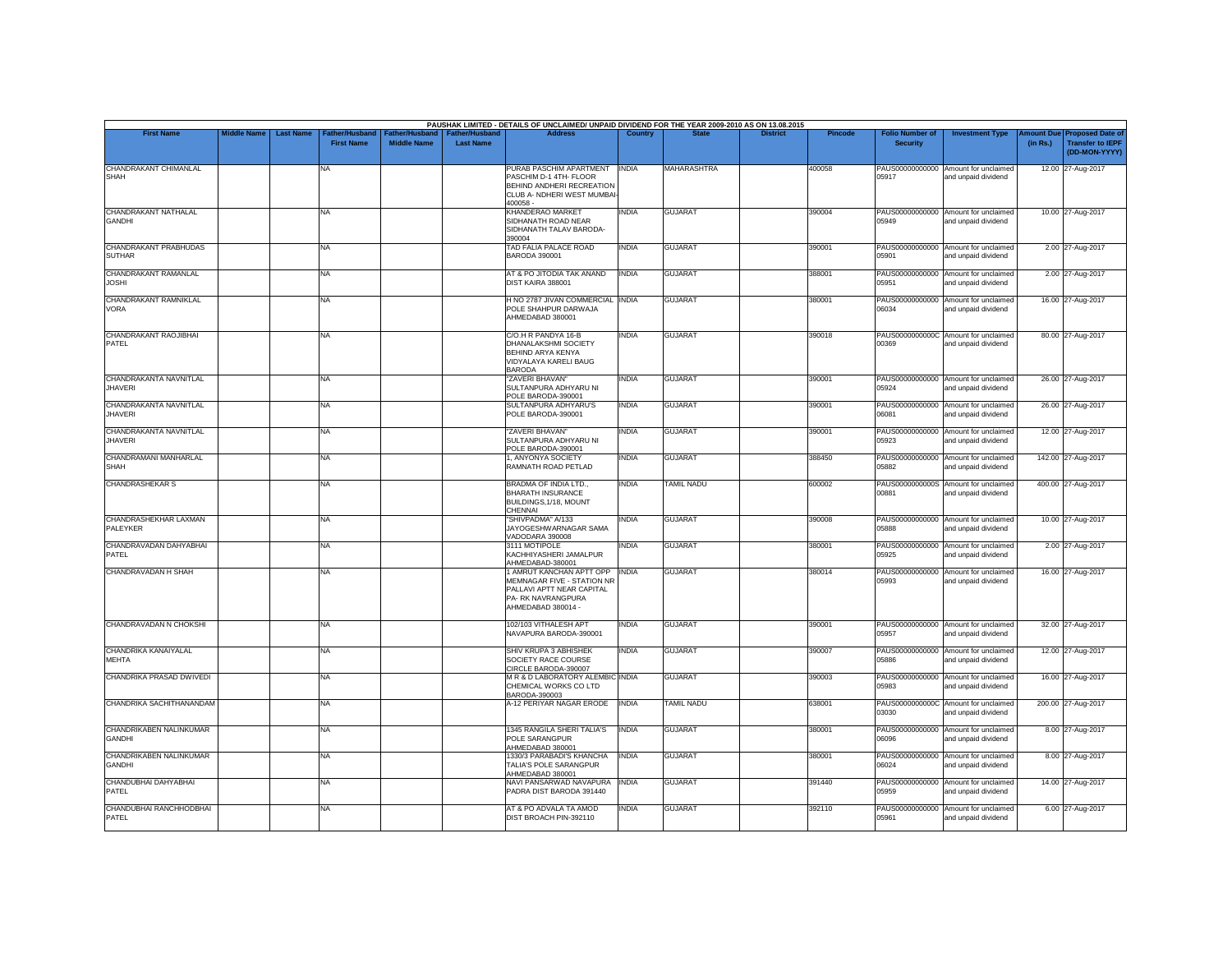|                                          |                    |                  |                                    |                                      |                                           | PAUSHAK LIMITED - DETAILS OF UNCLAIMED/ UNPAID DIVIDEND FOR THE YEAR 2009-2010 AS ON 13.08.2015                                 |              |                   |                 |                |                                           |                                                             |                       |                                                                     |
|------------------------------------------|--------------------|------------------|------------------------------------|--------------------------------------|-------------------------------------------|---------------------------------------------------------------------------------------------------------------------------------|--------------|-------------------|-----------------|----------------|-------------------------------------------|-------------------------------------------------------------|-----------------------|---------------------------------------------------------------------|
| <b>First Name</b>                        | <b>Middle Name</b> | <b>Last Name</b> | ather/Husband<br><b>First Name</b> | Father/Husband<br><b>Middle Name</b> | <b>Father/Husband</b><br><b>Last Name</b> | <b>Address</b>                                                                                                                  | Country      | <b>State</b>      | <b>District</b> | <b>Pincode</b> | <b>Folio Number of</b><br><b>Security</b> | <b>Investment Type</b>                                      | mount Due<br>(in Rs.) | <b>Proposed Date of</b><br><b>Transfer to IEPF</b><br>(DD-MON-YYYY) |
| CHANDRAKANT CHIMANLAL<br><b>SHAH</b>     |                    |                  | NA                                 |                                      |                                           | PURAB PASCHIM APARTMENT<br>PASCHIM D-1 4TH- FLOOR<br>BEHIND ANDHERI RECREATION<br>CLUB A- NDHERI WEST MUMBAI<br>400058-         | <b>INDIA</b> | MAHARASHTRA       |                 | 400058         | 05917                                     | PAUS00000000000 Amount for unclaimed<br>and unpaid dividend |                       | 12.00 27-Aug-2017                                                   |
| CHANDRAKANT NATHALAL<br><b>GANDHI</b>    |                    |                  | <b>NA</b>                          |                                      |                                           | KHANDERAO MARKET<br>SIDHANATH ROAD NEAR<br>SIDHANATH TALAV BARODA-<br>390004                                                    | <b>INDIA</b> | <b>GUJARAT</b>    |                 | 390004         | 05949                                     | PAUS00000000000 Amount for unclaimed<br>and unpaid dividend |                       | 10.00 27-Aug-2017                                                   |
| CHANDRAKANT PRABHUDAS<br><b>SUTHAR</b>   |                    |                  | <b>NA</b>                          |                                      |                                           | TAD FALIA PALACE ROAD<br>BARODA 390001                                                                                          | <b>INDIA</b> | <b>GUJARAT</b>    |                 | 390001         | 05901                                     | PAUS00000000000 Amount for unclaimed<br>and unpaid dividend |                       | 2.00 27-Aug-2017                                                    |
| CHANDRAKANT RAMANLAL<br><b>JOSHI</b>     |                    |                  | <b>NA</b>                          |                                      |                                           | AT & PO JITODIA TAK ANAND<br>DIST KAIRA 388001                                                                                  | <b>INDIA</b> | <b>GUJARAT</b>    |                 | 388001         | 05951                                     | PAUS00000000000 Amount for unclaimed<br>and unpaid dividend |                       | 2.00 27-Aug-2017                                                    |
| CHANDRAKANT RAMNIKLAL<br>VORA            |                    |                  | <b>NA</b>                          |                                      |                                           | H NO 2787 JIVAN COMMERCIAL INDIA<br>POLE SHAHPUR DARWAJA<br>AHMEDABAD 380001                                                    |              | <b>GUJARAT</b>    |                 | 380001         | 06034                                     | PAUS00000000000 Amount for unclaimed<br>and unpaid dividend |                       | 16.00 27-Aug-2017                                                   |
| CHANDRAKANT RAOJIBHAI<br>PATEL           |                    |                  | <b>NA</b>                          |                                      |                                           | C/O.H R PANDYA 16-B<br>DHANALAKSHMI SOCIETY<br>BEHIND ARYA KENYA<br>VIDYALAYA KARELI BAUG<br><b>BARODA</b>                      | <b>INDIA</b> | <b>GUJARAT</b>    |                 | 390018         | 00369                                     | PAUS0000000000C Amount for unclaimed<br>and unpaid dividend |                       | 80.00 27-Aug-2017                                                   |
| CHANDRAKANTA NAVNITLAL<br><b>JHAVERI</b> |                    |                  | <b>NA</b>                          |                                      |                                           | "ZAVERI BHAVAN"<br>SULTANPURA ADHYARU NI<br>POLE BARODA-390001                                                                  | <b>INDIA</b> | <b>GUJARAT</b>    |                 | 390001         | 05924                                     | PAUS00000000000 Amount for unclaimed<br>and unpaid dividend |                       | 26.00 27-Aug-2017                                                   |
| CHANDRAKANTA NAVNITLAL<br><b>JHAVERI</b> |                    |                  | <b>NA</b>                          |                                      |                                           | SULTANPURA ADHYARU'S<br>POLE BARODA-390001                                                                                      | <b>INDIA</b> | <b>GUJARAT</b>    |                 | 390001         | 06081                                     | PAUS00000000000 Amount for unclaimed<br>and unpaid dividend |                       | 26.00 27-Aug-2017                                                   |
| CHANDRAKANTA NAVNITLAL<br><b>JHAVERI</b> |                    |                  | <b>NA</b>                          |                                      |                                           | "ZAVERI BHAVAN"<br>SULTANPURA ADHYARU NI<br>POLE BARODA-390001                                                                  | <b>INDIA</b> | <b>GUJARAT</b>    |                 | 390001         | 05923                                     | PAUS00000000000 Amount for unclaimed<br>and unpaid dividend |                       | 12.00 27-Aug-2017                                                   |
| CHANDRAMANI MANHARLAL<br><b>SHAH</b>     |                    |                  | <b>NA</b>                          |                                      |                                           | 1, ANYONYA SOCIETY<br>RAMNATH ROAD PETLAD                                                                                       | <b>INDIA</b> | <b>GUJARAT</b>    |                 | 388450         | 05882                                     | PAUS00000000000 Amount for unclaimed<br>and unpaid dividend |                       | 142.00 27-Aug-2017                                                  |
| <b>CHANDRASHEKAR S</b>                   |                    |                  | <b>NA</b>                          |                                      |                                           | BRADMA OF INDIA LTD.,<br><b>BHARATH INSURANCE</b><br>BUILDINGS, 1/18, MOUNT<br>CHENNAI                                          | <b>INDIA</b> | TAMIL NADU        |                 | 600002         | 00881                                     | PAUS0000000000S Amount for unclaimed<br>and unpaid dividend |                       | 400.00 27-Aug-2017                                                  |
| CHANDRASHEKHAR LAXMAN<br>PALEYKER        |                    |                  | <b>NA</b>                          |                                      |                                           | "SHIVPADMA" A/133<br>JAYOGESHWARNAGAR SAMA<br>VADODARA 390008                                                                   | <b>INDIA</b> | <b>GUJARAT</b>    |                 | 390008         | 05888                                     | PAUS00000000000 Amount for unclaimed<br>and unpaid dividend |                       | 10.00 27-Aug-2017                                                   |
| CHANDRAVADAN DAHYABHAI<br>PATEL          |                    |                  | <b>NA</b>                          |                                      |                                           | 3111 MOTIPOLE<br>KACHHIYASHERI JAMALPUR<br>AHMEDABAD-380001                                                                     | <b>INDIA</b> | <b>GUJARAT</b>    |                 | 380001         | 05925                                     | PAUS00000000000 Amount for unclaimed<br>and unpaid dividend |                       | 2.00 27-Aug-2017                                                    |
| <b>CHANDRAVADAN H SHAH</b>               |                    |                  | <b>NA</b>                          |                                      |                                           | 1 AMRUT KANCHAN APTT OPP<br>MEMNAGAR FIVE - STATION NR<br>PALLAVI APTT NEAR CAPITAL<br>PA- RK NAVRANGPURA<br>AHMEDABAD 380014 - | <b>INDIA</b> | <b>GUJARAT</b>    |                 | 380014         | 05993                                     | PAUS00000000000 Amount for unclaimed<br>and unpaid dividend |                       | 16.00 27-Aug-2017                                                   |
| CHANDRAVADAN N CHOKSHI                   |                    |                  | <b>NA</b>                          |                                      |                                           | 102/103 VITHALESH APT<br>NAVAPURA BARODA-390001                                                                                 | <b>INDIA</b> | <b>GUJARAT</b>    |                 | 390001         | 05957                                     | PAUS00000000000 Amount for unclaimed<br>and unpaid dividend |                       | 32.00 27-Aug-2017                                                   |
| CHANDRIKA KANAIYALAL<br><b>MEHTA</b>     |                    |                  | <b>NA</b>                          |                                      |                                           | SHIV KRUPA 3 ABHISHEK<br>SOCIETY RACE COURSE<br>CIRCLE BARODA-390007                                                            | <b>INDIA</b> | <b>GUJARAT</b>    |                 | 390007         | 05886                                     | PAUS00000000000 Amount for unclaimed<br>and unpaid dividend |                       | 12.00 27-Aug-2017                                                   |
| CHANDRIKA PRASAD DWIVEDI                 |                    |                  | <b>NA</b>                          |                                      |                                           | M R & D LABORATORY ALEMBIC INDIA<br>CHEMICAL WORKS CO LTD<br>BARODA-390003                                                      |              | <b>GUJARAT</b>    |                 | 390003         | 05983                                     | PAUS00000000000 Amount for unclaimed<br>and unpaid dividend |                       | 16.00 27-Aug-2017                                                   |
| CHANDRIKA SACHITHANANDAM                 |                    |                  | <b>NA</b>                          |                                      |                                           | A-12 PERIYAR NAGAR ERODE                                                                                                        | <b>INDIA</b> | <b>TAMIL NADU</b> |                 | 638001         | 03030                                     | PAUS0000000000C Amount for unclaimed<br>and unpaid dividend |                       | 200.00 27-Aug-2017                                                  |
| CHANDRIKABEN NALINKUMAR<br><b>GANDHI</b> |                    |                  | <b>NA</b>                          |                                      |                                           | 1345 RANGILA SHERI TALIA'S<br>POLE SARANGPUR<br>AHMEDABAD 380001                                                                | <b>INDIA</b> | <b>GUJARAT</b>    |                 | 380001         | 06096                                     | PAUS00000000000 Amount for unclaimed<br>and unpaid dividend |                       | 8.00 27-Aug-2017                                                    |
| CHANDRIKABEN NALINKUMAR<br><b>GANDHI</b> |                    |                  | <b>NA</b>                          |                                      |                                           | 1330/3 PARABADI'S KHANCHA<br>TALIA'S POLE SARANGPUR<br>AHMEDABAD 380001                                                         | <b>INDIA</b> | <b>GUJARAT</b>    |                 | 380001         | 06024                                     | PAUS00000000000 Amount for unclaimed<br>and unpaid dividend |                       | 8.00 27-Aug-2017                                                    |
| CHANDUBHAI DAHYABHAI<br>PATEL            |                    |                  | <b>NA</b>                          |                                      |                                           | NAVI PANSARWAD NAVAPURA<br>PADRA DIST BARODA 391440                                                                             | <b>INDIA</b> | <b>GUJARAT</b>    |                 | 391440         | 05959                                     | PAUS00000000000 Amount for unclaimed<br>and unpaid dividend |                       | 14.00 27-Aug-2017                                                   |
| CHANDUBHAI RANCHHODBHAI<br>PATEL         |                    |                  | <b>NA</b>                          |                                      |                                           | AT & PO ADVALA TA AMOD<br>DIST BROACH PIN-392110                                                                                | <b>INDIA</b> | <b>GUJARAT</b>    |                 | 392110         | 05961                                     | PAUS00000000000 Amount for unclaimed<br>and unpaid dividend |                       | 6.00 27-Aug-2017                                                    |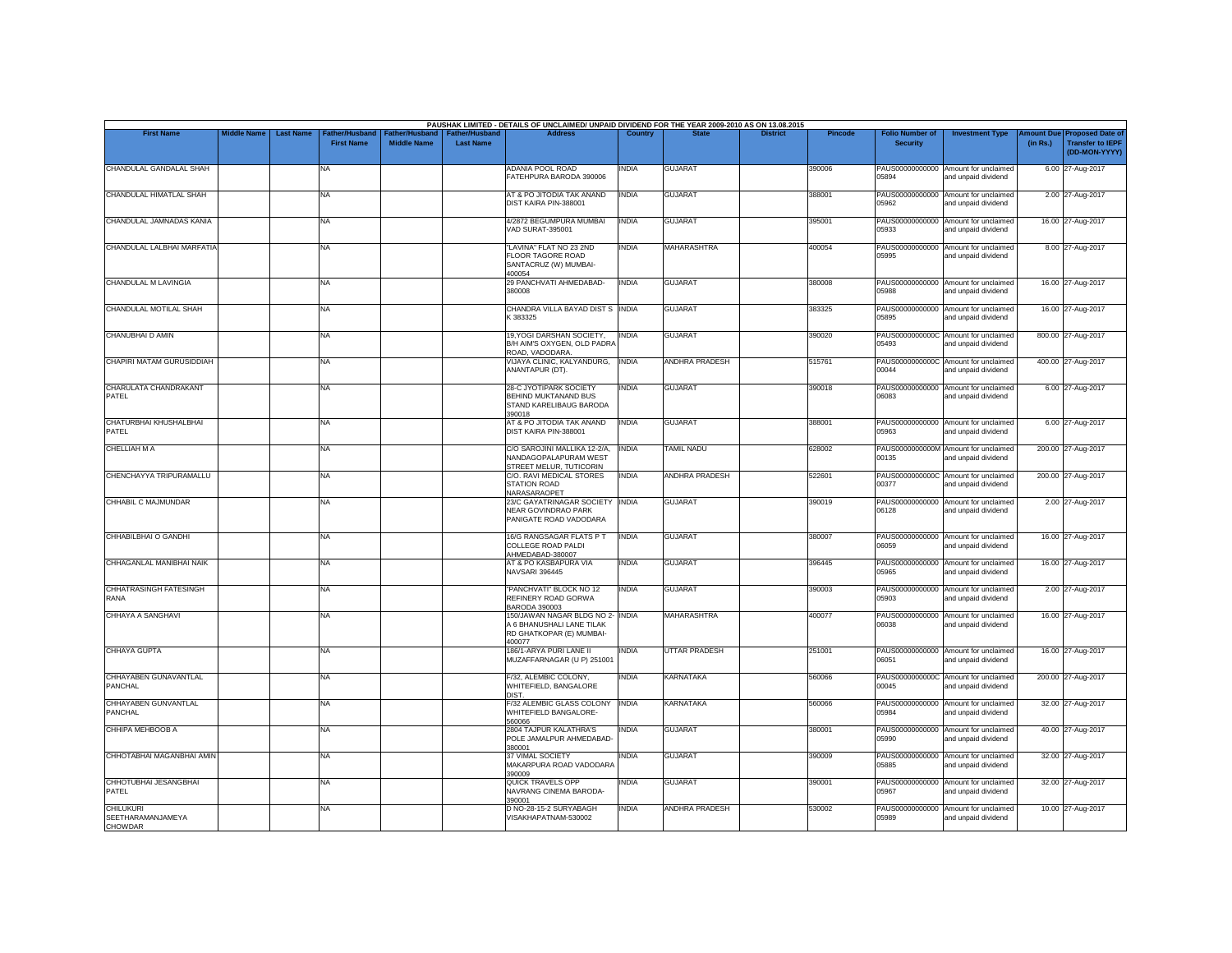|                                                         |                    |                                                        |                                             | PAUSHAK LIMITED - DETAILS OF UNCLAIMED/ UNPAID DIVIDEND FOR THE YEAR 2009-2010 AS ON 13.08.2015     |              |                       |                 |                |                                           |                                                             |                       |                                                                     |
|---------------------------------------------------------|--------------------|--------------------------------------------------------|---------------------------------------------|-----------------------------------------------------------------------------------------------------|--------------|-----------------------|-----------------|----------------|-------------------------------------------|-------------------------------------------------------------|-----------------------|---------------------------------------------------------------------|
| <b>First Name</b>                                       | <b>Middle Name</b> | <b>Last Name</b><br>ather/Husband<br><b>First Name</b> | <b>Father/Husband</b><br><b>Middle Name</b> | <b>Address</b><br><b>Father/Husband</b><br><b>Last Name</b>                                         | Country      | <b>State</b>          | <b>District</b> | <b>Pincode</b> | <b>Folio Number of</b><br><b>Security</b> | <b>Investment Type</b>                                      | mount Due<br>(in Rs.) | <b>Proposed Date of</b><br><b>Transfer to IEPF</b><br>(DD-MON-YYYY) |
| CHANDULAL GANDALAL SHAH                                 |                    | NA                                                     |                                             | ADANIA POOL ROAD<br>FATEHPURA BARODA 390006                                                         | INDIA        | <b>GUJARAT</b>        |                 | 390006         | PAUS00000000000<br>05894                  | Amount for unclaimed<br>and unpaid dividend                 |                       | 6.00 27-Aug-2017                                                    |
| CHANDULAL HIMATLAL SHAH                                 |                    | <b>NA</b>                                              |                                             | AT & PO JITODIA TAK ANAND<br>DIST KAIRA PIN-388001                                                  | <b>INDIA</b> | <b>GUJARAT</b>        |                 | 388001         | 05962                                     | PAUS00000000000 Amount for unclaimed<br>and unpaid dividend |                       | 2.00 27-Aug-2017                                                    |
| CHANDULAL JAMNADAS KANIA                                |                    | <b>NA</b>                                              |                                             | 4/2872 BEGUMPURA MUMBAI<br>VAD SURAT-395001                                                         | <b>INDIA</b> | <b>GUJARAT</b>        |                 | 395001         | PAUS00000000000<br>05933                  | Amount for unclaimed<br>and unpaid dividend                 |                       | 16.00 27-Aug-2017                                                   |
| CHANDULAL LALBHAI MARFATIA                              |                    | <b>NA</b>                                              |                                             | "LAVINA" FLAT NO 23 2ND<br><b>FLOOR TAGORE ROAD</b><br>SANTACRUZ (W) MUMBAI-<br>400054              | <b>INDIA</b> | <b>MAHARASHTRA</b>    |                 | 400054         | 05995                                     | PAUS00000000000 Amount for unclaimed<br>and unpaid dividend |                       | 8.00 27-Aug-2017                                                    |
| CHANDULAL M LAVINGIA                                    |                    | <b>NA</b>                                              |                                             | 29 PANCHVATI AHMEDABAD-<br>380008                                                                   | <b>INDIA</b> | <b>GUJARAT</b>        |                 | 380008         | 05988                                     | PAUS00000000000 Amount for unclaimed<br>and unpaid dividend |                       | 16.00 27-Aug-2017                                                   |
| CHANDULAL MOTILAL SHAH                                  |                    | NA                                                     |                                             | CHANDRA VILLA BAYAD DIST S INDIA<br>K 383325                                                        |              | <b>GUJARAT</b>        |                 | 383325         | 05895                                     | PAUS00000000000 Amount for unclaimed<br>and unpaid dividend |                       | 16.00 27-Aug-2017                                                   |
| CHANUBHAI D AMIN                                        |                    | <b>NA</b>                                              |                                             | 19, YOGI DARSHAN SOCIETY,<br>B/H AIM'S OXYGEN, OLD PADRA<br>ROAD, VADODARA                          | <b>INDIA</b> | <b>GUJARAT</b>        |                 | 390020         | PAUS0000000000C<br>05493                  | Amount for unclaimed<br>and unpaid dividend                 |                       | 800.00 27-Aug-2017                                                  |
| CHAPIRI MATAM GURUSIDDIAH                               |                    | <b>NA</b>                                              |                                             | VIJAYA CLINIC, KALYANDURG,<br>ANANTAPUR (DT).                                                       | <b>INDIA</b> | ANDHRA PRADESH        |                 | 515761         | 00044                                     | PAUS0000000000C Amount for unclaimed<br>and unpaid dividend |                       | 400.00 27-Aug-2017                                                  |
| CHARULATA CHANDRAKANT<br>PATEL                          |                    | <b>NA</b>                                              |                                             | 28-C JYOTIPARK SOCIETY<br>BEHIND MUKTANAND BUS<br>STAND KARELIBAUG BARODA<br>390018                 | <b>INDIA</b> | <b>GUJARAT</b>        |                 | 390018         | 06083                                     | PAUS00000000000 Amount for unclaimed<br>and unpaid dividend |                       | 6.00 27-Aug-2017                                                    |
| CHATURBHAI KHUSHALBHAI<br>PATEL                         |                    | <b>NA</b>                                              |                                             | AT & PO JITODIA TAK ANAND<br>DIST KAIRA PIN-388001                                                  | <b>INDIA</b> | <b>GUJARAT</b>        |                 | 388001         | 05963                                     | PAUS00000000000 Amount for unclaimed<br>and unpaid dividend |                       | 6.00 27-Aug-2017                                                    |
| <b>CHELLIAH M A</b>                                     |                    | <b>NA</b>                                              |                                             | C/O SAROJINI MALLIKA 12-2/A,<br>NANDAGOPALAPURAM WEST<br>STREET MELUR, TUTICORIN                    | <b>INDIA</b> | <b>TAMIL NADU</b>     |                 | 628002         | 00135                                     | PAUS0000000000M Amount for unclaimed<br>and unpaid dividend |                       | 200.00 27-Aug-2017                                                  |
| CHENCHAYYA TRIPURAMALLU                                 |                    | <b>NA</b>                                              |                                             | C/O. RAVI MEDICAL STORES<br>STATION ROAD<br>NARASARAOPET                                            | <b>INDIA</b> | ANDHRA PRADESH        |                 | 522601         | 00377                                     | PAUS0000000000C Amount for unclaimed<br>and unpaid dividend |                       | 200.00 27-Aug-2017                                                  |
| CHHABIL C MAJMUNDAR                                     |                    | <b>NA</b>                                              |                                             | 23/C GAYATRINAGAR SOCIETY<br><b>NEAR GOVINDRAO PARK</b><br>PANIGATE ROAD VADODARA                   | <b>INDIA</b> | <b>GUJARAT</b>        |                 | 390019         | 06128                                     | PAUS00000000000 Amount for unclaimed<br>and unpaid dividend |                       | 2.00 27-Aug-2017                                                    |
| CHHABILBHAI O GANDHI                                    |                    | <b>NA</b>                                              |                                             | 16/G RANGSAGAR FLATS P T<br>COLLEGE ROAD PALDI<br>AHMEDABAD-380007                                  | <b>INDIA</b> | <b>GUJARAT</b>        |                 | 380007         | 06059                                     | PAUS00000000000 Amount for unclaimed<br>and unpaid dividend |                       | 16.00 27-Aug-2017                                                   |
| CHHAGANLAL MANIBHAI NAIK                                |                    | <b>NA</b>                                              |                                             | AT & PO KASBAPURA VIA<br><b>NAVSARI 396445</b>                                                      | <b>INDIA</b> | <b>GUJARAT</b>        |                 | 396445         | 05965                                     | PAUS00000000000 Amount for unclaimed<br>and unpaid dividend |                       | 16.00 27-Aug-2017                                                   |
| CHHATRASINGH FATESINGH<br>RANA                          |                    | <b>NA</b>                                              |                                             | "PANCHVATI" BLOCK NO 12<br>REFINERY ROAD GORWA<br><b>BARODA 390003</b>                              | <b>INDIA</b> | <b>GUJARAT</b>        |                 | 390003         | 05903                                     | PAUS00000000000 Amount for unclaimed<br>and unpaid dividend |                       | 2.00 27-Aug-2017                                                    |
| CHHAYA A SANGHAVI                                       |                    | <b>NA</b>                                              |                                             | 150/JAWAN NAGAR BLDG NO 2- INDIA<br>A 6 BHANUSHALI LANE TILAK<br>RD GHATKOPAR (E) MUMBAI-<br>400077 |              | <b>MAHARASHTRA</b>    |                 | 400077         | PAUS00000000000<br>06038                  | Amount for unclaimed<br>and unpaid dividend                 |                       | 16.00 27-Aug-2017                                                   |
| CHHAYA GUPTA                                            |                    | <b>NA</b>                                              |                                             | 186/1-ARYA PURI LANE II<br>MUZAFFARNAGAR (U P) 251001                                               | <b>INDIA</b> | <b>UTTAR PRADESH</b>  |                 | 251001         | 06051                                     | PAUS00000000000 Amount for unclaimed<br>and unpaid dividend |                       | 16.00 27-Aug-2017                                                   |
| CHHAYABEN GUNAVANTLAL<br>PANCHAL                        |                    | <b>NA</b>                                              |                                             | F/32, ALEMBIC COLONY,<br>WHITEFIELD, BANGALORE<br>DIST.                                             | INDIA        | <b>KARNATAKA</b>      |                 | 560066         | 00045                                     | PAUS0000000000C Amount for unclaimed<br>and unpaid dividend |                       | 200.00 27-Aug-2017                                                  |
| CHHAYABEN GUNVANTLAL<br>PANCHAL                         |                    | <b>NA</b>                                              |                                             | F/32 ALEMBIC GLASS COLONY<br>WHITEFIELD BANGALORE-<br>560066                                        | <b>INDIA</b> | <b>KARNATAKA</b>      |                 | 560066         | 05984                                     | PAUS00000000000 Amount for unclaimed<br>and unpaid dividend |                       | 32.00 27-Aug-2017                                                   |
| СННІРА МЕНВООВ А                                        |                    | <b>NA</b>                                              |                                             | 2804 TAJPUR KALATHRA'S<br>POLE JAMALPUR AHMEDABAD-<br>380001                                        | <b>INDIA</b> | <b>GUJARAT</b>        |                 | 380001         | 05990                                     | PAUS00000000000 Amount for unclaimed<br>and unpaid dividend |                       | 40.00 27-Aug-2017                                                   |
| CHHOTABHAI MAGANBHAI AMIN                               |                    | <b>NA</b>                                              |                                             | <b>37 VIMAL SOCIETY</b><br>MAKARPURA ROAD VADODARA<br>390009                                        | <b>INDIA</b> | <b>GUJARAT</b>        |                 | 390009         | PAUS00000000000<br>05885                  | Amount for unclaimed<br>and unpaid dividend                 |                       | 32.00 27-Aug-2017                                                   |
| CHHOTUBHAI JESANGBHAI<br>PATEL                          |                    | <b>NA</b>                                              |                                             | QUICK TRAVELS OPP<br>NAVRANG CINEMA BARODA-<br>390001                                               | <b>INDIA</b> | <b>GUJARAT</b>        |                 | 390001         | 05967                                     | PAUS00000000000 Amount for unclaimed<br>and unpaid dividend |                       | 32.00 27-Aug-2017                                                   |
| <b>CHILUKURI</b><br>SEETHARAMANJAMEYA<br><b>CHOWDAR</b> |                    | NA                                                     |                                             | D NO-28-15-2 SURYABAGH<br>VISAKHAPATNAM-530002                                                      | INDIA        | <b>ANDHRA PRADESH</b> |                 | 530002         | PAUS00000000000<br>05989                  | Amount for unclaimed<br>and unpaid dividend                 |                       | 10.00 27-Aug-2017                                                   |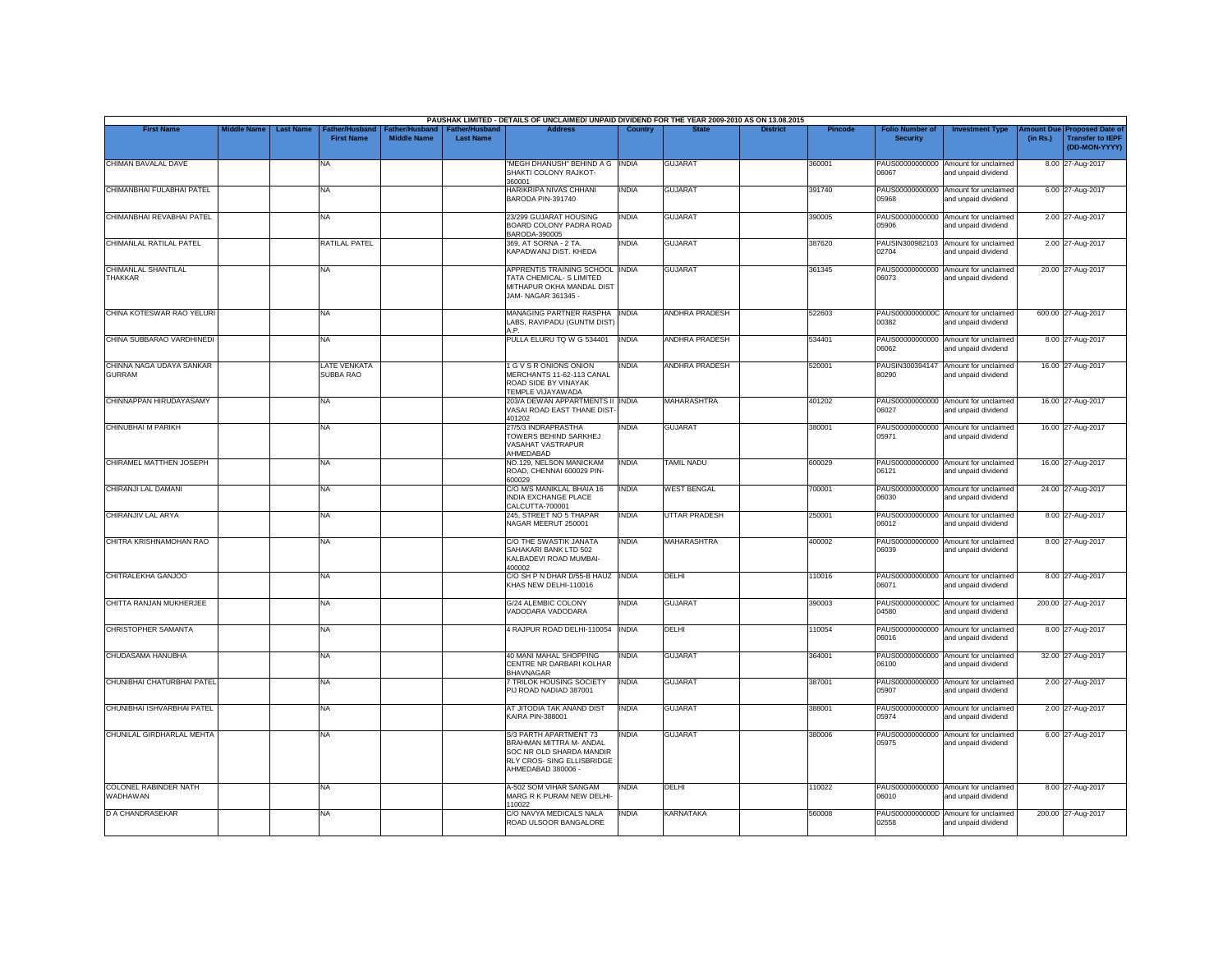|                                           |                    |                  |                                     |                                      |                                           | PAUSHAK LIMITED - DETAILS OF UNCLAIMED/ UNPAID DIVIDEND FOR THE YEAR 2009-2010 AS ON 13.08.2015                                   |                |                       |                 |                |                                           |                                                             |          |                                                                        |
|-------------------------------------------|--------------------|------------------|-------------------------------------|--------------------------------------|-------------------------------------------|-----------------------------------------------------------------------------------------------------------------------------------|----------------|-----------------------|-----------------|----------------|-------------------------------------------|-------------------------------------------------------------|----------|------------------------------------------------------------------------|
| <b>First Name</b>                         | <b>Middle Name</b> | <b>Last Name</b> | Father/Husband<br><b>First Name</b> | Father/Husband<br><b>Middle Name</b> | <b>Father/Husband</b><br><b>Last Name</b> | <b>Address</b>                                                                                                                    | <b>Country</b> | <b>State</b>          | <b>District</b> | <b>Pincode</b> | <b>Folio Number of</b><br><b>Security</b> | <b>Investment Type</b>                                      | (in Rs.) | mount Due Proposed Date of<br><b>Transfer to IEPF</b><br>(DD-MON-YYYY) |
| CHIMAN BAVALAL DAVE                       |                    |                  | NA                                  |                                      |                                           | "MEGH DHANUSH" BEHIND A G   INDIA<br>SHAKTI COLONY RAJKOT-<br>360001                                                              |                | <b>GUJARAT</b>        |                 | 360001         | 06067                                     | PAUS00000000000 Amount for unclaimed<br>and unpaid dividend |          | 8.00 27-Aug-2017                                                       |
| CHIMANBHAI FULABHAI PATEL                 |                    |                  | <b>NA</b>                           |                                      |                                           | HARIKRIPA NIVAS CHHANI<br>BARODA PIN-391740                                                                                       | <b>INDIA</b>   | <b>GUJARAT</b>        |                 | 391740         | 05968                                     | PAUS00000000000 Amount for unclaimed<br>and unpaid dividend |          | 6.00 27-Aug-2017                                                       |
| CHIMANBHAI REVABHAI PATEL                 |                    |                  | <b>NA</b>                           |                                      |                                           | 23/299 GUJARAT HOUSING<br>BOARD COLONY PADRA ROAD<br>BARODA-390005                                                                | <b>INDIA</b>   | <b>GUJARAT</b>        |                 | 390005         | PAUS00000000000<br>05906                  | Amount for unclaimed<br>and unpaid dividend                 |          | 2.00 27-Aug-2017                                                       |
| CHIMANLAL RATILAL PATEL                   |                    |                  | RATILAL PATEL                       |                                      |                                           | 369. AT SORNA - 2 TA.<br>KAPADWANJ DIST. KHEDA                                                                                    | <b>INDIA</b>   | <b>GUJARAT</b>        |                 | 387620         | 02704                                     | PAUSIN300982103 Amount for unclaimed<br>and unpaid dividend |          | 2.00 27-Aug-2017                                                       |
| CHIMANLAL SHANTILAL<br><b>THAKKAR</b>     |                    |                  | NA                                  |                                      |                                           | APPRENTIS TRAINING SCHOOL INDIA<br>TATA CHEMICAL- S LIMITED<br>MITHAPUR OKHA MANDAL DIST<br>JAM- NAGAR 361345 -                   |                | <b>GUJARAT</b>        |                 | 361345         | PAUS00000000000<br>06073                  | Amount for unclaimed<br>and unpaid dividend                 |          | 20.00 27-Aug-2017                                                      |
| CHINA KOTESWAR RAO YELURI                 |                    |                  | <b>NA</b>                           |                                      |                                           | MANAGING PARTNER RASPHA INDIA<br>LABS, RAVIPADU (GUNTM DIST<br>A.P.                                                               |                | <b>ANDHRA PRADESH</b> |                 | 522603         | 00382                                     | PAUS0000000000C Amount for unclaimed<br>and unpaid dividend |          | 600.00 27-Aug-2017                                                     |
| CHINA SUBBARAO VARDHINEDI                 |                    |                  | <b>NA</b>                           |                                      |                                           | PULLA ELURU TQ W G 534401                                                                                                         | <b>INDIA</b>   | <b>ANDHRA PRADESH</b> |                 | 534401         | 06062                                     | PAUS00000000000 Amount for unclaimed<br>and unpaid dividend |          | 8.00 27-Aug-2017                                                       |
| CHINNA NAGA UDAYA SANKAR<br><b>GURRAM</b> |                    |                  | LATE VENKATA<br>SUBBA RAO           |                                      |                                           | 1 G V S R ONIONS ONION<br>MERCHANTS 11-62-113 CANAL<br>ROAD SIDE BY VINAYAK<br>TEMPLE VIJAYAWADA                                  | <b>INDIA</b>   | <b>ANDHRA PRADESH</b> |                 | 520001         | 80290                                     | PAUSIN300394147 Amount for unclaimed<br>and unpaid dividend |          | 16.00 27-Aug-2017                                                      |
| CHINNAPPAN HIRUDAYASAMY                   |                    |                  | <b>NA</b>                           |                                      |                                           | 203/A DEWAN APPARTMENTS II INDIA<br>VASAI ROAD EAST THANE DIST<br>401202                                                          |                | MAHARASHTRA           |                 | 401202         | 06027                                     | PAUS00000000000 Amount for unclaimed<br>and unpaid dividend |          | 16.00 27-Aug-2017                                                      |
| <b>CHINUBHAI M PARIKH</b>                 |                    |                  | <b>NA</b>                           |                                      |                                           | 27/5/3 INDRAPRASTHA<br>TOWERS BEHIND SARKHEJ<br>VASAHAT VASTRAPUR<br>AHMEDABAD                                                    | <b>INDIA</b>   | <b>GUJARAT</b>        |                 | 380001         | 05971                                     | PAUS00000000000 Amount for unclaimed<br>and unpaid dividend |          | 16.00 27-Aug-2017                                                      |
| CHIRAMEL MATTHEN JOSEPH                   |                    |                  | <b>NA</b>                           |                                      |                                           | NO.129. NELSON MANICKAM<br>ROAD, CHENNAI 600029 PIN-<br>600029                                                                    | <b>INDIA</b>   | <b>TAMIL NADU</b>     |                 | 600029         | 06121                                     | PAUS00000000000 Amount for unclaimed<br>and unpaid dividend |          | 16.00 27-Aug-2017                                                      |
| CHIRANJI LAL DAMANI                       |                    |                  | <b>NA</b>                           |                                      |                                           | C/O M/S MANIKLAL BHAIA 16<br>INDIA EXCHANGE PLACE<br>CALCUTTA-700001                                                              | <b>INDIA</b>   | <b>WEST BENGAL</b>    |                 | 700001         | 06030                                     | PAUS00000000000 Amount for unclaimed<br>and unpaid dividend |          | 24.00 27-Aug-2017                                                      |
| CHIRANJIV LAL ARYA                        |                    |                  | <b>NA</b>                           |                                      |                                           | 245. STREET NO 5 THAPAR<br>NAGAR MEERUT 250001                                                                                    | <b>INDIA</b>   | <b>UTTAR PRADESH</b>  |                 | 250001         | PAUS00000000000<br>06012                  | Amount for unclaimed<br>and unpaid dividend                 |          | 8.00 27-Aug-2017                                                       |
| CHITRA KRISHNAMOHAN RAO                   |                    |                  | <b>NA</b>                           |                                      |                                           | C/O THE SWASTIK JANATA<br>SAHAKARI BANK LTD 502<br>KALBADEVI ROAD MUMBAI-<br>400002                                               | <b>INDIA</b>   | <b>MAHARASHTRA</b>    |                 | 400002         | PAUS00000000000<br>06039                  | Amount for unclaimed<br>and unpaid dividend                 |          | 8.00 27-Aug-2017                                                       |
| CHITRALEKHA GANJOO                        |                    |                  | <b>NA</b>                           |                                      |                                           | C/O SH P N DHAR D/55-B HAUZ INDIA<br>KHAS NEW DELHI-110016                                                                        |                | <b>DELHI</b>          |                 | 110016         | 06071                                     | PAUS00000000000 Amount for unclaimed<br>and unpaid dividend |          | 8.00 27-Aug-2017                                                       |
| CHITTA RANJAN MUKHERJEE                   |                    |                  | <b>NA</b>                           |                                      |                                           | G/24 ALEMBIC COLONY<br>VADODARA VADODARA                                                                                          | <b>INDIA</b>   | <b>GUJARAT</b>        |                 | 390003         | 04580                                     | PAUS0000000000C Amount for unclaimed<br>and unpaid dividend |          | 200.00 27-Aug-2017                                                     |
| CHRISTOPHER SAMANTA                       |                    |                  | <b>NA</b>                           |                                      |                                           | 4 RAJPUR ROAD DELHI-110054  INDIA                                                                                                 |                | <b>DELHI</b>          |                 | 110054         | 06016                                     | PAUS00000000000 Amount for unclaimed<br>and unpaid dividend |          | 8.00 27-Aug-2017                                                       |
| CHUDASAMA HANUBHA                         |                    |                  | <b>NA</b>                           |                                      |                                           | 40 MANI MAHAL SHOPPING<br>CENTRE NR DARBARI KOLHAR<br><b>BHAVNAGAR</b>                                                            | <b>INDIA</b>   | <b>GUJARAT</b>        |                 | 364001         | 06100                                     | PAUS00000000000 Amount for unclaimed<br>and unpaid dividend |          | 32.00 27-Aug-2017                                                      |
| CHUNIBHAI CHATURBHAI PATEL                |                    |                  | <b>NA</b>                           |                                      |                                           | 7 TRILOK HOUSING SOCIETY<br>PIJ ROAD NADIAD 387001                                                                                | <b>INDIA</b>   | <b>GUJARAT</b>        |                 | 387001         | 05907                                     | PAUS00000000000 Amount for unclaimed<br>and unpaid dividend |          | 2.00 27-Aug-2017                                                       |
| CHUNIBHAI ISHVARBHAI PATEL                |                    |                  | <b>NA</b>                           |                                      |                                           | AT JITODIA TAK ANAND DIST<br>KAIRA PIN-388001                                                                                     | <b>INDIA</b>   | <b>GUJARAT</b>        |                 | 388001         | PAUS00000000000<br>05974                  | Amount for unclaimed<br>and unpaid dividend                 |          | 2.00 27-Aug-2017                                                       |
| CHUNILAL GIRDHARLAL MEHTA                 |                    |                  | <b>NA</b>                           |                                      |                                           | S/3 PARTH APARTMENT 73<br>BRAHMAN MITTRA M- ANDAL<br>SOC NR OLD SHARDA MANDIR<br>RLY CROS- SING ELLISBRIDGE<br>AHMEDABAD 380006 - | <b>INDIA</b>   | <b>GUJARAT</b>        |                 | 380006         | 05975                                     | PAUS00000000000 Amount for unclaimed<br>and unpaid dividend |          | 6.00 27-Aug-2017                                                       |
| <b>COLONEL RABINDER NATH</b><br>WADHAWAN  |                    |                  | <b>NA</b>                           |                                      |                                           | A-502 SOM VIHAR SANGAM<br>MARG R K PURAM NEW DELHI-<br>110022                                                                     | <b>INDIA</b>   | DELHI                 |                 | 110022         | 06010                                     | PAUS00000000000 Amount for unclaimed<br>and unpaid dividend |          | 8.00 27-Aug-2017                                                       |
| <b>D A CHANDRASEKAR</b>                   |                    |                  | <b>NA</b>                           |                                      |                                           | C/O NAVYA MEDICALS NALA<br>ROAD ULSOOR BANGALORE                                                                                  | <b>INDIA</b>   | <b>KARNATAKA</b>      |                 | 560008         | 02558                                     | PAUS0000000000D Amount for unclaimed<br>and unpaid dividend |          | 200.00 27-Aug-2017                                                     |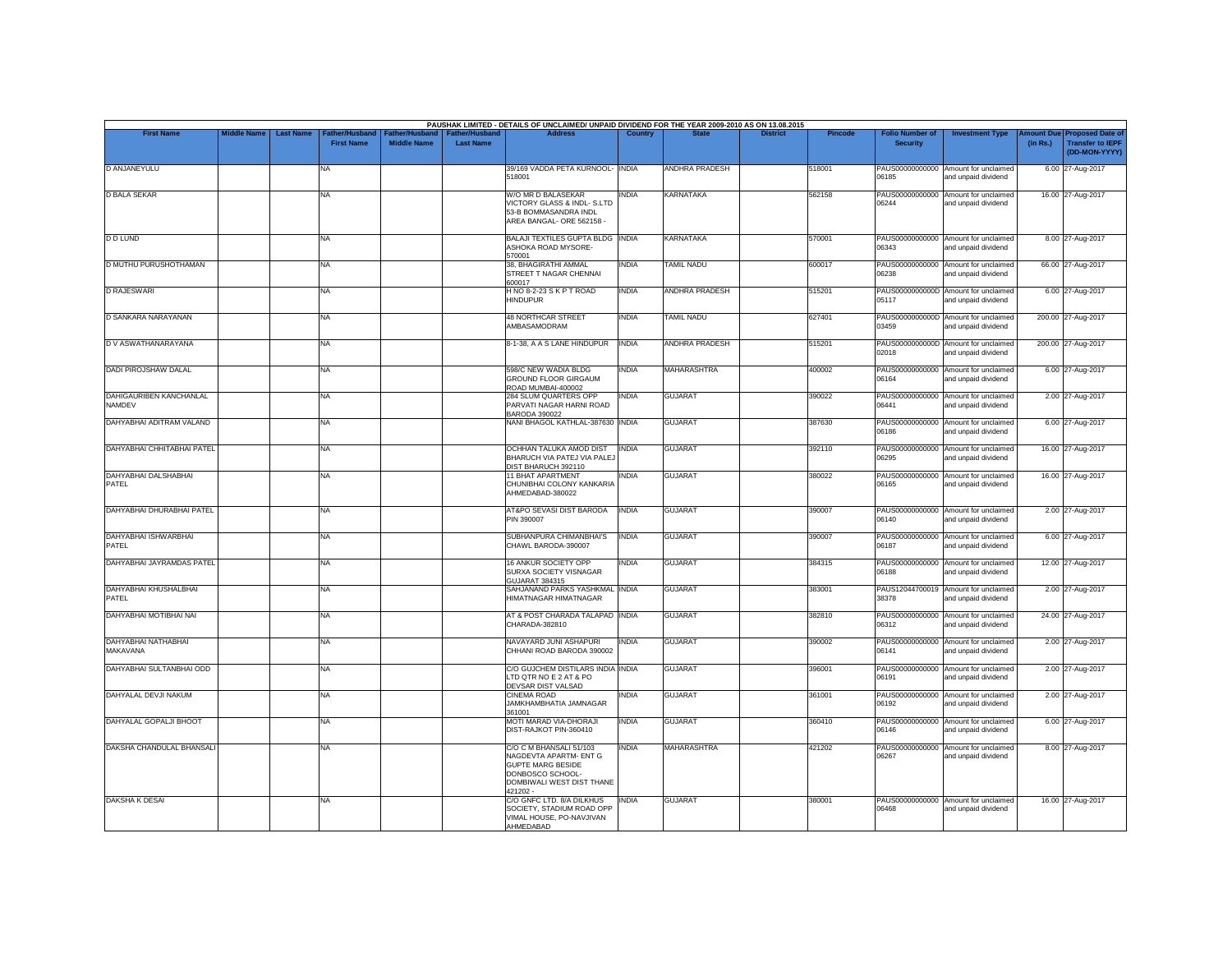|                                          |                    |                  |                                    |                                             |                                    | PAUSHAK LIMITED - DETAILS OF UNCLAIMED/ UNPAID DIVIDEND FOR THE YEAR 2009-2010 AS ON 13.08.2015                                            |              |                       |                 |                |                                           |                                                             |                       |                                                                     |
|------------------------------------------|--------------------|------------------|------------------------------------|---------------------------------------------|------------------------------------|--------------------------------------------------------------------------------------------------------------------------------------------|--------------|-----------------------|-----------------|----------------|-------------------------------------------|-------------------------------------------------------------|-----------------------|---------------------------------------------------------------------|
| <b>First Name</b>                        | <b>Middle Name</b> | <b>Last Name</b> | ather/Husband<br><b>First Name</b> | <b>Father/Husband</b><br><b>Middle Name</b> | Father/Husband<br><b>Last Name</b> | <b>Address</b>                                                                                                                             | Country      | <b>State</b>          | <b>District</b> | <b>Pincode</b> | <b>Folio Number of</b><br><b>Security</b> | <b>Investment Type</b>                                      | mount Due<br>(in Rs.) | <b>Proposed Date of</b><br><b>Transfer to IEPF</b><br>(DD-MON-YYYY) |
| D ANJANEYULU                             |                    |                  | <b>NA</b>                          |                                             |                                    | 39/169 VADDA PETA KURNOOL- INDIA<br>518001                                                                                                 |              | ANDHRA PRADESH        |                 | 518001         | PAUS00000000000<br>06185                  | Amount for unclaimed<br>and unpaid dividend                 |                       | 6.00 27-Aug-2017                                                    |
| <b>D BALA SEKAR</b>                      |                    |                  | <b>NA</b>                          |                                             |                                    | W/O MR D BALASEKAR<br>VICTORY GLASS & INDL- S.LTD<br>53-B BOMMASANDRA INDL<br>AREA BANGAL- ORE 562158 -                                    | <b>INDIA</b> | <b>KARNATAKA</b>      |                 | 562158         | 06244                                     | PAUS00000000000 Amount for unclaimed<br>and unpaid dividend |                       | 16.00 27-Aug-2017                                                   |
| <b>D D LUND</b>                          |                    |                  | <b>NA</b>                          |                                             |                                    | BALAJI TEXTILES GUPTA BLDG INDIA<br>ASHOKA ROAD MYSORE-<br>570001                                                                          |              | KARNATAKA             |                 | 570001         | 06343                                     | PAUS00000000000 Amount for unclaimed<br>and unpaid dividend |                       | 8.00 27-Aug-2017                                                    |
| D MUTHU PURUSHOTHAMAN                    |                    |                  | <b>NA</b>                          |                                             |                                    | 38. BHAGIRATHI AMMAL<br>STREET T NAGAR CHENNAI<br>600017                                                                                   | <b>INDIA</b> | <b>TAMIL NADU</b>     |                 | 600017         | 06238                                     | PAUS00000000000 Amount for unclaimed<br>and unpaid dividend |                       | 66.00 27-Aug-2017                                                   |
| <b>D RAJESWARI</b>                       |                    |                  | <b>NA</b>                          |                                             |                                    | HNO 8-2-23 SKPT ROAD<br><b>HINDUPUR</b>                                                                                                    | INDIA        | <b>ANDHRA PRADESH</b> |                 | 515201         | 05117                                     | PAUS0000000000D Amount for unclaimed<br>and unpaid dividend |                       | 6.00 27-Aug-2017                                                    |
| D SANKARA NARAYANAN                      |                    |                  | <b>NA</b>                          |                                             |                                    | <b>48 NORTHCAR STREET</b><br>AMBASAMODRAM                                                                                                  | INDIA        | <b>TAMIL NADU</b>     |                 | 627401         | 03459                                     | PAUS0000000000D Amount for unclaimed<br>and unpaid dividend |                       | 200.00 27-Aug-2017                                                  |
| D V ASWATHANARAYANA                      |                    |                  | <b>NA</b>                          |                                             |                                    | 8-1-38, A A S LANE HINDUPUR                                                                                                                | <b>INDIA</b> | <b>ANDHRA PRADESH</b> |                 | 515201         | 02018                                     | PAUS0000000000D Amount for unclaimed<br>and unpaid dividend |                       | 200.00 27-Aug-2017                                                  |
| <b>DADI PIROJSHAW DALAL</b>              |                    |                  | <b>NA</b>                          |                                             |                                    | 598/C NEW WADIA BLDG<br><b>GROUND FLOOR GIRGAUM</b><br>ROAD MUMBAI-400002                                                                  | INDIA        | <b>MAHARASHTRA</b>    |                 | 400002         | 06164                                     | PAUS00000000000 Amount for unclaimed<br>and unpaid dividend |                       | 6.00 27-Aug-2017                                                    |
| DAHIGAURIBEN KANCHANLAL<br><b>NAMDEV</b> |                    |                  | <b>NA</b>                          |                                             |                                    | 284 SLUM QUARTERS OPP<br>PARVATI NAGAR HARNI ROAD<br><b>BARODA 390022</b>                                                                  | <b>INDIA</b> | <b>GUJARAT</b>        |                 | 390022         | 06441                                     | PAUS00000000000 Amount for unclaimed<br>and unpaid dividend |                       | 2.00 27-Aug-2017                                                    |
| DAHYABHAI ADITRAM VALAND                 |                    |                  | <b>NA</b>                          |                                             |                                    | NANI BHAGOL KATHLAL-387630 INDIA                                                                                                           |              | <b>GUJARAT</b>        |                 | 387630         | 06186                                     | PAUS00000000000 Amount for unclaimed<br>and unpaid dividend |                       | 6.00 27-Aug-2017                                                    |
| DAHYABHAI CHHITABHAI PATEL               |                    |                  | <b>NA</b>                          |                                             |                                    | OCHHAN TALUKA AMOD DIST<br>BHARUCH VIA PATEJ VIA PALE.<br>DIST BHARUCH 392110                                                              | <b>INDIA</b> | <b>GUJARAT</b>        |                 | 392110         | PAUS00000000000<br>06295                  | Amount for unclaimed<br>and unpaid dividend                 |                       | 16.00 27-Aug-2017                                                   |
| DAHYABHAI DALSHABHAI<br>PATEL            |                    |                  | <b>NA</b>                          |                                             |                                    | 11 BHAT APARTMENT<br>CHUNIBHAI COLONY KANKARIA<br>AHMEDABAD-380022                                                                         | <b>INDIA</b> | <b>GUJARAT</b>        |                 | 380022         | 06165                                     | PAUS00000000000 Amount for unclaimed<br>and unpaid dividend |                       | 16.00 27-Aug-2017                                                   |
| DAHYABHAI DHURABHAI PATEL                |                    |                  | <b>NA</b>                          |                                             |                                    | AT&PO SEVASI DIST BARODA<br>PIN 390007                                                                                                     | <b>INDIA</b> | <b>GUJARAT</b>        |                 | 390007         | 06140                                     | PAUS00000000000 Amount for unclaimed<br>and unpaid dividend |                       | 2.00 27-Aug-2017                                                    |
| DAHYABHAI ISHWARBHAI<br>PATEL            |                    |                  | <b>NA</b>                          |                                             |                                    | SUBHANPURA CHIMANBHAI'S<br>CHAWL BARODA-390007                                                                                             | <b>INDIA</b> | <b>GUJARAT</b>        |                 | 390007         | 06187                                     | PAUS00000000000 Amount for unclaimed<br>and unpaid dividend |                       | 6.00 27-Aug-2017                                                    |
| DAHYABHAI JAYRAMDAS PATEL                |                    |                  | <b>NA</b>                          |                                             |                                    | 16 ANKUR SOCIETY OPP<br>SURXA SOCIETY VISNAGAR<br><b>GUJARAT 384315</b>                                                                    | <b>INDIA</b> | <b>GUJARAT</b>        |                 | 384315         | 06188                                     | PAUS00000000000 Amount for unclaimed<br>and unpaid dividend |                       | 12.00 27-Aug-2017                                                   |
| DAHYABHAI KHUSHALBHAI<br>PATEL           |                    |                  | <b>NA</b>                          |                                             |                                    | SAHJANAND PARKS YASHKMAL INDIA<br>HIMATNAGAR HIMATNAGAR                                                                                    |              | <b>GUJARAT</b>        |                 | 383001         | 38378                                     | PAUS12044700019 Amount for unclaimed<br>and unpaid dividend |                       | 2.00 27-Aug-2017                                                    |
| DAHYABHAI MOTIBHAI NAI                   |                    |                  | <b>NA</b>                          |                                             |                                    | AT & POST CHARADA TALAPAD INDIA<br>CHARADA-382810                                                                                          |              | <b>GUJARAT</b>        |                 | 382810         | PAUS00000000000<br>06312                  | Amount for unclaimed<br>and unpaid dividend                 |                       | 24.00 27-Aug-2017                                                   |
| DAHYABHAI NATHABHAI<br>MAKAVANA          |                    |                  | <b>NA</b>                          |                                             |                                    | NAVAYARD JUNI ASHAPURI<br>CHHANI ROAD BARODA 390002                                                                                        | <b>INDIA</b> | <b>GUJARAT</b>        |                 | 390002         | PAUS00000000000<br>06141                  | Amount for unclaimed<br>and unpaid dividend                 |                       | 2.00 27-Aug-2017                                                    |
| DAHYABHAI SULTANBHAI ODD                 |                    |                  | <b>NA</b>                          |                                             |                                    | C/O GUJCHEM DISTILARS INDIA INDIA<br>LTD QTR NO E 2 AT & PO<br>DEVSAR DIST VALSAD                                                          |              | <b>GUJARAT</b>        |                 | 396001         | 06191                                     | PAUS00000000000 Amount for unclaimed<br>and unpaid dividend |                       | 2.00 27-Aug-2017                                                    |
| DAHYALAL DEVJI NAKUM                     |                    |                  | <b>NA</b>                          |                                             |                                    | <b>CINEMA ROAD</b><br>JAMKHAMBHATIA JAMNAGAR<br>361001                                                                                     | <b>INDIA</b> | <b>GUJARAT</b>        |                 | 361001         | PAUS00000000000<br>06192                  | Amount for unclaimed<br>and unpaid dividend                 |                       | 2.00 27-Aug-2017                                                    |
| DAHYALAL GOPALJI BHOOT                   |                    |                  | <b>NA</b>                          |                                             |                                    | MOTI MARAD VIA-DHORAJI<br>DIST-RAJKOT PIN-360410                                                                                           | <b>INDIA</b> | <b>GUJARAT</b>        |                 | 360410         | 06146                                     | PAUS00000000000 Amount for unclaimed<br>and unpaid dividend |                       | 6.00 27-Aug-2017                                                    |
| DAKSHA CHANDULAL BHANSALI                |                    |                  | <b>NA</b>                          |                                             |                                    | C/O C M BHANSALI 51/103<br>NAGDEVTA APARTM- ENT G<br><b>GUPTE MARG BESIDE</b><br>DONBOSCO SCHOOL-<br>DOMBIWALI WEST DIST THANE<br>421202 - | INDIA        | <b>MAHARASHTRA</b>    |                 | 421202         | PAUS00000000000<br>06267                  | Amount for unclaimed<br>and unpaid dividend                 |                       | 8.00 27-Aug-2017                                                    |
| <b>DAKSHA K DESAI</b>                    |                    |                  | <b>NA</b>                          |                                             |                                    | C/O GNFC LTD. 8/A DILKHUS<br>SOCIETY, STADIUM ROAD OPP<br>VIMAL HOUSE, PO-NAVJIVAN<br>AHMEDABAD                                            | <b>INDIA</b> | <b>GUJARAT</b>        |                 | 380001         | 06468                                     | PAUS00000000000 Amount for unclaimed<br>and unpaid dividend |                       | 16.00 27-Aug-2017                                                   |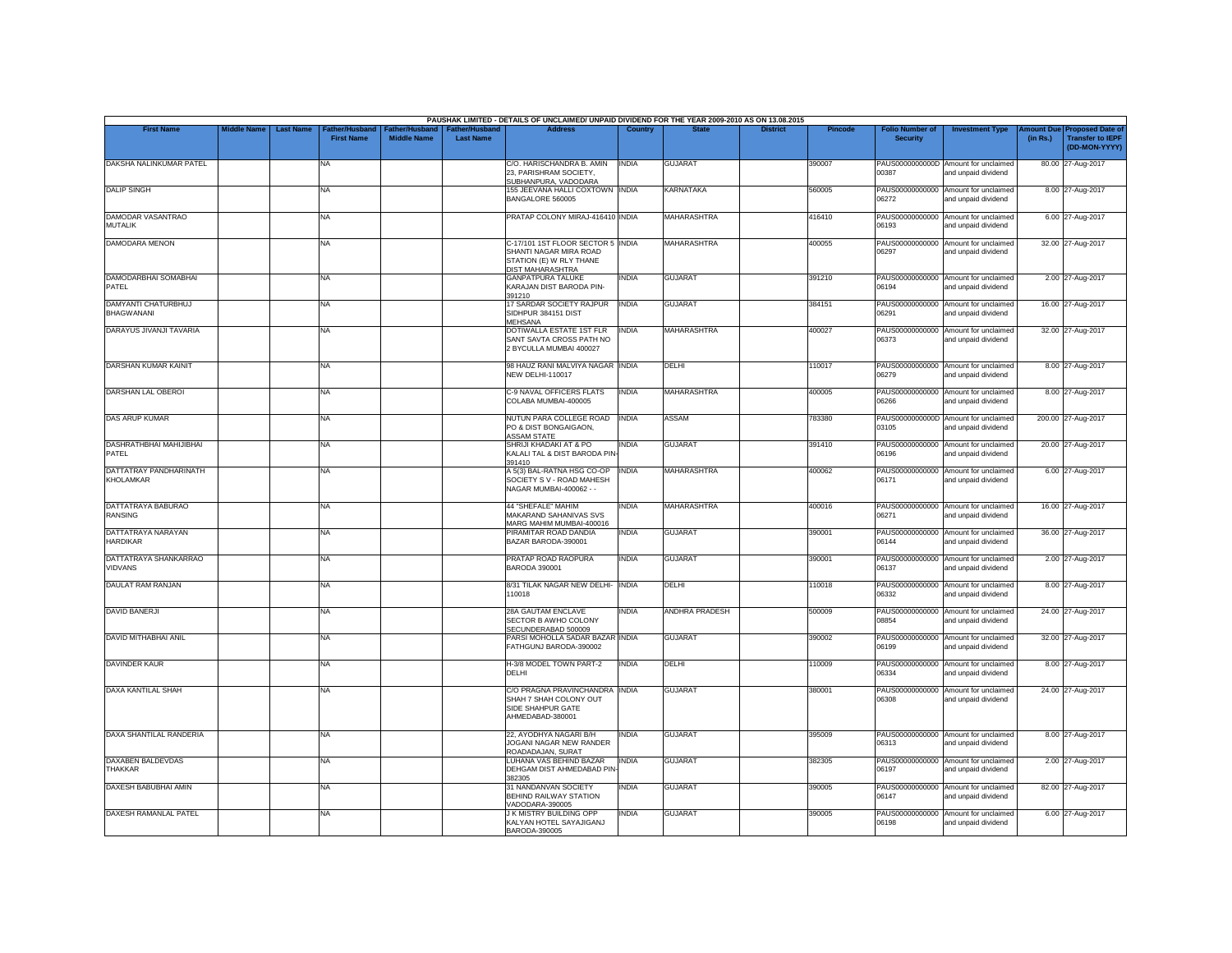|                                            |                    |                                                         |                                      |                                           | PAUSHAK LIMITED - DETAILS OF UNCLAIMED/ UNPAID DIVIDEND FOR THE YEAR 2009-2010 AS ON 13.08.2015            |                |                       |                 |                |                                           |                                                             |          |                                                                        |
|--------------------------------------------|--------------------|---------------------------------------------------------|--------------------------------------|-------------------------------------------|------------------------------------------------------------------------------------------------------------|----------------|-----------------------|-----------------|----------------|-------------------------------------------|-------------------------------------------------------------|----------|------------------------------------------------------------------------|
| <b>First Name</b>                          | <b>Middle Name</b> | <b>Last Name</b><br>Father/Husband<br><b>First Name</b> | Father/Husband<br><b>Middle Name</b> | <b>Father/Husband</b><br><b>Last Name</b> | <b>Address</b>                                                                                             | <b>Country</b> | <b>State</b>          | <b>District</b> | <b>Pincode</b> | <b>Folio Number of</b><br><b>Security</b> | <b>Investment Type</b>                                      | (in Rs.) | mount Due Proposed Date of<br><b>Transfer to IEPF</b><br>(DD-MON-YYYY) |
| DAKSHA NALINKUMAR PATEL                    |                    | NA                                                      |                                      |                                           | C/O. HARISCHANDRA B. AMIN<br>23, PARISHRAM SOCIETY,<br>SUBHANPURA, VADODARA                                | <b>INDIA</b>   | <b>GUJARAT</b>        |                 | 390007         | 00387                                     | PAUS0000000000D Amount for unclaimed<br>and unpaid dividend |          | 80.00 27-Aug-2017                                                      |
| <b>DALIP SINGH</b>                         |                    | <b>NA</b>                                               |                                      |                                           | 155 JEEVANA HALLI COXTOWN INDIA<br>BANGALORE 560005                                                        |                | <b>KARNATAKA</b>      |                 | 560005         | 06272                                     | PAUS00000000000 Amount for unclaimed<br>and unpaid dividend |          | 8.00 27-Aug-2017                                                       |
| DAMODAR VASANTRAO<br><b>MUTALIK</b>        |                    | <b>NA</b>                                               |                                      |                                           | PRATAP COLONY MIRAJ-416410 INDIA                                                                           |                | <b>MAHARASHTRA</b>    |                 | 416410         | PAUS00000000000<br>06193                  | Amount for unclaimed<br>and unpaid dividend                 |          | 6.00 27-Aug-2017                                                       |
| <b>DAMODARA MENON</b>                      |                    | <b>NA</b>                                               |                                      |                                           | C-17/101 1ST FLOOR SECTOR 5 INDIA<br>SHANTI NAGAR MIRA ROAD<br>STATION (E) W RLY THANE<br>DIST MAHARASHTRA |                | <b>MAHARASHTRA</b>    |                 | 400055         | 06297                                     | PAUS00000000000 Amount for unclaimed<br>and unpaid dividend |          | 32.00 27-Aug-2017                                                      |
| DAMODARBHAI SOMABHAI<br>PATEL              |                    | <b>NA</b>                                               |                                      |                                           | <b>GANPATPURA TALUKE</b><br>KARAJAN DIST BARODA PIN-<br>391210                                             | <b>INDIA</b>   | <b>GUJARAT</b>        |                 | 391210         | 06194                                     | PAUS00000000000 Amount for unclaimed<br>and unpaid dividend |          | 2.00 27-Aug-2017                                                       |
| DAMYANTI CHATURBHUJ<br><b>BHAGWANANI</b>   |                    | <b>NA</b>                                               |                                      |                                           | 17 SARDAR SOCIETY RAJPUR<br>SIDHPUR 384151 DIST<br><b>MEHSANA</b>                                          | <b>INDIA</b>   | <b>GUJARAT</b>        |                 | 384151         | 06291                                     | PAUS00000000000 Amount for unclaimed<br>and unpaid dividend |          | 16.00 27-Aug-2017                                                      |
| DARAYUS JIVANJI TAVARIA                    |                    | <b>NA</b>                                               |                                      |                                           | DOTIWALLA ESTATE 1ST FLR<br>SANT SAVTA CROSS PATH NO<br>2 BYCULLA MUMBAI 400027                            | <b>INDIA</b>   | <b>MAHARASHTRA</b>    |                 | 400027         | 06373                                     | PAUS00000000000 Amount for unclaimed<br>and unpaid dividend |          | 32.00 27-Aug-2017                                                      |
| <b>DARSHAN KUMAR KAINIT</b>                |                    | <b>NA</b>                                               |                                      |                                           | 98 HAUZ RANI MALVIYA NAGAR INDIA<br>NEW DELHI-110017                                                       |                | DELHI                 |                 | 110017         | 06279                                     | PAUS00000000000 Amount for unclaimed<br>and unpaid dividend |          | 8.00 27-Aug-2017                                                       |
| DARSHAN LAL OBEROI                         |                    | <b>NA</b>                                               |                                      |                                           | C-9 NAVAL OFFICERS FLATS<br>COLABA MUMBAI-400005                                                           | <b>INDIA</b>   | <b>MAHARASHTRA</b>    |                 | 400005         | 06266                                     | PAUS00000000000 Amount for unclaimed<br>and unpaid dividend |          | 8.00 27-Aug-2017                                                       |
| <b>DAS ARUP KUMAR</b>                      |                    | <b>NA</b>                                               |                                      |                                           | NUTUN PARA COLLEGE ROAD<br>PO & DIST BONGAIGAON,<br><b>ASSAM STATE</b>                                     | <b>INDIA</b>   | <b>ASSAM</b>          |                 | 783380         | PAUS0000000000D<br>03105                  | Amount for unclaimed<br>and unpaid dividend                 |          | 200.00 27-Aug-2017                                                     |
| DASHRATHBHAI MAHIJIBHAI<br>PATEL           |                    | <b>NA</b>                                               |                                      |                                           | SHRIJI KHADAKI AT & PO<br>KALALI TAL & DIST BARODA PIN<br>391410                                           | INDIA          | <b>GUJARAT</b>        |                 | 391410         | 06196                                     | PAUS00000000000 Amount for unclaimed<br>and unpaid dividend |          | 20.00 27-Aug-2017                                                      |
| DATTATRAY PANDHARINATH<br><b>KHOLAMKAR</b> |                    | <b>NA</b>                                               |                                      |                                           | A 5(3) BAL-RATNA HSG CO-OP<br>SOCIETY S V - ROAD MAHESH<br>NAGAR MUMBAI-400062 - -                         | <b>INDIA</b>   | <b>MAHARASHTRA</b>    |                 | 400062         | 06171                                     | PAUS00000000000 Amount for unclaimed<br>and unpaid dividend |          | 6.00 27-Aug-2017                                                       |
| DATTATRAYA BABURAO<br><b>RANSING</b>       |                    | <b>NA</b>                                               |                                      |                                           | 44 "SHEFALE" MAHIM<br>MAKARAND SAHANIVAS SVS<br>MARG MAHIM MUMBAI-400016                                   | INDIA          | <b>MAHARASHTRA</b>    |                 | 400016         | PAUS00000000000<br>06271                  | Amount for unclaimed<br>and unpaid dividend                 |          | 16.00 27-Aug-2017                                                      |
| DATTATRAYA NARAYAN<br><b>HARDIKAR</b>      |                    | <b>NA</b>                                               |                                      |                                           | PIRAMITAR ROAD DANDIA<br>BAZAR BARODA-390001                                                               | <b>INDIA</b>   | <b>GUJARAT</b>        |                 | 390001         | 06144                                     | PAUS00000000000 Amount for unclaimed<br>and unpaid dividend |          | 36.00 27-Aug-2017                                                      |
| DATTATRAYA SHANKARRAO<br><b>VIDVANS</b>    |                    | <b>NA</b>                                               |                                      |                                           | PRATAP ROAD RAOPURA<br>BARODA 390001                                                                       | <b>INDIA</b>   | <b>GUJARAT</b>        |                 | 390001         | 06137                                     | PAUS00000000000 Amount for unclaimed<br>and unpaid dividend |          | 2.00 27-Aug-2017                                                       |
| DAULAT RAM RANJAN                          |                    | <b>NA</b>                                               |                                      |                                           | 8/31 TILAK NAGAR NEW DELHI- INDIA<br>110018                                                                |                | DELHI                 |                 | 110018         | 06332                                     | PAUS00000000000 Amount for unclaimed<br>and unpaid dividend |          | 8.00 27-Aug-2017                                                       |
| <b>DAVID BANERJI</b>                       |                    | <b>NA</b>                                               |                                      |                                           | 28A GAUTAM ENCLAVE<br>SECTOR B AWHO COLONY<br>SECUNDERABAD 500009                                          | INDIA          | <b>ANDHRA PRADESH</b> |                 | 500009         | PAUS00000000000<br>08854                  | Amount for unclaimed<br>and unpaid dividend                 |          | 24.00 27-Aug-2017                                                      |
| <b>DAVID MITHABHAI ANIL</b>                |                    | <b>NA</b>                                               |                                      |                                           | PARSI MOHOLLA SADAR BAZAR INDIA<br>FATHGUNJ BARODA-390002                                                  |                | <b>GUJARAT</b>        |                 | 390002         | 06199                                     | PAUS00000000000 Amount for unclaimed<br>and unpaid dividend |          | 32.00 27-Aug-2017                                                      |
| <b>DAVINDER KAUR</b>                       |                    | <b>NA</b>                                               |                                      |                                           | H-3/8 MODEL TOWN PART-2<br>DELHI                                                                           | <b>INDIA</b>   | DELHI                 |                 | 110009         | PAUS00000000000<br>06334                  | Amount for unclaimed<br>and unpaid dividend                 |          | 8.00 27-Aug-2017                                                       |
| <b>DAXA KANTILAL SHAH</b>                  |                    | <b>NA</b>                                               |                                      |                                           | C/O PRAGNA PRAVINCHANDRA INDIA<br>SHAH 7 SHAH COLONY OUT<br>SIDE SHAHPUR GATE<br>AHMEDABAD-380001          |                | <b>GUJARAT</b>        |                 | 380001         | 06308                                     | PAUS00000000000 Amount for unclaimed<br>and unpaid dividend |          | 24.00 27-Aug-2017                                                      |
| DAXA SHANTILAL RANDERIA                    |                    | <b>NA</b>                                               |                                      |                                           | 22. AYODHYA NAGARI B/H<br>JOGANI NAGAR NEW RANDER<br>ROADADAJAN, SURAT                                     | <b>INDIA</b>   | <b>GUJARAT</b>        |                 | 395009         | 06313                                     | PAUS00000000000 Amount for unclaimed<br>and unpaid dividend |          | 8.00 27-Aug-2017                                                       |
| <b>DAXABEN BALDEVDAS</b><br><b>THAKKAR</b> |                    | <b>NA</b>                                               |                                      |                                           | LUHANA VAS BEHIND BAZAR<br>DEHGAM DIST AHMEDABAD PIN<br>382305                                             | <b>INDIA</b>   | <b>GUJARAT</b>        |                 | 382305         | 06197                                     | PAUS00000000000 Amount for unclaimed<br>and unpaid dividend |          | 2.00 27-Aug-2017                                                       |
| DAXESH BABUBHAI AMIN                       |                    | <b>NA</b>                                               |                                      |                                           | 31 NANDANVAN SOCIETY<br><b>BEHIND RAILWAY STATION</b><br>VADODARA-390005                                   | <b>INDIA</b>   | <b>GUJARAT</b>        |                 | 390005         | 06147                                     | PAUS00000000000 Amount for unclaimed<br>and unpaid dividend |          | 82.00 27-Aug-2017                                                      |
| <b>DAXESH RAMANLAL PATEL</b>               |                    | <b>NA</b>                                               |                                      |                                           | <b>J K MISTRY BUILDING OPP</b><br>KALYAN HOTEL SAYAJIGANJ<br>BARODA-390005                                 | <b>INDIA</b>   | <b>GUJARAT</b>        |                 | 390005         | PAUS00000000000<br>06198                  | Amount for unclaimed<br>and unpaid dividend                 |          | 6.00 27-Aug-2017                                                       |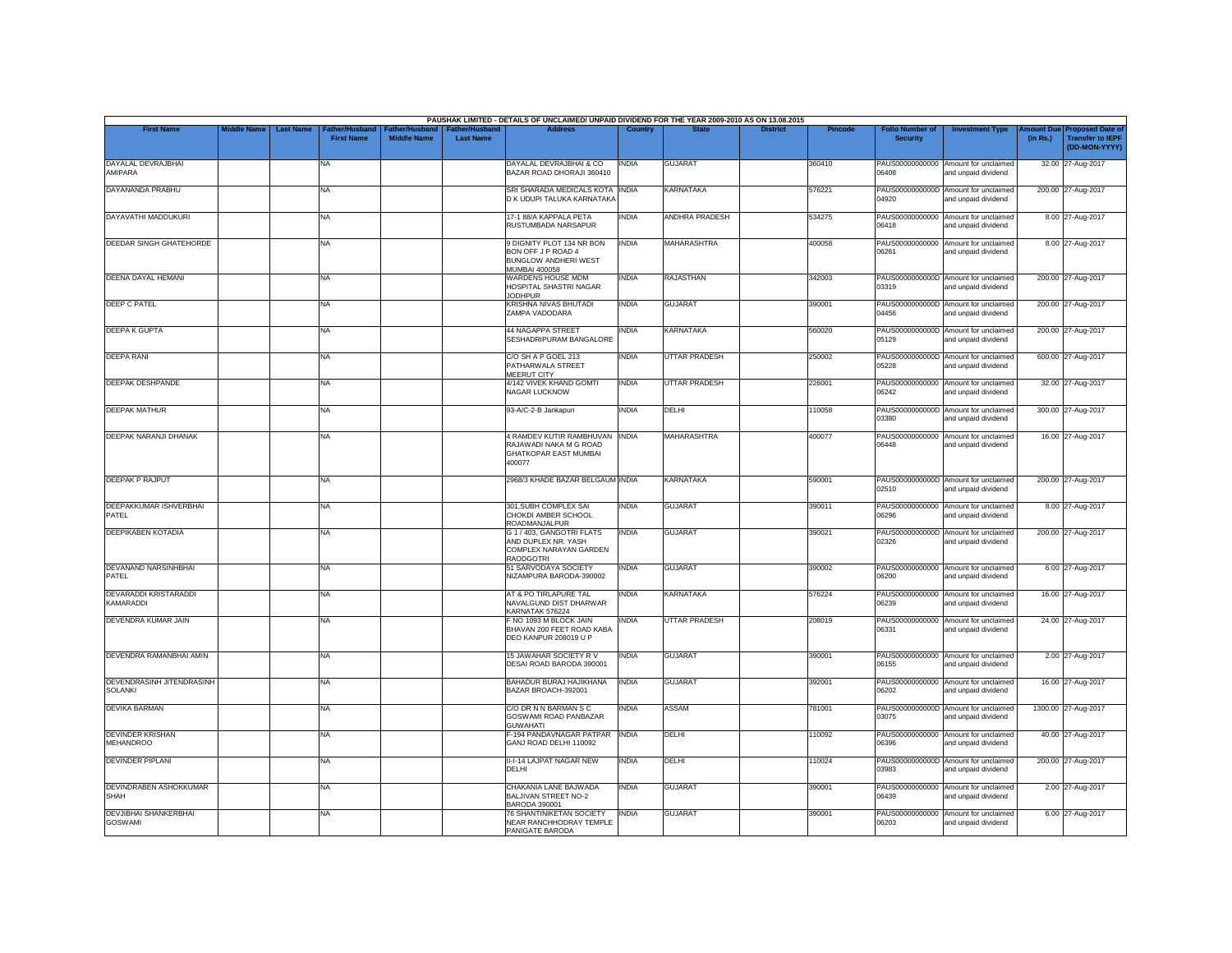|                                                |                    |                                                         |                                      |                                           | PAUSHAK LIMITED - DETAILS OF UNCLAIMED/ UNPAID DIVIDEND FOR THE YEAR 2009-2010 AS ON 13.08.2015        |                |                       |                 |                |                                           |                                                             |          |                                                                        |
|------------------------------------------------|--------------------|---------------------------------------------------------|--------------------------------------|-------------------------------------------|--------------------------------------------------------------------------------------------------------|----------------|-----------------------|-----------------|----------------|-------------------------------------------|-------------------------------------------------------------|----------|------------------------------------------------------------------------|
| <b>First Name</b>                              | <b>Middle Name</b> | <b>Last Name</b><br>Father/Husband<br><b>First Name</b> | Father/Husband<br><b>Middle Name</b> | <b>Father/Husband</b><br><b>Last Name</b> | <b>Address</b>                                                                                         | <b>Country</b> | <b>State</b>          | <b>District</b> | <b>Pincode</b> | <b>Folio Number of</b><br><b>Security</b> | <b>Investment Type</b>                                      | (in Rs.) | mount Due Proposed Date of<br><b>Transfer to IEPF</b><br>(DD-MON-YYYY) |
| DAYALAL DEVRAJBHAI<br>AMIPARA                  |                    | NA                                                      |                                      |                                           | DAYALAL DEVRAJBHAI & CO<br>BAZAR ROAD DHORAJI 360410                                                   | <b>INDIA</b>   | <b>GUJARAT</b>        |                 | 360410         | PAUS00000000000<br>06408                  | Amount for unclaimed<br>and unpaid dividend                 |          | 32.00 27-Aug-2017                                                      |
| DAYANANDA PRABHU                               |                    | <b>NA</b>                                               |                                      |                                           | SRI SHARADA MEDICALS KOTA INDIA<br>D K UDUPI TALUKA KARNATAKA                                          |                | <b>KARNATAKA</b>      |                 | 576221         | 04920                                     | PAUS0000000000D Amount for unclaimed<br>and unpaid dividend |          | 200.00 27-Aug-2017                                                     |
| DAYAVATHI MADDUKURI                            |                    | <b>NA</b>                                               |                                      |                                           | 17-1 88/A KAPPALA PETA<br>RUSTUMBADA NARSAPUR                                                          | INDIA          | <b>ANDHRA PRADESH</b> |                 | 534275         | PAUS00000000000<br>06418                  | Amount for unclaimed<br>and unpaid dividend                 |          | 8.00 27-Aug-2017                                                       |
| <b>DEEDAR SINGH GHATEHORDE</b>                 |                    | <b>NA</b>                                               |                                      |                                           | 9 DIGNITY PLOT 134 NR BON<br>BON OFF J P ROAD 4<br><b>BUNGLOW ANDHERI WEST</b><br><b>MUMBAI 400058</b> | <b>INDIA</b>   | <b>MAHARASHTRA</b>    |                 | 400058         | 06261                                     | PAUS00000000000 Amount for unclaimed<br>and unpaid dividend |          | 8.00 27-Aug-2017                                                       |
| <b>DEENA DAYAL HEMANI</b>                      |                    | <b>NA</b>                                               |                                      |                                           | WARDENS HOUSE MDM<br>HOSPITAL SHASTRI NAGAR<br><b>JODHPUR</b>                                          | INDIA          | <b>RAJASTHAN</b>      |                 | 342003         | 03319                                     | PAUS0000000000D Amount for unclaimed<br>and unpaid dividend |          | 200.00 27-Aug-2017                                                     |
| DEEP C PATEL                                   |                    | <b>NA</b>                                               |                                      |                                           | KRISHNA NIVAS BHUTADI<br>ZAMPA VADODARA                                                                | <b>INDIA</b>   | <b>GUJARAT</b>        |                 | 390001         | 04456                                     | PAUS0000000000D Amount for unclaimed<br>and unpaid dividend |          | 200.00 27-Aug-2017                                                     |
| <b>DEEPA K GUPTA</b>                           |                    | <b>NA</b>                                               |                                      |                                           | 44 NAGAPPA STREET<br>SESHADRIPURAM BANGALORE                                                           | <b>INDIA</b>   | <b>KARNATAKA</b>      |                 | 560020         | 05129                                     | PAUS0000000000D Amount for unclaimed<br>and unpaid dividend |          | 200.00 27-Aug-2017                                                     |
| <b>DEEPA RANI</b>                              |                    | <b>NA</b>                                               |                                      |                                           | C/O SH A P GOEL 213<br>PATHARWALA STREET<br>MEERUT CITY                                                | <b>INDIA</b>   | <b>UTTAR PRADESH</b>  |                 | 250002         | 05228                                     | PAUS0000000000D Amount for unclaimed<br>and unpaid dividend |          | 600.00 27-Aug-2017                                                     |
| <b>DEEPAK DESHPANDE</b>                        |                    | <b>NA</b>                                               |                                      |                                           | 4/142 VIVEK KHAND GOMTI<br>NAGAR LUCKNOW                                                               | <b>INDIA</b>   | <b>UTTAR PRADESH</b>  |                 | 226001         | 06242                                     | PAUS00000000000 Amount for unclaimed<br>and unpaid dividend |          | 32.00 27-Aug-2017                                                      |
| <b>DEEPAK MATHUR</b>                           |                    | <b>NA</b>                                               |                                      |                                           | 93-A/C-2-B Jankapuri                                                                                   | india          | DELHI                 |                 | 110058         | 03380                                     | PAUS0000000000D Amount for unclaimed<br>and unpaid dividend |          | 300.00 27-Aug-2017                                                     |
| <b>DEEPAK NARANJI DHANAK</b>                   |                    | <b>NA</b>                                               |                                      |                                           | <b>4 RAMDEV KUTIR RAMBHUVAN</b><br>RAJAWADI NAKA M G ROAD<br>GHATKOPAR EAST MUMBAI<br>400077           | <b>INDIA</b>   | <b>MAHARASHTRA</b>    |                 | 400077         | 06448                                     | PAUS00000000000 Amount for unclaimed<br>and unpaid dividend |          | 16.00 27-Aug-2017                                                      |
| <b>DEEPAK P RAJPUT</b>                         |                    | <b>NA</b>                                               |                                      |                                           | 2968/3 KHADE BAZAR BELGAUM INDIA                                                                       |                | <b>KARNATAKA</b>      |                 | 590001         | 02510                                     | PAUS0000000000D Amount for unclaimed<br>and unpaid dividend |          | 200.00 27-Aug-2017                                                     |
| DEEPAKKUMAR ISHVERBHAI<br>PATEL                |                    | <b>NA</b>                                               |                                      |                                           | 301, SUBH COMPLEX SAI<br>CHOKDI AMBER SCHOOL<br>ROADMANJALPUR                                          | india          | <b>GUJARAT</b>        |                 | 390011         | PAUS00000000000<br>06296                  | Amount for unclaimed<br>and unpaid dividend                 |          | 8.00 27-Aug-2017                                                       |
| <b>DEEPIKABEN KOTADIA</b>                      |                    | <b>NA</b>                                               |                                      |                                           | G 1 / 403, GANGOTRI FLATS<br>AND DUPLEX NR. YASH<br>COMPLEX NARAYAN GARDEN<br><b>RAODGOTRI</b>         | <b>INDIA</b>   | <b>GUJARAT</b>        |                 | 390021         | 02326                                     | PAUS0000000000D Amount for unclaimed<br>and unpaid dividend |          | 200.00 27-Aug-2017                                                     |
| <b>DEVANAND NARSINHBHAI</b><br>PATEL           |                    | <b>NA</b>                                               |                                      |                                           | 51 SARVODAYA SOCIETY<br>NIZAMPURA BARODA-390002                                                        | <b>INDIA</b>   | <b>GUJARAT</b>        |                 | 390002         | 06200                                     | PAUS00000000000 Amount for unclaimed<br>and unpaid dividend |          | 6.00 27-Aug-2017                                                       |
| <b>DEVARADDI KRISTARADDI</b><br>KAMARADDI      |                    | <b>NA</b>                                               |                                      |                                           | AT & PO TIRLAPURE TAL<br>NAVALGUND DIST DHARWAR<br>KARNATAK 576224                                     | INDIA          | <b>KARNATAKA</b>      |                 | 576224         | 06239                                     | PAUS00000000000 Amount for unclaimed<br>and unpaid dividend |          | 16.00 27-Aug-2017                                                      |
| DEVENDRA KUMAR JAIN                            |                    | NA                                                      |                                      |                                           | F NO 1093 M BLOCK JAIN<br>BHAVAN 200 FEET ROAD KABA<br>DEO KANPUR 208019 U P                           | INDIA          | <b>UTTAR PRADESH</b>  |                 | 208019         | PAUS00000000000<br>06331                  | Amount for unclaimed<br>and unpaid dividend                 |          | 24.00 27-Aug-2017                                                      |
| DEVENDRA RAMANBHAI AMIN                        |                    | <b>NA</b>                                               |                                      |                                           | 15 JAWAHAR SOCIETY R V<br>DESAI ROAD BARODA 390001                                                     | <b>INDIA</b>   | <b>GUJARAT</b>        |                 | 390001         | 06155                                     | PAUS00000000000 Amount for unclaimed<br>and unpaid dividend |          | 2.00 27-Aug-2017                                                       |
| DEVENDRASINH JITENDRASINH<br><b>SOLANKI</b>    |                    | <b>NA</b>                                               |                                      |                                           | BAHADUR BURAJ HAJIKHANA<br>BAZAR BROACH-392001                                                         | <b>INDIA</b>   | <b>GUJARAT</b>        |                 | 392001         | 06202                                     | PAUS00000000000 Amount for unclaimed<br>and unpaid dividend |          | 16.00 27-Aug-2017                                                      |
| <b>DEVIKA BARMAN</b>                           |                    | NA                                                      |                                      |                                           | C/O DR N N BARMAN S C<br>GOSWAMI ROAD PANBAZAR<br><b>GUWAHATI</b>                                      | INDIA          | <b>ASSAM</b>          |                 | 781001         | 03075                                     | PAUS0000000000D Amount for unclaimed<br>and unpaid dividend |          | 1300.00 27-Aug-2017                                                    |
| <b>DEVINDER KRISHAN</b><br><b>MEHANDROO</b>    |                    | <b>NA</b>                                               |                                      |                                           | F-194 PANDAVNAGAR PATPAR<br>GANJ ROAD DELHI 110092                                                     | <b>INDIA</b>   | DELHI                 |                 | 110092         | 06396                                     | PAUS00000000000 Amount for unclaimed<br>and unpaid dividend |          | 40.00 27-Aug-2017                                                      |
| <b>DEVINDER PIPLANI</b>                        |                    | <b>NA</b>                                               |                                      |                                           | II-I-14 LAJPAT NAGAR NEW<br>DELHI                                                                      | <b>INDIA</b>   | <b>DELHI</b>          |                 | 110024         | 03983                                     | PAUS0000000000D Amount for unclaimed<br>and unpaid dividend |          | 200.00 27-Aug-2017                                                     |
| DEVINDRABEN ASHOKKUMAR<br><b>SHAH</b>          |                    | <b>NA</b>                                               |                                      |                                           | CHAKANIA LANE BAJWADA<br>BALJIVAN STREET NO-2<br>BARODA 390001                                         | <b>INDIA</b>   | <b>GUJARAT</b>        |                 | 390001         | 06439                                     | PAUS00000000000 Amount for unclaimed<br>and unpaid dividend |          | 2.00 27-Aug-2017                                                       |
| <b>DEVJIBHAI SHANKERBHAI</b><br><b>GOSWAMI</b> |                    | <b>NA</b>                                               |                                      |                                           | <b>76 SHANTINIKETAN SOCIETY</b><br>NEAR RANCHHODRAY TEMPLE<br>PANIGATE BARODA                          | <b>INDIA</b>   | <b>GUJARAT</b>        |                 | 390001         | PAUS00000000000<br>06203                  | Amount for unclaimed<br>and unpaid dividend                 |          | 6.00 27-Aug-2017                                                       |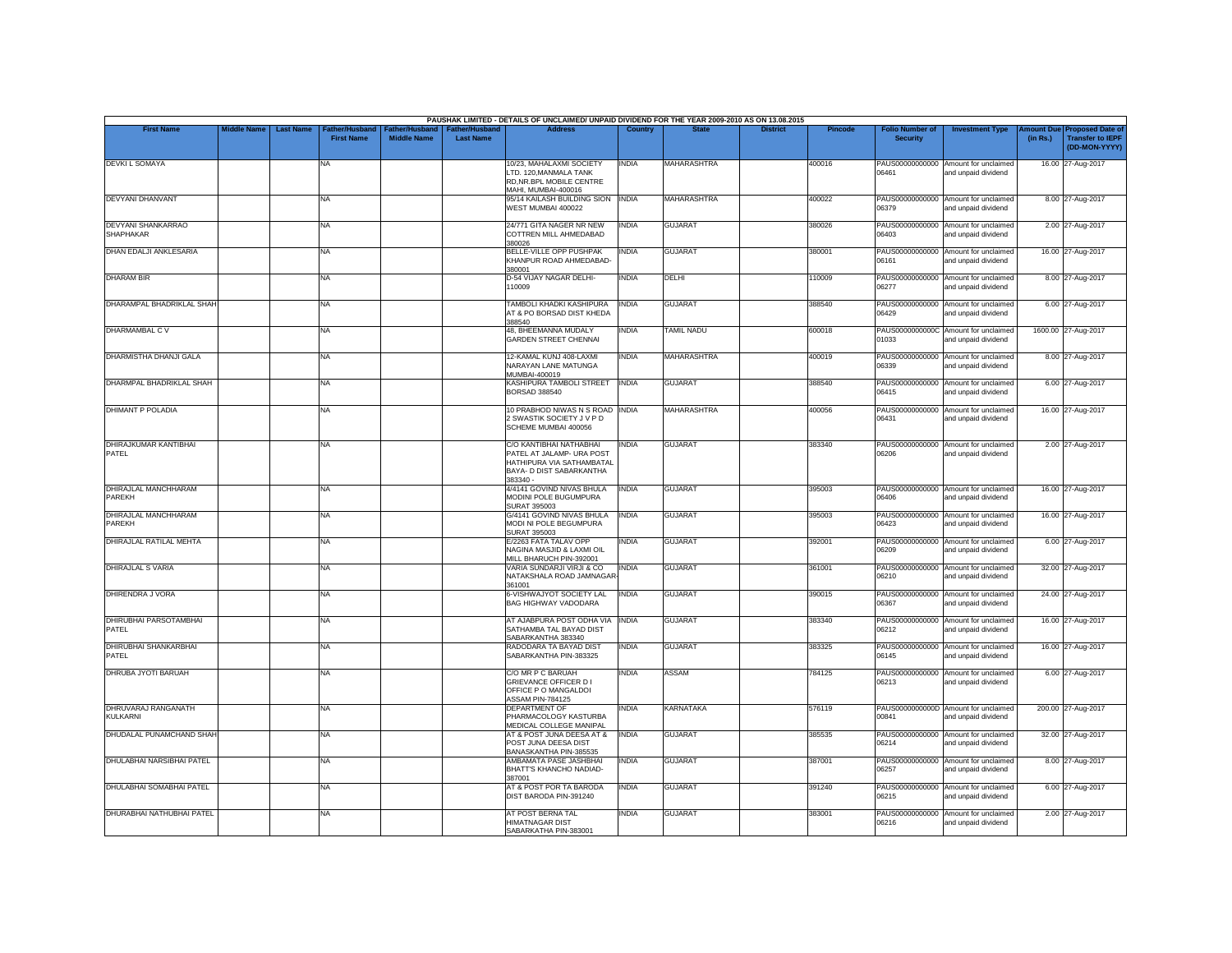|                                        |                    |                  |                                            |                                      |                                           | PAUSHAK LIMITED - DETAILS OF UNCLAIMED/ UNPAID DIVIDEND FOR THE YEAR 2009-2010 AS ON 13.08.2015                           |                |                    |                 |                |                                           |                                                             |          |                                                                        |
|----------------------------------------|--------------------|------------------|--------------------------------------------|--------------------------------------|-------------------------------------------|---------------------------------------------------------------------------------------------------------------------------|----------------|--------------------|-----------------|----------------|-------------------------------------------|-------------------------------------------------------------|----------|------------------------------------------------------------------------|
| <b>First Name</b>                      | <b>Middle Name</b> | <b>Last Name</b> | <b>Father/Husband</b><br><b>First Name</b> | Father/Husband<br><b>Middle Name</b> | <b>Father/Husband</b><br><b>Last Name</b> | <b>Address</b>                                                                                                            | <b>Country</b> | <b>State</b>       | <b>District</b> | <b>Pincode</b> | <b>Folio Number of</b><br><b>Security</b> | <b>Investment Type</b>                                      | (in Rs.) | mount Due Proposed Date of<br><b>Transfer to IEPF</b><br>(DD-MON-YYYY) |
| <b>DEVKI L SOMAYA</b>                  |                    |                  | NA                                         |                                      |                                           | 10/23, MAHALAXMI SOCIETY<br>LTD. 120, MANMALA TANK<br>RD, NR. BPL MOBILE CENTRE<br>MAHI, MUMBAI-400016                    | <b>INDIA</b>   | <b>MAHARASHTRA</b> |                 | 400016         | 06461                                     | PAUS00000000000 Amount for unclaimed<br>and unpaid dividend |          | 16.00 27-Aug-2017                                                      |
| <b>DEVYANI DHANVANT</b>                |                    |                  | <b>NA</b>                                  |                                      |                                           | 95/14 KAILASH BUILDING SION<br>WEST MUMBAI 400022                                                                         | <b>INDIA</b>   | <b>MAHARASHTRA</b> |                 | 400022         | 06379                                     | PAUS00000000000 Amount for unclaimed<br>and unpaid dividend |          | 8.00 27-Aug-2017                                                       |
| DEVYANI SHANKARRAO<br><b>SHAPHAKAR</b> |                    |                  | <b>NA</b>                                  |                                      |                                           | 24/771 GITA NAGER NR NEW<br>COTTREN MILL AHMEDABAD<br>380026                                                              | <b>INDIA</b>   | <b>GUJARAT</b>     |                 | 380026         | 06403                                     | PAUS00000000000 Amount for unclaimed<br>and unpaid dividend |          | 2.00 27-Aug-2017                                                       |
| DHAN EDALJI ANKLESARIA                 |                    |                  | <b>NA</b>                                  |                                      |                                           | BELLE-VILLE OPP PUSHPAK<br>KHANPUR ROAD AHMEDABAD-<br>380001                                                              | <b>INDIA</b>   | <b>GUJARAT</b>     |                 | 380001         | 06161                                     | PAUS00000000000 Amount for unclaimed<br>and unpaid dividend |          | 16.00 27-Aug-2017                                                      |
| <b>DHARAM BIR</b>                      |                    |                  | <b>NA</b>                                  |                                      |                                           | D-54 VIJAY NAGAR DELHI-<br>110009                                                                                         | <b>INDIA</b>   | DELHI              |                 | 110009         | 06277                                     | PAUS00000000000 Amount for unclaimed<br>and unpaid dividend |          | 8.00 27-Aug-2017                                                       |
| DHARAMPAL BHADRIKLAL SHAH              |                    |                  | <b>NA</b>                                  |                                      |                                           | TAMBOLI KHADKI KASHIPURA<br>AT & PO BORSAD DIST KHEDA<br>388540                                                           | <b>INDIA</b>   | <b>GUJARAT</b>     |                 | 388540         | PAUS00000000000<br>06429                  | Amount for unclaimed<br>and unpaid dividend                 |          | 6.00 27-Aug-2017                                                       |
| DHARMAMBAL C V                         |                    |                  | <b>NA</b>                                  |                                      |                                           | 48, BHEEMANNA MUDALY<br><b>GARDEN STREET CHENNAL</b>                                                                      | <b>INDIA</b>   | TAMIL NADU         |                 | 600018         | 01033                                     | PAUS0000000000C Amount for unclaimed<br>and unpaid dividend |          | 1600.00 27-Aug-2017                                                    |
| DHARMISTHA DHANJI GALA                 |                    |                  | <b>NA</b>                                  |                                      |                                           | 12-KAMAL KUNJ 408-LAXMI<br>NARAYAN LANE MATUNGA<br>MUMBAI-400019                                                          | <b>INDIA</b>   | <b>MAHARASHTRA</b> |                 | 400019         | 06339                                     | PAUS00000000000 Amount for unclaimed<br>and unpaid dividend |          | 8.00 27-Aug-2017                                                       |
| DHARMPAL BHADRIKLAL SHAH               |                    |                  | <b>NA</b>                                  |                                      |                                           | KASHIPURA TAMBOLI STREET<br>BORSAD 388540                                                                                 | <b>INDIA</b>   | <b>GUJARAT</b>     |                 | 388540         | 06415                                     | PAUS00000000000 Amount for unclaimed<br>and unpaid dividend |          | 6.00 27-Aug-2017                                                       |
| <b>DHIMANT P POLADIA</b>               |                    |                  | <b>NA</b>                                  |                                      |                                           | 10 PRABHOD NIWAS N S ROAD INDIA<br>2 SWASTIK SOCIETY J V P D<br>SCHEME MUMBAI 400056                                      |                | MAHARASHTRA        |                 | 400056         | PAUS00000000000<br>06431                  | Amount for unclaimed<br>and unpaid dividend                 |          | 16.00 27-Aug-2017                                                      |
| DHIRAJKUMAR KANTIBHAI<br>PATEL         |                    |                  | NA                                         |                                      |                                           | C/O KANTIBHAI NATHABHAI<br>PATEL AT JALAMP- URA POST<br>HATHIPURA VIA SATHAMBATAL<br>BAYA- D DIST SABARKANTHA<br>383340 - | <b>INDIA</b>   | <b>GUJARAT</b>     |                 | 383340         | 06206                                     | PAUS00000000000 Amount for unclaimed<br>and unpaid dividend |          | 2.00 27-Aug-2017                                                       |
| DHIRAJLAL MANCHHARAM<br>PAREKH         |                    |                  | <b>NA</b>                                  |                                      |                                           | 4/4141 GOVIND NIVAS BHULA<br>MODINI POLE BUGUMPURA<br>SURAT 395003                                                        | <b>INDIA</b>   | <b>GUJARAT</b>     |                 | 395003         | 06406                                     | PAUS00000000000 Amount for unclaimed<br>and unpaid dividend |          | 16.00 27-Aug-2017                                                      |
| DHIRAJLAL MANCHHARAM<br>PAREKH         |                    |                  | <b>NA</b>                                  |                                      |                                           | G/4141 GOVIND NIVAS BHULA<br>MODI NI POLE BEGUMPURA<br><b>SURAT 395003</b>                                                | <b>INDIA</b>   | <b>GUJARAT</b>     |                 | 395003         | PAUS00000000000<br>06423                  | Amount for unclaimed<br>and unpaid dividend                 |          | 16.00 27-Aug-2017                                                      |
| DHIRAJLAL RATILAL MEHTA                |                    |                  | <b>NA</b>                                  |                                      |                                           | E/2263 FATA TALAV OPP<br>NAGINA MASJID & LAXMI OIL<br>MILL BHARUCH PIN-392001                                             | INDIA          | <b>GUJARAT</b>     |                 | 392001         | PAUS00000000000<br>06209                  | Amount for unclaimed<br>and unpaid dividend                 |          | 6.00 27-Aug-2017                                                       |
| DHIRAJLAL S VARIA                      |                    |                  | <b>NA</b>                                  |                                      |                                           | VARIA SUNDARJI VIRJI & CO<br>NATAKSHALA ROAD JAMNAGAF<br>361001                                                           | <b>INDIA</b>   | <b>GUJARAT</b>     |                 | 361001         | PAUS00000000000<br>06210                  | Amount for unclaimed<br>and unpaid dividend                 |          | 32.00 27-Aug-2017                                                      |
| DHIRENDRA J VORA                       |                    |                  | <b>NA</b>                                  |                                      |                                           | 6-VISHWAJYOT SOCIETY LAL<br>BAG HIGHWAY VADODARA                                                                          | <b>INDIA</b>   | <b>GUJARAT</b>     |                 | 390015         | 06367                                     | PAUS00000000000 Amount for unclaimed<br>and unpaid dividend |          | 24.00 27-Aug-2017                                                      |
| DHIRUBHAI PARSOTAMBHAI<br>PATEL        |                    |                  | NA                                         |                                      |                                           | AT AJABPURA POST ODHA VIA<br>SATHAMBA TAL BAYAD DIST<br>SABARKANTHA 383340                                                | <b>INDIA</b>   | <b>GUJARAT</b>     |                 | 383340         | PAUS00000000000<br>06212                  | Amount for unclaimed<br>and unpaid dividend                 |          | 16.00 27-Aug-2017                                                      |
| DHIRUBHAI SHANKARBHAI<br>PATEL         |                    |                  | <b>NA</b>                                  |                                      |                                           | RADODARA TA BAYAD DIST<br>SABARKANTHA PIN-383325                                                                          | <b>INDIA</b>   | <b>GUJARAT</b>     |                 | 383325         | 06145                                     | PAUS00000000000 Amount for unclaimed<br>and unpaid dividend |          | 16.00 27-Aug-2017                                                      |
| DHRUBA JYOTI BARUAH                    |                    |                  | <b>NA</b>                                  |                                      |                                           | C/O MR P C BARUAH<br><b>GRIEVANCE OFFICER D1</b><br>OFFICE P O MANGALDOI<br><b>ASSAM PIN-784125</b>                       | INDIA          | <b>ASSAM</b>       |                 | 784125         | 06213                                     | PAUS00000000000 Amount for unclaimed<br>and unpaid dividend |          | 6.00 27-Aug-2017                                                       |
| DHRUVARAJ RANGANATH<br><b>KULKARNI</b> |                    |                  | <b>NA</b>                                  |                                      |                                           | <b>DEPARTMENT OF</b><br>PHARMACOLOGY KASTURBA<br>MEDICAL COLLEGE MANIPAL                                                  | INDIA          | <b>KARNATAKA</b>   |                 | 576119         | 00841                                     | PAUS0000000000D Amount for unclaimed<br>and unpaid dividend |          | 200.00 27-Aug-2017                                                     |
| DHUDALAL PUNAMCHAND SHAH               |                    |                  | <b>NA</b>                                  |                                      |                                           | AT & POST JUNA DEESA AT &<br>POST JUNA DEESA DIST<br>BANASKANTHA PIN-385535                                               | <b>INDIA</b>   | <b>GUJARAT</b>     |                 | 385535         | 06214                                     | PAUS00000000000 Amount for unclaimed<br>and unpaid dividend |          | 32.00 27-Aug-2017                                                      |
| <b>DHULABHAI NARSIBHAI PATEL</b>       |                    |                  | <b>NA</b>                                  |                                      |                                           | AMBAMATA PASE JASHBHAI<br>BHATT'S KHANCHO NADIAD-                                                                         | <b>INDIA</b>   | <b>GUJARAT</b>     |                 | 387001         | 06257                                     | PAUS00000000000 Amount for unclaimed<br>and unpaid dividend |          | 8.00 27-Aug-2017                                                       |
| DHULABHAI SOMABHAI PATEL               |                    |                  | <b>NA</b>                                  |                                      |                                           | 387001<br>AT & POST POR TA BARODA<br>DIST BARODA PIN-391240                                                               | <b>INDIA</b>   | <b>GUJARAT</b>     |                 | 391240         | 06215                                     | PAUS00000000000 Amount for unclaimed<br>and unpaid dividend |          | 6.00 27-Aug-2017                                                       |
| <b>DHURABHAI NATHUBHAI PATEL</b>       |                    |                  | <b>NA</b>                                  |                                      |                                           | AT POST BERNA TAL<br>HIMATNAGAR DIST<br>SABARKATHA PIN-383001                                                             | INDIA          | <b>GUJARAT</b>     |                 | 383001         | PAUS00000000000<br>06216                  | Amount for unclaimed<br>and unpaid dividend                 |          | 2.00 27-Aug-2017                                                       |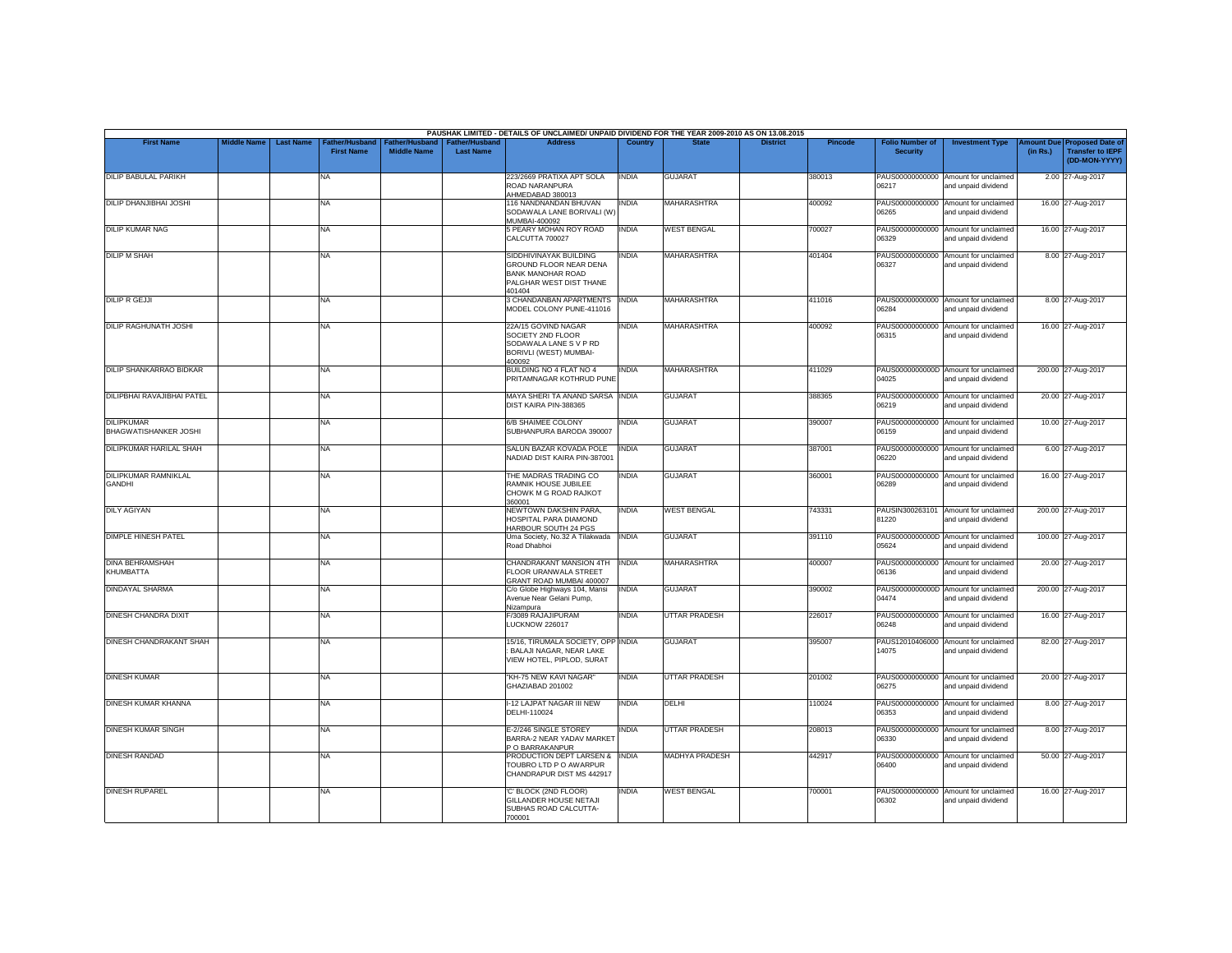|                                              |                    |                  |                                            |                                             |                                           | PAUSHAK LIMITED - DETAILS OF UNCLAIMED/ UNPAID DIVIDEND FOR THE YEAR 2009-2010 AS ON 13.08.2015                   |                |                       |                 |         |                                           |                                                             |          |                                                                         |
|----------------------------------------------|--------------------|------------------|--------------------------------------------|---------------------------------------------|-------------------------------------------|-------------------------------------------------------------------------------------------------------------------|----------------|-----------------------|-----------------|---------|-------------------------------------------|-------------------------------------------------------------|----------|-------------------------------------------------------------------------|
| <b>First Name</b>                            | <b>Middle Name</b> | <b>Last Name</b> | <b>Father/Husband</b><br><b>First Name</b> | <b>Father/Husband</b><br><b>Middle Name</b> | <b>Father/Husband</b><br><b>Last Name</b> | <b>Address</b>                                                                                                    | <b>Country</b> | <b>State</b>          | <b>District</b> | Pincode | <b>Folio Number of</b><br><b>Security</b> | <b>Investment Type</b>                                      | (in Rs.) | Amount Due Proposed Date of<br><b>Transfer to IEPF</b><br>(DD-MON-YYYY) |
| DILIP BABULAL PARIKH                         |                    |                  | <b>NA</b>                                  |                                             |                                           | 223/2669 PRATIXA APT SOLA<br>ROAD NARANPURA<br>AHMEDABAD 380013                                                   | <b>INDIA</b>   | <b>GUJARAT</b>        |                 | 380013  | 06217                                     | PAUS00000000000 Amount for unclaimed<br>and unpaid dividend |          | 2.00 27-Aug-2017                                                        |
| <b>DILIP DHANJIBHAI JOSHI</b>                |                    |                  | <b>NA</b>                                  |                                             |                                           | 116 NANDNANDAN BHUVAN<br>SODAWALA LANE BORIVALI (W<br>MUMBAI-400092                                               | <b>INDIA</b>   | <b>MAHARASHTRA</b>    |                 | 400092  | 06265                                     | PAUS00000000000 Amount for unclaimed<br>and unpaid dividend |          | 16.00 27-Aug-2017                                                       |
| <b>DILIP KUMAR NAG</b>                       |                    |                  | <b>NA</b>                                  |                                             |                                           | 5 PEARY MOHAN ROY ROAD<br>CALCUTTA 700027                                                                         | <b>INDIA</b>   | <b>WEST BENGAL</b>    |                 | 700027  | 06329                                     | PAUS00000000000 Amount for unclaimed<br>and unpaid dividend |          | 16.00 27-Aug-2017                                                       |
| <b>DILIP M SHAH</b>                          |                    |                  | <b>NA</b>                                  |                                             |                                           | SIDDHIVINAYAK BUILDING<br>GROUND FLOOR NEAR DENA<br><b>BANK MANOHAR ROAD</b><br>PALGHAR WEST DIST THANE<br>401404 | <b>INDIA</b>   | <b>MAHARASHTRA</b>    |                 | 401404  | 06327                                     | PAUS00000000000 Amount for unclaimed<br>and unpaid dividend |          | 8.00 27-Aug-2017                                                        |
| <b>DILIP R GEJJI</b>                         |                    |                  | <b>NA</b>                                  |                                             |                                           | 3 CHANDANBAN APARTMENTS<br>MODEL COLONY PUNE-411016                                                               | <b>INDIA</b>   | <b>MAHARASHTRA</b>    |                 | 411016  | PAUS00000000000<br>06284                  | Amount for unclaimed<br>and unpaid dividend                 |          | 8.00 27-Aug-2017                                                        |
| <b>DILIP RAGHUNATH JOSHI</b>                 |                    |                  | <b>NA</b>                                  |                                             |                                           | 22A/15 GOVIND NAGAR<br>SOCIETY 2ND FLOOR<br>SODAWALA LANE S V P RD<br>BORIVLI (WEST) MUMBAI-<br>400092            | INDIA          | <b>MAHARASHTRA</b>    |                 | 400092  | 06315                                     | PAUS00000000000 Amount for unclaimed<br>and unpaid dividend |          | 16.00 27-Aug-2017                                                       |
| <b>DILIP SHANKARRAO BIDKAR</b>               |                    |                  | <b>NA</b>                                  |                                             |                                           | BUILDING NO 4 FLAT NO 4<br>PRITAMNAGAR KOTHRUD PUNE                                                               | <b>INDIA</b>   | <b>MAHARASHTRA</b>    |                 | 411029  | 04025                                     | PAUS0000000000D Amount for unclaimed<br>and unpaid dividend |          | 200.00 27-Aug-2017                                                      |
| DILIPBHAI RAVAJIBHAI PATEL                   |                    |                  | <b>NA</b>                                  |                                             |                                           | MAYA SHERI TA ANAND SARSA INDIA<br>DIST KAIRA PIN-388365                                                          |                | <b>GUJARAT</b>        |                 | 388365  | 06219                                     | PAUS00000000000 Amount for unclaimed<br>and unpaid dividend |          | 20.00 27-Aug-2017                                                       |
| <b>DILIPKUMAR</b><br>BHAGWATISHANKER JOSHI   |                    |                  | <b>NA</b>                                  |                                             |                                           | 6/B SHAIMEE COLONY<br>SUBHANPURA BARODA 390007                                                                    | INDIA          | <b>GUJARAT</b>        |                 | 390007  | PAUS00000000000<br>06159                  | Amount for unclaimed<br>and unpaid dividend                 |          | 10.00 27-Aug-2017                                                       |
| DILIPKUMAR HARILAL SHAH                      |                    |                  | <b>NA</b>                                  |                                             |                                           | SALUN BAZAR KOVADA POLE<br>NADIAD DIST KAIRA PIN-38700                                                            | <b>INDIA</b>   | <b>GUJARAT</b>        |                 | 387001  | PAUS00000000000<br>06220                  | Amount for unclaimed<br>and unpaid dividend                 |          | 6.00 27-Aug-2017                                                        |
| <b>DILIPKUMAR RAMNIKLAL</b><br><b>GANDHI</b> |                    |                  | <b>NA</b>                                  |                                             |                                           | THE MADRAS TRADING CO<br>RAMNIK HOUSE JUBILEE<br>CHOWK M G ROAD RAJKOT<br>360001                                  | <b>INDIA</b>   | <b>GUJARAT</b>        |                 | 360001  | 06289                                     | PAUS00000000000 Amount for unclaimed<br>and unpaid dividend |          | 16.00 27-Aug-2017                                                       |
| <b>DILY AGIYAN</b>                           |                    |                  | <b>NA</b>                                  |                                             |                                           | NEWTOWN DAKSHIN PARA.<br>HOSPITAL PARA DIAMOND<br>HARBOUR SOUTH 24 PGS                                            | INDIA          | <b>WEST BENGAL</b>    |                 | 743331  | 81220                                     | PAUSIN300263101 Amount for unclaimed<br>and unpaid dividend |          | 200.00 27-Aug-2017                                                      |
| <b>DIMPLE HINESH PATEL</b>                   |                    |                  | <b>NA</b>                                  |                                             |                                           | Uma Society, No.32 A Tilakwada<br>Road Dhabhoi                                                                    | <b>INDIA</b>   | <b>GUJARAT</b>        |                 | 391110  | 05624                                     | PAUS0000000000D Amount for unclaimed<br>and unpaid dividend |          | 100.00 27-Aug-2017                                                      |
| <b>DINA BEHRAMSHAH</b><br>KHUMBATTA          |                    |                  | <b>NA</b>                                  |                                             |                                           | CHANDRAKANT MANSION 4TH<br>FLOOR URANWALA STREET<br>GRANT ROAD MUMBAI 400007                                      | <b>INDIA</b>   | MAHARASHTRA           |                 | 400007  | 06136                                     | PAUS00000000000 Amount for unclaimed<br>and unpaid dividend |          | 20.00 27-Aug-2017                                                       |
| <b>DINDAYAL SHARMA</b>                       |                    |                  | <b>NA</b>                                  |                                             |                                           | C/o Globe Highways 104, Mansi<br>Avenue Near Gelani Pump,<br>Nizampura                                            | <b>INDIA</b>   | <b>GUJARAT</b>        |                 | 390002  | 04474                                     | PAUS0000000000D Amount for unclaimed<br>and unpaid dividend |          | 200.00 27-Aug-2017                                                      |
| <b>DINESH CHANDRA DIXIT</b>                  |                    |                  | <b>NA</b>                                  |                                             |                                           | F/3089 RAJAJIPURAM<br><b>LUCKNOW 226017</b>                                                                       | <b>INDIA</b>   | <b>UTTAR PRADESH</b>  |                 | 226017  | PAUS00000000000<br>06248                  | Amount for unclaimed<br>and unpaid dividend                 |          | 16.00 27-Aug-2017                                                       |
| DINESH CHANDRAKANT SHAH                      |                    |                  | <b>NA</b>                                  |                                             |                                           | 15/16, TIRUMALA SOCIETY, OPP INDIA<br>BALAJI NAGAR, NEAR LAKE<br>VIEW HOTEL, PIPLOD, SURAT                        |                | <b>GUJARAT</b>        |                 | 395007  | 14075                                     | PAUS12010406000 Amount for unclaimed<br>and unpaid dividend |          | 82.00 27-Aug-2017                                                       |
| <b>DINESH KUMAR</b>                          |                    |                  | <b>NA</b>                                  |                                             |                                           | "KH-75 NEW KAVI NAGAR"<br>GHAZIABAD 201002                                                                        | INDIA          | <b>UTTAR PRADESH</b>  |                 | 201002  | 06275                                     | PAUS00000000000 Amount for unclaimed<br>and unpaid dividend |          | 20.00 27-Aug-2017                                                       |
| <b>DINESH KUMAR KHANNA</b>                   |                    |                  | <b>NA</b>                                  |                                             |                                           | I-12 LAJPAT NAGAR III NEW<br>DELHI-110024                                                                         | <b>INDIA</b>   | DELHI                 |                 | 110024  | 06353                                     | PAUS00000000000 Amount for unclaimed<br>and unpaid dividend |          | 8.00 27-Aug-2017                                                        |
| <b>DINESH KUMAR SINGH</b>                    |                    |                  | <b>NA</b>                                  |                                             |                                           | E-2/246 SINGLE STOREY<br>BARRA-2 NEAR YADAV MARKET<br>P O BARRAKANPUR                                             | INDIA          | <b>UTTAR PRADESH</b>  |                 | 208013  | 06330                                     | PAUS00000000000 Amount for unclaimed<br>and unpaid dividend |          | 8.00 27-Aug-2017                                                        |
| <b>DINESH RANDAD</b>                         |                    |                  | <b>NA</b>                                  |                                             |                                           | PRODUCTION DEPT LARSEN &<br>TOUBRO LTD P O AWARPUR<br>CHANDRAPUR DIST MS 442917                                   | <b>INDIA</b>   | <b>MADHYA PRADESH</b> |                 | 442917  | 06400                                     | PAUS00000000000 Amount for unclaimed<br>and unpaid dividend |          | 50.00 27-Aug-2017                                                       |
| <b>DINESH RUPAREL</b>                        |                    |                  | <b>NA</b>                                  |                                             |                                           | 'C' BLOCK (2ND FLOOR)<br>GILLANDER HOUSE NETAJI<br>SUBHAS ROAD CALCUTTA-<br>700001                                | INDIA          | <b>WEST BENGAL</b>    |                 | 700001  | PAUS00000000000<br>06302                  | Amount for unclaimed<br>and unpaid dividend                 |          | 16.00 27-Aug-2017                                                       |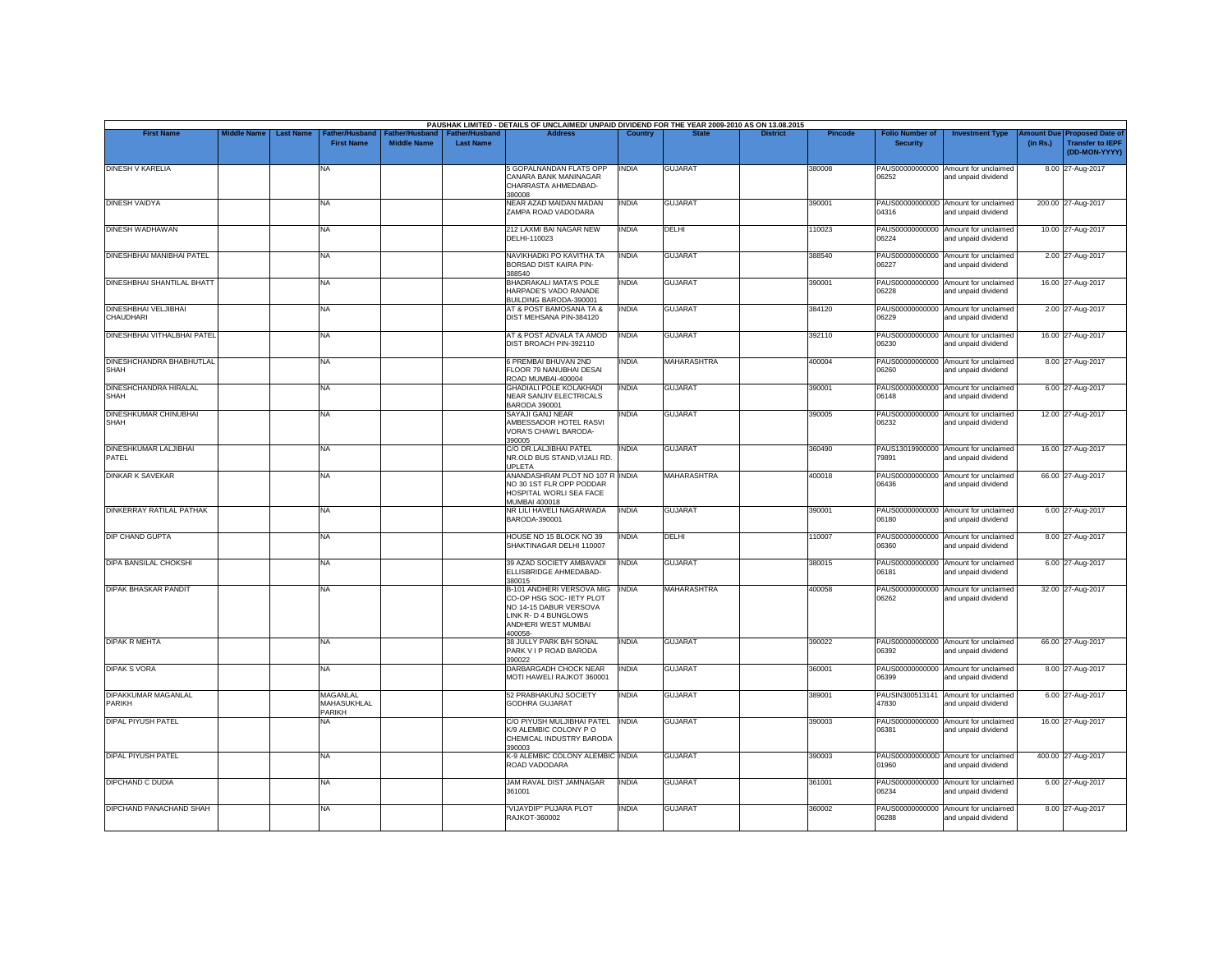|                                             | <b>Middle Name</b> |                  | Father/Husband                           |                                                  | <b>Father/Hushand</b> | PAUSHAK LIMITED - DETAILS OF UNCLAIMED/ UNPAID DIVIDEND FOR THE YEAR 2009-2010 AS ON 13.08.2015<br><b>Address</b>                         |              |                    | <b>District</b> |         |                                           |                                                             |                       |                                                                     |
|---------------------------------------------|--------------------|------------------|------------------------------------------|--------------------------------------------------|-----------------------|-------------------------------------------------------------------------------------------------------------------------------------------|--------------|--------------------|-----------------|---------|-------------------------------------------|-------------------------------------------------------------|-----------------------|---------------------------------------------------------------------|
| <b>First Name</b>                           |                    | <b>Last Name</b> | <b>First Name</b>                        | ather/Husband <sup>:</sup><br><b>Middle Name</b> | <b>Last Name</b>      |                                                                                                                                           | Country      |                    |                 | Pincode | <b>Folio Number of</b><br><b>Security</b> | <b>Investment Type</b>                                      | mount Due<br>(in Rs.) | <b>Proposed Date of</b><br><b>Transfer to IEPF</b><br>(DD-MON-YYYY) |
| <b>DINESH V KARELIA</b>                     |                    |                  | <b>NA</b>                                |                                                  |                       | <b>5 GOPALNANDAN FLATS OPP</b><br>CANARA BANK MANINAGAR<br>CHARRASTA AHMEDABAD-<br>380008                                                 | <b>INDIA</b> | <b>GUJARAT</b>     |                 | 380008  | PAUS00000000000<br>06252                  | Amount for unclaimed<br>and unpaid dividend                 |                       | 8.00 27-Aug-2017                                                    |
| <b>DINESH VAIDYA</b>                        |                    |                  | NA                                       |                                                  |                       | <b>NEAR AZAD MAIDAN MADAN</b><br>ZAMPA ROAD VADODARA                                                                                      | <b>INDIA</b> | <b>GUJARAT</b>     |                 | 390001  | 04316                                     | PAUS0000000000D Amount for unclaimed<br>and unpaid dividend |                       | 200.00 27-Aug-2017                                                  |
| <b>DINESH WADHAWAN</b>                      |                    |                  | <b>NA</b>                                |                                                  |                       | 212 LAXMI BAI NAGAR NEW<br>DELHI-110023                                                                                                   | <b>INDIA</b> | <b>DELHI</b>       |                 | 110023  | 06224                                     | PAUS00000000000 Amount for unclaimed<br>and unpaid dividend |                       | 10.00 27-Aug-2017                                                   |
| DINESHBHAI MANIBHAI PATEL                   |                    |                  | NA.                                      |                                                  |                       | NAVIKHADKI PO KAVITHA TA<br>BORSAD DIST KAIRA PIN-<br>388540                                                                              | <b>INDIA</b> | <b>GUJARAT</b>     |                 | 388540  | PAUS00000000000<br>06227                  | Amount for unclaimed<br>and unpaid dividend                 |                       | 2.00 27-Aug-2017                                                    |
| DINESHBHAI SHANTILAL BHATT                  |                    |                  | <b>NA</b>                                |                                                  |                       | <b>BHADRAKALI MATA'S POLE</b><br>HARPADE'S VADO RANADE<br>BUILDING BARODA-390001                                                          | <b>INDIA</b> | <b>GUJARAT</b>     |                 | 390001  | PAUS00000000000<br>06228                  | Amount for unclaimed<br>and unpaid dividend                 |                       | 16.00 27-Aug-2017                                                   |
| <b>DINESHBHAI VELJIBHAI</b><br>CHAUDHARI    |                    |                  | NA                                       |                                                  |                       | AT & POST BAMOSANA TA &<br>DIST MEHSANA PIN-384120                                                                                        | INDIA        | <b>GUJARAT</b>     |                 | 384120  | PAUS00000000000<br>06229                  | Amount for unclaimed<br>and unpaid dividend                 |                       | 2.00 27-Aug-2017                                                    |
| DINESHBHAI VITHALBHAI PATEL                 |                    |                  | NA                                       |                                                  |                       | AT & POST ADVALA TA AMOD<br>DIST BROACH PIN-392110                                                                                        | <b>INDIA</b> | <b>GUJARAT</b>     |                 | 392110  | 06230                                     | PAUS00000000000 Amount for unclaimed<br>and unpaid dividend |                       | 16.00 27-Aug-2017                                                   |
| DINESHCHANDRA BHABHUTLAL<br><b>SHAH</b>     |                    |                  | NA                                       |                                                  |                       | 6 PREMBAI BHUVAN 2ND<br>FLOOR 79 NANUBHAI DESAI<br>ROAD MUMBAI-400004                                                                     | INDIA        | <b>MAHARASHTRA</b> |                 | 400004  | PAUS00000000000<br>06260                  | Amount for unclaimed<br>and unpaid dividend                 |                       | 8.00 27-Aug-2017                                                    |
| <b>DINESHCHANDRA HIRALAL</b><br><b>SHAH</b> |                    |                  | NA                                       |                                                  |                       | <b>GHADIALI POLE KOLAKHADI</b><br><b>NEAR SANJIV ELECTRICALS</b><br>BARODA 390001                                                         | <b>INDIA</b> | <b>GUJARAT</b>     |                 | 390001  | PAUS00000000000<br>06148                  | Amount for unclaimed<br>and unpaid dividend                 |                       | 6.00 27-Aug-2017                                                    |
| <b>DINESHKUMAR CHINUBHAI</b><br><b>SHAH</b> |                    |                  | NA                                       |                                                  |                       | SAYAJI GANJ NEAR<br>AMBESSADOR HOTEL RASVI<br>VORA'S CHAWL BARODA-<br>390005                                                              | INDIA        | <b>GUJARAT</b>     |                 | 390005  | PAUS00000000000<br>06232                  | Amount for unclaimed<br>and unpaid dividend                 |                       | 12.00 27-Aug-2017                                                   |
| DINESHKUMAR LALJIBHAI<br><b>PATEL</b>       |                    |                  | NA                                       |                                                  |                       | C/O DR.LALJIBHAI PATEL<br>NR.OLD BUS STAND, VIJALI RD.<br>UPLETA                                                                          | <b>INDIA</b> | <b>GUJARAT</b>     |                 | 360490  | 79891                                     | PAUS13019900000 Amount for unclaimed<br>and unnaid dividend |                       | 16.00 27-Aug-2017                                                   |
| <b>DINKAR K SAVEKAR</b>                     |                    |                  | NA                                       |                                                  |                       | ANANDASHRAM PLOT NO 107 R INDIA<br>NO 30 1ST FLR OPP PODDAR<br>HOSPITAL WORLI SEA FACE<br><b>MUMBAI 400018</b>                            |              | MAHARASHTRA        |                 | 400018  | 06436                                     | PAUS00000000000 Amount for unclaimed<br>and unpaid dividend |                       | 66.00 27-Aug-2017                                                   |
| <b>DINKERRAY RATILAL PATHAK</b>             |                    |                  | NA                                       |                                                  |                       | NR LILI HAVELI NAGARWADA<br>BARODA-390001                                                                                                 | <b>INDIA</b> | <b>GUJARAT</b>     |                 | 390001  | PAUS00000000000<br>06180                  | Amount for unclaimed<br>and unpaid dividend                 |                       | 6.00 27-Aug-2017                                                    |
| <b>DIP CHAND GUPTA</b>                      |                    |                  | NA                                       |                                                  |                       | HOUSE NO 15 BLOCK NO 39<br>SHAKTINAGAR DELHI 110007                                                                                       | <b>INDIA</b> | <b>DELHI</b>       |                 | 110007  | 06360                                     | PAUS00000000000 Amount for unclaimed<br>and unpaid dividend |                       | 8.00 27-Aug-2017                                                    |
| <b>DIPA BANSILAL CHOKSHI</b>                |                    |                  | NA                                       |                                                  |                       | 39 AZAD SOCIETY AMBAVADI<br>ELLISBRIDGE AHMEDABAD-<br>380015                                                                              | INDIA        | <b>GUJARAT</b>     |                 | 380015  | PAUS00000000000<br>06181                  | Amount for unclaimed<br>and unpaid dividend                 |                       | 6.00 27-Aug-2017                                                    |
| <b>DIPAK BHASKAR PANDIT</b>                 |                    |                  | NA                                       |                                                  |                       | B-101 ANDHERI VERSOVA MIG<br>CO-OP HSG SOC- IETY PLOT<br>NO 14-15 DABUR VERSOVA<br>LINK R- D 4 BUNGLOWS<br>ANDHERI WEST MUMBAI<br>400058- | <b>INDIA</b> | <b>MAHARASHTRA</b> |                 | 400058  | PAUS00000000000<br>06262                  | Amount for unclaimed<br>and unpaid dividend                 |                       | 32.00 27-Aug-2017                                                   |
| <b>DIPAK R MEHTA</b>                        |                    |                  | NA                                       |                                                  |                       | 38 JULLY PARK B/H SONAL<br>PARK V I P ROAD BARODA<br>390022                                                                               | <b>INDIA</b> | <b>GUJARAT</b>     |                 | 390022  | 06392                                     | PAUS00000000000 Amount for unclaimed<br>and unpaid dividend |                       | 66.00 27-Aug-2017                                                   |
| <b>DIPAK S VORA</b>                         |                    |                  | NA                                       |                                                  |                       | DARBARGADH CHOCK NEAR<br>MOTI HAWELI RAJKOT 360001                                                                                        | <b>INDIA</b> | <b>GUJARAT</b>     |                 | 360001  | 16399                                     | PAUS00000000000 Amount for unclaimed<br>and unpaid dividend |                       | 8.00 27-Aug-2017                                                    |
| DIPAKKUMAR MAGANLAL<br><b>PARIKH</b>        |                    |                  | <b>MAGANLAL</b><br>MAHASUKHLAL<br>PARIKH |                                                  |                       | 52 PRABHAKUNJ SOCIETY<br>GODHRA GUJARAT                                                                                                   | <b>INDIA</b> | <b>GUJARAT</b>     |                 | 389001  | PAUSIN300513141<br>47830                  | Amount for unclaimed<br>and unpaid dividend                 |                       | 6.00 27-Aug-2017                                                    |
| DIPAL PIYUSH PATEL                          |                    |                  | <b>NA</b>                                |                                                  |                       | C/O PIYUSH MULJIBHAI PATEL  INDIA<br>K/9 ALEMBIC COLONY PO<br>CHEMICAL INDUSTRY BARODA<br>390003                                          |              | <b>GUJARAT</b>     |                 | 390003  | 06381                                     | PAUS00000000000 Amount for unclaimed<br>and unpaid dividend |                       | 16.00 27-Aug-2017                                                   |
| DIPAL PIYUSH PATEL                          |                    |                  | NA                                       |                                                  |                       | K-9 ALEMBIC COLONY ALEMBIC INDIA<br>ROAD VADODARA                                                                                         |              | <b>GUJARAT</b>     |                 | 390003  | 01960                                     | PAUS0000000000D Amount for unclaimed<br>and unpaid dividend |                       | 400.00 27-Aug-2017                                                  |
| <b>DIPCHAND C DUDIA</b>                     |                    |                  | <b>NA</b>                                |                                                  |                       | JAM RAVAL DIST JAMNAGAR<br>361001                                                                                                         | <b>INDIA</b> | <b>GUJARAT</b>     |                 | 361001  | PAUS00000000000<br>06234                  | Amount for unclaimed<br>and unpaid dividend                 |                       | 6.00 27-Aug-2017                                                    |
| DIPCHAND PANACHAND SHAH                     |                    |                  | NA                                       |                                                  |                       | "VIJAYDIP" PUJARA PLOT<br><b>RAJKOT-360002</b>                                                                                            | <b>INDIA</b> | <b>GUJARAT</b>     |                 | 360002  | PAUS00000000000<br>06288                  | Amount for unclaimed<br>and unpaid dividend                 |                       | 8.00 27-Aug-2017                                                    |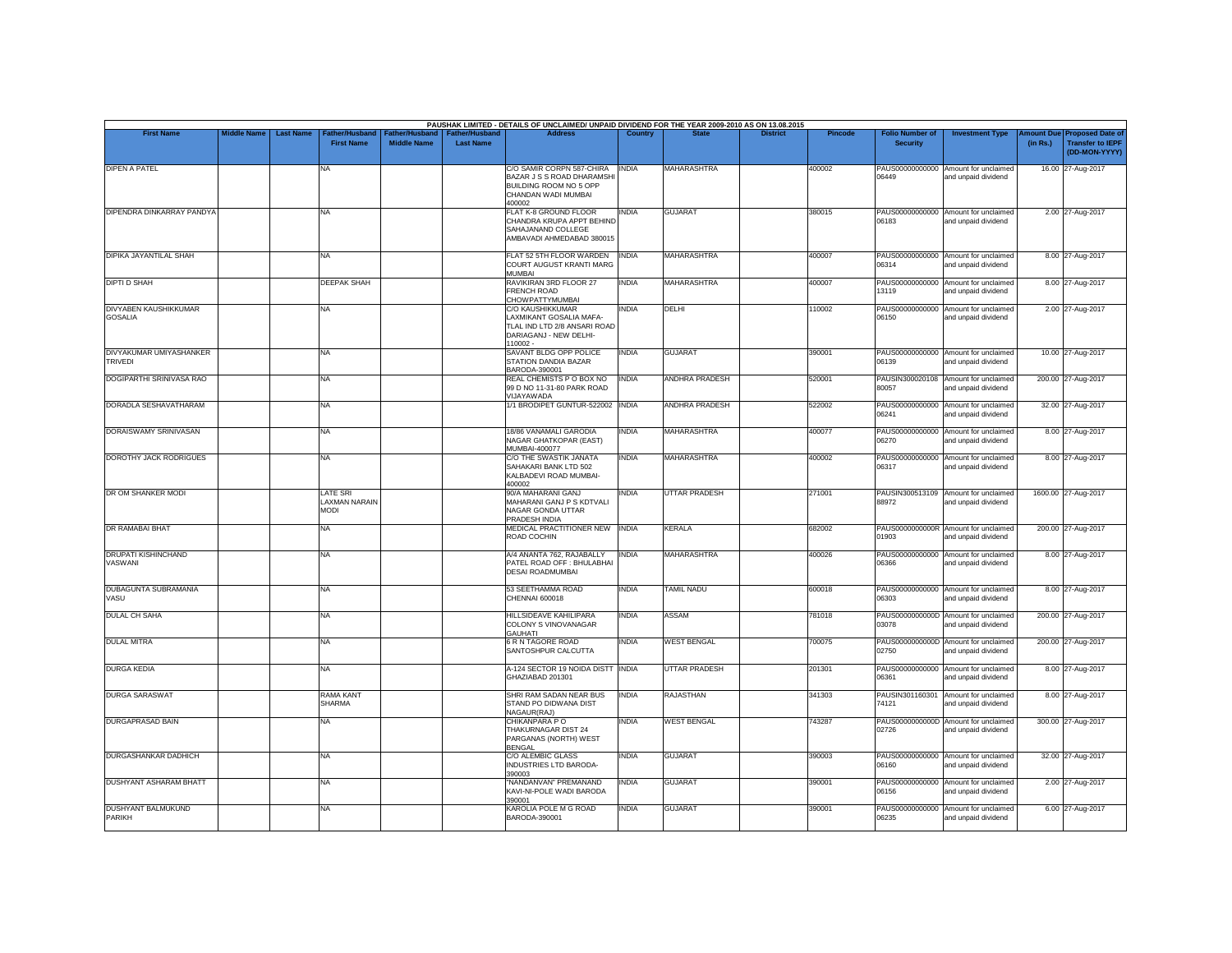|                                                | <b>Middle Name</b> | <b>Last Name</b> |                                                 |                                      |                                    | PAUSHAK LIMITED - DETAILS OF UNCLAIMED/ UNPAID DIVIDEND FOR THE YEAR 2009-2010 AS ON 13.08.2015<br><b>Address</b>        | Country      |                       | <b>District</b> |                |                                           |                                                             |                               |                                                                     |
|------------------------------------------------|--------------------|------------------|-------------------------------------------------|--------------------------------------|------------------------------------|--------------------------------------------------------------------------------------------------------------------------|--------------|-----------------------|-----------------|----------------|-------------------------------------------|-------------------------------------------------------------|-------------------------------|---------------------------------------------------------------------|
| <b>First Name</b>                              |                    |                  | Father/Husband<br><b>First Name</b>             | Father/Husband<br><b>Middle Name</b> | Father/Husband<br><b>Last Name</b> |                                                                                                                          |              |                       |                 | <b>Pincode</b> | <b>Folio Number of</b><br><b>Security</b> | <b>Investment Type</b>                                      | <b>Imount Due</b><br>(in Rs.) | <b>Proposed Date of</b><br><b>Transfer to IEPF</b><br>(DD-MON-YYYY) |
| <b>DIPEN A PATEL</b>                           |                    |                  | NA                                              |                                      |                                    | C/O SAMIR CORPN 587-CHIRA<br>BAZAR J S S ROAD DHARAMSHI<br>BUILDING ROOM NO 5 OPP<br>CHANDAN WADI MUMBAI<br>400002       | <b>INDIA</b> | MAHARASHTRA           |                 | 400002         | 06449                                     | PAUS00000000000 Amount for unclaimed<br>and unpaid dividend |                               | 16.00 27-Aug-2017                                                   |
| DIPENDRA DINKARRAY PANDYA                      |                    |                  | <b>NA</b>                                       |                                      |                                    | FLAT K-8 GROUND FLOOR<br>CHANDRA KRUPA APPT BEHIND<br>SAHAJANAND COLLEGE<br>AMBAVADI AHMEDABAD 380015                    | <b>INDIA</b> | <b>GUJARAT</b>        |                 | 380015         | 06183                                     | PAUS00000000000 Amount for unclaimed<br>and unpaid dividend |                               | 2.00 27-Aug-2017                                                    |
| DIPIKA JAYANTILAL SHAH                         |                    |                  | NA                                              |                                      |                                    | FLAT 52 5TH FLOOR WARDEN<br><b>COURT AUGUST KRANTI MARG</b><br><b>MUMBAI</b>                                             | <b>INDIA</b> | <b>MAHARASHTRA</b>    |                 | 400007         | 06314                                     | PAUS00000000000 Amount for unclaimed<br>and unpaid dividend |                               | 8.00 27-Aug-2017                                                    |
| <b>DIPTI D SHAH</b>                            |                    |                  | DEEPAK SHAH                                     |                                      |                                    | RAVIKIRAN 3RD FLOOR 27<br><b>FRENCH ROAD</b><br>CHOWPATTYMUMBAI                                                          | <b>INDIA</b> | <b>MAHARASHTRA</b>    |                 | 400007         | 13119                                     | PAUS00000000000 Amount for unclaimed<br>and unpaid dividend |                               | 8.00 27-Aug-2017                                                    |
| <b>DIVYABEN KAUSHIKKUMAR</b><br><b>GOSALIA</b> |                    |                  | NA                                              |                                      |                                    | <b>C/O KAUSHIKKUMAR</b><br>LAXMIKANT GOSALIA MAFA-<br>TLAL IND LTD 2/8 ANSARI ROAD<br>DARIAGANJ - NEW DELHI-<br>110002 - | <b>INDIA</b> | DELHI                 |                 | 110002         | 06150                                     | PAUS00000000000 Amount for unclaimed<br>and unpaid dividend |                               | 2.00 27-Aug-2017                                                    |
| DIVYAKUMAR UMIYASHANKER<br>TRIVEDI             |                    |                  | NA                                              |                                      |                                    | SAVANT BLDG OPP POLICE<br>STATION DANDIA BAZAR<br>BARODA-390001                                                          | <b>INDIA</b> | <b>GUJARAT</b>        |                 | 390001         | 06139                                     | PAUS00000000000 Amount for unclaimed<br>and unpaid dividend |                               | 10.00 27-Aug-2017                                                   |
| DOGIPARTHI SRINIVASA RAO                       |                    |                  | NA                                              |                                      |                                    | REAL CHEMISTS P O BOX NO<br>99 D NO 11-31-80 PARK ROAD<br>VIJAYAWADA                                                     | <b>INDIA</b> | <b>ANDHRA PRADESH</b> |                 | 520001         | 80057                                     | PAUSIN300020108 Amount for unclaimed<br>and unpaid dividend |                               | 200.00 27-Aug-2017                                                  |
| DORADLA SESHAVATHARAM                          |                    |                  | NA                                              |                                      |                                    | 1/1 BRODIPET GUNTUR-522002 INDIA                                                                                         |              | <b>ANDHRA PRADESH</b> |                 | 522002         | 06241                                     | PAUS00000000000 Amount for unclaimed<br>and unpaid dividend |                               | 32.00 27-Aug-2017                                                   |
| DORAISWAMY SRINIVASAN                          |                    |                  | NA                                              |                                      |                                    | 18/86 VANAMALI GARODIA<br>NAGAR GHATKOPAR (EAST)<br>MUMBAI-400077                                                        | <b>INDIA</b> | MAHARASHTRA           |                 | 400077         | 06270                                     | PAUS00000000000 Amount for unclaimed<br>and unpaid dividend |                               | 8.00 27-Aug-2017                                                    |
| <b>DOROTHY JACK RODRIGUES</b>                  |                    |                  | NA                                              |                                      |                                    | C/O THE SWASTIK JANATA<br>SAHAKARI BANK LTD 502<br>KALBADEVI ROAD MUMBAI-<br>400002                                      | <b>INDIA</b> | MAHARASHTRA           |                 | 400002         | 06317                                     | PAUS00000000000 Amount for unclaimed<br>and unpaid dividend |                               | 8.00 27-Aug-2017                                                    |
| DR OM SHANKER MODI                             |                    |                  | LATE SRI<br><b>LAXMAN NARAIN</b><br><b>NODI</b> |                                      |                                    | 90/A MAHARANI GANJ<br>MAHARANI GANJ P S KDTVALI<br>NAGAR GONDA UTTAR<br>PRADESH INDIA                                    | <b>INDIA</b> | UTTAR PRADESH         |                 | 271001         | PAUSIN300513109<br>88972                  | Amount for unclaimed<br>and unpaid dividend                 |                               | 1600.00 27-Aug-2017                                                 |
| DR RAMABAI BHAT                                |                    |                  | NA                                              |                                      |                                    | MEDICAL PRACTITIONER NEW INDIA<br>ROAD COCHIN                                                                            |              | <b>KERALA</b>         |                 | 682002         | 01903                                     | PAUS0000000000R Amount for unclaimed<br>and unpaid dividend |                               | 200.00 27-Aug-2017                                                  |
| <b>DRUPATI KISHINCHAND</b><br>VASWANI          |                    |                  | NA                                              |                                      |                                    | A/4 ANANTA 762, RAJABALLY<br>PATEL ROAD OFF: BHULABHAI<br><b>DESAI ROADMUMBAI</b>                                        | <b>INDIA</b> | MAHARASHTRA           |                 | 400026         | 06366                                     | PAUS00000000000 Amount for unclaimed<br>and unpaid dividend |                               | 8.00 27-Aug-2017                                                    |
| DUBAGUNTA SUBRAMANIA<br>VASU                   |                    |                  | NA                                              |                                      |                                    | 53 SEETHAMMA ROAD<br>CHENNAI 600018                                                                                      | <b>INDIA</b> | <b>TAMIL NADU</b>     |                 | 600018         | 06303                                     | PAUS00000000000 Amount for unclaimed<br>and unpaid dividend |                               | 8.00 27-Aug-2017                                                    |
| <b>DULAL CH SAHA</b>                           |                    |                  | NA                                              |                                      |                                    | HILLSIDEAVE KAHILIPARA<br><b>COLONY S VINOVANAGAR</b><br><b>GAUHATI</b>                                                  | <b>INDIA</b> | ASSAM                 |                 | 781018         | 03078                                     | PAUS0000000000D Amount for unclaimed<br>and unpaid dividend |                               | 200.00 27-Aug-2017                                                  |
| <b>DULAL MITRA</b>                             |                    |                  | NA                                              |                                      |                                    | 6 R N TAGORE ROAD<br>SANTOSHPUR CALCUTTA                                                                                 | <b>INDIA</b> | <b>WEST BENGAL</b>    |                 | 700075         | 02750                                     | PAUS0000000000D Amount for unclaimed<br>and unpaid dividend |                               | 200.00 27-Aug-2017                                                  |
| <b>DURGA KEDIA</b>                             |                    |                  | NA.                                             |                                      |                                    | A-124 SECTOR 19 NOIDA DISTT INDIA<br>GHAZIABAD 201301                                                                    |              | <b>UTTAR PRADESH</b>  |                 | 201301         | 06361                                     | PAUS00000000000 Amount for unclaimed<br>and unpaid dividend |                               | 8.00 27-Aug-2017                                                    |
| <b>DURGA SARASWAT</b>                          |                    |                  | RAMA KANT<br><b>SHARMA</b>                      |                                      |                                    | SHRI RAM SADAN NEAR BUS<br>STAND PO DIDWANA DIST<br>NAGAUR(RAJ)                                                          | <b>INDIA</b> | RAJASTHAN             |                 | 341303         | PAUSIN301160301<br>74121                  | Amount for unclaimed<br>and unpaid dividend                 |                               | 8.00 27-Aug-2017                                                    |
| <b>DURGAPRASAD BAIN</b>                        |                    |                  | NA                                              |                                      |                                    | CHIKANPARA PO<br>THAKURNAGAR DIST 24<br>PARGANAS (NORTH) WEST<br><b>BENGAL</b>                                           | <b>INDIA</b> | <b>WEST BENGAL</b>    |                 | 743287         | 02726                                     | PAUS0000000000D Amount for unclaimed<br>and unpaid dividend |                               | 300.00 27-Aug-2017                                                  |
| DURGASHANKAR DADHICH                           |                    |                  | NA                                              |                                      |                                    | <b>C/O ALEMBIC GLASS</b><br>INDUSTRIES LTD BARODA-<br>390003                                                             | <b>INDIA</b> | <b>GUJARAT</b>        |                 | 390003         | 06160                                     | PAUS00000000000 Amount for unclaimed<br>and unpaid dividend |                               | 32.00 27-Aug-2017                                                   |
| <b>DUSHYANT ASHARAM BHATT</b>                  |                    |                  | NA                                              |                                      |                                    | "NANDANVAN" PREMANAND<br>KAVI-NI-POLE WADI BARODA<br>390001                                                              | <b>INDIA</b> | <b>GUJARAT</b>        |                 | 390001         | 06156                                     | PAUS00000000000 Amount for unclaimed<br>and unpaid dividend |                               | 2.00 27-Aug-2017                                                    |
| <b>DUSHYANT BALMUKUND</b><br>PARIKH            |                    |                  | NA                                              |                                      |                                    | KAROLIA POLE M G ROAD<br>BARODA-390001                                                                                   | <b>INDIA</b> | <b>GUJARAT</b>        |                 | 390001         | 06235                                     | PAUS00000000000 Amount for unclaimed<br>and unpaid dividend |                               | 6.00 27-Aug-2017                                                    |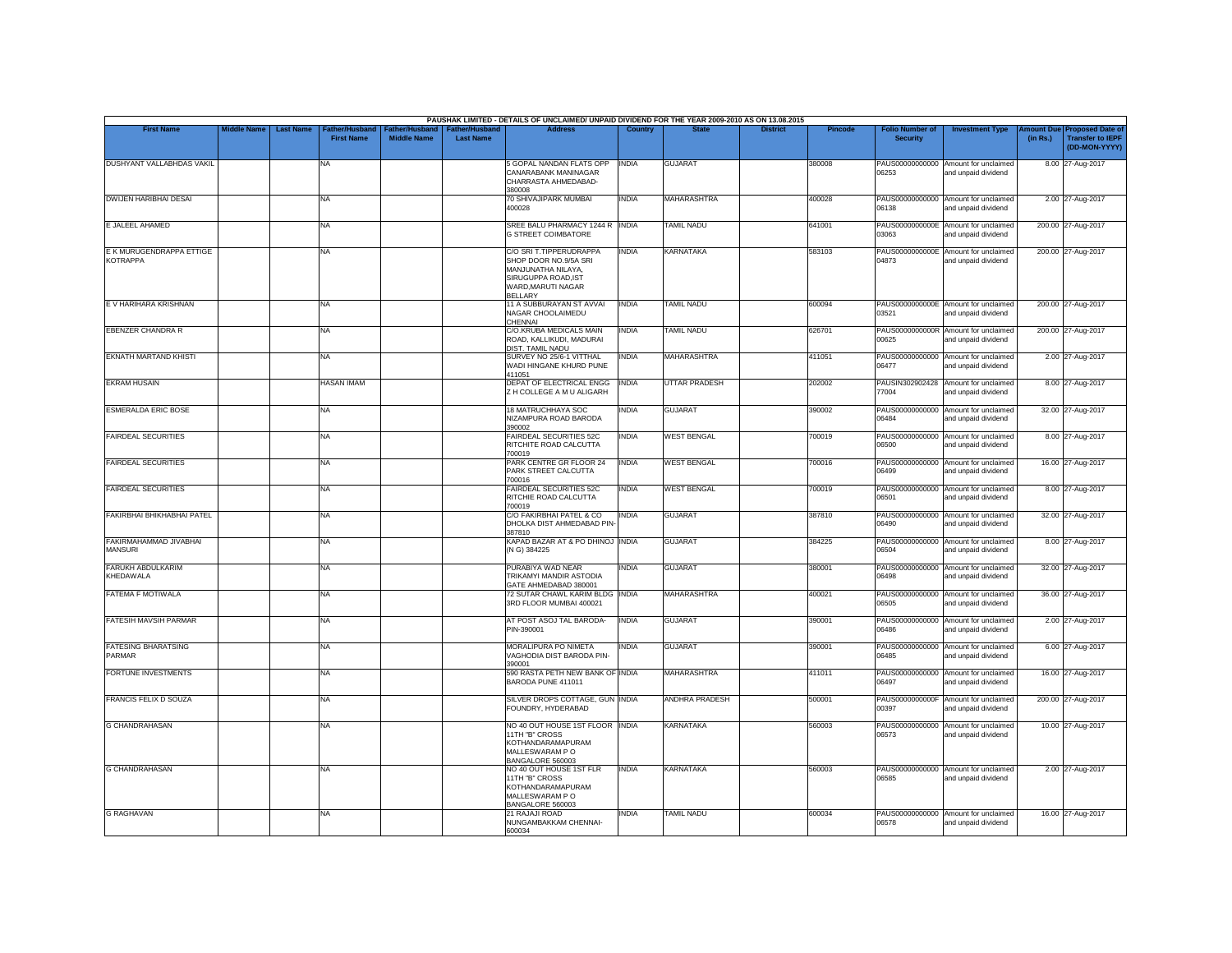|                                             |                    |                                                         |                                      |                                           | PAUSHAK LIMITED - DETAILS OF UNCLAIMED/ UNPAID DIVIDEND FOR THE YEAR 2009-2010 AS ON 13.08.2015                                      |                |                      |                 |                |                                           |                                                             |          |                                                                        |
|---------------------------------------------|--------------------|---------------------------------------------------------|--------------------------------------|-------------------------------------------|--------------------------------------------------------------------------------------------------------------------------------------|----------------|----------------------|-----------------|----------------|-------------------------------------------|-------------------------------------------------------------|----------|------------------------------------------------------------------------|
| <b>First Name</b>                           | <b>Middle Name</b> | <b>Last Name</b><br>Father/Husband<br><b>First Name</b> | Father/Husband<br><b>Middle Name</b> | <b>Father/Husband</b><br><b>Last Name</b> | <b>Address</b>                                                                                                                       | <b>Country</b> | <b>State</b>         | <b>District</b> | <b>Pincode</b> | <b>Folio Number of</b><br><b>Security</b> | <b>Investment Type</b>                                      | (in Rs.) | mount Due Proposed Date of<br><b>Transfer to IEPF</b><br>(DD-MON-YYYY) |
| DUSHYANT VALLABHDAS VAKIL                   |                    | NA                                                      |                                      |                                           | 5 GOPAL NANDAN FLATS OPP<br>CANARABANK MANINAGAR<br>CHARRASTA AHMEDABAD-<br>380008                                                   | <b>INDIA</b>   | <b>GUJARAT</b>       |                 | 380008         | 06253                                     | PAUS00000000000 Amount for unclaimed<br>and unpaid dividend |          | 8.00 27-Aug-2017                                                       |
| <b>DWIJEN HARIBHAI DESAI</b>                |                    | <b>NA</b>                                               |                                      |                                           | 70 SHIVAJIPARK MUMBAI<br>400028                                                                                                      | INDIA          | <b>MAHARASHTRA</b>   |                 | 400028         | 06138                                     | PAUS00000000000 Amount for unclaimed<br>and unpaid dividend |          | 2.00 27-Aug-2017                                                       |
| E JALEEL AHAMED                             |                    | <b>NA</b>                                               |                                      |                                           | SREE BALU PHARMACY 1244 R   INDIA<br><b>G STREET COIMBATORE</b>                                                                      |                | <b>TAMIL NADU</b>    |                 | 641001         | 03063                                     | PAUS0000000000E Amount for unclaimed<br>and unpaid dividend |          | 200.00 27-Aug-2017                                                     |
| E K MURUGENDRAPPA ETTIGE<br><b>KOTRAPPA</b> |                    | <b>NA</b>                                               |                                      |                                           | C/O SRI T.TIPPERUDRAPPA<br>SHOP DOOR NO.9/5A SRI<br>MANJUNATHA NILAYA,<br>SIRUGUPPA ROAD, IST<br>WARD.MARUTI NAGAR<br><b>BELLARY</b> | <b>INDIA</b>   | <b>KARNATAKA</b>     |                 | 583103         | 04873                                     | PAUS0000000000E Amount for unclaimed<br>and unpaid dividend |          | 200.00 27-Aug-2017                                                     |
| E V HARIHARA KRISHNAN                       |                    | <b>NA</b>                                               |                                      |                                           | 11 A SUBBURAYAN ST AVVAI<br>NAGAR CHOOLAIMEDU<br>CHENNAI                                                                             | <b>INDIA</b>   | <b>TAMIL NADU</b>    |                 | 600094         | 03521                                     | PAUS0000000000E Amount for unclaimed<br>and unpaid dividend |          | 200.00 27-Aug-2017                                                     |
| <b>EBENZER CHANDRA R</b>                    |                    | <b>NA</b>                                               |                                      |                                           | C/O.KRUBA MEDICALS MAIN<br>ROAD, KALLIKUDI, MADURAI                                                                                  | <b>INDIA</b>   | TAMIL NADU           |                 | 626701         | 00625                                     | PAUS0000000000R Amount for unclaimed<br>and unpaid dividend |          | 200.00 27-Aug-2017                                                     |
| EKNATH MARTAND KHISTI                       |                    | <b>NA</b>                                               |                                      |                                           | DIST. TAMIL NADU<br>SURVEY NO 25/6-1 VITTHAL<br>WADI HINGANE KHURD PUNE<br>111051                                                    | <b>INDIA</b>   | MAHARASHTRA          |                 | 411051         | 06477                                     | PAUS00000000000 Amount for unclaimed<br>and unpaid dividend |          | 2.00 27-Aug-2017                                                       |
| <b>EKRAM HUSAIN</b>                         |                    | <b>HASAN IMAM</b>                                       |                                      |                                           | DEPAT OF ELECTRICAL ENGG<br>Z H COLLEGE A M U ALIGARH                                                                                | <b>INDIA</b>   | <b>UTTAR PRADESH</b> |                 | 202002         | 77004                                     | PAUSIN302902428 Amount for unclaimed<br>and unpaid dividend |          | 8.00 27-Aug-2017                                                       |
| <b>ESMERALDA ERIC BOSE</b>                  |                    | <b>NA</b>                                               |                                      |                                           | 18 MATRUCHHAYA SOC<br>NIZAMPURA ROAD BARODA<br>390002                                                                                | INDIA          | <b>GUJARAT</b>       |                 | 390002         | PAUS00000000000<br>06484                  | Amount for unclaimed<br>and unpaid dividend                 |          | 32.00 27-Aug-2017                                                      |
| <b>FAIRDEAL SECURITIES</b>                  |                    | <b>NA</b>                                               |                                      |                                           | <b>FAIRDEAL SECURITIES 52C</b><br>RITCHITE ROAD CALCUTTA<br>700019                                                                   | <b>INDIA</b>   | <b>WEST BENGAL</b>   |                 | 700019         | 06500                                     | PAUS00000000000 Amount for unclaimed<br>and unpaid dividend |          | 8.00 27-Aug-2017                                                       |
| <b>FAIRDEAL SECURITIES</b>                  |                    | <b>NA</b>                                               |                                      |                                           | PARK CENTRE GR FLOOR 24<br>PARK STREET CALCUTTA<br>700016                                                                            | <b>INDIA</b>   | <b>WEST BENGAL</b>   |                 | 700016         | 06499                                     | PAUS00000000000 Amount for unclaimed<br>and unpaid dividend |          | 16.00 27-Aug-2017                                                      |
| <b>FAIRDEAL SECURITIES</b>                  |                    | <b>NA</b>                                               |                                      |                                           | <b>FAIRDEAL SECURITIES 52C</b><br>RITCHIE ROAD CALCUTTA<br>700019                                                                    | <b>INDIA</b>   | <b>WEST BENGAL</b>   |                 | 700019         | 06501                                     | PAUS00000000000 Amount for unclaimed<br>and unpaid dividend |          | 8.00 27-Aug-2017                                                       |
| FAKIRBHAI BHIKHABHAI PATEL                  |                    | <b>NA</b>                                               |                                      |                                           | C/O FAKIRBHAI PATEL & CO<br>DHOLKA DIST AHMEDABAD PIN<br>387810                                                                      | <b>INDIA</b>   | <b>GUJARAT</b>       |                 | 387810         | PAUS00000000000<br>06490                  | Amount for unclaimed<br>and unpaid dividend                 |          | 32.00 27-Aug-2017                                                      |
| FAKIRMAHAMMAD JIVABHAI<br>MANSURI           |                    | <b>NA</b>                                               |                                      |                                           | KAPAD BAZAR AT & PO DHINOJ INDIA<br>(N G) 384225                                                                                     |                | <b>GUJARAT</b>       |                 | 384225         | 06504                                     | PAUS00000000000 Amount for unclaimed<br>and unpaid dividend |          | 8.00 27-Aug-2017                                                       |
| FARUKH ABDULKARIM<br>KHEDAWALA              |                    | <b>NA</b>                                               |                                      |                                           | PURABIYA WAD NEAR<br>TRIKAMYI MANDIR ASTODIA<br>GATE AHMEDABAD 380001                                                                | <b>INDIA</b>   | <b>GUJARAT</b>       |                 | 380001         | PAUS00000000000<br>06498                  | Amount for unclaimed<br>and unpaid dividend                 |          | 32.00 27-Aug-2017                                                      |
| <b>FATEMA F MOTIWALA</b>                    |                    | <b>NA</b>                                               |                                      |                                           | 72 SUTAR CHAWL KARIM BLDG INDIA<br>3RD FLOOR MUMBAI 400021                                                                           |                | <b>MAHARASHTRA</b>   |                 | 400021         | PAUS00000000000<br>06505                  | Amount for unclaimed<br>and unpaid dividend                 |          | 36.00 27-Aug-2017                                                      |
| <b>FATESIH MAVSIH PARMAR</b>                |                    | NA                                                      |                                      |                                           | AT POST ASOJ TAL BARODA-<br>PIN-390001                                                                                               | <b>INDIA</b>   | <b>GUJARAT</b>       |                 | 390001         | PAUS00000000000<br>06486                  | Amount for unclaimed<br>and unpaid dividend                 |          | 2.00 27-Aug-2017                                                       |
| <b>FATESING BHARATSING</b><br>PARMAR        |                    | <b>NA</b>                                               |                                      |                                           | MORALIPURA PO NIMETA<br>VAGHODIA DIST BARODA PIN-<br>390001                                                                          | India          | <b>GUJARAT</b>       |                 | 390001         | 06485                                     | PAUS00000000000 Amount for unclaimed<br>and unpaid dividend |          | 6.00 27-Aug-2017                                                       |
| FORTUNE INVESTMENTS                         |                    | <b>NA</b>                                               |                                      |                                           | 590 RASTA PETH NEW BANK OF INDIA<br>BARODA PUNE 411011                                                                               |                | MAHARASHTRA          |                 | 411011         | 06497                                     | PAUS00000000000 Amount for unclaimed<br>and unpaid dividend |          | 16.00 27-Aug-2017                                                      |
| <b>FRANCIS FELIX D SOUZA</b>                |                    | <b>NA</b>                                               |                                      |                                           | SILVER DROPS COTTAGE, GUN INDIA<br>FOUNDRY, HYDERABAD                                                                                |                | ANDHRA PRADESH       |                 | 500001         | PAUS0000000000F<br>00397                  | Amount for unclaimed<br>and unpaid dividend                 |          | 200.00 27-Aug-2017                                                     |
| <b>G CHANDRAHASAN</b>                       |                    | <b>NA</b>                                               |                                      |                                           | NO 40 OUT HOUSE 1ST FLOOR INDIA<br>11TH "B" CROSS<br>KOTHANDARAMAPURAM<br>MALLESWARAM PO<br>BANGALORE 560003                         |                | <b>KARNATAKA</b>     |                 | 560003         | 06573                                     | PAUS00000000000 Amount for unclaimed<br>and unpaid dividend |          | 10.00 27-Aug-2017                                                      |
| <b>G CHANDRAHASAN</b>                       |                    | <b>NA</b>                                               |                                      |                                           | NO 40 OUT HOUSE 1ST FLR<br>11TH "B" CROSS<br>KOTHANDARAMAPURAM<br>MALLESWARAM PO<br>BANGALORE 560003                                 | <b>INDIA</b>   | <b>KARNATAKA</b>     |                 | 560003         | 06585                                     | PAUS00000000000 Amount for unclaimed<br>and unpaid dividend |          | 2.00 27-Aug-2017                                                       |
| <b>G RAGHAVAN</b>                           |                    | <b>NA</b>                                               |                                      |                                           | 21 RAJAJI ROAD<br>NUNGAMBAKKAM CHENNAI-<br>600034                                                                                    | <b>INDIA</b>   | <b>TAMIL NADU</b>    |                 | 600034         | 06578                                     | PAUS00000000000 Amount for unclaimed<br>and unpaid dividend |          | 16.00 27-Aug-2017                                                      |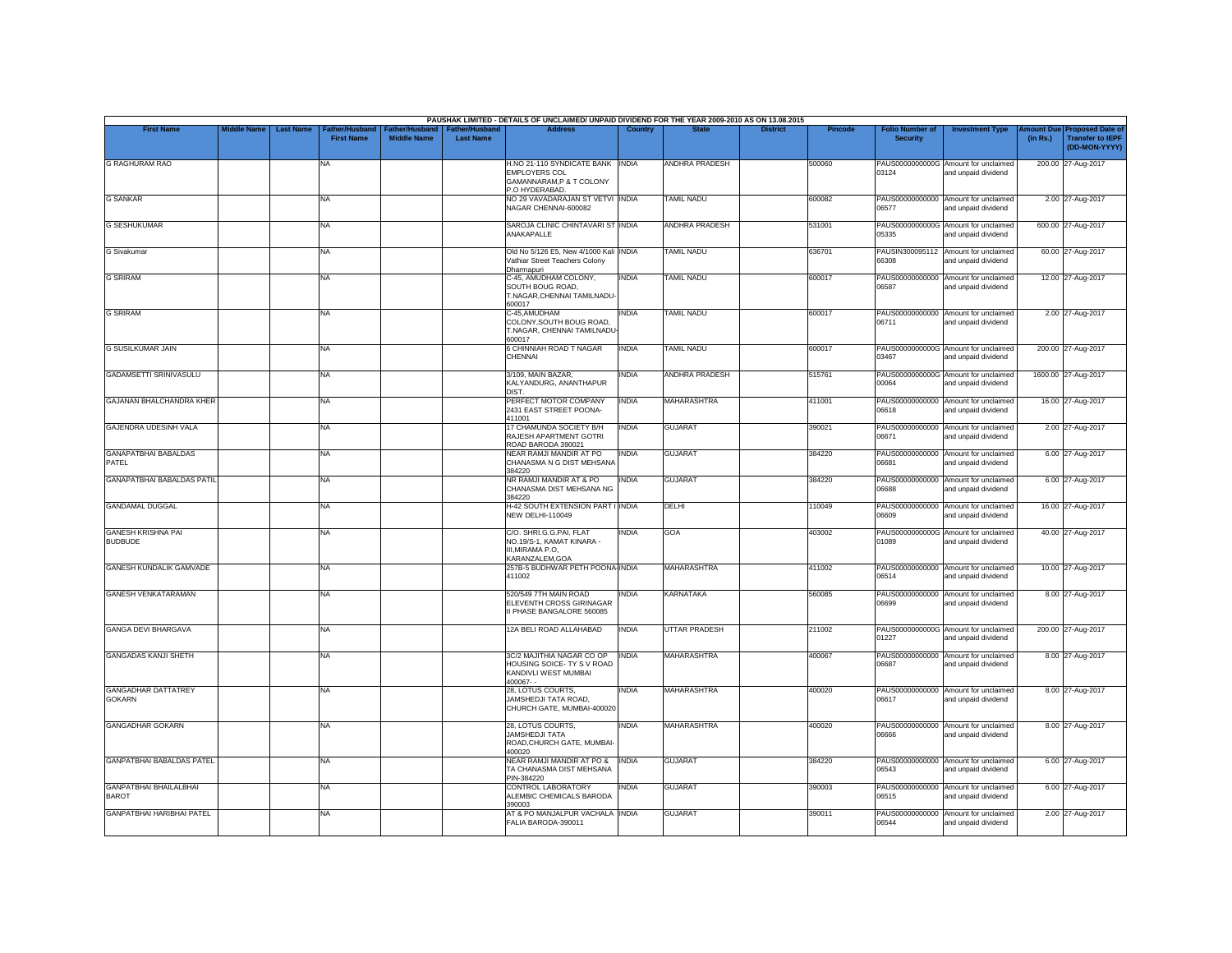|                                               |                    |                  |                                     |                                      |                                           | PAUSHAK LIMITED - DETAILS OF UNCLAIMED/ UNPAID DIVIDEND FOR THE YEAR 2009-2010 AS ON 13.08.2015        |                |                       |                 |                |                                           |                                                             |          |                                                                        |
|-----------------------------------------------|--------------------|------------------|-------------------------------------|--------------------------------------|-------------------------------------------|--------------------------------------------------------------------------------------------------------|----------------|-----------------------|-----------------|----------------|-------------------------------------------|-------------------------------------------------------------|----------|------------------------------------------------------------------------|
| <b>First Name</b>                             | <b>Middle Name</b> | <b>Last Name</b> | Father/Husband<br><b>First Name</b> | Father/Husband<br><b>Middle Name</b> | <b>Father/Husband</b><br><b>Last Name</b> | <b>Address</b>                                                                                         | <b>Country</b> | <b>State</b>          | <b>District</b> | <b>Pincode</b> | <b>Folio Number of</b><br><b>Security</b> | <b>Investment Type</b>                                      | (in Rs.) | mount Due Proposed Date of<br><b>Transfer to IEPF</b><br>(DD-MON-YYYY) |
| <b>G RAGHURAM RAO</b>                         |                    |                  | NA                                  |                                      |                                           | H.NO 21-110 SYNDICATE BANK INDIA<br><b>EMPLOYERS COL</b><br>GAMANNARAM, P & T COLONY<br>P.O HYDERABAD. |                | <b>ANDHRA PRADESH</b> |                 | 500060         | 03124                                     | PAUS0000000000G Amount for unclaimed<br>and unpaid dividend |          | 200.00 27-Aug-2017                                                     |
| <b>G SANKAR</b>                               |                    |                  | <b>NA</b>                           |                                      |                                           | NO 29 VAVADARAJAN ST VETVI INDIA<br>NAGAR CHENNAI-600082                                               |                | <b>TAMIL NADU</b>     |                 | 600082         | 06577                                     | PAUS00000000000 Amount for unclaimed<br>and unpaid dividend |          | 2.00 27-Aug-2017                                                       |
| <b>G SESHUKUMAR</b>                           |                    |                  | <b>NA</b>                           |                                      |                                           | SAROJA CLINIC CHINTAVARI ST INDIA<br>ANAKAPALLE                                                        |                | <b>ANDHRA PRADESH</b> |                 | 531001         | 05335                                     | PAUS0000000000G Amount for unclaimed<br>and unpaid dividend |          | 600.00 27-Aug-2017                                                     |
| <b>G</b> Sivakumar                            |                    |                  | <b>NA</b>                           |                                      |                                           | Old No 5/126 E5, New 4/1000 Kali INDIA<br>Vathiar Street Teachers Colony                               |                | <b>TAMIL NADU</b>     |                 | 636701         | 66308                                     | PAUSIN300095112 Amount for unclaimed<br>and unpaid dividend |          | 60.00 27-Aug-2017                                                      |
| <b>G SRIRAM</b>                               |                    |                  | <b>NA</b>                           |                                      |                                           | Dharmapuri<br>C-45, AMUDHAM COLONY,<br>SOUTH BOUG ROAD.<br>T.NAGAR, CHENNAI TAMILNADU<br>600017        | <b>INDIA</b>   | TAMIL NADU            |                 | 600017         | 06587                                     | PAUS00000000000 Amount for unclaimed<br>and unpaid dividend |          | 12.00 27-Aug-2017                                                      |
| <b>G SRIRAM</b>                               |                    |                  | <b>NA</b>                           |                                      |                                           | C-45.AMUDHAM<br>COLONY, SOUTH BOUG ROAD,<br>T.NAGAR, CHENNAI TAMILNADU<br>600017                       | INDIA          | <b>TAMIL NADU</b>     |                 | 600017         | PAUS00000000000<br>06711                  | Amount for unclaimed<br>and unpaid dividend                 |          | 2.00 27-Aug-2017                                                       |
| <b>G SUSILKUMAR JAIN</b>                      |                    |                  | <b>NA</b>                           |                                      |                                           | 6 CHINNIAH ROAD T NAGAR<br>CHENNAI                                                                     | <b>INDIA</b>   | <b>TAMIL NADU</b>     |                 | 600017         | 03467                                     | PAUS0000000000G Amount for unclaimed<br>and unpaid dividend |          | 200.00 27-Aug-2017                                                     |
| GADAMSETTI SRINIVASULU                        |                    |                  | <b>NA</b>                           |                                      |                                           | 3/109, MAIN BAZAR,<br>KALYANDURG, ANANTHAPUR<br>DIST.                                                  | INDIA          | ANDHRA PRADESH        |                 | 515761         | 00064                                     | PAUS0000000000G Amount for unclaimed<br>and unpaid dividend |          | 1600.00 27-Aug-2017                                                    |
| GAJANAN BHALCHANDRA KHER                      |                    |                  | <b>NA</b>                           |                                      |                                           | PERFECT MOTOR COMPANY<br>2431 EAST STREET POONA-<br>411001                                             | <b>INDIA</b>   | <b>MAHARASHTRA</b>    |                 | 411001         | 06618                                     | PAUS00000000000 Amount for unclaimed<br>and unpaid dividend |          | 16.00 27-Aug-2017                                                      |
| GAJENDRA UDESINH VALA                         |                    |                  | <b>NA</b>                           |                                      |                                           | 17 CHAMUNDA SOCIETY B/H<br>RAJESH APARTMENT GOTRI<br>ROAD BARODA 390021                                | INDIA          | <b>GUJARAT</b>        |                 | 390021         | 06671                                     | PAUS00000000000 Amount for unclaimed<br>and unpaid dividend |          | 2.00 27-Aug-2017                                                       |
| <b>GANAPATBHAI BABALDAS</b><br>PATEL          |                    |                  | <b>NA</b>                           |                                      |                                           | NEAR RAMJI MANDIR AT PO<br>CHANASMA N G DIST MEHSANA<br>384220                                         | <b>INDIA</b>   | <b>GUJARAT</b>        |                 | 384220         | 06681                                     | PAUS00000000000 Amount for unclaimed<br>and unpaid dividend |          | 6.00 27-Aug-2017                                                       |
| <b>GANAPATBHAI BABALDAS PATIL</b>             |                    |                  | <b>NA</b>                           |                                      |                                           | NR RAMJI MANDIR AT & PO<br>CHANASMA DIST MEHSANA NG<br>384220                                          | <b>INDIA</b>   | <b>GUJARAT</b>        |                 | 384220         | 06688                                     | PAUS00000000000 Amount for unclaimed<br>and unpaid dividend |          | 6.00 27-Aug-2017                                                       |
| <b>GANDAMAL DUGGAL</b>                        |                    |                  | <b>NA</b>                           |                                      |                                           | H-42 SOUTH EXTENSION PART I INDIA<br><b>NEW DELHI-110049</b>                                           |                | DELHI                 |                 | 110049         | PAUS00000000000<br>06609                  | Amount for unclaimed<br>and unpaid dividend                 |          | 16.00 27-Aug-2017                                                      |
| <b>GANESH KRISHNA PAI</b><br><b>BUDBUDE</b>   |                    |                  | <b>NA</b>                           |                                      |                                           | C/O. SHRI.G.G.PAI, FLAT<br>NO.19/S-1, KAMAT KINARA -<br>III, MIRAMA P.O.<br>KARANZALEM, GOA            | <b>INDIA</b>   | GOA                   |                 | 403002         | 01089                                     | PAUS0000000000G Amount for unclaimed<br>and unpaid dividend |          | 40.00 27-Aug-2017                                                      |
| <b>GANESH KUNDALIK GAMVADE</b>                |                    |                  | <b>NA</b>                           |                                      |                                           | 257B-5 BUDHWAR PETH POONA INDIA<br>411002                                                              |                | <b>MAHARASHTRA</b>    |                 | 411002         | 06514                                     | PAUS00000000000 Amount for unclaimed<br>and unpaid dividend |          | 10.00 27-Aug-2017                                                      |
| <b>GANESH VENKATARAMAN</b>                    |                    |                  | <b>NA</b>                           |                                      |                                           | 520/549 7TH MAIN ROAD<br>ELEVENTH CROSS GIRINAGAR<br>I PHASE BANGALORE 560085                          | <b>INDIA</b>   | <b>KARNATAKA</b>      |                 | 560085         | PAUS00000000000<br>06699                  | Amount for unclaimed<br>and unpaid dividend                 |          | 8.00 27-Aug-2017                                                       |
| <b>GANGA DEVI BHARGAVA</b>                    |                    |                  | <b>NA</b>                           |                                      |                                           | 12A BELI ROAD ALLAHABAD                                                                                | <b>INDIA</b>   | <b>UTTAR PRADESH</b>  |                 | 211002         | 01227                                     | PAUS0000000000G Amount for unclaimed<br>and unpaid dividend |          | 200.00 27-Aug-2017                                                     |
| <b>GANGADAS KANJI SHETH</b>                   |                    |                  | <b>NA</b>                           |                                      |                                           | 3C/2 MAJITHIA NAGAR CO OP<br>HOUSING SOICE- TY S V ROAD<br>KANDIVLI WEST MUMBAI<br>400067--            | <b>INDIA</b>   | <b>MAHARASHTRA</b>    |                 | 400067         | PAUS00000000000<br>06687                  | Amount for unclaimed<br>and unpaid dividend                 |          | 8.00 27-Aug-2017                                                       |
| <b>GANGADHAR DATTATREY</b><br><b>GOKARN</b>   |                    |                  | <b>NA</b>                           |                                      |                                           | 28. LOTUS COURTS.<br>JAMSHEDJI TATA ROAD,<br>CHURCH GATE, MUMBAI-400020                                | <b>INDIA</b>   | <b>MAHARASHTRA</b>    |                 | 400020         | 06617                                     | PAUS00000000000 Amount for unclaimed<br>and unpaid dividend |          | 8.00 27-Aug-2017                                                       |
| <b>GANGADHAR GOKARN</b>                       |                    |                  | <b>NA</b>                           |                                      |                                           | 28, LOTUS COURTS,<br>JAMSHEDJI TATA<br>ROAD, CHURCH GATE, MUMBAI-<br>400020                            | <b>INDIA</b>   | <b>MAHARASHTRA</b>    |                 | 400020         | 06666                                     | PAUS00000000000 Amount for unclaimed<br>and unpaid dividend |          | 8.00 27-Aug-2017                                                       |
| <b>GANPATBHAI BABALDAS PATEL</b>              |                    |                  | <b>NA</b>                           |                                      |                                           | <b>NEAR RAMJI MANDIR AT PO &amp;</b><br>TA CHANASMA DIST MEHSANA<br>PIN-384220                         | <b>INDIA</b>   | <b>GUJARAT</b>        |                 | 384220         | 06543                                     | PAUS00000000000 Amount for unclaimed<br>and unpaid dividend |          | 6.00 27-Aug-2017                                                       |
| <b>GANPATBHAI BHAILALBHAI</b><br><b>BAROT</b> |                    |                  | <b>NA</b>                           |                                      |                                           | CONTROL LABORATORY<br>ALEMBIC CHEMICALS BARODA<br>390003                                               | <b>INDIA</b>   | <b>GUJARAT</b>        |                 | 390003         | 06515                                     | PAUS00000000000 Amount for unclaimed<br>and unpaid dividend |          | 6.00 27-Aug-2017                                                       |
| <b>GANPATBHAI HARIBHAI PATEL</b>              |                    |                  | <b>NA</b>                           |                                      |                                           | AT & PO MANJALPUR VACHALA INDIA<br>FALIA BARODA-390011                                                 |                | <b>GUJARAT</b>        |                 | 390011         | PAUS00000000000<br>06544                  | Amount for unclaimed<br>and unpaid dividend                 |          | 2.00 27-Aug-2017                                                       |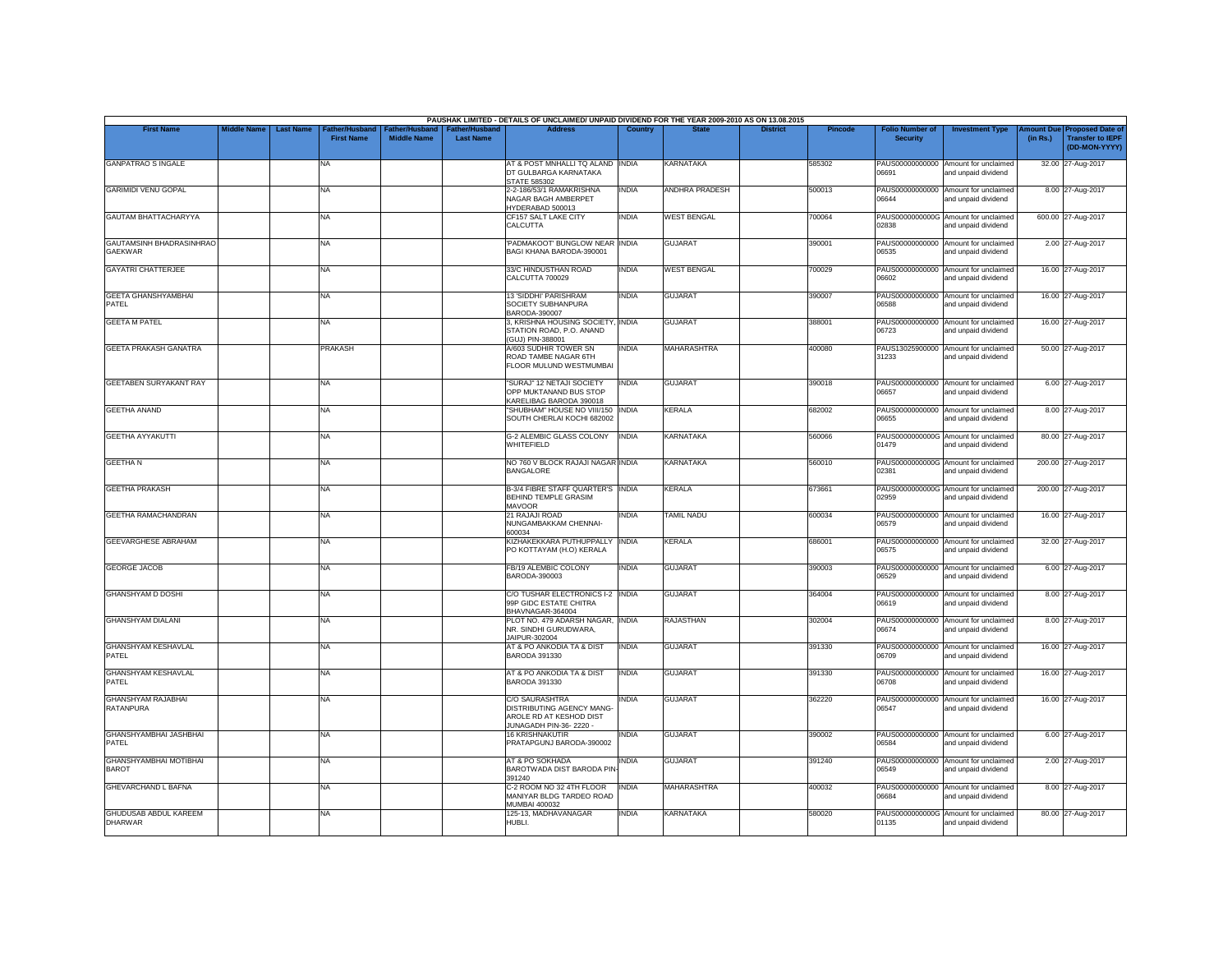|                                                |                    |                                                        |                                             |                                           | PAUSHAK LIMITED - DETAILS OF UNCLAIMED/ UNPAID DIVIDEND FOR THE YEAR 2009-2010 AS ON 13.08.2015         |              |                       |                 |                |                                           |                                                             |                       |                                                                     |
|------------------------------------------------|--------------------|--------------------------------------------------------|---------------------------------------------|-------------------------------------------|---------------------------------------------------------------------------------------------------------|--------------|-----------------------|-----------------|----------------|-------------------------------------------|-------------------------------------------------------------|-----------------------|---------------------------------------------------------------------|
| <b>First Name</b>                              | <b>Middle Name</b> | <b>Last Name</b><br>ather/Husband<br><b>First Name</b> | <b>Father/Husband</b><br><b>Middle Name</b> | <b>Father/Husband</b><br><b>Last Name</b> | <b>Address</b>                                                                                          | Country      | <b>State</b>          | <b>District</b> | <b>Pincode</b> | <b>Folio Number of</b><br><b>Security</b> | <b>Investment Type</b>                                      | mount Due<br>(in Rs.) | <b>Proposed Date of</b><br><b>Transfer to IEPF</b><br>(DD-MON-YYYY) |
| <b>GANPATRAO S INGALE</b>                      |                    | NA                                                     |                                             |                                           | AT & POST MNHALLI TQ ALAND INDIA<br>DT GULBARGA KARNATAKA<br><b>STATE 585302</b>                        |              | <b>KARNATAKA</b>      |                 | 585302         | PAUS00000000000<br>06691                  | Amount for unclaimed<br>and unpaid dividend                 |                       | 32.00 27-Aug-2017                                                   |
| <b>GARIMIDI VENU GOPAL</b>                     |                    | <b>NA</b>                                              |                                             |                                           | 2-2-186/53/1 RAMAKRISHNA<br>NAGAR BAGH AMBERPET<br>HYDERABAD 500013                                     | <b>INDIA</b> | <b>ANDHRA PRADESH</b> |                 | 500013         | 06644                                     | PAUS00000000000 Amount for unclaimed<br>and unpaid dividend |                       | 8.00 27-Aug-2017                                                    |
| <b>GAUTAM BHATTACHARYYA</b>                    |                    | NA                                                     |                                             |                                           | CF157 SALT LAKE CITY<br>CALCUTTA                                                                        | INDIA        | <b>WEST BENGAL</b>    |                 | 700064         | 02838                                     | PAUS0000000000G Amount for unclaimed<br>and unpaid dividend |                       | 600.00 27-Aug-2017                                                  |
| GAUTAMSINH BHADRASINHRAO<br>GAEKWAR            |                    | <b>NA</b>                                              |                                             |                                           | PADMAKOOT' BUNGLOW NEAR INDIA<br>BAGI KHANA BARODA-390001                                               |              | <b>GUJARAT</b>        |                 | 390001         | 06535                                     | PAUS00000000000 Amount for unclaimed<br>and unpaid dividend |                       | 2.00 27-Aug-2017                                                    |
| <b>GAYATRI CHATTERJEE</b>                      |                    | <b>NA</b>                                              |                                             |                                           | 33/C HINDUSTHAN ROAD<br><b>CALCUTTA 700029</b>                                                          | <b>INDIA</b> | <b>WEST BENGAL</b>    |                 | 700029         | 06602                                     | PAUS00000000000 Amount for unclaimed<br>and unpaid dividend |                       | 16.00 27-Aug-2017                                                   |
| <b>GEETA GHANSHYAMBHAI</b><br>PATEL            |                    | <b>NA</b>                                              |                                             |                                           | 13 'SIDDHI' PARISHRAM<br>SOCIETY SUBHANPURA<br>BARODA-390007                                            | INDIA        | <b>GUJARAT</b>        |                 | 390007         | 06588                                     | PAUS00000000000 Amount for unclaimed<br>and unpaid dividend |                       | 16.00 27-Aug-2017                                                   |
| <b>GEETA M PATEL</b>                           |                    | <b>NA</b>                                              |                                             |                                           | 3, KRISHNA HOUSING SOCIETY, INDIA<br>STATION ROAD, P.O. ANAND<br>(GUJ) PIN-388001                       |              | <b>GUJARAT</b>        |                 | 388001         | 06723                                     | PAUS00000000000 Amount for unclaimed<br>and unpaid dividend |                       | 16.00 27-Aug-2017                                                   |
| GEETA PRAKASH GANATRA                          |                    | <b>PRAKASH</b>                                         |                                             |                                           | A/603 SUDHIR TOWER SN<br>ROAD TAMBE NAGAR 6TH<br>FLOOR MULUND WESTMUMBAI                                | <b>INDIA</b> | <b>MAHARASHTRA</b>    |                 | 400080         | 31233                                     | PAUS13025900000 Amount for unclaimed<br>and unpaid dividend |                       | 50.00 27-Aug-2017                                                   |
| <b>GEETABEN SURYAKANT RAY</b>                  |                    | <b>NA</b>                                              |                                             |                                           | "SURAJ" 12 NETAJI SOCIETY<br>OPP MUKTANAND BUS STOP<br>KARELIBAG BARODA 390018                          | <b>INDIA</b> | <b>GUJARAT</b>        |                 | 390018         | 06657                                     | PAUS00000000000 Amount for unclaimed<br>and unpaid dividend |                       | 6.00 27-Aug-2017                                                    |
| <b>GEETHA ANAND</b>                            |                    | <b>NA</b>                                              |                                             |                                           | "SHUBHAM" HOUSE NO VIII/150 INDIA<br>SOUTH CHERLAI KOCHI 682002                                         |              | <b>KERALA</b>         |                 | 682002         | PAUS00000000000<br>06655                  | Amount for unclaimed<br>and unpaid dividend                 |                       | 8.00 27-Aug-2017                                                    |
| <b>GEETHA AYYAKUTTI</b>                        |                    | <b>NA</b>                                              |                                             |                                           | G-2 ALEMBIC GLASS COLONY INDIA<br>WHITEFIELD                                                            |              | <b>KARNATAKA</b>      |                 | 560066         | 01479                                     | PAUS0000000000G Amount for unclaimed<br>and unpaid dividend |                       | 80.00 27-Aug-2017                                                   |
| <b>GEETHAN</b>                                 |                    | <b>NA</b>                                              |                                             |                                           | NO 760 V BLOCK RAJAJI NAGAR INDIA<br><b>BANGALORE</b>                                                   |              | KARNATAKA             |                 | 560010         | 02381                                     | PAUS0000000000G Amount for unclaimed<br>and unpaid dividend |                       | 200.00 27-Aug-2017                                                  |
| <b>GEETHA PRAKASH</b>                          |                    | <b>NA</b>                                              |                                             |                                           | <b>B-3/4 FIBRE STAFF QUARTER'S INDIA</b><br>BEHIND TEMPLE GRASIM<br><b>MAVOOR</b>                       |              | <b>KERALA</b>         |                 | 673661         | 02959                                     | PAUS0000000000G Amount for unclaimed<br>and unpaid dividend |                       | 200.00 27-Aug-2017                                                  |
| GEETHA RAMACHANDRAN                            |                    | NA                                                     |                                             |                                           | 21 RAJAJI ROAD<br>NUNGAMBAKKAM CHENNAI-<br>600034                                                       | INDIA        | <b>TAMIL NADU</b>     |                 | 600034         | 06579                                     | PAUS00000000000 Amount for unclaimed<br>and unpaid dividend |                       | 16.00 27-Aug-2017                                                   |
| GEEVARGHESE ABRAHAM                            |                    | <b>NA</b>                                              |                                             |                                           | KIZHAKEKKARA PUTHUPPALLY<br>PO KOTTAYAM (H.O) KERALA                                                    | <b>INDIA</b> | <b>KERALA</b>         |                 | 686001         | 06575                                     | PAUS00000000000 Amount for unclaimed<br>and unpaid dividend |                       | 32.00 27-Aug-2017                                                   |
| <b>GEORGE JACOB</b>                            |                    | <b>NA</b>                                              |                                             |                                           | FB/19 ALEMBIC COLONY<br>BARODA-390003                                                                   | <b>INDIA</b> | <b>GUJARAT</b>        |                 | 390003         | PAUS00000000000<br>06529                  | Amount for unclaimed<br>and unpaid dividend                 |                       | 6.00 27-Aug-2017                                                    |
| <b>GHANSHYAM D DOSHI</b>                       |                    | <b>NA</b>                                              |                                             |                                           | C/O TUSHAR ELECTRONICS I-2 INDIA<br>99P GIDC ESTATE CHITRA<br>BHAVNAGAR-364004                          |              | <b>GUJARAT</b>        |                 | 364004         | PAUS00000000000<br>06619                  | Amount for unclaimed<br>and unpaid dividend                 |                       | 8.00 27-Aug-2017                                                    |
| <b>GHANSHYAM DIALANI</b>                       |                    | <b>NA</b>                                              |                                             |                                           | PLOT NO. 479 ADARSH NAGAR, INDIA<br>NR. SINDHI GURUDWARA,<br>JAIPUR-302004                              |              | <b>RAJASTHAN</b>      |                 | 302004         | PAUS00000000000<br>06674                  | Amount for unclaimed<br>and unpaid dividend                 |                       | 8.00 27-Aug-2017                                                    |
| GHANSHYAM KESHAVLAL<br>PATEL                   |                    | <b>NA</b>                                              |                                             |                                           | AT & PO ANKODIA TA & DIST<br>BARODA 391330                                                              | <b>INDIA</b> | <b>GUJARAT</b>        |                 | 391330         | 06709                                     | PAUS00000000000 Amount for unclaimed<br>and unpaid dividend |                       | 16.00 27-Aug-2017                                                   |
| GHANSHYAM KESHAVLAL<br>PATEL                   |                    | <b>NA</b>                                              |                                             |                                           | AT & PO ANKODIA TA & DIST<br><b>BARODA 391330</b>                                                       | <b>INDIA</b> | <b>GUJARAT</b>        |                 | 391330         | 06708                                     | PAUS00000000000 Amount for unclaimed<br>and unpaid dividend |                       | 16.00 27-Aug-2017                                                   |
| <b>GHANSHYAM RAJABHAI</b><br><b>RATANPURA</b>  |                    | <b>NA</b>                                              |                                             |                                           | <b>C/O SAURASHTRA</b><br>DISTRIBUTING AGENCY MANG-<br>AROLE RD AT KESHOD DIST<br>JUNAGADH PIN-36-2220 - | india        | <b>GUJARAT</b>        |                 | 362220         | 06547                                     | PAUS00000000000 Amount for unclaimed<br>and unpaid dividend |                       | 16.00 27-Aug-2017                                                   |
| GHANSHYAMBHAI JASHBHAI<br>PATEL                |                    | <b>NA</b>                                              |                                             |                                           | <b>16 KRISHNAKUTIR</b><br>PRATAPGUNJ BARODA-390002                                                      | <b>INDIA</b> | <b>GUJARAT</b>        |                 | 390002         | 06584                                     | PAUS00000000000 Amount for unclaimed<br>and unpaid dividend |                       | 6.00 27-Aug-2017                                                    |
| <b>GHANSHYAMBHAI MOTIBHAI</b><br><b>BAROT</b>  |                    | <b>NA</b>                                              |                                             |                                           | AT & PO SOKHADA<br>BAROTWADA DIST BARODA PIN<br>391240                                                  | <b>INDIA</b> | <b>GUJARAT</b>        |                 | 391240         | 06549                                     | PAUS00000000000 Amount for unclaimed<br>and unpaid dividend |                       | 2.00 27-Aug-2017                                                    |
| <b>GHEVARCHAND L BAFNA</b>                     |                    | <b>NA</b>                                              |                                             |                                           | C-2 ROOM NO 32 4TH FLOOR<br>MANIYAR BLDG TARDEO ROAD<br><b>MUMBAI 400032</b>                            | <b>INDIA</b> | <b>MAHARASHTRA</b>    |                 | 400032         | 06684                                     | PAUS00000000000 Amount for unclaimed<br>and unpaid dividend |                       | 8.00 27-Aug-2017                                                    |
| <b>GHUDUSAB ABDUL KAREEM</b><br><b>DHARWAR</b> |                    | NA                                                     |                                             |                                           | 125-13, MADHAVANAGAR<br>HUBLI.                                                                          | INDIA        | <b>KARNATAKA</b>      |                 | 580020         | 01135                                     | PAUS0000000000G Amount for unclaimed<br>and unpaid dividend |                       | 80.00 27-Aug-2017                                                   |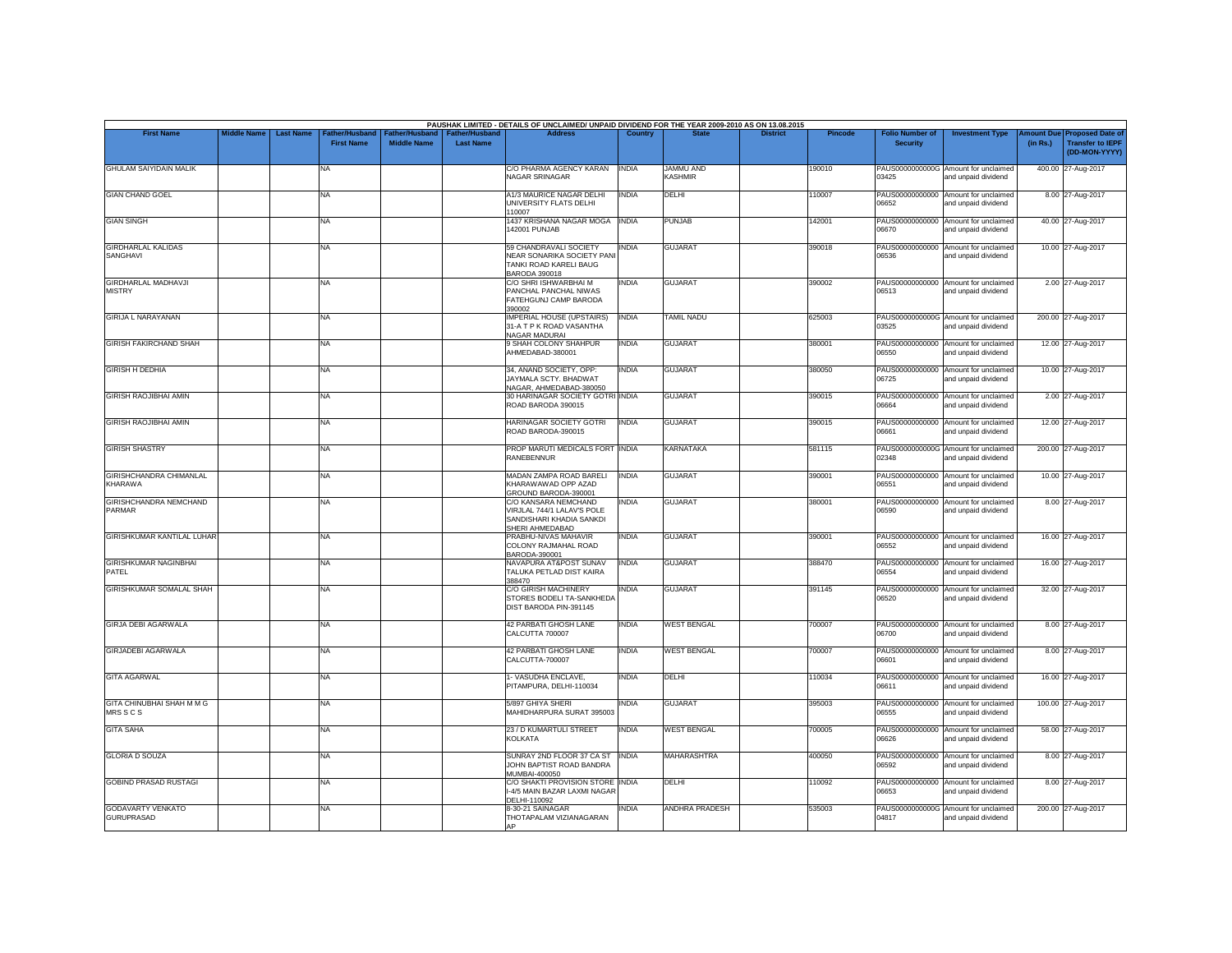|                                               | <b>Middle Name</b> | <b>Last Name</b> |                                     |                                      |                                           | PAUSHAK LIMITED - DETAILS OF UNCLAIMED/ UNPAID DIVIDEND FOR THE YEAR 2009-2010 AS ON 13.08.2015<br><b>Address</b> | Country      |                             | <b>District</b> |                |                                           |                                                             |                               |                                                                     |
|-----------------------------------------------|--------------------|------------------|-------------------------------------|--------------------------------------|-------------------------------------------|-------------------------------------------------------------------------------------------------------------------|--------------|-----------------------------|-----------------|----------------|-------------------------------------------|-------------------------------------------------------------|-------------------------------|---------------------------------------------------------------------|
| <b>First Name</b>                             |                    |                  | Father/Husband<br><b>First Name</b> | Father/Husband<br><b>Middle Name</b> | <b>Father/Husband</b><br><b>Last Name</b> |                                                                                                                   |              |                             |                 | <b>Pincode</b> | <b>Folio Number of</b><br><b>Security</b> | <b>Investment Type</b>                                      | <b>Imount Due</b><br>(in Rs.) | <b>Proposed Date of</b><br><b>Transfer to IEPF</b><br>(DD-MON-YYYY) |
| <b>GHULAM SAIYIDAIN MALIK</b>                 |                    |                  | NA                                  |                                      |                                           | C/O PHARMA AGENCY KARAN<br>NAGAR SRINAGAR                                                                         | <b>INDIA</b> | <b>JAMMU AND</b><br>KASHMIR |                 | 190010         | 03425                                     | PAUS0000000000G Amount for unclaimed<br>and unpaid dividend |                               | 400.00 27-Aug-2017                                                  |
| <b>GIAN CHAND GOEL</b>                        |                    |                  | NA                                  |                                      |                                           | A1/3 MAURICE NAGAR DELHI<br>UNIVERSITY FLATS DELHI<br>110007                                                      | <b>INDIA</b> | DELHI                       |                 | 10007          | 06652                                     | PAUS00000000000 Amount for unclaimed<br>and unpaid dividend |                               | 8.00 27-Aug-2017                                                    |
| <b>GIAN SINGH</b>                             |                    |                  | NA                                  |                                      |                                           | 1437 KRISHANA NAGAR MOGA<br>142001 PUNJAB                                                                         | <b>INDIA</b> | PUNJAB                      |                 | 142001         | 06670                                     | PAUS00000000000 Amount for unclaimed<br>and unpaid dividend |                               | 40.00 27-Aug-2017                                                   |
| <b>GIRDHARLAL KALIDAS</b><br><b>SANGHAVI</b>  |                    |                  | NA                                  |                                      |                                           | 59 CHANDRAVALI SOCIETY<br>NEAR SONARIKA SOCIETY PANI<br>TANKI ROAD KARELI BAUG<br><b>BARODA 390018</b>            | <b>INDIA</b> | <b>GUJARAT</b>              |                 | 390018         | 06536                                     | PAUS00000000000 Amount for unclaimed<br>and unpaid dividend |                               | 10.00 27-Aug-2017                                                   |
| <b>GIRDHARLAL MADHAVJI</b><br><b>MISTRY</b>   |                    |                  | NA                                  |                                      |                                           | C/O SHRI ISHWARBHAI M<br>PANCHAL PANCHAL NIWAS<br>FATEHGUNJ CAMP BARODA<br>390002                                 | <b>INDIA</b> | <b>GUJARAT</b>              |                 | 390002         | 06513                                     | PAUS00000000000 Amount for unclaimed<br>and unpaid dividend |                               | 2.00 27-Aug-2017                                                    |
| <b>GIRIJA L NARAYANAN</b>                     |                    |                  | NA                                  |                                      |                                           | <b>IMPERIAL HOUSE (UPSTAIRS)</b><br>31-A T P K ROAD VASANTHA<br><b>NAGAR MADURAI</b>                              | <b>INDIA</b> | <b>TAMIL NADU</b>           |                 | 625003         | 03525                                     | PAUS0000000000G Amount for unclaimed<br>and unpaid dividend |                               | 200.00 27-Aug-2017                                                  |
| <b>GIRISH FAKIRCHAND SHAH</b>                 |                    |                  | NA                                  |                                      |                                           | 9 SHAH COLONY SHAHPUR<br>AHMEDABAD-380001                                                                         | <b>INDIA</b> | <b>GUJARAT</b>              |                 | 38000          | 06550                                     | PAUS00000000000 Amount for unclaimed<br>and unpaid dividend |                               | 12.00 27-Aug-2017                                                   |
| <b>GIRISH H DEDHIA</b>                        |                    |                  | NA                                  |                                      |                                           | 34, ANAND SOCIETY, OPP:<br>JAYMALA SCTY. BHADWAT<br>NAGAR, AHMEDABAD-380050                                       | <b>INDIA</b> | <b>GUJARAT</b>              |                 | 380050         | 06725                                     | PAUS00000000000 Amount for unclaimed<br>and unpaid dividend |                               | 10.00 27-Aug-2017                                                   |
| GIRISH RAOJIBHAI AMIN                         |                    |                  | NA                                  |                                      |                                           | 30 HARINAGAR SOCIETY GOTRI INDIA<br>ROAD BARODA 390015                                                            |              | <b>GUJARAT</b>              |                 | 390015         | 06664                                     | PAUS00000000000 Amount for unclaimed<br>and unpaid dividend |                               | 2.00 27-Aug-2017                                                    |
| <b>GIRISH RAOJIBHAI AMIN</b>                  |                    |                  | NA                                  |                                      |                                           | <b>HARINAGAR SOCIETY GOTRI</b><br>ROAD BARODA-390015                                                              | <b>INDIA</b> | <b>GUJARAT</b>              |                 | 390015         | 06661                                     | PAUS00000000000 Amount for unclaimed<br>and unpaid dividend |                               | 12.00 27-Aug-2017                                                   |
| <b>GIRISH SHASTRY</b>                         |                    |                  | NA.                                 |                                      |                                           | PROP MARUTI MEDICALS FORT INDIA<br><b>RANEBENNUR</b>                                                              |              | <b>KARNATAKA</b>            |                 | 581115         | 02348                                     | PAUS0000000000G Amount for unclaimed<br>and unpaid dividend |                               | 200.00 27-Aug-2017                                                  |
| GIRISHCHANDRA CHIMANLAL<br>KHARAWA            |                    |                  | NA                                  |                                      |                                           | MADAN ZAMPA ROAD BARELI<br>KHARAWAWAD OPP AZAD<br>GROUND BARODA-390001                                            | <b>INDIA</b> | <b>GUJARAT</b>              |                 | 390001         | 06551                                     | PAUS00000000000 Amount for unclaimed<br>and unpaid dividend |                               | 10.00 27-Aug-2017                                                   |
| GIRISHCHANDRA NEMCHAND<br><b>PARMAR</b>       |                    |                  | <b>NA</b>                           |                                      |                                           | C/O KANSARA NEMCHAND<br>VIRJLAL 744/1 LALAV'S POLE<br>SANDISHARI KHADIA SANKDI<br>SHERI AHMEDABAD                 | <b>INDIA</b> | <b>GUJARAT</b>              |                 | 380001         | 06590                                     | PAUS00000000000 Amount for unclaimed<br>and unpaid dividend |                               | 8.00 27-Aug-2017                                                    |
| <b>GIRISHKUMAR KANTILAL LUHAR</b>             |                    |                  | NA                                  |                                      |                                           | PRABHU-NIVAS MAHAVIR<br>COLONY RAJMAHAL ROAD<br>BARODA-390001                                                     | <b>INDIA</b> | <b>GUJARAT</b>              |                 | 390001         | 06552                                     | PAUS00000000000 Amount for unclaimed<br>and unpaid dividend |                               | 16.00 27-Aug-2017                                                   |
| GIRISHKUMAR NAGINBHAI<br>PATEL                |                    |                  | NA                                  |                                      |                                           | NAVAPURA AT&POST SUNAV<br>TALUKA PETLAD DIST KAIRA<br>388470                                                      | <b>INDIA</b> | <b>GUJARAT</b>              |                 | 388470         | 06554                                     | PAUS00000000000 Amount for unclaimed<br>and unpaid dividend |                               | 16.00 27-Aug-2017                                                   |
| GIRISHKUMAR SOMALAL SHAH                      |                    |                  | NA                                  |                                      |                                           | C/O GIRISH MACHINERY<br>STORES BODELI TA-SANKHEDA<br>DIST BARODA PIN-391145                                       | <b>INDIA</b> | <b>GUJARAT</b>              |                 | 391145         | 06520                                     | PAUS00000000000 Amount for unclaimed<br>and unpaid dividend |                               | 32.00 27-Aug-2017                                                   |
| <b>GIRJA DEBI AGARWALA</b>                    |                    |                  | NA                                  |                                      |                                           | 42 PARBATI GHOSH LANE<br>CALCUTTA 700007                                                                          | <b>INDIA</b> | <b>WEST BENGAL</b>          |                 | 700007         | 06700                                     | PAUS00000000000 Amount for unclaimed<br>and unpaid dividend |                               | 8.00 27-Aug-2017                                                    |
| <b>GIRJADEBI AGARWALA</b>                     |                    |                  | <b>NA</b>                           |                                      |                                           | 42 PARBATI GHOSH LANE<br>CALCUTTA-700007                                                                          | <b>INDIA</b> | <b>WEST BENGAL</b>          |                 | 700007         | 06601                                     | PAUS00000000000 Amount for unclaimed<br>and unpaid dividend |                               | 8.00 27-Aug-2017                                                    |
| <b>GITA AGARWAL</b>                           |                    |                  | NA                                  |                                      |                                           | 1- VASUDHA ENCLAVE.<br>PITAMPURA, DELHI-110034                                                                    | <b>INDIA</b> | DELHI                       |                 | 110034         | 06611                                     | PAUS00000000000 Amount for unclaimed<br>and unpaid dividend |                               | 16.00 27-Aug-2017                                                   |
| <b>GITA CHINUBHAI SHAH M M G</b><br>MRS SCS   |                    |                  | <b>NA</b>                           |                                      |                                           | 5/897 GHIYA SHERI<br>MAHIDHARPURA SURAT 395003                                                                    | <b>INDIA</b> | <b>GUJARAT</b>              |                 | 395003         | 06555                                     | PAUS00000000000 Amount for unclaimed<br>and unpaid dividend |                               | 100.00 27-Aug-2017                                                  |
| <b>GITA SAHA</b>                              |                    |                  | NA                                  |                                      |                                           | 23 / D KUMARTULI STREET<br><b>KOLKATA</b>                                                                         | <b>INDIA</b> | <b>WEST BENGAL</b>          |                 | 700005         | 06626                                     | PAUS00000000000 Amount for unclaimed<br>and unpaid dividend |                               | 58.00 27-Aug-2017                                                   |
| <b>GLORIA D SOUZA</b>                         |                    |                  | NA                                  |                                      |                                           | SUNRAY 2ND FLOOR 37 CA ST<br>JOHN BAPTIST ROAD BANDRA<br>MUMBAI-400050                                            | <b>INDIA</b> | MAHARASHTRA                 |                 | 400050         | 06592                                     | PAUS00000000000 Amount for unclaimed<br>and unpaid dividend |                               | 8.00 27-Aug-2017                                                    |
| <b>GOBIND PRASAD RUSTAGI</b>                  |                    |                  | NA                                  |                                      |                                           | C/O SHAKTI PROVISION STORE INDIA<br>I-4/5 MAIN BAZAR LAXMI NAGAR<br>DELHI-110092                                  |              | DELHI                       |                 | 10092          | 06653                                     | PAUS00000000000 Amount for unclaimed<br>and unpaid dividend |                               | 8.00 27-Aug-2017                                                    |
| <b>GODAVARTY VENKATO</b><br><b>GURUPRASAD</b> |                    |                  | NA                                  |                                      |                                           | 8-30-21 SAINAGAR<br>THOTAPALAM VIZIANAGARAN                                                                       | <b>INDIA</b> | <b>ANDHRA PRADESH</b>       |                 | 535003         | 04817                                     | PAUS0000000000G Amount for unclaimed<br>and unpaid dividend |                               | 200.00 27-Aug-2017                                                  |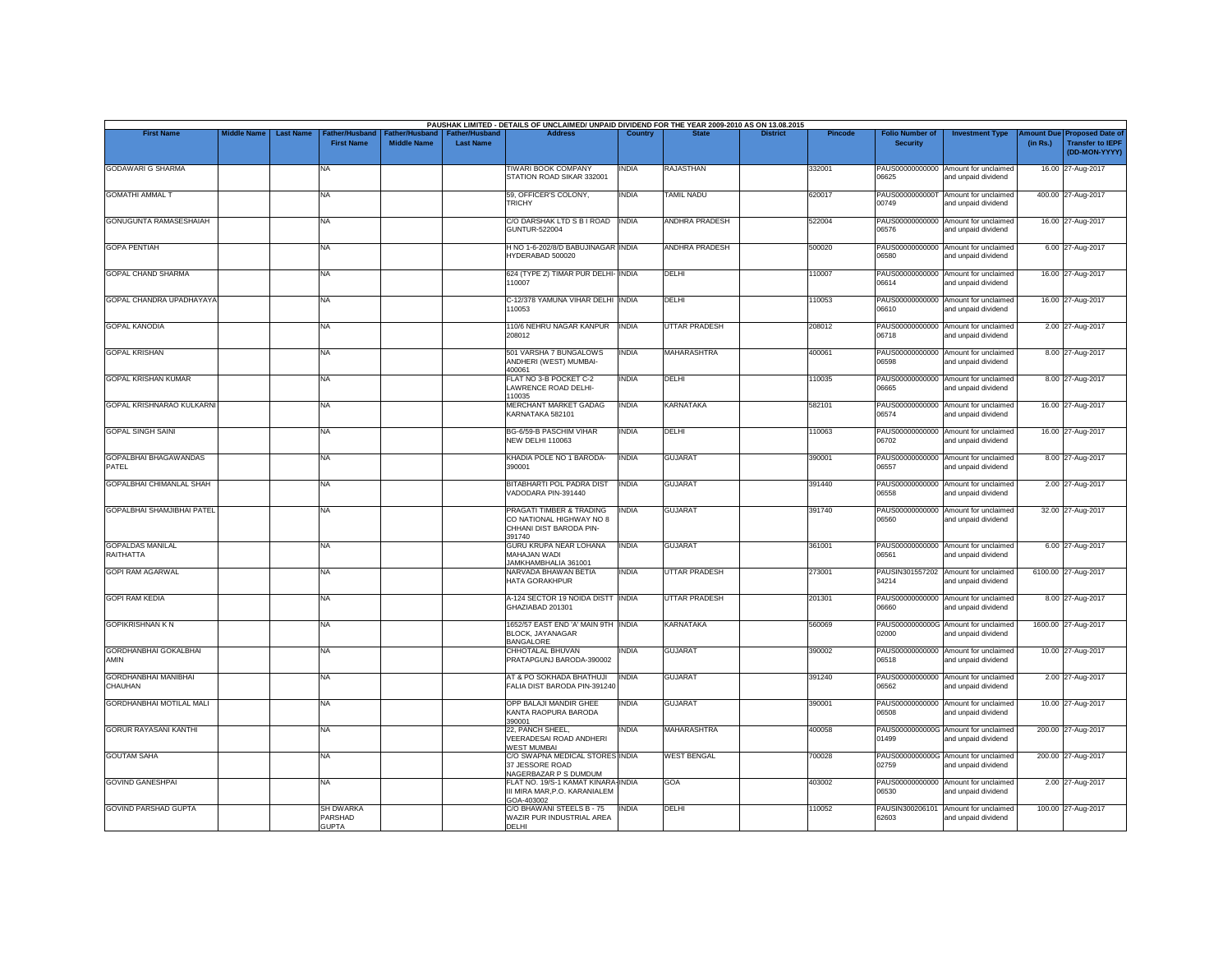| <b>First Name</b>                             | <b>Middle Name</b> | <b>Last Name</b> | Father/Husband                              | Father/Husband     | <b>Father/Husband</b> | PAUSHAK LIMITED - DETAILS OF UNCLAIMED/ UNPAID DIVIDEND FOR THE YEAR 2009-2010 AS ON 13.08.2015<br><b>Address</b> | Country      |                          | <b>District</b> | <b>Pincode</b> | <b>Folio Number of</b>   | <b>Investment Type</b>                                      | <b>Imount Due</b> | <b>Proposed Date of</b>                  |
|-----------------------------------------------|--------------------|------------------|---------------------------------------------|--------------------|-----------------------|-------------------------------------------------------------------------------------------------------------------|--------------|--------------------------|-----------------|----------------|--------------------------|-------------------------------------------------------------|-------------------|------------------------------------------|
|                                               |                    |                  | <b>First Name</b>                           | <b>Middle Name</b> | <b>Last Name</b>      |                                                                                                                   |              |                          |                 |                | <b>Security</b>          |                                                             | (in Rs.)          | <b>Transfer to IEPF</b><br>(DD-MON-YYYY) |
| <b>GODAWARI G SHARMA</b>                      |                    |                  | NA                                          |                    |                       | <b>TIWARI BOOK COMPANY</b><br>STATION ROAD SIKAR 332001                                                           | <b>INDIA</b> | RAJASTHAN                |                 | 332001         | 06625                    | PAUS00000000000 Amount for unclaimed<br>and unpaid dividend |                   | 16.00 27-Aug-2017                        |
| <b>GOMATHI AMMAL T</b>                        |                    |                  | NA                                          |                    |                       | 59, OFFICER'S COLONY,<br><b>TRICHY</b>                                                                            | <b>INDIA</b> | <b><i>FAMIL NADU</i></b> |                 | 620017         | PAUS0000000000<br>00749  | Amount for unclaimed<br>and unpaid dividend                 |                   | 400.00 27-Aug-2017                       |
| <b>GONUGUNTA RAMASESHAIAH</b>                 |                    |                  | NA                                          |                    |                       | C/O DARSHAK LTD S B I ROAD<br><b>GUNTUR-522004</b>                                                                | <b>INDIA</b> | ANDHRA PRADESH           |                 | 522004         | 06576                    | PAUS00000000000 Amount for unclaimed<br>and unpaid dividend |                   | 16.00 27-Aug-2017                        |
| <b>GOPA PENTIAH</b>                           |                    |                  | NA                                          |                    |                       | H NO 1-6-202/8/D BABUJINAGAR INDIA<br>HYDERABAD 500020                                                            |              | <b>ANDHRA PRADESH</b>    |                 | 500020         | 06580                    | PAUS00000000000 Amount for unclaimed<br>and unpaid dividend |                   | 6.00 27-Aug-2017                         |
| <b>GOPAL CHAND SHARMA</b>                     |                    |                  | NA                                          |                    |                       | 624 (TYPE Z) TIMAR PUR DELHI- INDIA<br>110007                                                                     |              | DELHI                    |                 | 110007         | 06614                    | PAUS00000000000 Amount for unclaimed<br>and unpaid dividend |                   | 16.00 27-Aug-2017                        |
| GOPAL CHANDRA UPADHAYAYA                      |                    |                  | NA                                          |                    |                       | C-12/378 YAMUNA VIHAR DELHI INDIA<br>110053                                                                       |              | DELHI                    |                 | 110053         | 06610                    | PAUS00000000000 Amount for unclaimed<br>and unpaid dividend |                   | 16.00 27-Aug-2017                        |
| <b>GOPAL KANODIA</b>                          |                    |                  | NA                                          |                    |                       | 110/6 NEHRU NAGAR KANPUR<br>208012                                                                                | <b>INDIA</b> | <b>UTTAR PRADESH</b>     |                 | 208012         | PAUS00000000000<br>06718 | Amount for unclaimed<br>and unpaid dividend                 |                   | 2.00 27-Aug-2017                         |
| <b>GOPAL KRISHAN</b>                          |                    |                  | NA.                                         |                    |                       | 501 VARSHA 7 BUNGALOWS<br>ANDHERI (WEST) MUMBAI-<br>400061                                                        | <b>INDIA</b> | <b>MAHARASHTRA</b>       |                 | 400061         | 06598                    | PAUS00000000000 Amount for unclaimed<br>and unpaid dividend |                   | 8.00 27-Aug-2017                         |
| <b>GOPAL KRISHAN KUMAR</b>                    |                    |                  | NA                                          |                    |                       | FLAT NO 3-B POCKET C-2<br>LAWRENCE ROAD DELHI-<br>110035                                                          | <b>INDIA</b> | DELHI                    |                 | 110035         | PAUS00000000000<br>23380 | Amount for unclaimed<br>and unpaid dividend                 |                   | 8.00 27-Aug-2017                         |
| GOPAL KRISHNARAO KULKARNI                     |                    |                  | <b>NA</b>                                   |                    |                       | <b>MERCHANT MARKET GADAG</b><br>KARNATAKA 582101                                                                  | <b>INDIA</b> | <b>KARNATAKA</b>         |                 | 582101         | 06574                    | PAUS00000000000 Amount for unclaimed<br>and unpaid dividend |                   | 16.00 27-Aug-2017                        |
| <b>GOPAL SINGH SAINI</b>                      |                    |                  | NA                                          |                    |                       | BG-6/59-B PASCHIM VIHAR<br><b>NEW DELHI 110063</b>                                                                | <b>INDIA</b> | DELHI                    |                 | 10063          | 06702                    | PAUS00000000000 Amount for unclaimed<br>and unpaid dividend |                   | 16.00 27-Aug-2017                        |
| <b>GOPALBHAI BHAGAWANDAS</b><br>PATEL         |                    |                  | NA                                          |                    |                       | KHADIA POLE NO 1 BARODA-<br>390001                                                                                | <b>INDIA</b> | <b>GUJARAT</b>           |                 | 390001         | 06557                    | PAUS00000000000 Amount for unclaimed<br>and unpaid dividend |                   | 8.00 27-Aug-2017                         |
| GOPALBHAI CHIMANLAL SHAH                      |                    |                  | NA                                          |                    |                       | BITABHARTI POL PADRA DIST<br>VADODARA PIN-391440                                                                  | <b>INDIA</b> | <b>GUJARAT</b>           |                 | 391440         | 06558                    | PAUS00000000000 Amount for unclaimed<br>and unpaid dividend |                   | 2.00 27-Aug-2017                         |
| GOPALBHAI SHAMJIBHAI PATEL                    |                    |                  | NA                                          |                    |                       | PRAGATI TIMBER & TRADING<br>CO NATIONAL HIGHWAY NO 8<br>CHHANI DIST BARODA PIN-<br>391740                         | <b>INDIA</b> | <b>GUJARAT</b>           |                 | 391740         | PAUS00000000000<br>06560 | Amount for unclaimed<br>and unpaid dividend                 |                   | 32.00 27-Aug-2017                        |
| <b>GOPALDAS MANILAL</b><br>RAITHATTA          |                    |                  | NA                                          |                    |                       | GURU KRUPA NEAR LOHANA<br>MAHAJAN WADI<br>JAMKHAMBHALIA 361001                                                    | <b>INDIA</b> | <b>GUJARAT</b>           |                 | 361001         | 06561                    | PAUS00000000000 Amount for unclaimed<br>and unpaid dividend |                   | 6.00 27-Aug-2017                         |
| <b>GOPI RAM AGARWAL</b>                       |                    |                  | NA.                                         |                    |                       | NARVADA BHAWAN BETIA<br><b>HATA GORAKHPUR</b>                                                                     | <b>INDIA</b> | <b>UTTAR PRADESH</b>     |                 | 273001         | 34214                    | PAUSIN301557202 Amount for unclaimed<br>and unpaid dividend |                   | 6100.00 27-Aug-2017                      |
| <b>GOPI RAM KEDIA</b>                         |                    |                  | NA                                          |                    |                       | A-124 SECTOR 19 NOIDA DISTT INDIA<br>GHAZIABAD 201301                                                             |              | <b>UTTAR PRADESH</b>     |                 | 201301         | 06660                    | PAUS00000000000 Amount for unclaimed<br>and unpaid dividend |                   | 8.00 27-Aug-2017                         |
| <b>GOPIKRISHNAN KN</b>                        |                    |                  | NA                                          |                    |                       | 1652/57 EAST END 'A' MAIN 9TH INDIA<br><b>BLOCK, JAYANAGAR</b><br><b>BANGALORE</b>                                |              | KARNATAKA                |                 | 560069         | 02000                    | PAUS0000000000G Amount for unclaimed<br>and unpaid dividend |                   | 1600.00 27-Aug-2017                      |
| <b>GORDHANBHAI GOKALBHAI</b><br>AMIN          |                    |                  | NA                                          |                    |                       | CHHOTALAL BHUVAN<br>PRATAPGUNJ BARODA-390002                                                                      | <b>INDIA</b> | <b>GUJARAT</b>           |                 | 390002         | 06518                    | PAUS00000000000 Amount for unclaimed<br>and unpaid dividend |                   | 10.00 27-Aug-2017                        |
| <b>GORDHANBHAI MANIBHAI</b><br><b>CHAUHAN</b> |                    |                  | NA                                          |                    |                       | AT & PO SOKHADA BHATHUJI<br>FALIA DIST BARODA PIN-391240                                                          | <b>INDIA</b> | <b>GUJARAT</b>           |                 | 391240         | 06562                    | PAUS00000000000 Amount for unclaimed<br>and unpaid dividend |                   | 2.00 27-Aug-2017                         |
| <b>GORDHANBHAI MOTILAL MALI</b>               |                    |                  | NA.                                         |                    |                       | OPP BALAJI MANDIR GHEE<br>KANTA RAOPURA BARODA<br>390001                                                          | <b>INDIA</b> | <b>GUJARAT</b>           |                 | 390001         | 06508                    | PAUS00000000000 Amount for unclaimed<br>and unpaid dividend |                   | 10.00 27-Aug-2017                        |
| <b>GORUR RAYASANI KANTHI</b>                  |                    |                  | NA                                          |                    |                       | 22, PANCH SHEEL,<br>VEERADESAI ROAD ANDHERI<br><b>WEST MUMBAL</b>                                                 | <b>INDIA</b> | MAHARASHTRA              |                 | 400058         | 01499                    | PAUS0000000000G Amount for unclaimed<br>and unpaid dividend |                   | 200.00 27-Aug-2017                       |
| <b>GOUTAM SAHA</b>                            |                    |                  | NA                                          |                    |                       | C/O SWAPNA MEDICAL STORES INDIA<br>37 JESSORE ROAD<br>NAGERBAZAR P S DUMDUM                                       |              | <b>WEST BENGAL</b>       |                 | 700028         | 02759                    | PAUS0000000000G Amount for unclaimed<br>and unpaid dividend |                   | 200.00 27-Aug-2017                       |
| <b>GOVIND GANESHPAI</b>                       |                    |                  | NA                                          |                    |                       | FLAT NO. 19/S-1 KAMAT KINARA-INDIA<br>III MIRA MAR.P.O. KARANIALEM<br>GOA-403002                                  |              | GOA                      |                 | 403002         | 06530                    | PAUS00000000000 Amount for unclaimed<br>and unpaid dividend |                   | 2.00 27-Aug-2017                         |
| <b>GOVIND PARSHAD GUPTA</b>                   |                    |                  | <b>SH DWARKA</b><br>PARSHAD<br><b>GUPTA</b> |                    |                       | C/O BHAWANI STEELS B - 75<br>WAZIR PUR INDUSTRIAL AREA<br><b>DELHI</b>                                            | <b>INDIA</b> | DELHI                    |                 | 110052         | PAUSIN300206101<br>62603 | Amount for unclaimed<br>and unpaid dividend                 |                   | 100.00 27-Aug-2017                       |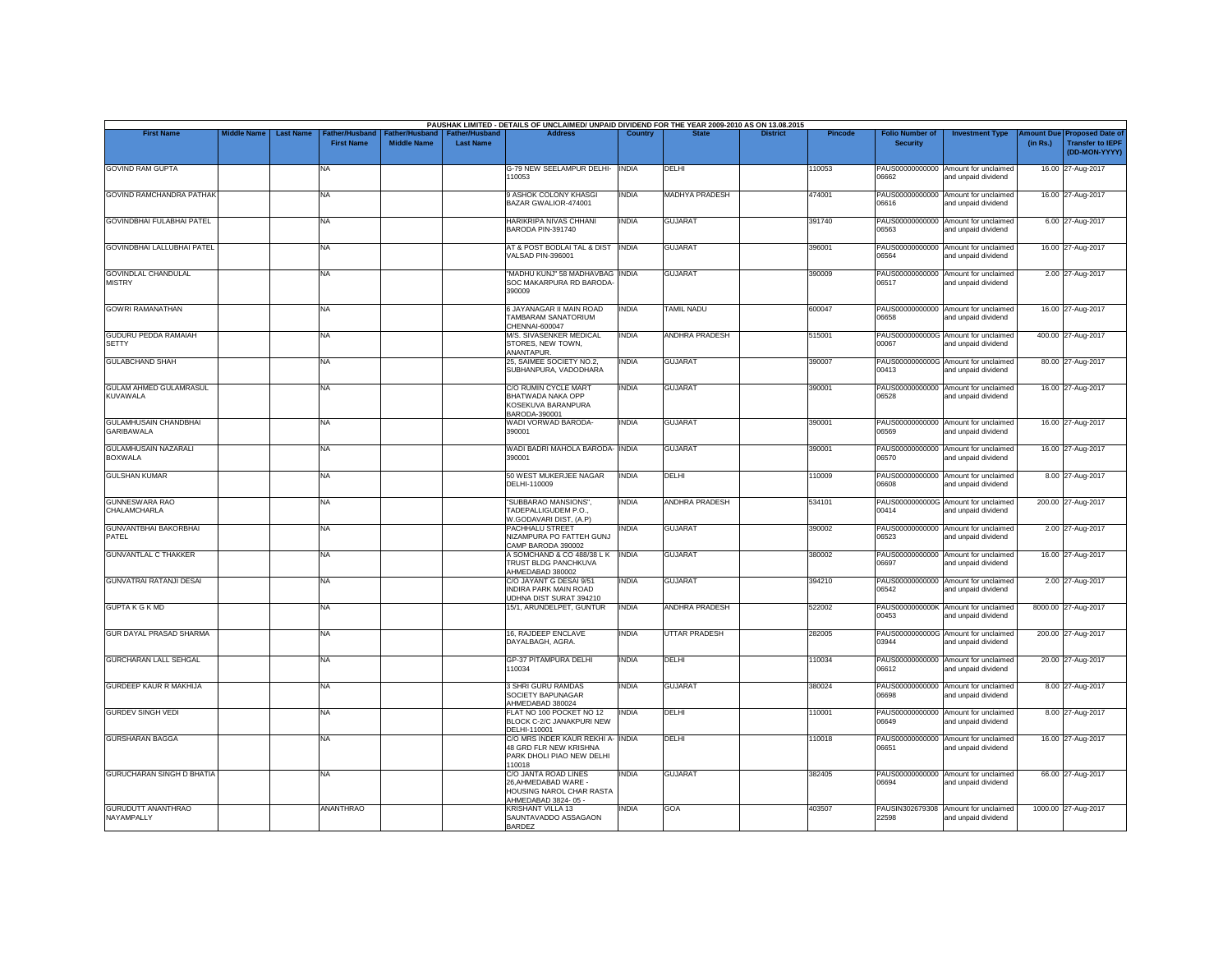| <b>First Name</b>                                 | <b>Middle Name</b> | <b>Last Name</b> | <b>Father/Husband</b> |                    | <b>Father/Hushand</b> | PAUSHAK LIMITED - DETAILS OF UNCLAIMED/ UNPAID DIVIDEND FOR THE YEAR 2009-2010 AS ON 13.08.2015<br><b>Address</b> | Country      |                       | <b>District</b> | Pincode | <b>Folio Number of</b>          | <b>Investment Type</b>                                      | mount Due | <b>Proposed Date of</b>                  |
|---------------------------------------------------|--------------------|------------------|-----------------------|--------------------|-----------------------|-------------------------------------------------------------------------------------------------------------------|--------------|-----------------------|-----------------|---------|---------------------------------|-------------------------------------------------------------|-----------|------------------------------------------|
|                                                   |                    |                  | <b>First Name</b>     | <b>Middle Name</b> | <b>Last Name</b>      |                                                                                                                   |              |                       |                 |         | <b>Security</b>                 |                                                             | (in Rs.)  | <b>Transfer to IEPF</b><br>(DD-MON-YYYY) |
| <b>GOVIND RAM GUPTA</b>                           |                    |                  | NA                    |                    |                       | G-79 NEW SEELAMPUR DELHI- INDIA<br>110053                                                                         |              | DELHI                 |                 | 110053  | PAUS00000000000<br>06662        | Amount for unclaimed<br>and unpaid dividend                 |           | 16.00 27-Aug-2017                        |
| <b>GOVIND RAMCHANDRA PATHAK</b>                   |                    |                  | NA                    |                    |                       | 9 ASHOK COLONY KHASGI<br>BAZAR GWALIOR-474001                                                                     | <b>INDIA</b> | <b>MADHYA PRADESH</b> |                 | 474001  | PAUS00000000000<br>06616        | Amount for unclaimed<br>and unpaid dividend                 |           | 16.00 27-Aug-2017                        |
| GOVINDBHAI FULABHAI PATEL                         |                    |                  | NA                    |                    |                       | HARIKRIPA NIVAS CHHANI<br>BARODA PIN-391740                                                                       | <b>INDIA</b> | <b>GUJARAT</b>        |                 | 391740  | 06563                           | PAUS00000000000 Amount for unclaimed<br>and unpaid dividend |           | 6.00 27-Aug-2017                         |
| GOVINDBHAI LALLUBHAI PATEL                        |                    |                  | NA                    |                    |                       | AT & POST BODLAI TAL & DIST INDIA<br>VALSAD PIN-396001                                                            |              | <b>GUJARAT</b>        |                 | 396001  | 06564                           | PAUS00000000000 Amount for unclaimed<br>and unpaid dividend |           | 16.00 27-Aug-2017                        |
| <b>GOVINDLAL CHANDULAL</b><br><b>MISTRY</b>       |                    |                  | <b>NA</b>             |                    |                       | "MADHU KUNJ" 58 MADHAVBAG INDIA<br>SOC MAKARPURA RD BARODA<br>390009                                              |              | <b>GUJARAT</b>        |                 | 390009  | 06517                           | PAUS00000000000 Amount for unclaimed<br>and unpaid dividend |           | 2.00 27-Aug-2017                         |
| <b>GOWRI RAMANATHAN</b>                           |                    |                  | NA                    |                    |                       | 6 JAYANAGAR II MAIN ROAD<br>TAMBARAM SANATORIUM<br>CHENNAI-600047                                                 | <b>INDIA</b> | <b>TAMIL NADU</b>     |                 | 600047  | PAUS00000000000<br>06658        | Amount for unclaimed<br>and unpaid dividend                 |           | 16.00 27-Aug-2017                        |
| <b>GUDURU PEDDA RAMAIAH</b><br><b>SETTY</b>       |                    |                  | NA                    |                    |                       | M/S. SIVASENKER MEDICAL<br>STORES, NEW TOWN,<br>ANANTAPUR.                                                        | <b>INDIA</b> | <b>ANDHRA PRADESH</b> |                 | 515001  | 00067                           | PAUS0000000000G Amount for unclaimed<br>and unpaid dividend |           | 400.00 27-Aug-2017                       |
| <b>GULABCHAND SHAH</b>                            |                    |                  | NA                    |                    |                       | 25. SAIMEE SOCIETY NO.2.<br>SUBHANPURA, VADODHARA                                                                 | <b>INDIA</b> | <b>GUJARAT</b>        |                 | 390007  | PAUS0000000000G<br>00413        | Amount for unclaimed<br>and unpaid dividend                 |           | 80.00 27-Aug-2017                        |
| <b>GULAM AHMED GULAMRASUL</b><br><b>KUVAWALA</b>  |                    |                  | <b>NA</b>             |                    |                       | C/O RUMIN CYCLE MART<br>BHATWADA NAKA OPP<br>KOSEKUVA BARANPURA<br>BARODA-390001                                  | <b>INDIA</b> | <b>GUJARAT</b>        |                 | 390001  | PAUS00000000000<br>06528        | Amount for unclaimed<br>and unpaid dividend                 |           | 16.00 27-Aug-2017                        |
| <b>GULAMHUSAIN CHANDBHAI</b><br><b>GARIBAWALA</b> |                    |                  | NA                    |                    |                       | WADI VORWAD BARODA-<br>390001                                                                                     | <b>INDIA</b> | <b>GUJARAT</b>        |                 | 390001  | 06569                           | PAUS00000000000 Amount for unclaimed<br>and unpaid dividend |           | 16.00 27-Aug-2017                        |
| <b>GULAMHUSAIN NAZARALI</b><br><b>BOXWALA</b>     |                    |                  | NA                    |                    |                       | WADI BADRI MAHOLA BARODA- INDIA<br>390001                                                                         |              | <b>GUJARAT</b>        |                 | 390001  | 06570                           | PAUS00000000000 Amount for unclaimed<br>and unpaid dividend |           | 16.00 27-Aug-2017                        |
| <b>GULSHAN KUMAR</b>                              |                    |                  | NA.                   |                    |                       | 50 WEST MUKERJEE NAGAR<br>DELHI-110009                                                                            | <b>INDIA</b> | DELHI                 |                 | 110009  | 80860                           | PAUS00000000000 Amount for unclaimed<br>and unpaid dividend |           | 8.00 27-Aug-2017                         |
| <b>GUNNESWARA RAO</b><br>CHALAMCHARLA             |                    |                  | <b>NA</b>             |                    |                       | "SUBBARAO MANSIONS",<br>TADEPALLIGUDEM P.O.,<br>W.GODAVARI DIST, (A.P)                                            | <b>INDIA</b> | ANDHRA PRADESH        |                 | 534101  | 00414                           | PAUS0000000000G Amount for unclaimed<br>and unpaid dividend |           | 200.00 27-Aug-2017                       |
| <b>GUNVANTBHAI BAKORBHAI</b><br>PATEL             |                    |                  | NA                    |                    |                       | PACHHALU STREET<br>NIZAMPURA PO FATTEH GUNJ<br>CAMP BARODA 390002                                                 | <b>INDIA</b> | <b>GUJARAT</b>        |                 | 390002  | 06523                           | PAUS00000000000 Amount for unclaimed<br>and unpaid dividend |           | 2.00 27-Aug-2017                         |
| <b>GUNVANTLAL C THAKKER</b>                       |                    |                  | NA                    |                    |                       | A SOMCHAND & CO 488/38 LK NDIA<br>TRUST BLDG PANCHKUVA<br>AHMEDABAD 380002                                        |              | <b>GUJARAT</b>        |                 | 380002  | 06697                           | PAUS00000000000 Amount for unclaimed<br>and unpaid dividend |           | 16.00 27-Aug-2017                        |
| <b>GUNVATRAI RATANJI DESAI</b>                    |                    |                  | NA                    |                    |                       | C/O JAYANT G DESAI 9/51<br><b>INDIRA PARK MAIN ROAD</b><br>UDHNA DIST SURAT 394210                                | <b>INDIA</b> | <b>GUJARAT</b>        |                 | 394210  | 06542                           | PAUS00000000000 Amount for unclaimed<br>and unpaid dividend |           | 2.00 27-Aug-2017                         |
| <b>GUPTAK G K MD</b>                              |                    |                  | NA                    |                    |                       | 15/1, ARUNDELPET, GUNTUR                                                                                          | <b>INDIA</b> | ANDHRA PRADESH        |                 | 522002  | 00453                           | PAUS0000000000K Amount for unclaimed<br>and unpaid dividend |           | 8000.00 27-Aug-2017                      |
| GUR DAYAL PRASAD SHARMA                           |                    |                  | <b>NA</b>             |                    |                       | 16, RAJDEEP ENCLAVE<br>DAYALBAGH, AGRA.                                                                           | <b>INDIA</b> | <b>UTTAR PRADESH</b>  |                 | 282005  | 03944                           | PAUS0000000000G Amount for unclaimed<br>and unpaid dividend |           | 200.00 27-Aug-2017                       |
| <b>GURCHARAN LALL SEHGAL</b>                      |                    |                  | NA                    |                    |                       | GP-37 PITAMPURA DELHI<br>110034                                                                                   | <b>INDIA</b> | DELHI                 |                 | 110034  | PAUS00000000000<br>06612        | Amount for unclaimed<br>and unpaid dividend                 |           | 20.00 27-Aug-2017                        |
| <b>GURDEEP KAUR R MAKHIJA</b>                     |                    |                  | <b>NA</b>             |                    |                       | 3 SHRI GURU RAMDAS<br>SOCIETY BAPUNAGAR<br>AHMEDABAD 380024                                                       | <b>INDIA</b> | <b>GUJARAT</b>        |                 | 380024  | PAUS00000000000<br><b>RPAAN</b> | Amount for unclaimed<br>and unpaid dividend                 |           | 8.00 27-Aug-2017                         |
| <b>GURDEV SINGH VEDI</b>                          |                    |                  | NA                    |                    |                       | FLAT NO 100 POCKET NO 12<br>BLOCK C-2/C JANAKPURI NEW<br>DELHI-110001                                             | <b>INDIA</b> | DELHI                 |                 | 110001  | PAUS00000000000<br>06649        | Amount for unclaimed<br>and unpaid dividend                 |           | 8.00 27-Aug-2017                         |
| <b>GURSHARAN BAGGA</b>                            |                    |                  | <b>NA</b>             |                    |                       | C/O MRS INDER KAUR REKHI A- INDIA<br>48 GRD FLR NEW KRISHNA<br>PARK DHOLI PIAO NEW DELHI<br>110018                |              | DELHI                 |                 | 110018  | 06651                           | PAUS00000000000 Amount for unclaimed<br>and unpaid dividend |           | 16.00 27-Aug-2017                        |
| <b>GURUCHARAN SINGH D BHATIA</b>                  |                    |                  | <b>NA</b>             |                    |                       | C/O JANTA ROAD LINES<br>26.AHMEDABAD WARE -<br>HOUSING NAROL CHAR RASTA<br>AHMEDABAD 3824-05 -                    | <b>INDIA</b> | <b>GUJARAT</b>        |                 | 382405  | PAUS00000000000<br>98694        | Amount for unclaimed<br>and unpaid dividend                 |           | 66.00 27-Aug-2017                        |
| <b>GURUDUTT ANANTHRAO</b><br>NAYAMPALLY           |                    |                  | <b>ANANTHRAO</b>      |                    |                       | KRISHANT VILLA 13<br>SAUNTAVADDO ASSAGAON<br><b>BARDEZ</b>                                                        | INDIA        | GOA                   |                 | 403507  | PAUSIN302679308<br>22598        | Amount for unclaimed<br>and unpaid dividend                 |           | 1000.00 27-Aug-2017                      |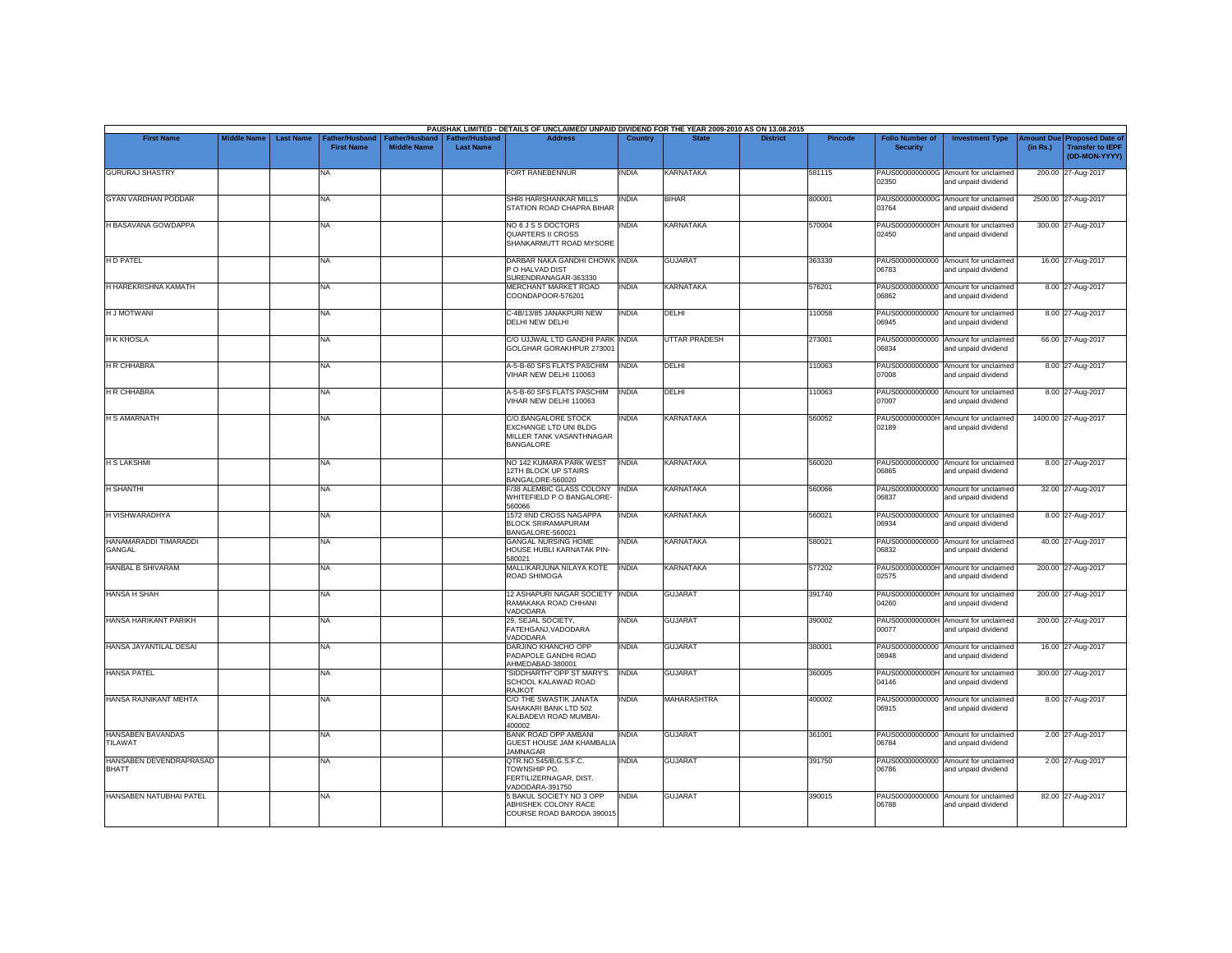|                                         |                    |                  |                                     |                                      |                                           | PAUSHAK LIMITED - DETAILS OF UNCLAIMED/ UNPAID DIVIDEND FOR THE YEAR 2009-2010 AS ON 13.08.2015 |                |                      |                 |                |                                           |                                                             |                       |                                                                     |
|-----------------------------------------|--------------------|------------------|-------------------------------------|--------------------------------------|-------------------------------------------|-------------------------------------------------------------------------------------------------|----------------|----------------------|-----------------|----------------|-------------------------------------------|-------------------------------------------------------------|-----------------------|---------------------------------------------------------------------|
| <b>First Name</b>                       | <b>Middle Name</b> | <b>Last Name</b> | Father/Husband<br><b>First Name</b> | Father/Husband<br><b>Middle Name</b> | <b>Father/Husband</b><br><b>Last Name</b> | <b>Address</b>                                                                                  | <b>Country</b> | <b>State</b>         | <b>District</b> | <b>Pincode</b> | <b>Folio Number of</b><br><b>Security</b> | <b>Investment Type</b>                                      | mount Due<br>(in Rs.) | <b>Proposed Date of</b><br><b>Transfer to IEPF</b><br>(DD-MON-YYYY) |
| <b>GURURAJ SHASTRY</b>                  |                    |                  | <b>NA</b>                           |                                      |                                           | FORT RANEBENNUR                                                                                 | INDIA          | KARNATAKA            |                 | 581115         | 02350                                     | PAUS0000000000G Amount for unclaimed<br>and unpaid dividend |                       | 200.00 27-Aug-2017                                                  |
| <b>GYAN VARDHAN PODDAR</b>              |                    |                  | <b>NA</b>                           |                                      |                                           | SHRI HARISHANKAR MILLS<br>STATION ROAD CHAPRA BIHAR                                             | <b>INDIA</b>   | <b>BIHAR</b>         |                 | 800001         | 03764                                     | PAUS0000000000G Amount for unclaimed<br>and unpaid dividend |                       | 2500.00 27-Aug-2017                                                 |
| H BASAVANA GOWDAPPA                     |                    |                  | <b>NA</b>                           |                                      |                                           | NO 6 J S S DOCTORS<br><b>QUARTERS II CROSS</b><br>SHANKARMUTT ROAD MYSORE                       | INDIA          | <b>KARNATAKA</b>     |                 | 570004         | 02450                                     | PAUS0000000000H Amount for unclaimed<br>and unpaid dividend |                       | 300.00 27-Aug-2017                                                  |
| <b>HD PATEL</b>                         |                    |                  | <b>NA</b>                           |                                      |                                           | DARBAR NAKA GANDHI CHOWK INDIA<br>P O HALVAD DIST<br>SURENDRANAGAR-363330                       |                | <b>GUJARAT</b>       |                 | 363330         | 06783                                     | PAUS00000000000 Amount for unclaimed<br>and unpaid dividend |                       | 16.00 27-Aug-2017                                                   |
| <b>H HAREKRISHNA KAMATH</b>             |                    |                  | <b>NA</b>                           |                                      |                                           | <b>MERCHANT MARKET ROAD</b><br>COONDAPOOR-576201                                                | <b>INDIA</b>   | <b>KARNATAKA</b>     |                 | 576201         | 06862                                     | PAUS00000000000 Amount for unclaimed<br>and unpaid dividend |                       | 8.00 27-Aug-2017                                                    |
| <b>HJ MOTWANI</b>                       |                    |                  | <b>NA</b>                           |                                      |                                           | C-4B/13/85 JANAKPURI NEW<br>DELHI NEW DELHI                                                     | <b>INDIA</b>   | DELHI                |                 | 110058         | 06945                                     | PAUS00000000000 Amount for unclaimed<br>and unpaid dividend |                       | 8.00 27-Aug-2017                                                    |
| <b>H K KHOSLA</b>                       |                    |                  | <b>NA</b>                           |                                      |                                           | C/O UJJWAL LTD GANDHI PARK INDIA<br>GOLGHAR GORAKHPUR 273001                                    |                | <b>UTTAR PRADESH</b> |                 | 273001         | 06834                                     | PAUS00000000000 Amount for unclaimed<br>and unpaid dividend |                       | 66.00 27-Aug-2017                                                   |
| <b>H R CHHABRA</b>                      |                    |                  | <b>NA</b>                           |                                      |                                           | A-5-B-60 SFS FLATS PASCHIM<br>VIHAR NEW DELHI 110063                                            | <b>INDIA</b>   | DELHI                |                 | 110063         | 07008                                     | PAUS00000000000 Amount for unclaimed<br>and unpaid dividend |                       | 8.00 27-Aug-2017                                                    |
| <b>H R CHHABRA</b>                      |                    |                  | <b>NA</b>                           |                                      |                                           | A-5-B-60 SFS FLATS PASCHIM<br>VIHAR NEW DELHI 110063                                            | <b>INDIA</b>   | DELHI                |                 | 110063         | PAUS00000000000<br>07007                  | Amount for unclaimed<br>and unpaid dividend                 |                       | 8.00 27-Aug-2017                                                    |
| <b>H S AMARNATH</b>                     |                    |                  | <b>NA</b>                           |                                      |                                           | C/O.BANGALORE STOCK<br>EXCHANGE LTD UNI BLDG<br>MILLER TANK VASANTHNAGAR<br>BANGALORE           | <b>INDIA</b>   | <b>KARNATAKA</b>     |                 | 560052         | 02189                                     | PAUS0000000000H Amount for unclaimed<br>and unpaid dividend |                       | 1400.00 27-Aug-2017                                                 |
| <b>H S LAKSHMI</b>                      |                    |                  | <b>NA</b>                           |                                      |                                           | NO 142 KUMARA PARK WEST<br>12TH BLOCK UP STAIRS<br>BANGALORE-560020                             | <b>INDIA</b>   | <b>KARNATAKA</b>     |                 | 560020         | 06865                                     | PAUS00000000000 Amount for unclaimed<br>and unpaid dividend |                       | 8.00 27-Aug-2017                                                    |
| H SHANTHI                               |                    |                  | <b>NA</b>                           |                                      |                                           | F/38 ALEMBIC GLASS COLONY<br>WHITEFIELD P O BANGALORE-<br>560066                                | <b>INDIA</b>   | <b>KARNATAKA</b>     |                 | 560066         | 06837                                     | PAUS00000000000 Amount for unclaimed<br>and unpaid dividend |                       | 32.00 27-Aug-2017                                                   |
| H VISHWARADHYA                          |                    |                  | <b>NA</b>                           |                                      |                                           | 1572 IIND CROSS NAGAPPA<br><b>BLOCK SRIRAMAPURAM</b><br>BANGALORE-560021                        | <b>INDIA</b>   | <b>KARNATAKA</b>     |                 | 560021         | 06934                                     | PAUS00000000000 Amount for unclaimed<br>and unpaid dividend |                       | 8.00 27-Aug-2017                                                    |
| HANAMARADDI TIMARADDI<br>GANGAL         |                    |                  | NA                                  |                                      |                                           | <b>GANGAL NURSING HOME</b><br>HOUSE HUBLI KARNATAK PIN-<br>580021                               | INDIA          | <b>KARNATAKA</b>     |                 | 580021         | 06832                                     | PAUS00000000000 Amount for unclaimed<br>and unpaid dividend |                       | 40.00 27-Aug-2017                                                   |
| HANBAL B SHIVARAM                       |                    |                  | <b>NA</b>                           |                                      |                                           | MALLIKARJUNA NILAYA KOTE<br>ROAD SHIMOGA                                                        | <b>INDIA</b>   | <b>KARNATAKA</b>     |                 | 577202         | 02575                                     | PAUS0000000000H Amount for unclaimed<br>and unpaid dividend |                       | 200.00 27-Aug-2017                                                  |
| <b>HANSA H SHAH</b>                     |                    |                  | <b>NA</b>                           |                                      |                                           | 12 ASHAPURI NAGAR SOCIETY INDIA<br>RAMAKAKA ROAD CHHANI<br>VADODARA                             |                | <b>GUJARAT</b>       |                 | 391740         | 04260                                     | PAUS0000000000H Amount for unclaimed<br>and unpaid dividend |                       | 200.00 27-Aug-2017                                                  |
| HANSA HARIKANT PARIKH                   |                    |                  | <b>NA</b>                           |                                      |                                           | 29, SEJAL SOCIETY,<br>FATEHGANJ.VADODARA<br>VADODARA                                            | <b>INDIA</b>   | <b>GUJARAT</b>       |                 | 390002         | 00077                                     | PAUS0000000000H Amount for unclaimed<br>and unpaid dividend |                       | 200.00 27-Aug-2017                                                  |
| HANSA JAYANTILAL DESAI                  |                    |                  | <b>NA</b>                           |                                      |                                           | DARJINO KHANCHO OPP<br>PADAPOLE GANDHI ROAD<br>AHMEDABAD-380001                                 | INDIA          | <b>GUJARAT</b>       |                 | 380001         | PAUS00000000000<br>06948                  | Amount for unclaimed<br>and unpaid dividend                 |                       | 16.00 27-Aug-2017                                                   |
| <b>HANSA PATEL</b>                      |                    |                  | <b>NA</b>                           |                                      |                                           | "SIDDHARTH" OPP ST MARY'S<br>SCHOOL KALAWAD ROAD<br><b>RAJKOT</b>                               | <b>INDIA</b>   | <b>GUJARAT</b>       |                 | 360005         | PAUS0000000000H<br>04146                  | Amount for unclaimed<br>and unpaid dividend                 |                       | 300.00 27-Aug-2017                                                  |
| <b>HANSA RAJNIKANT MEHTA</b>            |                    |                  | <b>NA</b>                           |                                      |                                           | C/O THE SWASTIK JANATA<br>SAHAKARI BANK LTD 502<br>KALBADEVI ROAD MUMBAI-<br>400002             | INDIA          | <b>MAHARASHTRA</b>   |                 | 400002         | 06915                                     | PAUS00000000000 Amount for unclaimed<br>and unpaid dividend |                       | 8.00 27-Aug-2017                                                    |
| <b>HANSABEN BAVANDAS</b><br>TILAWAT     |                    |                  | <b>NA</b>                           |                                      |                                           | BANK ROAD OPP AMBANI<br><b>GUEST HOUSE JAM KHAMBALIA</b><br><b>JAMNAGAR</b>                     | INDIA          | <b>GUJARAT</b>       |                 | 361001         | 06784                                     | PAUS00000000000 Amount for unclaimed<br>and unpaid dividend |                       | 2.00 27-Aug-2017                                                    |
| HANSABEN DEVENDRAPRASAD<br><b>BHATT</b> |                    |                  | <b>NA</b>                           |                                      |                                           | QTR.NO.545/B,G.S.F.C.<br>TOWNSHIP PO.<br>FERTILIZERNAGAR, DIST.<br>VADODARA-391750              | INDIA          | <b>GUJARAT</b>       |                 | 391750         | 06786                                     | PAUS00000000000 Amount for unclaimed<br>and unpaid dividend |                       | 2.00 27-Aug-2017                                                    |
| HANSABEN NATUBHAI PATEL                 |                    |                  | <b>NA</b>                           |                                      |                                           | 5 BAKUL SOCIETY NO 3 OPP<br>ABHISHEK COLONY RACE<br>COURSE ROAD BARODA 390015                   | <b>INDIA</b>   | <b>GUJARAT</b>       |                 | 390015         | PAUS00000000000<br>06788                  | Amount for unclaimed<br>and unpaid dividend                 |                       | 82.00 27-Aug-2017                                                   |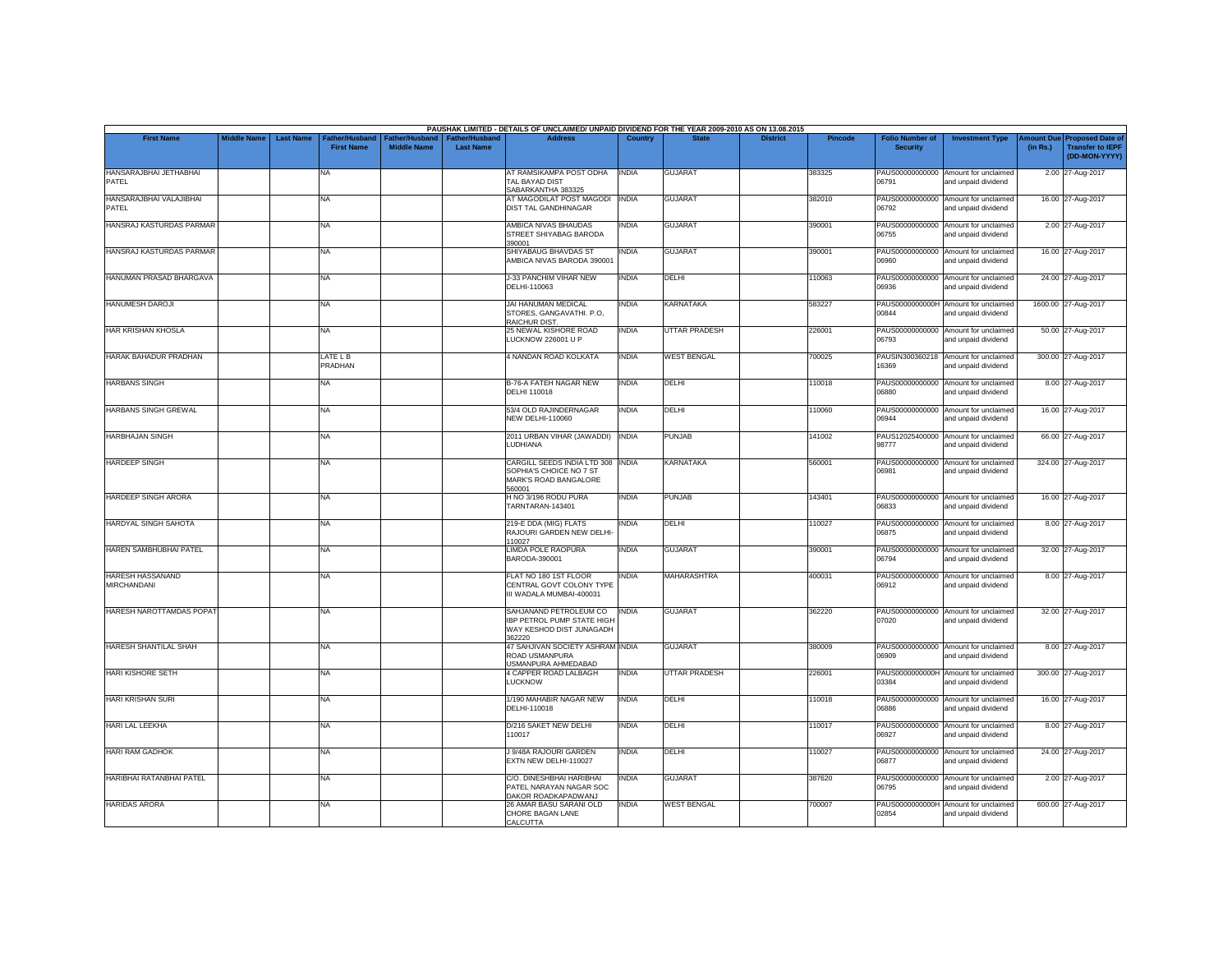|                                        |                    |                  |                                     |                                      |                                           | PAUSHAK LIMITED - DETAILS OF UNCLAIMED/ UNPAID DIVIDEND FOR THE YEAR 2009-2010 AS ON 13.08.2015 |              |                      |                 |                |                                           |                                                             |                       |                                                                     |
|----------------------------------------|--------------------|------------------|-------------------------------------|--------------------------------------|-------------------------------------------|-------------------------------------------------------------------------------------------------|--------------|----------------------|-----------------|----------------|-------------------------------------------|-------------------------------------------------------------|-----------------------|---------------------------------------------------------------------|
| <b>First Name</b>                      | <b>Middle Name</b> | <b>Last Name</b> | Father/Husband<br><b>First Name</b> | Father/Husband<br><b>Middle Name</b> | <b>Father/Husband</b><br><b>Last Name</b> | <b>Address</b>                                                                                  | Country      | <b>State</b>         | <b>District</b> | <b>Pincode</b> | <b>Folio Number of</b><br><b>Security</b> | <b>Investment Type</b>                                      | mount Due<br>(in Rs.) | <b>Proposed Date of</b><br><b>Transfer to IEPF</b><br>(DD-MON-YYYY) |
| HANSARAJBHAI JETHABHAI<br>PATEL        |                    |                  | <b>NA</b>                           |                                      |                                           | AT RAMSIKAMPA POST ODHA<br>TAL BAYAD DIST<br>SABARKANTHA 383325                                 | <b>INDIA</b> | <b>GUJARAT</b>       |                 | 383325         | 06791                                     | PAUS00000000000 Amount for unclaimed<br>and unpaid dividend |                       | 2.00 27-Aug-2017                                                    |
| HANSARAJBHAI VALAJIBHAI<br>PATEL       |                    |                  | <b>NA</b>                           |                                      |                                           | AT MAGODILAT POST MAGODI<br>DIST TAL GANDHINAGAR                                                | <b>INDIA</b> | <b>GUJARAT</b>       |                 | 382010         | 06792                                     | PAUS00000000000 Amount for unclaimed<br>and unpaid dividend |                       | 16.00 27-Aug-2017                                                   |
| HANSRAJ KASTURDAS PARMAR               |                    |                  | <b>NA</b>                           |                                      |                                           | AMBICA NIVAS BHAUDAS<br>STREET SHIYABAG BARODA<br>390001                                        | INDIA        | <b>GUJARAT</b>       |                 | 390001         | 06755                                     | PAUS00000000000 Amount for unclaimed<br>and unpaid dividend |                       | 2.00 27-Aug-2017                                                    |
| HANSRAJ KASTURDAS PARMAR               |                    |                  | <b>NA</b>                           |                                      |                                           | SHIYABAUG BHAVDAS ST<br>AMBICA NIVAS BARODA 390001                                              | <b>INDIA</b> | <b>GUJARAT</b>       |                 | 390001         | PAUS00000000000<br>06960                  | Amount for unclaimed<br>and unpaid dividend                 |                       | 16.00 27-Aug-2017                                                   |
| HANUMAN PRASAD BHARGAVA                |                    |                  | <b>NA</b>                           |                                      |                                           | J-33 PANCHIM VIHAR NEW<br>DELHI-110063                                                          | <b>INDIA</b> | <b>DELHI</b>         |                 | 110063         | 06936                                     | PAUS00000000000 Amount for unclaimed<br>and unpaid dividend |                       | 24.00 27-Aug-2017                                                   |
| <b>HANUMESH DAROJI</b>                 |                    |                  | <b>NA</b>                           |                                      |                                           | JAI HANUMAN MEDICAL<br>STORES, GANGAVATHI. P.O.<br>RAICHUR DIST.                                | INDIA        | <b>KARNATAKA</b>     |                 | 583227         | 00844                                     | PAUS0000000000H Amount for unclaimed<br>and unpaid dividend |                       | 1600.00 27-Aug-2017                                                 |
| HAR KRISHAN KHOSLA                     |                    |                  | <b>NA</b>                           |                                      |                                           | 25 NEWAL KISHORE ROAD<br>LUCKNOW 226001 U P                                                     | <b>INDIA</b> | <b>UTTAR PRADESH</b> |                 | 226001         | 06793                                     | PAUS00000000000 Amount for unclaimed<br>and unpaid dividend |                       | 50.00 27-Aug-2017                                                   |
| HARAK BAHADUR PRADHAN                  |                    |                  | LATE L B<br><b>PRADHAN</b>          |                                      |                                           | 4 NANDAN ROAD KOLKATA                                                                           | <b>INDIA</b> | <b>WEST BENGAL</b>   |                 | 700025         | PAUSIN300360218<br>16369                  | Amount for unclaimed<br>and unpaid dividend                 |                       | 300.00 27-Aug-2017                                                  |
| <b>HARBANS SINGH</b>                   |                    |                  | <b>NA</b>                           |                                      |                                           | <b>B-76-A FATEH NAGAR NEW</b><br>DELHI 110018                                                   | <b>INDIA</b> | DELHI                |                 | 110018         | PAUS00000000000<br>06880                  | Amount for unclaimed<br>and unpaid dividend                 |                       | 8.00 27-Aug-2017                                                    |
| HARBANS SINGH GREWAL                   |                    |                  | <b>NA</b>                           |                                      |                                           | 53/4 OLD RAJINDERNAGAR<br><b>NEW DELHI-110060</b>                                               | INDIA        | DELHI                |                 | 110060         | 06944                                     | PAUS00000000000 Amount for unclaimed<br>and unpaid dividend |                       | 16.00 27-Aug-2017                                                   |
| <b>HARBHAJAN SINGH</b>                 |                    |                  | <b>NA</b>                           |                                      |                                           | 2011 URBAN VIHAR (JAWADDI)   INDIA<br>LUDHIANA                                                  |              | <b>PUNJAB</b>        |                 | 141002         | 98777                                     | PAUS12025400000 Amount for unclaimed<br>and unpaid dividend |                       | 66.00 27-Aug-2017                                                   |
| <b>HARDEEP SINGH</b>                   |                    |                  | <b>NA</b>                           |                                      |                                           | CARGILL SEEDS INDIA LTD 308 INDIA<br>SOPHIA'S CHOICE NO 7 ST<br>MARK'S ROAD BANGALORE<br>560001 |              | <b>KARNATAKA</b>     |                 | 560001         | PAUS00000000000<br>06981                  | Amount for unclaimed<br>and unpaid dividend                 |                       | 324.00 27-Aug-2017                                                  |
| <b>HARDEEP SINGH ARORA</b>             |                    |                  | <b>NA</b>                           |                                      |                                           | H NO 3/196 RODU PURA<br>TARNTARAN-143401                                                        | <b>INDIA</b> | <b>PUNJAB</b>        |                 | 143401         | 06833                                     | PAUS00000000000 Amount for unclaimed<br>and unpaid dividend |                       | 16.00 27-Aug-2017                                                   |
| <b>HARDYAL SINGH SAHOTA</b>            |                    |                  | <b>NA</b>                           |                                      |                                           | 219-E DDA (MIG) FLATS<br>RAJOURI GARDEN NEW DELHI-<br>110027                                    | INDIA        | DELHI                |                 | 110027         | PAUS00000000000<br>06875                  | Amount for unclaimed<br>and unpaid dividend                 |                       | 8.00 27-Aug-2017                                                    |
| HAREN SAMBHUBHAI PATEL                 |                    |                  | <b>NA</b>                           |                                      |                                           | LIMDA POLE RAOPURA<br>BARODA-390001                                                             | <b>INDIA</b> | <b>GUJARAT</b>       |                 | 390001         | 06794                                     | PAUS00000000000 Amount for unclaimed<br>and unpaid dividend |                       | 32.00 27-Aug-2017                                                   |
| HARESH HASSANAND<br><b>MIRCHANDANI</b> |                    |                  | <b>NA</b>                           |                                      |                                           | FLAT NO 180 1ST FLOOR<br>CENTRAL GOVT COLONY TYPE<br>III WADALA MUMBAI-400031                   | <b>INDIA</b> | <b>MAHARASHTRA</b>   |                 | 400031         | 06912                                     | PAUS00000000000 Amount for unclaimed<br>and unpaid dividend |                       | 8.00 27-Aug-2017                                                    |
| HARESH NAROTTAMDAS POPAT               |                    |                  | <b>NA</b>                           |                                      |                                           | SAHJANAND PETROLEUM CO<br>IBP PETROL PUMP STATE HIGH<br>WAY KESHOD DIST JUNAGADH<br>362220      | <b>INDIA</b> | <b>GUJARAT</b>       |                 | 362220         | 07020                                     | PAUS00000000000 Amount for unclaimed<br>and unpaid dividend |                       | 32.00 27-Aug-2017                                                   |
| HARESH SHANTILAL SHAH                  |                    |                  | <b>NA</b>                           |                                      |                                           | 47 SAHJIVAN SOCIETY ASHRAM INDIA<br>ROAD USMANPURA<br>JSMANPURA AHMEDABAD                       |              | <b>GUJARAT</b>       |                 | 380009         | 06909                                     | PAUS00000000000 Amount for unclaimed<br>and unpaid dividend |                       | 8.00 27-Aug-2017                                                    |
| <b>HARI KISHORE SETH</b>               |                    |                  | <b>NA</b>                           |                                      |                                           | <b>4 CAPPER ROAD LALBAGH</b><br><b>LUCKNOW</b>                                                  | INDIA        | <b>UTTAR PRADESH</b> |                 | 226001         | 03384                                     | PAUS0000000000H Amount for unclaimed<br>and unpaid dividend |                       | 300.00 27-Aug-2017                                                  |
| HARI KRISHAN SURI                      |                    |                  | <b>NA</b>                           |                                      |                                           | 1/190 MAHABIR NAGAR NEW<br>DELHI-110018                                                         | <b>INDIA</b> | DELHI                |                 | 110018         | 06886                                     | PAUS00000000000 Amount for unclaimed<br>and unpaid dividend |                       | 16.00 27-Aug-2017                                                   |
| HARI LAL LEEKHA                        |                    |                  | NA                                  |                                      |                                           | D/216 SAKET NEW DELHI<br>110017                                                                 | INDIA        | DELHI                |                 | 110017         | 06927                                     | PAUS00000000000 Amount for unclaimed<br>and unpaid dividend |                       | 8.00 27-Aug-2017                                                    |
| <b>HARI RAM GADHOK</b>                 |                    |                  | <b>NA</b>                           |                                      |                                           | J 9/48A RAJOURI GARDEN<br>EXTN NEW DELHI-110027                                                 | <b>INDIA</b> | DELHI                |                 | 110027         | 06877                                     | PAUS00000000000 Amount for unclaimed<br>and unpaid dividend |                       | 24.00 27-Aug-2017                                                   |
| HARIBHAI RATANBHAI PATEL               |                    |                  | <b>NA</b>                           |                                      |                                           | C/O. DINESHBHAI HARIBHAI<br>PATEL NARAYAN NAGAR SOC<br>DAKOR ROADKAPADWANJ                      | <b>INDIA</b> | <b>GUJARAT</b>       |                 | 387620         | 06795                                     | PAUS00000000000 Amount for unclaimed<br>and unpaid dividend |                       | 2.00 27-Aug-2017                                                    |
| <b>HARIDAS ARORA</b>                   |                    |                  | <b>NA</b>                           |                                      |                                           | 26 AMAR BASU SARANI OLD<br>CHORE BAGAN LANE<br>CALCUTTA                                         | <b>INDIA</b> | <b>WEST BENGAL</b>   |                 | 700007         | PAUS0000000000H<br>02854                  | Amount for unclaimed<br>and unpaid dividend                 |                       | 600.00 27-Aug-2017                                                  |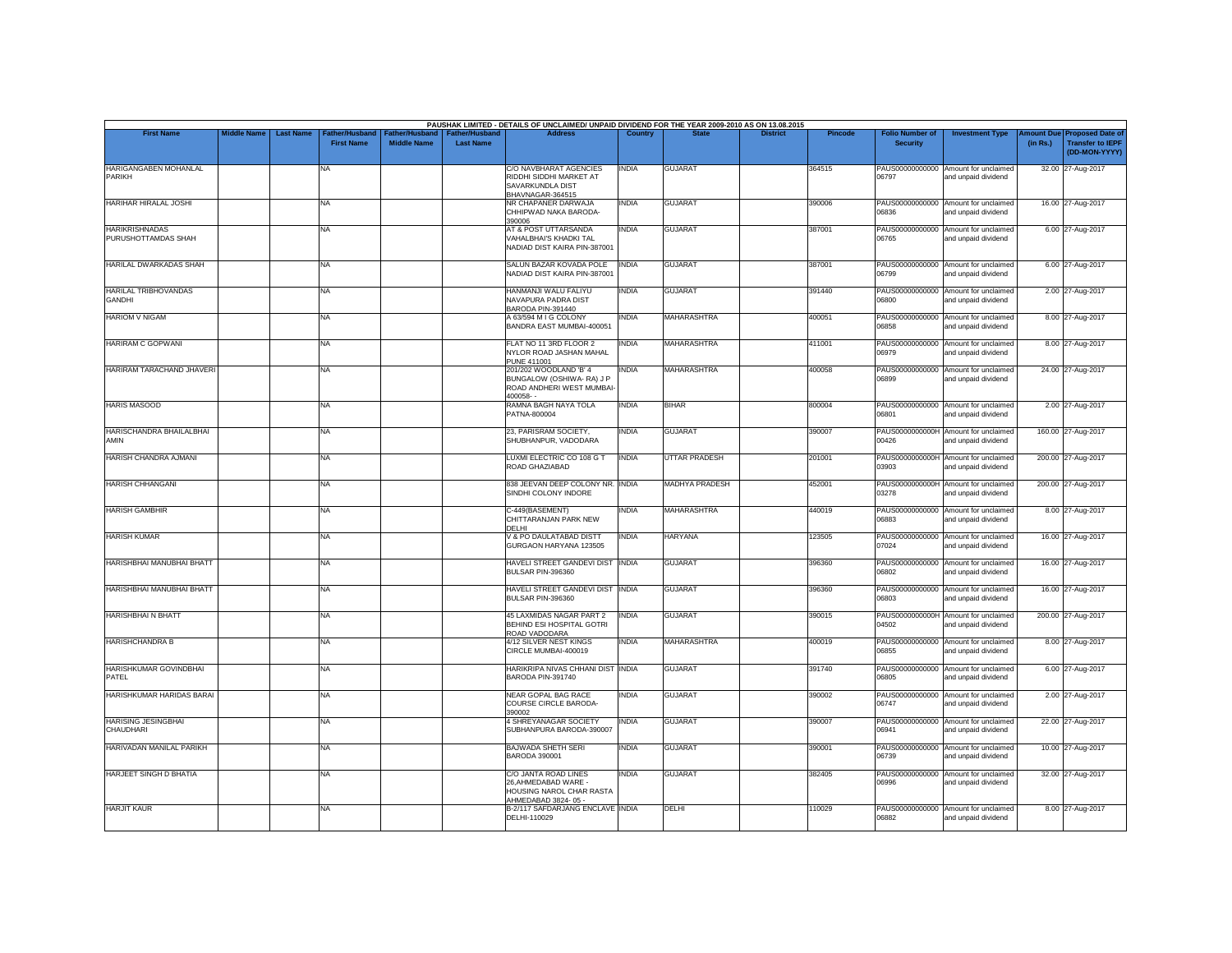| <b>First Name</b>                            | <b>Middle Name</b> | <b>Last Name</b> | Father/Husband    | Father/Husband     | <b>Father/Husband</b> | <b>Address</b>                                                                                   | Country      |                    | <b>District</b> | <b>Pincode</b> | <b>Folio Number of</b>   | <b>Investment Type</b>                                      | <b>Imount Due</b> | <b>Proposed Date of</b>                  |
|----------------------------------------------|--------------------|------------------|-------------------|--------------------|-----------------------|--------------------------------------------------------------------------------------------------|--------------|--------------------|-----------------|----------------|--------------------------|-------------------------------------------------------------|-------------------|------------------------------------------|
|                                              |                    |                  | <b>First Name</b> | <b>Middle Name</b> | <b>Last Name</b>      |                                                                                                  |              |                    |                 |                | <b>Security</b>          |                                                             | (in Rs.)          | <b>Transfer to IEPF</b><br>(DD-MON-YYYY) |
| <b>HARIGANGABEN MOHANLAL</b><br>PARIKH       |                    |                  | NA                |                    |                       | <b>C/O NAVBHARAT AGENCIES</b><br>RIDDHI SIDDHI MARKET AT<br>SAVARKUNDLA DIST<br>BHAVNAGAR-364515 | <b>INDIA</b> | <b>GUJARAT</b>     |                 | 364515         | 06797                    | PAUS00000000000 Amount for unclaimed<br>and unpaid dividend |                   | 32.00 27-Aug-2017                        |
| HARIHAR HIRALAL JOSHI                        |                    |                  | NA                |                    |                       | NR CHAPANER DARWAJA<br>CHHIPWAD NAKA BARODA-<br>390006                                           | <b>INDIA</b> | <b>GUJARAT</b>     |                 | 390006         | 06836                    | PAUS00000000000 Amount for unclaimed<br>and unpaid dividend |                   | 16.00 27-Aug-2017                        |
| <b>HARIKRISHNADAS</b><br>PURUSHOTTAMDAS SHAH |                    |                  | NA                |                    |                       | AT & POST UTTARSANDA<br><b>VAHALBHAI'S KHADKI TAL</b><br>NADIAD DIST KAIRA PIN-387001            | <b>INDIA</b> | <b>GUJARAT</b>     |                 | 387001         | 06765                    | PAUS00000000000 Amount for unclaimed<br>and unpaid dividend |                   | 6.00 27-Aug-2017                         |
| HARILAL DWARKADAS SHAH                       |                    |                  | <b>NA</b>         |                    |                       | SALUN BAZAR KOVADA POLE<br>NADIAD DIST KAIRA PIN-387001                                          | <b>INDIA</b> | <b>GUJARAT</b>     |                 | 387001         | 06799                    | PAUS00000000000 Amount for unclaimed<br>and unpaid dividend |                   | 6.00 27-Aug-2017                         |
| <b>HARILAL TRIBHOVANDAS</b><br>GANDHI        |                    |                  | NA                |                    |                       | HANMANJI WALU FALIYU<br>NAVAPURA PADRA DIST<br>BARODA PIN-391440                                 | <b>INDIA</b> | <b>GUJARAT</b>     |                 | 391440         | 06800                    | PAUS00000000000 Amount for unclaimed<br>and unpaid dividend |                   | 2.00 27-Aug-2017                         |
| <b>HARIOM V NIGAM</b>                        |                    |                  | NA                |                    |                       | A 63/594 M I G COLONY<br>BANDRA EAST MUMBAI-400051                                               | <b>INDIA</b> | <b>MAHARASHTRA</b> |                 | 400051         | 06858                    | PAUS00000000000 Amount for unclaimed<br>and unpaid dividend |                   | 8.00 27-Aug-2017                         |
| HARIRAM C GOPWANI                            |                    |                  | NA                |                    |                       | FLAT NO 11 3RD FLOOR 2<br>NYLOR ROAD JASHAN MAHAL<br><b>PUNE 411001</b>                          | <b>INDIA</b> | MAHARASHTRA        |                 | 411001         | 06979                    | PAUS00000000000 Amount for unclaimed<br>and unpaid dividend |                   | 8.00 27-Aug-2017                         |
| HARIRAM TARACHAND JHAVERI                    |                    |                  | NA                |                    |                       | 201/202 WOODLAND 'B' 4<br>BUNGALOW (OSHIWA- RA) J P<br>ROAD ANDHERI WEST MUMBAI<br>400058-       | <b>INDIA</b> | <b>MAHARASHTRA</b> |                 | 400058         | 06899                    | PAUS00000000000 Amount for unclaimed<br>and unpaid dividend |                   | 24.00 27-Aug-2017                        |
| <b>HARIS MASOOD</b>                          |                    |                  | <b>NA</b>         |                    |                       | RAMNA BAGH NAYA TOLA<br>PATNA-800004                                                             | <b>INDIA</b> | <b>BIHAR</b>       |                 | 800004         | 06801                    | PAUS00000000000 Amount for unclaimed<br>and unpaid dividend |                   | 2.00 27-Aug-2017                         |
| HARISCHANDRA BHAILALBHAI<br>AMIN             |                    |                  | NA                |                    |                       | 23, PARISRAM SOCIETY,<br>SHUBHANPUR, VADODARA                                                    | <b>INDIA</b> | <b>GUJARAT</b>     |                 | 390007         | 00426                    | PAUS0000000000H Amount for unclaimed<br>and unpaid dividend |                   | 160.00 27-Aug-2017                       |
| HARISH CHANDRA AJMANI                        |                    |                  | NA                |                    |                       | LUXMI ELECTRIC CO 108 G T<br>ROAD GHAZIABAD                                                      | <b>INDIA</b> | UTTAR PRADESH      |                 | 201001         | 03903                    | PAUS0000000000H Amount for unclaimed<br>and unpaid dividend |                   | 200.00 27-Aug-2017                       |
| <b>HARISH CHHANGANI</b>                      |                    |                  | NA                |                    |                       | 838 JEEVAN DEEP COLONY NR. INDIA<br>SINDHI COLONY INDORE                                         |              | MADHYA PRADESH     |                 | 452001         | 03278                    | PAUS0000000000H Amount for unclaimed<br>and unpaid dividend |                   | 200.00 27-Aug-2017                       |
| <b>HARISH GAMBHIR</b>                        |                    |                  | NA                |                    |                       | C-449(BASEMENT)<br>CHITTARANJAN PARK NEW<br>DFI HI                                               | <b>INDIA</b> | <b>MAHARASHTRA</b> |                 | 440019         | 06883                    | PAUS00000000000 Amount for unclaimed<br>and unpaid dividend |                   | 8.00 27-Aug-2017                         |
| <b>HARISH KUMAR</b>                          |                    |                  | NA                |                    |                       | V & PO DAULATABAD DISTT<br>GURGAON HARYANA 123505                                                | <b>INDIA</b> | <b>HARYANA</b>     |                 | 23505          | 07024                    | PAUS00000000000 Amount for unclaimed<br>and unpaid dividend |                   | 16.00 27-Aug-2017                        |
| HARISHBHAI MANUBHAI BHATT                    |                    |                  | NA                |                    |                       | HAVELI STREET GANDEVI DIST INDIA<br>BULSAR PIN-396360                                            |              | <b>GUJARAT</b>     |                 | 396360         | 06802                    | PAUS00000000000 Amount for unclaimed<br>and unpaid dividend |                   | 16.00 27-Aug-2017                        |
| HARISHBHAI MANUBHAI BHATT                    |                    |                  | NA                |                    |                       | HAVELI STREET GANDEVI DIST INDIA<br>BULSAR PIN-396360                                            |              | <b>GUJARAT</b>     |                 | 396360         | <b>CO830</b>             | PAUS00000000000 Amount for unclaimed<br>and unpaid dividend |                   | 16.00 27-Aug-2017                        |
| <b>HARISHBHAI N BHATT</b>                    |                    |                  | NA                |                    |                       | 45 LAXMIDAS NAGAR PART 2<br><b>BEHIND ESI HOSPITAL GOTRI</b><br>ROAD VADODARA                    | <b>INDIA</b> | <b>GUJARAT</b>     |                 | 390015         | 04502                    | PAUS0000000000H Amount for unclaimed<br>and unpaid dividend |                   | 200.00 27-Aug-2017                       |
| <b>HARISHCHANDRA B</b>                       |                    |                  | NA                |                    |                       | 4/12 SILVER NEST KINGS<br>CIRCLE MUMBAI-400019                                                   | <b>INDIA</b> | <b>MAHARASHTRA</b> |                 | 400019         | 06855                    | PAUS00000000000 Amount for unclaimed<br>and unpaid dividend |                   | 8.00 27-Aug-2017                         |
| <b>HARISHKUMAR GOVINDBHAI</b><br>PATFI       |                    |                  | <b>NA</b>         |                    |                       | HARIKRIPA NIVAS CHHANI DIST INDIA<br>BARODA PIN-391740                                           |              | <b>GUJARAT</b>     |                 | 391740         | PAUS00000000000<br>06805 | Amount for unclaimed<br>and unpaid dividend                 |                   | 6.00 27-Aug-2017                         |
| HARISHKUMAR HARIDAS BARAI                    |                    |                  | NA                |                    |                       | NEAR GOPAL BAG RACE<br>COURSE CIRCLE BARODA-<br>390002                                           | <b>INDIA</b> | <b>GUJARAT</b>     |                 | 390002         | 06747                    | PAUS00000000000 Amount for unclaimed<br>and unpaid dividend |                   | 2.00 27-Aug-2017                         |
| <b>HARISING JESINGBHAI</b><br>CHAUDHARI      |                    |                  | NA.               |                    |                       | 4 SHREYANAGAR SOCIETY<br>SUBHANPURA BARODA-390007                                                | <b>INDIA</b> | <b>GUJARAT</b>     |                 | 390007         | 06941                    | PAUS00000000000 Amount for unclaimed<br>and unpaid dividend |                   | 22.00 27-Aug-2017                        |
| HARIVADAN MANILAL PARIKH                     |                    |                  | NA                |                    |                       | <b>BAJWADA SHETH SERI</b><br>BARODA 390001                                                       | <b>INDIA</b> | <b>GUJARAT</b>     |                 | 390001         | 06739                    | PAUS00000000000 Amount for unclaimed<br>and unpaid dividend |                   | 10.00 27-Aug-2017                        |
| <b>HARJEET SINGH D BHATIA</b>                |                    |                  | NA                |                    |                       | C/O JANTA ROAD LINES<br>26, AHMEDABAD WARE -<br>HOUSING NAROL CHAR RASTA<br>AHMEDABAD 3824-05 -  | <b>INDIA</b> | <b>GUJARAT</b>     |                 | 382405         | 06996                    | PAUS00000000000 Amount for unclaimed<br>and unpaid dividend |                   | 32.00 27-Aug-2017                        |
| <b>HARJIT KAUR</b>                           |                    |                  | NA                |                    |                       | B-2/117 SAFDARJANG ENCLAVE INDIA<br>DELHI-110029                                                 |              | DELHI              |                 | 110029         | 06882                    | PAUS00000000000 Amount for unclaimed<br>and unpaid dividend |                   | 8.00 27-Aug-2017                         |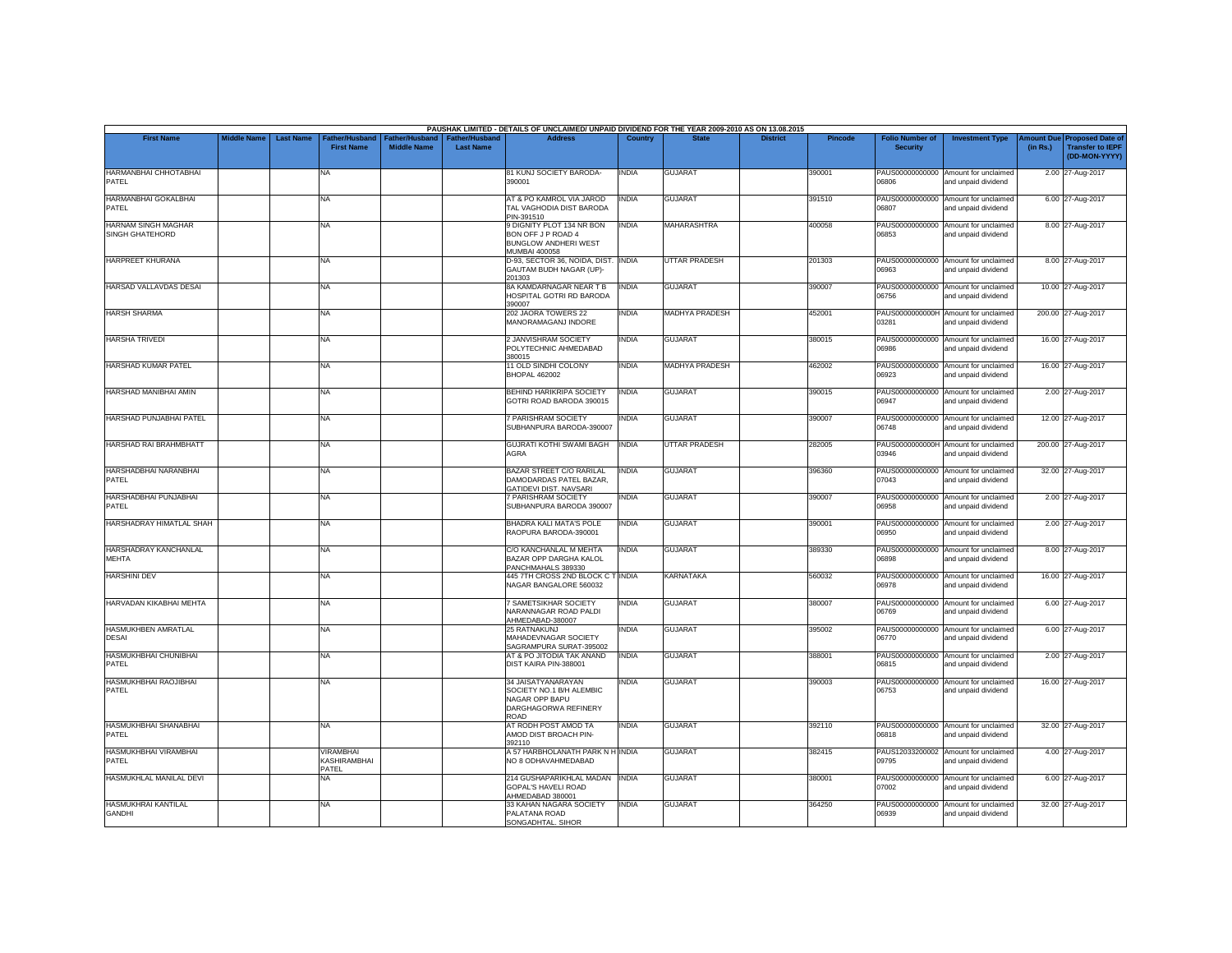|                                               |                    |                  |                                           |                                      |                                           | PAUSHAK LIMITED - DETAILS OF UNCLAIMED/ UNPAID DIVIDEND FOR THE YEAR 2009-2010 AS ON 13.08.2015        |              |                       |                 |                |                                           |                                                             |                       |                                                                     |
|-----------------------------------------------|--------------------|------------------|-------------------------------------------|--------------------------------------|-------------------------------------------|--------------------------------------------------------------------------------------------------------|--------------|-----------------------|-----------------|----------------|-------------------------------------------|-------------------------------------------------------------|-----------------------|---------------------------------------------------------------------|
| <b>First Name</b>                             | <b>Middle Name</b> | <b>Last Name</b> | Father/Husband<br><b>First Name</b>       | Father/Husband<br><b>Middle Name</b> | <b>Father/Husband</b><br><b>Last Name</b> | <b>Address</b>                                                                                         | Country      | <b>State</b>          | <b>District</b> | <b>Pincode</b> | <b>Folio Number of</b><br><b>Security</b> | <b>Investment Type</b>                                      | mount Due<br>(in Rs.) | <b>Proposed Date of</b><br><b>Transfer to IEPF</b><br>(DD-MON-YYYY) |
| HARMANBHAI CHHOTABHAI<br>PATEL                |                    |                  | <b>NA</b>                                 |                                      |                                           | 81 KUNJ SOCIETY BARODA-<br>390001                                                                      | <b>INDIA</b> | <b>GUJARAT</b>        |                 | 390001         | 06806                                     | PAUS00000000000 Amount for unclaimed<br>and unpaid dividend |                       | 2.00 27-Aug-2017                                                    |
| HARMANBHAI GOKALBHAI<br>PATEL                 |                    |                  | <b>NA</b>                                 |                                      |                                           | AT & PO KAMROL VIA JAROD<br>TAL VAGHODIA DIST BARODA<br>PIN-391510                                     | <b>INDIA</b> | <b>GUJARAT</b>        |                 | 391510         | 06807                                     | PAUS00000000000 Amount for unclaimed<br>and unpaid dividend |                       | 6.00 27-Aug-2017                                                    |
| <b>HARNAM SINGH MAGHAR</b><br>SINGH GHATEHORD |                    |                  | <b>NA</b>                                 |                                      |                                           | 9 DIGNITY PLOT 134 NR BON<br>BON OFF J P ROAD 4<br><b>BUNGLOW ANDHERI WEST</b><br><b>MUMBAI 400058</b> | <b>INDIA</b> | <b>MAHARASHTRA</b>    |                 | 400058         | 06853                                     | PAUS00000000000 Amount for unclaimed<br>and unpaid dividend |                       | 8.00 27-Aug-2017                                                    |
| <b>HARPREET KHURANA</b>                       |                    |                  | <b>NA</b>                                 |                                      |                                           | D-93, SECTOR 36, NOIDA, DIST.<br>GAUTAM BUDH NAGAR (UP)-<br>201303                                     | <b>INDIA</b> | <b>UTTAR PRADESH</b>  |                 | 201303         | 06963                                     | PAUS00000000000 Amount for unclaimed<br>and unpaid dividend |                       | 8.00 27-Aug-2017                                                    |
| HARSAD VALLAVDAS DESAI                        |                    |                  | <b>NA</b>                                 |                                      |                                           | 8A KAMDARNAGAR NEAR T B<br>HOSPITAL GOTRI RD BARODA<br>390007                                          | <b>INDIA</b> | <b>GUJARAT</b>        |                 | 390007         | 06756                                     | PAUS00000000000 Amount for unclaimed<br>and unpaid dividend |                       | 10.00 27-Aug-2017                                                   |
| <b>HARSH SHARMA</b>                           |                    |                  | <b>NA</b>                                 |                                      |                                           | 202 JAORA TOWERS 22<br>MANORAMAGANJ INDORE                                                             | <b>INDIA</b> | <b>MADHYA PRADESH</b> |                 | 452001         | 03281                                     | PAUS0000000000H Amount for unclaimed<br>and unpaid dividend |                       | 200.00 27-Aug-2017                                                  |
| <b>HARSHA TRIVEDI</b>                         |                    |                  | <b>NA</b>                                 |                                      |                                           | 2 JANVISHRAM SOCIETY<br>POLYTECHNIC AHMEDABAD<br>380015                                                | <b>INDIA</b> | <b>GUJARAT</b>        |                 | 380015         | 06986                                     | PAUS00000000000 Amount for unclaimed<br>and unpaid dividend |                       | 16.00 27-Aug-2017                                                   |
| HARSHAD KUMAR PATEL                           |                    |                  | <b>NA</b>                                 |                                      |                                           | 11 OLD SINDHI COLONY<br><b>BHOPAL 462002</b>                                                           | <b>INDIA</b> | <b>MADHYA PRADESH</b> |                 | 462002         | 06923                                     | PAUS00000000000 Amount for unclaimed<br>and unpaid dividend |                       | 16.00 27-Aug-2017                                                   |
| <b>HARSHAD MANIBHAI AMIN</b>                  |                    |                  | <b>NA</b>                                 |                                      |                                           | <b>BEHIND HARIKRIPA SOCIETY</b><br>GOTRI ROAD BARODA 390015                                            | <b>INDIA</b> | <b>GUJARAT</b>        |                 | 390015         | PAUS00000000000<br>06947                  | Amount for unclaimed<br>and unpaid dividend                 |                       | 2.00 27-Aug-2017                                                    |
| HARSHAD PUNJABHAI PATEL                       |                    |                  | <b>NA</b>                                 |                                      |                                           | 7 PARISHRAM SOCIETY<br>SUBHANPURA BARODA-390007                                                        | <b>INDIA</b> | <b>GUJARAT</b>        |                 | 390007         | 06748                                     | PAUS00000000000 Amount for unclaimed<br>and unpaid dividend |                       | 12.00 27-Aug-2017                                                   |
| HARSHAD RAI BRAHMBHATT                        |                    |                  | <b>NA</b>                                 |                                      |                                           | <b>GUJRATI KOTHI SWAMI BAGH</b><br><b>AGRA</b>                                                         | <b>INDIA</b> | <b>UTTAR PRADESH</b>  |                 | 282005         | 03946                                     | PAUS0000000000H Amount for unclaimed<br>and unpaid dividend |                       | 200.00 27-Aug-2017                                                  |
| HARSHADBHAI NARANBHAI<br>PATEL                |                    |                  | <b>NA</b>                                 |                                      |                                           | BAZAR STREET C/O RARILAL<br>DAMODARDAS PATEL BAZAR,<br>GATIDEVI DIST. NAVSARI                          | <b>INDIA</b> | <b>GUJARAT</b>        |                 | 396360         | 07043                                     | PAUS00000000000 Amount for unclaimed<br>and unpaid dividend |                       | 32.00 27-Aug-2017                                                   |
| HARSHADBHAI PUNJABHAI<br>PATEL                |                    |                  | <b>NA</b>                                 |                                      |                                           | 7 PARISHRAM SOCIETY<br>SUBHANPURA BARODA 390007                                                        | <b>INDIA</b> | <b>GUJARAT</b>        |                 | 390007         | 06958                                     | PAUS00000000000 Amount for unclaimed<br>and unpaid dividend |                       | 2.00 27-Aug-2017                                                    |
| HARSHADRAY HIMATLAL SHAH                      |                    |                  | <b>NA</b>                                 |                                      |                                           | <b>BHADRA KALI MATA'S POLE</b><br>RAOPURA BARODA-390001                                                | <b>INDIA</b> | <b>GUJARAT</b>        |                 | 390001         | PAUS00000000000<br>06950                  | Amount for unclaimed<br>and unpaid dividend                 |                       | 2.00 27-Aug-2017                                                    |
| HARSHADRAY KANCHANLAL<br><b>MEHTA</b>         |                    |                  | <b>NA</b>                                 |                                      |                                           | C/O KANCHANLAL M MEHTA<br>BAZAR OPP DARGHA KALOL<br>PANCHMAHALS 389330                                 | <b>INDIA</b> | <b>GUJARAT</b>        |                 | 389330         | 88880                                     | PAUS00000000000 Amount for unclaimed<br>and unpaid dividend |                       | 8.00 27-Aug-2017                                                    |
| <b>HARSHINI DEV</b>                           |                    |                  | <b>NA</b>                                 |                                      |                                           | 445 7TH CROSS 2ND BLOCK C T INDIA<br>NAGAR BANGALORE 560032                                            |              | <b>KARNATAKA</b>      |                 | 560032         | 06978                                     | PAUS00000000000 Amount for unclaimed<br>and unpaid dividend |                       | 16.00 27-Aug-2017                                                   |
| HARVADAN KIKABHAI MEHTA                       |                    |                  | <b>NA</b>                                 |                                      |                                           | <b>7 SAMETSIKHAR SOCIETY</b><br>NARANNAGAR ROAD PALDI<br>AHMEDABAD-380007                              | <b>INDIA</b> | <b>GUJARAT</b>        |                 | 380007         | 06769                                     | PAUS00000000000 Amount for unclaimed<br>and unpaid dividend |                       | 6.00 27-Aug-2017                                                    |
| HASMUKHBEN AMRATLAL<br><b>DESAI</b>           |                    |                  | <b>NA</b>                                 |                                      |                                           | <b>25 RATNAKUNJ</b><br>MAHADEVNAGAR SOCIETY<br>SAGRAMPURA SURAT-395002                                 | <b>INDIA</b> | <b>GUJARAT</b>        |                 | 395002         | 06770                                     | PAUS00000000000 Amount for unclaimed<br>and unpaid dividend |                       | 6.00 27-Aug-2017                                                    |
| HASMUKHBHAI CHUNIBHAI<br><b>PATEL</b>         |                    |                  | <b>NA</b>                                 |                                      |                                           | AT & PO JITODIA TAK ANAND<br>DIST KAIRA PIN-388001                                                     | <b>INDIA</b> | <b>GUJARAT</b>        |                 | 388001         | PAUS00000000000<br>06815                  | Amount for unclaimed<br>and unpaid dividend                 |                       | 2.00 27-Aug-2017                                                    |
| HASMUKHBHAI RAOJIBHAI<br>PATEL                |                    |                  | <b>NA</b>                                 |                                      |                                           | 34 JAISATYANARAYAN<br>SOCIETY NO.1 B/H ALEMBIC<br>NAGAR OPP BAPU<br>DARGHAGORWA REFINERY<br>ROAD       | <b>INDIA</b> | <b>GUJARAT</b>        |                 | 390003         | 06753                                     | PAUS00000000000 Amount for unclaimed<br>and unpaid dividend |                       | 16.00 27-Aug-2017                                                   |
| HASMUKHBHAI SHANABHAI<br>PATEL                |                    |                  | <b>NA</b>                                 |                                      |                                           | AT RODH POST AMOD TA<br>AMOD DIST BROACH PIN-<br>392110                                                | <b>INDIA</b> | <b>GUJARAT</b>        |                 | 392110         | 06818                                     | PAUS00000000000 Amount for unclaimed<br>and unpaid dividend |                       | 32.00 27-Aug-2017                                                   |
| HASMUKHBHAI VIRAMBHAI<br>PATEL                |                    |                  | <b>VIRAMBHAI</b><br>KASHIRAMBHAI<br>PATEL |                                      |                                           | A 57 HARBHOLANATH PARK N H INDIA<br>NO 8 ODHAVAHMEDABAD                                                |              | <b>GUJARAT</b>        |                 | 382415         | 09795                                     | PAUS12033200002 Amount for unclaimed<br>and unpaid dividend |                       | 4.00 27-Aug-2017                                                    |
| HASMUKHLAL MANILAL DEVI                       |                    |                  | <b>NA</b>                                 |                                      |                                           | 214 GUSHAPARIKHLAL MADAN<br>GOPAL'S HAVELI ROAD<br>AHMEDABAD 380001                                    | <b>INDIA</b> | <b>GUJARAT</b>        |                 | 380001         | 07002                                     | PAUS00000000000 Amount for unclaimed<br>and unpaid dividend |                       | 6.00 27-Aug-2017                                                    |
| <b>HASMUKHRAI KANTILAL</b><br><b>GANDHI</b>   |                    |                  | <b>NA</b>                                 |                                      |                                           | 33 KAHAN NAGARA SOCIETY<br>PALATANA ROAD<br>SONGADHTAL. SIHOR                                          | <b>INDIA</b> | <b>GUJARAT</b>        |                 | 364250         | PAUS00000000000<br>06939                  | Amount for unclaimed<br>and unpaid dividend                 |                       | 32.00 27-Aug-2017                                                   |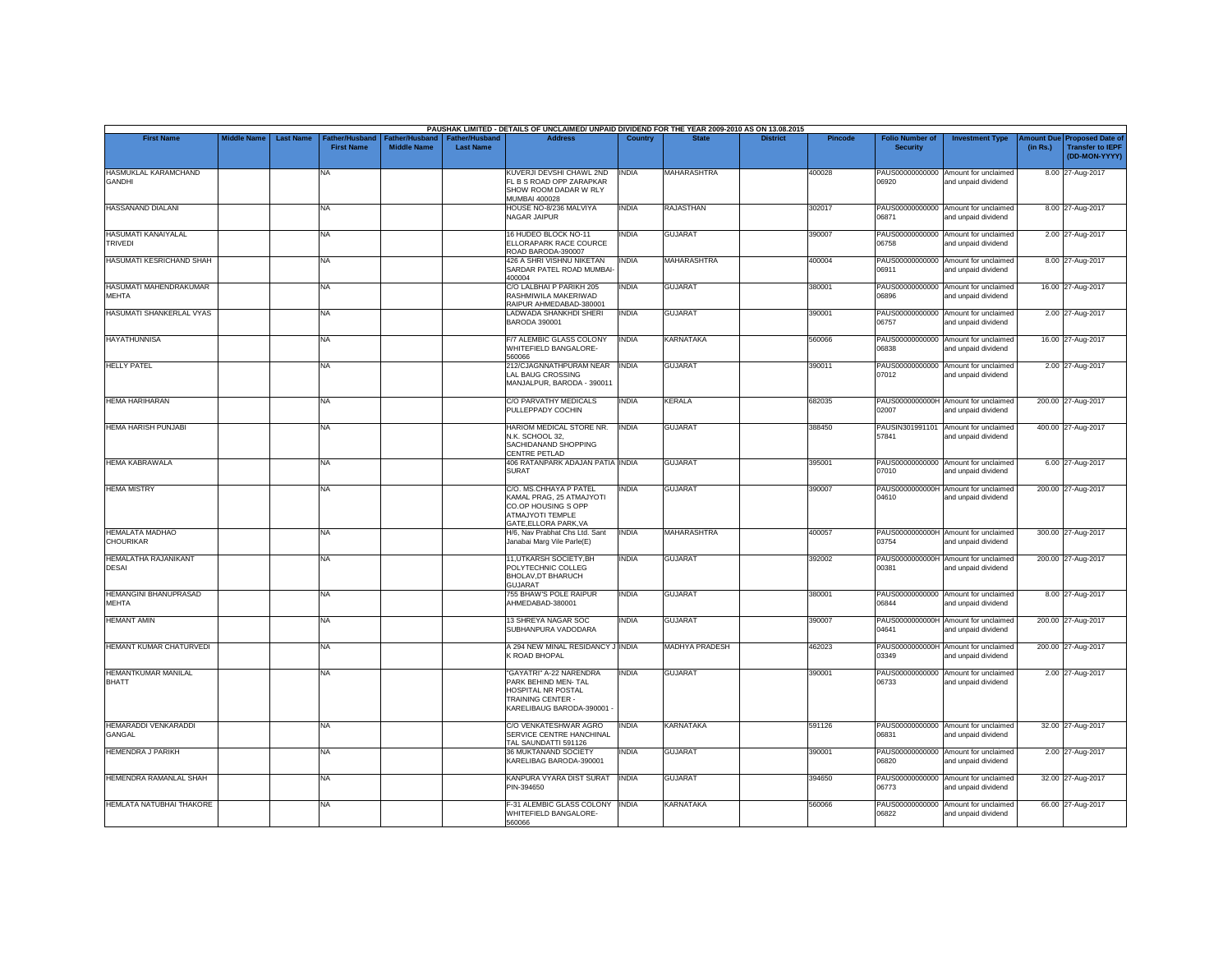|                                               |                    |                  |                                                 |                                      |                                           | PAUSHAK LIMITED - DETAILS OF UNCLAIMED/ UNPAID DIVIDEND FOR THE YEAR 2009-2010 AS ON 13.08.2015                        |              |                       |                 |                |                                           |                                                             |                       |                                                                     |
|-----------------------------------------------|--------------------|------------------|-------------------------------------------------|--------------------------------------|-------------------------------------------|------------------------------------------------------------------------------------------------------------------------|--------------|-----------------------|-----------------|----------------|-------------------------------------------|-------------------------------------------------------------|-----------------------|---------------------------------------------------------------------|
| <b>First Name</b>                             | <b>Middle Name</b> | <b>Last Name</b> | ather/Husband <sup>-</sup><br><b>First Name</b> | Father/Husband<br><b>Middle Name</b> | <b>Father/Husband</b><br><b>Last Name</b> | <b>Address</b>                                                                                                         | Country      | <b>State</b>          | <b>District</b> | <b>Pincode</b> | <b>Folio Number of</b><br><b>Security</b> | <b>Investment Type</b>                                      | mount Due<br>(in Rs.) | <b>Proposed Date of</b><br><b>Transfer to IEPF</b><br>(DD-MON-YYYY) |
| HASMUKLAL KARAMCHAND<br><b>GANDHI</b>         |                    |                  | <b>NA</b>                                       |                                      |                                           | KUVERJI DEVSHI CHAWL 2ND<br>FL B S ROAD OPP ZARAPKAR<br>SHOW ROOM DADAR W RLY<br><b>MUMBAI 400028</b>                  | <b>INDIA</b> | <b>MAHARASHTRA</b>    |                 | 400028         | 06920                                     | PAUS00000000000 Amount for unclaimed<br>and unpaid dividend |                       | 8.00 27-Aug-2017                                                    |
| HASSANAND DIALANI                             |                    |                  | <b>NA</b>                                       |                                      |                                           | HOUSE NO-8/236 MALVIYA<br>NAGAR JAIPUR                                                                                 | <b>INDIA</b> | <b>RAJASTHAN</b>      |                 | 302017         | 06871                                     | PAUS00000000000 Amount for unclaimed<br>and unpaid dividend |                       | 8.00 27-Aug-2017                                                    |
| HASUMATI KANAIYALAL<br><b>TRIVEDI</b>         |                    |                  | <b>NA</b>                                       |                                      |                                           | 16 HUDEO BLOCK NO-11<br>ELLORAPARK RACE COURCE<br>ROAD BARODA-390007                                                   | INDIA        | <b>GUJARAT</b>        |                 | 390007         | 06758                                     | PAUS00000000000 Amount for unclaimed<br>and unpaid dividend |                       | 2.00 27-Aug-2017                                                    |
| HASUMATI KESRICHAND SHAH                      |                    |                  | <b>NA</b>                                       |                                      |                                           | 426 A SHRI VISHNU NIKETAN<br>SARDAR PATEL ROAD MUMBAI-<br>400004                                                       | <b>INDIA</b> | <b>MAHARASHTRA</b>    |                 | 400004         | 06911                                     | PAUS00000000000 Amount for unclaimed<br>and unpaid dividend |                       | 8.00 27-Aug-2017                                                    |
| <b>HASUMATI MAHENDRAKUMAR</b><br><b>MEHTA</b> |                    |                  | <b>NA</b>                                       |                                      |                                           | C/O LALBHAI P PARIKH 205<br>RASHMIWILA MAKERIWAD<br>RAIPUR AHMEDABAD-380001                                            | <b>INDIA</b> | <b>GUJARAT</b>        |                 | 380001         | 06896                                     | PAUS00000000000 Amount for unclaimed<br>and unpaid dividend |                       | 16.00 27-Aug-2017                                                   |
| HASUMATI SHANKERLAL VYAS                      |                    |                  | <b>NA</b>                                       |                                      |                                           | LADWADA SHANKHDI SHERI<br>BARODA 390001                                                                                | <b>INDIA</b> | <b>GUJARAT</b>        |                 | 390001         | 06757                                     | PAUS00000000000 Amount for unclaimed<br>and unpaid dividend |                       | 2.00 27-Aug-2017                                                    |
| <b>HAYATHUNNISA</b>                           |                    |                  | <b>NA</b>                                       |                                      |                                           | F/7 ALEMBIC GLASS COLONY<br>WHITEFIELD BANGALORE-<br>560066                                                            | <b>INDIA</b> | KARNATAKA             |                 | 560066         | 06838                                     | PAUS00000000000 Amount for unclaimed<br>and unpaid dividend |                       | 16.00 27-Aug-2017                                                   |
| <b>HELLY PATEL</b>                            |                    |                  | <b>NA</b>                                       |                                      |                                           | 212/CJAGNNATHPURAM NEAR<br>LAL BAUG CROSSING<br>MANJALPUR, BARODA - 390011                                             | <b>INDIA</b> | <b>GUJARAT</b>        |                 | 390011         | 07012                                     | PAUS00000000000 Amount for unclaimed<br>and unpaid dividend |                       | 2.00 27-Aug-2017                                                    |
| HEMA HARIHARAN                                |                    |                  | <b>NA</b>                                       |                                      |                                           | C/O PARVATHY MEDICALS<br>PULLEPPADY COCHIN                                                                             | INDIA        | <b>KERALA</b>         |                 | 682035         | 02007                                     | PAUS0000000000H Amount for unclaimed<br>and unpaid dividend |                       | 200.00 27-Aug-2017                                                  |
| HEMA HARISH PUNJABI                           |                    |                  | <b>NA</b>                                       |                                      |                                           | HARIOM MEDICAL STORE NR.<br>N.K. SCHOOL 32,<br>SACHIDANAND SHOPPING<br>CENTRE PETLAD                                   | <b>INDIA</b> | <b>GUJARAT</b>        |                 | 388450         | 57841                                     | PAUSIN301991101 Amount for unclaimed<br>and unpaid dividend |                       | 400.00 27-Aug-2017                                                  |
| <b>HEMA KABRAWALA</b>                         |                    |                  | <b>NA</b>                                       |                                      |                                           | 406 RATANPARK ADAJAN PATIA INDIA<br><b>SURAT</b>                                                                       |              | <b>GUJARAT</b>        |                 | 395001         | 07010                                     | PAUS00000000000 Amount for unclaimed<br>and unpaid dividend |                       | 6.00 27-Aug-2017                                                    |
| <b>HEMA MISTRY</b>                            |                    |                  | <b>NA</b>                                       |                                      |                                           | C/O. MS.CHHAYA P PATEL<br>KAMAL PRAG, 25 ATMAJYOTI<br>CO.OP HOUSING S OPP<br>ATMAJYOTI TEMPLE<br>GATE, ELLORA PARK, VA | INDIA        | <b>GUJARAT</b>        |                 | 390007         | 04610                                     | PAUS0000000000H Amount for unclaimed<br>and unpaid dividend |                       | 200.00 27-Aug-2017                                                  |
| <b>HEMALATA MADHAO</b><br><b>CHOURIKAR</b>    |                    |                  | <b>NA</b>                                       |                                      |                                           | H/6, Nav Prabhat Chs Ltd. Sant<br>Janabai Marg Vile Parle(E)                                                           | <b>INDIA</b> | <b>MAHARASHTRA</b>    |                 | 400057         | 03754                                     | PAUS0000000000H Amount for unclaimed<br>and unpaid dividend |                       | 300.00 27-Aug-2017                                                  |
| HEMALATHA RAJANIKANT<br>DESAI                 |                    |                  | <b>NA</b>                                       |                                      |                                           | 11. UTKARSH SOCIETY. BH<br>POLYTECHNIC COLLEG<br>BHOLAV, DT BHARUCH<br><b>GUJARAT</b>                                  | <b>INDIA</b> | <b>GUJARAT</b>        |                 | 392002         | 00381                                     | PAUS0000000000H Amount for unclaimed<br>and unpaid dividend |                       | 200.00 27-Aug-2017                                                  |
| HEMANGINI BHANUPRASAD<br>MEHTA                |                    |                  | <b>NA</b>                                       |                                      |                                           | 755 BHAW'S POLE RAIPUR<br>AHMEDABAD-380001                                                                             | <b>INDIA</b> | <b>GUJARAT</b>        |                 | 380001         | 06844                                     | PAUS00000000000 Amount for unclaimed<br>and unpaid dividend |                       | 8.00 27-Aug-2017                                                    |
| <b>HEMANT AMIN</b>                            |                    |                  | <b>NA</b>                                       |                                      |                                           | 13 SHREYA NAGAR SOC<br>SUBHANPURA VADODARA                                                                             | INDIA        | <b>GUJARAT</b>        |                 | 390007         | 04641                                     | PAUS0000000000H Amount for unclaimed<br>and unpaid dividend |                       | 200.00 27-Aug-2017                                                  |
| <b>HEMANT KUMAR CHATURVEDI</b>                |                    |                  | <b>NA</b>                                       |                                      |                                           | A 294 NEW MINAL RESIDANCY J INDIA<br>K ROAD BHOPAL                                                                     |              | <b>MADHYA PRADESH</b> |                 | 462023         | PAUS0000000000H<br>03349                  | Amount for unclaimed<br>and unpaid dividend                 |                       | 200.00 27-Aug-2017                                                  |
| HEMANTKUMAR MANILAL<br><b>BHATT</b>           |                    |                  | <b>NA</b>                                       |                                      |                                           | "GAYATRI" A-22 NARENDRA<br>PARK BEHIND MEN- TAL<br>HOSPITAL NR POSTAL<br>TRAINING CENTER -<br>KARELIBAUG BARODA-390001 | <b>INDIA</b> | <b>GUJARAT</b>        |                 | 390001         | 06733                                     | PAUS00000000000 Amount for unclaimed<br>and unpaid dividend |                       | 2.00 27-Aug-2017                                                    |
| HEMARADDI VENKARADDI<br>GANGAL                |                    |                  | <b>NA</b>                                       |                                      |                                           | C/O VENKATESHWAR AGRO<br>SERVICE CENTRE HANCHINAL<br>TAL SAUNDATTI 591126                                              | <b>INDIA</b> | <b>KARNATAKA</b>      |                 | 591126         | 06831                                     | PAUS00000000000 Amount for unclaimed<br>and unpaid dividend |                       | 32.00 27-Aug-2017                                                   |
| <b>HEMENDRA J PARIKH</b>                      |                    |                  | <b>NA</b>                                       |                                      |                                           | 36 MUKTANAND SOCIETY<br>KARELIBAG BARODA-390001                                                                        | INDIA        | <b>GUJARAT</b>        |                 | 390001         | 06820                                     | PAUS00000000000 Amount for unclaimed<br>and unpaid dividend |                       | 2.00 27-Aug-2017                                                    |
| HEMENDRA RAMANLAL SHAH                        |                    |                  | <b>NA</b>                                       |                                      |                                           | KANPURA VYARA DIST SURAT<br>PIN-394650                                                                                 | <b>INDIA</b> | <b>GUJARAT</b>        |                 | 394650         | PAUS00000000000<br>06773                  | Amount for unclaimed<br>and unpaid dividend                 |                       | 32.00 27-Aug-2017                                                   |
| HEMLATA NATUBHAI THAKORE                      |                    |                  | <b>NA</b>                                       |                                      |                                           | F-31 ALEMBIC GLASS COLONY<br>WHITEFIELD BANGALORE-<br>560066                                                           | <b>INDIA</b> | <b>KARNATAKA</b>      |                 | 560066         | 06822                                     | PAUS00000000000 Amount for unclaimed<br>and unpaid dividend |                       | 66.00 27-Aug-2017                                                   |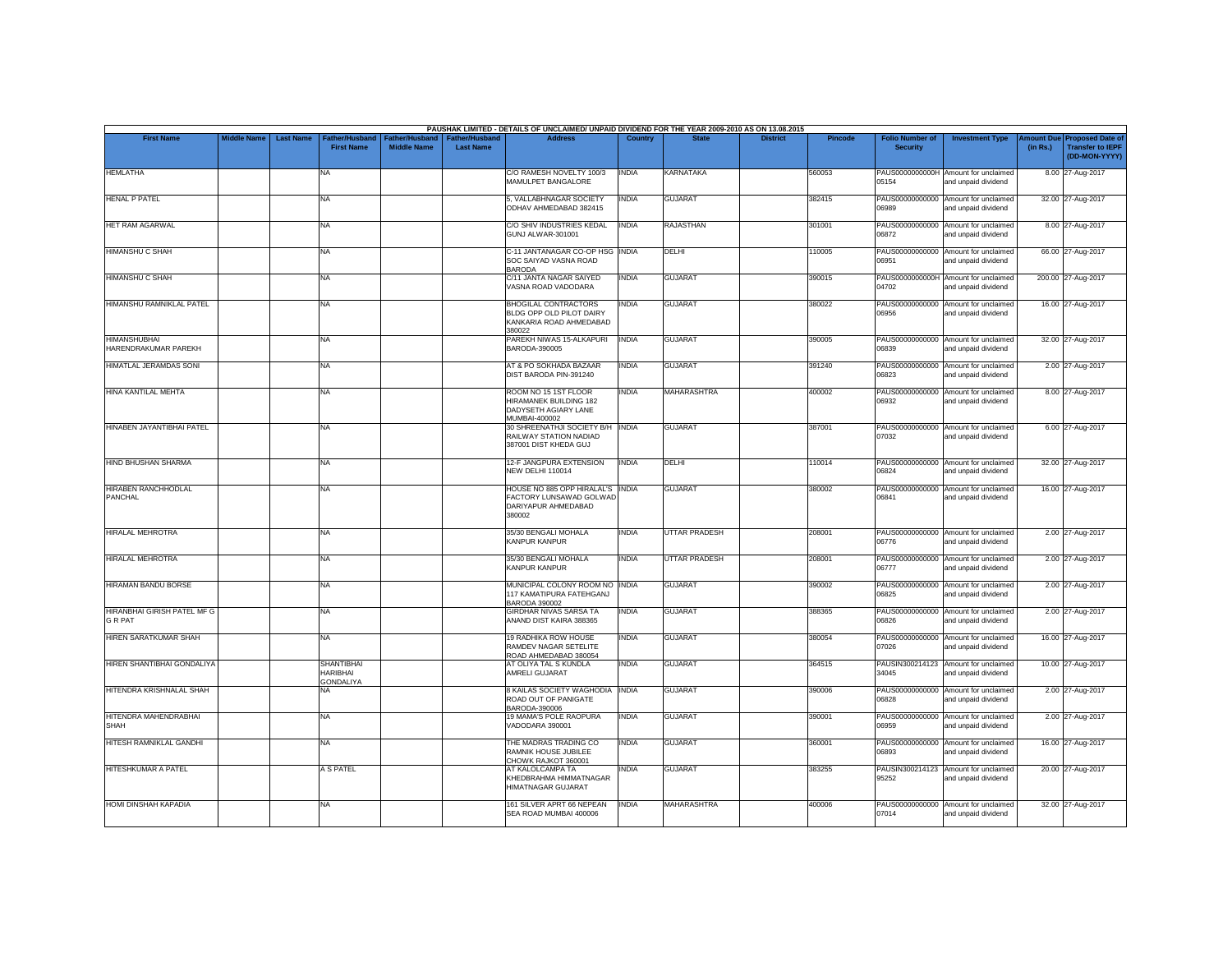|                                             |                    |                  |                                                          |                                             |                                           | PAUSHAK LIMITED - DETAILS OF UNCLAIMED/ UNPAID DIVIDEND FOR THE YEAR 2009-2010 AS ON 13.08.2015 |                |                      |                 |                |                                           |                                                             |          |                                                                                |
|---------------------------------------------|--------------------|------------------|----------------------------------------------------------|---------------------------------------------|-------------------------------------------|-------------------------------------------------------------------------------------------------|----------------|----------------------|-----------------|----------------|-------------------------------------------|-------------------------------------------------------------|----------|--------------------------------------------------------------------------------|
| <b>First Name</b>                           | <b>Middle Name</b> | <b>Last Name</b> | Father/Husband<br><b>First Name</b>                      | <b>Father/Husband</b><br><b>Middle Name</b> | <b>Father/Husband</b><br><b>Last Name</b> | <b>Address</b>                                                                                  | <b>Country</b> | <b>State</b>         | <b>District</b> | <b>Pincode</b> | <b>Folio Number of</b><br><b>Security</b> | <b>Investment Type</b>                                      | (in Rs.) | <b>Amount Due Proposed Date of</b><br><b>Transfer to IEPF</b><br>(DD-MON-YYYY) |
| <b>HEMLATHA</b>                             |                    |                  | <b>NA</b>                                                |                                             |                                           | C/O RAMESH NOVELTY 100/3<br>MAMULPET BANGALORE                                                  | <b>INDIA</b>   | KARNATAKA            |                 | 560053         | 05154                                     | PAUS0000000000H Amount for unclaimed<br>and unpaid dividend |          | 8.00 27-Aug-2017                                                               |
| <b>HENAL P PATEL</b>                        |                    |                  | <b>NA</b>                                                |                                             |                                           | 5. VALLABHNAGAR SOCIETY<br>ODHAV AHMEDABAD 382415                                               | INDIA          | <b>GUJARAT</b>       |                 | 382415         | 06989                                     | PAUS00000000000 Amount for unclaimed<br>and unpaid dividend |          | 32.00 27-Aug-2017                                                              |
| <b>HET RAM AGARWAL</b>                      |                    |                  | <b>NA</b>                                                |                                             |                                           | C/O SHIV INDUSTRIES KEDAL<br>GUNJ ALWAR-301001                                                  | <b>INDIA</b>   | <b>RAJASTHAN</b>     |                 | 301001         | 06872                                     | PAUS00000000000 Amount for unclaimed<br>and unpaid dividend |          | 8.00 27-Aug-2017                                                               |
| HIMANSHU C SHAH                             |                    |                  | <b>NA</b>                                                |                                             |                                           | C-11 JANTANAGAR CO-OP HSG INDIA<br>SOC SAIYAD VASNA ROAD<br><b>BARODA</b>                       |                | DELHI                |                 | 110005         | 06951                                     | PAUS00000000000 Amount for unclaimed<br>and unpaid dividend |          | 66.00 27-Aug-2017                                                              |
| <b>HIMANSHU C SHAH</b>                      |                    |                  | <b>NA</b>                                                |                                             |                                           | C/11 JANTA NAGAR SAIYED<br>VASNA ROAD VADODARA                                                  | <b>INDIA</b>   | <b>GUJARAT</b>       |                 | 390015         | 04702                                     | PAUS0000000000H Amount for unclaimed<br>and unpaid dividend |          | 200.00 27-Aug-2017                                                             |
| HIMANSHU RAMNIKLAL PATEL                    |                    |                  | <b>NA</b>                                                |                                             |                                           | <b>BHOGILAL CONTRACTORS</b><br>BLDG OPP OLD PILOT DAIRY<br>KANKARIA ROAD AHMEDABAD<br>380022    | <b>INDIA</b>   | <b>GUJARAT</b>       |                 | 380022         | 06956                                     | PAUS00000000000 Amount for unclaimed<br>and unpaid dividend |          | 16.00 27-Aug-2017                                                              |
| <b>HIMANSHUBHAI</b><br>HARENDRAKUMAR PAREKH |                    |                  | <b>NA</b>                                                |                                             |                                           | PAREKH NIWAS 15-ALKAPURI<br>BARODA-390005                                                       | <b>INDIA</b>   | <b>GUJARAT</b>       |                 | 390005         | 06839                                     | PAUS00000000000 Amount for unclaimed<br>and unpaid dividend |          | 32.00 27-Aug-2017                                                              |
| HIMATLAL JERAMDAS SONI                      |                    |                  | <b>NA</b>                                                |                                             |                                           | AT & PO SOKHADA BAZAAR<br>DIST BARODA PIN-391240                                                | <b>INDIA</b>   | <b>GUJARAT</b>       |                 | 391240         | 06823                                     | PAUS00000000000 Amount for unclaimed<br>and unpaid dividend |          | 2.00 27-Aug-2017                                                               |
| HINA KANTILAL MEHTA                         |                    |                  | <b>NA</b>                                                |                                             |                                           | ROOM NO 15 1ST FLOOR<br><b>HIRAMANEK BUILDING 182</b><br>DADYSETH AGIARY LANE<br>MUMBAI-400002  | INDIA          | <b>MAHARASHTRA</b>   |                 | 400002         | PAUS00000000000<br>06932                  | Amount for unclaimed<br>and unpaid dividend                 |          | 8.00 27-Aug-2017                                                               |
| HINABEN JAYANTIBHAI PATEL                   |                    |                  | <b>NA</b>                                                |                                             |                                           | 30 SHREENATHJI SOCIETY B/H INDIA<br>RAILWAY STATION NADIAD<br>387001 DIST KHEDA GUJ             |                | <b>GUJARAT</b>       |                 | 387001         | 07032                                     | PAUS00000000000 Amount for unclaimed<br>and unpaid dividend |          | 6.00 27-Aug-2017                                                               |
| <b>HIND BHUSHAN SHARMA</b>                  |                    |                  | <b>NA</b>                                                |                                             |                                           | 12-F JANGPURA EXTENSION<br>NEW DELHI 110014                                                     | <b>INDIA</b>   | DELHI                |                 | 110014         | 06824                                     | PAUS00000000000 Amount for unclaimed<br>and unpaid dividend |          | 32.00 27-Aug-2017                                                              |
| HIRABEN RANCHHODLAL<br><b>PANCHAL</b>       |                    |                  | <b>NA</b>                                                |                                             |                                           | HOUSE NO 885 OPP HIRALAL'S INDIA<br>FACTORY LUNSAWAD GOLWAD<br>DARIYAPUR AHMEDABAD<br>380002    |                | <b>GUJARAT</b>       |                 | 380002         | 06841                                     | PAUS00000000000 Amount for unclaimed<br>and unpaid dividend |          | 16.00 27-Aug-2017                                                              |
| <b>HIRALAL MEHROTRA</b>                     |                    |                  | <b>NA</b>                                                |                                             |                                           | 35/30 BENGALI MOHALA<br>KANPUR KANPUR                                                           | INDIA          | <b>UTTAR PRADESH</b> |                 | 208001         | 06776                                     | PAUS00000000000 Amount for unclaimed<br>and unpaid dividend |          | 2.00 27-Aug-2017                                                               |
| HIRALAL MEHROTRA                            |                    |                  | <b>NA</b>                                                |                                             |                                           | 35/30 BENGALI MOHALA<br><b>KANPUR KANPUR</b>                                                    | <b>INDIA</b>   | <b>UTTAR PRADESH</b> |                 | 208001         | 06777                                     | PAUS00000000000 Amount for unclaimed<br>and unpaid dividend |          | 2.00 27-Aug-2017                                                               |
| <b>HIRAMAN BANDU BORSE</b>                  |                    |                  | <b>NA</b>                                                |                                             |                                           | MUNICIPAL COLONY ROOM NO INDIA<br>117 KAMATIPURA FATEHGANJ<br>BARODA 390002                     |                | <b>GUJARAT</b>       |                 | 390002         | 06825                                     | PAUS00000000000 Amount for unclaimed<br>and unpaid dividend |          | 2.00 27-Aug-2017                                                               |
| HIRANBHAI GIRISH PATEL MF G<br>G R PAT      |                    |                  | <b>NA</b>                                                |                                             |                                           | GIRDHAR NIVAS SARSA TA<br>ANAND DIST KAIRA 388365                                               | INDIA          | <b>GUJARAT</b>       |                 | 388365         | 06826                                     | PAUS00000000000 Amount for unclaimed<br>and unpaid dividend |          | 2.00 27-Aug-2017                                                               |
| HIREN SARATKUMAR SHAH                       |                    |                  | <b>NA</b>                                                |                                             |                                           | <b>19 RADHIKA ROW HOUSE</b><br>RAMDEV NAGAR SETELITE<br>ROAD AHMEDABAD 380054                   | INDIA          | <b>GUJARAT</b>       |                 | 380054         | 07026                                     | PAUS00000000000 Amount for unclaimed<br>and unpaid dividend |          | 16.00 27-Aug-2017                                                              |
| <b>HIREN SHANTIBHAI GONDALIYA</b>           |                    |                  | <b>SHANTIBHAI</b><br><b>HARIBHAI</b><br><b>GONDALIYA</b> |                                             |                                           | AT OLIYA TAL S KUNDLA<br>AMRELI GUJARAT                                                         | <b>INDIA</b>   | <b>GUJARAT</b>       |                 | 364515         | PAUSIN300214123<br>34045                  | Amount for unclaimed<br>and unpaid dividend                 |          | 10.00 27-Aug-2017                                                              |
| HITENDRA KRISHNALAL SHAH                    |                    |                  | NA                                                       |                                             |                                           | 8 KAILAS SOCIETY WAGHODIA INDIA<br>ROAD OUT OF PANIGATE<br>BARODA-390006                        |                | <b>GUJARAT</b>       |                 | 390006         | 06828                                     | PAUS00000000000 Amount for unclaimed<br>and unpaid dividend |          | 2.00 27-Aug-2017                                                               |
| HITENDRA MAHENDRABHAI<br>SHAH               |                    |                  | <b>NA</b>                                                |                                             |                                           | 19 MAMA'S POLE RAOPURA<br>VADODARA 390001                                                       | <b>INDIA</b>   | <b>GUJARAT</b>       |                 | 390001         | 06959                                     | PAUS00000000000 Amount for unclaimed<br>and unpaid dividend |          | 2.00 27-Aug-2017                                                               |
| HITESH RAMNIKLAL GANDHI                     |                    |                  | <b>NA</b>                                                |                                             |                                           | THE MADRAS TRADING CO<br>RAMNIK HOUSE JUBILEE<br>CHOWK RAJKOT 360001                            | <b>INDIA</b>   | <b>GUJARAT</b>       |                 | 360001         | CR830                                     | PAUS00000000000 Amount for unclaimed<br>and unpaid dividend |          | 16.00 27-Aug-2017                                                              |
| HITESHKUMAR A PATEL                         |                    |                  | A S PATEL                                                |                                             |                                           | AT KALOLCAMPA TA<br>KHEDBRAHMA HIMMATNAGAR<br>HIMATNAGAR GUJARAT                                | <b>INDIA</b>   | <b>GUJARAT</b>       |                 | 383255         | 95252                                     | PAUSIN300214123 Amount for unclaimed<br>and unpaid dividend |          | 20.00 27-Aug-2017                                                              |
| <b>HOMI DINSHAH KAPADIA</b>                 |                    |                  | NA                                                       |                                             |                                           | 161 SILVER APRT 66 NEPEAN<br>SEA ROAD MUMBAI 400006                                             | <b>INDIA</b>   | <b>MAHARASHTRA</b>   |                 | 400006         | PAUS00000000000<br>07014                  | Amount for unclaimed<br>and unpaid dividend                 |          | 32.00 27-Aug-2017                                                              |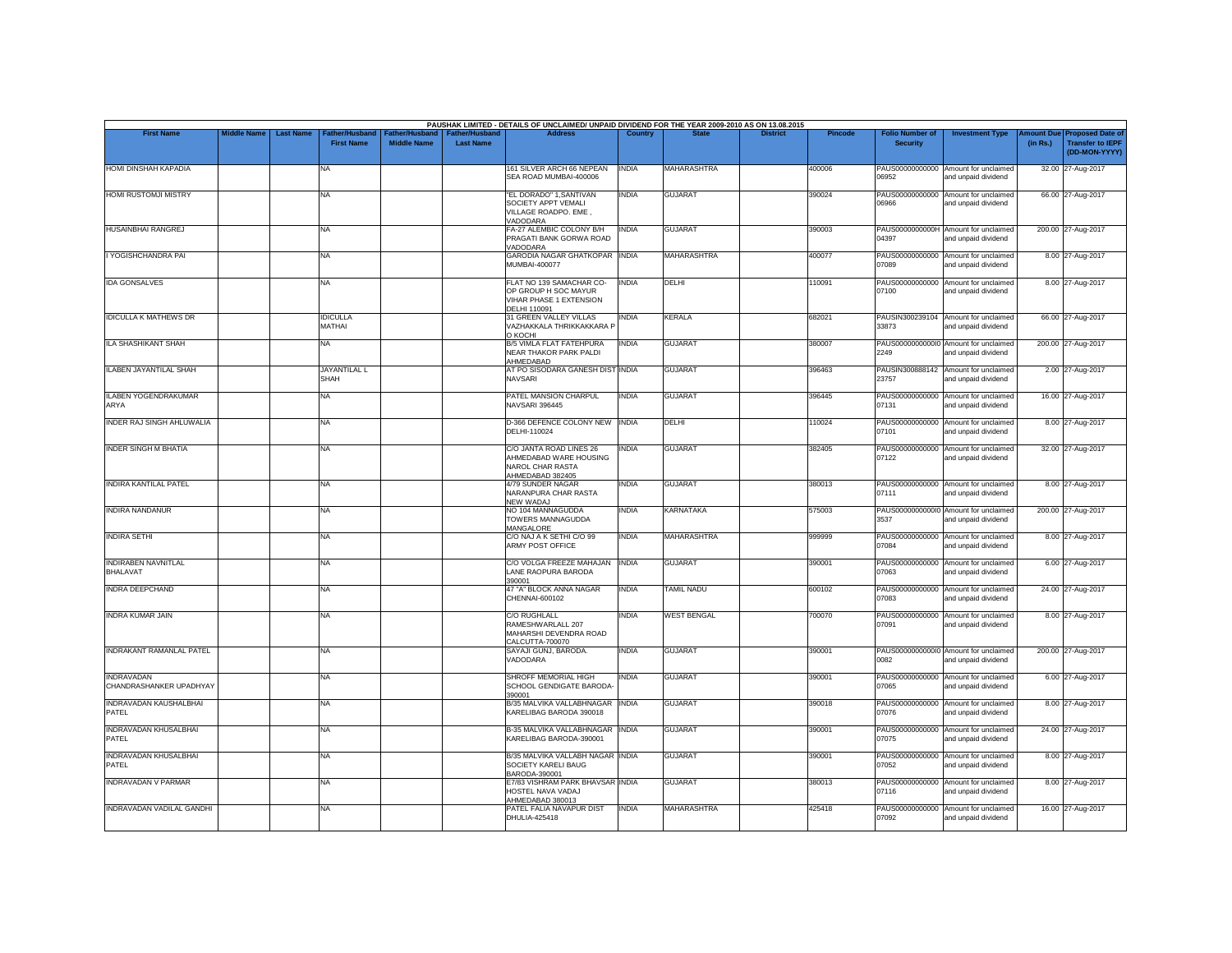| <b>First Name</b><br><b>Middle Name</b><br><b>Last Name</b><br>Father/Husband<br>Father/Husband<br>Father/Husband<br><b>Address</b><br>Country<br><b>State</b><br><b>District</b><br><b>Pincode</b><br><b>Folio Number of</b><br><b>First Name</b><br><b>Middle Name</b><br><b>Last Name</b><br><b>Security</b><br><b>HOMI DINSHAH KAPADIA</b><br>161 SILVER ARCH 66 NEPEAN<br><b>MAHARASHTRA</b><br>NA<br><b>INDIA</b><br>400006<br>PAUS00000000000 Amount for unclaimed<br>SEA ROAD MUMBAI-400006<br>06952<br>"EL DORADO" 1, SANTIVAN<br><b>INDIA</b><br>PAUS00000000000<br><b>GUJARAT</b><br>390024<br>NA.<br>SOCIETY APPT VEMALI<br>06966<br>VILLAGE ROADPO, EME.<br>VADODARA<br><b>INDIA</b><br>FA-27 ALEMBIC COLONY B/H<br>GUJARAT<br>PAUS0000000000H Amount for unclaimed<br>390003<br>NA<br>PRAGATI BANK GORWA ROAD<br>04397<br>VADODARA<br>GARODIA NAGAR GHATKOPAR INDIA<br><b>MAHARASHTRA</b><br>PAUS00000000000 Amount for unclaimed<br>400077<br><b>NA</b><br><b>MUMBAI-400077</b><br>07089<br>FLAT NO 139 SAMACHAR CO-<br><b>INDIA</b><br><b>DELHI</b><br>10091<br>PAUS00000000000 Amount for unclaimed<br>NA<br>OP GROUP H SOC MAYUR<br>07100<br>VIHAR PHASE 1 EXTENSION<br>DELHI 110091<br>31 GREEN VALLEY VILLAS<br><b>INDIA</b><br><b>KERALA</b><br>682021<br>PAUSIN300239104 Amount for unclaimed<br><b>IDICULLA</b><br>MATHAI<br>VAZHAKKALA THRIKKAKKARA P<br>33873<br>о косні<br><b>INDIA</b><br>NA<br><b>B/5 VIMLA FLAT FATEHPURA</b><br><b>GUJARAT</b><br>380007<br>PAUS00000000000 Amount for unclaimed<br>NEAR THAKOR PARK PALDI<br>2249<br>AHMEDABAD<br>AT PO SISODARA GANESH DIST INDIA<br>PAUSIN300888142 Amount for unclaimed<br>JAYANTILAL L<br><b>GUJARAT</b><br>396463<br><b>NAVSARI</b><br>23757<br>SHAH<br>PATEL MANSION CHARPUL<br><b>INDIA</b><br>396445<br><b>GUJARAT</b><br>PAUS00000000000 Amount for unclaimed<br>NA<br><b>NAVSARI 396445</b><br>07131<br>D-366 DEFENCE COLONY NEW INDIA<br>DELHI<br>10024<br>PAUS00000000000 Amount for unclaimed<br>NA<br>DELHI-110024<br>07101<br>C/O JANTA ROAD LINES 26<br><b>INDIA</b><br><b>GUJARAT</b><br>382405<br>PAUS00000000000 Amount for unclaimed<br>NA<br>AHMEDABAD WARE HOUSING<br>07122<br>NAROL CHAR RASTA<br>AHMEDABAD 382405<br>4/79 SUNDER NAGAR<br><b>INDIA</b><br><b>GUJARAT</b><br>380013<br>PAUS00000000000 Amount for unclaimed<br>NA<br>NARANPURA CHAR RASTA<br>07111<br>NEW WADAJ<br>NO 104 MANNAGUDDA<br><b>INDIA</b><br><b>KARNATAKA</b><br>575003<br>PAUS00000000000 Amount for unclaimed<br>NA<br>TOWERS MANNAGUDDA<br>3537<br><b>MANGALORE</b><br>C/O NAJ A K SETHI C/O 99<br><b>INDIA</b><br>NA<br>MAHARASHTRA<br>999999<br>PAUS00000000000 Amount for unclaimed<br>ARMY POST OFFICE<br>07084<br>C/O VOLGA FREEZE MAHAJAN<br><b>INDIA</b><br>PAUS00000000000 Amount for unclaimed<br>NA<br><b>GUJARAT</b><br>390001<br>LANE RAOPURA BARODA<br>07063<br>390001 | <b>Investment Type</b><br>and unpaid dividend<br>Amount for unclaimed<br>and unpaid dividend<br>and unpaid dividend<br>and unpaid dividend<br>and unpaid dividend<br>and unpaid dividend<br>and unpaid dividend<br>and unpaid dividend<br>and unpaid dividend<br>and unpaid dividend | <b>Proposed Date of</b><br><b>Imount Due</b><br><b>Transfer to IEPF</b><br>(in Rs.)<br>(DD-MON-YYYY)<br>32.00 27-Aug-2017<br>66.00 27-Aug-2017<br>200.00 27-Aug-2017<br>8.00 27-Aug-2017<br>8.00 27-Aug-2017<br>66.00 27-Aug-2017<br>200.00 27-Aug-2017<br>2.00 27-Aug-2017<br>16.00 27-Aug-2017<br>8.00 27-Aug-2017 |
|-------------------------------------------------------------------------------------------------------------------------------------------------------------------------------------------------------------------------------------------------------------------------------------------------------------------------------------------------------------------------------------------------------------------------------------------------------------------------------------------------------------------------------------------------------------------------------------------------------------------------------------------------------------------------------------------------------------------------------------------------------------------------------------------------------------------------------------------------------------------------------------------------------------------------------------------------------------------------------------------------------------------------------------------------------------------------------------------------------------------------------------------------------------------------------------------------------------------------------------------------------------------------------------------------------------------------------------------------------------------------------------------------------------------------------------------------------------------------------------------------------------------------------------------------------------------------------------------------------------------------------------------------------------------------------------------------------------------------------------------------------------------------------------------------------------------------------------------------------------------------------------------------------------------------------------------------------------------------------------------------------------------------------------------------------------------------------------------------------------------------------------------------------------------------------------------------------------------------------------------------------------------------------------------------------------------------------------------------------------------------------------------------------------------------------------------------------------------------------------------------------------------------------------------------------------------------------------------------------------------------------------------------------------------------------------------------------------------------------------------------------------------------------------------------------------------------------------------------------------------------|--------------------------------------------------------------------------------------------------------------------------------------------------------------------------------------------------------------------------------------------------------------------------------------|----------------------------------------------------------------------------------------------------------------------------------------------------------------------------------------------------------------------------------------------------------------------------------------------------------------------|
|                                                                                                                                                                                                                                                                                                                                                                                                                                                                                                                                                                                                                                                                                                                                                                                                                                                                                                                                                                                                                                                                                                                                                                                                                                                                                                                                                                                                                                                                                                                                                                                                                                                                                                                                                                                                                                                                                                                                                                                                                                                                                                                                                                                                                                                                                                                                                                                                                                                                                                                                                                                                                                                                                                                                                                                                                                                                         |                                                                                                                                                                                                                                                                                      |                                                                                                                                                                                                                                                                                                                      |
| HOMI RUSTOMJI MISTRY<br><b>HUSAINBHAI RANGREJ</b><br>I YOGISHCHANDRA PAI                                                                                                                                                                                                                                                                                                                                                                                                                                                                                                                                                                                                                                                                                                                                                                                                                                                                                                                                                                                                                                                                                                                                                                                                                                                                                                                                                                                                                                                                                                                                                                                                                                                                                                                                                                                                                                                                                                                                                                                                                                                                                                                                                                                                                                                                                                                                                                                                                                                                                                                                                                                                                                                                                                                                                                                                |                                                                                                                                                                                                                                                                                      |                                                                                                                                                                                                                                                                                                                      |
|                                                                                                                                                                                                                                                                                                                                                                                                                                                                                                                                                                                                                                                                                                                                                                                                                                                                                                                                                                                                                                                                                                                                                                                                                                                                                                                                                                                                                                                                                                                                                                                                                                                                                                                                                                                                                                                                                                                                                                                                                                                                                                                                                                                                                                                                                                                                                                                                                                                                                                                                                                                                                                                                                                                                                                                                                                                                         |                                                                                                                                                                                                                                                                                      |                                                                                                                                                                                                                                                                                                                      |
|                                                                                                                                                                                                                                                                                                                                                                                                                                                                                                                                                                                                                                                                                                                                                                                                                                                                                                                                                                                                                                                                                                                                                                                                                                                                                                                                                                                                                                                                                                                                                                                                                                                                                                                                                                                                                                                                                                                                                                                                                                                                                                                                                                                                                                                                                                                                                                                                                                                                                                                                                                                                                                                                                                                                                                                                                                                                         |                                                                                                                                                                                                                                                                                      |                                                                                                                                                                                                                                                                                                                      |
| <b>IDA GONSALVES</b><br><b>IDICULLA K MATHEWS DR</b><br>ILA SHASHIKANT SHAH<br>ILABEN JAYANTILAL SHAH<br><b>ILABEN YOGENDRAKUMAR</b><br>ARYA<br>INDER RAJ SINGH AHLUWALIA<br><b>INDER SINGH M BHATIA</b><br><b>INDIRA KANTILAL PATEL</b><br><b>INDIRA NANDANUR</b><br><b>INDIRA SETHI</b>                                                                                                                                                                                                                                                                                                                                                                                                                                                                                                                                                                                                                                                                                                                                                                                                                                                                                                                                                                                                                                                                                                                                                                                                                                                                                                                                                                                                                                                                                                                                                                                                                                                                                                                                                                                                                                                                                                                                                                                                                                                                                                                                                                                                                                                                                                                                                                                                                                                                                                                                                                               |                                                                                                                                                                                                                                                                                      |                                                                                                                                                                                                                                                                                                                      |
|                                                                                                                                                                                                                                                                                                                                                                                                                                                                                                                                                                                                                                                                                                                                                                                                                                                                                                                                                                                                                                                                                                                                                                                                                                                                                                                                                                                                                                                                                                                                                                                                                                                                                                                                                                                                                                                                                                                                                                                                                                                                                                                                                                                                                                                                                                                                                                                                                                                                                                                                                                                                                                                                                                                                                                                                                                                                         |                                                                                                                                                                                                                                                                                      |                                                                                                                                                                                                                                                                                                                      |
|                                                                                                                                                                                                                                                                                                                                                                                                                                                                                                                                                                                                                                                                                                                                                                                                                                                                                                                                                                                                                                                                                                                                                                                                                                                                                                                                                                                                                                                                                                                                                                                                                                                                                                                                                                                                                                                                                                                                                                                                                                                                                                                                                                                                                                                                                                                                                                                                                                                                                                                                                                                                                                                                                                                                                                                                                                                                         |                                                                                                                                                                                                                                                                                      |                                                                                                                                                                                                                                                                                                                      |
|                                                                                                                                                                                                                                                                                                                                                                                                                                                                                                                                                                                                                                                                                                                                                                                                                                                                                                                                                                                                                                                                                                                                                                                                                                                                                                                                                                                                                                                                                                                                                                                                                                                                                                                                                                                                                                                                                                                                                                                                                                                                                                                                                                                                                                                                                                                                                                                                                                                                                                                                                                                                                                                                                                                                                                                                                                                                         |                                                                                                                                                                                                                                                                                      |                                                                                                                                                                                                                                                                                                                      |
|                                                                                                                                                                                                                                                                                                                                                                                                                                                                                                                                                                                                                                                                                                                                                                                                                                                                                                                                                                                                                                                                                                                                                                                                                                                                                                                                                                                                                                                                                                                                                                                                                                                                                                                                                                                                                                                                                                                                                                                                                                                                                                                                                                                                                                                                                                                                                                                                                                                                                                                                                                                                                                                                                                                                                                                                                                                                         |                                                                                                                                                                                                                                                                                      |                                                                                                                                                                                                                                                                                                                      |
|                                                                                                                                                                                                                                                                                                                                                                                                                                                                                                                                                                                                                                                                                                                                                                                                                                                                                                                                                                                                                                                                                                                                                                                                                                                                                                                                                                                                                                                                                                                                                                                                                                                                                                                                                                                                                                                                                                                                                                                                                                                                                                                                                                                                                                                                                                                                                                                                                                                                                                                                                                                                                                                                                                                                                                                                                                                                         |                                                                                                                                                                                                                                                                                      |                                                                                                                                                                                                                                                                                                                      |
|                                                                                                                                                                                                                                                                                                                                                                                                                                                                                                                                                                                                                                                                                                                                                                                                                                                                                                                                                                                                                                                                                                                                                                                                                                                                                                                                                                                                                                                                                                                                                                                                                                                                                                                                                                                                                                                                                                                                                                                                                                                                                                                                                                                                                                                                                                                                                                                                                                                                                                                                                                                                                                                                                                                                                                                                                                                                         |                                                                                                                                                                                                                                                                                      |                                                                                                                                                                                                                                                                                                                      |
|                                                                                                                                                                                                                                                                                                                                                                                                                                                                                                                                                                                                                                                                                                                                                                                                                                                                                                                                                                                                                                                                                                                                                                                                                                                                                                                                                                                                                                                                                                                                                                                                                                                                                                                                                                                                                                                                                                                                                                                                                                                                                                                                                                                                                                                                                                                                                                                                                                                                                                                                                                                                                                                                                                                                                                                                                                                                         | and unpaid dividend                                                                                                                                                                                                                                                                  | 32.00 27-Aug-2017                                                                                                                                                                                                                                                                                                    |
|                                                                                                                                                                                                                                                                                                                                                                                                                                                                                                                                                                                                                                                                                                                                                                                                                                                                                                                                                                                                                                                                                                                                                                                                                                                                                                                                                                                                                                                                                                                                                                                                                                                                                                                                                                                                                                                                                                                                                                                                                                                                                                                                                                                                                                                                                                                                                                                                                                                                                                                                                                                                                                                                                                                                                                                                                                                                         | and unpaid dividend                                                                                                                                                                                                                                                                  | 8.00 27-Aug-2017                                                                                                                                                                                                                                                                                                     |
|                                                                                                                                                                                                                                                                                                                                                                                                                                                                                                                                                                                                                                                                                                                                                                                                                                                                                                                                                                                                                                                                                                                                                                                                                                                                                                                                                                                                                                                                                                                                                                                                                                                                                                                                                                                                                                                                                                                                                                                                                                                                                                                                                                                                                                                                                                                                                                                                                                                                                                                                                                                                                                                                                                                                                                                                                                                                         | and unpaid dividend                                                                                                                                                                                                                                                                  | 200.00 27-Aug-2017                                                                                                                                                                                                                                                                                                   |
| <b>INDIRABEN NAVNITLAL</b><br><b>BHALAVAT</b>                                                                                                                                                                                                                                                                                                                                                                                                                                                                                                                                                                                                                                                                                                                                                                                                                                                                                                                                                                                                                                                                                                                                                                                                                                                                                                                                                                                                                                                                                                                                                                                                                                                                                                                                                                                                                                                                                                                                                                                                                                                                                                                                                                                                                                                                                                                                                                                                                                                                                                                                                                                                                                                                                                                                                                                                                           | and unpaid dividend                                                                                                                                                                                                                                                                  | 8.00 27-Aug-2017                                                                                                                                                                                                                                                                                                     |
|                                                                                                                                                                                                                                                                                                                                                                                                                                                                                                                                                                                                                                                                                                                                                                                                                                                                                                                                                                                                                                                                                                                                                                                                                                                                                                                                                                                                                                                                                                                                                                                                                                                                                                                                                                                                                                                                                                                                                                                                                                                                                                                                                                                                                                                                                                                                                                                                                                                                                                                                                                                                                                                                                                                                                                                                                                                                         | and unpaid dividend                                                                                                                                                                                                                                                                  | 6.00 27-Aug-2017                                                                                                                                                                                                                                                                                                     |
| 47 "A" BLOCK ANNA NAGAR<br><b>INDIA</b><br><b>INDRA DEEPCHAND</b><br><b>TAMIL NADU</b><br>600102<br>PAUS00000000000 Amount for unclaimed<br>NA<br>CHENNAI-600102<br>07083                                                                                                                                                                                                                                                                                                                                                                                                                                                                                                                                                                                                                                                                                                                                                                                                                                                                                                                                                                                                                                                                                                                                                                                                                                                                                                                                                                                                                                                                                                                                                                                                                                                                                                                                                                                                                                                                                                                                                                                                                                                                                                                                                                                                                                                                                                                                                                                                                                                                                                                                                                                                                                                                                               | and unpaid dividend                                                                                                                                                                                                                                                                  | 24.00 27-Aug-2017                                                                                                                                                                                                                                                                                                    |
| <b>INDRA KUMAR JAIN</b><br><b>C/O RUGHLALL</b><br><b>INDIA</b><br><b>WEST BENGAL</b><br>700070<br>PAUS00000000000 Amount for unclaimed<br>NA<br>RAMESHWARLALL 207<br>07091<br>MAHARSHI DEVENDRA ROAD<br>CALCUTTA-700070                                                                                                                                                                                                                                                                                                                                                                                                                                                                                                                                                                                                                                                                                                                                                                                                                                                                                                                                                                                                                                                                                                                                                                                                                                                                                                                                                                                                                                                                                                                                                                                                                                                                                                                                                                                                                                                                                                                                                                                                                                                                                                                                                                                                                                                                                                                                                                                                                                                                                                                                                                                                                                                 | and unpaid dividend                                                                                                                                                                                                                                                                  | 8.00 27-Aug-2017                                                                                                                                                                                                                                                                                                     |
| INDRAKANT RAMANLAL PATEL<br>SAYAJI GUNJ, BARODA.<br><b>INDIA</b><br><b>GUJARAT</b><br>390001<br>PAUS00000000000 Amount for unclaimed<br>NA<br>VADODARA<br>0082                                                                                                                                                                                                                                                                                                                                                                                                                                                                                                                                                                                                                                                                                                                                                                                                                                                                                                                                                                                                                                                                                                                                                                                                                                                                                                                                                                                                                                                                                                                                                                                                                                                                                                                                                                                                                                                                                                                                                                                                                                                                                                                                                                                                                                                                                                                                                                                                                                                                                                                                                                                                                                                                                                          | and unpaid dividend                                                                                                                                                                                                                                                                  | 200.00 27-Aug-2017                                                                                                                                                                                                                                                                                                   |
| SHROFF MEMORIAL HIGH<br><b>INDIA</b><br><b>INDRAVADAN</b><br>NA<br><b>GUJARAT</b><br>390001<br>PAUS00000000000 Amount for unclaimed<br>CHANDRASHANKER UPADHYAY<br>SCHOOL GENDIGATE BARODA<br>07065<br>390001                                                                                                                                                                                                                                                                                                                                                                                                                                                                                                                                                                                                                                                                                                                                                                                                                                                                                                                                                                                                                                                                                                                                                                                                                                                                                                                                                                                                                                                                                                                                                                                                                                                                                                                                                                                                                                                                                                                                                                                                                                                                                                                                                                                                                                                                                                                                                                                                                                                                                                                                                                                                                                                            | and unpaid dividend                                                                                                                                                                                                                                                                  | 6.00 27-Aug-2017                                                                                                                                                                                                                                                                                                     |
| INDRAVADAN KAUSHALBHAI<br>B/35 MALVIKA VALLABHNAGAR INDIA<br>NA.<br><b>GUJARAT</b><br>390018<br>PAUS00000000000 Amount for unclaimed<br>KARELIBAG BARODA 390018<br>07076<br>PATEL                                                                                                                                                                                                                                                                                                                                                                                                                                                                                                                                                                                                                                                                                                                                                                                                                                                                                                                                                                                                                                                                                                                                                                                                                                                                                                                                                                                                                                                                                                                                                                                                                                                                                                                                                                                                                                                                                                                                                                                                                                                                                                                                                                                                                                                                                                                                                                                                                                                                                                                                                                                                                                                                                       | and unpaid dividend                                                                                                                                                                                                                                                                  | 8.00 27-Aug-2017                                                                                                                                                                                                                                                                                                     |
| INDRAVADAN KHUSALBHAI<br>B-35 MALVIKA VALLABHNAGAR INDIA<br>NA<br><b>GUJARAT</b><br>390001<br>PAUS00000000000 Amount for unclaimed<br>KARELIBAG BARODA-390001<br>07075<br>PATEL                                                                                                                                                                                                                                                                                                                                                                                                                                                                                                                                                                                                                                                                                                                                                                                                                                                                                                                                                                                                                                                                                                                                                                                                                                                                                                                                                                                                                                                                                                                                                                                                                                                                                                                                                                                                                                                                                                                                                                                                                                                                                                                                                                                                                                                                                                                                                                                                                                                                                                                                                                                                                                                                                         | and unpaid dividend                                                                                                                                                                                                                                                                  | 24.00 27-Aug-2017                                                                                                                                                                                                                                                                                                    |
| B/35 MALVIKA VALLABH NAGAR INDIA<br>INDRAVADAN KHUSALBHAI<br>PAUS00000000000 Amount for unclaimed<br>NA<br><b>GUJARAT</b><br>390001<br>SOCIETY KARELI BAUG<br>07052<br>PATEL<br>BARODA-390001                                                                                                                                                                                                                                                                                                                                                                                                                                                                                                                                                                                                                                                                                                                                                                                                                                                                                                                                                                                                                                                                                                                                                                                                                                                                                                                                                                                                                                                                                                                                                                                                                                                                                                                                                                                                                                                                                                                                                                                                                                                                                                                                                                                                                                                                                                                                                                                                                                                                                                                                                                                                                                                                           | and unpaid dividend                                                                                                                                                                                                                                                                  | 8.00 27-Aug-2017                                                                                                                                                                                                                                                                                                     |
| <b>INDRAVADAN V PARMAR</b><br>E7/83 VISHRAM PARK BHAVSAR INDIA<br><b>GUJARAT</b><br>380013<br>PAUS00000000000 Amount for unclaimed<br><b>NA</b><br>07116<br>HOSTEL NAVA VADAJ<br>AHMEDABAD 380013                                                                                                                                                                                                                                                                                                                                                                                                                                                                                                                                                                                                                                                                                                                                                                                                                                                                                                                                                                                                                                                                                                                                                                                                                                                                                                                                                                                                                                                                                                                                                                                                                                                                                                                                                                                                                                                                                                                                                                                                                                                                                                                                                                                                                                                                                                                                                                                                                                                                                                                                                                                                                                                                       | and unpaid dividend                                                                                                                                                                                                                                                                  | 8.00 27-Aug-2017                                                                                                                                                                                                                                                                                                     |
| <b>INDRAVADAN VADILAL GANDHI</b><br>PATEL FALIA NAVAPUR DIST<br><b>INDIA</b><br><b>MAHARASHTRA</b><br>425418<br>PAUS00000000000 Amount for unclaimed<br>NA<br>DHULIA-425418<br>07092                                                                                                                                                                                                                                                                                                                                                                                                                                                                                                                                                                                                                                                                                                                                                                                                                                                                                                                                                                                                                                                                                                                                                                                                                                                                                                                                                                                                                                                                                                                                                                                                                                                                                                                                                                                                                                                                                                                                                                                                                                                                                                                                                                                                                                                                                                                                                                                                                                                                                                                                                                                                                                                                                    | and unpaid dividend                                                                                                                                                                                                                                                                  | 16.00 27-Aug-2017                                                                                                                                                                                                                                                                                                    |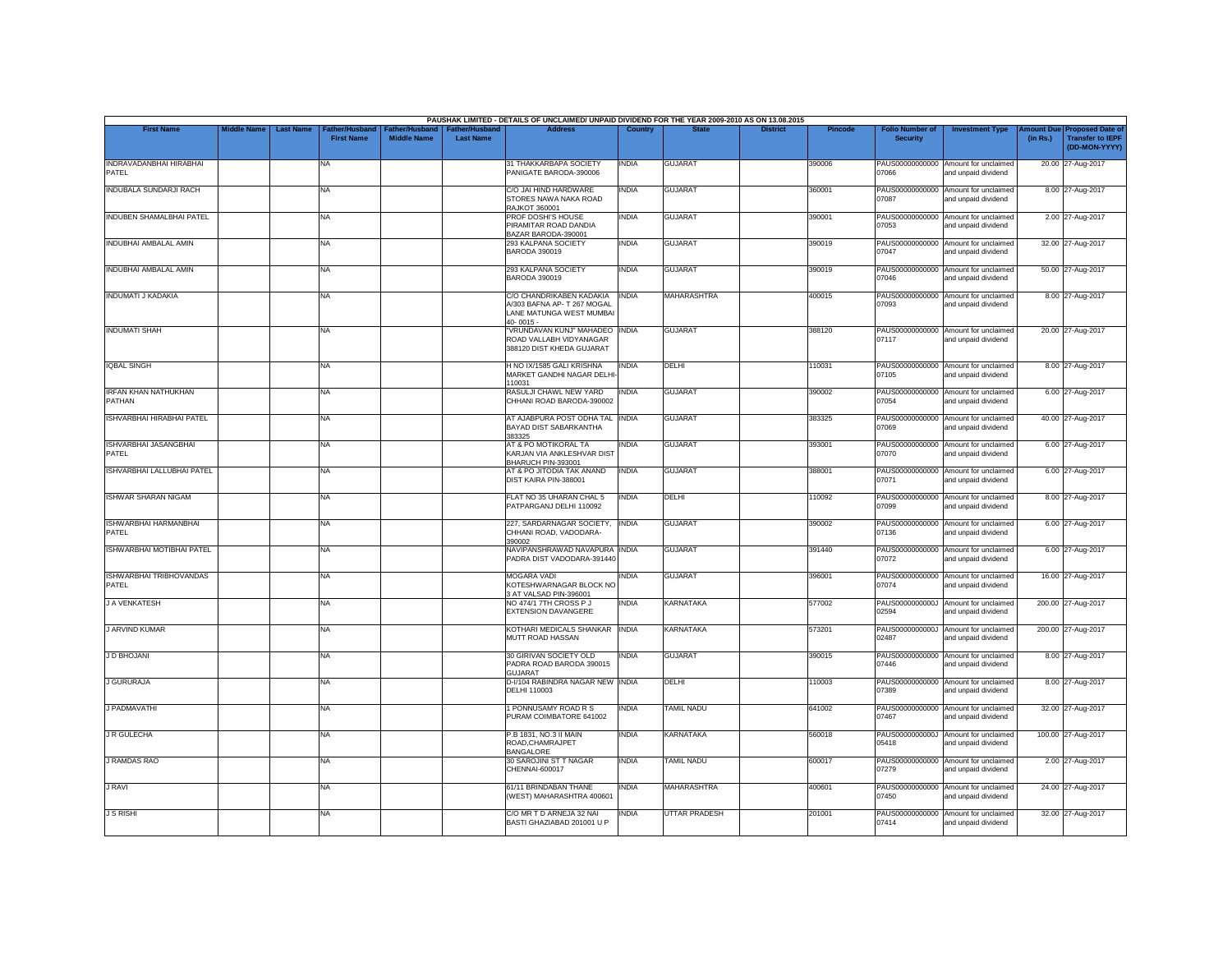|                                         |                    |                                                        |                                             |                                           | PAUSHAK LIMITED - DETAILS OF UNCLAIMED/ UNPAID DIVIDEND FOR THE YEAR 2009-2010 AS ON 13.08.2015  |              |                      |                 |         |                                           |                                                             |                       |                                                                     |
|-----------------------------------------|--------------------|--------------------------------------------------------|---------------------------------------------|-------------------------------------------|--------------------------------------------------------------------------------------------------|--------------|----------------------|-----------------|---------|-------------------------------------------|-------------------------------------------------------------|-----------------------|---------------------------------------------------------------------|
| <b>First Name</b>                       | <b>Middle Name</b> | <b>Last Name</b><br>ather/Husband<br><b>First Name</b> | <b>Father/Husband</b><br><b>Middle Name</b> | <b>Father/Husband</b><br><b>Last Name</b> | <b>Address</b>                                                                                   | Country      | <b>State</b>         | <b>District</b> | Pincode | <b>Folio Number of</b><br><b>Security</b> | <b>Investment Type</b>                                      | mount Due<br>(in Rs.) | <b>Proposed Date of</b><br><b>Transfer to IEPF</b><br>(DD-MON-YYYY) |
| INDRAVADANBHAI HIRABHAI<br><b>PATFI</b> |                    | NA                                                     |                                             |                                           | 31 THAKKARBAPA SOCIETY<br>PANIGATE BARODA-390006                                                 | INDIA        | GUJARAT              |                 | 390006  | PAUS00000000000<br>07066                  | Amount for unclaimed<br>and unpaid dividend                 |                       | 20.00 27-Aug-2017                                                   |
| <b>INDUBALA SUNDARJI RACH</b>           |                    | <b>NA</b>                                              |                                             |                                           | C/O JAI HIND HARDWARE<br>STORES NAWA NAKA ROAD<br>RAJKOT 360001                                  | INDIA        | <b>GUJARAT</b>       |                 | 360001  | 07087                                     | PAUS00000000000 Amount for unclaimed<br>and unpaid dividend |                       | 8.00 27-Aug-2017                                                    |
| INDUBEN SHAMALBHAI PATEL                |                    | NA                                                     |                                             |                                           | PROF DOSHI'S HOUSE<br>PIRAMITAR ROAD DANDIA<br>BAZAR BARODA-390001                               | INDIA        | <b>GUJARAT</b>       |                 | 390001  | PAUS00000000000<br>07053                  | Amount for unclaimed<br>and unpaid dividend                 |                       | 2.00 27-Aug-2017                                                    |
| INDUBHAI AMBALAL AMIN                   |                    | <b>NA</b>                                              |                                             |                                           | 293 KALPANA SOCIETY<br>BARODA 390019                                                             | <b>INDIA</b> | <b>GUJARAT</b>       |                 | 390019  | 07047                                     | PAUS00000000000 Amount for unclaimed<br>and unpaid dividend |                       | 32.00 27-Aug-2017                                                   |
| INDUBHAI AMBALAL AMIN                   |                    | <b>NA</b>                                              |                                             |                                           | 293 KALPANA SOCIETY<br>BARODA 390019                                                             | INDIA        | <b>GUJARAT</b>       |                 | 390019  | 07046                                     | PAUS00000000000 Amount for unclaimed<br>and unpaid dividend |                       | 50.00 27-Aug-2017                                                   |
| INDUMATI J KADAKIA                      |                    | <b>NA</b>                                              |                                             |                                           | C/O CHANDRIKABEN KADAKIA<br>A/303 BAFNA AP- T 267 MOGAL<br>LANE MATUNGA WEST MUMBAI<br>40-0015 - | <b>INDIA</b> | <b>MAHARASHTRA</b>   |                 | 400015  | PAUS00000000000<br>07093                  | Amount for unclaimed<br>and unpaid dividend                 |                       | 8.00 27-Aug-2017                                                    |
| <b>INDUMATI SHAH</b>                    |                    | <b>NA</b>                                              |                                             |                                           | "VRUNDAVAN KUNJ" MAHADEO INDIA<br>ROAD VALLABH VIDYANAGAR<br>388120 DIST KHEDA GUJARAT           |              | <b>GUJARAT</b>       |                 | 388120  | 07117                                     | PAUS00000000000 Amount for unclaimed<br>and unpaid dividend |                       | 20.00 27-Aug-2017                                                   |
| <b>IQBAL SINGH</b>                      |                    | <b>NA</b>                                              |                                             |                                           | H NO IX/1585 GALI KRISHNA<br>MARKET GANDHI NAGAR DELHI<br>110031                                 | <b>INDIA</b> | DELHI                |                 | 110031  | 07105                                     | PAUS00000000000 Amount for unclaimed<br>and unpaid dividend |                       | 8.00 27-Aug-2017                                                    |
| <b>IRFAN KHAN NATHUKHAN</b><br>PATHAN   |                    | <b>NA</b>                                              |                                             |                                           | RASULJI CHAWL NEW YARD<br>CHHANI ROAD BARODA-390002                                              | <b>INDIA</b> | <b>GUJARAT</b>       |                 | 390002  | 07054                                     | PAUS00000000000 Amount for unclaimed<br>and unpaid dividend |                       | 6.00 27-Aug-2017                                                    |
| <b>ISHVARBHAI HIRABHAI PATEL</b>        |                    | <b>NA</b>                                              |                                             |                                           | AT AJABPURA POST ODHA TAL INDIA<br><b>BAYAD DIST SABARKANTHA</b><br>383325                       |              | <b>GUJARAT</b>       |                 | 383325  | PAUS00000000000<br>07069                  | Amount for unclaimed<br>and unpaid dividend                 |                       | 40.00 27-Aug-2017                                                   |
| ISHVARBHAI JASANGBHAI<br>PATEL          |                    | <b>NA</b>                                              |                                             |                                           | AT & PO MOTIKORAL TA<br>KARJAN VIA ANKLESHVAR DIST<br>BHARUCH PIN-393001                         | INDIA        | <b>GUJARAT</b>       |                 | 393001  | 07070                                     | PAUS00000000000 Amount for unclaimed<br>and unpaid dividend |                       | 6.00 27-Aug-2017                                                    |
| ISHVARBHAI LALLUBHAI PATEL              |                    | <b>NA</b>                                              |                                             |                                           | AT & PO JITODIA TAK ANAND<br>DIST KAIRA PIN-388001                                               | <b>INDIA</b> | <b>GUJARAT</b>       |                 | 388001  | PAUS00000000000<br>07071                  | Amount for unclaimed<br>and unpaid dividend                 |                       | 6.00 27-Aug-2017                                                    |
| <b>ISHWAR SHARAN NIGAM</b>              |                    | <b>NA</b>                                              |                                             |                                           | FLAT NO 35 UHARAN CHAL 5<br>PATPARGANJ DELHI 110092                                              | <b>INDIA</b> | DELHI                |                 | 110092  | 07099                                     | PAUS00000000000 Amount for unclaimed<br>and unpaid dividend |                       | 8.00 27-Aug-2017                                                    |
| ISHWARBHAI HARMANBHAI<br>PATEL          |                    | <b>NA</b>                                              |                                             |                                           | 227, SARDARNAGAR SOCIETY,<br>CHHANI ROAD, VADODARA-<br>390002                                    | <b>INDIA</b> | <b>GUJARAT</b>       |                 | 390002  | 07136                                     | PAUS00000000000 Amount for unclaimed<br>and unpaid dividend |                       | 6.00 27-Aug-2017                                                    |
| ISHWARBHAI MOTIBHAI PATEL               |                    | <b>NA</b>                                              |                                             |                                           | NAVIPANSHRAWAD NAVAPURA INDIA<br>PADRA DIST VADODARA-391440                                      |              | <b>GUJARAT</b>       |                 | 391440  | 07072                                     | PAUS00000000000 Amount for unclaimed<br>and unpaid dividend |                       | 6.00 27-Aug-2017                                                    |
| ISHWARBHAI TRIBHOVANDAS<br>PATEL        |                    | <b>NA</b>                                              |                                             |                                           | MOGARA VADI<br>KOTESHWARNAGAR BLOCK NO<br>3 AT VALSAD PIN-396001                                 | <b>INDIA</b> | <b>GUJARAT</b>       |                 | 396001  | 07074                                     | PAUS00000000000 Amount for unclaimed<br>and unpaid dividend |                       | 16.00 27-Aug-2017                                                   |
| <b>J A VENKATESH</b>                    |                    | <b>NA</b>                                              |                                             |                                           | NO 474/1 7TH CROSS P J<br>EXTENSION DAVANGERE                                                    | <b>INDIA</b> | <b>KARNATAKA</b>     |                 | 577002  | 02594                                     | PAUS0000000000J Amount for unclaimed<br>and unpaid dividend |                       | 200.00 27-Aug-2017                                                  |
| <b>J ARVIND KUMAR</b>                   |                    | <b>NA</b>                                              |                                             |                                           | KOTHARI MEDICALS SHANKAR INDIA<br>MUTT ROAD HASSAN                                               |              | <b>KARNATAKA</b>     |                 | 573201  | 02487                                     | PAUS0000000000J Amount for unclaimed<br>and unpaid dividend |                       | 200.00 27-Aug-2017                                                  |
| J D BHOJANI                             |                    | <b>NA</b>                                              |                                             |                                           | 30 GIRIVAN SOCIETY OLD<br>PADRA ROAD BARODA 390015<br>GUJARAT                                    | INDIA        | <b>GUJARAT</b>       |                 | 390015  | 07446                                     | PAUS00000000000 Amount for unclaimed<br>and unpaid dividend |                       | 8.00 27-Aug-2017                                                    |
| J GURURAJA                              |                    | <b>NA</b>                                              |                                             |                                           | D-I/104 RABINDRA NAGAR NEW INDIA<br><b>DELHI 110003</b>                                          |              | DELHI                |                 | 110003  | 07389                                     | PAUS00000000000 Amount for unclaimed<br>and unpaid dividend |                       | 8.00 27-Aug-2017                                                    |
| J PADMAVATHI                            |                    | <b>NA</b>                                              |                                             |                                           | 1 PONNUSAMY ROAD R S<br>PURAM COIMBATORE 641002                                                  | <b>INDIA</b> | <b>TAMIL NADU</b>    |                 | 641002  | PAUS00000000000<br>07467                  | Amount for unclaimed<br>and unpaid dividend                 |                       | 32.00 27-Aug-2017                                                   |
| J R GULECHA                             |                    | NA                                                     |                                             |                                           | P.B 1831, NO.3 II MAIN<br>ROAD.CHAMRAJPET<br>BANGALORE                                           | INDIA        | KARNATAKA            |                 | 560018  | 05418                                     | PAUS0000000000J Amount for unclaimed<br>and unpaid dividend |                       | 100.00 27-Aug-2017                                                  |
| <b>J RAMDAS RAO</b>                     |                    | <b>NA</b>                                              |                                             |                                           | 30 SAROJINI ST T NAGAR<br>CHENNAI-600017                                                         | INDIA        | <b>TAMIL NADU</b>    |                 | 600017  | PAUS00000000000<br>07279                  | Amount for unclaimed<br>and unpaid dividend                 |                       | 2.00 27-Aug-2017                                                    |
| J RAVI                                  |                    | <b>NA</b>                                              |                                             |                                           | 61/11 BRINDABAN THANE<br>(WEST) MAHARASHTRA 400601                                               | <b>INDIA</b> | <b>MAHARASHTRA</b>   |                 | 400601  | 07450                                     | PAUS00000000000 Amount for unclaimed<br>and unpaid dividend |                       | 24.00 27-Aug-2017                                                   |
| <b>J S RISHI</b>                        |                    | NA                                                     |                                             |                                           | C/O MR T D ARNEJA 32 NAI<br>BASTI GHAZIABAD 201001 U P                                           | india        | <b>UTTAR PRADESH</b> |                 | 201001  | PAUS00000000000<br>07414                  | Amount for unclaimed<br>and unpaid dividend                 |                       | 32.00 27-Aug-2017                                                   |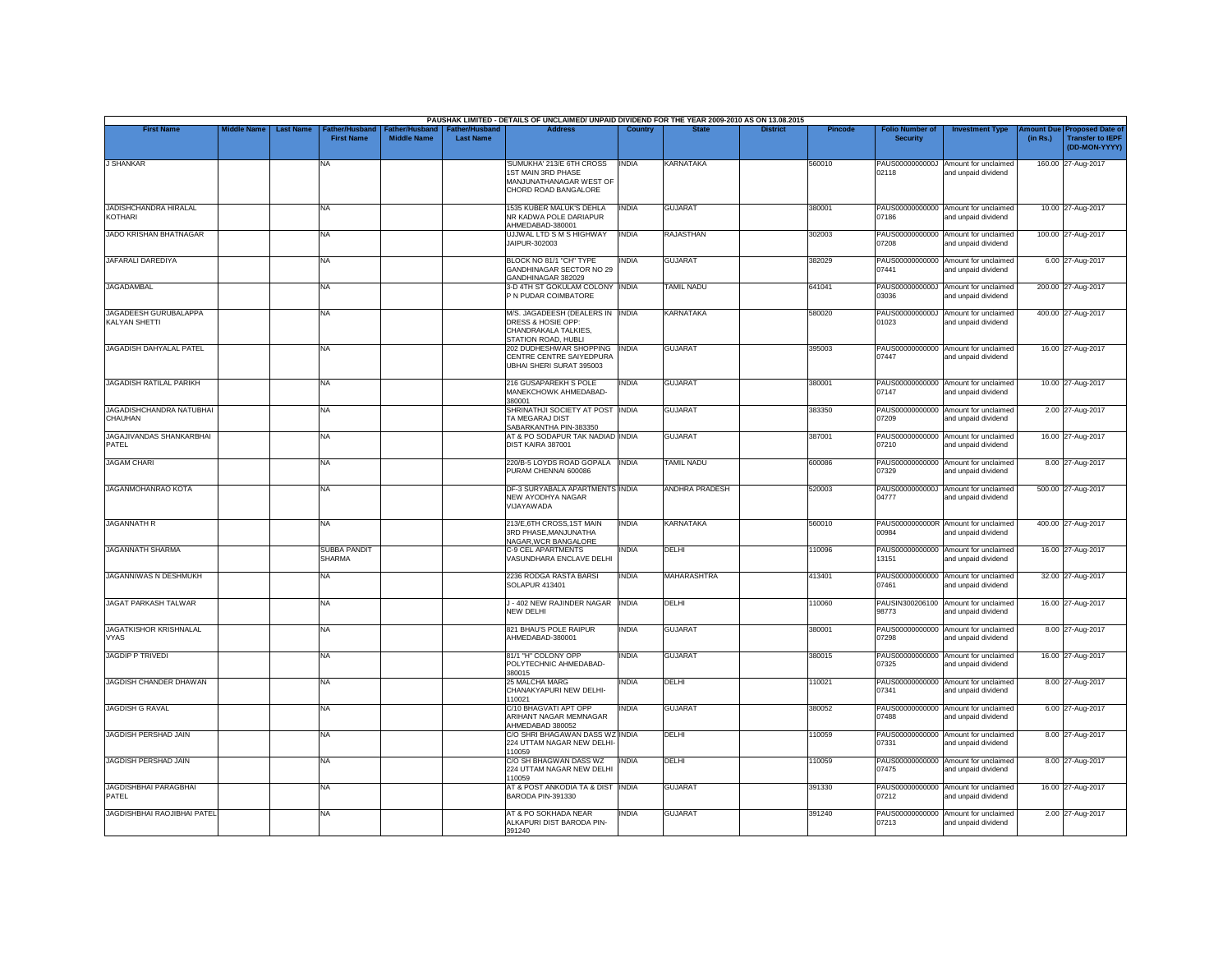|                                                |                    |                                                         |                                      |                                           | PAUSHAK LIMITED - DETAILS OF UNCLAIMED/ UNPAID DIVIDEND FOR THE YEAR 2009-2010 AS ON 13.08.2015       |                |                       |                 |                |                                           |                                                             |          |                                                                        |
|------------------------------------------------|--------------------|---------------------------------------------------------|--------------------------------------|-------------------------------------------|-------------------------------------------------------------------------------------------------------|----------------|-----------------------|-----------------|----------------|-------------------------------------------|-------------------------------------------------------------|----------|------------------------------------------------------------------------|
| <b>First Name</b>                              | <b>Middle Name</b> | <b>Last Name</b><br>Father/Husband<br><b>First Name</b> | Father/Husband<br><b>Middle Name</b> | <b>Father/Husband</b><br><b>Last Name</b> | <b>Address</b>                                                                                        | <b>Country</b> | <b>State</b>          | <b>District</b> | <b>Pincode</b> | <b>Folio Number of</b><br><b>Security</b> | <b>Investment Type</b>                                      | (in Rs.) | mount Due Proposed Date of<br><b>Transfer to IEPF</b><br>(DD-MON-YYYY) |
| <b>J SHANKAR</b>                               |                    | NA                                                      |                                      |                                           | SUMUKHA' 213/E 6TH CROSS<br>1ST MAIN 3RD PHASE<br>MANJUNATHANAGAR WEST OF<br>CHORD ROAD BANGALORE     | <b>INDIA</b>   | <b>KARNATAKA</b>      |                 | 560010         | 02118                                     | PAUS0000000000J Amount for unclaimed<br>and unpaid dividend |          | 160.00 27-Aug-2017                                                     |
| <b>JADISHCHANDRA HIRALAL</b><br><b>KOTHARI</b> |                    | <b>NA</b>                                               |                                      |                                           | 1535 KUBER MALUK'S DEHLA<br>NR KADWA POLE DARIAPUR<br>AHMEDABAD-380001                                | <b>INDIA</b>   | <b>GUJARAT</b>        |                 | 380001         | 07186                                     | PAUS00000000000 Amount for unclaimed<br>and unpaid dividend |          | 10.00 27-Aug-2017                                                      |
| <b>JADO KRISHAN BHATNAGAR</b>                  |                    | NA                                                      |                                      |                                           | UJJWAL LTD S M S HIGHWAY<br>JAIPUR-302003                                                             | <b>INDIA</b>   | <b>RAJASTHAN</b>      |                 | 302003         | 07208                                     | PAUS00000000000 Amount for unclaimed<br>and unpaid dividend |          | 100.00 27-Aug-2017                                                     |
| JAFARALI DAREDIYA                              |                    | <b>NA</b>                                               |                                      |                                           | BLOCK NO 81/1 "CH" TYPE<br>GANDHINAGAR SECTOR NO 29<br>GANDHINAGAR 382029                             | INDIA          | <b>GUJARAT</b>        |                 | 382029         | 07441                                     | PAUS00000000000 Amount for unclaimed<br>and unpaid dividend |          | 6.00 27-Aug-2017                                                       |
| <b>JAGADAMBAL</b>                              |                    | <b>NA</b>                                               |                                      |                                           | 3-D 4TH ST GOKULAM COLONY INDIA<br>P N PUDAR COIMBATORE                                               |                | <b>TAMIL NADU</b>     |                 | 641041         | 03036                                     | PAUS0000000000J Amount for unclaimed<br>and unpaid dividend |          | 200.00 27-Aug-2017                                                     |
| JAGADEESH GURUBALAPPA<br>KALYAN SHETTI         |                    | <b>NA</b>                                               |                                      |                                           | M/S. JAGADEESH (DEALERS IN INDIA<br>DRESS & HOSIE OPP:<br>CHANDRAKALA TALKIES,<br>STATION ROAD, HUBLI |                | <b>KARNATAKA</b>      |                 | 580020         | PAUS0000000000J<br>01023                  | Amount for unclaimed<br>and unpaid dividend                 |          | 400.00 27-Aug-2017                                                     |
| JAGADISH DAHYALAL PATEL                        |                    | <b>NA</b>                                               |                                      |                                           | 202 DUDHESHWAR SHOPPING<br>CENTRE CENTRE SAIYEDPURA<br>UBHAI SHERI SURAT 395003                       | <b>INDIA</b>   | <b>GUJARAT</b>        |                 | 395003         | 07447                                     | PAUS00000000000 Amount for unclaimed<br>and unpaid dividend |          | 16.00 27-Aug-2017                                                      |
| JAGADISH RATILAL PARIKH                        |                    | <b>NA</b>                                               |                                      |                                           | 216 GUSAPAREKH S POLE<br>MANEKCHOWK AHMEDABAD-<br>380001                                              | <b>INDIA</b>   | <b>GUJARAT</b>        |                 | 380001         | 07147                                     | PAUS00000000000 Amount for unclaimed<br>and unpaid dividend |          | 10.00 27-Aug-2017                                                      |
| JAGADISHCHANDRA NATUBHAI<br>CHAUHAN            |                    | <b>NA</b>                                               |                                      |                                           | SHRINATHJI SOCIETY AT POST INDIA<br>TA MEGARAJ DIST<br>SABARKANTHA PIN-383350                         |                | <b>GUJARAT</b>        |                 | 383350         | PAUS00000000000<br>07209                  | Amount for unclaimed<br>and unpaid dividend                 |          | 2.00 27-Aug-2017                                                       |
| JAGAJIVANDAS SHANKARBHAI<br>PATEL              |                    | <b>NA</b>                                               |                                      |                                           | AT & PO SODAPUR TAK NADIAD INDIA<br>DIST KAIRA 387001                                                 |                | <b>GUJARAT</b>        |                 | 387001         | 07210                                     | PAUS00000000000 Amount for unclaimed<br>and unpaid dividend |          | 16.00 27-Aug-2017                                                      |
| <b>JAGAM CHARI</b>                             |                    | <b>NA</b>                                               |                                      |                                           | 220/B-5 LOYDS ROAD GOPALA INDIA<br>PURAM CHENNAI 600086                                               |                | <b>TAMIL NADU</b>     |                 | 600086         | 07329                                     | PAUS00000000000 Amount for unclaimed<br>and unpaid dividend |          | 8.00 27-Aug-2017                                                       |
| <b>JAGANMOHANRAO KOTA</b>                      |                    | <b>NA</b>                                               |                                      |                                           | DF-3 SURYABALA APARTMENTS INDIA<br>NEW AYODHYA NAGAR<br>VIJAYAWADA                                    |                | <b>ANDHRA PRADESH</b> |                 | 520003         | 04777                                     | PAUS0000000000J Amount for unclaimed<br>and unpaid dividend |          | 500.00 27-Aug-2017                                                     |
| <b>JAGANNATH R</b>                             |                    | NA                                                      |                                      |                                           | 213/E,6TH CROSS,1ST MAIN<br>3RD PHASE.MANJUNATHA<br>NAGAR, WCR BANGALORE                              | <b>INDIA</b>   | KARNATAKA             |                 | 560010         | 00984                                     | PAUS0000000000R Amount for unclaimed<br>and unpaid dividend |          | 400.00 27-Aug-2017                                                     |
| JAGANNATH SHARMA                               |                    | <b>SUBBA PANDIT</b><br><b>SHARMA</b>                    |                                      |                                           | C-9 CEL APARTMENTS<br>VASUNDHARA ENCLAVE DELHI                                                        | <b>INDIA</b>   | DELHI                 |                 | 110096         | 13151                                     | PAUS00000000000 Amount for unclaimed<br>and unpaid dividend |          | 16.00 27-Aug-2017                                                      |
| JAGANNIWAS N DESHMUKH                          |                    | <b>NA</b>                                               |                                      |                                           | 2236 RODGA RASTA BARSI<br><b>SOLAPUR 413401</b>                                                       | <b>INDIA</b>   | <b>MAHARASHTRA</b>    |                 | 413401         | 07461                                     | PAUS00000000000 Amount for unclaimed<br>and unpaid dividend |          | 32.00 27-Aug-2017                                                      |
| <b>JAGAT PARKASH TALWAR</b>                    |                    | <b>NA</b>                                               |                                      |                                           | J - 402 NEW RAJINDER NAGAR<br>NEW DELHI                                                               | <b>INDIA</b>   | DELHI                 |                 | 110060         | 98773                                     | PAUSIN300206100 Amount for unclaimed<br>and unpaid dividend |          | 16.00 27-Aug-2017                                                      |
| <b>JAGATKISHOR KRISHNALAL</b><br><b>VYAS</b>   |                    | <b>NA</b>                                               |                                      |                                           | 821 BHAU'S POLE RAIPUR<br>AHMEDABAD-380001                                                            | INDIA          | <b>GUJARAT</b>        |                 | 380001         | 07298                                     | PAUS00000000000 Amount for unclaimed<br>and unpaid dividend |          | 8.00 27-Aug-2017                                                       |
| <b>JAGDIP P TRIVEDI</b>                        |                    | <b>NA</b>                                               |                                      |                                           | 81/1 "H" COLONY OPP<br>POLYTECHNIC AHMEDABAD-<br>380015                                               | <b>INDIA</b>   | <b>GUJARAT</b>        |                 | 380015         | 07325                                     | PAUS00000000000 Amount for unclaimed<br>and unpaid dividend |          | 16.00 27-Aug-2017                                                      |
| JAGDISH CHANDER DHAWAN                         |                    | <b>NA</b>                                               |                                      |                                           | 25 MALCHA MARG<br>CHANAKYAPURI NEW DELHI-<br>110021                                                   | INDIA          | DELHI                 |                 | 110021         | 07341                                     | PAUS00000000000 Amount for unclaimed<br>and unpaid dividend |          | 8.00 27-Aug-2017                                                       |
| <b>JAGDISH G RAVAL</b>                         |                    | NA                                                      |                                      |                                           | C/10 BHAGVATI APT OPP<br>ARIHANT NAGAR MEMNAGAR<br>AHMEDABAD 380052                                   | INDIA          | <b>GUJARAT</b>        |                 | 380052         | PAUS00000000000<br>07488                  | Amount for unclaimed<br>and unpaid dividend                 |          | 6.00 27-Aug-2017                                                       |
| <b>JAGDISH PERSHAD JAIN</b>                    |                    | <b>NA</b>                                               |                                      |                                           | C/O SHRI BHAGAWAN DASS WZ INDIA<br>224 UTTAM NAGAR NEW DELHI-<br>110059                               |                | DELHI                 |                 | 110059         | 07331                                     | PAUS00000000000 Amount for unclaimed<br>and unpaid dividend |          | 8.00 27-Aug-2017                                                       |
| <b>JAGDISH PERSHAD JAIN</b>                    |                    | <b>NA</b>                                               |                                      |                                           | C/O SH BHAGWAN DASS WZ<br>224 UTTAM NAGAR NEW DELHI<br>110059                                         | <b>INDIA</b>   | <b>DELHI</b>          |                 | 110059         | 07475                                     | PAUS00000000000 Amount for unclaimed<br>and unpaid dividend |          | 8.00 27-Aug-2017                                                       |
| JAGDISHBHAI PARAGBHAI<br>PATEL                 |                    | <b>NA</b>                                               |                                      |                                           | AT & POST ANKODIA TA & DIST<br>BARODA PIN-391330                                                      | <b>INDIA</b>   | <b>GUJARAT</b>        |                 | 391330         | 07212                                     | PAUS00000000000 Amount for unclaimed<br>and unpaid dividend |          | 16.00 27-Aug-2017                                                      |
| <b>JAGDISHBHAI RAOJIBHAI PATEL</b>             |                    | <b>NA</b>                                               |                                      |                                           | AT & PO SOKHADA NEAR<br>ALKAPURI DIST BARODA PIN-<br>391240                                           | INDIA          | <b>GUJARAT</b>        |                 | 391240         | PAUS00000000000<br>07213                  | Amount for unclaimed<br>and unpaid dividend                 |          | 2.00 27-Aug-2017                                                       |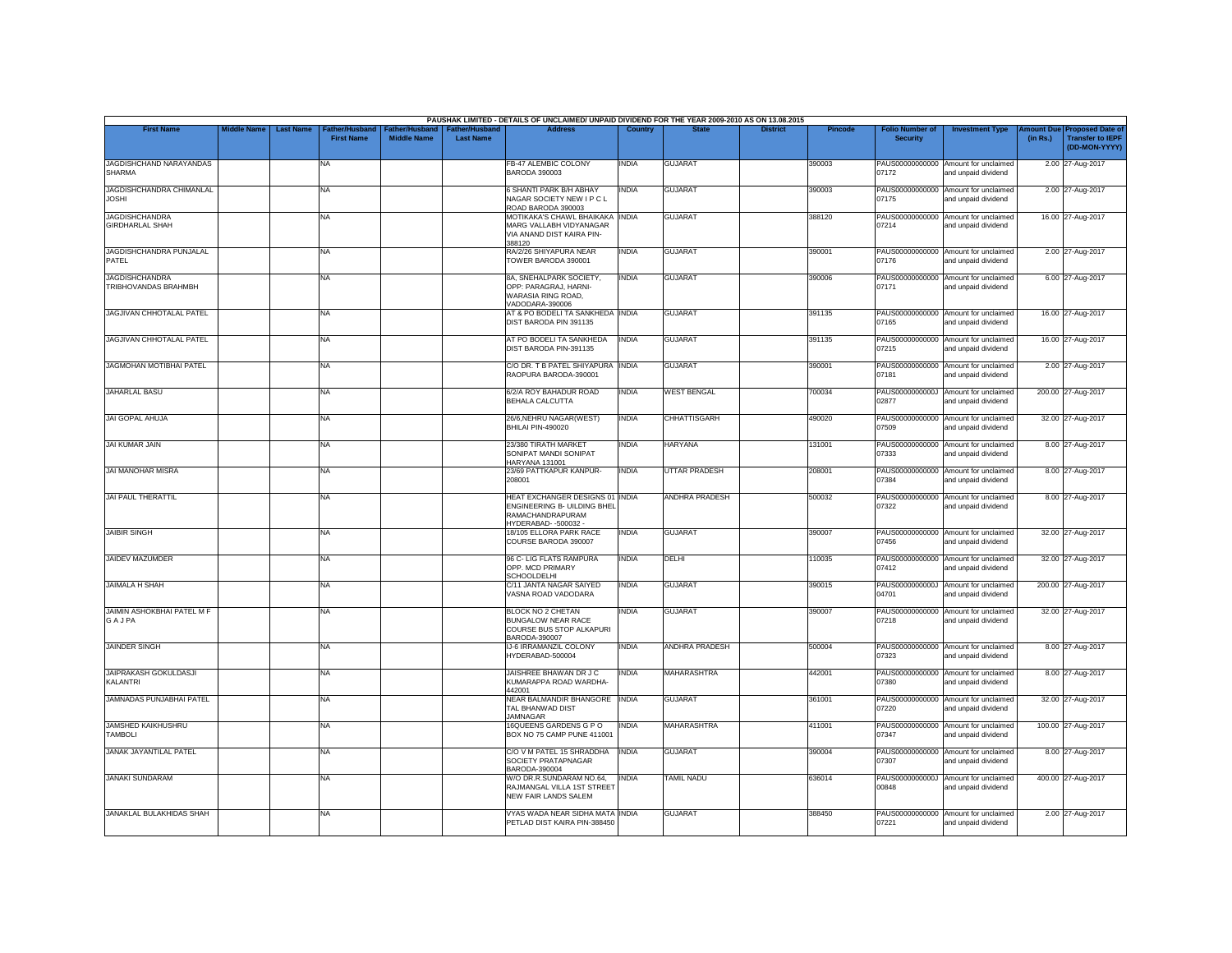|                                                 |                    |                  |                                                 |                                             |                                           | PAUSHAK LIMITED - DETAILS OF UNCLAIMED/ UNPAID DIVIDEND FOR THE YEAR 2009-2010 AS ON 13.08.2015                   |              |                       |                 |                |                                           |                                                             |                       |                                                                     |
|-------------------------------------------------|--------------------|------------------|-------------------------------------------------|---------------------------------------------|-------------------------------------------|-------------------------------------------------------------------------------------------------------------------|--------------|-----------------------|-----------------|----------------|-------------------------------------------|-------------------------------------------------------------|-----------------------|---------------------------------------------------------------------|
| <b>First Name</b>                               | <b>Middle Name</b> | <b>Last Name</b> | ather/Husband <sup>-</sup><br><b>First Name</b> | <b>Father/Husband</b><br><b>Middle Name</b> | <b>Father/Husband</b><br><b>Last Name</b> | <b>Address</b>                                                                                                    | Country      | <b>State</b>          | <b>District</b> | <b>Pincode</b> | <b>Folio Number of</b><br><b>Security</b> | <b>Investment Type</b>                                      | mount Due<br>(in Rs.) | <b>Proposed Date of</b><br><b>Transfer to IEPF</b><br>(DD-MON-YYYY) |
| JAGDISHCHAND NARAYANDAS<br><b>SHARMA</b>        |                    |                  | <b>NA</b>                                       |                                             |                                           | <b>FB-47 ALEMBIC COLONY</b><br>BARODA 390003                                                                      | <b>INDIA</b> | <b>GUJARAT</b>        |                 | 390003         | 07172                                     | PAUS00000000000 Amount for unclaimed<br>and unpaid dividend |                       | 2.00 27-Aug-2017                                                    |
| <b>JAGDISHCHANDRA CHIMANLAL</b><br><b>JOSHI</b> |                    |                  | <b>NA</b>                                       |                                             |                                           | <b>6 SHANTI PARK B/H ABHAY</b><br>NAGAR SOCIETY NEW I P C L<br>ROAD BARODA 390003                                 | <b>INDIA</b> | <b>GUJARAT</b>        |                 | 390003         | 07175                                     | PAUS00000000000 Amount for unclaimed<br>and unpaid dividend |                       | 2.00 27-Aug-2017                                                    |
| <b>JAGDISHCHANDRA</b><br><b>GIRDHARLAL SHAH</b> |                    |                  | NA                                              |                                             |                                           | MOTIKAKA'S CHAWL BHAIKAKA INDIA<br>MARG VALLABH VIDYANAGAR<br>VIA ANAND DIST KAIRA PIN-<br>388120                 |              | <b>GUJARAT</b>        |                 | 388120         | PAUS00000000000<br>07214                  | Amount for unclaimed<br>and unpaid dividend                 |                       | 16.00 27-Aug-2017                                                   |
| JAGDISHCHANDRA PUNJALAL<br>PATEL                |                    |                  | <b>NA</b>                                       |                                             |                                           | RA/2/26 SHIYAPURA NEAR<br>TOWER BARODA 390001                                                                     | <b>INDIA</b> | <b>GUJARAT</b>        |                 | 390001         | 07176                                     | PAUS00000000000 Amount for unclaimed<br>and unpaid dividend |                       | 2.00 27-Aug-2017                                                    |
| <b>JAGDISHCHANDRA</b><br>TRIBHOVANDAS BRAHMBH   |                    |                  | <b>NA</b>                                       |                                             |                                           | 8A, SNEHALPARK SOCIETY,<br>OPP: PARAGRAJ, HARNI-<br>WARASIA RING ROAD,<br>VADODARA-390006                         | <b>INDIA</b> | <b>GUJARAT</b>        |                 | 390006         | 07171                                     | PAUS00000000000 Amount for unclaimed<br>and unpaid dividend |                       | 6.00 27-Aug-2017                                                    |
| JAGJIVAN CHHOTALAL PATEL                        |                    |                  | NA                                              |                                             |                                           | AT & PO BODELI TA SANKHEDA INDIA<br>DIST BARODA PIN 391135                                                        |              | <b>GUJARAT</b>        |                 | 391135         | 07165                                     | PAUS00000000000 Amount for unclaimed<br>and unpaid dividend |                       | 16.00 27-Aug-2017                                                   |
| JAGJIVAN CHHOTALAL PATEL                        |                    |                  | <b>NA</b>                                       |                                             |                                           | AT PO BODELI TA SANKHEDA<br>DIST BARODA PIN-391135                                                                | <b>INDIA</b> | <b>GUJARAT</b>        |                 | 391135         | 07215                                     | PAUS00000000000 Amount for unclaimed<br>and unpaid dividend |                       | 16.00 27-Aug-2017                                                   |
| <b>JAGMOHAN MOTIBHAI PATEL</b>                  |                    |                  | <b>NA</b>                                       |                                             |                                           | C/O DR. T B PATEL SHIYAPURA INDIA<br>RAOPURA BARODA-390001                                                        |              | <b>GUJARAT</b>        |                 | 390001         | 07181                                     | PAUS00000000000 Amount for unclaimed<br>and unpaid dividend |                       | 2.00 27-Aug-2017                                                    |
| <b>JAHARLAL BASU</b>                            |                    |                  | <b>NA</b>                                       |                                             |                                           | 6/2/A ROY BAHADUR ROAD<br>BEHALA CALCUTTA                                                                         | <b>INDIA</b> | <b>WEST BENGAL</b>    |                 | 700034         | 02877                                     | PAUS0000000000J Amount for unclaimed<br>and unpaid dividend |                       | 200.00 27-Aug-2017                                                  |
| <b>JAI GOPAL AHUJA</b>                          |                    |                  | NA                                              |                                             |                                           | 26/6, NEHRU NAGAR(WEST)<br><b>BHILAI PIN-490020</b>                                                               | <b>INDIA</b> | <b>CHHATTISGARH</b>   |                 | 490020         | 07509                                     | PAUS00000000000 Amount for unclaimed<br>and unpaid dividend |                       | 32.00 27-Aug-2017                                                   |
| <b>JAI KUMAR JAIN</b>                           |                    |                  | <b>NA</b>                                       |                                             |                                           | 23/380 TIRATH MARKET<br>SONIPAT MANDI SONIPAT<br><b>HARYANA 131001</b>                                            | <b>INDIA</b> | <b>HARYANA</b>        |                 | 131001         | 07333                                     | PAUS00000000000 Amount for unclaimed<br>and unpaid dividend |                       | 8.00 27-Aug-2017                                                    |
| <b>JAI MANOHAR MISRA</b>                        |                    |                  | <b>NA</b>                                       |                                             |                                           | 23/69 PATTKAPUR KANPUR-<br>208001                                                                                 | <b>INDIA</b> | UTTAR PRADESH         |                 | 208001         | 07384                                     | PAUS00000000000 Amount for unclaimed<br>and unpaid dividend |                       | 8.00 27-Aug-2017                                                    |
| <b>JAI PAUL THERATTIL</b>                       |                    |                  | <b>NA</b>                                       |                                             |                                           | HEAT EXCHANGER DESIGNS 01 INDIA<br><b>ENGINEERING B- UILDING BHEL</b><br>RAMACHANDRAPURAM<br>HYDERABAD- -500032 - |              | ANDHRA PRADESH        |                 | 500032         | 07322                                     | PAUS00000000000 Amount for unclaimed<br>and unpaid dividend |                       | 8.00 27-Aug-2017                                                    |
| <b>JAIBIR SINGH</b>                             |                    |                  | <b>NA</b>                                       |                                             |                                           | 18/105 ELLORA PARK RACE<br>COURSE BARODA 390007                                                                   | <b>INDIA</b> | <b>GUJARAT</b>        |                 | 390007         | 07456                                     | PAUS00000000000 Amount for unclaimed<br>and unpaid dividend |                       | 32.00 27-Aug-2017                                                   |
| JAIDEV MAZUMDER                                 |                    |                  | NA.                                             |                                             |                                           | 96 C- LIG FLATS RAMPURA<br>OPP. MCD PRIMARY<br>SCHOOLDELHI                                                        | <b>INDIA</b> | <b>DELHI</b>          |                 | 110035         | 07412                                     | PAUS00000000000 Amount for unclaimed<br>and unpaid dividend |                       | 32.00 27-Aug-2017                                                   |
| <b>JAIMALA H SHAH</b>                           |                    |                  | <b>NA</b>                                       |                                             |                                           | C/11 JANTA NAGAR SAIYED<br>VASNA ROAD VADODARA                                                                    | <b>INDIA</b> | <b>GUJARAT</b>        |                 | 390015         | 04701                                     | PAUS0000000000J Amount for unclaimed<br>and unpaid dividend |                       | 200.00 27-Aug-2017                                                  |
| <b>JAIMIN ASHOKBHAI PATEL M F</b><br>GAJPA      |                    |                  | <b>NA</b>                                       |                                             |                                           | <b>BLOCK NO 2 CHETAN</b><br><b>BUNGALOW NEAR RACE</b><br>COURSE BUS STOP ALKAPURI<br>BARODA-390007                | <b>INDIA</b> | <b>GUJARAT</b>        |                 | 390007         | PAUS00000000000<br>07218                  | Amount for unclaimed<br>and unpaid dividend                 |                       | 32.00 27-Aug-2017                                                   |
| <b>JAINDER SINGH</b>                            |                    |                  | <b>NA</b>                                       |                                             |                                           | IJ-6 IRRAMANZIL COLONY<br>HYDERABAD-500004                                                                        | <b>INDIA</b> | <b>ANDHRA PRADESH</b> |                 | 500004         | 07323                                     | PAUS00000000000 Amount for unclaimed<br>and unpaid dividend |                       | 8.00 27-Aug-2017                                                    |
| JAIPRAKASH GOKULDASJI<br><b>KALANTRI</b>        |                    |                  | <b>NA</b>                                       |                                             |                                           | JAISHREE BHAWAN DR J C<br>KUMARAPPA ROAD WARDHA-<br>442001                                                        | <b>INDIA</b> | MAHARASHTRA           |                 | 442001         | 07380                                     | PAUS00000000000 Amount for unclaimed<br>and unpaid dividend |                       | 8.00 27-Aug-2017                                                    |
| JAMNADAS PUNJABHAI PATEL                        |                    |                  | <b>NA</b>                                       |                                             |                                           | NEAR BALMANDIR BHANGORE<br>TAL BHANWAD DIST<br><b>JAMNAGAR</b>                                                    | <b>INDIA</b> | <b>GUJARAT</b>        |                 | 361001         | 07220                                     | PAUS00000000000 Amount for unclaimed<br>and unpaid dividend |                       | 32.00 27-Aug-2017                                                   |
| JAMSHED KAIKHUSHRU<br>TAMBOLI                   |                    |                  | <b>NA</b>                                       |                                             |                                           | 16QUEENS GARDENS G P O<br>BOX NO 75 CAMP PUNE 411001                                                              | <b>INDIA</b> | <b>MAHARASHTRA</b>    |                 | 411001         | 07347                                     | PAUS00000000000 Amount for unclaimed<br>and unpaid dividend |                       | 100.00 27-Aug-2017                                                  |
| <b>JANAK JAYANTILAL PATEL</b>                   |                    |                  | <b>NA</b>                                       |                                             |                                           | C/O V M PATEL 15 SHRADDHA<br>SOCIETY PRATAPNAGAR<br>BARODA-390004                                                 | <b>INDIA</b> | <b>GUJARAT</b>        |                 | 390004         | 07307                                     | PAUS00000000000 Amount for unclaimed<br>and unpaid dividend |                       | 8.00 27-Aug-2017                                                    |
| <b>JANAKI SUNDARAM</b>                          |                    |                  | <b>NA</b>                                       |                                             |                                           | W/O DR.R.SUNDARAM NO.64,<br>RAJMANGAL VILLA 1ST STREET<br>NEW FAIR LANDS SALEM                                    | <b>INDIA</b> | <b>TAMIL NADU</b>     |                 | 636014         | 00848                                     | PAUS0000000000J Amount for unclaimed<br>and unpaid dividend |                       | 400.00 27-Aug-2017                                                  |
| JANAKLAL BULAKHIDAS SHAH                        |                    |                  | <b>NA</b>                                       |                                             |                                           | VYAS WADA NEAR SIDHA MATA INDIA<br>PETLAD DIST KAIRA PIN-388450                                                   |              | <b>GUJARAT</b>        |                 | 388450         | 07221                                     | PAUS00000000000 Amount for unclaimed<br>and unpaid dividend |                       | 2.00 27-Aug-2017                                                    |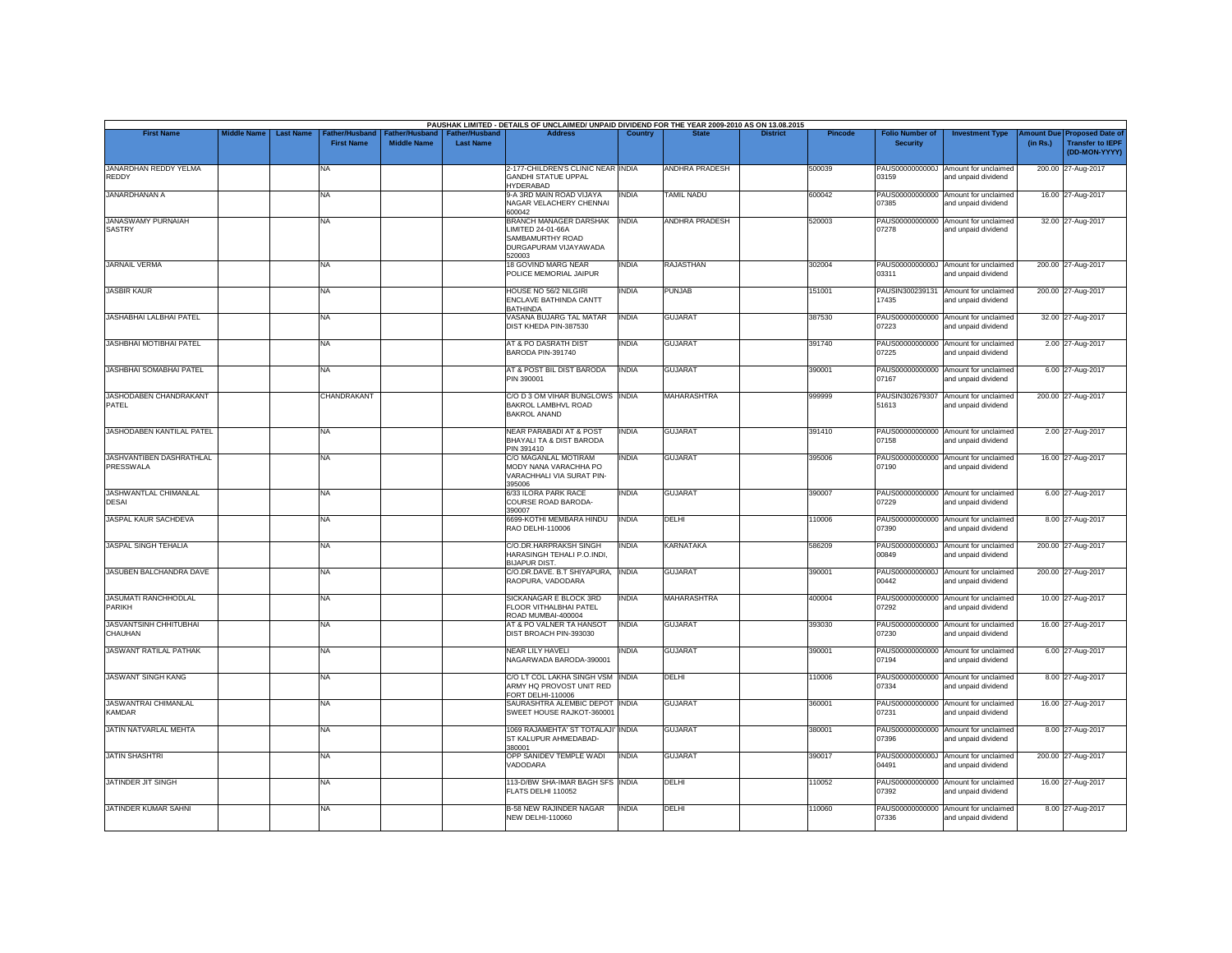| <b>First Name</b>                            | <b>Middle Name</b> | <b>Last Name</b> | Father/Husband    | Father/Husband     | <b>Father/Husband</b> | PAUSHAK LIMITED - DETAILS OF UNCLAIMED/ UNPAID DIVIDEND FOR THE YEAR 2009-2010 AS ON 13.08.2015<br><b>Address</b> | Country      |                       | <b>District</b> | <b>Pincode</b> | <b>Folio Number of</b>   | <b>Investment Type</b>                                      | <b>Imount Due</b> | <b>Proposed Date of</b>                  |
|----------------------------------------------|--------------------|------------------|-------------------|--------------------|-----------------------|-------------------------------------------------------------------------------------------------------------------|--------------|-----------------------|-----------------|----------------|--------------------------|-------------------------------------------------------------|-------------------|------------------------------------------|
|                                              |                    |                  | <b>First Name</b> | <b>Middle Name</b> | <b>Last Name</b>      |                                                                                                                   |              |                       |                 |                | <b>Security</b>          |                                                             | (in Rs.)          | <b>Transfer to IEPF</b><br>(DD-MON-YYYY) |
| JANARDHAN REDDY YELMA<br>REDDY               |                    |                  | NA                |                    |                       | 2-177-CHILDREN'S CLINIC NEAR INDIA<br><b>GANDHI STATUE UPPAL</b><br><b>HYDERABAD</b>                              |              | <b>ANDHRA PRADESH</b> |                 | 500039         | 03159                    | PAUS0000000000J Amount for unclaimed<br>and unpaid dividend |                   | 200.00 27-Aug-2017                       |
| <b>JANARDHANAN A</b>                         |                    |                  | NA                |                    |                       | 9-A 3RD MAIN ROAD VIJAYA<br>NAGAR VELACHERY CHENNAI<br>600042                                                     | <b>INDIA</b> | <b>TAMIL NADU</b>     |                 | 600042         | 07385                    | PAUS00000000000 Amount for unclaimed<br>and unpaid dividend |                   | 16.00 27-Aug-2017                        |
| <b>JANASWAMY PURNAIAH</b><br><b>SASTRY</b>   |                    |                  | NA                |                    |                       | <b>BRANCH MANAGER DARSHAK</b><br>LIMITED 24-01-66A<br>SAMBAMURTHY ROAD<br>DURGAPURAM VIJAYAWADA<br>520003         | <b>INDIA</b> | ANDHRA PRADESH        |                 | 520003         | 07278                    | PAUS00000000000 Amount for unclaimed<br>and unpaid dividend |                   | 32.00 27-Aug-2017                        |
| <b>JARNAIL VERMA</b>                         |                    |                  | <b>NA</b>         |                    |                       | 18 GOVIND MARG NEAR<br>POLICE MEMORIAL JAIPUR                                                                     | <b>INDIA</b> | <b>RAJASTHAN</b>      |                 | 302004         | 03311                    | PAUS0000000000J Amount for unclaimed<br>and unpaid dividend |                   | 200.00 27-Aug-2017                       |
| <b>JASBIR KAUR</b>                           |                    |                  | NA                |                    |                       | <b>HOUSE NO 56/2 NILGIRI</b><br>ENCLAVE BATHINDA CANTT<br><b>BATHINDA</b>                                         | <b>INDIA</b> | PUNJAB                |                 | 151001         | PAUSIN300239131<br>17435 | Amount for unclaimed<br>and unpaid dividend                 |                   | 200.00 27-Aug-2017                       |
| <b>JASHABHAI LALBHAI PATEL</b>               |                    |                  | NA                |                    |                       | VASANA BUJARG TAL MATAR<br>DIST KHEDA PIN-387530                                                                  | <b>INDIA</b> | <b>GUJARAT</b>        |                 | 387530         | 07223                    | PAUS00000000000 Amount for unclaimed<br>and unpaid dividend |                   | 32.00 27-Aug-2017                        |
| <b>JASHBHAI MOTIBHAI PATEL</b>               |                    |                  | NA                |                    |                       | AT & PO DASRATH DIST<br>BARODA PIN-391740                                                                         | <b>INDIA</b> | <b>GUJARAT</b>        |                 | 391740         | 07225                    | PAUS00000000000 Amount for unclaimed<br>and unpaid dividend |                   | 2.00 27-Aug-2017                         |
| JASHBHAI SOMABHAI PATEL                      |                    |                  | NA                |                    |                       | AT & POST BIL DIST BARODA<br>PIN 390001                                                                           | <b>INDIA</b> | <b>GUJARAT</b>        |                 | 390001         | 07167                    | PAUS00000000000 Amount for unclaimed<br>and unpaid dividend |                   | 6.00 27-Aug-2017                         |
| JASHODABEN CHANDRAKANT<br>PATEL              |                    |                  | CHANDRAKANT       |                    |                       | C/O D 3 OM VIHAR BUNGLOWS INDIA<br>BAKROL LAMBHVL ROAD<br><b>BAKROL ANAND</b>                                     |              | MAHARASHTRA           |                 | 999999         | PAUSIN302679307<br>51613 | Amount for unclaimed<br>and unpaid dividend                 |                   | 200.00 27-Aug-2017                       |
| JASHODABEN KANTILAL PATEL                    |                    |                  | NA                |                    |                       | <b>NEAR PARABADI AT &amp; POST</b><br>BHAYALI TA & DIST BARODA<br>PIN 391410                                      | <b>INDIA</b> | <b>GUJARAT</b>        |                 | 391410         | 07158                    | PAUS00000000000 Amount for unclaimed<br>and unpaid dividend |                   | 2.00 27-Aug-2017                         |
| <b>JASHVANTIBEN DASHRATHLAL</b><br>PRESSWALA |                    |                  | NA                |                    |                       | C/O MAGANLAL MOTIRAM<br>MODY NANA VARACHHA PO<br>VARACHHALI VIA SURAT PIN-<br>395006                              | <b>INDIA</b> | <b>GUJARAT</b>        |                 | 395006         | 07190                    | PAUS00000000000 Amount for unclaimed<br>and unpaid dividend |                   | 16.00 27-Aug-2017                        |
| JASHWANTLAL CHIMANLAL<br><b>DESAI</b>        |                    |                  | NA                |                    |                       | 6/33 ILORA PARK RACE<br>COURSE ROAD BARODA-<br>390007                                                             | <b>INDIA</b> | <b>GUJARAT</b>        |                 | 390007         | 07229                    | PAUS00000000000 Amount for unclaimed<br>and unpaid dividend |                   | 6.00 27-Aug-2017                         |
| JASPAL KAUR SACHDEVA                         |                    |                  | NA                |                    |                       | 6699-KOTHI MEMBARA HINDU<br>RAO DELHI-110006                                                                      | <b>INDIA</b> | <b>DELHI</b>          |                 | 110006         | 07390                    | PAUS00000000000 Amount for unclaimed<br>and unpaid dividend |                   | 8.00 27-Aug-2017                         |
| JASPAL SINGH TEHALIA                         |                    |                  | NA                |                    |                       | C/O.DR.HARPRAKSH SINGH<br>HARASINGH TEHALI P.O.INDI.<br><b>BIJAPUR DIST</b>                                       | <b>INDIA</b> | <b>KARNATAKA</b>      |                 | 586209         | 00849                    | PAUS0000000000J Amount for unclaimed<br>and unpaid dividend |                   | 200.00 27-Aug-2017                       |
| JASUBEN BALCHANDRA DAVE                      |                    |                  | NA                |                    |                       | C/O.DR.DAVE. B.T SHIYAPURA,<br>RAOPURA, VADODARA                                                                  | <b>INDIA</b> | <b>GUJARAT</b>        |                 | 390001         | 00442                    | PAUS0000000000J Amount for unclaimed<br>and unpaid dividend |                   | 200.00 27-Aug-2017                       |
| <b>JASUMATI RANCHHODLAL</b><br>PARIKH        |                    |                  | NA                |                    |                       | SICKANAGAR E BLOCK 3RD<br>FLOOR VITHALBHAI PATEL<br>ROAD MUMBAI-400004                                            | <b>INDIA</b> | <b>MAHARASHTRA</b>    |                 | 400004         | 07292                    | PAUS00000000000 Amount for unclaimed<br>and unpaid dividend |                   | 10.00 27-Aug-2017                        |
| <b>JASVANTSINH CHHITUBHAI</b><br>CHAUHAN     |                    |                  | NA                |                    |                       | AT & PO VALNER TA HANSOT<br>DIST BROACH PIN-393030                                                                | <b>INDIA</b> | <b>GUJARAT</b>        |                 | 393030         | 07230                    | PAUS00000000000 Amount for unclaimed<br>and unpaid dividend |                   | 16.00 27-Aug-2017                        |
| <b>JASWANT RATILAL PATHAK</b>                |                    |                  | <b>NA</b>         |                    |                       | NEAR LILY HAVELI<br>NAGARWADA BARODA-390001                                                                       | <b>INDIA</b> | <b>GUJARAT</b>        |                 | 390001         | 07194                    | PAUS00000000000 Amount for unclaimed<br>and unpaid dividend |                   | 6.00 27-Aug-2017                         |
| <b>JASWANT SINGH KANG</b>                    |                    |                  | NA                |                    |                       | C/O LT COL LAKHA SINGH VSM INDIA<br>ARMY HQ PROVOST UNIT RED<br>FORT DELHI-110006                                 |              | DELHI                 |                 | 110006         | 07334                    | PAUS00000000000 Amount for unclaimed<br>and unpaid dividend |                   | 8.00 27-Aug-2017                         |
| JASWANTRAI CHIMANLAL<br><b>KAMDAR</b>        |                    |                  | <b>NA</b>         |                    |                       | SAURASHTRA ALEMBIC DEPOT INDIA<br>SWEET HOUSE RAJKOT-360001                                                       |              | <b>GUJARAT</b>        |                 | 360001         | 07231                    | PAUS00000000000 Amount for unclaimed<br>and unpaid dividend |                   | 16.00 27-Aug-2017                        |
| JATIN NATVARLAL MEHTA                        |                    |                  | NA                |                    |                       | 1069 RAJAMEHTA' ST TOTALAJI' INDIA<br>ST KALUPUR AHMEDABAD-<br>380001                                             |              | <b>GUJARAT</b>        |                 | 380001         | 07396                    | PAUS00000000000 Amount for unclaimed<br>and unpaid dividend |                   | 8.00 27-Aug-2017                         |
| <b>JATIN SHASHTRI</b>                        |                    |                  | NA                |                    |                       | OPP SANIDEV TEMPLE WADI<br>VADODARA                                                                               | <b>INDIA</b> | <b>GUJARAT</b>        |                 | 390017         | 04491                    | PAUS0000000000J Amount for unclaimed<br>and unpaid dividend |                   | 200.00 27-Aug-2017                       |
| JATINDER JIT SINGH                           |                    |                  | NA                |                    |                       | 113-D/BW SHA-IMAR BAGH SFS INDIA<br>FLATS DELHI 110052                                                            |              | DELHI                 |                 | 10052          | 07392                    | PAUS00000000000 Amount for unclaimed<br>and unpaid dividend |                   | 16.00 27-Aug-2017                        |
| JATINDER KUMAR SAHNI                         |                    |                  | NA                |                    |                       | <b>B-58 NEW RAJINDER NAGAR</b><br><b>NEW DELHI-110060</b>                                                         | <b>INDIA</b> | DELHI                 |                 | 110060         | 07336                    | PAUS00000000000 Amount for unclaimed<br>and unpaid dividend |                   | 8.00 27-Aug-2017                         |
|                                              |                    |                  |                   |                    |                       |                                                                                                                   |              |                       |                 |                |                          |                                                             |                   |                                          |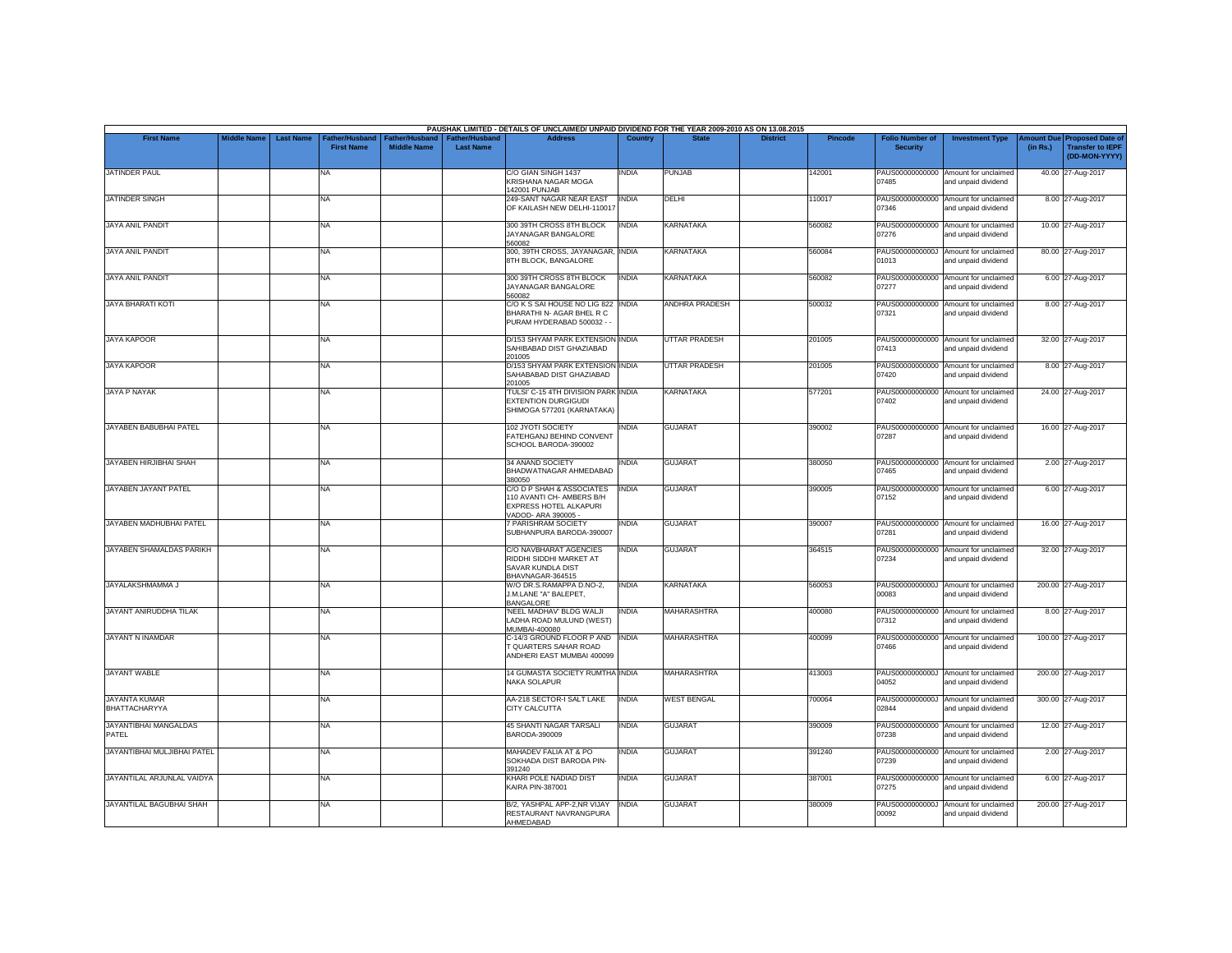|                                       |                    |                  |                                     |                                             |                                           | PAUSHAK LIMITED - DETAILS OF UNCLAIMED/ UNPAID DIVIDEND FOR THE YEAR 2009-2010 AS ON 13.08.2015         |                |                      |                 |         |                                           |                                                             |          |                                                                                |
|---------------------------------------|--------------------|------------------|-------------------------------------|---------------------------------------------|-------------------------------------------|---------------------------------------------------------------------------------------------------------|----------------|----------------------|-----------------|---------|-------------------------------------------|-------------------------------------------------------------|----------|--------------------------------------------------------------------------------|
| <b>First Name</b>                     | <b>Middle Name</b> | <b>Last Name</b> | Father/Husband<br><b>First Name</b> | <b>Father/Husband</b><br><b>Middle Name</b> | <b>Father/Husband</b><br><b>Last Name</b> | <b>Address</b>                                                                                          | <b>Country</b> | <b>State</b>         | <b>District</b> | Pincode | <b>Folio Number of</b><br><b>Security</b> | <b>Investment Type</b>                                      | (in Rs.) | <b>Amount Due Proposed Date of</b><br><b>Transfer to IEPF</b><br>(DD-MON-YYYY) |
| JATINDER PAUL                         |                    |                  | <b>NA</b>                           |                                             |                                           | C/O GIAN SINGH 1437<br>KRISHANA NAGAR MOGA<br>142001 PUNJAB                                             | INDIA          | <b>PUNJAB</b>        |                 | 142001  | 07485                                     | PAUS00000000000 Amount for unclaimed<br>and unpaid dividend |          | 40.00 27-Aug-2017                                                              |
| <b>JATINDER SINGH</b>                 |                    |                  | <b>NA</b>                           |                                             |                                           | 249-SANT NAGAR NEAR EAST<br>OF KAILASH NEW DELHI-110017                                                 | <b>INDIA</b>   | DELHI                |                 | 110017  | 07346                                     | PAUS00000000000 Amount for unclaimed<br>and unpaid dividend |          | 8.00 27-Aug-2017                                                               |
| <b>JAYA ANIL PANDIT</b>               |                    |                  | <b>NA</b>                           |                                             |                                           | 300 39TH CROSS 8TH BLOCK<br>JAYANAGAR BANGALORE<br>560082                                               | <b>INDIA</b>   | <b>KARNATAKA</b>     |                 | 560082  | 07276                                     | PAUS00000000000 Amount for unclaimed<br>and unpaid dividend |          | 10.00 27-Aug-2017                                                              |
| <b>JAYA ANIL PANDIT</b>               |                    |                  | NA                                  |                                             |                                           | 300, 39TH CROSS, JAYANAGAR, INDIA<br>8TH BLOCK, BANGALORE                                               |                | <b>KARNATAKA</b>     |                 | 560084  | 01013                                     | PAUS0000000000J Amount for unclaimed<br>and unpaid dividend |          | 80.00 27-Aug-2017                                                              |
| <b>JAYA ANIL PANDIT</b>               |                    |                  | <b>NA</b>                           |                                             |                                           | 300 39TH CROSS 8TH BLOCK<br>JAYANAGAR BANGALORE<br>560082                                               | <b>INDIA</b>   | <b>KARNATAKA</b>     |                 | 560082  | 07277                                     | PAUS00000000000 Amount for unclaimed<br>and unpaid dividend |          | 6.00 27-Aug-2017                                                               |
| JAYA BHARATI KOTI                     |                    |                  | <b>NA</b>                           |                                             |                                           | C/O K S SAI HOUSE NO LIG 822  INDIA<br>BHARATHI N- AGAR BHEL R C<br>PURAM HYDERABAD 500032 - -          |                | ANDHRA PRADESH       |                 | 500032  | 07321                                     | PAUS00000000000 Amount for unclaimed<br>and unpaid dividend |          | 8.00 27-Aug-2017                                                               |
| <b>JAYA KAPOOR</b>                    |                    |                  | <b>NA</b>                           |                                             |                                           | D/153 SHYAM PARK EXTENSION INDIA<br>SAHIBABAD DIST GHAZIABAD<br>201005                                  |                | UTTAR PRADESH        |                 | 201005  | 07413                                     | PAUS00000000000 Amount for unclaimed<br>and unpaid dividend |          | 32.00 27-Aug-2017                                                              |
| <b>JAYA KAPOOR</b>                    |                    |                  | <b>NA</b>                           |                                             |                                           | D/153 SHYAM PARK EXTENSION INDIA<br>SAHABABAD DIST GHAZIABAD<br>201005                                  |                | <b>UTTAR PRADESH</b> |                 | 201005  | 07420                                     | PAUS00000000000 Amount for unclaimed<br>and unpaid dividend |          | 8.00 27-Aug-2017                                                               |
| <b>JAYA P NAYAK</b>                   |                    |                  | NA                                  |                                             |                                           | TULSI' C-15 4TH DIVISION PARK INDIA<br><b>EXTENTION DURGIGUDI</b><br>SHIMOGA 577201 (KARNATAKA)         |                | <b>KARNATAKA</b>     |                 | 577201  | PAUS00000000000<br>07402                  | Amount for unclaimed<br>and unpaid dividend                 |          | 24.00 27-Aug-2017                                                              |
| JAYABEN BABUBHAI PATEL                |                    |                  | <b>NA</b>                           |                                             |                                           | 102 JYOTI SOCIETY<br>FATEHGANJ BEHIND CONVENT<br>SCHOOL BARODA-390002                                   | <b>INDIA</b>   | <b>GUJARAT</b>       |                 | 390002  | 07287                                     | PAUS00000000000 Amount for unclaimed<br>and unpaid dividend |          | 16.00 27-Aug-2017                                                              |
| <b>JAYABEN HIRJIBHAI SHAH</b>         |                    |                  | <b>NA</b>                           |                                             |                                           | 34 ANAND SOCIETY<br>BHADWATNAGAR AHMEDABAD<br>380050                                                    | INDIA          | <b>GUJARAT</b>       |                 | 380050  | 07465                                     | PAUS00000000000 Amount for unclaimed<br>and unpaid dividend |          | 2.00 27-Aug-2017                                                               |
| JAYABEN JAYANT PATEL                  |                    |                  | <b>NA</b>                           |                                             |                                           | C/O D P SHAH & ASSOCIATES<br>110 AVANTI CH- AMBERS B/H<br>EXPRESS HOTEL ALKAPURI<br>VADOD- ARA 390005 - | <b>INDIA</b>   | <b>GUJARAT</b>       |                 | 390005  | 07152                                     | PAUS00000000000 Amount for unclaimed<br>and unpaid dividend |          | 6.00 27-Aug-2017                                                               |
| JAYABEN MADHUBHAI PATEL               |                    |                  | <b>NA</b>                           |                                             |                                           | <b>7 PARISHRAM SOCIETY</b><br>SUBHANPURA BARODA-390007                                                  | INDIA          | <b>GUJARAT</b>       |                 | 390007  | PAUS00000000000<br>07281                  | Amount for unclaimed<br>and unpaid dividend                 |          | 16.00 27-Aug-2017                                                              |
| JAYABEN SHAMALDAS PARIKH              |                    |                  | <b>NA</b>                           |                                             |                                           | C/O NAVBHARAT AGENCIES<br>RIDDHI SIDDHI MARKET AT<br>SAVAR KUNDLA DIST<br>BHAVNAGAR-364515              | <b>INDIA</b>   | <b>GUJARAT</b>       |                 | 364515  | 07234                                     | PAUS00000000000 Amount for unclaimed<br>and unpaid dividend |          | 32.00 27-Aug-2017                                                              |
| JAYALAKSHMAMMA J                      |                    |                  | <b>NA</b>                           |                                             |                                           | W/O DR.S.RAMAPPA D.NO-2,<br>J.M.LANE "A" BALEPET.<br>BANGALORE                                          | <b>INDIA</b>   | <b>KARNATAKA</b>     |                 | 560053  | 00083                                     | PAUS0000000000J Amount for unclaimed<br>and unpaid dividend |          | 200.00 27-Aug-2017                                                             |
| JAYANT ANIRUDDHA TILAK                |                    |                  | <b>NA</b>                           |                                             |                                           | 'NEEL MADHAV' BLDG WALJI<br>LADHA ROAD MULUND (WEST)<br>MUMBAI-400080                                   | <b>INDIA</b>   | <b>MAHARASHTRA</b>   |                 | 400080  | 07312                                     | PAUS00000000000 Amount for unclaimed<br>and unpaid dividend |          | 8.00 27-Aug-2017                                                               |
| <b>JAYANT N INAMDAR</b>               |                    |                  | <b>NA</b>                           |                                             |                                           | C-14/3 GROUND FLOOR P AND INDIA<br>QUARTERS SAHAR ROAD<br>ANDHERI EAST MUMBAI 400099                    |                | <b>MAHARASHTRA</b>   |                 | 400099  | 07466                                     | PAUS00000000000 Amount for unclaimed<br>and unpaid dividend |          | 100.00 27-Aug-2017                                                             |
| <b>JAYANT WABLE</b>                   |                    |                  | <b>NA</b>                           |                                             |                                           | 14 GUMASTA SOCIETY RUMTHA INDIA<br><b>NAKA SOLAPUR</b>                                                  |                | MAHARASHTRA          |                 | 413003  | 04052                                     | PAUS0000000000J Amount for unclaimed<br>and unpaid dividend |          | 200.00 27-Aug-2017                                                             |
| <b>JAYANTA KUMAR</b><br>BHATTACHARYYA |                    |                  | <b>NA</b>                           |                                             |                                           | AA-218 SECTOR-I SALT LAKE<br>CITY CALCUTTA                                                              | <b>INDIA</b>   | <b>WEST BENGAL</b>   |                 | 700064  | 02844                                     | PAUS0000000000J Amount for unclaimed<br>and unpaid dividend |          | 300.00 27-Aug-2017                                                             |
| <b>JAYANTIBHAI MANGALDAS</b><br>PATEL |                    |                  | <b>NA</b>                           |                                             |                                           | <b>45 SHANTI NAGAR TARSALI</b><br>BARODA-390009                                                         | <b>INDIA</b>   | <b>GUJARAT</b>       |                 | 390009  | 07238                                     | PAUS00000000000 Amount for unclaimed<br>and unpaid dividend |          | 12.00 27-Aug-2017                                                              |
| JAYANTIBHAI MULJIBHAI PATEL           |                    |                  | <b>NA</b>                           |                                             |                                           | MAHADEV FALIA AT & PO<br>SOKHADA DIST BARODA PIN-<br>391240                                             | <b>INDIA</b>   | <b>GUJARAT</b>       |                 | 391240  | 07239                                     | PAUS00000000000 Amount for unclaimed<br>and unpaid dividend |          | 2.00 27-Aug-2017                                                               |
| JAYANTILAL ARJUNLAL VAIDYA            |                    |                  | <b>NA</b>                           |                                             |                                           | KHARI POLE NADIAD DIST<br><b>KAIRA PIN-387001</b>                                                       | <b>INDIA</b>   | <b>GUJARAT</b>       |                 | 387001  | 07275                                     | PAUS00000000000 Amount for unclaimed<br>and unpaid dividend |          | 6.00 27-Aug-2017                                                               |
| JAYANTILAL BAGUBHAI SHAH              |                    |                  | <b>NA</b>                           |                                             |                                           | B/2, YASHPAL APP-2,NR VIJAY<br>RESTAURANT NAVRANGPURA<br>AHMEDABAD                                      | <b>INDIA</b>   | <b>GUJARAT</b>       |                 | 380009  | 00092                                     | PAUS0000000000J Amount for unclaimed<br>and unpaid dividend |          | 200.00 27-Aug-2017                                                             |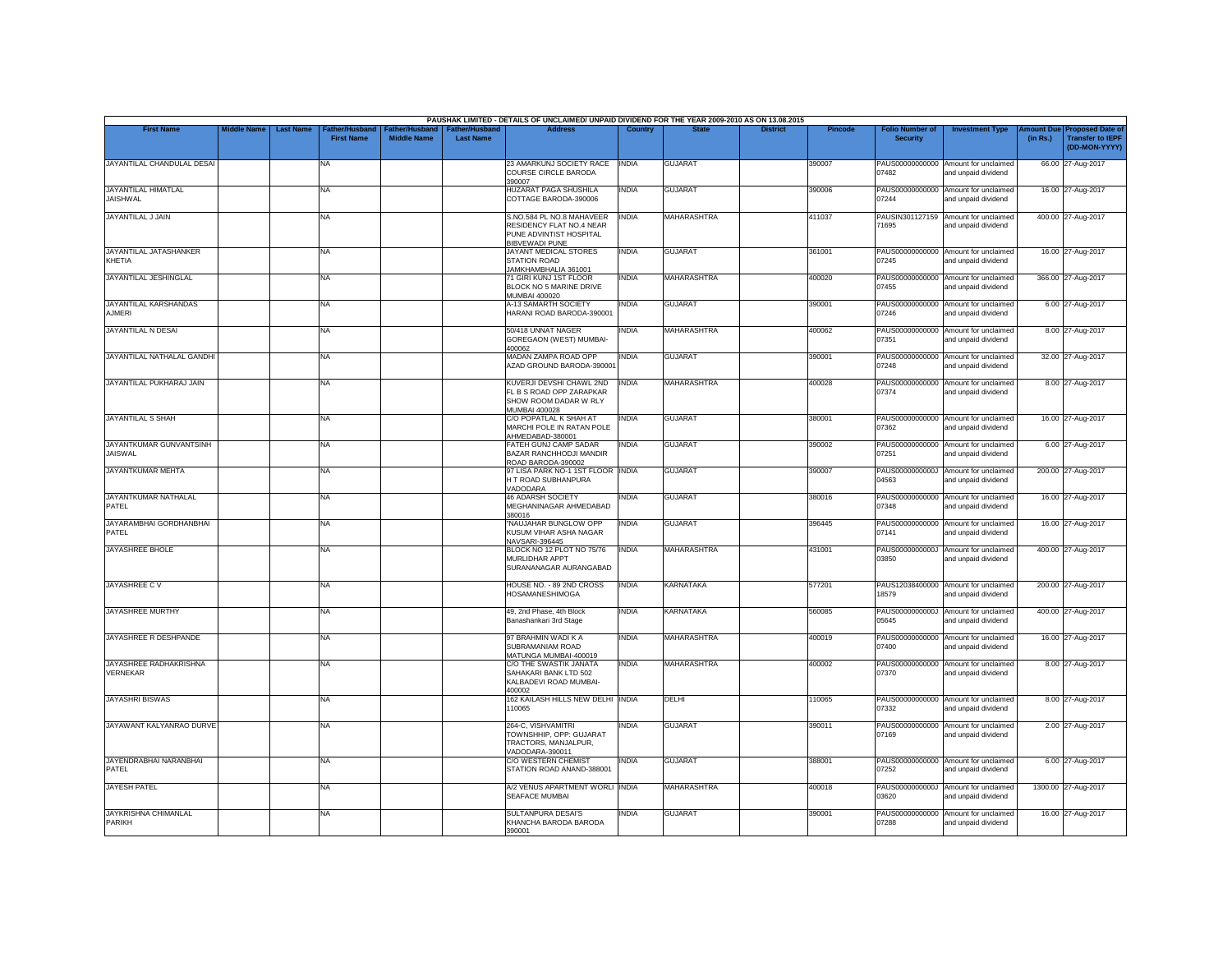|                                           |                    |                  |                                            |                                             |                                           | PAUSHAK LIMITED - DETAILS OF UNCLAIMED/ UNPAID DIVIDEND FOR THE YEAR 2009-2010 AS ON 13.08.2015           |              |                    |                 |         |                                           |                                                             |          |                                                                                |
|-------------------------------------------|--------------------|------------------|--------------------------------------------|---------------------------------------------|-------------------------------------------|-----------------------------------------------------------------------------------------------------------|--------------|--------------------|-----------------|---------|-------------------------------------------|-------------------------------------------------------------|----------|--------------------------------------------------------------------------------|
| <b>First Name</b>                         | <b>Middle Name</b> | <b>Last Name</b> | <b>Father/Husband</b><br><b>First Name</b> | <b>Father/Husband</b><br><b>Middle Name</b> | <b>Father/Husband</b><br><b>Last Name</b> | <b>Address</b>                                                                                            | Country      | <b>State</b>       | <b>District</b> | Pincode | <b>Folio Number of</b><br><b>Security</b> | <b>Investment Type</b>                                      | (in Rs.) | <b>Amount Due Proposed Date of</b><br><b>Transfer to IEPF</b><br>(DD-MON-YYYY) |
| JAYANTILAL CHANDULAL DESAI                |                    |                  | <b>NA</b>                                  |                                             |                                           | 23 AMARKUNJ SOCIETY RACE<br>COURSE CIRCLE BARODA<br>390007                                                | INDIA        | <b>GUJARAT</b>     |                 | 390007  | 07482                                     | PAUS00000000000 Amount for unclaimed<br>and unpaid dividend |          | 66.00 27-Aug-2017                                                              |
| JAYANTILAL HIMATLAL<br><b>JAISHWAL</b>    |                    |                  | <b>NA</b>                                  |                                             |                                           | HUZARAT PAGA SHUSHILA<br>COTTAGE BARODA-390006                                                            | <b>INDIA</b> | <b>GUJARAT</b>     |                 | 390006  | 07244                                     | PAUS00000000000 Amount for unclaimed<br>and unpaid dividend |          | 16.00 27-Aug-2017                                                              |
| JAYANTILAL J JAIN                         |                    |                  | <b>NA</b>                                  |                                             |                                           | S.NO.584 PL NO.8 MAHAVEER<br>RESIDENCY FLAT NO.4 NEAR<br>PUNE ADVINTIST HOSPITAL<br><b>BIBVEWADI PUNE</b> | <b>INDIA</b> | <b>MAHARASHTRA</b> |                 | 411037  | PAUSIN301127159<br>71695                  | Amount for unclaimed<br>and unpaid dividend                 |          | 400.00 27-Aug-2017                                                             |
| JAYANTILAL JATASHANKER<br>KHETIA          |                    |                  | <b>NA</b>                                  |                                             |                                           | JAYANT MEDICAL STORES<br>STATION ROAD<br>JAMKHAMBHALIA 361001                                             | <b>INDIA</b> | <b>GUJARAT</b>     |                 | 361001  | 07245                                     | PAUS00000000000 Amount for unclaimed<br>and unpaid dividend |          | 16.00 27-Aug-2017                                                              |
| JAYANTILAL JESHINGLAL                     |                    |                  | <b>NA</b>                                  |                                             |                                           | 71 GIRI KUNJ 1ST FLOOR<br>BLOCK NO 5 MARINE DRIVE<br>MUMBAI 400020                                        | <b>INDIA</b> | MAHARASHTRA        |                 | 400020  | 07455                                     | PAUS00000000000 Amount for unclaimed<br>and unpaid dividend |          | 366.00 27-Aug-2017                                                             |
| JAYANTILAL KARSHANDAS<br><b>AJMERI</b>    |                    |                  | <b>NA</b>                                  |                                             |                                           | A-13 SAMARTH SOCIETY<br>HARANI ROAD BARODA-390001                                                         | INDIA        | <b>GUJARAT</b>     |                 | 390001  | 07246                                     | PAUS00000000000 Amount for unclaimed<br>and unpaid dividend |          | 6.00 27-Aug-2017                                                               |
| JAYANTILAL N DESAI                        |                    |                  | <b>NA</b>                                  |                                             |                                           | 50/418 UNNAT NAGER<br>GOREGAON (WEST) MUMBAI-<br>400062                                                   | <b>INDIA</b> | <b>MAHARASHTRA</b> |                 | 400062  | 07351                                     | PAUS00000000000 Amount for unclaimed<br>and unpaid dividend |          | 8.00 27-Aug-2017                                                               |
| JAYANTILAL NATHALAL GANDHI                |                    |                  | <b>NA</b>                                  |                                             |                                           | MADAN ZAMPA ROAD OPP<br>AZAD GROUND BARODA-39000                                                          | <b>INDIA</b> | <b>GUJARAT</b>     |                 | 390001  | 07248                                     | PAUS00000000000 Amount for unclaimed<br>and unpaid dividend |          | 32.00 27-Aug-2017                                                              |
| JAYANTILAL PUKHARAJ JAIN                  |                    |                  | <b>NA</b>                                  |                                             |                                           | KUVERJI DEVSHI CHAWL 2ND<br>FL B S ROAD OPP ZARAPKAR<br>SHOW ROOM DADAR W RLY<br><b>MUMBAI 400028</b>     | <b>INDIA</b> | MAHARASHTRA        |                 | 400028  | 07374                                     | PAUS00000000000 Amount for unclaimed<br>and unpaid dividend |          | 8.00 27-Aug-2017                                                               |
| <b>JAYANTILAL S SHAH</b>                  |                    |                  | <b>NA</b>                                  |                                             |                                           | C/O POPATLAL K SHAH AT<br>MARCHI POLE IN RATAN POLE<br>AHMEDABAD-380001                                   | <b>INDIA</b> | <b>GUJARAT</b>     |                 | 380001  | 07362                                     | PAUS00000000000 Amount for unclaimed<br>and unpaid dividend |          | 16.00 27-Aug-2017                                                              |
| JAYANTKUMAR GUNVANTSINH<br><b>JAISWAL</b> |                    |                  | <b>NA</b>                                  |                                             |                                           | FATEH GUNJ CAMP SADAR<br>BAZAR RANCHHODJI MANDIR<br>ROAD BARODA-390002                                    | <b>INDIA</b> | <b>GUJARAT</b>     |                 | 390002  | 07251                                     | PAUS00000000000 Amount for unclaimed<br>and unpaid dividend |          | 6.00 27-Aug-2017                                                               |
| <b>JAYANTKUMAR MEHTA</b>                  |                    |                  | <b>NA</b>                                  |                                             |                                           | 97 LISA PARK NO-1 1ST FLOOR INDIA<br>H T ROAD SUBHANPURA<br>VADODARA                                      |              | <b>GUJARAT</b>     |                 | 390007  | PAUS0000000000J<br>04563                  | Amount for unclaimed<br>and unpaid dividend                 |          | 200.00 27-Aug-2017                                                             |
| JAYANTKUMAR NATHALAL<br>PATEL             |                    |                  | <b>NA</b>                                  |                                             |                                           | <b>46 ADARSH SOCIETY</b><br>MEGHANINAGAR AHMEDABAD<br>380016                                              | <b>INDIA</b> | <b>GUJARAT</b>     |                 | 380016  | 07348                                     | PAUS00000000000 Amount for unclaimed<br>and unpaid dividend |          | 16.00 27-Aug-2017                                                              |
| JAYARAMBHAI GORDHANBHAI<br>PATEL          |                    |                  | NA                                         |                                             |                                           | 'NAUJAHAR BUNGLOW OPP<br>KUSUM VIHAR ASHA NAGAR<br>NAVSARI-396445                                         | INDIA        | <b>GUJARAT</b>     |                 | 396445  | 07141                                     | PAUS00000000000 Amount for unclaimed<br>and unpaid dividend |          | 16.00 27-Aug-2017                                                              |
| JAYASHREE BHOLE                           |                    |                  | <b>NA</b>                                  |                                             |                                           | BLOCK NO 12 PLOT NO 75/76<br><b>MURLIDHAR APPT</b><br>SURANANAGAR AURANGABAD                              | <b>INDIA</b> | <b>MAHARASHTRA</b> |                 | 431001  | 03850                                     | PAUS0000000000J Amount for unclaimed<br>and unpaid dividend |          | 400.00 27-Aug-2017                                                             |
| JAYASHREE C V                             |                    |                  | <b>NA</b>                                  |                                             |                                           | HOUSE NO. - 89 2ND CROSS<br><b>HOSAMANESHIMOGA</b>                                                        | <b>INDIA</b> | <b>KARNATAKA</b>   |                 | 577201  | 18579                                     | PAUS12038400000 Amount for unclaimed<br>and unpaid dividend |          | 200.00 27-Aug-2017                                                             |
| <b>JAYASHREE MURTHY</b>                   |                    |                  | <b>NA</b>                                  |                                             |                                           | 49, 2nd Phase, 4th Block<br>Banashankari 3rd Stage                                                        | <b>INDIA</b> | KARNATAKA          |                 | 560085  | 05645                                     | PAUS0000000000J Amount for unclaimed<br>and unpaid dividend |          | 400.00 27-Aug-2017                                                             |
| JAYASHREE R DESHPANDE                     |                    |                  | <b>NA</b>                                  |                                             |                                           | 97 BRAHMIN WADI K A<br>SUBRAMANIAM ROAD<br>MATUNGA MUMBAI-400019                                          | <b>INDIA</b> | <b>MAHARASHTRA</b> |                 | 400019  | 07400                                     | PAUS00000000000 Amount for unclaimed<br>and unpaid dividend |          | 16.00 27-Aug-2017                                                              |
| JAYASHREE RADHAKRISHNA<br>VERNEKAR        |                    |                  | <b>NA</b>                                  |                                             |                                           | C/O THE SWASTIK JANATA<br>SAHAKARI BANK LTD 502<br>KALBADEVI ROAD MUMBAI-<br>400002                       | <b>INDIA</b> | <b>MAHARASHTRA</b> |                 | 400002  | PAUS00000000000<br>07370                  | Amount for unclaimed<br>and unpaid dividend                 |          | 8.00 27-Aug-2017                                                               |
| <b>JAYASHRI BISWAS</b>                    |                    |                  | <b>NA</b>                                  |                                             |                                           | 162 KAILASH HILLS NEW DELHI INDIA<br>110065                                                               |              | <b>DELHI</b>       |                 | 110065  | 07332                                     | PAUS00000000000 Amount for unclaimed<br>and unpaid dividend |          | 8.00 27-Aug-2017                                                               |
| JAYAWANT KALYANRAO DURVE                  |                    |                  | <b>NA</b>                                  |                                             |                                           | 264-C, VISHVAMITRI<br>TOWNSHHIP, OPP: GUJARAT<br>TRACTORS, MANJALPUR,<br>VADODARA-390011                  | INDIA        | <b>GUJARAT</b>     |                 | 390011  | 07169                                     | PAUS00000000000 Amount for unclaimed<br>and unpaid dividend |          | 2.00 27-Aug-2017                                                               |
| JAYENDRABHAI NARANBHAI<br>PATEL           |                    |                  | <b>NA</b>                                  |                                             |                                           | C/O WESTERN CHEMIST<br>STATION ROAD ANAND-388001                                                          | <b>INDIA</b> | <b>GUJARAT</b>     |                 | 388001  | 07252                                     | PAUS00000000000 Amount for unclaimed<br>and unpaid dividend |          | 6.00 27-Aug-2017                                                               |
| <b>JAYESH PATEL</b>                       |                    |                  | <b>NA</b>                                  |                                             |                                           | A/2 VENUS APARTMENT WORLI INDIA<br>SEAFACE MUMBAI                                                         |              | <b>MAHARASHTRA</b> |                 | 400018  | 03620                                     | PAUS0000000000J Amount for unclaimed<br>and unpaid dividend |          | 1300.00 27-Aug-2017                                                            |
| <b>JAYKRISHNA CHIMANLAL</b><br>PARIKH     |                    |                  | <b>NA</b>                                  |                                             |                                           | <b>SULTANPURA DESAI'S</b><br>KHANCHA BARODA BARODA<br>390001                                              | <b>INDIA</b> | <b>GUJARAT</b>     |                 | 390001  | PAUS00000000000<br>07288                  | Amount for unclaimed<br>and unpaid dividend                 |          | 16.00 27-Aug-2017                                                              |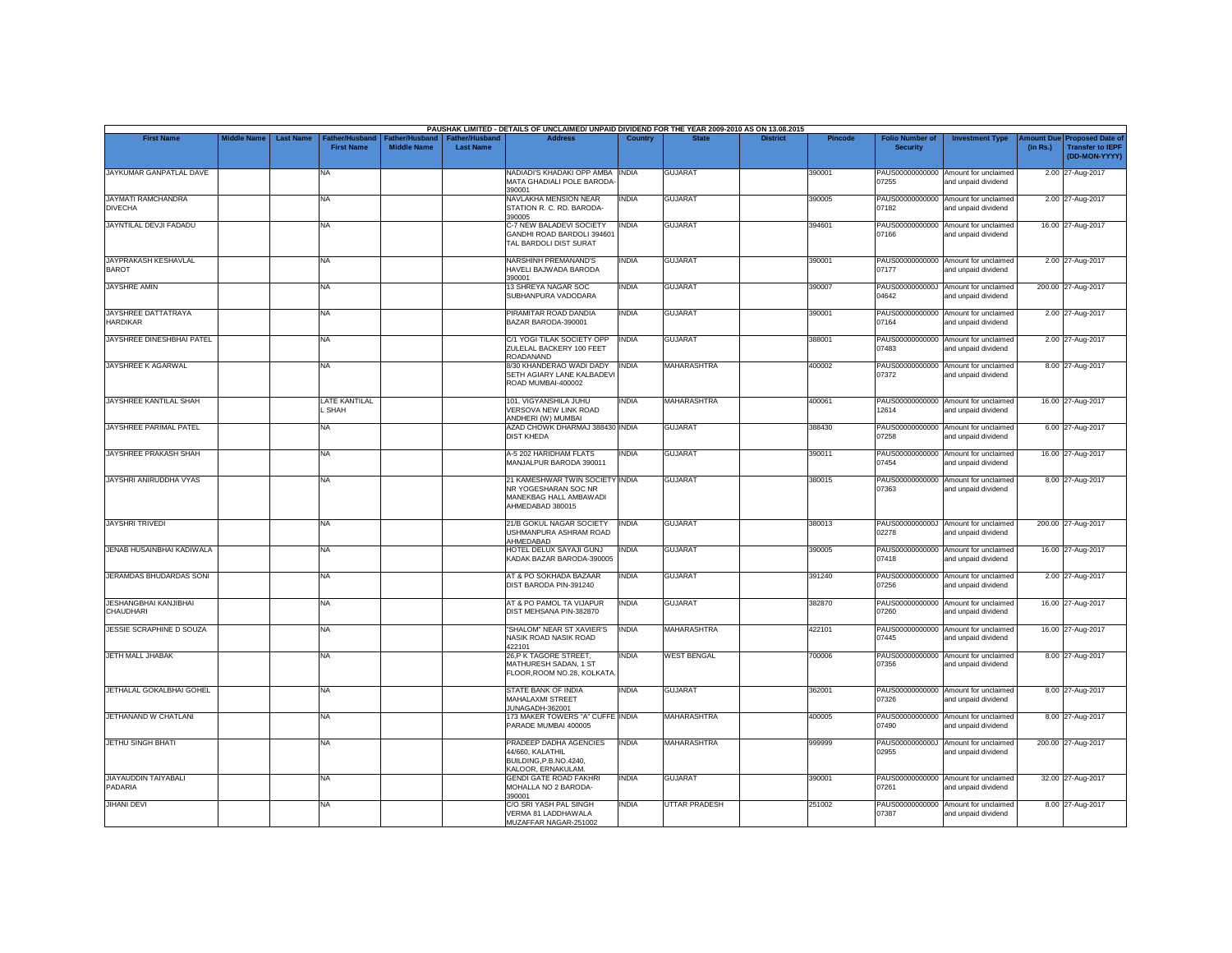|                                             |                    |                  |                                                 |                                             |                                           | PAUSHAK LIMITED - DETAILS OF UNCLAIMED/ UNPAID DIVIDEND FOR THE YEAR 2009-2010 AS ON 13.08.2015       |              |                      |                 |                |                                           |                                                             |                       |                                                                     |
|---------------------------------------------|--------------------|------------------|-------------------------------------------------|---------------------------------------------|-------------------------------------------|-------------------------------------------------------------------------------------------------------|--------------|----------------------|-----------------|----------------|-------------------------------------------|-------------------------------------------------------------|-----------------------|---------------------------------------------------------------------|
| <b>First Name</b>                           | <b>Middle Name</b> | <b>Last Name</b> | ather/Husband <sup>-</sup><br><b>First Name</b> | <b>Father/Husband</b><br><b>Middle Name</b> | <b>Father/Husband</b><br><b>Last Name</b> | <b>Address</b>                                                                                        | Country      | <b>State</b>         | <b>District</b> | <b>Pincode</b> | <b>Folio Number of</b><br><b>Security</b> | <b>Investment Type</b>                                      | mount Due<br>(in Rs.) | <b>Proposed Date of</b><br><b>Transfer to IEPF</b><br>(DD-MON-YYYY) |
| JAYKUMAR GANPATLAL DAVE                     |                    |                  | <b>NA</b>                                       |                                             |                                           | NADIADI'S KHADAKI OPP AMBA INDIA<br>MATA GHADIALI POLE BARODA<br>390001                               |              | <b>GUJARAT</b>       |                 | 390001         | 07255                                     | PAUS00000000000 Amount for unclaimed<br>and unpaid dividend |                       | 2.00 27-Aug-2017                                                    |
| <b>JAYMATI RAMCHANDRA</b><br><b>DIVECHA</b> |                    |                  | <b>NA</b>                                       |                                             |                                           | NAVLAKHA MENSION NEAR<br>STATION R. C. RD. BARODA-<br>390005                                          | INDIA        | <b>GUJARAT</b>       |                 | 390005         | 07182                                     | PAUS00000000000 Amount for unclaimed<br>and unpaid dividend |                       | 2.00 27-Aug-2017                                                    |
| JAYNTILAL DEVJI FADADU                      |                    |                  | <b>NA</b>                                       |                                             |                                           | C-7 NEW BALADEVI SOCIETY<br>GANDHI ROAD BARDOLI 394601<br>TAL BARDOLI DIST SURAT                      | <b>INDIA</b> | <b>GUJARAT</b>       |                 | 394601         | 07166                                     | PAUS00000000000 Amount for unclaimed<br>and unpaid dividend |                       | 16.00 27-Aug-2017                                                   |
| <b>JAYPRAKASH KESHAVLAL</b><br><b>BAROT</b> |                    |                  | <b>NA</b>                                       |                                             |                                           | <b>NARSHINH PREMANAND'S</b><br>HAVELI BAJWADA BARODA<br>390001                                        | INDIA        | <b>GUJARAT</b>       |                 | 390001         | 07177                                     | PAUS00000000000 Amount for unclaimed<br>and unpaid dividend |                       | 2.00 27-Aug-2017                                                    |
| <b>JAYSHRE AMIN</b>                         |                    |                  | <b>NA</b>                                       |                                             |                                           | 13 SHREYA NAGAR SOC<br>SUBHANPURA VADODARA                                                            | INDIA        | <b>GUJARAT</b>       |                 | 390007         | 04642                                     | PAUS0000000000J Amount for unclaimed<br>and unpaid dividend |                       | 200.00 27-Aug-2017                                                  |
| JAYSHREE DATTATRAYA<br><b>HARDIKAR</b>      |                    |                  | <b>NA</b>                                       |                                             |                                           | PIRAMITAR ROAD DANDIA<br>BAZAR BARODA-390001                                                          | <b>INDIA</b> | <b>GUJARAT</b>       |                 | 390001         | 07164                                     | PAUS00000000000 Amount for unclaimed<br>and unpaid dividend |                       | 2.00 27-Aug-2017                                                    |
| JAYSHREE DINESHBHAI PATEL                   |                    |                  | <b>NA</b>                                       |                                             |                                           | C/1 YOGI TILAK SOCIETY OPP<br>ZULELAL BACKERY 100 FEET<br><b>ROADANAND</b>                            | <b>INDIA</b> | <b>GUJARAT</b>       |                 | 388001         | 07483                                     | PAUS00000000000 Amount for unclaimed<br>and unpaid dividend |                       | 2.00 27-Aug-2017                                                    |
| <b>JAYSHREE K AGARWAL</b>                   |                    |                  | <b>NA</b>                                       |                                             |                                           | 8/30 KHANDERAO WADI DADY<br>SETH AGIARY LANE KALBADEVI<br>ROAD MUMBAI-400002                          | <b>INDIA</b> | <b>MAHARASHTRA</b>   |                 | 400002         | PAUS00000000000<br>07372                  | Amount for unclaimed<br>and unpaid dividend                 |                       | 8.00 27-Aug-2017                                                    |
| <b>JAYSHREE KANTILAL SHAH</b>               |                    |                  | <b>LATE KANTILAL</b><br>SHAH                    |                                             |                                           | 101. VIGYANSHILA JUHU<br>VERSOVA NEW LINK ROAD<br>ANDHERI (W) MUMBAI                                  | INDIA        | <b>MAHARASHTRA</b>   |                 | 400061         | 12614                                     | PAUS00000000000 Amount for unclaimed<br>and unpaid dividend |                       | 16.00 27-Aug-2017                                                   |
| JAYSHREE PARIMAL PATEL                      |                    |                  | <b>NA</b>                                       |                                             |                                           | AZAD CHOWK DHARMAJ 388430 INDIA<br><b>DIST KHEDA</b>                                                  |              | <b>GUJARAT</b>       |                 | 388430         | 07258                                     | PAUS00000000000 Amount for unclaimed<br>and unpaid dividend |                       | 6.00 27-Aug-2017                                                    |
| JAYSHREE PRAKASH SHAH                       |                    |                  | <b>NA</b>                                       |                                             |                                           | A-5 202 HARIDHAM FLATS<br>MANJALPUR BARODA 390011                                                     | INDIA        | <b>GUJARAT</b>       |                 | 390011         | 07454                                     | PAUS00000000000 Amount for unclaimed<br>and unpaid dividend |                       | 16.00 27-Aug-2017                                                   |
| JAYSHRI ANIRUDDHA VYAS                      |                    |                  | <b>NA</b>                                       |                                             |                                           | 21 KAMESHWAR TWIN SOCIETY INDIA<br>NR YOGESHARAN SOC NR<br>MANEKBAG HALL AMBAWADI<br>AHMEDABAD 380015 |              | <b>GUJARAT</b>       |                 | 380015         | 07363                                     | PAUS00000000000 Amount for unclaimed<br>and unpaid dividend |                       | 8.00 27-Aug-2017                                                    |
| <b>JAYSHRI TRIVEDI</b>                      |                    |                  | <b>NA</b>                                       |                                             |                                           | 21/B GOKUL NAGAR SOCIETY<br><b>JSHMANPURA ASHRAM ROAD</b><br>AHMEDABAD                                | <b>INDIA</b> | <b>GUJARAT</b>       |                 | 380013         | 02278                                     | PAUS0000000000J Amount for unclaimed<br>and unpaid dividend |                       | 200.00 27-Aug-2017                                                  |
| JENAB HUSAINBHAI KADIWALA                   |                    |                  | <b>NA</b>                                       |                                             |                                           | HOTEL DELUX SAYAJI GUNJ<br>KADAK BAZAR BARODA-390005                                                  | <b>INDIA</b> | <b>GUJARAT</b>       |                 | 390005         | 07418                                     | PAUS00000000000 Amount for unclaimed<br>and unpaid dividend |                       | 16.00 27-Aug-2017                                                   |
| JERAMDAS BHUDARDAS SONI                     |                    |                  | <b>NA</b>                                       |                                             |                                           | AT & PO SOKHADA BAZAAR<br>DIST BARODA PIN-391240                                                      | <b>INDIA</b> | <b>GUJARAT</b>       |                 | 391240         | 07256                                     | PAUS00000000000 Amount for unclaimed<br>and unpaid dividend |                       | 2.00 27-Aug-2017                                                    |
| <b>JESHANGBHAI KANJIBHAI</b><br>CHAUDHARI   |                    |                  | <b>NA</b>                                       |                                             |                                           | AT & PO PAMOL TA VIJAPUR<br>DIST MEHSANA PIN-382870                                                   | INDIA        | <b>GUJARAT</b>       |                 | 382870         | PAUS00000000000<br>07260                  | Amount for unclaimed<br>and unpaid dividend                 |                       | 16.00 27-Aug-2017                                                   |
| <b>JESSIE SCRAPHINE D SOUZA</b>             |                    |                  | <b>NA</b>                                       |                                             |                                           | "SHALOM" NEAR ST XAVIER'S<br>NASIK ROAD NASIK ROAD<br>422101                                          | <b>INDIA</b> | <b>MAHARASHTRA</b>   |                 | 422101         | 07445                                     | PAUS00000000000 Amount for unclaimed<br>and unpaid dividend |                       | 16.00 27-Aug-2017                                                   |
| <b>JETH MALL JHABAK</b>                     |                    |                  | <b>NA</b>                                       |                                             |                                           | 26, P K TAGORE STREET,<br>MATHURESH SADAN, 1 ST<br>FLOOR.ROOM NO.28, KOLKATA                          | <b>INDIA</b> | <b>WEST BENGAL</b>   |                 | 700006         | PAUS00000000000<br>07356                  | Amount for unclaimed<br>and unpaid dividend                 |                       | 8.00 27-Aug-2017                                                    |
| JETHALAL GOKALBHAI GOHEL                    |                    |                  | NA                                              |                                             |                                           | STATE BANK OF INDIA<br><b>MAHALAXMI STREET</b><br>JUNAGADH-362001                                     | INDIA        | <b>GUJARAT</b>       |                 | 362001         | 07326                                     | PAUS00000000000 Amount for unclaimed<br>and unpaid dividend |                       | 8.00 27-Aug-2017                                                    |
| JETHANAND W CHATLANI                        |                    |                  | <b>NA</b>                                       |                                             |                                           | 173 MAKER TOWERS "A" CUFFE INDIA<br>PARADE MUMBAI 400005                                              |              | <b>MAHARASHTRA</b>   |                 | 400005         | 07490                                     | PAUS00000000000 Amount for unclaimed<br>and unpaid dividend |                       | 8.00 27-Aug-2017                                                    |
| JETHU SINGH BHATI                           |                    |                  | <b>NA</b>                                       |                                             |                                           | PRADEEP DADHA AGENCIES<br>44/660, KALATHIL<br>BUILDING, P.B.NO.4240,<br>KALOOR, ERNAKULAM.            | <b>INDIA</b> | <b>MAHARASHTRA</b>   |                 | 999999         | 02955                                     | PAUS0000000000J Amount for unclaimed<br>and unpaid dividend |                       | 200.00 27-Aug-2017                                                  |
| JIAYAUDDIN TAIYABALI<br>PADARIA             |                    |                  | <b>NA</b>                                       |                                             |                                           | <b>GENDI GATE ROAD FAKHRI</b><br>MOHALLA NO 2 BARODA-<br>390001                                       | <b>INDIA</b> | <b>GUJARAT</b>       |                 | 390001         | 07261                                     | PAUS00000000000 Amount for unclaimed<br>and unpaid dividend |                       | 32.00 27-Aug-2017                                                   |
| <b>JIHANI DEVI</b>                          |                    |                  | <b>NA</b>                                       |                                             |                                           | C/O SRI YASH PAL SINGH<br>VERMA 81 LADDHAWALA<br>MUZAFFAR NAGAR-251002                                | INDIA        | <b>UTTAR PRADESH</b> |                 | 251002         | PAUS00000000000<br>07387                  | Amount for unclaimed<br>and unpaid dividend                 |                       | 8.00 27-Aug-2017                                                    |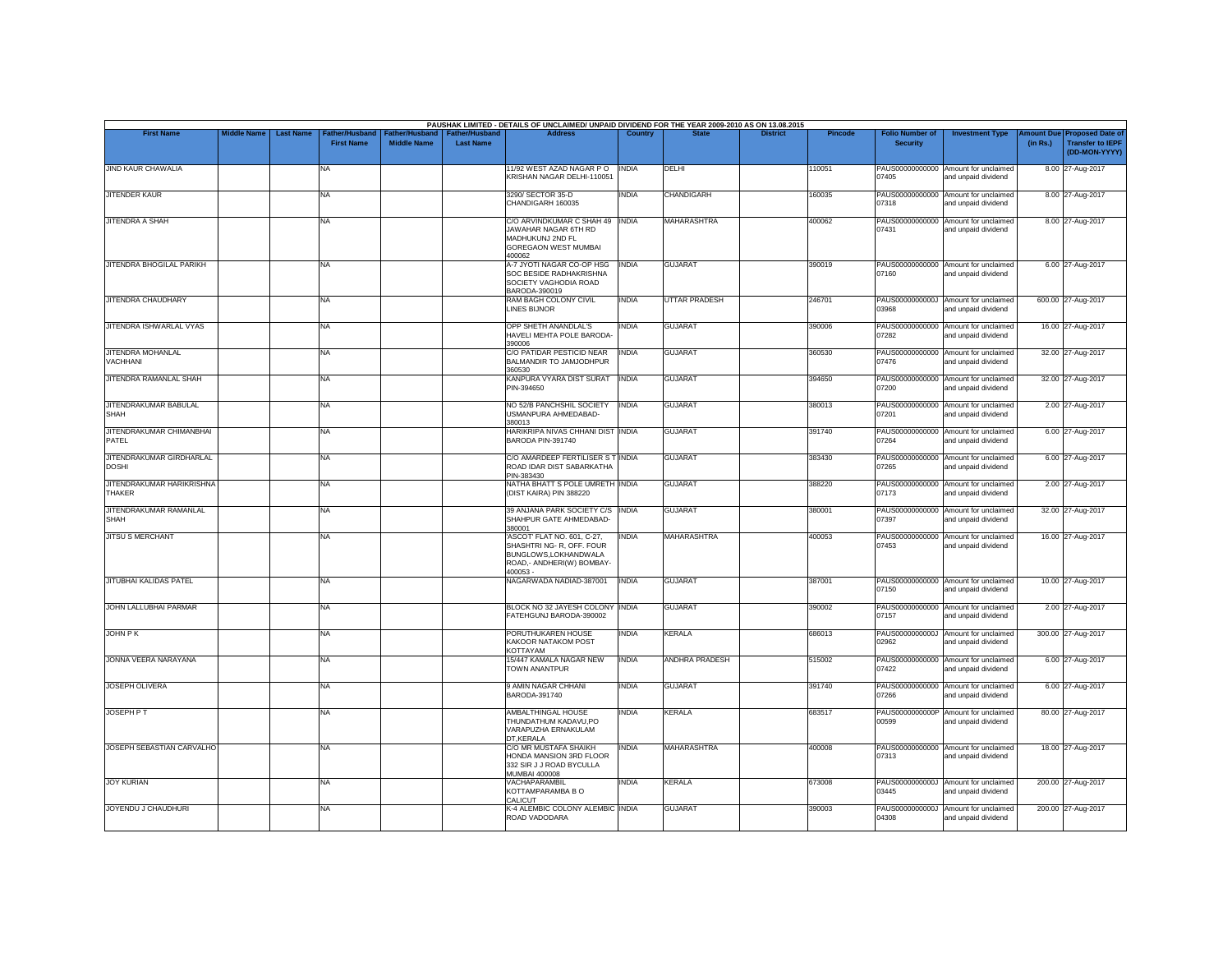|                                            |                    |                  |                                    |                                      |                                           | PAUSHAK LIMITED - DETAILS OF UNCLAIMED/ UNPAID DIVIDEND FOR THE YEAR 2009-2010 AS ON 13.08.2015                         |              |                      |                 |                |                                           |                                                             |                       |                                                                     |
|--------------------------------------------|--------------------|------------------|------------------------------------|--------------------------------------|-------------------------------------------|-------------------------------------------------------------------------------------------------------------------------|--------------|----------------------|-----------------|----------------|-------------------------------------------|-------------------------------------------------------------|-----------------------|---------------------------------------------------------------------|
| <b>First Name</b>                          | <b>Middle Name</b> | <b>Last Name</b> | ather/Husband<br><b>First Name</b> | Father/Husband<br><b>Middle Name</b> | <b>Father/Husband</b><br><b>Last Name</b> | <b>Address</b>                                                                                                          | Country      | <b>State</b>         | <b>District</b> | <b>Pincode</b> | <b>Folio Number of</b><br><b>Security</b> | <b>Investment Type</b>                                      | mount Due<br>(in Rs.) | <b>Proposed Date of</b><br><b>Transfer to IEPF</b><br>(DD-MON-YYYY) |
| <b>JIND KAUR CHAWALIA</b>                  |                    |                  | NA                                 |                                      |                                           | 11/92 WEST AZAD NAGAR PO<br>KRISHAN NAGAR DELHI-110051                                                                  | <b>INDIA</b> | DELHI                |                 | 110051         | PAUS00000000000<br>07405                  | Amount for unclaimed<br>and unpaid dividend                 |                       | 8.00 27-Aug-2017                                                    |
| <b>JITENDER KAUR</b>                       |                    |                  | <b>NA</b>                          |                                      |                                           | 3290/ SECTOR 35-D<br>CHANDIGARH 160035                                                                                  | <b>INDIA</b> | <b>CHANDIGARH</b>    |                 | 160035         | 07318                                     | PAUS00000000000 Amount for unclaimed<br>and unpaid dividend |                       | 8.00 27-Aug-2017                                                    |
| <b>JITENDRA A SHAH</b>                     |                    |                  | <b>NA</b>                          |                                      |                                           | C/O ARVINDKUMAR C SHAH 49 INDIA<br>JAWAHAR NAGAR 6TH RD<br>MADHUKUNJ 2ND FL<br><b>GOREGAON WEST MUMBAI</b><br>400062    |              | <b>MAHARASHTRA</b>   |                 | 400062         | PAUS00000000000<br>07431                  | Amount for unclaimed<br>and unpaid dividend                 |                       | 8.00 27-Aug-2017                                                    |
| JITENDRA BHOGILAL PARIKH                   |                    |                  | <b>NA</b>                          |                                      |                                           | A-7 JYOTI NAGAR CO-OP HSG<br>SOC BESIDE RADHAKRISHNA<br>SOCIETY VAGHODIA ROAD<br>BARODA-390019                          | <b>INDIA</b> | <b>GUJARAT</b>       |                 | 390019         | 07160                                     | PAUS00000000000 Amount for unclaimed<br>and unpaid dividend |                       | 6.00 27-Aug-2017                                                    |
| JITENDRA CHAUDHARY                         |                    |                  | <b>NA</b>                          |                                      |                                           | RAM BAGH COLONY CIVIL<br><b>LINES BIJNOR</b>                                                                            | <b>INDIA</b> | <b>UTTAR PRADESH</b> |                 | 246701         | 83980                                     | PAUS0000000000J Amount for unclaimed<br>and unpaid dividend |                       | 600.00 27-Aug-2017                                                  |
| JITENDRA ISHWARLAL VYAS                    |                    |                  | <b>NA</b>                          |                                      |                                           | OPP SHETH ANANDLAL'S<br>HAVELI MEHTA POLE BARODA-<br>390006                                                             | INDIA        | <b>GUJARAT</b>       |                 | 390006         | 07282                                     | PAUS00000000000 Amount for unclaimed<br>and unpaid dividend |                       | 16.00 27-Aug-2017                                                   |
| <b>JITENDRA MOHANLAL</b><br>VACHHANI       |                    |                  | <b>NA</b>                          |                                      |                                           | C/O PATIDAR PESTICID NEAR<br>BALMANDIR TO JAMJODHPUR<br>360530                                                          | INDIA        | <b>GUJARAT</b>       |                 | 360530         | PAUS00000000000<br>07476                  | Amount for unclaimed<br>and unpaid dividend                 |                       | 32.00 27-Aug-2017                                                   |
| JITENDRA RAMANLAL SHAH                     |                    |                  | <b>NA</b>                          |                                      |                                           | KANPURA VYARA DIST SURAT<br>PIN-394650                                                                                  | <b>INDIA</b> | <b>GUJARAT</b>       |                 | 394650         | 07200                                     | PAUS00000000000 Amount for unclaimed<br>and unpaid dividend |                       | 32.00 27-Aug-2017                                                   |
| JITENDRAKUMAR BABULAL<br><b>SHAH</b>       |                    |                  | <b>NA</b>                          |                                      |                                           | NO 52/B PANCHSHIL SOCIETY<br>USMANPURA AHMEDABAD-<br>380013                                                             | <b>INDIA</b> | <b>GUJARAT</b>       |                 | 380013         | PAUS00000000000<br>07201                  | Amount for unclaimed<br>and unpaid dividend                 |                       | 2.00 27-Aug-2017                                                    |
| JITENDRAKUMAR CHIMANBHAI<br>PATEL          |                    |                  | <b>NA</b>                          |                                      |                                           | HARIKRIPA NIVAS CHHANI DIST INDIA<br>BARODA PIN-391740                                                                  |              | <b>GUJARAT</b>       |                 | 391740         | 07264                                     | PAUS00000000000 Amount for unclaimed<br>and unpaid dividend |                       | 6.00 27-Aug-2017                                                    |
| JITENDRAKUMAR GIRDHARLAL<br><b>DOSHI</b>   |                    |                  | <b>NA</b>                          |                                      |                                           | C/O AMARDEEP FERTILISER S T INDIA<br>ROAD IDAR DIST SABARKATHA<br>PIN-383430                                            |              | <b>GUJARAT</b>       |                 | 383430         | PAUS00000000000<br>07265                  | Amount for unclaimed<br>and unpaid dividend                 |                       | 6.00 27-Aug-2017                                                    |
| JITENDRAKUMAR HARIKRISHNA<br><b>THAKER</b> |                    |                  | <b>NA</b>                          |                                      |                                           | NATHA BHATT S POLE UMRETH INDIA<br>(DIST KAIRA) PIN 388220                                                              |              | <b>GUJARAT</b>       |                 | 388220         | 07173                                     | PAUS00000000000 Amount for unclaimed<br>and unpaid dividend |                       | 2.00 27-Aug-2017                                                    |
| JITENDRAKUMAR RAMANLAL<br>SHAH             |                    |                  | <b>NA</b>                          |                                      |                                           | 39 ANJANA PARK SOCIETY C/S INDIA<br>SHAHPUR GATE AHMEDABAD-<br>380001                                                   |              | <b>GUJARAT</b>       |                 | 380001         | 07397                                     | PAUS00000000000 Amount for unclaimed<br>and unpaid dividend |                       | 32.00 27-Aug-2017                                                   |
| <b>JITSU S MERCHANT</b>                    |                    |                  | <b>NA</b>                          |                                      |                                           | ASCOT' FLAT NO. 601, C-27,<br>SHASHTRI NG- R, OFF. FOUR<br>BUNGLOWS.LOKHANDWALA<br>ROAD,- ANDHERI(W) BOMBAY-<br>400053- | <b>INDIA</b> | <b>MAHARASHTRA</b>   |                 | 400053         | 07453                                     | PAUS00000000000 Amount for unclaimed<br>and unpaid dividend |                       | 16.00 27-Aug-2017                                                   |
| <b>JITUBHAI KALIDAS PATEL</b>              |                    |                  | <b>NA</b>                          |                                      |                                           | NAGARWADA NADIAD-387001                                                                                                 | <b>INDIA</b> | <b>GUJARAT</b>       |                 | 387001         | PAUS00000000000<br>07150                  | Amount for unclaimed<br>and unpaid dividend                 |                       | 10.00 27-Aug-2017                                                   |
| JOHN LALLUBHAI PARMAR                      |                    |                  | <b>NA</b>                          |                                      |                                           | BLOCK NO 32 JAYESH COLONY INDIA<br>FATEHGUNJ BARODA-390002                                                              |              | <b>GUJARAT</b>       |                 | 390002         | 07157                                     | PAUS00000000000 Amount for unclaimed<br>and unpaid dividend |                       | 2.00 27-Aug-2017                                                    |
| JOHN P K                                   |                    |                  | <b>NA</b>                          |                                      |                                           | PORUTHUKAREN HOUSE<br>KAKOOR NATAKOM POST<br>KOTTAYAM                                                                   | <b>INDIA</b> | <b>KERALA</b>        |                 | 686013         | 02962                                     | PAUS0000000000J Amount for unclaimed<br>and unpaid dividend |                       | 300.00 27-Aug-2017                                                  |
| JONNA VEERA NARAYANA                       |                    |                  | <b>NA</b>                          |                                      |                                           | 15/447 KAMALA NAGAR NEW<br>TOWN ANANTPUR                                                                                | <b>INDIA</b> | ANDHRA PRADESH       |                 | 515002         | 07422                                     | PAUS00000000000 Amount for unclaimed<br>and unpaid dividend |                       | 6.00 27-Aug-2017                                                    |
| JOSEPH OLIVERA                             |                    |                  | <b>NA</b>                          |                                      |                                           | 9 AMIN NAGAR CHHANI<br>BARODA-391740                                                                                    | INDIA        | <b>GUJARAT</b>       |                 | 391740         | 07266                                     | PAUS00000000000 Amount for unclaimed<br>and unpaid dividend |                       | 6.00 27-Aug-2017                                                    |
| <b>JOSEPH PT</b>                           |                    |                  | <b>NA</b>                          |                                      |                                           | AMBALTHINGAL HOUSE<br>THUNDATHUM KADAVU,PO<br>VARAPUZHA ERNAKULAM<br>DT.KERALA                                          | <b>INDIA</b> | <b>KERALA</b>        |                 | 683517         | 00599                                     | PAUS0000000000P Amount for unclaimed<br>and unpaid dividend |                       | 80.00 27-Aug-2017                                                   |
| JOSEPH SEBASTIAN CARVALHO                  |                    |                  | <b>NA</b>                          |                                      |                                           | C/O MR MUSTAFA SHAIKH<br>HONDA MANSION 3RD FLOOR<br>332 SIR J J ROAD BYCULLA<br><b>MUMBAI 400008</b>                    | <b>INDIA</b> | <b>MAHARASHTRA</b>   |                 | 400008         | 07313                                     | PAUS00000000000 Amount for unclaimed<br>and unpaid dividend |                       | 18.00 27-Aug-2017                                                   |
| <b>JOY KURIAN</b>                          |                    |                  | <b>NA</b>                          |                                      |                                           | VACHAPARAMBIL<br>KOTTAMPARAMBA B O<br>CALICUT                                                                           | INDIA        | <b>KERALA</b>        |                 | 673008         | 03445                                     | PAUS0000000000J Amount for unclaimed<br>and unpaid dividend |                       | 200.00 27-Aug-2017                                                  |
| JOYENDU J CHAUDHURI                        |                    |                  | <b>NA</b>                          |                                      |                                           | K-4 ALEMBIC COLONY ALEMBIC INDIA<br>ROAD VADODARA                                                                       |              | <b>GUJARAT</b>       |                 | 390003         | 04308                                     | PAUS0000000000J Amount for unclaimed<br>and unpaid dividend |                       | 200.00 27-Aug-2017                                                  |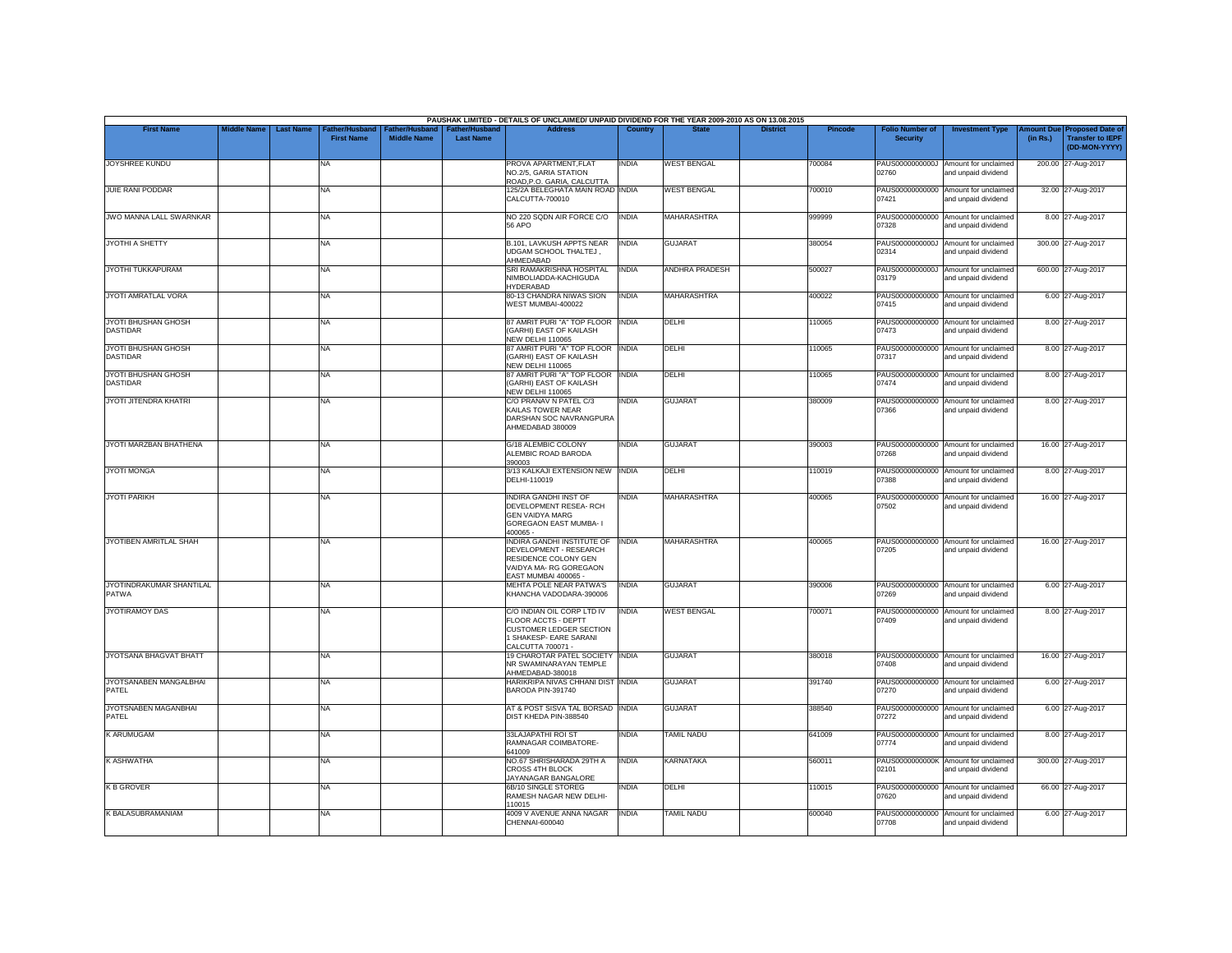|                                        |                    |                                                         |                                      |                                           | PAUSHAK LIMITED - DETAILS OF UNCLAIMED/ UNPAID DIVIDEND FOR THE YEAR 2009-2010 AS ON 13.08.2015                                |                |                       |                 |                |                                           |                                                             |          |                                                                        |
|----------------------------------------|--------------------|---------------------------------------------------------|--------------------------------------|-------------------------------------------|--------------------------------------------------------------------------------------------------------------------------------|----------------|-----------------------|-----------------|----------------|-------------------------------------------|-------------------------------------------------------------|----------|------------------------------------------------------------------------|
| <b>First Name</b>                      | <b>Middle Name</b> | <b>Last Name</b><br>Father/Husband<br><b>First Name</b> | Father/Husband<br><b>Middle Name</b> | <b>Father/Husband</b><br><b>Last Name</b> | <b>Address</b>                                                                                                                 | <b>Country</b> | <b>State</b>          | <b>District</b> | <b>Pincode</b> | <b>Folio Number of</b><br><b>Security</b> | <b>Investment Type</b>                                      | (in Rs.) | mount Due Proposed Date of<br><b>Transfer to IEPF</b><br>(DD-MON-YYYY) |
| <b>JOYSHREE KUNDU</b>                  |                    | NA                                                      |                                      |                                           | PROVA APARTMENT, FLAT<br>NO.2/5, GARIA STATION<br>ROAD, P.O. GARIA, CALCUTTA                                                   | INDIA          | <b>WEST BENGAL</b>    |                 | 700084         | 02760                                     | PAUS0000000000J Amount for unclaimed<br>and unpaid dividend |          | 200.00 27-Aug-2017                                                     |
| <b>JUIE RANI PODDAR</b>                |                    | <b>NA</b>                                               |                                      |                                           | 125/2A BELEGHATA MAIN ROAD INDIA<br>CALCUTTA-700010                                                                            |                | <b>WEST BENGAL</b>    |                 | 700010         | 07421                                     | PAUS00000000000 Amount for unclaimed<br>and unpaid dividend |          | 32.00 27-Aug-2017                                                      |
| <b>JWO MANNA LALL SWARNKAR</b>         |                    | <b>NA</b>                                               |                                      |                                           | NO 220 SQDN AIR FORCE C/O<br>56 APO                                                                                            | <b>INDIA</b>   | <b>MAHARASHTRA</b>    |                 | 999999         | PAUS00000000000<br>07328                  | Amount for unclaimed<br>and unpaid dividend                 |          | 8.00 27-Aug-2017                                                       |
| <b>JYOTHI A SHETTY</b>                 |                    | <b>NA</b>                                               |                                      |                                           | <b>B.101. LAVKUSH APPTS NEAR</b><br>UDGAM SCHOOL THALTEJ,<br>AHMEDABAD                                                         | <b>INDIA</b>   | <b>GUJARAT</b>        |                 | 380054         | 02314                                     | PAUS0000000000J Amount for unclaimed<br>and unpaid dividend |          | 300.00 27-Aug-2017                                                     |
| JYOTHI TUKKAPURAM                      |                    | NA                                                      |                                      |                                           | SRI RAMAKRISHNA HOSPITAL<br>NIMBOLIADDA-KACHIGUDA<br><b>HYDERABAD</b>                                                          | <b>INDIA</b>   | <b>ANDHRA PRADESH</b> |                 | 500027         | PAUS0000000000J<br>03179                  | Amount for unclaimed<br>and unpaid dividend                 |          | 600.00 27-Aug-2017                                                     |
| JYOTI AMRATLAL VORA                    |                    | <b>NA</b>                                               |                                      |                                           | 80-13 CHANDRA NIWAS SION<br>WEST MUMBAI-400022                                                                                 | <b>INDIA</b>   | <b>MAHARASHTRA</b>    |                 | 400022         | PAUS00000000000<br>07415                  | Amount for unclaimed<br>and unpaid dividend                 |          | 6.00 27-Aug-2017                                                       |
| JYOTI BHUSHAN GHOSH<br><b>DASTIDAR</b> |                    | <b>NA</b>                                               |                                      |                                           | 87 AMRIT PURI "A" TOP FLOOR INDIA<br>(GARHI) EAST OF KAILASH<br><b>NEW DELHI 110065</b>                                        |                | DELHI                 |                 | 110065         | 07473                                     | PAUS00000000000 Amount for unclaimed<br>and unpaid dividend |          | 8.00 27-Aug-2017                                                       |
| JYOTI BHUSHAN GHOSH<br><b>DASTIDAR</b> |                    | <b>NA</b>                                               |                                      |                                           | 87 AMRIT PURI "A" TOP FLOOR INDIA<br>(GARHI) EAST OF KAILASH<br><b>NEW DELHI 110065</b>                                        |                | DELHI                 |                 | 110065         | 07317                                     | PAUS00000000000 Amount for unclaimed<br>and unpaid dividend |          | 8.00 27-Aug-2017                                                       |
| JYOTI BHUSHAN GHOSH<br><b>DASTIDAR</b> |                    | <b>NA</b>                                               |                                      |                                           | 87 AMRIT PURI "A" TOP FLOOR INDIA<br>(GARHI) EAST OF KAILASH<br><b>NEW DELHI 110065</b>                                        |                | DELHI                 |                 | 110065         | PAUS00000000000<br>07474                  | Amount for unclaimed<br>and unpaid dividend                 |          | 8.00 27-Aug-2017                                                       |
| JYOTI JITENDRA KHATRI                  |                    | <b>NA</b>                                               |                                      |                                           | C/O PRANAV N PATEL C/3<br>KAILAS TOWER NEAR<br>DARSHAN SOC NAVRANGPURA<br>AHMEDABAD 380009                                     | <b>INDIA</b>   | <b>GUJARAT</b>        |                 | 380009         | PAUS00000000000<br>07366                  | Amount for unclaimed<br>and unpaid dividend                 |          | 8.00 27-Aug-2017                                                       |
| JYOTI MARZBAN BHATHENA                 |                    | <b>NA</b>                                               |                                      |                                           | G/18 ALEMBIC COLONY<br>ALEMBIC ROAD BARODA<br>390003                                                                           | INDIA          | <b>GUJARAT</b>        |                 | 390003         | 07268                                     | PAUS00000000000 Amount for unclaimed<br>and unpaid dividend |          | 16.00 27-Aug-2017                                                      |
| <b>JYOTI MONGA</b>                     |                    | <b>NA</b>                                               |                                      |                                           | 3/13 KALKAJI EXTENSION NEW INDIA<br>DELHI-110019                                                                               |                | DELHI                 |                 | 110019         | 07388                                     | PAUS00000000000 Amount for unclaimed<br>and unpaid dividend |          | 8.00 27-Aug-2017                                                       |
| <b>JYOTI PARIKH</b>                    |                    | <b>NA</b>                                               |                                      |                                           | <b>INDIRA GANDHI INST OF</b><br>DEVELOPMENT RESEA- RCH<br><b>GEN VAIDYA MARG</b><br><b>GOREGAON EAST MUMBA-1</b><br>400065 -   | INDIA          | <b>MAHARASHTRA</b>    |                 | 400065         | 07502                                     | PAUS00000000000 Amount for unclaimed<br>and unpaid dividend |          | 16.00 27-Aug-2017                                                      |
| JYOTIBEN AMRITLAL SHAH                 |                    | <b>NA</b>                                               |                                      |                                           | INDIRA GANDHI INSTITUTE OF<br>DEVELOPMENT - RESEARCH<br>RESIDENCE COLONY GEN<br>VAIDYA MA- RG GOREGAON<br>EAST MUMBAI 400065 - | <b>INDIA</b>   | <b>MAHARASHTRA</b>    |                 | 400065         | 07205                                     | PAUS00000000000 Amount for unclaimed<br>and unpaid dividend |          | 16.00 27-Aug-2017                                                      |
| JYOTINDRAKUMAR SHANTILAL<br>PATWA      |                    | <b>NA</b>                                               |                                      |                                           | MEHTA POLE NEAR PATWA'S<br>KHANCHA VADODARA-390006                                                                             | <b>INDIA</b>   | <b>GUJARAT</b>        |                 | 390006         | 07269                                     | PAUS00000000000 Amount for unclaimed<br>and unpaid dividend |          | 6.00 27-Aug-2017                                                       |
| <b>JYOTIRAMOY DAS</b>                  |                    | <b>NA</b>                                               |                                      |                                           | C/O INDIAN OIL CORP LTD IV<br>FLOOR ACCTS - DEPTT<br>CUSTOMER LEDGER SECTION<br>1 SHAKESP- EARE SARANI<br>CALCUTTA 700071 -    | <b>INDIA</b>   | <b>WEST BENGAL</b>    |                 | 700071         | PAUS00000000000<br>07409                  | Amount for unclaimed<br>and unpaid dividend                 |          | 8.00 27-Aug-2017                                                       |
| JYOTSANA BHAGVAT BHATT                 |                    | <b>NA</b>                                               |                                      |                                           | 19 CHAROTAR PATEL SOCIETY INDIA<br>NR SWAMINARAYAN TEMPLE<br>AHMEDABAD-380018                                                  |                | <b>GUJARAT</b>        |                 | 380018         | 07408                                     | PAUS00000000000 Amount for unclaimed<br>and unpaid dividend |          | 16.00 27-Aug-2017                                                      |
| JYOTSANABEN MANGALBHAI<br>PATEL        |                    | <b>NA</b>                                               |                                      |                                           | HARIKRIPA NIVAS CHHANI DIST INDIA<br>BARODA PIN-391740                                                                         |                | <b>GUJARAT</b>        |                 | 391740         | 07270                                     | PAUS00000000000 Amount for unclaimed<br>and unpaid dividend |          | 6.00 27-Aug-2017                                                       |
| JYOTSNABEN MAGANBHAI<br>PATEL          |                    | <b>NA</b>                                               |                                      |                                           | AT & POST SISVA TAL BORSAD INDIA<br>DIST KHEDA PIN-388540                                                                      |                | <b>GUJARAT</b>        |                 | 388540         | PAUS00000000000<br>07272                  | Amount for unclaimed<br>and unpaid dividend                 |          | 6.00 27-Aug-2017                                                       |
| <b>KARUMUGAM</b>                       |                    | <b>NA</b>                                               |                                      |                                           | <b>33LAJAPATHI ROI ST</b><br>RAMNAGAR COIMBATORE-<br>641009                                                                    | <b>INDIA</b>   | <b>TAMIL NADU</b>     |                 | 641009         | 07774                                     | PAUS00000000000 Amount for unclaimed<br>and unpaid dividend |          | 8.00 27-Aug-2017                                                       |
| <b>KASHWATHA</b>                       |                    | <b>NA</b>                                               |                                      |                                           | NO.67 SHRISHARADA 29TH A<br><b>CROSS 4TH BLOCK</b><br>JAYANAGAR BANGALORE                                                      | <b>INDIA</b>   | <b>KARNATAKA</b>      |                 | 560011         | 02101                                     | PAUS0000000000K Amount for unclaimed<br>and unpaid dividend |          | 300.00 27-Aug-2017                                                     |
| <b>K B GROVER</b>                      |                    | <b>NA</b>                                               |                                      |                                           | 6B/10 SINGLE STOREG<br>RAMESH NAGAR NEW DELHI-<br>110015                                                                       | <b>INDIA</b>   | DELHI                 |                 | 110015         | 07620                                     | PAUS00000000000 Amount for unclaimed<br>and unpaid dividend |          | 66.00 27-Aug-2017                                                      |
| <b>K BALASUBRAMANIAM</b>               |                    | <b>NA</b>                                               |                                      |                                           | 4009 V AVENUE ANNA NAGAR<br>CHENNAI-600040                                                                                     | <b>INDIA</b>   | <b>TAMIL NADU</b>     |                 | 600040         | PAUS00000000000<br>07708                  | Amount for unclaimed<br>and unpaid dividend                 |          | 6.00 27-Aug-2017                                                       |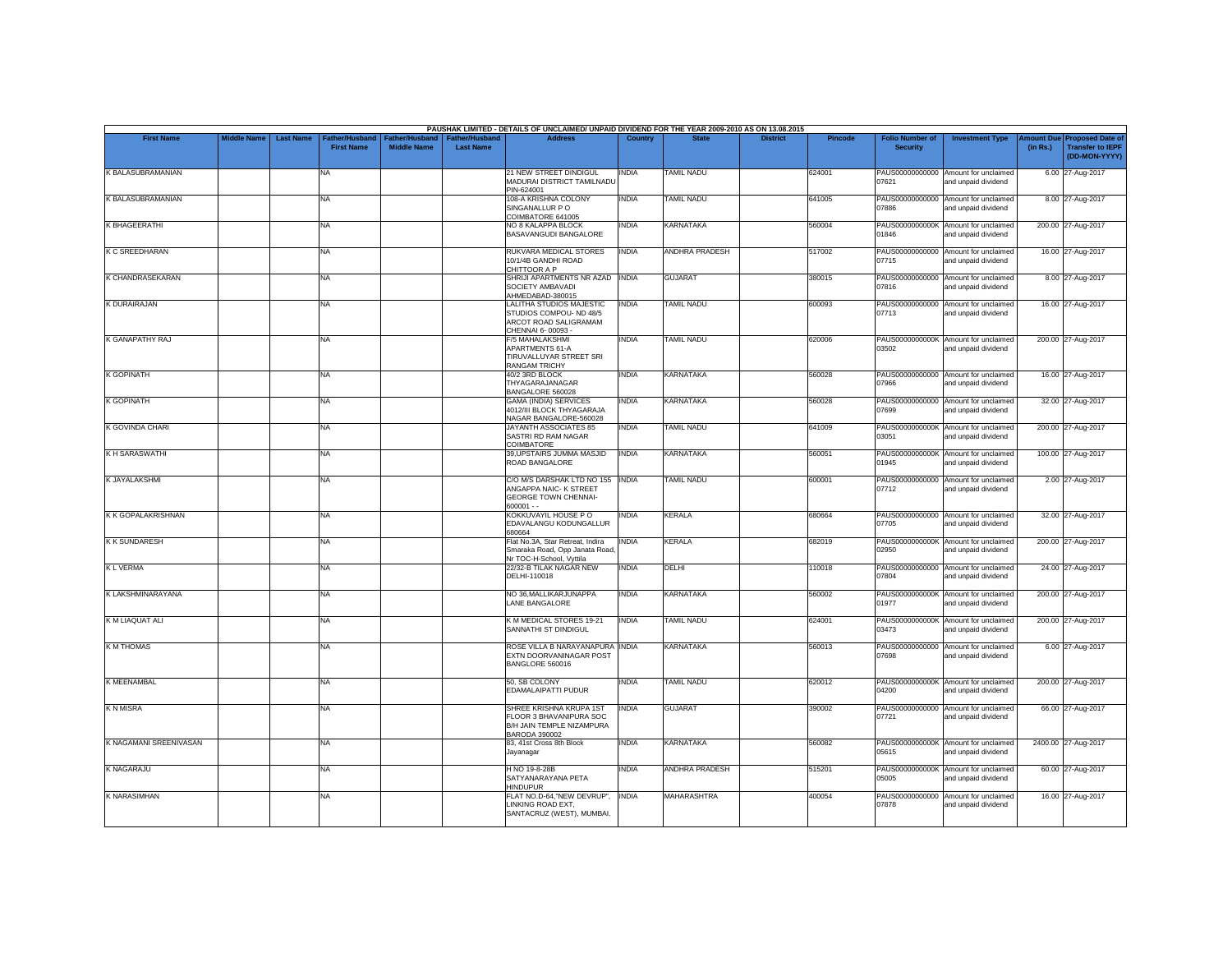|                           |                    |                  |                                            |                                             |                                           | PAUSHAK LIMITED - DETAILS OF UNCLAIMED/ UNPAID DIVIDEND FOR THE YEAR 2009-2010 AS ON 13.08.2015            |              |                       |                 |         |                                           |                                                             |          |                                                                         |
|---------------------------|--------------------|------------------|--------------------------------------------|---------------------------------------------|-------------------------------------------|------------------------------------------------------------------------------------------------------------|--------------|-----------------------|-----------------|---------|-------------------------------------------|-------------------------------------------------------------|----------|-------------------------------------------------------------------------|
| <b>First Name</b>         | <b>Middle Name</b> | <b>Last Name</b> | <b>Father/Husband</b><br><b>First Name</b> | <b>Father/Husband</b><br><b>Middle Name</b> | <b>Father/Husband</b><br><b>Last Name</b> | <b>Address</b>                                                                                             | Country      | <b>State</b>          | <b>District</b> | Pincode | <b>Folio Number of</b><br><b>Security</b> | <b>Investment Type</b>                                      | (in Rs.) | Amount Due Proposed Date of<br><b>Transfer to IEPF</b><br>(DD-MON-YYYY) |
| K BALASUBRAMANIAN         |                    |                  | <b>NA</b>                                  |                                             |                                           | 21 NEW STREET DINDIGUL<br>MADURAI DISTRICT TAMILNADL<br>PIN-624001                                         | INDIA        | <b>TAMIL NADU</b>     |                 | 624001  | 07621                                     | PAUS00000000000 Amount for unclaimed<br>and unpaid dividend |          | 6.00 27-Aug-2017                                                        |
| <b>K BALASUBRAMANIAN</b>  |                    |                  | <b>NA</b>                                  |                                             |                                           | 108-A KRISHNA COLONY<br>SINGANALLUR PO<br>COIMBATORE 641005                                                | INDIA        | <b>TAMIL NADU</b>     |                 | 641005  | PAUS00000000000<br>07886                  | Amount for unclaimed<br>and unpaid dividend                 |          | 8.00 27-Aug-2017                                                        |
| <b>K BHAGEERATHI</b>      |                    |                  | <b>NA</b>                                  |                                             |                                           | NO 8 KALAPPA BLOCK<br>BASAVANGUDI BANGALORE                                                                | <b>INDIA</b> | <b>KARNATAKA</b>      |                 | 560004  | 01846                                     | PAUS0000000000K Amount for unclaimed<br>and unpaid dividend |          | 200.00 27-Aug-2017                                                      |
| <b>K C SREEDHARAN</b>     |                    |                  | NA                                         |                                             |                                           | RUKVARA MEDICAL STORES<br>10/1/4B GANDHI ROAD<br>CHITTOOR A P                                              | <b>INDIA</b> | <b>ANDHRA PRADESH</b> |                 | 517002  | 07715                                     | PAUS00000000000 Amount for unclaimed<br>and unpaid dividend |          | 16.00 27-Aug-2017                                                       |
| K CHANDRASEKARAN          |                    |                  | <b>NA</b>                                  |                                             |                                           | SHRIJI APARTMENTS NR AZAD INDIA<br>SOCIETY AMBAVADI<br>AHMEDABAD-380015                                    |              | <b>GUJARAT</b>        |                 | 380015  | 07816                                     | PAUS00000000000 Amount for unclaimed<br>and unpaid dividend |          | 8.00 27-Aug-2017                                                        |
| K DURAIRAJAN              |                    |                  | <b>NA</b>                                  |                                             |                                           | LALITHA STUDIOS MAJESTIC<br>STUDIOS COMPOU- ND 48/5<br>ARCOT ROAD SALIGRAMAM<br>CHENNAI 6-00093 -          | INDIA        | <b>TAMIL NADU</b>     |                 | 600093  | 07713                                     | PAUS00000000000 Amount for unclaimed<br>and unpaid dividend |          | 16.00 27-Aug-2017                                                       |
| <b>K GANAPATHY RAJ</b>    |                    |                  | <b>NA</b>                                  |                                             |                                           | <b>F/5 MAHALAKSHMI</b><br>APARTMENTS 61-A<br>TIRUVALLUYAR STREET SRI<br><b>RANGAM TRICHY</b>               | <b>INDIA</b> | <b>TAMIL NADU</b>     |                 | 620006  | 03502                                     | PAUS0000000000K Amount for unclaimed<br>and unpaid dividend |          | 200.00 27-Aug-2017                                                      |
| K GOPINATH                |                    |                  | <b>NA</b>                                  |                                             |                                           | 40/2 3RD BLOCK<br>THYAGARAJANAGAR<br>BANGALORE 560028                                                      | INDIA        | <b>KARNATAKA</b>      |                 | 560028  | PAUS00000000000<br>07966                  | Amount for unclaimed<br>and unpaid dividend                 |          | 16.00 27-Aug-2017                                                       |
| <b>K GOPINATH</b>         |                    |                  | <b>NA</b>                                  |                                             |                                           | <b>GAMA (INDIA) SERVICES</b><br>4012/III BLOCK THYAGARAJA<br>NAGAR BANGALORE-560028                        | INDIA        | <b>KARNATAKA</b>      |                 | 560028  | PAUS00000000000<br>07699                  | Amount for unclaimed<br>and unpaid dividend                 |          | 32.00 27-Aug-2017                                                       |
| <b>K GOVINDA CHARI</b>    |                    |                  | <b>NA</b>                                  |                                             |                                           | JAYANTH ASSOCIATES 85<br>SASTRI RD RAM NAGAR<br>COIMBATORE                                                 | INDIA        | <b>TAMIL NADU</b>     |                 | 641009  | 03051                                     | PAUS0000000000K Amount for unclaimed<br>and unpaid dividend |          | 200.00 27-Aug-2017                                                      |
| <b>KH SARASWATHI</b>      |                    |                  | <b>NA</b>                                  |                                             |                                           | 39, UPSTAIRS JUMMA MASJID<br>ROAD BANGALORE                                                                | <b>INDIA</b> | <b>KARNATAKA</b>      |                 | 560051  | 01945                                     | PAUS0000000000K Amount for unclaimed<br>and unpaid dividend |          | 100.00 27-Aug-2017                                                      |
| <b>K JAYALAKSHMI</b>      |                    |                  | <b>NA</b>                                  |                                             |                                           | C/O M/S DARSHAK LTD NO 155  INDIA<br>ANGAPPA NAIC- K STREET<br><b>GEORGE TOWN CHENNAI-</b><br>$600001 - -$ |              | <b>TAMIL NADU</b>     |                 | 600001  | 07712                                     | PAUS00000000000 Amount for unclaimed<br>and unpaid dividend |          | 2.00 27-Aug-2017                                                        |
| <b>K K GOPALAKRISHNAN</b> |                    |                  | <b>NA</b>                                  |                                             |                                           | KOKKUVAYIL HOUSE P O<br>EDAVALANGU KODUNGALLUR<br>680664                                                   | <b>INDIA</b> | <b>KERALA</b>         |                 | 680664  | 07705                                     | PAUS00000000000 Amount for unclaimed<br>and unpaid dividend |          | 32.00 27-Aug-2017                                                       |
| <b>KK SUNDARESH</b>       |                    |                  | <b>NA</b>                                  |                                             |                                           | Flat No.3A. Star Retreat. Indira<br>Smaraka Road, Opp Janata Road<br>Nr TOC-H-School, Vyttila              | INDIA        | <b>KERALA</b>         |                 | 682019  | 02950                                     | PAUS0000000000K Amount for unclaimed<br>and unpaid dividend |          | 200.00 27-Aug-2017                                                      |
| <b>KL VERMA</b>           |                    |                  | <b>NA</b>                                  |                                             |                                           | 22/32-B TILAK NAGAR NEW<br>DELHI-110018                                                                    | <b>INDIA</b> | <b>DELHI</b>          |                 | 110018  | 07804                                     | PAUS00000000000 Amount for unclaimed<br>and unpaid dividend |          | 24.00 27-Aug-2017                                                       |
| K LAKSHMINARAYANA         |                    |                  | <b>NA</b>                                  |                                             |                                           | NO 36, MALLIKARJUNAPPA<br>LANE BANGALORE                                                                   | INDIA        | <b>KARNATAKA</b>      |                 | 560002  | 01977                                     | PAUS0000000000K Amount for unclaimed<br>and unpaid dividend |          | 200.00 27-Aug-2017                                                      |
| K M LIAQUAT ALI           |                    |                  | <b>NA</b>                                  |                                             |                                           | K M MEDICAL STORES 19-21<br>SANNATHI ST DINDIGUL                                                           | <b>INDIA</b> | <b>TAMIL NADU</b>     |                 | 624001  | 03473                                     | PAUS0000000000K Amount for unclaimed<br>and unpaid dividend |          | 200.00 27-Aug-2017                                                      |
| <b>KM THOMAS</b>          |                    |                  | <b>NA</b>                                  |                                             |                                           | ROSE VILLA B NARAYANAPURA INDIA<br>EXTN DOORVANINAGAR POST<br>BANGLORE 560016                              |              | <b>KARNATAKA</b>      |                 | 560013  | PAUS00000000000<br>07698                  | Amount for unclaimed<br>and unpaid dividend                 |          | 6.00 27-Aug-2017                                                        |
| <b>K MEENAMBAL</b>        |                    |                  | <b>NA</b>                                  |                                             |                                           | 50. SB COLONY<br>EDAMALAIPATTI PUDUR                                                                       | INDIA        | <b>TAMIL NADU</b>     |                 | 620012  | 04200                                     | PAUS0000000000K Amount for unclaimed<br>and unpaid dividend |          | 200.00 27-Aug-2017                                                      |
| <b>KNMISRA</b>            |                    |                  | <b>NA</b>                                  |                                             |                                           | SHREE KRISHNA KRUPA 1ST<br>FLOOR 3 BHAVANIPURA SOC<br>B/H JAIN TEMPLE NIZAMPURA<br><b>BARODA 390002</b>    | <b>INDIA</b> | <b>GUJARAT</b>        |                 | 390002  | 07721                                     | PAUS00000000000 Amount for unclaimed<br>and unpaid dividend |          | 66.00 27-Aug-2017                                                       |
| K NAGAMANI SREENIVASAN    |                    |                  | <b>NA</b>                                  |                                             |                                           | 83, 41st Cross 8th Block<br>Jayanagar                                                                      | <b>INDIA</b> | <b>KARNATAKA</b>      |                 | 560082  | 05615                                     | PAUS0000000000K Amount for unclaimed<br>and unpaid dividend |          | 2400.00 27-Aug-2017                                                     |
| K NAGARAJU                |                    |                  | <b>NA</b>                                  |                                             |                                           | H NO 19-8-28B<br>SATYANARAYANA PETA<br><b>HINDUPUR</b>                                                     | <b>INDIA</b> | ANDHRA PRADESH        |                 | 515201  | 05005                                     | PAUS0000000000K Amount for unclaimed<br>and unpaid dividend |          | 60.00 27-Aug-2017                                                       |
| <b>K NARASIMHAN</b>       |                    |                  | <b>NA</b>                                  |                                             |                                           | FLAT NO.D-64,"NEW DEVRUP",<br>LINKING ROAD EXT,<br>SANTACRUZ (WEST), MUMBAI.                               | <b>INDIA</b> | <b>MAHARASHTRA</b>    |                 | 400054  | 07878                                     | PAUS00000000000 Amount for unclaimed<br>and unpaid dividend |          | 16.00 27-Aug-2017                                                       |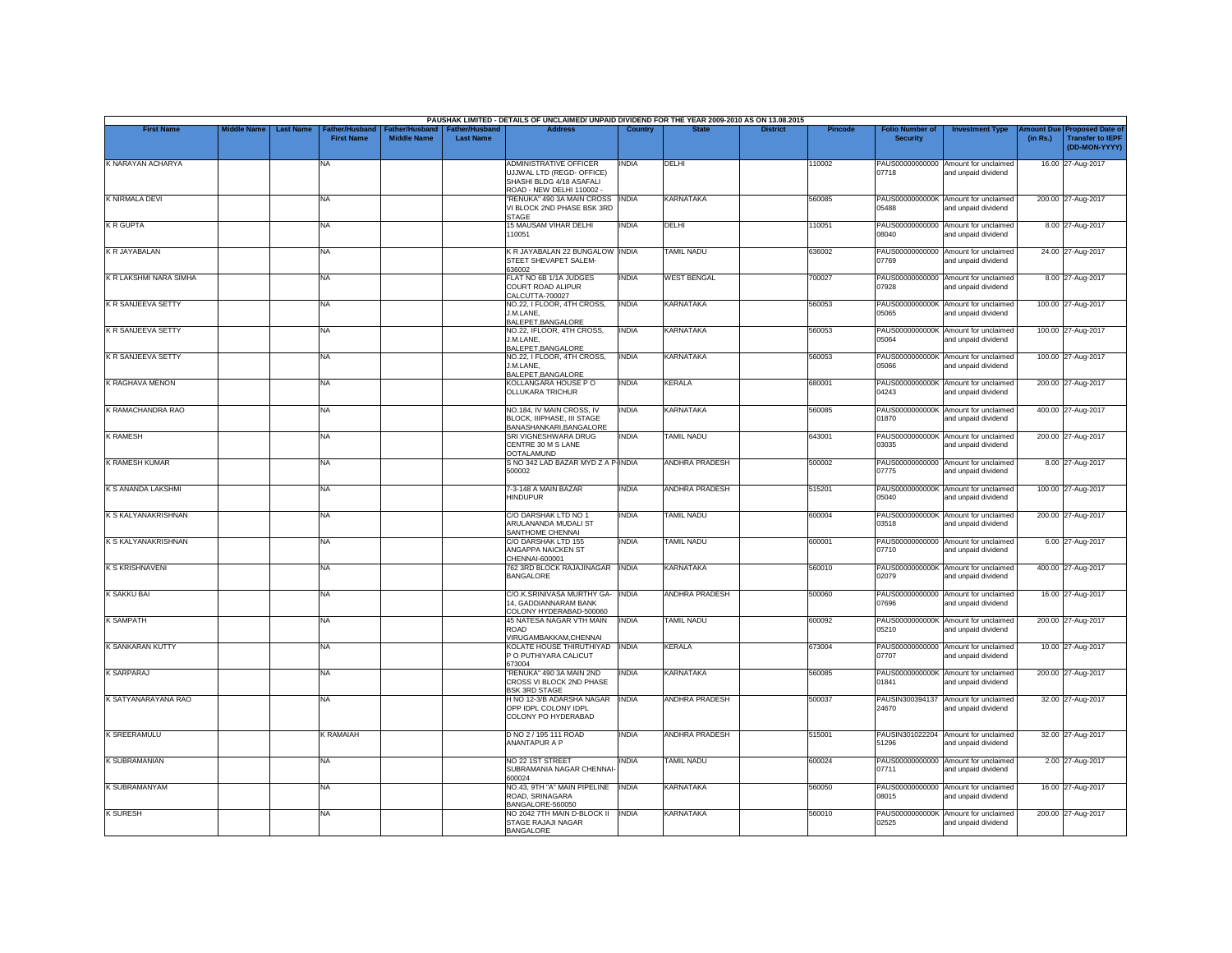|                               |             |                                                        |                                      |                                           | PAUSHAK LIMITED - DETAILS OF UNCLAIMED/ UNPAID DIVIDEND FOR THE YEAR 2009-2010 AS ON 13.08.2015                     |              |                       |                 |                |                                           |                                                             |                       |                                                                     |
|-------------------------------|-------------|--------------------------------------------------------|--------------------------------------|-------------------------------------------|---------------------------------------------------------------------------------------------------------------------|--------------|-----------------------|-----------------|----------------|-------------------------------------------|-------------------------------------------------------------|-----------------------|---------------------------------------------------------------------|
| <b>First Name</b>             | Middle Name | <b>Last Name</b><br>ather/Husband<br><b>First Name</b> | Father/Husband<br><b>Middle Name</b> | <b>Father/Husband</b><br><b>Last Name</b> | <b>Address</b>                                                                                                      | Country      | <b>State</b>          | <b>District</b> | <b>Pincode</b> | <b>Folio Number of</b><br><b>Security</b> | <b>Investment Type</b>                                      | mount Due<br>(in Rs.) | <b>Proposed Date of</b><br><b>Transfer to IEPF</b><br>(DD-MON-YYYY) |
| K NARAYAN ACHARYA             |             | NA                                                     |                                      |                                           | <b>ADMINISTRATIVE OFFICER</b><br>UJJWAL LTD (REGD- OFFICE)<br>SHASHI BLDG 4/18 ASAFALI<br>ROAD - NEW DELHI 110002 - | <b>INDIA</b> | DELHI                 |                 | 110002         | 07718                                     | PAUS00000000000 Amount for unclaimed<br>and unpaid dividend |                       | 16.00 27-Aug-2017                                                   |
| K NIRMALA DEVI                |             | <b>NA</b>                                              |                                      |                                           | "RENUKA" 490 3A MAIN CROSS   INDIA<br>VI BLOCK 2ND PHASE BSK 3RD<br><b>STAGE</b>                                    |              | <b>KARNATAKA</b>      |                 | 560085         | 05488                                     | PAUS0000000000K Amount for unclaimed<br>and unpaid dividend |                       | 200.00 27-Aug-2017                                                  |
| <b>KR GUPTA</b>               |             | <b>NA</b>                                              |                                      |                                           | 15 MAUSAM VIHAR DELHI<br>110051                                                                                     | <b>INDIA</b> | <b>DELHI</b>          |                 | 110051         | 08040                                     | PAUS00000000000 Amount for unclaimed<br>and unpaid dividend |                       | 8.00 27-Aug-2017                                                    |
| K R JAYABALAN                 |             | <b>NA</b>                                              |                                      |                                           | K R JAYABALAN 22 BUNGALOW INDIA<br>STEET SHEVAPET SALEM-                                                            |              | TAMIL NADU            |                 | 636002         | 07769                                     | PAUS00000000000 Amount for unclaimed<br>and unpaid dividend |                       | 24.00 27-Aug-2017                                                   |
| <b>K R LAKSHMI NARA SIMHA</b> |             | <b>NA</b>                                              |                                      |                                           | 636002<br>FLAT NO 6B 1/1A JUDGES<br>COURT ROAD ALIPUR                                                               | <b>INDIA</b> | <b>WEST BENGAL</b>    |                 | 700027         | 07928                                     | PAUS00000000000 Amount for unclaimed<br>and unpaid dividend |                       | 8.00 27-Aug-2017                                                    |
| <b>K R SANJEEVA SETTY</b>     |             | <b>NA</b>                                              |                                      |                                           | CALCUTTA-700027<br>NO.22, I FLOOR, 4TH CROSS,<br>J.M.LANE.                                                          | <b>INDIA</b> | <b>KARNATAKA</b>      |                 | 560053         | PAUS0000000000K<br>05065                  | Amount for unclaimed<br>and unpaid dividend                 |                       | 100.00 27-Aug-2017                                                  |
| <b>K R SANJEEVA SETTY</b>     |             | <b>NA</b>                                              |                                      |                                           | BALEPET, BANGALORE<br>NO.22, IFLOOR, 4TH CROSS,<br>J.M.LANE.                                                        | <b>INDIA</b> | <b>KARNATAKA</b>      |                 | 560053         | 05064                                     | PAUS0000000000K Amount for unclaimed<br>and unpaid dividend |                       | 100.00 27-Aug-2017                                                  |
| <b>K R SANJEEVA SETTY</b>     |             | <b>NA</b>                                              |                                      |                                           | BALEPET, BANGALORE<br>NO.22. I FLOOR. 4TH CROSS.<br>J.M.LANE,                                                       | <b>INDIA</b> | <b>KARNATAKA</b>      |                 | 560053         | PAUS0000000000K<br>05066                  | Amount for unclaimed<br>and unpaid dividend                 |                       | 100.00 27-Aug-2017                                                  |
| <b>K RAGHAVA MENON</b>        |             | <b>NA</b>                                              |                                      |                                           | BALEPET, BANGALORE<br>KOLLANGARA HOUSE PO<br><b>OLLUKARA TRICHUR</b>                                                | <b>INDIA</b> | KERALA                |                 | 680001         | 04243                                     | PAUS0000000000K Amount for unclaimed<br>and unpaid dividend |                       | 200.00 27-Aug-2017                                                  |
| K RAMACHANDRA RAO             |             | <b>NA</b>                                              |                                      |                                           | NO.184, IV MAIN CROSS, IV<br>BLOCK, IIIPHASE, III STAGE                                                             | INDIA        | <b>KARNATAKA</b>      |                 | 560085         | PAUS0000000000K<br>01870                  | Amount for unclaimed<br>and unpaid dividend                 |                       | 400.00 27-Aug-2017                                                  |
| <b>K RAMESH</b>               |             | <b>NA</b>                                              |                                      |                                           | BANASHANKARI.BANGALORE<br>SRI VIGNESHWARA DRUG<br>CENTRE 30 M S LANE                                                | <b>INDIA</b> | TAMIL NADU            |                 | 643001         | 03035                                     | PAUS0000000000K Amount for unclaimed<br>and unpaid dividend |                       | 200.00 27-Aug-2017                                                  |
| K RAMESH KUMAR                |             | <b>NA</b>                                              |                                      |                                           | <b>OOTALAMUND</b><br>S NO 342 LAD BAZAR MYD Z A P-INDIA<br>500002                                                   |              | ANDHRA PRADESH        |                 | 500002         | 07775                                     | PAUS00000000000 Amount for unclaimed<br>and unpaid dividend |                       | 8.00 27-Aug-2017                                                    |
| K S ANANDA LAKSHMI            |             | <b>NA</b>                                              |                                      |                                           | 7-3-148 A MAIN BAZAR<br><b>HINDUPUR</b>                                                                             | <b>INDIA</b> | ANDHRA PRADESH        |                 | 515201         | 05040                                     | PAUS0000000000K Amount for unclaimed<br>and unpaid dividend |                       | 100.00 27-Aug-2017                                                  |
| K S KALYANAKRISHNAN           |             | <b>NA</b>                                              |                                      |                                           | C/O DARSHAK LTD NO 1<br>ARULANANDA MUDALI ST                                                                        | <b>INDIA</b> | <b>TAMIL NADU</b>     |                 | 600004         | 03518                                     | PAUS0000000000K Amount for unclaimed<br>and unpaid dividend |                       | 200.00 27-Aug-2017                                                  |
| K S KALYANAKRISHNAN           |             | <b>NA</b>                                              |                                      |                                           | SANTHOME CHENNAI<br>C/O DARSHAK LTD 155<br>ANGAPPA NAICKEN ST                                                       | <b>INDIA</b> | <b>TAMIL NADU</b>     |                 | 600001         | 07710                                     | PAUS00000000000 Amount for unclaimed<br>and unpaid dividend |                       | 6.00 27-Aug-2017                                                    |
| K S KRISHNAVENI               |             | <b>NA</b>                                              |                                      |                                           | CHENNAI-600001<br>762 3RD BLOCK RAJAJINAGAR<br><b>BANGALORE</b>                                                     | <b>INDIA</b> | <b>KARNATAKA</b>      |                 | 560010         | 02079                                     | PAUS0000000000K Amount for unclaimed<br>and unpaid dividend |                       | 400.00 27-Aug-2017                                                  |
| K SAKKU BAI                   |             | <b>NA</b>                                              |                                      |                                           | C/O.K.SRINIVASA MURTHY GA- INDIA<br>14. GADDIANNARAM BANK                                                           |              | <b>ANDHRA PRADESH</b> |                 | 500060         | 07696                                     | PAUS00000000000 Amount for unclaimed<br>and unpaid dividend |                       | 16.00 27-Aug-2017                                                   |
| <b>K SAMPATH</b>              |             | <b>NA</b>                                              |                                      |                                           | COLONY HYDERABAD-500060<br>45 NATESA NAGAR VTH MAIN<br>ROAD                                                         | <b>INDIA</b> | <b>TAMIL NADU</b>     |                 | 600092         | 05210                                     | PAUS0000000000K Amount for unclaimed<br>and unpaid dividend |                       | 200.00 27-Aug-2017                                                  |
| K SANKARAN KUTTY              |             | <b>NA</b>                                              |                                      |                                           | VIRUGAMBAKKAM, CHENNAI<br>KOLATE HOUSE THIRUTHIYAD<br>P O PUTHIYARA CALICUT                                         | <b>INDIA</b> | <b>KERALA</b>         |                 | 673004         | PAUS00000000000<br>07707                  | Amount for unclaimed<br>and unpaid dividend                 |                       | 10.00 27-Aug-2017                                                   |
| <b>K SARPARAJ</b>             |             | <b>NA</b>                                              |                                      |                                           | 673004<br>"RENUKA" 490 3A MAIN 2ND<br>CROSS VI BLOCK 2ND PHASE                                                      | <b>INDIA</b> | <b>KARNATAKA</b>      |                 | 560085         | 01841                                     | PAUS0000000000K Amount for unclaimed<br>and unpaid dividend |                       | 200.00 27-Aug-2017                                                  |
| K SATYANARAYANA RAO           |             | <b>NA</b>                                              |                                      |                                           | <b>BSK 3RD STAGE</b><br>H NO 12-3/B ADARSHA NAGAR<br>OPP IDPL COLONY IDPL<br>COLONY PO HYDERABAD                    | <b>INDIA</b> | <b>ANDHRA PRADESH</b> |                 | 500037         | PAUSIN300394137<br>24670                  | Amount for unclaimed<br>and unpaid dividend                 |                       | 32.00 27-Aug-2017                                                   |
| <b>K SREERAMULU</b>           |             | <b>K RAMAIAH</b>                                       |                                      |                                           | D NO 2 / 195 111 ROAD<br>ANANTAPUR A P                                                                              | <b>INDIA</b> | <b>ANDHRA PRADESH</b> |                 | 515001         | 51296                                     | PAUSIN301022204 Amount for unclaimed<br>and unpaid dividend |                       | 32.00 27-Aug-2017                                                   |
| K SUBRAMANIAN                 |             | NA                                                     |                                      |                                           | NO 22 1ST STREET<br>SUBRAMANIA NAGAR CHENNAI                                                                        | <b>INDIA</b> | TAMIL NADU            |                 | 600024         | 07711                                     | PAUS00000000000 Amount for unclaimed<br>and unpaid dividend |                       | 2.00 27-Aug-2017                                                    |
| K SUBRAMANYAM                 |             | <b>NA</b>                                              |                                      |                                           | 600024<br>NO.43, 9TH "A" MAIN PIPELINE<br>ROAD, SRINAGARA                                                           | <b>INDIA</b> | KARNATAKA             |                 | 560050         | 08015                                     | PAUS00000000000 Amount for unclaimed<br>and unpaid dividend |                       | 16.00 27-Aug-2017                                                   |
| <b>K SURESH</b>               |             | <b>NA</b>                                              |                                      |                                           | BANGALORE-560050<br>NO 2042 7TH MAIN D-BLOCK II<br>STAGE RAJAJI NAGAR<br><b>BANGALORE</b>                           | <b>INDIA</b> | <b>KARNATAKA</b>      |                 | 560010         | 02525                                     | PAUS0000000000K Amount for unclaimed<br>and unpaid dividend |                       | 200.00 27-Aug-2017                                                  |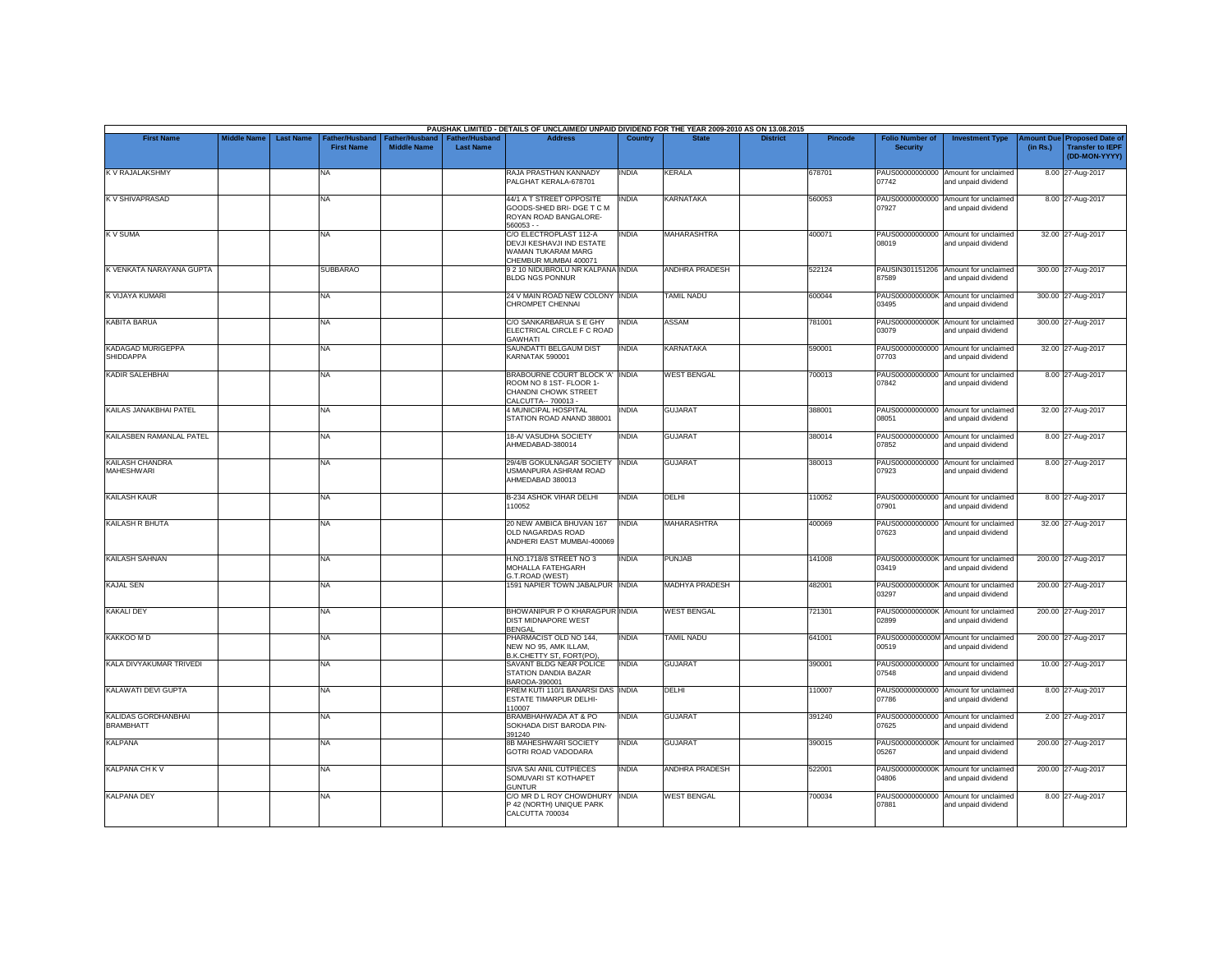|                                             |                    |                  |                                     |                                      |                                           | PAUSHAK LIMITED - DETAILS OF UNCLAIMED/ UNPAID DIVIDEND FOR THE YEAR 2009-2010 AS ON 13.08.2015                  |                |                    |                 |                |                                           |                                                             |          |                                                                                |
|---------------------------------------------|--------------------|------------------|-------------------------------------|--------------------------------------|-------------------------------------------|------------------------------------------------------------------------------------------------------------------|----------------|--------------------|-----------------|----------------|-------------------------------------------|-------------------------------------------------------------|----------|--------------------------------------------------------------------------------|
| <b>First Name</b>                           | <b>Middle Name</b> | <b>Last Name</b> | Father/Husband<br><b>First Name</b> | Father/Husband<br><b>Middle Name</b> | <b>Father/Husband</b><br><b>Last Name</b> | <b>Address</b>                                                                                                   | <b>Country</b> | <b>State</b>       | <b>District</b> | <b>Pincode</b> | <b>Folio Number of</b><br><b>Security</b> | <b>Investment Type</b>                                      | (in Rs.) | <b>Amount Due Proposed Date of</b><br><b>Transfer to IEPF</b><br>(DD-MON-YYYY) |
| K V RAJALAKSHMY                             |                    |                  | <b>NA</b>                           |                                      |                                           | RAJA PRASTHAN KANNADY<br>PAI GHAT KERALA-678701                                                                  | <b>INDIA</b>   | <b>KERALA</b>      |                 | 678701         | 07742                                     | PAUS00000000000 Amount for unclaimed<br>and unpaid dividend |          | 8.00 27-Aug-2017                                                               |
| <b>KV SHIVAPRASAD</b>                       |                    |                  | <b>NA</b>                           |                                      |                                           | 44/1 A T STREET OPPOSITE<br>GOODS-SHED BRI- DGE T C M<br>ROYAN ROAD BANGALORE-<br>$560053 -$                     | INDIA          | <b>KARNATAKA</b>   |                 | 560053         | PAUS00000000000<br>07927                  | Amount for unclaimed<br>and unpaid dividend                 |          | 8.00 27-Aug-2017                                                               |
| <b>KV SUMA</b>                              |                    |                  | <b>NA</b>                           |                                      |                                           | C/O ELECTROPLAST 112-A<br>DEVJI KESHAVJI IND ESTATE<br>WAMAN TUKARAM MARG<br>CHEMBUR MUMBAI 400071               | <b>INDIA</b>   | <b>MAHARASHTRA</b> |                 | 400071         | PAUS00000000000<br>08019                  | Amount for unclaimed<br>and unpaid dividend                 |          | 32.00 27-Aug-2017                                                              |
| K VENKATA NARAYANA GUPTA                    |                    |                  | <b>SUBBARAO</b>                     |                                      |                                           | 9 2 10 NIDUBROLU NR KALPANA INDIA<br><b>BLDG NGS PONNUR</b>                                                      |                | ANDHRA PRADESH     |                 | 522124         | 87589                                     | PAUSIN301151206 Amount for unclaimed<br>and unpaid dividend |          | 300.00 27-Aug-2017                                                             |
| K VIJAYA KUMARI                             |                    |                  | <b>NA</b>                           |                                      |                                           | 24 V MAIN ROAD NEW COLONY INDIA<br>CHROMPET CHENNAI                                                              |                | <b>TAMIL NADU</b>  |                 | 600044         | 03495                                     | PAUS0000000000K Amount for unclaimed<br>and unpaid dividend |          | 300.00 27-Aug-2017                                                             |
| <b>KABITA BARUA</b>                         |                    |                  | <b>NA</b>                           |                                      |                                           | C/O SANKARBARUA S E GHY<br>ELECTRICAL CIRCLE F C ROAD<br>GAWHATI                                                 | <b>INDIA</b>   | ASSAM              |                 | 781001         | 03079                                     | PAUS0000000000K Amount for unclaimed<br>and unpaid dividend |          | 300.00 27-Aug-2017                                                             |
| KADAGAD MURIGEPPA<br><b>SHIDDAPPA</b>       |                    |                  | <b>NA</b>                           |                                      |                                           | SAUNDATTI BELGAUM DIST<br>KARNATAK 590001                                                                        | <b>INDIA</b>   | <b>KARNATAKA</b>   |                 | 590001         | 07703                                     | PAUS00000000000 Amount for unclaimed<br>and unpaid dividend |          | 32.00 27-Aug-2017                                                              |
| <b>KADIR SALEHBHAI</b>                      |                    |                  | <b>NA</b>                           |                                      |                                           | <b>BRABOURNE COURT BLOCK 'A' INDIA</b><br>ROOM NO 8 1ST- FLOOR 1-<br>CHANDNI CHOWK STREET<br>CALCUTTA-- 700013 - |                | <b>WEST BENGAL</b> |                 | 700013         | 07842                                     | PAUS00000000000 Amount for unclaimed<br>and unpaid dividend |          | 8.00 27-Aug-2017                                                               |
| KAILAS JANAKBHAI PATEL                      |                    |                  | <b>NA</b>                           |                                      |                                           | <b>4 MUNICIPAL HOSPITAL</b><br>STATION ROAD ANAND 388001                                                         | INDIA          | <b>GUJARAT</b>     |                 | 388001         | 08051                                     | PAUS00000000000 Amount for unclaimed<br>and unpaid dividend |          | 32.00 27-Aug-2017                                                              |
| KAILASBEN RAMANLAL PATEL                    |                    |                  | <b>NA</b>                           |                                      |                                           | 18-A/VASUDHA SOCIETY<br>AHMEDABAD-380014                                                                         | <b>INDIA</b>   | <b>GUJARAT</b>     |                 | 380014         | 07852                                     | PAUS00000000000 Amount for unclaimed<br>and unpaid dividend |          | 8.00 27-Aug-2017                                                               |
| <b>KAILASH CHANDRA</b><br><b>MAHESHWARI</b> |                    |                  | <b>NA</b>                           |                                      |                                           | 29/4/B GOKULNAGAR SOCIETY<br><b>JSMANPURA ASHRAM ROAD</b><br>AHMEDABAD 380013                                    | <b>INDIA</b>   | <b>GUJARAT</b>     |                 | 380013         | PAUS00000000000<br>07923                  | Amount for unclaimed<br>and unpaid dividend                 |          | 8.00 27-Aug-2017                                                               |
| <b>KAILASH KAUR</b>                         |                    |                  | <b>NA</b>                           |                                      |                                           | <b>B-234 ASHOK VIHAR DELHI</b><br>110052                                                                         | <b>INDIA</b>   | DELHI              |                 | 110052         | 07901                                     | PAUS00000000000 Amount for unclaimed<br>and unpaid dividend |          | 8.00 27-Aug-2017                                                               |
| <b>KAILASH R BHUTA</b>                      |                    |                  | <b>NA</b>                           |                                      |                                           | 20 NEW AMBICA BHUVAN 167<br>OLD NAGARDAS ROAD<br>ANDHERI EAST MUMBAI-400069                                      | <b>INDIA</b>   | <b>MAHARASHTRA</b> |                 | 400069         | PAUS00000000000<br>07623                  | Amount for unclaimed<br>and unpaid dividend                 |          | 32.00 27-Aug-2017                                                              |
| KAILASH SAHNAN                              |                    |                  | <b>NA</b>                           |                                      |                                           | H.NO.1718/8 STREET NO 3<br><b>MOHALLA FATEHGARH</b><br>G.T.ROAD (WEST)                                           | <b>INDIA</b>   | <b>PUNJAB</b>      |                 | 141008         | 03419                                     | PAUS0000000000K Amount for unclaimed<br>and unpaid dividend |          | 200.00 27-Aug-2017                                                             |
| <b>KAJAL SEN</b>                            |                    |                  | <b>NA</b>                           |                                      |                                           | 1591 NAPIER TOWN JABALPUR INDIA                                                                                  |                | MADHYA PRADESH     |                 | 482001         | 03297                                     | PAUS0000000000K Amount for unclaimed<br>and unpaid dividend |          | 200.00 27-Aug-2017                                                             |
| <b>KAKALI DEY</b>                           |                    |                  | <b>NA</b>                           |                                      |                                           | <b>BHOWANIPUR P O KHARAGPUR INDIA</b><br>DIST MIDNAPORE WEST<br><b>BENGAL</b>                                    |                | <b>WEST BENGAL</b> |                 | 721301         | PAUS0000000000K<br>02899                  | Amount for unclaimed<br>and unpaid dividend                 |          | 200.00 27-Aug-2017                                                             |
| KAKKOO M D                                  |                    |                  | <b>NA</b>                           |                                      |                                           | PHARMACIST OLD NO 144.<br>NEW NO 95, AMK ILLAM.<br>B.K.CHETTY ST, FORT(PO),                                      | <b>INDIA</b>   | <b>TAMIL NADU</b>  |                 | 641001         | 00519                                     | PAUS0000000000M Amount for unclaimed<br>and unpaid dividend |          | 200.00 27-Aug-2017                                                             |
| KALA DIVYAKUMAR TRIVEDI                     |                    |                  | <b>NA</b>                           |                                      |                                           | SAVANT BLDG NEAR POLICE<br>STATION DANDIA BAZAR<br>BARODA-390001                                                 | <b>INDIA</b>   | <b>GUJARAT</b>     |                 | 390001         | 07548                                     | PAUS00000000000 Amount for unclaimed<br>and unpaid dividend |          | 10.00 27-Aug-2017                                                              |
| <b>KALAWATI DEVI GUPTA</b>                  |                    |                  | <b>NA</b>                           |                                      |                                           | PREM KUTI 110/1 BANARSI DAS INDIA<br><b>ESTATE TIMARPUR DELHI-</b><br>110007                                     |                | DELHI              |                 | 110007         | 07786                                     | PAUS00000000000 Amount for unclaimed<br>and unpaid dividend |          | 8.00 27-Aug-2017                                                               |
| KALIDAS GORDHANBHAI<br><b>BRAMBHATT</b>     |                    |                  | <b>NA</b>                           |                                      |                                           | BRAMBHAHWADA AT & PO<br>SOKHADA DIST BARODA PIN-<br>391240                                                       | INDIA          | <b>GUJARAT</b>     |                 | 391240         | 07625                                     | PAUS00000000000 Amount for unclaimed<br>and unpaid dividend |          | 2.00 27-Aug-2017                                                               |
| <b>KALPANA</b>                              |                    |                  | <b>NA</b>                           |                                      |                                           | 8B MAHESHWARI SOCIETY<br>GOTRI ROAD VADODARA                                                                     | <b>INDIA</b>   | <b>GUJARAT</b>     |                 | 390015         | 05267                                     | PAUS0000000000K Amount for unclaimed<br>and unpaid dividend |          | 200.00 27-Aug-2017                                                             |
| KALPANA CH K V                              |                    |                  | <b>NA</b>                           |                                      |                                           | SIVA SAI ANIL CUTPIECES<br>SOMUVARI ST KOTHAPET<br><b>GUNTUR</b>                                                 | <b>INDIA</b>   | ANDHRA PRADESH     |                 | 522001         | 04806                                     | PAUS0000000000K Amount for unclaimed<br>and unpaid dividend |          | 200.00 27-Aug-2017                                                             |
| <b>KALPANA DEY</b>                          |                    |                  | <b>NA</b>                           |                                      |                                           | C/O MR D L ROY CHOWDHURY<br>P 42 (NORTH) UNIQUE PARK<br>CALCUTTA 700034                                          | <b>INDIA</b>   | <b>WEST BENGAL</b> |                 | 700034         | 07881                                     | PAUS00000000000 Amount for unclaimed<br>and unpaid dividend |          | 8.00 27-Aug-2017                                                               |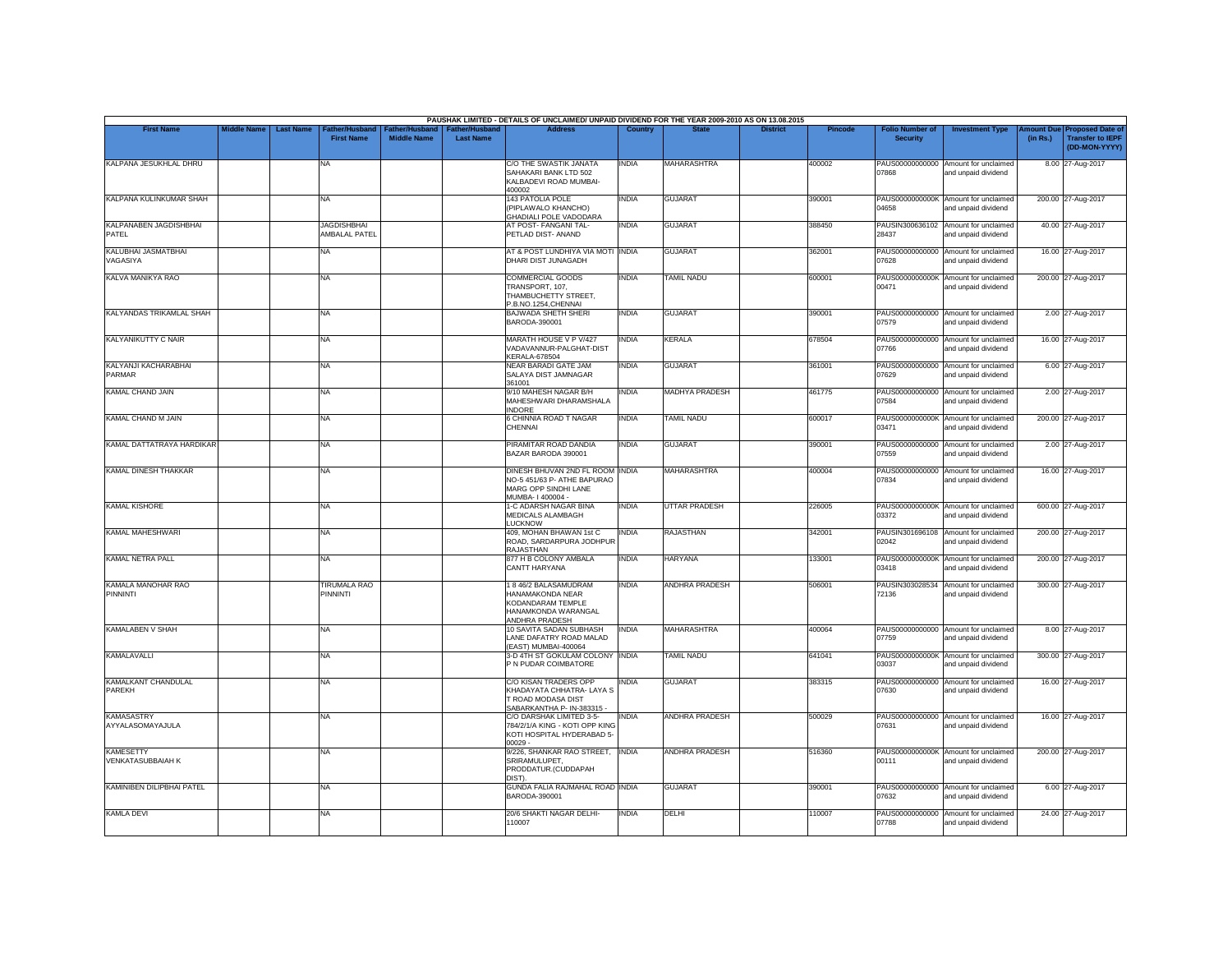|                                              |                    |                                                        |                                      |                                           | PAUSHAK LIMITED - DETAILS OF UNCLAIMED/ UNPAID DIVIDEND FOR THE YEAR 2009-2010 AS ON 13.08.2015             |              |                       |                 |         |                                           |                                                             |                       |                                                                     |
|----------------------------------------------|--------------------|--------------------------------------------------------|--------------------------------------|-------------------------------------------|-------------------------------------------------------------------------------------------------------------|--------------|-----------------------|-----------------|---------|-------------------------------------------|-------------------------------------------------------------|-----------------------|---------------------------------------------------------------------|
| <b>First Name</b>                            | <b>Middle Name</b> | <b>Last Name</b><br>ather/Husband<br><b>First Name</b> | Father/Husband<br><b>Middle Name</b> | <b>Father/Husband</b><br><b>Last Name</b> | <b>Address</b>                                                                                              | Country      | <b>State</b>          | <b>District</b> | Pincode | <b>Folio Number of</b><br><b>Security</b> | <b>Investment Type</b>                                      | mount Due<br>(in Rs.) | <b>Proposed Date of</b><br><b>Transfer to IEPF</b><br>(DD-MON-YYYY) |
| KALPANA JESUKHLAL DHRU                       |                    | NA                                                     |                                      |                                           | C/O THE SWASTIK JANATA<br>SAHAKARI BANK LTD 502<br>KALBADEVI ROAD MUMBAI-<br>400002                         | <b>INDIA</b> | <b>MAHARASHTRA</b>    |                 | 400002  | 07868                                     | PAUS00000000000 Amount for unclaimed<br>and unpaid dividend |                       | 8.00 27-Aug-2017                                                    |
| KALPANA KULINKUMAR SHAH                      |                    | <b>NA</b>                                              |                                      |                                           | <b>143 PATOLIA POLE</b><br>(PIPLAWALO KHANCHO)<br><b>GHADIALI POLE VADODARA</b>                             | <b>INDIA</b> | <b>GUJARAT</b>        |                 | 390001  | 04658                                     | PAUS0000000000K Amount for unclaimed<br>and unpaid dividend |                       | 200.00 27-Aug-2017                                                  |
| KALPANABEN JAGDISHBHAI<br>PATEL              |                    | <b>JAGDISHBHAI</b><br><b>AMBALAL PATEL</b>             |                                      |                                           | AT POST- FANGANI TAL-<br>PETLAD DIST- ANAND                                                                 | <b>INDIA</b> | <b>GUJARAT</b>        |                 | 388450  | 28437                                     | PAUSIN300636102 Amount for unclaimed<br>and unpaid dividend |                       | 40.00 27-Aug-2017                                                   |
| KALUBHAI JASMATBHAI<br>VAGASIYA              |                    | <b>NA</b>                                              |                                      |                                           | AT & POST LUNDHIYA VIA MOTI INDIA<br>DHARI DIST JUNAGADH                                                    |              | <b>GUJARAT</b>        |                 | 362001  | PAUS00000000000<br>07628                  | Amount for unclaimed<br>and unpaid dividend                 |                       | 16.00 27-Aug-2017                                                   |
| KALVA MANIKYA RAO                            |                    | <b>NA</b>                                              |                                      |                                           | <b>COMMERCIAL GOODS</b><br>TRANSPORT, 107.<br>THAMBUCHETTY STREET,<br>P.B.NO.1254, CHENNAI                  | INDIA        | <b>TAMIL NADU</b>     |                 | 600001  | 00471                                     | PAUS0000000000K Amount for unclaimed<br>and unpaid dividend |                       | 200.00 27-Aug-2017                                                  |
| KALYANDAS TRIKAMLAL SHAH                     |                    | NA                                                     |                                      |                                           | <b>BAJWADA SHETH SHERI</b><br>BARODA-390001                                                                 | INDIA        | <b>GUJARAT</b>        |                 | 390001  | 07579                                     | PAUS00000000000 Amount for unclaimed<br>and unpaid dividend |                       | 2.00 27-Aug-2017                                                    |
| KALYANIKUTTY C NAIR                          |                    | <b>NA</b>                                              |                                      |                                           | MARATH HOUSE V P V/427<br>VADAVANNUR-PALGHAT-DIST<br><b>KERALA-678504</b>                                   | <b>INDIA</b> | <b>KERALA</b>         |                 | 678504  | 07766                                     | PAUS00000000000 Amount for unclaimed<br>and unpaid dividend |                       | 16.00 27-Aug-2017                                                   |
| KALYANJI KACHARABHAI<br>PARMAR               |                    | <b>NA</b>                                              |                                      |                                           | <b>NEAR BARADI GATE JAM</b><br>SALAYA DIST JAMNAGAR<br>361001                                               | INDIA        | <b>GUJARAT</b>        |                 | 361001  | PAUS00000000000<br>07629                  | Amount for unclaimed<br>and unpaid dividend                 |                       | 6.00 27-Aug-2017                                                    |
| <b>KAMAL CHAND JAIN</b>                      |                    | <b>NA</b>                                              |                                      |                                           | 9/10 MAHESH NAGAR B/H<br>MAHESHWARI DHARAMSHALA<br><b>INDORF</b>                                            | INDIA        | <b>MADHYA PRADESH</b> |                 | 461775  | PAUS00000000000<br>07584                  | Amount for unclaimed<br>and unpaid dividend                 |                       | 2.00 27-Aug-2017                                                    |
| KAMAL CHAND M JAIN                           |                    | NA                                                     |                                      |                                           | 6 CHINNIA ROAD T NAGAR<br>CHENNAI                                                                           | INDIA        | <b>TAMIL NADU</b>     |                 | 600017  | PAUS0000000000K<br>03471                  | Amount for unclaimed<br>and unpaid dividend                 |                       | 200.00 27-Aug-2017                                                  |
| KAMAL DATTATRAYA HARDIKAR                    |                    | <b>NA</b>                                              |                                      |                                           | PIRAMITAR ROAD DANDIA<br>BAZAR BARODA 390001                                                                | <b>INDIA</b> | <b>GUJARAT</b>        |                 | 390001  | 07559                                     | PAUS00000000000 Amount for unclaimed<br>and unpaid dividend |                       | 2.00 27-Aug-2017                                                    |
| <b>KAMAL DINESH THAKKAR</b>                  |                    | <b>NA</b>                                              |                                      |                                           | DINESH BHUVAN 2ND FL ROOM INDIA<br>NO-5 451/63 P- ATHE BAPURAO<br>MARG OPP SINDHI LANE<br>MUMBA- I 400004 - |              | <b>MAHARASHTRA</b>    |                 | 400004  | 07834                                     | PAUS00000000000 Amount for unclaimed<br>and unpaid dividend |                       | 16.00 27-Aug-2017                                                   |
| <b>KAMAL KISHORE</b>                         |                    | <b>NA</b>                                              |                                      |                                           | 1-C ADARSH NAGAR BINA<br>MEDICALS ALAMBAGH<br><b>LUCKNOW</b>                                                | INDIA        | <b>UTTAR PRADESH</b>  |                 | 226005  | PAUS0000000000K<br>03372                  | Amount for unclaimed<br>and unpaid dividend                 |                       | 600.00 27-Aug-2017                                                  |
| KAMAI MAHESHWARI                             |                    | <b>NA</b>                                              |                                      |                                           | 409. MOHAN BHAWAN 1st C<br>ROAD, SARDARPURA JODHPUR<br><b>RAJASTHAN</b>                                     | <b>INDIA</b> | <b>RAJASTHAN</b>      |                 | 342001  | 02042                                     | PAUSIN301696108 Amount for unclaimed<br>and unpaid dividend |                       | 200.00 27-Aug-2017                                                  |
| KAMAL NETRA PALL                             |                    | <b>NA</b>                                              |                                      |                                           | 877 H B COLONY AMBALA<br><b>CANTT HARYANA</b>                                                               | <b>INDIA</b> | <b>HARYANA</b>        |                 | 133001  | PAUS0000000000K<br>03418                  | Amount for unclaimed<br>and unpaid dividend                 |                       | 200.00 27-Aug-2017                                                  |
| KAMALA MANOHAR RAO<br>PINNINTI               |                    | <b>TIRUMALA RAO</b><br>PINNINTI                        |                                      |                                           | 1846/2 BALASAMUDRAM<br>HANAMAKONDA NEAR<br>KODANDARAM TEMPLE<br>HANAMKONDA WARANGAL<br>ANDHRA PRADESH       | <b>INDIA</b> | <b>ANDHRA PRADESH</b> |                 | 506001  | 72136                                     | PAUSIN303028534 Amount for unclaimed<br>and unpaid dividend |                       | 300.00 27-Aug-2017                                                  |
| <b>KAMALABEN V SHAH</b>                      |                    | <b>NA</b>                                              |                                      |                                           | 10 SAVITA SADAN SUBHASH<br>LANE DAFATRY ROAD MALAD<br>(EAST) MUMBAI-400064                                  | <b>INDIA</b> | <b>MAHARASHTRA</b>    |                 | 400064  | 07759                                     | PAUS00000000000 Amount for unclaimed<br>and unpaid dividend |                       | 8.00 27-Aug-2017                                                    |
| KAMALAVALLI                                  |                    | <b>NA</b>                                              |                                      |                                           | 3-D 4TH ST GOKULAM COLONY INDIA<br>P N PUDAR COIMBATORE                                                     |              | TAMIL NADU            |                 | 641041  | PAUS0000000000K<br>03037                  | Amount for unclaimed<br>and unpaid dividend                 |                       | 300.00 27-Aug-2017                                                  |
| KAMALKANT CHANDULAL<br><b>PAREKH</b>         |                    | <b>NA</b>                                              |                                      |                                           | C/O KISAN TRADERS OPP<br>KHADAYATA CHHATRA- LAYA S<br>T ROAD MODASA DIST<br>SABARKANTHA P- IN-383315 -      | <b>INDIA</b> | <b>GUJARAT</b>        |                 | 383315  | 07630                                     | PAUS00000000000 Amount for unclaimed<br>and unpaid dividend |                       | 16.00 27-Aug-2017                                                   |
| <b>KAMASASTRY</b><br>AYYALASOMAYAJULA        |                    | NA                                                     |                                      |                                           | C/O DARSHAK LIMITED 3-5-<br>784/2/1/A KING - KOTI OPP KING<br>KOTI HOSPITAL HYDERABAD 5-<br>$00029 -$       | <b>INDIA</b> | <b>ANDHRA PRADESH</b> |                 | 500029  | PAUS00000000000<br>07631                  | Amount for unclaimed<br>and unpaid dividend                 |                       | 16.00 27-Aug-2017                                                   |
| <b>KAMESETTY</b><br><b>VENKATASUBBAIAH K</b> |                    | <b>NA</b>                                              |                                      |                                           | 9/226, SHANKAR RAO STREET, INDIA<br>SRIRAMULUPET,<br>PRODDATUR.(CUDDAPAH<br>DIST)                           |              | <b>ANDHRA PRADESH</b> |                 | 516360  | 00111                                     | PAUS0000000000K Amount for unclaimed<br>and unpaid dividend |                       | 200.00 27-Aug-2017                                                  |
| KAMINIBEN DILIPBHAI PATEL                    |                    | <b>NA</b>                                              |                                      |                                           | GUNDA FALIA RAJMAHAL ROAD INDIA<br>BARODA-390001                                                            |              | <b>GUJARAT</b>        |                 | 390001  | 07632                                     | PAUS00000000000 Amount for unclaimed<br>and unpaid dividend |                       | 6.00 27-Aug-2017                                                    |
| <b>KAMLA DEVI</b>                            |                    | NA                                                     |                                      |                                           | 20/6 SHAKTI NAGAR DELHI-<br>110007                                                                          | <b>INDIA</b> | DELHI                 |                 | 110007  | PAUS00000000000<br>07788                  | Amount for unclaimed<br>and unpaid dividend                 |                       | 24.00 27-Aug-2017                                                   |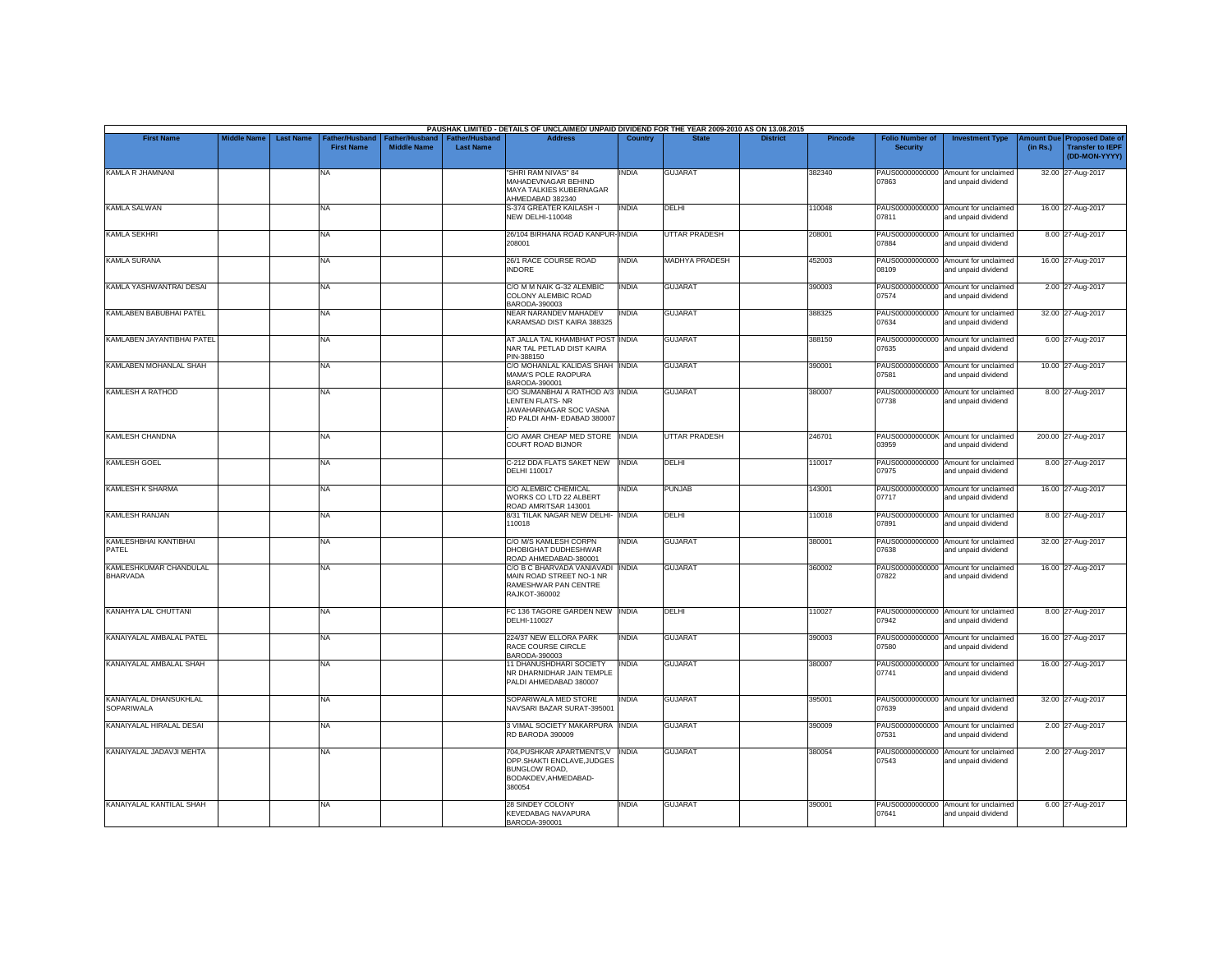|                                           |                                        |                                     |                                             |                                           | PAUSHAK LIMITED - DETAILS OF UNCLAIMED/ UNPAID DIVIDEND FOR THE YEAR 2009-2010 AS ON 13.08.2015                         |              |                      |                 |         |                                           |                                                             |                               |                                                                     |
|-------------------------------------------|----------------------------------------|-------------------------------------|---------------------------------------------|-------------------------------------------|-------------------------------------------------------------------------------------------------------------------------|--------------|----------------------|-----------------|---------|-------------------------------------------|-------------------------------------------------------------|-------------------------------|---------------------------------------------------------------------|
| <b>First Name</b>                         | <b>Middle Name</b><br><b>Last Name</b> | Father/Husband<br><b>First Name</b> | <b>Father/Husband</b><br><b>Middle Name</b> | <b>Father/Husband</b><br><b>Last Name</b> | <b>Address</b>                                                                                                          | Country      | <b>State</b>         | <b>District</b> | Pincode | <b>Folio Number of</b><br><b>Security</b> | <b>Investment Type</b>                                      | <b>Amount Due</b><br>(in Rs.) | <b>Proposed Date of</b><br><b>Transfer to IEPF</b><br>(DD-MON-YYYY) |
| KAMLA R JHAMNANI                          |                                        | NA.                                 |                                             |                                           | "SHRI RAM NIVAS" 84<br>MAHADEVNAGAR BEHIND<br>MAYA TALKIES KUBERNAGAR<br>AHMEDABAD 382340                               | INDIA        | <b>GUJARAT</b>       |                 | 382340  | 07863                                     | PAUS00000000000 Amount for unclaimed<br>and unpaid dividend |                               | 32.00 27-Aug-2017                                                   |
| <b>KAMLA SALWAN</b>                       |                                        | <b>NA</b>                           |                                             |                                           | S-374 GREATER KAILASH -I<br><b>NEW DELHI-110048</b>                                                                     | <b>INDIA</b> | DELHI                |                 | 110048  | 07811                                     | PAUS00000000000 Amount for unclaimed<br>and unpaid dividend |                               | 16.00 27-Aug-2017                                                   |
| <b>KAMLA SEKHRI</b>                       |                                        | <b>NA</b>                           |                                             |                                           | 26/104 BIRHANA ROAD KANPUR-INDIA<br>208001                                                                              |              | <b>UTTAR PRADESH</b> |                 | 208001  | 07884                                     | PAUS00000000000 Amount for unclaimed<br>and unpaid dividend |                               | 8.00 27-Aug-2017                                                    |
| <b>KAMLA SURANA</b>                       |                                        | <b>NA</b>                           |                                             |                                           | 26/1 RACE COURSE ROAD<br><b>INDORF</b>                                                                                  | <b>INDIA</b> | MADHYA PRADESH       |                 | 452003  | 08109                                     | PAUS00000000000 Amount for unclaimed<br>and unpaid dividend |                               | 16.00 27-Aug-2017                                                   |
| KAMLA YASHWANTRAI DESAI                   |                                        | <b>NA</b>                           |                                             |                                           | C/O M M NAIK G-32 ALEMBIC<br>COLONY ALEMBIC ROAD<br>BARODA-390003                                                       | <b>INDIA</b> | <b>GUJARAT</b>       |                 | 390003  | 07574                                     | PAUS00000000000 Amount for unclaimed<br>and unpaid dividend |                               | 2.00 27-Aug-2017                                                    |
| KAMLABEN BABUBHAI PATEL                   |                                        | <b>NA</b>                           |                                             |                                           | <b>NEAR NARANDEV MAHADEV</b><br>KARAMSAD DIST KAIRA 388325                                                              | <b>INDIA</b> | <b>GUJARAT</b>       |                 | 388325  | 07634                                     | PAUS00000000000 Amount for unclaimed<br>and unpaid dividend |                               | 32.00 27-Aug-2017                                                   |
| KAMLABEN JAYANTIBHAI PATEL                |                                        | <b>NA</b>                           |                                             |                                           | AT JALLA TAL KHAMBHAT POST INDIA<br>NAR TAL PETLAD DIST KAIRA<br>PIN-388150                                             |              | <b>GUJARAT</b>       |                 | 388150  | 07635                                     | PAUS00000000000 Amount for unclaimed<br>and unpaid dividend |                               | 6.00 27-Aug-2017                                                    |
| KAMLABEN MOHANLAL SHAH                    |                                        | <b>NA</b>                           |                                             |                                           | C/O MOHANLAL KALIDAS SHAH INDIA<br>MAMA'S POLE RAOPURA<br>BARODA-390001                                                 |              | <b>GUJARAT</b>       |                 | 390001  | 07581                                     | PAUS00000000000 Amount for unclaimed<br>and unpaid dividend |                               | 10.00 27-Aug-2017                                                   |
| <b>KAMLESH A RATHOD</b>                   |                                        | <b>NA</b>                           |                                             |                                           | C/O SUMANBHAI A RATHOD A/3 INDIA<br>LENTEN FLATS-NR<br>JAWAHARNAGAR SOC VASNA<br>RD PALDI AHM- EDABAD 380007            |              | <b>GUJARAT</b>       |                 | 380007  | PAUS00000000000<br>07738                  | Amount for unclaimed<br>and unpaid dividend                 |                               | 8.00 27-Aug-2017                                                    |
| <b>KAMLESH CHANDNA</b>                    |                                        | <b>NA</b>                           |                                             |                                           | C/O AMAR CHEAP MED STORE INDIA<br><b>COURT ROAD BIJNOR</b>                                                              |              | <b>UTTAR PRADESH</b> |                 | 246701  | 03959                                     | PAUS0000000000K Amount for unclaimed<br>and unpaid dividend |                               | 200.00 27-Aug-2017                                                  |
| <b>KAMLESH GOEL</b>                       |                                        | <b>NA</b>                           |                                             |                                           | C-212 DDA FLATS SAKET NEW<br>DELHI 110017                                                                               | <b>INDIA</b> | DELHI                |                 | 110017  | 07975                                     | PAUS00000000000 Amount for unclaimed<br>and unpaid dividend |                               | 8.00 27-Aug-2017                                                    |
| KAMLESH K SHARMA                          |                                        | <b>NA</b>                           |                                             |                                           | C/O ALEMBIC CHEMICAL<br>WORKS CO LTD 22 ALBERT<br>ROAD AMRITSAR 143001                                                  | <b>INDIA</b> | <b>PUNJAB</b>        |                 | 143001  | 07717                                     | PAUS00000000000 Amount for unclaimed<br>and unpaid dividend |                               | 16.00 27-Aug-2017                                                   |
| <b>KAMLESH RANJAN</b>                     |                                        | <b>NA</b>                           |                                             |                                           | 8/31 TILAK NAGAR NEW DELHI- INDIA<br>110018                                                                             |              | DELHI                |                 | 110018  | PAUS00000000000<br>07891                  | Amount for unclaimed<br>and unpaid dividend                 |                               | 8.00 27-Aug-2017                                                    |
| KAMLESHBHAI KANTIBHAI<br>PATEL            |                                        | <b>NA</b>                           |                                             |                                           | C/O M/S KAMLESH CORPN<br>DHOBIGHAT DUDHESHWAR<br>ROAD AHMEDABAD-380001                                                  | INDIA        | <b>GUJARAT</b>       |                 | 380001  | 07638                                     | PAUS00000000000 Amount for unclaimed<br>and unpaid dividend |                               | 32.00 27-Aug-2017                                                   |
| KAMLESHKUMAR CHANDULAL<br><b>BHARVADA</b> |                                        | <b>NA</b>                           |                                             |                                           | C/O B C BHARVADA VANIAVADI INDIA<br>MAIN ROAD STREET NO-1 NR<br>RAMESHWAR PAN CENTRE<br>RAJKOT-360002                   |              | <b>GUJARAT</b>       |                 | 360002  | 07822                                     | PAUS00000000000 Amount for unclaimed<br>and unpaid dividend |                               | 16.00 27-Aug-2017                                                   |
| KANAHYA LAL CHUTTANI                      |                                        | <b>NA</b>                           |                                             |                                           | FC 136 TAGORE GARDEN NEW INDIA<br>DELHI-110027                                                                          |              | <b>DELHI</b>         |                 | 110027  | 07942                                     | PAUS00000000000 Amount for unclaimed<br>and unpaid dividend |                               | 8.00 27-Aug-2017                                                    |
| KANAIYALAL AMBALAL PATEL                  |                                        | <b>NA</b>                           |                                             |                                           | 224/37 NEW ELLORA PARK<br>RACE COURSE CIRCLE<br>BARODA-390003                                                           | <b>INDIA</b> | <b>GUJARAT</b>       |                 | 390003  | 07580                                     | PAUS00000000000 Amount for unclaimed<br>and unpaid dividend |                               | 16.00 27-Aug-2017                                                   |
| KANAIYALAL AMBALAL SHAH                   |                                        | <b>NA</b>                           |                                             |                                           | 11 DHANUSHDHARI SOCIETY<br>NR DHARNIDHAR JAIN TEMPLE<br>PALDI AHMEDABAD 380007                                          | <b>INDIA</b> | <b>GUJARAT</b>       |                 | 380007  | PAUS00000000000<br>07741                  | Amount for unclaimed<br>and unpaid dividend                 |                               | 16.00 27-Aug-2017                                                   |
| KANAIYALAL DHANSUKHLAL<br>SOPARIWALA      |                                        | <b>NA</b>                           |                                             |                                           | SOPARIWALA MED STORE<br>NAVSARI BAZAR SURAT-395001                                                                      | <b>INDIA</b> | <b>GUJARAT</b>       |                 | 395001  | 07639                                     | PAUS00000000000 Amount for unclaimed<br>and unpaid dividend |                               | 32.00 27-Aug-2017                                                   |
| KANAIYALAL HIRALAL DESAI                  |                                        | <b>NA</b>                           |                                             |                                           | 3 VIMAL SOCIETY MAKARPURA INDIA<br>RD BARODA 390009                                                                     |              | <b>GUJARAT</b>       |                 | 390009  | 07531                                     | PAUS00000000000 Amount for unclaimed<br>and unpaid dividend |                               | 2.00 27-Aug-2017                                                    |
| KANAIYALAL JADAVJI MEHTA                  |                                        | <b>NA</b>                           |                                             |                                           | 704, PUSHKAR APARTMENTS, V INDIA<br>OPP.SHAKTI ENCLAVE, JUDGES<br><b>BUNGLOW ROAD.</b><br>BODAKDEV.AHMEDABAD-<br>380054 |              | <b>GUJARAT</b>       |                 | 380054  | 07543                                     | PAUS00000000000 Amount for unclaimed<br>and unpaid dividend |                               | 2.00 27-Aug-2017                                                    |
| KANAIYALAL KANTILAL SHAH                  |                                        | <b>NA</b>                           |                                             |                                           | 28 SINDEY COLONY<br><b>KEVEDABAG NAVAPURA</b><br>BARODA-390001                                                          | <b>INDIA</b> | <b>GUJARAT</b>       |                 | 390001  | 07641                                     | PAUS00000000000 Amount for unclaimed<br>and unpaid dividend |                               | 6.00 27-Aug-2017                                                    |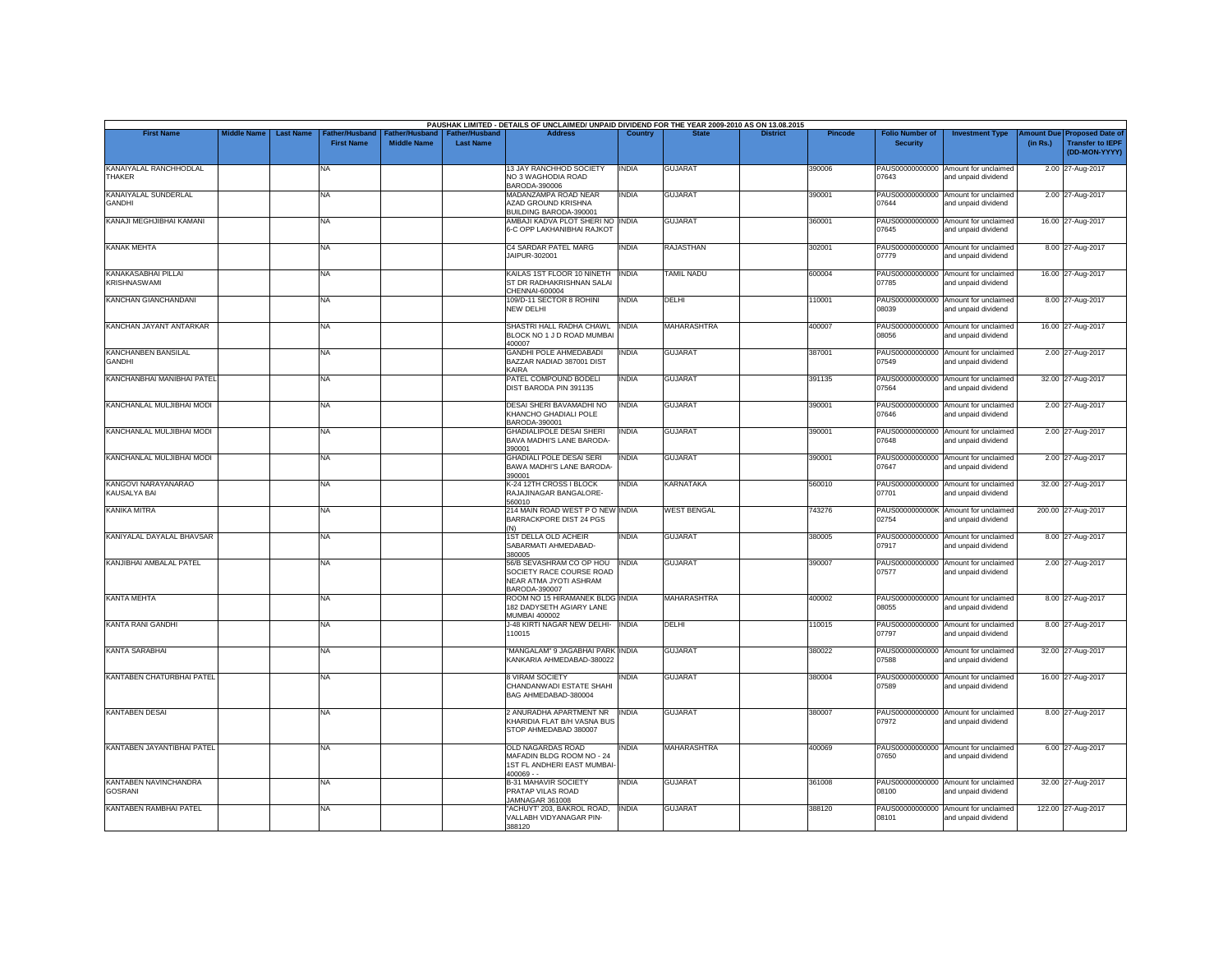| <b>First Name</b>                          | <b>Middle Name</b> | <b>Last Name</b> | Father/Husband    | Father/Husband     | <b>Father/Husband</b> | PAUSHAK LIMITED - DETAILS OF UNCLAIMED/ UNPAID DIVIDEND FOR THE YEAR 2009-2010 AS ON 13.08.2015<br><b>Address</b> | Country      |                    | <b>District</b> | <b>Pincode</b> | <b>Folio Number of</b>   | <b>Investment Type</b>                                      | <b>Imount Due</b> | <b>Proposed Date of</b>                  |
|--------------------------------------------|--------------------|------------------|-------------------|--------------------|-----------------------|-------------------------------------------------------------------------------------------------------------------|--------------|--------------------|-----------------|----------------|--------------------------|-------------------------------------------------------------|-------------------|------------------------------------------|
|                                            |                    |                  | <b>First Name</b> | <b>Middle Name</b> | <b>Last Name</b>      |                                                                                                                   |              |                    |                 |                | <b>Security</b>          |                                                             | (in Rs.)          | <b>Transfer to IEPF</b><br>(DD-MON-YYYY) |
| KANAIYALAL RANCHHODLAL<br>THAKER           |                    |                  | NA                |                    |                       | 13 JAY RANCHHOD SOCIETY<br>NO 3 WAGHODIA ROAD<br>BARODA-390006                                                    | <b>INDIA</b> | <b>GUJARAT</b>     |                 | 390006         | 07643                    | PAUS00000000000 Amount for unclaimed<br>and unpaid dividend |                   | 2.00 27-Aug-2017                         |
| KANAIYALAL SUNDERLAL<br><b>GANDHI</b>      |                    |                  | NA                |                    |                       | MADANZAMPA ROAD NEAR<br>AZAD GROUND KRISHNA<br>BUILDING BARODA-390001                                             | <b>INDIA</b> | <b>GUJARAT</b>     |                 | 39000          | PAUS00000000000<br>07644 | Amount for unclaimed<br>and unpaid dividend                 |                   | 2.00 27-Aug-2017                         |
| KANAJI MEGHJIBHAI KAMANI                   |                    |                  | NA                |                    |                       | AMBAJI KADVA PLOT SHERI NO INDIA<br>6-C OPP LAKHANIBHAI RAJKOT                                                    |              | <b>GUJARAT</b>     |                 | 360001         | 07645                    | PAUS00000000000 Amount for unclaimed<br>and unpaid dividend |                   | 16.00 27-Aug-2017                        |
| <b>KANAK MEHTA</b>                         |                    |                  | NA                |                    |                       | C4 SARDAR PATEL MARG<br>JAIPUR-302001                                                                             | <b>INDIA</b> | <b>RAJASTHAN</b>   |                 | 302001         | 07779                    | PAUS00000000000 Amount for unclaimed<br>and unpaid dividend |                   | 8.00 27-Aug-2017                         |
| KANAKASABHAI PILLAI<br><b>KRISHNASWAMI</b> |                    |                  | NA                |                    |                       | KAILAS 1ST FLOOR 10 NINETH<br>ST DR RADHAKRISHNAN SALAI<br>CHENNAI-600004                                         | <b>INDIA</b> | <b>TAMIL NADU</b>  |                 | 600004         | 07785                    | PAUS00000000000 Amount for unclaimed<br>and unpaid dividend |                   | 16.00 27-Aug-2017                        |
| KANCHAN GIANCHANDANI                       |                    |                  | NA                |                    |                       | 109/D-11 SECTOR 8 ROHINI<br>NEW DELHI                                                                             | <b>INDIA</b> | DELHI              |                 | 10001          | 08039                    | PAUS00000000000 Amount for unclaimed<br>and unpaid dividend |                   | 8.00 27-Aug-2017                         |
| KANCHAN JAYANT ANTARKAR                    |                    |                  | NA                |                    |                       | SHASTRI HALL RADHA CHAWL<br>BLOCK NO 1 J D ROAD MUMBAI<br>400007                                                  | <b>INDIA</b> | <b>MAHARASHTRA</b> |                 | 400007         | 08056                    | PAUS00000000000 Amount for unclaimed<br>and unpaid dividend |                   | 16.00 27-Aug-2017                        |
| KANCHANBEN BANSILAL<br><b>GANDHI</b>       |                    |                  | NA                |                    |                       | <b>GANDHI POLE AHMEDABADI</b><br>BAZZAR NADIAD 387001 DIST<br><b>KAIRA</b>                                        | <b>INDIA</b> | <b>GUJARAT</b>     |                 | 387001         | 07549                    | PAUS00000000000 Amount for unclaimed<br>and unpaid dividend |                   | 2.00 27-Aug-2017                         |
| KANCHANBHAI MANIBHAI PATEL                 |                    |                  | NA                |                    |                       | PATEL COMPOUND BODELI<br>DIST BARODA PIN 391135                                                                   | <b>INDIA</b> | <b>GUJARAT</b>     |                 | 391135         | 07564                    | PAUS00000000000 Amount for unclaimed<br>and unpaid dividend |                   | 32.00 27-Aug-2017                        |
| KANCHANLAL MULJIBHAI MODI                  |                    |                  | NA                |                    |                       | <b>DESAI SHERI BAVAMADHI NO</b><br>KHANCHO GHADIALI POLE<br>BARODA-390001                                         | <b>INDIA</b> | <b>GUJARAT</b>     |                 | 390001         | 07646                    | PAUS00000000000 Amount for unclaimed<br>and unpaid dividend |                   | 2.00 27-Aug-2017                         |
| KANCHANLAL MULJIBHAI MODI                  |                    |                  | NA                |                    |                       | <b>GHADIALIPOLE DESAI SHERI</b><br>BAVA MADHI'S LANE BARODA-<br>390001                                            | <b>INDIA</b> | <b>GUJARAT</b>     |                 | 390001         | PAUS00000000000<br>07648 | Amount for unclaimed<br>and unpaid dividend                 |                   | 2.00 27-Aug-2017                         |
| KANCHANLAL MULJIBHAI MODI                  |                    |                  | NA                |                    |                       | <b>GHADIALI POLE DESAI SERI</b><br>BAWA MADHI'S LANE BARODA-<br>390001                                            | <b>INDIA</b> | <b>GUJARAT</b>     |                 | 390001         | 07647                    | PAUS00000000000 Amount for unclaimed<br>and unpaid dividend |                   | 2.00 27-Aug-2017                         |
| KANGOVI NARAYANARAO<br>KAUSALYA BAI        |                    |                  | NA.               |                    |                       | K-24 12TH CROSS I BLOCK<br>RAJAJINAGAR BANGALORE-<br>560010                                                       | <b>INDIA</b> | KARNATAKA          |                 | 560010         | 07701                    | PAUS00000000000 Amount for unclaimed<br>and unpaid dividend |                   | 32.00 27-Aug-2017                        |
| <b>KANIKA MITRA</b>                        |                    |                  | NA                |                    |                       | 214 MAIN ROAD WEST P O NEW INDIA<br>BARRACKPORE DIST 24 PGS<br>(N)                                                |              | <b>WEST BENGAL</b> |                 | 743276         | 02754                    | PAUS0000000000K Amount for unclaimed<br>and unpaid dividend |                   | 200.00 27-Aug-2017                       |
| KANIYALAL DAYALAL BHAVSAR                  |                    |                  | NA                |                    |                       | <b>1ST DELLA OLD ACHEIR</b><br>SABARMATI AHMEDABAD-<br>380005                                                     | <b>INDIA</b> | <b>GUJARAT</b>     |                 | 380005         | 07917                    | PAUS00000000000 Amount for unclaimed<br>and unpaid dividend |                   | 8.00 27-Aug-2017                         |
| KANJIBHAI AMBALAL PATEL                    |                    |                  | NA                |                    |                       | 56/B SEVASHRAM CO OP HOU   INDIA<br>SOCIETY RACE COURSE ROAD<br>NEAR ATMA JYOTI ASHRAM<br>BARODA-390007           |              | <b>GUJARAT</b>     |                 | 390007         | 07577                    | PAUS00000000000 Amount for unclaimed<br>and unpaid dividend |                   | 2.00 27-Aug-2017                         |
| <b>KANTA MEHTA</b>                         |                    |                  | NA                |                    |                       | ROOM NO 15 HIRAMANEK BLDG INDIA<br>182 DADYSETH AGIARY LANE<br>MUMBAI 400002                                      |              | <b>MAHARASHTRA</b> |                 | 400002         | 08055                    | PAUS00000000000 Amount for unclaimed<br>and unpaid dividend |                   | 8.00 27-Aug-2017                         |
| <b>KANTA RANI GANDHI</b>                   |                    |                  | NA                |                    |                       | J-48 KIRTI NAGAR NEW DELHI- INDIA<br>110015                                                                       |              | DELHI              |                 | 110015         | PAUS00000000000<br>07797 | Amount for unclaimed<br>and unpaid dividend                 |                   | 8.00 27-Aug-2017                         |
| <b>KANTA SARABHAI</b>                      |                    |                  | <b>NA</b>         |                    |                       | "MANGALAM" 9 JAGABHAI PARK INDIA<br>KANKARIA AHMEDABAD-380022                                                     |              | <b>GUJARAT</b>     |                 | 380022         | 07588                    | PAUS00000000000 Amount for unclaimed<br>and unpaid dividend |                   | 32.00 27-Aug-2017                        |
| KANTABEN CHATURBHAI PATEL                  |                    |                  | NA                |                    |                       | 8 VIRAM SOCIETY<br>CHANDANWADI ESTATE SHAHI<br>BAG AHMEDABAD-380004                                               | <b>INDIA</b> | <b>GUJARAT</b>     |                 | 380004         | 07589                    | PAUS00000000000 Amount for unclaimed<br>and unpaid dividend |                   | 16.00 27-Aug-2017                        |
| <b>KANTABEN DESAI</b>                      |                    |                  | <b>NA</b>         |                    |                       | 2 ANURADHA APARTMENT NR<br>KHARIDIA FLAT B/H VASNA BUS<br>STOP AHMEDABAD 380007                                   | <b>INDIA</b> | <b>GUJARAT</b>     |                 | 380007         | 07972                    | PAUS00000000000 Amount for unclaimed<br>and unpaid dividend |                   | 8.00 27-Aug-2017                         |
| KANTABEN JAYANTIBHAI PATEL                 |                    |                  | NA                |                    |                       | <b>OLD NAGARDAS ROAD</b><br>MAFADIN BLDG ROOM NO - 24<br>1ST FL ANDHERI EAST MUMBAI-<br>400069 --                 | <b>INDIA</b> | MAHARASHTRA        |                 | 400069         | 07650                    | PAUS00000000000 Amount for unclaimed<br>and unpaid dividend |                   | 6.00 27-Aug-2017                         |
| KANTABEN NAVINCHANDRA<br><b>GOSRANI</b>    |                    |                  | <b>NA</b>         |                    |                       | <b>B-31 MAHAVIR SOCIETY</b><br>PRATAP VILAS ROAD<br>JAMNAGAR 361008                                               | <b>INDIA</b> | <b>GUJARAT</b>     |                 | 361008         | 08100                    | PAUS00000000000 Amount for unclaimed<br>and unnaid dividend |                   | 32.00 27-Aug-2017                        |
| KANTABEN RAMBHAI PATEL                     |                    |                  | NA                |                    |                       | "ACHUYT' 203, BAKROL ROAD,<br>VALLABH VIDYANAGAR PIN-<br>388120                                                   | <b>INDIA</b> | <b>GUJARAT</b>     |                 | 388120         | 08101                    | PAUS00000000000 Amount for unclaimed<br>and unpaid dividend |                   | 122.00 27-Aug-2017                       |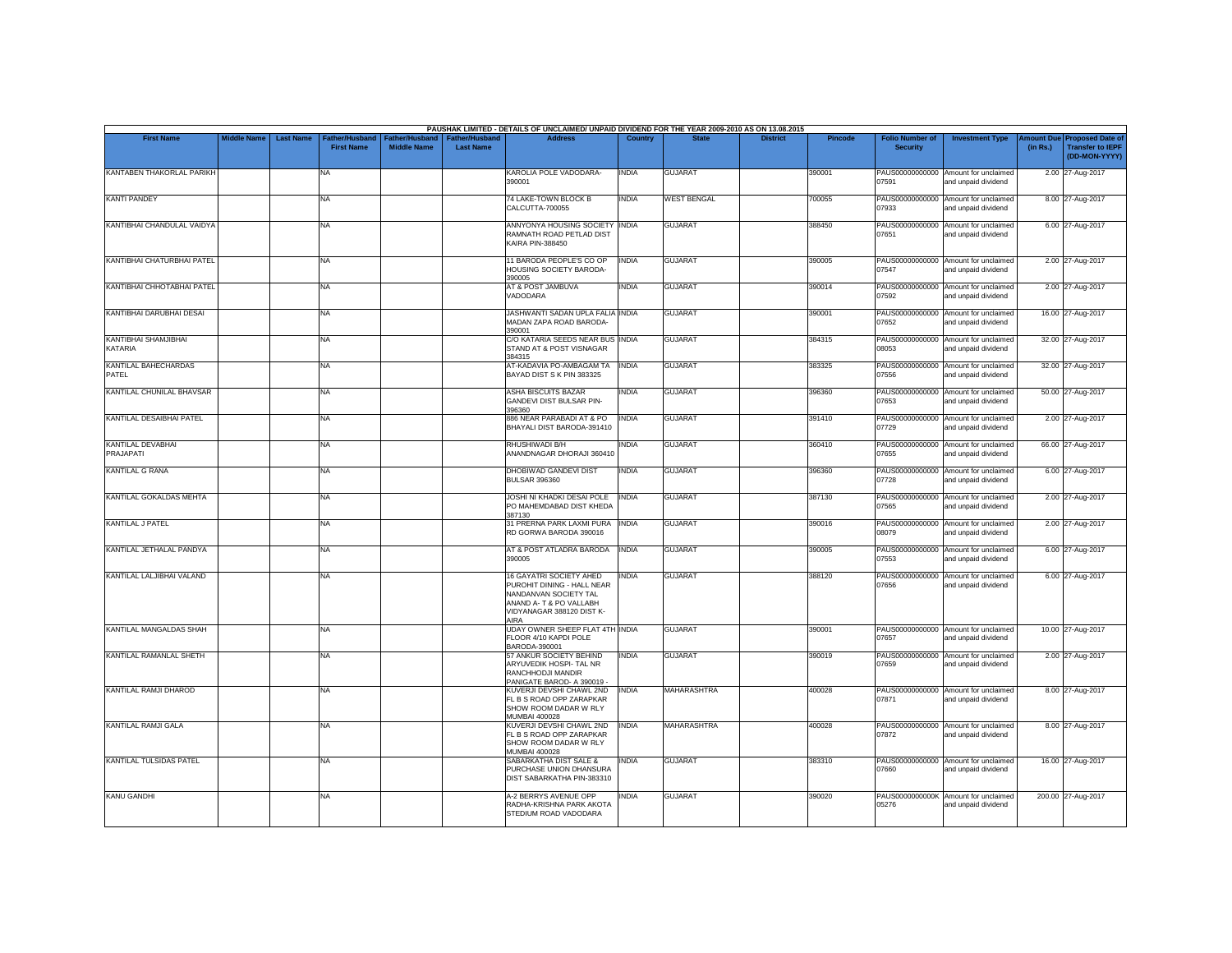|                                      |                    |                  |                                            |                                      |                                           | PAUSHAK LIMITED - DETAILS OF UNCLAIMED/ UNPAID DIVIDEND FOR THE YEAR 2009-2010 AS ON 13.08.2015                                                |              |                    |                 |                |                                           |                                                             |          |                                                                         |
|--------------------------------------|--------------------|------------------|--------------------------------------------|--------------------------------------|-------------------------------------------|------------------------------------------------------------------------------------------------------------------------------------------------|--------------|--------------------|-----------------|----------------|-------------------------------------------|-------------------------------------------------------------|----------|-------------------------------------------------------------------------|
| <b>First Name</b>                    | <b>Middle Name</b> | <b>Last Name</b> | <b>Father/Husband</b><br><b>First Name</b> | Father/Husband<br><b>Middle Name</b> | <b>Father/Husband</b><br><b>Last Name</b> | <b>Address</b>                                                                                                                                 | Country      | <b>State</b>       | <b>District</b> | <b>Pincode</b> | <b>Folio Number of</b><br><b>Security</b> | <b>Investment Type</b>                                      | (in Rs.) | Amount Due Proposed Date of<br><b>Transfer to IEPF</b><br>(DD-MON-YYYY) |
| KANTABEN THAKORLAL PARIKH            |                    |                  | <b>NA</b>                                  |                                      |                                           | KAROLIA POLE VADODARA-<br>390001                                                                                                               | <b>INDIA</b> | <b>GUJARAT</b>     |                 | 390001         | 07591                                     | PAUS00000000000 Amount for unclaimed<br>and unpaid dividend |          | 2.00 27-Aug-2017                                                        |
| <b>KANTI PANDEY</b>                  |                    |                  | <b>NA</b>                                  |                                      |                                           | 74 LAKE-TOWN BLOCK B<br>CALCUTTA-700055                                                                                                        | <b>INDIA</b> | <b>WEST BENGAL</b> |                 | 700055         | 07933                                     | PAUS00000000000 Amount for unclaimed<br>and unpaid dividend |          | 8.00 27-Aug-2017                                                        |
| KANTIBHAI CHANDULAL VAIDYA           |                    |                  | <b>NA</b>                                  |                                      |                                           | ANNYONYA HOUSING SOCIETY INDIA<br>RAMNATH ROAD PETLAD DIST<br>KAIRA PIN-388450                                                                 |              | <b>GUJARAT</b>     |                 | 388450         | 07651                                     | PAUS00000000000 Amount for unclaimed<br>and unpaid dividend |          | 6.00 27-Aug-2017                                                        |
| KANTIBHAI CHATURBHAI PATEL           |                    |                  | <b>NA</b>                                  |                                      |                                           | 11 BARODA PEOPLE'S CO OP<br>HOUSING SOCIETY BARODA-<br>390005                                                                                  | <b>INDIA</b> | <b>GUJARAT</b>     |                 | 390005         | 07547                                     | PAUS00000000000 Amount for unclaimed<br>and unpaid dividend |          | 2.00 27-Aug-2017                                                        |
| KANTIBHAI CHHOTABHAI PATEL           |                    |                  | <b>NA</b>                                  |                                      |                                           | AT & POST JAMBUVA<br>VADODARA                                                                                                                  | <b>INDIA</b> | <b>GUJARAT</b>     |                 | 390014         | 07592                                     | PAUS00000000000 Amount for unclaimed<br>and unpaid dividend |          | 2.00 27-Aug-2017                                                        |
| KANTIBHAI DARUBHAI DESAI             |                    |                  | <b>NA</b>                                  |                                      |                                           | JASHWANTI SADAN UPLA FALIA INDIA<br>MADAN ZAPA ROAD BARODA-<br>390001                                                                          |              | <b>GUJARAT</b>     |                 | 390001         | 07652                                     | PAUS00000000000 Amount for unclaimed<br>and unpaid dividend |          | 16.00 27-Aug-2017                                                       |
| KANTIBHAI SHAMJIBHAI<br>KATARIA      |                    |                  | <b>NA</b>                                  |                                      |                                           | C/O KATARIA SEEDS NEAR BUS INDIA<br>STAND AT & POST VISNAGAR<br>384315                                                                         |              | <b>GUJARAT</b>     |                 | 384315         | 08053                                     | PAUS00000000000 Amount for unclaimed<br>and unpaid dividend |          | 32.00 27-Aug-2017                                                       |
| <b>KANTILAL BAHECHARDAS</b><br>PATEL |                    |                  | <b>NA</b>                                  |                                      |                                           | AT-KADAVIA PO-AMBAGAM TA<br>BAYAD DIST S K PIN 383325                                                                                          | <b>INDIA</b> | <b>GUJARAT</b>     |                 | 383325         | 07556                                     | PAUS00000000000 Amount for unclaimed<br>and unpaid dividend |          | 32.00 27-Aug-2017                                                       |
| KANTILAL CHUNILAL BHAVSAR            |                    |                  | <b>NA</b>                                  |                                      |                                           | <b>ASHA BISCUITS BAZAR</b><br><b>GANDEVI DIST BULSAR PIN-</b><br>396360                                                                        | <b>INDIA</b> | <b>GUJARAT</b>     |                 | 396360         | 07653                                     | PAUS00000000000 Amount for unclaimed<br>and unpaid dividend |          | 50.00 27-Aug-2017                                                       |
| KANTILAL DESAIBHAI PATEL             |                    |                  | <b>NA</b>                                  |                                      |                                           | 886 NEAR PARABADI AT & PO<br>BHAYALI DIST BARODA-391410                                                                                        | <b>INDIA</b> | <b>GUJARAT</b>     |                 | 391410         | 07729                                     | PAUS00000000000 Amount for unclaimed<br>and unpaid dividend |          | 2.00 27-Aug-2017                                                        |
| KANTILAL DEVABHAI<br>PRAJAPATI       |                    |                  | <b>NA</b>                                  |                                      |                                           | RHUSHIWADI B/H<br>ANANDNAGAR DHORAJI 360410                                                                                                    | <b>INDIA</b> | <b>GUJARAT</b>     |                 | 360410         | 07655                                     | PAUS00000000000 Amount for unclaimed<br>and unpaid dividend |          | 66.00 27-Aug-2017                                                       |
| <b>KANTILAL G RANA</b>               |                    |                  | <b>NA</b>                                  |                                      |                                           | DHOBIWAD GANDEVI DIST<br><b>BULSAR 396360</b>                                                                                                  | <b>INDIA</b> | <b>GUJARAT</b>     |                 | 396360         | PAUS00000000000<br>07728                  | Amount for unclaimed<br>and unpaid dividend                 |          | 6.00 27-Aug-2017                                                        |
| KANTILAL GOKALDAS MEHTA              |                    |                  | <b>NA</b>                                  |                                      |                                           | <b>JOSHI NI KHADKI DESAI POLE</b><br>PO MAHEMDABAD DIST KHEDA<br>387130                                                                        | <b>INDIA</b> | <b>GUJARAT</b>     |                 | 387130         | 07565                                     | PAUS00000000000 Amount for unclaimed<br>and unpaid dividend |          | 2.00 27-Aug-2017                                                        |
| <b>KANTILAL J PATEL</b>              |                    |                  | <b>NA</b>                                  |                                      |                                           | 31 PRERNA PARK LAXMI PURA<br>RD GORWA BARODA 390016                                                                                            | <b>INDIA</b> | <b>GUJARAT</b>     |                 | 390016         | 08079                                     | PAUS00000000000 Amount for unclaimed<br>and unpaid dividend |          | 2.00 27-Aug-2017                                                        |
| KANTILAL JETHALAL PANDYA             |                    |                  | <b>NA</b>                                  |                                      |                                           | AT & POST ATLADRA BARODA<br>390005                                                                                                             | <b>INDIA</b> | <b>GUJARAT</b>     |                 | 390005         | 07553                                     | PAUS00000000000 Amount for unclaimed<br>and unpaid dividend |          | 6.00 27-Aug-2017                                                        |
| KANTILAL LALJIBHAI VALAND            |                    |                  | <b>NA</b>                                  |                                      |                                           | 16 GAYATRI SOCIETY AHED<br>PUROHIT DINING - HALL NEAR<br>NANDANVAN SOCIETY TAL<br>ANAND A- T & PO VALLABH<br>VIDYANAGAR 388120 DIST K-<br>AIRA | <b>INDIA</b> | <b>GUJARAT</b>     |                 | 388120         | 07656                                     | PAUS00000000000 Amount for unclaimed<br>and unpaid dividend |          | 6.00 27-Aug-2017                                                        |
| KANTILAL MANGALDAS SHAH              |                    |                  | <b>NA</b>                                  |                                      |                                           | UDAY OWNER SHEEP FLAT 4TH INDIA<br>FLOOR 4/10 KAPDI POLE<br>BARODA-390001                                                                      |              | <b>GUJARAT</b>     |                 | 390001         | 07657                                     | PAUS00000000000 Amount for unclaimed<br>and unpaid dividend |          | 10.00 27-Aug-2017                                                       |
| KANTILAL RAMANLAL SHETH              |                    |                  | <b>NA</b>                                  |                                      |                                           | 57 ANKUR SOCIETY BEHIND<br>ARYUVEDIK HOSPI- TAL NR<br>RANCHHODJI MANDIR<br>PANIGATE BAROD- A 390019 -                                          | <b>INDIA</b> | <b>GUJARAT</b>     |                 | 390019         | 07659                                     | PAUS00000000000 Amount for unclaimed<br>and unpaid dividend |          | 2.00 27-Aug-2017                                                        |
| KANTILAL RAMJI DHAROD                |                    |                  | <b>NA</b>                                  |                                      |                                           | KUVERJI DEVSHI CHAWL 2ND<br>FL B S ROAD OPP ZARAPKAR<br>SHOW ROOM DADAR W RLY<br><b>MUMBAI 400028</b>                                          | <b>INDIA</b> | MAHARASHTRA        |                 | 400028         | 07871                                     | PAUS00000000000 Amount for unclaimed<br>and unpaid dividend |          | 8.00 27-Aug-2017                                                        |
| KANTILAL RAMJI GALA                  |                    |                  | <b>NA</b>                                  |                                      |                                           | KUVERJI DEVSHI CHAWL 2ND<br>FL B S ROAD OPP ZARAPKAR<br>SHOW ROOM DADAR W RLY<br><b>MUMBAI 400028</b>                                          | <b>INDIA</b> | MAHARASHTRA        |                 | 400028         | 07872                                     | PAUS00000000000 Amount for unclaimed<br>and unpaid dividend |          | 8.00 27-Aug-2017                                                        |
| <b>KANTILAL TULSIDAS PATEL</b>       |                    |                  | <b>NA</b>                                  |                                      |                                           | SABARKATHA DIST SALE &<br>PURCHASE UNION DHANSURA<br>DIST SABARKATHA PIN-383310                                                                | <b>INDIA</b> | <b>GUJARAT</b>     |                 | 383310         | 07660                                     | PAUS00000000000 Amount for unclaimed<br>and unpaid dividend |          | 16.00 27-Aug-2017                                                       |
| <b>KANU GANDHI</b>                   |                    |                  | <b>NA</b>                                  |                                      |                                           | A-2 BERRYS AVENUE OPP<br>RADHA-KRISHNA PARK AKOTA<br>STEDIUM ROAD VADODARA                                                                     | <b>INDIA</b> | <b>GUJARAT</b>     |                 | 390020         | 05276                                     | PAUS0000000000K Amount for unclaimed<br>and unpaid dividend |          | 200.00 27-Aug-2017                                                      |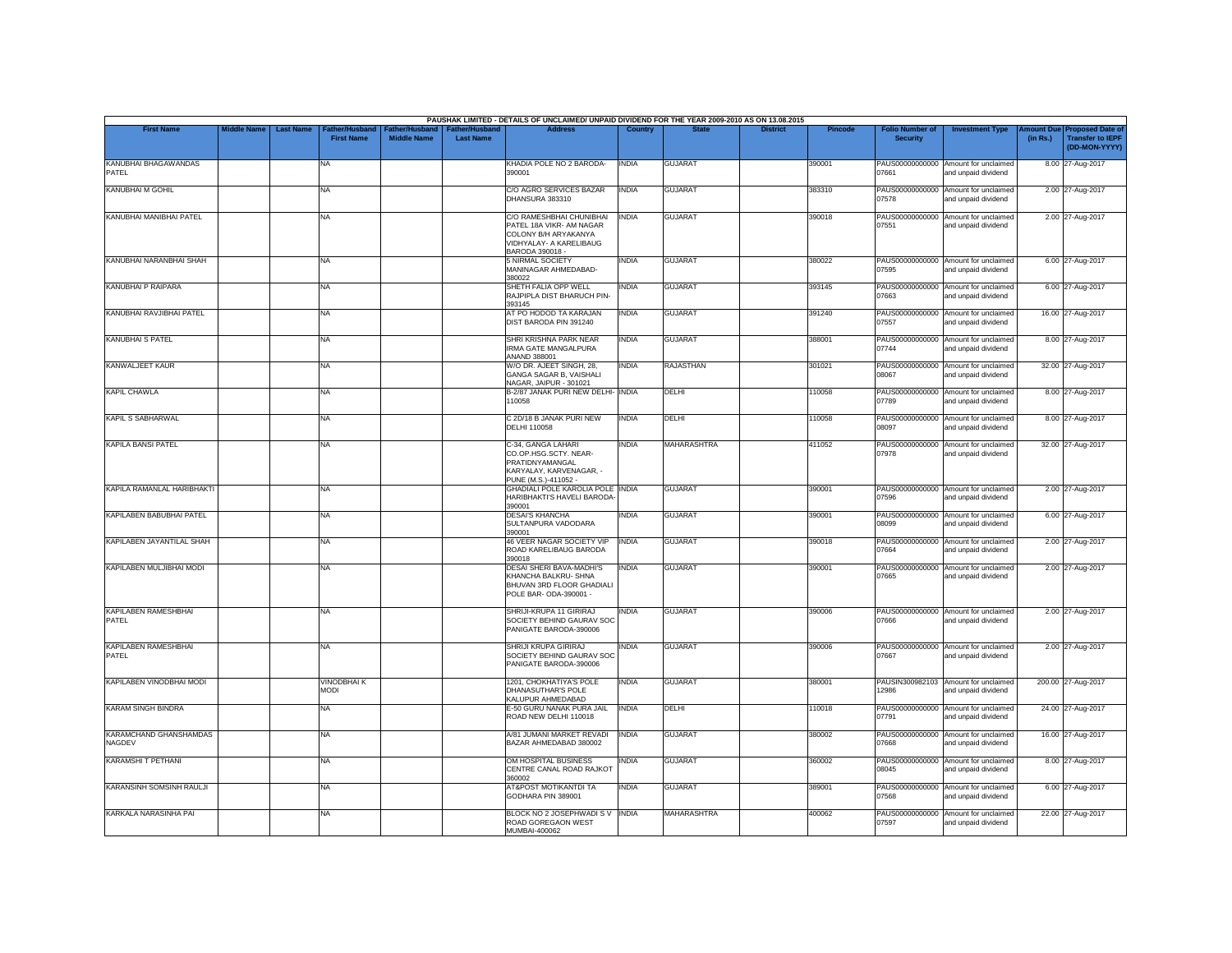|                                         |                    |                                                         |                                      |                                           | PAUSHAK LIMITED - DETAILS OF UNCLAIMED/ UNPAID DIVIDEND FOR THE YEAR 2009-2010 AS ON 13.08.2015                            |                |                    |                 |                |                                           |                                                             |          |                                                                        |
|-----------------------------------------|--------------------|---------------------------------------------------------|--------------------------------------|-------------------------------------------|----------------------------------------------------------------------------------------------------------------------------|----------------|--------------------|-----------------|----------------|-------------------------------------------|-------------------------------------------------------------|----------|------------------------------------------------------------------------|
| <b>First Name</b>                       | <b>Middle Name</b> | <b>Last Name</b><br>Father/Husband<br><b>First Name</b> | Father/Husband<br><b>Middle Name</b> | <b>Father/Husband</b><br><b>Last Name</b> | <b>Address</b>                                                                                                             | <b>Country</b> | <b>State</b>       | <b>District</b> | <b>Pincode</b> | <b>Folio Number of</b><br><b>Security</b> | <b>Investment Type</b>                                      | (in Rs.) | mount Due Proposed Date of<br><b>Transfer to IEPF</b><br>(DD-MON-YYYY) |
| KANUBHAI BHAGAWANDAS<br>PATEL           |                    | NA                                                      |                                      |                                           | KHADIA POLE NO 2 BARODA-<br>390001                                                                                         | <b>INDIA</b>   | <b>GUJARAT</b>     |                 | 390001         | PAUS00000000000<br>07661                  | Amount for unclaimed<br>and unpaid dividend                 |          | 8.00 27-Aug-2017                                                       |
| <b>KANUBHAI M GOHIL</b>                 |                    | <b>NA</b>                                               |                                      |                                           | C/O AGRO SERVICES BAZAR<br>DHANSURA 383310                                                                                 | <b>INDIA</b>   | <b>GUJARAT</b>     |                 | 383310         | 07578                                     | PAUS00000000000 Amount for unclaimed<br>and unpaid dividend |          | 2.00 27-Aug-2017                                                       |
| KANUBHAI MANIBHAI PATEL                 |                    | <b>NA</b>                                               |                                      |                                           | C/O RAMESHBHAI CHUNIBHAI<br>PATEL 18A VIKR- AM NAGAR<br>COLONY B/H ARYAKANYA<br>VIDHYALAY- A KARELIBAUG<br>BARODA 390018 - | <b>INDIA</b>   | <b>GUJARAT</b>     |                 | 390018         | PAUS00000000000<br>07551                  | Amount for unclaimed<br>and unpaid dividend                 |          | 2.00 27-Aug-2017                                                       |
| KANUBHAI NARANBHAI SHAH                 |                    | <b>NA</b>                                               |                                      |                                           | 5 NIRMAL SOCIETY<br>MANINAGAR AHMEDABAD-<br>380022                                                                         | <b>INDIA</b>   | <b>GUJARAT</b>     |                 | 380022         | 07595                                     | PAUS00000000000 Amount for unclaimed<br>and unpaid dividend |          | 6.00 27-Aug-2017                                                       |
| <b>KANUBHAI P RAIPARA</b>               |                    | <b>NA</b>                                               |                                      |                                           | SHETH FALIA OPP WELL<br>RAJPIPLA DIST BHARUCH PIN-<br>393145                                                               | <b>INDIA</b>   | <b>GUJARAT</b>     |                 | 393145         | 07663                                     | PAUS00000000000 Amount for unclaimed<br>and unpaid dividend |          | 6.00 27-Aug-2017                                                       |
| KANUBHAI RAVJIBHAI PATEL                |                    | <b>NA</b>                                               |                                      |                                           | AT PO HODOD TA KARAJAN<br>DIST BARODA PIN 391240                                                                           | <b>INDIA</b>   | <b>GUJARAT</b>     |                 | 391240         | PAUS00000000000<br>07557                  | Amount for unclaimed<br>and unpaid dividend                 |          | 16.00 27-Aug-2017                                                      |
| <b>KANUBHAI S PATEL</b>                 |                    | <b>NA</b>                                               |                                      |                                           | SHRI KRISHNA PARK NEAR<br><b>IRMA GATE MANGALPURA</b><br>ANAND 388001                                                      | <b>INDIA</b>   | <b>GUJARAT</b>     |                 | 388001         | 07744                                     | PAUS00000000000 Amount for unclaimed<br>and unpaid dividend |          | 8.00 27-Aug-2017                                                       |
| <b>KANWALJEET KAUR</b>                  |                    | <b>NA</b>                                               |                                      |                                           | W/O DR. AJEET SINGH, 28,<br>GANGA SAGAR B, VAISHALI<br>NAGAR, JAIPUR - 301021                                              | <b>INDIA</b>   | <b>RAJASTHAN</b>   |                 | 301021         | 08067                                     | PAUS00000000000 Amount for unclaimed<br>and unpaid dividend |          | 32.00 27-Aug-2017                                                      |
| <b>KAPIL CHAWLA</b>                     |                    | <b>NA</b>                                               |                                      |                                           | B-2/87 JANAK PURI NEW DELHI- INDIA<br>110058                                                                               |                | DELHI              |                 | 110058         | 07789                                     | PAUS00000000000 Amount for unclaimed<br>and unpaid dividend |          | 8.00 27-Aug-2017                                                       |
| KAPIL S SABHARWAL                       |                    | <b>NA</b>                                               |                                      |                                           | C 2D/18 B JANAK PURI NEW<br><b>DELHI 110058</b>                                                                            | <b>INDIA</b>   | DELHI              |                 | 110058         | PAUS00000000000<br>08097                  | Amount for unclaimed<br>and unpaid dividend                 |          | 8.00 27-Aug-2017                                                       |
| <b>KAPILA BANSI PATEL</b>               |                    | NA                                                      |                                      |                                           | C-34, GANGA LAHARI<br>CO.OP.HSG.SCTY. NEAR-<br>PRATIDNYAMANGAL<br>KARYALAY, KARVENAGAR, -<br>PUNE (M.S.)-411052 -          | INDIA          | <b>MAHARASHTRA</b> |                 | 411052         | PAUS00000000000<br>07978                  | Amount for unclaimed<br>and unpaid dividend                 |          | 32.00 27-Aug-2017                                                      |
| KAPILA RAMANLAL HARIBHAKTI              |                    | <b>NA</b>                                               |                                      |                                           | <b>GHADIALI POLE KAROLIA POLE INDIA</b><br>HARIBHAKTI'S HAVELI BARODA<br>390001                                            |                | <b>GUJARAT</b>     |                 | 390001         | 07596                                     | PAUS00000000000 Amount for unclaimed<br>and unpaid dividend |          | 2.00 27-Aug-2017                                                       |
| KAPILABEN BABUBHAI PATEL                |                    | <b>NA</b>                                               |                                      |                                           | <b>DESAI'S KHANCHA</b><br>SULTANPURA VADODARA<br>390001                                                                    | INDIA          | <b>GUJARAT</b>     |                 | 390001         | PAUS00000000000<br>08099                  | Amount for unclaimed<br>and unpaid dividend                 |          | 6.00 27-Aug-2017                                                       |
| KAPILABEN JAYANTILAL SHAH               |                    | <b>NA</b>                                               |                                      |                                           | 46 VEER NAGAR SOCIETY VIP<br>ROAD KARELIBAUG BARODA<br>390018                                                              | <b>INDIA</b>   | <b>GUJARAT</b>     |                 | 390018         | PAUS00000000000<br>07664                  | Amount for unclaimed<br>and unpaid dividend                 |          | 2.00 27-Aug-2017                                                       |
| KAPILABEN MULJIBHAI MODI                |                    | <b>NA</b>                                               |                                      |                                           | DESAI SHERI BAVA-MADHI'S<br>KHANCHA BALKRU- SHNA<br>BHUVAN 3RD FLOOR GHADIALI<br>POLE BAR- ODA-390001 -                    | <b>INDIA</b>   | <b>GUJARAT</b>     |                 | 390001         | 07665                                     | PAUS00000000000 Amount for unclaimed<br>and unpaid dividend |          | 2.00 27-Aug-2017                                                       |
| <b>KAPILABEN RAMESHBHAI</b><br>PATEL    |                    | <b>NA</b>                                               |                                      |                                           | SHRIJI-KRUPA 11 GIRIRAJ<br>SOCIETY BEHIND GAURAV SOC<br>PANIGATE BARODA-390006                                             | <b>INDIA</b>   | <b>GUJARAT</b>     |                 | 390006         | PAUS00000000000<br>07666                  | Amount for unclaimed<br>and unpaid dividend                 |          | 2.00 27-Aug-2017                                                       |
| KAPILABEN RAMESHBHAI<br>PATEL           |                    | <b>NA</b>                                               |                                      |                                           | SHRIJI KRUPA GIRIRAJ<br>SOCIETY BEHIND GAURAV SOC<br>PANIGATE BARODA-390006                                                | INDIA          | <b>GUJARAT</b>     |                 | 390006         | 07667                                     | PAUS00000000000 Amount for unclaimed<br>and unpaid dividend |          | 2.00 27-Aug-2017                                                       |
| KAPILABEN VINODBHAI MODI                |                    | <b>VINODBHAIK</b><br><b>MODI</b>                        |                                      |                                           | 1201, CHOKHATIYA'S POLE<br>DHANASUTHAR'S POLE<br>KALUPUR AHMEDABAD                                                         | <b>INDIA</b>   | <b>GUJARAT</b>     |                 | 380001         | 12986                                     | PAUSIN300982103 Amount for unclaimed<br>and unpaid dividend |          | 200.00 27-Aug-2017                                                     |
| <b>KARAM SINGH BINDRA</b>               |                    | NA                                                      |                                      |                                           | E-50 GURU NANAK PURA JAIL<br>ROAD NEW DELHI 110018                                                                         | <b>INDIA</b>   | DELHI              |                 | 110018         | PAUS00000000000<br>07791                  | Amount for unclaimed<br>and unpaid dividend                 |          | 24.00 27-Aug-2017                                                      |
| <b>KARAMCHAND GHANSHAMDAS</b><br>NAGDEV |                    | <b>NA</b>                                               |                                      |                                           | A/81 JUMANI MARKET REVADI<br>BAZAR AHMEDABAD 380002                                                                        | <b>INDIA</b>   | <b>GUJARAT</b>     |                 | 380002         | 07668                                     | PAUS00000000000 Amount for unclaimed<br>and unpaid dividend |          | 16.00 27-Aug-2017                                                      |
| <b>KARAMSHI T PETHANI</b>               |                    | <b>NA</b>                                               |                                      |                                           | OM HOSPITAL BUSINESS<br>CENTRE CANAL ROAD RAJKOT<br>360002                                                                 | <b>INDIA</b>   | <b>GUJARAT</b>     |                 | 360002         | 08045                                     | PAUS00000000000 Amount for unclaimed<br>and unpaid dividend |          | 8.00 27-Aug-2017                                                       |
| KARANSINH SOMSINH RAULJI                |                    | <b>NA</b>                                               |                                      |                                           | AT&POST MOTIKANTDI TA<br>GODHARA PIN 389001                                                                                | <b>INDIA</b>   | <b>GUJARAT</b>     |                 | 389001         | 07568                                     | PAUS00000000000 Amount for unclaimed<br>and unpaid dividend |          | 6.00 27-Aug-2017                                                       |
| KARKALA NARASINHA PAI                   |                    | <b>NA</b>                                               |                                      |                                           | BLOCK NO 2 JOSEPHWADI S V INDIA<br>ROAD GOREGAON WEST<br>MUMBAI-400062                                                     |                | <b>MAHARASHTRA</b> |                 | 400062         | PAUS00000000000<br>07597                  | Amount for unclaimed<br>and unpaid dividend                 |          | 22.00 27-Aug-2017                                                      |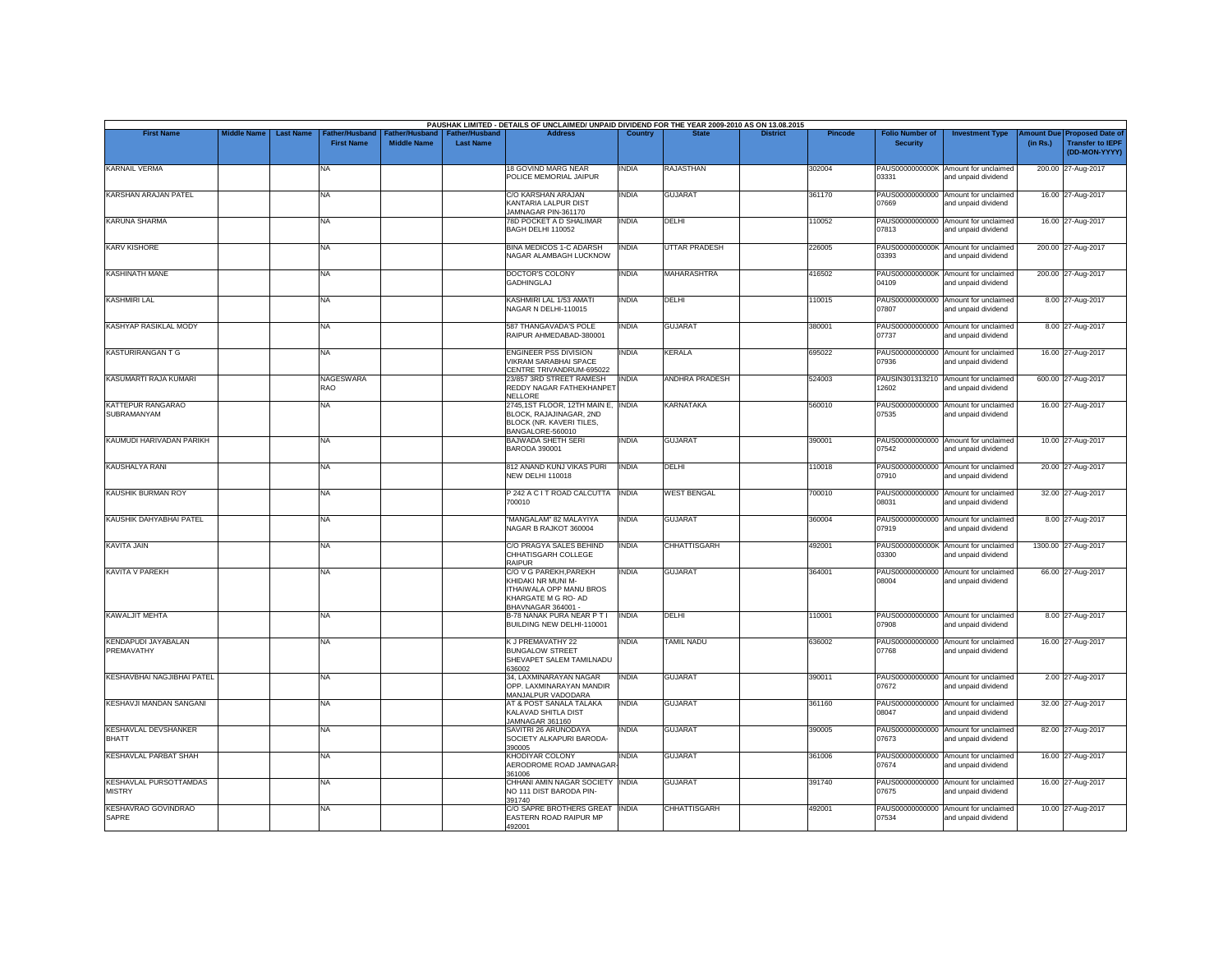| <b>First Name</b>                              | <b>Middle Name</b> | <b>Last Name</b> | <b>Father/Husband</b>   | Father/Husband     | <b>Father/Husband</b> | PAUSHAK LIMITED - DETAILS OF UNCLAIMED/ UNPAID DIVIDEND FOR THE YEAR 2009-2010 AS ON 13.08.2015<br><b>Address</b>   | Country      | <b>State</b>          | <b>District</b> | <b>Pincode</b> | <b>Folio Number of</b>   |                                                             | mount Due | <b>Proposed Date of</b>                  |
|------------------------------------------------|--------------------|------------------|-------------------------|--------------------|-----------------------|---------------------------------------------------------------------------------------------------------------------|--------------|-----------------------|-----------------|----------------|--------------------------|-------------------------------------------------------------|-----------|------------------------------------------|
|                                                |                    |                  | <b>First Name</b>       | <b>Middle Name</b> | <b>Last Name</b>      |                                                                                                                     |              |                       |                 |                | <b>Security</b>          | <b>Investment Type</b>                                      | (in Rs.)  | <b>Transfer to IEPF</b><br>(DD-MON-YYYY) |
| <b>KARNAIL VERMA</b>                           |                    |                  | NA                      |                    |                       | 18 GOVIND MARG NEAR<br>POLICE MEMORIAL JAIPUR                                                                       | <b>INDIA</b> | RAJASTHAN             |                 | 302004         | 03331                    | PAUS0000000000K Amount for unclaimed<br>and unpaid dividend |           | 200.00 27-Aug-2017                       |
| <b>KARSHAN ARAJAN PATEL</b>                    |                    |                  | <b>NA</b>               |                    |                       | C/O KARSHAN ARAJAN<br>KANTARIA LALPUR DIST<br>JAMNAGAR PIN-361170                                                   | <b>INDIA</b> | <b>GUJARAT</b>        |                 | 361170         | 07669                    | PAUS00000000000 Amount for unclaimed<br>and unpaid dividend |           | 16.00 27-Aug-2017                        |
| <b>KARUNA SHARMA</b>                           |                    |                  | <b>NA</b>               |                    |                       | 78D POCKET A D SHALIMAR<br>BAGH DELHI 110052                                                                        | <b>INDIA</b> | DELHI                 |                 | 110052         | 07813                    | PAUS00000000000 Amount for unclaimed<br>and unpaid dividend |           | 16.00 27-Aug-2017                        |
| <b>KARV KISHORE</b>                            |                    |                  | <b>NA</b>               |                    |                       | <b>BINA MEDICOS 1-C ADARSH</b><br>NAGAR ALAMBAGH LUCKNOW                                                            | <b>INDIA</b> | UTTAR PRADESH         |                 | 226005         | 03393                    | PAUS0000000000K Amount for unclaimed<br>and unpaid dividend |           | 200.00 27-Aug-2017                       |
| <b>KASHINATH MANE</b>                          |                    |                  | <b>NA</b>               |                    |                       | DOCTOR'S COLONY<br><b>GADHINGLAJ</b>                                                                                | <b>INDIA</b> | <b>MAHARASHTRA</b>    |                 | 416502         | 04109                    | PAUS0000000000K Amount for unclaimed<br>and unpaid dividend |           | 200.00 27-Aug-2017                       |
| <b>KASHMIRI LAL</b>                            |                    |                  | <b>NA</b>               |                    |                       | KASHMIRI LAL 1/53 AMATI<br>NAGAR N DELHI-110015                                                                     | <b>INDIA</b> | DELHI                 |                 | 110015         | 07807                    | PAUS00000000000 Amount for unclaimed<br>and unpaid dividend |           | 8.00 27-Aug-2017                         |
| <b>KASHYAP RASIKLAL MODY</b>                   |                    |                  | NA                      |                    |                       | 587 THANGAVADA'S POLE<br>RAIPUR AHMEDABAD-380001                                                                    | <b>INDIA</b> | <b>GUJARAT</b>        |                 | 380001         | 07737                    | PAUS00000000000 Amount for unclaimed<br>and unpaid dividend |           | 8.00 27-Aug-2017                         |
| <b>KASTURIRANGAN T G</b>                       |                    |                  | <b>NA</b>               |                    |                       | <b>ENGINEER PSS DIVISION</b><br>VIKRAM SARABHAI SPACE<br>CENTRE TRIVANDRUM-695022                                   | <b>INDIA</b> | KERALA                |                 | 695022         | 07936                    | PAUS00000000000 Amount for unclaimed<br>and unpaid dividend |           | 16.00 27-Aug-2017                        |
| KASUMARTI RAJA KUMARI                          |                    |                  | <b>NAGESWARA</b><br>RAO |                    |                       | 23/857 3RD STREET RAMESH<br>REDDY NAGAR FATHEKHANPE®<br>NELLORE                                                     | <b>INDIA</b> | <b>ANDHRA PRADESH</b> |                 | 524003         | 12602                    | PAUSIN301313210 Amount for unclaimed<br>and unpaid dividend |           | 600.00 27-Aug-2017                       |
| KATTEPUR RANGARAO<br>SUBRAMANYAM               |                    |                  | <b>NA</b>               |                    |                       | 2745,1ST FLOOR, 12TH MAIN E,<br>BLOCK, RAJAJINAGAR, 2ND<br>BLOCK (NR. KAVERI TILES.<br>BANGALORE-560010             | <b>INDIA</b> | KARNATAKA             |                 | 560010         | PAUS00000000000<br>07535 | Amount for unclaimed<br>and unpaid dividend                 |           | 16.00 27-Aug-2017                        |
| KAUMUDI HARIVADAN PARIKH                       |                    |                  | <b>NA</b>               |                    |                       | <b>BAJWADA SHETH SERI</b><br>BARODA 390001                                                                          | <b>INDIA</b> | <b>GUJARAT</b>        |                 | 390001         | 07542                    | PAUS00000000000 Amount for unclaimed<br>and unpaid dividend |           | 10.00 27-Aug-2017                        |
| KAUSHALYA RANI                                 |                    |                  | <b>NA</b>               |                    |                       | 812 ANAND KUNJ VIKAS PURI<br><b>NEW DELHI 110018</b>                                                                | <b>INDIA</b> | <b>DELHI</b>          |                 | 110018         | 07910                    | PAUS00000000000 Amount for unclaimed<br>and unpaid dividend |           | 20.00 27-Aug-2017                        |
| KAUSHIK BURMAN ROY                             |                    |                  | <b>NA</b>               |                    |                       | P 242 A C I T ROAD CALCUTTA<br>700010                                                                               | <b>INDIA</b> | <b>WEST BENGAL</b>    |                 | 700010         | 08031                    | PAUS00000000000 Amount for unclaimed<br>and unpaid dividend |           | 32.00 27-Aug-2017                        |
| KAUSHIK DAHYABHAI PATEL                        |                    |                  | <b>NA</b>               |                    |                       | "MANGALAM" 82 MALAYIYA<br>NAGAR B RAJKOT 360004                                                                     | <b>INDIA</b> | <b>GUJARAT</b>        |                 | 360004         | 07919                    | PAUS00000000000 Amount for unclaimed<br>and unpaid dividend |           | 8.00 27-Aug-2017                         |
| KAVITA JAIN                                    |                    |                  | <b>NA</b>               |                    |                       | C/O PRAGYA SALES BEHIND<br>CHHATISGARH COLLEGE<br><b>RAIPUR</b>                                                     | <b>INDIA</b> | <b>CHHATTISGARH</b>   |                 | 492001         | 03300                    | PAUS0000000000K Amount for unclaimed<br>and unpaid dividend |           | 1300.00 27-Aug-2017                      |
| <b>KAVITA V PAREKH</b>                         |                    |                  | <b>NA</b>               |                    |                       | C/O V G PAREKH.PAREKH<br>KHIDAKI NR MUNI M-<br>ITHAIWALA OPP MANU BROS<br>KHARGATE M G RO- AD<br>BHAVNAGAR 364001 - | <b>INDIA</b> | <b>GUJARAT</b>        |                 | 364001         | PAUS00000000000<br>08004 | Amount for unclaimed<br>and unpaid dividend                 |           | 66.00 27-Aug-2017                        |
| <b>KAWALJIT MEHTA</b>                          |                    |                  | <b>NA</b>               |                    |                       | B-78 NANAK PURA NEAR PT I<br>BUILDING NEW DELHI-110001                                                              | <b>INDIA</b> | DELHI                 |                 | 110001         | 07908                    | PAUS00000000000 Amount for unclaimed<br>and unpaid dividend |           | 8.00 27-Aug-2017                         |
| KENDAPUDI JAYABALAN<br>PREMAVATHY              |                    |                  | <b>NA</b>               |                    |                       | K J PREMAVATHY 22<br><b>BUNGALOW STREET</b><br>SHEVAPET SALEM TAMILNADU<br>636002                                   | <b>INDIA</b> | <b>TAMIL NADU</b>     |                 | 636002         | 07768                    | PAUS00000000000 Amount for unclaimed<br>and unpaid dividend |           | 16.00 27-Aug-2017                        |
| <b>KESHAVBHAI NAGJIBHAI PATEL</b>              |                    |                  | <b>NA</b>               |                    |                       | 34. LAXMINARAYAN NAGAR<br>OPP. LAXMINARAYAN MANDIR<br>MANJALPUR VADODARA                                            | <b>INDIA</b> | <b>GUJARAT</b>        |                 | 390011         | 07672                    | PAUS00000000000 Amount for unclaimed<br>and unpaid dividend |           | 2.00 27-Aug-2017                         |
| KESHAVJI MANDAN SANGANI                        |                    |                  | <b>NA</b>               |                    |                       | AT & POST SANALA TALAKA<br>KALAVAD SHITLA DIST<br>JAMNAGAR 361160                                                   | <b>INDIA</b> | <b>GUJARAT</b>        |                 | 361160         | 08047                    | PAUS00000000000 Amount for unclaimed<br>and unpaid dividend |           | 32.00 27-Aug-2017                        |
| <b>KESHAVLAL DEVSHANKER</b><br><b>BHATT</b>    |                    |                  | <b>NA</b>               |                    |                       | SAVITRI 26 ARUNODAYA<br>SOCIETY ALKAPURI BARODA-<br>390005                                                          | <b>INDIA</b> | GUJARAT               |                 | 390005         | PAUS00000000000<br>07673 | Amount for unclaimed<br>and unpaid dividend                 |           | 82.00 27-Aug-2017                        |
| <b>KESHAVLAL PARBAT SHAH</b>                   |                    |                  | NA                      |                    |                       | KHODIYAR COLONY<br>AERODROME ROAD JAMNAGAR<br>361006                                                                | <b>INDIA</b> | <b>GUJARAT</b>        |                 | 361006         | 07674                    | PAUS00000000000 Amount for unclaimed<br>and unpaid dividend |           | 16.00 27-Aug-2017                        |
| <b>KESHAVLAL PURSOTTAMDAS</b><br><b>MISTRY</b> |                    |                  | <b>NA</b>               |                    |                       | CHHANI AMIN NAGAR SOCIETY<br>NO 111 DIST BARODA PIN-<br>391740                                                      | <b>INDIA</b> | <b>GUJARAT</b>        |                 | 391740         | PAUS00000000000<br>07675 | Amount for unclaimed<br>and unpaid dividend                 |           | 16.00 27-Aug-2017                        |
| <b>KESHAVRAO GOVINDRAO</b><br>SAPRE            |                    |                  | <b>NA</b>               |                    |                       | C/O SAPRE BROTHERS GREAT<br>EASTERN ROAD RAIPUR MP<br>492001                                                        | <b>INDIA</b> | CHHATTISGARH          |                 | 492001         | 07534                    | PAUS00000000000 Amount for unclaimed<br>and unpaid dividend |           | 10.00 27-Aug-2017                        |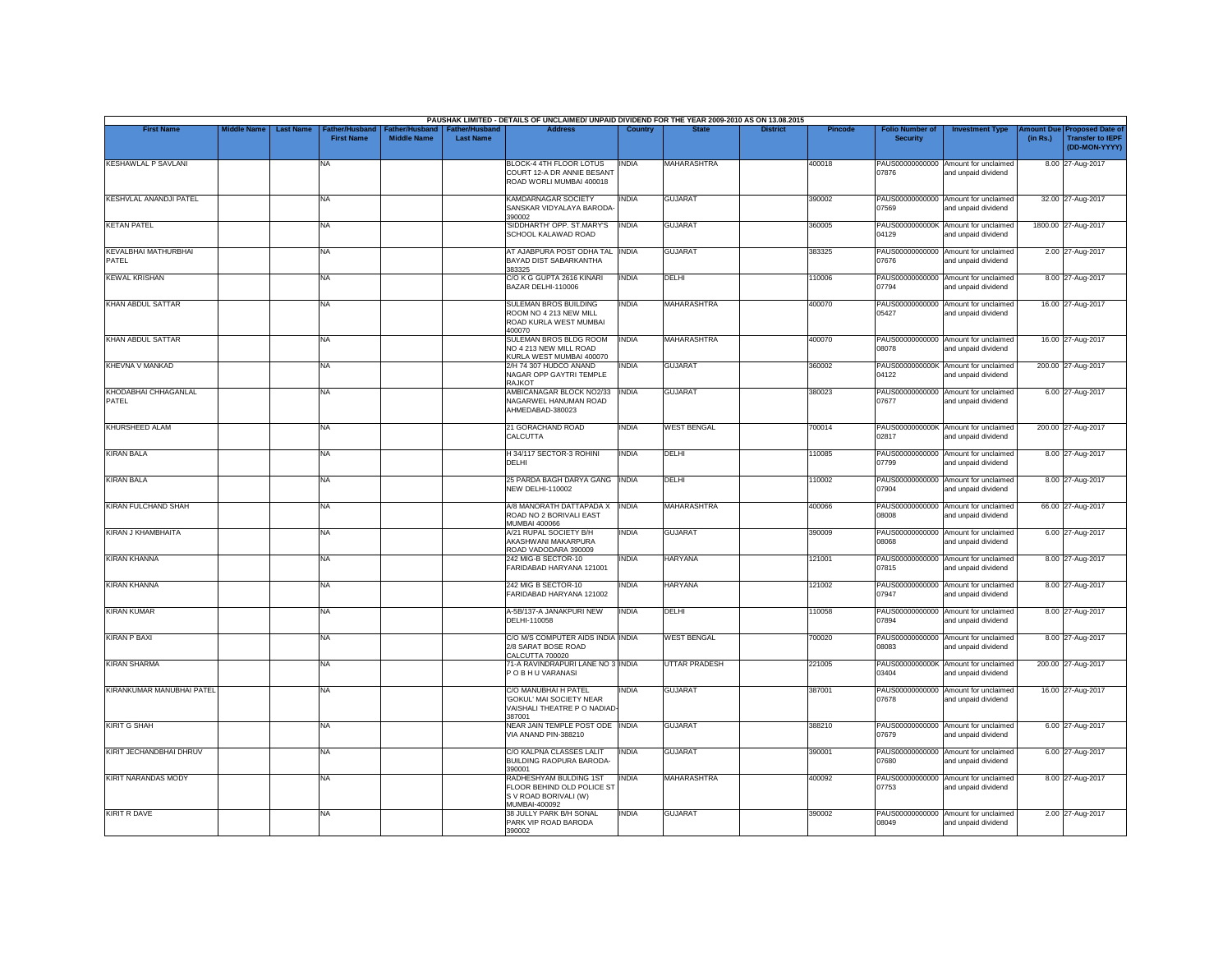|                                      |                    |                                                                |                                      |                                           | PAUSHAK LIMITED - DETAILS OF UNCLAIMED/ UNPAID DIVIDEND FOR THE YEAR 2009-2010 AS ON 13.08.2015 |              |                      |                 |                |                                           |                                                             |          |                                                                                |
|--------------------------------------|--------------------|----------------------------------------------------------------|--------------------------------------|-------------------------------------------|-------------------------------------------------------------------------------------------------|--------------|----------------------|-----------------|----------------|-------------------------------------------|-------------------------------------------------------------|----------|--------------------------------------------------------------------------------|
| <b>First Name</b>                    | <b>Middle Name</b> | <b>Last Name</b><br><b>Father/Husband</b><br><b>First Name</b> | Father/Husband<br><b>Middle Name</b> | <b>Father/Husband</b><br><b>Last Name</b> | <b>Address</b>                                                                                  | Country      | <b>State</b>         | <b>District</b> | <b>Pincode</b> | <b>Folio Number of</b><br><b>Security</b> | <b>Investment Type</b>                                      | (in Rs.) | <b>Amount Due Proposed Date of</b><br><b>Transfer to IEPF</b><br>(DD-MON-YYYY) |
| <b>KESHAWLAL P SAVLANI</b>           |                    | <b>NA</b>                                                      |                                      |                                           | BLOCK-4 4TH FLOOR LOTUS<br>COURT 12-A DR ANNIE BESANT<br>ROAD WORLI MUMBAI 400018               | <b>INDIA</b> | <b>MAHARASHTRA</b>   |                 | 400018         | PAUS00000000000<br>07876                  | Amount for unclaimed<br>and unpaid dividend                 |          | 8.00 27-Aug-2017                                                               |
| <b>KESHVLAL ANANDJI PATEL</b>        |                    | <b>NA</b>                                                      |                                      |                                           | KAMDARNAGAR SOCIETY<br>SANSKAR VIDYALAYA BARODA<br>390002                                       | INDIA        | <b>GUJARAT</b>       |                 | 390002         | PAUS00000000000<br>07569                  | Amount for unclaimed<br>and unpaid dividend                 |          | 32.00 27-Aug-2017                                                              |
| <b>KETAN PATEL</b>                   |                    | <b>NA</b>                                                      |                                      |                                           | 'SIDDHARTH' OPP. ST.MARY'S<br>SCHOOL KALAWAD ROAD                                               | <b>INDIA</b> | <b>GUJARAT</b>       |                 | 360005         | 04129                                     | PAUS0000000000K Amount for unclaimed<br>and unpaid dividend |          | 1800.00 27-Aug-2017                                                            |
| <b>KEVALBHAI MATHURBHAI</b><br>PATEL |                    | <b>NA</b>                                                      |                                      |                                           | AT AJABPURA POST ODHA TAL INDIA<br>BAYAD DIST SABARKANTHA<br>383325                             |              | <b>GUJARAT</b>       |                 | 383325         | 07676                                     | PAUS00000000000 Amount for unclaimed<br>and unpaid dividend |          | 2.00 27-Aug-2017                                                               |
| <b>KEWAL KRISHAN</b>                 |                    | <b>NA</b>                                                      |                                      |                                           | C/O K G GUPTA 2616 KINARI<br>BAZAR DELHI-110006                                                 | <b>INDIA</b> | DELHI                |                 | 110006         | 07794                                     | PAUS00000000000 Amount for unclaimed<br>and unpaid dividend |          | 8.00 27-Aug-2017                                                               |
| <b>KHAN ABDUL SATTAR</b>             |                    | <b>NA</b>                                                      |                                      |                                           | <b>SULEMAN BROS BUILDING</b><br>ROOM NO 4 213 NEW MILL<br>ROAD KURLA WEST MUMBAI<br>400070      | INDIA        | <b>MAHARASHTRA</b>   |                 | 400070         | PAUS00000000000<br>05427                  | Amount for unclaimed<br>and unpaid dividend                 |          | 16.00 27-Aug-2017                                                              |
| <b>KHAN ABDUL SATTAR</b>             |                    | <b>NA</b>                                                      |                                      |                                           | SULEMAN BROS BLDG ROOM<br>NO 4 213 NEW MILL ROAD<br>KURLA WEST MUMBAI 400070                    | <b>INDIA</b> | <b>MAHARASHTRA</b>   |                 | 400070         | 08078                                     | PAUS00000000000 Amount for unclaimed<br>and unpaid dividend |          | 16.00 27-Aug-2017                                                              |
| <b>KHEVNA V MANKAD</b>               |                    | <b>NA</b>                                                      |                                      |                                           | 2/H 74 307 HUDCO ANAND<br>NAGAR OPP GAYTRI TEMPLE<br>RAJKOT                                     | INDIA        | <b>GUJARAT</b>       |                 | 360002         | 04122                                     | PAUS0000000000K Amount for unclaimed<br>and unpaid dividend |          | 200.00 27-Aug-2017                                                             |
| <b>KHODABHAI CHHAGANLAL</b><br>PATEL |                    | <b>NA</b>                                                      |                                      |                                           | AMBICANAGAR BLOCK NO2/33<br>NAGARWEL HANUMAN ROAD<br>AHMEDABAD-380023                           | <b>INDIA</b> | <b>GUJARAT</b>       |                 | 380023         | 07677                                     | PAUS00000000000 Amount for unclaimed<br>and unpaid dividend |          | 6.00 27-Aug-2017                                                               |
| <b>KHURSHEED ALAM</b>                |                    | <b>NA</b>                                                      |                                      |                                           | 21 GORACHAND ROAD<br>CALCUTTA                                                                   | INDIA        | <b>WEST BENGAL</b>   |                 | 700014         | 02817                                     | PAUS0000000000K Amount for unclaimed<br>and unpaid dividend |          | 200.00 27-Aug-2017                                                             |
| <b>KIRAN BALA</b>                    |                    | <b>NA</b>                                                      |                                      |                                           | H 34/117 SECTOR-3 ROHINI<br>DELHI                                                               | <b>INDIA</b> | DELHI                |                 | 110085         | 07799                                     | PAUS00000000000 Amount for unclaimed<br>and unpaid dividend |          | 8.00 27-Aug-2017                                                               |
| <b>KIRAN BALA</b>                    |                    | <b>NA</b>                                                      |                                      |                                           | 25 PARDA BAGH DARYA GANG INDIA<br><b>NEW DELHI-110002</b>                                       |              | DELHI                |                 | 110002         | 07904                                     | PAUS00000000000 Amount for unclaimed<br>and unpaid dividend |          | 8.00 27-Aug-2017                                                               |
| <b>KIRAN FULCHAND SHAH</b>           |                    | <b>NA</b>                                                      |                                      |                                           | A/8 MANORATH DATTAPADA X<br>ROAD NO 2 BORIVALI EAST<br><b>MUMBAI 400066</b>                     | <b>INDIA</b> | <b>MAHARASHTRA</b>   |                 | 400066         | PAUS00000000000<br>30080                  | Amount for unclaimed<br>and unpaid dividend                 |          | 66.00 27-Aug-2017                                                              |
| <b>KIRAN J KHAMBHAITA</b>            |                    | <b>NA</b>                                                      |                                      |                                           | A/21 RUPAL SOCIETY B/H<br>AKASHWANI MAKARPURA<br>ROAD VADODARA 390009                           | <b>INDIA</b> | <b>GUJARAT</b>       |                 | 390009         | 08068                                     | PAUS00000000000 Amount for unclaimed<br>and unpaid dividend |          | 6.00 27-Aug-2017                                                               |
| <b>KIRAN KHANNA</b>                  |                    | <b>NA</b>                                                      |                                      |                                           | 242 MIG-B SECTOR-10<br>FARIDABAD HARYANA 121001                                                 | <b>INDIA</b> | <b>HARYANA</b>       |                 | 121001         | PAUS00000000000<br>07815                  | Amount for unclaimed<br>and unpaid dividend                 |          | 8.00 27-Aug-2017                                                               |
| <b>KIRAN KHANNA</b>                  |                    | <b>NA</b>                                                      |                                      |                                           | 242 MIG B SECTOR-10<br>FARIDABAD HARYANA 121002                                                 | INDIA        | <b>HARYANA</b>       |                 | 121002         | 07947                                     | PAUS00000000000 Amount for unclaimed<br>and unpaid dividend |          | 8.00 27-Aug-2017                                                               |
| <b>KIRAN KUMAR</b>                   |                    | <b>NA</b>                                                      |                                      |                                           | A-5B/137-A JANAKPURI NEW<br>DELHI-110058                                                        | <b>INDIA</b> | DELHI                |                 | 110058         | PAUS00000000000<br>07894                  | Amount for unclaimed<br>and unpaid dividend                 |          | 8.00 27-Aug-2017                                                               |
| <b>KIRAN P BAXI</b>                  |                    | <b>NA</b>                                                      |                                      |                                           | C/O M/S COMPUTER AIDS INDIA INDIA<br>2/8 SARAT BOSE ROAD<br>CALCUTTA 700020                     |              | <b>WEST BENGAL</b>   |                 | 700020         | 08083                                     | PAUS00000000000 Amount for unclaimed<br>and unpaid dividend |          | 8.00 27-Aug-2017                                                               |
| <b>KIRAN SHARMA</b>                  |                    | <b>NA</b>                                                      |                                      |                                           | 71-A RAVINDRAPURI LANE NO 3 INDIA<br>POBHUVARANASI                                              |              | <b>UTTAR PRADESH</b> |                 | 221005         | PAUS0000000000K<br>03404                  | Amount for unclaimed<br>and unpaid dividend                 |          | 200.00 27-Aug-2017                                                             |
| KIRANKUMAR MANUBHAI PATEL            |                    | <b>NA</b>                                                      |                                      |                                           | C/O MANUBHAI H PATEL<br>'GOKUL' MAI SOCIETY NEAR<br>VAISHALI THEATRE P O NADIAD<br>387001       | <b>INDIA</b> | <b>GUJARAT</b>       |                 | 387001         | 07678                                     | PAUS00000000000 Amount for unclaimed<br>and unpaid dividend |          | 16.00 27-Aug-2017                                                              |
| <b>KIRIT G SHAH</b>                  |                    | <b>NA</b>                                                      |                                      |                                           | NEAR JAIN TEMPLE POST ODE INDIA<br>VIA ANAND PIN-388210                                         |              | <b>GUJARAT</b>       |                 | 388210         | 07679                                     | PAUS00000000000 Amount for unclaimed<br>and unpaid dividend |          | 6.00 27-Aug-2017                                                               |
| KIRIT JECHANDBHAI DHRUV              |                    | <b>NA</b>                                                      |                                      |                                           | C/O KALPNA CLASSES LALIT<br><b>BUILDING RAOPURA BARODA-</b><br>390001                           | <b>INDIA</b> | <b>GUJARAT</b>       |                 | 390001         | PAUS00000000000<br>07680                  | Amount for unclaimed<br>and unpaid dividend                 |          | 6.00 27-Aug-2017                                                               |
| <b>KIRIT NARANDAS MODY</b>           |                    | <b>NA</b>                                                      |                                      |                                           | RADHESHYAM BULDING 1ST<br>FLOOR BEHIND OLD POLICE ST<br>S V ROAD BORIVALI (W)<br>MUMBAI-400092  | <b>INDIA</b> | MAHARASHTRA          |                 | 400092         | 07753                                     | PAUS00000000000 Amount for unclaimed<br>and unpaid dividend |          | 8.00 27-Aug-2017                                                               |
| <b>KIRIT R DAVE</b>                  |                    | <b>NA</b>                                                      |                                      |                                           | 38 JULLY PARK B/H SONAL<br>PARK VIP ROAD BARODA<br>390002                                       | <b>INDIA</b> | <b>GUJARAT</b>       |                 | 390002         | 08049                                     | PAUS00000000000 Amount for unclaimed<br>and unpaid dividend |          | 2.00 27-Aug-2017                                                               |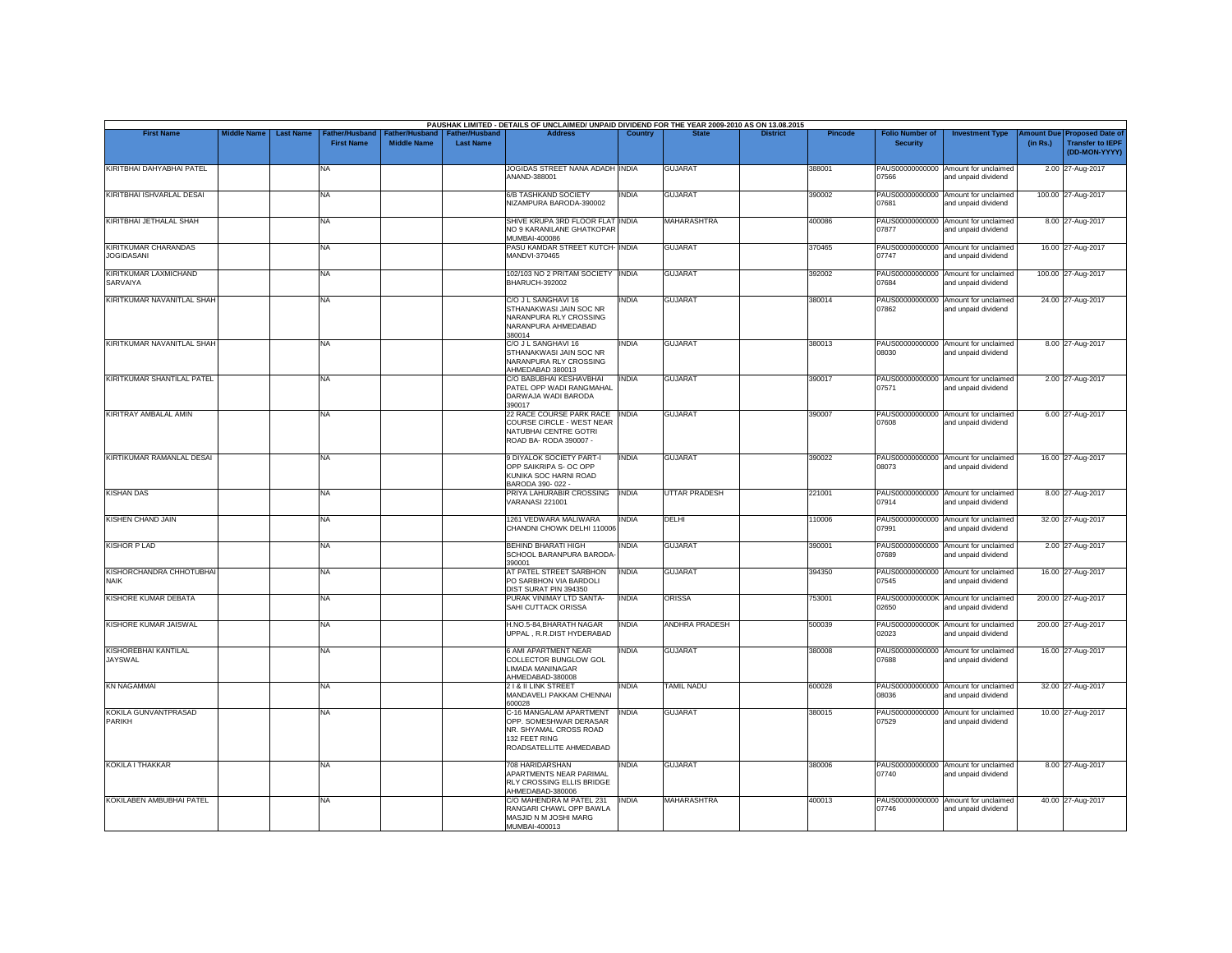|                                                  |                    |                  |                                    |                                             |                                           | PAUSHAK LIMITED - DETAILS OF UNCLAIMED/ UNPAID DIVIDEND FOR THE YEAR 2009-2010 AS ON 13.08.2015                         |              |                       |                 |                |                                           |                                                             |                       |                                                                     |
|--------------------------------------------------|--------------------|------------------|------------------------------------|---------------------------------------------|-------------------------------------------|-------------------------------------------------------------------------------------------------------------------------|--------------|-----------------------|-----------------|----------------|-------------------------------------------|-------------------------------------------------------------|-----------------------|---------------------------------------------------------------------|
| <b>First Name</b>                                | <b>Middle Name</b> | <b>Last Name</b> | ather/Husband<br><b>First Name</b> | <b>Father/Husband</b><br><b>Middle Name</b> | <b>Father/Husband</b><br><b>Last Name</b> | <b>Address</b>                                                                                                          | Country      | <b>State</b>          | <b>District</b> | <b>Pincode</b> | <b>Folio Number of</b><br><b>Security</b> | <b>Investment Type</b>                                      | mount Due<br>(in Rs.) | <b>Proposed Date of</b><br><b>Transfer to IEPF</b><br>(DD-MON-YYYY) |
| KIRITBHAI DAHYABHAI PATEL                        |                    |                  | NA                                 |                                             |                                           | JOGIDAS STREET NANA ADADH INDIA<br>ANAND-388001                                                                         |              | <b>GUJARAT</b>        |                 | 388001         | 07566                                     | PAUS00000000000 Amount for unclaimed<br>and unpaid dividend |                       | 2.00 27-Aug-2017                                                    |
| KIRITBHAI ISHVARLAL DESAI                        |                    |                  | <b>NA</b>                          |                                             |                                           | <b>6/B TASHKAND SOCIETY</b><br>NIZAMPURA BARODA-390002                                                                  | <b>INDIA</b> | <b>GUJARAT</b>        |                 | 390002         | 07681                                     | PAUS00000000000 Amount for unclaimed<br>and unpaid dividend |                       | 100.00 27-Aug-2017                                                  |
| KIRITBHAI JETHALAL SHAH                          |                    |                  | NA                                 |                                             |                                           | SHIVE KRUPA 3RD FLOOR FLAT INDIA<br>NO 9 KARANILANE GHATKOPAR<br>MUMBAI-400086                                          |              | <b>MAHARASHTRA</b>    |                 | 400086         | PAUS00000000000<br>07877                  | Amount for unclaimed<br>and unpaid dividend                 |                       | 8.00 27-Aug-2017                                                    |
| <b>KIRITKUMAR CHARANDAS</b><br><b>JOGIDASANI</b> |                    |                  | NA                                 |                                             |                                           | PASU KAMDAR STREET KUTCH- INDIA<br>MANDVI-370465                                                                        |              | <b>GUJARAT</b>        |                 | 370465         | 07747                                     | PAUS00000000000 Amount for unclaimed<br>and unpaid dividend |                       | 16.00 27-Aug-2017                                                   |
| KIRITKUMAR LAXMICHAND<br>SARVAIYA                |                    |                  | <b>NA</b>                          |                                             |                                           | 102/103 NO 2 PRITAM SOCIETY INDIA<br><b>BHARUCH-392002</b>                                                              |              | <b>GUJARAT</b>        |                 | 392002         | 07684                                     | PAUS00000000000 Amount for unclaimed<br>and unpaid dividend |                       | 100.00 27-Aug-2017                                                  |
| KIRITKUMAR NAVANITLAL SHAH                       |                    |                  | <b>NA</b>                          |                                             |                                           | C/O J L SANGHAVI 16<br>STHANAKWASI JAIN SOC NR<br>NARANPURA RLY CROSSING<br>NARANPURA AHMEDABAD<br>380014               | INDIA        | <b>GUJARAT</b>        |                 | 380014         | 07862                                     | PAUS00000000000 Amount for unclaimed<br>and unpaid dividend |                       | 24.00 27-Aug-2017                                                   |
| KIRITKUMAR NAVANITLAL SHAH                       |                    |                  | NA                                 |                                             |                                           | C/O J L SANGHAVI 16<br>STHANAKWASI JAIN SOC NR<br>NARANPURA RLY CROSSING<br>AHMEDABAD 380013                            | INDIA        | <b>GUJARAT</b>        |                 | 380013         | 08030                                     | PAUS00000000000 Amount for unclaimed<br>and unpaid dividend |                       | 8.00 27-Aug-2017                                                    |
| KIRITKUMAR SHANTILAL PATEL                       |                    |                  | <b>NA</b>                          |                                             |                                           | C/O BABUBHAI KESHAVBHAI<br>PATEL OPP WADI RANGMAHAL<br>DARWAJA WADI BARODA<br>390017                                    | <b>INDIA</b> | <b>GUJARAT</b>        |                 | 390017         | 07571                                     | PAUS00000000000 Amount for unclaimed<br>and unpaid dividend |                       | 2.00 27-Aug-2017                                                    |
| KIRITRAY AMBALAL AMIN                            |                    |                  | NA                                 |                                             |                                           | 22 RACE COURSE PARK RACE INDIA<br>COURSE CIRCLE - WEST NEAR<br>NATUBHAI CENTRE GOTRI<br>ROAD BA- RODA 390007 -          |              | <b>GUJARAT</b>        |                 | 390007         | 07608                                     | PAUS00000000000 Amount for unclaimed<br>and unpaid dividend |                       | 6.00 27-Aug-2017                                                    |
| KIRTIKUMAR RAMANLAL DESAI                        |                    |                  | <b>NA</b>                          |                                             |                                           | 9 DIYALOK SOCIETY PART-I<br>OPP SAIKRIPA S- OC OPP<br>KUNIKA SOC HARNI ROAD<br>BARODA 390-022 -                         | <b>INDIA</b> | <b>GUJARAT</b>        |                 | 390022         | 08073                                     | PAUS00000000000 Amount for unclaimed<br>and unpaid dividend |                       | 16.00 27-Aug-2017                                                   |
| <b>KISHAN DAS</b>                                |                    |                  | <b>NA</b>                          |                                             |                                           | PRIYA LAHURABIR CROSSING<br><b>VARANASI 221001</b>                                                                      | <b>INDIA</b> | <b>UTTAR PRADESH</b>  |                 | 221001         | 07914                                     | PAUS00000000000 Amount for unclaimed<br>and unpaid dividend |                       | 8.00 27-Aug-2017                                                    |
| KISHEN CHAND JAIN                                |                    |                  | <b>NA</b>                          |                                             |                                           | 1261 VEDWARA MALIWARA<br>CHANDNI CHOWK DELHI 110006                                                                     | <b>INDIA</b> | DELHI                 |                 | 110006         | 07991                                     | PAUS00000000000 Amount for unclaimed<br>and unpaid dividend |                       | 32.00 27-Aug-2017                                                   |
| <b>KISHOR P LAD</b>                              |                    |                  | <b>NA</b>                          |                                             |                                           | <b>BEHIND BHARATI HIGH</b><br>SCHOOL BARANPURA BARODA<br>390001                                                         | <b>INDIA</b> | <b>GUJARAT</b>        |                 | 390001         | 07689                                     | PAUS00000000000 Amount for unclaimed<br>and unpaid dividend |                       | 2.00 27-Aug-2017                                                    |
| KISHORCHANDRA CHHOTUBHAI<br><b>NAIK</b>          |                    |                  | <b>NA</b>                          |                                             |                                           | AT PATEL STREET SARBHON<br>PO SARBHON VIA BARDOLI<br>DIST SURAT PIN 394350                                              | <b>INDIA</b> | <b>GUJARAT</b>        |                 | 394350         | 07545                                     | PAUS00000000000 Amount for unclaimed<br>and unpaid dividend |                       | 16.00 27-Aug-2017                                                   |
| KISHORE KUMAR DEBATA                             |                    |                  | NA                                 |                                             |                                           | PURAK VINIMAY LTD SANTA-<br>SAHI CUTTACK ORISSA                                                                         | <b>INDIA</b> | <b>ORISSA</b>         |                 | 753001         | 02650                                     | PAUS0000000000K Amount for unclaimed<br>and unpaid dividend |                       | 200.00 27-Aug-2017                                                  |
| KISHORE KUMAR JAISWAL                            |                    |                  | <b>NA</b>                          |                                             |                                           | H.NO.5-84, BHARATH NAGAR<br>UPPAL, R.R.DIST HYDERABAD                                                                   | <b>INDIA</b> | <b>ANDHRA PRADESH</b> |                 | 500039         | 02023                                     | PAUS0000000000K Amount for unclaimed<br>and unpaid dividend |                       | 200.00 27-Aug-2017                                                  |
| <b>KISHOREBHAI KANTILAL</b><br><b>JAYSWAL</b>    |                    |                  | <b>NA</b>                          |                                             |                                           | <b>6 AMI APARTMENT NEAR</b><br>COLLECTOR BUNGLOW GOL<br>LIMADA MANINAGAR<br>AHMEDABAD-380008                            | INDIA        | <b>GUJARAT</b>        |                 | 380008         | PAUS00000000000<br>07688                  | Amount for unclaimed<br>and unpaid dividend                 |                       | 16.00 27-Aug-2017                                                   |
| <b>KN NAGAMMAI</b>                               |                    |                  | <b>NA</b>                          |                                             |                                           | 21& II LINK STREET<br>MANDAVELI PAKKAM CHENNAI<br>600028                                                                | INDIA        | <b>TAMIL NADU</b>     |                 | 600028         | 08036                                     | PAUS00000000000 Amount for unclaimed<br>and unpaid dividend |                       | 32.00 27-Aug-2017                                                   |
| KOKILA GUNVANTPRASAD<br>PARIKH                   |                    |                  | <b>NA</b>                          |                                             |                                           | C-16 MANGALAM APARTMENT<br>OPP. SOMESHWAR DERASAR<br>NR. SHYAMAL CROSS ROAD<br>132 FEET RING<br>ROADSATELLITE AHMEDABAD | <b>INDIA</b> | <b>GUJARAT</b>        |                 | 380015         | PAUS00000000000<br>07529                  | Amount for unclaimed<br>and unpaid dividend                 |                       | 10.00 27-Aug-2017                                                   |
| <b>KOKILA I THAKKAR</b>                          |                    |                  | <b>NA</b>                          |                                             |                                           | 708 HARIDARSHAN<br>APARTMENTS NEAR PARIMAL<br>RLY CROSSING ELLIS BRIDGE<br>AHMEDABAD-380006                             | <b>INDIA</b> | <b>GUJARAT</b>        |                 | 380006         | 07740                                     | PAUS00000000000 Amount for unclaimed<br>and unpaid dividend |                       | 8.00 27-Aug-2017                                                    |
| KOKILABEN AMBUBHAI PATEL                         |                    |                  | <b>NA</b>                          |                                             |                                           | C/O MAHENDRA M PATEL 231<br>RANGARI CHAWL OPP BAWLA<br>MASJID N M JOSHI MARG<br>MUMBAI-400013                           | <b>INDIA</b> | <b>MAHARASHTRA</b>    |                 | 400013         | 07746                                     | PAUS00000000000 Amount for unclaimed<br>and unpaid dividend |                       | 40.00 27-Aug-2017                                                   |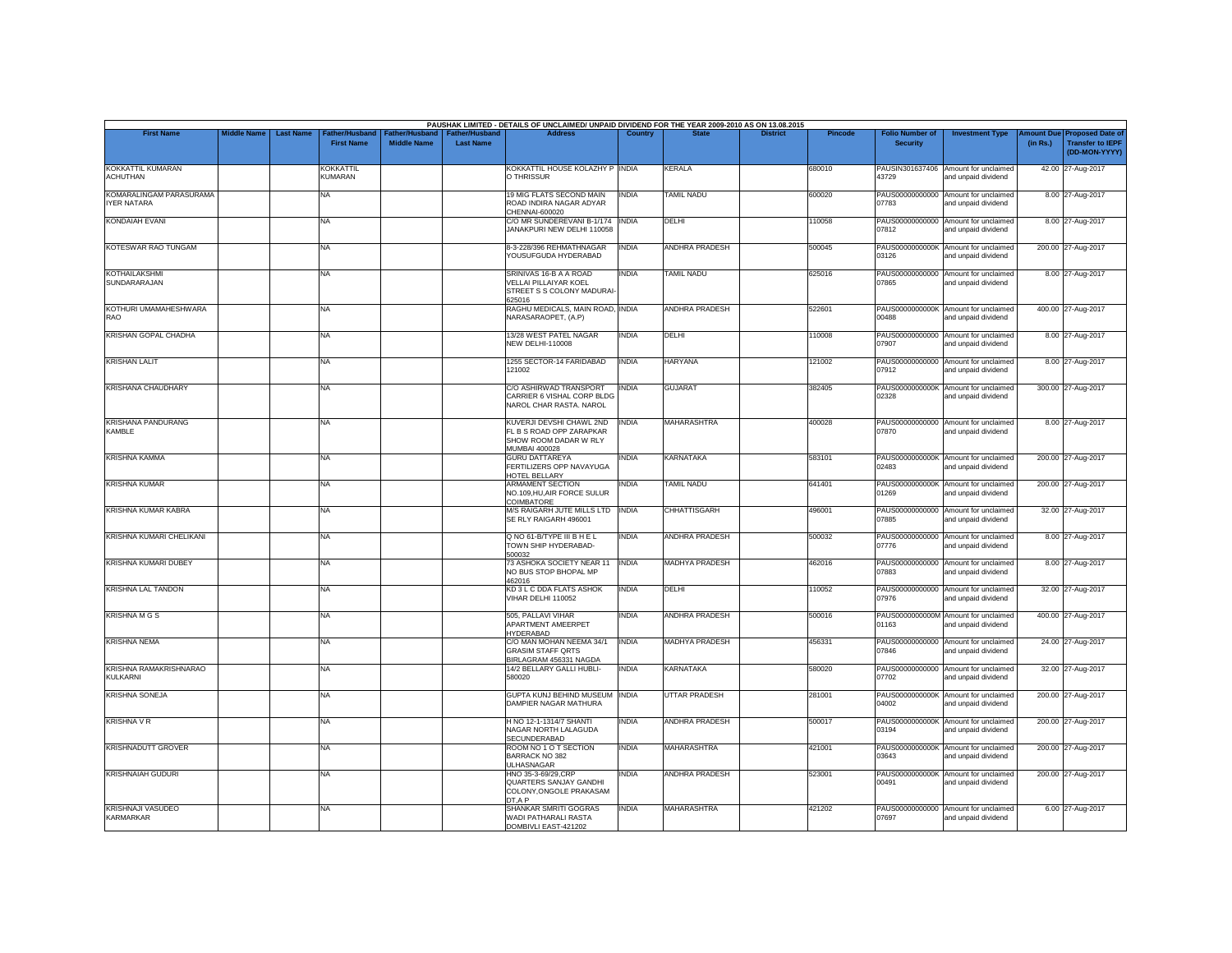| <b>First Name</b>                         | <b>Middle Name</b> | <b>Last Name</b> | Father/Husband              | Father/Husband     | <b>Father/Husband</b> | PAUSHAK LIMITED - DETAILS OF UNCLAIMED/ UNPAID DIVIDEND FOR THE YEAR 2009-2010 AS ON 13.08.2015<br><b>Address</b> | Country      |                       | <b>District</b> | <b>Pincode</b> | <b>Folio Number of</b>   | <b>Investment Type</b>                                      | mount Due | <b>Proposed Date of</b>                  |
|-------------------------------------------|--------------------|------------------|-----------------------------|--------------------|-----------------------|-------------------------------------------------------------------------------------------------------------------|--------------|-----------------------|-----------------|----------------|--------------------------|-------------------------------------------------------------|-----------|------------------------------------------|
|                                           |                    |                  | <b>First Name</b>           | <b>Middle Name</b> | <b>Last Name</b>      |                                                                                                                   |              |                       |                 |                | <b>Security</b>          |                                                             | (in Rs.)  | <b>Transfer to IEPF</b><br>(DD-MON-YYYY) |
| KOKKATTIL KUMARAN<br><b>ACHUTHAN</b>      |                    |                  | <b>KOKKATTIL</b><br>KUMARAN |                    |                       | KOKKATTIL HOUSE KOLAZHY P INDIA<br>O THRISSUR                                                                     |              | <b>KERALA</b>         |                 | 680010         | 43729                    | PAUSIN301637406 Amount for unclaimed<br>and unpaid dividend |           | 42.00 27-Aug-2017                        |
| KOMARALINGAM PARASURAMA<br>IYER NATARA    |                    |                  | NA.                         |                    |                       | 19 MIG FLATS SECOND MAIN<br>ROAD INDIRA NAGAR ADYAR<br>CHENNAI-600020                                             | <b>INDIA</b> | <b>TAMIL NADU</b>     |                 | 600020         | PAUS00000000000<br>07783 | Amount for unclaimed<br>and unpaid dividend                 |           | 8.00 27-Aug-2017                         |
| KONDAIAH EVANI                            |                    |                  | NA                          |                    |                       | C/O MR SUNDEREVANI B-1/174   INDIA<br>JANAKPURI NEW DELHI 110058                                                  |              | DELHI                 |                 | 110058         | 07812                    | PAUS00000000000 Amount for unclaimed<br>and unpaid dividend |           | 8.00 27-Aug-2017                         |
| KOTESWAR RAO TUNGAM                       |                    |                  | NA                          |                    |                       | 8-3-228/396 REHMATHNAGAR<br>YOUSUFGUDA HYDERABAD                                                                  | <b>INDIA</b> | ANDHRA PRADESH        |                 | 500045         | 03126                    | PAUS0000000000K Amount for unclaimed<br>and unpaid dividend |           | 200.00 27-Aug-2017                       |
| KOTHAILAKSHMI<br>SUNDARARAJAN             |                    |                  | <b>NA</b>                   |                    |                       | SRINIVAS 16-B A A ROAD<br>VELLAI PILLAIYAR KOEL<br>STREET S S COLONY MADURAL<br>625016                            | <b>INDIA</b> | TAMIL NADU            |                 | 625016         | 07865                    | PAUS00000000000 Amount for unclaimed<br>and unpaid dividend |           | 8.00 27-Aug-2017                         |
| KOTHURI UMAMAHESHWARA<br><b>RAO</b>       |                    |                  | NA                          |                    |                       | RAGHU MEDICALS, MAIN ROAD, INDIA<br>NARASARAOPET, (A.P)                                                           |              | <b>ANDHRA PRADESH</b> |                 | 522601         | 00488                    | PAUS0000000000K Amount for unclaimed<br>and unpaid dividend |           | 400.00 27-Aug-2017                       |
| <b>KRISHAN GOPAL CHADHA</b>               |                    |                  | NA.                         |                    |                       | 13/28 WEST PATEL NAGAR<br><b>NEW DELHI-110008</b>                                                                 | <b>INDIA</b> | DELHI                 |                 | 10008          | 07907                    | PAUS00000000000 Amount for unclaimed<br>and unpaid dividend |           | 8.00 27-Aug-2017                         |
| <b>KRISHAN LALIT</b>                      |                    |                  | NA                          |                    |                       | 1255 SECTOR-14 FARIDABAD<br>121002                                                                                | <b>INDIA</b> | <b>HARYANA</b>        |                 | 121002         | 07912                    | PAUS00000000000 Amount for unclaimed<br>and unpaid dividend |           | 8.00 27-Aug-2017                         |
| <b>KRISHANA CHAUDHARY</b>                 |                    |                  | NA                          |                    |                       | C/O ASHIRWAD TRANSPORT<br>CARRIER 6 VISHAL CORP BLDG<br>NAROL CHAR RASTA, NAROL                                   | <b>INDIA</b> | <b>GUJARAT</b>        |                 | 382405         | 02328                    | PAUS0000000000K Amount for unclaimed<br>and unpaid dividend |           | 300.00 27-Aug-2017                       |
| KRISHANA PANDURANG<br>KAMBLE              |                    |                  | NA                          |                    |                       | KUVERJI DEVSHI CHAWL 2ND<br>FL B S ROAD OPP ZARAPKAR<br>SHOW ROOM DADAR W RLY<br><b>MUMBAI 400028</b>             | <b>INDIA</b> | <b>MAHARASHTRA</b>    |                 | 400028         | 07870                    | PAUS00000000000 Amount for unclaimed<br>and unpaid dividend |           | 8.00 27-Aug-2017                         |
| KRISHNA KAMMA                             |                    |                  | NA                          |                    |                       | <b>GURU DATTAREYA</b><br>FERTILIZERS OPP NAVAYUGA<br>HOTEL BELLARY                                                | <b>INDIA</b> | <b>KARNATAKA</b>      |                 | 583101         | 02483                    | PAUS0000000000K Amount for unclaimed<br>and unpaid dividend |           | 200.00 27-Aug-2017                       |
| <b>KRISHNA KUMAR</b>                      |                    |                  | NA                          |                    |                       | <b>ARMAMENT SECTION</b><br>NO.109,HU,AIR FORCE SULUR<br><b>COIMBATORE</b>                                         | <b>INDIA</b> | <b>TAMIL NADU</b>     |                 | 641401         | 01269                    | PAUS0000000000K Amount for unclaimed<br>and unpaid dividend |           | 200.00 27-Aug-2017                       |
| KRISHNA KUMAR KABRA                       |                    |                  | NA                          |                    |                       | M/S RAIGARH JUTE MILLS LTD   INDIA<br>SE RLY RAIGARH 496001                                                       |              | <b>CHHATTISGARH</b>   |                 | 496001         | 07885                    | PAUS00000000000 Amount for unclaimed<br>and unpaid dividend |           | 32.00 27-Aug-2017                        |
| KRISHNA KUMARI CHELIKANI                  |                    |                  | NA                          |                    |                       | Q NO 61-B/TYPE III B H E L<br>TOWN SHIP HYDERABAD-<br>500032                                                      | <b>INDIA</b> | ANDHRA PRADESH        |                 | 500032         | 07776                    | PAUS00000000000 Amount for unclaimed<br>and unpaid dividend |           | 8.00 27-Aug-2017                         |
| KRISHNA KUMARI DUBEY                      |                    |                  | NA                          |                    |                       | 73 ASHOKA SOCIETY NEAR 11<br>NO BUS STOP BHOPAL MP<br>462016                                                      | <b>INDIA</b> | MADHYA PRADESH        |                 | 462016         | 07883                    | PAUS00000000000 Amount for unclaimed<br>and unpaid dividend |           | 8.00 27-Aug-2017                         |
| <b>KRISHNA LAL TANDON</b>                 |                    |                  | <b>NA</b>                   |                    |                       | KD 3 L C DDA FLATS ASHOK<br>VIHAR DELHI 110052                                                                    | <b>INDIA</b> | DELHI                 |                 | 110052         | 07976                    | PAUS00000000000 Amount for unclaimed<br>and unpaid dividend |           | 32.00 27-Aug-2017                        |
| <b>KRISHNA M G S</b>                      |                    |                  | NA                          |                    |                       | 505, PALLAVI VIHAR<br>APARTMENT AMEERPET<br><b>HYDERABAD</b>                                                      | <b>INDIA</b> | <b>ANDHRA PRADESH</b> |                 | 500016         | 01163                    | PAUS0000000000M Amount for unclaimed<br>and unpaid dividend |           | 400.00 27-Aug-2017                       |
| <b>KRISHNA NEMA</b>                       |                    |                  | NA                          |                    |                       | C/O MAN MOHAN NEEMA 34/1<br><b>GRASIM STAFF QRTS</b><br>BIRLAGRAM 456331 NAGDA                                    | <b>INDIA</b> | <b>MADHYA PRADESH</b> |                 | 456331         | 07846                    | PAUS00000000000 Amount for unclaimed<br>and unpaid dividend |           | 24.00 27-Aug-2017                        |
| <b>KRISHNA RAMAKRISHNARAO</b><br>KULKARNI |                    |                  | NA                          |                    |                       | 14/2 BELLARY GALLI HUBLI-<br>580020                                                                               | <b>INDIA</b> | KARNATAKA             |                 | 580020         | PAUS00000000000<br>07702 | Amount for unclaimed<br>and unpaid dividend                 |           | 32.00 27-Aug-2017                        |
| <b>KRISHNA SONEJA</b>                     |                    |                  | <b>NA</b>                   |                    |                       | GUPTA KUNJ BEHIND MUSEUM INDIA<br>DAMPIER NAGAR MATHURA                                                           |              | <b>UTTAR PRADESH</b>  |                 | 281001         | 04002                    | PAUS0000000000K Amount for unclaimed<br>and unpaid dividend |           | 200.00 27-Aug-2017                       |
| <b>KRISHNA V R</b>                        |                    |                  | <b>NA</b>                   |                    |                       | H NO 12-1-1314/7 SHANTI<br>NAGAR NORTH LALAGUDA<br><b>SECUNDERABAD</b>                                            | <b>INDIA</b> | <b>ANDHRA PRADESH</b> |                 | 500017         | 03194                    | PAUS0000000000K Amount for unclaimed<br>and unpaid dividend |           | 200.00 27-Aug-2017                       |
| <b>KRISHNADUTT GROVER</b>                 |                    |                  | NA                          |                    |                       | ROOM NO 1 O T SECTION<br>BARRACK NO 382<br><b>ULHASNAGAR</b>                                                      | <b>INDIA</b> | MAHARASHTRA           |                 | 421001         | 03643                    | PAUS0000000000K Amount for unclaimed<br>and unpaid dividend |           | 200.00 27-Aug-2017                       |
| <b>KRISHNAIAH GUDURI</b>                  |                    |                  | <b>NA</b>                   |                    |                       | HNO 35-3-69/29, CRP<br><b>QUARTERS SANJAY GANDHI</b><br>COLONY.ONGOLE PRAKASAM<br>DT,AP                           | <b>INDIA</b> | ANDHRA PRADESH        |                 | 523001         | 00491                    | PAUS0000000000K Amount for unclaimed<br>and unpaid dividend |           | 200.00 27-Aug-2017                       |
| <b>KRISHNAJI VASUDEO</b><br>KARMARKAR     |                    |                  | NA                          |                    |                       | <b>SHANKAR SMRITI GOGRAS</b><br>WADI PATHARALI RASTA<br>DOMBIVLI EAST-421202                                      | <b>INDIA</b> | <b>MAHARASHTRA</b>    |                 | 421202         | 07697                    | PAUS00000000000 Amount for unclaimed<br>and unpaid dividend |           | 6.00 27-Aug-2017                         |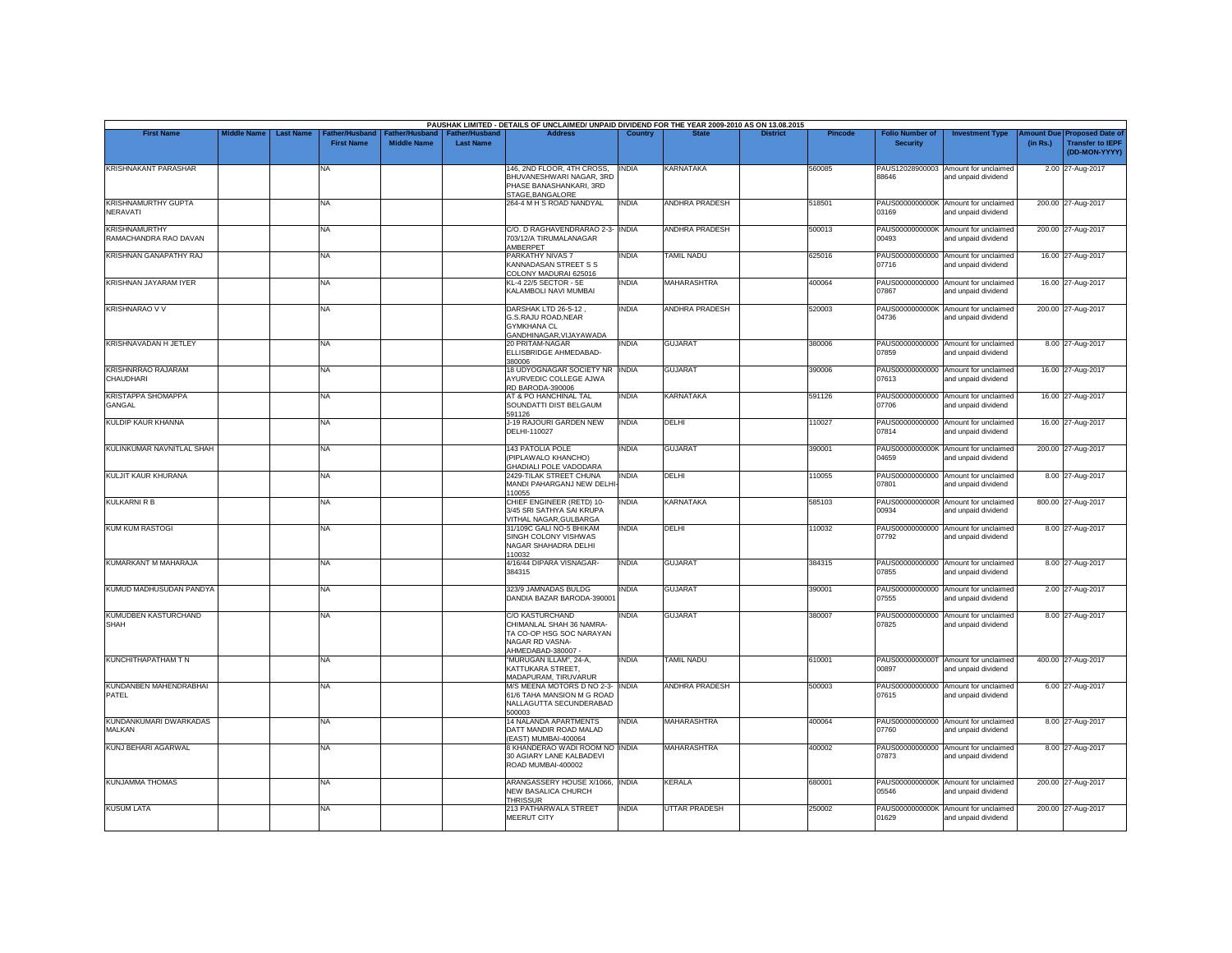| <b>First Name</b>                             | <b>Middle Name</b> | <b>Last Name</b> | Father/Husband    | ather/Husband      | <b>Father/Hushand</b> | PAUSHAK LIMITED - DETAILS OF UNCLAIMED/ UNPAID DIVIDEND FOR THE YEAR 2009-2010 AS ON 13.08.2015<br><b>Address</b> | Country      |                       | <b>District</b> | Pincode | <b>Folio Number of</b>   | <b>Investment Type</b>                                      | mount Due | <b>Proposed Date of</b>                  |
|-----------------------------------------------|--------------------|------------------|-------------------|--------------------|-----------------------|-------------------------------------------------------------------------------------------------------------------|--------------|-----------------------|-----------------|---------|--------------------------|-------------------------------------------------------------|-----------|------------------------------------------|
|                                               |                    |                  | <b>First Name</b> | <b>Middle Name</b> | <b>Last Name</b>      |                                                                                                                   |              |                       |                 |         | <b>Security</b>          |                                                             | (in Rs.)  | <b>Transfer to IEPF</b><br>(DD-MON-YYYY) |
| KRISHNAKANT PARASHAR                          |                    |                  | <b>NA</b>         |                    |                       | 146, 2ND FLOOR, 4TH CROSS,<br>BHUVANESHWARI NAGAR, 3RD<br>PHASE BANASHANKARI, 3RD<br>STAGE, BANGALORE             | <b>INDIA</b> | KARNATAKA             |                 | 560085  | PAUS12028900003<br>88646 | Amount for unclaimed<br>and unpaid dividend                 |           | 2.00 27-Aug-2017                         |
| <b>KRISHNAMURTHY GUPTA</b><br>NERAVATI        |                    |                  | NA                |                    |                       | 264-4 M H S ROAD NANDYAL                                                                                          | <b>INDIA</b> | <b>ANDHRA PRADESH</b> |                 | 518501  | PAUS0000000000K<br>03169 | Amount for unclaimed<br>and unpaid dividend                 |           | 200.00 27-Aug-2017                       |
| <b>KRISHNAMURTHY</b><br>RAMACHANDRA RAO DAVAN |                    |                  | <b>NA</b>         |                    |                       | C/O. D RAGHAVENDRARAO 2-3- INDIA<br>703/12/A TIRUMALANAGAR<br>AMBERPET                                            |              | <b>ANDHRA PRADESH</b> |                 | 500013  | 00493                    | PAUS0000000000K Amount for unclaimed<br>and unpaid dividend |           | 200.00 27-Aug-2017                       |
| KRISHNAN GANAPATHY RAJ                        |                    |                  | NA.               |                    |                       | PARKATHY NIVAS 7<br>KANNADASAN STREET S S<br>COLONY MADURAI 625016                                                | <b>INDIA</b> | <b>TAMIL NADU</b>     |                 | 625016  | PAUS00000000000<br>07716 | Amount for unclaimed<br>and unpaid dividend                 |           | 16.00 27-Aug-2017                        |
| KRISHNAN JAYARAM IYER                         |                    |                  | <b>NA</b>         |                    |                       | KL-4 22/5 SECTOR - 5E<br>KALAMBOLI NAVI MUMBAI                                                                    | <b>INDIA</b> | <b>MAHARASHTRA</b>    |                 | 400064  | PAUS00000000000<br>07867 | Amount for unclaimed<br>and unpaid dividend                 |           | 16.00 27-Aug-2017                        |
| <b>KRISHNARAO V V</b>                         |                    |                  | NA                |                    |                       | DARSHAK LTD 26-5-12,<br>G.S.RAJU ROAD, NEAR<br><b>GYMKHANA CL</b><br>GANDHINAGAR, VIJAYAWADA                      | <b>INDIA</b> | <b>ANDHRA PRADESH</b> |                 | 520003  | PAUS0000000000K<br>04736 | Amount for unclaimed<br>and unpaid dividend                 |           | 200.00 27-Aug-2017                       |
| KRISHNAVADAN H JETLEY                         |                    |                  | NA                |                    |                       | 20 PRITAM-NAGAR<br>ELLISBRIDGE AHMEDABAD-<br>380006                                                               | <b>INDIA</b> | <b>GUJARAT</b>        |                 | 380006  | 07859                    | PAUS00000000000 Amount for unclaimed<br>and unpaid dividend |           | 8.00 27-Aug-2017                         |
| <b>KRISHNRRAO RAJARAM</b><br><b>CHAUDHARI</b> |                    |                  | NA                |                    |                       | 18 UDYOGNAGAR SOCIETY NR   INDIA<br>AYURVEDIC COLLEGE AJWA<br>RD BARODA-390006                                    |              | <b>GUJARAT</b>        |                 | 390006  | 07613                    | PAUS00000000000 Amount for unclaimed<br>and unpaid dividend |           | 16.00 27-Aug-2017                        |
| <b>KRISTAPPA SHOMAPPA</b><br><b>GANGAL</b>    |                    |                  | NA                |                    |                       | AT & PO HANCHINAL TAL<br>SOUNDATTI DIST BELGAUM<br>591126                                                         | <b>INDIA</b> | KARNATAKA             |                 | 591126  | 07706                    | PAUS00000000000 Amount for unclaimed<br>and unpaid dividend |           | 16.00 27-Aug-2017                        |
| <b>KULDIP KAUR KHANNA</b>                     |                    |                  | NA                |                    |                       | J-19 RAJOURI GARDEN NEW<br>DELHI-110027                                                                           | <b>INDIA</b> | DELHI                 |                 | 110027  | 07814                    | PAUS00000000000 Amount for unclaimed<br>and unpaid dividend |           | 16.00 27-Aug-2017                        |
| KULINKUMAR NAVNITLAL SHAH                     |                    |                  | NA                |                    |                       | 143 PATOLIA POLE<br>PIPLAWALO KHANCHO)<br>GHADIALI POLE VADODARA                                                  | <b>INDIA</b> | <b>GUJARAT</b>        |                 | 390001  | 04659                    | PAUS0000000000K Amount for unclaimed<br>and unpaid dividend |           | 200.00 27-Aug-2017                       |
| KULJIT KAUR KHURANA                           |                    |                  | NA                |                    |                       | 2429-TILAK STREET CHUNA<br>MANDI PAHARGANJ NEW DELHI<br>110055                                                    | <b>INDIA</b> | DELHI                 |                 | 110055  | 07801                    | PAUS00000000000 Amount for unclaimed<br>and unpaid dividend |           | 8.00 27-Aug-2017                         |
| <b>KULKARNI R B</b>                           |                    |                  | NA                |                    |                       | CHIEF ENGINEER (RETD) 10-<br>3/45 SRI SATHYA SAI KRUPA<br>VITHAL NAGAR, GULBARGA                                  | <b>INDIA</b> | <b>KARNATAKA</b>      |                 | 585103  | PAUS0000000000R<br>00934 | Amount for unclaimed<br>and unpaid dividend                 |           | 800.00 27-Aug-2017                       |
| <b>KUM KUM RASTOGI</b>                        |                    |                  | NA                |                    |                       | 31/109C GALI NO-5 BHIKAM<br>SINGH COLONY VISHWAS<br>NAGAR SHAHADRA DELHI<br>110032                                | INDIA        | DELHI                 |                 | 110032  | PAUS00000000000<br>07792 | Amount for unclaimed<br>and unpaid dividend                 |           | 8.00 27-Aug-2017                         |
| KUMARKANT M MAHARAJA                          |                    |                  | NA                |                    |                       | 4/16/44 DIPARA VISNAGAR-<br>384315                                                                                | <b>INDIA</b> | <b>GUJARAT</b>        |                 | 384315  | PAUS00000000000<br>07855 | Amount for unclaimed<br>and unpaid dividend                 |           | 8.00 27-Aug-2017                         |
| KUMUD MADHUSUDAN PANDYA                       |                    |                  | NA                |                    |                       | 323/9 JAMNADAS BULDG<br>DANDIA BAZAR BARODA-390001                                                                | <b>INDIA</b> | <b>GUJARAT</b>        |                 | 390001  | PAUS00000000000<br>07555 | Amount for unclaimed<br>and unpaid dividend                 |           | 2.00 27-Aug-2017                         |
| KUMUDBEN KASTURCHAND<br><b>SHAH</b>           |                    |                  | NA                |                    |                       | C/O KASTURCHAND<br>CHIMANLAL SHAH 36 NAMRA-<br>TA CO-OP HSG SOC NARAYAN<br>NAGAR RD VASNA-<br>AHMEDABAD-380007    | INDIA        | GUJARAT               |                 | 380007  | PAUS00000000000<br>07825 | Amount for unclaimed<br>and unpaid dividend                 |           | 8.00 27-Aug-2017                         |
| KUNCHITHAPATHAM T N                           |                    |                  | NA                |                    |                       | 'MURUGAN ILLAM", 24-A,<br>KATTUKARA STREET.<br>MADAPURAM, TIRUVARUR                                               | <b>INDIA</b> | <b>TAMIL NADU</b>     |                 | 610001  | PAUS0000000000T<br>00897 | Amount for unclaimed<br>and unpaid dividend                 |           | 400.00 27-Aug-2017                       |
| KUNDANBEN MAHENDRABHAI<br>PATEL               |                    |                  | NA                |                    |                       | M/S MEENA MOTORS D NO 2-3- INDIA<br>61/6 TAHA MANSION M G ROAD<br>NALLAGUTTA SECUNDERABAD<br>500003               |              | <b>ANDHRA PRADESH</b> |                 | 500003  | PAUS00000000000<br>07615 | Amount for unclaimed<br>and unpaid dividend                 |           | 6.00 27-Aug-2017                         |
| KUNDANKUMARI DWARKADAS<br>MALKAN              |                    |                  | <b>NA</b>         |                    |                       | 14 NALANDA APARTMENTS<br>DATT MANDIR ROAD MALAD<br>(EAST) MUMBAI-400064                                           | <b>INDIA</b> | MAHARASHTRA           |                 | 400064  | 07760                    | PAUS00000000000 Amount for unclaimed<br>and unpaid dividend |           | 8.00 27-Aug-2017                         |
| <b>KUNJ BEHARI AGARWAL</b>                    |                    |                  | NA                |                    |                       | 8 KHANDERAO WADI ROOM NO INDIA<br>30 AGIARY LANE KALBADEVI<br>ROAD MUMBAI-400002                                  |              | <b>MAHARASHTRA</b>    |                 | 400002  | 07873                    | PAUS00000000000 Amount for unclaimed<br>and unpaid dividend |           | 8.00 27-Aug-2017                         |
| <b>KUNJAMMA THOMAS</b>                        |                    |                  | <b>NA</b>         |                    |                       | ARANGASSERY HOUSE X/1066. INDIA<br>NEW BASALICA CHURCH<br><b>THRISSUR</b>                                         |              | KERALA                |                 | 680001  | 05546                    | PAUS0000000000K Amount for unclaimed<br>and unpaid dividend |           | 200.00 27-Aug-2017                       |
| <b>KUSUM LATA</b>                             |                    |                  | NA                |                    |                       | 213 PATHARWALA STREET<br>MEERUT CITY                                                                              | <b>INDIA</b> | <b>UTTAR PRADESH</b>  |                 | 250002  | PAUS0000000000K<br>01629 | Amount for unclaimed<br>and unpaid dividend                 |           | 200.00 27-Aug-2017                       |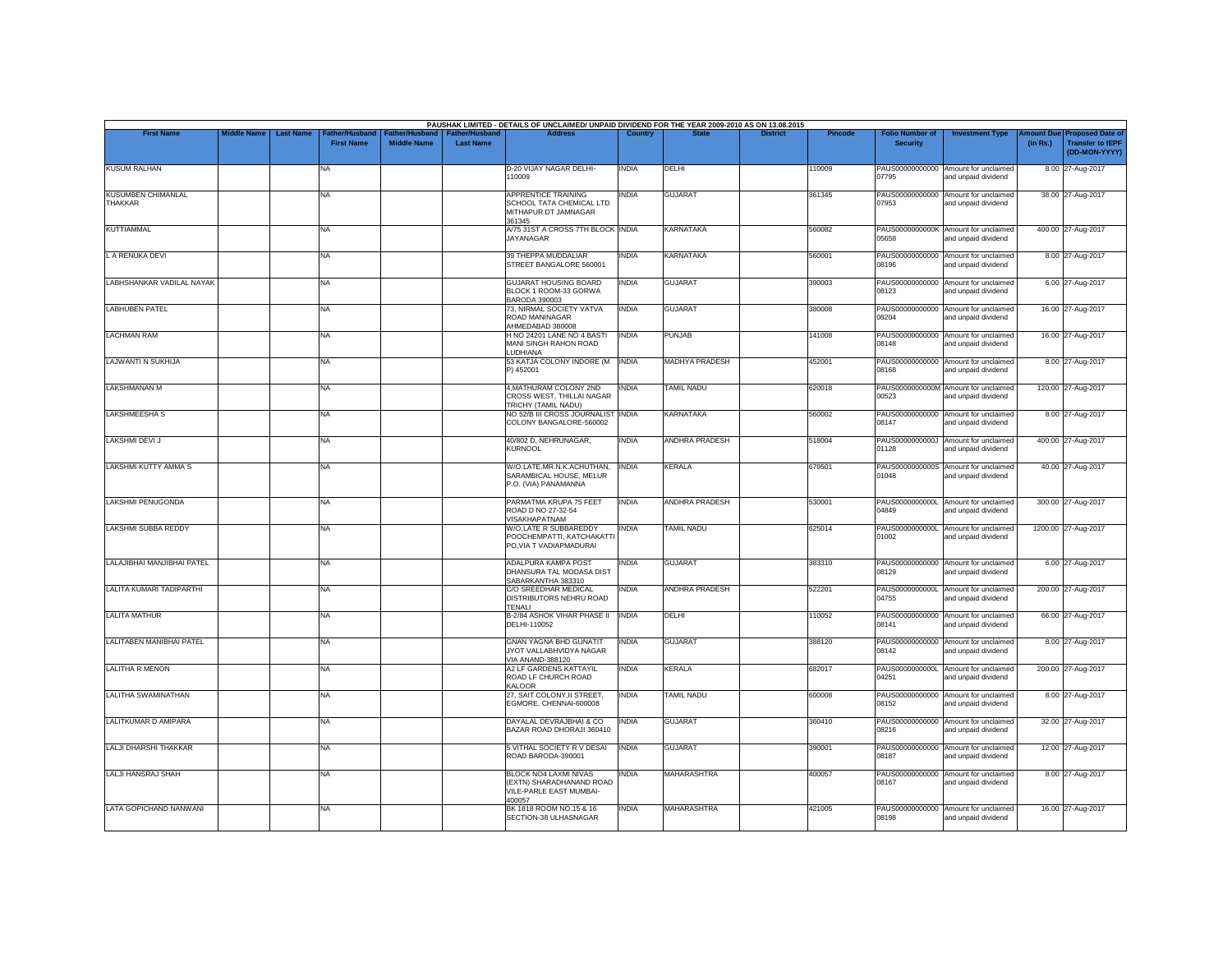|                                             | <b>Middle Name</b> | <b>Last Name</b> | Father/Husband    | Father/Husband     | Father/Husband   | <b>Address</b>                                                                                | Country      | <b>State</b>          | <b>District</b> | <b>Pincode</b> | <b>Folio Number of</b> | <b>Investment Type</b>                                      |                       | <b>Proposed Date of</b>                  |
|---------------------------------------------|--------------------|------------------|-------------------|--------------------|------------------|-----------------------------------------------------------------------------------------------|--------------|-----------------------|-----------------|----------------|------------------------|-------------------------------------------------------------|-----------------------|------------------------------------------|
| <b>First Name</b>                           |                    |                  | <b>First Name</b> | <b>Middle Name</b> | <b>Last Name</b> |                                                                                               |              |                       |                 |                | <b>Security</b>        |                                                             | mount Due<br>(in Rs.) | <b>Transfer to IEPF</b><br>(DD-MON-YYYY) |
| <b>KUSUM RALHAN</b>                         |                    |                  | NA                |                    |                  | D-20 VIJAY NAGAR DELHI-<br>110009                                                             | <b>INDIA</b> | DELHI                 |                 | 110009         | 07795                  | PAUS00000000000 Amount for unclaimed<br>and unpaid dividend |                       | 8.00 27-Aug-2017                         |
| <b>KUSUMBEN CHIMANLAL</b><br><b>THAKKAR</b> |                    |                  | NA.               |                    |                  | <b>APPRENTICE TRAINING</b><br>SCHOOL TATA CHEMICAL LTD<br>MITHAPUR DT JAMNAGAR<br>361345      | <b>INDIA</b> | <b>GUJARAT</b>        |                 | 361345         | 07953                  | PAUS00000000000 Amount for unclaimed<br>and unpaid dividend |                       | 38.00 27-Aug-2017                        |
| <b>KUTTIAMMAL</b>                           |                    |                  | NA                |                    |                  | A/75 31ST A CROSS 7TH BLOCK INDIA<br><b>JAYANAGAR</b>                                         |              | <b>KARNATAKA</b>      |                 | 560082         | 05658                  | PAUS0000000000K Amount for unclaimed<br>and unpaid dividend |                       | 400.00 27-Aug-2017                       |
| L A RENUKA DEVI                             |                    |                  | <b>NA</b>         |                    |                  | 39 THEPPA MUDDALIAR<br>STREET BANGALORE 560001                                                | <b>INDIA</b> | <b>KARNATAKA</b>      |                 | 560001         | 08196                  | PAUS00000000000 Amount for unclaimed<br>and unpaid dividend |                       | 8.00 27-Aug-2017                         |
| LABHSHANKAR VADILAL NAYAK                   |                    |                  | NA                |                    |                  | <b>GUJARAT HOUSING BOARD</b><br>BLOCK 1 ROOM-33 GORWA<br><b>BARODA 390003</b>                 | <b>INDIA</b> | <b>GUJARAT</b>        |                 | 390003         | 08123                  | PAUS00000000000 Amount for unclaimed<br>and unpaid dividend |                       | 6.00 27-Aug-2017                         |
| <b>LABHUBEN PATEL</b>                       |                    |                  | NA                |                    |                  | 73, NIRMAL SOCIETY VATVA<br>ROAD MANINAGAR<br>AHMEDABAD 380008                                | <b>INDIA</b> | <b>GUJARAT</b>        |                 | 380008         | 08204                  | PAUS00000000000 Amount for unclaimed<br>and unpaid dividend |                       | 16.00 27-Aug-2017                        |
| <b>LACHMAN RAM</b>                          |                    |                  | NA                |                    |                  | H NO 24201 LANE NO 4 BASTI<br>MANI SINGH RAHON ROAD<br><b>LUDHIANA</b>                        | <b>INDIA</b> | PUNJAB                |                 | 141008         | 08148                  | PAUS00000000000 Amount for unclaimed<br>and unpaid dividend |                       | 16.00 27-Aug-2017                        |
| <b>LAJWANTI N SUKHIJA</b>                   |                    |                  | NA                |                    |                  | 53 KATJA COLONY INDORE (M<br>P) 452001                                                        | <b>INDIA</b> | <b>MADHYA PRADESH</b> |                 | 452001         | 08168                  | PAUS00000000000 Amount for unclaimed<br>and unpaid dividend |                       | 8.00 27-Aug-2017                         |
| <b>LAKSHMANAN M</b>                         |                    |                  | NA                |                    |                  | 4, MATHURAM COLONY 2ND<br>CROSS WEST, THILLAI NAGAR<br>TRICHY (TAMIL NADU)                    | <b>INDIA</b> | <b>TAMIL NADU</b>     |                 | 620018         | 00523                  | PAUS0000000000M Amount for unclaimed<br>and unpaid dividend |                       | 120.00 27-Aug-2017                       |
| <b>LAKSHMEESHA S</b>                        |                    |                  | NA                |                    |                  | NO 52/B III CROSS JOURNALIST INDIA<br>COLONY BANGALORE-560002                                 |              | <b>KARNATAKA</b>      |                 | 560002         | 08147                  | PAUS00000000000 Amount for unclaimed<br>and unpaid dividend |                       | 8.00 27-Aug-2017                         |
| LAKSHMI DEVI J                              |                    |                  | NA                |                    |                  | 40/802 D, NEHRUNAGAR,<br><b>KURNOOL</b>                                                       | INDIA        | ANDHRA PRADESH        |                 | 518004         | 01128                  | PAUS0000000000J Amount for unclaimed<br>and unpaid dividend |                       | 400.00 27-Aug-2017                       |
| <b>LAKSHMI KUTTY AMMA S</b>                 |                    |                  | NA                |                    |                  | W/O.LATE.MR.N.K.ACHUTHAN,<br>SARAMBICAL HOUSE, MELUR<br>P.O. (VIA) PANAMANNA                  | <b>INDIA</b> | <b>KERALA</b>         |                 | 679501         | 01048                  | PAUS0000000000S Amount for unclaimed<br>and unpaid dividend |                       | 40.00 27-Aug-2017                        |
| LAKSHMI PENUGONDA                           |                    |                  | NA                |                    |                  | PARMATMA KRUPA 75 FEET<br>ROAD D NO 27-32-54<br>VISAKHAPATNAM                                 | <b>INDIA</b> | <b>ANDHRA PRADESH</b> |                 | 530001         | 04849                  | PAUS0000000000L Amount for unclaimed<br>and unpaid dividend |                       | 300.00 27-Aug-2017                       |
| <b>LAKSHMI SUBBA REDDY</b>                  |                    |                  | NA                |                    |                  | W/O.LATE R SUBBAREDDY<br>POOCHEMPATTI, KATCHAKATTI<br>PO, VIA T VADIAPMADURAI                 | <b>INDIA</b> | <b>TAMIL NADU</b>     |                 | 625014         | 01002                  | PAUS0000000000L Amount for unclaimed<br>and unpaid dividend |                       | 1200.00 27-Aug-2017                      |
| LALAJIBHAI MANJIBHAI PATEL                  |                    |                  | NA                |                    |                  | ADALPURA KAMPA POST<br>DHANSURA TAL MODASA DIST<br>SABARKANTHA 383310                         | india        | <b>GUJARAT</b>        |                 | 383310         | 08129                  | PAUS00000000000 Amount for unclaimed<br>and unpaid dividend |                       | 6.00 27-Aug-2017                         |
| LALITA KUMARI TADIPARTHI                    |                    |                  | <b>NA</b>         |                    |                  | C/O SREEDHAR MEDICAL<br><b>DISTRIBUTORS NEHRU ROAD</b><br><b>TENALI</b>                       | <b>INDIA</b> | <b>ANDHRA PRADESH</b> |                 | 522201         | 04755                  | PAUS0000000000L Amount for unclaimed<br>and unpaid dividend |                       | 200.00 27-Aug-2017                       |
| <b>LALITA MATHUR</b>                        |                    |                  | NA                |                    |                  | B-2/84 ASHOK VIHAR PHASE II<br>DELHI-110052                                                   | <b>INDIA</b> | DELHI                 |                 | 110052         | 08141                  | PAUS00000000000 Amount for unclaimed<br>and unpaid dividend |                       | 66.00 27-Aug-2017                        |
| LALITABEN MANIBHAI PATEL                    |                    |                  | NA                |                    |                  | <b>GNAN YAGNA BHD GUNATIT</b><br>JYOT VALLABHVIDYA NAGAR<br>VIA ANAND-388120                  | <b>INDIA</b> | <b>GUJARAT</b>        |                 | 388120         | 08142                  | PAUS00000000000 Amount for unclaimed<br>and unpaid dividend |                       | 8.00 27-Aug-2017                         |
| <b>LALITHA R MENON</b>                      |                    |                  | NA                |                    |                  | A2 LF GARDENS KATTAYIL<br>ROAD LF CHURCH ROAD<br><b>KALOOR</b>                                | <b>INDIA</b> | <b>KERALA</b>         |                 | 682017         | 04251                  | PAUS0000000000L Amount for unclaimed<br>and unpaid dividend |                       | 200.00 27-Aug-2017                       |
| LALITHA SWAMINATHAN                         |                    |                  | <b>NA</b>         |                    |                  | 27, SAIT COLONY, II STREET,<br>EGMORE, CHENNAI-600008                                         | <b>INDIA</b> | <b>TAMIL NADU</b>     |                 | 600008         | 08152                  | PAUS00000000000 Amount for unclaimed<br>and unpaid dividend |                       | 8.00 27-Aug-2017                         |
| LALITKUMAR D AMIPARA                        |                    |                  | NA.               |                    |                  | DAYALAL DEVRAJBHAI & CO<br>BAZAR ROAD DHORAJI 360410                                          | <b>INDIA</b> | <b>GUJARAT</b>        |                 | 360410         | 08216                  | PAUS00000000000 Amount for unclaimed<br>and unpaid dividend |                       | 32.00 27-Aug-2017                        |
| LALJI DHARSHI THAKKAR                       |                    |                  | NA                |                    |                  | 5 VITHAL SOCIETY R V DESAI<br>ROAD BARODA-390001                                              | <b>INDIA</b> | <b>GUJARAT</b>        |                 | 390001         | 08187                  | PAUS00000000000 Amount for unclaimed<br>and unpaid dividend |                       | 12.00 27-Aug-2017                        |
| LALJI HANSRAJ SHAH                          |                    |                  | <b>NA</b>         |                    |                  | <b>BLOCK NO4 LAXMI NIVAS</b><br>(EXTN) SHARADHANAND ROAD<br>VILE-PARLE EAST MUMBAI-<br>400057 | <b>INDIA</b> | <b>MAHARASHTRA</b>    |                 | 400057         | 08167                  | PAUS00000000000 Amount for unclaimed<br>and unpaid dividend |                       | 8.00 27-Aug-2017                         |
| <b>LATA GOPICHAND NANWANI</b>               |                    |                  | NA                |                    |                  | BK 1818 ROOM NO.15 & 16<br>SECTION-38 ULHASNAGAR                                              | <b>INDIA</b> | <b>MAHARASHTRA</b>    |                 | 421005         | 08198                  | PAUS00000000000 Amount for unclaimed<br>and unpaid dividend |                       | 16.00 27-Aug-2017                        |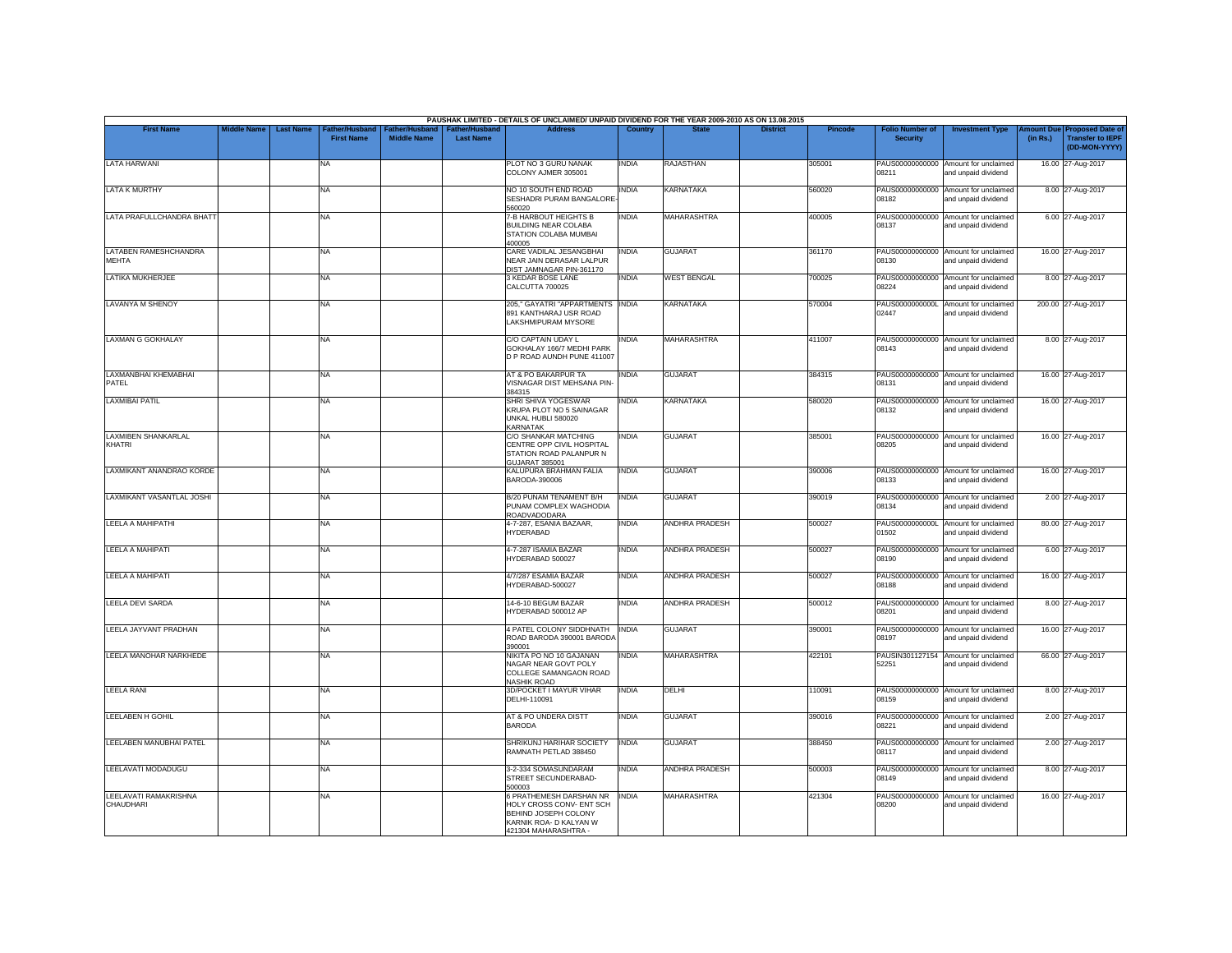|                                           |                    |                  |                                     |                                      |                                           | PAUSHAK LIMITED - DETAILS OF UNCLAIMED/ UNPAID DIVIDEND FOR THE YEAR 2009-2010 AS ON 13.08.2015                               |                |                    |                 |                |                                           |                                                             |          |                                                                                |
|-------------------------------------------|--------------------|------------------|-------------------------------------|--------------------------------------|-------------------------------------------|-------------------------------------------------------------------------------------------------------------------------------|----------------|--------------------|-----------------|----------------|-------------------------------------------|-------------------------------------------------------------|----------|--------------------------------------------------------------------------------|
| <b>First Name</b>                         | <b>Middle Name</b> | <b>Last Name</b> | Father/Husband<br><b>First Name</b> | Father/Husband<br><b>Middle Name</b> | <b>Father/Husband</b><br><b>Last Name</b> | <b>Address</b>                                                                                                                | <b>Country</b> | <b>State</b>       | <b>District</b> | <b>Pincode</b> | <b>Folio Number of</b><br><b>Security</b> | <b>Investment Type</b>                                      | (in Rs.) | <b>Amount Due Proposed Date of</b><br><b>Transfer to IEPF</b><br>(DD-MON-YYYY) |
| <b>LATA HARWANI</b>                       |                    |                  | NA                                  |                                      |                                           | PLOT NO 3 GURU NANAK<br>COLONY AJMER 305001                                                                                   | <b>INDIA</b>   | <b>RAJASTHAN</b>   |                 | 305001         | 08211                                     | PAUS00000000000 Amount for unclaimed<br>and unpaid dividend |          | 16.00 27-Aug-2017                                                              |
| <b>LATA K MURTHY</b>                      |                    |                  | <b>NA</b>                           |                                      |                                           | NO 10 SOUTH END ROAD<br>SESHADRI PURAM BANGALORE<br>560020                                                                    | <b>INDIA</b>   | <b>KARNATAKA</b>   |                 | 560020         | 08182                                     | PAUS00000000000 Amount for unclaimed<br>and unpaid dividend |          | 8.00 27-Aug-2017                                                               |
| LATA PRAFULLCHANDRA BHATT                 |                    |                  | <b>NA</b>                           |                                      |                                           | 7-B HARBOUT HEIGHTS B<br><b>BUILDING NEAR COLABA</b><br>STATION COLABA MUMBAI<br>400005                                       | <b>INDIA</b>   | <b>MAHARASHTRA</b> |                 | 400005         | PAUS00000000000<br>08137                  | Amount for unclaimed<br>and unpaid dividend                 |          | 6.00 27-Aug-2017                                                               |
| LATABEN RAMESHCHANDRA<br><b>MEHTA</b>     |                    |                  | <b>NA</b>                           |                                      |                                           | CARE VADILAL JESANGBHAI<br>NEAR JAIN DERASAR LALPUR<br>DIST JAMNAGAR PIN-361170                                               | <b>INDIA</b>   | <b>GUJARAT</b>     |                 | 361170         | 08130                                     | PAUS00000000000 Amount for unclaimed<br>and unpaid dividend |          | 16.00 27-Aug-2017                                                              |
| LATIKA MUKHERJEE                          |                    |                  | <b>NA</b>                           |                                      |                                           | 3 KEDAR BOSE LANE<br>CALCUTTA 700025                                                                                          | <b>INDIA</b>   | <b>WEST BENGAL</b> |                 | 700025         | 08224                                     | PAUS00000000000 Amount for unclaimed<br>and unpaid dividend |          | 8.00 27-Aug-2017                                                               |
| <b>LAVANYA M SHENOY</b>                   |                    |                  | <b>NA</b>                           |                                      |                                           | 205," GAYATRI "APPARTMENTS INDIA<br>891 KANTHARAJ USR ROAD<br>LAKSHMIPURAM MYSORE                                             |                | <b>KARNATAKA</b>   |                 | 570004         | 02447                                     | PAUS0000000000L Amount for unclaimed<br>and unpaid dividend |          | 200.00 27-Aug-2017                                                             |
| LAXMAN G GOKHALAY                         |                    |                  | <b>NA</b>                           |                                      |                                           | C/O CAPTAIN UDAY L<br>GOKHALAY 166/7 MEDHI PARK<br>D P ROAD AUNDH PUNE 411007                                                 | <b>INDIA</b>   | <b>MAHARASHTRA</b> |                 | 411007         | 08143                                     | PAUS00000000000 Amount for unclaimed<br>and unpaid dividend |          | 8.00 27-Aug-2017                                                               |
| LAXMANBHAI KHEMABHAI<br>PATEL             |                    |                  | NA                                  |                                      |                                           | AT & PO BAKARPUR TA<br>VISNAGAR DIST MEHSANA PIN-<br>384315                                                                   | <b>INDIA</b>   | <b>GUJARAT</b>     |                 | 384315         | 08131                                     | PAUS00000000000 Amount for unclaimed<br>and unpaid dividend |          | 16.00 27-Aug-2017                                                              |
| <b>LAXMIBAI PATIL</b>                     |                    |                  | <b>NA</b>                           |                                      |                                           | SHRI SHIVA YOGESWAR<br>KRUPA PLOT NO 5 SAINAGAR<br>UNKAL HUBLI 580020<br><b>KARNATAK</b>                                      | <b>INDIA</b>   | <b>KARNATAKA</b>   |                 | 580020         | 08132                                     | PAUS00000000000 Amount for unclaimed<br>and unpaid dividend |          | 16.00 27-Aug-2017                                                              |
| <b>LAXMIBEN SHANKARLAL</b><br>KHATRI      |                    |                  | <b>NA</b>                           |                                      |                                           | C/O SHANKAR MATCHING<br>CENTRE OPP CIVIL HOSPITAL<br>STATION ROAD PALANPUR N<br><b>GUJARAT 385001</b>                         | <b>INDIA</b>   | <b>GUJARAT</b>     |                 | 385001         | 08205                                     | PAUS00000000000 Amount for unclaimed<br>and unpaid dividend |          | 16.00 27-Aug-2017                                                              |
| LAXMIKANT ANANDRAO KORDE                  |                    |                  | <b>NA</b>                           |                                      |                                           | KALUPURA BRAHMAN FALIA<br>BARODA-390006                                                                                       | <b>INDIA</b>   | <b>GUJARAT</b>     |                 | 390006         | 08133                                     | PAUS00000000000 Amount for unclaimed<br>and unpaid dividend |          | 16.00 27-Aug-2017                                                              |
| LAXMIKANT VASANTLAL JOSHI                 |                    |                  | <b>NA</b>                           |                                      |                                           | B/20 PUNAM TENAMENT B/H<br>PUNAM COMPLEX WAGHODIA<br><b>ROADVADODARA</b>                                                      | <b>INDIA</b>   | <b>GUJARAT</b>     |                 | 390019         | 08134                                     | PAUS00000000000 Amount for unclaimed<br>and unpaid dividend |          | 2.00 27-Aug-2017                                                               |
| LEELA A MAHIPATHI                         |                    |                  | <b>NA</b>                           |                                      |                                           | 4-7-287, ESANIA BAZAAR,<br><b>HYDERABAD</b>                                                                                   | <b>INDIA</b>   | ANDHRA PRADESH     |                 | 500027         | 01502                                     | PAUS0000000000L Amount for unclaimed<br>and unpaid dividend |          | 80.00 27-Aug-2017                                                              |
| LEELA A MAHIPATI                          |                    |                  | <b>NA</b>                           |                                      |                                           | 4-7-287 ISAMIA BAZAR<br>HYDERABAD 500027                                                                                      | <b>INDIA</b>   | ANDHRA PRADESH     |                 | 500027         | 08190                                     | PAUS00000000000 Amount for unclaimed<br>and unpaid dividend |          | 6.00 27-Aug-2017                                                               |
| LEELA A MAHIPATI                          |                    |                  | <b>NA</b>                           |                                      |                                           | 4/7/287 ESAMIA BAZAR<br>HYDERABAD-500027                                                                                      | <b>INDIA</b>   | ANDHRA PRADESH     |                 | 500027         | 08188                                     | PAUS00000000000 Amount for unclaimed<br>and unpaid dividend |          | 16.00 27-Aug-2017                                                              |
| LEELA DEVI SARDA                          |                    |                  | <b>NA</b>                           |                                      |                                           | 14-6-10 BEGUM BAZAR<br>HYDERABAD 500012 AP                                                                                    | <b>INDIA</b>   | ANDHRA PRADESH     |                 | 500012         | 08201                                     | PAUS00000000000 Amount for unclaimed<br>and unpaid dividend |          | 8.00 27-Aug-2017                                                               |
| LEELA JAYVANT PRADHAN                     |                    |                  | <b>NA</b>                           |                                      |                                           | 4 PATEL COLONY SIDDHNATH<br>ROAD BARODA 390001 BARODA<br>390001                                                               | <b>INDIA</b>   | <b>GUJARAT</b>     |                 | 390001         | 08197                                     | PAUS00000000000 Amount for unclaimed<br>and unpaid dividend |          | 16.00 27-Aug-2017                                                              |
| LEELA MANOHAR NARKHEDE                    |                    |                  | <b>NA</b>                           |                                      |                                           | NIKITA PO NO 10 GAJANAN<br>NAGAR NEAR GOVT POLY<br>COLLEGE SAMANGAON ROAD<br><b>NASHIK ROAD</b>                               | <b>INDIA</b>   | <b>MAHARASHTRA</b> |                 | 422101         | 52251                                     | PAUSIN301127154 Amount for unclaimed<br>and unpaid dividend |          | 66.00 27-Aug-2017                                                              |
| <b>LEELA RANI</b>                         |                    |                  | <b>NA</b>                           |                                      |                                           | 3D/POCKET I MAYUR VIHAR<br>DELHI-110091                                                                                       | <b>INDIA</b>   | DELHI              |                 | 110091         | 08159                                     | PAUS00000000000 Amount for unclaimed<br>and unpaid dividend |          | 8.00 27-Aug-2017                                                               |
| <b>LEELABEN H GOHIL</b>                   |                    |                  | NA                                  |                                      |                                           | AT & PO UNDERA DISTT<br><b>BARODA</b>                                                                                         | <b>INDIA</b>   | <b>GUJARAT</b>     |                 | 390016         | PAUS00000000000<br>08221                  | Amount for unclaimed<br>and unpaid dividend                 |          | 2.00 27-Aug-2017                                                               |
| LEELABEN MANUBHAI PATEL                   |                    |                  | <b>NA</b>                           |                                      |                                           | SHRIKUNJ HARIHAR SOCIETY<br>RAMNATH PETLAD 388450                                                                             | <b>INDIA</b>   | <b>GUJARAT</b>     |                 | 388450         | 08117                                     | PAUS00000000000 Amount for unclaimed<br>and unpaid dividend |          | 2.00 27-Aug-2017                                                               |
| LEELAVATI MODADUGU                        |                    |                  | <b>NA</b>                           |                                      |                                           | 3-2-334 SOMASUNDARAM<br>STREET SECUNDERABAD-<br>500003                                                                        | <b>INDIA</b>   | ANDHRA PRADESH     |                 | 500003         | 08149                                     | PAUS00000000000 Amount for unclaimed<br>and unpaid dividend |          | 8.00 27-Aug-2017                                                               |
| LEELAVATI RAMAKRISHNA<br><b>CHAUDHARI</b> |                    |                  | <b>NA</b>                           |                                      |                                           | 6 PRATHEMESH DARSHAN NR<br>HOLY CROSS CONV- ENT SCH<br>BEHIND JOSEPH COLONY<br>KARNIK ROA- D KALYAN W<br>421304 MAHARASHTRA - | <b>INDIA</b>   | <b>MAHARASHTRA</b> |                 | 421304         | 08200                                     | PAUS00000000000 Amount for unclaimed<br>and unpaid dividend |          | 16.00 27-Aug-2017                                                              |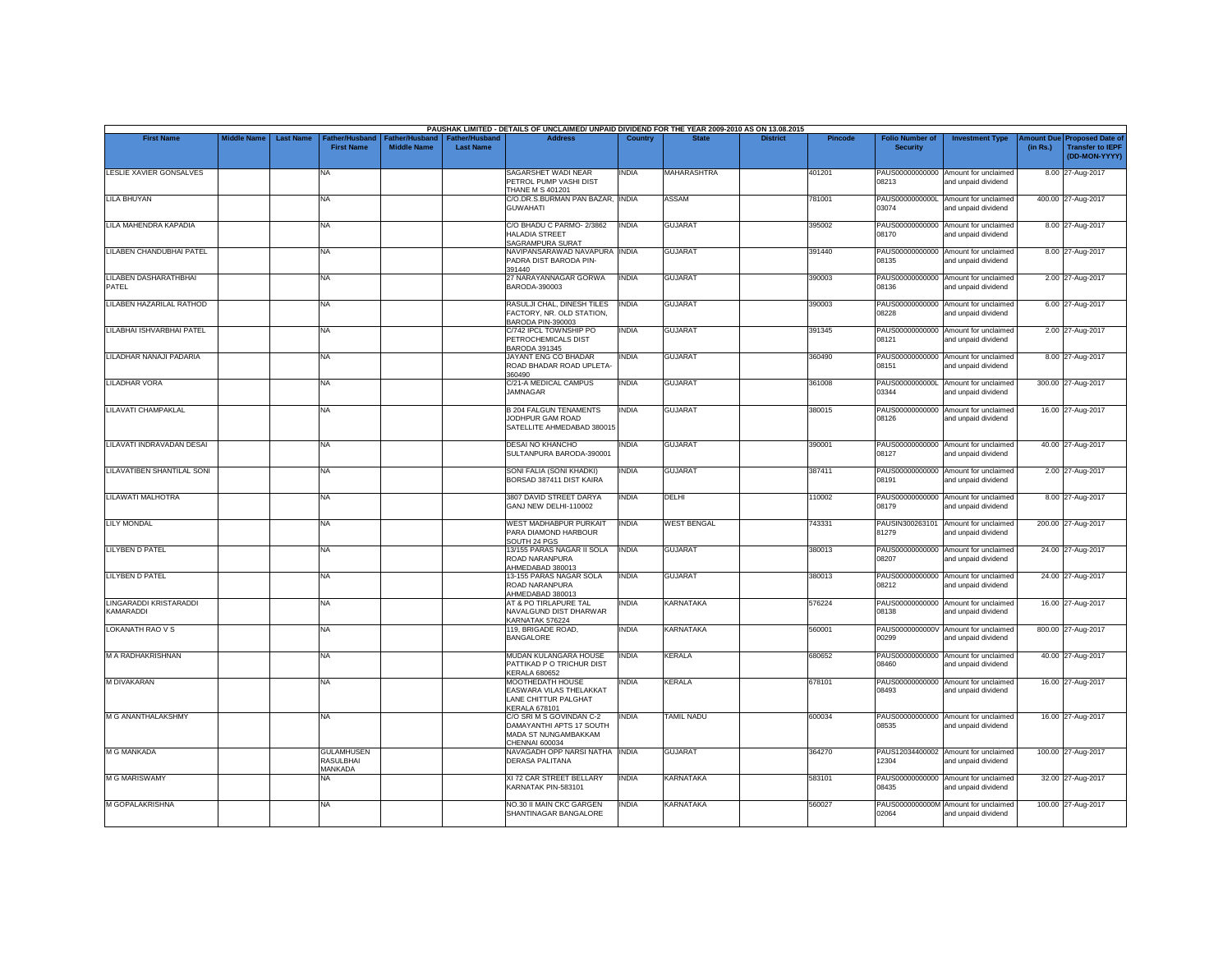|                                     |                    |                  |                                                         |                                      |                                           | PAUSHAK LIMITED - DETAILS OF UNCLAIMED/ UNPAID DIVIDEND FOR THE YEAR 2009-2010 AS ON 13.08.2015 |              |                    |                 |                |                                           |                                                             |                       |                                                                     |
|-------------------------------------|--------------------|------------------|---------------------------------------------------------|--------------------------------------|-------------------------------------------|-------------------------------------------------------------------------------------------------|--------------|--------------------|-----------------|----------------|-------------------------------------------|-------------------------------------------------------------|-----------------------|---------------------------------------------------------------------|
| <b>First Name</b>                   | <b>Middle Name</b> | <b>Last Name</b> | ather/Husband <sup>-</sup><br><b>First Name</b>         | Father/Husband<br><b>Middle Name</b> | <b>Father/Husband</b><br><b>Last Name</b> | <b>Address</b>                                                                                  | Country      | <b>State</b>       | <b>District</b> | <b>Pincode</b> | <b>Folio Number of</b><br><b>Security</b> | <b>Investment Type</b>                                      | mount Due<br>(in Rs.) | <b>Proposed Date of</b><br><b>Transfer to IEPF</b><br>(DD-MON-YYYY) |
| LESLIE XAVIER GONSALVES             |                    |                  | <b>NA</b>                                               |                                      |                                           | SAGARSHET WADI NEAR<br>PETROL PUMP VASHI DIST<br><b>THANE M S 401201</b>                        | INDIA        | MAHARASHTRA        |                 | 401201         | 08213                                     | PAUS00000000000 Amount for unclaimed<br>and unpaid dividend |                       | 8.00 27-Aug-2017                                                    |
| <b>LILA BHUYAN</b>                  |                    |                  | <b>NA</b>                                               |                                      |                                           | C/O.DR.S.BURMAN PAN BAZAR, INDIA<br><b>GUWAHATI</b>                                             |              | <b>ASSAM</b>       |                 | 781001         | 03074                                     | PAUS0000000000L Amount for unclaimed<br>and unpaid dividend |                       | 400.00 27-Aug-2017                                                  |
| LILA MAHENDRA KAPADIA               |                    |                  | <b>NA</b>                                               |                                      |                                           | C/O BHADU C PARMO- 2/3862<br>HALADIA STREET<br>SAGRAMPURA SURAT                                 | <b>INDIA</b> | <b>GUJARAT</b>     |                 | 395002         | 08170                                     | PAUS00000000000 Amount for unclaimed<br>and unpaid dividend |                       | 8.00 27-Aug-2017                                                    |
| LILABEN CHANDUBHAI PATEL            |                    |                  | <b>NA</b>                                               |                                      |                                           | NAVIPANSARAWAD NAVAPURA INDIA<br>PADRA DIST BARODA PIN-<br>391440                               |              | <b>GUJARAT</b>     |                 | 391440         | PAUS00000000000<br>08135                  | Amount for unclaimed<br>and unpaid dividend                 |                       | 8.00 27-Aug-2017                                                    |
| LILABEN DASHARATHBHAI<br>PATEL      |                    |                  | <b>NA</b>                                               |                                      |                                           | 27 NARAYANNAGAR GORWA<br>BARODA-390003                                                          | <b>INDIA</b> | <b>GUJARAT</b>     |                 | 390003         | 08136                                     | PAUS00000000000 Amount for unclaimed<br>and unpaid dividend |                       | 2.00 27-Aug-2017                                                    |
| LILABEN HAZARILAL RATHOD            |                    |                  | <b>NA</b>                                               |                                      |                                           | RASULJI CHAL, DINESH TILES<br>FACTORY, NR. OLD STATION.<br>BARODA PIN-390003                    | <b>INDIA</b> | <b>GUJARAT</b>     |                 | 390003         | 08228                                     | PAUS00000000000 Amount for unclaimed<br>and unpaid dividend |                       | 6.00 27-Aug-2017                                                    |
| LILABHAI ISHVARBHAI PATEL           |                    |                  | <b>NA</b>                                               |                                      |                                           | C/742 IPCL TOWNSHIP PO<br>PETROCHEMICALS DIST<br>BARODA 391345                                  | <b>INDIA</b> | <b>GUJARAT</b>     |                 | 391345         | 08121                                     | PAUS00000000000 Amount for unclaimed<br>and unpaid dividend |                       | 2.00 27-Aug-2017                                                    |
| LILADHAR NANAJI PADARIA             |                    |                  | <b>NA</b>                                               |                                      |                                           | JAYANT ENG CO BHADAR<br>ROAD BHADAR ROAD UPLETA-<br>360490                                      | <b>INDIA</b> | <b>GUJARAT</b>     |                 | 360490         | 08151                                     | PAUS00000000000 Amount for unclaimed<br>and unpaid dividend |                       | 8.00 27-Aug-2017                                                    |
| <b>LILADHAR VORA</b>                |                    |                  | <b>NA</b>                                               |                                      |                                           | C/21-A MEDICAL CAMPUS<br><b>JAMNAGAR</b>                                                        | INDIA        | <b>GUJARAT</b>     |                 | 361008         | 03344                                     | PAUS0000000000L Amount for unclaimed<br>and unpaid dividend |                       | 300.00 27-Aug-2017                                                  |
| LILAVATI CHAMPAKLAL                 |                    |                  | <b>NA</b>                                               |                                      |                                           | <b>B 204 FALGUN TENAMENTS</b><br>JODHPUR GAM ROAD<br>SATELLITE AHMEDABAD 380015                 | <b>INDIA</b> | <b>GUJARAT</b>     |                 | 380015         | 08126                                     | PAUS00000000000 Amount for unclaimed<br>and unpaid dividend |                       | 16.00 27-Aug-2017                                                   |
| LILAVATI INDRAVADAN DESAI           |                    |                  | <b>NA</b>                                               |                                      |                                           | DESAI NO KHANCHO<br>SULTANPURA BARODA-390001                                                    | <b>INDIA</b> | <b>GUJARAT</b>     |                 | 390001         | 08127                                     | PAUS00000000000 Amount for unclaimed<br>and unpaid dividend |                       | 40.00 27-Aug-2017                                                   |
| LILAVATIBEN SHANTILAL SONI          |                    |                  | <b>NA</b>                                               |                                      |                                           | SONI FALIA (SONI KHADKI)<br>BORSAD 387411 DIST KAIRA                                            | INDIA        | <b>GUJARAT</b>     |                 | 387411         | 08191                                     | PAUS00000000000 Amount for unclaimed<br>and unpaid dividend |                       | 2.00 27-Aug-2017                                                    |
| <b>LILAWATI MALHOTRA</b>            |                    |                  | <b>NA</b>                                               |                                      |                                           | 3807 DAVID STREET DARYA<br>GANJ NEW DELHI-110002                                                | <b>INDIA</b> | DELHI              |                 | 110002         | 08179                                     | PAUS00000000000 Amount for unclaimed<br>and unpaid dividend |                       | 8.00 27-Aug-2017                                                    |
| <b>LILY MONDAL</b>                  |                    |                  | <b>NA</b>                                               |                                      |                                           | <b>WEST MADHABPUR PURKAIT</b><br>PARA DIAMOND HARBOUR<br>SOUTH 24 PGS                           | <b>INDIA</b> | <b>WEST BENGAL</b> |                 | 743331         | PAUSIN300263101<br>81279                  | Amount for unclaimed<br>and unpaid dividend                 |                       | 200.00 27-Aug-2017                                                  |
| LILYBEN D PATEL                     |                    |                  | <b>NA</b>                                               |                                      |                                           | 13/155 PARAS NAGAR II SOLA<br>ROAD NARANPURA<br>AHMEDABAD 380013                                | <b>INDIA</b> | <b>GUJARAT</b>     |                 | 380013         | 08207                                     | PAUS00000000000 Amount for unclaimed<br>and unpaid dividend |                       | 24.00 27-Aug-2017                                                   |
| LILYBEN D PATEL                     |                    |                  | <b>NA</b>                                               |                                      |                                           | 13-155 PARAS NAGAR SOLA<br>ROAD NARANPURA<br>AHMEDABAD 380013                                   | <b>INDIA</b> | <b>GUJARAT</b>     |                 | 380013         | 08212                                     | PAUS00000000000 Amount for unclaimed<br>and unpaid dividend |                       | 24.00 27-Aug-2017                                                   |
| LINGARADDI KRISTARADDI<br>KAMARADDI |                    |                  | <b>NA</b>                                               |                                      |                                           | AT & PO TIRLAPURE TAL<br>NAVALGUND DIST DHARWAR<br>KARNATAK 576224                              | INDIA        | KARNATAKA          |                 | 576224         | PAUS00000000000<br>08138                  | Amount for unclaimed<br>and unpaid dividend                 |                       | 16.00 27-Aug-2017                                                   |
| <b>LOKANATH RAO V S</b>             |                    |                  | <b>NA</b>                                               |                                      |                                           | 119. BRIGADE ROAD.<br><b>BANGALORE</b>                                                          | <b>INDIA</b> | <b>KARNATAKA</b>   |                 | 560001         | 00299                                     | PAUS0000000000V Amount for unclaimed<br>and unpaid dividend |                       | 800.00 27-Aug-2017                                                  |
| M A RADHAKRISHNAN                   |                    |                  | <b>NA</b>                                               |                                      |                                           | MUDAN KULANGARA HOUSE<br>PATTIKAD P O TRICHUR DIST<br><b>KERALA 680652</b>                      | INDIA        | <b>KERALA</b>      |                 | 680652         | PAUS00000000000<br>08460                  | Amount for unclaimed<br>and unpaid dividend                 |                       | 40.00 27-Aug-2017                                                   |
| <b>M DIVAKARAN</b>                  |                    |                  | <b>NA</b>                                               |                                      |                                           | MOOTHEDATH HOUSE<br>EASWARA VILAS THELAKKAT<br>LANE CHITTUR PALGHAT<br>KERALA 678101            | INDIA        | <b>KERALA</b>      |                 | 678101         | 08493                                     | PAUS00000000000 Amount for unclaimed<br>and unpaid dividend |                       | 16.00 27-Aug-2017                                                   |
| M G ANANTHALAKSHMY                  |                    |                  | <b>NA</b>                                               |                                      |                                           | C/O SRI M S GOVINDAN C-2<br>DAMAYANTHI APTS 17 SOUTH<br>MADA ST NUNGAMBAKKAM<br>CHENNAI 600034  | INDIA        | TAMIL NADU         |                 | 600034         | 08535                                     | PAUS00000000000 Amount for unclaimed<br>and unpaid dividend |                       | 16.00 27-Aug-2017                                                   |
| M G MANKADA                         |                    |                  | <b>GULAMHUSEN</b><br><b>RASULBHAI</b><br><b>MANKADA</b> |                                      |                                           | NAVAGADH OPP NARSI NATHA<br><b>DERASA PALITANA</b>                                              | <b>INDIA</b> | <b>GUJARAT</b>     |                 | 364270         | 12304                                     | PAUS12034400002 Amount for unclaimed<br>and unpaid dividend |                       | 100.00 27-Aug-2017                                                  |
| <b>M G MARISWAMY</b>                |                    |                  | <b>NA</b>                                               |                                      |                                           | XI 72 CAR STREET BELLARY<br>KARNATAK PIN-583101                                                 | <b>INDIA</b> | <b>KARNATAKA</b>   |                 | 583101         | 08435                                     | PAUS00000000000 Amount for unclaimed<br>and unpaid dividend |                       | 32.00 27-Aug-2017                                                   |
| <b>M GOPALAKRISHNA</b>              |                    |                  | <b>NA</b>                                               |                                      |                                           | <b>NO.30 II MAIN CKC GARGEN</b><br>SHANTINAGAR BANGALORE                                        | INDIA        | <b>KARNATAKA</b>   |                 | 560027         | 02064                                     | PAUS0000000000M Amount for unclaimed<br>and unpaid dividend |                       | 100.00 27-Aug-2017                                                  |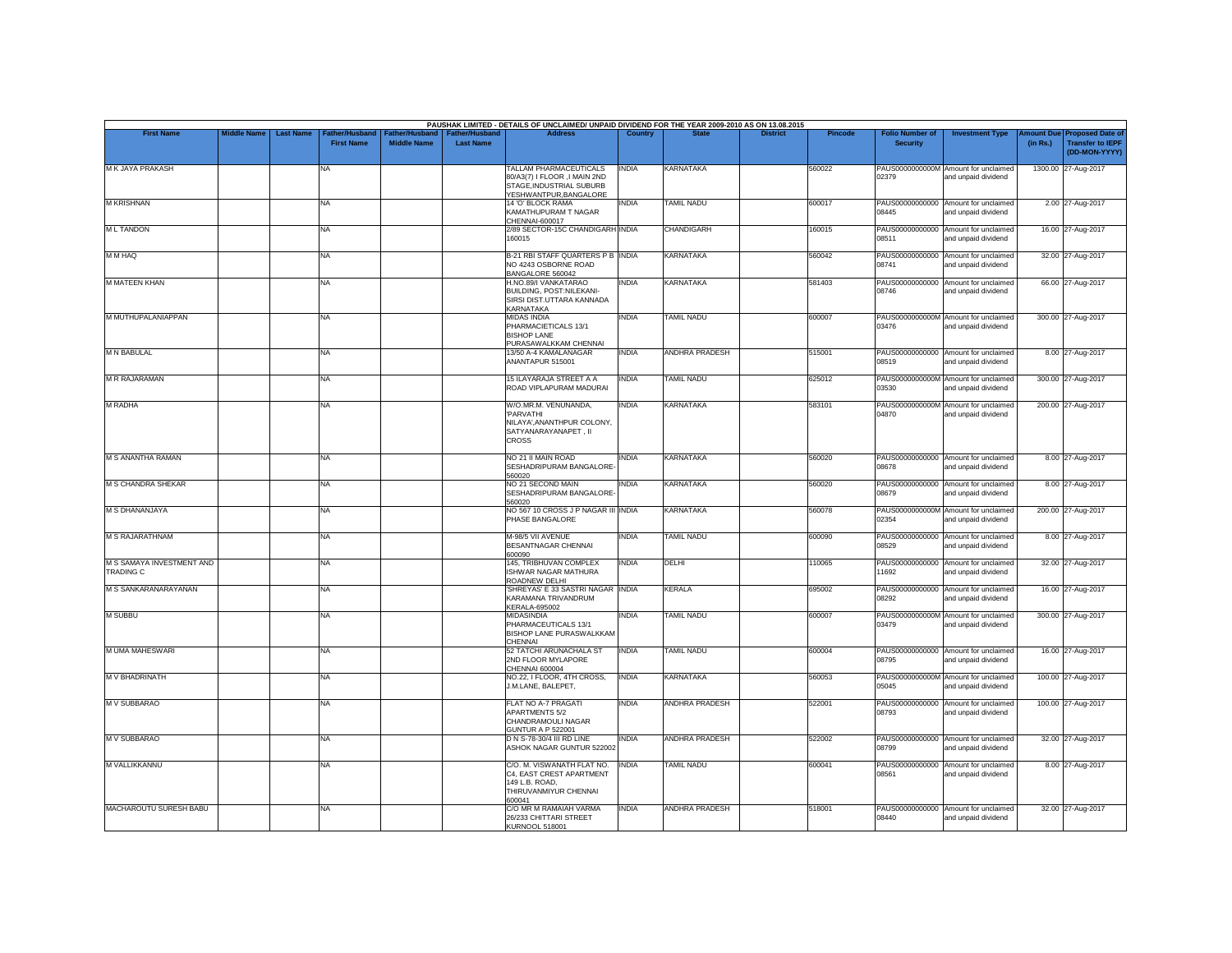|                                               |                    |                  |                                    |                                      |                                    | PAUSHAK LIMITED - DETAILS OF UNCLAIMED/ UNPAID DIVIDEND FOR THE YEAR 2009-2010 AS ON 13.08.2015               |                |                       |                 |         |                                           |                                                             |                       |                                                                     |
|-----------------------------------------------|--------------------|------------------|------------------------------------|--------------------------------------|------------------------------------|---------------------------------------------------------------------------------------------------------------|----------------|-----------------------|-----------------|---------|-------------------------------------------|-------------------------------------------------------------|-----------------------|---------------------------------------------------------------------|
| <b>First Name</b>                             | <b>Middle Name</b> | <b>Last Name</b> | ather/Husband<br><b>First Name</b> | Father/Husband<br><b>Middle Name</b> | Father/Husband<br><b>Last Name</b> | <b>Address</b>                                                                                                | <b>Country</b> | <b>State</b>          | <b>District</b> | Pincode | <b>Folio Number of</b><br><b>Security</b> | <b>Investment Type</b>                                      | mount Due<br>(in Rs.) | <b>Proposed Date of</b><br><b>Transfer to IEPF</b><br>(DD-MON-YYYY) |
| M K JAYA PRAKASH                              |                    |                  | NA                                 |                                      |                                    | TALLAM PHARMACEUTICALS<br>80/A3(7) I FLOOR , I MAIN 2ND<br>STAGE, INDUSTRIAL SUBURB<br>YESHWANTPUR, BANGALORE | <b>INDIA</b>   | KARNATAKA             |                 | 560022  | 02379                                     | PAUS0000000000M Amount for unclaimed<br>and unpaid dividend |                       | 1300.00 27-Aug-2017                                                 |
| <b>M KRISHNAN</b>                             |                    |                  | NA                                 |                                      |                                    | 14 'O' BLOCK RAMA<br>KAMATHUPURAM T NAGAR<br>CHENNAI-600017                                                   | <b>INDIA</b>   | <b>TAMIL NADU</b>     |                 | 600017  | PAUS00000000000<br>08445                  | Amount for unclaimed<br>and unpaid dividend                 |                       | 2.00 27-Aug-2017                                                    |
| <b>ML TANDON</b>                              |                    |                  | NA                                 |                                      |                                    | 2/89 SECTOR-15C CHANDIGARH INDIA<br>160015                                                                    |                | <b>CHANDIGARH</b>     |                 | 160015  | 08511                                     | PAUS00000000000 Amount for unclaimed<br>and unpaid dividend |                       | 16.00 27-Aug-2017                                                   |
| M M HAQ                                       |                    |                  | <b>NA</b>                          |                                      |                                    | B-21 RBI STAFF QUARTERS P B INDIA<br>NO 4243 OSBORNE ROAD<br>BANGALORE 560042                                 |                | <b>KARNATAKA</b>      |                 | 560042  | 08741                                     | PAUS00000000000 Amount for unclaimed<br>and unpaid dividend |                       | 32.00 27-Aug-2017                                                   |
| M MATEEN KHAN                                 |                    |                  | NA                                 |                                      |                                    | H.NO.89/I VANKATARAO<br>BUILDING, POST:NILEKANI-<br>SIRSI DIST.UTTARA KANNADA<br>KARNATAKA                    | <b>INDIA</b>   | <b>KARNATAKA</b>      |                 | 581403  | PAUS00000000000<br>08746                  | Amount for unclaimed<br>and unpaid dividend                 |                       | 66.00 27-Aug-2017                                                   |
| M MUTHUPALANIAPPAN                            |                    |                  | <b>NA</b>                          |                                      |                                    | <b>MIDAS INDIA</b><br>PHARMACIETICALS 13/1<br><b>BISHOP LANE</b><br>PURASAWALKKAM CHENNAI                     | INDIA          | <b>TAMIL NADU</b>     |                 | 600007  | 03476                                     | PAUS0000000000M Amount for unclaimed<br>and unpaid dividend |                       | 300.00 27-Aug-2017                                                  |
| <b>M N BABULAL</b>                            |                    |                  | NA                                 |                                      |                                    | 13/50 A-4 KAMALANAGAR<br>ANANTAPUR 515001                                                                     | <b>INDIA</b>   | ANDHRA PRADESH        |                 | 515001  | 08519                                     | PAUS00000000000 Amount for unclaimed<br>and unpaid dividend |                       | 8.00 27-Aug-2017                                                    |
| M R RAJARAMAN                                 |                    |                  | NA                                 |                                      |                                    | 15 ILAYARAJA STREET A A<br>ROAD VIPLAPURAM MADURAI                                                            | <b>INDIA</b>   | <b>TAMIL NADU</b>     |                 | 625012  | 03530                                     | PAUS0000000000M Amount for unclaimed<br>and unpaid dividend |                       | 300.00 27-Aug-2017                                                  |
| <b>M RADHA</b>                                |                    |                  | NA                                 |                                      |                                    | W/O.MR.M. VENUNANDA,<br>'PARVATHI<br>NILAYA', ANANTHPUR COLONY,<br>SATYANARAYANAPET. II<br><b>CROSS</b>       | INDIA          | KARNATAKA             |                 | 583101  | 04870                                     | PAUS0000000000M Amount for unclaimed<br>and unpaid dividend |                       | 200.00 27-Aug-2017                                                  |
| M S ANANTHA RAMAN                             |                    |                  | <b>NA</b>                          |                                      |                                    | NO 21 II MAIN ROAD<br>SESHADRIPURAM BANGALORE-<br>560020                                                      | <b>INDIA</b>   | <b>KARNATAKA</b>      |                 | 560020  | 08678                                     | PAUS00000000000 Amount for unclaimed<br>and unpaid dividend |                       | 8.00 27-Aug-2017                                                    |
| <b>M S CHANDRA SHEKAR</b>                     |                    |                  | <b>NA</b>                          |                                      |                                    | NO 21 SECOND MAIN<br>SESHADRIPURAM BANGALORE-<br>560020                                                       | <b>INDIA</b>   | <b>KARNATAKA</b>      |                 | 560020  | 08679                                     | PAUS00000000000 Amount for unclaimed<br>and unpaid dividend |                       | 8.00 27-Aug-2017                                                    |
| M S DHANANJAYA                                |                    |                  | NA                                 |                                      |                                    | NO 567 10 CROSS J P NAGAR III INDIA<br>PHASE BANGALORE                                                        |                | KARNATAKA             |                 | 560078  | 02354                                     | PAUS0000000000M Amount for unclaimed<br>and unpaid dividend |                       | 200.00 27-Aug-2017                                                  |
| <b>M S RAJARATHNAM</b>                        |                    |                  | <b>NA</b>                          |                                      |                                    | M-98/5 VII AVENUE<br>BESANTNAGAR CHENNAI<br>600090                                                            | <b>INDIA</b>   | <b>TAMIL NADU</b>     |                 | 600090  | 08529                                     | PAUS00000000000 Amount for unclaimed<br>and unpaid dividend |                       | 8.00 27-Aug-2017                                                    |
| M S SAMAYA INVESTMENT AND<br><b>TRADING C</b> |                    |                  | <b>NA</b>                          |                                      |                                    | 145, TRIBHUVAN COMPLEX<br><b>ISHWAR NAGAR MATHURA</b><br>ROADNEW DELHI                                        | <b>INDIA</b>   | DELHI                 |                 | 110065  | PAUS00000000000<br>11692                  | Amount for unclaimed<br>and unpaid dividend                 |                       | 32.00 27-Aug-2017                                                   |
| M S SANKARANARAYANAN                          |                    |                  | <b>NA</b>                          |                                      |                                    | 'SHREYAS' E 33 SASTRI NAGAR INDIA<br>KARAMANA TRIVANDRUM<br><b>KERALA-695002</b>                              |                | KERALA                |                 | 695002  | 08292                                     | PAUS00000000000 Amount for unclaimed<br>and unpaid dividend |                       | 16.00 27-Aug-2017                                                   |
| M SUBBU                                       |                    |                  | NA                                 |                                      |                                    | MIDASINDIA<br>PHARMACEUTICALS 13/1<br><b>BISHOP LANE PURASWALKKAM</b><br>CHENNAI                              | <b>INDIA</b>   | <b>TAMIL NADU</b>     |                 | 600007  | 03479                                     | PAUS0000000000M Amount for unclaimed<br>and unpaid dividend |                       | 300.00 27-Aug-2017                                                  |
| M UMA MAHESWARI                               |                    |                  | <b>NA</b>                          |                                      |                                    | 52 TATCHI ARUNACHALA ST<br>2ND FLOOR MYLAPORE<br>CHENNAI 600004                                               | <b>INDIA</b>   | <b>TAMIL NADU</b>     |                 | 600004  | 08795                                     | PAUS00000000000 Amount for unclaimed<br>and unpaid dividend |                       | 16.00 27-Aug-2017                                                   |
| M V BHADRINATH                                |                    |                  | NA                                 |                                      |                                    | NO.22, I FLOOR, 4TH CROSS,<br>J.M.LANE, BALEPET,                                                              | <b>INDIA</b>   | KARNATAKA             |                 | 560053  | 05045                                     | PAUS0000000000M Amount for unclaimed<br>and unpaid dividend |                       | 100.00 27-Aug-2017                                                  |
| M V SUBBARAO                                  |                    |                  | <b>NA</b>                          |                                      |                                    | FLAT NO A-7 PRAGATI<br><b>APARTMENTS 5/2</b><br>CHANDRAMOULI NAGAR<br><b>GUNTUR A P 522001</b>                | <b>INDIA</b>   | ANDHRA PRADESH        |                 | 522001  | 08793                                     | PAUS00000000000 Amount for unclaimed<br>and unpaid dividend |                       | 100.00 27-Aug-2017                                                  |
| <b>M V SUBBARAO</b>                           |                    |                  | <b>NA</b>                          |                                      |                                    | D N S-78-30/4 III RD LINE<br>ASHOK NAGAR GUNTUR 522002                                                        | <b>INDIA</b>   | ANDHRA PRADESH        |                 | 522002  | 08799                                     | PAUS00000000000 Amount for unclaimed<br>and unpaid dividend |                       | 32.00 27-Aug-2017                                                   |
| M VALLIKKANNU                                 |                    |                  | NA                                 |                                      |                                    | C/O. M. VISWANATH FLAT NO.<br>C4, EAST CREST APARTMENT<br>149 L.B. ROAD.<br>THIRUVANMIYUR CHENNAI<br>600041   | <b>INDIA</b>   | TAMIL NADU            |                 | 600041  | 08561                                     | PAUS00000000000 Amount for unclaimed<br>and unpaid dividend |                       | 8.00 27-Aug-2017                                                    |
| MACHAROUTU SURESH BABU                        |                    |                  | <b>NA</b>                          |                                      |                                    | C/O MR M RAMAIAH VARMA<br>26/233 CHITTARI STREET<br>KURNOOL 518001                                            | <b>INDIA</b>   | <b>ANDHRA PRADESH</b> |                 | 518001  | 08440                                     | PAUS00000000000 Amount for unclaimed<br>and unpaid dividend |                       | 32.00 27-Aug-2017                                                   |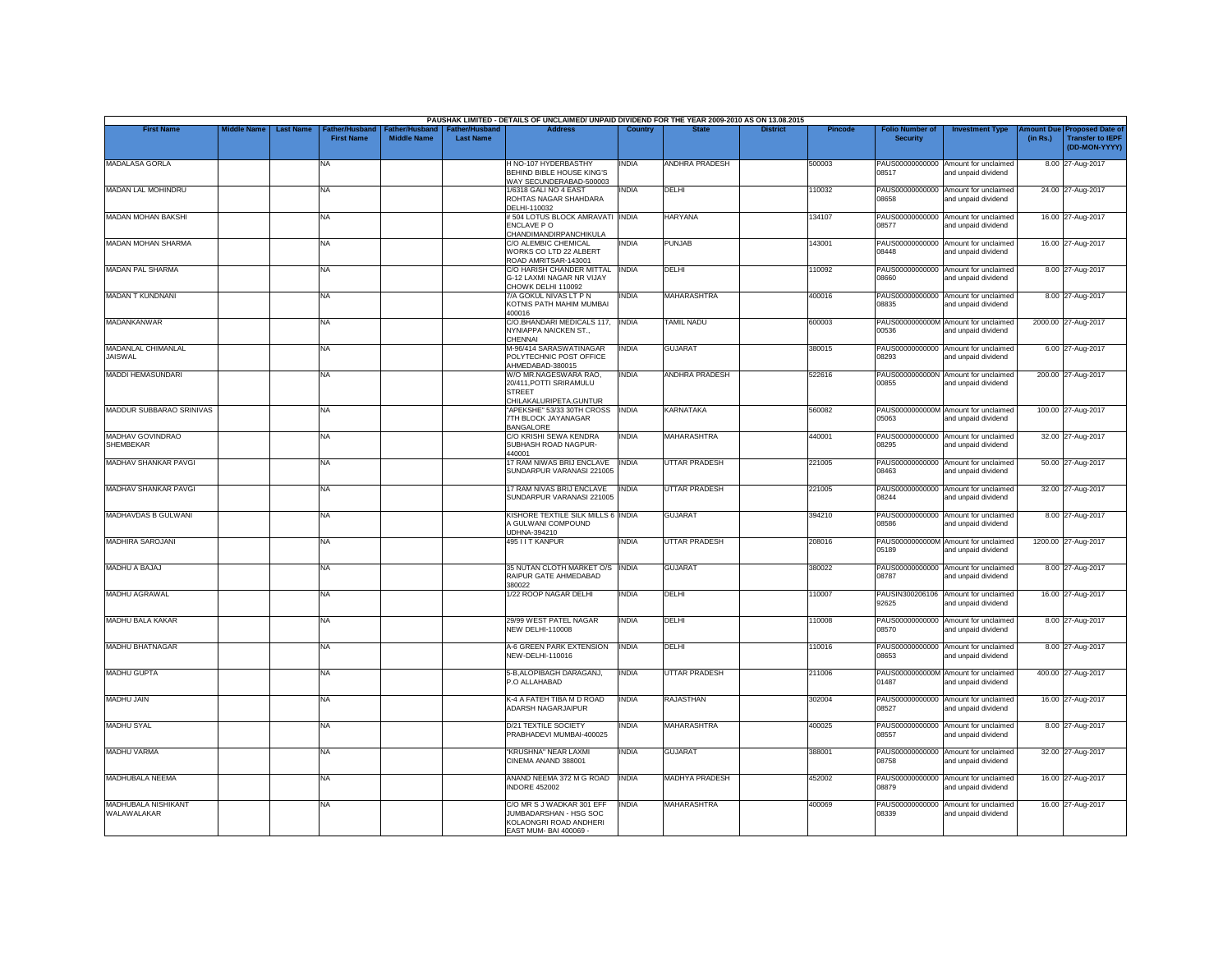|                                      |                    |                  |                                            |                                             |                                           | PAUSHAK LIMITED - DETAILS OF UNCLAIMED/ UNPAID DIVIDEND FOR THE YEAR 2009-2010 AS ON 13.08.2015         |              |                       |                 |                |                                           |                                                             |          |                                                                         |
|--------------------------------------|--------------------|------------------|--------------------------------------------|---------------------------------------------|-------------------------------------------|---------------------------------------------------------------------------------------------------------|--------------|-----------------------|-----------------|----------------|-------------------------------------------|-------------------------------------------------------------|----------|-------------------------------------------------------------------------|
| <b>First Name</b>                    | <b>Middle Name</b> | <b>Last Name</b> | <b>Father/Husband</b><br><b>First Name</b> | <b>Father/Husband</b><br><b>Middle Name</b> | <b>Father/Husband</b><br><b>Last Name</b> | <b>Address</b>                                                                                          | Country      | <b>State</b>          | <b>District</b> | <b>Pincode</b> | <b>Folio Number of</b><br><b>Security</b> | <b>Investment Type</b>                                      | (in Rs.) | Amount Due Proposed Date of<br><b>Transfer to IEPF</b><br>(DD-MON-YYYY) |
| MADALASA GORLA                       |                    |                  | <b>NA</b>                                  |                                             |                                           | H NO-107 HYDERBASTHY<br>BEHIND BIBLE HOUSE KING'S<br>WAY SECUNDERABAD-500003                            | INDIA        | ANDHRA PRADESH        |                 | 500003         | 08517                                     | PAUS00000000000 Amount for unclaimed<br>and unpaid dividend |          | 8.00 27-Aug-2017                                                        |
| MADAN LAL MOHINDRU                   |                    |                  | <b>NA</b>                                  |                                             |                                           | 1/6318 GALI NO 4 EAST<br>ROHTAS NAGAR SHAHDARA<br>DELHI-110032                                          | <b>INDIA</b> | DELHI                 |                 | 110032         | 08658                                     | PAUS00000000000 Amount for unclaimed<br>and unpaid dividend |          | 24.00 27-Aug-2017                                                       |
| <b>MADAN MOHAN BAKSHI</b>            |                    |                  | <b>NA</b>                                  |                                             |                                           | #504 LOTUS BLOCK AMRAVATI INDIA<br>ENCLAVE PO<br>CHANDIMANDIRPANCHIKULA                                 |              | <b>HARYANA</b>        |                 | 134107         | PAUS00000000000<br>08577                  | Amount for unclaimed<br>and unpaid dividend                 |          | 16.00 27-Aug-2017                                                       |
| <b>MADAN MOHAN SHARMA</b>            |                    |                  | <b>NA</b>                                  |                                             |                                           | C/O ALEMBIC CHEMICAL<br>WORKS CO LTD 22 ALBERT<br>ROAD AMRITSAR-143001                                  | <b>INDIA</b> | PUNJAB                |                 | 143001         | 08448                                     | PAUS00000000000 Amount for unclaimed<br>and unpaid dividend |          | 16.00 27-Aug-2017                                                       |
| <b>MADAN PAL SHARMA</b>              |                    |                  | <b>NA</b>                                  |                                             |                                           | C/O HARISH CHANDER MITTAL<br>G-12 LAXMI NAGAR NR VIJAY<br>CHOWK DELHI 110092                            | <b>INDIA</b> | DELHI                 |                 | 110092         | PAUS00000000000<br>08660                  | Amount for unclaimed<br>and unpaid dividend                 |          | 8.00 27-Aug-2017                                                        |
| <b>MADAN T KUNDNANI</b>              |                    |                  | <b>NA</b>                                  |                                             |                                           | 7/A GOKUL NIVAS LT P N<br>KOTNIS PATH MAHIM MUMBAI<br>400016                                            | <b>INDIA</b> | <b>MAHARASHTRA</b>    |                 | 400016         | 08835                                     | PAUS00000000000 Amount for unclaimed<br>and unpaid dividend |          | 8.00 27-Aug-2017                                                        |
| MADANKANWAR                          |                    |                  | <b>NA</b>                                  |                                             |                                           | C/O.BHANDARI MEDICALS 117,<br>NYNIAPPA NAICKEN ST.,<br>CHENNAI                                          | <b>INDIA</b> | <b>TAMIL NADU</b>     |                 | 600003         | 00536                                     | PAUS0000000000M Amount for unclaimed<br>and unpaid dividend |          | 2000.00 27-Aug-2017                                                     |
| MADANLAL CHIMANLAL<br><b>JAISWAL</b> |                    |                  | <b>NA</b>                                  |                                             |                                           | M-96/414 SARASWATINAGAR<br>POLYTECHNIC POST OFFICE<br>AHMEDABAD-380015                                  | <b>INDIA</b> | <b>GUJARAT</b>        |                 | 380015         | 08293                                     | PAUS00000000000 Amount for unclaimed<br>and unpaid dividend |          | 6.00 27-Aug-2017                                                        |
| MADDI HEMASUNDARI                    |                    |                  | <b>NA</b>                                  |                                             |                                           | W/O MR.NAGESWARA RAO,<br>20/411, POTTI SRIRAMULU<br><b>STREET</b><br>CHILAKALURIPETA, GUNTUR            | <b>INDIA</b> | ANDHRA PRADESH        |                 | 522616         | 00855                                     | PAUS0000000000N Amount for unclaimed<br>and unpaid dividend |          | 200.00 27-Aug-2017                                                      |
| MADDUR SUBBARAO SRINIVAS             |                    |                  | <b>NA</b>                                  |                                             |                                           | "APEKSHE" 53/33 30TH CROSS<br>7TH BLOCK JAYANAGAR<br><b>BANGALORE</b>                                   | <b>INDIA</b> | KARNATAKA             |                 | 560082         | 05063                                     | PAUS0000000000M Amount for unclaimed<br>and unpaid dividend |          | 100.00 27-Aug-2017                                                      |
| <b>MADHAV GOVINDRAO</b><br>SHEMBEKAR |                    |                  | <b>NA</b>                                  |                                             |                                           | C/O KRISHI SEWA KENDRA<br>SUBHASH ROAD NAGPUR-<br>440001                                                | <b>INDIA</b> | MAHARASHTRA           |                 | 440001         | 08295                                     | PAUS00000000000 Amount for unclaimed<br>and unpaid dividend |          | 32.00 27-Aug-2017                                                       |
| <b>MADHAV SHANKAR PAVGI</b>          |                    |                  | <b>NA</b>                                  |                                             |                                           | 17 RAM NIWAS BRIJ ENCLAVE<br>SUNDARPUR VARANASI 221005                                                  | <b>INDIA</b> | <b>UTTAR PRADESH</b>  |                 | 221005         | 08463                                     | PAUS00000000000 Amount for unclaimed<br>and unpaid dividend |          | 50.00 27-Aug-2017                                                       |
| <b>MADHAV SHANKAR PAVGI</b>          |                    |                  | <b>NA</b>                                  |                                             |                                           | 17 RAM NIVAS BRIJ ENCLAVE<br>SUNDARPUR VARANASI 221005                                                  | <b>INDIA</b> | <b>UTTAR PRADESH</b>  |                 | 221005         | 08244                                     | PAUS00000000000 Amount for unclaimed<br>and unpaid dividend |          | 32.00 27-Aug-2017                                                       |
| MADHAVDAS B GULWANI                  |                    |                  | NA                                         |                                             |                                           | KISHORE TEXTILE SILK MILLS 6 INDIA<br>A GULWANI COMPOUND<br>UDHNA-394210                                |              | <b>GUJARAT</b>        |                 | 394210         | 08586                                     | PAUS00000000000 Amount for unclaimed<br>and unpaid dividend |          | 8.00 27-Aug-2017                                                        |
| <b>MADHIRA SAROJANI</b>              |                    |                  | <b>NA</b>                                  |                                             |                                           | 495 I I T KANPUR                                                                                        | <b>INDIA</b> | <b>UTTAR PRADESH</b>  |                 | 208016         | 05189                                     | PAUS0000000000M Amount for unclaimed<br>and unpaid dividend |          | 1200.00 27-Aug-2017                                                     |
| MADHU A BAJAJ                        |                    |                  | <b>NA</b>                                  |                                             |                                           | 35 NUTAN CLOTH MARKET O/S<br>RAIPUR GATE AHMEDABAD<br>380022                                            | <b>INDIA</b> | <b>GUJARAT</b>        |                 | 380022         | 08787                                     | PAUS00000000000 Amount for unclaimed<br>and unpaid dividend |          | 8.00 27-Aug-2017                                                        |
| MADHU AGRAWAL                        |                    |                  | <b>NA</b>                                  |                                             |                                           | 1/22 ROOP NAGAR DELHI                                                                                   | <b>INDIA</b> | DELHI                 |                 | 110007         | 92625                                     | PAUSIN300206106 Amount for unclaimed<br>and unpaid dividend |          | 16.00 27-Aug-2017                                                       |
| MADHU BALA KAKAR                     |                    |                  | NA                                         |                                             |                                           | 29/99 WEST PATEL NAGAR<br><b>NEW DELHI-110008</b>                                                       | <b>INDIA</b> | DELHI                 |                 | 110008         | 08570                                     | PAUS00000000000 Amount for unclaimed<br>and unpaid dividend |          | 8.00 27-Aug-2017                                                        |
| MADHU BHATNAGAR                      |                    |                  | <b>NA</b>                                  |                                             |                                           | A-6 GREEN PARK EXTENSION<br>NEW-DELHI-110016                                                            | <b>INDIA</b> | DELHI                 |                 | 110016         | 08653                                     | PAUS00000000000 Amount for unclaimed<br>and unpaid dividend |          | 8.00 27-Aug-2017                                                        |
| <b>MADHU GUPTA</b>                   |                    |                  | <b>NA</b>                                  |                                             |                                           | 5-B, ALOPIBAGH DARAGANJ,<br>P.O ALLAHABAD                                                               | <b>INDIA</b> | <b>UTTAR PRADESH</b>  |                 | 211006         | 01487                                     | PAUS0000000000M Amount for unclaimed<br>and unpaid dividend |          | 400.00 27-Aug-2017                                                      |
| <b>MADHU JAIN</b>                    |                    |                  | <b>NA</b>                                  |                                             |                                           | K-4 A FATEH TIBA M D ROAD<br>ADARSH NAGARJAIPUR                                                         | INDIA        | <b>RAJASTHAN</b>      |                 | 302004         | PAUS00000000000<br>08527                  | Amount for unclaimed<br>and unpaid dividend                 |          | 16.00 27-Aug-2017                                                       |
| <b>MADHU SYAL</b>                    |                    |                  | <b>NA</b>                                  |                                             |                                           | <b>D/21 TEXTILE SOCIETY</b><br>PRABHADEVI MUMBAI-400025                                                 | <b>INDIA</b> | <b>MAHARASHTRA</b>    |                 | 400025         | 08557                                     | PAUS00000000000 Amount for unclaimed<br>and unpaid dividend |          | 8.00 27-Aug-2017                                                        |
| <b>MADHU VARMA</b>                   |                    |                  | <b>NA</b>                                  |                                             |                                           | 'KRUSHNA" NEAR LAXMI<br>CINEMA ANAND 388001                                                             | <b>INDIA</b> | <b>GUJARAT</b>        |                 | 388001         | 08758                                     | PAUS00000000000 Amount for unclaimed<br>and unpaid dividend |          | 32.00 27-Aug-2017                                                       |
| MADHUBALA NEEMA                      |                    |                  | <b>NA</b>                                  |                                             |                                           | ANAND NEEMA 372 M G ROAD<br><b>INDORE 452002</b>                                                        | <b>INDIA</b> | <b>MADHYA PRADESH</b> |                 | 452002         | 08879                                     | PAUS00000000000 Amount for unclaimed<br>and unpaid dividend |          | 16.00 27-Aug-2017                                                       |
| MADHUBALA NISHIKANT<br>WALAWALAKAR   |                    |                  | <b>NA</b>                                  |                                             |                                           | C/O MR S J WADKAR 301 EFF<br>JUMBADARSHAN - HSG SOC<br>KOLAONGRI ROAD ANDHERI<br>EAST MUM- BAI 400069 - | <b>INDIA</b> | <b>MAHARASHTRA</b>    |                 | 400069         | PAUS00000000000<br>08339                  | Amount for unclaimed<br>and unpaid dividend                 |          | 16.00 27-Aug-2017                                                       |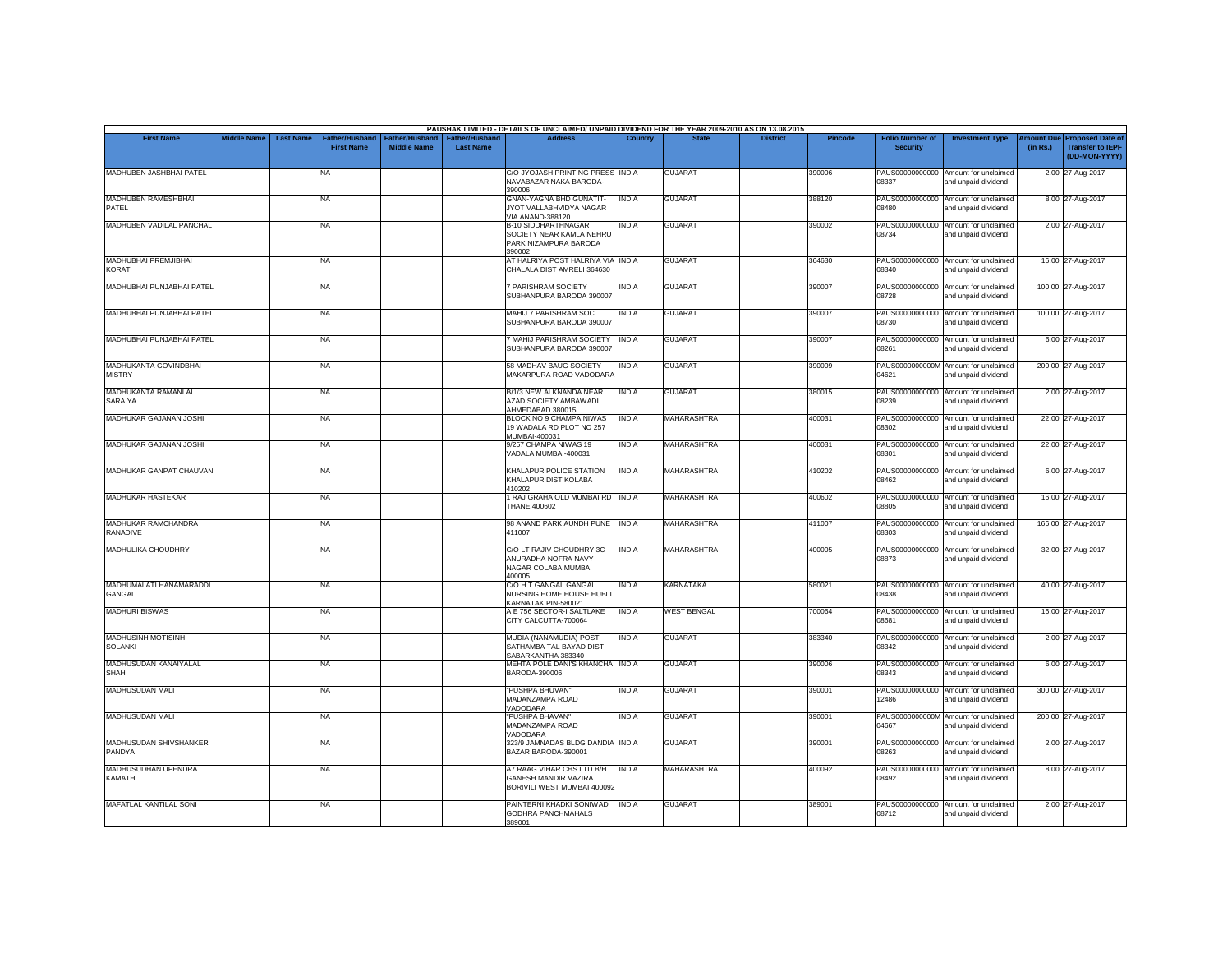|                                               |                    |                  |                                     |                                             |                                           | PAUSHAK LIMITED - DETAILS OF UNCLAIMED/ UNPAID DIVIDEND FOR THE YEAR 2009-2010 AS ON 13.08.2015 |              |                    |                 |                |                                           |                                                             |                       |                                                                     |
|-----------------------------------------------|--------------------|------------------|-------------------------------------|---------------------------------------------|-------------------------------------------|-------------------------------------------------------------------------------------------------|--------------|--------------------|-----------------|----------------|-------------------------------------------|-------------------------------------------------------------|-----------------------|---------------------------------------------------------------------|
| <b>First Name</b>                             | <b>Middle Name</b> | <b>Last Name</b> | Father/Husband<br><b>First Name</b> | <b>Father/Husband</b><br><b>Middle Name</b> | <b>Father/Husband</b><br><b>Last Name</b> | <b>Address</b>                                                                                  | Country      | <b>State</b>       | <b>District</b> | <b>Pincode</b> | <b>Folio Number of</b><br><b>Security</b> | <b>Investment Type</b>                                      | mount Due<br>(in Rs.) | <b>Proposed Date of</b><br><b>Transfer to IEPF</b><br>(DD-MON-YYYY) |
| MADHUBEN JASHBHAI PATEL                       |                    |                  | <b>NA</b>                           |                                             |                                           | C/O JYOJASH PRINTING PRESS INDIA<br>NAVABAZAR NAKA BARODA-<br>390006                            |              | <b>GUJARAT</b>     |                 | 390006         | 08337                                     | PAUS00000000000 Amount for unclaimed<br>and unpaid dividend |                       | 2.00 27-Aug-2017                                                    |
| MADHUBEN RAMESHBHAI<br>PATEL                  |                    |                  | <b>NA</b>                           |                                             |                                           | GNAN-YAGNA BHD GUNATIT-<br>JYOT VALLABHVIDYA NAGAR<br><b>VIA ANAND-388120</b>                   | <b>INDIA</b> | <b>GUJARAT</b>     |                 | 388120         | 08480                                     | PAUS00000000000 Amount for unclaimed<br>and unpaid dividend |                       | 8.00 27-Aug-2017                                                    |
| MADHUBEN VADILAL PANCHAL                      |                    |                  | <b>NA</b>                           |                                             |                                           | <b>B-10 SIDDHARTHNAGAR</b><br>SOCIETY NEAR KAMLA NEHRU<br>PARK NIZAMPURA BARODA<br>390002       | INDIA        | <b>GUJARAT</b>     |                 | 390002         | 08734                                     | PAUS00000000000 Amount for unclaimed<br>and unpaid dividend |                       | 2.00 27-Aug-2017                                                    |
| <b>MADHUBHAI PREMJIBHAI</b><br><b>KORAT</b>   |                    |                  | <b>NA</b>                           |                                             |                                           | AT HALRIYA POST HALRIYA VIA INDIA<br>CHALALA DIST AMRELI 364630                                 |              | <b>GUJARAT</b>     |                 | 364630         | 08340                                     | PAUS00000000000 Amount for unclaimed<br>and unpaid dividend |                       | 16.00 27-Aug-2017                                                   |
| MADHUBHAI PUNJABHAI PATEL                     |                    |                  | <b>NA</b>                           |                                             |                                           | 7 PARISHRAM SOCIETY<br>SUBHANPURA BARODA 390007                                                 | <b>INDIA</b> | <b>GUJARAT</b>     |                 | 390007         | 08728                                     | PAUS00000000000 Amount for unclaimed<br>and unpaid dividend |                       | 100.00 27-Aug-2017                                                  |
| MADHUBHAI PUNJABHAI PATEL                     |                    |                  | <b>NA</b>                           |                                             |                                           | MAHIJ 7 PARISHRAM SOC<br>SUBHANPURA BARODA 390007                                               | <b>INDIA</b> | <b>GUJARAT</b>     |                 | 390007         | 08730                                     | PAUS00000000000 Amount for unclaimed<br>and unpaid dividend |                       | 100.00 27-Aug-2017                                                  |
| MADHUBHAI PUNJABHAI PATEL                     |                    |                  | <b>NA</b>                           |                                             |                                           | MAHIJ PARISHRAM SOCIETY<br>SUBHANPURA BARODA 390007                                             | <b>INDIA</b> | <b>GUJARAT</b>     |                 | 390007         | 08261                                     | PAUS00000000000 Amount for unclaimed<br>and unpaid dividend |                       | 6.00 27-Aug-2017                                                    |
| <b>MADHUKANTA GOVINDBHAI</b><br><b>MISTRY</b> |                    |                  | <b>NA</b>                           |                                             |                                           | 58 MADHAV BAUG SOCIETY<br>MAKARPURA ROAD VADODARA                                               | <b>INDIA</b> | <b>GUJARAT</b>     |                 | 390009         | 04621                                     | PAUS0000000000M Amount for unclaimed<br>and unpaid dividend |                       | 200.00 27-Aug-2017                                                  |
| MADHUKANTA RAMANLAL<br>SARAIYA                |                    |                  | <b>NA</b>                           |                                             |                                           | B/1/3 NEW ALKNANDA NEAR<br>AZAD SOCIETY AMBAWADI<br>AHMEDABAD 380015                            | <b>INDIA</b> | <b>GUJARAT</b>     |                 | 380015         | PAUS00000000000<br>08239                  | Amount for unclaimed<br>and unpaid dividend                 |                       | 2.00 27-Aug-2017                                                    |
| MADHUKAR GAJANAN JOSHI                        |                    |                  | NA                                  |                                             |                                           | BLOCK NO 9 CHAMPA NIWAS<br>19 WADALA RD PLOT NO 257<br>MUMBAI-400031                            | <b>INDIA</b> | <b>MAHARASHTRA</b> |                 | 400031         | 08302                                     | PAUS00000000000 Amount for unclaimed<br>and unpaid dividend |                       | 22.00 27-Aug-2017                                                   |
| MADHUKAR GAJANAN JOSHI                        |                    |                  | <b>NA</b>                           |                                             |                                           | 9/257 CHAMPA NIWAS 19<br>VADALA MUMBAI-400031                                                   | <b>INDIA</b> | MAHARASHTRA        |                 | 400031         | 08301                                     | PAUS00000000000 Amount for unclaimed<br>and unpaid dividend |                       | 22.00 27-Aug-2017                                                   |
| MADHUKAR GANPAT CHAUVAN                       |                    |                  | <b>NA</b>                           |                                             |                                           | KHALAPUR POLICE STATION<br>KHALAPUR DIST KOLABA<br>410202                                       | <b>INDIA</b> | <b>MAHARASHTRA</b> |                 | 410202         | 08462                                     | PAUS00000000000 Amount for unclaimed<br>and unpaid dividend |                       | 6.00 27-Aug-2017                                                    |
| <b>MADHUKAR HASTEKAR</b>                      |                    |                  | <b>NA</b>                           |                                             |                                           | 1 RAJ GRAHA OLD MUMBAI RD<br><b>THANE 400602</b>                                                | <b>INDIA</b> | <b>MAHARASHTRA</b> |                 | 400602         | 08805                                     | PAUS00000000000 Amount for unclaimed<br>and unpaid dividend |                       | 16.00 27-Aug-2017                                                   |
| <b>MADHUKAR RAMCHANDRA</b><br><b>RANADIVE</b> |                    |                  | <b>NA</b>                           |                                             |                                           | 98 ANAND PARK AUNDH PUNE<br>411007                                                              | <b>INDIA</b> | <b>MAHARASHTRA</b> |                 | 411007         | PAUS00000000000<br>08303                  | Amount for unclaimed<br>and unpaid dividend                 |                       | 166.00 27-Aug-2017                                                  |
| MADHULIKA CHOUDHRY                            |                    |                  | <b>NA</b>                           |                                             |                                           | C/O LT RAJIV CHOUDHRY 3C<br>ANURADHA NOFRA NAVY<br>NAGAR COLABA MUMBAI<br>400005                | <b>INDIA</b> | MAHARASHTRA        |                 | 400005         | 08873                                     | PAUS00000000000 Amount for unclaimed<br>and unpaid dividend |                       | 32.00 27-Aug-2017                                                   |
| MADHUMALATI HANAMARADDI<br>GANGAL             |                    |                  | <b>NA</b>                           |                                             |                                           | C/O H T GANGAL GANGAL<br>NURSING HOME HOUSE HUBLI<br>KARNATAK PIN-580021                        | <b>INDIA</b> | <b>KARNATAKA</b>   |                 | 580021         | 08438                                     | PAUS00000000000 Amount for unclaimed<br>and unpaid dividend |                       | 40.00 27-Aug-2017                                                   |
| <b>MADHURI BISWAS</b>                         |                    |                  | <b>NA</b>                           |                                             |                                           | A E 756 SECTOR-I SALTLAKE<br>CITY CALCUTTA-700064                                               | <b>INDIA</b> | <b>WEST BENGAL</b> |                 | 700064         | 08681                                     | PAUS00000000000 Amount for unclaimed<br>and unpaid dividend |                       | 16.00 27-Aug-2017                                                   |
| <b>MADHUSINH MOTISINH</b><br><b>SOLANKI</b>   |                    |                  | <b>NA</b>                           |                                             |                                           | MUDIA (NANAMUDIA) POST<br>SATHAMBA TAL BAYAD DIST<br>SABARKANTHA 383340                         | INDIA        | <b>GUJARAT</b>     |                 | 383340         | 08342                                     | PAUS00000000000 Amount for unclaimed<br>and unpaid dividend |                       | 2.00 27-Aug-2017                                                    |
| MADHUSUDAN KANAIYALAL<br><b>SHAH</b>          |                    |                  | <b>NA</b>                           |                                             |                                           | MEHTA POLE DANI'S KHANCHA INDIA<br>BARODA-390006                                                |              | <b>GUJARAT</b>     |                 | 390006         | PAUS00000000000<br>08343                  | Amount for unclaimed<br>and unpaid dividend                 |                       | 6.00 27-Aug-2017                                                    |
| MADHUSUDAN MALI                               |                    |                  | NA                                  |                                             |                                           | "PUSHPA BHUVAN"<br>MADANZAMPA ROAD<br>VADODARA                                                  | INDIA        | <b>GUJARAT</b>     |                 | 390001         | 12486                                     | PAUS00000000000 Amount for unclaimed<br>and unpaid dividend |                       | 300.00 27-Aug-2017                                                  |
| MADHUSUDAN MALI                               |                    |                  | <b>NA</b>                           |                                             |                                           | "PUSHPA BHAVAN"<br>MADANZAMPA ROAD<br>VADODARA                                                  | INDIA        | <b>GUJARAT</b>     |                 | 390001         | 04667                                     | PAUS0000000000M Amount for unclaimed<br>and unpaid dividend |                       | 200.00 27-Aug-2017                                                  |
| MADHUSUDAN SHIVSHANKER<br>PANDYA              |                    |                  | <b>NA</b>                           |                                             |                                           | 323/9 JAMNADAS BLDG DANDIA INDIA<br>BAZAR BARODA-390001                                         |              | <b>GUJARAT</b>     |                 | 390001         | 08263                                     | PAUS00000000000 Amount for unclaimed<br>and unpaid dividend |                       | 2.00 27-Aug-2017                                                    |
| MADHUSUDHAN UPENDRA<br><b>KAMATH</b>          |                    |                  | <b>NA</b>                           |                                             |                                           | A7 RAAG VIHAR CHS LTD B/H<br><b>GANESH MANDIR VAZIRA</b><br>BORIVILI WEST MUMBAI 400092         | <b>INDIA</b> | <b>MAHARASHTRA</b> |                 | 400092         | 08492                                     | PAUS00000000000 Amount for unclaimed<br>and unpaid dividend |                       | 8.00 27-Aug-2017                                                    |
| <b>MAFATLAL KANTILAL SONI</b>                 |                    |                  | <b>NA</b>                           |                                             |                                           | PAINTERNI KHADKI SONIWAD<br><b>GODHRA PANCHMAHALS</b><br>389001                                 | <b>INDIA</b> | <b>GUJARAT</b>     |                 | 389001         | PAUS00000000000<br>08712                  | Amount for unclaimed<br>and unpaid dividend                 |                       | 2.00 27-Aug-2017                                                    |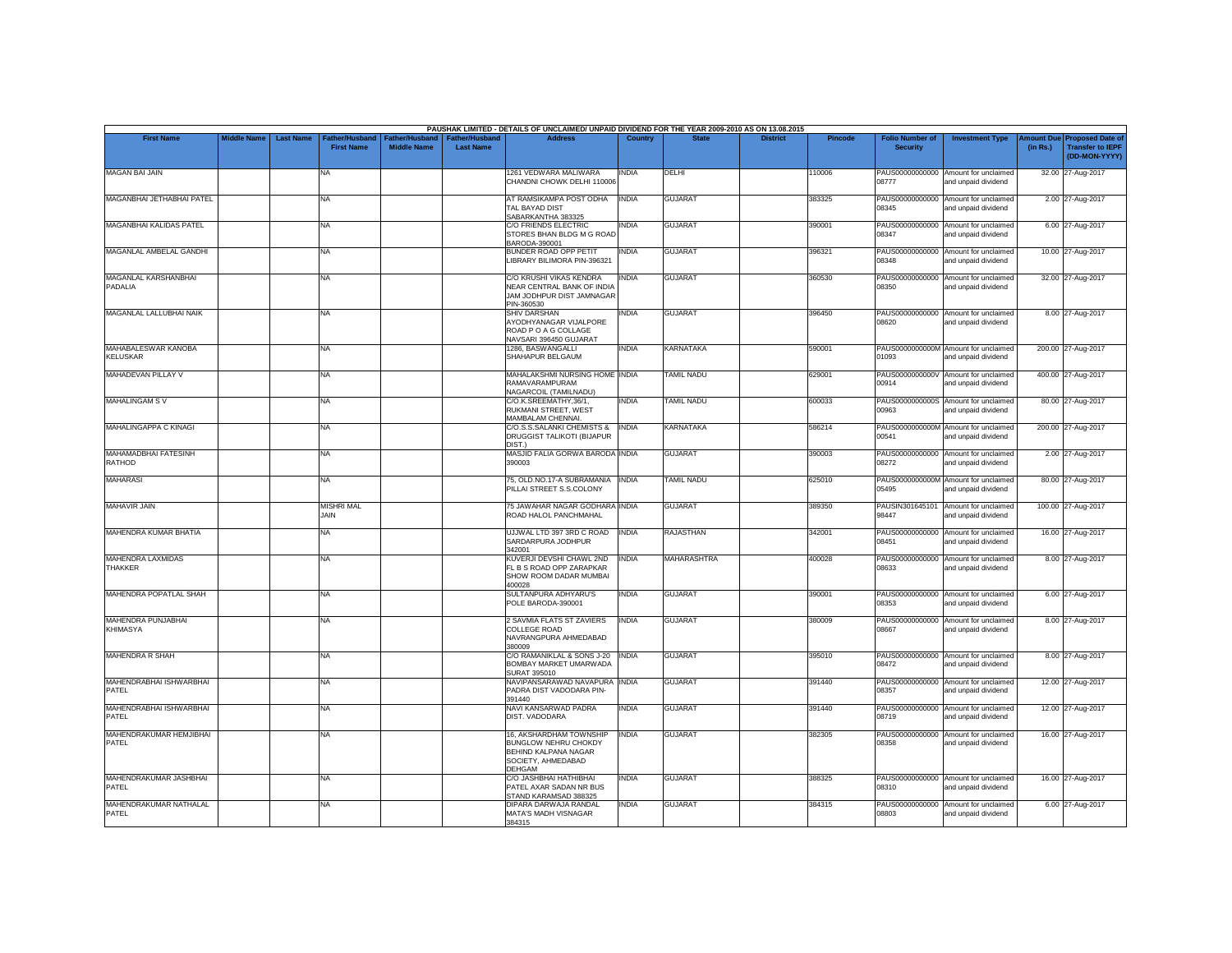|                                         |                    |                  |                                     |                                      |                                           | PAUSHAK LIMITED - DETAILS OF UNCLAIMED/ UNPAID DIVIDEND FOR THE YEAR 2009-2010 AS ON 13.08.2015                |                |                    |                 |         |                                           |                                                             |          |                                                                                |
|-----------------------------------------|--------------------|------------------|-------------------------------------|--------------------------------------|-------------------------------------------|----------------------------------------------------------------------------------------------------------------|----------------|--------------------|-----------------|---------|-------------------------------------------|-------------------------------------------------------------|----------|--------------------------------------------------------------------------------|
| <b>First Name</b>                       | <b>Middle Name</b> | <b>Last Name</b> | Father/Husband<br><b>First Name</b> | Father/Husband<br><b>Middle Name</b> | <b>Father/Husband</b><br><b>Last Name</b> | <b>Address</b>                                                                                                 | <b>Country</b> | <b>State</b>       | <b>District</b> | Pincode | <b>Folio Number of</b><br><b>Security</b> | <b>Investment Type</b>                                      | (in Rs.) | <b>Amount Due Proposed Date of</b><br><b>Transfer to IEPF</b><br>(DD-MON-YYYY) |
| <b>MAGAN BAI JAIN</b>                   |                    |                  | <b>NA</b>                           |                                      |                                           | 1261 VEDWARA MALIWARA<br>CHANDNI CHOWK DELHI 110006                                                            | <b>INDIA</b>   | DELHI              |                 | 110006  | 08777                                     | PAUS00000000000 Amount for unclaimed<br>and unpaid dividend |          | 32.00 27-Aug-2017                                                              |
| MAGANBHAI JETHABHAI PATEL               |                    |                  | <b>NA</b>                           |                                      |                                           | AT RAMSIKAMPA POST ODHA<br>TAL BAYAD DIST<br>SABARKANTHA 383325                                                | <b>INDIA</b>   | <b>GUJARAT</b>     |                 | 383325  | PAUS00000000000<br>08345                  | Amount for unclaimed<br>and unpaid dividend                 |          | 2.00 27-Aug-2017                                                               |
| <b>MAGANBHAI KALIDAS PATEL</b>          |                    |                  | <b>NA</b>                           |                                      |                                           | C/O FRIENDS ELECTRIC<br>STORES BHAN BLDG M G ROAD<br>BARODA-390001                                             | <b>INDIA</b>   | <b>GUJARAT</b>     |                 | 390001  | 08347                                     | PAUS00000000000 Amount for unclaimed<br>and unpaid dividend |          | 6.00 27-Aug-2017                                                               |
| MAGANLAL AMBELAL GANDHI                 |                    |                  | <b>NA</b>                           |                                      |                                           | BUNDER ROAD OPP PETIT<br>LIBRARY BILIMORA PIN-396321                                                           | <b>INDIA</b>   | <b>GUJARAT</b>     |                 | 396321  | 08348                                     | PAUS00000000000 Amount for unclaimed<br>and unpaid dividend |          | 10.00 27-Aug-2017                                                              |
| MAGANLAL KARSHANBHAI<br>PADALIA         |                    |                  | <b>NA</b>                           |                                      |                                           | C/O KRUSHI VIKAS KENDRA<br>NEAR CENTRAL BANK OF INDIA<br>JAM JODHPUR DIST JAMNAGAR<br>PIN-360530               | <b>INDIA</b>   | <b>GUJARAT</b>     |                 | 360530  | 08350                                     | PAUS00000000000 Amount for unclaimed<br>and unpaid dividend |          | 32.00 27-Aug-2017                                                              |
| MAGANLAL LALLUBHAI NAIK                 |                    |                  | <b>NA</b>                           |                                      |                                           | SHIV DARSHAN<br>AYODHYANAGAR VIJALPORE<br>ROAD P O A G COLLAGE<br>NAVSARI 396450 GUJARAT                       | INDIA          | <b>GUJARAT</b>     |                 | 396450  | 08620                                     | PAUS00000000000 Amount for unclaimed<br>and unpaid dividend |          | 8.00 27-Aug-2017                                                               |
| MAHABALESWAR KANOBA<br><b>KELUSKAR</b>  |                    |                  | <b>NA</b>                           |                                      |                                           | 1286, BASWANGALLI<br>SHAHAPUR BELGAUM                                                                          | <b>INDIA</b>   | <b>KARNATAKA</b>   |                 | 590001  | 01093                                     | PAUS0000000000M Amount for unclaimed<br>and unpaid dividend |          | 200.00 27-Aug-2017                                                             |
| <b>MAHADEVAN PILLAY V</b>               |                    |                  | <b>NA</b>                           |                                      |                                           | MAHALAKSHMI NURSING HOME INDIA<br>RAMAVARAMPURAM<br>NAGARCOIL (TAMILNADU)                                      |                | <b>TAMIL NADU</b>  |                 | 629001  | 00914                                     | PAUS0000000000V Amount for unclaimed<br>and unpaid dividend |          | 400.00 27-Aug-2017                                                             |
| <b>MAHALINGAM SV</b>                    |                    |                  | <b>NA</b>                           |                                      |                                           | C/O.K.SREEMATHY.36/1.<br>RUKMANI STREET, WEST<br>MAMBALAM CHENNAI.                                             | <b>INDIA</b>   | <b>TAMIL NADU</b>  |                 | 600033  | PAUS0000000000S<br>00963                  | Amount for unclaimed<br>and unpaid dividend                 |          | 80.00 27-Aug-2017                                                              |
| MAHALINGAPPA C KINAGI                   |                    |                  | <b>NA</b>                           |                                      |                                           | C/O.S.S. SALANKI CHEMISTS &<br>DRUGGIST TALIKOTI (BIJAPUR<br>DIST.)                                            | <b>INDIA</b>   | <b>KARNATAKA</b>   |                 | 586214  | 00541                                     | PAUS0000000000M Amount for unclaimed<br>and unpaid dividend |          | 200.00 27-Aug-2017                                                             |
| MAHAMADBHAI FATESINH<br>RATHOD          |                    |                  | <b>NA</b>                           |                                      |                                           | MASJID FALIA GORWA BARODA INDIA<br>390003                                                                      |                | <b>GUJARAT</b>     |                 | 390003  | 08272                                     | PAUS00000000000 Amount for unclaimed<br>and unpaid dividend |          | 2.00 27-Aug-2017                                                               |
| <b>MAHARASI</b>                         |                    |                  | <b>NA</b>                           |                                      |                                           | 75, OLD.NO.17-A SUBRAMANIA   INDIA<br>PILLAI STREET S.S.COLONY                                                 |                | <b>TAMIL NADU</b>  |                 | 625010  | 05495                                     | PAUS0000000000M Amount for unclaimed<br>and unpaid dividend |          | 80.00 27-Aug-2017                                                              |
| <b>MAHAVIR JAIN</b>                     |                    |                  | <b>MISHRI MAL</b><br>JAIN           |                                      |                                           | 75 JAWAHAR NAGAR GODHARA INDIA<br>ROAD HALOL PANCHMAHAL                                                        |                | <b>GUJARAT</b>     |                 | 389350  | 98447                                     | PAUSIN301645101 Amount for unclaimed<br>and unpaid dividend |          | 100.00 27-Aug-2017                                                             |
| <b>MAHENDRA KUMAR BHATIA</b>            |                    |                  | <b>NA</b>                           |                                      |                                           | UJJWAL LTD 397 3RD C ROAD<br>SARDARPURA JODHPUR<br>342001                                                      | <b>INDIA</b>   | <b>RAJASTHAN</b>   |                 | 342001  | PAUS00000000000<br>08451                  | Amount for unclaimed<br>and unpaid dividend                 |          | 16.00 27-Aug-2017                                                              |
| MAHENDRA LAXMIDAS<br><b>THAKKER</b>     |                    |                  | <b>NA</b>                           |                                      |                                           | KUVERJI DEVSHI CHAWL 2ND<br>FL B S ROAD OPP ZARAPKAR<br>SHOW ROOM DADAR MUMBAI<br>400028                       | <b>INDIA</b>   | <b>MAHARASHTRA</b> |                 | 400028  | 08633                                     | PAUS00000000000 Amount for unclaimed<br>and unpaid dividend |          | 8.00 27-Aug-2017                                                               |
| MAHENDRA POPATLAL SHAH                  |                    |                  | <b>NA</b>                           |                                      |                                           | SULTANPURA ADHYARU'S<br>POLE BARODA-390001                                                                     | <b>INDIA</b>   | <b>GUJARAT</b>     |                 | 390001  | 08353                                     | PAUS00000000000 Amount for unclaimed<br>and unpaid dividend |          | 6.00 27-Aug-2017                                                               |
| MAHENDRA PUNJABHAI<br><b>KHIMASYA</b>   |                    |                  | <b>NA</b>                           |                                      |                                           | 2 SAVMIA FLATS ST ZAVIERS<br>COLLEGE ROAD<br>NAVRANGPURA AHMEDABAD<br>380009                                   | <b>INDIA</b>   | <b>GUJARAT</b>     |                 | 380009  | C8667                                     | PAUS00000000000 Amount for unclaimed<br>and unpaid dividend |          | 8.00 27-Aug-2017                                                               |
| MAHENDRA R SHAH                         |                    |                  | <b>NA</b>                           |                                      |                                           | C/O RAMANIKLAL & SONS J-20<br>BOMBAY MARKET UMARWADA<br>SURAT 395010                                           | <b>INDIA</b>   | <b>GUJARAT</b>     |                 | 395010  | 08472                                     | PAUS00000000000 Amount for unclaimed<br>and unpaid dividend |          | 8.00 27-Aug-2017                                                               |
| <b>MAHENDRABHAI ISHWARBHAI</b><br>PATEL |                    |                  | <b>NA</b>                           |                                      |                                           | NAVIPANSARAWAD NAVAPURA INDIA<br>PADRA DIST VADODARA PIN-<br>391440                                            |                | <b>GUJARAT</b>     |                 | 391440  | 08357                                     | PAUS00000000000 Amount for unclaimed<br>and unpaid dividend |          | 12.00 27-Aug-2017                                                              |
| MAHENDRABHAI ISHWARBHAI<br>PATEL        |                    |                  | <b>NA</b>                           |                                      |                                           | NAVI KANSARWAD PADRA<br>DIST. VADODARA                                                                         | <b>INDIA</b>   | <b>GUJARAT</b>     |                 | 391440  | 08719                                     | PAUS00000000000 Amount for unclaimed<br>and unpaid dividend |          | 12.00 27-Aug-2017                                                              |
| MAHENDRAKUMAR HEMJIBHAI<br>PATEL        |                    |                  | <b>NA</b>                           |                                      |                                           | 16. AKSHARDHAM TOWNSHIP<br><b>BUNGLOW NEHRU CHOKDY</b><br>BEHIND KALPANA NAGAR<br>SOCIETY, AHMEDABAD<br>DEHGAM | <b>INDIA</b>   | <b>GUJARAT</b>     |                 | 382305  | 08358                                     | PAUS00000000000 Amount for unclaimed<br>and unpaid dividend |          | 16.00 27-Aug-2017                                                              |
| MAHENDRAKUMAR JASHBHAI<br>PATEL         |                    |                  | <b>NA</b>                           |                                      |                                           | C/O JASHBHAI HATHIBHAI<br>PATEL AXAR SADAN NR BUS<br>STAND KARAMSAD 388325                                     | <b>INDIA</b>   | <b>GUJARAT</b>     |                 | 388325  | 08310                                     | PAUS00000000000 Amount for unclaimed<br>and unpaid dividend |          | 16.00 27-Aug-2017                                                              |
| MAHENDRAKUMAR NATHALAL<br>PATEL         |                    |                  | <b>NA</b>                           |                                      |                                           | DIPARA DARWAJA RANDAL<br>MATA'S MADH VISNAGAR<br>384315                                                        | <b>INDIA</b>   | <b>GUJARAT</b>     |                 | 384315  | PAUS00000000000<br>08803                  | Amount for unclaimed<br>and unpaid dividend                 |          | 6.00 27-Aug-2017                                                               |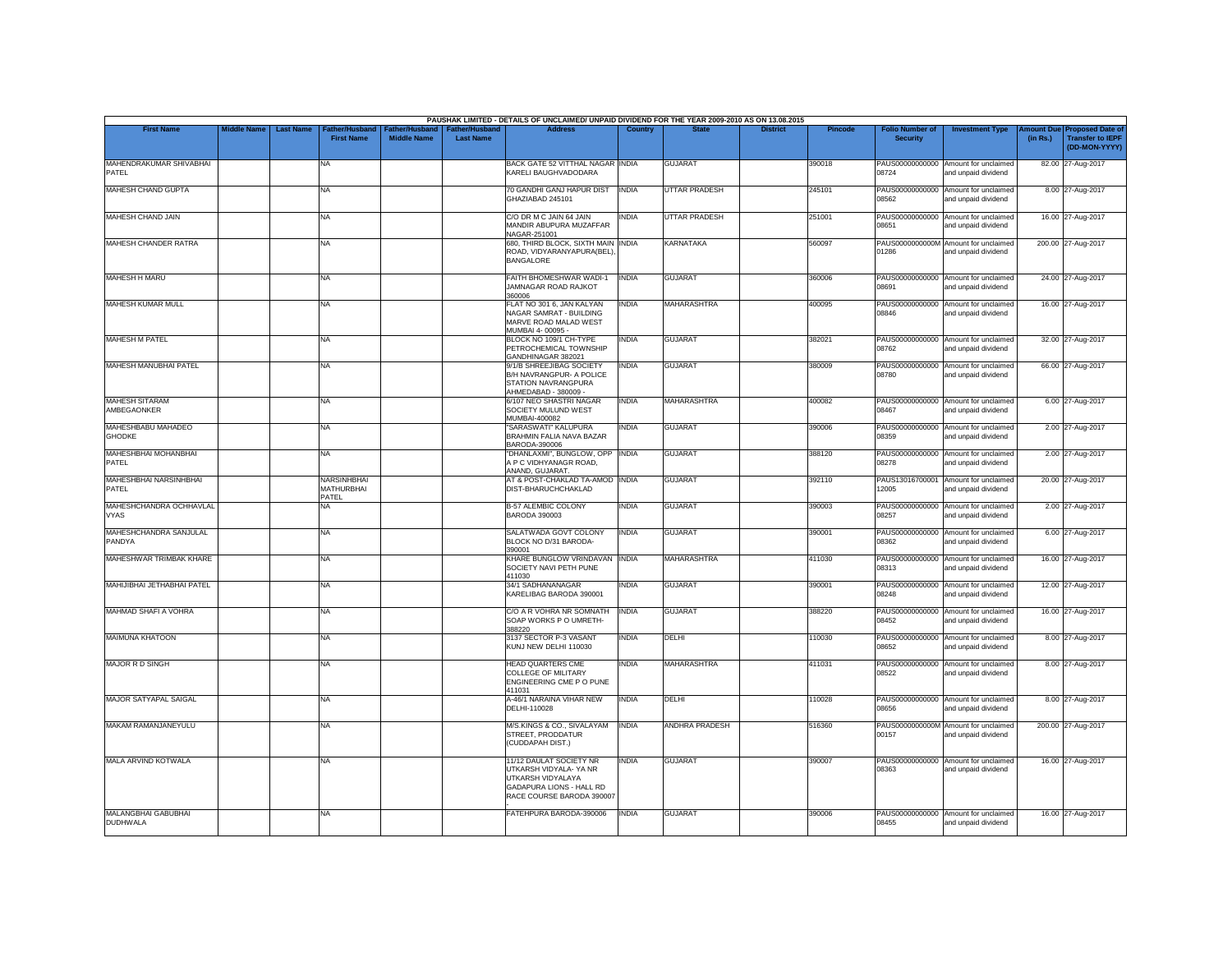|                                        |                    |                                                         |                                      |                                           | PAUSHAK LIMITED - DETAILS OF UNCLAIMED/ UNPAID DIVIDEND FOR THE YEAR 2009-2010 AS ON 13.08.2015                                        |                |                      |                 |                |                                           |                                                             |          |                                                                        |
|----------------------------------------|--------------------|---------------------------------------------------------|--------------------------------------|-------------------------------------------|----------------------------------------------------------------------------------------------------------------------------------------|----------------|----------------------|-----------------|----------------|-------------------------------------------|-------------------------------------------------------------|----------|------------------------------------------------------------------------|
| <b>First Name</b>                      | <b>Middle Name</b> | <b>Last Name</b><br>Father/Husband<br><b>First Name</b> | Father/Husband<br><b>Middle Name</b> | <b>Father/Husband</b><br><b>Last Name</b> | <b>Address</b>                                                                                                                         | <b>Country</b> | <b>State</b>         | <b>District</b> | <b>Pincode</b> | <b>Folio Number of</b><br><b>Security</b> | <b>Investment Type</b>                                      | (in Rs.) | mount Due Proposed Date of<br><b>Transfer to IEPF</b><br>(DD-MON-YYYY) |
| MAHENDRAKUMAR SHIVABHAI<br>PATEL       |                    | NA                                                      |                                      |                                           | BACK GATE 52 VITTHAL NAGAR INDIA<br>KARELI BAUGHVADODARA                                                                               |                | <b>GUJARAT</b>       |                 | 390018         | PAUS00000000000<br>08724                  | Amount for unclaimed<br>and unpaid dividend                 |          | 82.00 27-Aug-2017                                                      |
| <b>MAHESH CHAND GUPTA</b>              |                    | <b>NA</b>                                               |                                      |                                           | 70 GANDHI GANJ HAPUR DIST<br>GHAZIABAD 245101                                                                                          | <b>INDIA</b>   | <b>UTTAR PRADESH</b> |                 | 245101         | 08562                                     | PAUS00000000000 Amount for unclaimed<br>and unpaid dividend |          | 8.00 27-Aug-2017                                                       |
| MAHESH CHAND JAIN                      |                    | <b>NA</b>                                               |                                      |                                           | C/O DR M C JAIN 64 JAIN<br>MANDIR ABUPURA MUZAFFAR<br>NAGAR-251001                                                                     | INDIA          | <b>UTTAR PRADESH</b> |                 | 251001         | PAUS00000000000<br>08651                  | Amount for unclaimed<br>and unpaid dividend                 |          | 16.00 27-Aug-2017                                                      |
| <b>MAHESH CHANDER RATRA</b>            |                    | <b>NA</b>                                               |                                      |                                           | 680, THIRD BLOCK, SIXTH MAIN INDIA<br>ROAD, VIDYARANYAPURA(BEL).<br><b>BANGALORE</b>                                                   |                | <b>KARNATAKA</b>     |                 | 560097         | 01286                                     | PAUS0000000000M Amount for unclaimed<br>and unpaid dividend |          | 200.00 27-Aug-2017                                                     |
| MAHESH H MARU                          |                    | <b>NA</b>                                               |                                      |                                           | FAITH BHOMESHWAR WADI-1<br>JAMNAGAR ROAD RAJKOT<br>360006                                                                              | <b>INDIA</b>   | <b>GUJARAT</b>       |                 | 360006         | <b>CR691</b>                              | PAUS00000000000 Amount for unclaimed<br>and unpaid dividend |          | 24.00 27-Aug-2017                                                      |
| <b>MAHESH KUMAR MULL</b>               |                    | <b>NA</b>                                               |                                      |                                           | FLAT NO 301 6, JAN KALYAN<br>NAGAR SAMRAT - BUILDING<br>MARVE ROAD MALAD WEST<br>MUMBAI 4-00095 -                                      | <b>INDIA</b>   | <b>MAHARASHTRA</b>   |                 | 400095         | 08846                                     | PAUS00000000000 Amount for unclaimed<br>and unpaid dividend |          | 16.00 27-Aug-2017                                                      |
| MAHESH M PATEL                         |                    | <b>NA</b>                                               |                                      |                                           | BLOCK NO 109/1 CH-TYPE<br>PETROCHEMICAL TOWNSHIP<br>GANDHINAGAR 382021                                                                 | <b>INDIA</b>   | <b>GUJARAT</b>       |                 | 382021         | 08762                                     | PAUS00000000000 Amount for unclaimed<br>and unpaid dividend |          | 32.00 27-Aug-2017                                                      |
| <b>MAHESH MANUBHAI PATEL</b>           |                    | <b>NA</b>                                               |                                      |                                           | 9/1/B SHREEJIBAG SOCIETY<br>B/H NAVRANGPUR- A POLICE<br>STATION NAVRANGPURA<br>AHMEDABAD - 380009 -                                    | <b>INDIA</b>   | <b>GUJARAT</b>       |                 | 380009         | PAUS00000000000<br>08780                  | Amount for unclaimed<br>and unpaid dividend                 |          | 66.00 27-Aug-2017                                                      |
| <b>MAHESH SITARAM</b><br>AMBEGAONKER   |                    | <b>NA</b>                                               |                                      |                                           | 6/107 NEO SHASTRI NAGAR<br>SOCIETY MULUND WEST<br><b>MUMBAI-400082</b>                                                                 | <b>INDIA</b>   | <b>MAHARASHTRA</b>   |                 | 400082         | 08467                                     | PAUS00000000000 Amount for unclaimed<br>and unpaid dividend |          | 6.00 27-Aug-2017                                                       |
| MAHESHBABU MAHADEO<br><b>GHODKE</b>    |                    | <b>NA</b>                                               |                                      |                                           | "SARASWATI" KALUPURA<br>BRAHMIN FALIA NAVA BAZAR<br>BARODA-390006                                                                      | INDIA          | <b>GUJARAT</b>       |                 | 390006         | 08359                                     | PAUS00000000000 Amount for unclaimed<br>and unpaid dividend |          | 2.00 27-Aug-2017                                                       |
| MAHESHBHAI MOHANBHAI<br>PATEL          |                    | <b>NA</b>                                               |                                      |                                           | "DHANLAXMI", BUNGLOW, OPP<br>A P C VIDHYANAGR ROAD.<br>ANAND, GUJARAT.                                                                 | <b>INDIA</b>   | <b>GUJARAT</b>       |                 | 388120         | 08278                                     | PAUS00000000000 Amount for unclaimed<br>and unpaid dividend |          | 2.00 27-Aug-2017                                                       |
| MAHESHBHAI NARSINHBHAI<br>PATEL        |                    | <b>NARSINHBHAI</b><br><b>MATHURBHAI</b><br>PATEL        |                                      |                                           | AT & POST-CHAKLAD TA-AMOD INDIA<br>DIST-BHARUCHCHAKLAD                                                                                 |                | <b>GUJARAT</b>       |                 | 392110         | 12005                                     | PAUS13016700001 Amount for unclaimed<br>and unpaid dividend |          | 20.00 27-Aug-2017                                                      |
| MAHESHCHANDRA OCHHAVLAL<br><b>VYAS</b> |                    | <b>NA</b>                                               |                                      |                                           | <b>B-57 ALEMBIC COLONY</b><br><b>BARODA 390003</b>                                                                                     | INDIA          | <b>GUJARAT</b>       |                 | 390003         | PAUS00000000000<br>08257                  | Amount for unclaimed<br>and unpaid dividend                 |          | 2.00 27-Aug-2017                                                       |
| MAHESHCHANDRA SANJULAL<br>PANDYA       |                    | NA                                                      |                                      |                                           | SALATWADA GOVT COLONY<br>BLOCK NO D/31 BARODA-<br>100023                                                                               | <b>INDIA</b>   | <b>GUJARAT</b>       |                 | 390001         | 08362                                     | PAUS00000000000 Amount for unclaimed<br>and unpaid dividend |          | 6.00 27-Aug-2017                                                       |
| MAHESHWAR TRIMBAK KHARE                |                    | <b>NA</b>                                               |                                      |                                           | KHARE BUNGLOW VRINDAVAN INDIA<br>SOCIETY NAVI PETH PUNE<br>411030                                                                      |                | <b>MAHARASHTRA</b>   |                 | 411030         | 08313                                     | PAUS00000000000 Amount for unclaimed<br>and unpaid dividend |          | 16.00 27-Aug-2017                                                      |
| MAHIJIBHAI JETHABHAI PATEL             |                    | <b>NA</b>                                               |                                      |                                           | 34/1 SADHANANAGAR<br>KARELIBAG BARODA 390001                                                                                           | <b>INDIA</b>   | <b>GUJARAT</b>       |                 | 390001         | 08248                                     | PAUS00000000000 Amount for unclaimed<br>and unpaid dividend |          | 12.00 27-Aug-2017                                                      |
| <b>MAHMAD SHAFI A VOHRA</b>            |                    | <b>NA</b>                                               |                                      |                                           | C/O A R VOHRA NR SOMNATH<br>SOAP WORKS P O UMRETH-<br>388220                                                                           | <b>INDIA</b>   | <b>GUJARAT</b>       |                 | 388220         | PAUS00000000000<br>08452                  | Amount for unclaimed<br>and unpaid dividend                 |          | 16.00 27-Aug-2017                                                      |
| <b>MAIMUNA KHATOON</b>                 |                    | NA                                                      |                                      |                                           | 3137 SECTOR P-3 VASANT<br>KUNJ NEW DELHI 110030                                                                                        | <b>INDIA</b>   | DELHI                |                 | 110030         | 08652                                     | PAUS00000000000 Amount for unclaimed<br>and unpaid dividend |          | 8.00 27-Aug-2017                                                       |
| MAJOR R D SINGH                        |                    | <b>NA</b>                                               |                                      |                                           | <b>HEAD QUARTERS CME</b><br>COLLEGE OF MILITARY<br>ENGINEERING CME P O PUNE<br>411031                                                  | <b>INDIA</b>   | <b>MAHARASHTRA</b>   |                 | 411031         | 08522                                     | PAUS00000000000 Amount for unclaimed<br>and unpaid dividend |          | 8.00 27-Aug-2017                                                       |
| <b>MAJOR SATYAPAL SAIGAL</b>           |                    | <b>NA</b>                                               |                                      |                                           | A-46/1 NARAINA VIHAR NEW<br>DELHI-110028                                                                                               | <b>INDIA</b>   | DELHI                |                 | 110028         | 08656                                     | PAUS00000000000 Amount for unclaimed<br>and unpaid dividend |          | 8.00 27-Aug-2017                                                       |
| MAKAM RAMANJANEYULU                    |                    | <b>NA</b>                                               |                                      |                                           | M/S.KINGS & CO., SIVALAYAM<br>STREET, PRODDATUR<br>(CUDDAPAH DIST.)                                                                    | <b>INDIA</b>   | ANDHRA PRADESH       |                 | 516360         | 00157                                     | PAUS0000000000M Amount for unclaimed<br>and unpaid dividend |          | 200.00 27-Aug-2017                                                     |
| MALA ARVIND KOTWALA                    |                    | <b>NA</b>                                               |                                      |                                           | 11/12 DAULAT SOCIETY NR<br>JTKARSH VIDYALA- YA NR<br><b>JTKARSH VIDYALAYA</b><br>GADAPURA LIONS - HALL RD<br>RACE COURSE BARODA 390007 | <b>INDIA</b>   | <b>GUJARAT</b>       |                 | 390007         | 08363                                     | PAUS00000000000 Amount for unclaimed<br>and unpaid dividend |          | 16.00 27-Aug-2017                                                      |
| MALANGBHAI GABUBHAI<br><b>DUDHWALA</b> |                    | NA                                                      |                                      |                                           | FATEHPURA BARODA-390006                                                                                                                | <b>INDIA</b>   | <b>GUJARAT</b>       |                 | 390006         | 08455                                     | PAUS00000000000 Amount for unclaimed<br>and unpaid dividend |          | 16.00 27-Aug-2017                                                      |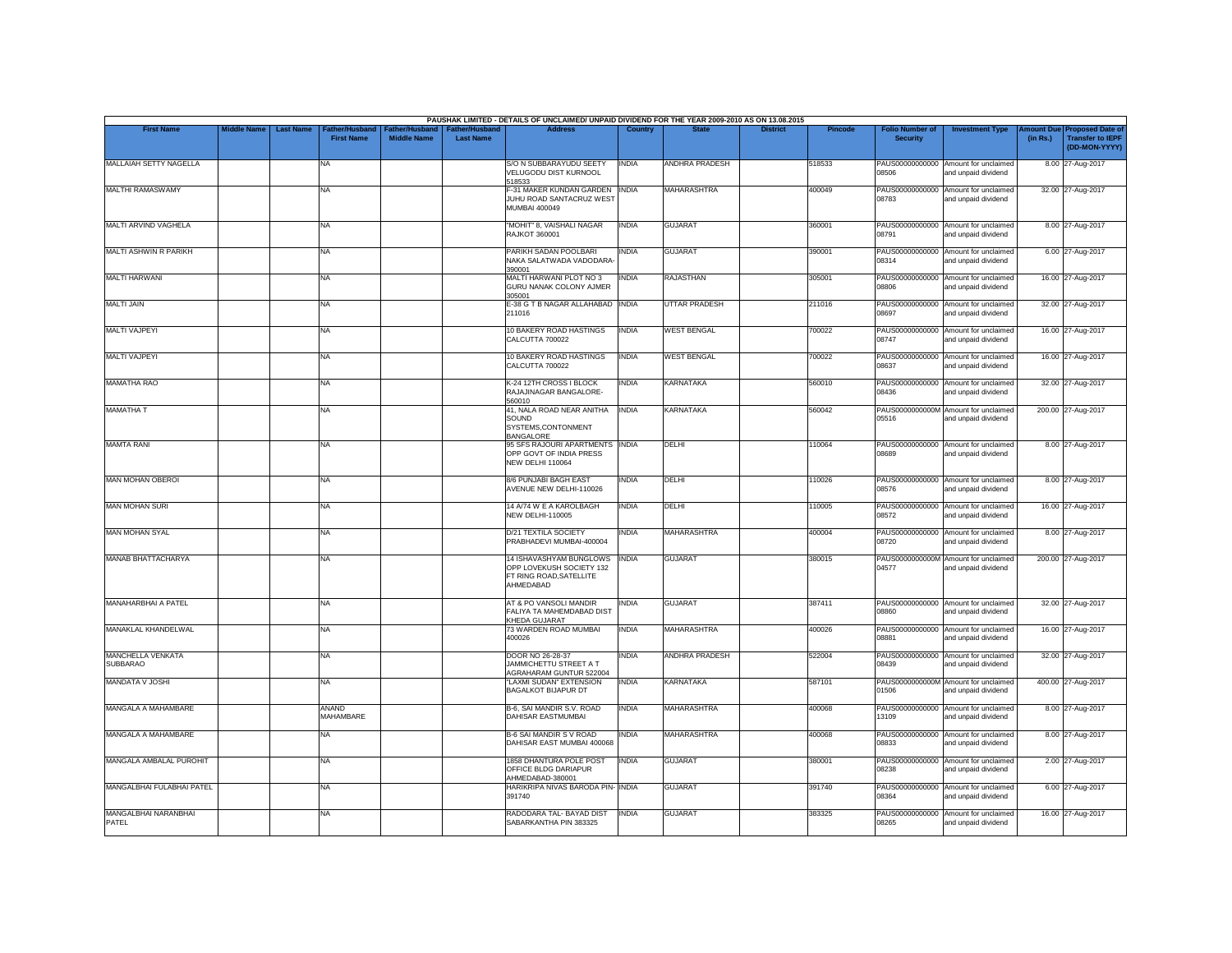|                                      |                    |                                                        |                                      |                                           | PAUSHAK LIMITED - DETAILS OF UNCLAIMED/ UNPAID DIVIDEND FOR THE YEAR 2009-2010 AS ON 13.08.2015 |              |                       |                 |                |                                           |                                                             |                       |                                                                     |
|--------------------------------------|--------------------|--------------------------------------------------------|--------------------------------------|-------------------------------------------|-------------------------------------------------------------------------------------------------|--------------|-----------------------|-----------------|----------------|-------------------------------------------|-------------------------------------------------------------|-----------------------|---------------------------------------------------------------------|
| <b>First Name</b>                    | <b>Middle Name</b> | <b>Last Name</b><br>ather/Husband<br><b>First Name</b> | Father/Husband<br><b>Middle Name</b> | <b>Father/Husband</b><br><b>Last Name</b> | <b>Address</b>                                                                                  | Country      | <b>State</b>          | <b>District</b> | <b>Pincode</b> | <b>Folio Number of</b><br><b>Security</b> | <b>Investment Type</b>                                      | mount Due<br>(in Rs.) | <b>Proposed Date of</b><br><b>Transfer to IEPF</b><br>(DD-MON-YYYY) |
| MALLAIAH SETTY NAGELLA               |                    | NA                                                     |                                      |                                           | S/O N SUBBARAYUDU SEETY<br>VELUGODU DIST KURNOOL<br>518533                                      | <b>INDIA</b> | <b>ANDHRA PRADESH</b> |                 | 518533         | 08506                                     | PAUS00000000000 Amount for unclaimed<br>and unpaid dividend |                       | 8.00 27-Aug-2017                                                    |
| <b>MALTHI RAMASWAMY</b>              |                    | <b>NA</b>                                              |                                      |                                           | F-31 MAKER KUNDAN GARDEN INDIA<br>JUHU ROAD SANTACRUZ WEST<br><b>MUMBAI 400049</b>              |              | <b>MAHARASHTRA</b>    |                 | 400049         | 08783                                     | PAUS00000000000 Amount for unclaimed<br>and unpaid dividend |                       | 32.00 27-Aug-2017                                                   |
| MALTI ARVIND VAGHELA                 |                    | <b>NA</b>                                              |                                      |                                           | "MOHIT" 8, VAISHALI NAGAR<br><b>RAJKOT 360001</b>                                               | <b>INDIA</b> | <b>GUJARAT</b>        |                 | 360001         | 08791                                     | PAUS00000000000 Amount for unclaimed<br>and unpaid dividend |                       | 8.00 27-Aug-2017                                                    |
| <b>MALTI ASHWIN R PARIKH</b>         |                    | <b>NA</b>                                              |                                      |                                           | PARIKH SADAN POOLBARI<br>NAKA SALATWADA VADODARA-<br>390001                                     | <b>INDIA</b> | <b>GUJARAT</b>        |                 | 390001         | 08314                                     | PAUS00000000000 Amount for unclaimed<br>and unpaid dividend |                       | 6.00 27-Aug-2017                                                    |
| <b>MALTI HARWANI</b>                 |                    | <b>NA</b>                                              |                                      |                                           | MALTI HARWANI PLOT NO 3<br>GURU NANAK COLONY AJMER<br>305001                                    | <b>INDIA</b> | <b>RAJASTHAN</b>      |                 | 305001         | 08806                                     | PAUS00000000000 Amount for unclaimed<br>and unpaid dividend |                       | 16.00 27-Aug-2017                                                   |
| <b>MALTI JAIN</b>                    |                    | <b>NA</b>                                              |                                      |                                           | E-38 G T B NAGAR ALLAHABAD INDIA<br>211016                                                      |              | <b>UTTAR PRADESH</b>  |                 | 211016         | PAUS00000000000<br>08697                  | Amount for unclaimed<br>and unpaid dividend                 |                       | 32.00 27-Aug-2017                                                   |
| <b>MALTI VAJPEYI</b>                 |                    | <b>NA</b>                                              |                                      |                                           | 10 BAKERY ROAD HASTINGS<br>CALCUTTA 700022                                                      | <b>INDIA</b> | <b>WEST BENGAL</b>    |                 | 700022         | 08747                                     | PAUS00000000000 Amount for unclaimed<br>and unpaid dividend |                       | 16.00 27-Aug-2017                                                   |
| <b>MALTI VAJPEYI</b>                 |                    | <b>NA</b>                                              |                                      |                                           | 10 BAKERY ROAD HASTINGS<br>CALCUTTA 700022                                                      | <b>INDIA</b> | <b>WEST BENGAL</b>    |                 | 700022         | PAUS00000000000<br>08637                  | Amount for unclaimed<br>and unpaid dividend                 |                       | 16.00 27-Aug-2017                                                   |
| <b>MAMATHA RAO</b>                   |                    | <b>NA</b>                                              |                                      |                                           | K-24 12TH CROSS I BLOCK<br>RAJAJINAGAR BANGALORE-<br>560010                                     | <b>INDIA</b> | <b>KARNATAKA</b>      |                 | 560010         | 08436                                     | PAUS00000000000 Amount for unclaimed<br>and unpaid dividend |                       | 32.00 27-Aug-2017                                                   |
| <b>MAMATHA T</b>                     |                    | <b>NA</b>                                              |                                      |                                           | 41. NALA ROAD NEAR ANITHA<br>SOUND<br>SYSTEMS, CONTONMENT<br><b>BANGALORE</b>                   | <b>INDIA</b> | <b>KARNATAKA</b>      |                 | 560042         | 05516                                     | PAUS0000000000M Amount for unclaimed<br>and unpaid dividend |                       | 200.00 27-Aug-2017                                                  |
| <b>MAMTA RANI</b>                    |                    | <b>NA</b>                                              |                                      |                                           | 95 SFS RAJOURI APARTMENTS INDIA<br>OPP GOVT OF INDIA PRESS<br>NEW DELHI 110064                  |              | DELHI                 |                 | 110064         | 08689                                     | PAUS00000000000 Amount for unclaimed<br>and unpaid dividend |                       | 8.00 27-Aug-2017                                                    |
| MAN MOHAN OBEROI                     |                    | <b>NA</b>                                              |                                      |                                           | 8/6 PUNJABI BAGH EAST<br>AVENUE NEW DELHI-110026                                                | <b>INDIA</b> | DELHI                 |                 | 110026         | 08576                                     | PAUS00000000000 Amount for unclaimed<br>and unpaid dividend |                       | 8.00 27-Aug-2017                                                    |
| <b>MAN MOHAN SURI</b>                |                    | <b>NA</b>                                              |                                      |                                           | 14 A/74 W E A KAROLBAGH<br><b>NEW DELHI-110005</b>                                              | <b>INDIA</b> | DELHI                 |                 | 110005         | PAUS00000000000<br>08572                  | Amount for unclaimed<br>and unpaid dividend                 |                       | 16.00 27-Aug-2017                                                   |
| <b>MAN MOHAN SYAL</b>                |                    | <b>NA</b>                                              |                                      |                                           | <b>D/21 TEXTILA SOCIETY</b><br>PRABHADEVI MUMBAI-400004                                         | <b>INDIA</b> | MAHARASHTRA           |                 | 400004         | 08720                                     | PAUS00000000000 Amount for unclaimed<br>and unpaid dividend |                       | 8.00 27-Aug-2017                                                    |
| MANAB BHATTACHARYA                   |                    | <b>NA</b>                                              |                                      |                                           | 14 ISHAVASHYAM BUNGLOWS<br>OPP LOVEKUSH SOCIETY 132<br>FT RING ROAD, SATELLITE<br>AHMEDABAD     | <b>INDIA</b> | <b>GUJARAT</b>        |                 | 380015         | 04577                                     | PAUS0000000000M Amount for unclaimed<br>and unpaid dividend |                       | 200.00 27-Aug-2017                                                  |
| MANAHARBHAI A PATEL                  |                    | <b>NA</b>                                              |                                      |                                           | AT & PO VANSOLI MANDIR<br>FALIYA TA MAHEMDABAD DIST<br>KHEDA GUJARAT                            | INDIA        | <b>GUJARAT</b>        |                 | 387411         | 08860                                     | PAUS00000000000 Amount for unclaimed<br>and unpaid dividend |                       | 32.00 27-Aug-2017                                                   |
| MANAKLAL KHANDELWAL                  |                    | <b>NA</b>                                              |                                      |                                           | 73 WARDEN ROAD MUMBAI<br>400026                                                                 | <b>INDIA</b> | <b>MAHARASHTRA</b>    |                 | 400026         | 08881                                     | PAUS00000000000 Amount for unclaimed<br>and unpaid dividend |                       | 16.00 27-Aug-2017                                                   |
| MANCHELLA VENKATA<br><b>SUBBARAO</b> |                    | <b>NA</b>                                              |                                      |                                           | DOOR NO 26-28-37<br>JAMMICHETTU STREET A T<br>AGRAHARAM GUNTUR 522004                           | <b>INDIA</b> | <b>ANDHRA PRADESH</b> |                 | 522004         | 08439                                     | PAUS00000000000 Amount for unclaimed<br>and unpaid dividend |                       | 32.00 27-Aug-2017                                                   |
| MANDATA V JOSHI                      |                    | <b>NA</b>                                              |                                      |                                           | "LAXMI SUDAN" EXTENSION<br><b>BAGALKOT BIJAPUR DT</b>                                           | <b>INDIA</b> | <b>KARNATAKA</b>      |                 | 587101         | 01506                                     | PAUS0000000000M Amount for unclaimed<br>and unpaid dividend |                       | 400.00 27-Aug-2017                                                  |
| MANGALA A MAHAMBARE                  |                    | ANAND<br>MAHAMBARE                                     |                                      |                                           | B-6, SAI MANDIR S.V. ROAD<br><b>DAHISAR EASTMUMBAI</b>                                          | <b>INDIA</b> | <b>MAHARASHTRA</b>    |                 | 400068         | PAUS00000000000<br>13109                  | Amount for unclaimed<br>and unpaid dividend                 |                       | 8.00 27-Aug-2017                                                    |
| MANGALA A MAHAMBARE                  |                    | <b>NA</b>                                              |                                      |                                           | <b>B-6 SAI MANDIR S V ROAD</b><br>DAHISAR EAST MUMBAI 400068                                    | <b>INDIA</b> | <b>MAHARASHTRA</b>    |                 | 400068         | 08833                                     | PAUS00000000000 Amount for unclaimed<br>and unpaid dividend |                       | 8.00 27-Aug-2017                                                    |
| MANGALA AMBALAL PUROHIT              |                    | <b>NA</b>                                              |                                      |                                           | 1858 DHANTURA POLE POST<br>OFFICE BLDG DARIAPUR<br>AHMEDABAD-380001                             | <b>INDIA</b> | <b>GUJARAT</b>        |                 | 380001         | 08238                                     | PAUS00000000000 Amount for unclaimed<br>and unpaid dividend |                       | 2.00 27-Aug-2017                                                    |
| MANGALBHAI FULABHAI PATEL            |                    | <b>NA</b>                                              |                                      |                                           | HARIKRIPA NIVAS BARODA PIN- INDIA<br>391740                                                     |              | <b>GUJARAT</b>        |                 | 391740         | 08364                                     | PAUS00000000000 Amount for unclaimed<br>and unpaid dividend |                       | 6.00 27-Aug-2017                                                    |
| MANGALBHAI NARANBHAI<br>PATEL        |                    | NA                                                     |                                      |                                           | RADODARA TAL- BAYAD DIST<br>SABARKANTHA PIN 383325                                              | <b>INDIA</b> | <b>GUJARAT</b>        |                 | 383325         | PAUS00000000000<br>08265                  | Amount for unclaimed<br>and unpaid dividend                 |                       | 16.00 27-Aug-2017                                                   |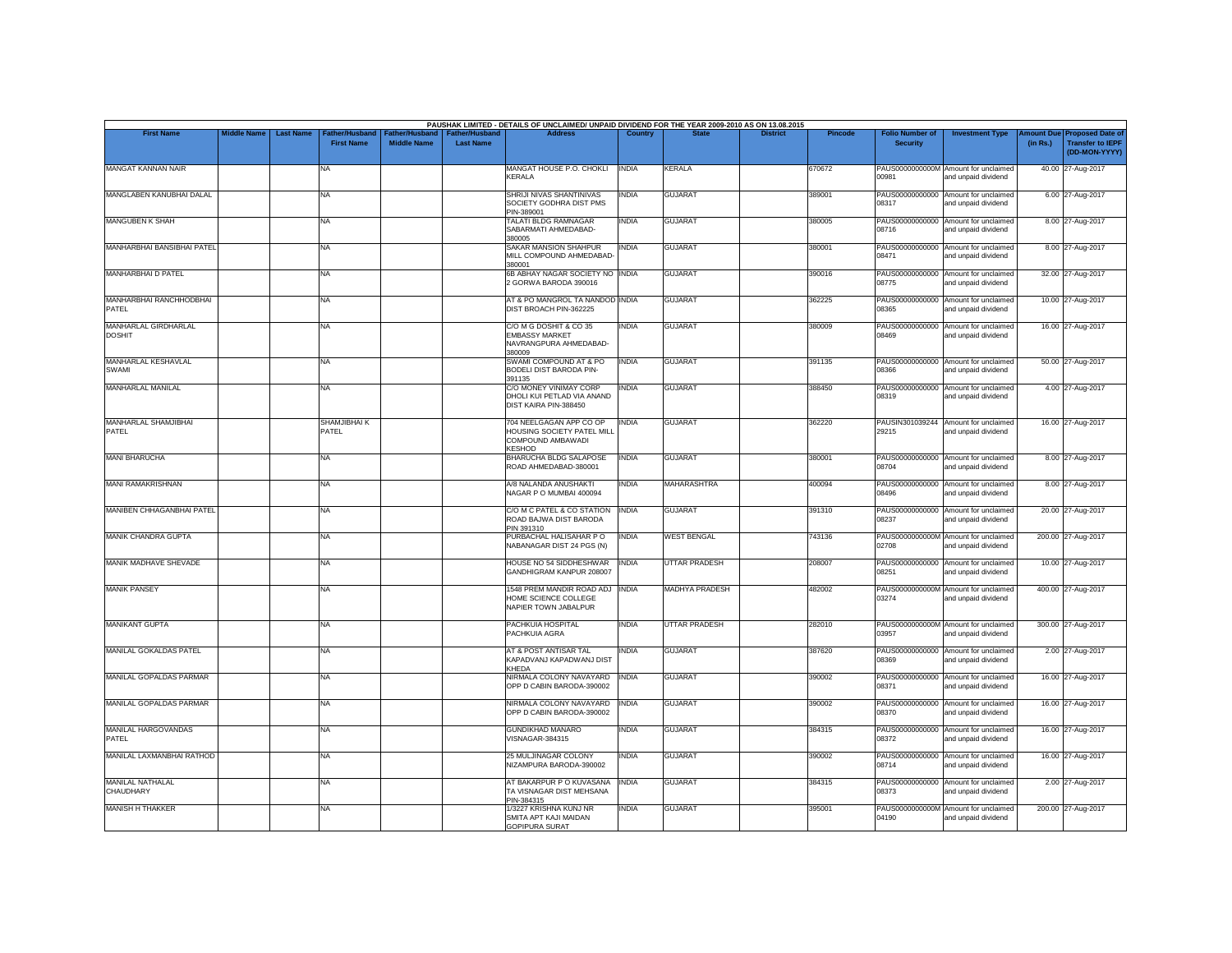| <b>First Name</b>                     | <b>Middle Name</b> | <b>Last Name</b> | Father/Husband        | Father/Husband     | <b>Father/Husband</b> | PAUSHAK LIMITED - DETAILS OF UNCLAIMED/ UNPAID DIVIDEND FOR THE YEAR 2009-2010 AS ON 13.08.2015<br><b>Address</b> | Country      |                       | <b>District</b> | <b>Pincode</b> | <b>Folio Number of</b>   | <b>Investment Type</b>                                      | mount Due | <b>Proposed Date of</b>                  |
|---------------------------------------|--------------------|------------------|-----------------------|--------------------|-----------------------|-------------------------------------------------------------------------------------------------------------------|--------------|-----------------------|-----------------|----------------|--------------------------|-------------------------------------------------------------|-----------|------------------------------------------|
|                                       |                    |                  | <b>First Name</b>     | <b>Middle Name</b> | <b>Last Name</b>      |                                                                                                                   |              |                       |                 |                | <b>Security</b>          |                                                             | (in Rs.)  | <b>Transfer to IEPF</b><br>(DD-MON-YYYY) |
| <b>MANGAT KANNAN NAIR</b>             |                    |                  | NA                    |                    |                       | MANGAT HOUSE P.O. CHOKLI<br><b>KERALA</b>                                                                         | <b>INDIA</b> | <b>KERALA</b>         |                 | 670672         | 00981                    | PAUS0000000000M Amount for unclaimed<br>and unpaid dividend |           | 40.00 27-Aug-2017                        |
| MANGLABEN KANUBHAI DALAL              |                    |                  | NA                    |                    |                       | SHRIJI NIVAS SHANTINIVAS<br>SOCIETY GODHRA DIST PMS<br>PIN-389001                                                 | <b>INDIA</b> | <b>GUJARAT</b>        |                 | 389001         | PAUS00000000000<br>08317 | Amount for unclaimed<br>and unpaid dividend                 |           | 6.00 27-Aug-2017                         |
| MANGUBEN K SHAH                       |                    |                  | NA                    |                    |                       | TALATI BLDG RAMNAGAR<br>SABARMATI AHMEDABAD-<br>380005                                                            | <b>INDIA</b> | <b>GUJARAT</b>        |                 | 380005         | 08716                    | PAUS00000000000 Amount for unclaimed<br>and unpaid dividend |           | 8.00 27-Aug-2017                         |
| MANHARBHAI BANSIBHAI PATEL            |                    |                  | NA                    |                    |                       | <b>SAKAR MANSION SHAHPUR</b><br>MILL COMPOUND AHMEDABAD-<br>380001                                                | <b>INDIA</b> | <b>GUJARAT</b>        |                 | 380001         | 08471                    | PAUS00000000000 Amount for unclaimed<br>and unpaid dividend |           | 8.00 27-Aug-2017                         |
| MANHARBHAI D PATEL                    |                    |                  | <b>NA</b>             |                    |                       | 6B ABHAY NAGAR SOCIETY NO INDIA<br>2 GORWA BARODA 390016                                                          |              | <b>GUJARAT</b>        |                 | 390016         | 08775                    | PAUS00000000000 Amount for unclaimed<br>and unpaid dividend |           | 32.00 27-Aug-2017                        |
| MANHARBHAI RANCHHODBHAI<br>PATEL      |                    |                  | NA                    |                    |                       | AT & PO MANGROL TA NANDOD INDIA<br>DIST BROACH PIN-362225                                                         |              | <b>GUJARAT</b>        |                 | 362225         | 08365                    | PAUS00000000000 Amount for unclaimed<br>and unpaid dividend |           | 10.00 27-Aug-2017                        |
| MANHARLAL GIRDHARLAL<br><b>DOSHIT</b> |                    |                  | NA                    |                    |                       | C/O M G DOSHIT & CO 35<br><b>EMBASSY MARKET</b><br>NAVRANGPURA AHMEDABAD-<br>380009                               | <b>INDIA</b> | <b>GUJARAT</b>        |                 | 380009         | PAUS00000000000<br>08469 | Amount for unclaimed<br>and unpaid dividend                 |           | 16.00 27-Aug-2017                        |
| MANHARLAL KESHAVLAL<br>SWAMI          |                    |                  | NA                    |                    |                       | SWAMI COMPOUND AT & PO<br><b>BODELI DIST BARODA PIN-</b><br>391135                                                | <b>INDIA</b> | <b>GUJARAT</b>        |                 | 391135         | 08366                    | PAUS00000000000 Amount for unclaimed<br>and unpaid dividend |           | 50.00 27-Aug-2017                        |
| MANHARLAL MANILAL                     |                    |                  | NA                    |                    |                       | C/O MONEY VINIMAY CORP<br>DHOLI KUI PETLAD VIA ANAND<br>DIST KAIRA PIN-388450                                     | <b>INDIA</b> | <b>GUJARAT</b>        |                 | 388450         | 08319                    | PAUS00000000000 Amount for unclaimed<br>and unpaid dividend |           | 4.00 27-Aug-2017                         |
| MANHARLAL SHAMJIBHAI<br>PATEL         |                    |                  | SHAMJIBHAI K<br>PATEL |                    |                       | 704 NEELGAGAN APP CO OP<br>HOUSING SOCIETY PATEL MILL<br>COMPOUND AMBAWADI<br><b>KESHOD</b>                       | <b>INDIA</b> | <b>GUJARAT</b>        |                 | 362220         | 29215                    | PAUSIN301039244 Amount for unclaimed<br>and unpaid dividend |           | 16.00 27-Aug-2017                        |
| <b>MANI BHARUCHA</b>                  |                    |                  | NA                    |                    |                       | <b>BHARUCHA BLDG SALAPOSE</b><br>ROAD AHMEDABAD-380001                                                            | <b>INDIA</b> | <b>GUJARAT</b>        |                 | 380001         | 08704                    | PAUS00000000000 Amount for unclaimed<br>and unpaid dividend |           | 8.00 27-Aug-2017                         |
| MANI RAMAKRISHNAN                     |                    |                  | NA                    |                    |                       | A/8 NALANDA ANUSHAKTI<br>NAGAR P O MUMBAI 400094                                                                  | <b>INDIA</b> | <b>MAHARASHTRA</b>    |                 | 400094         | 08496                    | PAUS00000000000 Amount for unclaimed<br>and unpaid dividend |           | 8.00 27-Aug-2017                         |
| MANIBEN CHHAGANBHAI PATEL             |                    |                  | NA                    |                    |                       | C/O M C PATEL & CO STATION<br>ROAD BAJWA DIST BARODA<br>PIN 391310                                                | <b>INDIA</b> | <b>GUJARAT</b>        |                 | 391310         | 08237                    | PAUS00000000000 Amount for unclaimed<br>and unpaid dividend |           | 20.00 27-Aug-2017                        |
| MANIK CHANDRA GUPTA                   |                    |                  | NA                    |                    |                       | PURBACHAL HALISAHAR PO<br>NABANAGAR DIST 24 PGS (N)                                                               | <b>INDIA</b> | <b>WEST BENGAL</b>    |                 | 743136         | 02708                    | PAUS0000000000M Amount for unclaimed<br>and unpaid dividend |           | 200.00 27-Aug-2017                       |
| MANIK MADHAVE SHEVADE                 |                    |                  | NA                    |                    |                       | HOUSE NO 54 SIDDHESHWAR<br>GANDHIGRAM KANPUR 208007                                                               | <b>INDIA</b> | <b>UTTAR PRADESH</b>  |                 | 208007         | 08251                    | PAUS00000000000 Amount for unclaimed<br>and unpaid dividend |           | 10.00 27-Aug-2017                        |
| <b>MANIK PANSEY</b>                   |                    |                  | <b>NA</b>             |                    |                       | 1548 PREM MANDIR ROAD ADJ INDIA<br>HOME SCIENCE COLLEGE<br>NAPIER TOWN JABALPUR                                   |              | <b>MADHYA PRADESH</b> |                 | 482002         | 03274                    | PAUS0000000000M Amount for unclaimed<br>and unpaid dividend |           | 400.00 27-Aug-2017                       |
| <b>MANIKANT GUPTA</b>                 |                    |                  | NA                    |                    |                       | PACHKUIA HOSPITAL<br>PACHKUIA AGRA                                                                                | <b>INDIA</b> | <b>UTTAR PRADESH</b>  |                 | 282010         | 03957                    | PAUS0000000000M Amount for unclaimed<br>and unpaid dividend |           | 300.00 27-Aug-2017                       |
| MANILAL GOKALDAS PATEL                |                    |                  | NA                    |                    |                       | AT & POST ANTISAR TAL<br>KAPADVANJ KAPADWANJ DIST<br><b>KHEDA</b>                                                 | <b>INDIA</b> | <b>GUJARAT</b>        |                 | 387620         | 08369                    | PAUS00000000000 Amount for unclaimed<br>and unpaid dividend |           | 2.00 27-Aug-2017                         |
| MANILAL GOPALDAS PARMAR               |                    |                  | NA                    |                    |                       | NIRMALA COLONY NAVAYARD<br>OPP D CABIN BARODA-390002                                                              | <b>INDIA</b> | <b>GUJARAT</b>        |                 | 390002         | 08371                    | PAUS00000000000 Amount for unclaimed<br>and unpaid dividend |           | 16.00 27-Aug-2017                        |
| MANILAL GOPALDAS PARMAR               |                    |                  | NA.                   |                    |                       | NIRMALA COLONY NAVAYARD INDIA<br>OPP D CABIN BARODA-390002                                                        |              | <b>GUJARAT</b>        |                 | 390002         | 08370                    | PAUS00000000000 Amount for unclaimed<br>and unpaid dividend |           | 16.00 27-Aug-2017                        |
| MANILAL HARGOVANDAS<br>PATEL          |                    |                  | NA                    |                    |                       | <b>GUNDIKHAD MANARO</b><br><b>VISNAGAR-384315</b>                                                                 | <b>INDIA</b> | <b>GUJARAT</b>        |                 | 384315         | 08372                    | PAUS00000000000 Amount for unclaimed<br>and unpaid dividend |           | 16.00 27-Aug-2017                        |
| MANILAL LAXMANBHAI RATHOD             |                    |                  | NA                    |                    |                       | 25 MULJINAGAR COLONY<br>NIZAMPURA BARODA-390002                                                                   | <b>INDIA</b> | <b>GUJARAT</b>        |                 | 390002         | 08714                    | PAUS00000000000 Amount for unclaimed<br>and unpaid dividend |           | 16.00 27-Aug-2017                        |
| <b>MANILAL NATHALAL</b><br>CHAUDHARY  |                    |                  | <b>NA</b>             |                    |                       | AT BAKARPUR P O KUVASANA<br>TA VISNAGAR DIST MEHSANA<br>PIN-384315                                                | <b>INDIA</b> | <b>GUJARAT</b>        |                 | 384315         | 08373                    | PAUS00000000000 Amount for unclaimed<br>and unpaid dividend |           | 2.00 27-Aug-2017                         |
| <b>MANISH H THAKKER</b>               |                    |                  | NA                    |                    |                       | 1/3227 KRISHNA KUNJ NR<br>SMITA APT KAJI MAIDAN<br><b>GOPIPURA SURAT</b>                                          | <b>INDIA</b> | <b>GUJARAT</b>        |                 | 395001         | 04190                    | PAUS0000000000M Amount for unclaimed<br>and unpaid dividend |           | 200.00 27-Aug-2017                       |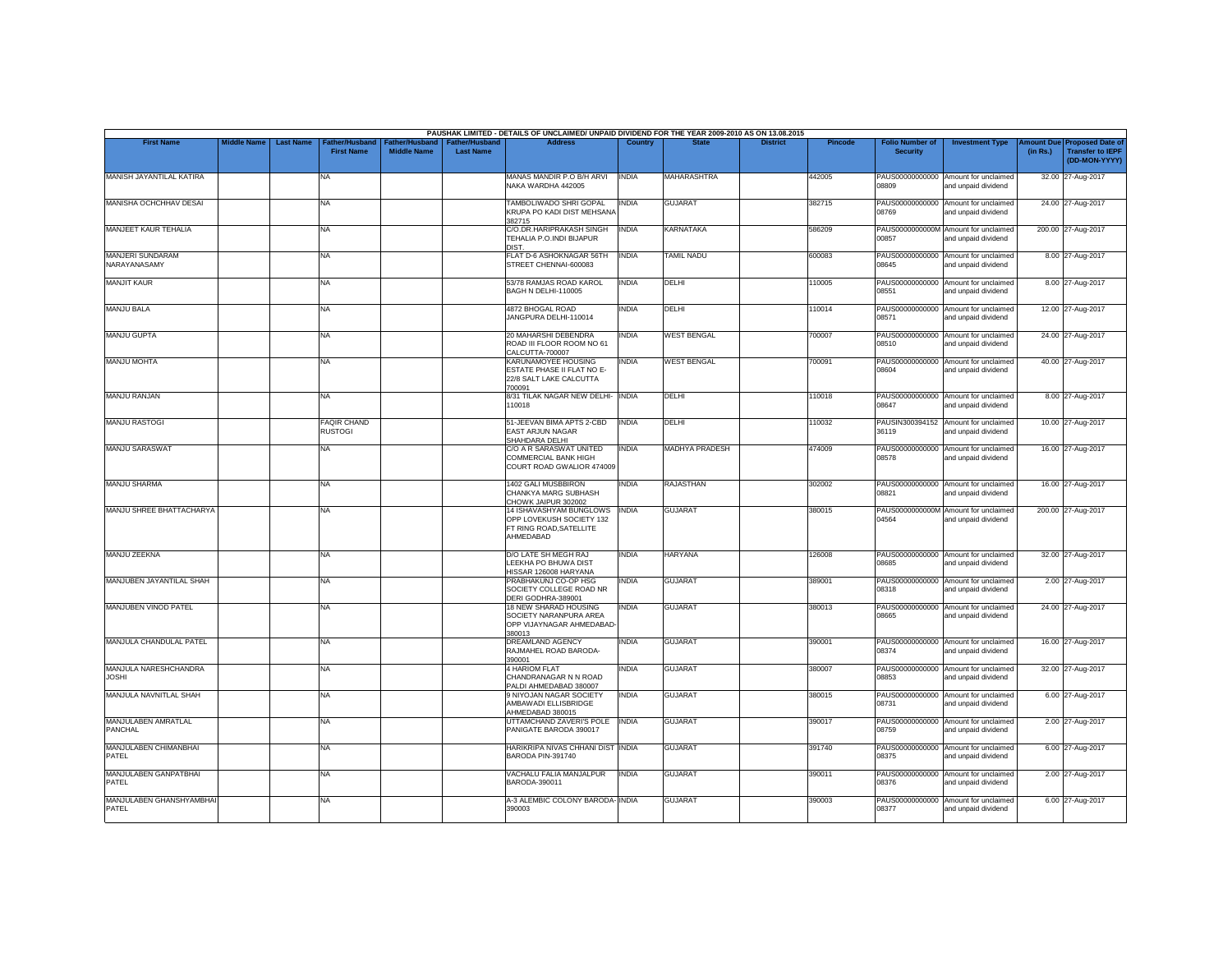|                                         |                    |                  |                                      |                                             |                                           | PAUSHAK LIMITED - DETAILS OF UNCLAIMED/ UNPAID DIVIDEND FOR THE YEAR 2009-2010 AS ON 13.08.2015 |              |                       |                 |         |                                           |                                                             |          |                                                                         |
|-----------------------------------------|--------------------|------------------|--------------------------------------|---------------------------------------------|-------------------------------------------|-------------------------------------------------------------------------------------------------|--------------|-----------------------|-----------------|---------|-------------------------------------------|-------------------------------------------------------------|----------|-------------------------------------------------------------------------|
| <b>First Name</b>                       | <b>Middle Name</b> | <b>Last Name</b> | Father/Husband<br><b>First Name</b>  | <b>Father/Husband</b><br><b>Middle Name</b> | <b>Father/Husband</b><br><b>Last Name</b> | <b>Address</b>                                                                                  | Country      | <b>State</b>          | <b>District</b> | Pincode | <b>Folio Number of</b><br><b>Security</b> | <b>Investment Type</b>                                      | (in Rs.) | Amount Due Proposed Date of<br><b>Transfer to IEPF</b><br>(DD-MON-YYYY) |
| MANISH JAYANTILAL KATIRA                |                    |                  | <b>NA</b>                            |                                             |                                           | MANAS MANDIR P.O B/H ARVI<br>NAKA WARDHA 442005                                                 | <b>INDIA</b> | <b>MAHARASHTRA</b>    |                 | 442005  | 90880                                     | PAUS00000000000 Amount for unclaimed<br>and unpaid dividend |          | 32.00 27-Aug-2017                                                       |
| <b>MANISHA OCHCHHAV DESAI</b>           |                    |                  | <b>NA</b>                            |                                             |                                           | TAMBOLIWADO SHRI GOPAL<br>KRUPA PO KADI DIST MEHSANA<br>382715                                  | <b>INDIA</b> | <b>GUJARAT</b>        |                 | 382715  | PAUS00000000000<br>08769                  | Amount for unclaimed<br>and unpaid dividend                 |          | 24.00 27-Aug-2017                                                       |
| MANJEET KAUR TEHALIA                    |                    |                  | NA                                   |                                             |                                           | C/O.DR.HARIPRAKASH SINGH<br>TEHALIA P.O.INDI BIJAPUR<br>DIST.                                   | <b>INDIA</b> | KARNATAKA             |                 | 586209  | 00857                                     | PAUS0000000000M Amount for unclaimed<br>and unpaid dividend |          | 200.00 27-Aug-2017                                                      |
| <b>MANJERI SUNDARAM</b><br>NARAYANASAMY |                    |                  | <b>NA</b>                            |                                             |                                           | FLAT D-6 ASHOKNAGAR 56TH<br>STREET CHENNAI-600083                                               | <b>INDIA</b> | <b>TAMIL NADU</b>     |                 | 600083  | PAUS00000000000<br>08645                  | Amount for unclaimed<br>and unpaid dividend                 |          | 8.00 27-Aug-2017                                                        |
| <b>MANJIT KAUR</b>                      |                    |                  | <b>NA</b>                            |                                             |                                           | 53/78 RAMJAS ROAD KAROL<br><b>BAGH N DELHI-110005</b>                                           | <b>INDIA</b> | DELHI                 |                 | 10005   | PAUS00000000000<br>08551                  | Amount for unclaimed<br>and unpaid dividend                 |          | 8.00 27-Aug-2017                                                        |
| <b>MANJU BALA</b>                       |                    |                  | NA                                   |                                             |                                           | 4872 BHOGAL ROAD<br>JANGPURA DELHI-110014                                                       | <b>INDIA</b> | <b>DELHI</b>          |                 | 10014   | 08571                                     | PAUS00000000000 Amount for unclaimed<br>and unpaid dividend |          | 12.00 27-Aug-2017                                                       |
| <b>MANJU GUPTA</b>                      |                    |                  | <b>NA</b>                            |                                             |                                           | 20 MAHARSHI DEBENDRA<br>ROAD III FLOOR ROOM NO 61<br>CALCUTTA-700007                            | <b>INDIA</b> | <b>WEST BENGAL</b>    |                 | 700007  | 08510                                     | PAUS00000000000 Amount for unclaimed<br>and unpaid dividend |          | 24.00 27-Aug-2017                                                       |
| <b>MANJU MOHTA</b>                      |                    |                  | NA                                   |                                             |                                           | KARUNAMOYEE HOUSING<br>ESTATE PHASE II FLAT NO E-<br>22/8 SALT LAKE CALCUTTA<br>700091          | INDIA        | <b>WEST BENGAL</b>    |                 | 700091  | 08604                                     | PAUS00000000000 Amount for unclaimed<br>and unpaid dividend |          | 40.00 27-Aug-2017                                                       |
| MANJU RANJAN                            |                    |                  | <b>NA</b>                            |                                             |                                           | 8/31 TILAK NAGAR NEW DELHI- INDIA<br>110018                                                     |              | DELHI                 |                 | 110018  | 08647                                     | PAUS00000000000 Amount for unclaimed<br>and unpaid dividend |          | 8.00 27-Aug-2017                                                        |
| <b>MANJU RASTOGI</b>                    |                    |                  | <b>FAQIR CHAND</b><br><b>RUSTOGI</b> |                                             |                                           | 51-JEEVAN BIMA APTS 2-CBD<br>EAST ARJUN NAGAR<br>SHAHDARA DELHI                                 | <b>INDIA</b> | <b>DELHI</b>          |                 | 10032   | PAUSIN300394152<br>36119                  | Amount for unclaimed<br>and unpaid dividend                 |          | 10.00 27-Aug-2017                                                       |
| <b>MANJU SARASWAT</b>                   |                    |                  | <b>NA</b>                            |                                             |                                           | C/O A R SARASWAT UNITED<br>COMMERCIAL BANK HIGH<br>COURT ROAD GWALIOR 474009                    | <b>INDIA</b> | <b>MADHYA PRADESH</b> |                 | 474009  | PAUS00000000000<br>08578                  | Amount for unclaimed<br>and unpaid dividend                 |          | 16.00 27-Aug-2017                                                       |
| <b>MANJU SHARMA</b>                     |                    |                  | <b>NA</b>                            |                                             |                                           | 1402 GALI MUSBBIRON<br>CHANKYA MARG SUBHASH<br>CHOWK JAIPUR 302002                              | <b>INDIA</b> | <b>RAJASTHAN</b>      |                 | 302002  | 08821                                     | PAUS00000000000 Amount for unclaimed<br>and unpaid dividend |          | 16.00 27-Aug-2017                                                       |
| MANJU SHREE BHATTACHARYA                |                    |                  | <b>NA</b>                            |                                             |                                           | 14 ISHAVASHYAM BUNGLOWS<br>OPP LOVEKUSH SOCIETY 132<br>FT RING ROAD, SATELLITE<br>AHMEDABAD     | <b>INDIA</b> | <b>GUJARAT</b>        |                 | 380015  | 04564                                     | PAUS0000000000M Amount for unclaimed<br>and unpaid dividend |          | 200.00 27-Aug-2017                                                      |
| MANJU ZEEKNA                            |                    |                  | <b>NA</b>                            |                                             |                                           | D/O LATE SH MEGH RAJ<br>LEEKHA PO BHUWA DIST<br>HISSAR 126008 HARYANA                           | INDIA        | <b>HARYANA</b>        |                 | 26008   | 08685                                     | PAUS00000000000 Amount for unclaimed<br>and unpaid dividend |          | 32.00 27-Aug-2017                                                       |
| MANJUBEN JAYANTILAL SHAH                |                    |                  | <b>NA</b>                            |                                             |                                           | PRABHAKUNJ CO-OP HSG<br>SOCIETY COLLEGE ROAD NR<br>DERI GODHRA-389001                           | INDIA        | <b>GUJARAT</b>        |                 | 389001  | 08318                                     | PAUS00000000000 Amount for unclaimed<br>and unpaid dividend |          | 2.00 27-Aug-2017                                                        |
| MANJUBEN VINOD PATEL                    |                    |                  | NA                                   |                                             |                                           | 18 NEW SHARAD HOUSING<br>SOCIETY NARANPURA AREA<br>OPP VIJAYNAGAR AHMEDABAD<br>380013           | <b>INDIA</b> | <b>GUJARAT</b>        |                 | 380013  | PAUS00000000000<br>08665                  | Amount for unclaimed<br>and unpaid dividend                 |          | 24.00 27-Aug-2017                                                       |
| MANJULA CHANDULAL PATEL                 |                    |                  | <b>NA</b>                            |                                             |                                           | DREAMLAND AGENCY<br>RAJMAHEL ROAD BARODA-<br>390001                                             | INDIA        | <b>GUJARAT</b>        |                 | 390001  | 08374                                     | PAUS00000000000 Amount for unclaimed<br>and unpaid dividend |          | 16.00 27-Aug-2017                                                       |
| MANJULA NARESHCHANDRA<br><b>JOSHI</b>   |                    |                  | <b>NA</b>                            |                                             |                                           | <b>4 HARIOM FLAT</b><br>CHANDRANAGAR N N ROAD<br>PALDI AHMEDABAD 380007                         | INDIA        | <b>GUJARAT</b>        |                 | 380007  | PAUS00000000000<br>08853                  | Amount for unclaimed<br>and unpaid dividend                 |          | 32.00 27-Aug-2017                                                       |
| MANJULA NAVNITLAL SHAH                  |                    |                  | <b>NA</b>                            |                                             |                                           | 9 NIYOJAN NAGAR SOCIETY<br>AMBAWADI ELLISBRIDGE<br>AHMEDABAD 380015                             | <b>INDIA</b> | <b>GUJARAT</b>        |                 | 380015  | 08731                                     | PAUS00000000000 Amount for unclaimed<br>and unpaid dividend |          | 6.00 27-Aug-2017                                                        |
| MANJULABEN AMRATLAL<br><b>PANCHAL</b>   |                    |                  | <b>NA</b>                            |                                             |                                           | <b>JTTAMCHAND ZAVERI'S POLE</b><br>PANIGATE BARODA 390017                                       | <b>INDIA</b> | <b>GUJARAT</b>        |                 | 390017  | PAUS00000000000<br>08759                  | Amount for unclaimed<br>and unpaid dividend                 |          | 2.00 27-Aug-2017                                                        |
| MANJULABEN CHIMANBHAI<br>PATEL          |                    |                  | <b>NA</b>                            |                                             |                                           | HARIKRIPA NIVAS CHHANI DIST INDIA<br>BARODA PIN-391740                                          |              | <b>GUJARAT</b>        |                 | 391740  | 08375                                     | PAUS00000000000 Amount for unclaimed<br>and unpaid dividend |          | 6.00 27-Aug-2017                                                        |
| MANJULABEN GANPATBHAI<br>PATEL          |                    |                  | <b>NA</b>                            |                                             |                                           | VACHALU FALIA MANJALPUR<br>BARODA-390011                                                        | <b>INDIA</b> | <b>GUJARAT</b>        |                 | 390011  | PAUS00000000000<br>08376                  | Amount for unclaimed<br>and unpaid dividend                 |          | 2.00 27-Aug-2017                                                        |
| MANJULABEN GHANSHYAMBHAI<br>PATEL       |                    |                  | NA                                   |                                             |                                           | A-3 ALEMBIC COLONY BARODA- INDIA<br>390003                                                      |              | <b>GUJARAT</b>        |                 | 390003  | PAUS00000000000<br>08377                  | Amount for unclaimed<br>and unpaid dividend                 |          | 6.00 27-Aug-2017                                                        |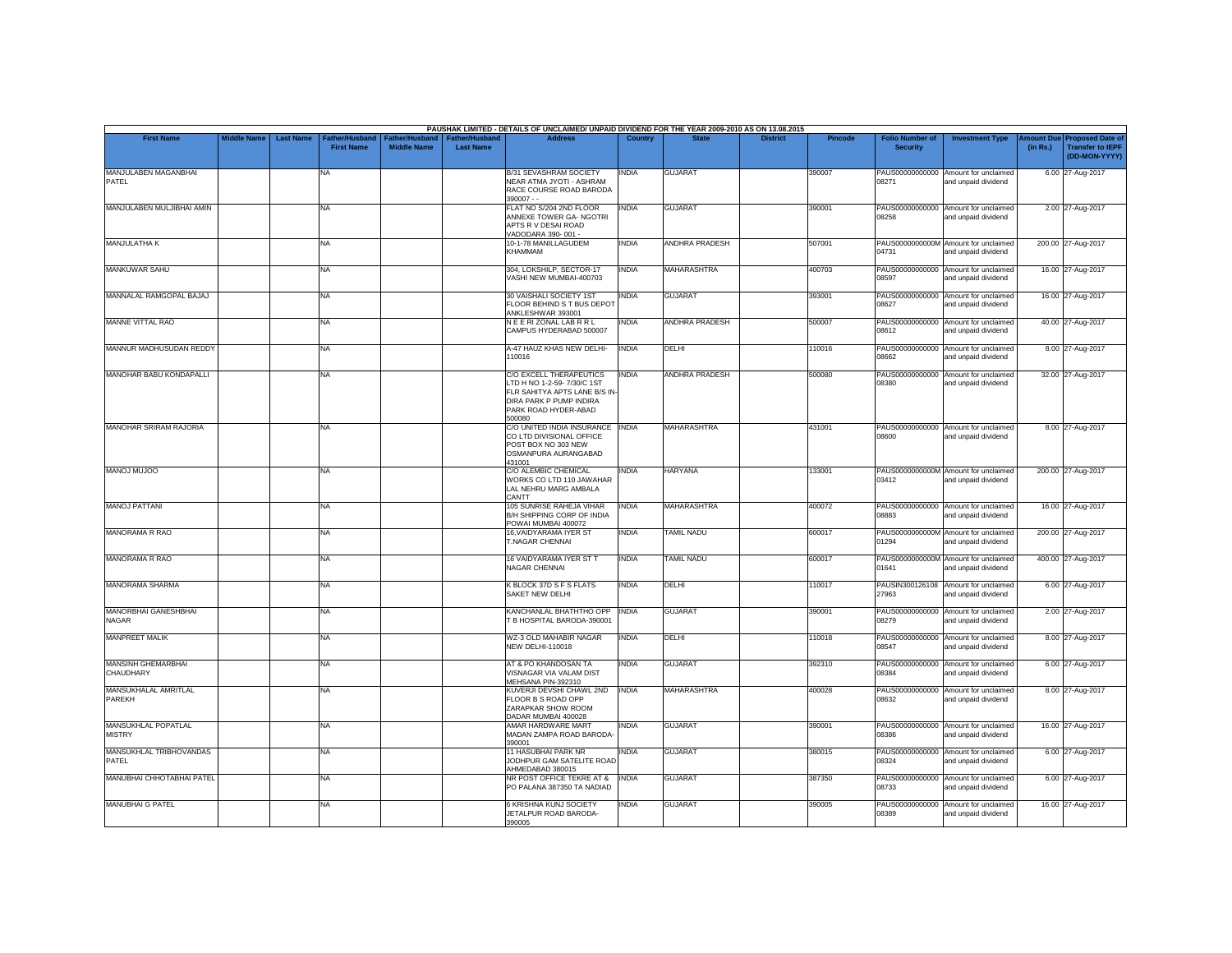|                                      |                    |                  |                                     |                                      |                                           | PAUSHAK LIMITED - DETAILS OF UNCLAIMED/ UNPAID DIVIDEND FOR THE YEAR 2009-2010 AS ON 13.08.2015                                                      |                |                       |                 |         |                                           |                                                             |          |                                                                                |
|--------------------------------------|--------------------|------------------|-------------------------------------|--------------------------------------|-------------------------------------------|------------------------------------------------------------------------------------------------------------------------------------------------------|----------------|-----------------------|-----------------|---------|-------------------------------------------|-------------------------------------------------------------|----------|--------------------------------------------------------------------------------|
| <b>First Name</b>                    | <b>Middle Name</b> | <b>Last Name</b> | Father/Husband<br><b>First Name</b> | Father/Husband<br><b>Middle Name</b> | <b>Father/Husband</b><br><b>Last Name</b> | <b>Address</b>                                                                                                                                       | <b>Country</b> | <b>State</b>          | <b>District</b> | Pincode | <b>Folio Number of</b><br><b>Security</b> | <b>Investment Type</b>                                      | (in Rs.) | <b>Amount Due Proposed Date of</b><br><b>Transfer to IEPF</b><br>(DD-MON-YYYY) |
| MANJULABEN MAGANBHAI<br>PATEL        |                    |                  | <b>NA</b>                           |                                      |                                           | B/31 SEVASHRAM SOCIETY<br>NEAR ATMA JYOTI - ASHRAM<br>RACE COURSE ROAD BARODA<br>$390007 - -$                                                        | INDIA          | <b>GUJARAT</b>        |                 | 390007  | 08271                                     | PAUS00000000000 Amount for unclaimed<br>and unpaid dividend |          | 6.00 27-Aug-2017                                                               |
| MANJULABEN MULJIBHAI AMIN            |                    |                  | <b>NA</b>                           |                                      |                                           | FLAT NO S/204 2ND FLOOR<br>ANNEXE TOWER GA-NGOTRI<br>APTS R V DESAI ROAD<br>VADODARA 390-001 -                                                       | <b>INDIA</b>   | <b>GUJARAT</b>        |                 | 390001  | 08258                                     | PAUS00000000000 Amount for unclaimed<br>and unpaid dividend |          | 2.00 27-Aug-2017                                                               |
| MANJULATHA K                         |                    |                  | <b>NA</b>                           |                                      |                                           | 10-1-78 MANILLAGUDEM<br><b>KHAMMAM</b>                                                                                                               | INDIA          | ANDHRA PRADESH        |                 | 507001  | 04731                                     | PAUS0000000000M Amount for unclaimed<br>and unpaid dividend |          | 200.00 27-Aug-2017                                                             |
| MANKUWAR SAHU                        |                    |                  | <b>NA</b>                           |                                      |                                           | 304, LOKSHILP, SECTOR-17<br>VASHI NEW MUMBAI-400703                                                                                                  | <b>INDIA</b>   | <b>MAHARASHTRA</b>    |                 | 400703  | 08597                                     | PAUS00000000000 Amount for unclaimed<br>and unpaid dividend |          | 16.00 27-Aug-2017                                                              |
| MANNALAL RAMGOPAL BAJAJ              |                    |                  | <b>NA</b>                           |                                      |                                           | 30 VAISHALI SOCIETY 1ST<br>FLOOR BEHIND S T BUS DEPOT<br>ANKLESHWAR 393001                                                                           | INDIA          | <b>GUJARAT</b>        |                 | 393001  | 08627                                     | PAUS00000000000 Amount for unclaimed<br>and unpaid dividend |          | 16.00 27-Aug-2017                                                              |
| MANNE VITTAL RAO                     |                    |                  | <b>NA</b>                           |                                      |                                           | NEERIZONALLABRRL<br>CAMPUS HYDERABAD 500007                                                                                                          | <b>INDIA</b>   | <b>ANDHRA PRADESH</b> |                 | 500007  | 08612                                     | PAUS00000000000 Amount for unclaimed<br>and unpaid dividend |          | 40.00 27-Aug-2017                                                              |
| MANNUR MADHUSUDAN REDDY              |                    |                  | <b>NA</b>                           |                                      |                                           | A-47 HAUZ KHAS NEW DELHI-<br>110016                                                                                                                  | <b>INDIA</b>   | DELHI                 |                 | 110016  | <b>CARRO</b>                              | PAUS00000000000 Amount for unclaimed<br>and unpaid dividend |          | 8.00 27-Aug-2017                                                               |
| <b>MANOHAR BABU KONDAPALLI</b>       |                    |                  | <b>NA</b>                           |                                      |                                           | C/O EXCELL THERAPEUTICS<br>LTD H NO 1-2-59- 7/30/C 1ST<br>FLR SAHITYA APTS LANE B/S IN-<br>DIRA PARK P PUMP INDIRA<br>PARK ROAD HYDER-ABAD<br>500080 | <b>INDIA</b>   | <b>ANDHRA PRADESH</b> |                 | 500080  | 08380                                     | PAUS00000000000 Amount for unclaimed<br>and unpaid dividend |          | 32.00 27-Aug-2017                                                              |
| <b>MANOHAR SRIRAM RAJORIA</b>        |                    |                  | <b>NA</b>                           |                                      |                                           | C/O UNITED INDIA INSURANCE INDIA<br>CO LTD DIVISIONAL OFFICE<br>POST BOX NO 303 NEW<br>OSMANPURA AURANGABAD<br>431001                                |                | <b>MAHARASHTRA</b>    |                 | 431001  | 08600                                     | PAUS00000000000 Amount for unclaimed<br>and unpaid dividend |          | 8.00 27-Aug-2017                                                               |
| <b>OOLUM LONAM</b>                   |                    |                  | <b>NA</b>                           |                                      |                                           | C/O ALEMBIC CHEMICAL<br>WORKS CO LTD 110 JAWAHAR<br>LAL NEHRU MARG AMBALA<br>CANTT                                                                   | <b>INDIA</b>   | <b>HARYANA</b>        |                 | 133001  | 03412                                     | PAUS0000000000M Amount for unclaimed<br>and unpaid dividend |          | 200.00 27-Aug-2017                                                             |
| <b>MANOJ PATTANI</b>                 |                    |                  | <b>NA</b>                           |                                      |                                           | 105 SUNRISE RAHEJA VIHAR<br>B/H SHIPPING CORP OF INDIA<br>POWAI MUMBAI 400072                                                                        | <b>INDIA</b>   | <b>MAHARASHTRA</b>    |                 | 400072  | 08883                                     | PAUS00000000000 Amount for unclaimed<br>and unpaid dividend |          | 16.00 27-Aug-2017                                                              |
| <b>MANORAMA R RAO</b>                |                    |                  | <b>NA</b>                           |                                      |                                           | 16, VAIDYARAMA IYER ST<br>T.NAGAR CHENNAI                                                                                                            | <b>INDIA</b>   | <b>TAMIL NADU</b>     |                 | 600017  | 01294                                     | PAUS0000000000M Amount for unclaimed<br>and unpaid dividend |          | 200.00 27-Aug-2017                                                             |
| <b>MANORAMA R RAO</b>                |                    |                  | <b>NA</b>                           |                                      |                                           | 16 VAIDYARAMA IYER ST T<br>NAGAR CHENNAI                                                                                                             | <b>INDIA</b>   | TAMIL NADU            |                 | 600017  | 01641                                     | PAUS0000000000M Amount for unclaimed<br>and unpaid dividend |          | 400.00 27-Aug-2017                                                             |
| MANORAMA SHARMA                      |                    |                  | <b>NA</b>                           |                                      |                                           | K BLOCK 37D S F S FLATS<br>SAKET NEW DELHI                                                                                                           | <b>INDIA</b>   | DELHI                 |                 | 110017  | 27963                                     | PAUSIN300126108 Amount for unclaimed<br>and unpaid dividend |          | 6.00 27-Aug-2017                                                               |
| MANORBHAI GANESHBHAI<br><b>NAGAR</b> |                    |                  | <b>NA</b>                           |                                      |                                           | KANCHANLAL BHATHTHO OPP<br>B HOSPITAL BARODA-390001                                                                                                  | <b>INDIA</b>   | <b>GUJARAT</b>        |                 | 390001  | 08279                                     | PAUS00000000000 Amount for unclaimed<br>and unpaid dividend |          | 2.00 27-Aug-2017                                                               |
| <b>MANPREET MALIK</b>                |                    |                  | <b>NA</b>                           |                                      |                                           | WZ-3 OLD MAHABIR NAGAR<br><b>NEW DELHI-110018</b>                                                                                                    | <b>INDIA</b>   | <b>DELHI</b>          |                 | 110018  | 08547                                     | PAUS00000000000 Amount for unclaimed<br>and unpaid dividend |          | 8.00 27-Aug-2017                                                               |
| MANSINH GHEMARBHAI<br>CHAUDHARY      |                    |                  | <b>NA</b>                           |                                      |                                           | AT & PO KHANDOSAN TA<br>VISNAGAR VIA VALAM DIST<br>MEHSANA PIN-392310                                                                                | INDIA          | <b>GUJARAT</b>        |                 | 392310  | 08384                                     | PAUS00000000000 Amount for unclaimed<br>and unpaid dividend |          | 6.00 27-Aug-2017                                                               |
| MANSUKHALAL AMRITLAL<br>PAREKH       |                    |                  | <b>NA</b>                           |                                      |                                           | KUVERJI DEVSHI CHAWL 2ND<br>FLOOR B S ROAD OPP<br>ZARAPKAR SHOW ROOM<br>DADAR MUMBAI 400028                                                          | <b>INDIA</b>   | <b>MAHARASHTRA</b>    |                 | 400028  | PAUS00000000000<br>08632                  | Amount for unclaimed<br>and unpaid dividend                 |          | 8.00 27-Aug-2017                                                               |
| MANSUKHLAL POPATLAL<br><b>MISTRY</b> |                    |                  | <b>NA</b>                           |                                      |                                           | AMAR HARDWARE MART<br>MADAN ZAMPA ROAD BARODA-<br>390001                                                                                             | INDIA          | <b>GUJARAT</b>        |                 | 390001  | 08386                                     | PAUS00000000000 Amount for unclaimed<br>and unpaid dividend |          | 16.00 27-Aug-2017                                                              |
| MANSUKHLAL TRIBHOVANDAS<br>PATEL     |                    |                  | <b>NA</b>                           |                                      |                                           | 11 HASUBHAI PARK NR<br>JODHPUR GAM SATELITE ROAD<br>AHMEDABAD 380015                                                                                 | <b>INDIA</b>   | <b>GUJARAT</b>        |                 | 380015  | 08324                                     | PAUS00000000000 Amount for unclaimed<br>and unpaid dividend |          | 6.00 27-Aug-2017                                                               |
| MANUBHAI CHHOTABHAI PATEL            |                    |                  | <b>NA</b>                           |                                      |                                           | NR POST OFFICE TEKRE AT &<br>PO PALANA 387350 TA NADIAD                                                                                              | <b>INDIA</b>   | <b>GUJARAT</b>        |                 | 387350  | 08733                                     | PAUS00000000000 Amount for unclaimed<br>and unpaid dividend |          | 6.00 27-Aug-2017                                                               |
| <b>MANUBHAI G PATEL</b>              |                    |                  | <b>NA</b>                           |                                      |                                           | 6 KRISHNA KUNJ SOCIETY<br>JETALPUR ROAD BARODA-<br>390005                                                                                            | INDIA          | <b>GUJARAT</b>        |                 | 390005  | 08389                                     | PAUS00000000000 Amount for unclaimed<br>and unpaid dividend |          | 16.00 27-Aug-2017                                                              |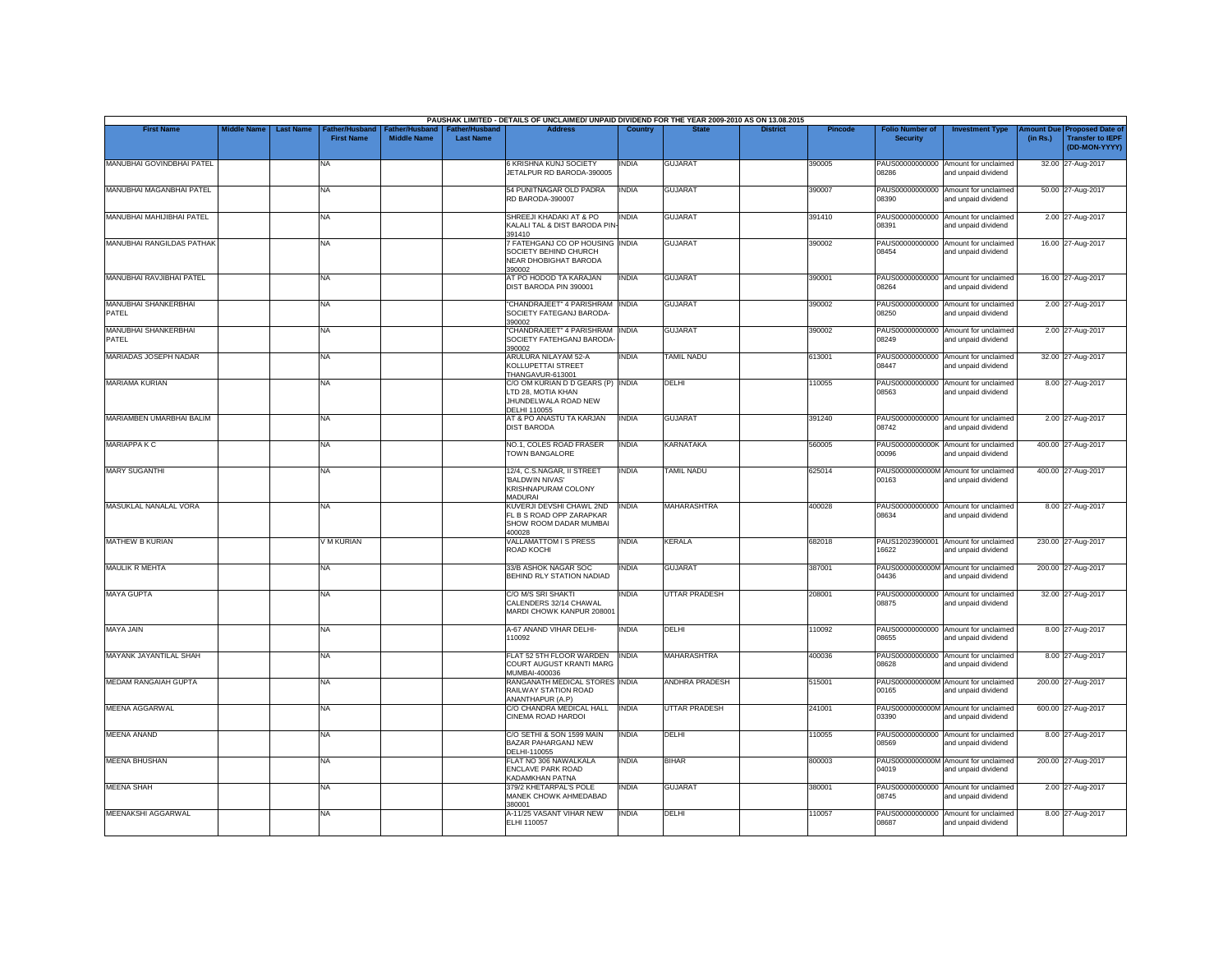|                                      |                    |                                                                |                                      |                                           | PAUSHAK LIMITED - DETAILS OF UNCLAIMED/ UNPAID DIVIDEND FOR THE YEAR 2009-2010 AS ON 13.08.2015        |              |                      |                 |                |                                           |                                                             |          |                                                                                |
|--------------------------------------|--------------------|----------------------------------------------------------------|--------------------------------------|-------------------------------------------|--------------------------------------------------------------------------------------------------------|--------------|----------------------|-----------------|----------------|-------------------------------------------|-------------------------------------------------------------|----------|--------------------------------------------------------------------------------|
| <b>First Name</b>                    | <b>Middle Name</b> | <b>Last Name</b><br><b>Father/Husband</b><br><b>First Name</b> | Father/Husband<br><b>Middle Name</b> | <b>Father/Husband</b><br><b>Last Name</b> | <b>Address</b>                                                                                         | Country      | <b>State</b>         | <b>District</b> | <b>Pincode</b> | <b>Folio Number of</b><br><b>Security</b> | <b>Investment Type</b>                                      | (in Rs.) | <b>Amount Due Proposed Date of</b><br><b>Transfer to IEPF</b><br>(DD-MON-YYYY) |
| MANUBHAI GOVINDBHAI PATEL            |                    | <b>NA</b>                                                      |                                      |                                           | 6 KRISHNA KUNJ SOCIETY<br>JETALPUR RD BARODA-390005                                                    | INDIA        | <b>GUJARAT</b>       |                 | 390005         | PAUS00000000000<br>08286                  | Amount for unclaimed<br>and unpaid dividend                 |          | 32.00 27-Aug-2017                                                              |
| <b>MANUBHAI MAGANBHAI PATEL</b>      |                    | <b>NA</b>                                                      |                                      |                                           | 54 PUNITNAGAR OLD PADRA<br>RD BARODA-390007                                                            | <b>INDIA</b> | <b>GUJARAT</b>       |                 | 390007         | 08390                                     | PAUS00000000000 Amount for unclaimed<br>and unpaid dividend |          | 50.00 27-Aug-2017                                                              |
| MANUBHAI MAHIJIBHAI PATEL            |                    | NA                                                             |                                      |                                           | SHREEJI KHADAKI AT & PO<br>KALALI TAL & DIST BARODA PIN<br>391410                                      | INDIA        | <b>GUJARAT</b>       |                 | 391410         | PAUS00000000000<br>08391                  | Amount for unclaimed<br>and unpaid dividend                 |          | 2.00 27-Aug-2017                                                               |
| <b>MANUBHAI RANGILDAS PATHAK</b>     |                    | <b>NA</b>                                                      |                                      |                                           | 7 FATEHGANJ CO OP HOUSING INDIA<br>SOCIETY BEHIND CHURCH<br>NEAR DHOBIGHAT BARODA<br>390002            |              | <b>GUJARAT</b>       |                 | 390002         | 08454                                     | PAUS00000000000 Amount for unclaimed<br>and unpaid dividend |          | 16.00 27-Aug-2017                                                              |
| MANUBHAI RAVJIBHAI PATEL             |                    | <b>NA</b>                                                      |                                      |                                           | AT PO HODOD TA KARAJAN<br>DIST BARODA PIN 390001                                                       | <b>INDIA</b> | <b>GUJARAT</b>       |                 | 390001         | 08264                                     | PAUS00000000000 Amount for unclaimed<br>and unpaid dividend |          | 16.00 27-Aug-2017                                                              |
| MANUBHAI SHANKERBHAI<br>PATEL        |                    | <b>NA</b>                                                      |                                      |                                           | "CHANDRAJEET" 4 PARISHRAM INDIA<br>SOCIETY FATEGANJ BARODA-<br>390002                                  |              | <b>GUJARAT</b>       |                 | 390002         | 08250                                     | PAUS00000000000 Amount for unclaimed<br>and unpaid dividend |          | 2.00 27-Aug-2017                                                               |
| <b>MANUBHAI SHANKERBHAI</b><br>PATEL |                    | <b>NA</b>                                                      |                                      |                                           | "CHANDRAJEET" 4 PARISHRAM INDIA<br>SOCIETY FATEHGANJ BARODA<br>390002                                  |              | <b>GUJARAT</b>       |                 | 390002         | 08249                                     | PAUS00000000000 Amount for unclaimed<br>and unpaid dividend |          | 2.00 27-Aug-2017                                                               |
| MARIADAS JOSEPH NADAR                |                    | <b>NA</b>                                                      |                                      |                                           | ARULURA NILAYAM 52-A<br>KOLLUPETTAI STREET<br>THANGAVUR-613001                                         | <b>INDIA</b> | <b>TAMIL NADU</b>    |                 | 613001         | 08447                                     | PAUS00000000000 Amount for unclaimed<br>and unpaid dividend |          | 32.00 27-Aug-2017                                                              |
| <b>MARIAMA KURIAN</b>                |                    | <b>NA</b>                                                      |                                      |                                           | C/O OM KURIAN D D GEARS (P) INDIA<br>LTD 28, MOTIA KHAN<br>JHUNDELWALA ROAD NEW<br><b>DELHI 110055</b> |              | DELHI                |                 | 110055         | 08563                                     | PAUS00000000000 Amount for unclaimed<br>and unpaid dividend |          | 8.00 27-Aug-2017                                                               |
| MARIAMBEN UMARBHAI BALIM             |                    | <b>NA</b>                                                      |                                      |                                           | AT & PO ANASTU TA KARJAN<br><b>DIST BARODA</b>                                                         | <b>INDIA</b> | <b>GUJARAT</b>       |                 | 391240         | PAUS00000000000<br>08742                  | Amount for unclaimed<br>and unpaid dividend                 |          | 2.00 27-Aug-2017                                                               |
| <b>MARIAPPA K C</b>                  |                    | <b>NA</b>                                                      |                                      |                                           | NO.1. COLES ROAD FRASER<br>TOWN BANGALORE                                                              | <b>INDIA</b> | <b>KARNATAKA</b>     |                 | 560005         | 00096                                     | PAUS0000000000K Amount for unclaimed<br>and unpaid dividend |          | 400.00 27-Aug-2017                                                             |
| <b>MARY SUGANTHI</b>                 |                    | <b>NA</b>                                                      |                                      |                                           | 12/4. C.S.NAGAR. II STREET<br>'BALDWIN NIVAS'<br>KRISHNAPURAM COLONY<br>MADURAI                        | INDIA        | <b>TAMIL NADU</b>    |                 | 625014         | 00163                                     | PAUS0000000000M Amount for unclaimed<br>and unpaid dividend |          | 400.00 27-Aug-2017                                                             |
| MASUKLAL NANALAL VORA                |                    | <b>NA</b>                                                      |                                      |                                           | KUVERJI DEVSHI CHAWL 2ND<br>FL B S ROAD OPP ZARAPKAR<br>SHOW ROOM DADAR MUMBAI<br>400028               | <b>INDIA</b> | <b>MAHARASHTRA</b>   |                 | 400028         | PAUS00000000000<br>08634                  | Amount for unclaimed<br>and unpaid dividend                 |          | 8.00 27-Aug-2017                                                               |
| <b>MATHEW B KURIAN</b>               |                    | V M KURIAN                                                     |                                      |                                           | <b>VALLAMATTOM I S PRESS</b><br>ROAD KOCHI                                                             | <b>INDIA</b> | <b>KERALA</b>        |                 | 682018         | 16622                                     | PAUS12023900001 Amount for unclaimed<br>and unpaid dividend |          | 230.00 27-Aug-2017                                                             |
| <b>MAULIK R MEHTA</b>                |                    | <b>NA</b>                                                      |                                      |                                           | 33/B ASHOK NAGAR SOC<br>BEHIND RLY STATION NADIAD                                                      | <b>INDIA</b> | <b>GUJARAT</b>       |                 | 387001         | 04436                                     | PAUS0000000000M Amount for unclaimed<br>and unpaid dividend |          | 200.00 27-Aug-2017                                                             |
| <b>MAYA GUPTA</b>                    |                    | <b>NA</b>                                                      |                                      |                                           | C/O M/S SRI SHAKTI<br>CALENDERS 32/14 CHAWAL<br>MARDI CHOWK KANPUR 208001                              | INDIA        | <b>UTTAR PRADESH</b> |                 | 208001         | 08875                                     | PAUS00000000000 Amount for unclaimed<br>and unpaid dividend |          | 32.00 27-Aug-2017                                                              |
| MAYA JAIN                            |                    | <b>NA</b>                                                      |                                      |                                           | A-67 ANAND VIHAR DELHI-<br>110092                                                                      | INDIA        | DELHI                |                 | 110092         | 08655                                     | PAUS00000000000 Amount for unclaimed<br>and unpaid dividend |          | 8.00 27-Aug-2017                                                               |
| MAYANK JAYANTILAL SHAH               |                    | <b>NA</b>                                                      |                                      |                                           | FLAT 52 5TH FLOOR WARDEN<br>COURT AUGUST KRANTI MARG<br>MUMBAI-400036                                  | <b>INDIA</b> | <b>MAHARASHTRA</b>   |                 | 400036         | 08628                                     | PAUS00000000000 Amount for unclaimed<br>and unpaid dividend |          | 8.00 27-Aug-2017                                                               |
| <b>MEDAM RANGAIAH GUPTA</b>          |                    | <b>NA</b>                                                      |                                      |                                           | RANGANATH MEDICAL STORES INDIA<br>RAILWAY STATION ROAD<br>ANANTHAPUR (A.P)                             |              | ANDHRA PRADESH       |                 | 515001         | 00165                                     | PAUS0000000000M Amount for unclaimed<br>and unpaid dividend |          | 200.00 27-Aug-2017                                                             |
| <b>MEENA AGGARWAL</b>                |                    | <b>NA</b>                                                      |                                      |                                           | C/O CHANDRA MEDICAL HALL<br>CINEMA ROAD HARDOI                                                         | <b>INDIA</b> | <b>UTTAR PRADESH</b> |                 | 241001         | 03390                                     | PAUS0000000000M Amount for unclaimed<br>and unpaid dividend |          | 600.00 27-Aug-2017                                                             |
| <b>MEENA ANAND</b>                   |                    | <b>NA</b>                                                      |                                      |                                           | C/O SETHI & SON 1599 MAIN<br><b>BAZAR PAHARGANJ NEW</b><br>DELHI-110055                                | <b>INDIA</b> | DELHI                |                 | 110055         | 08569                                     | PAUS00000000000 Amount for unclaimed<br>and unpaid dividend |          | 8.00 27-Aug-2017                                                               |
| <b>MEENA BHUSHAN</b>                 |                    | <b>NA</b>                                                      |                                      |                                           | FLAT NO 306 NAWALKALA<br><b>FNCLAVE PARK ROAD</b><br>KADAMKHAN PATNA                                   | INDIA        | <b>BIHAR</b>         |                 | 800003         | 04019                                     | PAUS0000000000M Amount for unclaimed<br>and unpaid dividend |          | 200.00 27-Aug-2017                                                             |
| <b>MEENA SHAH</b>                    |                    | <b>NA</b>                                                      |                                      |                                           | 379/2 KHETARPAL'S POLE<br>MANEK CHOWK AHMEDABAD<br>380001                                              | <b>INDIA</b> | <b>GUJARAT</b>       |                 | 380001         | 08745                                     | PAUS00000000000 Amount for unclaimed<br>and unpaid dividend |          | 2.00 27-Aug-2017                                                               |
| <b>MEENAKSHI AGGARWAL</b>            |                    | <b>NA</b>                                                      |                                      |                                           | A-11/25 VASANT VIHAR NEW<br><b>ELHI 110057</b>                                                         | <b>INDIA</b> | DELHI                |                 | 110057         | 08687                                     | PAUS00000000000 Amount for unclaimed<br>and unpaid dividend |          | 8.00 27-Aug-2017                                                               |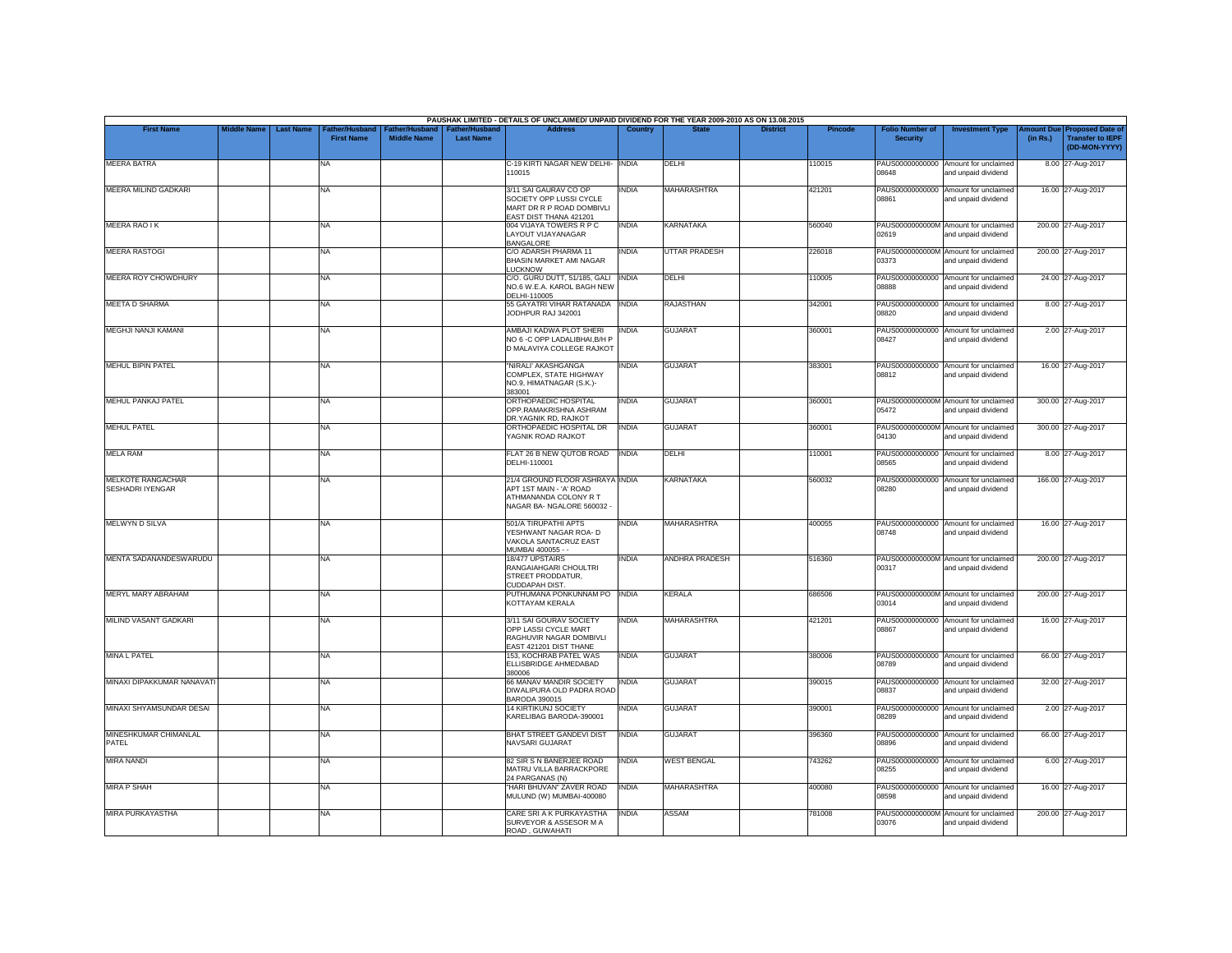|                                              |                    |                  |                                            |                                             |                                           | PAUSHAK LIMITED - DETAILS OF UNCLAIMED/ UNPAID DIVIDEND FOR THE YEAR 2009-2010 AS ON 13.08.2015                |                |                       |                 |         |                                           |                                                             |          |                                                                                |
|----------------------------------------------|--------------------|------------------|--------------------------------------------|---------------------------------------------|-------------------------------------------|----------------------------------------------------------------------------------------------------------------|----------------|-----------------------|-----------------|---------|-------------------------------------------|-------------------------------------------------------------|----------|--------------------------------------------------------------------------------|
| <b>First Name</b>                            | <b>Middle Name</b> | <b>Last Name</b> | <b>Father/Husband</b><br><b>First Name</b> | <b>Father/Husband</b><br><b>Middle Name</b> | <b>Father/Husband</b><br><b>Last Name</b> | <b>Address</b>                                                                                                 | <b>Country</b> | <b>State</b>          | <b>District</b> | Pincode | <b>Folio Number of</b><br><b>Security</b> | <b>Investment Type</b>                                      | (in Rs.) | <b>Amount Due Proposed Date of</b><br><b>Transfer to IEPF</b><br>(DD-MON-YYYY) |
| <b>MEERA BATRA</b>                           |                    |                  | <b>NA</b>                                  |                                             |                                           | C-19 KIRTI NAGAR NEW DELHI- INDIA<br>110015                                                                    |                | DFI HI                |                 | 110015  | 08648                                     | PAUS00000000000 Amount for unclaimed<br>and unpaid dividend |          | 8.00 27-Aug-2017                                                               |
| MEERA MILIND GADKARI                         |                    |                  | <b>NA</b>                                  |                                             |                                           | 3/11 SAI GAURAV CO OP<br>SOCIETY OPP LUSSI CYCLE<br>MART DR R P ROAD DOMBIVLI<br>EAST DIST THANA 421201        | <b>INDIA</b>   | <b>MAHARASHTRA</b>    |                 | 421201  | 08861                                     | PAUS00000000000 Amount for unclaimed<br>and unpaid dividend |          | 16.00 27-Aug-2017                                                              |
| <b>MEERA RAO IK</b>                          |                    |                  | NA                                         |                                             |                                           | 004 VIJAYA TOWERS R P C<br>LAYOUT VIJAYANAGAR<br><b>BANGALORE</b>                                              | <b>INDIA</b>   | <b>KARNATAKA</b>      |                 | 560040  | 02619                                     | PAUS0000000000M Amount for unclaimed<br>and unpaid dividend |          | 200.00 27-Aug-2017                                                             |
| <b>MEERA RASTOGI</b>                         |                    |                  | <b>NA</b>                                  |                                             |                                           | C/O ADARSH PHARMA 11<br>BHASIN MARKET AMI NAGAR<br><b>LUCKNOW</b>                                              | INDIA          | <b>UTTAR PRADESH</b>  |                 | 226018  | 03373                                     | PAUS0000000000M Amount for unclaimed<br>and unpaid dividend |          | 200.00 27-Aug-2017                                                             |
| MEERA ROY CHOWDHURY                          |                    |                  | <b>NA</b>                                  |                                             |                                           | C/O. GURU DUTT, 51/185, GALI  INDIA<br>NO.6 W.E.A. KAROL BAGH NEW<br>DELHI-110005                              |                | DELHI                 |                 | 110005  | <b>CRRRR</b>                              | PAUS00000000000 Amount for unclaimed<br>and unpaid dividend |          | 24.00 27-Aug-2017                                                              |
| <b>MEETA D SHARMA</b>                        |                    |                  | <b>NA</b>                                  |                                             |                                           | 55 GAYATRI VIHAR RATANADA INDIA<br>JODHPUR RAJ 342001                                                          |                | <b>RAJASTHAN</b>      |                 | 342001  | PAUS00000000000<br>08820                  | Amount for unclaimed<br>and unpaid dividend                 |          | 8.00 27-Aug-2017                                                               |
| MEGHJI NANJI KAMANI                          |                    |                  | <b>NA</b>                                  |                                             |                                           | AMBAJI KADWA PLOT SHERI<br>NO 6 -C OPP LADALIBHAI.B/H P<br>D MALAVIYA COLLEGE RAJKOT                           | <b>INDIA</b>   | <b>GUJARAT</b>        |                 | 360001  | 08427                                     | PAUS00000000000 Amount for unclaimed<br>and unpaid dividend |          | 2.00 27-Aug-2017                                                               |
| <b>MEHUL BIPIN PATEL</b>                     |                    |                  | <b>NA</b>                                  |                                             |                                           | "NIRALI' AKASHGANGA<br>COMPLEX, STATE HIGHWAY<br>NO.9, HIMATNAGAR (S.K.)-<br>383001                            | <b>INDIA</b>   | <b>GUJARAT</b>        |                 | 383001  | 08812                                     | PAUS00000000000 Amount for unclaimed<br>and unpaid dividend |          | 16.00 27-Aug-2017                                                              |
| MEHUL PANKAJ PATEL                           |                    |                  | <b>NA</b>                                  |                                             |                                           | ORTHOPAEDIC HOSPITAL<br>OPP.RAMAKRISHNA ASHRAM<br>DR.YAGNIK RD, RAJKOT                                         | <b>INDIA</b>   | <b>GUJARAT</b>        |                 | 360001  | 05472                                     | PAUS0000000000M Amount for unclaimed<br>and unpaid dividend |          | 300.00 27-Aug-2017                                                             |
| <b>MEHUL PATEL</b>                           |                    |                  | <b>NA</b>                                  |                                             |                                           | ORTHOPAEDIC HOSPITAL DR<br>YAGNIK ROAD RAJKOT                                                                  | <b>INDIA</b>   | <b>GUJARAT</b>        |                 | 360001  | 04130                                     | PAUS0000000000M Amount for unclaimed<br>and unpaid dividend |          | 300.00 27-Aug-2017                                                             |
| <b>MELA RAM</b>                              |                    |                  | <b>NA</b>                                  |                                             |                                           | FLAT 26 B NEW QUTOB ROAD<br>DELHI-110001                                                                       | <b>INDIA</b>   | <b>DELHI</b>          |                 | 110001  | 08565                                     | PAUS00000000000 Amount for unclaimed<br>and unpaid dividend |          | 8.00 27-Aug-2017                                                               |
| MELKOTE RANGACHAR<br><b>SESHADRI IYENGAR</b> |                    |                  | <b>NA</b>                                  |                                             |                                           | 21/4 GROUND FLOOR ASHRAYA INDIA<br>APT 1ST MAIN - 'A' ROAD<br>ATHMANANDA COLONY R T<br>NAGAR BA-NGALORE 560032 |                | <b>KARNATAKA</b>      |                 | 560032  | 08280                                     | PAUS00000000000 Amount for unclaimed<br>and unpaid dividend |          | 166.00 27-Aug-2017                                                             |
| <b>MELWYN D SILVA</b>                        |                    |                  | <b>NA</b>                                  |                                             |                                           | 501/A TIRUPATHI APTS<br>YESHWANT NAGAR ROA- D<br>VAKOLA SANTACRUZ EAST<br>MUMBAI 400055 - -                    | INDIA          | <b>MAHARASHTRA</b>    |                 | 400055  | 08748                                     | PAUS00000000000 Amount for unclaimed<br>and unpaid dividend |          | 16.00 27-Aug-2017                                                              |
| MENTA SADANANDESWARUDU                       |                    |                  | <b>NA</b>                                  |                                             |                                           | 18/477 UPSTAIRS<br>RANGAIAHGARI CHOULTRI<br>STREET PRODDATUR,<br><b>CUDDAPAH DIST.</b>                         | <b>INDIA</b>   | <b>ANDHRA PRADESH</b> |                 | 516360  | 00317                                     | PAUS0000000000M Amount for unclaimed<br>and unpaid dividend |          | 200.00 27-Aug-2017                                                             |
| <b>MERYL MARY ABRAHAM</b>                    |                    |                  | <b>NA</b>                                  |                                             |                                           | PUTHUMANA PONKUNNAM PO<br>KOTTAYAM KERALA                                                                      | <b>INDIA</b>   | <b>KERALA</b>         |                 | 686506  | 03014                                     | PAUS0000000000M Amount for unclaimed<br>and unpaid dividend |          | 200.00 27-Aug-2017                                                             |
| MILIND VASANT GADKARI                        |                    |                  | NA                                         |                                             |                                           | 3/11 SAI GOURAV SOCIETY<br>OPP LASSI CYCLE MART<br>RAGHUVIR NAGAR DOMBIVLI<br>EAST 421201 DIST THANE           | <b>INDIA</b>   | <b>MAHARASHTRA</b>    |                 | 421201  | 08867                                     | PAUS00000000000 Amount for unclaimed<br>and unpaid dividend |          | 16.00 27-Aug-2017                                                              |
| <b>MINA L PATEL</b>                          |                    |                  | <b>NA</b>                                  |                                             |                                           | 153, KOCHRAB PATEL WAS<br>ELLISBRIDGE AHMEDABAD<br>380006                                                      | <b>INDIA</b>   | <b>GUJARAT</b>        |                 | 380006  | 08789                                     | PAUS00000000000 Amount for unclaimed<br>and unpaid dividend |          | 66.00 27-Aug-2017                                                              |
| MINAXI DIPAKKUMAR NANAVATI                   |                    |                  | <b>NA</b>                                  |                                             |                                           | 66 MANAV MANDIR SOCIETY<br>DIWALIPURA OLD PADRA ROAD<br><b>BARODA 390015</b>                                   | <b>INDIA</b>   | <b>GUJARAT</b>        |                 | 390015  | 08837                                     | PAUS00000000000 Amount for unclaimed<br>and unpaid dividend |          | 32.00 27-Aug-2017                                                              |
| MINAXI SHYAMSUNDAR DESAI                     |                    |                  | NA                                         |                                             |                                           | <b>14 KIRTIKUNJ SOCIETY</b><br>KARELIBAG BARODA-390001                                                         | INDIA          | <b>GUJARAT</b>        |                 | 390001  | PAUS00000000000<br>08289                  | Amount for unclaimed<br>and unpaid dividend                 |          | 2.00 27-Aug-2017                                                               |
| MINESHKUMAR CHIMANLAL<br>PATEL               |                    |                  | <b>NA</b>                                  |                                             |                                           | <b>BHAT STREET GANDEVI DIST</b><br>NAVSARI GUJARAT                                                             | <b>INDIA</b>   | <b>GUJARAT</b>        |                 | 396360  | 08896                                     | PAUS00000000000 Amount for unclaimed<br>and unpaid dividend |          | 66.00 27-Aug-2017                                                              |
| <b>MIRA NANDI</b>                            |                    |                  | <b>NA</b>                                  |                                             |                                           | 82 SIR S N BANERJEE ROAD<br>MATRU VILLA BARRACKPORE<br>24 PARGANAS (N)                                         | <b>INDIA</b>   | <b>WEST BENGAL</b>    |                 | 743262  | 08255                                     | PAUS00000000000 Amount for unclaimed<br>and unpaid dividend |          | 6.00 27-Aug-2017                                                               |
| <b>MIRA P SHAH</b>                           |                    |                  | <b>NA</b>                                  |                                             |                                           | "HARI BHUVAN" ZAVER ROAD<br>MULUND (W) MUMBAI-400080                                                           | <b>INDIA</b>   | <b>MAHARASHTRA</b>    |                 | 400080  | 08598                                     | PAUS00000000000 Amount for unclaimed<br>and unpaid dividend |          | 16.00 27-Aug-2017                                                              |
| MIRA PURKAYASTHA                             |                    |                  | <b>NA</b>                                  |                                             |                                           | CARE SRI A K PURKAYASTHA<br>SURVEYOR & ASSESOR M A<br>ROAD, GUWAHATI                                           | <b>INDIA</b>   | <b>ASSAM</b>          |                 | 781008  | 03076                                     | PAUS0000000000M Amount for unclaimed<br>and unpaid dividend |          | 200.00 27-Aug-2017                                                             |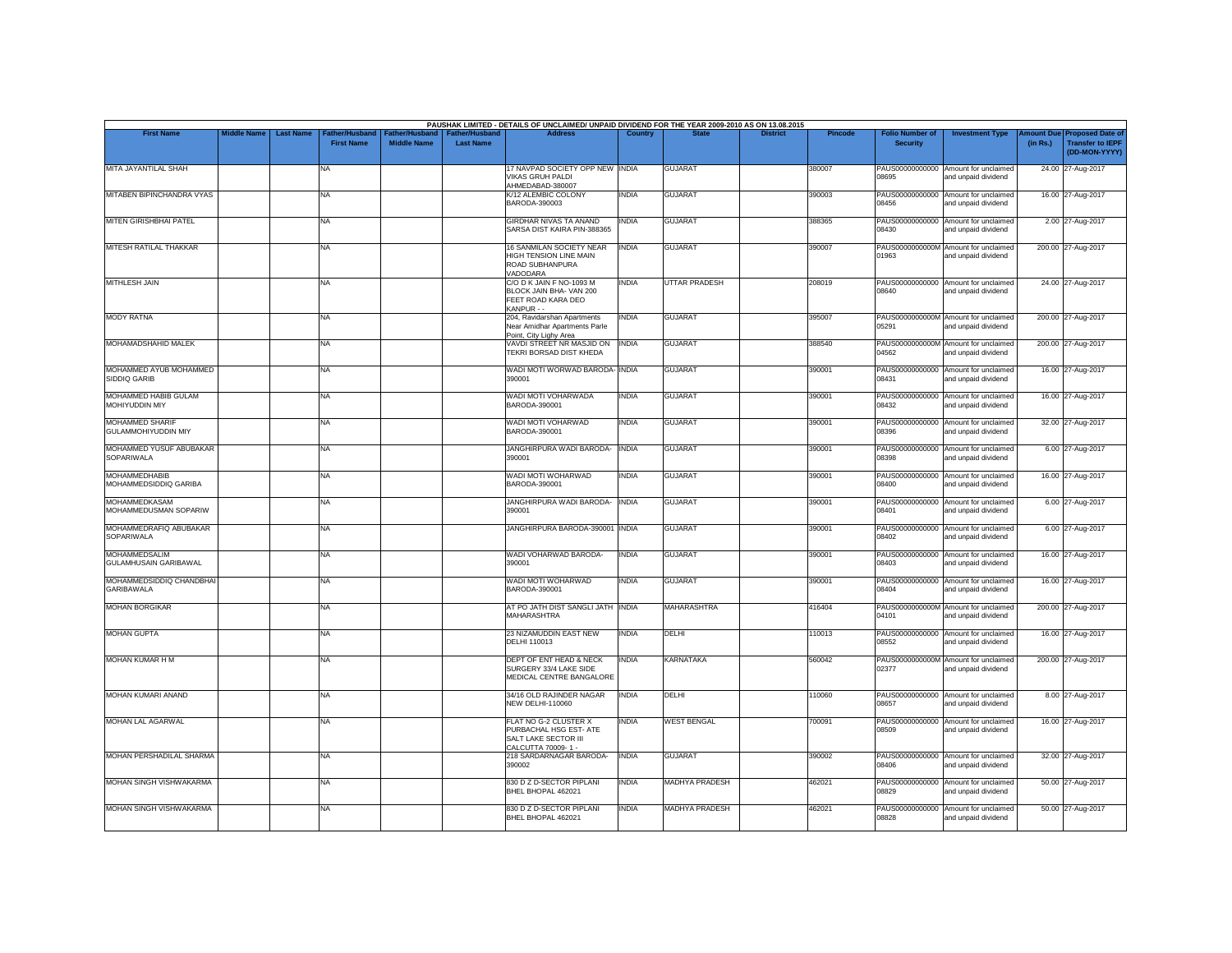| <b>First Name</b>                                    | <b>Middle Name</b> | <b>Last Name</b> | Father/Husband    | Father/Husband     | <b>Father/Husband</b> | PAUSHAK LIMITED - DETAILS OF UNCLAIMED/ UNPAID DIVIDEND FOR THE YEAR 2009-2010 AS ON 13.08.2015<br><b>Address</b> | Country      |                       | <b>District</b> | <b>Pincode</b> | <b>Folio Number of</b>   | <b>Investment Type</b>                                      | mount Due | <b>Proposed Date of</b>                  |
|------------------------------------------------------|--------------------|------------------|-------------------|--------------------|-----------------------|-------------------------------------------------------------------------------------------------------------------|--------------|-----------------------|-----------------|----------------|--------------------------|-------------------------------------------------------------|-----------|------------------------------------------|
|                                                      |                    |                  | <b>First Name</b> | <b>Middle Name</b> | <b>Last Name</b>      |                                                                                                                   |              |                       |                 |                | <b>Security</b>          |                                                             | (in Rs.)  | <b>Transfer to IEPF</b><br>(DD-MON-YYYY) |
| MITA JAYANTILAL SHAH                                 |                    |                  | NA                |                    |                       | 17 NAVPAD SOCIETY OPP NEW INDIA<br>VIKAS GRUH PALDI<br>AHMEDABAD-380007                                           |              | <b>GUJARAT</b>        |                 | 380007         | 08695                    | PAUS00000000000 Amount for unclaimed<br>and unpaid dividend |           | 24.00 27-Aug-2017                        |
| MITABEN BIPINCHANDRA VYAS                            |                    |                  | NA                |                    |                       | K/12 ALEMBIC COLONY<br>BARODA-390003                                                                              | <b>INDIA</b> | <b>GUJARAT</b>        |                 | 390003         | PAUS00000000000<br>08456 | Amount for unclaimed<br>and unpaid dividend                 |           | 16.00 27-Aug-2017                        |
| MITEN GIRISHBHAI PATEL                               |                    |                  | NA                |                    |                       | <b>GIRDHAR NIVAS TA ANAND</b><br>SARSA DIST KAIRA PIN-388365                                                      | <b>INDIA</b> | <b>GUJARAT</b>        |                 | 388365         | 08430                    | PAUS00000000000 Amount for unclaimed<br>and unpaid dividend |           | 2.00 27-Aug-2017                         |
| MITESH RATILAL THAKKAR                               |                    |                  | NA                |                    |                       | 16 SANMILAN SOCIETY NEAR<br><b>HIGH TENSION LINE MAIN</b><br>ROAD SUBHANPURA<br>VADODARA                          | <b>INDIA</b> | <b>GUJARAT</b>        |                 | 390007         | 01963                    | PAUS0000000000M Amount for unclaimed<br>and unpaid dividend |           | 200.00 27-Aug-2017                       |
| <b>MITHLESH JAIN</b>                                 |                    |                  | NA                |                    |                       | C/O D K JAIN F NO-1093 M<br>BLOCK JAIN BHA- VAN 200<br>FEET ROAD KARA DEO<br>KANPUR - -                           | <b>INDIA</b> | <b>UTTAR PRADESH</b>  |                 | 208019         | 08640                    | PAUS00000000000 Amount for unclaimed<br>and unpaid dividend |           | 24.00 27-Aug-2017                        |
| <b>MODY RATNA</b>                                    |                    |                  | NA                |                    |                       | 204, Ravidarshan Apartments<br>Near Amidhar Apartments Parle<br>Point, City Lighy Area                            | <b>INDIA</b> | <b>GUJARAT</b>        |                 | 395007         | 05291                    | PAUS0000000000M Amount for unclaimed<br>and unpaid dividend |           | 200.00 27-Aug-2017                       |
| MOHAMADSHAHID MALEK                                  |                    |                  | <b>NA</b>         |                    |                       | VAVDI STREET NR MASJID ON<br>TEKRI BORSAD DIST KHEDA                                                              | <b>INDIA</b> | <b>GUJARAT</b>        |                 | 388540         | 04562                    | PAUS0000000000M Amount for unclaimed<br>and unpaid dividend |           | 200.00 27-Aug-2017                       |
| MOHAMMED AYUB MOHAMMED<br>SIDDIQ GARIB               |                    |                  | NA                |                    |                       | WADI MOTI WORWAD BARODA- INDIA<br>390001                                                                          |              | <b>GUJARAT</b>        |                 | 390001         | 08431                    | PAUS00000000000 Amount for unclaimed<br>and unpaid dividend |           | 16.00 27-Aug-2017                        |
| MOHAMMED HABIB GULAM<br>MOHIYUDDIN MIY               |                    |                  | NA                |                    |                       | WADI MOTI VOHARWADA<br>BARODA-390001                                                                              | <b>INDIA</b> | <b>GUJARAT</b>        |                 | 390001         | 08432                    | PAUS00000000000 Amount for unclaimed<br>and unpaid dividend |           | 16.00 27-Aug-2017                        |
| <b>MOHAMMED SHARIF</b><br><b>GULAMMOHIYUDDIN MIY</b> |                    |                  | NA                |                    |                       | WADI MOTI VOHARWAD<br>BARODA-390001                                                                               | <b>INDIA</b> | <b>GUJARAT</b>        |                 | 390001         | 08396                    | PAUS00000000000 Amount for unclaimed<br>and unpaid dividend |           | 32.00 27-Aug-2017                        |
| MOHAMMED YUSUF ABUBAKAR<br>SOPARIWALA                |                    |                  | NA                |                    |                       | JANGHIRPURA WADI BARODA- INDIA<br>390001                                                                          |              | <b>GUJARAT</b>        |                 | 390001         | 08398                    | PAUS00000000000 Amount for unclaimed<br>and unpaid dividend |           | 6.00 27-Aug-2017                         |
| <b>MOHAMMEDHABIB</b><br>MOHAMMEDSIDDIQ GARIBA        |                    |                  | NA                |                    |                       | WADI MOTI WOHARWAD<br>BARODA-390001                                                                               | <b>INDIA</b> | <b>GUJARAT</b>        |                 | 390001         | 08400                    | PAUS00000000000 Amount for unclaimed<br>and unpaid dividend |           | 16.00 27-Aug-2017                        |
| <b>MOHAMMEDKASAM</b><br>MOHAMMEDUSMAN SOPARIW        |                    |                  | <b>NA</b>         |                    |                       | JANGHIRPURA WADI BARODA-<br>390001                                                                                | <b>INDIA</b> | <b>GUJARAT</b>        |                 | 390001         | 08401                    | PAUS00000000000 Amount for unclaimed<br>and unpaid dividend |           | 6.00 27-Aug-2017                         |
| MOHAMMEDRAFIQ ABUBAKAR<br><b>SOPARIWALA</b>          |                    |                  | NA                |                    |                       | JANGHIRPURA BARODA-390001 INDIA                                                                                   |              | <b>GUJARAT</b>        |                 | 390001         | 08402                    | PAUS00000000000 Amount for unclaimed<br>and unpaid dividend |           | 6.00 27-Aug-2017                         |
| <b>MOHAMMEDSALIM</b><br>GULAMHUSAIN GARIBAWAL        |                    |                  | NA                |                    |                       | WADI VOHARWAD BARODA-<br>390001                                                                                   | <b>INDIA</b> | <b>GUJARAT</b>        |                 | 390001         | 08403                    | PAUS00000000000 Amount for unclaimed<br>and unpaid dividend |           | 16.00 27-Aug-2017                        |
| MOHAMMEDSIDDIQ CHANDBHAI<br><b>GARIBAWALA</b>        |                    |                  | NA                |                    |                       | WADI MOTI WOHARWAD<br>BARODA-390001                                                                               | <b>INDIA</b> | <b>GUJARAT</b>        |                 | 390001         | 08404                    | PAUS00000000000 Amount for unclaimed<br>and unpaid dividend |           | 16.00 27-Aug-2017                        |
| <b>MOHAN BORGIKAR</b>                                |                    |                  | NA                |                    |                       | AT PO JATH DIST SANGLI JATH INDIA<br><b>MAHARASHTRA</b>                                                           |              | <b>MAHARASHTRA</b>    |                 | 416404         | 04101                    | PAUS0000000000M Amount for unclaimed<br>and unpaid dividend |           | 200.00 27-Aug-2017                       |
| <b>MOHAN GUPTA</b>                                   |                    |                  | NA                |                    |                       | 23 NIZAMUDDIN EAST NEW<br>DELHI 110013                                                                            | <b>INDIA</b> | DELHI                 |                 | 110013         | 08552                    | PAUS00000000000 Amount for unclaimed<br>and unpaid dividend |           | 16.00 27-Aug-2017                        |
| MOHAN KUMAR H M                                      |                    |                  | NA                |                    |                       | DEPT OF ENT HEAD & NECK<br>SURGERY 33/4 LAKE SIDE<br>MEDICAL CENTRE BANGALORE                                     | <b>INDIA</b> | <b>KARNATAKA</b>      |                 | 560042         | 02377                    | PAUS0000000000M Amount for unclaimed<br>and unpaid dividend |           | 200.00 27-Aug-2017                       |
| MOHAN KUMARI ANAND                                   |                    |                  | <b>NA</b>         |                    |                       | 34/16 OLD RAJINDER NAGAR<br><b>NEW DELHI-110060</b>                                                               | <b>INDIA</b> | DELHI                 |                 | 110060         | 08657                    | PAUS00000000000 Amount for unclaimed<br>and unpaid dividend |           | 8.00 27-Aug-2017                         |
| <b>MOHAN LAL AGARWAL</b>                             |                    |                  | NA.               |                    |                       | FLAT NO G-2 CLUSTER X<br>PURBACHAL HSG EST- ATE<br>SALT LAKE SECTOR III<br>CALCUTTA 70009-1 -                     | <b>INDIA</b> | <b>WEST BENGAL</b>    |                 | 700091         | PAUS00000000000<br>08509 | Amount for unclaimed<br>and unpaid dividend                 |           | 16.00 27-Aug-2017                        |
| MOHAN PERSHADILAL SHARMA                             |                    |                  | NA                |                    |                       | 218 SARDARNAGAR BARODA-<br>390002                                                                                 | <b>INDIA</b> | <b>GUJARAT</b>        |                 | 390002         | 08406                    | PAUS00000000000 Amount for unclaimed<br>and unpaid dividend |           | 32.00 27-Aug-2017                        |
| MOHAN SINGH VISHWAKARMA                              |                    |                  | NA                |                    |                       | 830 D Z D-SECTOR PIPLANI<br>BHEL BHOPAL 462021                                                                    | <b>INDIA</b> | MADHYA PRADESH        |                 | 462021         | 08829                    | PAUS00000000000 Amount for unclaimed<br>and unnaid dividend |           | 50.00 27-Aug-2017                        |
| <b>MOHAN SINGH VISHWAKARMA</b>                       |                    |                  | NA                |                    |                       | 830 D Z D-SECTOR PIPLANI<br>BHEL BHOPAL 462021                                                                    | <b>INDIA</b> | <b>MADHYA PRADESH</b> |                 | 462021         | 08828                    | PAUS00000000000 Amount for unclaimed<br>and unpaid dividend |           | 50.00 27-Aug-2017                        |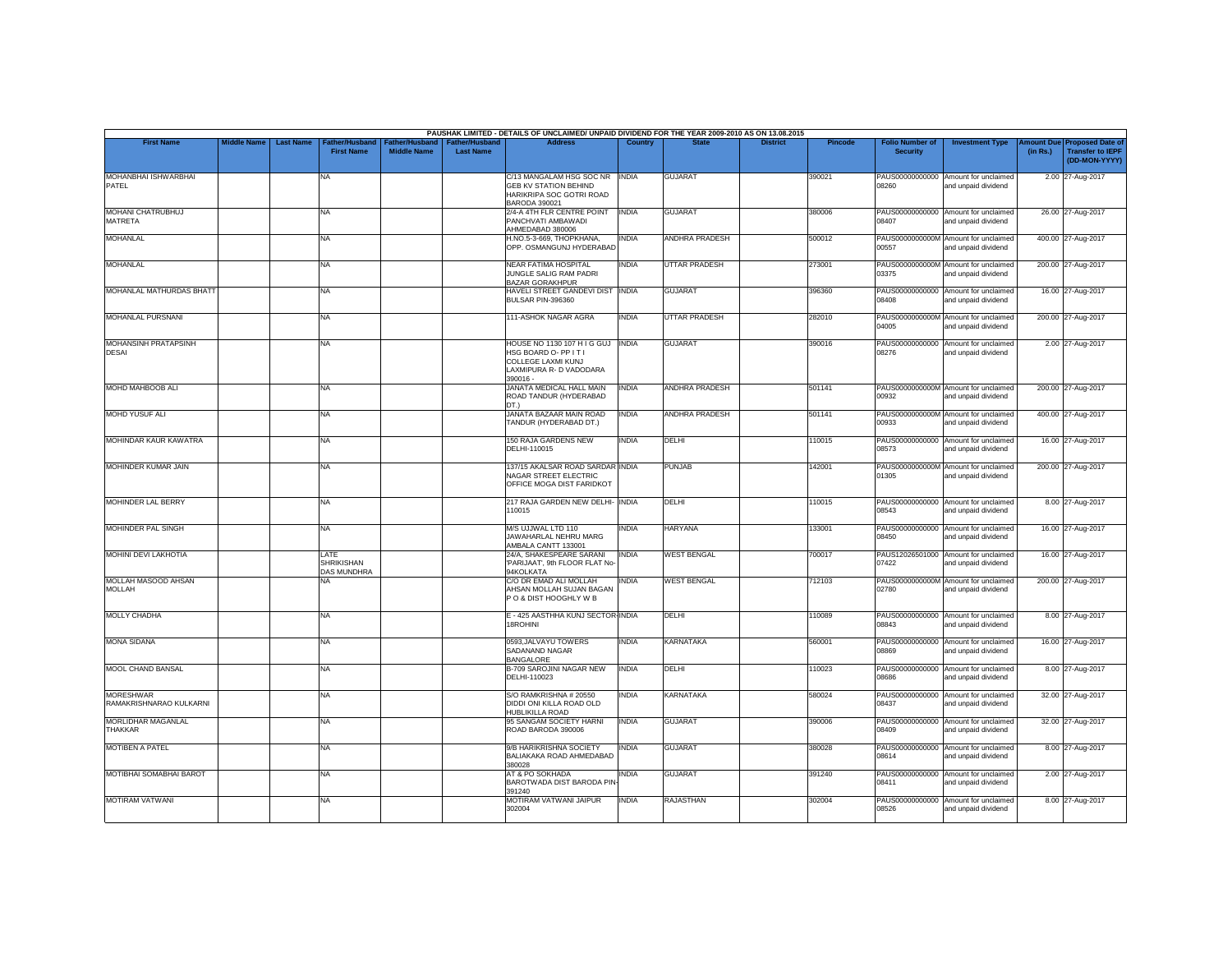|                                             |                    |                  |                                                 |                                             |                                           | PAUSHAK LIMITED - DETAILS OF UNCLAIMED/ UNPAID DIVIDEND FOR THE YEAR 2009-2010 AS ON 13.08.2015                               |                |                       |                 |         |                                           |                                                             |          |                                                                         |
|---------------------------------------------|--------------------|------------------|-------------------------------------------------|---------------------------------------------|-------------------------------------------|-------------------------------------------------------------------------------------------------------------------------------|----------------|-----------------------|-----------------|---------|-------------------------------------------|-------------------------------------------------------------|----------|-------------------------------------------------------------------------|
| <b>First Name</b>                           | <b>Middle Name</b> | <b>Last Name</b> | Father/Husband<br><b>First Name</b>             | <b>Father/Husband</b><br><b>Middle Name</b> | <b>Father/Husband</b><br><b>Last Name</b> | <b>Address</b>                                                                                                                | <b>Country</b> | <b>State</b>          | <b>District</b> | Pincode | <b>Folio Number of</b><br><b>Security</b> | <b>Investment Type</b>                                      | (in Rs.) | Amount Due Proposed Date of<br><b>Transfer to IEPF</b><br>(DD-MON-YYYY) |
| MOHANBHAI ISHWARBHAI<br>PATEL               |                    |                  | <b>NA</b>                                       |                                             |                                           | C/13 MANGALAM HSG SOC NR   INDIA<br><b>GEB KV STATION BEHIND</b><br>HARIKRIPA SOC GOTRI ROAD<br>BARODA 390021                 |                | <b>GUJARAT</b>        |                 | 390021  | 08260                                     | PAUS00000000000 Amount for unclaimed<br>and unpaid dividend |          | 2.00 27-Aug-2017                                                        |
| <b>MOHANI CHATRUBHUJ</b><br>MATRETA         |                    |                  | <b>NA</b>                                       |                                             |                                           | 2/4-A 4TH FLR CENTRE POINT<br>PANCHVATI AMBAWADI<br>AHMEDABAD 380006                                                          | <b>INDIA</b>   | <b>GUJARAT</b>        |                 | 380006  | 08407                                     | PAUS00000000000 Amount for unclaimed<br>and unpaid dividend |          | 26.00 27-Aug-2017                                                       |
| <b>MOHANLAL</b>                             |                    |                  | <b>NA</b>                                       |                                             |                                           | H.NO.5-3-669, THOPKHANA,<br>OPP. OSMANGUNJ HYDERABAD                                                                          | <b>INDIA</b>   | <b>ANDHRA PRADESH</b> |                 | 500012  | 00557                                     | PAUS0000000000M Amount for unclaimed<br>and unpaid dividend |          | 400.00 27-Aug-2017                                                      |
| <b>MOHANLAL</b>                             |                    |                  | <b>NA</b>                                       |                                             |                                           | <b>NEAR FATIMA HOSPITAL</b><br>JUNGLE SALIG RAM PADRI<br><b>BAZAR GORAKHPUR</b>                                               | <b>INDIA</b>   | <b>UTTAR PRADESH</b>  |                 | 273001  | 03375                                     | PAUS0000000000M Amount for unclaimed<br>and unpaid dividend |          | 200.00 27-Aug-2017                                                      |
| MOHANLAL MATHURDAS BHATT                    |                    |                  | <b>NA</b>                                       |                                             |                                           | HAVELI STREET GANDEVI DIST INDIA<br>BULSAR PIN-396360                                                                         |                | <b>GUJARAT</b>        |                 | 396360  | PAUS00000000000<br>08408                  | Amount for unclaimed<br>and unpaid dividend                 |          | 16.00 27-Aug-2017                                                       |
| MOHANLAL PURSNANI                           |                    |                  | <b>NA</b>                                       |                                             |                                           | 111-ASHOK NAGAR AGRA                                                                                                          | INDIA          | <b>UTTAR PRADESH</b>  |                 | 282010  | 04005                                     | PAUS0000000000M Amount for unclaimed<br>and unpaid dividend |          | 200.00 27-Aug-2017                                                      |
| <b>MOHANSINH PRATAPSINH</b><br><b>DESAI</b> |                    |                  | <b>NA</b>                                       |                                             |                                           | HOUSE NO 1130 107 H I G GUJ INDIA<br>HSG BOARD O- PP IT I<br><b>COLLEGE LAXMI KUNJ</b><br>LAXMIPURA R- D VADODARA<br>390016 - |                | <b>GUJARAT</b>        |                 | 390016  | 08276                                     | PAUS00000000000 Amount for unclaimed<br>and unpaid dividend |          | 2.00 27-Aug-2017                                                        |
| MOHD MAHBOOB ALI                            |                    |                  | <b>NA</b>                                       |                                             |                                           | JANATA MEDICAL HALL MAIN<br>ROAD TANDUR (HYDERABAD<br>DT.)                                                                    | <b>INDIA</b>   | ANDHRA PRADESH        |                 | 501141  | 00932                                     | PAUS0000000000M Amount for unclaimed<br>and unpaid dividend |          | 200.00 27-Aug-2017                                                      |
| <b>MOHD YUSUF ALL</b>                       |                    |                  | <b>NA</b>                                       |                                             |                                           | JANATA BAZAAR MAIN ROAD<br>TANDUR (HYDERABAD DT.)                                                                             | <b>INDIA</b>   | <b>ANDHRA PRADESH</b> |                 | 501141  | 00933                                     | PAUS0000000000M Amount for unclaimed<br>and unpaid dividend |          | 400.00 27-Aug-2017                                                      |
| MOHINDAR KAUR KAWATRA                       |                    |                  | <b>NA</b>                                       |                                             |                                           | 150 RAJA GARDENS NEW<br>DELHI-110015                                                                                          | INDIA          | DELHI                 |                 | 110015  | 08573                                     | PAUS00000000000 Amount for unclaimed<br>and unpaid dividend |          | 16.00 27-Aug-2017                                                       |
| MOHINDER KUMAR JAIN                         |                    |                  | <b>NA</b>                                       |                                             |                                           | 137/15 AKALSAR ROAD SARDAR INDIA<br>NAGAR STREET ELECTRIC<br>OFFICE MOGA DIST FARIDKOT                                        |                | <b>PUNJAB</b>         |                 | 142001  | 01305                                     | PAUS0000000000M Amount for unclaimed<br>and unpaid dividend |          | 200.00 27-Aug-2017                                                      |
| <b>MOHINDER LAL BERRY</b>                   |                    |                  | <b>NA</b>                                       |                                             |                                           | 217 RAJA GARDEN NEW DELHI- INDIA<br>110015                                                                                    |                | DELHI                 |                 | 110015  | 08543                                     | PAUS00000000000 Amount for unclaimed<br>and unpaid dividend |          | 8.00 27-Aug-2017                                                        |
| MOHINDER PAL SINGH                          |                    |                  | <b>NA</b>                                       |                                             |                                           | M/S UJJWAL LTD 110<br>JAWAHARLAL NEHRU MARG<br>AMBALA CANTT 133001                                                            | INDIA          | <b>HARYANA</b>        |                 | 133001  | 08450                                     | PAUS00000000000 Amount for unclaimed<br>and unpaid dividend |          | 16.00 27-Aug-2017                                                       |
| <b>MOHINI DEVI LAKHOTIA</b>                 |                    |                  | LATE<br><b>SHRIKISHAN</b><br><b>DAS MUNDHRA</b> |                                             |                                           | 24/A. SHAKESPEARE SARANI<br>'PARIJAAT', 9th FLOOR FLAT No<br>94KOLKATA                                                        | <b>INDIA</b>   | <b>WEST BENGAL</b>    |                 | 700017  | 07422                                     | PAUS12026501000 Amount for unclaimed<br>and unpaid dividend |          | 16.00 27-Aug-2017                                                       |
| MOLLAH MASOOD AHSAN<br><b>MOLLAH</b>        |                    |                  | <b>NA</b>                                       |                                             |                                           | C/O DR EMAD ALI MOLLAH<br>AHSAN MOLLAH SUJAN BAGAN<br>PO & DIST HOOGHLY W B                                                   | <b>INDIA</b>   | <b>WEST BENGAL</b>    |                 | 712103  | 02780                                     | PAUS0000000000M Amount for unclaimed<br>and unpaid dividend |          | 200.00 27-Aug-2017                                                      |
| <b>MOLLY CHADHA</b>                         |                    |                  | <b>NA</b>                                       |                                             |                                           | E - 425 AASTHHA KUNJ SECTOR-INDIA<br><b>18ROHINI</b>                                                                          |                | <b>DELHI</b>          |                 | 110089  | 08843                                     | PAUS00000000000 Amount for unclaimed<br>and unpaid dividend |          | 8.00 27-Aug-2017                                                        |
| <b>MONA SIDANA</b>                          |                    |                  | <b>NA</b>                                       |                                             |                                           | 0593, JALVAYU TOWERS<br>SADANAND NAGAR<br><b>BANGALORE</b>                                                                    | <b>INDIA</b>   | KARNATAKA             |                 | 560001  | <b>PARRO</b>                              | PAUS00000000000 Amount for unclaimed<br>and unpaid dividend |          | 16.00 27-Aug-2017                                                       |
| MOOL CHAND BANSAL                           |                    |                  | <b>NA</b>                                       |                                             |                                           | B-709 SAROJINI NAGAR NEW<br>DELHI-110023                                                                                      | <b>INDIA</b>   | DELHI                 |                 | 110023  | 08686                                     | PAUS00000000000 Amount for unclaimed<br>and unpaid dividend |          | 8.00 27-Aug-2017                                                        |
| <b>MORESHWAR</b><br>RAMAKRISHNARAO KULKARNI |                    |                  | <b>NA</b>                                       |                                             |                                           | S/O RAMKRISHNA # 20550<br>DIDDI ONI KILLA ROAD OLD<br>HUBLIKILLA ROAD                                                         | <b>INDIA</b>   | <b>KARNATAKA</b>      |                 | 580024  | 08437                                     | PAUS00000000000 Amount for unclaimed<br>and unpaid dividend |          | 32.00 27-Aug-2017                                                       |
| MORLIDHAR MAGANLAL<br>THAKKAR               |                    |                  | <b>NA</b>                                       |                                             |                                           | 95 SANGAM SOCIETY HARNI<br>ROAD BARODA 390006                                                                                 | <b>INDIA</b>   | <b>GUJARAT</b>        |                 | 390006  | 08409                                     | PAUS00000000000 Amount for unclaimed<br>and unpaid dividend |          | 32.00 27-Aug-2017                                                       |
| MOTIBEN A PATEL                             |                    |                  | <b>NA</b>                                       |                                             |                                           | 9/B HARIKRISHNA SOCIETY<br>BALIAKAKA ROAD AHMEDABAD<br>380028                                                                 | <b>INDIA</b>   | <b>GUJARAT</b>        |                 | 380028  | 08614                                     | PAUS00000000000 Amount for unclaimed<br>and unpaid dividend |          | 8.00 27-Aug-2017                                                        |
| MOTIBHAI SOMABHAI BAROT                     |                    |                  | <b>NA</b>                                       |                                             |                                           | AT & PO SOKHADA<br>BAROTWADA DIST BARODA PIN<br>391240                                                                        | INDIA          | <b>GUJARAT</b>        |                 | 391240  | 08411                                     | PAUS00000000000 Amount for unclaimed<br>and unpaid dividend |          | 2.00 27-Aug-2017                                                        |
| <b>MOTIRAM VATWANI</b>                      |                    |                  | <b>NA</b>                                       |                                             |                                           | MOTIRAM VATWANI JAIPUR<br>302004                                                                                              | INDIA          | <b>RAJASTHAN</b>      |                 | 302004  | PAUS00000000000<br>08526                  | Amount for unclaimed<br>and unpaid dividend                 |          | 8.00 27-Aug-2017                                                        |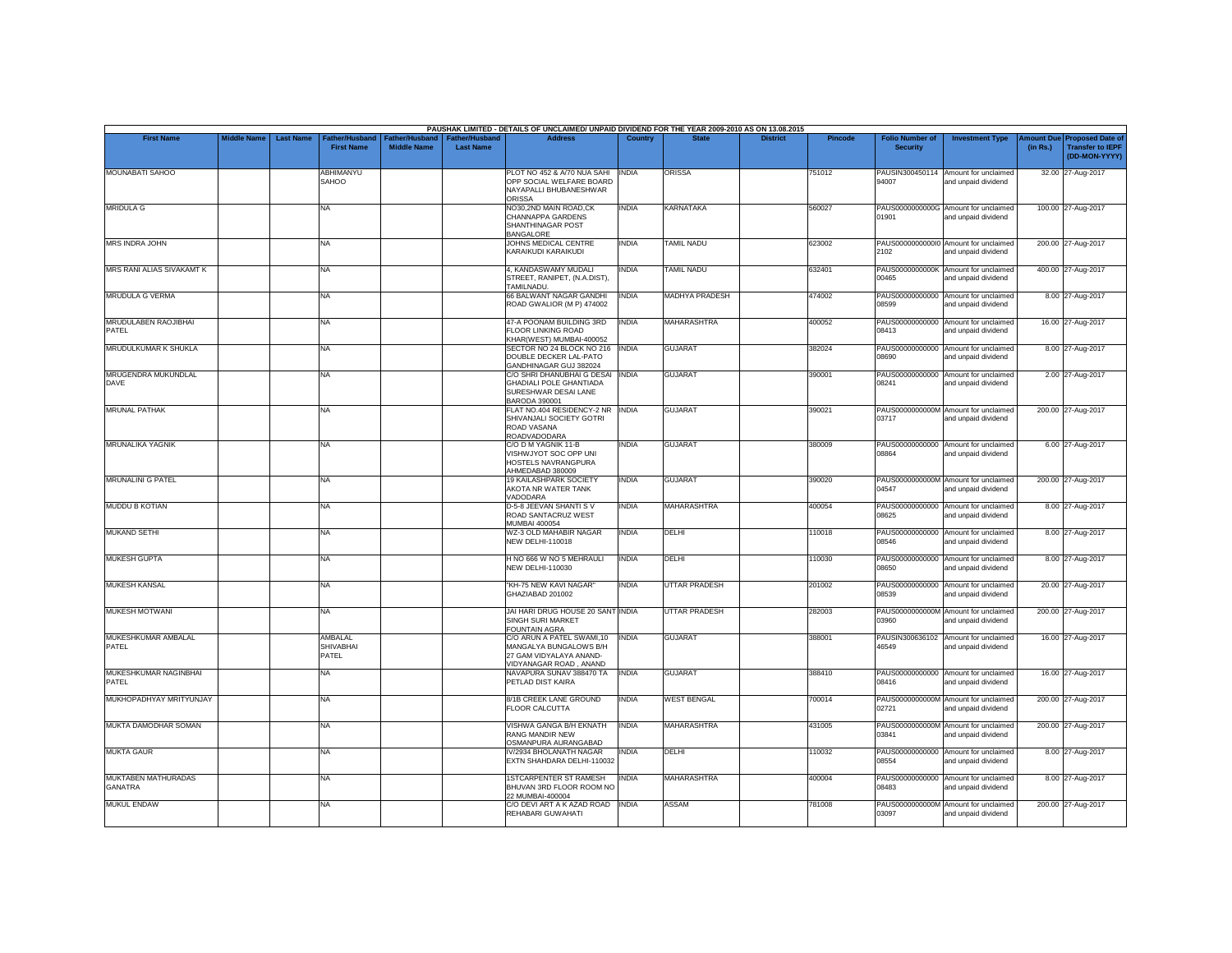|                                       |                    |                  |                                      |                                      |                                           | PAUSHAK LIMITED - DETAILS OF UNCLAIMED/ UNPAID DIVIDEND FOR THE YEAR 2009-2010 AS ON 13.08.2015          |                |                       |                 |         |                                           |                                                             |          |                                                                                |
|---------------------------------------|--------------------|------------------|--------------------------------------|--------------------------------------|-------------------------------------------|----------------------------------------------------------------------------------------------------------|----------------|-----------------------|-----------------|---------|-------------------------------------------|-------------------------------------------------------------|----------|--------------------------------------------------------------------------------|
| <b>First Name</b>                     | <b>Middle Name</b> | <b>Last Name</b> | Father/Husband<br><b>First Name</b>  | Father/Husband<br><b>Middle Name</b> | <b>Father/Husband</b><br><b>Last Name</b> | <b>Address</b>                                                                                           | <b>Country</b> | <b>State</b>          | <b>District</b> | Pincode | <b>Folio Number of</b><br><b>Security</b> | <b>Investment Type</b>                                      | (in Rs.) | <b>Amount Due Proposed Date of</b><br><b>Transfer to IEPF</b><br>(DD-MON-YYYY) |
| MOUNABATI SAHOO                       |                    |                  | ABHIMANYU<br>SAHOO                   |                                      |                                           | PLOT NO 452 & A/70 NUA SAHI<br>OPP SOCIAL WELFARE BOARD<br>NAYAPALLI BHUBANESHWAR<br><b>ORISSA</b>       | <b>INDIA</b>   | <b>ORISSA</b>         |                 | 751012  | 94007                                     | PAUSIN300450114 Amount for unclaimed<br>and unpaid dividend |          | 32.00 27-Aug-2017                                                              |
| <b>MRIDULA G</b>                      |                    |                  | <b>NA</b>                            |                                      |                                           | NO30.2ND MAIN ROAD.CK<br>CHANNAPPA GARDENS<br>SHANTHINAGAR POST<br><b>BANGALORE</b>                      | <b>INDIA</b>   | <b>KARNATAKA</b>      |                 | 560027  | 01901                                     | PAUS0000000000G Amount for unclaimed<br>and unpaid dividend |          | 100.00 27-Aug-2017                                                             |
| <b>MRS INDRA JOHN</b>                 |                    |                  | <b>NA</b>                            |                                      |                                           | JOHNS MEDICAL CENTRE<br>KARAIKUDI KARAIKUDI                                                              | INDIA          | <b>TAMIL NADU</b>     |                 | 623002  | 2102                                      | PAUS00000000000 Amount for unclaimed<br>and unpaid dividend |          | 200.00 27-Aug-2017                                                             |
| MRS RANI ALIAS SIVAKAMT K             |                    |                  | <b>NA</b>                            |                                      |                                           | 4, KANDASWAMY MUDALI<br>STREET, RANIPET, (N.A.DIST),<br>TAMILNADU.                                       | INDIA          | <b>TAMIL NADU</b>     |                 | 632401  | 00465                                     | PAUS0000000000K Amount for unclaimed<br>and unpaid dividend |          | 400.00 27-Aug-2017                                                             |
| <b>MRUDULA G VERMA</b>                |                    |                  | <b>NA</b>                            |                                      |                                           | 66 BALWANT NAGAR GANDHI<br>ROAD GWALIOR (M P) 474002                                                     | <b>INDIA</b>   | <b>MADHYA PRADESH</b> |                 | 474002  | 08599                                     | PAUS00000000000 Amount for unclaimed<br>and unpaid dividend |          | 8.00 27-Aug-2017                                                               |
| <b>MRUDULABEN RAOJIBHAI</b><br>PATEL  |                    |                  | <b>NA</b>                            |                                      |                                           | 47-A POONAM BUILDING 3RD<br><b>FLOOR LINKING ROAD</b><br>KHAR(WEST) MUMBAI-400052                        | <b>INDIA</b>   | <b>MAHARASHTRA</b>    |                 | 400052  | 08413                                     | PAUS00000000000 Amount for unclaimed<br>and unpaid dividend |          | 16.00 27-Aug-2017                                                              |
| MRUDULKUMAR K SHUKLA                  |                    |                  | <b>NA</b>                            |                                      |                                           | SECTOR NO 24 BLOCK NO 216<br>DOUBLE DECKER LAL-PATO<br>GANDHINAGAR GUJ 382024                            | <b>INDIA</b>   | <b>GUJARAT</b>        |                 | 382024  | 08690                                     | PAUS00000000000 Amount for unclaimed<br>and unpaid dividend |          | 8.00 27-Aug-2017                                                               |
| MRUGENDRA MUKUNDLAL<br>DAVE           |                    |                  | <b>NA</b>                            |                                      |                                           | C/O SHRI DHANUBHAI G DESAI<br><b>GHADIALI POLE GHANTIADA</b><br>SURESHWAR DESAI LANE<br>BARODA 390001    | <b>INDIA</b>   | <b>GUJARAT</b>        |                 | 390001  | 08241                                     | PAUS00000000000 Amount for unclaimed<br>and unpaid dividend |          | 2.00 27-Aug-2017                                                               |
| <b>MRUNAL PATHAK</b>                  |                    |                  | NA                                   |                                      |                                           | FLAT NO.404 RESIDENCY-2 NR<br>SHIVANJALI SOCIETY GOTRI<br>ROAD VASANA<br><b>ROADVADODARA</b>             | <b>INDIA</b>   | <b>GUJARAT</b>        |                 | 390021  | 03717                                     | PAUS0000000000M Amount for unclaimed<br>and unpaid dividend |          | 200.00 27-Aug-2017                                                             |
| <b>MRUNALIKA YAGNIK</b>               |                    |                  | <b>NA</b>                            |                                      |                                           | C/O D M YAGNIK 11-B<br>VISHWJYOT SOC OPP UNI<br>HOSTELS NAVRANGPURA<br>AHMEDABAD 380009                  | <b>INDIA</b>   | <b>GUJARAT</b>        |                 | 380009  | 08864                                     | PAUS00000000000 Amount for unclaimed<br>and unpaid dividend |          | 6.00 27-Aug-2017                                                               |
| <b>MRUNALINI G PATEL</b>              |                    |                  | <b>NA</b>                            |                                      |                                           | 19 KAILASHPARK SOCIETY<br>AKOTA NR WATER TANK<br>VADODARA                                                | <b>INDIA</b>   | <b>GUJARAT</b>        |                 | 390020  | 04547                                     | PAUS0000000000M Amount for unclaimed<br>and unpaid dividend |          | 200.00 27-Aug-2017                                                             |
| MUDDU B KOTIAN                        |                    |                  | <b>NA</b>                            |                                      |                                           | D-5-8 JEEVAN SHANTI SV<br>ROAD SANTACRUZ WEST<br><b>MUMBAI 400054</b>                                    | INDIA          | <b>MAHARASHTRA</b>    |                 | 400054  | 08625                                     | PAUS00000000000 Amount for unclaimed<br>and unpaid dividend |          | 8.00 27-Aug-2017                                                               |
| <b>MUKAND SETHI</b>                   |                    |                  | <b>NA</b>                            |                                      |                                           | WZ-3 OLD MAHABIR NAGAR<br><b>NEW DELHI-110018</b>                                                        | <b>INDIA</b>   | DELHI                 |                 | 110018  | PAUS00000000000<br>08546                  | Amount for unclaimed<br>and unpaid dividend                 |          | 8.00 27-Aug-2017                                                               |
| <b>MUKESH GUPTA</b>                   |                    |                  | <b>NA</b>                            |                                      |                                           | H NO 666 W NO 5 MEHRAULI<br><b>NEW DELHI-110030</b>                                                      | <b>INDIA</b>   | DELHI                 |                 | 110030  | 08650                                     | PAUS00000000000 Amount for unclaimed<br>and unpaid dividend |          | 8.00 27-Aug-2017                                                               |
| <b>MUKESH KANSAL</b>                  |                    |                  | <b>NA</b>                            |                                      |                                           | "KH-75 NEW KAVI NAGAR"<br>GHAZIABAD 201002                                                               | <b>INDIA</b>   | <b>UTTAR PRADESH</b>  |                 | 201002  | 08539                                     | PAUS00000000000 Amount for unclaimed<br>and unpaid dividend |          | 20.00 27-Aug-2017                                                              |
| MUKESH MOTWANI                        |                    |                  | <b>NA</b>                            |                                      |                                           | JAI HARI DRUG HOUSE 20 SANT INDIA<br>SINGH SURI MARKET<br><b>FOUNTAIN AGRA</b>                           |                | <b>UTTAR PRADESH</b>  |                 | 282003  | 03960                                     | PAUS0000000000M Amount for unclaimed<br>and unpaid dividend |          | 200.00 27-Aug-2017                                                             |
| MUKESHKUMAR AMBALAL<br>PATEL          |                    |                  | AMBALAL<br><b>SHIVABHAI</b><br>PATEL |                                      |                                           | C/O ARUN A PATEL SWAMI.10<br>MANGALYA BUNGALOWS B/H<br>27 GAM VIDYALAYA ANAND-<br>VIDYANAGAR ROAD, ANAND | <b>INDIA</b>   | <b>GUJARAT</b>        |                 | 388001  | 46549                                     | PAUSIN300636102 Amount for unclaimed<br>and unpaid dividend |          | 16.00 27-Aug-2017                                                              |
| MUKESHKUMAR NAGINBHAI<br>PATEL        |                    |                  | <b>NA</b>                            |                                      |                                           | NAVAPURA SUNAV 388470 TA<br>PETLAD DIST KAIRA                                                            | <b>INDIA</b>   | <b>GUJARAT</b>        |                 | 388410  | 08416                                     | PAUS00000000000 Amount for unclaimed<br>and unpaid dividend |          | 16.00 27-Aug-2017                                                              |
| MUKHOPADHYAY MRITYUNJAY               |                    |                  | <b>NA</b>                            |                                      |                                           | 8/1B CREEK LANE GROUND<br><b>FLOOR CALCUTTA</b>                                                          | <b>INDIA</b>   | <b>WEST BENGAL</b>    |                 | 700014  | 02721                                     | PAUS0000000000M Amount for unclaimed<br>and unpaid dividend |          | 200.00 27-Aug-2017                                                             |
| MUKTA DAMODHAR SOMAN                  |                    |                  | <b>NA</b>                            |                                      |                                           | VISHWA GANGA B/H EKNATH<br><b>RANG MANDIR NEW</b><br>OSMANPURA AURANGABAD                                | <b>INDIA</b>   | <b>MAHARASHTRA</b>    |                 | 431005  | 03841                                     | PAUS0000000000M Amount for unclaimed<br>and unpaid dividend |          | 200.00 27-Aug-2017                                                             |
| <b>MUKTA GAUR</b>                     |                    |                  | <b>NA</b>                            |                                      |                                           | IV/2934 BHOLANATH NAGAR<br>EXTN SHAHDARA DELHI-110032                                                    | <b>INDIA</b>   | DELHI                 |                 | 110032  | 08554                                     | PAUS00000000000 Amount for unclaimed<br>and unpaid dividend |          | 8.00 27-Aug-2017                                                               |
| MUKTABEN MATHURADAS<br><b>GANATRA</b> |                    |                  | <b>NA</b>                            |                                      |                                           | <b>1STCARPENTER ST RAMESH</b><br>BHUVAN 3RD FLOOR ROOM NO<br>22 MUMBAI-400004                            | <b>INDIA</b>   | <b>MAHARASHTRA</b>    |                 | 400004  | 08483                                     | PAUS00000000000 Amount for unclaimed<br>and unpaid dividend |          | 8.00 27-Aug-2017                                                               |
| <b>MUKUL ENDAW</b>                    |                    |                  | <b>NA</b>                            |                                      |                                           | C/O DEVI ART A K AZAD ROAD<br>REHABARI GUWAHATI                                                          | <b>INDIA</b>   | <b>ASSAM</b>          |                 | 781008  | 03097                                     | PAUS0000000000M Amount for unclaimed<br>and unpaid dividend |          | 200.00 27-Aug-2017                                                             |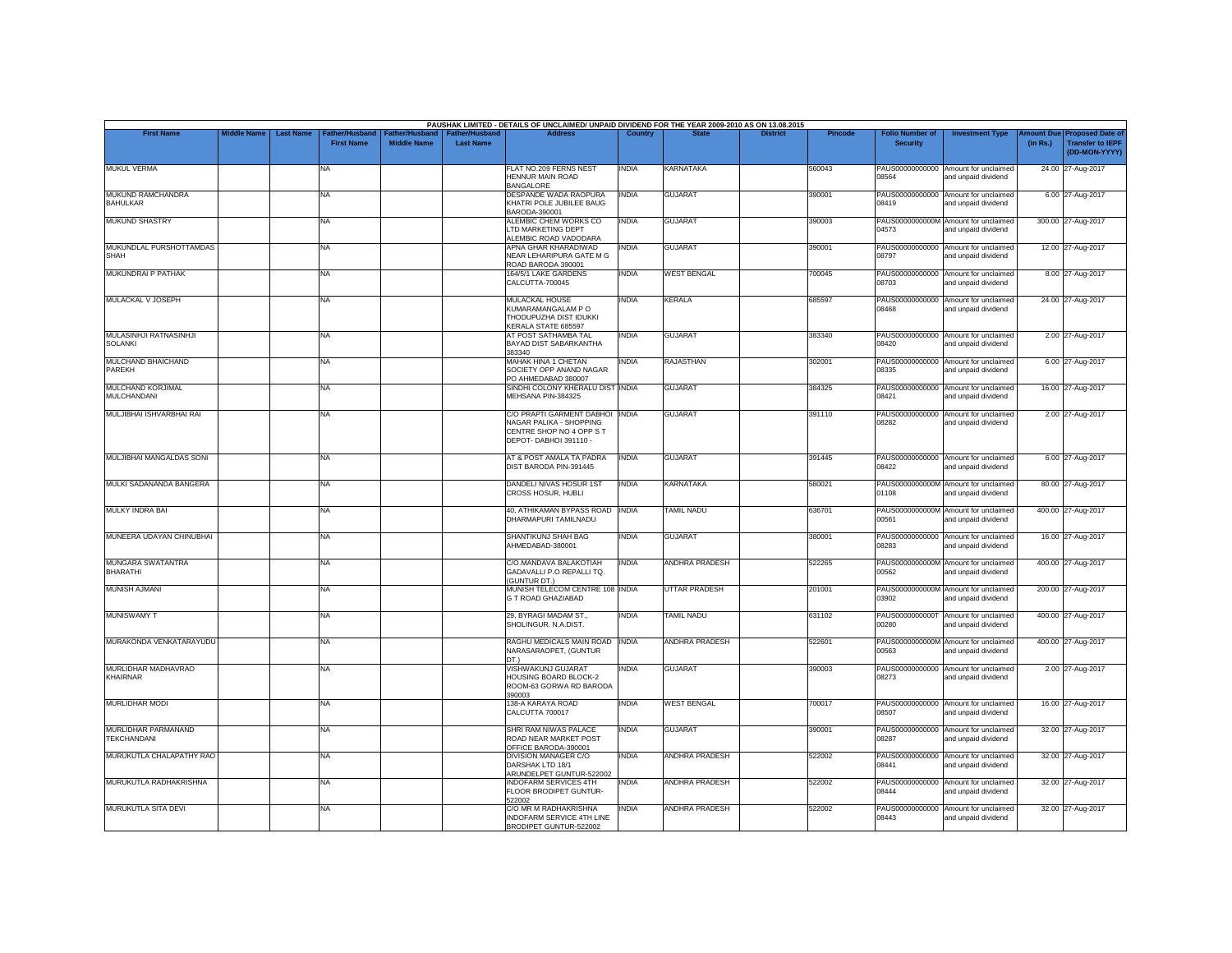|                                                 | <b>Middle Name</b> | <b>Last Name</b> |                                     |                                      | <b>Father/Husband</b> | PAUSHAK LIMITED - DETAILS OF UNCLAIMED/ UNPAID DIVIDEND FOR THE YEAR 2009-2010 AS ON 13.08.2015<br><b>Address</b> | Country      | <b>State</b>          | <b>District</b> |                |                                           |                                                             |                       |                                                                     |
|-------------------------------------------------|--------------------|------------------|-------------------------------------|--------------------------------------|-----------------------|-------------------------------------------------------------------------------------------------------------------|--------------|-----------------------|-----------------|----------------|-------------------------------------------|-------------------------------------------------------------|-----------------------|---------------------------------------------------------------------|
| <b>First Name</b>                               |                    |                  | Father/Husband<br><b>First Name</b> | Father/Husband<br><b>Middle Name</b> | <b>Last Name</b>      |                                                                                                                   |              |                       |                 | <b>Pincode</b> | <b>Folio Number of</b><br><b>Security</b> | <b>Investment Type</b>                                      | mount Due<br>(in Rs.) | <b>Proposed Date of</b><br><b>Transfer to IEPF</b><br>(DD-MON-YYYY) |
| <b>MUKUL VERMA</b>                              |                    |                  | NA                                  |                                      |                       | FLAT NO.209 FERNS NEST<br>HENNUR MAIN ROAD<br><b>BANGALORE</b>                                                    | <b>INDIA</b> | KARNATAKA             |                 | 560043         | 08564                                     | PAUS00000000000 Amount for unclaimed<br>and unpaid dividend | 24.00 27-Aug-2017     |                                                                     |
| MUKUND RAMCHANDRA<br><b>BAHULKAR</b>            |                    |                  | NA                                  |                                      |                       | DESPANDE WADA RAOPURA<br>KHATRI POLE JUBILEE BAUG<br>BARODA-390001                                                | <b>INDIA</b> | <b>GUJARAT</b>        |                 | 390001         | PAUS00000000000<br>08419                  | Amount for unclaimed<br>and unpaid dividend                 |                       | 6.00 27-Aug-2017                                                    |
| <b>MUKUND SHASTRY</b>                           |                    |                  | NA                                  |                                      |                       | ALEMBIC CHEM WORKS CO<br>LTD MARKETING DEPT<br>ALEMBIC ROAD VADODARA                                              | <b>INDIA</b> | <b>GUJARAT</b>        |                 | 390003         | 04573                                     | PAUS0000000000M Amount for unclaimed<br>and unpaid dividend | 300.00 27-Aug-2017    |                                                                     |
| MUKUNDLAL PURSHOTTAMDAS<br><b>SHAH</b>          |                    |                  | NA                                  |                                      |                       | APNA GHAR KHARADIWAD<br>NEAR LEHARIPURA GATE M G<br>ROAD BARODA 390001                                            | india        | <b>GUJARAT</b>        |                 | 390001         | 08797                                     | PAUS00000000000 Amount for unclaimed<br>and unpaid dividend |                       | 12.00 27-Aug-2017                                                   |
| MUKUNDRAI P PATHAK                              |                    |                  | <b>NA</b>                           |                                      |                       | 164/5/1 LAKE GARDENS<br>CALCUTTA-700045                                                                           | <b>INDIA</b> | <b>WEST BENGAL</b>    |                 | 700045         | 08703                                     | PAUS00000000000 Amount for unclaimed<br>and unpaid dividend |                       | 8.00 27-Aug-2017                                                    |
| MULACKAL V JOSEPH                               |                    |                  | NA                                  |                                      |                       | MULACKAL HOUSE<br>KUMARAMANGALAM PO<br>THODUPUZHA DIST IDUKKI<br>KERALA STATE 685597                              | <b>INDIA</b> | <b>KERALA</b>         |                 | 685597         | 08468                                     | PAUS00000000000 Amount for unclaimed<br>and unpaid dividend | 24.00 27-Aug-2017     |                                                                     |
| <b>MULASINHJI RATNASINHJI</b><br><b>SOLANKI</b> |                    |                  | NA                                  |                                      |                       | AT POST SATHAMBA TAL<br>BAYAD DIST SABARKANTHA<br>383340                                                          | <b>INDIA</b> | <b>GUJARAT</b>        |                 | 383340         | 08420                                     | PAUS00000000000 Amount for unclaimed<br>and unpaid dividend |                       | 2.00 27-Aug-2017                                                    |
| MULCHAND BHAICHAND<br>PAREKH                    |                    |                  | NA                                  |                                      |                       | MAHAK HINA 1 CHETAN<br>SOCIETY OPP ANAND NAGAR<br>PO AHMEDABAD 380007                                             | <b>INDIA</b> | RAJASTHAN             |                 | 302001         | 08335                                     | PAUS00000000000 Amount for unclaimed<br>and unpaid dividend |                       | 6.00 27-Aug-2017                                                    |
| MULCHAND KORJIMAL<br><b>MULCHANDANI</b>         |                    |                  | NA                                  |                                      |                       | SINDHI COLONY KHERALU DIST INDIA<br>MEHSANA PIN-384325                                                            |              | <b>GUJARAT</b>        |                 | 384325         | 08421                                     | PAUS00000000000 Amount for unclaimed<br>and unpaid dividend |                       | 16.00 27-Aug-2017                                                   |
| MULJIBHAI ISHVARBHAI RAI                        |                    |                  | NA                                  |                                      |                       | C/O PRAPTI GARMENT DABHOI INDIA<br>NAGAR PALIKA - SHOPPING<br>CENTRE SHOP NO 4 OPP S T<br>DEPOT- DABHOI 391110 -  |              | <b>GUJARAT</b>        |                 | 391110         | 08282                                     | PAUS00000000000 Amount for unclaimed<br>and unpaid dividend |                       | 2.00 27-Aug-2017                                                    |
| MULJIBHAI MANGALDAS SONI                        |                    |                  | NA                                  |                                      |                       | AT & POST AMALA TA PADRA<br>DIST BARODA PIN-391445                                                                | <b>INDIA</b> | <b>GUJARAT</b>        |                 | 391445         | 08422                                     | PAUS00000000000 Amount for unclaimed<br>and unpaid dividend |                       | 6.00 27-Aug-2017                                                    |
| MULKI SADANANDA BANGERA                         |                    |                  | NA                                  |                                      |                       | DANDELI NIVAS HOSUR 1ST<br>CROSS HOSUR, HUBLI                                                                     | <b>INDIA</b> | <b>KARNATAKA</b>      |                 | 580021         | 01108                                     | PAUS0000000000M Amount for unclaimed<br>and unpaid dividend |                       | 80.00 27-Aug-2017                                                   |
| MULKY INDRA BAI                                 |                    |                  | NA                                  |                                      |                       | 40, ATHIKAMAN BYPASS ROAD INDIA<br>DHARMAPURI TAMILNADU                                                           |              | <b>TAMIL NADU</b>     |                 | 636701         | 00561                                     | PAUS0000000000M Amount for unclaimed<br>and unpaid dividend | 400.00 27-Aug-2017    |                                                                     |
| MUNEERA UDAYAN CHINUBHAI                        |                    |                  | NA                                  |                                      |                       | SHANTIKUNJ SHAH BAG<br>AHMEDABAD-380001                                                                           | <b>INDIA</b> | <b>GUJARAT</b>        |                 | 380001         | 08283                                     | PAUS00000000000 Amount for unclaimed<br>and unpaid dividend |                       | 16.00 27-Aug-2017                                                   |
| MUNGARA SWATANTRA<br><b>BHARATHI</b>            |                    |                  | NA                                  |                                      |                       | C/O.MANDAVA BALAKOTIAH<br>GADAVALLI P.O REPALLI TQ.<br>(GUNTUR DT.)                                               | <b>INDIA</b> | <b>ANDHRA PRADESH</b> |                 | 522265         | 00562                                     | PAUS0000000000M Amount for unclaimed<br>and unpaid dividend | 400.00 27-Aug-2017    |                                                                     |
| <b>MUNISH AJMANI</b>                            |                    |                  | <b>NA</b>                           |                                      |                       | MUNISH TELECOM CENTRE 108 INDIA<br><b>G T ROAD GHAZIABAD</b>                                                      |              | <b>UTTAR PRADESH</b>  |                 | 201001         | 03902                                     | PAUS0000000000M Amount for unclaimed<br>and unpaid dividend | 200.00 27-Aug-2017    |                                                                     |
| <b>MUNISWAMY T</b>                              |                    |                  | NA                                  |                                      |                       | 29, BYRAGI MADAM ST.,<br>SHOLINGUR. N.A.DIST.                                                                     | <b>INDIA</b> | <b>TAMIL NADU</b>     |                 | 631102         | PAUS0000000000T<br>00280                  | Amount for unclaimed<br>and unpaid dividend                 | 400.00 27-Aug-2017    |                                                                     |
| MURAKONDA VENKATARAYUDU                         |                    |                  | NA                                  |                                      |                       | RAGHU MEDICALS MAIN ROAD INDIA<br>NARASARAOPET, (GUNTUR<br>DT.)                                                   |              | <b>ANDHRA PRADESH</b> |                 | 522601         | 00563                                     | PAUS0000000000M Amount for unclaimed<br>and unpaid dividend | 400.00 27-Aug-2017    |                                                                     |
| MURLIDHAR MADHAVRAO<br>KHAIRNAR                 |                    |                  | NA                                  |                                      |                       | <b>VISHWAKUNJ GUJARAT</b><br>HOUSING BOARD BLOCK-2<br>ROOM-63 GORWA RD BARODA<br>390003                           | <b>INDIA</b> | <b>GUJARAT</b>        |                 | 390003         | PAUS00000000000<br>08273                  | Amount for unclaimed<br>and unpaid dividend                 |                       | 2.00 27-Aug-2017                                                    |
| <b>MURLIDHAR MODI</b>                           |                    |                  | NA                                  |                                      |                       | 138-A KARAYA ROAD<br>CALCUTTA 700017                                                                              | <b>INDIA</b> | <b>WEST BENGAL</b>    |                 | 700017         | 08507                                     | PAUS00000000000 Amount for unclaimed<br>and unpaid dividend |                       | 16.00 27-Aug-2017                                                   |
| MURLIDHAR PARMANAND<br><b>TEKCHANDANI</b>       |                    |                  | NA                                  |                                      |                       | SHRI RAM NIWAS PALACE<br>ROAD NEAR MARKET POST<br>OFFICE BARODA-390001                                            | india        | <b>GUJARAT</b>        |                 | 390001         | 08287                                     | PAUS00000000000 Amount for unclaimed<br>and unpaid dividend |                       | 32.00 27-Aug-2017                                                   |
| MURUKUTLA CHALAPATHY RAO                        |                    |                  | NA                                  |                                      |                       | <b>DIVISION MANAGER C/O</b><br>DARSHAK LTD 18/1<br>ARUNDELPET GUNTUR-522002                                       | <b>INDIA</b> | <b>ANDHRA PRADESH</b> |                 | 522002         | 08441                                     | PAUS00000000000 Amount for unclaimed<br>and unpaid dividend | 32.00 27-Aug-2017     |                                                                     |
| MURUKUTLA RADHAKRISHNA                          |                    |                  | <b>NA</b>                           |                                      |                       | <b>INDOFARM SERVICES 4TH</b><br>FLOOR BRODIPET GUNTUR-<br>522002                                                  | <b>INDIA</b> | <b>ANDHRA PRADESH</b> |                 | 522002         | 08444                                     | PAUS00000000000 Amount for unclaimed<br>and unpaid dividend | 32.00 27-Aug-2017     |                                                                     |
| <b>MURUKUTLA SITA DEVI</b>                      |                    |                  | NA                                  |                                      |                       | C/O MR M RADHAKRISHNA<br>INDOFARM SERVICE 4TH LINE<br>BRODIPET GUNTUR-522002                                      | <b>INDIA</b> | <b>ANDHRA PRADESH</b> |                 | 522002         | 08443                                     | PAUS00000000000 Amount for unclaimed<br>and unpaid dividend | 32.00 27-Aug-2017     |                                                                     |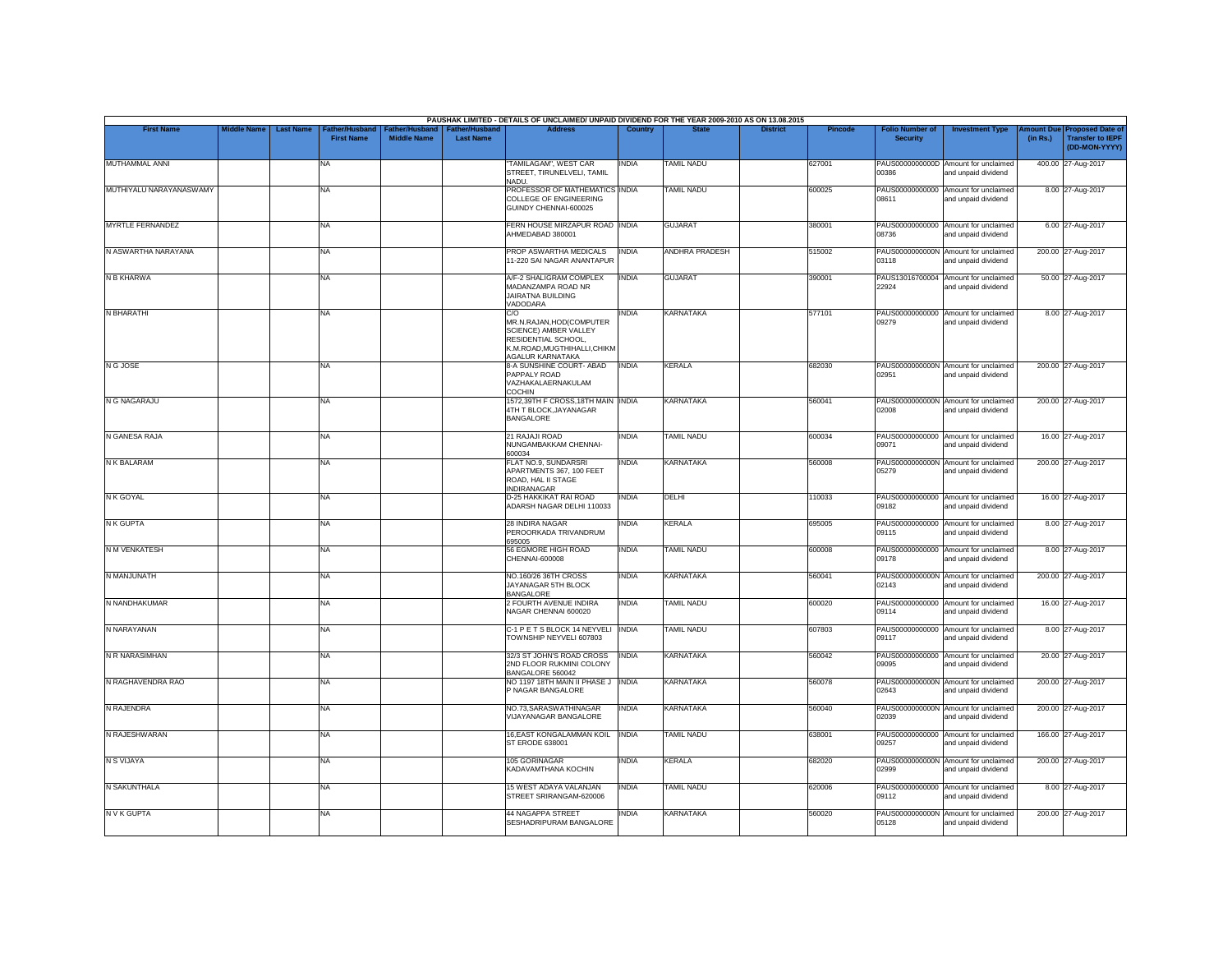|                         |                    |                  |                                    |                                             |                                           | PAUSHAK LIMITED - DETAILS OF UNCLAIMED/ UNPAID DIVIDEND FOR THE YEAR 2009-2010 AS ON 13.08.2015                                     |              |                       |                 |                |                                           |                                                             |                       |                                                                     |
|-------------------------|--------------------|------------------|------------------------------------|---------------------------------------------|-------------------------------------------|-------------------------------------------------------------------------------------------------------------------------------------|--------------|-----------------------|-----------------|----------------|-------------------------------------------|-------------------------------------------------------------|-----------------------|---------------------------------------------------------------------|
| <b>First Name</b>       | <b>Middle Name</b> | <b>Last Name</b> | ather/Husband<br><b>First Name</b> | <b>Father/Husband</b><br><b>Middle Name</b> | <b>Father/Husband</b><br><b>Last Name</b> | <b>Address</b>                                                                                                                      | Country      | <b>State</b>          | <b>District</b> | <b>Pincode</b> | <b>Folio Number of</b><br><b>Security</b> | <b>Investment Type</b>                                      | mount Due<br>(in Rs.) | <b>Proposed Date of</b><br><b>Transfer to IEPF</b><br>(DD-MON-YYYY) |
| MUTHAMMAL ANNI          |                    |                  | <b>NA</b>                          |                                             |                                           | TAMILAGAM", WEST CAR<br>STREET, TIRUNELVELI, TAMIL<br>NADU.                                                                         | INDIA        | <b>TAMIL NADU</b>     |                 | 627001         | 00386                                     | PAUS0000000000D Amount for unclaimed<br>and unpaid dividend |                       | 400.00 27-Aug-2017                                                  |
| MUTHIYALU NARAYANASWAMY |                    |                  | <b>NA</b>                          |                                             |                                           | PROFESSOR OF MATHEMATICS INDIA<br>COLLEGE OF ENGINEERING<br>GUINDY CHENNAI-600025                                                   |              | <b>TAMIL NADU</b>     |                 | 600025         | 08611                                     | PAUS00000000000 Amount for unclaimed<br>and unpaid dividend |                       | 8.00 27-Aug-2017                                                    |
| <b>MYRTLE FERNANDEZ</b> |                    |                  | <b>NA</b>                          |                                             |                                           | FERN HOUSE MIRZAPUR ROAD INDIA<br>AHMEDABAD 380001                                                                                  |              | <b>GUJARAT</b>        |                 | 380001         | 08736                                     | PAUS00000000000 Amount for unclaimed<br>and unpaid dividend |                       | 6.00 27-Aug-2017                                                    |
| N ASWARTHA NARAYANA     |                    |                  | <b>NA</b>                          |                                             |                                           | PROP ASWARTHA MEDICALS<br>11-220 SAI NAGAR ANANTAPUR                                                                                | <b>INDIA</b> | <b>ANDHRA PRADESH</b> |                 | 515002         | 03118                                     | PAUS0000000000N Amount for unclaimed<br>and unpaid dividend |                       | 200.00 27-Aug-2017                                                  |
| N B KHARWA              |                    |                  | <b>NA</b>                          |                                             |                                           | A/F-2 SHALIGRAM COMPLEX<br>MADANZAMPA ROAD NR<br>JAIRATNA BUILDING<br>VADODARA                                                      | <b>INDIA</b> | <b>GUJARAT</b>        |                 | 390001         | 22924                                     | PAUS13016700004 Amount for unclaimed<br>and unpaid dividend |                       | 50.00 27-Aug-2017                                                   |
| N BHARATHI              |                    |                  | <b>NA</b>                          |                                             |                                           | C/O<br>MR.N.RAJAN, HOD(COMPUTER<br>SCIENCE) AMBER VALLEY<br>RESIDENTIAL SCHOOL,<br>K.M.ROAD, MUGTHIHALLI, CHIKM<br>AGALUR KARNATAKA | INDIA        | <b>KARNATAKA</b>      |                 | 577101         | PAUS00000000000<br>09279                  | Amount for unclaimed<br>and unpaid dividend                 |                       | 8.00 27-Aug-2017                                                    |
| N G JOSE                |                    |                  | <b>NA</b>                          |                                             |                                           | 8-A SUNSHINE COURT- ABAD<br>PAPPALY ROAD<br>VAZHAKALAERNAKULAM<br>COCHIN                                                            | <b>INDIA</b> | <b>KERALA</b>         |                 | 682030         | 02951                                     | PAUS0000000000N Amount for unclaimed<br>and unpaid dividend |                       | 200.00 27-Aug-2017                                                  |
| N G NAGARAJU            |                    |                  | <b>NA</b>                          |                                             |                                           | 1572,39TH F CROSS,18TH MAIN INDIA<br>4TH T BLOCK, JAYANAGAR<br><b>BANGALORE</b>                                                     |              | <b>KARNATAKA</b>      |                 | 560041         | 02008                                     | PAUS0000000000N Amount for unclaimed<br>and unpaid dividend |                       | 200.00 27-Aug-2017                                                  |
| N GANESA RAJA           |                    |                  | <b>NA</b>                          |                                             |                                           | 21 RAJAJI ROAD<br>NUNGAMBAKKAM CHENNAI-<br>600034                                                                                   | INDIA        | <b>TAMIL NADU</b>     |                 | 600034         | 09071                                     | PAUS00000000000 Amount for unclaimed<br>and unpaid dividend |                       | 16.00 27-Aug-2017                                                   |
| N K BALARAM             |                    |                  | <b>NA</b>                          |                                             |                                           | FLAT NO.9, SUNDARSRI<br>APARTMENTS 367, 100 FEET<br>ROAD, HAL II STAGE<br>INDIRANAGAR                                               | INDIA        | <b>KARNATAKA</b>      |                 | 560008         | 05279                                     | PAUS0000000000N Amount for unclaimed<br>and unpaid dividend |                       | 200.00 27-Aug-2017                                                  |
| N K GOYAL               |                    |                  | <b>NA</b>                          |                                             |                                           | D-25 HAKKIKAT RAI ROAD<br>ADARSH NAGAR DELHI 110033                                                                                 | INDIA        | DELHI                 |                 | 110033         | 09182                                     | PAUS00000000000 Amount for unclaimed<br>and unpaid dividend |                       | 16.00 27-Aug-2017                                                   |
| <b>N K GUPTA</b>        |                    |                  | <b>NA</b>                          |                                             |                                           | 28 INDIRA NAGAR<br>PEROORKADA TRIVANDRUM<br>695005                                                                                  | INDIA        | <b>KERALA</b>         |                 | 695005         | 09115                                     | PAUS00000000000 Amount for unclaimed<br>and unpaid dividend |                       | 8.00 27-Aug-2017                                                    |
| N M VENKATESH           |                    |                  | <b>NA</b>                          |                                             |                                           | 56 EGMORE HIGH ROAD<br>CHENNAI-600008                                                                                               | <b>INDIA</b> | <b>TAMIL NADU</b>     |                 | 600008         | 09178                                     | PAUS00000000000 Amount for unclaimed<br>and unpaid dividend |                       | 8.00 27-Aug-2017                                                    |
| N MANJUNATH             |                    |                  | <b>NA</b>                          |                                             |                                           | NO.160/26 36TH CROSS<br>JAYANAGAR 5TH BLOCK<br><b>BANGALORE</b>                                                                     | <b>INDIA</b> | <b>KARNATAKA</b>      |                 | 560041         | 02143                                     | PAUS0000000000N Amount for unclaimed<br>and unpaid dividend |                       | 200.00 27-Aug-2017                                                  |
| N NANDHAKUMAR           |                    |                  | <b>NA</b>                          |                                             |                                           | 2 FOURTH AVENUE INDIRA<br>NAGAR CHENNAI 600020                                                                                      | <b>INDIA</b> | <b>TAMIL NADU</b>     |                 | 600020         | 09114                                     | PAUS00000000000 Amount for unclaimed<br>and unpaid dividend |                       | 16.00 27-Aug-2017                                                   |
| N NARAYANAN             |                    |                  | <b>NA</b>                          |                                             |                                           | C-1 P E T S BLOCK 14 NEYVELI INDIA<br>TOWNSHIP NEYVELI 607803                                                                       |              | <b>TAMIL NADU</b>     |                 | 607803         | 09117                                     | PAUS00000000000 Amount for unclaimed<br>and unpaid dividend |                       | 8.00 27-Aug-2017                                                    |
| N R NARASIMHAN          |                    |                  | <b>NA</b>                          |                                             |                                           | 32/3 ST JOHN'S ROAD CROSS<br>2ND FLOOR RUKMINI COLONY<br>BANGALORE 560042                                                           | <b>INDIA</b> | <b>KARNATAKA</b>      |                 | 560042         | 09095                                     | PAUS00000000000 Amount for unclaimed<br>and unpaid dividend |                       | 20.00 27-Aug-2017                                                   |
| N RAGHAVENDRA RAO       |                    |                  | <b>NA</b>                          |                                             |                                           | NO 1197 18TH MAIN II PHASE J  INDIA<br>P NAGAR BANGALORE                                                                            |              | <b>KARNATAKA</b>      |                 | 560078         | 02643                                     | PAUS0000000000N Amount for unclaimed<br>and unpaid dividend |                       | 200.00 27-Aug-2017                                                  |
| N RAJENDRA              |                    |                  | <b>NA</b>                          |                                             |                                           | NO.73, SARASWATHINAGAR<br>VIJAYANAGAR BANGALORE                                                                                     | <b>INDIA</b> | <b>KARNATAKA</b>      |                 | 560040         | 02039                                     | PAUS0000000000N Amount for unclaimed<br>and unpaid dividend |                       | 200.00 27-Aug-2017                                                  |
| N RAJESHWARAN           |                    |                  | <b>NA</b>                          |                                             |                                           | 16, EAST KONGALAMMAN KOIL<br>ST ERODE 638001                                                                                        | <b>INDIA</b> | <b>TAMIL NADU</b>     |                 | 638001         | 09257                                     | PAUS00000000000 Amount for unclaimed<br>and unpaid dividend |                       | 166.00 27-Aug-2017                                                  |
| N S VIJAYA              |                    |                  | <b>NA</b>                          |                                             |                                           | 105 GORINAGAR<br>KADAVAMTHANA KOCHIN                                                                                                | INDIA        | <b>KERALA</b>         |                 | 682020         | 02999                                     | PAUS0000000000N Amount for unclaimed<br>and unpaid dividend |                       | 200.00 27-Aug-2017                                                  |
| <b>N SAKUNTHALA</b>     |                    |                  | <b>NA</b>                          |                                             |                                           | 15 WEST ADAYA VALANJAN<br>STREET SRIRANGAM-620006                                                                                   | <b>INDIA</b> | <b>TAMIL NADU</b>     |                 | 620006         | 09112                                     | PAUS00000000000 Amount for unclaimed<br>and unpaid dividend |                       | 8.00 27-Aug-2017                                                    |
| <b>NVKGUPTA</b>         |                    |                  | <b>NA</b>                          |                                             |                                           | <b>44 NAGAPPA STREET</b><br>SESHADRIPURAM BANGALORE                                                                                 | india        | <b>KARNATAKA</b>      |                 | 560020         | 05128                                     | PAUS0000000000N Amount for unclaimed<br>and unpaid dividend |                       | 200.00 27-Aug-2017                                                  |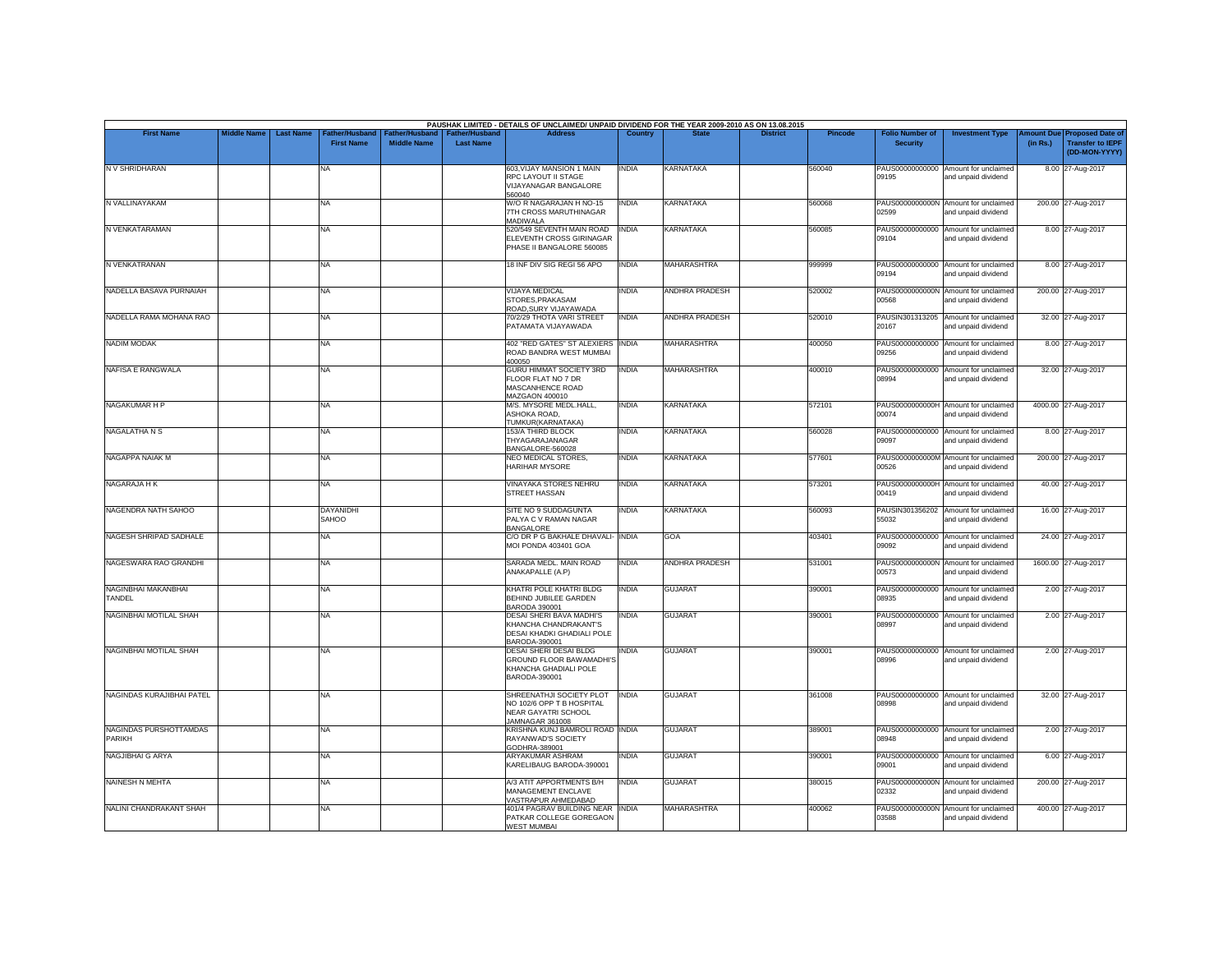|                                         | <b>Middle Name</b> |                  | Father/Husband            | Father/Husband     | <b>Father/Hushand</b> | PAUSHAK LIMITED - DETAILS OF UNCLAIMED/ UNPAID DIVIDEND FOR THE YEAR 2009-2010 AS ON 13.08.2015                |              |                       | <b>District</b> | Pincode |                                           |                                                             |                       |                                                                     |
|-----------------------------------------|--------------------|------------------|---------------------------|--------------------|-----------------------|----------------------------------------------------------------------------------------------------------------|--------------|-----------------------|-----------------|---------|-------------------------------------------|-------------------------------------------------------------|-----------------------|---------------------------------------------------------------------|
| <b>First Name</b>                       |                    | <b>Last Name</b> | <b>First Name</b>         | <b>Middle Name</b> | <b>Last Name</b>      | <b>Address</b>                                                                                                 | Country      |                       |                 |         | <b>Folio Number of</b><br><b>Security</b> | <b>Investment Type</b>                                      | mount Due<br>(in Rs.) | <b>Proposed Date of</b><br><b>Transfer to IEPF</b><br>(DD-MON-YYYY) |
| N V SHRIDHARAN                          |                    |                  | <b>NA</b>                 |                    |                       | 603, VIJAY MANSION 1 MAIN<br>RPC LAYOUT II STAGE<br>VIJAYANAGAR BANGALORE<br>560040                            | <b>INDIA</b> | KARNATAKA             |                 | 560040  | PAUS00000000000<br>09195                  | Amount for unclaimed<br>and unpaid dividend                 |                       | 8.00 27-Aug-2017                                                    |
| N VALLINAYAKAM                          |                    |                  | NA                        |                    |                       | W/O R NAGARAJAN H NO-15<br>7TH CROSS MARUTHINAGAR<br><b>MADIWALA</b>                                           | <b>INDIA</b> | <b>KARNATAKA</b>      |                 | 560068  | 02599                                     | PAUS0000000000N Amount for unclaimed<br>and unpaid dividend |                       | 200.00 27-Aug-2017                                                  |
| N VENKATARAMAN                          |                    |                  | <b>NA</b>                 |                    |                       | 520/549 SEVENTH MAIN ROAD<br>ELEVENTH CROSS GIRINAGAR<br>PHASE II BANGALORE 560085                             | <b>INDIA</b> | <b>KARNATAKA</b>      |                 | 560085  | 09104                                     | PAUS00000000000 Amount for unclaimed<br>and unpaid dividend |                       | 8.00 27-Aug-2017                                                    |
| N VENKATRANAN                           |                    |                  | <b>NA</b>                 |                    |                       | 18 INF DIV SIG REGI 56 APO                                                                                     | <b>INDIA</b> | <b>MAHARASHTRA</b>    |                 | 999999  | PAUS00000000000<br>09194                  | Amount for unclaimed<br>and unpaid dividend                 |                       | 8.00 27-Aug-2017                                                    |
| NADELLA BASAVA PURNAIAH                 |                    |                  | NA                        |                    |                       | <b>VIJAYA MEDICAL</b><br>STORES, PRAKASAM<br>ROAD, SURY VIJAYAWADA                                             | <b>INDIA</b> | <b>ANDHRA PRADESH</b> |                 | 520002  | PAUS0000000000N<br>00568                  | Amount for unclaimed<br>and unpaid dividend                 |                       | 200.00 27-Aug-2017                                                  |
| NADELLA RAMA MOHANA RAO                 |                    |                  | NA                        |                    |                       | 70/2/29 THOTA VARI STREET<br>PATAMATA VIJAYAWADA                                                               | <b>INDIA</b> | ANDHRA PRADESH        |                 | 520010  | PAUSIN301313205<br>20167                  | Amount for unclaimed<br>and unpaid dividend                 |                       | 32.00 27-Aug-2017                                                   |
| <b>NADIM MODAK</b>                      |                    |                  | NA                        |                    |                       | 402 "RED GATES" ST ALEXIERS INDIA<br>ROAD BANDRA WEST MUMBAI<br>400050                                         |              | <b>MAHARASHTRA</b>    |                 | 400050  | 09256                                     | PAUS00000000000 Amount for unclaimed<br>and unpaid dividend |                       | 8.00 27-Aug-2017                                                    |
| <b>NAFISA E RANGWALA</b>                |                    |                  | NA                        |                    |                       | GURU HIMMAT SOCIETY 3RD<br>FLOOR FLAT NO 7 DR<br>MASCANHENCE ROAD<br>MAZGAON 400010                            | <b>INDIA</b> | MAHARASHTRA           |                 | 400010  | 18994                                     | PAUS00000000000 Amount for unclaimed<br>and unpaid dividend |                       | 32.00 27-Aug-2017                                                   |
| NAGAKUMAR H P                           |                    |                  | NA                        |                    |                       | M/S. MYSORE MEDL.HALL.<br>ASHOKA ROAD,<br>TUMKUR(KARNATAKA)                                                    | <b>INDIA</b> | <b>KARNATAKA</b>      |                 | 572101  | PAUS0000000000H<br>00074                  | Amount for unclaimed<br>and unpaid dividend                 |                       | 4000.00 27-Aug-2017                                                 |
| <b>NAGALATHA N S</b>                    |                    |                  | NA                        |                    |                       | 153/A THIRD BLOCK<br>THYAGARAJANAGAR<br>BANGALORE-560028                                                       | <b>INDIA</b> | <b>KARNATAKA</b>      |                 | 560028  | 09097                                     | PAUS00000000000 Amount for unclaimed<br>and unpaid dividend |                       | 8.00 27-Aug-2017                                                    |
| NAGAPPA NAIAK M                         |                    |                  | NA                        |                    |                       | <b>NEO MEDICAL STORES,</b><br><b>HARIHAR MYSORE</b>                                                            | <b>INDIA</b> | <b>KARNATAKA</b>      |                 | 577601  | PAUS0000000000M<br>00526                  | Amount for unclaimed<br>and unpaid dividend                 |                       | 200.00 27-Aug-2017                                                  |
| NAGARAJA H K                            |                    |                  | <b>NA</b>                 |                    |                       | <b>VINAYAKA STORES NEHRU</b><br>STREET HASSAN                                                                  | <b>INDIA</b> | <b>KARNATAKA</b>      |                 | 573201  | 00419                                     | PAUS0000000000H Amount for unclaimed<br>and unpaid dividend |                       | 40.00 27-Aug-2017                                                   |
| NAGENDRA NATH SAHOO                     |                    |                  | <b>DAYANIDHI</b><br>SAHOO |                    |                       | SITE NO 9 SUDDAGUNTA<br>PALYA C V RAMAN NAGAR<br>BANGALORE                                                     | <b>INDIA</b> | <b>KARNATAKA</b>      |                 | 560093  | PAUSIN301356202<br>55032                  | Amount for unclaimed<br>and unpaid dividend                 |                       | 16.00 27-Aug-2017                                                   |
| NAGESH SHRIPAD SADHALE                  |                    |                  | NA                        |                    |                       | C/O DR P G BAKHALE DHAVALI- INDIA<br>MOI PONDA 403401 GOA                                                      |              | GOA                   |                 | 403401  | PAUS00000000000<br>09092                  | Amount for unclaimed<br>and unpaid dividend                 |                       | 24.00 27-Aug-2017                                                   |
| NAGESWARA RAO GRANDHI                   |                    |                  | NA                        |                    |                       | SARADA MEDL, MAIN ROAD<br>ANAKAPALLE (A.P)                                                                     | <b>INDIA</b> | <b>ANDHRA PRADESH</b> |                 | 531001  | PAUS0000000000N<br>00573                  | Amount for unclaimed<br>and unpaid dividend                 |                       | 1600.00 27-Aug-2017                                                 |
| NAGINBHAI MAKANBHAI<br>TANDEL           |                    |                  | NA                        |                    |                       | KHATRI POLE KHATRI BLDG<br>BEHIND JUBILEE GARDEN<br><b>BARODA 390001</b>                                       | <b>INDIA</b> | <b>GUJARAT</b>        |                 | 390001  | PAUS00000000000<br>08935                  | Amount for unclaimed<br>and unpaid dividend                 |                       | 2.00 27-Aug-2017                                                    |
| NAGINBHAI MOTILAL SHAH                  |                    |                  | NA                        |                    |                       | <b>DESAI SHERI BAVA MADHI'S</b><br>KHANCHA CHANDRAKANT'S<br><b>DESAI KHADKI GHADIALI POLE</b><br>BARODA-390001 | <b>INDIA</b> | GUJARAT               |                 | 390001  | PAUS00000000000<br>08997                  | Amount for unclaimed<br>and unpaid dividend                 |                       | 2.00 27-Aug-2017                                                    |
| NAGINBHAI MOTILAL SHAH                  |                    |                  | <b>NA</b>                 |                    |                       | DESAI SHERI DESAI BLDG<br><b>GROUND FLOOR BAWAMADHI'S</b><br>KHANCHA GHADIALI POLE<br>BARODA-390001            | <b>INDIA</b> | <b>GUJARAT</b>        |                 | 390001  | PAUS00000000000<br>08996                  | Amount for unclaimed<br>and unpaid dividend                 |                       | 2.00 27-Aug-2017                                                    |
| NAGINDAS KURAJIBHAI PATEL               |                    |                  | NA                        |                    |                       | SHREENATHJI SOCIETY PLOT<br>NO 102/6 OPP T B HOSPITAL<br><b>NEAR GAYATRI SCHOOL</b><br>JAMNAGAR 361008         | <b>INDIA</b> | <b>GUJARAT</b>        |                 | 361008  | 18998                                     | PAUS00000000000 Amount for unclaimed<br>and unpaid dividend |                       | 32.00 27-Aug-2017                                                   |
| NAGINDAS PURSHOTTAMDAS<br><b>PARIKH</b> |                    |                  | NA                        |                    |                       | KRISHNA KUNJ BAMROLI ROAD INDIA<br>RAYANWAD'S SOCIETY<br>GODHRA-389001                                         |              | <b>GUJARAT</b>        |                 | 389001  | 08948                                     | PAUS00000000000 Amount for unclaimed<br>and unpaid dividend |                       | 2.00 27-Aug-2017                                                    |
| NAGJIBHAI G ARYA                        |                    |                  | NA                        |                    |                       | ARYAKUMAR ASHRAM<br>KARELIBAUG BARODA-390001                                                                   | <b>INDIA</b> | <b>GUJARAT</b>        |                 | 390001  | PAUS00000000000<br>09001                  | Amount for unclaimed<br>and unpaid dividend                 |                       | 6.00 27-Aug-2017                                                    |
| <b>NAINESH N MEHTA</b>                  |                    |                  | <b>NA</b>                 |                    |                       | A/3 ATIT APPORTMENTS B/H<br>MANAGEMENT ENCLAVE<br>VASTRAPUR AHMEDABAD                                          | <b>INDIA</b> | <b>GUJARAT</b>        |                 | 380015  | 02332                                     | PAUS0000000000N Amount for unclaimed<br>and unpaid dividend |                       | 200.00 27-Aug-2017                                                  |
| NALINI CHANDRAKANT SHAH                 |                    |                  | NA                        |                    |                       | 401/4 PAGRAV BUILDING NEAR INDIA<br>PATKAR COLLEGE GOREGAON<br><b>WEST MUMBAI</b>                              |              | <b>MAHARASHTRA</b>    |                 | 400062  | 03588                                     | PAUS0000000000N Amount for unclaimed<br>and unpaid dividend |                       | 400.00 27-Aug-2017                                                  |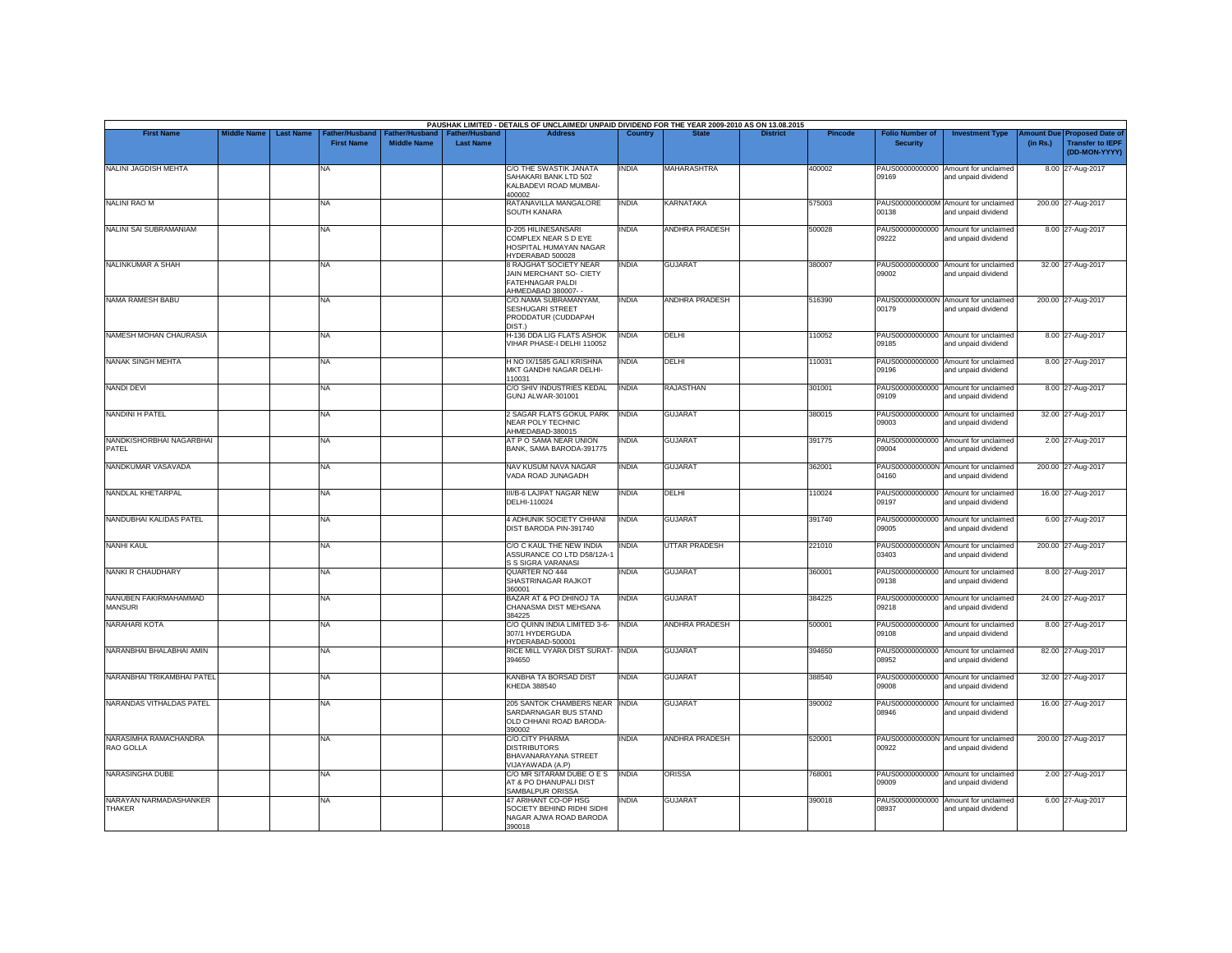| <b>First Name</b>                       | <b>Middle Name</b> | <b>Last Name</b> | <b>Father/Husband</b> | Father/Husband     | <b>Father/Husband</b> | PAUSHAK LIMITED - DETAILS OF UNCLAIMED/ UNPAID DIVIDEND FOR THE YEAR 2009-2010 AS ON 13.08.2015<br><b>Address</b> | Country      | <b>State</b>          | <b>District</b> | <b>Pincode</b> | <b>Folio Number of</b> | <b>Investment Type</b>                                      | <b>Imount Due</b> | <b>Proposed Date of</b>                  |
|-----------------------------------------|--------------------|------------------|-----------------------|--------------------|-----------------------|-------------------------------------------------------------------------------------------------------------------|--------------|-----------------------|-----------------|----------------|------------------------|-------------------------------------------------------------|-------------------|------------------------------------------|
|                                         |                    |                  | <b>First Name</b>     | <b>Middle Name</b> | <b>Last Name</b>      |                                                                                                                   |              |                       |                 |                | <b>Security</b>        |                                                             | (in Rs.)          | <b>Transfer to IEPF</b><br>(DD-MON-YYYY) |
| <b>NALINI JAGDISH MEHTA</b>             |                    |                  | NA                    |                    |                       | C/O THE SWASTIK JANATA<br>SAHAKARI BANK LTD 502<br>KALBADEVI ROAD MUMBAI-<br>400002                               | <b>INDIA</b> | <b>MAHARASHTRA</b>    |                 | 400002         | 09169                  | PAUS00000000000 Amount for unclaimed<br>and unpaid dividend |                   | 8.00 27-Aug-2017                         |
| <b>NALINI RAO M</b>                     |                    |                  | <b>NA</b>             |                    |                       | RATANAVILLA MANGALORE<br>SOUTH KANARA                                                                             | <b>INDIA</b> | KARNATAKA             |                 | 575003         | 00138                  | PAUS0000000000M Amount for unclaimed<br>and unpaid dividend |                   | 200.00 27-Aug-2017                       |
| <b>NALINI SAI SUBRAMANIAM</b>           |                    |                  | <b>NA</b>             |                    |                       | D-205 HILINESANSARI<br>COMPLEX NEAR S D EYE<br>HOSPITAL HUMAYAN NAGAR<br>HYDERABAD 500028                         | <b>INDIA</b> | <b>ANDHRA PRADESH</b> |                 | 500028         | 09222                  | PAUS00000000000 Amount for unclaimed<br>and unpaid dividend |                   | 8.00 27-Aug-2017                         |
| NALINKUMAR A SHAH                       |                    |                  | <b>NA</b>             |                    |                       | 8 RAJGHAT SOCIETY NEAR<br>JAIN MERCHANT SO- CIETY<br>FATEHNAGAR PALDI<br>AHMEDABAD 380007-                        | <b>INDIA</b> | <b>GUJARAT</b>        |                 | 380007         | 09002                  | PAUS00000000000 Amount for unclaimed<br>and unpaid dividend |                   | 32.00 27-Aug-2017                        |
| NAMA RAMESH BABU                        |                    |                  | <b>NA</b>             |                    |                       | C/O.NAMA SUBRAMANYAM.<br>SESHUGARI STREET<br>PRODDATUR (CUDDAPAH<br>DIST.)                                        | <b>INDIA</b> | <b>ANDHRA PRADESH</b> |                 | 516390         | 00179                  | PAUS0000000000N Amount for unclaimed<br>and unpaid dividend |                   | 200.00 27-Aug-2017                       |
| NAMESH MOHAN CHAURASIA                  |                    |                  | <b>NA</b>             |                    |                       | H-136 DDA LIG FLATS ASHOK<br>VIHAR PHASE-I DELHI 110052                                                           | <b>INDIA</b> | DELHI                 |                 | 110052         | 09185                  | PAUS00000000000 Amount for unclaimed<br>and unpaid dividend |                   | 8.00 27-Aug-2017                         |
| NANAK SINGH MEHTA                       |                    |                  | NA                    |                    |                       | H NO IX/1585 GALI KRISHNA<br>MKT GANDHI NAGAR DELHI-<br>110031                                                    | <b>INDIA</b> | DELHI                 |                 | 110031         | 09196                  | PAUS00000000000 Amount for unclaimed<br>and unpaid dividend |                   | 8.00 27-Aug-2017                         |
| <b>NANDI DEVI</b>                       |                    |                  | NA                    |                    |                       | C/O SHIV INDUSTRIES KEDAL<br>GUNJ ALWAR-301001                                                                    | <b>INDIA</b> | RAJASTHAN             |                 | 301001         | 09109                  | PAUS00000000000 Amount for unclaimed<br>and unpaid dividend |                   | 8.00 27-Aug-2017                         |
| <b>NANDINI H PATEL</b>                  |                    |                  | <b>NA</b>             |                    |                       | 2 SAGAR FLATS GOKUL PARK<br><b>NEAR POLY TECHNIC</b><br>AHMEDABAD-380015                                          | <b>INDIA</b> | <b>GUJARAT</b>        |                 | 380015         | 09003                  | PAUS00000000000 Amount for unclaimed<br>and unpaid dividend |                   | 32.00 27-Aug-2017                        |
| NANDKISHORBHAI NAGARBHAI<br>PATEL       |                    |                  | <b>NA</b>             |                    |                       | AT P O SAMA NEAR UNION<br>BANK, SAMA BARODA-391775                                                                | <b>INDIA</b> | <b>GUJARAT</b>        |                 | 391775         | 09004                  | PAUS00000000000 Amount for unclaimed<br>and unpaid dividend |                   | 2.00 27-Aug-2017                         |
| NANDKUMAR VASAVADA                      |                    |                  | NA                    |                    |                       | NAV KUSUM NAVA NAGAR<br>VADA ROAD JUNAGADH                                                                        | <b>INDIA</b> | <b>GUJARAT</b>        |                 | 362001         | 04160                  | PAUS0000000000N Amount for unclaimed<br>and unpaid dividend |                   | 200.00 27-Aug-2017                       |
| NANDLAL KHETARPAL                       |                    |                  | <b>NA</b>             |                    |                       | III/B-6 LAJPAT NAGAR NEW<br>DELHI-110024                                                                          | <b>INDIA</b> | DELHI                 |                 | 110024         | 09197                  | PAUS00000000000 Amount for unclaimed<br>and unpaid dividend |                   | 16.00 27-Aug-2017                        |
| NANDUBHAI KALIDAS PATEL                 |                    |                  | <b>NA</b>             |                    |                       | 4 ADHUNIK SOCIETY CHHANI<br>DIST BARODA PIN-391740                                                                | <b>INDIA</b> | <b>GUJARAT</b>        |                 | 391740         | 09005                  | PAUS00000000000 Amount for unclaimed<br>and unpaid dividend |                   | 6.00 27-Aug-2017                         |
| <b>NANHI KAUL</b>                       |                    |                  | <b>NA</b>             |                    |                       | C/O C KAUL THE NEW INDIA<br>ASSURANCE CO LTD D58/12A-1<br>S S SIGRA VARANASI                                      | <b>INDIA</b> | <b>UTTAR PRADESH</b>  |                 | 221010         | 03403                  | PAUS0000000000N Amount for unclaimed<br>and unpaid dividend |                   | 200.00 27-Aug-2017                       |
| <b>NANKI R CHAUDHARY</b>                |                    |                  | <b>NA</b>             |                    |                       | QUARTER NO 444<br>SHASTRINAGAR RAJKOT<br>360001                                                                   | <b>INDIA</b> | <b>GUJARAT</b>        |                 | 360001         | 09138                  | PAUS00000000000 Amount for unclaimed<br>and unpaid dividend |                   | 8.00 27-Aug-2017                         |
| NANUBEN FAKIRMAHAMMAD<br><b>MANSURI</b> |                    |                  | <b>NA</b>             |                    |                       | BAZAR AT & PO DHINOJ TA<br>CHANASMA DIST MEHSANA<br>384225                                                        | <b>INDIA</b> | <b>GUJARAT</b>        |                 | 384225         | 09218                  | PAUS00000000000 Amount for unclaimed<br>and unpaid dividend |                   | 24.00 27-Aug-2017                        |
| <b>NARAHARI KOTA</b>                    |                    |                  | <b>NA</b>             |                    |                       | C/O QUINN INDIA LIMITED 3-6-<br>307/1 HYDERGUDA<br>HYDERABAD-500001                                               | <b>INDIA</b> | <b>ANDHRA PRADESH</b> |                 | 500001         | 09108                  | PAUS00000000000 Amount for unclaimed<br>and unpaid dividend |                   | 8.00 27-Aug-2017                         |
| NARANBHAI BHALABHAI AMIN                |                    |                  | <b>NA</b>             |                    |                       | RICE MILL VYARA DIST SURAT- INDIA<br>394650                                                                       |              | <b>GUJARAT</b>        |                 | 394650         | 08952                  | PAUS00000000000 Amount for unclaimed<br>and unpaid dividend |                   | 82.00 27-Aug-2017                        |
| NARANBHAI TRIKAMBHAI PATEL              |                    |                  | <b>NA</b>             |                    |                       | KANBHA TA BORSAD DIST<br>KHEDA 388540                                                                             | <b>INDIA</b> | <b>GUJARAT</b>        |                 | 388540         | 09008                  | PAUS00000000000 Amount for unclaimed<br>and unpaid dividend |                   | 32.00 27-Aug-2017                        |
| NARANDAS VITHALDAS PATEL                |                    |                  | <b>NA</b>             |                    |                       | 205 SANTOK CHAMBERS NEAR<br>SARDARNAGAR BUS STAND<br>OLD CHHANI ROAD BARODA-<br>390002                            | <b>INDIA</b> | <b>GUJARAT</b>        |                 | 390002         | 08946                  | PAUS00000000000 Amount for unclaimed<br>and unpaid dividend |                   | 16.00 27-Aug-2017                        |
| NARASIMHA RAMACHANDRA<br>RAO GOLLA      |                    |                  | <b>NA</b>             |                    |                       | C/O.CITY PHARMA<br><b>DISTRIBUTORS</b><br>BHAVANARAYANA STREET<br>VIJAYAWADA (A.P)                                | <b>INDIA</b> | <b>ANDHRA PRADESH</b> |                 | 520001         | 00922                  | PAUS0000000000N Amount for unclaimed<br>and unpaid dividend |                   | 200.00 27-Aug-2017                       |
| NARASINGHA DUBE                         |                    |                  | <b>NA</b>             |                    |                       | C/O MR SITARAM DUBE O E S<br>AT & PO DHANUPALI DIST<br>SAMBALPUR ORISSA                                           | <b>INDIA</b> | <b>ORISSA</b>         |                 | 768001         | 09009                  | PAUS00000000000 Amount for unclaimed<br>and unpaid dividend |                   | 2.00 27-Aug-2017                         |
| NARAYAN NARMADASHANKER<br><b>THAKER</b> |                    |                  | <b>NA</b>             |                    |                       | 47 ARIHANT CO-OP HSG<br>SOCIETY BEHIND RIDHI SIDHI<br>NAGAR AJWA ROAD BARODA<br>390018                            | <b>INDIA</b> | <b>GUJARAT</b>        |                 | 390018         | 08937                  | PAUS00000000000 Amount for unclaimed<br>and unpaid dividend |                   | 6.00 27-Aug-2017                         |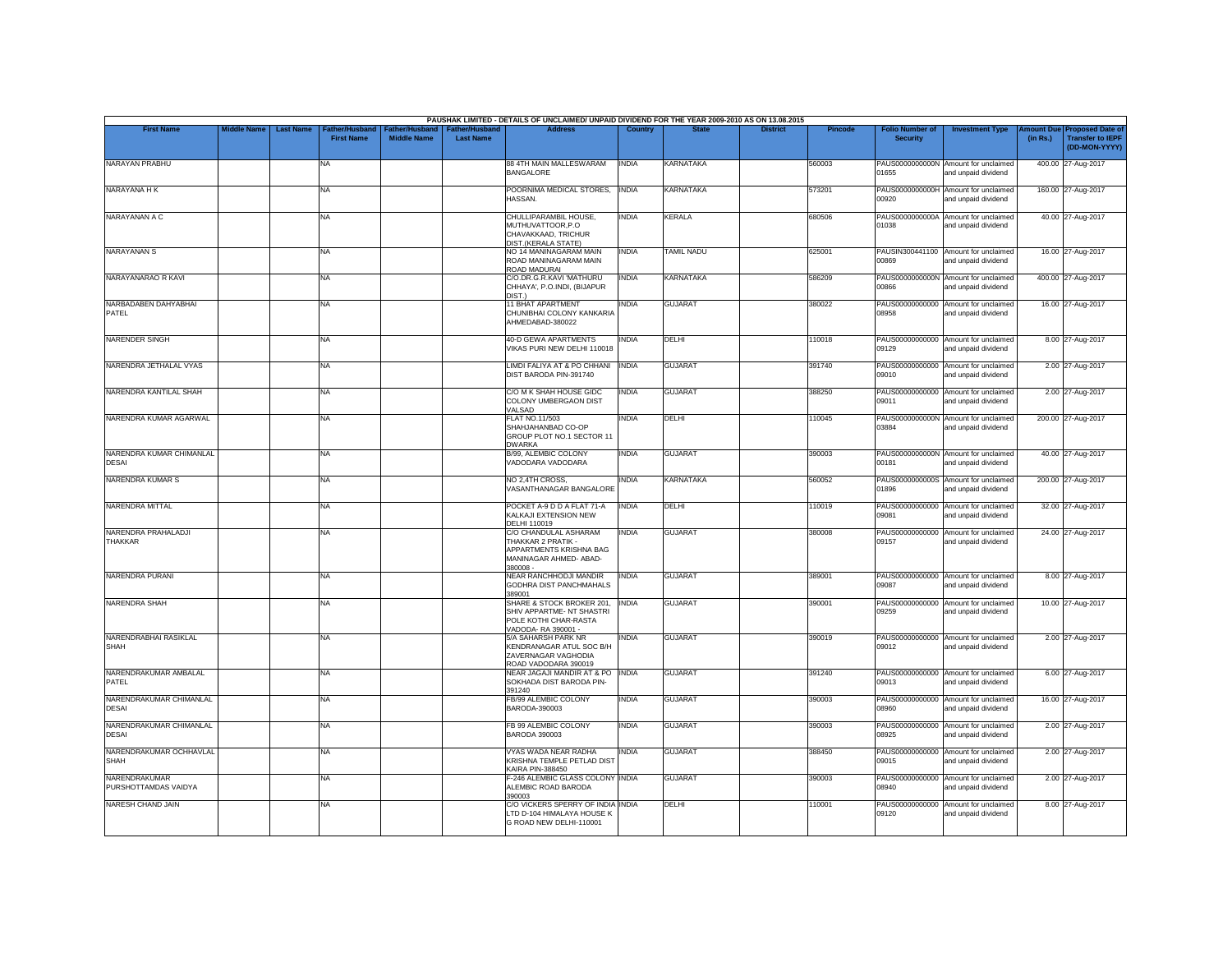|                                         |                    |                                                         |                                      |                                           | PAUSHAK LIMITED - DETAILS OF UNCLAIMED/ UNPAID DIVIDEND FOR THE YEAR 2009-2010 AS ON 13.08.2015              |                |                   |                 |                |                                           |                                                             |          |                                                                        |
|-----------------------------------------|--------------------|---------------------------------------------------------|--------------------------------------|-------------------------------------------|--------------------------------------------------------------------------------------------------------------|----------------|-------------------|-----------------|----------------|-------------------------------------------|-------------------------------------------------------------|----------|------------------------------------------------------------------------|
| <b>First Name</b>                       | <b>Middle Name</b> | <b>Last Name</b><br>Father/Husband<br><b>First Name</b> | Father/Husband<br><b>Middle Name</b> | <b>Father/Husband</b><br><b>Last Name</b> | <b>Address</b>                                                                                               | <b>Country</b> | <b>State</b>      | <b>District</b> | <b>Pincode</b> | <b>Folio Number of</b><br><b>Security</b> | <b>Investment Type</b>                                      | (in Rs.) | mount Due Proposed Date of<br><b>Transfer to IEPF</b><br>(DD-MON-YYYY) |
| NARAYAN PRABHU                          |                    | NA                                                      |                                      |                                           | 88 4TH MAIN MALLESWARAM<br><b>BANGALORE</b>                                                                  | <b>INDIA</b>   | <b>KARNATAKA</b>  |                 | 560003         | 01655                                     | PAUS0000000000N Amount for unclaimed<br>and unpaid dividend |          | 400.00 27-Aug-2017                                                     |
| NARAYANA H K                            |                    | <b>NA</b>                                               |                                      |                                           | POORNIMA MEDICAL STORES,<br>HASSAN.                                                                          | <b>INDIA</b>   | <b>KARNATAKA</b>  |                 | 573201         | 00920                                     | PAUS0000000000H Amount for unclaimed<br>and unpaid dividend |          | 160.00 27-Aug-2017                                                     |
| NARAYANAN A C                           |                    | <b>NA</b>                                               |                                      |                                           | CHULLIPARAMBIL HOUSE,<br>MUTHUVATTOOR, P.O.<br>CHAVAKKAAD, TRICHUR<br>DIST.(KERALA STATE)                    | INDIA          | <b>KERALA</b>     |                 | 680506         | PAUS0000000000A<br>01038                  | Amount for unclaimed<br>and unpaid dividend                 |          | 40.00 27-Aug-2017                                                      |
| <b>NARAYANAN S</b>                      |                    | <b>NA</b>                                               |                                      |                                           | NO 14 MANINAGARAM MAIN<br>ROAD MANINAGARAM MAIN<br>ROAD MADURAI                                              | <b>INDIA</b>   | <b>TAMIL NADU</b> |                 | 625001         | 00869                                     | PAUSIN300441100 Amount for unclaimed<br>and unpaid dividend |          | 16.00 27-Aug-2017                                                      |
| NARAYANARAO R KAVI                      |                    | <b>NA</b>                                               |                                      |                                           | C/O.DR.G.R.KAVI 'MATHURU<br>CHHAYA', P.O.INDI, (BIJAPUR<br>DIST.                                             | <b>INDIA</b>   | <b>KARNATAKA</b>  |                 | 586209         | 38800                                     | PAUS0000000000N Amount for unclaimed<br>and unpaid dividend |          | 400.00 27-Aug-2017                                                     |
| NARBADABEN DAHYABHAI<br>PATEL           |                    | <b>NA</b>                                               |                                      |                                           | 11 BHAT APARTMENT<br>CHUNIBHAI COLONY KANKARIA<br>AHMEDABAD-380022                                           | <b>INDIA</b>   | <b>GUJARAT</b>    |                 | 380022         | PAUS00000000000<br>08958                  | Amount for unclaimed<br>and unpaid dividend                 |          | 16.00 27-Aug-2017                                                      |
| NARENDER SINGH                          |                    | <b>NA</b>                                               |                                      |                                           | <b>40-D GEWA APARTMENTS</b><br>VIKAS PURI NEW DELHI 110018                                                   | <b>INDIA</b>   | DELHI             |                 | 110018         | 09129                                     | PAUS00000000000 Amount for unclaimed<br>and unpaid dividend |          | 8.00 27-Aug-2017                                                       |
| NARENDRA JETHALAL VYAS                  |                    | <b>NA</b>                                               |                                      |                                           | LIMDI FALIYA AT & PO CHHANI<br>DIST BARODA PIN-391740                                                        | <b>INDIA</b>   | <b>GUJARAT</b>    |                 | 391740         | 09010                                     | PAUS00000000000 Amount for unclaimed<br>and unpaid dividend |          | 2.00 27-Aug-2017                                                       |
| NARENDRA KANTILAL SHAH                  |                    | <b>NA</b>                                               |                                      |                                           | C/O M K SHAH HOUSE GIDC<br>COLONY UMBERGAON DIST<br>VALSAD                                                   | <b>INDIA</b>   | <b>GUJARAT</b>    |                 | 388250         | 09011                                     | PAUS00000000000 Amount for unclaimed<br>and unpaid dividend |          | 2.00 27-Aug-2017                                                       |
| NARENDRA KUMAR AGARWAL                  |                    | <b>NA</b>                                               |                                      |                                           | <b>FLAT NO.11/503</b><br>SHAHJAHANBAD CO-OP<br>GROUP PLOT NO.1 SECTOR 11<br><b>DWARKA</b>                    | INDIA          | DELHI             |                 | 110045         | PAUS0000000000N<br>03884                  | Amount for unclaimed<br>and unpaid dividend                 |          | 200.00 27-Aug-2017                                                     |
| NARENDRA KUMAR CHIMANLAL<br>DESAI       |                    | <b>NA</b>                                               |                                      |                                           | B/99, ALEMBIC COLONY<br>VADODARA VADODARA                                                                    | <b>INDIA</b>   | <b>GUJARAT</b>    |                 | 390003         | 00181                                     | PAUS0000000000N Amount for unclaimed<br>and unpaid dividend |          | 40.00 27-Aug-2017                                                      |
| NARENDRA KUMAR S                        |                    | <b>NA</b>                                               |                                      |                                           | NO 2.4TH CROSS.<br>VASANTHANAGAR BANGALORE                                                                   | <b>INDIA</b>   | <b>KARNATAKA</b>  |                 | 560052         | 01896                                     | PAUS0000000000S Amount for unclaimed<br>and unpaid dividend |          | 200.00 27-Aug-2017                                                     |
| <b>NARENDRA MITTAL</b>                  |                    | <b>NA</b>                                               |                                      |                                           | POCKET A-9 D D A FLAT 71-A<br>KALKAJI EXTENSION NEW<br>DELHI 110019                                          | <b>INDIA</b>   | DELHI             |                 | 110019         | PAUS00000000000<br>09081                  | Amount for unclaimed<br>and unpaid dividend                 |          | 32.00 27-Aug-2017                                                      |
| NARENDRA PRAHALADJI<br><b>THAKKAR</b>   |                    | <b>NA</b>                                               |                                      |                                           | C/O CHANDULAL ASHARAM<br>THAKKAR 2 PRATIK -<br>APPARTMENTS KRISHNA BAG<br>MANINAGAR AHMED- ABAD-<br>380008 - | <b>INDIA</b>   | <b>GUJARAT</b>    |                 | 380008         | 09157                                     | PAUS00000000000 Amount for unclaimed<br>and unpaid dividend |          | 24.00 27-Aug-2017                                                      |
| NARENDRA PURANI                         |                    | <b>NA</b>                                               |                                      |                                           | NEAR RANCHHODJI MANDIR<br>GODHRA DIST PANCHMAHALS<br>389001                                                  | <b>INDIA</b>   | <b>GUJARAT</b>    |                 | 389001         | 09087                                     | PAUS00000000000 Amount for unclaimed<br>and unpaid dividend |          | 8.00 27-Aug-2017                                                       |
| <b>NARENDRA SHAH</b>                    |                    | <b>NA</b>                                               |                                      |                                           | SHARE & STOCK BROKER 201,<br>SHIV APPARTME- NT SHASTRI<br>POLE KOTHI CHAR-RASTA<br>VADODA- RA 390001 -       | <b>INDIA</b>   | <b>GUJARAT</b>    |                 | 390001         | 09259                                     | PAUS00000000000 Amount for unclaimed<br>and unpaid dividend |          | 10.00 27-Aug-2017                                                      |
| NARENDRABHAI RASIKLAL<br><b>SHAH</b>    |                    | <b>NA</b>                                               |                                      |                                           | <b>5/A SAHARSH PARK NR</b><br>KENDRANAGAR ATUL SOC B/H<br>ZAVERNAGAR VAGHODIA<br>ROAD VADODARA 390019        | INDIA          | <b>GUJARAT</b>    |                 | 390019         | 09012                                     | PAUS00000000000 Amount for unclaimed<br>and unpaid dividend |          | 2.00 27-Aug-2017                                                       |
| NARENDRAKUMAR AMBALAL<br>PATEL          |                    | <b>NA</b>                                               |                                      |                                           | NEAR JAGAJI MANDIR AT & PO INDIA<br>SOKHADA DIST BARODA PIN-<br>391240                                       |                | <b>GUJARAT</b>    |                 | 391240         | 09013                                     | PAUS00000000000 Amount for unclaimed<br>and unpaid dividend |          | 6.00 27-Aug-2017                                                       |
| NARENDRAKUMAR CHIMANLAL<br><b>DESAI</b> |                    | <b>NA</b>                                               |                                      |                                           | FB/99 ALEMBIC COLONY<br>BARODA-390003                                                                        | INDIA          | <b>GUJARAT</b>    |                 | 390003         | 08960                                     | PAUS00000000000 Amount for unclaimed<br>and unpaid dividend |          | 16.00 27-Aug-2017                                                      |
| NARENDRAKUMAR CHIMANLAL<br><b>DESAI</b> |                    | <b>NA</b>                                               |                                      |                                           | FB 99 ALEMBIC COLONY<br><b>BARODA 390003</b>                                                                 | <b>INDIA</b>   | <b>GUJARAT</b>    |                 | 390003         | 08925                                     | PAUS00000000000 Amount for unclaimed<br>and unpaid dividend |          | 2.00 27-Aug-2017                                                       |
| NARENDRAKUMAR OCHHAVLAL<br>SHAH         |                    | <b>NA</b>                                               |                                      |                                           | VYAS WADA NEAR RADHA<br>KRISHNA TEMPLE PETLAD DIST<br>KAIRA PIN-388450                                       | <b>INDIA</b>   | <b>GUJARAT</b>    |                 | 388450         | 09015                                     | PAUS00000000000 Amount for unclaimed<br>and unpaid dividend |          | 2.00 27-Aug-2017                                                       |
| NARENDRAKUMAR<br>PURSHOTTAMDAS VAIDYA   |                    | <b>NA</b>                                               |                                      |                                           | F-246 ALEMBIC GLASS COLONY INDIA<br>ALEMBIC ROAD BARODA<br>390003                                            |                | <b>GUJARAT</b>    |                 | 390003         | 08940                                     | PAUS00000000000 Amount for unclaimed<br>and unpaid dividend |          | 2.00 27-Aug-2017                                                       |
| NARESH CHAND JAIN                       |                    | <b>NA</b>                                               |                                      |                                           | C/O VICKERS SPERRY OF INDIA INDIA<br>LTD D-104 HIMALAYA HOUSE K<br>G ROAD NEW DELHI-110001                   |                | DELHI             |                 | 110001         | PAUS00000000000<br>09120                  | Amount for unclaimed<br>and unpaid dividend                 |          | 8.00 27-Aug-2017                                                       |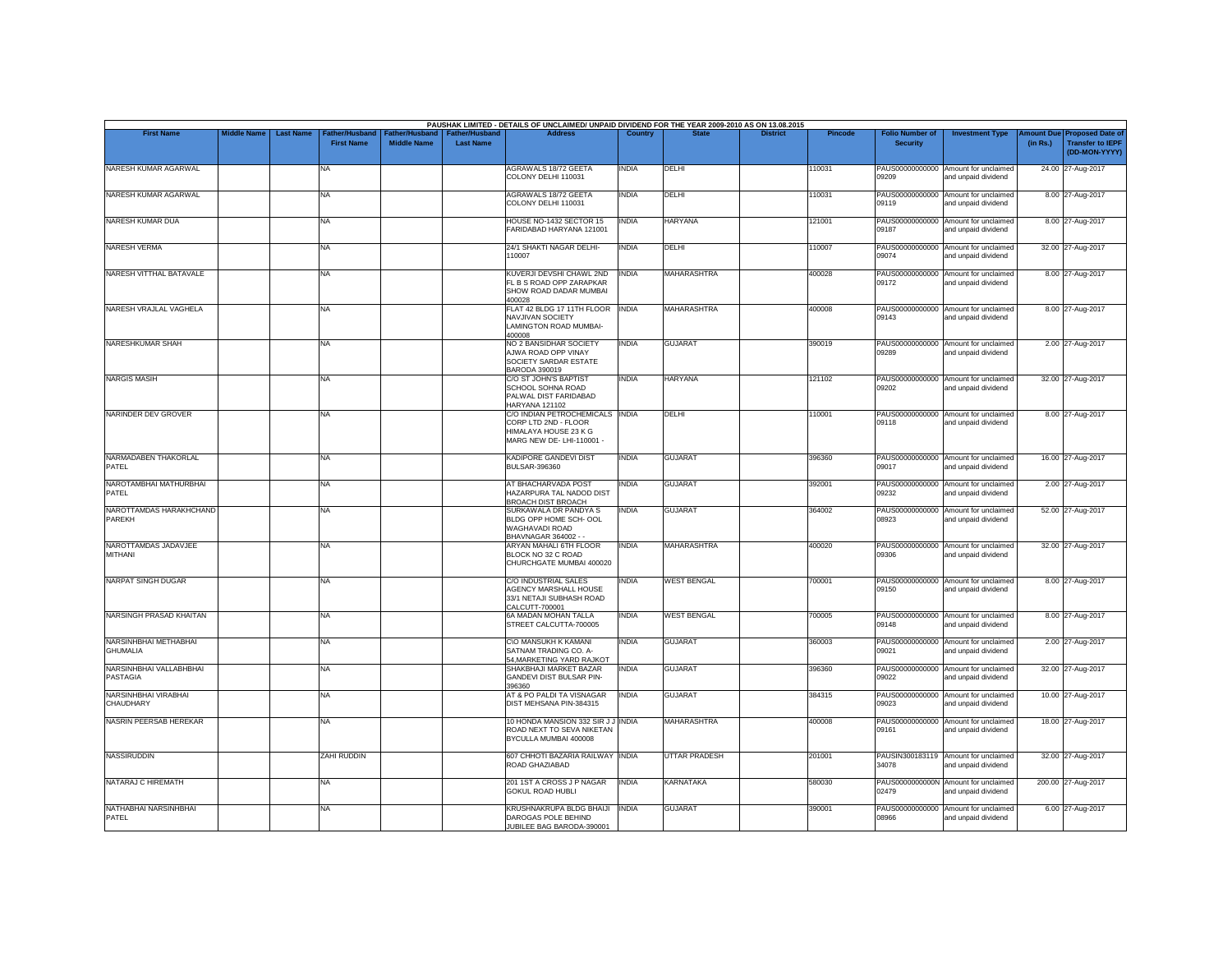| <b>First Name</b>                        | <b>Middle Name</b> | <b>Last Name</b> | Father/Husband    | Father/Husband     | <b>Father/Husband</b> | PAUSHAK LIMITED - DETAILS OF UNCLAIMED/ UNPAID DIVIDEND FOR THE YEAR 2009-2010 AS ON 13.08.2015<br><b>Address</b> | Country      |                      | <b>District</b> | <b>Pincode</b> | <b>Folio Number of</b>   | <b>Investment Type</b>                                      | mount Due | <b>Proposed Date of</b>                  |
|------------------------------------------|--------------------|------------------|-------------------|--------------------|-----------------------|-------------------------------------------------------------------------------------------------------------------|--------------|----------------------|-----------------|----------------|--------------------------|-------------------------------------------------------------|-----------|------------------------------------------|
|                                          |                    |                  | <b>First Name</b> | <b>Middle Name</b> | <b>Last Name</b>      |                                                                                                                   |              |                      |                 |                | <b>Security</b>          |                                                             | (in Rs.)  | <b>Transfer to IEPF</b><br>(DD-MON-YYYY) |
| NARESH KUMAR AGARWAL                     |                    |                  | NA                |                    |                       | AGRAWALS 18/72 GEETA<br>COLONY DELHI 110031                                                                       | <b>INDIA</b> | DELHI                |                 | 110031         | 09209                    | PAUS00000000000 Amount for unclaimed<br>and unpaid dividend |           | 24.00 27-Aug-2017                        |
| NARESH KUMAR AGARWAL                     |                    |                  | NA                |                    |                       | <b>AGRAWALS 18/72 GEETA</b><br>COLONY DELHI 110031                                                                | <b>INDIA</b> | DELHI                |                 | 10031          | PAUS00000000000<br>09119 | Amount for unclaimed<br>and unpaid dividend                 |           | 8.00 27-Aug-2017                         |
| NARESH KUMAR DUA                         |                    |                  | NA                |                    |                       | HOUSE NO-1432 SECTOR 15<br>FARIDABAD HARYANA 121001                                                               | <b>INDIA</b> | <b>HARYANA</b>       |                 | 121001         | 09187                    | PAUS00000000000 Amount for unclaimed<br>and unpaid dividend |           | 8.00 27-Aug-2017                         |
| <b>NARESH VERMA</b>                      |                    |                  | NA                |                    |                       | 24/1 SHAKTI NAGAR DELHI-<br>110007                                                                                | <b>INDIA</b> | DELHI                |                 | 10007          | 09074                    | PAUS00000000000 Amount for unclaimed<br>and unpaid dividend |           | 32.00 27-Aug-2017                        |
| NARESH VITTHAL BATAVALE                  |                    |                  | <b>NA</b>         |                    |                       | KUVERJI DEVSHI CHAWL 2ND<br>FL B S ROAD OPP ZARAPKAR<br>SHOW ROAD DADAR MUMBAI<br>400028                          | <b>INDIA</b> | <b>MAHARASHTRA</b>   |                 | 400028         | 09172                    | PAUS00000000000 Amount for unclaimed<br>and unpaid dividend |           | 8.00 27-Aug-2017                         |
| NARESH VRAJLAL VAGHELA                   |                    |                  | <b>NA</b>         |                    |                       | FLAT 42 BLDG 17 11TH FLOOR<br>NAVJIVAN SOCIETY<br>LAMINGTON ROAD MUMBAI-<br>400008                                | <b>INDIA</b> | <b>MAHARASHTRA</b>   |                 | 400008         | 09143                    | PAUS00000000000 Amount for unclaimed<br>and unpaid dividend |           | 8.00 27-Aug-2017                         |
| NARESHKUMAR SHAH                         |                    |                  | NA                |                    |                       | NO 2 BANSIDHAR SOCIETY<br>AJWA ROAD OPP VINAY<br>SOCIETY SARDAR ESTATE<br><b>BARODA 390019</b>                    | <b>INDIA</b> | <b>GUJARAT</b>       |                 | 390019         | 09289                    | PAUS00000000000 Amount for unclaimed<br>and unpaid dividend |           | 2.00 27-Aug-2017                         |
| <b>NARGIS MASIH</b>                      |                    |                  | NA                |                    |                       | C/O ST JOHN'S BAPTIST<br>SCHOOL SOHNA ROAD<br>PALWAL DIST FARIDABAD<br><b>HARYANA 121102</b>                      | <b>INDIA</b> | <b>HARYANA</b>       |                 | 121102         | 09202                    | PAUS00000000000 Amount for unclaimed<br>and unpaid dividend |           | 32.00 27-Aug-2017                        |
| NARINDER DEV GROVER                      |                    |                  | NA                |                    |                       | C/O INDIAN PETROCHEMICALS INDIA<br>CORP LTD 2ND - FLOOR<br>HIMALAYA HOUSE 23 K G<br>MARG NEW DE- LHI-110001 -     |              | <b>DELHI</b>         |                 | 110001         | 09118                    | PAUS00000000000 Amount for unclaimed<br>and unpaid dividend |           | 8.00 27-Aug-2017                         |
| NARMADABEN THAKORLAL<br>PATEL            |                    |                  | NA                |                    |                       | <b>KADIPORE GANDEVI DIST</b><br><b>BULSAR-396360</b>                                                              | <b>INDIA</b> | <b>GUJARAT</b>       |                 | 396360         | 09017                    | PAUS00000000000 Amount for unclaimed<br>and unpaid dividend |           | 16.00 27-Aug-2017                        |
| NAROTAMBHAI MATHURBHAI<br>PATEL          |                    |                  | NA                |                    |                       | AT BHACHARVADA POST<br>HAZARPURA TAL NADOD DIST<br><b>BROACH DIST BROACH</b>                                      | <b>INDIA</b> | <b>GUJARAT</b>       |                 | 392001         | 09232                    | PAUS00000000000 Amount for unclaimed<br>and unpaid dividend |           | 2.00 27-Aug-2017                         |
| NAROTTAMDAS HARAKHCHAND<br>PAREKH        |                    |                  | NA                |                    |                       | SURKAWALA DR PANDYA S<br>BLDG OPP HOME SCH- OOL<br><b>WAGHAVADI ROAD</b><br>BHAVNAGAR 364002 -                    | <b>INDIA</b> | <b>GUJARAT</b>       |                 | 364002         | 08923                    | PAUS00000000000 Amount for unclaimed<br>and unpaid dividend |           | 52.00 27-Aug-2017                        |
| NAROTTAMDAS JADAVJEE<br>MITHANI          |                    |                  | NA                |                    |                       | ARYAN MAHALI 6TH FLOOR<br>BLOCK NO 32 C ROAD<br>CHURCHGATE MUMBAI 400020                                          | <b>INDIA</b> | <b>MAHARASHTRA</b>   |                 | 400020         | 09306                    | PAUS00000000000 Amount for unclaimed<br>and unpaid dividend |           | 32.00 27-Aug-2017                        |
| NARPAT SINGH DUGAR                       |                    |                  | NA                |                    |                       | C/O INDUSTRIAL SALES<br>AGENCY MARSHALL HOUSE<br>33/1 NETAJI SUBHASH ROAD<br>CALCUTT-700001                       | <b>INDIA</b> | <b>WEST BENGAL</b>   |                 | 700001         | 09150                    | PAUS00000000000 Amount for unclaimed<br>and unpaid dividend |           | 8.00 27-Aug-2017                         |
| NARSINGH PRASAD KHAITAN                  |                    |                  | NA                |                    |                       | 6A MADAN MOHAN TALLA<br>STREET CALCUTTA-700005                                                                    | <b>INDIA</b> | <b>WEST BENGAL</b>   |                 | 700005         | 09148                    | PAUS00000000000 Amount for unclaimed<br>and unpaid dividend |           | 8.00 27-Aug-2017                         |
| NARSINHBHAI METHABHAI<br><b>GHUMALIA</b> |                    |                  | NA                |                    |                       | <b>CIO MANSUKH K KAMANI</b><br>SATNAM TRADING CO. A-<br>54, MARKETING YARD RAJKOT                                 | <b>INDIA</b> | <b>GUJARAT</b>       |                 | 360003         | 09021                    | PAUS00000000000 Amount for unclaimed<br>and unpaid dividend |           | 2.00 27-Aug-2017                         |
| NARSINHBHAI VALLABHBHAI<br>PASTAGIA      |                    |                  | NA                |                    |                       | SHAKBHAJI MARKET BAZAR<br><b>GANDEVI DIST BULSAR PIN-</b><br>396360                                               | INDIA        | <b>GUJARAT</b>       |                 | 396360         | 09022                    | PAUS00000000000 Amount for unclaimed<br>and unpaid dividend |           | 32.00 27-Aug-2017                        |
| NARSINHBHAI VIRABHAI<br>CHAUDHARY        |                    |                  | <b>NA</b>         |                    |                       | AT & PO PALDI TA VISNAGAR<br>DIST MEHSANA PIN-384315                                                              | <b>INDIA</b> | <b>GUJARAT</b>       |                 | 384315         | 09023                    | PAUS00000000000 Amount for unclaimed<br>and unpaid dividend |           | 10.00 27-Aug-2017                        |
| NASRIN PEERSAB HEREKAR                   |                    |                  | NA.               |                    |                       | 10 HONDA MANSION 332 SIR J J INDIA<br>ROAD NEXT TO SEVA NIKETAN<br>BYCULLA MUMBAI 400008                          |              | <b>MAHARASHTRA</b>   |                 | 400008         | 09161                    | PAUS00000000000 Amount for unclaimed<br>and unpaid dividend |           | 18.00 27-Aug-2017                        |
| <b>NASSIRUDDIN</b>                       |                    |                  | ZAHI RUDDIN       |                    |                       | 607 CHHOTI BAZARIA RAILWAY INDIA<br>ROAD GHAZIABAD                                                                |              | <b>UTTAR PRADESH</b> |                 | 201001         | 34078                    | PAUSIN300183119 Amount for unclaimed<br>and unpaid dividend |           | 32.00 27-Aug-2017                        |
| NATARAJ C HIREMATH                       |                    |                  | <b>NA</b>         |                    |                       | 201 1ST A CROSS J P NAGAR<br><b>GOKUL ROAD HUBLI</b>                                                              | <b>INDIA</b> | <b>KARNATAKA</b>     |                 | 580030         | 02479                    | PAUS0000000000N Amount for unclaimed<br>and unpaid dividend |           | 200.00 27-Aug-2017                       |
| NATHABHAI NARSINHBHAI<br>PATEL           |                    |                  | NA                |                    |                       | KRUSHNAKRUPA BLDG BHAIJI<br>DAROGAS POLE BEHIND<br>JUBILEE BAG BARODA-390001                                      | <b>INDIA</b> | <b>GUJARAT</b>       |                 | 390001         | 08966                    | PAUS00000000000 Amount for unclaimed<br>and unpaid dividend |           | 6.00 27-Aug-2017                         |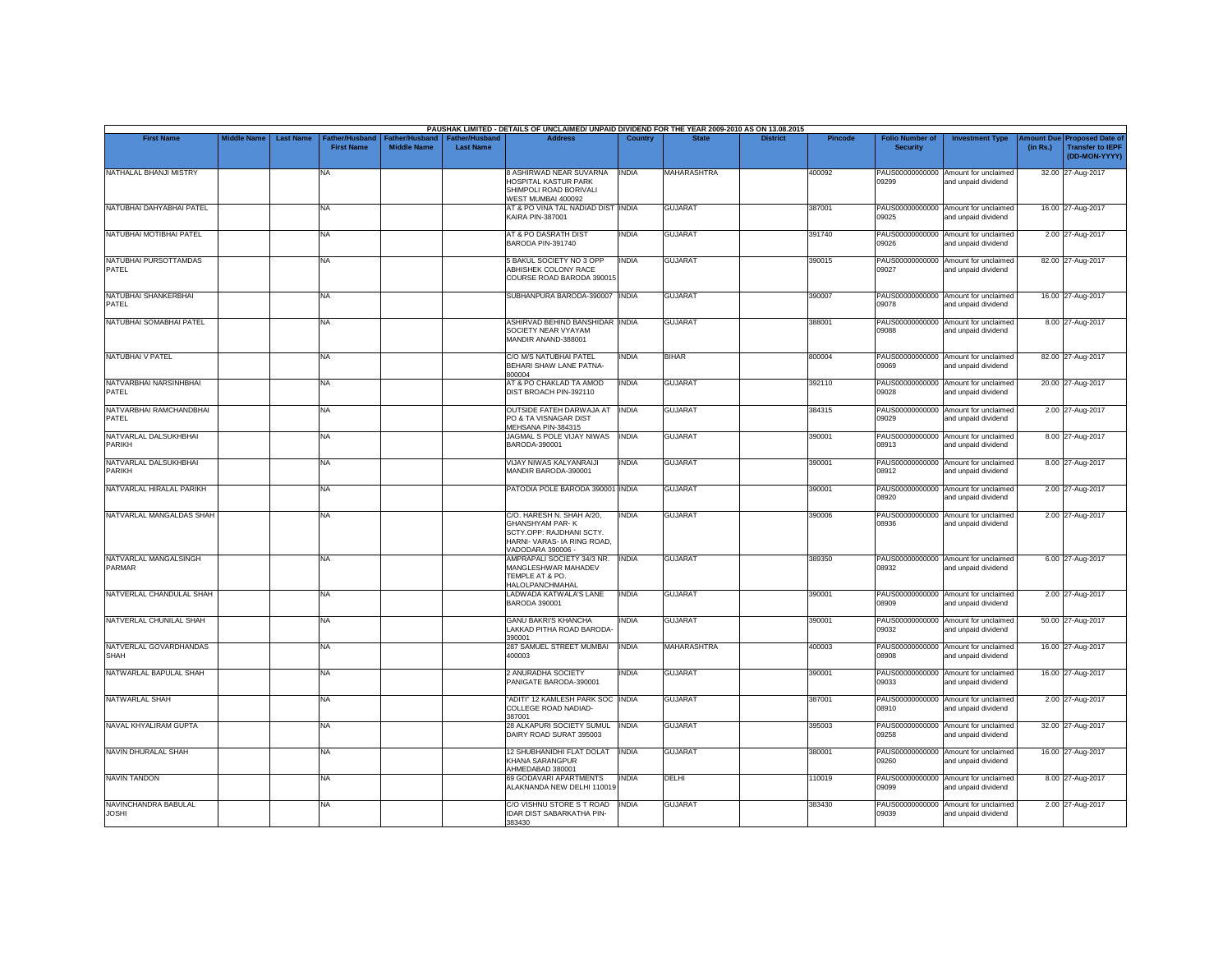|                                      |                    |                  |                                     |                                      |                                           | PAUSHAK LIMITED - DETAILS OF UNCLAIMED/ UNPAID DIVIDEND FOR THE YEAR 2009-2010 AS ON 13.08.2015                                     |                |                    |                 |                |                                           |                                                             |                       |                                                                     |
|--------------------------------------|--------------------|------------------|-------------------------------------|--------------------------------------|-------------------------------------------|-------------------------------------------------------------------------------------------------------------------------------------|----------------|--------------------|-----------------|----------------|-------------------------------------------|-------------------------------------------------------------|-----------------------|---------------------------------------------------------------------|
| <b>First Name</b>                    | <b>Middle Name</b> | <b>Last Name</b> | Father/Husband<br><b>First Name</b> | Father/Husband<br><b>Middle Name</b> | <b>Father/Husband</b><br><b>Last Name</b> | <b>Address</b>                                                                                                                      | <b>Country</b> | <b>State</b>       | <b>District</b> | <b>Pincode</b> | <b>Folio Number of</b><br><b>Security</b> | <b>Investment Type</b>                                      | mount Due<br>(in Rs.) | <b>Proposed Date of</b><br><b>Transfer to IEPF</b><br>(DD-MON-YYYY) |
| NATHALAL BHANJI MISTRY               |                    |                  | <b>NA</b>                           |                                      |                                           | 8 ASHIRWAD NEAR SUVARNA<br>HOSPITAL KASTUR PARK<br>SHIMPOLI ROAD BORIVALI<br>WEST MUMBAI 400092                                     | <b>INDIA</b>   | MAHARASHTRA        |                 | 400092         | 09299                                     | PAUS00000000000 Amount for unclaimed<br>and unpaid dividend |                       | 32.00 27-Aug-2017                                                   |
| NATUBHAI DAHYABHAI PATEL             |                    |                  | <b>NA</b>                           |                                      |                                           | AT & PO VINA TAL NADIAD DIST INDIA<br>KAIRA PIN-387001                                                                              |                | <b>GUJARAT</b>     |                 | 387001         | 09025                                     | PAUS00000000000 Amount for unclaimed<br>and unpaid dividend |                       | 16.00 27-Aug-2017                                                   |
| NATUBHAI MOTIBHAI PATEL              |                    |                  | <b>NA</b>                           |                                      |                                           | AT & PO DASRATH DIST<br>BARODA PIN-391740                                                                                           | <b>INDIA</b>   | <b>GUJARAT</b>     |                 | 391740         | 09026                                     | PAUS00000000000 Amount for unclaimed<br>and unpaid dividend |                       | 2.00 27-Aug-2017                                                    |
| NATUBHAI PURSOTTAMDAS<br>PATEL       |                    |                  | <b>NA</b>                           |                                      |                                           | <b>5 BAKUL SOCIETY NO 3 OPP</b><br>ABHISHEK COLONY RACE<br>COURSE ROAD BARODA 390015                                                | <b>INDIA</b>   | <b>GUJARAT</b>     |                 | 390015         | 09027                                     | PAUS00000000000 Amount for unclaimed<br>and unpaid dividend |                       | 82.00 27-Aug-2017                                                   |
| NATUBHAI SHANKERBHAI<br>PATEL        |                    |                  | <b>NA</b>                           |                                      |                                           | SUBHANPURA BARODA-390007 INDIA                                                                                                      |                | <b>GUJARAT</b>     |                 | 390007         | 09078                                     | PAUS00000000000 Amount for unclaimed<br>and unpaid dividend |                       | 16.00 27-Aug-2017                                                   |
| NATUBHAI SOMABHAI PATEL              |                    |                  | <b>NA</b>                           |                                      |                                           | ASHIRVAD BEHIND BANSHIDAR INDIA<br>SOCIETY NEAR VYAYAM<br>MANDIR ANAND-388001                                                       |                | <b>GUJARAT</b>     |                 | 388001         | PAUS00000000000<br>09088                  | Amount for unclaimed<br>and unpaid dividend                 |                       | 8.00 27-Aug-2017                                                    |
| NATUBHAI V PATEL                     |                    |                  | <b>NA</b>                           |                                      |                                           | C/O M/S NATUBHAI PATEL<br>BEHARI SHAW LANE PATNA-<br>800004                                                                         | <b>INDIA</b>   | <b>BIHAR</b>       |                 | 800004         | 09069                                     | PAUS00000000000 Amount for unclaimed<br>and unpaid dividend |                       | 82.00 27-Aug-2017                                                   |
| NATVARBHAI NARSINHBHAI<br>PATEL      |                    |                  | <b>NA</b>                           |                                      |                                           | AT & PO CHAKLAD TA AMOD<br>DIST BROACH PIN-392110                                                                                   | <b>INDIA</b>   | <b>GUJARAT</b>     |                 | 392110         | 09028                                     | PAUS00000000000 Amount for unclaimed<br>and unpaid dividend |                       | 20.00 27-Aug-2017                                                   |
| NATVARBHAI RAMCHANDBHAI<br>PATEL     |                    |                  | <b>NA</b>                           |                                      |                                           | OUTSIDE FATEH DARWAJA AT<br>PO & TA VISNAGAR DIST<br>MEHSANA PIN-384315                                                             | <b>INDIA</b>   | <b>GUJARAT</b>     |                 | 384315         | 09029                                     | PAUS00000000000 Amount for unclaimed<br>and unpaid dividend |                       | 2.00 27-Aug-2017                                                    |
| NATVARLAL DALSUKHBHAI<br>PARIKH      |                    |                  | <b>NA</b>                           |                                      |                                           | JAGMAL S POLE VIJAY NIWAS<br>BARODA-390001                                                                                          | <b>INDIA</b>   | <b>GUJARAT</b>     |                 | 390001         | 08913                                     | PAUS00000000000 Amount for unclaimed<br>and unpaid dividend |                       | 8.00 27-Aug-2017                                                    |
| NATVARLAL DALSUKHBHAI<br>PARIKH      |                    |                  | <b>NA</b>                           |                                      |                                           | <b>VIJAY NIWAS KALYANRAIJI</b><br>MANDIR BARODA-390001                                                                              | <b>INDIA</b>   | <b>GUJARAT</b>     |                 | 390001         | 08912                                     | PAUS00000000000 Amount for unclaimed<br>and unpaid dividend |                       | 8.00 27-Aug-2017                                                    |
| NATVARLAL HIRALAL PARIKH             |                    |                  | <b>NA</b>                           |                                      |                                           | PATODIA POLE BARODA 390001 INDIA                                                                                                    |                | <b>GUJARAT</b>     |                 | 390001         | 08920                                     | PAUS00000000000 Amount for unclaimed<br>and unpaid dividend |                       | 2.00 27-Aug-2017                                                    |
| NATVARLAL MANGALDAS SHAH             |                    |                  | <b>NA</b>                           |                                      |                                           | C/O. HARESH N. SHAH A/20,<br><b>GHANSHYAM PAR-K</b><br>SCTY.OPP: RAJDHANI SCTY.<br>HARNI- VARAS- IA RING ROAD,<br>VADODARA 390006 - | <b>INDIA</b>   | <b>GUJARAT</b>     |                 | 390006         | PAUS00000000000<br>08936                  | Amount for unclaimed<br>and unpaid dividend                 |                       | 2.00 27-Aug-2017                                                    |
| NATVARLAL MANGALSINGH<br>PARMAR      |                    |                  | <b>NA</b>                           |                                      |                                           | AMPRAPALI SOCIETY 34/3 NR.<br>MANGLESHWAR MAHADEV<br>TEMPLE AT & PO.<br>HALOLPANCHMAHAL                                             | <b>INDIA</b>   | <b>GUJARAT</b>     |                 | 389350         | 08932                                     | PAUS00000000000 Amount for unclaimed<br>and unpaid dividend |                       | 6.00 27-Aug-2017                                                    |
| NATVERLAL CHANDULAL SHAH             |                    |                  | <b>NA</b>                           |                                      |                                           | LADWADA KATWALA'S LANE<br>BARODA 390001                                                                                             | <b>INDIA</b>   | <b>GUJARAT</b>     |                 | 390001         | 08909                                     | PAUS00000000000 Amount for unclaimed<br>and unpaid dividend |                       | 2.00 27-Aug-2017                                                    |
| NATVERLAL CHUNILAL SHAH              |                    |                  | <b>NA</b>                           |                                      |                                           | <b>GANU BAKRI'S KHANCHA</b><br>LAKKAD PITHA ROAD BARODA-<br>390001                                                                  | <b>INDIA</b>   | <b>GUJARAT</b>     |                 | 390001         | 09032                                     | PAUS00000000000 Amount for unclaimed<br>and unpaid dividend |                       | 50.00 27-Aug-2017                                                   |
| NATVERLAL GOVARDHANDAS<br>SHAH       |                    |                  | <b>NA</b>                           |                                      |                                           | 287 SAMUEL STREET MUMBAI<br>400003                                                                                                  | <b>INDIA</b>   | <b>MAHARASHTRA</b> |                 | 400003         | 08908                                     | PAUS00000000000 Amount for unclaimed<br>and unpaid dividend |                       | 16.00 27-Aug-2017                                                   |
| NATWARLAL BAPULAL SHAH               |                    |                  | <b>NA</b>                           |                                      |                                           | 2 ANURADHA SOCIETY<br>PANIGATE BARODA-390001                                                                                        | INDIA          | <b>GUJARAT</b>     |                 | 390001         | 09033                                     | PAUS00000000000 Amount for unclaimed<br>and unpaid dividend |                       | 16.00 27-Aug-2017                                                   |
| NATWARLAL SHAH                       |                    |                  | <b>NA</b>                           |                                      |                                           | "ADITI" 12 KAMLESH PARK SOC INDIA<br>COLLEGE ROAD NADIAD-<br>387001                                                                 |                | <b>GUJARAT</b>     |                 | 387001         | 08910                                     | PAUS00000000000 Amount for unclaimed<br>and unpaid dividend |                       | 2.00 27-Aug-2017                                                    |
| NAVAL KHYALIRAM GUPTA                |                    |                  | <b>NA</b>                           |                                      |                                           | 28 ALKAPURI SOCIETY SUMUL<br>DAIRY ROAD SURAT 395003                                                                                | <b>INDIA</b>   | <b>GUJARAT</b>     |                 | 395003         | 09258                                     | PAUS00000000000 Amount for unclaimed<br>and unpaid dividend |                       | 32.00 27-Aug-2017                                                   |
| NAVIN DHURALAL SHAH                  |                    |                  | <b>NA</b>                           |                                      |                                           | 12 SHUBHANIDHI FLAT DOLAT<br><b>KHANA SARANGPUR</b><br>AHMEDABAD 380001                                                             | <b>INDIA</b>   | <b>GUJARAT</b>     |                 | 380001         | 09260                                     | PAUS00000000000 Amount for unclaimed<br>and unpaid dividend |                       | 16.00 27-Aug-2017                                                   |
| <b>NAVIN TANDON</b>                  |                    |                  | <b>NA</b>                           |                                      |                                           | 69 GODAVARI APARTMENTS<br>ALAKNANDA NEW DELHI 110019                                                                                | <b>INDIA</b>   | DELHI              |                 | 110019         | 09099                                     | PAUS00000000000 Amount for unclaimed<br>and unpaid dividend |                       | 8.00 27-Aug-2017                                                    |
| NAVINCHANDRA BABULAL<br><b>JOSHI</b> |                    |                  | <b>NA</b>                           |                                      |                                           | C/O VISHNU STORE S T ROAD<br><b>IDAR DIST SABARKATHA PIN-</b><br>383430                                                             | <b>INDIA</b>   | <b>GUJARAT</b>     |                 | 383430         | PAUS00000000000<br>09039                  | Amount for unclaimed<br>and unpaid dividend                 |                       | 2.00 27-Aug-2017                                                    |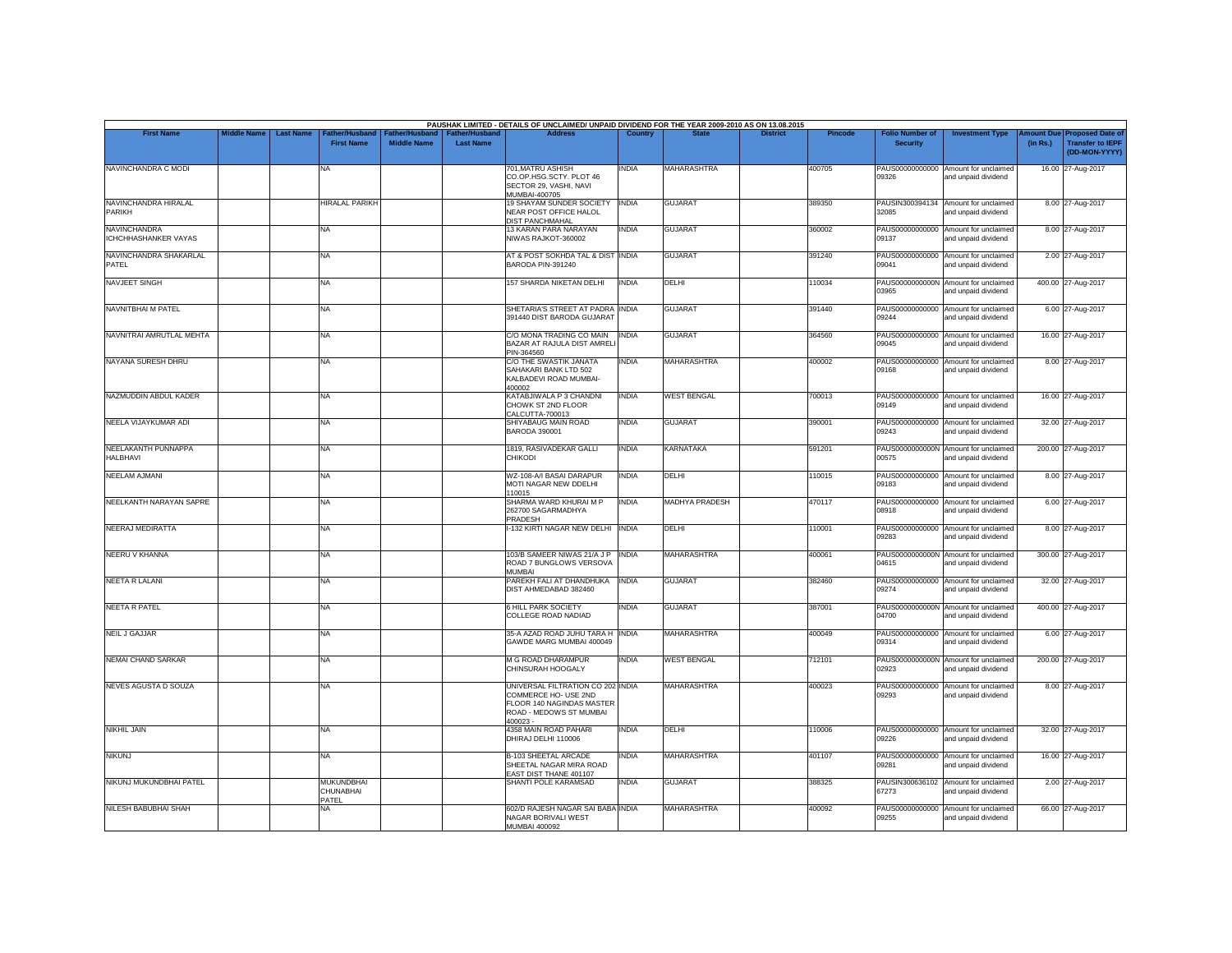| <b>First Name</b>                                  | <b>Middle Name</b> | <b>Last Name</b> | Father/Husband                          | ather/Husband      | <b>Father/Hushand</b> | PAUSHAK LIMITED - DETAILS OF UNCLAIMED/ UNPAID DIVIDEND FOR THE YEAR 2009-2010 AS ON 13.08.2015<br><b>Address</b>             | Country      |                    | <b>District</b> | Pincode | <b>Folio Number of</b>   | <b>Investment Type</b>                                      | mount Due | <b>Proposed Date of</b>                  |
|----------------------------------------------------|--------------------|------------------|-----------------------------------------|--------------------|-----------------------|-------------------------------------------------------------------------------------------------------------------------------|--------------|--------------------|-----------------|---------|--------------------------|-------------------------------------------------------------|-----------|------------------------------------------|
|                                                    |                    |                  | <b>First Name</b>                       | <b>Middle Name</b> | <b>Last Name</b>      |                                                                                                                               |              |                    |                 |         | <b>Security</b>          |                                                             | (in Rs.)  | <b>Transfer to IEPF</b><br>(DD-MON-YYYY) |
| NAVINCHANDRA C MODI                                |                    |                  | <b>NA</b>                               |                    |                       | 701, MATRU ASHISH<br>CO.OP.HSG.SCTY. PLOT 46<br>SECTOR 29, VASHI, NAVI<br>MUMBAI-400705                                       | INDIA        | MAHARASHTRA        |                 | 400705  | PAUS00000000000<br>09326 | Amount for unclaimed<br>and unpaid dividend                 |           | 16.00 27-Aug-2017                        |
| NAVINCHANDRA HIRALAL<br>PARIKH                     |                    |                  | <b>HIRALAL PARIKH</b>                   |                    |                       | 19 SHAYAM SUNDER SOCIETY<br>NEAR POST OFFICE HALOL<br><b>DIST PANCHMAHAL</b>                                                  | <b>INDIA</b> | <b>GUJARAT</b>     |                 | 389350  | PAUSIN300394134<br>32085 | Amount for unclaimed<br>and unpaid dividend                 |           | 8.00 27-Aug-2017                         |
| <b>NAVINCHANDRA</b><br><b>ICHCHHASHANKER VAYAS</b> |                    |                  | <b>NA</b>                               |                    |                       | 13 KARAN PARA NARAYAN<br>NIWAS RAJKOT-360002                                                                                  | <b>INDIA</b> | <b>GUJARAT</b>     |                 | 360002  | 09137                    | PAUS00000000000 Amount for unclaimed<br>and unpaid dividend |           | 8.00 27-Aug-2017                         |
| NAVINCHANDRA SHAKARLAL<br>PATEL                    |                    |                  | NA.                                     |                    |                       | AT & POST SOKHDA TAL & DIST INDIA<br>BARODA PIN-391240                                                                        |              | <b>GUJARAT</b>     |                 | 391240  | PAUS00000000000<br>09041 | Amount for unclaimed<br>and unpaid dividend                 |           | 2.00 27-Aug-2017                         |
| NAVJEET SINGH                                      |                    |                  | <b>NA</b>                               |                    |                       | 157 SHARDA NIKETAN DELHI                                                                                                      | <b>INDIA</b> | <b>DELHI</b>       |                 | 110034  | 03965                    | PAUS0000000000N Amount for unclaimed<br>and unpaid dividend |           | 400.00 27-Aug-2017                       |
| <b>NAVNITBHAI M PATEL</b>                          |                    |                  | NA                                      |                    |                       | SHETARIA'S STREET AT PADRA INDIA<br>391440 DIST BARODA GUJARAT                                                                |              | <b>GUJARAT</b>     |                 | 391440  | PAUS00000000000<br>09244 | Amount for unclaimed<br>and unpaid dividend                 |           | 6.00 27-Aug-2017                         |
| NAVNITRAI AMRUTLAL MEHTA                           |                    |                  | NA                                      |                    |                       | C/O MONA TRADING CO MAIN INDIA<br>BAZAR AT RAJULA DIST AMRELI<br>PIN-364560                                                   |              | <b>GUJARAT</b>     |                 | 364560  | 09045                    | PAUS00000000000 Amount for unclaimed<br>and unpaid dividend |           | 16.00 27-Aug-2017                        |
| NAYANA SURESH DHRU                                 |                    |                  | NA                                      |                    |                       | C/O THE SWASTIK JANATA<br>SAHAKARI BANK LTD 502<br>KALBADEVI ROAD MUMBAI-<br>400002                                           | <b>INDIA</b> | <b>MAHARASHTRA</b> |                 | 400002  | PAUS00000000000<br>09168 | Amount for unclaimed<br>and unpaid dividend                 |           | 8.00 27-Aug-2017                         |
| NAZMUDDIN ABDUL KADER                              |                    |                  | NA                                      |                    |                       | KATABJIWALA P 3 CHANDNI<br>CHOWK ST 2ND FLOOR<br>CALCUTTA-700013                                                              | <b>INDIA</b> | <b>WEST BENGAL</b> |                 | 700013  | 09149                    | PAUS00000000000 Amount for unclaimed<br>and unpaid dividend |           | 16.00 27-Aug-2017                        |
| NEELA VIJAYKUMAR ADI                               |                    |                  | NA                                      |                    |                       | SHIYABAUG MAIN ROAD<br><b>BARODA 390001</b>                                                                                   | <b>INDIA</b> | <b>GUJARAT</b>     |                 | 390001  | 09243                    | PAUS00000000000 Amount for unclaimed<br>and unpaid dividend |           | 32.00 27-Aug-2017                        |
| NEELAKANTH PUNNAPPA<br>HALBHAVI                    |                    |                  | NA                                      |                    |                       | 1819, RASIVADEKAR GALLI<br>CHIKODI                                                                                            | <b>INDIA</b> | <b>KARNATAKA</b>   |                 | 591201  | 00575                    | PAUS0000000000N Amount for unclaimed<br>and unpaid dividend |           | 200.00 27-Aug-2017                       |
| NEELAM AJMANI                                      |                    |                  | NA                                      |                    |                       | WZ-108-A/I BASAI DARAPUR<br>MOTI NAGAR NEW DDELHI<br>110015                                                                   | <b>INDIA</b> | DELHI              |                 | 110015  | 09183                    | PAUS00000000000 Amount for unclaimed<br>and unpaid dividend |           | 8.00 27-Aug-2017                         |
| NEELKANTH NARAYAN SAPRE                            |                    |                  | NA                                      |                    |                       | SHARMA WARD KHURAI M P<br>262700 SAGARMADHYA<br>PRADESH                                                                       | <b>INDIA</b> | MADHYA PRADESH     |                 | 470117  | PAUS00000000000<br>08918 | Amount for unclaimed<br>and unpaid dividend                 |           | 6.00 27-Aug-2017                         |
| <b>NEERAJ MEDIRATTA</b>                            |                    |                  | NA                                      |                    |                       | -132 KIRTI NAGAR NEW DELHI INDIA                                                                                              |              | DELHI              |                 | 110001  | 09283                    | PAUS00000000000 Amount for unclaimed<br>and unpaid dividend |           | 8.00 27-Aug-2017                         |
| NEERU V KHANNA                                     |                    |                  | NA                                      |                    |                       | 103/B SAMEER NIWAS 21/A J P<br>ROAD 7 BUNGLOWS VERSOVA<br>MUMBAI                                                              | <b>INDIA</b> | <b>MAHARASHTRA</b> |                 | 400061  | 04615                    | PAUS0000000000N Amount for unclaimed<br>and unpaid dividend |           | 300.00 27-Aug-2017                       |
| <b>NEETA R LALANI</b>                              |                    |                  | <b>NA</b>                               |                    |                       | PAREKH FALI AT DHANDHUKA<br>DIST AHMEDABAD 382460                                                                             | <b>INDIA</b> | <b>GUJARAT</b>     |                 | 382460  | 09274                    | PAUS00000000000 Amount for unclaimed<br>and unpaid dividend |           | 32.00 27-Aug-2017                        |
| <b>NEETA R PATEL</b>                               |                    |                  | <b>NA</b>                               |                    |                       | <b>6 HILL PARK SOCIETY</b><br>COLLEGE ROAD NADIAD                                                                             | <b>INDIA</b> | <b>GUJARAT</b>     |                 | 387001  | PAUS0000000000N<br>04700 | Amount for unclaimed<br>and unpaid dividend                 |           | 400.00 27-Aug-2017                       |
| <b>NEIL J GAJJAR</b>                               |                    |                  | <b>NA</b>                               |                    |                       | 35-A AZAD ROAD JUHU TARA H INDIA<br>GAWDE MARG MUMBAI 400049                                                                  |              | <b>MAHARASHTRA</b> |                 | 400049  | 09314                    | PAUS00000000000 Amount for unclaimed<br>and unpaid dividend |           | 6.00 27-Aug-2017                         |
| <b>NEMAI CHAND SARKAR</b>                          |                    |                  | NA                                      |                    |                       | M G ROAD DHARAMPUR<br>CHINSURAH HOOGALY                                                                                       | <b>INDIA</b> | <b>WEST BENGAL</b> |                 | 712101  | PAUS0000000000N<br>02923 | Amount for unclaimed<br>and unpaid dividend                 |           | 200.00 27-Aug-2017                       |
| <b>NEVES AGUSTA D SOUZA</b>                        |                    |                  | NA                                      |                    |                       | UNIVERSAL FILTRATION CO 202 INDIA<br>COMMERCE HO- USE 2ND<br>FLOOR 140 NAGINDAS MASTER<br>ROAD - MEDOWS ST MUMBAI<br>400023 - |              | <b>MAHARASHTRA</b> |                 | 400023  | PAUS00000000000<br>09293 | Amount for unclaimed<br>and unpaid dividend                 |           | 8.00 27-Aug-2017                         |
| <b>NIKHIL JAIN</b>                                 |                    |                  | NA                                      |                    |                       | 4358 MAIN ROAD PAHARI<br>DHIRAJ DELHI 110006                                                                                  | <b>INDIA</b> | DELHI              |                 | 110006  | 09226                    | PAUS00000000000 Amount for unclaimed<br>and unpaid dividend |           | 32.00 27-Aug-2017                        |
| <b>NIKUNJ</b>                                      |                    |                  | NA                                      |                    |                       | <b>B-103 SHEETAL ARCADE</b><br>SHEETAL NAGAR MIRA ROAD<br>EAST DIST THANE 401107                                              | <b>INDIA</b> | <b>MAHARASHTRA</b> |                 | 401107  | PAUS00000000000<br>09281 | Amount for unclaimed<br>and unpaid dividend                 |           | 16.00 27-Aug-2017                        |
| NIKUNJ MUKUNDBHAI PATEL                            |                    |                  | <b>MUKUNDBHAI</b><br>CHUNABHAI<br>PATEL |                    |                       | SHANTI POLE KARAMSAD                                                                                                          | <b>INDIA</b> | <b>GUJARAT</b>     |                 | 388325  | PAUSIN300636102<br>67273 | Amount for unclaimed<br>and unpaid dividend                 |           | 2.00 27-Aug-2017                         |
| <b>NILESH BABUBHAI SHAH</b>                        |                    |                  | NA                                      |                    |                       | 602/D RAJESH NAGAR SAI BABA INDIA<br>NAGAR BORIVALI WEST<br><b>MUMBAI 400092</b>                                              |              | <b>MAHARASHTRA</b> |                 | 400092  | PAUS00000000000<br>09255 | Amount for unclaimed<br>and unpaid dividend                 |           | 66.00 27-Aug-2017                        |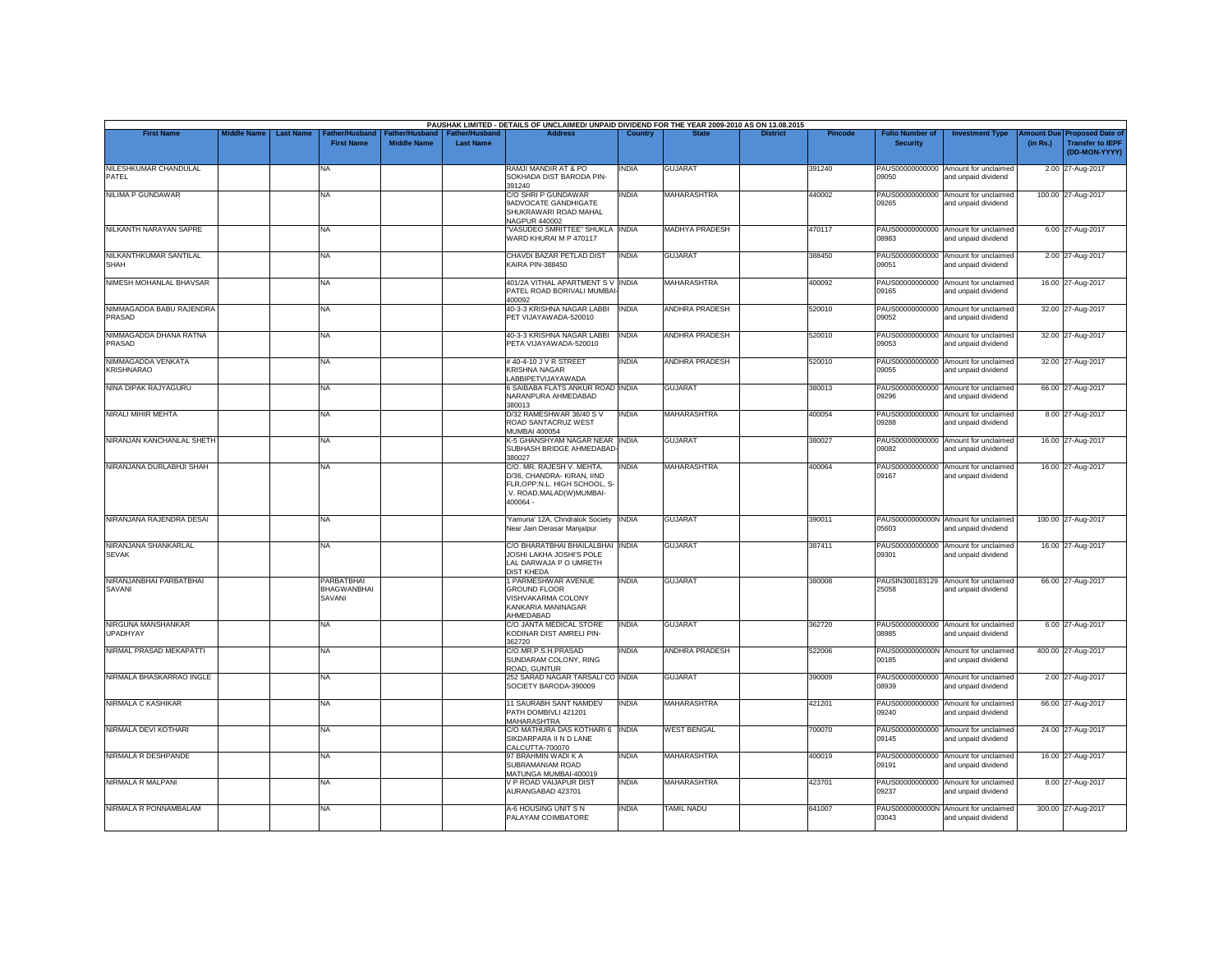| <b>First Name</b>                       | <b>Middle Name</b> | <b>Last Name</b> | Father/Husband                             | Father/Husband     | <b>Father/Husband</b> | PAUSHAK LIMITED - DETAILS OF UNCLAIMED/ UNPAID DIVIDEND FOR THE YEAR 2009-2010 AS ON 13.08.2015<br><b>Address</b>                | Country      |                       | <b>District</b> | <b>Pincode</b> | <b>Folio Number of</b>   | <b>Investment Type</b>                                      | mount Due          | <b>Proposed Date of</b>                  |
|-----------------------------------------|--------------------|------------------|--------------------------------------------|--------------------|-----------------------|----------------------------------------------------------------------------------------------------------------------------------|--------------|-----------------------|-----------------|----------------|--------------------------|-------------------------------------------------------------|--------------------|------------------------------------------|
|                                         |                    |                  | <b>First Name</b>                          | <b>Middle Name</b> | <b>Last Name</b>      |                                                                                                                                  |              |                       |                 |                | <b>Security</b>          |                                                             | (in Rs.)           | <b>Transfer to IEPF</b><br>(DD-MON-YYYY) |
| NILESHKUMAR CHANDULAL<br>PATEL          |                    |                  | NA                                         |                    |                       | RAMJI MANDIR AT & PO<br>SOKHADA DIST BARODA PIN-<br>391240                                                                       | <b>INDIA</b> | <b>GUJARAT</b>        |                 | 391240         | 09050                    | PAUS00000000000 Amount for unclaimed<br>and unpaid dividend |                    | 2.00 27-Aug-2017                         |
| <b>NILIMA P GUNDAWAR</b>                |                    |                  | NA.                                        |                    |                       | C/O SHRI P GUNDAWAR<br>9ADVOCATE GANDHIGATE<br>SHUKRAWARI ROAD MAHAL<br>NAGPUR 440002                                            | <b>INDIA</b> | MAHARASHTRA           |                 | 440002         | PAUS00000000000<br>09265 | Amount for unclaimed<br>and unpaid dividend                 | 100.00 27-Aug-2017 |                                          |
| NILKANTH NARAYAN SAPRE                  |                    |                  | NA                                         |                    |                       | "VASUDEO SMRITTEE" SHUKLA INDIA<br>WARD KHURAI M P 470117                                                                        |              | <b>MADHYA PRADESH</b> |                 | 470117         | 08983                    | PAUS00000000000 Amount for unclaimed<br>and unpaid dividend |                    | 6.00 27-Aug-2017                         |
| NILKANTHKUMAR SANTILAL<br><b>SHAH</b>   |                    |                  | <b>NA</b>                                  |                    |                       | CHAVDI BAZAR PETLAD DIST<br><b>KAIRA PIN-388450</b>                                                                              | <b>INDIA</b> | <b>GUJARAT</b>        |                 | 388450         | 09051                    | PAUS00000000000 Amount for unclaimed<br>and unpaid dividend |                    | 2.00 27-Aug-2017                         |
| NIMESH MOHANLAL BHAVSAR                 |                    |                  | NA                                         |                    |                       | 401/2A VITHAL APARTMENT S V INDIA<br>PATEL ROAD BORIVALI MUMBA<br>400092                                                         |              | <b>MAHARASHTRA</b>    |                 | 400092         | 09165                    | PAUS00000000000 Amount for unclaimed<br>and unpaid dividend |                    | 16.00 27-Aug-2017                        |
| NIMMAGADDA BABU RAJENDRA<br>PRASAD      |                    |                  | NA                                         |                    |                       | 40-3-3 KRISHNA NAGAR LABBI<br>PET VIJAYAWADA-520010                                                                              | <b>INDIA</b> | <b>ANDHRA PRADESH</b> |                 | 520010         | 09052                    | PAUS00000000000 Amount for unclaimed<br>and unpaid dividend |                    | 32.00 27-Aug-2017                        |
| NIMMAGADDA DHANA RATNA<br>PRASAD        |                    |                  | NA                                         |                    |                       | 40-3-3 KRISHNA NAGAR LABBI<br>PETA VIJAYAWADA-520010                                                                             | <b>INDIA</b> | <b>ANDHRA PRADESH</b> |                 | 520010         | PAUS00000000000<br>09053 | Amount for unclaimed<br>and unpaid dividend                 |                    | 32.00 27-Aug-2017                        |
| NIMMAGADDA VENKATA<br><b>KRISHNARAO</b> |                    |                  | NA                                         |                    |                       | #40-4-10 J V R STREET<br><b>KRISHNA NAGAR</b><br>LABBIPETVIJAYAWADA                                                              | <b>INDIA</b> | <b>ANDHRA PRADESH</b> |                 | 520010         | 09055                    | PAUS00000000000 Amount for unclaimed<br>and unpaid dividend |                    | 32.00 27-Aug-2017                        |
| NINA DIPAK RAJYAGURU                    |                    |                  | NA                                         |                    |                       | 6 SAIBABA FLATS ANKUR ROAD INDIA<br>NARANPURA AHMEDABAD<br>380013                                                                |              | <b>GUJARAT</b>        |                 | 380013         | 09296                    | PAUS00000000000 Amount for unclaimed<br>and unpaid dividend |                    | 66.00 27-Aug-2017                        |
| NIRALI MIHIR MEHTA                      |                    |                  | NA                                         |                    |                       | D/32 RAMESHWAR 36/40 SV<br>ROAD SANTACRUZ WEST<br><b>MUMBAI 400054</b>                                                           | <b>INDIA</b> | <b>MAHARASHTRA</b>    |                 | 400054         | 09288                    | PAUS00000000000 Amount for unclaimed<br>and unpaid dividend |                    | 8.00 27-Aug-2017                         |
| NIRANJAN KANCHANLAL SHETH               |                    |                  | NA                                         |                    |                       | K-5 GHANSHYAM NAGAR NEAR INDIA<br>SUBHASH BRIDGE AHMEDABAD<br>380027                                                             |              | <b>GUJARAT</b>        |                 | 380027         | 09082                    | PAUS00000000000 Amount for unclaimed<br>and unpaid dividend |                    | 16.00 27-Aug-2017                        |
| NIRANJANA DURLABHJI SHAH                |                    |                  | NA                                         |                    |                       | C/O. MR. RAJESH V. MEHTA.<br>D/36, CHANDRA-KIRAN, IIND<br>FLR.OPP:N.L. HIGH SCHOOL, S-<br>.V. ROAD, MALAD(W) MUMBAI-<br>400064 - | <b>INDIA</b> | <b>MAHARASHTRA</b>    |                 | 400064         | 09167                    | PAUS00000000000 Amount for unclaimed<br>and unpaid dividend |                    | 16.00 27-Aug-2017                        |
| NIRANJANA RAJENDRA DESAI                |                    |                  | NA                                         |                    |                       | 'Yamuna' 12A, Chndralok Society   INDIA<br>Near Jain Derasar Manjalpur                                                           |              | <b>GUJARAT</b>        |                 | 390011         | 05603                    | PAUS0000000000N Amount for unclaimed<br>and unpaid dividend | 100.00 27-Aug-2017 |                                          |
| NIRANJANA SHANKARLAL<br><b>SEVAK</b>    |                    |                  | NA                                         |                    |                       | C/O BHARATBHAI BHAILALBHAI INDIA<br>JOSHI LAKHA JOSHI'S POLE<br>LAL DARWAJA P O UMRETH<br><b>DIST KHEDA</b>                      |              | <b>GUJARAT</b>        |                 | 387411         | 09301                    | PAUS00000000000 Amount for unclaimed<br>and unpaid dividend |                    | 16.00 27-Aug-2017                        |
| NIRANJANBHAI PARBATBHAI<br>SAVANI       |                    |                  | PARBATBHAI<br><b>BHAGWANBHAI</b><br>SAVANI |                    |                       | 1 PARMESHWAR AVENUE<br><b>GROUND FLOOR</b><br>VISHVAKARMA COLONY<br>KANKARIA MANINAGAR<br>AHMEDABAD                              | <b>INDIA</b> | <b>GUJARAT</b>        |                 | 380008         | 25058                    | PAUSIN300183129 Amount for unclaimed<br>and unpaid dividend |                    | 66.00 27-Aug-2017                        |
| NIRGUNA MANSHANKAR<br><b>UPADHYAY</b>   |                    |                  | NA                                         |                    |                       | C/O JANTA MEDICAL STORE<br>KODINAR DIST AMRELI PIN-<br>362720                                                                    | <b>INDIA</b> | <b>GUJARAT</b>        |                 | 362720         | 08985                    | PAUS00000000000 Amount for unclaimed<br>and unpaid dividend |                    | 6.00 27-Aug-2017                         |
| NIRMAL PRASAD MEKAPATTI                 |                    |                  | NA                                         |                    |                       | C/O.MR.P.S.H.PRASAD<br>SUNDARAM COLONY, RING<br>ROAD, GUNTUR                                                                     | <b>INDIA</b> | <b>ANDHRA PRADESH</b> |                 | 522006         | 00185                    | PAUS0000000000N Amount for unclaimed<br>and unpaid dividend | 400.00 27-Aug-2017 |                                          |
| NIRMALA BHASKARRAO INGLE                |                    |                  | NA                                         |                    |                       | 252 SARAD NAGAR TARSALI CO INDIA<br>SOCIETY BARODA-390009                                                                        |              | <b>GUJARAT</b>        |                 | 390009         | 08939                    | PAUS00000000000 Amount for unclaimed<br>and unpaid dividend |                    | 2.00 27-Aug-2017                         |
| NIRMALA C KASHIKAR                      |                    |                  | NA.                                        |                    |                       | 11 SAURABH SANT NAMDEV<br>PATH DOMBIVLI 421201<br><b>MAHARASHTRA</b>                                                             | <b>INDIA</b> | <b>MAHARASHTRA</b>    |                 | 421201         | 09240                    | PAUS00000000000 Amount for unclaimed<br>and unpaid dividend |                    | 66.00 27-Aug-2017                        |
| NIRMALA DEVI KOTHARI                    |                    |                  | NA                                         |                    |                       | C/O MATHURA DAS KOTHARI 6 INDIA<br>SIKDARPARA II N D LANE<br>CALCUTTA-700070                                                     |              | <b>WEST BENGAL</b>    |                 | 700070         | 09145                    | PAUS00000000000 Amount for unclaimed<br>and unpaid dividend |                    | 24.00 27-Aug-2017                        |
| NIRMALA R DESHPANDE                     |                    |                  | NA                                         |                    |                       | 97 BRAHMIN WADI K A<br>SUBRAMANIAM ROAD<br>MATUNGA MUMBAI-400019                                                                 | <b>INDIA</b> | <b>MAHARASHTRA</b>    |                 | 400019         | 09191                    | PAUS00000000000 Amount for unclaimed<br>and unpaid dividend |                    | 16.00 27-Aug-2017                        |
| NIRMALA R MALPANI                       |                    |                  | NA                                         |                    |                       | V P ROAD VAIJAPUR DIST<br>AURANGABAD 423701                                                                                      | <b>INDIA</b> | MAHARASHTRA           |                 | 423701         | 09237                    | PAUS00000000000 Amount for unclaimed<br>and unpaid dividend |                    | 8.00 27-Aug-2017                         |
| NIRMALA R PONNAMBALAM                   |                    |                  | NA                                         |                    |                       | A-6 HOUSING UNIT S N<br>PALAYAM COIMBATORE                                                                                       | <b>INDIA</b> | <b>TAMIL NADU</b>     |                 | 641007         | 03043                    | PAUS0000000000N Amount for unclaimed<br>and unpaid dividend | 300.00 27-Aug-2017 |                                          |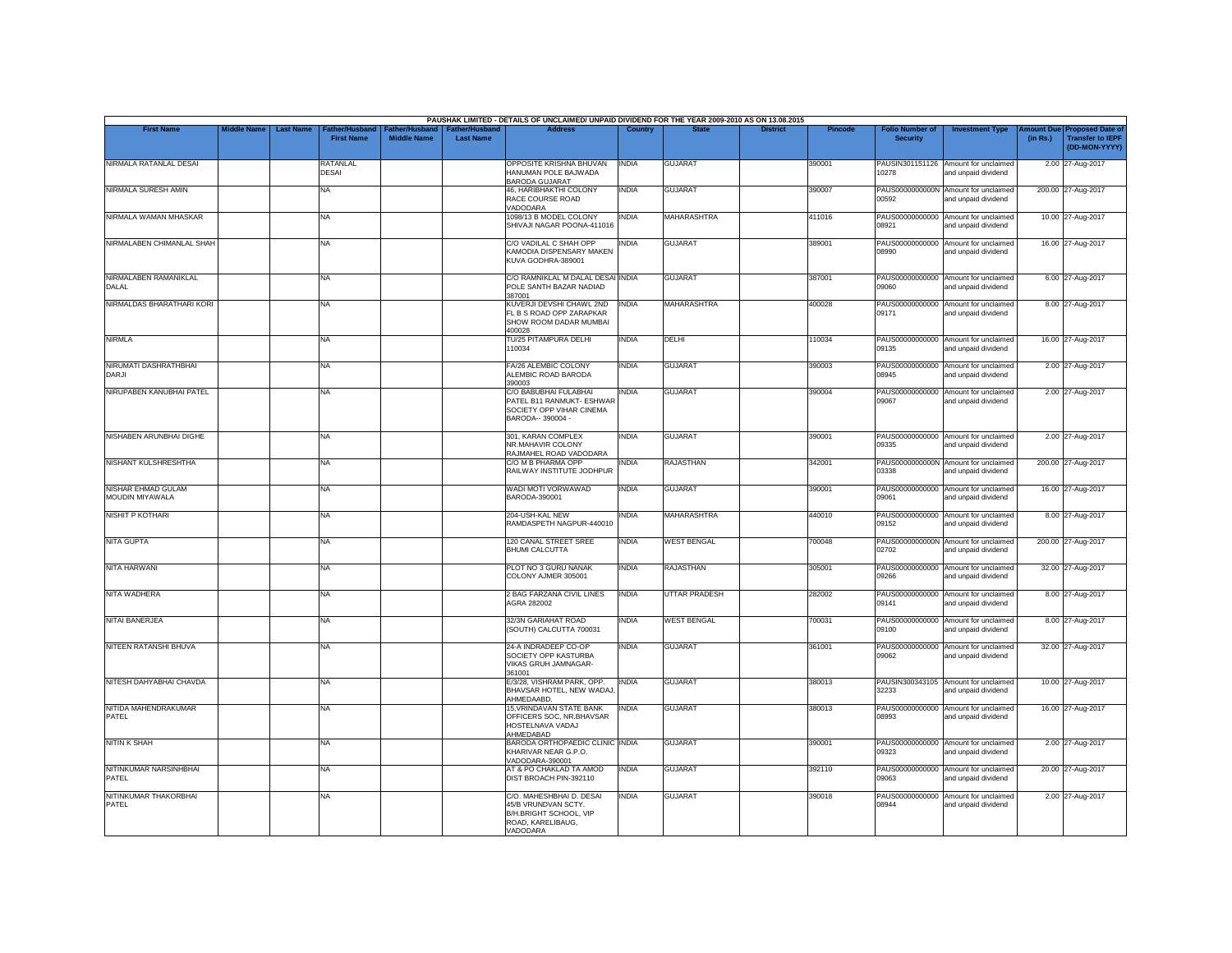|                                              |                    |                  |                                     |                                      |                                           | PAUSHAK LIMITED - DETAILS OF UNCLAIMED/ UNPAID DIVIDEND FOR THE YEAR 2009-2010 AS ON 13.08.2015            |                |                      |                 |                |                                           |                                                             |          |                                                                                |
|----------------------------------------------|--------------------|------------------|-------------------------------------|--------------------------------------|-------------------------------------------|------------------------------------------------------------------------------------------------------------|----------------|----------------------|-----------------|----------------|-------------------------------------------|-------------------------------------------------------------|----------|--------------------------------------------------------------------------------|
| <b>First Name</b>                            | <b>Middle Name</b> | <b>Last Name</b> | Father/Husband<br><b>First Name</b> | Father/Husband<br><b>Middle Name</b> | <b>Father/Husband</b><br><b>Last Name</b> | <b>Address</b>                                                                                             | <b>Country</b> | <b>State</b>         | <b>District</b> | <b>Pincode</b> | <b>Folio Number of</b><br><b>Security</b> | <b>Investment Type</b>                                      | (in Rs.) | <b>Amount Due Proposed Date of</b><br><b>Transfer to IEPF</b><br>(DD-MON-YYYY) |
| NIRMALA RATANLAL DESAI                       |                    |                  | RATANLAL<br>DESAI                   |                                      |                                           | OPPOSITE KRISHNA BHUVAN<br>HANUMAN POLE BAJWADA<br><b>BARODA GUJARAT</b>                                   | <b>INDIA</b>   | <b>GUJARAT</b>       |                 | 390001         | 10278                                     | PAUSIN301151126 Amount for unclaimed<br>and unpaid dividend |          | 2.00 27-Aug-2017                                                               |
| NIRMALA SURESH AMIN                          |                    |                  | <b>NA</b>                           |                                      |                                           | 46. HARIBHAKTHI COLONY<br>RACE COURSE ROAD<br>VADODARA                                                     | <b>INDIA</b>   | <b>GUJARAT</b>       |                 | 390007         | 00592                                     | PAUS0000000000N Amount for unclaimed<br>and unpaid dividend |          | 200.00 27-Aug-2017                                                             |
| NIRMALA WAMAN MHASKAR                        |                    |                  | <b>NA</b>                           |                                      |                                           | 1098/13 B MODEL COLONY<br>SHIVAJI NAGAR POONA-411016                                                       | <b>INDIA</b>   | <b>MAHARASHTRA</b>   |                 | 411016         | PAUS00000000000<br>08921                  | Amount for unclaimed<br>and unpaid dividend                 |          | 10.00 27-Aug-2017                                                              |
| NIRMALABEN CHIMANLAL SHAH                    |                    |                  | <b>NA</b>                           |                                      |                                           | C/O VADILAL C SHAH OPP<br>KAMODIA DISPENSARY MAKEN<br>KUVA GODHRA-389001                                   | <b>INDIA</b>   | <b>GUJARAT</b>       |                 | 389001         | 08990                                     | PAUS00000000000 Amount for unclaimed<br>and unpaid dividend |          | 16.00 27-Aug-2017                                                              |
| NIRMALABEN RAMANIKLAL<br>DALAL               |                    |                  | NA                                  |                                      |                                           | C/O RAMNIKLAL M DALAL DESAI INDIA<br>POLE SANTH BAZAR NADIAD<br>387001                                     |                | <b>GUJARAT</b>       |                 | 387001         | 03090                                     | PAUS00000000000 Amount for unclaimed<br>and unpaid dividend |          | 6.00 27-Aug-2017                                                               |
| NIRMALDAS BHARATHARI KORI                    |                    |                  | <b>NA</b>                           |                                      |                                           | KUVERJI DEVSHI CHAWL 2ND<br>FL B S ROAD OPP ZARAPKAR<br>SHOW ROOM DADAR MUMBAI<br>400028                   | <b>INDIA</b>   | MAHARASHTRA          |                 | 400028         | PAUS00000000000<br>09171                  | Amount for unclaimed<br>and unpaid dividend                 |          | 8.00 27-Aug-2017                                                               |
| <b>NIRMLA</b>                                |                    |                  | <b>NA</b>                           |                                      |                                           | TU/25 PITAMPURA DELHI<br>110034                                                                            | <b>INDIA</b>   | DELHI                |                 | 110034         | 09135                                     | PAUS00000000000 Amount for unclaimed<br>and unpaid dividend |          | 16.00 27-Aug-2017                                                              |
| NIRUMATI DASHRATHBHAI<br>DARJI               |                    |                  | <b>NA</b>                           |                                      |                                           | FA/26 ALEMBIC COLONY<br>ALEMBIC ROAD BARODA<br>390003                                                      | <b>INDIA</b>   | <b>GUJARAT</b>       |                 | 390003         | 08945                                     | PAUS00000000000 Amount for unclaimed<br>and unpaid dividend |          | 2.00 27-Aug-2017                                                               |
| NIRUPABEN KANUBHAI PATEL                     |                    |                  | <b>NA</b>                           |                                      |                                           | C/O BABUBHAI FULABHAI<br>PATEL B11 RANMUKT- ESHWAR<br>SOCIETY OPP VIHAR CINEMA<br>BARODA-- 390004 -        | <b>INDIA</b>   | <b>GUJARAT</b>       |                 | 390004         | 09067                                     | PAUS00000000000 Amount for unclaimed<br>and unpaid dividend |          | 2.00 27-Aug-2017                                                               |
| NISHABEN ARUNBHAI DIGHE                      |                    |                  | <b>NA</b>                           |                                      |                                           | 301, KARAN COMPLEX<br>NR.MAHAVIR COLONY<br>RAJMAHEL ROAD VADODARA                                          | <b>INDIA</b>   | <b>GUJARAT</b>       |                 | 390001         | 09335                                     | PAUS00000000000 Amount for unclaimed<br>and unpaid dividend |          | 2.00 27-Aug-2017                                                               |
| NISHANT KULSHRESHTHA                         |                    |                  | <b>NA</b>                           |                                      |                                           | C/O M B PHARMA OPF<br>RAILWAY INSTITUTE JODHPUR                                                            | <b>INDIA</b>   | <b>RAJASTHAN</b>     |                 | 342001         | 03338                                     | PAUS0000000000N Amount for unclaimed<br>and unpaid dividend |          | 200.00 27-Aug-2017                                                             |
| <b>NISHAR EHMAD GULAM</b><br>MOUDIN MIYAWALA |                    |                  | <b>NA</b>                           |                                      |                                           | WADI MOTI VORWAWAD<br>BARODA-390001                                                                        | <b>INDIA</b>   | <b>GUJARAT</b>       |                 | 390001         | 09061                                     | PAUS00000000000 Amount for unclaimed<br>and unpaid dividend |          | 16.00 27-Aug-2017                                                              |
| <b>NISHIT P KOTHARI</b>                      |                    |                  | <b>NA</b>                           |                                      |                                           | 204-USH-KAL NEW<br>RAMDASPETH NAGPUR-440010                                                                | <b>INDIA</b>   | <b>MAHARASHTRA</b>   |                 | 440010         | PAUS00000000000<br>09152                  | Amount for unclaimed<br>and unpaid dividend                 |          | 8.00 27-Aug-2017                                                               |
| <b>NITA GUPTA</b>                            |                    |                  | <b>NA</b>                           |                                      |                                           | 120 CANAL STREET SREE<br><b>BHUMI CALCUTTA</b>                                                             | <b>INDIA</b>   | <b>WEST BENGAL</b>   |                 | 700048         | 02702                                     | PAUS0000000000N Amount for unclaimed<br>and unpaid dividend |          | 200.00 27-Aug-2017                                                             |
| <b>NITA HARWANI</b>                          |                    |                  | <b>NA</b>                           |                                      |                                           | PLOT NO 3 GURU NANAK<br>COLONY AJMER 305001                                                                | <b>INDIA</b>   | <b>RAJASTHAN</b>     |                 | 305001         | 09266                                     | PAUS00000000000 Amount for unclaimed<br>and unpaid dividend |          | 32.00 27-Aug-2017                                                              |
| <b>NITA WADHERA</b>                          |                    |                  | <b>NA</b>                           |                                      |                                           | 2 BAG FARZANA CIVIL LINES<br>AGRA 282002                                                                   | <b>INDIA</b>   | <b>UTTAR PRADESH</b> |                 | 282002         | 09141                                     | PAUS00000000000 Amount for unclaimed<br>and unpaid dividend |          | 8.00 27-Aug-2017                                                               |
| <b>NITAI BANERJEA</b>                        |                    |                  | <b>NA</b>                           |                                      |                                           | 32/3N GARIAHAT ROAD<br>(SOUTH) CALCUTTA 700031                                                             | <b>INDIA</b>   | <b>WEST BENGAL</b>   |                 | 700031         | PAUS00000000000<br>09100                  | Amount for unclaimed<br>and unpaid dividend                 |          | 8.00 27-Aug-2017                                                               |
| <b>NITEEN RATANSHI BHUVA</b>                 |                    |                  | <b>NA</b>                           |                                      |                                           | 24-A INDRADEEP CO-OP<br>SOCIETY OPP KASTURBA<br>VIKAS GRUH JAMNAGAR-<br>361001                             | <b>INDIA</b>   | <b>GUJARAT</b>       |                 | 361001         | 09062                                     | PAUS00000000000 Amount for unclaimed<br>and unpaid dividend |          | 32.00 27-Aug-2017                                                              |
| NITESH DAHYABHAI CHAVDA                      |                    |                  | <b>NA</b>                           |                                      |                                           | E/3/28, VISHRAM PARK, OPP.<br>BHAVSAR HOTEL. NEW WADAJ<br>AHMEDAABD.                                       | <b>INDIA</b>   | <b>GUJARAT</b>       |                 | 380013         | 32233                                     | PAUSIN300343105 Amount for unclaimed<br>and unpaid dividend |          | 10.00 27-Aug-2017                                                              |
| NITIDA MAHENDRAKUMAR<br>PATEL                |                    |                  | <b>NA</b>                           |                                      |                                           | 15, VRINDAVAN STATE BANK<br>OFFICERS SOC, NR.BHAVSAR<br>HOSTELNAVA VADAJ<br>AHMEDABAD                      | <b>INDIA</b>   | <b>GUJARAT</b>       |                 | 380013         | PAUS00000000000<br>08993                  | Amount for unclaimed<br>and unpaid dividend                 |          | 16.00 27-Aug-2017                                                              |
| <b>NITIN K SHAH</b>                          |                    |                  | <b>NA</b>                           |                                      |                                           | BARODA ORTHOPAEDIC CLINIC INDIA<br>KHARIVAR NEAR G.P.O.<br>VADODARA-390001                                 |                | <b>GUJARAT</b>       |                 | 390001         | 09323                                     | PAUS00000000000 Amount for unclaimed<br>and unpaid dividend |          | 2.00 27-Aug-2017                                                               |
| NITINKUMAR NARSINHBHAI<br>PATEL              |                    |                  | <b>NA</b>                           |                                      |                                           | AT & PO CHAKLAD TA AMOD<br>DIST BROACH PIN-392110                                                          | <b>INDIA</b>   | <b>GUJARAT</b>       |                 | 392110         | PAUS00000000000<br>09063                  | Amount for unclaimed<br>and unpaid dividend                 |          | 20.00 27-Aug-2017                                                              |
| NITINKUMAR THAKORBHAI<br>PATEL               |                    |                  | NA.                                 |                                      |                                           | C/O. MAHESHBHAI D. DESAI<br>45/B VRUNDVAN SCTY.<br>B/H.BRIGHT SCHOOL, VIP<br>ROAD, KARELIBAUG.<br>VADODARA | <b>INDIA</b>   | <b>GUJARAT</b>       |                 | 390018         | 08944                                     | PAUS00000000000 Amount for unclaimed<br>and unpaid dividend |          | 2.00 27-Aug-2017                                                               |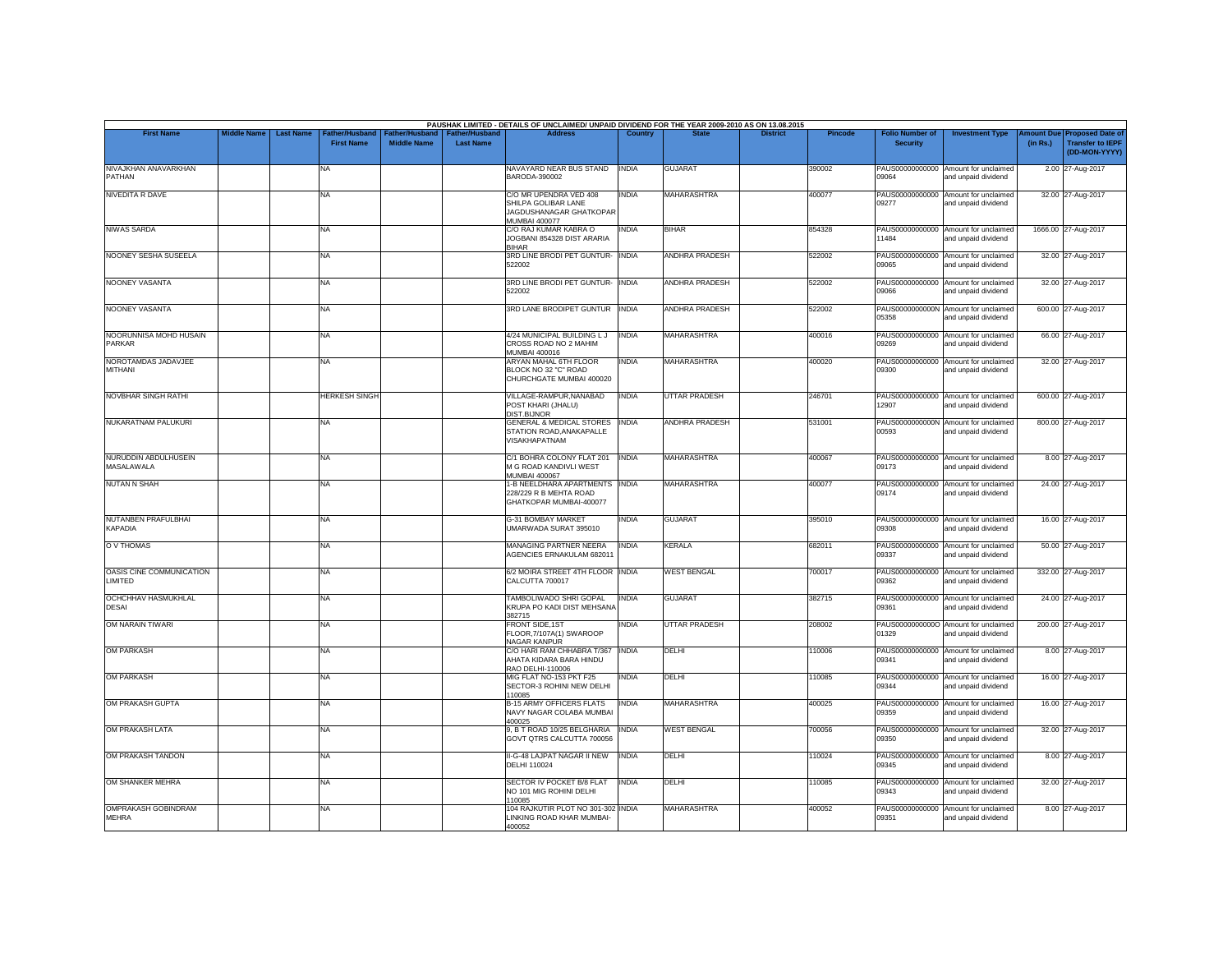| <b>First Name</b>                          | <b>Middle Name</b> | <b>Last Name</b> | Father/Husband       |                    | Father/Husband   Father/Husband | PAUSHAK LIMITED - DETAILS OF UNCLAIMED/ UNPAID DIVIDEND FOR THE YEAR 2009-2010 AS ON 13.08.2015<br><b>Address</b> | Country      |                       | <b>District</b> | <b>Pincode</b> | <b>Folio Number of</b>   | <b>Investment Type</b>                                      |          | Amount Due Proposed Date of              |
|--------------------------------------------|--------------------|------------------|----------------------|--------------------|---------------------------------|-------------------------------------------------------------------------------------------------------------------|--------------|-----------------------|-----------------|----------------|--------------------------|-------------------------------------------------------------|----------|------------------------------------------|
|                                            |                    |                  | <b>First Name</b>    | <b>Middle Name</b> | <b>Last Name</b>                |                                                                                                                   |              |                       |                 |                | <b>Security</b>          |                                                             | (in Rs.) | <b>Transfer to IEPI</b><br>(DD-MON-YYYY) |
| NIVAJKHAN ANAVARKHAN<br>PATHAN             |                    |                  | NA                   |                    |                                 | NAVAYARD NEAR BUS STAND<br>BARODA-390002                                                                          | <b>INDIA</b> | <b>GUJARAT</b>        |                 | 390002         | 09064                    | PAUS00000000000 Amount for unclaimed<br>and unpaid dividend |          | 2.00 27-Aug-2017                         |
| <b>NIVEDITA R DAVE</b>                     |                    |                  | <b>NA</b>            |                    |                                 | C/O MR UPENDRA VED 408<br>SHILPA GOLIBAR LANE<br>JAGDUSHANAGAR GHATKOPAR<br><b>MUMBAI 400077</b>                  | <b>INDIA</b> | <b>MAHARASHTRA</b>    |                 | 400077         | PAUS00000000000<br>09277 | Amount for unclaimed<br>and unpaid dividend                 |          | 32.00 27-Aug-2017                        |
| <b>NIWAS SARDA</b>                         |                    |                  | <b>NA</b>            |                    |                                 | C/O RAJ KUMAR KABRA O<br>JOGBANI 854328 DIST ARARIA<br><b>BIHAR</b>                                               | <b>INDIA</b> | <b>BIHAR</b>          |                 | 854328         | 11484                    | PAUS00000000000 Amount for unclaimed<br>and unpaid dividend |          | 1666.00 27-Aug-2017                      |
| NOONEY SESHA SUSEELA                       |                    |                  | <b>NA</b>            |                    |                                 | 3RD LINE BRODI PET GUNTUR- INDIA<br>522002                                                                        |              | <b>ANDHRA PRADESH</b> |                 | 522002         | 09065                    | PAUS00000000000 Amount for unclaimed<br>and unpaid dividend |          | 32.00 27-Aug-2017                        |
| NOONEY VASANTA                             |                    |                  | <b>NA</b>            |                    |                                 | 3RD LINE BRODI PET GUNTUR- INDIA<br>522002                                                                        |              | ANDHRA PRADESH        |                 | 522002         | 33090                    | PAUS00000000000 Amount for unclaimed<br>and unpaid dividend |          | 32.00 27-Aug-2017                        |
| NOONEY VASANTA                             |                    |                  | <b>NA</b>            |                    |                                 | 3RD LANE BRODIPET GUNTUR INDIA                                                                                    |              | <b>ANDHRA PRADESH</b> |                 | 522002         | 05358                    | PAUS0000000000N Amount for unclaimed<br>and unpaid dividend |          | 600.00 27-Aug-2017                       |
| NOORUNNISA MOHD HUSAIN<br><b>PARKAR</b>    |                    |                  | NA                   |                    |                                 | 4/24 MUNICIPAL BUILDING LJ<br>CROSS ROAD NO 2 MAHIM<br>MUMBAI 400016                                              | <b>INDIA</b> | <b>MAHARASHTRA</b>    |                 | 400016         | 09269                    | PAUS00000000000 Amount for unclaimed<br>and unpaid dividend |          | 66.00 27-Aug-2017                        |
| NOROTAMDAS JADAVJEE<br>MITHANI             |                    |                  | NA                   |                    |                                 | <b>ARYAN MAHAL 6TH FLOOR</b><br>BLOCK NO 32 "C" ROAD<br>CHURCHGATE MUMBAI 400020                                  | <b>INDIA</b> | <b>MAHARASHTRA</b>    |                 | 400020         | 09300                    | PAUS00000000000 Amount for unclaimed<br>and unpaid dividend |          | 32.00 27-Aug-2017                        |
| NOVBHAR SINGH RATHI                        |                    |                  | <b>HERKESH SINGH</b> |                    |                                 | VILLAGE-RAMPUR, NANABAD<br>POST KHARI (JHALU)<br>DIST.BIJNOR                                                      | <b>INDIA</b> | <b>UTTAR PRADESH</b>  |                 | 246701         | 12907                    | PAUS00000000000 Amount for unclaimed<br>and unpaid dividend |          | 600.00 27-Aug-2017                       |
| NUKARATNAM PALUKURI                        |                    |                  | <b>NA</b>            |                    |                                 | GENERAL & MEDICAL STORES INDIA<br>STATION ROAD, ANAKAPALLE<br><b>VISAKHAPATNAM</b>                                |              | ANDHRA PRADESH        |                 | 531001         | 00593                    | PAUS0000000000N Amount for unclaimed<br>and unpaid dividend |          | 800.00 27-Aug-2017                       |
| NURUDDIN ABDULHUSEIN<br>MASALAWALA         |                    |                  | <b>NA</b>            |                    |                                 | C/1 BOHRA COLONY FLAT 201<br>M G ROAD KANDIVLI WEST<br><b>MUMBAI 400067</b>                                       | <b>INDIA</b> | <b>MAHARASHTRA</b>    |                 | 400067         | 09173                    | PAUS00000000000 Amount for unclaimed<br>and unpaid dividend |          | 8.00 27-Aug-2017                         |
| <b>NUTAN N SHAH</b>                        |                    |                  | <b>NA</b>            |                    |                                 | 1-B NEELDHARA APARTMENTS INDIA<br>228/229 R B MEHTA ROAD<br>GHATKOPAR MUMBAI-400077                               |              | <b>MAHARASHTRA</b>    |                 | 400077         | 09174                    | PAUS00000000000 Amount for unclaimed<br>and unpaid dividend |          | 24.00 27-Aug-2017                        |
| NUTANBEN PRAFULBHAI<br><b>KAPADIA</b>      |                    |                  | NA                   |                    |                                 | G-31 BOMBAY MARKET<br>UMARWADA SURAT 395010                                                                       | <b>INDIA</b> | <b>GUJARAT</b>        |                 | 395010         | 09308                    | PAUS00000000000 Amount for unclaimed<br>and unpaid dividend |          | 16.00 27-Aug-2017                        |
| O V THOMAS                                 |                    |                  | <b>NA</b>            |                    |                                 | MANAGING PARTNER NEERA<br>AGENCIES ERNAKULAM 682011                                                               | <b>INDIA</b> | <b>KERALA</b>         |                 | 682011         | 09337                    | PAUS00000000000 Amount for unclaimed<br>hnebivib bironu bne |          | 50.00 27-Aug-2017                        |
| OASIS CINE COMMUNICATION<br>LIMITED        |                    |                  | <b>NA</b>            |                    |                                 | 6/2 MOIRA STREET 4TH FLOOR INDIA<br>CALCUTTA 700017                                                               |              | <b>WEST BENGAL</b>    |                 | 700017         | 09362                    | PAUS00000000000 Amount for unclaimed<br>and unpaid dividend |          | 332.00 27-Aug-2017                       |
| OCHCHHAV HASMUKHLAL<br><b>DESAI</b>        |                    |                  | <b>NA</b>            |                    |                                 | TAMBOLIWADO SHRI GOPAL<br>KRUPA PO KADI DIST MEHSANA<br>382715                                                    | <b>INDIA</b> | <b>GUJARAT</b>        |                 | 382715         | 09361                    | PAUS00000000000 Amount for unclaimed<br>and unpaid dividend |          | 24.00 27-Aug-2017                        |
| OM NARAIN TIWARI                           |                    |                  | NA                   |                    |                                 | FRONT SIDE, 1ST<br>FLOOR, 7/107A(1) SWAROOP<br>NAGAR KANPUR                                                       | <b>INDIA</b> | <b>UTTAR PRADESH</b>  |                 | 208002         | 01329                    | PAUS00000000000 Amount for unclaimed<br>and unpaid dividend |          | 200.00 27-Aug-2017                       |
| <b>OM PARKASH</b>                          |                    |                  | <b>NA</b>            |                    |                                 | C/O HARI RAM CHHABRA T/367 INDIA<br>AHATA KIDARA BARA HINDU<br>RAO DELHI-110006                                   |              | DELHI                 |                 | 110006         | 09341                    | PAUS00000000000 Amount for unclaimed<br>and unpaid dividend |          | 8.00 27-Aug-2017                         |
| <b>OM PARKASH</b>                          |                    |                  | <b>NA</b>            |                    |                                 | MIG FLAT NO-153 PKT F25<br>SECTOR-3 ROHINI NEW DELHI<br>110085                                                    | INDIA        | DELHI                 |                 | 110085         | 09344                    | PAUS00000000000 Amount for unclaimed<br>and unpaid dividend |          | 16.00 27-Aug-2017                        |
| OM PRAKASH GUPTA                           |                    |                  | <b>NA</b>            |                    |                                 | <b>B-15 ARMY OFFICERS FLATS</b><br>NAVY NAGAR COLABA MUMBAI<br>400025                                             | <b>INDIA</b> | <b>MAHARASHTRA</b>    |                 | 400025         | 09359                    | PAUS00000000000 Amount for unclaimed<br>and unpaid dividend |          | 16.00 27-Aug-2017                        |
| OM PRAKASH LATA                            |                    |                  | NA                   |                    |                                 | 9, B T ROAD 10/25 BELGHARIA INDIA<br>GOVT QTRS CALCUTTA 700056                                                    |              | <b>WEST BENGAL</b>    |                 | 700056         | 09350                    | PAUS00000000000 Amount for unclaimed<br>and unpaid dividend |          | 32.00 27-Aug-2017                        |
| OM PRAKASH TANDON                          |                    |                  | <b>NA</b>            |                    |                                 | II-G-48 LAJPAT NAGAR II NEW INDIA<br><b>DELHI 110024</b>                                                          |              | DELHI                 |                 | 110024         | 09345                    | PAUS00000000000 Amount for unclaimed<br>and unpaid dividend |          | 8.00 27-Aug-2017                         |
| OM SHANKER MEHRA                           |                    |                  | <b>NA</b>            |                    |                                 | SECTOR IV POCKET B/8 FLAT<br>NO 101 MIG ROHINI DELHI<br>110085                                                    | <b>INDIA</b> | DELHI                 |                 | 110085         | PAUS00000000000<br>09343 | Amount for unclaimed<br>and unpaid dividend                 |          | 32.00 27-Aug-2017                        |
| <b>OMPRAKASH GOBINDRAM</b><br><b>MEHRA</b> |                    |                  | <b>NA</b>            |                    |                                 | 104 RAJKUTIR PLOT NO 301-302 INDIA<br>LINKING ROAD KHAR MUMBAI-<br>400052                                         |              | <b>MAHARASHTRA</b>    |                 | 400052         | 09351                    | PAUS00000000000 Amount for unclaimed<br>and unpaid dividend |          | 8.00 27-Aug-2017                         |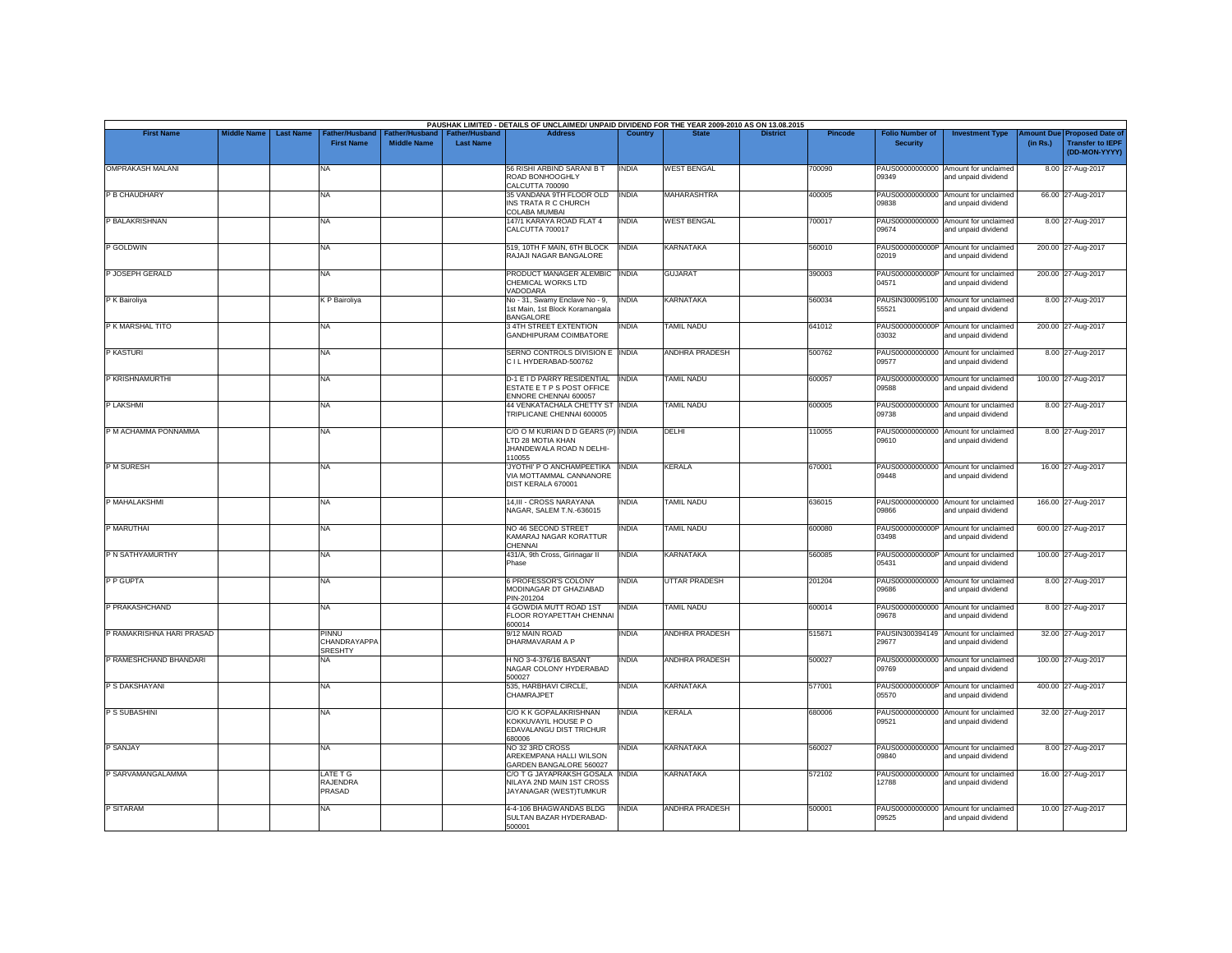| <b>First Name</b>         | <b>Middle Name</b> | <b>Last Name</b> | <b>Father/Husband</b>                   |                                | <b>Father/Hushand</b> | PAUSHAK LIMITED - DETAILS OF UNCLAIMED/ UNPAID DIVIDEND FOR THE YEAR 2009-2010 AS ON 13.08.2015<br><b>Address</b> | Country      |                       |                 | Pincode | <b>Folio Number of</b>   |                                                             | mount Due |                                                                     |
|---------------------------|--------------------|------------------|-----------------------------------------|--------------------------------|-----------------------|-------------------------------------------------------------------------------------------------------------------|--------------|-----------------------|-----------------|---------|--------------------------|-------------------------------------------------------------|-----------|---------------------------------------------------------------------|
|                           |                    |                  | <b>First Name</b>                       | ather/Hu<br><b>Middle Name</b> | <b>Last Name</b>      |                                                                                                                   |              |                       | <b>District</b> |         | <b>Security</b>          | <b>Investment Type</b>                                      | (in Rs.)  | <b>Proposed Date of</b><br><b>Transfer to IEPF</b><br>(DD-MON-YYYY) |
| <b>OMPRAKASH MALANI</b>   |                    |                  | NA                                      |                                |                       | 56 RISHI ARBIND SARANI B T<br>ROAD BONHOOGHLY<br>CALCUTTA 700090                                                  | <b>INDIA</b> | <b>WEST BENGAL</b>    |                 | 700090  | PAUS00000000000<br>19349 | Amount for unclaimed<br>and unpaid dividend                 |           | 8.00 27-Aug-2017                                                    |
| P B CHAUDHARY             |                    |                  | NA                                      |                                |                       | 35 VANDANA 9TH FLOOR OLD<br>INS TRATA R C CHURCH<br>COLABA MUMBAI                                                 | <b>INDIA</b> | <b>MAHARASHTRA</b>    |                 | 400005  | PAUS00000000000<br>09838 | Amount for unclaimed<br>and unpaid dividend                 |           | 66.00 27-Aug-2017                                                   |
| P BALAKRISHNAN            |                    |                  | NA                                      |                                |                       | 147/1 KARAYA ROAD FLAT 4<br>CALCUTTA 700017                                                                       | <b>INDIA</b> | <b>WEST BENGAL</b>    |                 | 700017  | 09674                    | PAUS00000000000 Amount for unclaimed<br>and unpaid dividend |           | 8.00 27-Aug-2017                                                    |
| P GOLDWIN                 |                    |                  | NA                                      |                                |                       | 519, 10TH F MAIN, 6TH BLOCK<br>RAJAJI NAGAR BANGALORE                                                             | <b>INDIA</b> | KARNATAKA             |                 | 560010  | PAUS0000000000P<br>02019 | Amount for unclaimed<br>and unpaid dividend                 |           | 200.00 27-Aug-2017                                                  |
| P JOSEPH GERALD           |                    |                  | NA.                                     |                                |                       | PRODUCT MANAGER ALEMBIC   INDIA<br>CHEMICAL WORKS LTD<br>VADODARA                                                 |              | <b>GUJARAT</b>        |                 | 390003  | PAUS0000000000P<br>04571 | Amount for unclaimed<br>and unpaid dividend                 |           | 200.00 27-Aug-2017                                                  |
| P K Bairoliya             |                    |                  | K P Bairoliya                           |                                |                       | No - 31, Swamy Enclave No - 9,<br>1st Main, 1st Block Koramangala<br>BANGALORE                                    | <b>INDIA</b> | KARNATAKA             |                 | 560034  | PAUSIN300095100<br>55521 | Amount for unclaimed<br>and unpaid dividend                 |           | 8.00 27-Aug-2017                                                    |
| P K MARSHAL TITO          |                    |                  | NA                                      |                                |                       | 3 4TH STREET EXTENTION<br>GANDHIPURAM COIMBATORE                                                                  | <b>INDIA</b> | <b>TAMIL NADU</b>     |                 | 641012  | PAUS0000000000P<br>03032 | Amount for unclaimed<br>and unpaid dividend                 |           | 200.00 27-Aug-2017                                                  |
| P KASTURI                 |                    |                  | NA                                      |                                |                       | SERNO CONTROLS DIVISION E INDIA<br>C I L HYDERABAD-500762                                                         |              | <b>ANDHRA PRADESH</b> |                 | 500762  | PAUS00000000000<br>09577 | Amount for unclaimed<br>and unpaid dividend                 |           | 8.00 27-Aug-2017                                                    |
| P KRISHNAMURTHI           |                    |                  | NA                                      |                                |                       | D-1 E I D PARRY RESIDENTIAL INDIA<br>ESTATE E T P S POST OFFICE<br>ENNORE CHENNAI 600057                          |              | <b>TAMIL NADU</b>     |                 | 600057  | PAUS00000000000<br>09588 | Amount for unclaimed<br>and unpaid dividend                 |           | 100.00 27-Aug-2017                                                  |
| P LAKSHMI                 |                    |                  | NA                                      |                                |                       | 44 VENKATACHALA CHETTY ST INDIA<br>TRIPLICANE CHENNAI 600005                                                      |              | <b>TAMIL NADU</b>     |                 | 600005  | PAUS00000000000<br>09738 | Amount for unclaimed<br>and unpaid dividend                 |           | 8.00 27-Aug-2017                                                    |
| P M ACHAMMA PONNAMMA      |                    |                  | NA                                      |                                |                       | C/O O M KURIAN D D GEARS (P) INDIA<br>LTD 28 MOTIA KHAN<br>JHANDEWALA ROAD N DELHI-<br>110055                     |              | <b>DELHI</b>          |                 | 110055  | 09610                    | PAUS00000000000 Amount for unclaimed<br>and unpaid dividend |           | 8.00 27-Aug-2017                                                    |
| P M SURESH                |                    |                  | NA                                      |                                |                       | JYOTHI' P O ANCHAMPEETIKA INDIA<br>VIA MOTTAMMAL CANNANORE<br>DIST KERALA 670001                                  |              | KERALA                |                 | 670001  | 09448                    | PAUS00000000000 Amount for unclaimed<br>and unpaid dividend |           | 16.00 27-Aug-2017                                                   |
| P MAHALAKSHMI             |                    |                  | NA.                                     |                                |                       | 14,III - CROSS NARAYANA<br>NAGAR, SALEM T.N.-636015                                                               | <b>INDIA</b> | <b>TAMIL NADU</b>     |                 | 636015  | 33890                    | PAUS00000000000 Amount for unclaimed<br>and unpaid dividend |           | 166.00 27-Aug-2017                                                  |
| P MARUTHAI                |                    |                  | NA                                      |                                |                       | NO 46 SECOND STREET<br>KAMARAJ NAGAR KORATTUR<br>CHENNAI                                                          | INDIA        | <b>TAMIL NADU</b>     |                 | 600080  | 03498                    | PAUS0000000000P Amount for unclaimed<br>and unpaid dividend |           | 600.00 27-Aug-2017                                                  |
| P N SATHYAMURTHY          |                    |                  | NA                                      |                                |                       | 431/A, 9th Cross, Girinagar II<br>Phase                                                                           | <b>INDIA</b> | KARNATAKA             |                 | 560085  | PAUS0000000000P<br>05431 | Amount for unclaimed<br>and unpaid dividend                 |           | 100.00 27-Aug-2017                                                  |
| P P GUPTA                 |                    |                  | NA                                      |                                |                       | 6 PROFESSOR'S COLONY<br>MODINAGAR DT GHAZIABAD<br>PIN-201204                                                      | <b>INDIA</b> | UTTAR PRADESH         |                 | 201204  | PAUS00000000000<br>09686 | Amount for unclaimed<br>and unpaid dividend                 |           | 8.00 27-Aug-2017                                                    |
| P PRAKASHCHAND            |                    |                  | NA                                      |                                |                       | 4 GOWDIA MUTT ROAD 1ST<br><b>FLOOR ROYAPETTAH CHENNAL</b><br>600014                                               | <b>INDIA</b> | <b>TAMIL NADU</b>     |                 | 600014  | PAUS00000000000<br>09678 | Amount for unclaimed<br>and unpaid dividend                 |           | 8.00 27-Aug-2017                                                    |
| P RAMAKRISHNA HARI PRASAD |                    |                  | PINNU<br>CHANDRAYAPPA<br><b>SRESHTY</b> |                                |                       | 9/12 MAIN ROAD<br>DHARMAVARAM A P                                                                                 | <b>INDIA</b> | <b>ANDHRA PRADESH</b> |                 | 515671  | 29677                    | PAUSIN300394149 Amount for unclaimed<br>and unpaid dividend |           | 32.00 27-Aug-2017                                                   |
| P RAMESHCHAND BHANDARI    |                    |                  | NA                                      |                                |                       | H NO 3-4-376/16 BASANT<br>NAGAR COLONY HYDERABAD<br>500027                                                        | <b>INDIA</b> | <b>ANDHRA PRADESH</b> |                 | 500027  | PAUS00000000000<br>09769 | Amount for unclaimed<br>and unpaid dividend                 |           | 100.00 27-Aug-2017                                                  |
| P S DAKSHAYANI            |                    |                  | <b>NA</b>                               |                                |                       | 535, HARBHAVI CIRCLE,<br>CHAMRAJPET                                                                               | <b>INDIA</b> | <b>KARNATAKA</b>      |                 | 577001  | PAUS0000000000P<br>05570 | Amount for unclaimed<br>and unpaid dividend                 |           | 400.00 27-Aug-2017                                                  |
| P S SUBASHINI             |                    |                  | NA.                                     |                                |                       | C/O K K GOPALAKRISHNAN<br>KOKKUVAYIL HOUSE P O<br>EDAVALANGU DIST TRICHUR<br>680006                               | <b>INDIA</b> | KERALA                |                 | 680006  | PAUS00000000000<br>09521 | Amount for unclaimed<br>and unpaid dividend                 |           | 32.00 27-Aug-2017                                                   |
| P SANJAY                  |                    |                  | NA                                      |                                |                       | NO 32 3RD CROSS<br>AREKEMPANA HALLI WILSON<br>GARDEN BANGALORE 560027                                             | <b>INDIA</b> | KARNATAKA             |                 | 560027  | 09840                    | PAUS00000000000 Amount for unclaimed<br>and unpaid dividend |           | 8.00 27-Aug-2017                                                    |
| P SARVAMANGALAMMA         |                    |                  | LATE T G<br><b>RAJENDRA</b><br>PRASAD   |                                |                       | C/O T G JAYAPRAKSH GOSALA<br>NILAYA 2ND MAIN 1ST CROSS<br>JAYANAGAR (WEST)TUMKUR                                  | <b>INDIA</b> | KARNATAKA             |                 | 572102  | PAUS00000000000<br>12788 | Amount for unclaimed<br>and unpaid dividend                 |           | 16.00 27-Aug-2017                                                   |
| P SITARAM                 |                    |                  | <b>NA</b>                               |                                |                       | 4-4-106 BHAGWANDAS BLDG<br>SULTAN BAZAR HYDERABAD-<br>500001                                                      | <b>INDIA</b> | <b>ANDHRA PRADESH</b> |                 | 500001  | 09525                    | PAUS00000000000 Amount for unclaimed<br>and unpaid dividend |           | 10.00 27-Aug-2017                                                   |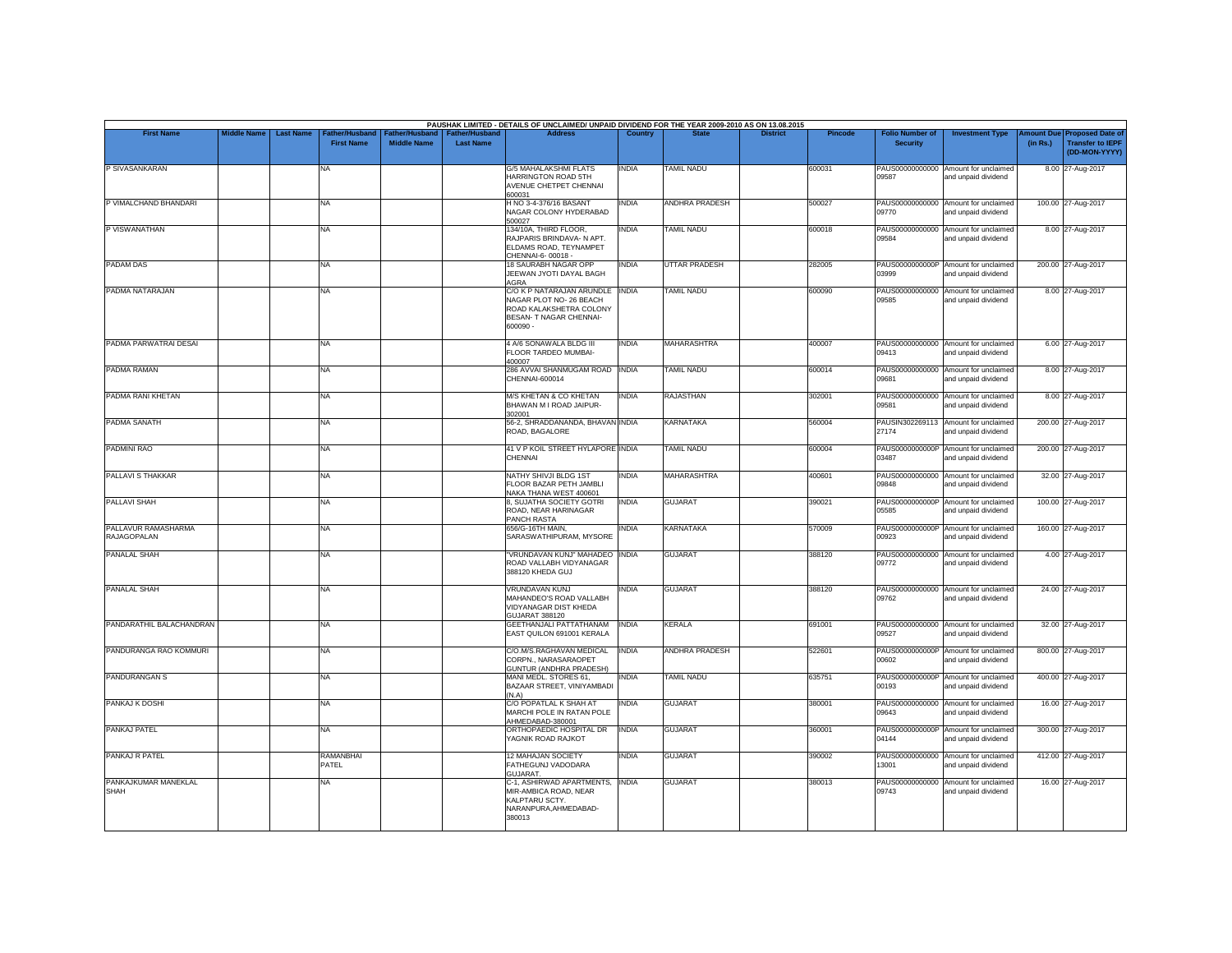| <b>First Name</b>                         | <b>Middle Name</b> | <b>Last Name</b> | Father/Husband    |                    | Father/Husband   Father/Husband | PAUSHAK LIMITED - DETAILS OF UNCLAIMED/ UNPAID DIVIDEND FOR THE YEAR 2009-2010 AS ON 13.08.2015<br><b>Address</b>            | Country      |                       | <b>District</b> | <b>Pincode</b> | <b>Folio Number of</b>   | <b>Investment Type</b>                                      |          | Amount Due Proposed Date of              |
|-------------------------------------------|--------------------|------------------|-------------------|--------------------|---------------------------------|------------------------------------------------------------------------------------------------------------------------------|--------------|-----------------------|-----------------|----------------|--------------------------|-------------------------------------------------------------|----------|------------------------------------------|
|                                           |                    |                  | <b>First Name</b> | <b>Middle Name</b> | <b>Last Name</b>                |                                                                                                                              |              |                       |                 |                | <b>Security</b>          |                                                             | (in Rs.) | <b>Transfer to IEPF</b><br>(DD-MON-YYYY) |
| P SIVASANKARAN                            |                    | NA               |                   |                    |                                 | <b>G/5 MAHALAKSHMI FLATS</b><br>HARRINGTON ROAD 5TH<br>AVENUE CHETPET CHENNAI<br>600031                                      | <b>INDIA</b> | <b>TAMIL NADU</b>     |                 | 600031         | 09587                    | PAUS00000000000 Amount for unclaimed<br>and unpaid dividend |          | 8.00 27-Aug-2017                         |
| P VIMALCHAND BHANDARI                     |                    | <b>NA</b>        |                   |                    |                                 | H NO 3-4-376/16 BASANT<br>NAGAR COLONY HYDERABAD<br>500027                                                                   | <b>INDIA</b> | <b>ANDHRA PRADESH</b> |                 | 500027         | 09770                    | PAUS00000000000 Amount for unclaimed<br>and unpaid dividend |          | 100.00 27-Aug-2017                       |
| P VISWANATHAN                             |                    | <b>NA</b>        |                   |                    |                                 | 134/10A, THIRD FLOOR,<br>RAJPARIS BRINDAVA- N APT.<br>ELDAMS ROAD, TEYNAMPET<br>CHENNAI-6-00018 -                            | <b>INDIA</b> | <b>TAMIL NADU</b>     |                 | 600018         | 09584                    | PAUS00000000000 Amount for unclaimed<br>and unpaid dividend |          | 8.00 27-Aug-2017                         |
| <b>PADAM DAS</b>                          |                    | <b>NA</b>        |                   |                    |                                 | 18 SAURABH NAGAR OPP<br>JEEWAN JYOTI DAYAL BAGH<br>AGRA                                                                      | <b>INDIA</b> | <b>UTTAR PRADESH</b>  |                 | 282005         | 03999                    | PAUS0000000000P Amount for unclaimed<br>and unpaid dividend |          | 200.00 27-Aug-2017                       |
| PADMA NATARAJAN                           |                    | <b>NA</b>        |                   |                    |                                 | C/O K P NATARAJAN ARUNDLE INDIA<br>NAGAR PLOT NO- 26 BEACH<br>ROAD KALAKSHETRA COLONY<br>BESAN- T NAGAR CHENNAI-<br>600090 - |              | <b>TAMIL NADU</b>     |                 | 600090         | 09585                    | PAUS00000000000 Amount for unclaimed<br>and unpaid dividend |          | 8.00 27-Aug-2017                         |
| PADMA PARWATRAI DESAI                     |                    | <b>NA</b>        |                   |                    |                                 | 4 A/6 SONAWALA BLDG III<br>FLOOR TARDEO MUMBAI-<br>400007                                                                    | <b>INDIA</b> | MAHARASHTRA           |                 | 400007         | 09413                    | PAUS00000000000 Amount for unclaimed<br>and unpaid dividend |          | 6.00 27-Aug-2017                         |
| PADMA RAMAN                               |                    | <b>NA</b>        |                   |                    |                                 | 286 AVVAI SHANMUGAM ROAD INDIA<br>CHENNAI-600014                                                                             |              | <b>TAMIL NADU</b>     |                 | 600014         | 09681                    | PAUS00000000000 Amount for unclaimed<br>and unpaid dividend |          | 8.00 27-Aug-2017                         |
| PADMA RANI KHETAN                         |                    | <b>NA</b>        |                   |                    |                                 | M/S KHETAN & CO KHETAN<br>BHAWAN M I ROAD JAIPUR-<br>302001                                                                  | <b>INDIA</b> | <b>RAJASTHAN</b>      |                 | 302001         | 09581                    | PAUS00000000000 Amount for unclaimed<br>and unpaid dividend |          | 8.00 27-Aug-2017                         |
| PADMA SANATH                              |                    | <b>NA</b>        |                   |                    |                                 | 56-2, SHRADDANANDA, BHAVAN INDIA<br>ROAD, BAGALORE                                                                           |              | <b>KARNATAKA</b>      |                 | 560004         | 27174                    | PAUSIN302269113 Amount for unclaimed<br>and unpaid dividend |          | 200.00 27-Aug-2017                       |
| <b>PADMINI RAO</b>                        |                    | <b>NA</b>        |                   |                    |                                 | 41 V P KOIL STREET HYLAPORE INDIA<br>CHENNAL                                                                                 |              | <b>TAMIL NADU</b>     |                 | 600004         | 03487                    | PAUS0000000000P Amount for unclaimed<br>and unpaid dividend |          | 200.00 27-Aug-2017                       |
| PALLAVI S THAKKAR                         |                    | <b>NA</b>        |                   |                    |                                 | NATHY SHIVJI BLDG 1ST<br>FLOOR BAZAR PETH JAMBLI<br>NAKA THANA WEST 400601                                                   | <b>INDIA</b> | <b>MAHARASHTRA</b>    |                 | 400601         | 09848                    | PAUS00000000000 Amount for unclaimed<br>and unpaid dividend |          | 32.00 27-Aug-2017                        |
| PALLAVI SHAH                              |                    | <b>NA</b>        |                   |                    |                                 | 8, SUJATHA SOCIETY GOTRI<br>ROAD, NEAR HARINAGAR<br>PANCH RASTA                                                              | <b>INDIA</b> | <b>GUJARAT</b>        |                 | 390021         | 05585                    | PAUS0000000000P Amount for unclaimed<br>and unpaid dividend |          | 100.00 27-Aug-2017                       |
| PALLAVUR RAMASHARMA<br><b>RAJAGOPALAN</b> |                    | <b>NA</b>        |                   |                    |                                 | 656/G-16TH MAIN,<br>SARASWATHIPURAM, MYSORE                                                                                  | INDIA        | <b>KARNATAKA</b>      |                 | 570009         | 00923                    | PAUS0000000000P Amount for unclaimed<br>and unpaid dividend |          | 160.00 27-Aug-2017                       |
| PANALAL SHAH                              |                    | <b>NA</b>        |                   |                    |                                 | "VRUNDAVAN KUNJ" MAHADEO INDIA<br>ROAD VALLABH VIDYANAGAR<br>388120 KHEDA GUJ                                                |              | <b>GUJARAT</b>        |                 | 388120         | 09772                    | PAUS00000000000 Amount for unclaimed<br>and unpaid dividend |          | 4.00 27-Aug-2017                         |
| <b>PANALAL SHAH</b>                       |                    | <b>NA</b>        |                   |                    |                                 | VRUNDAVAN KUNJ<br>MAHANDEO'S ROAD VALLABH<br>VIDYANAGAR DIST KHEDA<br><b>GUJARAT 388120</b>                                  | <b>INDIA</b> | <b>GUJARAT</b>        |                 | 388120         | PAUS00000000000<br>09762 | Amount for unclaimed<br>and unpaid dividend                 |          | 24.00 27-Aug-2017                        |
| PANDARATHIL BALACHANDRAN                  |                    | <b>NA</b>        |                   |                    |                                 | GEETHANJALI PATTATHANAM<br>EAST QUILON 691001 KERALA                                                                         | <b>INDIA</b> | <b>KERALA</b>         |                 | 691001         | 09527                    | PAUS00000000000 Amount for unclaimed<br>and unpaid dividend |          | 32.00 27-Aug-2017                        |
| PANDURANGA RAO KOMMURI                    |                    | <b>NA</b>        |                   |                    |                                 | C/O.M/S.RAGHAVAN MEDICAL<br>CORPN., NARASARAOPET<br>GUNTUR (ANDHRA PRADESH)                                                  | <b>INDIA</b> | <b>ANDHRA PRADESH</b> |                 | 522601         | 00602                    | PAUS0000000000P Amount for unclaimed<br>and unpaid dividend |          | 800.00 27-Aug-2017                       |
| <b>PANDURANGAN S</b>                      |                    | NA               |                   |                    |                                 | MANI MEDL. STORES 61,<br>BAZAAR STREET, VINIYAMBADI<br>(N.A)                                                                 | INDIA        | <b>TAMIL NADU</b>     |                 | 635751         | 00193                    | PAUS0000000000P Amount for unclaimed<br>and unpaid dividend |          | 400.00 27-Aug-2017                       |
| PANKAJ K DOSHI                            |                    | <b>NA</b>        |                   |                    |                                 | C/O POPATLAL K SHAH AT<br>MARCHI POLE IN RATAN POLE<br>AHMEDABAD-380001                                                      | <b>INDIA</b> | <b>GUJARAT</b>        |                 | 380001         | 09643                    | PAUS00000000000 Amount for unclaimed<br>and unpaid dividend |          | 16.00 27-Aug-2017                        |
| PANKAJ PATEL                              |                    | <b>NA</b>        |                   |                    |                                 | ORTHOPAEDIC HOSPITAL DR<br>YAGNIK ROAD RAJKOT                                                                                | <b>INDIA</b> | <b>GUJARAT</b>        |                 | 360001         | 04144                    | PAUS0000000000P Amount for unclaimed<br>and unpaid dividend |          | 300.00 27-Aug-2017                       |
| PANKAJ R PATEL                            |                    | PATEL            | <b>RAMANBHAI</b>  |                    |                                 | 12 MAHAJAN SOCIETY<br>FATHEGUNJ VADODARA<br>GUJARAT.                                                                         | <b>INDIA</b> | <b>GUJARAT</b>        |                 | 390002         | 13001                    | PAUS00000000000 Amount for unclaimed<br>and unpaid dividend |          | 412.00 27-Aug-2017                       |
| PANKAJKUMAR MANEKLAL<br><b>SHAH</b>       |                    | NA               |                   |                    |                                 | C-1, ASHIRWAD APARTMENTS, INDIA<br>MIR-AMBICA ROAD, NEAR<br>KALPTARU SCTY.<br>NARANPURA, AHMEDABAD-<br>380013                |              | <b>GUJARAT</b>        |                 | 380013         | PAUS00000000000<br>09743 | Amount for unclaimed<br>and unpaid dividend                 |          | 16.00 27-Aug-2017                        |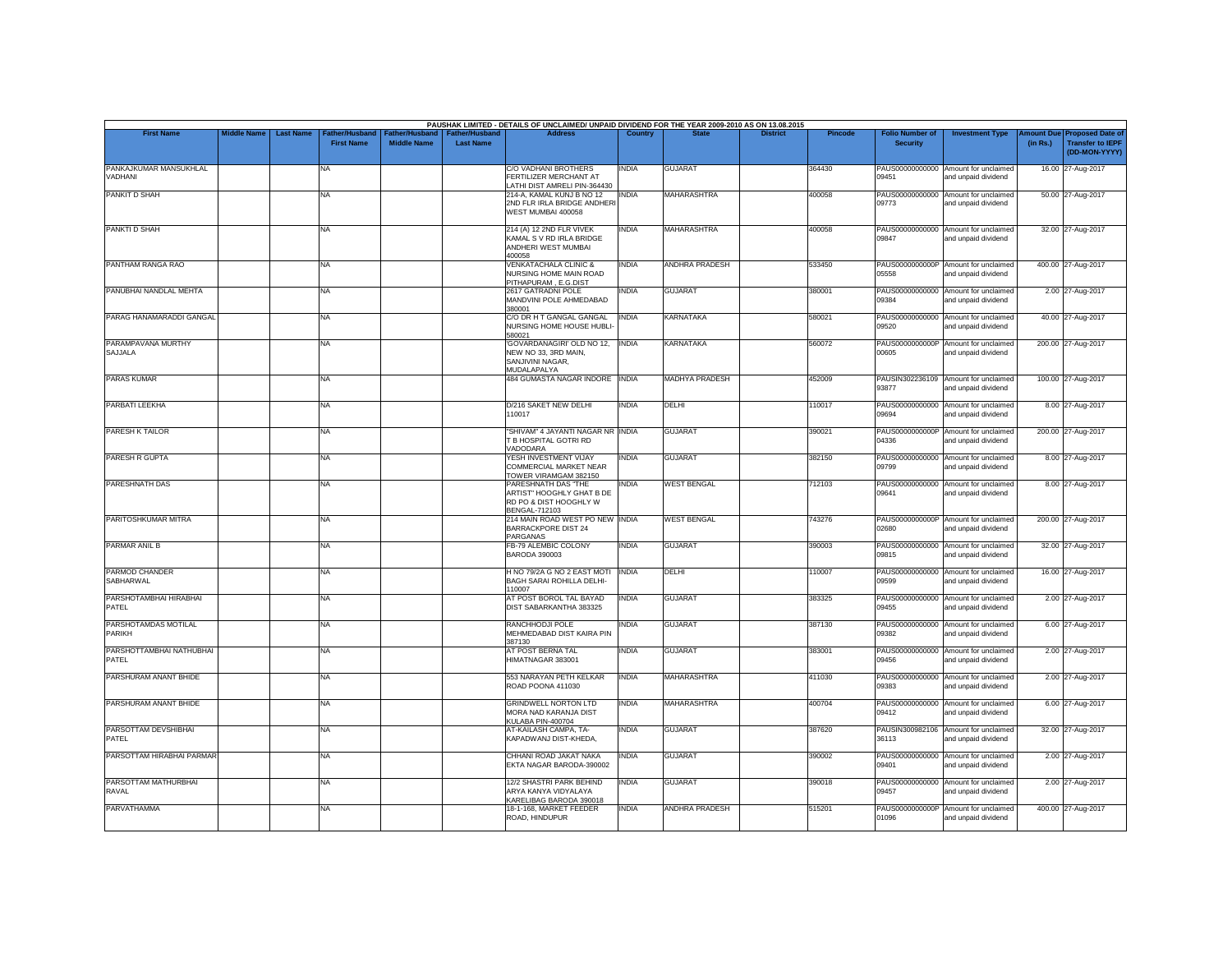| <b>First Name</b>                 | <b>Middle Name</b> | <b>Last Name</b> | Father/Husband    | Father/Husband     | <b>Father/Husband</b> | PAUSHAK LIMITED - DETAILS OF UNCLAIMED/ UNPAID DIVIDEND FOR THE YEAR 2009-2010 AS ON 13.08.2015<br><b>Address</b> | Country      |                       | <b>District</b> | <b>Pincode</b> | <b>Folio Number of</b> | <b>Investment Type</b>                                      | mount Due | <b>Proposed Date of</b>                  |
|-----------------------------------|--------------------|------------------|-------------------|--------------------|-----------------------|-------------------------------------------------------------------------------------------------------------------|--------------|-----------------------|-----------------|----------------|------------------------|-------------------------------------------------------------|-----------|------------------------------------------|
|                                   |                    |                  | <b>First Name</b> | <b>Middle Name</b> | <b>Last Name</b>      |                                                                                                                   |              |                       |                 |                | <b>Security</b>        |                                                             | (in Rs.)  | <b>Transfer to IEPF</b><br>(DD-MON-YYYY) |
| PANKAJKUMAR MANSUKHLAL<br>VADHANI |                    |                  | NA                |                    |                       | <b>C/O VADHANI BROTHERS</b><br>FERTILIZER MERCHANT AT<br>LATHI DIST AMRELI PIN-364430                             | <b>INDIA</b> | <b>GUJARAT</b>        |                 | 364430         | 09451                  | PAUS00000000000 Amount for unclaimed<br>and unpaid dividend |           | 16.00 27-Aug-2017                        |
| PANKIT D SHAH                     |                    |                  | NA.               |                    |                       | 214-A, KAMAL KUNJ B NO 12<br>2ND FLR IRLA BRIDGE ANDHERI<br>WEST MUMBAI 400058                                    | india        | MAHARASHTRA           |                 | 400058         | 09773                  | PAUS00000000000 Amount for unclaimed<br>and unpaid dividend |           | 50.00 27-Aug-2017                        |
| PANKTI D SHAH                     |                    |                  | NA                |                    |                       | 214 (A) 12 2ND FLR VIVEK<br>KAMAL S V RD IRLA BRIDGE<br>ANDHERI WEST MUMBAI<br>400058                             | <b>INDIA</b> | <b>MAHARASHTRA</b>    |                 | 400058         | 09847                  | PAUS00000000000 Amount for unclaimed<br>and unpaid dividend |           | 32.00 27-Aug-2017                        |
| PANTHAM RANGA RAO                 |                    |                  | <b>NA</b>         |                    |                       | <b>VENKATACHALA CLINIC &amp;</b><br>NURSING HOME MAIN ROAD<br>PITHAPURAM, E.G.DIST                                | <b>INDIA</b> | <b>ANDHRA PRADESH</b> |                 | 533450         | 05558                  | PAUS0000000000P Amount for unclaimed<br>and unpaid dividend |           | 400.00 27-Aug-2017                       |
| PANUBHAI NANDLAL MEHTA            |                    |                  | NA                |                    |                       | 2617 GATRADNI POLE<br>MANDVINI POLE AHMEDABAD<br>380001                                                           | <b>INDIA</b> | <b>GUJARAT</b>        |                 | 380001         | 09384                  | PAUS00000000000 Amount for unclaimed<br>and unpaid dividend |           | 2.00 27-Aug-2017                         |
| PARAG HANAMARADDI GANGAL          |                    |                  | NA                |                    |                       | C/O DR H T GANGAL GANGAL<br>NURSING HOME HOUSE HUBLI<br>580021                                                    | <b>INDIA</b> | <b>KARNATAKA</b>      |                 | 580021         | 09520                  | PAUS00000000000 Amount for unclaimed<br>and unpaid dividend |           | 40.00 27-Aug-2017                        |
| PARAMPAVANA MURTHY<br>SAJJALA     |                    |                  | NA                |                    |                       | 'GOVARDANAGIRI' OLD NO 12, INDIA<br>NEW NO 33, 3RD MAIN,<br>SANJIVINI NAGAR.<br>MUDALAPALYA                       |              | KARNATAKA             |                 | 560072         | 00605                  | PAUS0000000000P Amount for unclaimed<br>and unpaid dividend |           | 200.00 27-Aug-2017                       |
| <b>PARAS KUMAR</b>                |                    |                  | NA                |                    |                       | 484 GUMASTA NAGAR INDORE INDIA                                                                                    |              | <b>MADHYA PRADESH</b> |                 | 452009         | 93877                  | PAUSIN302236109 Amount for unclaimed<br>and unpaid dividend |           | 100.00 27-Aug-2017                       |
| PARBATI LEEKHA                    |                    |                  | NA                |                    |                       | D/216 SAKET NEW DELHI<br>110017                                                                                   | <b>INDIA</b> | DELHI                 |                 | 110017         | 09694                  | PAUS00000000000 Amount for unclaimed<br>and unpaid dividend |           | 8.00 27-Aug-2017                         |
| PARESH K TAILOR                   |                    |                  | NA                |                    |                       | "SHIVAM" 4 JAYANTI NAGAR NR INDIA<br>T B HOSPITAL GOTRI RD<br>VADODARA                                            |              | <b>GUJARAT</b>        |                 | 390021         | 04336                  | PAUS0000000000P Amount for unclaimed<br>and unpaid dividend |           | 200.00 27-Aug-2017                       |
| PARESH R GUPTA                    |                    |                  | NA                |                    |                       | YESH INVESTMENT VIJAY<br>COMMERCIAL MARKET NEAR<br>TOWER VIRAMGAM 382150                                          | <b>INDIA</b> | <b>GUJARAT</b>        |                 | 382150         | 09799                  | PAUS00000000000 Amount for unclaimed<br>and unpaid dividend |           | 8.00 27-Aug-2017                         |
| PARESHNATH DAS                    |                    |                  | NA                |                    |                       | PARESHNATH DAS "THE<br>ARTIST" HOOGHLY GHAT B DE<br>RD PO & DIST HOOGHLY W<br>BENGAL-712103                       | <b>INDIA</b> | <b>WEST BENGAL</b>    |                 | 712103         | 09641                  | PAUS00000000000 Amount for unclaimed<br>and unpaid dividend |           | 8.00 27-Aug-2017                         |
| PARITOSHKUMAR MITRA               |                    |                  | NA                |                    |                       | 214 MAIN ROAD WEST PO NEW INDIA<br><b>BARRACKPORE DIST 24</b><br>PARGANAS                                         |              | <b>WEST BENGAL</b>    |                 | 743276         | 02680                  | PAUS0000000000P Amount for unclaimed<br>and unpaid dividend |           | 200.00 27-Aug-2017                       |
| PARMAR ANIL B                     |                    |                  | NA                |                    |                       | FB-79 ALEMBIC COLONY<br><b>BARODA 390003</b>                                                                      | <b>INDIA</b> | <b>GUJARAT</b>        |                 | 390003         | 09815                  | PAUS00000000000 Amount for unclaimed<br>and unpaid dividend |           | 32.00 27-Aug-2017                        |
| PARMOD CHANDER<br>SABHARWAL       |                    |                  | NA                |                    |                       | H NO 79/2A G NO 2 EAST MOTI<br><b>BAGH SARAI ROHILLA DELHI-</b><br>110007                                         | <b>INDIA</b> | DELHI                 |                 | 110007         | 09599                  | PAUS00000000000 Amount for unclaimed<br>and unpaid dividend |           | 16.00 27-Aug-2017                        |
| PARSHOTAMBHAI HIRABHAI<br>PATEL   |                    |                  | NA                |                    |                       | AT POST BOROL TAL BAYAD<br>DIST SABARKANTHA 383325                                                                | <b>INDIA</b> | <b>GUJARAT</b>        |                 | 383325         | 09455                  | PAUS00000000000 Amount for unclaimed<br>and unpaid dividend |           | 2.00 27-Aug-2017                         |
| PARSHOTAMDAS MOTILAL<br>PARIKH    |                    |                  | NA                |                    |                       | RANCHHODJI POLE<br>MEHMEDABAD DIST KAIRA PIN<br>387130                                                            | <b>INDIA</b> | <b>GUJARAT</b>        |                 | 387130         | 09382                  | PAUS00000000000 Amount for unclaimed<br>and unpaid dividend |           | 6.00 27-Aug-2017                         |
| PARSHOTTAMBHAI NATHUBHAI<br>PATEL |                    |                  | NA                |                    |                       | AT POST BERNA TAL<br>HIMATNAGAR 383001                                                                            | <b>INDIA</b> | <b>GUJARAT</b>        |                 | 383001         | 09456                  | PAUS00000000000 Amount for unclaimed<br>and unpaid dividend |           | 2.00 27-Aug-2017                         |
| PARSHURAM ANANT BHIDE             |                    |                  | NA                |                    |                       | 553 NARAYAN PETH KELKAR<br>ROAD POONA 411030                                                                      | <b>INDIA</b> | MAHARASHTRA           |                 | 411030         | 09383                  | PAUS00000000000 Amount for unclaimed<br>and unpaid dividend |           | 2.00 27-Aug-2017                         |
| PARSHURAM ANANT BHIDE             |                    |                  | NA.               |                    |                       | <b>GRINDWELL NORTON LTD</b><br>MORA NAD KARANJA DIST<br>KULABA PIN-400704                                         | <b>INDIA</b> | <b>MAHARASHTRA</b>    |                 | 400704         | 09412                  | PAUS00000000000 Amount for unclaimed<br>and unpaid dividend |           | 6.00 27-Aug-2017                         |
| PARSOTTAM DEVSHIBHAI<br>PATEL     |                    |                  | NA                |                    |                       | AT-KAILASH CAMPA, TA-<br>KAPADWANJ DIST-KHEDA,                                                                    | <b>INDIA</b> | <b>GUJARAT</b>        |                 | 387620         | 36113                  | PAUSIN300982106 Amount for unclaimed<br>and unpaid dividend |           | 32.00 27-Aug-2017                        |
| PARSOTTAM HIRABHAI PARMAR         |                    |                  | NA                |                    |                       | CHHANI ROAD JAKAT NAKA<br>EKTA NAGAR BARODA-390002                                                                | <b>INDIA</b> | <b>GUJARAT</b>        |                 | 390002         | 09401                  | PAUS00000000000 Amount for unclaimed<br>and unpaid dividend |           | 2.00 27-Aug-2017                         |
| PARSOTTAM MATHURBHAI<br>RAVAL     |                    |                  | NA                |                    |                       | 12/2 SHASTRI PARK BEHIND<br>ARYA KANYA VIDYALAYA<br>KARELIBAG BARODA 390018                                       | <b>INDIA</b> | <b>GUJARAT</b>        |                 | 390018         | 09457                  | PAUS00000000000 Amount for unclaimed<br>and unpaid dividend |           | 2.00 27-Aug-2017                         |
| PARVATHAMMA                       |                    |                  | NA                |                    |                       | 18-1-168, MARKET FEEDER<br>ROAD, HINDUPUR                                                                         | <b>INDIA</b> | <b>ANDHRA PRADESH</b> |                 | 515201         | 01096                  | PAUS0000000000P Amount for unclaimed<br>and unpaid dividend |           | 400.00 27-Aug-2017                       |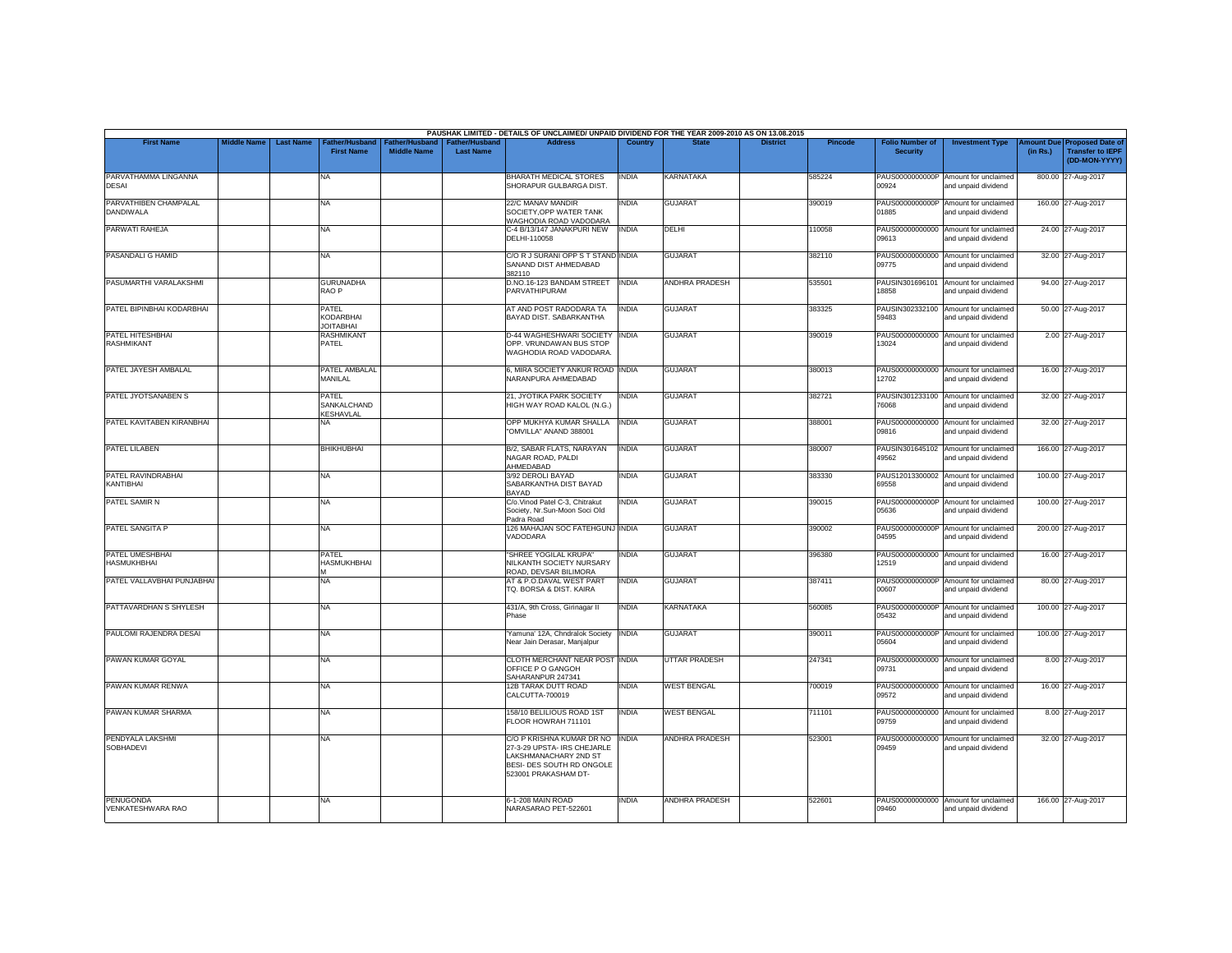|                                           |                    |                  |                                               |                                             |                                           | PAUSHAK LIMITED - DETAILS OF UNCLAIMED/ UNPAID DIVIDEND FOR THE YEAR 2009-2010 AS ON 13.08.2015                                              |                |                       |                 |         |                                           |                                                             |          |                                                                         |
|-------------------------------------------|--------------------|------------------|-----------------------------------------------|---------------------------------------------|-------------------------------------------|----------------------------------------------------------------------------------------------------------------------------------------------|----------------|-----------------------|-----------------|---------|-------------------------------------------|-------------------------------------------------------------|----------|-------------------------------------------------------------------------|
| <b>First Name</b>                         | <b>Middle Name</b> | <b>Last Name</b> | Father/Husband<br><b>First Name</b>           | <b>Father/Husband</b><br><b>Middle Name</b> | <b>Father/Husband</b><br><b>Last Name</b> | <b>Address</b>                                                                                                                               | <b>Country</b> | <b>State</b>          | <b>District</b> | Pincode | <b>Folio Number of</b><br><b>Security</b> | <b>Investment Type</b>                                      | (in Rs.) | Amount Due Proposed Date of<br><b>Transfer to IEPF</b><br>(DD-MON-YYYY) |
| PARVATHAMMA LINGANNA<br>DESAI             |                    |                  | <b>NA</b>                                     |                                             |                                           | BHARATH MEDICAL STORES<br>SHORAPUR GULBARGA DIST.                                                                                            | <b>INDIA</b>   | KARNATAKA             |                 | 585224  | 00924                                     | PAUS0000000000P Amount for unclaimed<br>and unpaid dividend |          | 800.00 27-Aug-2017                                                      |
| PARVATHIBEN CHAMPALAL<br><b>DANDIWALA</b> |                    |                  | <b>NA</b>                                     |                                             |                                           | 22/C MANAV MANDIR<br>SOCIETY.OPP WATER TANK<br>WAGHODIA ROAD VADODARA                                                                        | <b>INDIA</b>   | <b>GUJARAT</b>        |                 | 390019  | PAUS0000000000P<br>01885                  | Amount for unclaimed<br>and unpaid dividend                 |          | 160.00 27-Aug-2017                                                      |
| PARWATI RAHEJA                            |                    |                  | <b>NA</b>                                     |                                             |                                           | C-4 B/13/147 JANAKPURI NEW<br>DELHI-110058                                                                                                   | <b>INDIA</b>   | DELHI                 |                 | 110058  | 09613                                     | PAUS00000000000 Amount for unclaimed<br>and unpaid dividend |          | 24.00 27-Aug-2017                                                       |
| PASANDALI G HAMID                         |                    |                  | <b>NA</b>                                     |                                             |                                           | C/O R J SURANI OPP S T STAND INDIA<br>SANAND DIST AHMEDABAD<br>382110                                                                        |                | <b>GUJARAT</b>        |                 | 382110  | 09775                                     | PAUS00000000000 Amount for unclaimed<br>and unpaid dividend |          | 32.00 27-Aug-2017                                                       |
| PASUMARTHI VARALAKSHMI                    |                    |                  | <b>GURUNADHA</b><br>RAO <sub>P</sub>          |                                             |                                           | D.NO.16-123 BANDAM STREET<br>PARVATHIPURAM                                                                                                   | <b>INDIA</b>   | <b>ANDHRA PRADESH</b> |                 | 535501  | 18858                                     | PAUSIN301696101 Amount for unclaimed<br>and unpaid dividend |          | 94.00 27-Aug-2017                                                       |
| PATEL BIPINBHAI KODARBHAI                 |                    |                  | <b>PATEL</b><br>KODARBHAI<br><b>JOITABHAI</b> |                                             |                                           | AT AND POST RADODARA TA<br>BAYAD DIST. SABARKANTHA                                                                                           | <b>INDIA</b>   | <b>GUJARAT</b>        |                 | 383325  | 59483                                     | PAUSIN302332100 Amount for unclaimed<br>and unpaid dividend |          | 50.00 27-Aug-2017                                                       |
| PATEL HITESHBHAI                          |                    |                  | <b>RASHMIKANT</b>                             |                                             |                                           | D-44 WAGHESHWARI SOCIETY                                                                                                                     | <b>INDIA</b>   | <b>GUJARAT</b>        |                 | 390019  |                                           | PAUS00000000000 Amount for unclaimed                        |          | 2.00 27-Aug-2017                                                        |
| <b>RASHMIKANT</b>                         |                    |                  | PATEL                                         |                                             |                                           | OPP. VRUNDAWAN BUS STOP<br>WAGHODIA ROAD VADODARA.                                                                                           |                |                       |                 |         | 13024                                     | and unpaid dividend                                         |          |                                                                         |
| PATEL JAYESH AMBALAL                      |                    |                  | PATEL AMBALAL<br>MANILAL                      |                                             |                                           | 6, MIRA SOCIETY ANKUR ROAD INDIA<br>NARANPURA AHMEDABAD                                                                                      |                | <b>GUJARAT</b>        |                 | 380013  | 12702                                     | PAUS00000000000 Amount for unclaimed<br>and unpaid dividend |          | 16.00 27-Aug-2017                                                       |
| PATEL JYOTSANABEN S                       |                    |                  | PATEL<br>SANKALCHAND<br><b>KESHAVLAL</b>      |                                             |                                           | 21, JYOTIKA PARK SOCIETY<br>HIGH WAY ROAD KALOL (N.G.)                                                                                       | <b>INDIA</b>   | <b>GUJARAT</b>        |                 | 382721  | 76068                                     | PAUSIN301233100 Amount for unclaimed<br>and unpaid dividend |          | 32.00 27-Aug-2017                                                       |
| PATEL KAVITABEN KIRANBHAI                 |                    |                  | <b>NA</b>                                     |                                             |                                           | OPP MUKHYA KUMAR SHALLA<br>"OMVILLA" ANAND 388001                                                                                            | <b>INDIA</b>   | <b>GUJARAT</b>        |                 | 388001  | 09816                                     | PAUS00000000000 Amount for unclaimed<br>and unpaid dividend |          | 32.00 27-Aug-2017                                                       |
| PATEL LILABEN                             |                    |                  | <b>BHIKHUBHAI</b>                             |                                             |                                           | B/2, SABAR FLATS, NARAYAN<br>NAGAR ROAD, PALDI<br>AHMEDABAD                                                                                  | <b>INDIA</b>   | <b>GUJARAT</b>        |                 | 380007  | 49562                                     | PAUSIN301645102 Amount for unclaimed<br>and unpaid dividend |          | 166.00 27-Aug-2017                                                      |
| PATEL RAVINDRABHAI<br>KANTIBHAI           |                    |                  | <b>NA</b>                                     |                                             |                                           | 3/92 DEROLI BAYAD<br>SABARKANTHA DIST BAYAD<br>BAYAD                                                                                         | <b>INDIA</b>   | <b>GUJARAT</b>        |                 | 383330  | 69558                                     | PAUS12013300002 Amount for unclaimed<br>and unpaid dividend |          | 100.00 27-Aug-2017                                                      |
| PATEL SAMIR N                             |                    |                  | <b>NA</b>                                     |                                             |                                           | C/o.Vinod Patel C-3, Chitrakut<br>Society, Nr.Sun-Moon Soci Old<br>Padra Road                                                                | <b>INDIA</b>   | <b>GUJARAT</b>        |                 | 390015  | 05636                                     | PAUS0000000000P Amount for unclaimed<br>and unpaid dividend |          | 100.00 27-Aug-2017                                                      |
| PATEL SANGITA P                           |                    |                  | <b>NA</b>                                     |                                             |                                           | 126 MAHAJAN SOC FATEHGUNJ INDIA<br>VADODARA                                                                                                  |                | <b>GUJARAT</b>        |                 | 390002  | 04595                                     | PAUS0000000000P Amount for unclaimed<br>and unpaid dividend |          | 200.00 27-Aug-2017                                                      |
| PATEL UMESHBHAI<br><b>HASMUKHBHAI</b>     |                    |                  | PATEL<br><b>HASMUKHBHAI</b><br>M              |                                             |                                           | 'SHREE YOGILAL KRUPA"<br>NILKANTH SOCIETY NURSARY<br>ROAD, DEVSAR BILIMORA                                                                   | INDIA          | <b>GUJARAT</b>        |                 | 396380  | 12519                                     | PAUS00000000000 Amount for unclaimed<br>and unpaid dividend |          | 16.00 27-Aug-2017                                                       |
| PATEL VALLAVBHAI PUNJABHAI                |                    |                  | <b>NA</b>                                     |                                             |                                           | AT & P.O.DAVAL WEST PART<br>TQ. BORSA & DIST. KAIRA                                                                                          | <b>INDIA</b>   | <b>GUJARAT</b>        |                 | 387411  | 00607                                     | PAUS0000000000P Amount for unclaimed<br>and unpaid dividend |          | 80.00 27-Aug-2017                                                       |
| PATTAVARDHAN S SHYLESH                    |                    |                  | <b>NA</b>                                     |                                             |                                           | 431/A, 9th Cross, Girinagar II<br>Phase                                                                                                      | <b>INDIA</b>   | <b>KARNATAKA</b>      |                 | 560085  | PAUS0000000000P<br>05432                  | Amount for unclaimed<br>and unpaid dividend                 |          | 100.00 27-Aug-2017                                                      |
| PAULOMI RAJENDRA DESAI                    |                    |                  | <b>NA</b>                                     |                                             |                                           | Yamuna' 12A, Chndralok Society<br>Near Jain Derasar, Manjalpur                                                                               | <b>INDIA</b>   | <b>GUJARAT</b>        |                 | 390011  | PAUS0000000000P<br>05604                  | Amount for unclaimed<br>and unpaid dividend                 |          | 100.00 27-Aug-2017                                                      |
| PAWAN KUMAR GOYAL                         |                    |                  | <b>NA</b>                                     |                                             |                                           | CLOTH MERCHANT NEAR POST INDIA<br>OFFICE P O GANGOH<br>SAHARANPUR 247341                                                                     |                | <b>UTTAR PRADESH</b>  |                 | 247341  | 09731                                     | PAUS00000000000 Amount for unclaimed<br>and unpaid dividend |          | 8.00 27-Aug-2017                                                        |
| PAWAN KUMAR RENWA                         |                    |                  | <b>NA</b>                                     |                                             |                                           | 12B TARAK DUTT ROAD<br>CALCUTTA-700019                                                                                                       | <b>INDIA</b>   | <b>WEST BENGAL</b>    |                 | 700019  | 09572                                     | PAUS00000000000 Amount for unclaimed<br>and unpaid dividend |          | 16.00 27-Aug-2017                                                       |
| PAWAN KUMAR SHARMA                        |                    |                  | <b>NA</b>                                     |                                             |                                           | 158/10 BELILIOUS ROAD 1ST<br>FLOOR HOWRAH 711101                                                                                             | <b>INDIA</b>   | <b>WEST BENGAL</b>    |                 | 711101  | PAUS00000000000<br>09759                  | Amount for unclaimed<br>and unpaid dividend                 |          | 8.00 27-Aug-2017                                                        |
| PENDYALA LAKSHMI<br><b>SOBHADEVI</b>      |                    |                  | <b>NA</b>                                     |                                             |                                           | C/O P KRISHNA KUMAR DR NO INDIA<br>27-3-29 UPSTA- IRS CHEJARLE<br>LAKSHMANACHARY 2ND ST<br>BESI- DES SOUTH RD ONGOLE<br>523001 PRAKASHAM DT- |                | ANDHRA PRADESH        |                 | 523001  | 09459                                     | PAUS00000000000 Amount for unclaimed<br>and unpaid dividend |          | 32.00 27-Aug-2017                                                       |
| <b>PENUGONDA</b><br>VENKATESHWARA RAO     |                    |                  | <b>NA</b>                                     |                                             |                                           | 6-1-208 MAIN ROAD<br>NARASARAO PET-522601                                                                                                    | INDIA          | <b>ANDHRA PRADESH</b> |                 | 522601  | 09460                                     | PAUS00000000000 Amount for unclaimed<br>and unpaid dividend |          | 166.00 27-Aug-2017                                                      |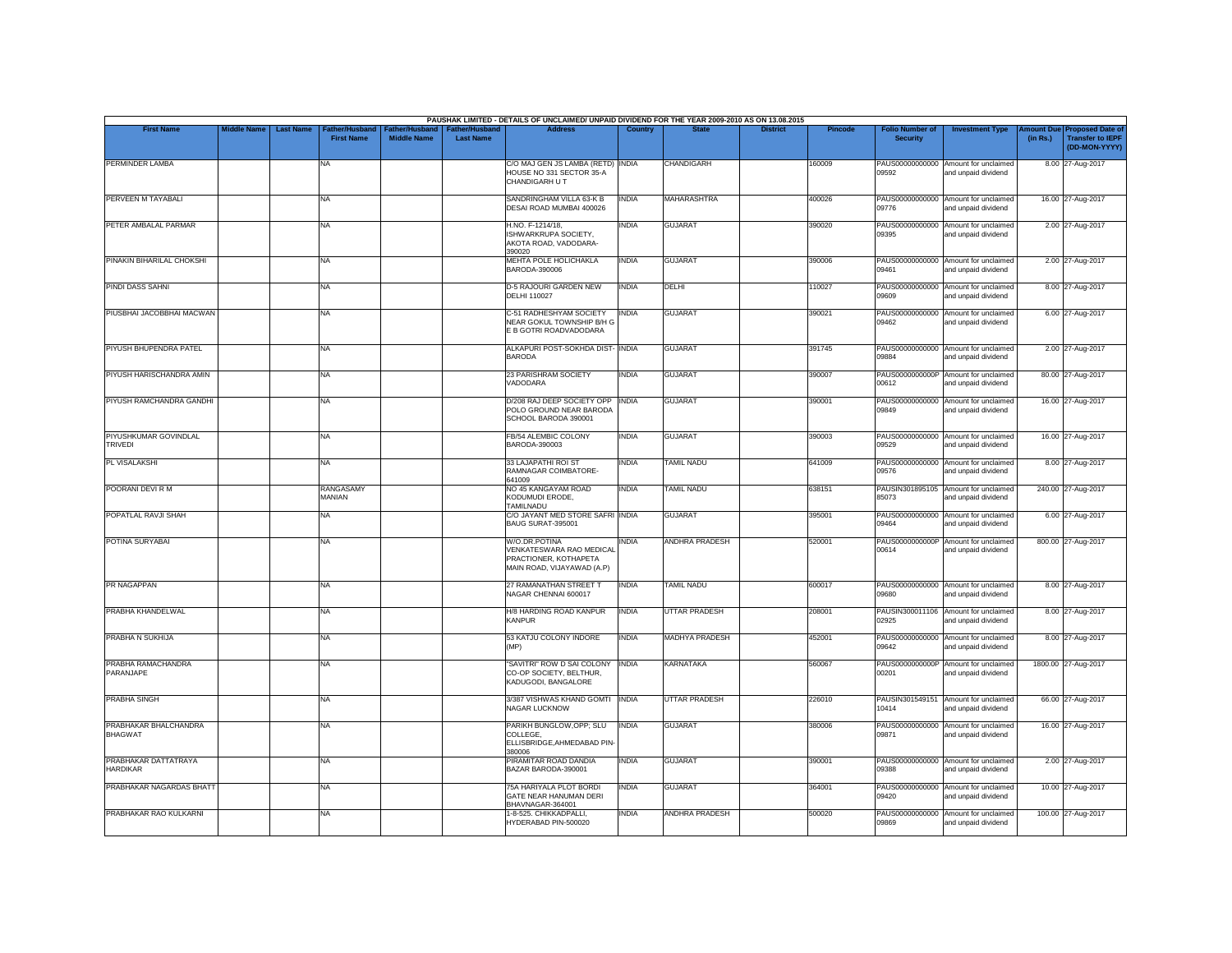|                                         |                    |                                                        |                                             |                                           | PAUSHAK LIMITED - DETAILS OF UNCLAIMED/ UNPAID DIVIDEND FOR THE YEAR 2009-2010 AS ON 13.08.2015  |              |                       |                 |                |                                           |                                                             |                       |                                                                     |
|-----------------------------------------|--------------------|--------------------------------------------------------|---------------------------------------------|-------------------------------------------|--------------------------------------------------------------------------------------------------|--------------|-----------------------|-----------------|----------------|-------------------------------------------|-------------------------------------------------------------|-----------------------|---------------------------------------------------------------------|
| <b>First Name</b>                       | <b>Middle Name</b> | <b>Last Name</b><br>ather/Husband<br><b>First Name</b> | <b>Father/Husband</b><br><b>Middle Name</b> | <b>Father/Husband</b><br><b>Last Name</b> | <b>Address</b>                                                                                   | Country      | <b>State</b>          | <b>District</b> | <b>Pincode</b> | <b>Folio Number of</b><br><b>Security</b> | <b>Investment Type</b>                                      | mount Due<br>(in Rs.) | <b>Proposed Date of</b><br><b>Transfer to IEPF</b><br>(DD-MON-YYYY) |
| PERMINDER LAMBA                         |                    | NA                                                     |                                             |                                           | C/O MAJ GEN JS LAMBA (RETD) INDIA<br>HOUSE NO 331 SECTOR 35-A<br>CHANDIGARH U T                  |              | CHANDIGARH            |                 | 160009         | PAUS00000000000<br>09592                  | Amount for unclaimed<br>and unpaid dividend                 |                       | 8.00 27-Aug-2017                                                    |
| PERVEEN M TAYABALI                      |                    | <b>NA</b>                                              |                                             |                                           | SANDRINGHAM VILLA 63-K B<br>DESAI ROAD MUMBAI 400026                                             | <b>INDIA</b> | <b>MAHARASHTRA</b>    |                 | 400026         | 09776                                     | PAUS00000000000 Amount for unclaimed<br>and unpaid dividend |                       | 16.00 27-Aug-2017                                                   |
| PETER AMBALAL PARMAR                    |                    | <b>NA</b>                                              |                                             |                                           | H.NO. F-1214/18,<br>ISHWARKRUPA SOCIETY.<br>AKOTA ROAD, VADODARA-<br>390020                      | INDIA        | <b>GUJARAT</b>        |                 | 390020         | 09395                                     | PAUS00000000000 Amount for unclaimed<br>and unpaid dividend |                       | 2.00 27-Aug-2017                                                    |
| PINAKIN BIHARILAL CHOKSHI               |                    | <b>NA</b>                                              |                                             |                                           | MEHTA POLE HOLICHAKLA<br>BARODA-390006                                                           | <b>INDIA</b> | <b>GUJARAT</b>        |                 | 390006         | 09461                                     | PAUS00000000000 Amount for unclaimed<br>and unpaid dividend |                       | 2.00 27-Aug-2017                                                    |
| <b>PINDI DASS SAHNI</b>                 |                    | <b>NA</b>                                              |                                             |                                           | <b>D-5 RAJOURI GARDEN NEW</b><br><b>DELHI 110027</b>                                             | <b>INDIA</b> | DELHI                 |                 | 110027         | 09609                                     | PAUS00000000000 Amount for unclaimed<br>and unpaid dividend |                       | 8.00 27-Aug-2017                                                    |
| PIUSBHAI JACOBBHAI MACWAN               |                    | NA                                                     |                                             |                                           | C-51 RADHESHYAM SOCIETY<br>NEAR GOKUL TOWNSHIP B/H G<br>E B GOTRI ROADVADODARA                   | <b>INDIA</b> | <b>GUJARAT</b>        |                 | 390021         | PAUS00000000000<br>09462                  | Amount for unclaimed<br>and unpaid dividend                 |                       | 6.00 27-Aug-2017                                                    |
| PIYUSH BHUPENDRA PATEL                  |                    | <b>NA</b>                                              |                                             |                                           | ALKAPURI POST-SOKHDA DIST- INDIA<br><b>BARODA</b>                                                |              | <b>GUJARAT</b>        |                 | 391745         | 09884                                     | PAUS00000000000 Amount for unclaimed<br>and unpaid dividend |                       | 2.00 27-Aug-2017                                                    |
| PIYUSH HARISCHANDRA AMIN                |                    | NA                                                     |                                             |                                           | 23 PARISHRAM SOCIETY<br>VADODARA                                                                 | <b>INDIA</b> | <b>GUJARAT</b>        |                 | 390007         | 00612                                     | PAUS0000000000P Amount for unclaimed<br>and unpaid dividend |                       | 80.00 27-Aug-2017                                                   |
| PIYUSH RAMCHANDRA GANDHI                |                    | <b>NA</b>                                              |                                             |                                           | D/208 RAJ DEEP SOCIETY OPP   INDIA<br>POLO GROUND NEAR BARODA<br>SCHOOL BARODA 390001            |              | <b>GUJARAT</b>        |                 | 390001         | PAUS00000000000<br>09849                  | Amount for unclaimed<br>and unpaid dividend                 |                       | 16.00 27-Aug-2017                                                   |
| PIYUSHKUMAR GOVINDLAL<br><b>TRIVEDI</b> |                    | <b>NA</b>                                              |                                             |                                           | FB/54 ALEMBIC COLONY<br>BARODA-390003                                                            | <b>INDIA</b> | <b>GUJARAT</b>        |                 | 390003         | 09529                                     | PAUS00000000000 Amount for unclaimed<br>and unpaid dividend |                       | 16.00 27-Aug-2017                                                   |
| PL VISALAKSHI                           |                    | <b>NA</b>                                              |                                             |                                           | 33 LAJAPATHI ROI ST<br>RAMNAGAR COIMBATORE-                                                      | <b>INDIA</b> | <b>TAMIL NADU</b>     |                 | 641009         | 09576                                     | PAUS00000000000 Amount for unclaimed<br>and unpaid dividend |                       | 8.00 27-Aug-2017                                                    |
| POORANI DEVI R M                        |                    | RANGASAMY<br>MANIAN                                    |                                             |                                           | 641009<br>NO 45 KANGAYAM ROAD<br>KODUMUDI ERODE,                                                 | INDIA        | <b>TAMIL NADU</b>     |                 | 638151         | 85073                                     | PAUSIN301895105 Amount for unclaimed<br>and unpaid dividend |                       | 240.00 27-Aug-2017                                                  |
| POPATLAL RAVJI SHAH                     |                    | NA                                                     |                                             |                                           | TAMILNADU<br>C/O JAYANT MED STORE SAFRI INDIA<br>BAUG SURAT-395001                               |              | <b>GUJARAT</b>        |                 | 395001         | PAUS00000000000<br>09464                  | Amount for unclaimed<br>and unpaid dividend                 |                       | 6.00 27-Aug-2017                                                    |
| POTINA SURYABAI                         |                    | <b>NA</b>                                              |                                             |                                           | W/O.DR.POTINA<br>VENKATESWARA RAO MEDICAL<br>PRACTIONER, KOTHAPETA<br>MAIN ROAD, VIJAYAWAD (A.P) | INDIA        | ANDHRA PRADESH        |                 | 520001         | PAUS0000000000P<br>00614                  | Amount for unclaimed<br>and unpaid dividend                 |                       | 800.00 27-Aug-2017                                                  |
| PR NAGAPPAN                             |                    | <b>NA</b>                                              |                                             |                                           | 27 RAMANATHAN STREET T<br><b>NAGAR CHENNAI 600017</b>                                            | <b>INDIA</b> | <b>TAMIL NADU</b>     |                 | 600017         | 09680                                     | PAUS00000000000 Amount for unclaimed<br>and unpaid dividend |                       | 8.00 27-Aug-2017                                                    |
| PRABHA KHANDELWAL                       |                    | <b>NA</b>                                              |                                             |                                           | <b>H/8 HARDING ROAD KANPUR</b><br><b>KANPUR</b>                                                  | <b>INDIA</b> | <b>UTTAR PRADESH</b>  |                 | 208001         | PAUSIN300011106<br>02925                  | Amount for unclaimed<br>and unpaid dividend                 |                       | 8.00 27-Aug-2017                                                    |
| PRABHA N SUKHIJA                        |                    | <b>NA</b>                                              |                                             |                                           | 53 KATJU COLONY INDORE<br>(MP)                                                                   | <b>INDIA</b> | <b>MADHYA PRADESH</b> |                 | 452001         | 09642                                     | PAUS00000000000 Amount for unclaimed<br>and unpaid dividend |                       | 8.00 27-Aug-2017                                                    |
| PRABHA RAMACHANDRA<br>PARANJAPE         |                    | <b>NA</b>                                              |                                             |                                           | "SAVITRI" ROW D SAI COLONY<br>CO-OP SOCIETY, BELTHUR.<br>KADUGODI, BANGALORE                     | <b>INDIA</b> | <b>KARNATAKA</b>      |                 | 560067         | PAUS0000000000P<br>00201                  | Amount for unclaimed<br>and unpaid dividend                 |                       | 1800.00 27-Aug-2017                                                 |
| <b>PRABHA SINGH</b>                     |                    | <b>NA</b>                                              |                                             |                                           | 3/387 VISHWAS KHAND GOMTI INDIA<br><b>NAGAR LUCKNOW</b>                                          |              | <b>UTTAR PRADESH</b>  |                 | 226010         | 10414                                     | PAUSIN301549151 Amount for unclaimed<br>and unpaid dividend |                       | 66.00 27-Aug-2017                                                   |
| PRABHAKAR BHALCHANDRA<br><b>BHAGWAT</b> |                    | <b>NA</b>                                              |                                             |                                           | PARIKH BUNGLOW, OPP; SLU<br>COLLEGE,<br>ELLISBRIDGE, AHMEDABAD PIN-<br>380006                    | <b>INDIA</b> | <b>GUJARAT</b>        |                 | 380006         | 09871                                     | PAUS00000000000 Amount for unclaimed<br>and unpaid dividend |                       | 16.00 27-Aug-2017                                                   |
| PRABHAKAR DATTATRAYA<br><b>HARDIKAR</b> |                    | <b>NA</b>                                              |                                             |                                           | PIRAMITAR ROAD DANDIA<br>BAZAR BARODA-390001                                                     | <b>INDIA</b> | <b>GUJARAT</b>        |                 | 390001         | 09388                                     | PAUS00000000000 Amount for unclaimed<br>and unpaid dividend |                       | 2.00 27-Aug-2017                                                    |
| PRABHAKAR NAGARDAS BHATT                |                    | <b>NA</b>                                              |                                             |                                           | 75A HARIYALA PLOT BORDI<br>GATE NEAR HANUMAN DERI<br>BHAVNAGAR-364001                            | <b>INDIA</b> | <b>GUJARAT</b>        |                 | 364001         | 09420                                     | PAUS00000000000 Amount for unclaimed<br>and unpaid dividend |                       | 10.00 27-Aug-2017                                                   |
| PRABHAKAR RAO KULKARNI                  |                    | NA                                                     |                                             |                                           | 1-8-525. CHIKKADPALLI.<br>HYDERABAD PIN-500020                                                   | <b>INDIA</b> | <b>ANDHRA PRADESH</b> |                 | 500020         | PAUS00000000000<br>09869                  | Amount for unclaimed<br>and unpaid dividend                 |                       | 100.00 27-Aug-2017                                                  |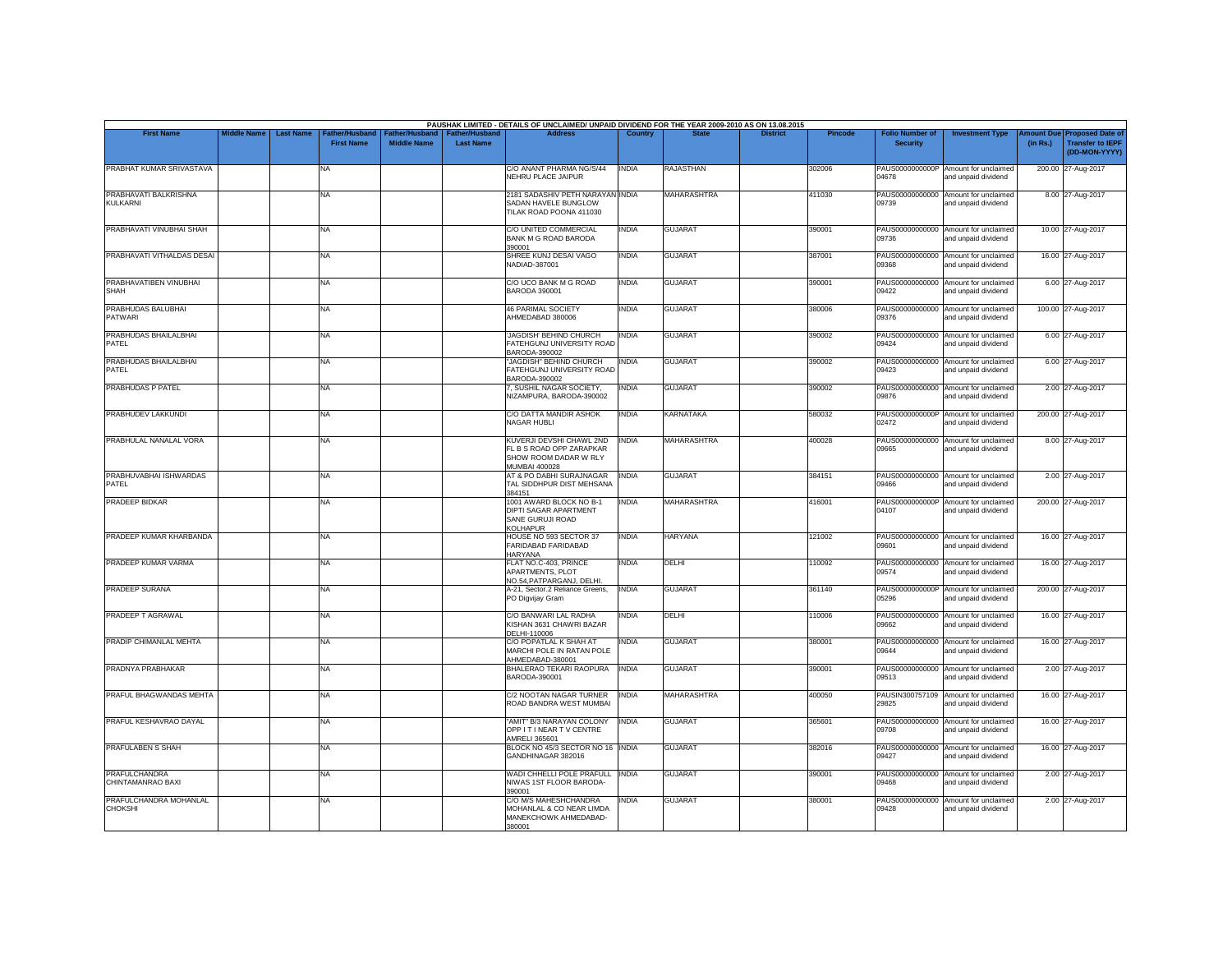| <b>First Name</b>                        | <b>Middle Name</b> | <b>Last Name</b> | Father/Husband    | Father/Husband     | <b>Father/Husband</b> | PAUSHAK LIMITED - DETAILS OF UNCLAIMED/ UNPAID DIVIDEND FOR THE YEAR 2009-2010 AS ON 13.08.2015<br><b>Address</b> | Country      |                    | <b>District</b> | <b>Pincode</b> | <b>Folio Number of</b>   | <b>Investment Type</b>                                      | <b>Imount Due</b> | <b>Proposed Date of</b>                  |
|------------------------------------------|--------------------|------------------|-------------------|--------------------|-----------------------|-------------------------------------------------------------------------------------------------------------------|--------------|--------------------|-----------------|----------------|--------------------------|-------------------------------------------------------------|-------------------|------------------------------------------|
|                                          |                    |                  | <b>First Name</b> | <b>Middle Name</b> | <b>Last Name</b>      |                                                                                                                   |              |                    |                 |                | <b>Security</b>          |                                                             | (in Rs.)          | <b>Transfer to IEPF</b><br>(DD-MON-YYYY) |
| PRABHAT KUMAR SRIVASTAVA                 |                    |                  | NA                |                    |                       | C/O ANANT PHARMA NG/S/44<br>NEHRU PLACE JAIPUR                                                                    | <b>INDIA</b> | RAJASTHAN          |                 | 302006         | 04678                    | PAUS0000000000P Amount for unclaimed<br>and unpaid dividend |                   | 200.00 27-Aug-2017                       |
| PRABHAVATI BALKRISHNA<br><b>KULKARNI</b> |                    |                  | NA.               |                    |                       | 2181 SADASHIV PETH NARAYAN INDIA<br>SADAN HAVELE BUNGLOW<br>TILAK ROAD POONA 411030                               |              | MAHARASHTRA        |                 | 411030         | 09739                    | PAUS00000000000 Amount for unclaimed<br>and unpaid dividend |                   | 8.00 27-Aug-2017                         |
| PRABHAVATI VINUBHAI SHAH                 |                    |                  | NA                |                    |                       | C/O UNITED COMMERCIAL<br>BANK M G ROAD BARODA<br>390001                                                           | <b>INDIA</b> | <b>GUJARAT</b>     |                 | 390001         | 09736                    | PAUS00000000000 Amount for unclaimed<br>and unpaid dividend |                   | 10.00 27-Aug-2017                        |
| PRABHAVATI VITHALDAS DESAI               |                    |                  | <b>NA</b>         |                    |                       | SHREE KUNJ DESAI VAGO<br>NADIAD-387001                                                                            | <b>INDIA</b> | <b>GUJARAT</b>     |                 | 387001         | 09368                    | PAUS00000000000 Amount for unclaimed<br>and unpaid dividend |                   | 16.00 27-Aug-2017                        |
| PRABHAVATIBEN VINUBHAI<br>SHAH           |                    |                  | NA                |                    |                       | C/O UCO BANK M G ROAD<br><b>BARODA 390001</b>                                                                     | <b>INDIA</b> | <b>GUJARAT</b>     |                 | 390001         | 09422                    | PAUS00000000000 Amount for unclaimed<br>and unpaid dividend |                   | 6.00 27-Aug-2017                         |
| PRABHUDAS BALUBHAI<br><b>PATWARI</b>     |                    |                  | NA                |                    |                       | 46 PARIMAL SOCIETY<br>AHMEDABAD 380006                                                                            | <b>INDIA</b> | <b>GUJARAT</b>     |                 | 380006         | 09376                    | PAUS00000000000 Amount for unclaimed<br>and unpaid dividend |                   | 100.00 27-Aug-2017                       |
| PRABHUDAS BHAILALBHAI<br>PATEL           |                    |                  | NA                |                    |                       | 'JAGDISH' BEHIND CHURCH<br>FATEHGUNJ UNIVERSITY ROAD<br>BARODA-390002                                             | <b>INDIA</b> | <b>GUJARAT</b>     |                 | 390002         | 09424                    | PAUS00000000000 Amount for unclaimed<br>and unpaid dividend |                   | 6.00 27-Aug-2017                         |
| PRABHUDAS BHAILALBHAI<br>PATEL           |                    |                  | NA                |                    |                       | "JAGDISH" BEHIND CHURCH<br>FATEHGUNJ UNIVERSITY ROAD<br>BARODA-390002                                             | <b>INDIA</b> | <b>GUJARAT</b>     |                 | 390002         | 09423                    | PAUS00000000000 Amount for unclaimed<br>and unpaid dividend |                   | 6.00 27-Aug-2017                         |
| PRABHUDAS P PATEL                        |                    |                  | NA.               |                    |                       | 7, SUSHIL NAGAR SOCIETY,<br>NIZAMPURA, BARODA-390002                                                              | <b>INDIA</b> | <b>GUJARAT</b>     |                 | 390002         | 09876                    | PAUS00000000000 Amount for unclaimed<br>and unpaid dividend |                   | 2.00 27-Aug-2017                         |
| PRABHUDEV LAKKUNDI                       |                    |                  | NA                |                    |                       | C/O DATTA MANDIR ASHOK<br>NAGAR HUBLI                                                                             | <b>INDIA</b> | <b>KARNATAKA</b>   |                 | 580032         | 02472                    | PAUS0000000000P Amount for unclaimed<br>and unpaid dividend |                   | 200.00 27-Aug-2017                       |
| PRABHULAL NANALAL VORA                   |                    |                  | NA                |                    |                       | KUVERJI DEVSHI CHAWL 2ND<br>FL B S ROAD OPP ZARAPKAR<br>SHOW ROOM DADAR W RLY<br><b>MUMBAI 400028</b>             | <b>INDIA</b> | MAHARASHTRA        |                 | 400028         | 09665                    | PAUS00000000000 Amount for unclaimed<br>and unpaid dividend |                   | 8.00 27-Aug-2017                         |
| PRABHUVABHAI ISHWARDAS<br>PATEL          |                    |                  | NA                |                    |                       | AT & PO DABHI SURAJNAGAR<br>TAL SIDDHPUR DIST MEHSANA<br>384151                                                   | <b>INDIA</b> | <b>GUJARAT</b>     |                 | 384151         | 09466                    | PAUS00000000000 Amount for unclaimed<br>and unpaid dividend |                   | 2.00 27-Aug-2017                         |
| PRADEEP BIDKAR                           |                    |                  | <b>NA</b>         |                    |                       | 1001 AWARD BLOCK NO B-1<br>DIPTI SAGAR APARTMENT<br>SANE GURUJI ROAD<br>KOLHAPUR                                  | <b>INDIA</b> | <b>MAHARASHTRA</b> |                 | 416001         | 04107                    | PAUS0000000000P Amount for unclaimed<br>and unpaid dividend |                   | 200.00 27-Aug-2017                       |
| PRADEEP KUMAR KHARBANDA                  |                    |                  | <b>NA</b>         |                    |                       | HOUSE NO 593 SECTOR 37<br>FARIDABAD FARIDABAD<br><b>HARYANA</b>                                                   | <b>INDIA</b> | <b>HARYANA</b>     |                 | 121002         | 09601                    | PAUS00000000000 Amount for unclaimed<br>and unpaid dividend |                   | 16.00 27-Aug-2017                        |
| PRADEEP KUMAR VARMA                      |                    |                  | NA                |                    |                       | FLAT NO.C-403, PRINCE<br>APARTMENTS, PLOT<br>NO.54.PATPARGANJ, DELHI,                                             | <b>INDIA</b> | DELHI              |                 | 110092         | 09574                    | PAUS00000000000 Amount for unclaimed<br>and unpaid dividend |                   | 16.00 27-Aug-2017                        |
| PRADEEP SURANA                           |                    |                  | NA                |                    |                       | A-21, Sector.2 Reliance Greens,<br>PO Digvijay Gram                                                               | <b>INDIA</b> | <b>GUJARAT</b>     |                 | 361140         | 05296                    | PAUS0000000000P Amount for unclaimed<br>and unpaid dividend |                   | 200.00 27-Aug-2017                       |
| PRADEEP T AGRAWAL                        |                    |                  | NA                |                    |                       | C/O BANWARI LAL RADHA<br>KISHAN 3631 CHAWRI BAZAR<br>DELHI-110006                                                 | <b>INDIA</b> | DELHI              |                 | 110006         | 09662                    | PAUS00000000000 Amount for unclaimed<br>and unpaid dividend |                   | 16.00 27-Aug-2017                        |
| PRADIP CHIMANLAL MEHTA                   |                    |                  | NA                |                    |                       | C/O POPATLAL K SHAH AT<br>MARCHI POLE IN RATAN POLE<br>AHMEDABAD-380001                                           | <b>INDIA</b> | <b>GUJARAT</b>     |                 | 380001         | 09644                    | PAUS00000000000 Amount for unclaimed<br>and unpaid dividend |                   | 16.00 27-Aug-2017                        |
| PRADNYA PRABHAKAR                        |                    |                  | <b>NA</b>         |                    |                       | BHALERAO TEKARI RAOPURA<br>BARODA-390001                                                                          | <b>INDIA</b> | <b>GUJARAT</b>     |                 | 390001         | PAUS00000000000<br>09513 | Amount for unclaimed<br>and unpaid dividend                 |                   | 2.00 27-Aug-2017                         |
| PRAFUL BHAGWANDAS MEHTA                  |                    |                  | NA                |                    |                       | C/2 NOOTAN NAGAR TURNER<br>ROAD BANDRA WEST MUMBAI                                                                | <b>INDIA</b> | MAHARASHTRA        |                 | 400050         | 29825                    | PAUSIN300757109 Amount for unclaimed<br>and unpaid dividend |                   | 16.00 27-Aug-2017                        |
| PRAFUL KESHAVRAO DAYAL                   |                    |                  | NA.               |                    |                       | "AMIT" B/3 NARAYAN COLONY<br>OPP IT INEAR TV CENTRE<br>AMRELI 365601                                              | <b>INDIA</b> | <b>GUJARAT</b>     |                 | 365601         | 09708                    | PAUS00000000000 Amount for unclaimed<br>and unpaid dividend |                   | 16.00 27-Aug-2017                        |
| <b>PRAFULABEN S SHAH</b>                 |                    |                  | NA                |                    |                       | BLOCK NO 45/3 SECTOR NO 16 INDIA<br>GANDHINAGAR 382016                                                            |              | <b>GUJARAT</b>     |                 | 382016         | 09427                    | PAUS00000000000 Amount for unclaimed<br>and unpaid dividend |                   | 16.00 27-Aug-2017                        |
| PRAFULCHANDRA<br>CHINTAMANRAO BAXI       |                    |                  | NA                |                    |                       | WADI CHHELLI POLE PRAFULL INDIA<br>NIWAS 1ST FLOOR BARODA-<br>390001                                              |              | <b>GUJARAT</b>     |                 | 390001         | 09468                    | PAUS00000000000 Amount for unclaimed<br>and unpaid dividend |                   | 2.00 27-Aug-2017                         |
| PRAFULCHANDRA MOHANLAL<br><b>CHOKSHI</b> |                    |                  | NA                |                    |                       | C/O M/S MAHESHCHANDRA<br>MOHANLAL & CO NEAR LIMDA<br>MANEKCHOWK AHMEDABAD-<br>380001                              | <b>INDIA</b> | <b>GUJARAT</b>     |                 | 380001         | PAUS00000000000<br>09428 | Amount for unclaimed<br>and unpaid dividend                 |                   | 2.00 27-Aug-2017                         |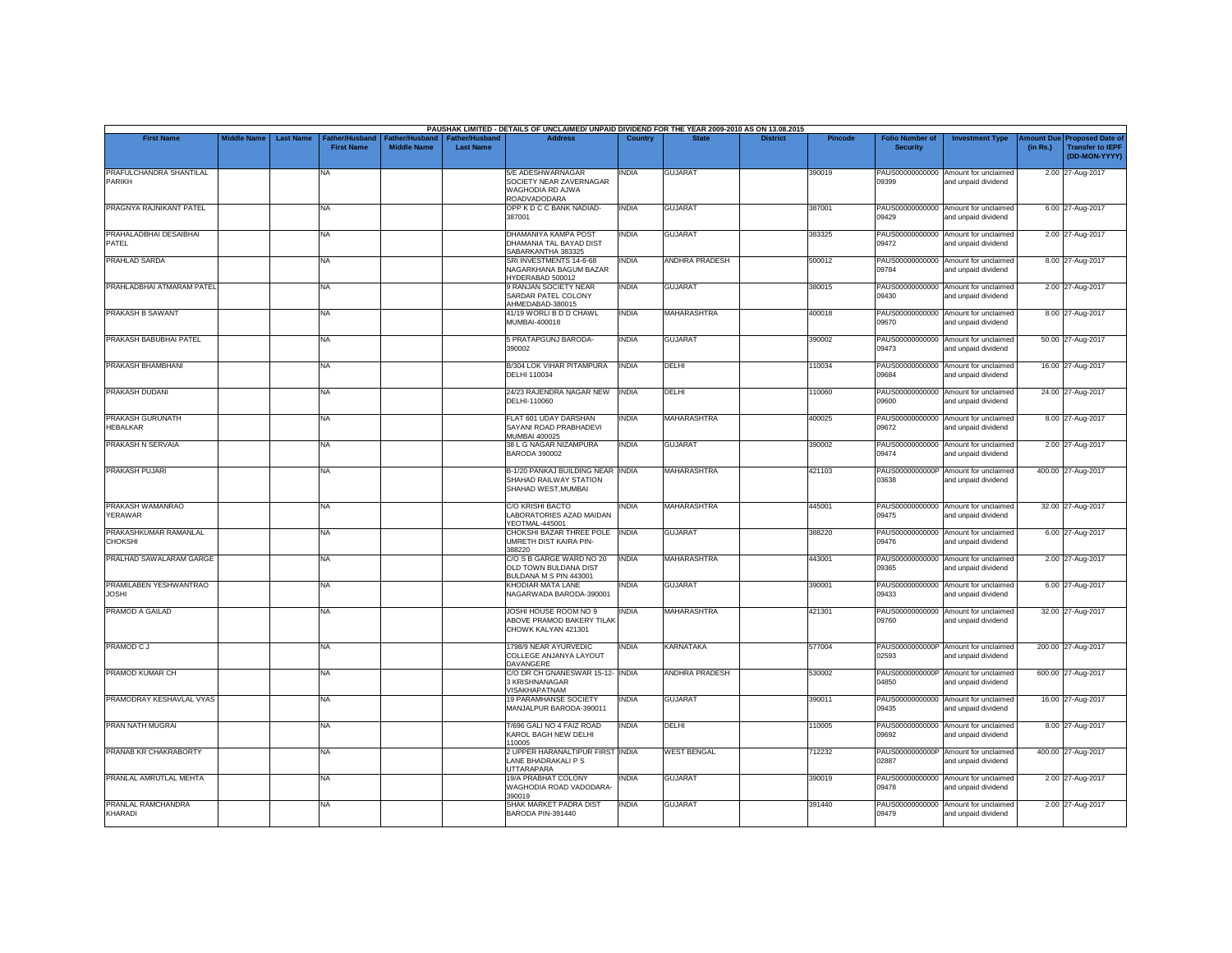|                                        |                    |                                                                     |                                             |                                           | PAUSHAK LIMITED - DETAILS OF UNCLAIMED/ UNPAID DIVIDEND FOR THE YEAR 2009-2010 AS ON 13.08.2015 |                |                       |                 |         |                                           |                                                             |                               |                                                                     |
|----------------------------------------|--------------------|---------------------------------------------------------------------|---------------------------------------------|-------------------------------------------|-------------------------------------------------------------------------------------------------|----------------|-----------------------|-----------------|---------|-------------------------------------------|-------------------------------------------------------------|-------------------------------|---------------------------------------------------------------------|
| <b>First Name</b>                      | <b>Middle Name</b> | <b>Last Name</b><br>ather/Husband <sup>-</sup><br><b>First Name</b> | <b>Father/Husband</b><br><b>Middle Name</b> | <b>Father/Husband</b><br><b>Last Name</b> | <b>Address</b>                                                                                  | <b>Country</b> | <b>State</b>          | <b>District</b> | Pincode | <b>Folio Number of</b><br><b>Security</b> | <b>Investment Type</b>                                      | <b>Amount Due</b><br>(in Rs.) | <b>Proposed Date of</b><br><b>Transfer to IEPF</b><br>(DD-MON-YYYY) |
| PRAFULCHANDRA SHANTILAL<br>PARIKH      |                    | NA.                                                                 |                                             |                                           | 5/E ADESHWARNAGAR<br>SOCIETY NEAR ZAVERNAGAR<br>WAGHODIA RD AJWA<br>ROADVADODARA                | INDIA          | <b>GUJARAT</b>        |                 | 390019  | 09399                                     | PAUS00000000000 Amount for unclaimed<br>and unpaid dividend |                               | 2.00 27-Aug-2017                                                    |
| PRAGNYA RAJNIKANT PATEL                |                    | <b>NA</b>                                                           |                                             |                                           | OPP K D C C BANK NADIAD-<br>387001                                                              | <b>INDIA</b>   | <b>GUJARAT</b>        |                 | 387001  | 09429                                     | PAUS00000000000 Amount for unclaimed<br>and unpaid dividend |                               | 6.00 27-Aug-2017                                                    |
| PRAHALADBHAI DESAIBHAI<br>PATEL        |                    | <b>NA</b>                                                           |                                             |                                           | DHAMANIYA KAMPA POST<br>DHAMANIA TAL BAYAD DIST<br>SABARKANTHA 383325                           | INDIA          | <b>GUJARAT</b>        |                 | 383325  | 09472                                     | PAUS00000000000 Amount for unclaimed<br>and unpaid dividend |                               | 2.00 27-Aug-2017                                                    |
| <b>PRAHLAD SARDA</b>                   |                    | <b>NA</b>                                                           |                                             |                                           | SRI INVESTMENTS 14-6-68<br>NAGARKHANA BAGUM BAZAR<br>HYDERABAD 500012                           | <b>INDIA</b>   | <b>ANDHRA PRADESH</b> |                 | 500012  | 09784                                     | PAUS00000000000 Amount for unclaimed<br>and unpaid dividend |                               | 8.00 27-Aug-2017                                                    |
| PRAHLADBHAI ATMARAM PATEL              |                    | <b>NA</b>                                                           |                                             |                                           | 9 RANJAN SOCIETY NEAR<br>SARDAR PATEL COLONY<br>AHMEDABAD-380015                                | <b>INDIA</b>   | <b>GUJARAT</b>        |                 | 380015  | 09430                                     | PAUS00000000000 Amount for unclaimed<br>and unpaid dividend |                               | 2.00 27-Aug-2017                                                    |
| PRAKASH B SAWANT                       |                    | <b>NA</b>                                                           |                                             |                                           | 41/19 WORLI B D D CHAWL<br>MUMBAI-400018                                                        | <b>INDIA</b>   | <b>MAHARASHTRA</b>    |                 | 400018  | 09670                                     | PAUS00000000000 Amount for unclaimed<br>and unpaid dividend |                               | 8.00 27-Aug-2017                                                    |
| PRAKASH BABUBHAI PATEL                 |                    | <b>NA</b>                                                           |                                             |                                           | 5 PRATAPGUNJ BARODA-<br>390002                                                                  | <b>INDIA</b>   | <b>GUJARAT</b>        |                 | 390002  | 09473                                     | PAUS00000000000 Amount for unclaimed<br>and unpaid dividend |                               | 50.00 27-Aug-2017                                                   |
| PRAKASH BHAMBHANI                      |                    | <b>NA</b>                                                           |                                             |                                           | B/304 LOK VIHAR PITAMPURA<br>DELHI 110034                                                       | <b>INDIA</b>   | DELHI                 |                 | 110034  | 09684                                     | PAUS00000000000 Amount for unclaimed<br>and unpaid dividend |                               | 16.00 27-Aug-2017                                                   |
| <b>PRAKASH DUDANI</b>                  |                    | <b>NA</b>                                                           |                                             |                                           | 24/23 RAJENDRA NAGAR NEW<br>DELHI-110060                                                        | <b>INDIA</b>   | DELHI                 |                 | 110060  | PAUS00000000000<br>09600                  | Amount for unclaimed<br>and unpaid dividend                 |                               | 24.00 27-Aug-2017                                                   |
| PRAKASH GURUNATH<br><b>HEBALKAR</b>    |                    | <b>NA</b>                                                           |                                             |                                           | FLAT 601 UDAY DARSHAN<br>SAYANI ROAD PRABHADEVI<br>MUMBAI 400025                                | <b>INDIA</b>   | <b>MAHARASHTRA</b>    |                 | 400025  | 09672                                     | PAUS00000000000 Amount for unclaimed<br>and unpaid dividend |                               | 8.00 27-Aug-2017                                                    |
| PRAKASH N SERVAIA                      |                    | <b>NA</b>                                                           |                                             |                                           | 38 L G NAGAR NIZAMPURA<br>BARODA 390002                                                         | <b>INDIA</b>   | <b>GUJARAT</b>        |                 | 390002  | 09474                                     | PAUS00000000000 Amount for unclaimed<br>and unpaid dividend |                               | 2.00 27-Aug-2017                                                    |
| <b>PRAKASH PUJARI</b>                  |                    | <b>NA</b>                                                           |                                             |                                           | B-1/20 PANKAJ BUILDING NEAR INDIA<br>SHAHAD RAILWAY STATION<br>SHAHAD WEST.MUMBAI               |                | <b>MAHARASHTRA</b>    |                 | 421103  | 03638                                     | PAUS0000000000P Amount for unclaimed<br>and unpaid dividend |                               | 400.00 27-Aug-2017                                                  |
| PRAKASH WAMANRAO<br>YERAWAR            |                    | <b>NA</b>                                                           |                                             |                                           | C/O KRISHI BACTO<br>LABORATORIES AZAD MAIDAN<br>YEOTMAL-445001                                  | INDIA          | <b>MAHARASHTRA</b>    |                 | 445001  | 09475                                     | PAUS00000000000 Amount for unclaimed<br>and unpaid dividend |                               | 32.00 27-Aug-2017                                                   |
| PRAKASHKUMAR RAMANLAL<br>CHOKSHI       |                    | NA                                                                  |                                             |                                           | CHOKSHI BAZAR THREE POLE<br>UMRETH DIST KAIRA PIN-<br>388220                                    | <b>INDIA</b>   | <b>GUJARAT</b>        |                 | 388220  | 09476                                     | PAUS00000000000 Amount for unclaimed<br>and unpaid dividend |                               | 6.00 27-Aug-2017                                                    |
| PRALHAD SAWALARAM GARGE                |                    | <b>NA</b>                                                           |                                             |                                           | C/O S B GARGE WARD NO 20<br>OLD TOWN BULDANA DIST<br>BULDANA M S PIN 443001                     | <b>INDIA</b>   | <b>MAHARASHTRA</b>    |                 | 443001  | 09365                                     | PAUS00000000000 Amount for unclaimed<br>and unpaid dividend |                               | 2.00 27-Aug-2017                                                    |
| PRAMILABEN YESHWANTRAO<br><b>JOSHI</b> |                    | <b>NA</b>                                                           |                                             |                                           | KHODIAR MATA LANE<br>NAGARWADA BARODA-390001                                                    | india          | <b>GUJARAT</b>        |                 | 390001  | 09433                                     | PAUS00000000000 Amount for unclaimed<br>and unpaid dividend |                               | 6.00 27-Aug-2017                                                    |
| PRAMOD A GAILAD                        |                    | <b>NA</b>                                                           |                                             |                                           | JOSHI HOUSE ROOM NO 9<br>ABOVE PRAMOD BAKERY TILAK<br>CHOWK KALYAN 421301                       | <b>INDIA</b>   | <b>MAHARASHTRA</b>    |                 | 421301  | 09760                                     | PAUS00000000000 Amount for unclaimed<br>and unpaid dividend |                               | 32.00 27-Aug-2017                                                   |
| <b>PRAMOD CJ</b>                       |                    | <b>NA</b>                                                           |                                             |                                           | 1798/9 NEAR AYURVEDIC<br>COLLEGE ANJANYA LAYOUT<br>DAVANGERE                                    | <b>INDIA</b>   | <b>KARNATAKA</b>      |                 | 577004  | 02593                                     | PAUS0000000000P Amount for unclaimed<br>and unpaid dividend |                               | 200.00 27-Aug-2017                                                  |
| PRAMOD KUMAR CH                        |                    | NA                                                                  |                                             |                                           | C/O DR CH GNANESWAR 15-12- INDIA<br>3 KRISHNANAGAR<br>VISAKHAPATNAM                             |                | ANDHRA PRADESH        |                 | 530002  | 04850                                     | PAUS0000000000P Amount for unclaimed<br>and unpaid dividend |                               | 600.00 27-Aug-2017                                                  |
| PRAMODRAY KESHAVLAL VYAS               |                    | <b>NA</b>                                                           |                                             |                                           | <b>19 PARAMHANSE SOCIETY</b><br>MANJALPUR BARODA-390011                                         | <b>INDIA</b>   | <b>GUJARAT</b>        |                 | 390011  | 09435                                     | PAUS00000000000 Amount for unclaimed<br>and unpaid dividend |                               | 16.00 27-Aug-2017                                                   |
| PRAN NATH MUGRAI                       |                    | <b>NA</b>                                                           |                                             |                                           | T/696 GALI NO 4 FAIZ ROAD<br>KAROL BAGH NEW DELHI<br>110005                                     | <b>INDIA</b>   | DELHI                 |                 | 110005  | 09692                                     | PAUS00000000000 Amount for unclaimed<br>and unpaid dividend |                               | 8.00 27-Aug-2017                                                    |
| PRANAB KR CHAKRABORTY                  |                    | <b>NA</b>                                                           |                                             |                                           | 2 UPPER HARANALTIPUR FIRST INDIA<br>LANE BHADRAKALI P S<br><b>JTTARAPARA</b>                    |                | <b>WEST BENGAL</b>    |                 | 712232  | 02887                                     | PAUS0000000000P Amount for unclaimed<br>and unpaid dividend |                               | 400.00 27-Aug-2017                                                  |
| PRANLAL AMRUTLAL MEHTA                 |                    | <b>NA</b>                                                           |                                             |                                           | 19/A PRABHAT COLONY<br>WAGHODIA ROAD VADODARA-<br>390019                                        | <b>INDIA</b>   | <b>GUJARAT</b>        |                 | 390019  | 09478                                     | PAUS00000000000 Amount for unclaimed<br>and unpaid dividend |                               | 2.00 27-Aug-2017                                                    |
| PRANLAL RAMCHANDRA<br>KHARADI          |                    | <b>NA</b>                                                           |                                             |                                           | SHAK MARKET PADRA DIST<br>BARODA PIN-391440                                                     | <b>INDIA</b>   | <b>GUJARAT</b>        |                 | 391440  | PAUS00000000000<br>09479                  | Amount for unclaimed<br>and unpaid dividend                 |                               | 2.00 27-Aug-2017                                                    |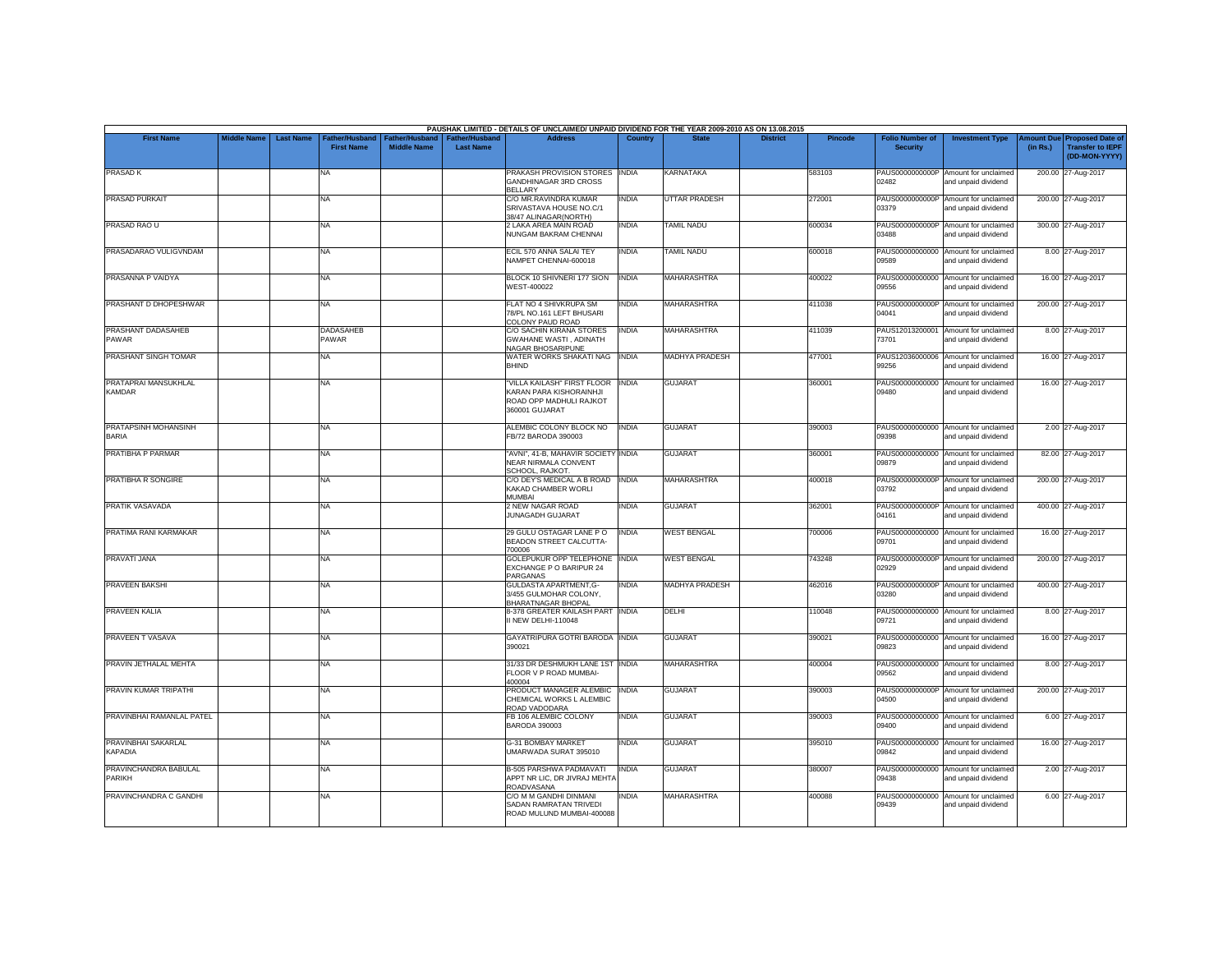|                                       |                    |                  |                                     |                                             |                                           | PAUSHAK LIMITED - DETAILS OF UNCLAIMED/ UNPAID DIVIDEND FOR THE YEAR 2009-2010 AS ON 13.08.2015     |              |                      |                 |                |                                           |                                                             |                       |                                                                     |
|---------------------------------------|--------------------|------------------|-------------------------------------|---------------------------------------------|-------------------------------------------|-----------------------------------------------------------------------------------------------------|--------------|----------------------|-----------------|----------------|-------------------------------------------|-------------------------------------------------------------|-----------------------|---------------------------------------------------------------------|
| <b>First Name</b>                     | <b>Middle Name</b> | <b>Last Name</b> | Father/Husband<br><b>First Name</b> | <b>Father/Husband</b><br><b>Middle Name</b> | <b>Father/Husband</b><br><b>Last Name</b> | <b>Address</b>                                                                                      | Country      | <b>State</b>         | <b>District</b> | <b>Pincode</b> | <b>Folio Number of</b><br><b>Security</b> | <b>Investment Type</b>                                      | mount Due<br>(in Rs.) | <b>Proposed Date of</b><br><b>Transfer to IEPF</b><br>(DD-MON-YYYY) |
| PRASAD K                              |                    |                  | <b>NA</b>                           |                                             |                                           | PRAKASH PROVISION STORES INDIA<br>GANDHINAGAR 3RD CROSS<br><b>BELLARY</b>                           |              | KARNATAKA            |                 | 583103         | 02482                                     | PAUS0000000000P Amount for unclaimed<br>and unpaid dividend |                       | 200.00 27-Aug-2017                                                  |
| <b>PRASAD PURKAIT</b>                 |                    |                  | <b>NA</b>                           |                                             |                                           | C/O MR.RAVINDRA KUMAR<br>SRIVASTAVA HOUSE NO.C/1<br>38/47 ALINAGAR(NORTH)                           | INDIA        | <b>UTTAR PRADESH</b> |                 | 272001         | 03379                                     | PAUS0000000000P Amount for unclaimed<br>and unpaid dividend |                       | 200.00 27-Aug-2017                                                  |
| PRASAD RAO U                          |                    |                  | <b>NA</b>                           |                                             |                                           | 2 LAKA AREA MAIN ROAD<br>NUNGAM BAKRAM CHENNAI                                                      | INDIA        | <b>TAMIL NADU</b>    |                 | 600034         | 03488                                     | PAUS0000000000P Amount for unclaimed<br>and unpaid dividend |                       | 300.00 27-Aug-2017                                                  |
| PRASADARAO VULIGVNDAM                 |                    |                  | <b>NA</b>                           |                                             |                                           | ECIL 570 ANNA SALAI TEY<br>NAMPET CHENNAI-600018                                                    | <b>INDIA</b> | <b>TAMIL NADU</b>    |                 | 600018         | PAUS00000000000<br>09589                  | Amount for unclaimed<br>and unpaid dividend                 |                       | 8.00 27-Aug-2017                                                    |
| PRASANNA P VAIDYA                     |                    |                  | <b>NA</b>                           |                                             |                                           | BLOCK 10 SHIVNERI 177 SION<br><b>WEST-400022</b>                                                    | <b>INDIA</b> | <b>MAHARASHTRA</b>   |                 | 400022         | 09556                                     | PAUS00000000000 Amount for unclaimed<br>and unpaid dividend |                       | 16.00 27-Aug-2017                                                   |
| PRASHANT D DHOPESHWAR                 |                    |                  | <b>NA</b>                           |                                             |                                           | FLAT NO 4 SHIVKRUPA SM<br>78/PL NO.161 LEFT BHUSARI<br>COLONY PAUD ROAD                             | INDIA        | MAHARASHTRA          |                 | 411038         | 04041                                     | PAUS0000000000P Amount for unclaimed<br>and unpaid dividend |                       | 200.00 27-Aug-2017                                                  |
| PRASHANT DADASAHEB<br>PAWAR           |                    |                  | <b>DADASAHEB</b><br>PAWAR           |                                             |                                           | C/O SACHIN KIRANA STORES<br><b>GWAHANE WASTI, ADINATH</b><br>NAGAR BHOSARIPUNE                      | <b>INDIA</b> | <b>MAHARASHTRA</b>   |                 | 411039         | 73701                                     | PAUS12013200001 Amount for unclaimed<br>and unpaid dividend |                       | 8.00 27-Aug-2017                                                    |
| PRASHANT SINGH TOMAR                  |                    |                  | <b>NA</b>                           |                                             |                                           | WATER WORKS SHAKATI NAG<br><b>BHIND</b>                                                             | <b>INDIA</b> | MADHYA PRADESH       |                 | 477001         | 99256                                     | PAUS12036000006 Amount for unclaimed<br>and unpaid dividend |                       | 16.00 27-Aug-2017                                                   |
| PRATAPRAI MANSUKHLAL<br><b>KAMDAR</b> |                    |                  | <b>NA</b>                           |                                             |                                           | "VILLA KAILASH" FIRST FLOOR<br>KARAN PARA KISHORAINHJI<br>ROAD OPP MADHULI RAJKOT<br>360001 GUJARAT | <b>INDIA</b> | <b>GUJARAT</b>       |                 | 360001         | 09480                                     | PAUS00000000000 Amount for unclaimed<br>and unpaid dividend |                       | 16.00 27-Aug-2017                                                   |
| PRATAPSINH MOHANSINH<br><b>BARIA</b>  |                    |                  | <b>NA</b>                           |                                             |                                           | ALEMBIC COLONY BLOCK NO<br>FB/72 BARODA 390003                                                      | <b>INDIA</b> | <b>GUJARAT</b>       |                 | 390003         | 09398                                     | PAUS00000000000 Amount for unclaimed<br>and unpaid dividend |                       | 2.00 27-Aug-2017                                                    |
| PRATIBHA P PARMAR                     |                    |                  | <b>NA</b>                           |                                             |                                           | "AVNI", 41-B, MAHAVIR SOCIETY INDIA<br><b>NEAR NIRMALA CONVENT</b><br>SCHOOL, RAJKOT,               |              | <b>GUJARAT</b>       |                 | 360001         | 09879                                     | PAUS00000000000 Amount for unclaimed<br>and unpaid dividend |                       | 82.00 27-Aug-2017                                                   |
| PRATIBHA R SONGIRE                    |                    |                  | <b>NA</b>                           |                                             |                                           | C/O DEY'S MEDICAL A B ROAD INDIA<br>KAKAD CHAMBER WORLI<br><b>MUMBAI</b>                            |              | MAHARASHTRA          |                 | 400018         | 03792                                     | PAUS0000000000P Amount for unclaimed<br>and unpaid dividend |                       | 200.00 27-Aug-2017                                                  |
| PRATIK VASAVADA                       |                    |                  | <b>NA</b>                           |                                             |                                           | 2 NEW NAGAR ROAD<br><b>JUNAGADH GUJARAT</b>                                                         | INDIA        | <b>GUJARAT</b>       |                 | 362001         | 04161                                     | PAUS0000000000P Amount for unclaimed<br>and unpaid dividend |                       | 400.00 27-Aug-2017                                                  |
| PRATIMA RANI KARMAKAR                 |                    |                  | <b>NA</b>                           |                                             |                                           | 29 GULU OSTAGAR LANE PO<br>BEADON STREET CALCUTTA-<br>700006                                        | <b>INDIA</b> | <b>WEST BENGAL</b>   |                 | 700006         | PAUS00000000000<br>09701                  | Amount for unclaimed<br>and unpaid dividend                 |                       | 16.00 27-Aug-2017                                                   |
| PRAVATI JANA                          |                    |                  | <b>NA</b>                           |                                             |                                           | GOLEPUKUR OPP TELEPHONE<br>EXCHANGE P O BARIPUR 24<br>PARGANAS                                      | <b>INDIA</b> | <b>WEST BENGAL</b>   |                 | 743248         | 02929                                     | PAUS0000000000P Amount for unclaimed<br>and unpaid dividend |                       | 200.00 27-Aug-2017                                                  |
| <b>PRAVEEN BAKSHI</b>                 |                    |                  | <b>NA</b>                           |                                             |                                           | GULDASTA APARTMENT, G-<br>3/455 GULMOHAR COLONY,<br><b>BHARATNAGAR BHOPAL</b>                       | <b>INDIA</b> | MADHYA PRADESH       |                 | 462016         | 03280                                     | PAUS0000000000P Amount for unclaimed<br>and unpaid dividend |                       | 400.00 27-Aug-2017                                                  |
| <b>PRAVEEN KALIA</b>                  |                    |                  | <b>NA</b>                           |                                             |                                           | 8-378 GREATER KAILASH PART INDIA<br>I NEW DELHI-110048                                              |              | DELHI                |                 | 110048         | 09721                                     | PAUS00000000000 Amount for unclaimed<br>and unpaid dividend |                       | 8.00 27-Aug-2017                                                    |
| PRAVEEN T VASAVA                      |                    |                  | <b>NA</b>                           |                                             |                                           | GAYATRIPURA GOTRI BARODA INDIA<br>390021                                                            |              | <b>GUJARAT</b>       |                 | 390021         | 09823                                     | PAUS00000000000 Amount for unclaimed<br>and unpaid dividend |                       | 16.00 27-Aug-2017                                                   |
| PRAVIN JETHALAL MEHTA                 |                    |                  | <b>NA</b>                           |                                             |                                           | 31/33 DR DESHMUKH LANE 1ST INDIA<br>FLOOR V P ROAD MUMBAI-<br>400004                                |              | <b>MAHARASHTRA</b>   |                 | 400004         | 09562                                     | PAUS00000000000 Amount for unclaimed<br>and unpaid dividend |                       | 8.00 27-Aug-2017                                                    |
| PRAVIN KUMAR TRIPATHI                 |                    |                  | <b>NA</b>                           |                                             |                                           | PRODUCT MANAGER ALEMBIC<br>CHEMICAL WORKS L ALEMBIC<br>ROAD VADODARA                                | <b>INDIA</b> | <b>GUJARAT</b>       |                 | 390003         | 04500                                     | PAUS0000000000P Amount for unclaimed<br>and unpaid dividend |                       | 200.00 27-Aug-2017                                                  |
| PRAVINBHAI RAMANLAL PATEL             |                    |                  | <b>NA</b>                           |                                             |                                           | FB 106 ALEMBIC COLONY<br><b>BARODA 390003</b>                                                       | <b>INDIA</b> | <b>GUJARAT</b>       |                 | 390003         | 09400                                     | PAUS00000000000 Amount for unclaimed<br>and unpaid dividend |                       | 6.00 27-Aug-2017                                                    |
| PRAVINBHAI SAKARLAL<br>KAPADIA        |                    |                  | <b>NA</b>                           |                                             |                                           | <b>G-31 BOMBAY MARKET</b><br>JMARWADA SURAT 395010                                                  | <b>INDIA</b> | <b>GUJARAT</b>       |                 | 395010         | 09842                                     | PAUS00000000000 Amount for unclaimed<br>and unpaid dividend |                       | 16.00 27-Aug-2017                                                   |
| PRAVINCHANDRA BABULAL<br>PARIKH       |                    |                  | <b>NA</b>                           |                                             |                                           | B-505 PARSHWA PADMAVATI<br>APPT NR LIC. DR JIVRAJ MEHTA<br>ROADVASANA                               | <b>INDIA</b> | <b>GUJARAT</b>       |                 | 380007         | 09438                                     | PAUS00000000000 Amount for unclaimed<br>and unpaid dividend |                       | 2.00 27-Aug-2017                                                    |
| PRAVINCHANDRA C GANDHI                |                    |                  | <b>NA</b>                           |                                             |                                           | C/O M M GANDHI DINMANI<br>SADAN RAMRATAN TRIVEDI<br>ROAD MULUND MUMBAI-400088                       | <b>INDIA</b> | <b>MAHARASHTRA</b>   |                 | 400088         | 09439                                     | PAUS00000000000 Amount for unclaimed<br>and unpaid dividend |                       | 6.00 27-Aug-2017                                                    |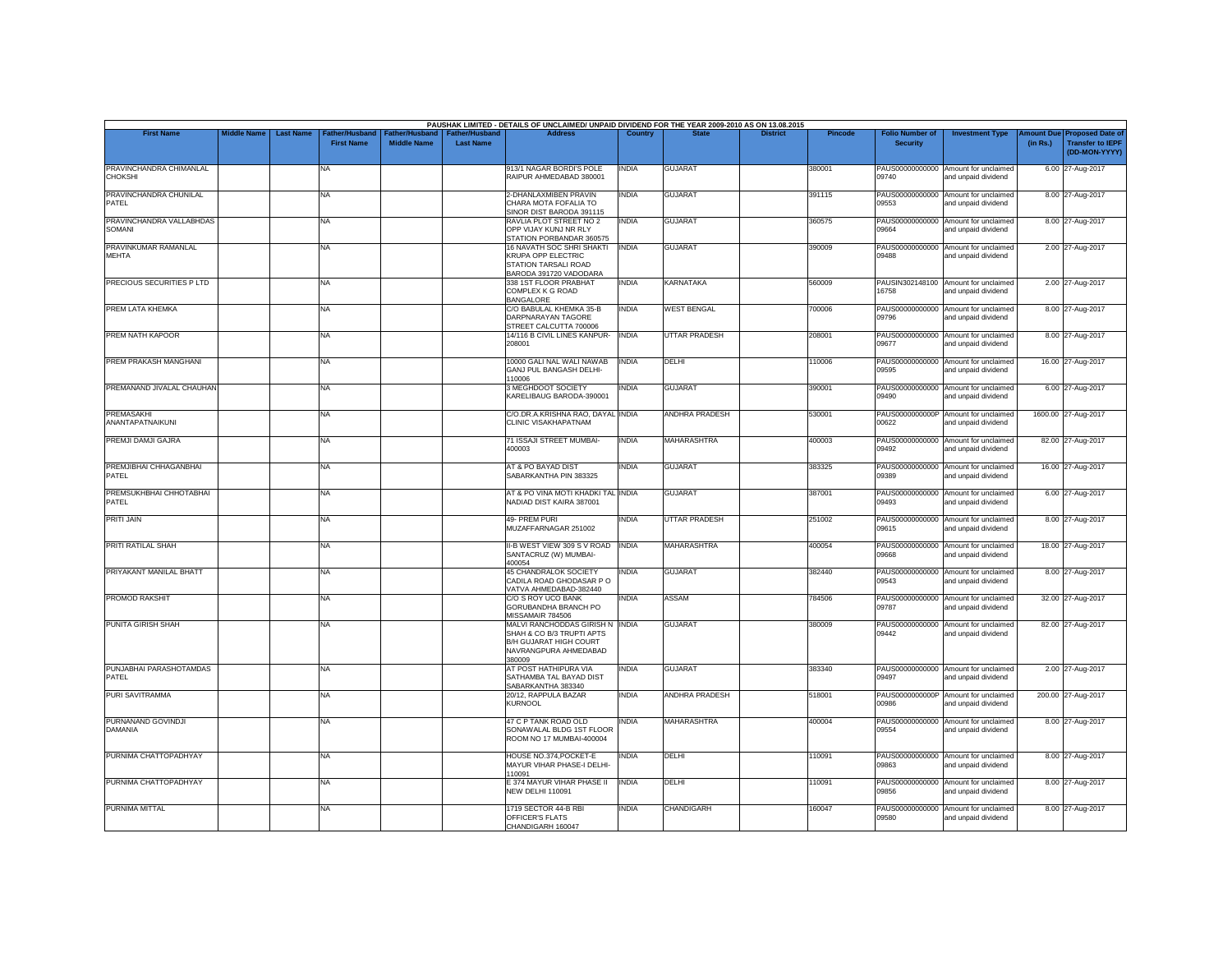| <b>First Name</b>                         | <b>Middle Name</b> | <b>Last Name</b> | Father/Husband    | Father/Husband     | <b>Father/Husband</b> | PAUSHAK LIMITED - DETAILS OF UNCLAIMED/ UNPAID DIVIDEND FOR THE YEAR 2009-2010 AS ON 13.08.2015<br><b>Address</b>         | Country      |                       | <b>District</b> | <b>Pincode</b> | <b>Folio Number of</b>   | <b>Investment Type</b>                                      | <b>Amount Due</b> | <b>Proposed Date of</b>                  |
|-------------------------------------------|--------------------|------------------|-------------------|--------------------|-----------------------|---------------------------------------------------------------------------------------------------------------------------|--------------|-----------------------|-----------------|----------------|--------------------------|-------------------------------------------------------------|-------------------|------------------------------------------|
|                                           |                    |                  | <b>First Name</b> | <b>Middle Name</b> | <b>Last Name</b>      |                                                                                                                           |              |                       |                 |                | <b>Security</b>          |                                                             | (in Rs.)          | <b>Transfer to IEPF</b><br>(DD-MON-YYYY) |
| PRAVINCHANDRA CHIMANLAL<br><b>CHOKSHI</b> |                    |                  | NA                |                    |                       | 913/1 NAGAR BORDI'S POLE<br>RAIPUR AHMEDABAD 380001                                                                       | <b>INDIA</b> | <b>GUJARAT</b>        |                 | 380001         | 09740                    | PAUS00000000000 Amount for unclaimed<br>and unpaid dividend |                   | 6.00 27-Aug-2017                         |
| PRAVINCHANDRA CHUNILAL<br>PATEL           |                    |                  | NA                |                    |                       | 2-DHANLAXMIBEN PRAVIN<br>CHARA MOTA FOFALIA TO<br>SINOR DIST BARODA 391115                                                | <b>INDIA</b> | <b>GUJARAT</b>        |                 | 391115         | PAUS00000000000<br>09553 | Amount for unclaimed<br>and unpaid dividend                 |                   | 8.00 27-Aug-2017                         |
| PRAVINCHANDRA VALLABHDAS<br>SOMANI        |                    |                  | NA                |                    |                       | RAVLIA PLOT STREET NO 2<br>OPP VIJAY KUNJ NR RLY<br>STATION PORBANDAR 360575                                              | <b>INDIA</b> | <b>GUJARAT</b>        |                 | 360575         | 09664                    | PAUS00000000000 Amount for unclaimed<br>and unpaid dividend |                   | 8.00 27-Aug-2017                         |
| PRAVINKUMAR RAMANLAL<br><b>MEHTA</b>      |                    |                  | NA                |                    |                       | 16 NAVATH SOC SHRI SHAKTI<br><b>KRUPA OPP ELECTRIC</b><br>STATION TARSALI ROAD<br>BARODA 391720 VADODARA                  | <b>INDIA</b> | GUJARAT               |                 | 390009         | 09488                    | PAUS00000000000 Amount for unclaimed<br>and unpaid dividend |                   | 2.00 27-Aug-2017                         |
| PRECIOUS SECURITIES P LTD                 |                    |                  | NA                |                    |                       | 338 1ST FLOOR PRABHAT<br>COMPLEX K G ROAD<br><b>BANGALORE</b>                                                             | <b>INDIA</b> | <b>KARNATAKA</b>      |                 | 560009         | 16758                    | PAUSIN302148100 Amount for unclaimed<br>and unpaid dividend |                   | 2.00 27-Aug-2017                         |
| PREM LATA KHEMKA                          |                    |                  | NA                |                    |                       | C/O BABULAL KHEMKA 35-B<br>DARPNARAYAN TAGORE<br>STREET CALCUTTA 700006                                                   | <b>INDIA</b> | <b>WEST BENGAL</b>    |                 | 700006         | 09796                    | PAUS00000000000 Amount for unclaimed<br>and unpaid dividend |                   | 8.00 27-Aug-2017                         |
| PREM NATH KAPOOR                          |                    |                  | NA                |                    |                       | 14/116 B CIVIL LINES KANPUR-<br>208001                                                                                    | <b>INDIA</b> | <b>UTTAR PRADESH</b>  |                 | 208001         | PAUS00000000000<br>09677 | Amount for unclaimed<br>and unpaid dividend                 |                   | 8.00 27-Aug-2017                         |
| PREM PRAKASH MANGHANI                     |                    |                  | NA                |                    |                       | 10000 GALI NAL WALI NAWAB<br>GANJ PUL BANGASH DELHI-<br>110006                                                            | <b>INDIA</b> | DELHI                 |                 | 110006         | 09595                    | PAUS00000000000 Amount for unclaimed<br>and unpaid dividend |                   | 16.00 27-Aug-2017                        |
| PREMANAND JIVALAL CHAUHAN                 |                    |                  | NA                |                    |                       | 3 MEGHDOOT SOCIETY<br>KARELIBAUG BARODA-390001                                                                            | <b>INDIA</b> | <b>GUJARAT</b>        |                 | 390001         | 09490                    | PAUS00000000000 Amount for unclaimed<br>and unpaid dividend |                   | 6.00 27-Aug-2017                         |
| PREMASAKHI<br>ANANTAPATNAIKUNI            |                    |                  | NA                |                    |                       | C/O.DR.A.KRISHNA RAO, DAYAL INDIA<br><b>CLINIC VISAKHAPATNAM</b>                                                          |              | ANDHRA PRADESH        |                 | 530001         | 00622                    | PAUS0000000000P Amount for unclaimed<br>and unpaid dividend |                   | 1600.00 27-Aug-2017                      |
| PREMJI DAMJI GAJRA                        |                    |                  | NA                |                    |                       | 71 ISSAJI STREET MUMBAI-<br>400003                                                                                        | <b>INDIA</b> | MAHARASHTRA           |                 | 400003         | 09492                    | PAUS00000000000 Amount for unclaimed<br>and unpaid dividend |                   | 82.00 27-Aug-2017                        |
| PREMJIBHAI CHHAGANBHAI<br>PATEL           |                    |                  | NA                |                    |                       | AT & PO BAYAD DIST<br>SABARKANTHA PIN 383325                                                                              | <b>INDIA</b> | <b>GUJARAT</b>        |                 | 383325         | 09389                    | PAUS00000000000 Amount for unclaimed<br>and unpaid dividend |                   | 16.00 27-Aug-2017                        |
| PREMSUKHBHAI CHHOTABHAI<br>PATFI          |                    |                  | NA                |                    |                       | AT & PO VINA MOTI KHADKI TAL INDIA<br>NADIAD DIST KAIRA 387001                                                            |              | <b>GUJARAT</b>        |                 | 387001         | 09493                    | PAUS00000000000 Amount for unclaimed<br>and unpaid dividend |                   | 6.00 27-Aug-2017                         |
| <b>PRITI JAIN</b>                         |                    |                  | NA                |                    |                       | 49- PREM PURI<br>MUZAFFARNAGAR 251002                                                                                     | <b>INDIA</b> | <b>UTTAR PRADESH</b>  |                 | 251002         | 09615                    | PAUS00000000000 Amount for unclaimed<br>and unpaid dividend |                   | 8.00 27-Aug-2017                         |
| PRITI RATILAL SHAH                        |                    |                  | NA                |                    |                       | II-B WEST VIEW 309 S V ROAD INDIA<br>SANTACRUZ (W) MUMBAI-<br>400054                                                      |              | <b>MAHARASHTRA</b>    |                 | 400054         | 09668                    | PAUS00000000000 Amount for unclaimed<br>and unpaid dividend |                   | 18.00 27-Aug-2017                        |
| PRIYAKANT MANILAL BHATT                   |                    |                  | NA                |                    |                       | 45 CHANDRALOK SOCIETY<br>CADILA ROAD GHODASAR P O<br>VATVA AHMEDABAD-382440                                               | <b>INDIA</b> | <b>GUJARAT</b>        |                 | 382440         | 09543                    | PAUS00000000000 Amount for unclaimed<br>and unpaid dividend |                   | 8.00 27-Aug-2017                         |
| <b>PROMOD RAKSHIT</b>                     |                    |                  | NA                |                    |                       | C/O S ROY UCO BANK<br>GORUBANDHA BRANCH PO<br>MISSAMAIR 784506                                                            | <b>INDIA</b> | ASSAM                 |                 | 784506         | 09787                    | PAUS00000000000 Amount for unclaimed<br>and unpaid dividend |                   | 32.00 27-Aug-2017                        |
| PUNITA GIRISH SHAH                        |                    |                  | NA                |                    |                       | MALVI RANCHODDAS GIRISH N INDIA<br>SHAH & CO B/3 TRUPTI APTS<br>B/H GUJARAT HIGH COURT<br>NAVRANGPURA AHMEDABAD<br>380009 |              | <b>GUJARAT</b>        |                 | 380009         | PAUS00000000000<br>09442 | Amount for unclaimed<br>and unpaid dividend                 |                   | 82.00 27-Aug-2017                        |
| PUNJABHAI PARASHOTAMDAS<br>PATEL          |                    |                  | <b>NA</b>         |                    |                       | AT POST HATHIPURA VIA<br>SATHAMBA TAL BAYAD DIST<br>SABARKANTHA 383340                                                    | <b>INDIA</b> | <b>GUJARAT</b>        |                 | 383340         | 09497                    | PAUS00000000000 Amount for unclaimed<br>and unpaid dividend |                   | 2.00 27-Aug-2017                         |
| PURI SAVITRAMMA                           |                    |                  | NA                |                    |                       | 20/12, RAPPULA BAZAR<br><b>KURNOOL</b>                                                                                    | <b>INDIA</b> | <b>ANDHRA PRADESH</b> |                 | 518001         | 00986                    | PAUS0000000000P Amount for unclaimed<br>and unpaid dividend |                   | 200.00 27-Aug-2017                       |
| PURNANAND GOVINDJI<br>DAMANIA             |                    |                  | NA.               |                    |                       | 47 C P TANK ROAD OLD<br>SONAWALAL BLDG 1ST FLOOR<br>ROOM NO 17 MUMBAI-400004                                              | <b>INDIA</b> | MAHARASHTRA           |                 | 400004         | PAUS00000000000<br>09554 | Amount for unclaimed<br>and unpaid dividend                 |                   | 8.00 27-Aug-2017                         |
| PURNIMA CHATTOPADHYAY                     |                    |                  | NA                |                    |                       | HOUSE NO.374, POCKET-E<br>MAYUR VIHAR PHASE-I DELHI-<br>110091                                                            | <b>INDIA</b> | DELHI                 |                 | 110091         | 09863                    | PAUS00000000000 Amount for unclaimed<br>and unpaid dividend |                   | 8.00 27-Aug-2017                         |
| PURNIMA CHATTOPADHYAY                     |                    |                  | NA                |                    |                       | E 374 MAYUR VIHAR PHASE II<br><b>NEW DELHI 110091</b>                                                                     | <b>INDIA</b> | DELHI                 |                 | 110091         | 09856                    | PAUS00000000000 Amount for unclaimed<br>and unpaid dividend |                   | 8.00 27-Aug-2017                         |
| PURNIMA MITTAL                            |                    |                  | NA                |                    |                       | 1719 SECTOR 44-B RBI<br>OFFICER'S FLATS<br>CHANDIGARH 160047                                                              | <b>INDIA</b> | CHANDIGARH            |                 | 160047         | 09580                    | PAUS00000000000 Amount for unclaimed<br>and unpaid dividend |                   | 8.00 27-Aug-2017                         |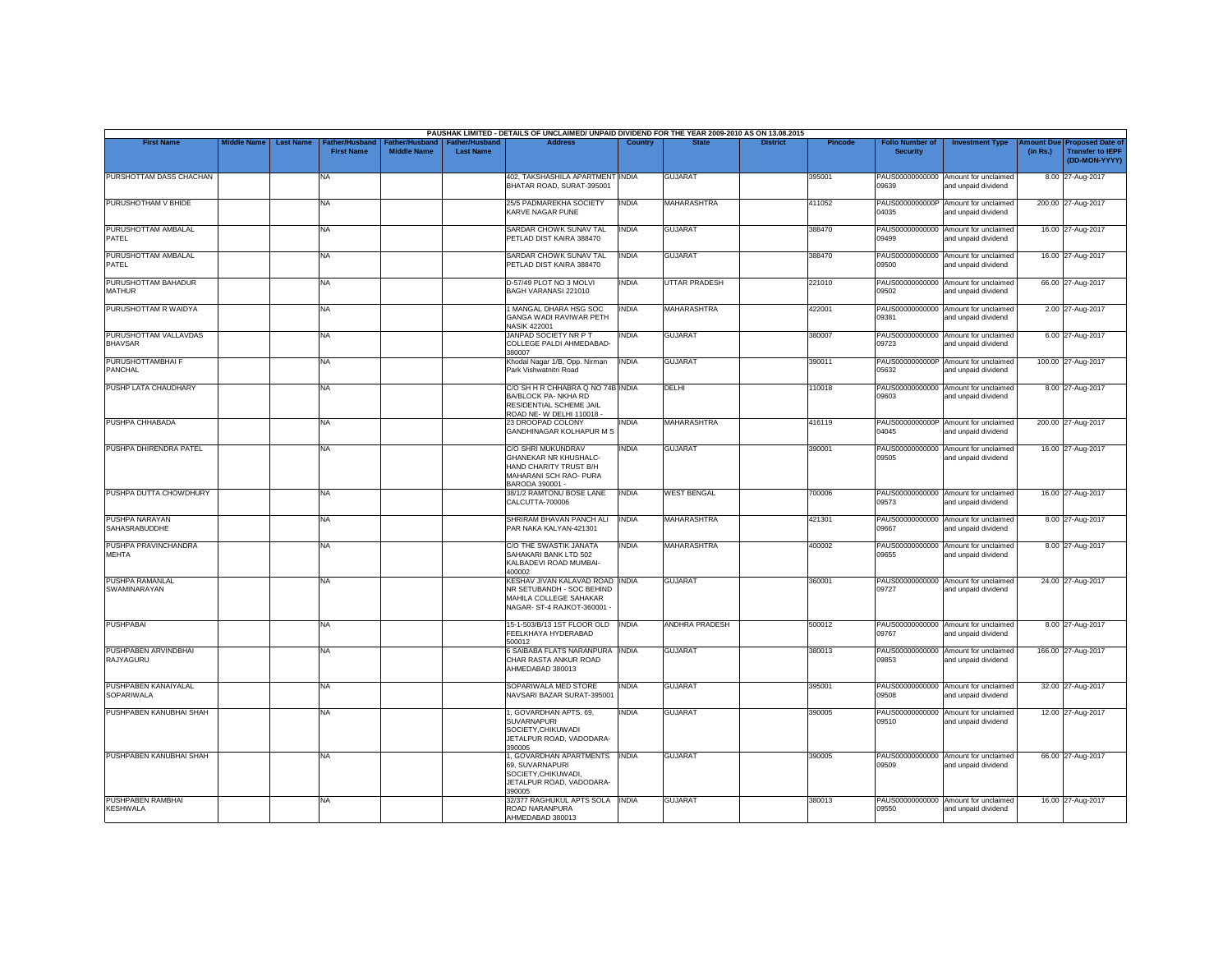|                                               |                    |                  |                                     |                                             |                                           | PAUSHAK LIMITED - DETAILS OF UNCLAIMED/ UNPAID DIVIDEND FOR THE YEAR 2009-2010 AS ON 13.08.2015                       |                |                       |                 |         |                                           |                                                             |          |                                                                         |
|-----------------------------------------------|--------------------|------------------|-------------------------------------|---------------------------------------------|-------------------------------------------|-----------------------------------------------------------------------------------------------------------------------|----------------|-----------------------|-----------------|---------|-------------------------------------------|-------------------------------------------------------------|----------|-------------------------------------------------------------------------|
| <b>First Name</b>                             | <b>Middle Name</b> | <b>Last Name</b> | Father/Husband<br><b>First Name</b> | <b>Father/Husband</b><br><b>Middle Name</b> | <b>Father/Husband</b><br><b>Last Name</b> | <b>Address</b>                                                                                                        | <b>Country</b> | <b>State</b>          | <b>District</b> | Pincode | <b>Folio Number of</b><br><b>Security</b> | <b>Investment Type</b>                                      | (in Rs.) | Amount Due Proposed Date of<br><b>Transfer to IEPF</b><br>(DD-MON-YYYY) |
| PURSHOTTAM DASS CHACHAN                       |                    |                  | <b>NA</b>                           |                                             |                                           | 402, TAKSHASHILA APARTMENT INDIA<br>BHATAR ROAD, SURAT-395001                                                         |                | <b>GUJARAT</b>        |                 | 395001  | 09639                                     | PAUS00000000000 Amount for unclaimed<br>and unpaid dividend |          | 8.00 27-Aug-2017                                                        |
| PURUSHOTHAM V BHIDE                           |                    |                  | <b>NA</b>                           |                                             |                                           | 25/5 PADMAREKHA SOCIETY<br>KARVE NAGAR PUNE                                                                           | <b>INDIA</b>   | <b>MAHARASHTRA</b>    |                 | 411052  | PAUS0000000000P<br>04035                  | Amount for unclaimed<br>and unpaid dividend                 |          | 200.00 27-Aug-2017                                                      |
| PURUSHOTTAM AMBALAL<br>PATEL                  |                    |                  | <b>NA</b>                           |                                             |                                           | SARDAR CHOWK SUNAV TAL<br>PETLAD DIST KAIRA 388470                                                                    | <b>INDIA</b>   | <b>GUJARAT</b>        |                 | 388470  | 09499                                     | PAUS00000000000 Amount for unclaimed<br>and unpaid dividend |          | 16.00 27-Aug-2017                                                       |
| PURUSHOTTAM AMBALAL<br>PATEL                  |                    |                  | <b>NA</b>                           |                                             |                                           | SARDAR CHOWK SUNAV TAL<br>PETLAD DIST KAIRA 388470                                                                    | <b>INDIA</b>   | <b>GUJARAT</b>        |                 | 388470  | 09500                                     | PAUS00000000000 Amount for unclaimed<br>and unpaid dividend |          | 16.00 27-Aug-2017                                                       |
| PURUSHOTTAM BAHADUR<br><b>MATHUR</b>          |                    |                  | <b>NA</b>                           |                                             |                                           | D-57/49 PLOT NO 3 MOLVI<br>BAGH VARANASI 221010                                                                       | <b>INDIA</b>   | UTTAR PRADESH         |                 | 221010  | PAUS00000000000<br>09502                  | Amount for unclaimed<br>and unpaid dividend                 |          | 66.00 27-Aug-2017                                                       |
| PURUSHOTTAM R WAIDYA                          |                    |                  | <b>NA</b>                           |                                             |                                           | 1 MANGAL DHARA HSG SOC<br>GANGA WADI RAVIWAR PETH<br><b>NASIK 422001</b>                                              | INDIA          | <b>MAHARASHTRA</b>    |                 | 422001  | 09381                                     | PAUS00000000000 Amount for unclaimed<br>and unpaid dividend |          | 2.00 27-Aug-2017                                                        |
| PURUSHOTTAM VALLAVDAS<br><b>BHAVSAR</b>       |                    |                  | <b>NA</b>                           |                                             |                                           | JANPAD SOCIETY NR P T<br>COLLEGE PALDI AHMEDABAD-<br>380007                                                           | <b>INDIA</b>   | <b>GUJARAT</b>        |                 | 380007  | 09723                                     | PAUS00000000000 Amount for unclaimed<br>and unpaid dividend |          | 6.00 27-Aug-2017                                                        |
| PURUSHOTTAMBHAI F<br>PANCHAL                  |                    |                  | <b>NA</b>                           |                                             |                                           | Khodal Nagar 1/B, Opp. Nirman<br>Park Vishwatnitri Road                                                               | <b>INDIA</b>   | <b>GUJARAT</b>        |                 | 390011  | 05632                                     | PAUS0000000000P Amount for unclaimed<br>and unpaid dividend |          | 100.00 27-Aug-2017                                                      |
| PUSHP LATA CHAUDHARY                          |                    |                  | <b>NA</b>                           |                                             |                                           | C/O SH H R CHHABRA Q NO 74B INDIA<br>BA/BLOCK PA-NKHA RD<br>RESIDENTIAL SCHEME JAIL<br>ROAD NE- W DELHI 110018 -      |                | DELHI                 |                 | 110018  | 09603                                     | PAUS00000000000 Amount for unclaimed<br>and unpaid dividend |          | 8.00 27-Aug-2017                                                        |
| PUSHPA CHHABADA                               |                    |                  | <b>NA</b>                           |                                             |                                           | 23 DROOPAD COLONY<br>GANDHINAGAR KOLHAPUR M S                                                                         | <b>INDIA</b>   | <b>MAHARASHTRA</b>    |                 | 416119  | PAUS0000000000P<br>04045                  | Amount for unclaimed<br>and unpaid dividend                 |          | 200.00 27-Aug-2017                                                      |
| PUSHPA DHIRENDRA PATEL                        |                    |                  | <b>NA</b>                           |                                             |                                           | C/O SHRI MUKUNDRAV<br>GHANEKAR NR KHUSHALC-<br>HAND CHARITY TRUST B/H<br>MAHARANI SCH RAO- PURA<br>BARODA 390001 -    | INDIA          | <b>GUJARAT</b>        |                 | 390001  | PAUS00000000000<br>09505                  | Amount for unclaimed<br>and unpaid dividend                 |          | 16.00 27-Aug-2017                                                       |
| PUSHPA DUTTA CHOWDHURY                        |                    |                  | <b>NA</b>                           |                                             |                                           | 38/1/2 RAMTONU BOSE LANE<br>CALCUTTA-700006                                                                           | <b>INDIA</b>   | <b>WEST BENGAL</b>    |                 | 700006  | 09573                                     | PAUS00000000000 Amount for unclaimed<br>and unpaid dividend |          | 16.00 27-Aug-2017                                                       |
| PUSHPA NARAYAN<br>SAHASRABUDDHE               |                    |                  | <b>NA</b>                           |                                             |                                           | SHRIRAM BHAVAN PANCH ALI<br>PAR NAKA KALYAN-421301                                                                    | <b>INDIA</b>   | <b>MAHARASHTRA</b>    |                 | 421301  | 09667                                     | PAUS00000000000 Amount for unclaimed<br>and unpaid dividend |          | 8.00 27-Aug-2017                                                        |
| PUSHPA PRAVINCHANDRA<br>MEHTA                 |                    |                  | <b>NA</b>                           |                                             |                                           | C/O THE SWASTIK JANATA<br>SAHAKARI BANK LTD 502<br>KALBADEVI ROAD MUMBAI-<br>400002                                   | <b>INDIA</b>   | <b>MAHARASHTRA</b>    |                 | 400002  | 09655                                     | PAUS00000000000 Amount for unclaimed<br>and unpaid dividend |          | 8.00 27-Aug-2017                                                        |
| <b>PUSHPA RAMANLAL</b><br><b>SWAMINARAYAN</b> |                    |                  | <b>NA</b>                           |                                             |                                           | KESHAV JIVAN KALAVAD ROAD INDIA<br>NR SETUBANDH - SOC BEHIND<br>MAHILA COLLEGE SAHAKAR<br>NAGAR- ST-4 RAJKOT-360001 - |                | <b>GUJARAT</b>        |                 | 360001  | 09727                                     | PAUS00000000000 Amount for unclaimed<br>and unpaid dividend |          | 24.00 27-Aug-2017                                                       |
| <b>PUSHPABAI</b>                              |                    |                  | <b>NA</b>                           |                                             |                                           | 15-1-503/B/13 1ST FLOOR OLD<br>FEELKHAYA HYDERABAD<br>500012                                                          | <b>INDIA</b>   | <b>ANDHRA PRADESH</b> |                 | 500012  | 09767                                     | PAUS00000000000 Amount for unclaimed<br>and unpaid dividend |          | 8.00 27-Aug-2017                                                        |
| PUSHPABEN ARVINDBHAI<br>RAJYAGURU             |                    |                  | <b>NA</b>                           |                                             |                                           | 6 SAIBABA FLATS NARANPURA INDIA<br>CHAR RASTA ANKUR ROAD<br>AHMEDABAD 380013                                          |                | <b>GUJARAT</b>        |                 | 380013  | 09853                                     | PAUS00000000000 Amount for unclaimed<br>and unpaid dividend |          | 166.00 27-Aug-2017                                                      |
| PUSHPABEN KANAIYALAL<br><b>SOPARIWALA</b>     |                    |                  | <b>NA</b>                           |                                             |                                           | SOPARIWALA MED STORE<br>NAVSARI BAZAR SURAT-395001                                                                    | INDIA          | <b>GUJARAT</b>        |                 | 395001  | 09508                                     | PAUS00000000000 Amount for unclaimed<br>and unpaid dividend |          | 32.00 27-Aug-2017                                                       |
| PUSHPABEN KANUBHAI SHAH                       |                    |                  | <b>NA</b>                           |                                             |                                           | , GOVARDHAN APTS. 69,<br><b>SUVARNAPURI</b><br>SOCIETY.CHIKUWADI<br>JETALPUR ROAD, VADODARA-<br>390005                | <b>INDIA</b>   | <b>GUJARAT</b>        |                 | 390005  | 09510                                     | PAUS00000000000 Amount for unclaimed<br>and unpaid dividend |          | 12.00 27-Aug-2017                                                       |
| PUSHPABEN KANUBHAI SHAH                       |                    |                  | <b>NA</b>                           |                                             |                                           | . GOVARDHAN APARTMENTS<br>69. SUVARNAPURI<br>SOCIETY.CHIKUWADI.<br>JETALPUR ROAD, VADODARA-<br>390005                 | <b>INDIA</b>   | <b>GUJARAT</b>        |                 | 390005  | 09509                                     | PAUS00000000000 Amount for unclaimed<br>and unpaid dividend |          | 66.00 27-Aug-2017                                                       |
| PUSHPABEN RAMBHAI<br><b>KESHWALA</b>          |                    |                  | <b>NA</b>                           |                                             |                                           | 32/377 RAGHUKUL APTS SOLA<br>ROAD NARANPURA<br>AHMEDABAD 380013                                                       | <b>INDIA</b>   | <b>GUJARAT</b>        |                 | 380013  | 09550                                     | PAUS00000000000 Amount for unclaimed<br>and unpaid dividend |          | 16.00 27-Aug-2017                                                       |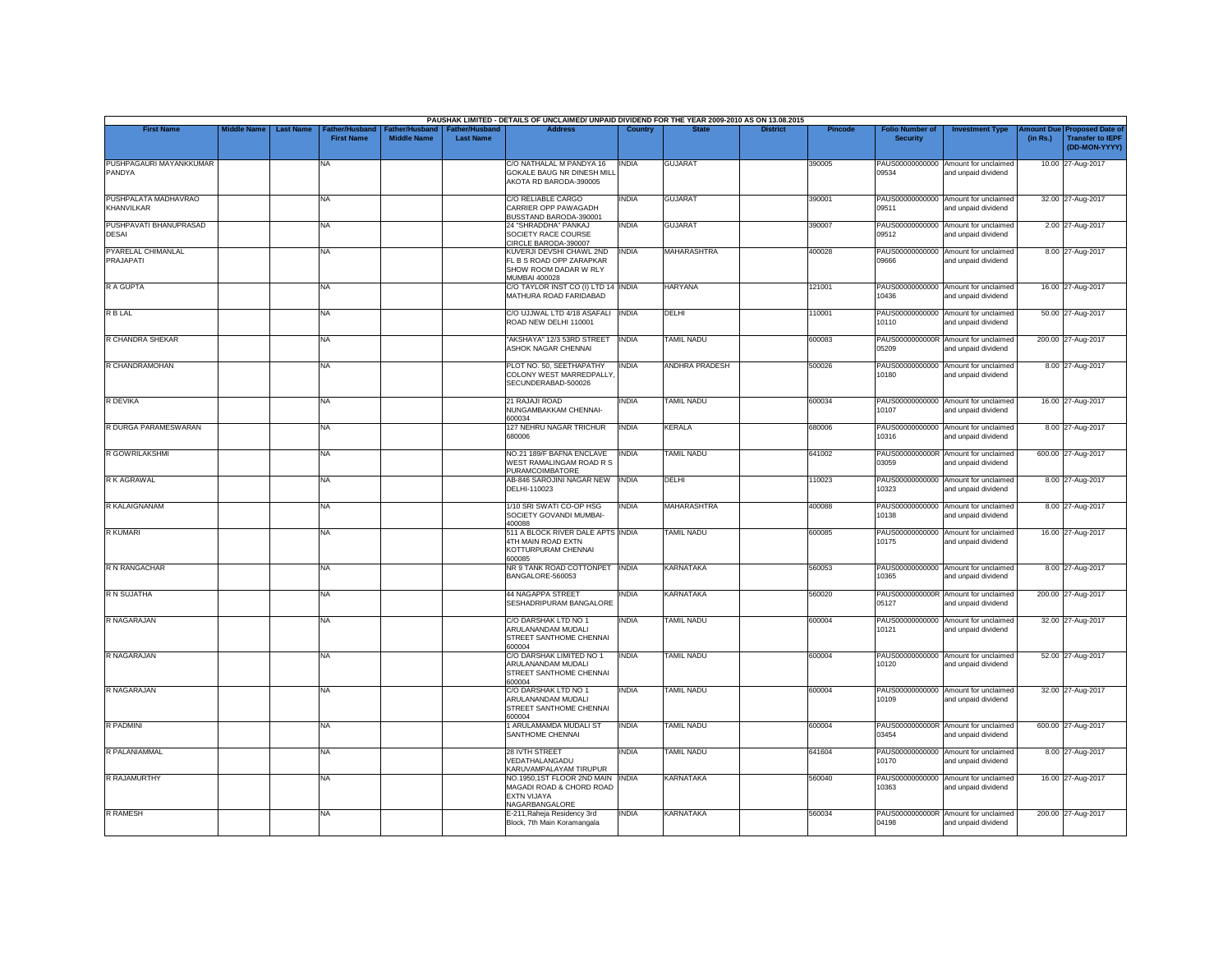|                                        |                    |                                                                |                                      |                                           | PAUSHAK LIMITED - DETAILS OF UNCLAIMED/ UNPAID DIVIDEND FOR THE YEAR 2009-2010 AS ON 13.08.2015       |                |                       |                 |                |                                           |                                                             |          |                                                                                |
|----------------------------------------|--------------------|----------------------------------------------------------------|--------------------------------------|-------------------------------------------|-------------------------------------------------------------------------------------------------------|----------------|-----------------------|-----------------|----------------|-------------------------------------------|-------------------------------------------------------------|----------|--------------------------------------------------------------------------------|
| <b>First Name</b>                      | <b>Middle Name</b> | <b>Last Name</b><br><b>Father/Husband</b><br><b>First Name</b> | Father/Husband<br><b>Middle Name</b> | <b>Father/Husband</b><br><b>Last Name</b> | <b>Address</b>                                                                                        | <b>Country</b> | <b>State</b>          | <b>District</b> | <b>Pincode</b> | <b>Folio Number of</b><br><b>Security</b> | <b>Investment Type</b>                                      | (in Rs.) | <b>Amount Due Proposed Date of</b><br><b>Transfer to IEPF</b><br>(DD-MON-YYYY) |
| PUSHPAGAURI MAYANKKUMAR<br>PANDYA      |                    | <b>NA</b>                                                      |                                      |                                           | C/O NATHALAL M PANDYA 16<br>GOKALE BAUG NR DINESH MILL<br>AKOTA RD BARODA-390005                      | <b>INDIA</b>   | <b>GUJARAT</b>        |                 | 390005         | 09534                                     | PAUS00000000000 Amount for unclaimed<br>and unpaid dividend |          | 10.00 27-Aug-2017                                                              |
| PUSHPALATA MADHAVRAO<br>KHANVILKAR     |                    | <b>NA</b>                                                      |                                      |                                           | C/O RELIABLE CARGO<br>CARRIER OPP PAWAGADH<br>BUSSTAND BARODA-390001                                  | INDIA          | <b>GUJARAT</b>        |                 | 390001         | PAUS00000000000<br>09511                  | Amount for unclaimed<br>and unpaid dividend                 |          | 32.00 27-Aug-2017                                                              |
| PUSHPAVATI BHANUPRASAD<br><b>DESAI</b> |                    | <b>NA</b>                                                      |                                      |                                           | 24 "SHRADDHA" PANKAJ<br>SOCIETY RACE COURSE<br>CIRCLE BARODA-390007                                   | <b>INDIA</b>   | <b>GUJARAT</b>        |                 | 390007         | 09512                                     | PAUS00000000000 Amount for unclaimed<br>and unpaid dividend |          | 2.00 27-Aug-2017                                                               |
| PYARELAL CHIMANLAL<br>PRAJAPATI        |                    | <b>NA</b>                                                      |                                      |                                           | KUVERJI DEVSHI CHAWL 2ND<br>FL B S ROAD OPP ZARAPKAR<br>SHOW ROOM DADAR W RLY<br><b>MUMBAI 400028</b> | <b>INDIA</b>   | MAHARASHTRA           |                 | 400028         | 09666                                     | PAUS00000000000 Amount for unclaimed<br>and unpaid dividend |          | 8.00 27-Aug-2017                                                               |
| R A GUPTA                              |                    | <b>NA</b>                                                      |                                      |                                           | C/O TAYLOR INST CO (I) LTD 14 INDIA<br>MATHURA ROAD FARIDABAD                                         |                | <b>HARYANA</b>        |                 | 121001         | 10436                                     | PAUS00000000000 Amount for unclaimed<br>and unpaid dividend |          | 16.00 27-Aug-2017                                                              |
| R B LAL                                |                    | <b>NA</b>                                                      |                                      |                                           | C/O UJJWAL LTD 4/18 ASAFALI INDIA<br>ROAD NEW DELHI 110001                                            |                | <b>DELHI</b>          |                 | 110001         | PAUS00000000000<br>10110                  | Amount for unclaimed<br>and unpaid dividend                 |          | 50.00 27-Aug-2017                                                              |
| R CHANDRA SHEKAR                       |                    | <b>NA</b>                                                      |                                      |                                           | "AKSHAYA" 12/3 53RD STREET<br>ASHOK NAGAR CHENNAI                                                     | <b>INDIA</b>   | <b>TAMIL NADU</b>     |                 | 600083         | 05209                                     | PAUS0000000000R Amount for unclaimed<br>and unpaid dividend |          | 200.00 27-Aug-2017                                                             |
| R CHANDRAMOHAN                         |                    | <b>NA</b>                                                      |                                      |                                           | PLOT NO. 50, SEETHAPATHY<br>COLONY WEST MARREDPALLY<br>SECUNDERABAD-500026                            | INDIA          | <b>ANDHRA PRADESH</b> |                 | 500026         | 10180                                     | PAUS00000000000 Amount for unclaimed<br>and unpaid dividend |          | 8.00 27-Aug-2017                                                               |
| R DEVIKA                               |                    | <b>NA</b>                                                      |                                      |                                           | 21 RAJAJI ROAD<br>NUNGAMBAKKAM CHENNAI-<br>600034                                                     | <b>INDIA</b>   | <b>TAMIL NADU</b>     |                 | 600034         | 10107                                     | PAUS00000000000 Amount for unclaimed<br>and unpaid dividend |          | 16.00 27-Aug-2017                                                              |
| R DURGA PARAMESWARAN                   |                    | <b>NA</b>                                                      |                                      |                                           | 127 NEHRU NAGAR TRICHUR<br>680006                                                                     | <b>INDIA</b>   | <b>KERALA</b>         |                 | 680006         | 10316                                     | PAUS00000000000 Amount for unclaimed<br>and unpaid dividend |          | 8.00 27-Aug-2017                                                               |
| R GOWRILAKSHMI                         |                    | <b>NA</b>                                                      |                                      |                                           | NO.21 189/F BAFNA ENCLAVE<br>WEST RAMALINGAM ROAD R S<br><b>PURAMCOIMBATORE</b>                       | <b>INDIA</b>   | <b>TAMIL NADU</b>     |                 | 641002         | PAUS0000000000R<br>03059                  | Amount for unclaimed<br>and unpaid dividend                 |          | 600.00 27-Aug-2017                                                             |
| R K AGRAWAL                            |                    | <b>NA</b>                                                      |                                      |                                           | AB-846 SAROJINI NAGAR NEW<br>DELHI-110023                                                             | <b>INDIA</b>   | DELHI                 |                 | 110023         | 10323                                     | PAUS00000000000 Amount for unclaimed<br>and unpaid dividend |          | 8.00 27-Aug-2017                                                               |
| R KALAIGNANAM                          |                    | <b>NA</b>                                                      |                                      |                                           | 1/10 SRI SWATI CO-OP HSG<br>SOCIETY GOVANDI MUMBAI-<br>400088                                         | <b>INDIA</b>   | <b>MAHARASHTRA</b>    |                 | 400088         | PAUS00000000000<br>10138                  | Amount for unclaimed<br>and unpaid dividend                 |          | 8.00 27-Aug-2017                                                               |
| <b>R KUMARI</b>                        |                    | <b>NA</b>                                                      |                                      |                                           | 511 A BLOCK RIVER DALE APTS INDIA<br>4TH MAIN ROAD EXTN<br>KOTTURPURAM CHENNAI<br>600085              |                | <b>TAMIL NADU</b>     |                 | 600085         | 10175                                     | PAUS00000000000 Amount for unclaimed<br>and unpaid dividend |          | 16.00 27-Aug-2017                                                              |
| R N RANGACHAR                          |                    | <b>NA</b>                                                      |                                      |                                           | NR 9 TANK ROAD COTTONPET INDIA<br>BANGALORE-560053                                                    |                | <b>KARNATAKA</b>      |                 | 560053         | 10365                                     | PAUS00000000000 Amount for unclaimed<br>and unpaid dividend |          | 8.00 27-Aug-2017                                                               |
| <b>R N SUJATHA</b>                     |                    | <b>NA</b>                                                      |                                      |                                           | <b>44 NAGAPPA STREET</b><br>SESHADRIPURAM BANGALORE                                                   | INDIA          | <b>KARNATAKA</b>      |                 | 560020         | 05127                                     | PAUS0000000000R Amount for unclaimed<br>and unpaid dividend |          | 200.00 27-Aug-2017                                                             |
| <b>R NAGARAJAN</b>                     |                    | NA                                                             |                                      |                                           | C/O DARSHAK LTD NO 1<br>ARULANANDAM MUDALI<br>STREET SANTHOME CHENNAI<br>600004                       | INDIA          | <b>TAMIL NADU</b>     |                 | 600004         | PAUS00000000000<br>10121                  | Amount for unclaimed<br>and unpaid dividend                 |          | 32.00 27-Aug-2017                                                              |
| R NAGARAJAN                            |                    | <b>NA</b>                                                      |                                      |                                           | C/O DARSHAK LIMITED NO 1<br>ARULANANDAM MUDALI<br>STREET SANTHOME CHENNAI<br>600004                   | <b>INDIA</b>   | <b>TAMIL NADU</b>     |                 | 600004         | 10120                                     | PAUS00000000000 Amount for unclaimed<br>and unpaid dividend |          | 52.00 27-Aug-2017                                                              |
| <b>R NAGARAJAN</b>                     |                    | <b>NA</b>                                                      |                                      |                                           | C/O DARSHAK LTD NO 1<br>ARULANANDAM MUDALI<br>STREET SANTHOME CHENNAI<br>600004                       | <b>INDIA</b>   | <b>TAMIL NADU</b>     |                 | 600004         | 10109                                     | PAUS00000000000 Amount for unclaimed<br>and unpaid dividend |          | 32.00 27-Aug-2017                                                              |
| R PADMINI                              |                    | <b>NA</b>                                                      |                                      |                                           | 1 ARULAMAMDA MUDALI ST<br>SANTHOME CHENNAI                                                            | <b>INDIA</b>   | <b>TAMIL NADU</b>     |                 | 600004         | 03454                                     | PAUS0000000000R Amount for unclaimed<br>and unpaid dividend |          | 600.00 27-Aug-2017                                                             |
| R PALANIAMMAL                          |                    | <b>NA</b>                                                      |                                      |                                           | 28 IVTH STREET<br>VEDATHALANGADU<br>KARUVAMPALAYAM TIRUPUR                                            | <b>INDIA</b>   | <b>TAMIL NADU</b>     |                 | 641604         | PAUS00000000000<br>10170                  | Amount for unclaimed<br>and unpaid dividend                 |          | 8.00 27-Aug-2017                                                               |
| R RAJAMURTHY                           |                    | <b>NA</b>                                                      |                                      |                                           | NO.1950,1ST FLOOR 2ND MAIN INDIA<br>MAGADI ROAD & CHORD ROAD<br>EXTN VIJAYA<br>NAGARBANGALORE         |                | KARNATAKA             |                 | 560040         | 10363                                     | PAUS00000000000 Amount for unclaimed<br>and unpaid dividend |          | 16.00 27-Aug-2017                                                              |
| <b>R RAMESH</b>                        |                    | <b>NA</b>                                                      |                                      |                                           | E-211, Raheja Residency 3rd<br>Block, 7th Main Koramangala                                            | <b>INDIA</b>   | <b>KARNATAKA</b>      |                 | 560034         | 04198                                     | PAUS0000000000R Amount for unclaimed<br>and unpaid dividend |          | 200.00 27-Aug-2017                                                             |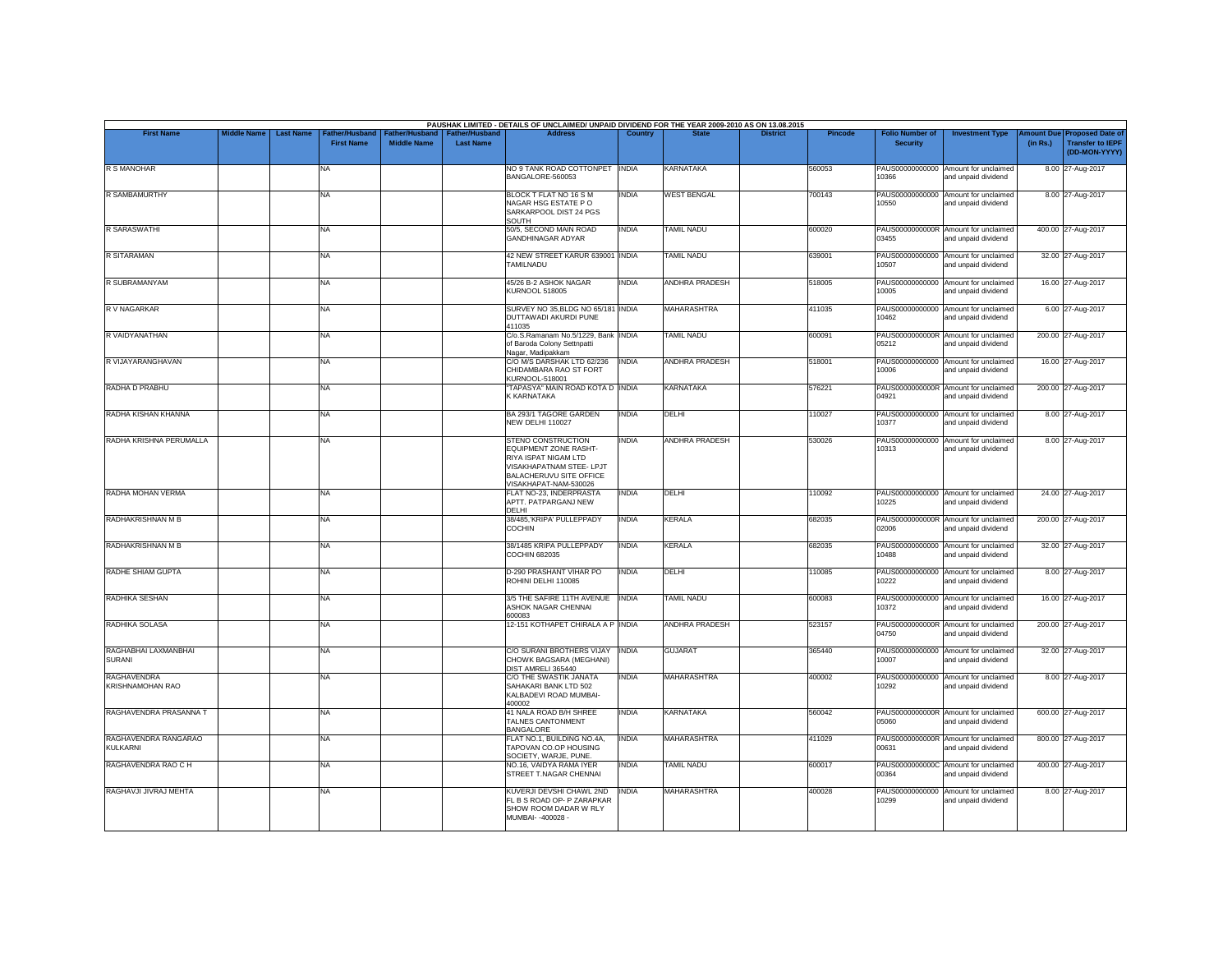| <b>First Name</b>                       | <b>Middle Name</b> | <b>Last Name</b> | Father/Husband    |                    | Father/Husband   Father/Husband | PAUSHAK LIMITED - DETAILS OF UNCLAIMED/ UNPAID DIVIDEND FOR THE YEAR 2009-2010 AS ON 13.08.2015<br><b>Address</b>                                   | Country      |                       | <b>District</b> | <b>Pincode</b> | <b>Folio Number of</b> | <b>Investment Type</b>                                      |          | Amount Due Proposed Date of              |
|-----------------------------------------|--------------------|------------------|-------------------|--------------------|---------------------------------|-----------------------------------------------------------------------------------------------------------------------------------------------------|--------------|-----------------------|-----------------|----------------|------------------------|-------------------------------------------------------------|----------|------------------------------------------|
|                                         |                    |                  | <b>First Name</b> | <b>Middle Name</b> | <b>Last Name</b>                |                                                                                                                                                     |              |                       |                 |                | <b>Security</b>        |                                                             | (in Rs.) | <b>Transfer to IEPF</b><br>(DD-MON-YYYY) |
| <b>R S MANOHAR</b>                      |                    |                  | NA                |                    |                                 | NO 9 TANK ROAD COTTONPET INDIA<br>BANGALORE-560053                                                                                                  |              | <b>KARNATAKA</b>      |                 | 560053         | 10366                  | PAUS00000000000 Amount for unclaimed<br>and unpaid dividend |          | 8.00 27-Aug-2017                         |
| <b>R SAMBAMURTHY</b>                    |                    |                  | <b>NA</b>         |                    |                                 | BLOCK T FLAT NO 16 S M<br>NAGAR HSG ESTATE PO<br>SARKARPOOL DIST 24 PGS<br>SOUTH                                                                    | <b>INDIA</b> | <b>WEST BENGAL</b>    |                 | 700143         | 10550                  | PAUS00000000000 Amount for unclaimed<br>and unpaid dividend |          | 8.00 27-Aug-2017                         |
| <b>R SARASWATHI</b>                     |                    |                  | <b>NA</b>         |                    |                                 | 50/5, SECOND MAIN ROAD<br>GANDHINAGAR ADYAR                                                                                                         | <b>INDIA</b> | <b>TAMIL NADU</b>     |                 | 600020         | 03455                  | PAUS0000000000R Amount for unclaimed<br>and unpaid dividend |          | 400.00 27-Aug-2017                       |
| R SITARAMAN                             |                    |                  | <b>NA</b>         |                    |                                 | 42 NEW STREET KARUR 639001 INDIA<br><b>TAMILNADU</b>                                                                                                |              | <b>TAMIL NADU</b>     |                 | 639001         | 10507                  | PAUS00000000000 Amount for unclaimed<br>and unpaid dividend |          | 32.00 27-Aug-2017                        |
| R SUBRAMANYAM                           |                    |                  | <b>NA</b>         |                    |                                 | 45/26 B-2 ASHOK NAGAR<br><b>KURNOOL 518005</b>                                                                                                      | <b>INDIA</b> | ANDHRA PRADESH        |                 | 518005         | 10005                  | PAUS00000000000 Amount for unclaimed<br>and unpaid dividend |          | 16.00 27-Aug-2017                        |
| R V NAGARKAR                            |                    |                  | <b>NA</b>         |                    |                                 | SURVEY NO 35, BLDG NO 65/181 INDIA<br>DUTTAWADI AKURDI PUNE<br>411035                                                                               |              | <b>MAHARASHTRA</b>    |                 | 411035         | 10462                  | PAUS00000000000 Amount for unclaimed<br>and unpaid dividend |          | 6.00 27-Aug-2017                         |
| R VAIDYANATHAN                          |                    |                  | NA                |                    |                                 | C/o.S.Ramanam No.5/1229, Bank INDIA<br>of Baroda Colony Settnpatti<br>Nagar, Madipakkam                                                             |              | <b>TAMIL NADU</b>     |                 | 600091         | 05212                  | PAUS0000000000R Amount for unclaimed<br>and unpaid dividend |          | 200.00 27-Aug-2017                       |
| R VIJAYARANGHAVAN                       |                    |                  | NA                |                    |                                 | C/O M/S DARSHAK LTD 62/236<br>CHIDAMBARA RAO ST FORT<br>KURNOOL-518001                                                                              | <b>INDIA</b> | <b>ANDHRA PRADESH</b> |                 | 518001         | 10006                  | PAUS00000000000 Amount for unclaimed<br>and unpaid dividend |          | 16.00 27-Aug-2017                        |
| RADHA D PRABHU                          |                    |                  | <b>NA</b>         |                    |                                 | "TAPASYA" MAIN ROAD KOTA D INDIA<br>K KARNATAKA                                                                                                     |              | <b>KARNATAKA</b>      |                 | 576221         | 04921                  | PAUS0000000000R Amount for unclaimed<br>and unpaid dividend |          | 200.00 27-Aug-2017                       |
| RADHA KISHAN KHANNA                     |                    |                  | <b>NA</b>         |                    |                                 | BA 293/1 TAGORE GARDEN<br>NEW DELHI 110027                                                                                                          | <b>INDIA</b> | DELHI                 |                 | 110027         | 10377                  | PAUS00000000000 Amount for unclaimed<br>and unpaid dividend |          | 8.00 27-Aug-2017                         |
| RADHA KRISHNA PERUMALLA                 |                    |                  | <b>NA</b>         |                    |                                 | STENO CONSTRUCTION<br>EQUIPMENT ZONE RASHT-<br>RIYA ISPAT NIGAM LTD<br>VISAKHAPATNAM STEE- LPJT<br>BALACHERUVU SITE OFFICE<br>VISAKHAPAT-NAM-530026 | <b>INDIA</b> | <b>ANDHRA PRADESH</b> |                 | 530026         | 10313                  | PAUS00000000000 Amount for unclaimed<br>and unpaid dividend |          | 8.00 27-Aug-2017                         |
| RADHA MOHAN VERMA                       |                    |                  | <b>NA</b>         |                    |                                 | FLAT NO-23. INDERPRASTA<br>APTT. PATPARGANJ NEW<br><b>DELHI</b>                                                                                     | <b>INDIA</b> | <b>DELHI</b>          |                 | 110092         | 10225                  | PAUS00000000000 Amount for unclaimed<br>and unpaid dividend |          | 24.00 27-Aug-2017                        |
| RADHAKRISHNAN M B                       |                    |                  | NA                |                    |                                 | 38/485, KRIPA' PULLEPPADY<br>COCHIN                                                                                                                 | <b>INDIA</b> | <b>KERALA</b>         |                 | 682035         | 02006                  | PAUS0000000000R Amount for unclaimed<br>and unpaid dividend |          | 200.00 27-Aug-2017                       |
| RADHAKRISHNAN M B                       |                    |                  | <b>NA</b>         |                    |                                 | 38/1485 KRIPA PULLEPPADY<br><b>COCHIN 682035</b>                                                                                                    | <b>INDIA</b> | KERALA                |                 | 682035         | 10488                  | PAUS00000000000 Amount for unclaimed<br>and unpaid dividend |          | 32.00 27-Aug-2017                        |
| RADHE SHIAM GUPTA                       |                    |                  | <b>NA</b>         |                    |                                 | D-290 PRASHANT VIHAR PO<br>ROHINI DELHI 110085                                                                                                      | <b>INDIA</b> | DELHI                 |                 | 110085         | 10222                  | PAUS00000000000 Amount for unclaimed<br>and unpaid dividend |          | 8.00 27-Aug-2017                         |
| RADHIKA SESHAN                          |                    |                  | <b>NA</b>         |                    |                                 | 3/5 THE SAFIRE 11TH AVENUE   INDIA<br>ASHOK NAGAR CHENNAI<br>600083                                                                                 |              | <b>TAMIL NADU</b>     |                 | 600083         | 10372                  | PAUS00000000000 Amount for unclaimed<br>and unpaid dividend |          | 16.00 27-Aug-2017                        |
| RADHIKA SOLASA                          |                    |                  | <b>NA</b>         |                    |                                 | 12-151 KOTHAPET CHIRALA A P INDIA                                                                                                                   |              | <b>ANDHRA PRADESH</b> |                 | 523157         | 04750                  | PAUS0000000000R Amount for unclaimed<br>and unpaid dividend |          | 200.00 27-Aug-2017                       |
| RAGHABHAI LAXMANBHAI<br><b>SURANI</b>   |                    |                  | <b>NA</b>         |                    |                                 | C/O SURANI BROTHERS VIJAY INDIA<br>CHOWK BAGSARA (MEGHANI)<br>DIST AMRELI 365440                                                                    |              | <b>GUJARAT</b>        |                 | 365440         | 10007                  | PAUS00000000000 Amount for unclaimed<br>and unpaid dividend |          | 32.00 27-Aug-2017                        |
| <b>RAGHAVENDRA</b><br>KRISHNAMOHAN RAO  |                    |                  | NA                |                    |                                 | C/O THE SWASTIK JANATA<br>SAHAKARI BANK LTD 502<br>KALBADEVI ROAD MUMBAI-<br>400002                                                                 | <b>INDIA</b> | <b>MAHARASHTRA</b>    |                 | 400002         | 10292                  | PAUS00000000000 Amount for unclaimed<br>and unpaid dividend |          | 8.00 27-Aug-2017                         |
| RAGHAVENDRA PRASANNA T                  |                    |                  | <b>NA</b>         |                    |                                 | 41 NALA ROAD B/H SHREE<br>TALNES CANTONMENT<br><b>BANGALORE</b>                                                                                     | <b>INDIA</b> | <b>KARNATAKA</b>      |                 | 560042         | 05060                  | PAUS0000000000R Amount for unclaimed<br>and unpaid dividend |          | 600.00 27-Aug-2017                       |
| RAGHAVENDRA RANGARAO<br><b>KULKARNI</b> |                    |                  | <b>NA</b>         |                    |                                 | FLAT NO.1, BUILDING NO.4A,<br>TAPOVAN CO.OP HOUSING<br>SOCIETY, WARJE, PUNE.                                                                        | <b>INDIA</b> | MAHARASHTRA           |                 | 411029         | 00631                  | PAUS0000000000R Amount for unclaimed<br>and unpaid dividend |          | 800.00 27-Aug-2017                       |
| RAGHAVENDRA RAO C H                     |                    |                  | <b>NA</b>         |                    |                                 | NO.16, VAIDYA RAMA IYER<br>STREET T.NAGAR CHENNAI                                                                                                   | <b>INDIA</b> | <b>TAMIL NADU</b>     |                 | 600017         | 00364                  | PAUS0000000000C Amount for unclaimed<br>and unpaid dividend |          | 400.00 27-Aug-2017                       |
| RAGHAVJI JIVRAJ MEHTA                   |                    |                  | <b>NA</b>         |                    |                                 | KUVERJI DEVSHI CHAWL 2ND<br>FL B S ROAD OP- P ZARAPKAR<br>SHOW ROOM DADAR W RLY<br>MUMBAI- -400028 -                                                | <b>INDIA</b> | <b>MAHARASHTRA</b>    |                 | 400028         | 10299                  | PAUS00000000000 Amount for unclaimed<br>and unpaid dividend |          | 8.00 27-Aug-2017                         |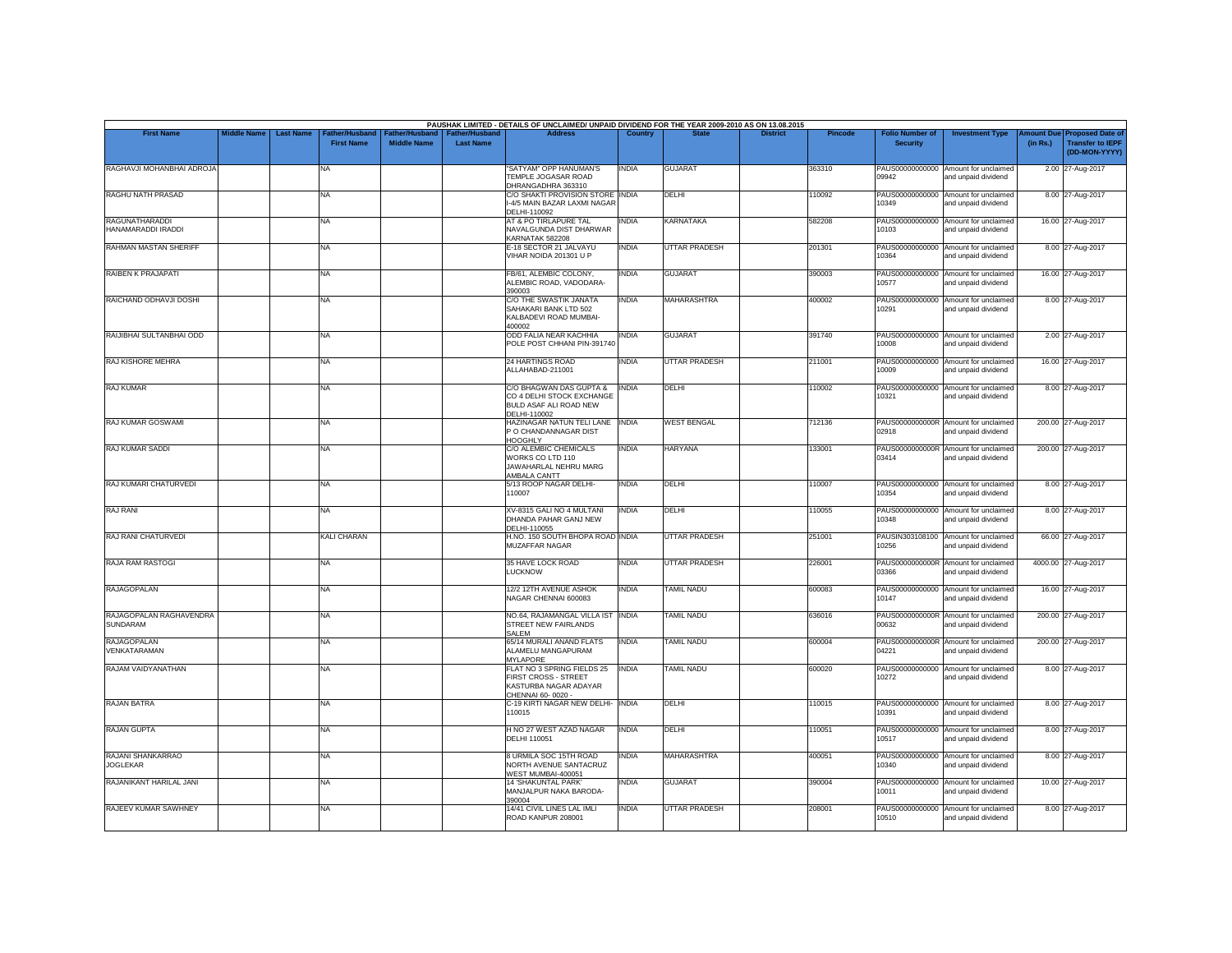| <b>First Name</b>                          | <b>Middle Name</b> | <b>Last Name</b> | Father/Husband    | Father/Husband     | Father/Husband   | PAUSHAK LIMITED - DETAILS OF UNCLAIMED/ UNPAID DIVIDEND FOR THE YEAR 2009-2010 AS ON 13.08.2015<br><b>Address</b> | Country      |                      | <b>District</b> | <b>Pincode</b> | <b>Folio Number of</b>   | <b>Investment Type</b>                                      | mount Due           | <b>Proposed Date of</b>                  |
|--------------------------------------------|--------------------|------------------|-------------------|--------------------|------------------|-------------------------------------------------------------------------------------------------------------------|--------------|----------------------|-----------------|----------------|--------------------------|-------------------------------------------------------------|---------------------|------------------------------------------|
|                                            |                    |                  | <b>First Name</b> | <b>Middle Name</b> | <b>Last Name</b> |                                                                                                                   |              |                      |                 |                | <b>Security</b>          |                                                             | (in Rs.)            | <b>Transfer to IEPF</b><br>(DD-MON-YYYY) |
| RAGHAVJI MOHANBHAI ADROJA                  |                    |                  | NA                |                    |                  | "SATYAM" OPP HANUMAN'S<br>TEMPLE JOGASAR ROAD<br>DHRANGADHRA 363310                                               | <b>INDIA</b> | <b>GUJARAT</b>       |                 | 363310         | 09942                    | PAUS00000000000 Amount for unclaimed<br>and unpaid dividend | 2.00 27-Aug-2017    |                                          |
| RAGHU NATH PRASAD                          |                    |                  | NA                |                    |                  | C/O SHAKTI PROVISION STORE INDIA<br>I-4/5 MAIN BAZAR LAXMI NAGAR<br>DELHI-110092                                  |              | DELHI                |                 | 10092          | PAUS00000000000<br>10349 | Amount for unclaimed<br>and unpaid dividend                 | 8.00 27-Aug-2017    |                                          |
| RAGUNATHARADDI<br>HANAMARADDI IRADDI       |                    |                  | NA                |                    |                  | AT & PO TIRLAPURE TAL<br>NAVALGUNDA DIST DHARWAR<br>KARNATAK 582208                                               | <b>INDIA</b> | <b>KARNATAKA</b>     |                 | 582208         | 10103                    | PAUS00000000000 Amount for unclaimed<br>and unpaid dividend | 16.00 27-Aug-2017   |                                          |
| RAHMAN MASTAN SHERIFF                      |                    |                  | NA                |                    |                  | E-18 SECTOR 21 JALVAYU<br>VIHAR NOIDA 201301 U P                                                                  | <b>INDIA</b> | UTTAR PRADESH        |                 | 201301         | 10364                    | PAUS00000000000 Amount for unclaimed<br>and unpaid dividend | 8.00 27-Aug-2017    |                                          |
| RAIBEN K PRAJAPATI                         |                    |                  | <b>NA</b>         |                    |                  | FB/61, ALEMBIC COLONY,<br>ALEMBIC ROAD, VADODARA-<br>390003                                                       | <b>INDIA</b> | <b>GUJARAT</b>       |                 | 390003         | 10577                    | PAUS00000000000 Amount for unclaimed<br>and unpaid dividend | 16.00 27-Aug-2017   |                                          |
| RAICHAND ODHAVJI DOSHI                     |                    |                  | NA                |                    |                  | C/O THE SWASTIK JANATA<br>SAHAKARI BANK LTD 502<br>KALBADEVI ROAD MUMBAI-<br>400002                               | <b>INDIA</b> | <b>MAHARASHTRA</b>   |                 | 400002         | 10291                    | PAUS00000000000 Amount for unclaimed<br>and unpaid dividend | 8.00 27-Aug-2017    |                                          |
| RAIJIBHAI SULTANBHAI ODD                   |                    |                  | NA                |                    |                  | ODD FALIA NEAR KACHHIA<br>POLE POST CHHANI PIN-391740                                                             | <b>INDIA</b> | <b>GUJARAT</b>       |                 | 391740         | 10008                    | PAUS00000000000 Amount for unclaimed<br>and unpaid dividend | 2.00 27-Aug-2017    |                                          |
| <b>RAJ KISHORE MEHRA</b>                   |                    |                  | NA                |                    |                  | <b>24 HARTINGS ROAD</b><br>ALLAHABAD-211001                                                                       | <b>INDIA</b> | <b>UTTAR PRADESH</b> |                 | 211001         | 10009                    | PAUS00000000000 Amount for unclaimed<br>and unpaid dividend | 16.00 27-Aug-2017   |                                          |
| <b>RAJ KUMAR</b>                           |                    |                  | NA                |                    |                  | C/O BHAGWAN DAS GUPTA &<br>CO 4 DELHI STOCK EXCHANGE<br>BULD ASAF ALI ROAD NEW<br>DELHI-110002                    | <b>INDIA</b> | DELHI                |                 | 10002          | 10321                    | PAUS00000000000 Amount for unclaimed<br>and unpaid dividend | 8.00 27-Aug-2017    |                                          |
| RAJ KUMAR GOSWAMI                          |                    |                  | NA                |                    |                  | HAZINAGAR NATUN TELI LANE INDIA<br>P O CHANDANNAGAR DIST<br><b>HOOGHLY</b>                                        |              | <b>WEST BENGAL</b>   |                 | 712136         | 02918                    | PAUS0000000000R Amount for unclaimed<br>and unpaid dividend | 200.00 27-Aug-2017  |                                          |
| <b>RAJ KUMAR SADDI</b>                     |                    |                  | NA                |                    |                  | C/O ALEMBIC CHEMICALS<br>WORKS CO LTD 110<br>JAWAHARLAL NEHRU MARG<br>AMBALA CANTT                                | <b>INDIA</b> | <b>HARYANA</b>       |                 | 133001         | 03414                    | PAUS0000000000R Amount for unclaimed<br>and unpaid dividend | 200.00 27-Aug-2017  |                                          |
| RAJ KUMARI CHATURVEDI                      |                    |                  | NA                |                    |                  | 5/13 ROOP NAGAR DELHI-<br>110007                                                                                  | <b>INDIA</b> | <b>DELHI</b>         |                 | 110007         | 10354                    | PAUS00000000000 Amount for unclaimed<br>and unpaid dividend | 8.00 27-Aug-2017    |                                          |
| <b>RAJ RANI</b>                            |                    |                  | NA                |                    |                  | XV-8315 GALI NO 4 MULTANI<br>DHANDA PAHAR GANJ NEW<br>DELHI-110055                                                | <b>INDIA</b> | DELHI                |                 | 110055         | 10348                    | PAUS00000000000 Amount for unclaimed<br>and unpaid dividend | 8.00 27-Aug-2017    |                                          |
| RAJ RANI CHATURVEDI                        |                    |                  | KALI CHARAN       |                    |                  | H.NO. 150 SOUTH BHOPA ROAD INDIA<br><b>MUZAFFAR NAGAR</b>                                                         |              | UTTAR PRADESH        |                 | 251001         | 10256                    | PAUSIN303108100 Amount for unclaimed<br>and unpaid dividend | 66.00 27-Aug-2017   |                                          |
| RAJA RAM RASTOGI                           |                    |                  | NA                |                    |                  | 35 HAVE LOCK ROAD<br><b>LUCKNOW</b>                                                                               | <b>INDIA</b> | <b>UTTAR PRADESH</b> |                 | 226001         | 03366                    | PAUS0000000000R Amount for unclaimed<br>and unpaid dividend | 4000.00 27-Aug-2017 |                                          |
| RAJAGOPALAN                                |                    |                  | <b>NA</b>         |                    |                  | 12/2 12TH AVENUE ASHOK<br>NAGAR CHENNAI 600083                                                                    | <b>INDIA</b> | <b>TAMIL NADU</b>    |                 | 600083         | 10147                    | PAUS00000000000 Amount for unclaimed<br>and unpaid dividend | 16.00 27-Aug-2017   |                                          |
| RAJAGOPALAN RAGHAVENDRA<br><b>SUNDARAM</b> |                    |                  | NA                |                    |                  | NO.64, RAJAMANGAL VILLA IST INDIA<br>STREET NEW FAIRLANDS<br>SALEM                                                |              | <b>TAMIL NADU</b>    |                 | 636016         | 00632                    | PAUS0000000000R Amount for unclaimed<br>and unpaid dividend | 200.00 27-Aug-2017  |                                          |
| RAJAGOPALAN<br>VENKATARAMAN                |                    |                  | NA                |                    |                  | 65/14 MURALI ANAND FLATS<br>ALAMELU MANGAPURAM<br>MYLAPORE                                                        | <b>INDIA</b> | <b>TAMIL NADU</b>    |                 | 600004         | 04221                    | PAUS0000000000R Amount for unclaimed<br>and unpaid dividend | 200.00 27-Aug-2017  |                                          |
| RAJAM VAIDYANATHAN                         |                    |                  | NA                |                    |                  | FLAT NO 3 SPRING FIELDS 25<br><b>FIRST CROSS - STREET</b><br>KASTURBA NAGAR ADAYAR<br>CHENNAI 60-0020 -           | <b>INDIA</b> | <b>TAMIL NADU</b>    |                 | 600020         | PAUS00000000000<br>10272 | Amount for unclaimed<br>and unpaid dividend                 | 8.00 27-Aug-2017    |                                          |
| <b>RAJAN BATRA</b>                         |                    |                  | <b>NA</b>         |                    |                  | C-19 KIRTI NAGAR NEW DELHI- INDIA<br>110015                                                                       |              | DELHI                |                 | 110015         | 10391                    | PAUS00000000000 Amount for unclaimed<br>and unpaid dividend | 8.00 27-Aug-2017    |                                          |
| RAJAN GUPTA                                |                    |                  | NA                |                    |                  | H NO 27 WEST AZAD NAGAR<br><b>DELHI 110051</b>                                                                    | <b>INDIA</b> | DELHI                |                 | 10051          | 10517                    | PAUS00000000000 Amount for unclaimed<br>and unpaid dividend | 8.00 27-Aug-2017    |                                          |
| RAJANI SHANKARRAO<br><b>JOGLEKAR</b>       |                    |                  | NA                |                    |                  | 8 URMILA SOC 15TH ROAD<br>NORTH AVENUE SANTACRUZ<br>WEST MUMBAI-400051                                            | <b>INDIA</b> | <b>MAHARASHTRA</b>   |                 | 400051         | 10340                    | PAUS00000000000 Amount for unclaimed<br>and unpaid dividend | 8.00 27-Aug-2017    |                                          |
| RAJANIKANT HARILAL JANI                    |                    |                  | <b>NA</b>         |                    |                  | 14 'SHAKUNTAL PARK'<br>MANJALPUR NAKA BARODA-<br>390004                                                           | <b>INDIA</b> | <b>GUJARAT</b>       |                 | 390004         | 10011                    | PAUS00000000000 Amount for unclaimed<br>and unpaid dividend | 10.00 27-Aug-2017   |                                          |
| RAJEEV KUMAR SAWHNEY                       |                    |                  | NA                |                    |                  | 14/41 CIVIL LINES LAL IMLI<br>ROAD KANPUR 208001                                                                  | <b>INDIA</b> | <b>UTTAR PRADESH</b> |                 | 208001         | 10510                    | PAUS00000000000 Amount for unclaimed<br>and unpaid dividend | 8.00 27-Aug-2017    |                                          |
|                                            |                    |                  |                   |                    |                  |                                                                                                                   |              |                      |                 |                |                          |                                                             |                     |                                          |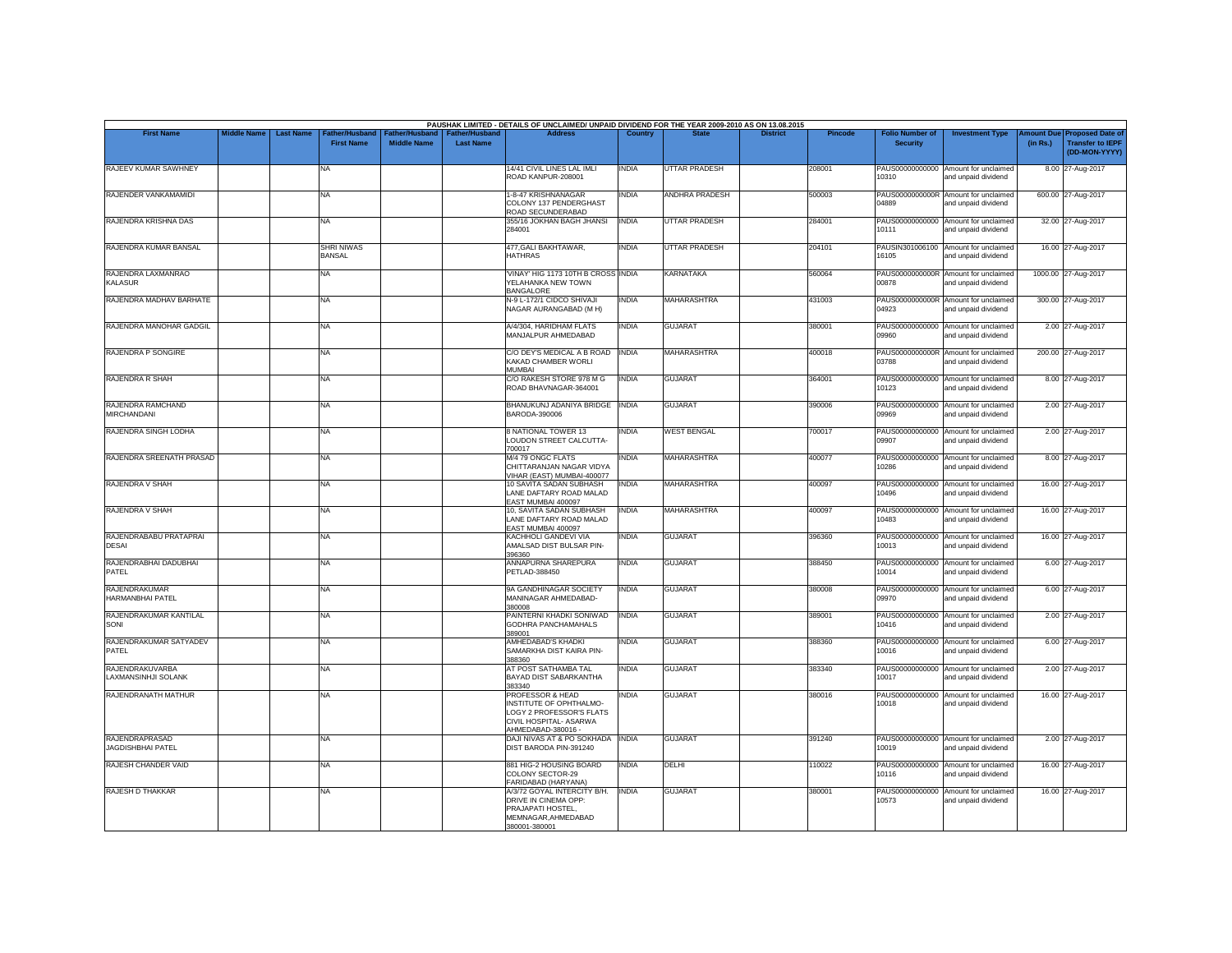| <b>First Name</b>                                 | <b>Middle Name</b> | <b>Last Name</b> | Father/Husband                     | Father/Husband     | <b>Father/Husband</b> | PAUSHAK LIMITED - DETAILS OF UNCLAIMED/ UNPAID DIVIDEND FOR THE YEAR 2009-2010 AS ON 13.08.2015<br><b>Address</b>       | Country      |                       | <b>District</b> | <b>Pincode</b> | <b>Folio Number of</b>   | <b>Investment Type</b>                                      | mount Due | <b>Proposed Date of</b>                  |
|---------------------------------------------------|--------------------|------------------|------------------------------------|--------------------|-----------------------|-------------------------------------------------------------------------------------------------------------------------|--------------|-----------------------|-----------------|----------------|--------------------------|-------------------------------------------------------------|-----------|------------------------------------------|
|                                                   |                    |                  | <b>First Name</b>                  | <b>Middle Name</b> | <b>Last Name</b>      |                                                                                                                         |              |                       |                 |                | <b>Security</b>          |                                                             | (in Rs.)  | <b>Transfer to IEPF</b><br>(DD-MON-YYYY) |
| RAJEEV KUMAR SAWHNEY                              |                    |                  | NA                                 |                    |                       | 14/41 CIVIL LINES LAL IMLI<br>ROAD KANPUR-208001                                                                        | <b>INDIA</b> | <b>UTTAR PRADESH</b>  |                 | 208001         | 10310                    | PAUS00000000000 Amount for unclaimed<br>and unpaid dividend |           | 8.00 27-Aug-2017                         |
| RAJENDER VANKAMAMIDI                              |                    |                  | NA.                                |                    |                       | 1-8-47 KRISHNANAGAR<br>COLONY 137 PENDERGHAST<br>ROAD SECUNDERABAD                                                      | <b>INDIA</b> | <b>ANDHRA PRADESH</b> |                 | 500003         | PAUS0000000000R<br>04889 | Amount for unclaimed<br>and unpaid dividend                 |           | 600.00 27-Aug-2017                       |
| RAJENDRA KRISHNA DAS                              |                    |                  | NA                                 |                    |                       | 355/16 JOKHAN BAGH JHANSI<br>284001                                                                                     | <b>INDIA</b> | <b>UTTAR PRADESH</b>  |                 | 284001         | 10111                    | PAUS00000000000 Amount for unclaimed<br>and unpaid dividend |           | 32.00 27-Aug-2017                        |
| RAJENDRA KUMAR BANSAL                             |                    |                  | <b>SHRI NIWAS</b><br><b>BANSAL</b> |                    |                       | 477, GALI BAKHTAWAR,<br><b>HATHRAS</b>                                                                                  | <b>INDIA</b> | UTTAR PRADESH         |                 | 204101         | 16105                    | PAUSIN301006100 Amount for unclaimed<br>and unpaid dividend |           | 16.00 27-Aug-2017                        |
| RAJENDRA LAXMANRAO<br><b>KALASUR</b>              |                    |                  | NA                                 |                    |                       | 'VINAY' HIG 1173 10TH B CROSS INDIA<br>YELAHANKA NEW TOWN<br><b>BANGALORE</b>                                           |              | <b>KARNATAKA</b>      |                 | 560064         | 00878                    | PAUS0000000000R Amount for unclaimed<br>and unpaid dividend |           | 1000.00 27-Aug-2017                      |
| RAJENDRA MADHAV BARHATE                           |                    |                  | NA                                 |                    |                       | N-9 L-172/1 CIDCO SHIVAJI<br>NAGAR AURANGABAD (M H)                                                                     | <b>INDIA</b> | MAHARASHTRA           |                 | 431003         | 04923                    | PAUS0000000000R Amount for unclaimed<br>and unpaid dividend |           | 300.00 27-Aug-2017                       |
| RAJENDRA MANOHAR GADGIL                           |                    |                  | NA                                 |                    |                       | A/4/304, HARIDHAM FLATS<br>MANJALPUR AHMEDABAD                                                                          | <b>INDIA</b> | <b>GUJARAT</b>        |                 | 380001         | PAUS00000000000<br>09960 | Amount for unclaimed<br>and unpaid dividend                 |           | 2.00 27-Aug-2017                         |
| RAJENDRA P SONGIRE                                |                    |                  | NA.                                |                    |                       | C/O DEY'S MEDICAL A B ROAD INDIA<br>KAKAD CHAMBER WORLL<br><b>MUMBAI</b>                                                |              | <b>MAHARASHTRA</b>    |                 | 400018         | 03788                    | PAUS0000000000R Amount for unclaimed<br>and unpaid dividend |           | 200.00 27-Aug-2017                       |
| <b>RAJENDRA R SHAH</b>                            |                    |                  | NA                                 |                    |                       | C/O RAKESH STORE 978 M G<br>ROAD BHAVNAGAR-364001                                                                       | <b>INDIA</b> | <b>GUJARAT</b>        |                 | 364001         | 10123                    | PAUS00000000000 Amount for unclaimed<br>and unpaid dividend |           | 8.00 27-Aug-2017                         |
| RAJENDRA RAMCHAND<br><b>MIRCHANDANI</b>           |                    |                  | <b>NA</b>                          |                    |                       | BHANUKUNJ ADANIYA BRIDGE INDIA<br>BARODA-390006                                                                         |              | <b>GUJARAT</b>        |                 | 390006         | 09969                    | PAUS00000000000 Amount for unclaimed<br>and unpaid dividend |           | 2.00 27-Aug-2017                         |
| RAJENDRA SINGH LODHA                              |                    |                  | NA                                 |                    |                       | 8 NATIONAL TOWER 13<br>LOUDON STREET CALCUTTA-<br>700017                                                                | <b>INDIA</b> | <b>WEST BENGAL</b>    |                 | 700017         | 09907                    | PAUS00000000000 Amount for unclaimed<br>and unpaid dividend |           | 2.00 27-Aug-2017                         |
| RAJENDRA SREENATH PRASAD                          |                    |                  | NA                                 |                    |                       | M/4 79 ONGC FLATS<br>CHITTARANJAN NAGAR VIDYA<br>VIHAR (EAST) MUMBAI-400077                                             | <b>INDIA</b> | MAHARASHTRA           |                 | 400077         | 10286                    | PAUS00000000000 Amount for unclaimed<br>and unpaid dividend |           | 8.00 27-Aug-2017                         |
| RAJENDRA V SHAH                                   |                    |                  | NA                                 |                    |                       | 10 SAVITA SADAN SUBHASH<br>LANE DAFTARY ROAD MALAD<br>EAST MUMBAI 400097                                                | <b>INDIA</b> | MAHARASHTRA           |                 | 400097         | 10496                    | PAUS00000000000 Amount for unclaimed<br>and unpaid dividend |           | 16.00 27-Aug-2017                        |
| RAJENDRA V SHAH                                   |                    |                  | NA                                 |                    |                       | 10, SAVITA SADAN SUBHASH<br>LANE DAFTARY ROAD MALAD<br>FAST MUMBAL 400097                                               | <b>INDIA</b> | <b>MAHARASHTRA</b>    |                 | 400097         | 10483                    | PAUS00000000000 Amount for unclaimed<br>and unpaid dividend |           | 16.00 27-Aug-2017                        |
| RAJENDRABABU PRATAPRAI<br><b>DESAI</b>            |                    |                  | <b>NA</b>                          |                    |                       | KACHHOLI GANDEVI VIA<br>AMALSAD DIST BULSAR PIN-<br>396360                                                              | <b>INDIA</b> | <b>GUJARAT</b>        |                 | 396360         | 10013                    | PAUS00000000000 Amount for unclaimed<br>and unpaid dividend |           | 16.00 27-Aug-2017                        |
| RAJENDRABHAI DADUBHAI<br>PATEL                    |                    |                  | NA                                 |                    |                       | ANNAPURNA SHAREPURA<br>PETLAD-388450                                                                                    | <b>INDIA</b> | <b>GUJARAT</b>        |                 | 388450         | 10014                    | PAUS00000000000 Amount for unclaimed<br>and unpaid dividend |           | 6.00 27-Aug-2017                         |
| RAJENDRAKUMAR<br>HARMANBHAI PATFL                 |                    |                  | NA                                 |                    |                       | 9A GANDHINAGAR SOCIETY<br>MANINAGAR AHMEDABAD-<br>380008                                                                | <b>INDIA</b> | <b>GUJARAT</b>        |                 | 380008         | 09970                    | PAUS00000000000 Amount for unclaimed<br>and unpaid dividend |           | 6.00 27-Aug-2017                         |
| RAJENDRAKUMAR KANTILAL<br>SONI                    |                    |                  | NA                                 |                    |                       | PAINTERNI KHADKI SONIWAD<br><b>GODHRA PANCHAMAHALS</b><br>389001                                                        | <b>INDIA</b> | <b>GUJARAT</b>        |                 | 389001         | PAUS00000000000<br>10416 | Amount for unclaimed<br>and unpaid dividend                 |           | 2.00 27-Aug-2017                         |
| RAJENDRAKUMAR SATYADEV<br>PATEL                   |                    |                  | NA                                 |                    |                       | AMHEDABAD'S KHADKI<br>SAMARKHA DIST KAIRA PIN-<br>388360                                                                | <b>INDIA</b> | <b>GUJARAT</b>        |                 | 388360         | 10016                    | PAUS00000000000 Amount for unclaimed<br>and unpaid dividend |           | 6.00 27-Aug-2017                         |
| <b>RAJENDRAKUVARBA</b><br>AXMANSINHJI SOLANK      |                    |                  | <b>NA</b>                          |                    |                       | AT POST SATHAMBA TAL<br>BAYAD DIST SABARKANTHA<br>383340                                                                | <b>INDIA</b> | <b>GUJARAT</b>        |                 | 383340         | PAUS00000000000<br>10017 | Amount for unclaimed<br>and unpaid dividend                 |           | 2.00 27-Aug-2017                         |
| RAJENDRANATH MATHUR                               |                    |                  | <b>NA</b>                          |                    |                       | PROFESSOR & HEAD<br>INSTITUTE OF OPHTHALMO-<br>LOGY 2 PROFESSOR'S FLATS<br>CIVIL HOSPITAL- ASARWA<br>AHMEDABAD-380016 - | <b>INDIA</b> | <b>GUJARAT</b>        |                 | 380016         | 10018                    | PAUS00000000000 Amount for unclaimed<br>and unpaid dividend |           | 16.00 27-Aug-2017                        |
| <b>RAJENDRAPRASAD</b><br><b>JAGDISHBHAI PATEL</b> |                    |                  | NA                                 |                    |                       | DAJI NIVAS AT & PO SOKHADA INDIA<br>DIST BARODA PIN-391240                                                              |              | <b>GUJARAT</b>        |                 | 391240         | 10019                    | PAUS00000000000 Amount for unclaimed<br>and unpaid dividend |           | 2.00 27-Aug-2017                         |
| RAJESH CHANDER VAID                               |                    |                  | NA.                                |                    |                       | 881 HIG-2 HOUSING BOARD<br>COLONY SECTOR-29<br>FARIDABAD (HARYANA)                                                      | <b>INDIA</b> | DELHI                 |                 | 110022         | PAUS00000000000<br>10116 | Amount for unclaimed<br>and unpaid dividend                 |           | 16.00 27-Aug-2017                        |
| RAJESH D THAKKAR                                  |                    |                  | <b>NA</b>                          |                    |                       | A/3/72 GOYAL INTERCITY B/H.<br>DRIVE IN CINEMA OPP:<br>PRAJAPATI HOSTEL.<br>MEMNAGAR.AHMEDABAD<br>380001-380001         | <b>INDIA</b> | <b>GUJARAT</b>        |                 | 380001         | 10573                    | PAUS00000000000 Amount for unclaimed<br>and unpaid dividend |           | 16.00 27-Aug-2017                        |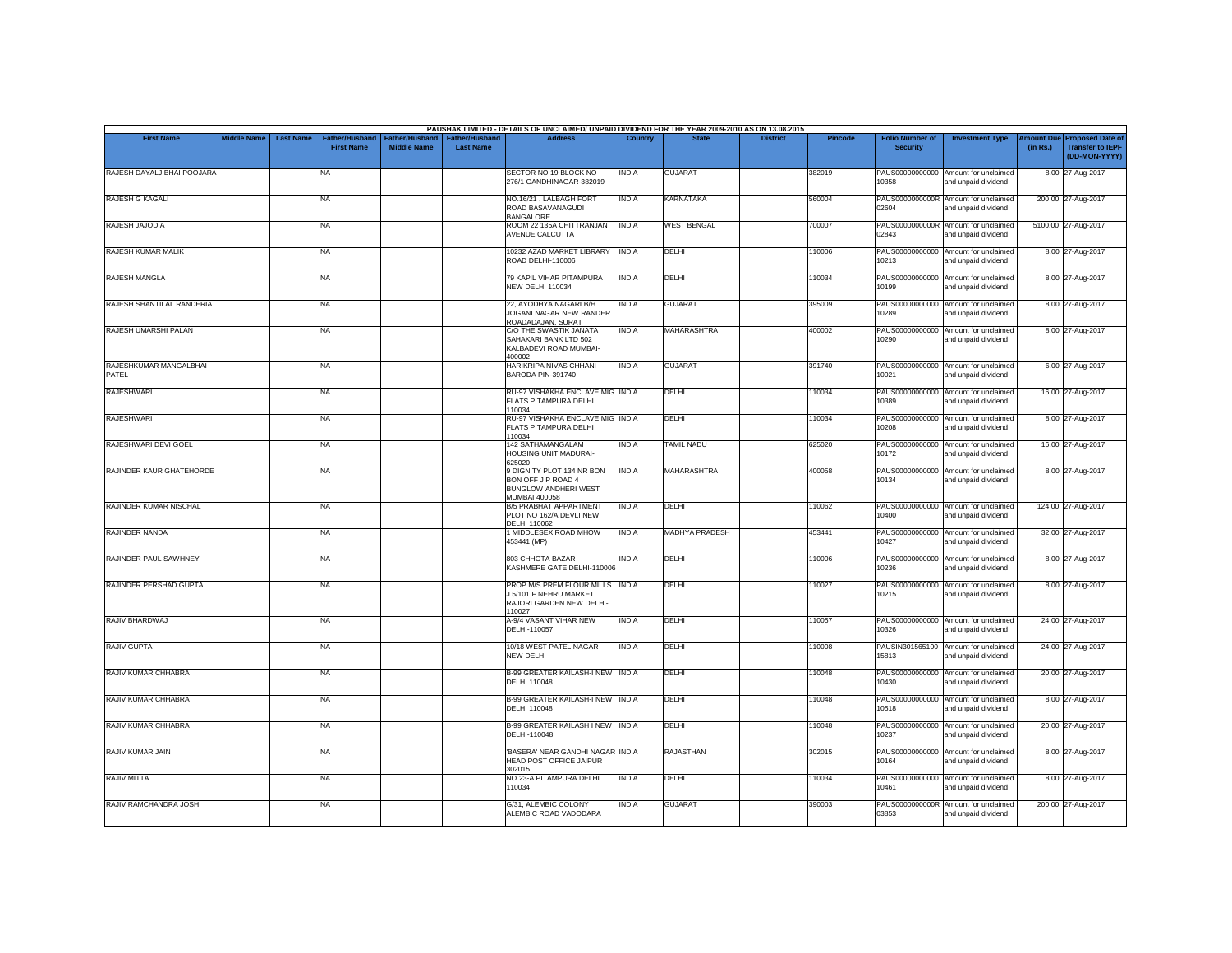|                                 |                    |                  |                                     |                                      |                                           | PAUSHAK LIMITED - DETAILS OF UNCLAIMED/ UNPAID DIVIDEND FOR THE YEAR 2009-2010 AS ON 13.08.2015        |              |                    |                 |                |                                           |                                                             |                       |                                                                     |
|---------------------------------|--------------------|------------------|-------------------------------------|--------------------------------------|-------------------------------------------|--------------------------------------------------------------------------------------------------------|--------------|--------------------|-----------------|----------------|-------------------------------------------|-------------------------------------------------------------|-----------------------|---------------------------------------------------------------------|
| <b>First Name</b>               | <b>Middle Name</b> | <b>Last Name</b> | Father/Husband<br><b>First Name</b> | Father/Husband<br><b>Middle Name</b> | <b>Father/Husband</b><br><b>Last Name</b> | <b>Address</b>                                                                                         | Country      | <b>State</b>       | <b>District</b> | <b>Pincode</b> | <b>Folio Number of</b><br><b>Security</b> | <b>Investment Type</b>                                      | mount Due<br>(in Rs.) | <b>Proposed Date of</b><br><b>Transfer to IEPF</b><br>(DD-MON-YYYY) |
| RAJESH DAYALJIBHAI POOJARA      |                    |                  | <b>NA</b>                           |                                      |                                           | SECTOR NO 19 BLOCK NO<br>276/1 GANDHINAGAR-382019                                                      | INDIA        | <b>GUJARAT</b>     |                 | 382019         | 10358                                     | PAUS00000000000 Amount for unclaimed<br>and unpaid dividend |                       | 8.00 27-Aug-2017                                                    |
| RAJESH G KAGALI                 |                    |                  | <b>NA</b>                           |                                      |                                           | NO.16/21, LALBAGH FORT<br>ROAD BASAVANAGUDI<br><b>BANGALORE</b>                                        | <b>INDIA</b> | KARNATAKA          |                 | 560004         | 02604                                     | PAUS0000000000R Amount for unclaimed<br>and unpaid dividend |                       | 200.00 27-Aug-2017                                                  |
| RAJESH JAJODIA                  |                    |                  | <b>NA</b>                           |                                      |                                           | ROOM 22 135A CHITTRANJAN<br>AVENUE CALCUTTA                                                            | <b>INDIA</b> | <b>WEST BENGAL</b> |                 | 700007         | 02843                                     | PAUS0000000000R Amount for unclaimed<br>and unpaid dividend |                       | 5100.00 27-Aug-2017                                                 |
| RAJESH KUMAR MALIK              |                    |                  | <b>NA</b>                           |                                      |                                           | 10232 AZAD MARKET LIBRARY<br>ROAD DELHI-110006                                                         | <b>INDIA</b> | DELHI              |                 | 110006         | PAUS00000000000<br>10213                  | Amount for unclaimed<br>and unpaid dividend                 |                       | 8.00 27-Aug-2017                                                    |
| <b>RAJESH MANGLA</b>            |                    |                  | <b>NA</b>                           |                                      |                                           | 79 KAPIL VIHAR PITAMPURA<br><b>NEW DELHI 110034</b>                                                    | <b>INDIA</b> | DELHI              |                 | 110034         | 10199                                     | PAUS00000000000 Amount for unclaimed<br>and unpaid dividend |                       | 8.00 27-Aug-2017                                                    |
| RAJESH SHANTILAL RANDERIA       |                    |                  | <b>NA</b>                           |                                      |                                           | 22, AYODHYA NAGARI B/H<br>JOGANI NAGAR NEW RANDER<br>ROADADAJAN, SURAT                                 | INDIA        | <b>GUJARAT</b>     |                 | 395009         | 10289                                     | PAUS00000000000 Amount for unclaimed<br>and unpaid dividend |                       | 8.00 27-Aug-2017                                                    |
| RAJESH UMARSHI PALAN            |                    |                  | <b>NA</b>                           |                                      |                                           | C/O THE SWASTIK JANATA<br>SAHAKARI BANK LTD 502<br>KALBADEVI ROAD MUMBAI-<br>400002                    | <b>INDIA</b> | <b>MAHARASHTRA</b> |                 | 400002         | 10290                                     | PAUS00000000000 Amount for unclaimed<br>and unpaid dividend |                       | 8.00 27-Aug-2017                                                    |
| RAJESHKUMAR MANGALBHAI<br>PATEL |                    |                  | <b>NA</b>                           |                                      |                                           | HARIKRIPA NIVAS CHHANI<br>BARODA PIN-391740                                                            | <b>INDIA</b> | <b>GUJARAT</b>     |                 | 391740         | 10021                                     | PAUS00000000000 Amount for unclaimed<br>and unpaid dividend |                       | 6.00 27-Aug-2017                                                    |
| <b>RAJESHWARI</b>               |                    |                  | <b>NA</b>                           |                                      |                                           | RU-97 VISHAKHA ENCLAVE MIG INDIA<br>FLATS PITAMPURA DELHI<br>110034                                    |              | DELHI              |                 | 110034         | PAUS00000000000<br>10389                  | Amount for unclaimed<br>and unpaid dividend                 |                       | 16.00 27-Aug-2017                                                   |
| <b>RAJESHWARI</b>               |                    |                  | <b>NA</b>                           |                                      |                                           | RU-97 VISHAKHA ENCLAVE MIG INDIA<br>FLATS PITAMPURA DELHI<br>110034                                    |              | <b>DELHI</b>       |                 | 110034         | 10208                                     | PAUS00000000000 Amount for unclaimed<br>and unpaid dividend |                       | 8.00 27-Aug-2017                                                    |
| RAJESHWARI DEVI GOEL            |                    |                  | <b>NA</b>                           |                                      |                                           | 142 SATHAMANGALAM<br>HOUSING UNIT MADURAI-<br>625020                                                   | <b>INDIA</b> | <b>TAMIL NADU</b>  |                 | 625020         | 10172                                     | PAUS00000000000 Amount for unclaimed<br>and unpaid dividend |                       | 16.00 27-Aug-2017                                                   |
| RAJINDER KAUR GHATEHORDE        |                    |                  | <b>NA</b>                           |                                      |                                           | 9 DIGNITY PLOT 134 NR BON<br>BON OFF J P ROAD 4<br><b>BUNGLOW ANDHERI WEST</b><br><b>MUMBAI 400058</b> | <b>INDIA</b> | <b>MAHARASHTRA</b> |                 | 400058         | 10134                                     | PAUS00000000000 Amount for unclaimed<br>and unpaid dividend |                       | 8.00 27-Aug-2017                                                    |
| RAJINDER KUMAR NISCHAL          |                    |                  | <b>NA</b>                           |                                      |                                           | <b>B/5 PRABHAT APPARTMENT</b><br>PLOT NO 162/A DEVLI NEW<br><b>DELHI 110062</b>                        | <b>INDIA</b> | DELHI              |                 | 110062         | 10400                                     | PAUS00000000000 Amount for unclaimed<br>and unpaid dividend |                       | 124.00 27-Aug-2017                                                  |
| RAJINDER NANDA                  |                    |                  | <b>NA</b>                           |                                      |                                           | 1 MIDDLESEX ROAD MHOW<br>453441 (MP)                                                                   | <b>INDIA</b> | MADHYA PRADESH     |                 | 453441         | 10427                                     | PAUS00000000000 Amount for unclaimed<br>and unpaid dividend |                       | 32.00 27-Aug-2017                                                   |
| RAJINDER PAUL SAWHNEY           |                    |                  | <b>NA</b>                           |                                      |                                           | 803 CHHOTA BAZAR<br>KASHMERE GATE DELHI-110006                                                         | <b>INDIA</b> | DELHI              |                 | 110006         | 10236                                     | PAUS00000000000 Amount for unclaimed<br>and unpaid dividend |                       | 8.00 27-Aug-2017                                                    |
| RAJINDER PERSHAD GUPTA          |                    |                  | <b>NA</b>                           |                                      |                                           | PROP M/S PREM FLOUR MILLS INDIA<br><b>J 5/101 F NEHRU MARKET</b><br>RAJORI GARDEN NEW DELHI-<br>110027 |              | DELHI              |                 | 110027         | 10215                                     | PAUS00000000000 Amount for unclaimed<br>and unpaid dividend |                       | 8.00 27-Aug-2017                                                    |
| RAJIV BHARDWAJ                  |                    |                  | <b>NA</b>                           |                                      |                                           | A-9/4 VASANT VIHAR NEW<br>DELHI-110057                                                                 | <b>INDIA</b> | DELHI              |                 | 110057         | 10326                                     | PAUS00000000000 Amount for unclaimed<br>and unpaid dividend |                       | 24.00 27-Aug-2017                                                   |
| <b>RAJIV GUPTA</b>              |                    |                  | <b>NA</b>                           |                                      |                                           | 10/18 WEST PATEL NAGAR<br>NEW DELHI                                                                    | <b>INDIA</b> | DELHI              |                 | 110008         | 15813                                     | PAUSIN301565100 Amount for unclaimed<br>and unpaid dividend |                       | 24.00 27-Aug-2017                                                   |
| RAJIV KUMAR CHHABRA             |                    |                  | <b>NA</b>                           |                                      |                                           | <b>B-99 GREATER KAILASH-I NEW INDIA</b><br><b>DELHI 110048</b>                                         |              | DELHI              |                 | 110048         | 10430                                     | PAUS00000000000 Amount for unclaimed<br>and unpaid dividend |                       | 20.00 27-Aug-2017                                                   |
| RAJIV KUMAR CHHABRA             |                    |                  | <b>NA</b>                           |                                      |                                           | <b>B-99 GREATER KAILASH-I NEW INDIA</b><br>DELHI 110048                                                |              | DELHI              |                 | 110048         | 10518                                     | PAUS00000000000 Amount for unclaimed<br>and unpaid dividend |                       | 8.00 27-Aug-2017                                                    |
| RAJIV KUMAR CHHABRA             |                    |                  | <b>NA</b>                           |                                      |                                           | <b>B-99 GREATER KAILASH I NEW INDIA</b><br>DELHI-110048                                                |              | DELHI              |                 | 110048         | 10237                                     | PAUS00000000000 Amount for unclaimed<br>and unpaid dividend |                       | 20.00 27-Aug-2017                                                   |
| RAJIV KUMAR JAIN                |                    |                  | <b>NA</b>                           |                                      |                                           | 'BASERA' NEAR GANDHI NAGAR INDIA<br>HEAD POST OFFICE JAIPUR<br>302015                                  |              | <b>RAJASTHAN</b>   |                 | 302015         | 10164                                     | PAUS00000000000 Amount for unclaimed<br>and unpaid dividend |                       | 8.00 27-Aug-2017                                                    |
| <b>RAJIV MITTA</b>              |                    |                  | <b>NA</b>                           |                                      |                                           | NO 23-A PITAMPURA DELHI<br>110034                                                                      | <b>INDIA</b> | DELHI              |                 | 110034         | 10461                                     | PAUS00000000000 Amount for unclaimed<br>and unpaid dividend |                       | 8.00 27-Aug-2017                                                    |
| RAJIV RAMCHANDRA JOSHI          |                    |                  | <b>NA</b>                           |                                      |                                           | G/31, ALEMBIC COLONY<br>ALEMBIC ROAD VADODARA                                                          | INDIA        | <b>GUJARAT</b>     |                 | 390003         | PAUS0000000000R<br>03853                  | Amount for unclaimed<br>and unpaid dividend                 |                       | 200.00 27-Aug-2017                                                  |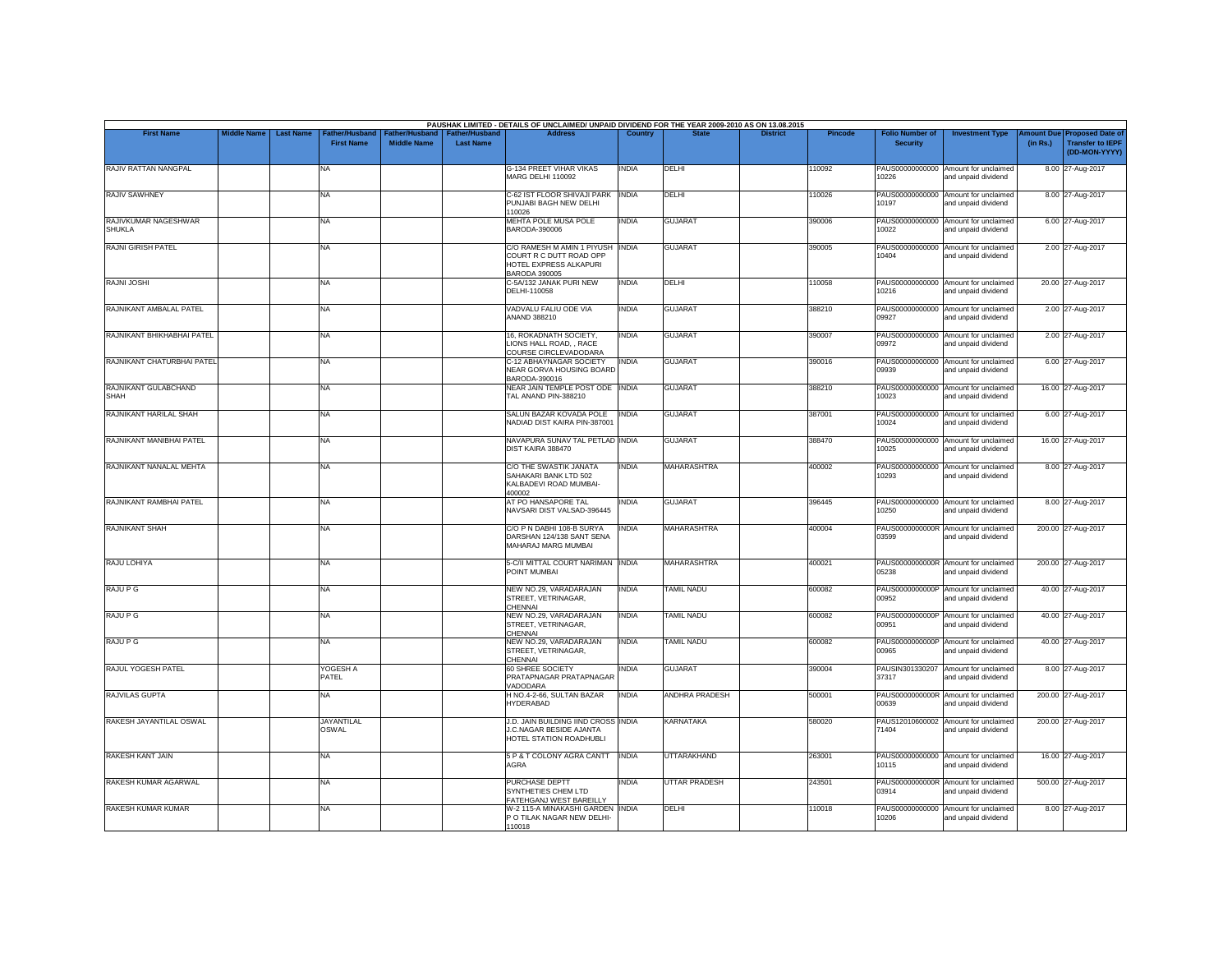|                                       | <b>Middle Name</b> | <b>Last Name</b> |                                     |                                      |                                    | PAUSHAK LIMITED - DETAILS OF UNCLAIMED/ UNPAID DIVIDEND FOR THE YEAR 2009-2010 AS ON 13.08.2015<br><b>Address</b> | Country      |                       | <b>District</b> |                |                                           |                                                             |                       |                                                                     |
|---------------------------------------|--------------------|------------------|-------------------------------------|--------------------------------------|------------------------------------|-------------------------------------------------------------------------------------------------------------------|--------------|-----------------------|-----------------|----------------|-------------------------------------------|-------------------------------------------------------------|-----------------------|---------------------------------------------------------------------|
| <b>First Name</b>                     |                    |                  | Father/Husband<br><b>First Name</b> | Father/Husband<br><b>Middle Name</b> | Father/Husband<br><b>Last Name</b> |                                                                                                                   |              |                       |                 | <b>Pincode</b> | <b>Folio Number of</b><br><b>Security</b> | <b>Investment Type</b>                                      | mount Due<br>(in Rs.) | <b>Proposed Date of</b><br><b>Transfer to IEPF</b><br>(DD-MON-YYYY) |
| <b>RAJIV RATTAN NANGPAL</b>           |                    |                  | NA                                  |                                      |                                    | G-134 PREET VIHAR VIKAS<br><b>MARG DELHI 110092</b>                                                               | <b>INDIA</b> | DELHI                 |                 | 110092         | 10226                                     | PAUS00000000000 Amount for unclaimed<br>and unpaid dividend |                       | 8.00 27-Aug-2017                                                    |
| <b>RAJIV SAWHNEY</b>                  |                    |                  | NA                                  |                                      |                                    | C-62 IST FLOOR SHIVAJI PARK<br>PUNJABI BAGH NEW DELHI<br>110026                                                   | <b>INDIA</b> | DELHI                 |                 | 10026          | PAUS00000000000<br>10197                  | Amount for unclaimed<br>and unpaid dividend                 |                       | 8.00 27-Aug-2017                                                    |
| RAJIVKUMAR NAGESHWAR<br><b>SHUKLA</b> |                    |                  | NA                                  |                                      |                                    | MEHTA POLE MUSA POLE<br>BARODA-390006                                                                             | <b>INDIA</b> | <b>GUJARAT</b>        |                 | 390006         | 10022                                     | PAUS00000000000 Amount for unclaimed<br>and unpaid dividend |                       | 6.00 27-Aug-2017                                                    |
| <b>RAJNI GIRISH PATEL</b>             |                    |                  | NA                                  |                                      |                                    | C/O RAMESH M AMIN 1 PIYUSH<br>COURT R C DUTT ROAD OPP<br>HOTEL EXPRESS ALKAPURI<br><b>BARODA 390005</b>           | <b>INDIA</b> | <b>GUJARAT</b>        |                 | 390005         | 10404                                     | PAUS00000000000 Amount for unclaimed<br>and unpaid dividend |                       | 2.00 27-Aug-2017                                                    |
| <b>RAJNI JOSHI</b>                    |                    |                  | NA                                  |                                      |                                    | C-5A/132 JANAK PURI NEW<br>DELHI-110058                                                                           | <b>INDIA</b> | <b>DELHI</b>          |                 | 110058         | 10216                                     | PAUS00000000000 Amount for unclaimed<br>and unpaid dividend | 20.00 27-Aug-2017     |                                                                     |
| RAJNIKANT AMBALAL PATEL               |                    |                  | NA                                  |                                      |                                    | VADVALU FALIU ODE VIA<br>ANAND 388210                                                                             | <b>INDIA</b> | <b>GUJARAT</b>        |                 | 388210         | 09927                                     | PAUS00000000000 Amount for unclaimed<br>and unpaid dividend |                       | 2.00 27-Aug-2017                                                    |
| RAJNIKANT BHIKHABHAI PATEL            |                    |                  | NA.                                 |                                      |                                    | 16, ROKADNATH SOCIETY,<br>LIONS HALL ROAD. . RACE<br>COURSE CIRCLEVADODARA                                        | <b>INDIA</b> | <b>GUJARAT</b>        |                 | 390007         | 09972                                     | PAUS00000000000 Amount for unclaimed<br>and unpaid dividend |                       | 2.00 27-Aug-2017                                                    |
| RAJNIKANT CHATURBHAI PATEL            |                    |                  | NA                                  |                                      |                                    | C-12 ABHAYNAGAR SOCIETY<br>NEAR GORVA HOUSING BOARD<br>BARODA-390016                                              | <b>INDIA</b> | <b>GUJARAT</b>        |                 | 390016         | 09939                                     | PAUS00000000000 Amount for unclaimed<br>and unpaid dividend |                       | 6.00 27-Aug-2017                                                    |
| RAJNIKANT GULABCHAND<br>SHAH          |                    |                  | NA                                  |                                      |                                    | NEAR JAIN TEMPLE POST ODE INDIA<br>TAL ANAND PIN-388210                                                           |              | <b>GUJARAT</b>        |                 | 388210         | 10023                                     | PAUS00000000000 Amount for unclaimed<br>and unpaid dividend | 16.00 27-Aug-2017     |                                                                     |
| RAJNIKANT HARILAL SHAH                |                    |                  | NA                                  |                                      |                                    | SALUN BAZAR KOVADA POLE<br>NADIAD DIST KAIRA PIN-387001                                                           | <b>INDIA</b> | <b>GUJARAT</b>        |                 | 387001         | 10024                                     | PAUS00000000000 Amount for unclaimed<br>and unpaid dividend |                       | 6.00 27-Aug-2017                                                    |
| RAJNIKANT MANIBHAI PATEL              |                    |                  | NA                                  |                                      |                                    | NAVAPURA SUNAV TAL PETLAD INDIA<br>DIST KAIRA 388470                                                              |              | <b>GUJARAT</b>        |                 | 388470         | 10025                                     | PAUS00000000000 Amount for unclaimed<br>and unpaid dividend | 16.00 27-Aug-2017     |                                                                     |
| RAJNIKANT NANALAL MEHTA               |                    |                  | NA                                  |                                      |                                    | C/O THE SWASTIK JANATA<br>SAHAKARI BANK LTD 502<br>KALBADEVI ROAD MUMBAI-<br>400002                               | <b>INDIA</b> | <b>MAHARASHTRA</b>    |                 | 400002         | 10293                                     | PAUS00000000000 Amount for unclaimed<br>and unpaid dividend |                       | 8.00 27-Aug-2017                                                    |
| RAJNIKANT RAMBHAI PATEL               |                    |                  | NA                                  |                                      |                                    | AT PO HANSAPORE TAL<br>NAVSARI DIST VALSAD-396445                                                                 | <b>INDIA</b> | <b>GUJARAT</b>        |                 | 396445         | 10250                                     | PAUS00000000000 Amount for unclaimed<br>and unpaid dividend |                       | 8.00 27-Aug-2017                                                    |
| <b>RAJNIKANT SHAH</b>                 |                    |                  | NA                                  |                                      |                                    | C/O P N DABHI 108-B SURYA<br>DARSHAN 124/138 SANT SENA<br>MAHARAJ MARG MUMBAI                                     | <b>INDIA</b> | <b>MAHARASHTRA</b>    |                 | 400004         | 03599                                     | PAUS0000000000R Amount for unclaimed<br>and unpaid dividend | 200.00 27-Aug-2017    |                                                                     |
| RAJU LOHIYA                           |                    |                  | NA                                  |                                      |                                    | 5-C/II MITTAL COURT NARIMAN INDIA<br>POINT MUMBAI                                                                 |              | <b>MAHARASHTRA</b>    |                 | 400021         | 05238                                     | PAUS0000000000R Amount for unclaimed<br>and unpaid dividend | 200.00 27-Aug-2017    |                                                                     |
| <b>RAJU P G</b>                       |                    |                  | <b>NA</b>                           |                                      |                                    | NEW NO.29, VARADARAJAN<br>STREET, VETRINAGAR.<br><b>CHENNAI</b>                                                   | <b>INDIA</b> | <b>TAMIL NADU</b>     |                 | 600082         | 00952                                     | PAUS0000000000P Amount for unclaimed<br>and unpaid dividend | 40.00 27-Aug-2017     |                                                                     |
| <b>RAJUPG</b>                         |                    |                  | NA                                  |                                      |                                    | NEW NO.29, VARADARAJAN<br>STREET, VETRINAGAR,<br><b>CHENNAI</b>                                                   | <b>INDIA</b> | <b>TAMIL NADU</b>     |                 | 600082         | 00951                                     | PAUS0000000000P Amount for unclaimed<br>and unpaid dividend | 40.00 27-Aug-2017     |                                                                     |
| <b>RAJUPG</b>                         |                    |                  | NA                                  |                                      |                                    | NEW NO.29, VARADARAJAN<br>STREET, VETRINAGAR,<br><b>CHENNAI</b>                                                   | <b>INDIA</b> | <b>TAMIL NADU</b>     |                 | 600082         | 00965                                     | PAUS0000000000P Amount for unclaimed<br>and unpaid dividend | 40.00 27-Aug-2017     |                                                                     |
| <b>RAJUL YOGESH PATEL</b>             |                    |                  | YOGESH A<br>PATEL                   |                                      |                                    | 60 SHREE SOCIETY<br>PRATAPNAGAR PRATAPNAGAR<br>VADODARA                                                           | <b>INDIA</b> | <b>GUJARAT</b>        |                 | 390004         | PAUSIN301330207<br>37317                  | Amount for unclaimed<br>and unpaid dividend                 |                       | 8.00 27-Aug-2017                                                    |
| <b>RAJVILAS GUPTA</b>                 |                    |                  | <b>NA</b>                           |                                      |                                    | H NO.4-2-66, SULTAN BAZAR<br><b>HYDERABAD</b>                                                                     | <b>INDIA</b> | <b>ANDHRA PRADESH</b> |                 | 500001         | 00639                                     | PAUS0000000000R Amount for unclaimed<br>and unpaid dividend | 200.00 27-Aug-2017    |                                                                     |
| RAKESH JAYANTILAL OSWAL               |                    |                  | <b>JAYANTILAL</b><br>OSWAL          |                                      |                                    | J.D. JAIN BUILDING IIND CROSS INDIA<br>J.C.NAGAR BESIDE AJANTA<br>HOTEL STATION ROADHUBLI                         |              | <b>KARNATAKA</b>      |                 | 580020         | 71404                                     | PAUS12010600002 Amount for unclaimed<br>and unpaid dividend | 200.00 27-Aug-2017    |                                                                     |
| RAKESH KANT JAIN                      |                    |                  | NA                                  |                                      |                                    | 5 P & T COLONY AGRA CANTT<br><b>AGRA</b>                                                                          | <b>INDIA</b> | <b>UTTARAKHAND</b>    |                 | 263001         | 10115                                     | PAUS00000000000 Amount for unclaimed<br>and unpaid dividend | 16.00 27-Aug-2017     |                                                                     |
| RAKESH KUMAR AGARWAL                  |                    |                  | <b>NA</b>                           |                                      |                                    | <b>PURCHASE DEPTT</b><br>SYNTHETIES CHEM LTD<br>FATEHGANJ WEST BAREILLY                                           | <b>INDIA</b> | <b>UTTAR PRADESH</b>  |                 | 243501         | 03914                                     | PAUS0000000000R Amount for unclaimed<br>and unpaid dividend | 500.00 27-Aug-2017    |                                                                     |
| <b>RAKESH KUMAR KUMAR</b>             |                    |                  | NA                                  |                                      |                                    | W-2 115-A MINAKASHI GARDEN INDIA<br>P O TILAK NAGAR NEW DELHI-<br>110018                                          |              | DELHI                 |                 | 110018         | 10206                                     | PAUS00000000000 Amount for unclaimed<br>and unpaid dividend |                       | 8.00 27-Aug-2017                                                    |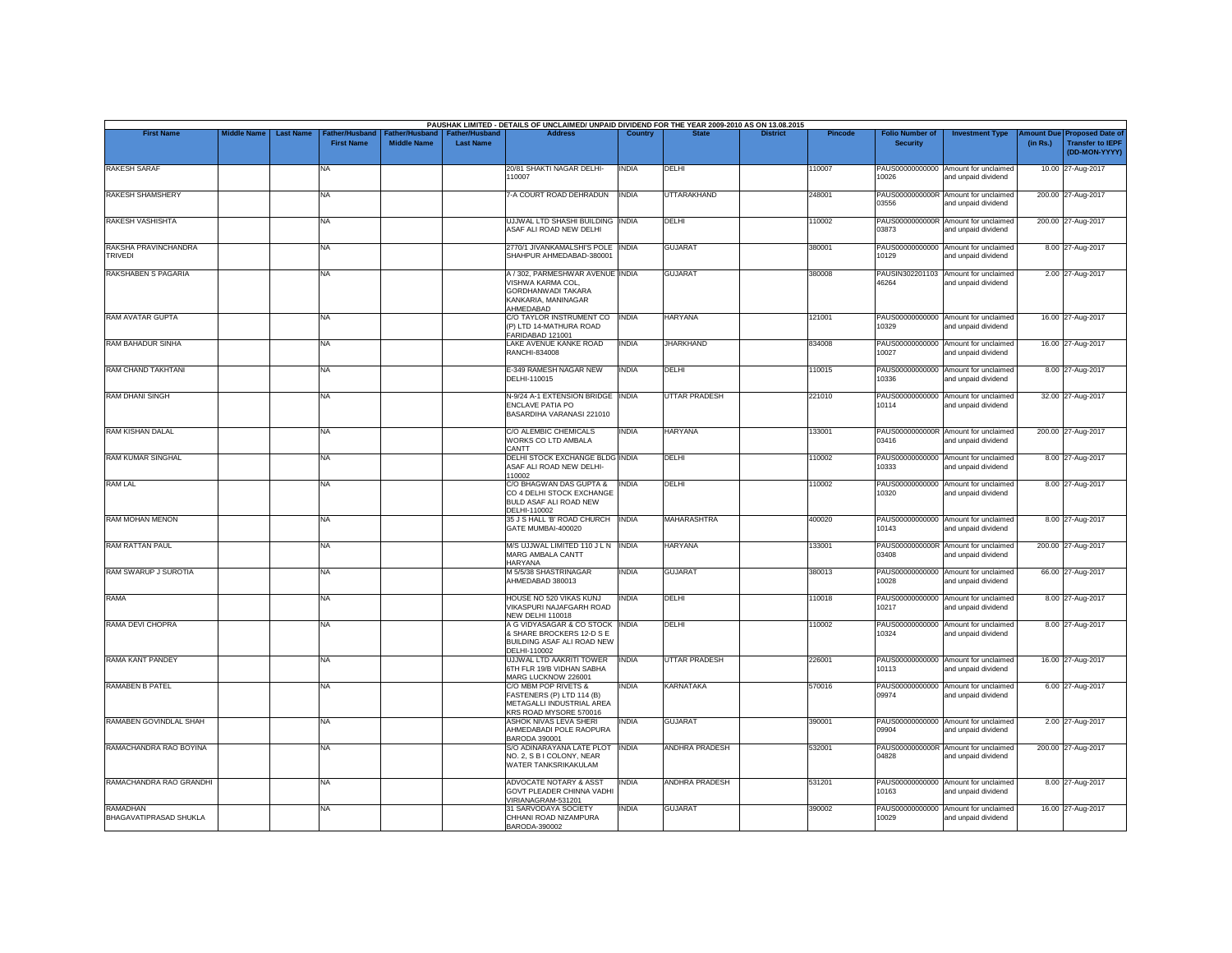|                                                  |                    |                  |                                     |                                 |                                           | PAUSHAK LIMITED - DETAILS OF UNCLAIMED/ UNPAID DIVIDEND FOR THE YEAR 2009-2010 AS ON 13.08.2015                 |              |                       |                 |         |                                           |                                                             |                       |                                                                     |
|--------------------------------------------------|--------------------|------------------|-------------------------------------|---------------------------------|-------------------------------------------|-----------------------------------------------------------------------------------------------------------------|--------------|-----------------------|-----------------|---------|-------------------------------------------|-------------------------------------------------------------|-----------------------|---------------------------------------------------------------------|
| <b>First Name</b>                                | <b>Middle Name</b> | <b>Last Name</b> | Father/Husband<br><b>First Name</b> | ather/Hu:<br><b>Middle Name</b> | <b>Father/Hushand</b><br><b>Last Name</b> | <b>Address</b>                                                                                                  | Country      |                       | <b>District</b> | Pincode | <b>Folio Number of</b><br><b>Security</b> | <b>Investment Type</b>                                      | mount Due<br>(in Rs.) | <b>Proposed Date of</b><br><b>Transfer to IEPF</b><br>(DD-MON-YYYY) |
| <b>RAKESH SARAF</b>                              |                    |                  | NA                                  |                                 |                                           | 20/81 SHAKTI NAGAR DELHI-<br>110007                                                                             | <b>INDIA</b> | DELHI                 |                 | 110007  | PAUS00000000000<br>10026                  | Amount for unclaimed<br>and unpaid dividend                 |                       | 10.00 27-Aug-2017                                                   |
| <b>RAKESH SHAMSHERY</b>                          |                    |                  | NA                                  |                                 |                                           | 7-A COURT ROAD DEHRADUN                                                                                         | <b>INDIA</b> | UTTARAKHAND           |                 | 248001  | PAUS0000000000R<br>03556                  | Amount for unclaimed<br>and unpaid dividend                 |                       | 200.00 27-Aug-2017                                                  |
| RAKESH VASHISHTA                                 |                    |                  | NA                                  |                                 |                                           | UJJWAL LTD SHASHI BUILDING INDIA<br>ASAF ALI ROAD NEW DELHI                                                     |              | <b>DELHI</b>          |                 | 110002  | 03873                                     | PAUS0000000000R Amount for unclaimed<br>and unpaid dividend |                       | 200.00 27-Aug-2017                                                  |
| RAKSHA PRAVINCHANDRA<br><b>TRIVEDI</b>           |                    |                  | NA                                  |                                 |                                           | 2770/1 JIVANKAMALSHI'S POLE INDIA<br>SHAHPUR AHMEDABAD-380001                                                   |              | <b>GUJARAT</b>        |                 | 380001  | PAUS00000000000<br>10129                  | Amount for unclaimed<br>and unpaid dividend                 |                       | 8.00 27-Aug-2017                                                    |
| RAKSHABEN S PAGARIA                              |                    |                  | NA.                                 |                                 |                                           | A / 302, PARMESHWAR AVENUE INDIA<br>VISHWA KARMA COL.<br>GORDHANWADI TAKARA<br>KANKARIA, MANINAGAR<br>AHMEDABAD |              | <b>GUJARAT</b>        |                 | 380008  | 46264                                     | PAUSIN302201103 Amount for unclaimed<br>and unpaid dividend |                       | 2.00 27-Aug-2017                                                    |
| RAM AVATAR GUPTA                                 |                    |                  | NA                                  |                                 |                                           | C/O TAYLOR INSTRUMENT CO INDIA<br>(P) LTD 14-MATHURA ROAD<br>FARIDABAD 121001                                   |              | <b>HARYANA</b>        |                 | 121001  | 10329                                     | PAUS00000000000 Amount for unclaimed<br>and unpaid dividend |                       | 16.00 27-Aug-2017                                                   |
| <b>RAM BAHADUR SINHA</b>                         |                    |                  | NA                                  |                                 |                                           | LAKE AVENUE KANKE ROAD<br>RANCHI-834008                                                                         | <b>INDIA</b> | <b>JHARKHAND</b>      |                 | 834008  | 10027                                     | PAUS00000000000 Amount for unclaimed<br>and unpaid dividend |                       | 16.00 27-Aug-2017                                                   |
| RAM CHAND TAKHTANI                               |                    |                  | NA                                  |                                 |                                           | E-349 RAMESH NAGAR NEW<br>DELHI-110015                                                                          | <b>INDIA</b> | DELHI                 |                 | 110015  | 10336                                     | PAUS00000000000 Amount for unclaimed<br>and unpaid dividend |                       | 8.00 27-Aug-2017                                                    |
| RAM DHANI SINGH                                  |                    |                  | NA                                  |                                 |                                           | N-9/24 A-1 EXTENSION BRIDGE INDIA<br>ENCLAVE PATIA PO<br>BASARDIHA VARANASI 221010                              |              | <b>UTTAR PRADESH</b>  |                 | 221010  | PAUS00000000000<br>10114                  | Amount for unclaimed<br>and unpaid dividend                 |                       | 32.00 27-Aug-2017                                                   |
| <b>RAM KISHAN DALAL</b>                          |                    |                  | NA                                  |                                 |                                           | C/O ALEMBIC CHEMICALS<br>WORKS CO LTD AMBALA<br>CANTT                                                           | <b>INDIA</b> | <b>HARYANA</b>        |                 | 133001  | 03416                                     | PAUS0000000000R Amount for unclaimed<br>and unpaid dividend |                       | 200.00 27-Aug-2017                                                  |
| <b>RAM KUMAR SINGHAL</b>                         |                    |                  | NA                                  |                                 |                                           | DELHI STOCK EXCHANGE BLDG INDIA<br>ASAF ALI ROAD NEW DELHI-                                                     |              | DELHI                 |                 | 110002  | PAUS00000000000<br>10333                  | Amount for unclaimed<br>and unpaid dividend                 |                       | 8.00 27-Aug-2017                                                    |
| <b>RAM LAL</b>                                   |                    |                  | <b>NA</b>                           |                                 |                                           | 110002<br>C/O BHAGWAN DAS GUPTA &<br>CO 4 DELHI STOCK EXCHANGE<br>BULD ASAF ALI ROAD NEW<br>DELHI-110002        | <b>INDIA</b> | DELHI                 |                 | 110002  | PAUS00000000000<br>10320                  | Amount for unclaimed<br>and unpaid dividend                 |                       | 8.00 27-Aug-2017                                                    |
| <b>RAM MOHAN MENON</b>                           |                    |                  | NA                                  |                                 |                                           | 35 J S HALL 'B' ROAD CHURCH   INDIA<br>GATE MUMBAI-400020                                                       |              | <b>MAHARASHTRA</b>    |                 | 400020  | 10143                                     | PAUS00000000000 Amount for unclaimed<br>and unpaid dividend |                       | 8.00 27-Aug-2017                                                    |
| <b>RAM RATTAN PAUL</b>                           |                    |                  | NA                                  |                                 |                                           | M/S UJJWAL LIMITED 110 J L N INDIA<br>MARG AMBALA CANTT<br><b>HARYANA</b>                                       |              | <b>HARYANA</b>        |                 | 133001  | 03408                                     | PAUS0000000000R Amount for unclaimed<br>and unpaid dividend |                       | 200.00 27-Aug-2017                                                  |
| RAM SWARUP J SUROTIA                             |                    |                  | NA                                  |                                 |                                           | M 5/5/38 SHASTRINAGAR<br>AHMEDABAD 380013                                                                       | INDIA        | <b>GUJARAT</b>        |                 | 380013  | PAUS00000000000<br>10028                  | Amount for unclaimed<br>and unpaid dividend                 |                       | 66.00 27-Aug-2017                                                   |
| <b>RAMA</b>                                      |                    |                  | NA                                  |                                 |                                           | HOUSE NO 520 VIKAS KUNJ<br>VIKASPURI NAJAFGARH ROAD<br><b>NEW DELHI 110018</b>                                  | <b>INDIA</b> | DELHI                 |                 | 110018  | PAUS00000000000<br>10217                  | Amount for unclaimed<br>and unpaid dividend                 |                       | 8.00 27-Aug-2017                                                    |
| RAMA DEVI CHOPRA                                 |                    |                  | NA                                  |                                 |                                           | A G VIDYASAGAR & CO STOCK INDIA<br>& SHARE BROCKERS 12-D S E<br>BUILDING ASAF ALI ROAD NEW<br>DELHI-110002      |              | DELHI                 |                 | 110002  | PAUS00000000000<br>10324                  | Amount for unclaimed<br>and unpaid dividend                 |                       | 8.00 27-Aug-2017                                                    |
| <b>RAMA KANT PANDEY</b>                          |                    |                  | NA                                  |                                 |                                           | <b>UJJWAL LTD AAKRITI TOWER</b><br>6TH FLR 19/B VIDHAN SABHA<br>MARG LUCKNOW 226001                             | <b>INDIA</b> | <b>UTTAR PRADESH</b>  |                 | 226001  | PAUS00000000000<br>10113                  | Amount for unclaimed<br>and unpaid dividend                 |                       | 16.00 27-Aug-2017                                                   |
| <b>RAMABEN B PATEL</b>                           |                    |                  | NA                                  |                                 |                                           | C/O MBM POP RIVETS &<br>FASTENERS (P) LTD 114 (B)<br>METAGALLI INDUSTRIAL AREA<br>KRS ROAD MYSORE 570016        | <b>INDIA</b> | <b>KARNATAKA</b>      |                 | 570016  | PAUS00000000000<br>09974                  | Amount for unclaimed<br>and unpaid dividend                 |                       | 6.00 27-Aug-2017                                                    |
| RAMABEN GOVINDLAL SHAH                           |                    |                  | <b>NA</b>                           |                                 |                                           | ASHOK NIVAS LEVA SHERI<br>AHMEDABADI POLE RAOPURA<br>BARODA 390001                                              | <b>INDIA</b> | <b>GUJARAT</b>        |                 | 390001  | 09904                                     | PAUS00000000000 Amount for unclaimed<br>and unpaid dividend |                       | 2.00 27-Aug-2017                                                    |
| RAMACHANDRA RAO BOYINA                           |                    |                  | NA                                  |                                 |                                           | S/O ADINARAYANA LATE PLOT<br>NO. 2, S B I COLONY, NEAR<br>WATER TANKSRIKAKULAM                                  | <b>INDIA</b> | <b>ANDHRA PRADESH</b> |                 | 532001  | 04828                                     | PAUS0000000000R Amount for unclaimed<br>and unpaid dividend |                       | 200.00 27-Aug-2017                                                  |
| RAMACHANDRA RAO GRANDHI                          |                    |                  | <b>NA</b>                           |                                 |                                           | <b>ADVOCATE NOTARY &amp; ASST</b><br>GOVT PLEADER CHINNA VADHI<br>VIRIANAGRAM-531201                            | <b>INDIA</b> | <b>ANDHRA PRADESH</b> |                 | 531201  | PAUS00000000000<br>10163                  | Amount for unclaimed<br>and unpaid dividend                 |                       | 8.00 27-Aug-2017                                                    |
| <b>RAMADHAN</b><br><b>BHAGAVATIPRASAD SHUKLA</b> |                    |                  | NA                                  |                                 |                                           | 31 SARVODAYA SOCIETY<br>CHHANI ROAD NIZAMPURA<br>BARODA-390002                                                  | <b>INDIA</b> | <b>GUJARAT</b>        |                 | 390002  | PAUS00000000000<br>10029                  | Amount for unclaimed<br>and unpaid dividend                 |                       | 16.00 27-Aug-2017                                                   |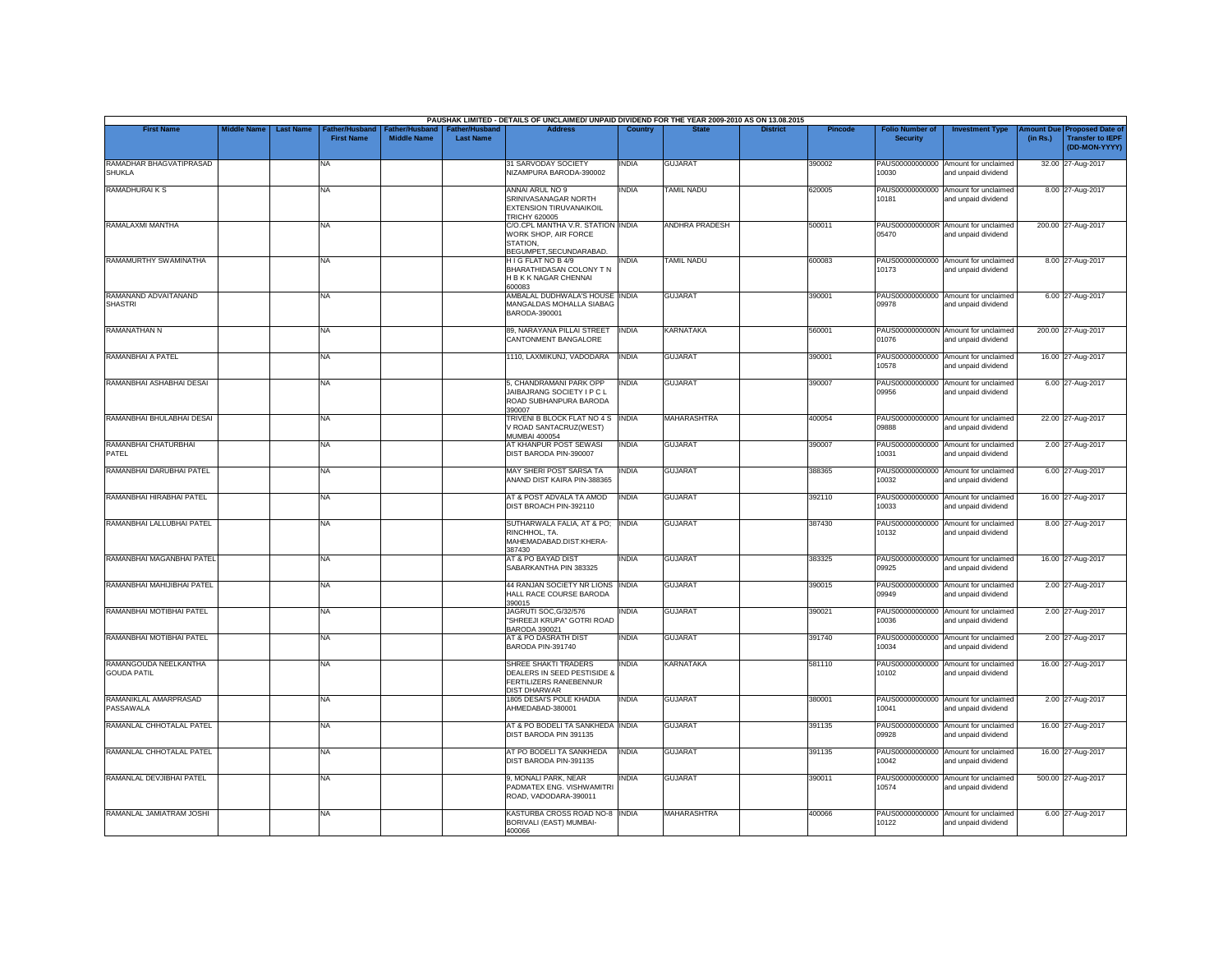|                                             |                    |                                                         |                                      |                                           | PAUSHAK LIMITED - DETAILS OF UNCLAIMED/ UNPAID DIVIDEND FOR THE YEAR 2009-2010 AS ON 13.08.2015      |                |                    |                 |                |                                           |                                                             |          |                                                                        |
|---------------------------------------------|--------------------|---------------------------------------------------------|--------------------------------------|-------------------------------------------|------------------------------------------------------------------------------------------------------|----------------|--------------------|-----------------|----------------|-------------------------------------------|-------------------------------------------------------------|----------|------------------------------------------------------------------------|
| <b>First Name</b>                           | <b>Middle Name</b> | <b>Last Name</b><br>Father/Husband<br><b>First Name</b> | Father/Husband<br><b>Middle Name</b> | <b>Father/Husband</b><br><b>Last Name</b> | <b>Address</b>                                                                                       | <b>Country</b> | <b>State</b>       | <b>District</b> | <b>Pincode</b> | <b>Folio Number of</b><br><b>Security</b> | <b>Investment Type</b>                                      | (in Rs.) | mount Due Proposed Date of<br><b>Transfer to IEPF</b><br>(DD-MON-YYYY) |
| RAMADHAR BHAGVATIPRASAD<br><b>SHUKLA</b>    |                    | NA                                                      |                                      |                                           | 31 SARVODAY SOCIETY<br><b>IZAMPURA BARODA-390002</b>                                                 | INDIA          | <b>GUJARAT</b>     |                 | 390002         | PAUS00000000000<br>10030                  | Amount for unclaimed<br>and unpaid dividend                 |          | 32.00 27-Aug-2017                                                      |
| <b>RAMADHURAIKS</b>                         |                    | <b>NA</b>                                               |                                      |                                           | ANNAI ARUL NO 9<br>SRINIVASANAGAR NORTH<br><b>EXTENSION TIRUVANAIKOIL</b><br><b>TRICHY 620005</b>    | <b>INDIA</b>   | <b>TAMIL NADU</b>  |                 | 620005         | 10181                                     | PAUS00000000000 Amount for unclaimed<br>and unpaid dividend |          | 8.00 27-Aug-2017                                                       |
| RAMALAXMI MANTHA                            |                    | <b>NA</b>                                               |                                      |                                           | C/O.CPL MANTHA V.R. STATION INDIA<br>WORK SHOP, AIR FORCE<br>STATION.<br>BEGUMPET, SECUNDARABAD.     |                | ANDHRA PRADESH     |                 | 500011         | 05470                                     | PAUS0000000000R Amount for unclaimed<br>and unpaid dividend |          | 200.00 27-Aug-2017                                                     |
| RAMAMURTHY SWAMINATHA                       |                    | <b>NA</b>                                               |                                      |                                           | H I G FLAT NO B 4/9<br>BHARATHIDASAN COLONY T N<br>H B K K NAGAR CHENNAI<br><b>EROOOR</b>            | INDIA          | <b>TAMIL NADU</b>  |                 | 600083         | 10173                                     | PAUS00000000000 Amount for unclaimed<br>and unpaid dividend |          | 8.00 27-Aug-2017                                                       |
| RAMANAND ADVAITANAND<br><b>SHASTRI</b>      |                    | <b>NA</b>                                               |                                      |                                           | AMBALAL DUDHWALA'S HOUSE INDIA<br>MANGALDAS MOHALLA SIABAG<br>BARODA-390001                          |                | <b>GUJARAT</b>     |                 | 390001         | 09978                                     | PAUS00000000000 Amount for unclaimed<br>and unpaid dividend |          | 6.00 27-Aug-2017                                                       |
| RAMANATHAN N                                |                    | <b>NA</b>                                               |                                      |                                           | 89, NARAYANA PILLAI STREET<br>CANTONMENT BANGALORE                                                   | <b>INDIA</b>   | <b>KARNATAKA</b>   |                 | 560001         | 01076                                     | PAUS0000000000N Amount for unclaimed<br>and unpaid dividend |          | 200.00 27-Aug-2017                                                     |
| RAMANBHAI A PATEL                           |                    | <b>NA</b>                                               |                                      |                                           | 1110, LAXMIKUNJ, VADODARA                                                                            | <b>INDIA</b>   | <b>GUJARAT</b>     |                 | 390001         | 10578                                     | PAUS00000000000 Amount for unclaimed<br>and unpaid dividend |          | 16.00 27-Aug-2017                                                      |
| RAMANBHAI ASHABHAI DESAI                    |                    | <b>NA</b>                                               |                                      |                                           | 5, CHANDRAMANI PARK OPP<br>JAIBAJRANG SOCIETY I P C L<br>ROAD SUBHANPURA BARODA<br>390007            | <b>INDIA</b>   | <b>GUJARAT</b>     |                 | 390007         | 09956                                     | PAUS00000000000 Amount for unclaimed<br>and unpaid dividend |          | 6.00 27-Aug-2017                                                       |
| RAMANBHAI BHULABHAI DESAI                   |                    | <b>NA</b>                                               |                                      |                                           | TRIVENI B BLOCK FLAT NO 4 S<br>V ROAD SANTACRUZ(WEST)<br><b>MUMBAI 400054</b>                        | <b>INDIA</b>   | <b>MAHARASHTRA</b> |                 | 400054         | PAUS00000000000<br>09888                  | Amount for unclaimed<br>and unpaid dividend                 |          | 22.00 27-Aug-2017                                                      |
| RAMANBHAI CHATURBHAI<br>PATEL               |                    | <b>NA</b>                                               |                                      |                                           | AT KHANPUR POST SEWASI<br>DIST BARODA PIN-390007                                                     | <b>INDIA</b>   | <b>GUJARAT</b>     |                 | 390007         | 10031                                     | PAUS00000000000 Amount for unclaimed<br>and unpaid dividend |          | 2.00 27-Aug-2017                                                       |
| RAMANBHAI DARUBHAI PATEL                    |                    | <b>NA</b>                                               |                                      |                                           | MAY SHERI POST SARSA TA<br>ANAND DIST KAIRA PIN-388365                                               | <b>INDIA</b>   | <b>GUJARAT</b>     |                 | 388365         | PAUS00000000000<br>10032                  | Amount for unclaimed<br>and unpaid dividend                 |          | 6.00 27-Aug-2017                                                       |
| RAMANBHAI HIRABHAI PATEL                    |                    | <b>NA</b>                                               |                                      |                                           | AT & POST ADVALA TA AMOD<br>DIST BROACH PIN-392110                                                   | <b>INDIA</b>   | <b>GUJARAT</b>     |                 | 392110         | 10033                                     | PAUS00000000000 Amount for unclaimed<br>and unpaid dividend |          | 16.00 27-Aug-2017                                                      |
| RAMANBHAI LALLUBHAI PATEL                   |                    | <b>NA</b>                                               |                                      |                                           | SUTHARWALA FALIA, AT & PO; INDIA<br>RINCHHOL. TA.<br>MAHEMADABAD.DIST:KHERA-<br>387430               |                | <b>GUJARAT</b>     |                 | 387430         | 10132                                     | PAUS00000000000 Amount for unclaimed<br>and unpaid dividend |          | 8.00 27-Aug-2017                                                       |
| RAMANBHAI MAGANBHAI PATEL                   |                    | <b>NA</b>                                               |                                      |                                           | AT & PO BAYAD DIST<br>SABARKANTHA PIN 383325                                                         | <b>INDIA</b>   | <b>GUJARAT</b>     |                 | 383325         | 09925                                     | PAUS00000000000 Amount for unclaimed<br>and unpaid dividend |          | 16.00 27-Aug-2017                                                      |
| RAMANBHAI MAHIJIBHAI PATEL                  |                    | <b>NA</b>                                               |                                      |                                           | 44 RANJAN SOCIETY NR LIONS INDIA<br>HALL RACE COURSE BARODA<br>390015                                |                | <b>GUJARAT</b>     |                 | 390015         | 09949                                     | PAUS00000000000 Amount for unclaimed<br>and unpaid dividend |          | 2.00 27-Aug-2017                                                       |
| RAMANBHAI MOTIBHAI PATEL                    |                    | <b>NA</b>                                               |                                      |                                           | JAGRUTI SOC, G/32/576<br>"SHREEJI KRUPA" GOTRI ROAD<br>BARODA 390021                                 | <b>INDIA</b>   | <b>GUJARAT</b>     |                 | 390021         | PAUS00000000000<br>10036                  | Amount for unclaimed<br>and unpaid dividend                 |          | 2.00 27-Aug-2017                                                       |
| RAMANBHAI MOTIBHAI PATEL                    |                    | <b>NA</b>                                               |                                      |                                           | AT & PO DASRATH DIST<br>BARODA PIN-391740                                                            | <b>INDIA</b>   | <b>GUJARAT</b>     |                 | 391740         | 10034                                     | PAUS00000000000 Amount for unclaimed<br>and unpaid dividend |          | 2.00 27-Aug-2017                                                       |
| RAMANGOUDA NEELKANTHA<br><b>GOUDA PATIL</b> |                    | <b>NA</b>                                               |                                      |                                           | SHREE SHAKTI TRADERS<br>DEALERS IN SEED PESTISIDE 8<br>FERTILIZERS RANEBENNUR<br><b>DIST DHARWAR</b> | <b>INDIA</b>   | <b>KARNATAKA</b>   |                 | 581110         | PAUS00000000000<br>10102                  | Amount for unclaimed<br>and unpaid dividend                 |          | 16.00 27-Aug-2017                                                      |
| RAMANIKLAL AMARPRASAD<br>PASSAWALA          |                    | <b>NA</b>                                               |                                      |                                           | 1805 DESAI'S POLE KHADIA<br>AHMEDABAD-380001                                                         | <b>INDIA</b>   | <b>GUJARAT</b>     |                 | 380001         | 10041                                     | PAUS00000000000 Amount for unclaimed<br>and unpaid dividend |          | 2.00 27-Aug-2017                                                       |
| RAMANLAL CHHOTALAL PATEL                    |                    | <b>NA</b>                                               |                                      |                                           | AT & PO BODELI TA SANKHEDA INDIA<br>DIST BARODA PIN 391135                                           |                | <b>GUJARAT</b>     |                 | 391135         | 09928                                     | PAUS00000000000 Amount for unclaimed<br>and unpaid dividend |          | 16.00 27-Aug-2017                                                      |
| RAMANLAL CHHOTALAL PATEL                    |                    | <b>NA</b>                                               |                                      |                                           | AT PO BODELI TA SANKHEDA<br>DIST BARODA PIN-391135                                                   | <b>INDIA</b>   | <b>GUJARAT</b>     |                 | 391135         | 10042                                     | PAUS00000000000 Amount for unclaimed<br>and unpaid dividend |          | 16.00 27-Aug-2017                                                      |
| RAMANLAL DEVJIBHAI PATEL                    |                    | <b>NA</b>                                               |                                      |                                           | 9, MONALI PARK, NEAR<br>PADMATEX ENG. VISHWAMITRI<br>ROAD, VADODARA-390011                           | <b>INDIA</b>   | <b>GUJARAT</b>     |                 | 390011         | 10574                                     | PAUS00000000000 Amount for unclaimed<br>and unpaid dividend |          | 500.00 27-Aug-2017                                                     |
| RAMANLAL JAMIATRAM JOSHI                    |                    | <b>NA</b>                                               |                                      |                                           | KASTURBA CROSS ROAD NO-8 INDIA<br>BORIVALI (EAST) MUMBAI-<br>400066                                  |                | <b>MAHARASHTRA</b> |                 | 400066         | 10122                                     | PAUS00000000000 Amount for unclaimed<br>and unpaid dividend |          | 6.00 27-Aug-2017                                                       |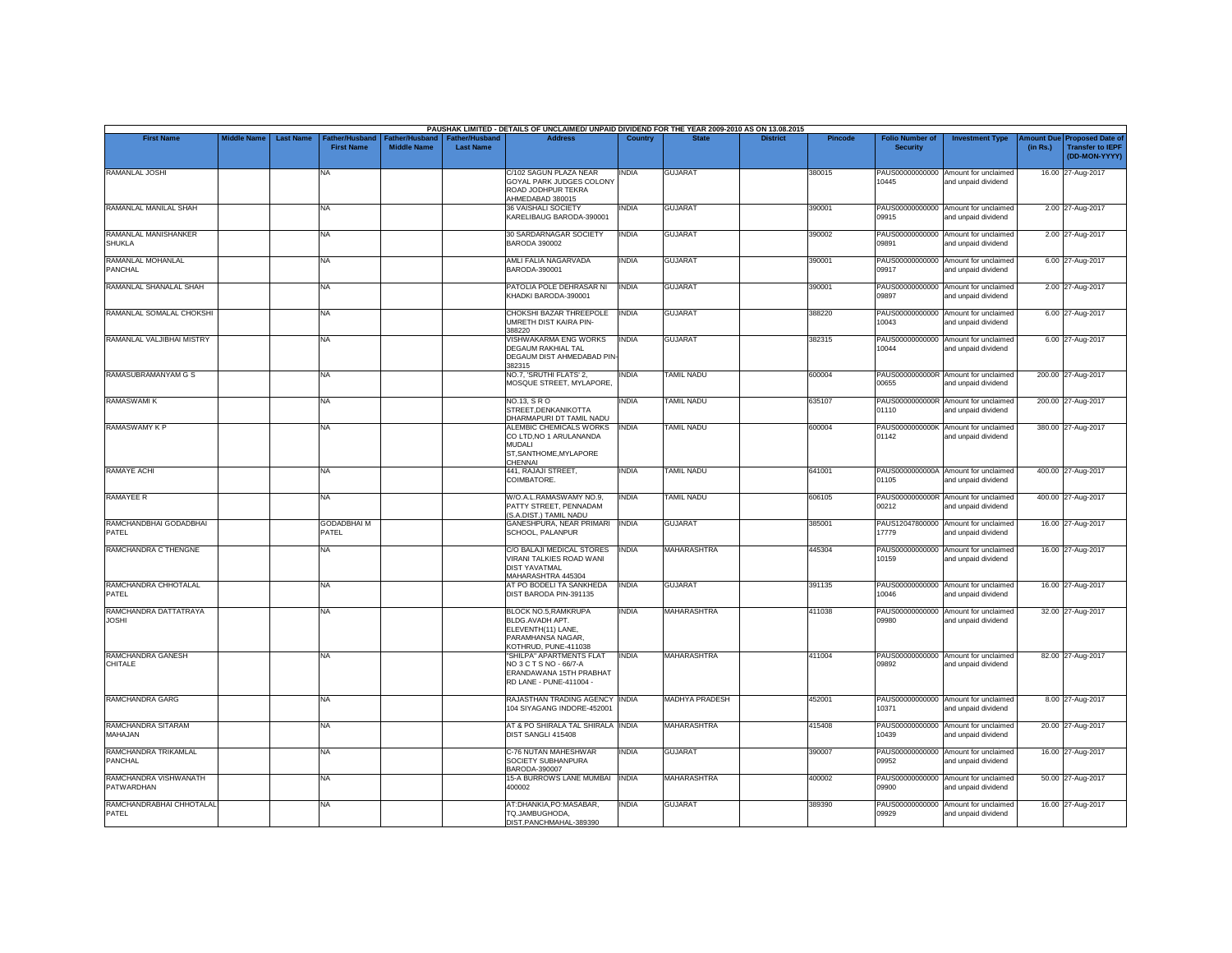|                                            |                                        |                                     |                                             |                                           | PAUSHAK LIMITED - DETAILS OF UNCLAIMED/ UNPAID DIVIDEND FOR THE YEAR 2009-2010 AS ON 13.08.2015            |                |                       |                 |         |                                           |                                                             |                               |                                                                     |
|--------------------------------------------|----------------------------------------|-------------------------------------|---------------------------------------------|-------------------------------------------|------------------------------------------------------------------------------------------------------------|----------------|-----------------------|-----------------|---------|-------------------------------------------|-------------------------------------------------------------|-------------------------------|---------------------------------------------------------------------|
| <b>First Name</b>                          | <b>Middle Name</b><br><b>Last Name</b> | Father/Husband<br><b>First Name</b> | <b>Father/Husband</b><br><b>Middle Name</b> | <b>Father/Husband</b><br><b>Last Name</b> | <b>Address</b>                                                                                             | <b>Country</b> | <b>State</b>          | <b>District</b> | Pincode | <b>Folio Number of</b><br><b>Security</b> | <b>Investment Type</b>                                      | <b>Amount Due</b><br>(in Rs.) | <b>Proposed Date of</b><br><b>Transfer to IEPF</b><br>(DD-MON-YYYY) |
| RAMANLAL JOSHI                             |                                        | <b>NA</b>                           |                                             |                                           | C/102 SAGUN PLAZA NEAR<br>GOYAL PARK JUDGES COLONY<br>ROAD JODHPUR TEKRA<br>AHMEDABAD 380015               | <b>INDIA</b>   | <b>GUJARAT</b>        |                 | 380015  | 10445                                     | PAUS00000000000 Amount for unclaimed<br>and unpaid dividend |                               | 16.00 27-Aug-2017                                                   |
| RAMANLAL MANILAL SHAH                      |                                        | <b>NA</b>                           |                                             |                                           | 36 VAISHALI SOCIETY<br>KARELIBAUG BARODA-390001                                                            | <b>INDIA</b>   | <b>GUJARAT</b>        |                 | 390001  | 09915                                     | PAUS00000000000 Amount for unclaimed<br>and unpaid dividend |                               | 2.00 27-Aug-2017                                                    |
| RAMANLAL MANISHANKER<br><b>SHUKLA</b>      |                                        | <b>NA</b>                           |                                             |                                           | 30 SARDARNAGAR SOCIETY<br><b>BARODA 390002</b>                                                             | <b>INDIA</b>   | <b>GUJARAT</b>        |                 | 390002  | 09891                                     | PAUS00000000000 Amount for unclaimed<br>and unpaid dividend |                               | 2.00 27-Aug-2017                                                    |
| RAMANLAL MOHANLAL<br>PANCHAL               |                                        | <b>NA</b>                           |                                             |                                           | AMLI FALIA NAGARVADA<br>BARODA-390001                                                                      | INDIA          | <b>GUJARAT</b>        |                 | 390001  | 09917                                     | PAUS00000000000 Amount for unclaimed<br>and unpaid dividend |                               | 6.00 27-Aug-2017                                                    |
| RAMANLAL SHANALAL SHAH                     |                                        | <b>NA</b>                           |                                             |                                           | PATOLIA POLE DEHRASAR NI<br>KHADKI BARODA-390001                                                           | <b>INDIA</b>   | <b>GUJARAT</b>        |                 | 390001  | 09897                                     | PAUS00000000000 Amount for unclaimed<br>and unpaid dividend |                               | 2.00 27-Aug-2017                                                    |
| RAMANLAL SOMALAL CHOKSHI                   |                                        | <b>NA</b>                           |                                             |                                           | CHOKSHI BAZAR THREEPOLE<br>UMRETH DIST KAIRA PIN-                                                          | <b>INDIA</b>   | <b>GUJARAT</b>        |                 | 388220  | 10043                                     | PAUS00000000000 Amount for unclaimed<br>and unpaid dividend |                               | 6.00 27-Aug-2017                                                    |
| RAMANLAL VALJIBHAI MISTRY                  |                                        | <b>NA</b>                           |                                             |                                           | 388220<br>VISHWAKARMA ENG WORKS<br><b>DEGAUM RAKHIAL TAL</b><br>DEGAUM DIST AHMEDABAD PIN-<br>382315       | <b>INDIA</b>   | <b>GUJARAT</b>        |                 | 382315  | 10044                                     | PAUS00000000000 Amount for unclaimed<br>and unpaid dividend |                               | 6.00 27-Aug-2017                                                    |
| RAMASUBRAMANYAM G S                        |                                        | <b>NA</b>                           |                                             |                                           | NO.7, 'SRUTHI FLATS' 2,<br>MOSQUE STREET, MYLAPORE,                                                        | INDIA          | <b>TAMIL NADU</b>     |                 | 600004  | PAUS0000000000R<br>00655                  | Amount for unclaimed<br>and unpaid dividend                 |                               | 200.00 27-Aug-2017                                                  |
| <b>RAMASWAMI K</b>                         |                                        | <b>NA</b>                           |                                             |                                           | NO.13, SRO<br>STREET.DENKANIKOTTA<br>DHARMAPURI DT TAMIL NADU                                              | <b>INDIA</b>   | TAMIL NADU            |                 | 635107  | 01110                                     | PAUS0000000000R Amount for unclaimed<br>and unpaid dividend |                               | 200.00 27-Aug-2017                                                  |
| RAMASWAMY K P                              |                                        | <b>NA</b>                           |                                             |                                           | ALEMBIC CHEMICALS WORKS<br>CO LTD, NO 1 ARULANANDA<br><b>MUDALI</b><br>ST.SANTHOME.MYLAPORE                | <b>INDIA</b>   | <b>TAMIL NADU</b>     |                 | 600004  | 01142                                     | PAUS0000000000K Amount for unclaimed<br>and unpaid dividend |                               | 380.00 27-Aug-2017                                                  |
| <b>RAMAYE ACHI</b>                         |                                        | <b>NA</b>                           |                                             |                                           | CHENNAI<br>441, RAJAJI STREET,<br>COIMBATORE.                                                              | <b>INDIA</b>   | <b>TAMIL NADU</b>     |                 | 641001  | 01105                                     | PAUS0000000000A Amount for unclaimed<br>and unpaid dividend |                               | 400.00 27-Aug-2017                                                  |
| <b>RAMAYEE R</b>                           |                                        | <b>NA</b>                           |                                             |                                           | W/O.A.L.RAMASWAMY NO.9,<br>PATTY STREET, PENNADAM<br>S.A.DIST.) TAMIL NADU                                 | <b>INDIA</b>   | <b>TAMIL NADU</b>     |                 | 606105  | 00212                                     | PAUS0000000000R Amount for unclaimed<br>and unpaid dividend |                               | 400.00 27-Aug-2017                                                  |
| RAMCHANDBHAI GODADBHAI<br>PATEL            |                                        | <b>GODADBHAIM</b><br>PATEL          |                                             |                                           | GANESHPURA, NEAR PRIMARI<br>SCHOOL, PALANPUR                                                               | <b>INDIA</b>   | <b>GUJARAT</b>        |                 | 385001  | 17779                                     | PAUS12047800000 Amount for unclaimed<br>and unpaid dividend |                               | 16.00 27-Aug-2017                                                   |
| RAMCHANDRA C THENGNE                       |                                        | <b>NA</b>                           |                                             |                                           | C/O BALAJI MEDICAL STORES<br><b>VIRANI TALKIES ROAD WANI</b><br><b>DIST YAVATMAL</b><br>MAHARASHTRA 445304 | <b>INDIA</b>   | <b>MAHARASHTRA</b>    |                 | 445304  | 10159                                     | PAUS00000000000 Amount for unclaimed<br>and unpaid dividend |                               | 16.00 27-Aug-2017                                                   |
| RAMCHANDRA CHHOTALAL<br>PATEL              |                                        | <b>NA</b>                           |                                             |                                           | AT PO BODELI TA SANKHEDA<br>DIST BARODA PIN-391135                                                         | <b>INDIA</b>   | <b>GUJARAT</b>        |                 | 391135  | 10046                                     | PAUS00000000000 Amount for unclaimed<br>and unpaid dividend |                               | 16.00 27-Aug-2017                                                   |
| RAMCHANDRA DATTATRAYA<br><b>JOSHI</b>      |                                        | <b>NA</b>                           |                                             |                                           | BLOCK NO.5, RAMKRUPA<br>BLDG.AVADH APT.<br>ELEVENTH(11) LANE,<br>PARAMHANSA NAGAR,<br>KOTHRUD, PUNE-411038 | <b>INDIA</b>   | <b>MAHARASHTRA</b>    |                 | 411038  | 09980                                     | PAUS00000000000 Amount for unclaimed<br>and unpaid dividend |                               | 32.00 27-Aug-2017                                                   |
| <b>RAMCHANDRA GANESH</b><br><b>CHITALE</b> |                                        | <b>NA</b>                           |                                             |                                           | "SHILPA" APARTMENTS FLAT<br>NO 3 C T S NO - 66/7-A<br>ERANDAWANA 15TH PRABHAT<br>RD LANE - PUNE-411004 -   | <b>INDIA</b>   | <b>MAHARASHTRA</b>    |                 | 411004  | 09892                                     | PAUS00000000000 Amount for unclaimed<br>and unpaid dividend |                               | 82.00 27-Aug-2017                                                   |
| <b>RAMCHANDRA GARG</b>                     |                                        | <b>NA</b>                           |                                             |                                           | RAJASTHAN TRADING AGENCY INDIA<br>104 SIYAGANG INDORE-452001                                               |                | <b>MADHYA PRADESH</b> |                 | 452001  | 10371                                     | PAUS00000000000 Amount for unclaimed<br>and unpaid dividend |                               | 8.00 27-Aug-2017                                                    |
| RAMCHANDRA SITARAM<br>MAHAJAN              |                                        | <b>NA</b>                           |                                             |                                           | AT & PO SHIRALA TAL SHIRALA INDIA<br>DIST SANGLI 415408                                                    |                | <b>MAHARASHTRA</b>    |                 | 415408  | 10439                                     | PAUS00000000000 Amount for unclaimed<br>and unpaid dividend |                               | 20.00 27-Aug-2017                                                   |
| RAMCHANDRA TRIKAMLAL<br>PANCHAL            |                                        | <b>NA</b>                           |                                             |                                           | C-76 NUTAN MAHESHWAR<br>SOCIETY SUBHANPURA                                                                 | <b>INDIA</b>   | <b>GUJARAT</b>        |                 | 390007  | 09952                                     | PAUS00000000000 Amount for unclaimed<br>and unpaid dividend |                               | 16.00 27-Aug-2017                                                   |
| RAMCHANDRA VISHWANATH<br><b>PATWARDHAN</b> |                                        | <b>NA</b>                           |                                             |                                           | BARODA-390007<br>15-A BURROWS LANE MUMBAI<br>400002                                                        | <b>INDIA</b>   | <b>MAHARASHTRA</b>    |                 | 400002  | 09900                                     | PAUS00000000000 Amount for unclaimed<br>and unpaid dividend |                               | 50.00 27-Aug-2017                                                   |
| RAMCHANDRABHAI CHHOTALAL<br>PATEL          |                                        | <b>NA</b>                           |                                             |                                           | AT:DHANKIA, PO:MASABAR,<br>TQ.JAMBUGHODA,<br>DIST.PANCHMAHAL-389390                                        | INDIA          | <b>GUJARAT</b>        |                 | 389390  | 09929                                     | PAUS00000000000 Amount for unclaimed<br>and unpaid dividend |                               | 16.00 27-Aug-2017                                                   |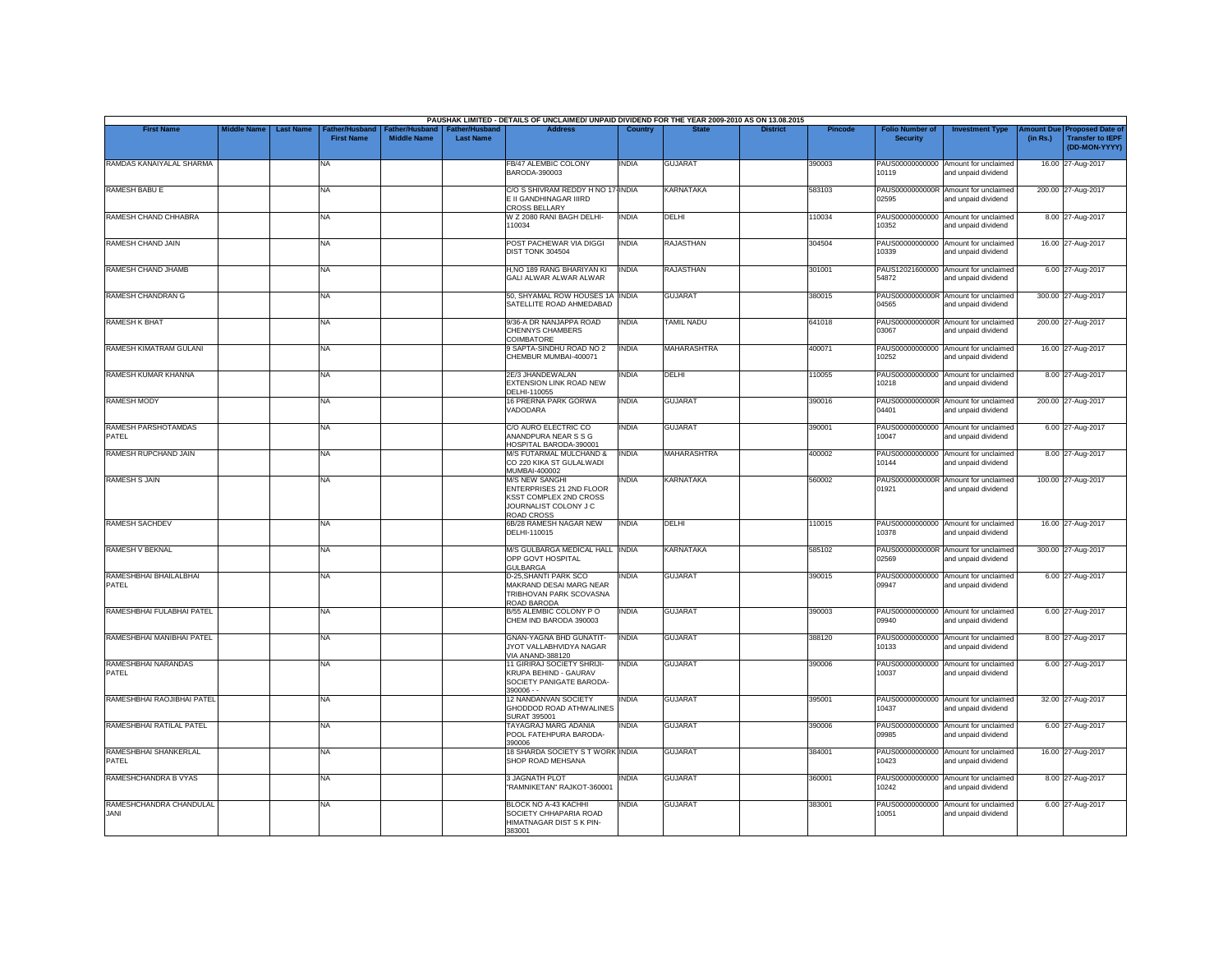|                                        |                                        |                                            |                                      |                                           | PAUSHAK LIMITED - DETAILS OF UNCLAIMED/ UNPAID DIVIDEND FOR THE YEAR 2009-2010 AS ON 13.08.2015                           |              |                    |                 |                |                                           |                                                             |          |                                                                                |
|----------------------------------------|----------------------------------------|--------------------------------------------|--------------------------------------|-------------------------------------------|---------------------------------------------------------------------------------------------------------------------------|--------------|--------------------|-----------------|----------------|-------------------------------------------|-------------------------------------------------------------|----------|--------------------------------------------------------------------------------|
| <b>First Name</b>                      | <b>Middle Name</b><br><b>Last Name</b> | <b>Father/Husband</b><br><b>First Name</b> | Father/Husband<br><b>Middle Name</b> | <b>Father/Husband</b><br><b>Last Name</b> | <b>Address</b>                                                                                                            | Country      | <b>State</b>       | <b>District</b> | <b>Pincode</b> | <b>Folio Number of</b><br><b>Security</b> | <b>Investment Type</b>                                      | (in Rs.) | <b>Amount Due Proposed Date of</b><br><b>Transfer to IEPF</b><br>(DD-MON-YYYY) |
| RAMDAS KANAIYALAL SHARMA               |                                        | <b>NA</b>                                  |                                      |                                           | <b>FB/47 ALEMBIC COLONY</b><br>BARODA-390003                                                                              | INDIA        | <b>GUJARAT</b>     |                 | 390003         | PAUS00000000000<br>10119                  | Amount for unclaimed<br>and unpaid dividend                 |          | 16.00 27-Aug-2017                                                              |
| <b>RAMESH BABU E</b>                   |                                        | <b>NA</b>                                  |                                      |                                           | C/O S SHIVRAM REDDY H NO 17-INDIA<br>E II GANDHINAGAR IIIRD<br><b>CROSS BELLARY</b>                                       |              | <b>KARNATAKA</b>   |                 | 583103         | 02595                                     | PAUS0000000000R Amount for unclaimed<br>and unpaid dividend |          | 200.00 27-Aug-2017                                                             |
| RAMESH CHAND CHHABRA                   |                                        | <b>NA</b>                                  |                                      |                                           | W Z 2080 RANI BAGH DELHI-<br>110034                                                                                       | INDIA        | DELHI              |                 | 110034         | PAUS00000000000<br>10352                  | Amount for unclaimed<br>and unpaid dividend                 |          | 8.00 27-Aug-2017                                                               |
| RAMESH CHAND JAIN                      |                                        | <b>NA</b>                                  |                                      |                                           | POST PACHEWAR VIA DIGGI<br>DIST TONK 304504                                                                               | <b>INDIA</b> | <b>RAJASTHAN</b>   |                 | 304504         | 10339                                     | PAUS00000000000 Amount for unclaimed<br>and unpaid dividend |          | 16.00 27-Aug-2017                                                              |
| RAMESH CHAND JHAMB                     |                                        | <b>NA</b>                                  |                                      |                                           | H, NO 189 RANG BHARIYAN KI<br>GALI ALWAR ALWAR ALWAR                                                                      | INDIA        | <b>RAJASTHAN</b>   |                 | 301001         | PAUS12021600000<br>54872                  | Amount for unclaimed<br>and unpaid dividend                 |          | 6.00 27-Aug-2017                                                               |
| RAMESH CHANDRAN G                      |                                        | <b>NA</b>                                  |                                      |                                           | 50, SHYAMAL ROW HOUSES 1A INDIA<br>SATELLITE ROAD AHMEDABAD                                                               |              | <b>GUJARAT</b>     |                 | 380015         | 04565                                     | PAUS0000000000R Amount for unclaimed<br>and unpaid dividend |          | 300.00 27-Aug-2017                                                             |
| <b>RAMESH K BHAT</b>                   |                                        | <b>NA</b>                                  |                                      |                                           | 9/36-A DR NANJAPPA ROAD<br>CHENNYS CHAMBERS<br>COIMBATORE                                                                 | <b>INDIA</b> | <b>TAMIL NADU</b>  |                 | 641018         | 03067                                     | PAUS0000000000R Amount for unclaimed<br>and unpaid dividend |          | 200.00 27-Aug-2017                                                             |
| RAMESH KIMATRAM GULANI                 |                                        | <b>NA</b>                                  |                                      |                                           | 9 SAPTA-SINDHU ROAD NO 2<br>CHEMBUR MUMBAI-400071                                                                         | <b>INDIA</b> | <b>MAHARASHTRA</b> |                 | 400071         | PAUS00000000000<br>10252                  | Amount for unclaimed<br>and unpaid dividend                 |          | 16.00 27-Aug-2017                                                              |
| RAMESH KUMAR KHANNA                    |                                        | <b>NA</b>                                  |                                      |                                           | 2E/3 JHANDEWALAN<br>EXTENSION LINK ROAD NEW<br>DELHI-110055                                                               | INDIA        | DELHI              |                 | 110055         | PAUS00000000000<br>10218                  | Amount for unclaimed<br>and unpaid dividend                 |          | 8.00 27-Aug-2017                                                               |
| <b>RAMESH MODY</b>                     |                                        | <b>NA</b>                                  |                                      |                                           | 16 PRERNA PARK GORWA<br>VADODARA                                                                                          | <b>INDIA</b> | <b>GUJARAT</b>     |                 | 390016         | 04401                                     | PAUS0000000000R Amount for unclaimed<br>and unpaid dividend |          | 200.00 27-Aug-2017                                                             |
| RAMESH PARSHOTAMDAS<br>PATEL           |                                        | <b>NA</b>                                  |                                      |                                           | C/O AURO ELECTRIC CO<br>ANANDPURA NEAR S S G<br>HOSPITAL BARODA-390001                                                    | INDIA        | <b>GUJARAT</b>     |                 | 390001         | 10047                                     | PAUS00000000000 Amount for unclaimed<br>and unpaid dividend |          | 6.00 27-Aug-2017                                                               |
| RAMESH RUPCHAND JAIN                   |                                        | <b>NA</b>                                  |                                      |                                           | M/S FUTARMAL MULCHAND &<br>CO 220 KIKA ST GULALWADI<br>MUMBAI-400002                                                      | <b>INDIA</b> | MAHARASHTRA        |                 | 400002         | 10144                                     | PAUS00000000000 Amount for unclaimed<br>and unpaid dividend |          | 8.00 27-Aug-2017                                                               |
| <b>RAMESH S JAIN</b>                   |                                        | <b>NA</b>                                  |                                      |                                           | <b>M/S NEW SANGHI</b><br>ENTERPRISES 21 2ND FLOOR<br>KSST COMPLEX 2ND CROSS<br>JOURNALIST COLONY J C<br><b>ROAD CROSS</b> | INDIA        | <b>KARNATAKA</b>   |                 | 560002         | 01921                                     | PAUS0000000000R Amount for unclaimed<br>and unpaid dividend |          | 100.00 27-Aug-2017                                                             |
| <b>RAMESH SACHDEV</b>                  |                                        | <b>NA</b>                                  |                                      |                                           | 6B/28 RAMESH NAGAR NEW<br>DELHI-110015                                                                                    | INDIA        | DELHI              |                 | 110015         | 10378                                     | PAUS00000000000 Amount for unclaimed<br>and unpaid dividend |          | 16.00 27-Aug-2017                                                              |
| RAMESH V BEKNAL                        |                                        | <b>NA</b>                                  |                                      |                                           | M/S GULBARGA MEDICAL HALL INDIA<br>OPP GOVT HOSPITAL<br><b>GULBARGA</b>                                                   |              | <b>KARNATAKA</b>   |                 | 585102         | 02569                                     | PAUS0000000000R Amount for unclaimed<br>and unpaid dividend |          | 300.00 27-Aug-2017                                                             |
| RAMESHBHAI BHAILALBHAI<br>PATEL        |                                        | <b>NA</b>                                  |                                      |                                           | D-25. SHANTI PARK SCO<br>MAKRAND DESAI MARG NEAR<br>TRIBHOVAN PARK SCOVASNA<br>ROAD BARODA                                | <b>INDIA</b> | <b>GUJARAT</b>     |                 | 390015         | 09947                                     | PAUS00000000000 Amount for unclaimed<br>and unpaid dividend |          | 6.00 27-Aug-2017                                                               |
| RAMESHBHAI FULABHAI PATEL              |                                        | <b>NA</b>                                  |                                      |                                           | B/55 ALEMBIC COLONY PO<br>CHEM IND BARODA 390003                                                                          | INDIA        | <b>GUJARAT</b>     |                 | 390003         | 09940                                     | PAUS00000000000 Amount for unclaimed<br>and unpaid dividend |          | 6.00 27-Aug-2017                                                               |
| RAMESHBHAI MANIBHAI PATEL              |                                        | <b>NA</b>                                  |                                      |                                           | <b>GNAN-YAGNA BHD GUNATIT-</b><br>JYOT VALLABHVIDYA NAGAR<br>VIA ANAND-388120                                             | INDIA        | <b>GUJARAT</b>     |                 | 388120         | 10133                                     | PAUS00000000000 Amount for unclaimed<br>and unpaid dividend |          | 8.00 27-Aug-2017                                                               |
| RAMESHBHAI NARANDAS<br>PATEL           |                                        | <b>NA</b>                                  |                                      |                                           | 11 GIRIRAJ SOCIETY SHRIJI-<br>KRUPA BEHIND - GAURAV<br>SOCIETY PANIGATE BARODA-<br>$390006 -$                             | <b>INDIA</b> | <b>GUJARAT</b>     |                 | 390006         | PAUS00000000000<br>10037                  | Amount for unclaimed<br>and unpaid dividend                 |          | 6.00 27-Aug-2017                                                               |
| RAMESHBHAI RAOJIBHAI PATEL             |                                        | <b>NA</b>                                  |                                      |                                           | 12 NANDANVAN SOCIETY<br>GHODDOD ROAD ATHWALINES<br><b>SURAT 395001</b>                                                    | <b>INDIA</b> | <b>GUJARAT</b>     |                 | 395001         | 10437                                     | PAUS00000000000 Amount for unclaimed<br>and unpaid dividend |          | 32.00 27-Aug-2017                                                              |
| RAMESHBHAI RATILAL PATEL               |                                        | <b>NA</b>                                  |                                      |                                           | TAYAGRAJ MARG ADANIA<br>POOL FATEHPURA BARODA-<br>390006                                                                  | INDIA        | <b>GUJARAT</b>     |                 | 390006         | 09985                                     | PAUS00000000000 Amount for unclaimed<br>and unpaid dividend |          | 6.00 27-Aug-2017                                                               |
| RAMESHBHAI SHANKERLAL<br>PATFI         |                                        | <b>NA</b>                                  |                                      |                                           | 18 SHARDA SOCIETY S T WORK INDIA<br>SHOP ROAD MEHSANA                                                                     |              | <b>GUJARAT</b>     |                 | 384001         | PAUS00000000000<br>10423                  | Amount for unclaimed<br>and unpaid dividend                 |          | 16.00 27-Aug-2017                                                              |
| RAMESHCHANDRA B VYAS                   |                                        | <b>NA</b>                                  |                                      |                                           | 3 JAGNATH PLOT<br>"RAMNIKETAN" RAJKOT-360001                                                                              | <b>INDIA</b> | <b>GUJARAT</b>     |                 | 360001         | 10242                                     | PAUS00000000000 Amount for unclaimed<br>and unpaid dividend |          | 8.00 27-Aug-2017                                                               |
| RAMESHCHANDRA CHANDULAL<br><b>JANI</b> |                                        | <b>NA</b>                                  |                                      |                                           | BLOCK NO A-43 KACHHI<br>SOCIETY CHHAPARIA ROAD<br>HIMATNAGAR DIST S K PIN-<br>383001                                      | INDIA        | <b>GUJARAT</b>     |                 | 383001         | PAUS00000000000<br>10051                  | Amount for unclaimed<br>and unpaid dividend                 |          | 6.00 27-Aug-2017                                                               |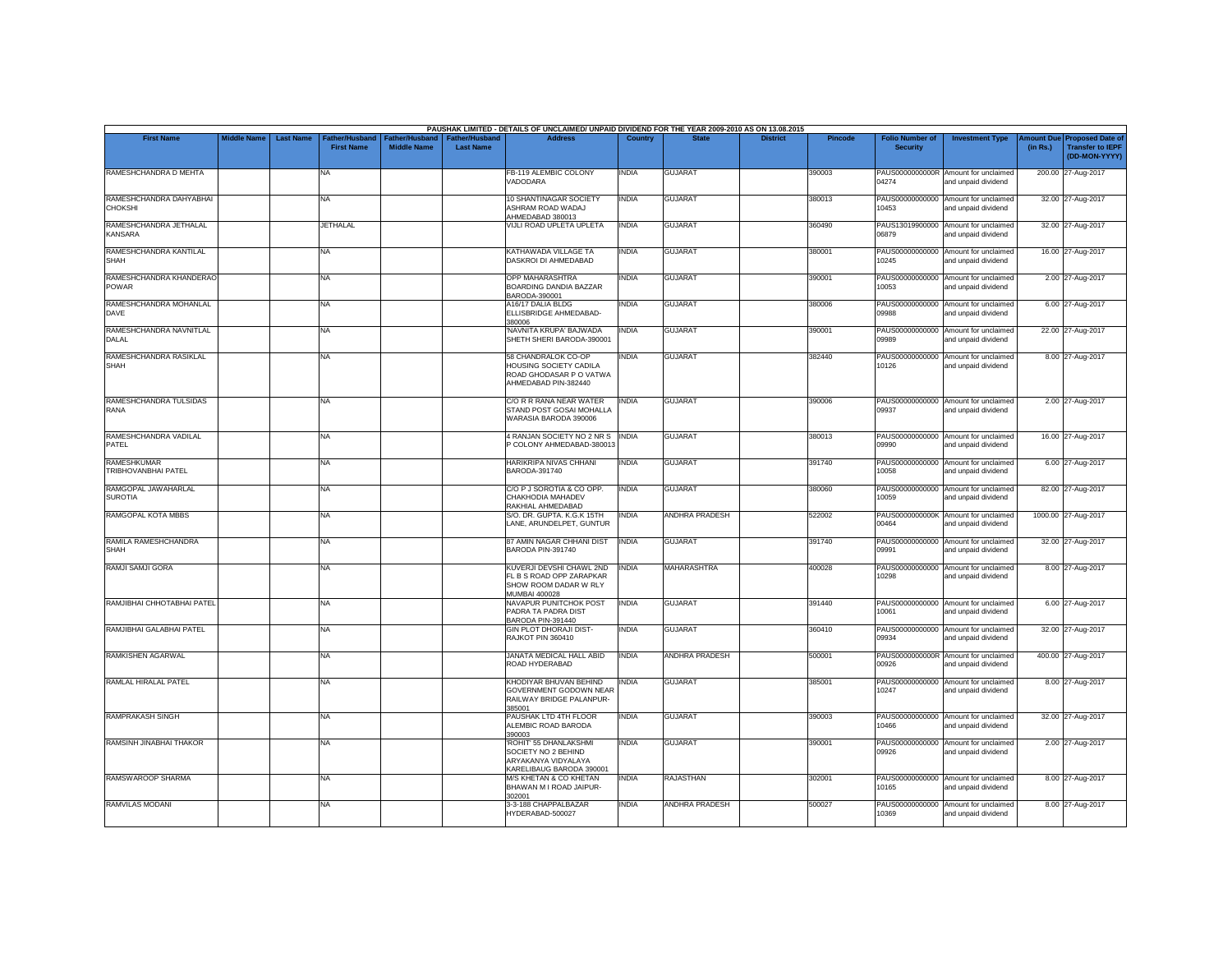|                                           |                    |                  |                                     |                                      |                                           | PAUSHAK LIMITED - DETAILS OF UNCLAIMED/ UNPAID DIVIDEND FOR THE YEAR 2009-2010 AS ON 13.08.2015         |              |                       |                 |                |                                           |                                                             |                       |                                                                     |
|-------------------------------------------|--------------------|------------------|-------------------------------------|--------------------------------------|-------------------------------------------|---------------------------------------------------------------------------------------------------------|--------------|-----------------------|-----------------|----------------|-------------------------------------------|-------------------------------------------------------------|-----------------------|---------------------------------------------------------------------|
| <b>First Name</b>                         | <b>Middle Name</b> | <b>Last Name</b> | Father/Husband<br><b>First Name</b> | Father/Husband<br><b>Middle Name</b> | <b>Father/Husband</b><br><b>Last Name</b> | <b>Address</b>                                                                                          | Country      | <b>State</b>          | <b>District</b> | <b>Pincode</b> | <b>Folio Number of</b><br><b>Security</b> | <b>Investment Type</b>                                      | mount Due<br>(in Rs.) | <b>Proposed Date of</b><br><b>Transfer to IEPF</b><br>(DD-MON-YYYY) |
| RAMESHCHANDRA D MEHTA                     |                    |                  | <b>NA</b>                           |                                      |                                           | FB-119 ALEMBIC COLONY<br>VADODARA                                                                       | <b>INDIA</b> | <b>GUJARAT</b>        |                 | 390003         | 04274                                     | PAUS0000000000R Amount for unclaimed<br>and unpaid dividend |                       | 200.00 27-Aug-2017                                                  |
| RAMESHCHANDRA DAHYABHAI<br>CHOKSHI        |                    |                  | NA                                  |                                      |                                           | 10 SHANTINAGAR SOCIETY<br>ASHRAM ROAD WADAJ<br>AHMEDABAD 380013                                         | <b>INDIA</b> | <b>GUJARAT</b>        |                 | 380013         | 10453                                     | PAUS00000000000 Amount for unclaimed<br>and unpaid dividend |                       | 32.00 27-Aug-2017                                                   |
| RAMESHCHANDRA JETHALAL<br><b>KANSARA</b>  |                    |                  | <b>JETHALAL</b>                     |                                      |                                           | VIJLI ROAD UPLETA UPLETA                                                                                | <b>INDIA</b> | <b>GUJARAT</b>        |                 | 360490         | 06879                                     | PAUS13019900000 Amount for unclaimed<br>and unpaid dividend |                       | 32.00 27-Aug-2017                                                   |
| RAMESHCHANDRA KANTILAL<br><b>SHAH</b>     |                    |                  | <b>NA</b>                           |                                      |                                           | KATHAWADA VILLAGE TA<br>DASKROI DI AHMEDABAD                                                            | <b>INDIA</b> | <b>GUJARAT</b>        |                 | 380001         | PAUS00000000000<br>10245                  | Amount for unclaimed<br>and unpaid dividend                 |                       | 16.00 27-Aug-2017                                                   |
| RAMESHCHANDRA KHANDERAO<br><b>POWAR</b>   |                    |                  | NA                                  |                                      |                                           | OPP MAHARASHTRA<br>BOARDING DANDIA BAZZAR<br>BARODA-390001                                              | <b>INDIA</b> | <b>GUJARAT</b>        |                 | 390001         | 10053                                     | PAUS00000000000 Amount for unclaimed<br>and unpaid dividend |                       | 2.00 27-Aug-2017                                                    |
| RAMESHCHANDRA MOHANLAL<br>DAVE            |                    |                  | <b>NA</b>                           |                                      |                                           | A16/17 DALIA BLDG<br>ELLISBRIDGE AHMEDABAD-<br>380006                                                   | <b>INDIA</b> | <b>GUJARAT</b>        |                 | 380006         | 09988                                     | PAUS00000000000 Amount for unclaimed<br>and unpaid dividend |                       | 6.00 27-Aug-2017                                                    |
| RAMESHCHANDRA NAVNITLAL<br>DALAL          |                    |                  | <b>NA</b>                           |                                      |                                           | 'NAVNITA KRUPA' BAJWADA<br>SHETH SHERI BARODA-390001                                                    | <b>INDIA</b> | <b>GUJARAT</b>        |                 | 390001         | 09989                                     | PAUS00000000000 Amount for unclaimed<br>and unpaid dividend |                       | 22.00 27-Aug-2017                                                   |
| RAMESHCHANDRA RASIKLAL<br><b>SHAH</b>     |                    |                  | <b>NA</b>                           |                                      |                                           | 58 CHANDRALOK CO-OP<br><b>HOUSING SOCIETY CADILA</b><br>ROAD GHODASAR P O VATWA<br>AHMEDABAD PIN-382440 | <b>INDIA</b> | <b>GUJARAT</b>        |                 | 382440         | 10126                                     | PAUS00000000000 Amount for unclaimed<br>and unpaid dividend |                       | 8.00 27-Aug-2017                                                    |
| RAMESHCHANDRA TULSIDAS<br>RANA            |                    |                  | <b>NA</b>                           |                                      |                                           | C/O R R RANA NEAR WATER<br>STAND POST GOSAI MOHALLA<br>WARASIA BARODA 390006                            | <b>INDIA</b> | <b>GUJARAT</b>        |                 | 390006         | 09937                                     | PAUS00000000000 Amount for unclaimed<br>and unpaid dividend |                       | 2.00 27-Aug-2017                                                    |
| RAMESHCHANDRA VADILAL<br>PATEL            |                    |                  | <b>NA</b>                           |                                      |                                           | 4 RANJAN SOCIETY NO 2 NR S INDIA<br>P COLONY AHMEDABAD-380013                                           |              | <b>GUJARAT</b>        |                 | 380013         | 09990                                     | PAUS00000000000 Amount for unclaimed<br>and unpaid dividend |                       | 16.00 27-Aug-2017                                                   |
| <b>RAMESHKUMAR</b><br>TRIBHOVANBHAI PATEL |                    |                  | <b>NA</b>                           |                                      |                                           | <b>HARIKRIPA NIVAS CHHANI</b><br>BARODA-391740                                                          | <b>INDIA</b> | <b>GUJARAT</b>        |                 | 391740         | 10058                                     | PAUS00000000000 Amount for unclaimed<br>and unpaid dividend |                       | 6.00 27-Aug-2017                                                    |
| RAMGOPAL JAWAHARLAL<br><b>SUROTIA</b>     |                    |                  | <b>NA</b>                           |                                      |                                           | C/O P J SOROTIA & CO OPP.<br>CHAKHODIA MAHADEV<br>RAKHIAL AHMEDABAD                                     | <b>INDIA</b> | <b>GUJARAT</b>        |                 | 380060         | 10059                                     | PAUS00000000000 Amount for unclaimed<br>and unpaid dividend |                       | 82.00 27-Aug-2017                                                   |
| RAMGOPAL KOTA MBBS                        |                    |                  | <b>NA</b>                           |                                      |                                           | S/O. DR. GUPTA. K.G.K 15TH<br>LANE, ARUNDELPET, GUNTUR                                                  | <b>INDIA</b> | <b>ANDHRA PRADESH</b> |                 | 522002         | PAUS0000000000K<br>00464                  | Amount for unclaimed<br>and unpaid dividend                 |                       | 1000.00 27-Aug-2017                                                 |
| RAMILA RAMESHCHANDRA<br><b>SHAH</b>       |                    |                  | <b>NA</b>                           |                                      |                                           | 87 AMIN NAGAR CHHANI DIST<br>BARODA PIN-391740                                                          | <b>INDIA</b> | <b>GUJARAT</b>        |                 | 391740         | 09991                                     | PAUS00000000000 Amount for unclaimed<br>and unpaid dividend |                       | 32.00 27-Aug-2017                                                   |
| RAMJI SAMJI GORA                          |                    |                  | <b>NA</b>                           |                                      |                                           | KUVERJI DEVSHI CHAWL 2ND<br>FL B S ROAD OPP ZARAPKAR<br>SHOW ROOM DADAR W RLY<br><b>MUMBAI 400028</b>   | <b>INDIA</b> | <b>MAHARASHTRA</b>    |                 | 400028         | 10298                                     | PAUS00000000000 Amount for unclaimed<br>and unpaid dividend |                       | 8.00 27-Aug-2017                                                    |
| RAMJIBHAI CHHOTABHAI PATEL                |                    |                  | <b>NA</b>                           |                                      |                                           | NAVAPUR PUNITCHOK POST<br>PADRA TA PADRA DIST<br>BARODA PIN-391440                                      | <b>INDIA</b> | <b>GUJARAT</b>        |                 | 391440         | 10061                                     | PAUS00000000000 Amount for unclaimed<br>and unpaid dividend |                       | 6.00 27-Aug-2017                                                    |
| RAMJIBHAI GALABHAI PATEL                  |                    |                  | <b>NA</b>                           |                                      |                                           | <b>GIN PLOT DHORAJI DIST-</b><br>RAJKOT PIN 360410                                                      | <b>INDIA</b> | <b>GUJARAT</b>        |                 | 360410         | 09934                                     | PAUS00000000000 Amount for unclaimed<br>and unpaid dividend |                       | 32.00 27-Aug-2017                                                   |
| <b>RAMKISHEN AGARWAL</b>                  |                    |                  | <b>NA</b>                           |                                      |                                           | JANATA MEDICAL HALL ABID<br>ROAD HYDERABAD                                                              | <b>INDIA</b> | <b>ANDHRA PRADESH</b> |                 | 500001         | 00926                                     | PAUS0000000000R Amount for unclaimed<br>and unpaid dividend |                       | 400.00 27-Aug-2017                                                  |
| RAMLAL HIRALAL PATEL                      |                    |                  | <b>NA</b>                           |                                      |                                           | KHODIYAR BHUVAN BEHIND<br><b>GOVERNMENT GODOWN NEAR</b><br>RAILWAY BRIDGE PALANPUR-<br>385001           | <b>INDIA</b> | <b>GUJARAT</b>        |                 | 385001         | 10247                                     | PAUS00000000000 Amount for unclaimed<br>and unpaid dividend |                       | 8.00 27-Aug-2017                                                    |
| <b>RAMPRAKASH SINGH</b>                   |                    |                  | <b>NA</b>                           |                                      |                                           | PAUSHAK LTD 4TH FLOOR<br>ALEMBIC ROAD BARODA<br>390003                                                  | <b>INDIA</b> | <b>GUJARAT</b>        |                 | 390003         | 10466                                     | PAUS00000000000 Amount for unclaimed<br>and unpaid dividend |                       | 32.00 27-Aug-2017                                                   |
| RAMSINH JINABHAI THAKOR                   |                    |                  | <b>NA</b>                           |                                      |                                           | 'ROHIT' 55 DHANLAKSHMI<br>SOCIETY NO 2 BEHIND<br>ARYAKANYA VIDYALAYA<br>KARELIBAUG BARODA 390001        | <b>INDIA</b> | <b>GUJARAT</b>        |                 | 390001         | 09926                                     | PAUS00000000000 Amount for unclaimed<br>and unpaid dividend |                       | 2.00 27-Aug-2017                                                    |
| RAMSWAROOP SHARMA                         |                    |                  | <b>NA</b>                           |                                      |                                           | M/S KHETAN & CO KHETAN<br>BHAWAN M I ROAD JAIPUR-<br>302001                                             | <b>INDIA</b> | <b>RAJASTHAN</b>      |                 | 302001         | 10165                                     | PAUS00000000000 Amount for unclaimed<br>and unpaid dividend |                       | 8.00 27-Aug-2017                                                    |
| <b>RAMVILAS MODANI</b>                    |                    |                  | <b>NA</b>                           |                                      |                                           | 3-3-188 CHAPPALBAZAR<br>HYDERABAD-500027                                                                | <b>INDIA</b> | <b>ANDHRA PRADESH</b> |                 | 500027         | PAUS00000000000<br>10369                  | Amount for unclaimed<br>and unpaid dividend                 |                       | 8.00 27-Aug-2017                                                    |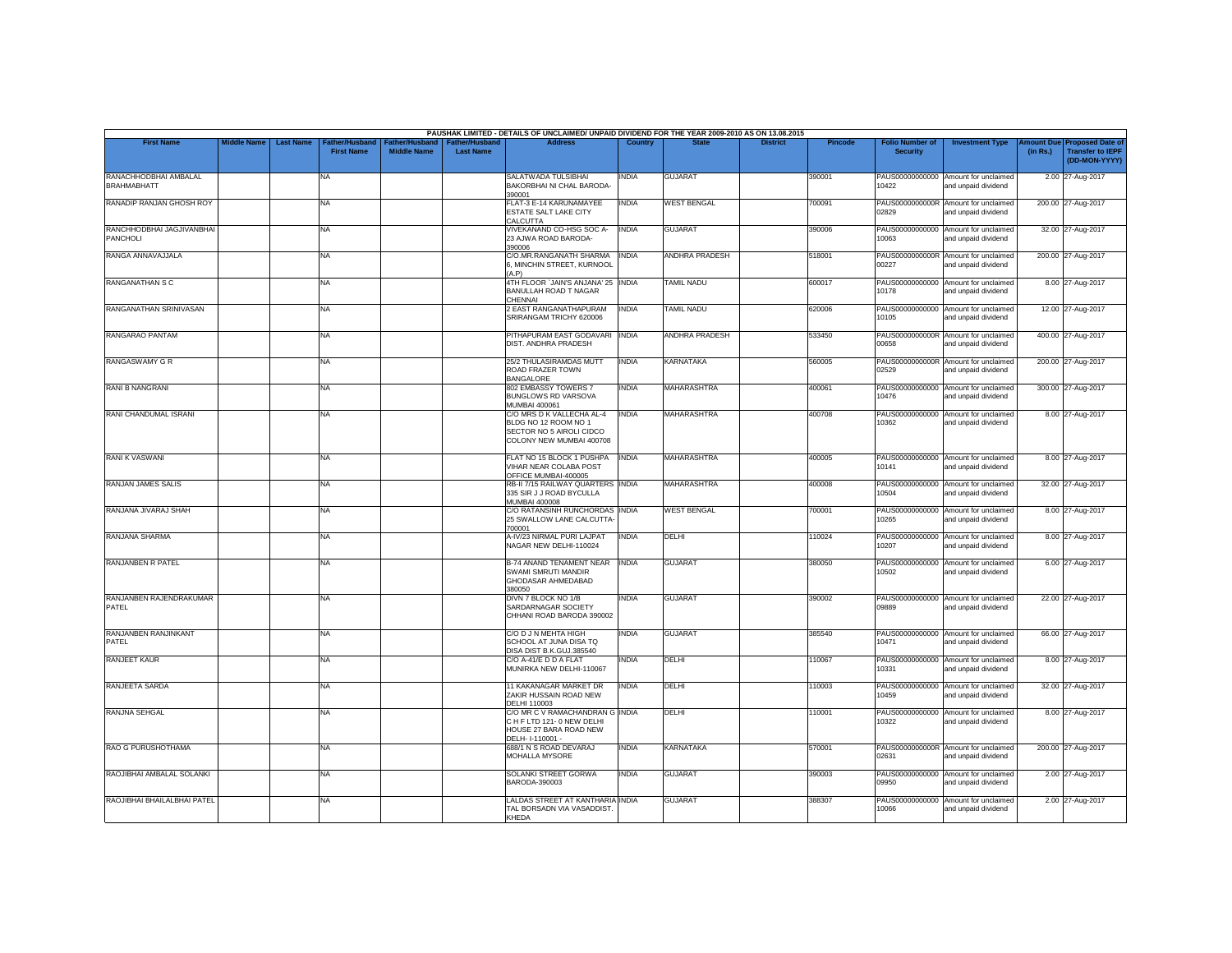|                                             |                    |                  |                                            |                                             |                                           | PAUSHAK LIMITED - DETAILS OF UNCLAIMED/ UNPAID DIVIDEND FOR THE YEAR 2009-2010 AS ON 13.08.2015           |              |                       |                 |         |                                           |                                                             |          |                                                                         |
|---------------------------------------------|--------------------|------------------|--------------------------------------------|---------------------------------------------|-------------------------------------------|-----------------------------------------------------------------------------------------------------------|--------------|-----------------------|-----------------|---------|-------------------------------------------|-------------------------------------------------------------|----------|-------------------------------------------------------------------------|
| <b>First Name</b>                           | <b>Middle Name</b> | <b>Last Name</b> | <b>Father/Husband</b><br><b>First Name</b> | <b>Father/Husband</b><br><b>Middle Name</b> | <b>Father/Husband</b><br><b>Last Name</b> | <b>Address</b>                                                                                            | Country      | <b>State</b>          | <b>District</b> | Pincode | <b>Folio Number of</b><br><b>Security</b> | <b>Investment Type</b>                                      | (in Rs.) | Amount Due Proposed Date of<br><b>Transfer to IEPF</b><br>(DD-MON-YYYY) |
| RANACHHODBHAI AMBALAL<br><b>BRAHMABHATT</b> |                    |                  | <b>NA</b>                                  |                                             |                                           | SALATWADA TULSIBHAI<br>BAKORBHAI NI CHAL BARODA-<br>390001                                                | INDIA        | <b>GUJARAT</b>        |                 | 390001  | 10422                                     | PAUS00000000000 Amount for unclaimed<br>and unpaid dividend |          | 2.00 27-Aug-2017                                                        |
| RANADIP RANJAN GHOSH ROY                    |                    |                  | <b>NA</b>                                  |                                             |                                           | FLAT-3 E-14 KARUNAMAYEE<br>ESTATE SALT LAKE CITY<br>CALCUTTA                                              | <b>INDIA</b> | <b>WEST BENGAL</b>    |                 | 700091  | 02829                                     | PAUS0000000000R Amount for unclaimed<br>and unpaid dividend |          | 200.00 27-Aug-2017                                                      |
| RANCHHODBHAI JAGJIVANBHAI<br>PANCHOLI       |                    |                  | <b>NA</b>                                  |                                             |                                           | VIVEKANAND CO-HSG SOC A-<br>23 AJWA ROAD BARODA-<br>390006                                                | <b>INDIA</b> | <b>GUJARAT</b>        |                 | 390006  | <b>22001</b>                              | PAUS00000000000 Amount for unclaimed<br>and unpaid dividend |          | 32.00 27-Aug-2017                                                       |
| RANGA ANNAVAJJALA                           |                    |                  | <b>NA</b>                                  |                                             |                                           | C/O.MR.RANGANATH SHARMA<br>6, MINCHIN STREET, KURNOOL<br>(A.P)                                            | <b>INDIA</b> | <b>ANDHRA PRADESH</b> |                 | 518001  | 00227                                     | PAUS0000000000R Amount for unclaimed<br>and unpaid dividend |          | 200.00 27-Aug-2017                                                      |
| RANGANATHAN S C                             |                    |                  | <b>NA</b>                                  |                                             |                                           | 4TH FLOOR `JAIN'S ANJANA' 25  INDIA<br><b>BANULLAH ROAD T NAGAR</b><br>CHENNAI                            |              | <b>TAMIL NADU</b>     |                 | 600017  | PAUS00000000000<br>10178                  | Amount for unclaimed<br>and unpaid dividend                 |          | 8.00 27-Aug-2017                                                        |
| RANGANATHAN SRINIVASAN                      |                    |                  | <b>NA</b>                                  |                                             |                                           | 2 EAST RANGANATHAPURAM<br>SRIRANGAM TRICHY 620006                                                         | <b>INDIA</b> | <b>TAMIL NADU</b>     |                 | 620006  | 10105                                     | PAUS00000000000 Amount for unclaimed<br>and unpaid dividend |          | 12.00 27-Aug-2017                                                       |
| RANGARAO PANTAM                             |                    |                  | <b>NA</b>                                  |                                             |                                           | PITHAPURAM EAST GODAVARI INDIA<br>DIST. ANDHRA PRADESH                                                    |              | <b>ANDHRA PRADESH</b> |                 | 533450  | 00658                                     | PAUS0000000000R Amount for unclaimed<br>and unpaid dividend |          | 400.00 27-Aug-2017                                                      |
| <b>RANGASWAMY G R</b>                       |                    |                  | <b>NA</b>                                  |                                             |                                           | 25/2 THULASIRAMDAS MUTT<br>ROAD FRAZER TOWN<br><b>BANGALORE</b>                                           | <b>INDIA</b> | <b>KARNATAKA</b>      |                 | 560005  | 02529                                     | PAUS0000000000R Amount for unclaimed<br>and unpaid dividend |          | 200.00 27-Aug-2017                                                      |
| <b>RANI B NANGRANI</b>                      |                    |                  | <b>NA</b>                                  |                                             |                                           | 802 EMBASSY TOWERS 7<br>BUNGLOWS RD VARSOVA<br><b>MUMBAI 400061</b>                                       | INDIA        | <b>MAHARASHTRA</b>    |                 | 400061  | 10476                                     | PAUS00000000000 Amount for unclaimed<br>and unpaid dividend |          | 300.00 27-Aug-2017                                                      |
| RANI CHANDUMAL ISRANI                       |                    |                  | <b>NA</b>                                  |                                             |                                           | C/O MRS D K VALLECHA AL-4<br>BLDG NO 12 ROOM NO 1<br>SECTOR NO 5 AIROLI CIDCO<br>COLONY NEW MUMBAI 400708 | <b>INDIA</b> | <b>MAHARASHTRA</b>    |                 | 400708  | 10362                                     | PAUS00000000000 Amount for unclaimed<br>and unpaid dividend |          | 8.00 27-Aug-2017                                                        |
| <b>RANI K VASWANI</b>                       |                    |                  | <b>NA</b>                                  |                                             |                                           | FLAT NO 15 BLOCK 1 PUSHPA<br>VIHAR NEAR COLABA POST<br>OFFICE MUMBAI-400005                               | <b>INDIA</b> | <b>MAHARASHTRA</b>    |                 | 400005  | 10141                                     | PAUS00000000000 Amount for unclaimed<br>and unpaid dividend |          | 8.00 27-Aug-2017                                                        |
| RANJAN JAMES SALIS                          |                    |                  | <b>NA</b>                                  |                                             |                                           | RB-II 7/15 RAILWAY QUARTERS INDIA<br>335 SIR J J ROAD BYCULLA<br><b>MUMBAI 400008</b>                     |              | <b>MAHARASHTRA</b>    |                 | 400008  | 10504                                     | PAUS00000000000 Amount for unclaimed<br>and unpaid dividend |          | 32.00 27-Aug-2017                                                       |
| RANJANA JIVARAJ SHAH                        |                    |                  | <b>NA</b>                                  |                                             |                                           | C/O RATANSINH RUNCHORDAS INDIA<br>25 SWALLOW LANE CALCUTTA-<br>700001                                     |              | <b>WEST BENGAL</b>    |                 | 700001  | 10265                                     | PAUS00000000000 Amount for unclaimed<br>and unpaid dividend |          | 8.00 27-Aug-2017                                                        |
| RANJANA SHARMA                              |                    |                  | <b>NA</b>                                  |                                             |                                           | A-IV/23 NIRMAL PURI LAJPAT<br>NAGAR NEW DELHI-110024                                                      | <b>INDIA</b> | DELHI                 |                 | 110024  | 10207                                     | PAUS00000000000 Amount for unclaimed<br>and unpaid dividend |          | 8.00 27-Aug-2017                                                        |
| RANJANBEN R PATEL                           |                    |                  | <b>NA</b>                                  |                                             |                                           | B-74 ANAND TENAMENT NEAR<br>SWAMI SMRUTI MANDIR<br>GHODASAR AHMEDABAD<br>380050                           | <b>INDIA</b> | <b>GUJARAT</b>        |                 | 380050  | 10502                                     | PAUS00000000000 Amount for unclaimed<br>and unpaid dividend |          | 6.00 27-Aug-2017                                                        |
| RANJANBEN RAJENDRAKUMAR<br>PATEL            |                    |                  | <b>NA</b>                                  |                                             |                                           | DIVN 7 BLOCK NO 1/B<br>SARDARNAGAR SOCIETY<br>CHHANI ROAD BARODA 390002                                   | <b>INDIA</b> | <b>GUJARAT</b>        |                 | 390002  | 09889                                     | PAUS00000000000 Amount for unclaimed<br>and unpaid dividend |          | 22.00 27-Aug-2017                                                       |
| RANJANBEN RANJINKANT<br>PATEL               |                    |                  | <b>NA</b>                                  |                                             |                                           | C/O D J N MEHTA HIGH<br>SCHOOL AT JUNA DISA TO<br>DISA DIST B.K.GUJ.385540                                | INDIA        | <b>GUJARAT</b>        |                 | 385540  | 10471                                     | PAUS00000000000 Amount for unclaimed<br>and unpaid dividend |          | 66.00 27-Aug-2017                                                       |
| <b>RANJEET KAUR</b>                         |                    |                  | <b>NA</b>                                  |                                             |                                           | C/O A-41/E D D A FLAT<br>MUNIRKA NEW DELHI-110067                                                         | INDIA        | DELHI                 |                 | 110067  | 10331                                     | PAUS00000000000 Amount for unclaimed<br>and unpaid dividend |          | 8.00 27-Aug-2017                                                        |
| RANJEETA SARDA                              |                    |                  | <b>NA</b>                                  |                                             |                                           | 11 KAKANAGAR MARKET DR<br>ZAKIR HUSSAIN ROAD NEW<br>DELHI 110003                                          | INDIA        | DELHI                 |                 | 110003  | 10459                                     | PAUS00000000000 Amount for unclaimed<br>and unpaid dividend |          | 32.00 27-Aug-2017                                                       |
| RANJNA SEHGAL                               |                    |                  | <b>NA</b>                                  |                                             |                                           | C/O MR C V RAMACHANDRAN G INDIA<br>C H F LTD 121-0 NEW DELHI<br>HOUSE 27 BARA ROAD NEW<br>DELH-1-110001 - |              | DELHI                 |                 | 110001  | 10322                                     | PAUS00000000000 Amount for unclaimed<br>and unpaid dividend |          | 8.00 27-Aug-2017                                                        |
| RAO G PURUSHOTHAMA                          |                    |                  | <b>NA</b>                                  |                                             |                                           | 688/1 N S ROAD DEVARAJ<br>MOHALLA MYSORE                                                                  | <b>INDIA</b> | <b>KARNATAKA</b>      |                 | 570001  | 02631                                     | PAUS0000000000R Amount for unclaimed<br>and unpaid dividend |          | 200.00 27-Aug-2017                                                      |
| RAOJIBHAI AMBALAL SOLANKI                   |                    |                  | <b>NA</b>                                  |                                             |                                           | SOLANKI STREET GORWA<br>BARODA-390003                                                                     | <b>INDIA</b> | <b>GUJARAT</b>        |                 | 390003  | 09950                                     | PAUS00000000000 Amount for unclaimed<br>and unpaid dividend |          | 2.00 27-Aug-2017                                                        |
| RAOJIBHAI BHAILALBHAI PATEL                 |                    |                  | <b>NA</b>                                  |                                             |                                           | LALDAS STREET AT KANTHARIA INDIA<br>TAL BORSADN VIA VASADDIST<br>KHEDA                                    |              | <b>GUJARAT</b>        |                 | 388307  | PAUS00000000000<br>10066                  | Amount for unclaimed<br>and unpaid dividend                 |          | 2.00 27-Aug-2017                                                        |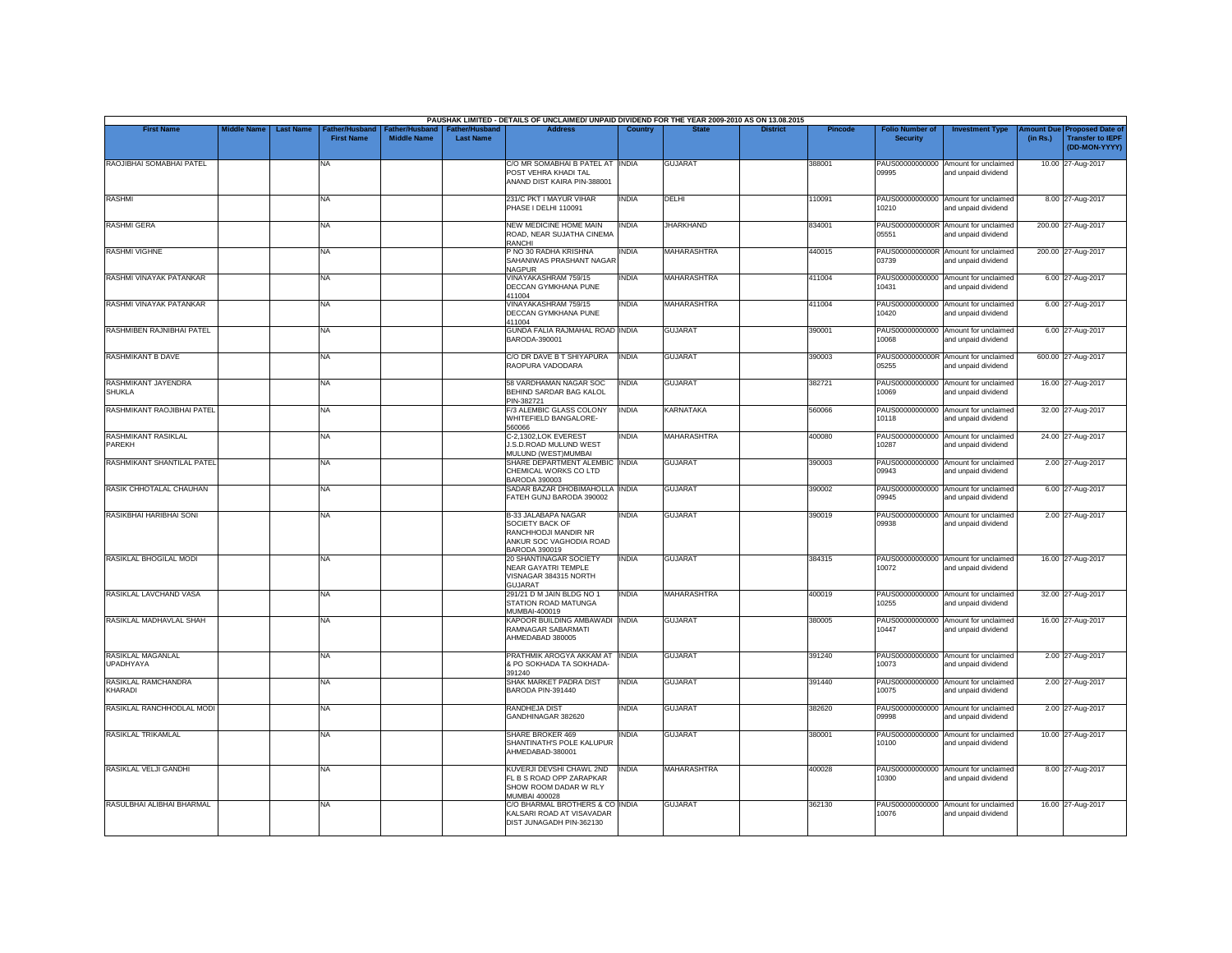|                                       |                    |                  |                                            |                                             |                                           | PAUSHAK LIMITED - DETAILS OF UNCLAIMED/ UNPAID DIVIDEND FOR THE YEAR 2009-2010 AS ON 13.08.2015            |                |                    |                 |         |                                           |                                                             |          |                                                                         |
|---------------------------------------|--------------------|------------------|--------------------------------------------|---------------------------------------------|-------------------------------------------|------------------------------------------------------------------------------------------------------------|----------------|--------------------|-----------------|---------|-------------------------------------------|-------------------------------------------------------------|----------|-------------------------------------------------------------------------|
| <b>First Name</b>                     | <b>Middle Name</b> | <b>Last Name</b> | <b>Father/Husband</b><br><b>First Name</b> | <b>Father/Husband</b><br><b>Middle Name</b> | <b>Father/Husband</b><br><b>Last Name</b> | <b>Address</b>                                                                                             | <b>Country</b> | <b>State</b>       | <b>District</b> | Pincode | <b>Folio Number of</b><br><b>Security</b> | <b>Investment Type</b>                                      | (in Rs.) | Amount Due Proposed Date of<br><b>Transfer to IEPF</b><br>(DD-MON-YYYY) |
| RAOJIBHAI SOMABHAI PATEL              |                    |                  | <b>NA</b>                                  |                                             |                                           | C/O MR SOMABHAI B PATEL AT INDIA<br>POST VEHRA KHADI TAL<br>ANAND DIST KAIRA PIN-388001                    |                | <b>GUJARAT</b>     |                 | 388001  | 09995                                     | PAUS00000000000 Amount for unclaimed<br>and unpaid dividend |          | 10.00 27-Aug-2017                                                       |
| <b>RASHMI</b>                         |                    |                  | <b>NA</b>                                  |                                             |                                           | 231/C PKT I MAYUR VIHAR<br>PHASE I DELHI 110091                                                            | <b>INDIA</b>   | DELHI              |                 | 110091  | 10210                                     | PAUS00000000000 Amount for unclaimed<br>and unpaid dividend |          | 8.00 27-Aug-2017                                                        |
| <b>RASHMI GERA</b>                    |                    |                  | <b>NA</b>                                  |                                             |                                           | <b>NEW MEDICINE HOME MAIN</b><br>ROAD, NEAR SUJATHA CINEMA<br>RANCHI                                       | <b>INDIA</b>   | <b>JHARKHAND</b>   |                 | 834001  | 05551                                     | PAUS0000000000R Amount for unclaimed<br>and unpaid dividend |          | 200.00 27-Aug-2017                                                      |
| <b>RASHMI VIGHNE</b>                  |                    |                  | <b>NA</b>                                  |                                             |                                           | P NO 30 RADHA KRISHNA<br>SAHANIWAS PRASHANT NAGAR<br><b>NAGPUR</b>                                         | INDIA          | <b>MAHARASHTRA</b> |                 | 440015  | 03739                                     | PAUS0000000000R Amount for unclaimed<br>and unpaid dividend |          | 200.00 27-Aug-2017                                                      |
| RASHMI VINAYAK PATANKAR               |                    |                  | <b>NA</b>                                  |                                             |                                           | VINAYAKASHRAM 759/15<br>DECCAN GYMKHANA PUNE<br>411004                                                     | INDIA          | MAHARASHTRA        |                 | 411004  | 10431                                     | PAUS00000000000 Amount for unclaimed<br>and unpaid dividend |          | 6.00 27-Aug-2017                                                        |
| RASHMI VINAYAK PATANKAR               |                    |                  | <b>NA</b>                                  |                                             |                                           | VINAYAKASHRAM 759/15<br>DECCAN GYMKHANA PUNE<br>411004                                                     | <b>INDIA</b>   | <b>MAHARASHTRA</b> |                 | 411004  | 10420                                     | PAUS00000000000 Amount for unclaimed<br>and unpaid dividend |          | 6.00 27-Aug-2017                                                        |
| RASHMIBEN RAJNIBHAI PATEL             |                    |                  | <b>NA</b>                                  |                                             |                                           | GUNDA FALIA RAJMAHAL ROAD INDIA<br>BARODA-390001                                                           |                | <b>GUJARAT</b>     |                 | 390001  | 88001                                     | PAUS00000000000 Amount for unclaimed<br>and unpaid dividend |          | 6.00 27-Aug-2017                                                        |
| RASHMIKANT B DAVE                     |                    |                  | <b>NA</b>                                  |                                             |                                           | C/O DR DAVE B T SHIYAPURA<br>RAOPURA VADODARA                                                              | <b>INDIA</b>   | <b>GUJARAT</b>     |                 | 390003  | 05255                                     | PAUS0000000000R Amount for unclaimed<br>and unpaid dividend |          | 600.00 27-Aug-2017                                                      |
| RASHMIKANT JAYENDRA<br><b>SHUKLA</b>  |                    |                  | <b>NA</b>                                  |                                             |                                           | 58 VARDHAMAN NAGAR SOC<br>BEHIND SARDAR BAG KALOL<br>PIN-382721                                            | <b>INDIA</b>   | <b>GUJARAT</b>     |                 | 382721  | 10069                                     | PAUS00000000000 Amount for unclaimed<br>and unpaid dividend |          | 16.00 27-Aug-2017                                                       |
| RASHMIKANT RAOJIBHAI PATEL            |                    |                  | <b>NA</b>                                  |                                             |                                           | F/3 ALEMBIC GLASS COLONY<br>WHITEFIELD BANGALORE-<br>560066                                                | <b>INDIA</b>   | <b>KARNATAKA</b>   |                 | 560066  | PAUS00000000000<br>10118                  | Amount for unclaimed<br>and unpaid dividend                 |          | 32.00 27-Aug-2017                                                       |
| RASHMIKANT RASIKLAL<br>PAREKH         |                    |                  | <b>NA</b>                                  |                                             |                                           | C-2,1302,LOK EVEREST<br>J.S.D.ROAD MULUND WEST<br>MULUND (WEST) MUMBAI                                     | INDIA          | <b>MAHARASHTRA</b> |                 | 400080  | 10287                                     | PAUS00000000000 Amount for unclaimed<br>and unpaid dividend |          | 24.00 27-Aug-2017                                                       |
| RASHMIKANT SHANTILAL PATEL            |                    |                  | <b>NA</b>                                  |                                             |                                           | SHARE DEPARTMENT ALEMBIC INDIA<br>CHEMICAL WORKS CO LTD<br>BARODA 390003                                   |                | <b>GUJARAT</b>     |                 | 390003  | 09943                                     | PAUS00000000000 Amount for unclaimed<br>and unpaid dividend |          | 2.00 27-Aug-2017                                                        |
| RASIK CHHOTALAL CHAUHAN               |                    |                  | <b>NA</b>                                  |                                             |                                           | SADAR BAZAR DHOBIMAHOLLA INDIA<br>FATEH GUNJ BARODA 390002                                                 |                | <b>GUJARAT</b>     |                 | 390002  | 09945                                     | PAUS00000000000 Amount for unclaimed<br>and unpaid dividend |          | 6.00 27-Aug-2017                                                        |
| RASIKBHAI HARIBHAI SONI               |                    |                  | <b>NA</b>                                  |                                             |                                           | B-33 JALABAPA NAGAR<br>SOCIETY BACK OF<br>RANCHHODJI MANDIR NR<br>ANKUR SOC VAGHODIA ROAD<br>BARODA 390019 | <b>INDIA</b>   | <b>GUJARAT</b>     |                 | 390019  | PAUS00000000000<br>09938                  | Amount for unclaimed<br>and unpaid dividend                 |          | 2.00 27-Aug-2017                                                        |
| RASIKLAL BHOGILAL MODI                |                    |                  | <b>NA</b>                                  |                                             |                                           | 20 SHANTINAGAR SOCIETY<br><b>NEAR GAYATRI TEMPLE</b><br>VISNAGAR 384315 NORTH<br>GUJARAT                   | <b>INDIA</b>   | <b>GUJARAT</b>     |                 | 384315  | 10072                                     | PAUS00000000000 Amount for unclaimed<br>and unpaid dividend |          | 16.00 27-Aug-2017                                                       |
| RASIKLAL LAVCHAND VASA                |                    |                  | <b>NA</b>                                  |                                             |                                           | 291/21 D M JAIN BLDG NO 1<br>STATION ROAD MATUNGA<br>MUMBAI-400019                                         | <b>INDIA</b>   | <b>MAHARASHTRA</b> |                 | 400019  | 10255                                     | PAUS00000000000 Amount for unclaimed<br>and unpaid dividend |          | 32.00 27-Aug-2017                                                       |
| RASIKLAL MADHAVLAL SHAH               |                    |                  | <b>NA</b>                                  |                                             |                                           | KAPOOR BUILDING AMBAWADI INDIA<br>RAMNAGAR SABARMATI<br>AHMEDABAD 380005                                   |                | <b>GUJARAT</b>     |                 | 380005  | PAUS00000000000<br>10447                  | Amount for unclaimed<br>and unpaid dividend                 |          | 16.00 27-Aug-2017                                                       |
| RASIKLAL MAGANLAL<br><b>UPADHYAYA</b> |                    |                  | <b>NA</b>                                  |                                             |                                           | PRATHMIK AROGYA AKKAM AT INDIA<br>& PO SOKHADA TA SOKHADA-<br>391240                                       |                | <b>GUJARAT</b>     |                 | 391240  | 10073                                     | PAUS00000000000 Amount for unclaimed<br>and unpaid dividend |          | 2.00 27-Aug-2017                                                        |
| RASIKLAL RAMCHANDRA<br><b>KHARADI</b> |                    |                  | NA                                         |                                             |                                           | SHAK MARKET PADRA DIST<br>BARODA PIN-391440                                                                | <b>INDIA</b>   | <b>GUJARAT</b>     |                 | 391440  | 10075                                     | PAUS00000000000 Amount for unclaimed<br>and unpaid dividend |          | 2.00 27-Aug-2017                                                        |
| RASIKLAL RANCHHODLAL MODI             |                    |                  | <b>NA</b>                                  |                                             |                                           | RANDHEJA DIST<br>GANDHINAGAR 382620                                                                        | <b>INDIA</b>   | <b>GUJARAT</b>     |                 | 382620  | PAUS00000000000<br>09998                  | Amount for unclaimed<br>and unpaid dividend                 |          | 2.00 27-Aug-2017                                                        |
| RASIKLAL TRIKAMLAL                    |                    |                  | <b>NA</b>                                  |                                             |                                           | <b>SHARE BROKER 469</b><br>SHANTINATH'S POLE KALUPUR<br>AHMEDABAD-380001                                   | <b>INDIA</b>   | <b>GUJARAT</b>     |                 | 380001  | 10100                                     | PAUS00000000000 Amount for unclaimed<br>and unpaid dividend |          | 10.00 27-Aug-2017                                                       |
| RASIKLAL VELJI GANDHI                 |                    |                  | <b>NA</b>                                  |                                             |                                           | KUVERJI DEVSHI CHAWL 2ND<br>FL B S ROAD OPP ZARAPKAR<br>SHOW ROOM DADAR W RLY<br><b>MUMBAI 400028</b>      | <b>INDIA</b>   | <b>MAHARASHTRA</b> |                 | 400028  | 0300                                      | PAUS00000000000 Amount for unclaimed<br>and unpaid dividend |          | 8.00 27-Aug-2017                                                        |
| RASULBHAI ALIBHAI BHARMAL             |                    |                  | <b>NA</b>                                  |                                             |                                           | C/O BHARMAL BROTHERS & CO INDIA<br>KALSARI ROAD AT VISAVADAR<br>DIST JUNAGADH PIN-362130                   |                | <b>GUJARAT</b>     |                 | 362130  | PAUS00000000000<br>10076                  | Amount for unclaimed<br>and unpaid dividend                 |          | 16.00 27-Aug-2017                                                       |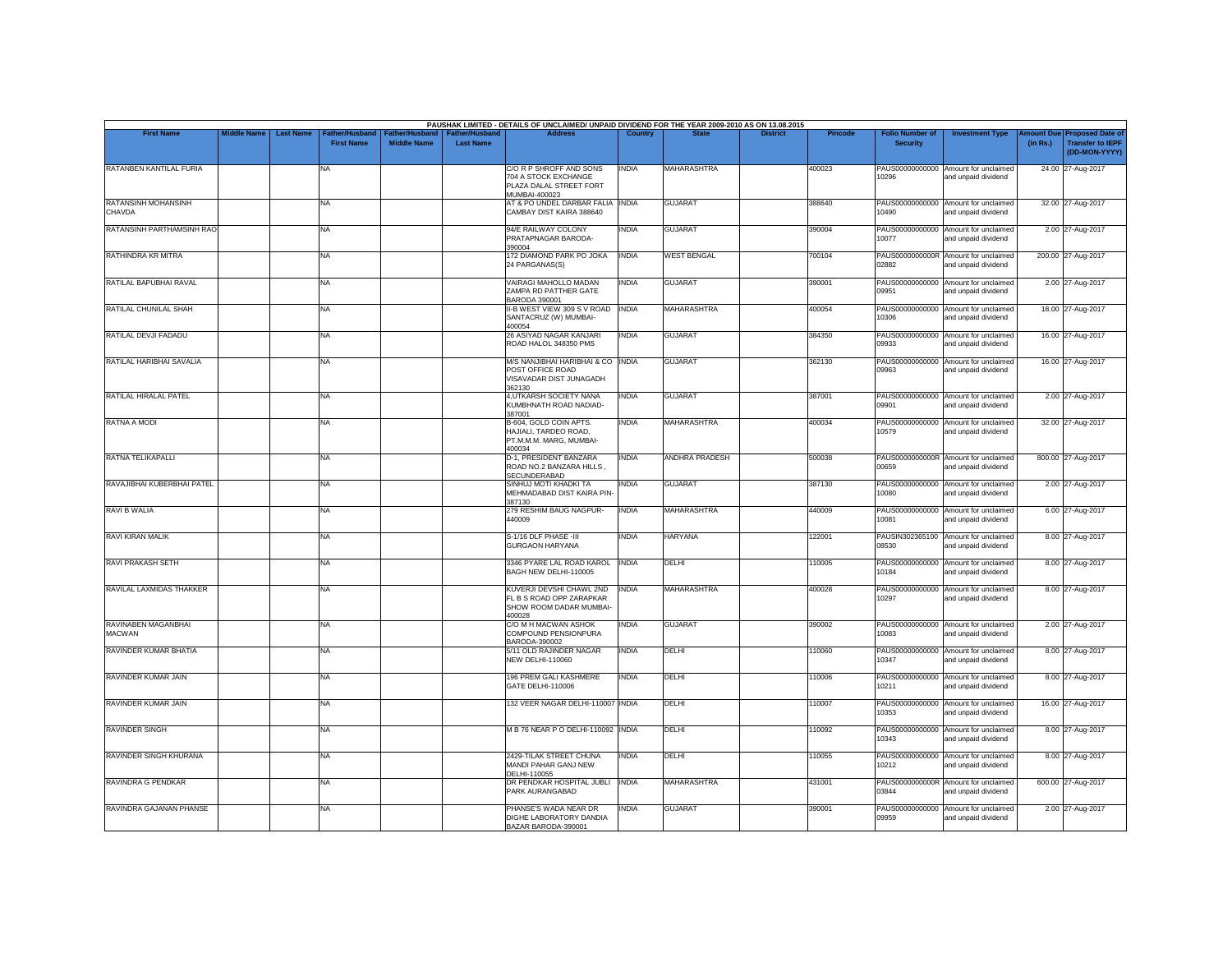| <b>First Name</b>                    | <b>Middle Name</b> | <b>Last Name</b> | Father/Husband    | ather/Hus          | <b>Father/Hushand</b> | PAUSHAK LIMITED - DETAILS OF UNCLAIMED/ UNPAID DIVIDEND FOR THE YEAR 2009-2010 AS ON 13.08.2015<br><b>Address</b> | Country      |                       | <b>District</b> | Pincode | <b>Folio Number of</b>   | <b>Investment Type</b>                                      | mount Due | <b>Proposed Date of</b>                  |
|--------------------------------------|--------------------|------------------|-------------------|--------------------|-----------------------|-------------------------------------------------------------------------------------------------------------------|--------------|-----------------------|-----------------|---------|--------------------------|-------------------------------------------------------------|-----------|------------------------------------------|
|                                      |                    |                  | <b>First Name</b> | <b>Middle Name</b> | <b>Last Name</b>      |                                                                                                                   |              |                       |                 |         | <b>Security</b>          |                                                             | (in Rs.)  | <b>Transfer to IEPF</b><br>(DD-MON-YYYY) |
| RATANBEN KANTILAL FURIA              |                    |                  | NA                |                    |                       | C/O R P SHROFF AND SONS<br>704 A STOCK EXCHANGE<br>PLAZA DALAL STREET FORT<br>MUMBAI-400023                       | <b>INDIA</b> | MAHARASHTRA           |                 | 400023  | PAUS00000000000<br>10296 | Amount for unclaimed<br>and unpaid dividend                 |           | 24.00 27-Aug-2017                        |
| RATANSINH MOHANSINH<br>CHAVDA        |                    |                  | NA                |                    |                       | AT & PO UNDEL DARBAR FALIA INDIA<br>CAMBAY DIST KAIRA 388640                                                      |              | <b>GUJARAT</b>        |                 | 388640  | PAUS00000000000<br>10490 | Amount for unclaimed<br>and unpaid dividend                 |           | 32.00 27-Aug-2017                        |
| RATANSINH PARTHAMSINH RAO            |                    |                  | <b>NA</b>         |                    |                       | 94/E RAILWAY COLONY<br>PRATAPNAGAR BARODA-<br>390004                                                              | <b>INDIA</b> | <b>GUJARAT</b>        |                 | 390004  | 10077                    | PAUS00000000000 Amount for unclaimed<br>and unpaid dividend |           | 2.00 27-Aug-2017                         |
| RATHINDRA KR MITRA                   |                    |                  | NA.               |                    |                       | 172 DIAMOND PARK PO JOKA<br>24 PARGANAS(S)                                                                        | <b>INDIA</b> | <b>WEST BENGAL</b>    |                 | 700104  | PAUS0000000000R<br>02882 | Amount for unclaimed<br>and unpaid dividend                 |           | 200.00 27-Aug-2017                       |
| RATILAL BAPUBHAI RAVAL               |                    |                  | <b>NA</b>         |                    |                       | VAIRAGI MAHOLLO MADAN<br>ZAMPA RD PATTHER GATE<br>BARODA 390001                                                   | <b>INDIA</b> | <b>GUJARAT</b>        |                 | 390001  | PAUS00000000000<br>09951 | Amount for unclaimed<br>and unpaid dividend                 |           | 2.00 27-Aug-2017                         |
| RATILAL CHUNILAL SHAH                |                    |                  | NA                |                    |                       | II-B WEST VIEW 309 S V ROAD INDIA<br>SANTACRUZ (W) MUMBAI-<br>400054                                              |              | <b>MAHARASHTRA</b>    |                 | 400054  | PAUS00000000000<br>10306 | Amount for unclaimed<br>and unpaid dividend                 |           | 18.00 27-Aug-2017                        |
| RATILAL DEVJI FADADU                 |                    |                  | NA                |                    |                       | 26 ASIYAD NAGAR KANJARI<br>ROAD HALOL 348350 PMS                                                                  | <b>INDIA</b> | <b>GUJARAT</b>        |                 | 384350  | 09933                    | PAUS00000000000 Amount for unclaimed<br>and unpaid dividend |           | 16.00 27-Aug-2017                        |
| RATILAL HARIBHAI SAVALIA             |                    |                  | NA                |                    |                       | M/S NANJIBHAI HARIBHAI & CO   INDIA<br>POST OFFICE ROAD<br>VISAVADAR DIST JUNAGADH<br>362130                      |              | <b>GUJARAT</b>        |                 | 362130  | PAUS00000000000<br>09963 | Amount for unclaimed<br>and unpaid dividend                 |           | 16.00 27-Aug-2017                        |
| RATILAL HIRALAL PATEL                |                    |                  | NA                |                    |                       | 4, UTKARSH SOCIETY NANA<br>KUMBHNATH ROAD NADIAD-<br>387001                                                       | <b>INDIA</b> | <b>GUJARAT</b>        |                 | 387001  | 19901                    | PAUS00000000000 Amount for unclaimed<br>and unpaid dividend |           | 2.00 27-Aug-2017                         |
| <b>RATNA A MODI</b>                  |                    |                  | NA                |                    |                       | B-604, GOLD COIN APTS.<br>HAJIALI. TARDEO ROAD.<br>PT.M.M.M. MARG, MUMBAI-<br>400034                              | INDIA        | MAHARASHTRA           |                 | 400034  | 10579                    | PAUS00000000000 Amount for unclaimed<br>and unpaid dividend |           | 32.00 27-Aug-2017                        |
| RATNA TELIKAPALLI                    |                    |                  | NA                |                    |                       | D-1, PRESIDENT BANZARA<br>ROAD NO.2 BANZARA HILLS.<br>SECUNDERABAD                                                | INDIA        | <b>ANDHRA PRADESH</b> |                 | 500038  | PAUS0000000000R<br>00659 | Amount for unclaimed<br>and unpaid dividend                 |           | 800.00 27-Aug-2017                       |
| RAVAJIBHAI KUBERBHAI PATEL           |                    |                  | <b>NA</b>         |                    |                       | SINHUJ MOTI KHADKI TA<br>MEHMADABAD DIST KAIRA PIN-<br>387130                                                     | <b>INDIA</b> | <b>GUJARAT</b>        |                 | 387130  | PAUS00000000000<br>10080 | Amount for unclaimed<br>and unpaid dividend                 |           | 2.00 27-Aug-2017                         |
| <b>RAVI B WALIA</b>                  |                    |                  | NA                |                    |                       | 279 RESHIM BAUG NAGPUR-<br>440009                                                                                 | <b>INDIA</b> | <b>MAHARASHTRA</b>    |                 | 440009  | PAUS00000000000<br>10081 | Amount for unclaimed<br>and unpaid dividend                 |           | 6.00 27-Aug-2017                         |
| <b>RAVI KIRAN MALIK</b>              |                    |                  | NA                |                    |                       | S-1/16 DLF PHASE -III<br><b>GURGAON HARYANA</b>                                                                   | <b>INDIA</b> | <b>HARYANA</b>        |                 | 122001  | PAUSIN302365100<br>08530 | Amount for unclaimed<br>and unpaid dividend                 |           | 8.00 27-Aug-2017                         |
| <b>RAVI PRAKASH SETH</b>             |                    |                  | NA                |                    |                       | 3346 PYARE LAL ROAD KAROL INDIA<br>BAGH NEW DELHI-110005                                                          |              | DELHI                 |                 | 110005  | PAUS00000000000<br>10184 | Amount for unclaimed<br>and unpaid dividend                 |           | 8.00 27-Aug-2017                         |
| RAVILAL LAXMIDAS THAKKER             |                    |                  | NA                |                    |                       | KUVERJI DEVSHI CHAWL 2ND<br>FL B S ROAD OPP ZARAPKAR<br>SHOW ROOM DADAR MUMBAI-<br>400028                         | <b>INDIA</b> | <b>MAHARASHTRA</b>    |                 | 400028  | PAUS00000000000<br>10297 | Amount for unclaimed<br>and unpaid dividend                 |           | 8.00 27-Aug-2017                         |
| RAVINABEN MAGANBHAI<br><b>MACWAN</b> |                    |                  | NA                |                    |                       | C/O M H MACWAN ASHOK<br>COMPOUND PENSIONPURA<br>BARODA-390002                                                     | INDIA        | <b>GUJARAT</b>        |                 | 390002  | 10083                    | PAUS00000000000 Amount for unclaimed<br>and unpaid dividend |           | 2.00 27-Aug-2017                         |
| RAVINDER KUMAR BHATIA                |                    |                  | NA                |                    |                       | 5/11 OLD RAJINDER NAGAR<br><b>NEW DELHI-110060</b>                                                                | <b>INDIA</b> | DELHI                 |                 | 110060  | PAUS00000000000<br>10347 | Amount for unclaimed<br>and unpaid dividend                 |           | 8.00 27-Aug-2017                         |
| RAVINDER KUMAR JAIN                  |                    |                  | NA                |                    |                       | 196 PREM GALI KASHMERE<br>GATE DELHI-110006                                                                       | <b>INDIA</b> | DELHI                 |                 | 110006  | PAUS00000000000<br>10211 | Amount for unclaimed<br>and unpaid dividend                 |           | 8.00 27-Aug-2017                         |
| RAVINDER KUMAR JAIN                  |                    |                  | NA                |                    |                       | 132 VEER NAGAR DELHI-110007 INDIA                                                                                 |              | DELHI                 |                 | 110007  | PAUS00000000000<br>10353 | Amount for unclaimed<br>and unpaid dividend                 |           | 16.00 27-Aug-2017                        |
| <b>RAVINDER SINGH</b>                |                    |                  | NA                |                    |                       | M B 76 NEAR P O DELHI-110092 INDIA                                                                                |              | DELHI                 |                 | 110092  | PAUS00000000000<br>10343 | Amount for unclaimed<br>and unpaid dividend                 |           | 8.00 27-Aug-2017                         |
| RAVINDER SINGH KHURANA               |                    |                  | NA                |                    |                       | 2429-TILAK STREET CHUNA<br>MANDI PAHAR GANJ NEW<br>DELHI-110055                                                   | <b>INDIA</b> | DELHI                 |                 | 110055  | PAUS00000000000<br>10212 | Amount for unclaimed<br>and unpaid dividend                 |           | 8.00 27-Aug-2017                         |
| <b>RAVINDRA G PENDKAR</b>            |                    |                  | <b>NA</b>         |                    |                       | DR PENDKAR HOSPITAL JUBLI<br>PARK AURANGABAD                                                                      | <b>INDIA</b> | <b>MAHARASHTRA</b>    |                 | 431001  | PAUS0000000000R<br>03844 | Amount for unclaimed<br>and unpaid dividend                 |           | 600.00 27-Aug-2017                       |
| RAVINDRA GAJANAN PHANSE              |                    |                  | NA                |                    |                       | PHANSE'S WADA NEAR DR<br>DIGHE LABORATORY DANDIA<br>BAZAR BARODA-390001                                           | <b>INDIA</b> | <b>GUJARAT</b>        |                 | 390001  | PAUS00000000000<br>09959 | Amount for unclaimed<br>and unpaid dividend                 |           | 2.00 27-Aug-2017                         |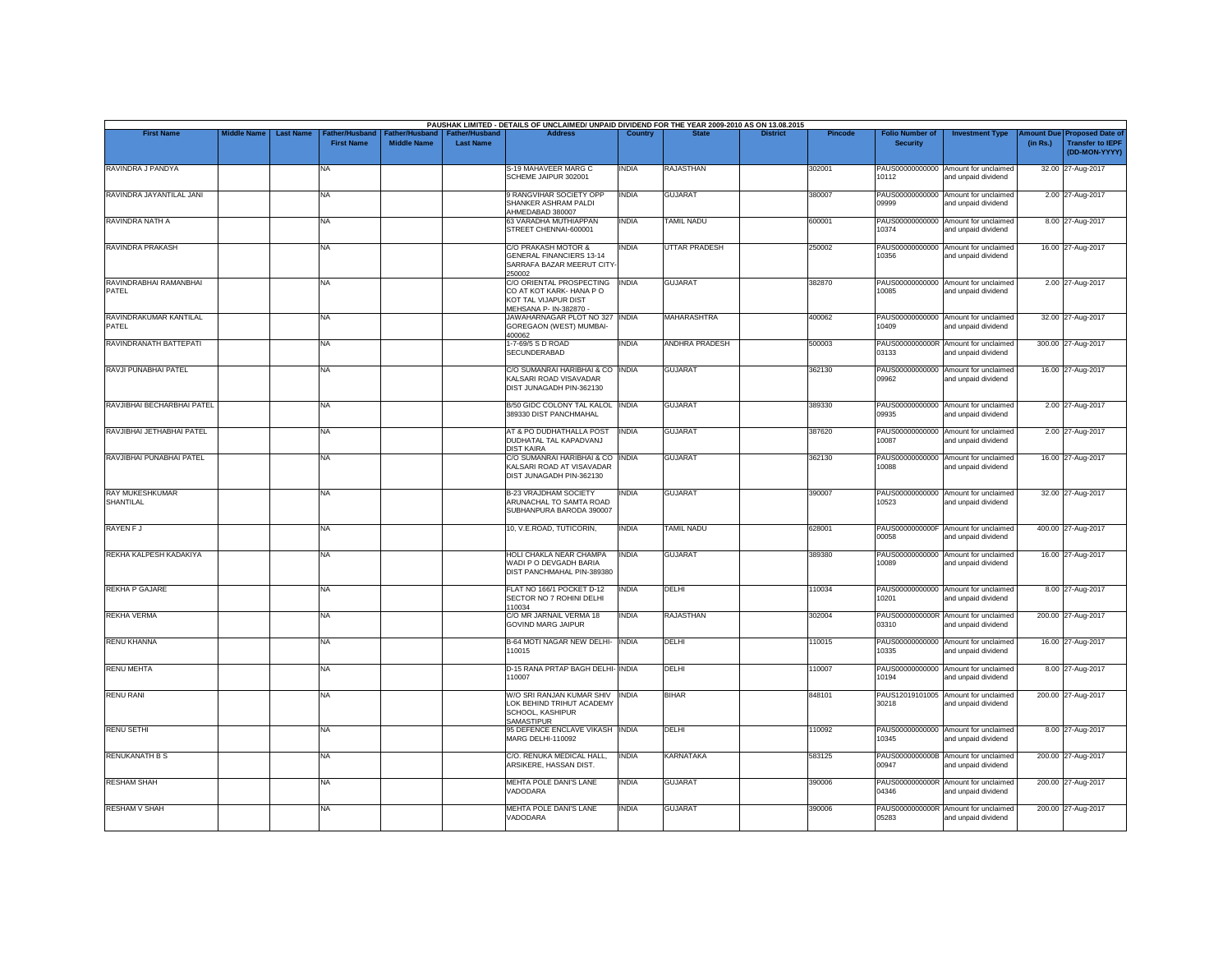| <b>First Name</b>               | <b>Middle Name</b> | <b>Last Name</b> | Father/Husband    | Father/Husband     | Father/Husband   | PAUSHAK LIMITED - DETAILS OF UNCLAIMED/ UNPAID DIVIDEND FOR THE YEAR 2009-2010 AS ON 13.08.2015<br><b>Address</b> | Country      |                       | <b>District</b> | <b>Pincode</b> | <b>Folio Number of</b>   | <b>Investment Type</b>                                      | mount Due | <b>Proposed Date of</b>                  |
|---------------------------------|--------------------|------------------|-------------------|--------------------|------------------|-------------------------------------------------------------------------------------------------------------------|--------------|-----------------------|-----------------|----------------|--------------------------|-------------------------------------------------------------|-----------|------------------------------------------|
|                                 |                    |                  | <b>First Name</b> | <b>Middle Name</b> | <b>Last Name</b> |                                                                                                                   |              |                       |                 |                | <b>Security</b>          |                                                             | (in Rs.)  | <b>Transfer to IEPF</b><br>(DD-MON-YYYY) |
| RAVINDRA J PANDYA               |                    |                  | NA                |                    |                  | S-19 MAHAVEER MARG C<br>SCHEME JAIPUR 302001                                                                      | <b>INDIA</b> | <b>RAJASTHAN</b>      |                 | 302001         | 10112                    | PAUS00000000000 Amount for unclaimed<br>and unpaid dividend |           | 32.00 27-Aug-2017                        |
| RAVINDRA JAYANTILAL JANI        |                    |                  | NA                |                    |                  | 9 RANGVIHAR SOCIETY OPP<br>SHANKER ASHRAM PALDI<br>AHMEDABAD 380007                                               | <b>INDIA</b> | <b>GUJARAT</b>        |                 | 380007         | PAUS00000000000<br>09999 | Amount for unclaimed<br>and unpaid dividend                 |           | 2.00 27-Aug-2017                         |
| RAVINDRA NATH A                 |                    |                  | NA                |                    |                  | 63 VARADHA MUTHIAPPAN<br>STREET CHENNAI-600001                                                                    | <b>INDIA</b> | <b>TAMIL NADU</b>     |                 | 600001         | 10374                    | PAUS00000000000 Amount for unclaimed<br>and unpaid dividend |           | 8.00 27-Aug-2017                         |
| RAVINDRA PRAKASH                |                    |                  | NA                |                    |                  | C/O PRAKASH MOTOR &<br><b>GENERAL FINANCIERS 13-14</b><br>SARRAFA BAZAR MEERUT CITY<br>250002                     | <b>INDIA</b> | <b>UTTAR PRADESH</b>  |                 | 250002         | 10356                    | PAUS00000000000 Amount for unclaimed<br>and unpaid dividend |           | 16.00 27-Aug-2017                        |
| RAVINDRABHAI RAMANBHAI<br>PATEL |                    |                  | NA                |                    |                  | C/O ORIENTAL PROSPECTING<br>CO AT KOT KARK- HANA PO<br>KOT TAL VIJAPUR DIST<br>MEHSANA P- IN-382870 -             | <b>INDIA</b> | <b>GUJARAT</b>        |                 | 382870         | 10085                    | PAUS00000000000 Amount for unclaimed<br>and unpaid dividend |           | 2.00 27-Aug-2017                         |
| RAVINDRAKUMAR KANTILAL<br>PATEL |                    |                  | NA                |                    |                  | JAWAHARNAGAR PLOT NO 327 INDIA<br>GOREGAON (WEST) MUMBAI-<br>400062                                               |              | <b>MAHARASHTRA</b>    |                 | 400062         | 10409                    | PAUS00000000000 Amount for unclaimed<br>and unpaid dividend |           | 32.00 27-Aug-2017                        |
| RAVINDRANATH BATTEPATI          |                    |                  | NA                |                    |                  | 1-7-69/5 S D ROAD<br><b>SECUNDERABAD</b>                                                                          | <b>INDIA</b> | <b>ANDHRA PRADESH</b> |                 | 500003         | 03133                    | PAUS0000000000R Amount for unclaimed<br>and unpaid dividend |           | 300.00 27-Aug-2017                       |
| RAVJI PUNABHAI PATEL            |                    |                  | NA                |                    |                  | C/O SUMANRAI HARIBHAI & CO INDIA<br>KALSARI ROAD VISAVADAR<br>DIST JUNAGADH PIN-362130                            |              | <b>GUJARAT</b>        |                 | 362130         | 09962                    | PAUS00000000000 Amount for unclaimed<br>and unpaid dividend |           | 16.00 27-Aug-2017                        |
| RAVJIBHAI BECHARBHAI PATEL      |                    |                  | NA                |                    |                  | B/50 GIDC COLONY TAL KALOL INDIA<br>389330 DIST PANCHMAHAL                                                        |              | <b>GUJARAT</b>        |                 | 389330         | 09935                    | PAUS00000000000 Amount for unclaimed<br>and unpaid dividend |           | 2.00 27-Aug-2017                         |
| RAVJIBHAI JETHABHAI PATEL       |                    |                  | NA                |                    |                  | AT & PO DUDHATHALLA POST<br>DUDHATAL TAL KAPADVANJ<br><b>DIST KAIRA</b>                                           | <b>INDIA</b> | <b>GUJARAT</b>        |                 | 387620         | 10087                    | PAUS00000000000 Amount for unclaimed<br>and unpaid dividend |           | 2.00 27-Aug-2017                         |
| RAVJIBHAI PUNABHAI PATEL        |                    |                  | NA                |                    |                  | C/O SUMANRAI HARIBHAI & CO INDIA<br>KALSARI ROAD AT VISAVADAR<br>DIST JUNAGADH PIN-362130                         |              | <b>GUJARAT</b>        |                 | 362130         | 10088                    | PAUS00000000000 Amount for unclaimed<br>and unpaid dividend |           | 16.00 27-Aug-2017                        |
| RAY MUKESHKUMAR<br>SHANTILAL    |                    |                  | NA                |                    |                  | B-23 VRAJDHAM SOCIETY<br>ARUNACHAL TO SAMTA ROAD<br>SUBHANPURA BARODA 390007                                      | <b>INDIA</b> | <b>GUJARAT</b>        |                 | 390007         | 10523                    | PAUS00000000000 Amount for unclaimed<br>and unpaid dividend |           | 32.00 27-Aug-2017                        |
| <b>RAYEN FJ</b>                 |                    |                  | NA                |                    |                  | 10. V.E.ROAD, TUTICORIN.                                                                                          | <b>INDIA</b> | <b>TAMIL NADU</b>     |                 | 628001         | 00058                    | PAUS0000000000F Amount for unclaimed<br>and unpaid dividend |           | 400.00 27-Aug-2017                       |
| REKHA KALPESH KADAKIYA          |                    |                  | NA                |                    |                  | HOLI CHAKLA NEAR CHAMPA<br>WADI P O DEVGADH BARIA<br>DIST PANCHMAHAL PIN-389380                                   | <b>INDIA</b> | <b>GUJARAT</b>        |                 | 389380         | 10089                    | PAUS00000000000 Amount for unclaimed<br>and unpaid dividend |           | 16.00 27-Aug-2017                        |
| <b>REKHA P GAJARE</b>           |                    |                  | <b>NA</b>         |                    |                  | FLAT NO 166/1 POCKET D-12<br>SECTOR NO 7 ROHINI DELHI<br>110034                                                   | <b>INDIA</b> | DELHI                 |                 | 110034         | 10201                    | PAUS00000000000 Amount for unclaimed<br>and unpaid dividend |           | 8.00 27-Aug-2017                         |
| <b>REKHA VERMA</b>              |                    |                  | NA                |                    |                  | C/O MR JARNAIL VERMA 18<br><b>GOVIND MARG JAIPUR</b>                                                              | <b>INDIA</b> | <b>RAJASTHAN</b>      |                 | 302004         | 03310                    | PAUS0000000000R Amount for unclaimed<br>and unpaid dividend |           | 200.00 27-Aug-2017                       |
| <b>RENU KHANNA</b>              |                    |                  | NA                |                    |                  | B-64 MOTI NAGAR NEW DELHI- INDIA<br>110015                                                                        |              | <b>DELHI</b>          |                 | 110015         | 10335                    | PAUS00000000000 Amount for unclaimed<br>and unpaid dividend |           | 16.00 27-Aug-2017                        |
| <b>RENU MEHTA</b>               |                    |                  | NA                |                    |                  | D-15 RANA PRTAP BAGH DELHI- INDIA<br>110007                                                                       |              | DELHI                 |                 | 10007          | 10194                    | PAUS00000000000 Amount for unclaimed<br>and unpaid dividend |           | 8.00 27-Aug-2017                         |
| <b>RENU RANI</b>                |                    |                  | <b>NA</b>         |                    |                  | W/O SRI RANJAN KUMAR SHIV<br>LOK BEHIND TRIHUT ACADEMY<br>SCHOOL, KASHIPUR<br><b>SAMASTIPUR</b>                   | <b>INDIA</b> | <b>BIHAR</b>          |                 | 848101         | 30218                    | PAUS12019101005 Amount for unclaimed<br>and unpaid dividend |           | 200.00 27-Aug-2017                       |
| <b>RENU SETHI</b>               |                    |                  | NA                |                    |                  | 95 DEFENCE ENCLAVE VIKASH INDIA<br><b>MARG DELHI-110092</b>                                                       |              | DELHI                 |                 | 110092         | 10345                    | PAUS00000000000 Amount for unclaimed<br>and unpaid dividend |           | 8.00 27-Aug-2017                         |
| <b>RENUKANATH B S</b>           |                    |                  | NA                |                    |                  | C/O. RENUKA MEDICAL HALL,<br>ARSIKERE, HASSAN DIST.                                                               | <b>INDIA</b> | <b>KARNATAKA</b>      |                 | 583125         | 00947                    | PAUS0000000000B Amount for unclaimed<br>and unpaid dividend |           | 200.00 27-Aug-2017                       |
| <b>RESHAM SHAH</b>              |                    |                  | <b>NA</b>         |                    |                  | MEHTA POLE DANI'S LANE<br>VADODARA                                                                                | <b>INDIA</b> | <b>GUJARAT</b>        |                 | 390006         | 04346                    | PAUS0000000000R Amount for unclaimed<br>and unpaid dividend |           | 200.00 27-Aug-2017                       |
| <b>RESHAM V SHAH</b>            |                    |                  | NA                |                    |                  | <b>MEHTA POLE DANI'S LANE</b><br>VADODARA                                                                         | <b>INDIA</b> | <b>GUJARAT</b>        |                 | 390006         | 05283                    | PAUS0000000000R Amount for unclaimed<br>and unpaid dividend |           | 200.00 27-Aug-2017                       |
|                                 |                    |                  |                   |                    |                  |                                                                                                                   |              |                       |                 |                |                          |                                                             |           |                                          |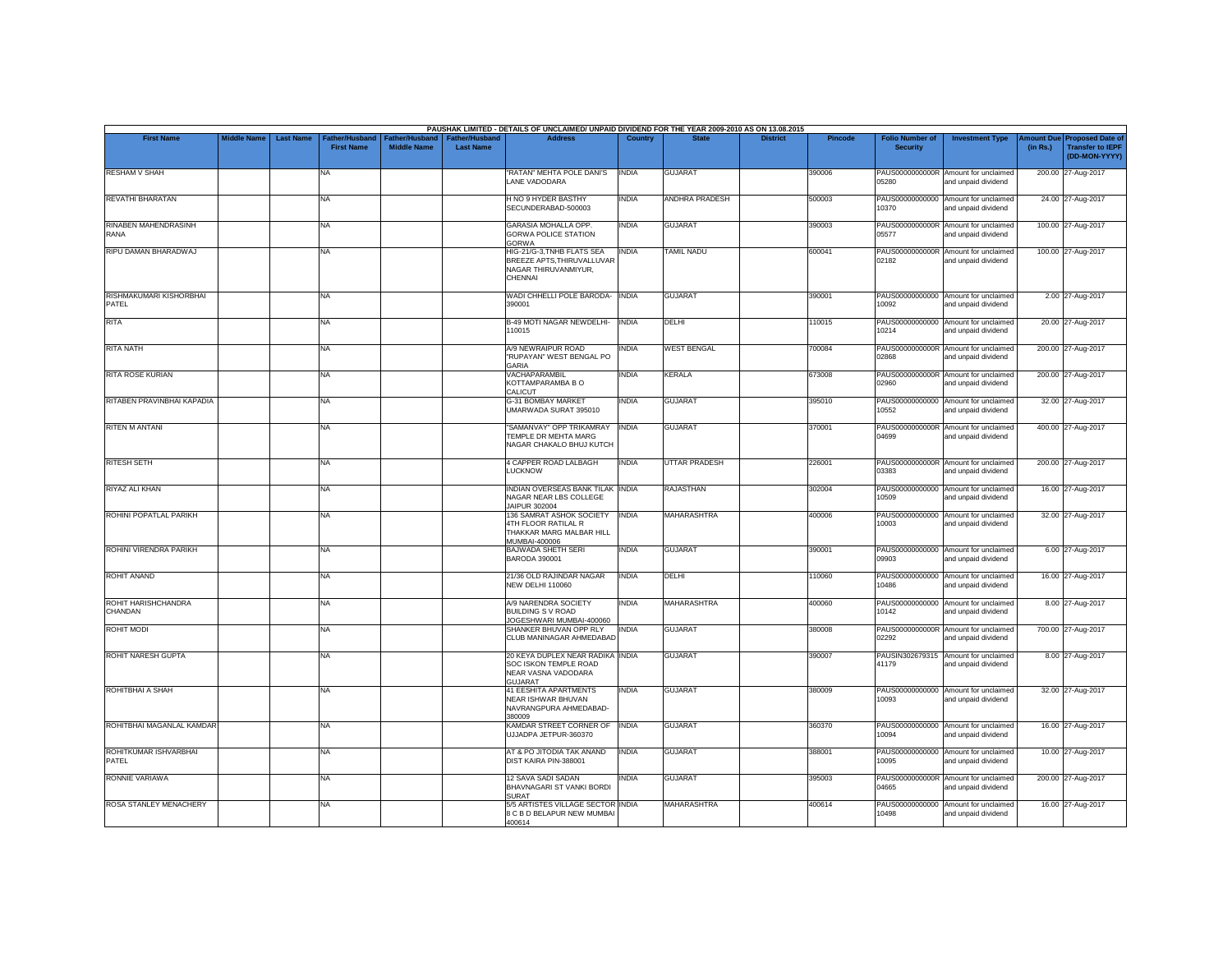|                                            |                    |                  |                                            |                                      |                                    | PAUSHAK LIMITED - DETAILS OF UNCLAIMED/ UNPAID DIVIDEND FOR THE YEAR 2009-2010 AS ON 13.08.2015     |                |                       |                 |         |                                           |                                                             |                       |                                                                     |
|--------------------------------------------|--------------------|------------------|--------------------------------------------|--------------------------------------|------------------------------------|-----------------------------------------------------------------------------------------------------|----------------|-----------------------|-----------------|---------|-------------------------------------------|-------------------------------------------------------------|-----------------------|---------------------------------------------------------------------|
| <b>First Name</b>                          | <b>Middle Name</b> | <b>Last Name</b> | <b>Father/Husband</b><br><b>First Name</b> | Father/Husband<br><b>Middle Name</b> | Father/Husband<br><b>Last Name</b> | <b>Address</b>                                                                                      | <b>Country</b> | <b>State</b>          | <b>District</b> | Pincode | <b>Folio Number of</b><br><b>Security</b> | <b>Investment Type</b>                                      | mount Due<br>(in Rs.) | <b>Proposed Date of</b><br><b>Transfer to IEPF</b><br>(DD-MON-YYYY) |
| <b>RESHAM V SHAH</b>                       |                    |                  | NA                                         |                                      |                                    | "RATAN" MEHTA POLE DANI'S<br>LANE VADODARA                                                          | <b>INDIA</b>   | <b>GUJARAT</b>        |                 | 390006  | 05280                                     | PAUS0000000000R Amount for unclaimed<br>and unpaid dividend |                       | 200.00 27-Aug-2017                                                  |
| <b>REVATHI BHARATAN</b>                    |                    |                  | <b>NA</b>                                  |                                      |                                    | H NO 9 HYDER BASTHY<br>SECUNDERABAD-500003                                                          | <b>INDIA</b>   | <b>ANDHRA PRADESH</b> |                 | 500003  | 10370                                     | PAUS00000000000 Amount for unclaimed<br>and unpaid dividend |                       | 24.00 27-Aug-2017                                                   |
| <b>RINABEN MAHENDRASINH</b><br><b>RANA</b> |                    |                  | <b>NA</b>                                  |                                      |                                    | <b>GARASIA MOHALLA OPP.</b><br><b>GORWA POLICE STATION</b><br><b>GORWA</b>                          | INDIA          | <b>GUJARAT</b>        |                 | 390003  | PAUS0000000000R<br>05577                  | Amount for unclaimed<br>and unpaid dividend                 |                       | 100.00 27-Aug-2017                                                  |
| RIPU DAMAN BHARADWAJ                       |                    |                  | <b>NA</b>                                  |                                      |                                    | HIG-21/G-3, TNHB FLATS SEA<br>BREEZE APTS, THIRUVALLUVAR<br>NAGAR THIRUVANMIYUR,<br>CHENNAI         | <b>INDIA</b>   | <b>TAMIL NADU</b>     |                 | 600041  | PAUS0000000000R<br>02182                  | Amount for unclaimed<br>and unpaid dividend                 |                       | 100.00 27-Aug-2017                                                  |
| RISHMAKUMARI KISHORBHAI<br>PATEL           |                    |                  | <b>NA</b>                                  |                                      |                                    | WADI CHHELLI POLE BARODA- INDIA<br>390001                                                           |                | <b>GUJARAT</b>        |                 | 390001  | 10092                                     | PAUS00000000000 Amount for unclaimed<br>and unpaid dividend |                       | 2.00 27-Aug-2017                                                    |
| <b>RITA</b>                                |                    |                  | <b>NA</b>                                  |                                      |                                    | <b>B-49 MOTI NAGAR NEWDELHI-</b><br>110015                                                          | <b>INDIA</b>   | <b>DELHI</b>          |                 | 10015   | PAUS00000000000<br>10214                  | Amount for unclaimed<br>and unpaid dividend                 |                       | 20.00 27-Aug-2017                                                   |
| RITA NATH                                  |                    |                  | <b>NA</b>                                  |                                      |                                    | A/9 NEWRAIPUR ROAD<br>"RUPAYAN" WEST BENGAL PO                                                      | <b>INDIA</b>   | <b>WEST BENGAL</b>    |                 | 700084  | 02868                                     | PAUS0000000000R Amount for unclaimed<br>and unpaid dividend |                       | 200.00 27-Aug-2017                                                  |
| RITA ROSE KURIAN                           |                    |                  | NA                                         |                                      |                                    | GARIA<br>VACHAPARAMBIL<br>KOTTAMPARAMBA B O<br>CALICUT                                              | <b>INDIA</b>   | KERALA                |                 | 673008  | PAUS0000000000R<br>02960                  | Amount for unclaimed<br>and unpaid dividend                 |                       | 200.00 27-Aug-2017                                                  |
| RITABEN PRAVINBHAI KAPADIA                 |                    |                  | <b>NA</b>                                  |                                      |                                    | G-31 BOMBAY MARKET<br>UMARWADA SURAT 395010                                                         | <b>INDIA</b>   | <b>GUJARAT</b>        |                 | 395010  | 10552                                     | PAUS00000000000 Amount for unclaimed<br>and unpaid dividend |                       | 32.00 27-Aug-2017                                                   |
| <b>RITEN M ANTANI</b>                      |                    |                  | <b>NA</b>                                  |                                      |                                    | "SAMANVAY" OPP TRIKAMRAY<br>TEMPLE DR MEHTA MARG<br>NAGAR CHAKALO BHUJ KUTCH                        | <b>INDIA</b>   | <b>GUJARAT</b>        |                 | 370001  | PAUS0000000000R<br>04699                  | Amount for unclaimed<br>and unpaid dividend                 |                       | 400.00 27-Aug-2017                                                  |
| <b>RITESH SETH</b>                         |                    |                  | <b>NA</b>                                  |                                      |                                    | <b>4 CAPPER ROAD LALBAGH</b><br><b>LUCKNOW</b>                                                      | <b>INDIA</b>   | UTTAR PRADESH         |                 | 226001  | 03383                                     | PAUS0000000000R Amount for unclaimed<br>and unpaid dividend |                       | 200.00 27-Aug-2017                                                  |
| RIYAZ ALI KHAN                             |                    |                  | <b>NA</b>                                  |                                      |                                    | INDIAN OVERSEAS BANK TILAK INDIA<br>NAGAR NEAR LBS COLLEGE<br>JAIPUR 302004                         |                | <b>RAJASTHAN</b>      |                 | 302004  | 10509                                     | PAUS00000000000 Amount for unclaimed<br>and unpaid dividend |                       | 16.00 27-Aug-2017                                                   |
| ROHINI POPATLAL PARIKH                     |                    |                  | <b>NA</b>                                  |                                      |                                    | 136 SAMRAT ASHOK SOCIETY<br><b>4TH FLOOR RATILAL R</b><br>THAKKAR MARG MALBAR HILL<br>MUMBAI-400006 | <b>INDIA</b>   | <b>MAHARASHTRA</b>    |                 | 400006  | PAUS00000000000<br>10003                  | Amount for unclaimed<br>and unpaid dividend                 |                       | 32.00 27-Aug-2017                                                   |
| ROHINI VIRENDRA PARIKH                     |                    |                  | <b>NA</b>                                  |                                      |                                    | BAJWADA SHETH SERI<br>BARODA 390001                                                                 | <b>INDIA</b>   | <b>GUJARAT</b>        |                 | 390001  | 09903                                     | PAUS00000000000 Amount for unclaimed<br>and unpaid dividend |                       | 6.00 27-Aug-2017                                                    |
| ROHIT ANAND                                |                    |                  | <b>NA</b>                                  |                                      |                                    | 21/36 OLD RAJINDAR NAGAR<br><b>NEW DELHI 110060</b>                                                 | <b>INDIA</b>   | <b>DELHI</b>          |                 | 110060  | 10486                                     | PAUS00000000000 Amount for unclaimed<br>and unpaid dividend |                       | 16.00 27-Aug-2017                                                   |
| ROHIT HARISHCHANDRA<br>CHANDAN             |                    |                  | NA                                         |                                      |                                    | A/9 NARENDRA SOCIETY<br><b>BUILDING S V ROAD</b><br>JOGESHWARI MUMBAI-400060                        | <b>INDIA</b>   | <b>MAHARASHTRA</b>    |                 | 400060  | PAUS00000000000<br>10142                  | Amount for unclaimed<br>and unpaid dividend                 |                       | 8.00 27-Aug-2017                                                    |
| <b>ROHIT MODI</b>                          |                    |                  | NA                                         |                                      |                                    | SHANKER BHUVAN OPP RLY<br>CLUB MANINAGAR AHMEDABAD                                                  | <b>INDIA</b>   | <b>GUJARAT</b>        |                 | 380008  | PAUS0000000000R<br>02292                  | Amount for unclaimed<br>and unpaid dividend                 |                       | 700.00 27-Aug-2017                                                  |
| ROHIT NARESH GUPTA                         |                    |                  | <b>NA</b>                                  |                                      |                                    | 20 KEYA DUPLEX NEAR RADIKA INDIA<br>SOC ISKON TEMPLE ROAD<br>NEAR VASNA VADODARA<br><b>GUJARAT</b>  |                | <b>GUJARAT</b>        |                 | 390007  | PAUSIN302679315<br>41179                  | Amount for unclaimed<br>and unpaid dividend                 |                       | 8.00 27-Aug-2017                                                    |
| ROHITBHAI A SHAH                           |                    |                  | <b>NA</b>                                  |                                      |                                    | <b>41 EESHITA APARTMENTS</b><br><b>NEAR ISHWAR BHUVAN</b><br>NAVRANGPURA AHMEDABAD-<br>380009       | <b>INDIA</b>   | <b>GUJARAT</b>        |                 | 380009  | 10093                                     | PAUS00000000000 Amount for unclaimed<br>and unpaid dividend |                       | 32.00 27-Aug-2017                                                   |
| ROHITBHAI MAGANLAL KAMDAR                  |                    |                  | <b>NA</b>                                  |                                      |                                    | KAMDAR STREET CORNER OF<br>JJJADPA JETPUR-360370                                                    | <b>INDIA</b>   | <b>GUJARAT</b>        |                 | 360370  | 10094                                     | PAUS00000000000 Amount for unclaimed<br>and unpaid dividend |                       | 16.00 27-Aug-2017                                                   |
| ROHITKUMAR ISHVARBHAI<br><b>PATEL</b>      |                    |                  | <b>NA</b>                                  |                                      |                                    | AT & PO JITODIA TAK ANAND<br>DIST KAIRA PIN-388001                                                  | <b>INDIA</b>   | <b>GUJARAT</b>        |                 | 388001  | 10095                                     | PAUS00000000000 Amount for unclaimed<br>and unpaid dividend |                       | 10.00 27-Aug-2017                                                   |
| RONNIE VARIAWA                             |                    |                  | <b>NA</b>                                  |                                      |                                    | 12 SAVA SADI SADAN<br>BHAVNAGARI ST VANKI BORDI<br>SURAT                                            | <b>INDIA</b>   | <b>GUJARAT</b>        |                 | 395003  | PAUS0000000000R<br>04665                  | Amount for unclaimed<br>and unpaid dividend                 |                       | 200.00 27-Aug-2017                                                  |
| <b>ROSA STANLEY MENACHERY</b>              |                    |                  | <b>NA</b>                                  |                                      |                                    | 5/5 ARTISTES VILLAGE SECTOR INDIA<br>8 C B D BELAPUR NEW MUMBAI<br>400614                           |                | <b>MAHARASHTRA</b>    |                 | 400614  | PAUS00000000000<br>10498                  | Amount for unclaimed<br>and unpaid dividend                 |                       | 16.00 27-Aug-2017                                                   |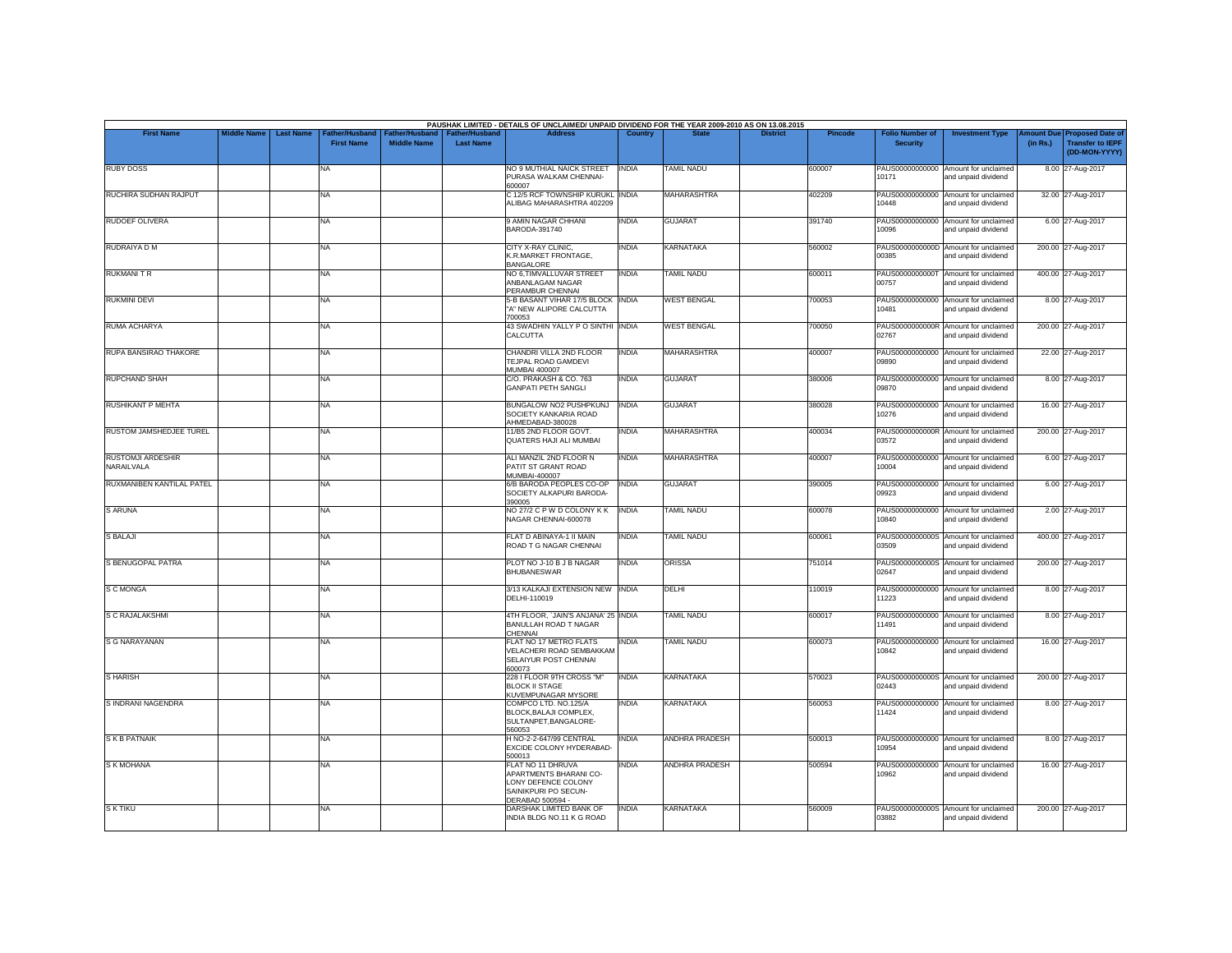| <b>First Name</b>                      | <b>Middle Name</b> | <b>Last Name</b> | Father/Husband    |                    | Father/Husband   Father/Husband | PAUSHAK LIMITED - DETAILS OF UNCLAIMED/ UNPAID DIVIDEND FOR THE YEAR 2009-2010 AS ON 13.08.2015<br><b>Address</b> | Country      |                       | <b>District</b> | <b>Pincode</b> | <b>Folio Number of</b>   | <b>Investment Type</b>                                      |          | Amount Due Proposed Date of              |
|----------------------------------------|--------------------|------------------|-------------------|--------------------|---------------------------------|-------------------------------------------------------------------------------------------------------------------|--------------|-----------------------|-----------------|----------------|--------------------------|-------------------------------------------------------------|----------|------------------------------------------|
|                                        |                    |                  | <b>First Name</b> | <b>Middle Name</b> | <b>Last Name</b>                |                                                                                                                   |              |                       |                 |                | <b>Security</b>          |                                                             | (in Rs.) | <b>Transfer to IEPF</b><br>(DD-MON-YYYY) |
| <b>RUBY DOSS</b>                       |                    |                  | NA                |                    |                                 | NO 9 MUTHIAL NAICK STREET<br>PURASA WALKAM CHENNAI-<br>600007                                                     | <b>INDIA</b> | <b>TAMIL NADU</b>     |                 | 600007         | 10171                    | PAUS00000000000 Amount for unclaimed<br>and unpaid dividend |          | 8.00 27-Aug-2017                         |
| RUCHIRA SUDHAN RAJPUT                  |                    |                  | <b>NA</b>         |                    |                                 | C 12/5 RCF TOWNSHIP KURUKL INDIA<br>ALIBAG MAHARASHTRA 402209                                                     |              | <b>MAHARASHTRA</b>    |                 | 402209         | PAUS00000000000<br>10448 | Amount for unclaimed<br>and unpaid dividend                 |          | 32.00 27-Aug-2017                        |
| <b>RUDOEF OLIVERA</b>                  |                    |                  | <b>NA</b>         |                    |                                 | 9 AMIN NAGAR CHHANI<br>BARODA-391740                                                                              | <b>INDIA</b> | <b>GUJARAT</b>        |                 | 391740         | 10096                    | PAUS00000000000 Amount for unclaimed<br>and unpaid dividend |          | 6.00 27-Aug-2017                         |
| RUDRAIYA D M                           |                    |                  | <b>NA</b>         |                    |                                 | CITY X-RAY CLINIC.<br>K.R.MARKET FRONTAGE,<br><b>BANGALORE</b>                                                    | <b>INDIA</b> | <b>KARNATAKA</b>      |                 | 560002         | 00385                    | PAUS0000000000D Amount for unclaimed<br>and unpaid dividend |          | 200.00 27-Aug-2017                       |
| <b>RUKMANI T R</b>                     |                    |                  | <b>NA</b>         |                    |                                 | NO 6,TIMVALLUVAR STREET<br>ANBANLAGAM NAGAR<br>PERAMBUR CHENNAI                                                   | <b>INDIA</b> | <b>TAMIL NADU</b>     |                 | 600011         | 00757                    | PAUS0000000000T Amount for unclaimed<br>and unpaid dividend |          | 400.00 27-Aug-2017                       |
| <b>RUKMINI DEVI</b>                    |                    |                  | <b>NA</b>         |                    |                                 | 5-B BASANT VIHAR 17/5 BLOCK INDIA<br>"A" NEW ALIPORE CALCUTTA                                                     |              | <b>WEST BENGAL</b>    |                 | 700053         | 10481                    | PAUS00000000000 Amount for unclaimed<br>and unpaid dividend |          | 8.00 27-Aug-2017                         |
| <b>RUMA ACHARYA</b>                    |                    |                  | <b>NA</b>         |                    |                                 | 700053<br>43 SWADHIN YALLY P O SINTHI INDIA<br>CALCUTTA                                                           |              | <b>WEST BENGAL</b>    |                 | 700050         | 02767                    | PAUS0000000000R Amount for unclaimed<br>and unpaid dividend |          | 200.00 27-Aug-2017                       |
| RUPA BANSIRAO THAKORE                  |                    |                  | <b>NA</b>         |                    |                                 | CHANDRI VILLA 2ND FLOOR<br>TEJPAL ROAD GAMDEVI                                                                    | <b>INDIA</b> | <b>MAHARASHTRA</b>    |                 | 400007         | 09890                    | PAUS00000000000 Amount for unclaimed<br>and unpaid dividend |          | 22.00 27-Aug-2017                        |
| <b>RUPCHAND SHAH</b>                   |                    |                  | <b>NA</b>         |                    |                                 | <b>MUMBAI 400007</b><br>C/O. PRAKASH & CO. 763<br><b>GANPATI PETH SANGLI</b>                                      | <b>INDIA</b> | <b>GUJARAT</b>        |                 | 380006         | 09870                    | PAUS00000000000 Amount for unclaimed<br>and unpaid dividend |          | 8.00 27-Aug-2017                         |
| <b>RUSHIKANT P MEHTA</b>               |                    |                  | <b>NA</b>         |                    |                                 | BUNGALOW NO2 PUSHPKUNJ<br>SOCIETY KANKARIA ROAD                                                                   | <b>INDIA</b> | <b>GUJARAT</b>        |                 | 380028         | 10276                    | PAUS00000000000 Amount for unclaimed<br>and unpaid dividend |          | 16.00 27-Aug-2017                        |
| <b>RUSTOM JAMSHEDJEE TUREL</b>         |                    |                  | NA                |                    |                                 | AHMEDABAD-380028<br>11/B5 2ND FLOOR GOVT.<br>QUATERS HAJI ALI MUMBAI                                              | <b>INDIA</b> | <b>MAHARASHTRA</b>    |                 | 400034         | 03572                    | PAUS0000000000R Amount for unclaimed<br>and unpaid dividend |          | 200.00 27-Aug-2017                       |
| <b>RUSTOMJI ARDESHIR</b><br>NARAILVALA |                    |                  | <b>NA</b>         |                    |                                 | ALI MANZIL 2ND FLOOR N<br>PATIT ST GRANT ROAD                                                                     | <b>INDIA</b> | <b>MAHARASHTRA</b>    |                 | 400007         | 10004                    | PAUS00000000000 Amount for unclaimed<br>and unpaid dividend |          | 6.00 27-Aug-2017                         |
| RUXMANIBEN KANTILAL PATEL              |                    |                  | <b>NA</b>         |                    |                                 | MUMBAI-400007<br>6/B BARODA PEOPLES CO-OP<br>SOCIETY ALKAPURI BARODA-                                             | <b>INDIA</b> | <b>GUJARAT</b>        |                 | 390005         | 09923                    | PAUS00000000000 Amount for unclaimed<br>and unpaid dividend |          | 6.00 27-Aug-2017                         |
| <b>SARUNA</b>                          |                    |                  | <b>NA</b>         |                    |                                 | 390005<br>NO 27/2 C P W D COLONY K K<br>NAGAR CHENNAI-600078                                                      | <b>INDIA</b> | <b>TAMIL NADU</b>     |                 | 600078         | 10840                    | PAUS00000000000 Amount for unclaimed<br>and unpaid dividend |          | 2.00 27-Aug-2017                         |
| S BALAJI                               |                    |                  | <b>NA</b>         |                    |                                 | FLAT D ABINAYA-1 II MAIN<br>ROAD T G NAGAR CHENNAI                                                                | <b>INDIA</b> | TAMIL NADU            |                 | 600061         | 03509                    | PAUS0000000000S Amount for unclaimed<br>and unpaid dividend |          | 400.00 27-Aug-2017                       |
| S BENUGOPAL PATRA                      |                    |                  | <b>NA</b>         |                    |                                 | PLOT NO J-10 B J B NAGAR<br><b>BHUBANESWAR</b>                                                                    | <b>INDIA</b> | <b>ORISSA</b>         |                 | 751014         | 02647                    | PAUS0000000000S Amount for unclaimed<br>and unpaid dividend |          | 200.00 27-Aug-2017                       |
| <b>S C MONGA</b>                       |                    |                  | <b>NA</b>         |                    |                                 | 3/13 KALKAJI EXTENSION NEW INDIA<br>DFI HI-110019                                                                 |              | DELHI                 |                 | 110019         | 11223                    | PAUS00000000000 Amount for unclaimed<br>and unpaid dividend |          | 8.00 27-Aug-2017                         |
| <b>S C RAJALAKSHMI</b>                 |                    |                  | <b>NA</b>         |                    |                                 | 4TH FLOOR, 'JAIN'S ANJANA' 25 INDIA<br>BANULLAH ROAD T NAGAR                                                      |              | <b>TAMIL NADU</b>     |                 | 600017         | 11491                    | PAUS00000000000 Amount for unclaimed<br>and unpaid dividend |          | 8.00 27-Aug-2017                         |
| <b>S G NARAYANAN</b>                   |                    |                  | <b>NA</b>         |                    |                                 | CHENNAI<br>FLAT NO 17 METRO FLATS<br>VELACHERI ROAD SEMBAKKAM<br>SELAIYUR POST CHENNAI                            | <b>INDIA</b> | <b>TAMIL NADU</b>     |                 | 600073         | 10842                    | PAUS00000000000 Amount for unclaimed<br>and unpaid dividend |          | 16.00 27-Aug-2017                        |
| S HARISH                               |                    |                  | NA                |                    |                                 | 600073<br>228 I FLOOR 9TH CROSS "M"<br><b>BLOCK II STAGE</b>                                                      | <b>INDIA</b> | <b>KARNATAKA</b>      |                 | 570023         | 02443                    | PAUS0000000000S Amount for unclaimed<br>and unpaid dividend |          | 200.00 27-Aug-2017                       |
| S INDRANI NAGENDRA                     |                    |                  | <b>NA</b>         |                    |                                 | KUVEMPUNAGAR MYSORE<br>COMPCO LTD. NO.125/A<br>BLOCK.BALAJI COMPLEX.                                              | <b>INDIA</b> | <b>KARNATAKA</b>      |                 | 560053         | 11424                    | PAUS00000000000 Amount for unclaimed<br>and unpaid dividend |          | 8.00 27-Aug-2017                         |
| <b>SKB PATNAIK</b>                     |                    |                  | <b>NA</b>         |                    |                                 | SULTANPET, BANGALORE-<br>560053<br>H NO-2-2-647/99 CENTRAL                                                        | INDIA        | <b>ANDHRA PRADESH</b> |                 | 500013         |                          | PAUS00000000000 Amount for unclaimed                        |          | 8.00 27-Aug-2017                         |
| S K MOHANA                             |                    |                  | <b>NA</b>         |                    |                                 | EXCIDE COLONY HYDERABAD-<br>500013<br>FLAT NO 11 DHRUVA                                                           | <b>INDIA</b> | <b>ANDHRA PRADESH</b> |                 | 500594         | 10954                    | and unpaid dividend<br>PAUS00000000000 Amount for unclaimed |          | 16.00 27-Aug-2017                        |
|                                        |                    |                  |                   |                    |                                 | APARTMENTS BHARANI CO-<br>LONY DEFENCE COLONY<br>SAINIKPURI PO SECUN-<br>DERABAD 500594 -                         |              |                       |                 |                | 10962                    | and unpaid dividend                                         |          |                                          |
|                                        |                    |                  | <b>NA</b>         |                    |                                 |                                                                                                                   |              |                       |                 |                |                          |                                                             |          | 200.00 27-Aug-2017                       |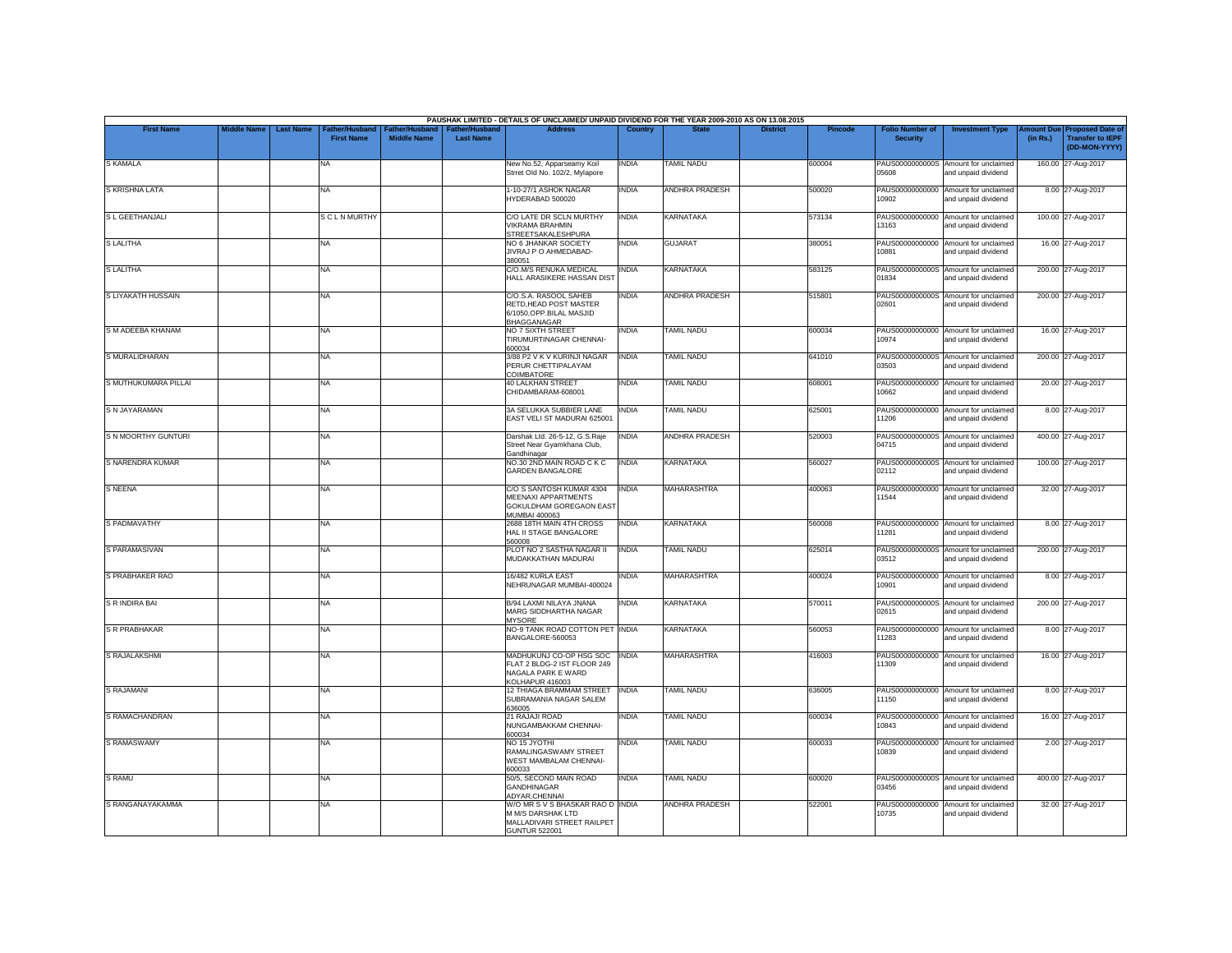|                            |                    |                  |                                     |                                             |                                    | PAUSHAK LIMITED - DETAILS OF UNCLAIMED/ UNPAID DIVIDEND FOR THE YEAR 2009-2010 AS ON 13.08.2015             |              |                       |                 |                |                                           |                                                             |                       |                                                                     |
|----------------------------|--------------------|------------------|-------------------------------------|---------------------------------------------|------------------------------------|-------------------------------------------------------------------------------------------------------------|--------------|-----------------------|-----------------|----------------|-------------------------------------------|-------------------------------------------------------------|-----------------------|---------------------------------------------------------------------|
| <b>First Name</b>          | <b>Middle Name</b> | <b>Last Name</b> | Father/Husband<br><b>First Name</b> | <b>Father/Husband</b><br><b>Middle Name</b> | Father/Husband<br><b>Last Name</b> | <b>Address</b>                                                                                              | Country      | <b>State</b>          | <b>District</b> | <b>Pincode</b> | <b>Folio Number of</b><br><b>Security</b> | <b>Investment Type</b>                                      | mount Due<br>(in Rs.) | <b>Proposed Date of</b><br><b>Transfer to IEPF</b><br>(DD-MON-YYYY) |
| <b>S KAMALA</b>            |                    |                  | <b>NA</b>                           |                                             |                                    | New No.52, Apparseamy Koil<br>Strret Old No. 102/2, Mylapore                                                | INDIA        | <b>TAMIL NADU</b>     |                 | 600004         | 05608                                     | PAUS0000000000S Amount for unclaimed<br>and unpaid dividend |                       | 160.00 27-Aug-2017                                                  |
| S KRISHNA LATA             |                    |                  | <b>NA</b>                           |                                             |                                    | 1-10-27/1 ASHOK NAGAR<br>HYDERABAD 500020                                                                   | INDIA        | <b>ANDHRA PRADESH</b> |                 | 500020         | 10902                                     | PAUS00000000000 Amount for unclaimed<br>and unpaid dividend |                       | 8.00 27-Aug-2017                                                    |
| S L GEETHANJALI            |                    |                  | <b>SCLNMURTHY</b>                   |                                             |                                    | C/O LATE DR SCLN MURTHY<br><b>VIKRAMA BRAHMIN</b><br><b>STREETSAKALESHPURA</b>                              | INDIA        | <b>KARNATAKA</b>      |                 | 573134         | PAUS00000000000<br>13163                  | Amount for unclaimed<br>and unpaid dividend                 |                       | 100.00 27-Aug-2017                                                  |
| <b>SLALITHA</b>            |                    |                  | <b>NA</b>                           |                                             |                                    | NO 6 JHANKAR SOCIETY<br>JIVRAJ PO AHMEDABAD-<br>380051                                                      | INDIA        | <b>GUJARAT</b>        |                 | 380051         | PAUS00000000000<br>10881                  | Amount for unclaimed<br>and unpaid dividend                 |                       | 16.00 27-Aug-2017                                                   |
| <b>SLALITHA</b>            |                    |                  | <b>NA</b>                           |                                             |                                    | C/O.M/S RENUKA MEDICAL<br>HALL ARASIKERE HASSAN DIST                                                        | INDIA        | <b>KARNATAKA</b>      |                 | 583125         | 01834                                     | PAUS0000000000S Amount for unclaimed<br>and unpaid dividend |                       | 200.00 27-Aug-2017                                                  |
| S LIYAKATH HUSSAIN         |                    |                  | <b>NA</b>                           |                                             |                                    | C/O.S.A. RASOOL SAHEB<br>RETD.HEAD POST MASTER<br>6/1050, OPP. BILAL MASJID<br><b>BHAGGANAGAR</b>           | INDIA        | <b>ANDHRA PRADESH</b> |                 | 515801         | PAUS0000000000S<br>02601                  | Amount for unclaimed<br>and unpaid dividend                 |                       | 200.00 27-Aug-2017                                                  |
| S M ADEEBA KHANAM          |                    |                  | <b>NA</b>                           |                                             |                                    | NO 7 SIXTH STREET<br>TIRUMURTINAGAR CHENNAI-<br>600034                                                      | <b>INDIA</b> | <b>TAMIL NADU</b>     |                 | 600034         | 10974                                     | PAUS00000000000 Amount for unclaimed<br>and unpaid dividend |                       | 16.00 27-Aug-2017                                                   |
| S MURALIDHARAN             |                    |                  | <b>NA</b>                           |                                             |                                    | 3/88 P2 V K V KURINJI NAGAR<br>PERUR CHETTIPALAYAM<br>COIMBATORE                                            | <b>INDIA</b> | <b>TAMIL NADU</b>     |                 | 641010         | PAUS0000000000S<br>03503                  | Amount for unclaimed<br>and unpaid dividend                 |                       | 200.00 27-Aug-2017                                                  |
| S MUTHUKUMARA PILLAI       |                    |                  | <b>NA</b>                           |                                             |                                    | <b>40 LALKHAN STREET</b><br>CHIDAMBARAM-608001                                                              | <b>INDIA</b> | <b>TAMIL NADU</b>     |                 | 608001         | 10662                                     | PAUS00000000000 Amount for unclaimed<br>and unpaid dividend |                       | 20.00 27-Aug-2017                                                   |
| <b>S N JAYARAMAN</b>       |                    |                  | <b>NA</b>                           |                                             |                                    | 3A SELUKKA SUBBIER LANE<br>EAST VELI ST MADURAI 625001                                                      | <b>INDIA</b> | <b>TAMIL NADU</b>     |                 | 625001         | PAUS00000000000<br>11206                  | Amount for unclaimed<br>and unpaid dividend                 |                       | 8.00 27-Aug-2017                                                    |
| <b>S N MOORTHY GUNTURI</b> |                    |                  | <b>NA</b>                           |                                             |                                    | Darshak Ltd. 26-5-12, G.S.Raje<br>Street Near Gyamkhana Club,<br>Gandhinagar                                | <b>INDIA</b> | <b>ANDHRA PRADESH</b> |                 | 520003         | 04715                                     | PAUS0000000000S Amount for unclaimed<br>and unpaid dividend |                       | 400.00 27-Aug-2017                                                  |
| S NARENDRA KUMAR           |                    |                  | <b>NA</b>                           |                                             |                                    | NO.30 2ND MAIN ROAD C K C<br><b>GARDEN BANGALORE</b>                                                        | <b>INDIA</b> | <b>KARNATAKA</b>      |                 | 560027         | 02112                                     | PAUS0000000000S Amount for unclaimed<br>and unpaid dividend |                       | 100.00 27-Aug-2017                                                  |
| <b>S NEENA</b>             |                    |                  | <b>NA</b>                           |                                             |                                    | C/O S SANTOSH KUMAR 4304<br>MEENAXI APPARTMENTS<br><b>GOKULDHAM GOREGAON EAST</b><br>MUMBAI 400063          | <b>INDIA</b> | <b>MAHARASHTRA</b>    |                 | 400063         | PAUS00000000000<br>11544                  | Amount for unclaimed<br>and unpaid dividend                 |                       | 32.00 27-Aug-2017                                                   |
| S PADMAVATHY               |                    |                  | <b>NA</b>                           |                                             |                                    | 2688 18TH MAIN 4TH CROSS<br>HAL II STAGE BANGALORE<br>560008                                                | INDIA        | <b>KARNATAKA</b>      |                 | 560008         | 11281                                     | PAUS00000000000 Amount for unclaimed<br>and unpaid dividend |                       | 8.00 27-Aug-2017                                                    |
| S PARAMASIVAN              |                    |                  | <b>NA</b>                           |                                             |                                    | PLOT NO 2 SASTHA NAGAR II<br>MUDAKKATHAN MADURAI                                                            | <b>INDIA</b> | TAMIL NADU            |                 | 625014         | 03512                                     | PAUS0000000000S Amount for unclaimed<br>and unpaid dividend |                       | 200.00 27-Aug-2017                                                  |
| S PRABHAKER RAO            |                    |                  | <b>NA</b>                           |                                             |                                    | 16/482 KURLA EAST<br>NEHRUNAGAR MUMBAI-400024                                                               | <b>INDIA</b> | MAHARASHTRA           |                 | 400024         | 10901                                     | PAUS00000000000 Amount for unclaimed<br>and unpaid dividend |                       | 8.00 27-Aug-2017                                                    |
| S R INDIRA BAI             |                    |                  | <b>NA</b>                           |                                             |                                    | B/94 LAXMI NILAYA JNANA<br>MARG SIDDHARTHA NAGAR<br><b>MYSORE</b>                                           | INDIA        | <b>KARNATAKA</b>      |                 | 570011         | PAUS0000000000S<br>02615                  | Amount for unclaimed<br>and unpaid dividend                 |                       | 200.00 27-Aug-2017                                                  |
| <b>S R PRABHAKAR</b>       |                    |                  | <b>NA</b>                           |                                             |                                    | NO-9 TANK ROAD COTTON PET INDIA<br>BANGALORE-560053                                                         |              | <b>KARNATAKA</b>      |                 | 560053         | 11283                                     | PAUS00000000000 Amount for unclaimed<br>and unpaid dividend |                       | 8.00 27-Aug-2017                                                    |
| S RAJALAKSHMI              |                    |                  | <b>NA</b>                           |                                             |                                    | MADHUKUNJ CO-OP HSG SOC INDIA<br>FLAT 2 BLDG-2 IST FLOOR 249<br>NAGALA PARK E WARD<br>KOLHAPUR 416003       |              | MAHARASHTRA           |                 | 416003         | PAUS00000000000<br>11309                  | Amount for unclaimed<br>and unpaid dividend                 |                       | 16.00 27-Aug-2017                                                   |
| S RAJAMANI                 |                    |                  | <b>NA</b>                           |                                             |                                    | <b>12 THIAGA BRAMMAM STREET</b><br>SUBRAMANIA NAGAR SALEM<br>636005                                         | <b>INDIA</b> | <b>TAMIL NADU</b>     |                 | 636005         | 11150                                     | PAUS00000000000 Amount for unclaimed<br>and unpaid dividend |                       | 8.00 27-Aug-2017                                                    |
| S RAMACHANDRAN             |                    |                  | NA                                  |                                             |                                    | 21 RAJAJI ROAD<br>NUNGAMBAKKAM CHENNAI-<br>600034                                                           | INDIA        | <b>TAMIL NADU</b>     |                 | 600034         | PAUS00000000000<br>10843                  | Amount for unclaimed<br>and unpaid dividend                 |                       | 16.00 27-Aug-2017                                                   |
| S RAMASWAMY                |                    |                  | <b>NA</b>                           |                                             |                                    | NO 15 JYOTHI<br>RAMALINGASWAMY STREET<br><b>WEST MAMBALAM CHENNAI-</b><br>600033                            | INDIA        | <b>TAMIL NADU</b>     |                 | 600033         | PAUS00000000000<br>10839                  | Amount for unclaimed<br>and unpaid dividend                 |                       | 2.00 27-Aug-2017                                                    |
| S RAMU                     |                    |                  | <b>NA</b>                           |                                             |                                    | 50/5, SECOND MAIN ROAD<br>GANDHINAGAR<br>ADYAR, CHENNAI                                                     | <b>INDIA</b> | <b>TAMIL NADU</b>     |                 | 600020         | 03456                                     | PAUS0000000000S Amount for unclaimed<br>and unpaid dividend |                       | 400.00 27-Aug-2017                                                  |
| S RANGANAYAKAMMA           |                    |                  | <b>NA</b>                           |                                             |                                    | W/O MR S V S BHASKAR RAO D INDIA<br>M M/S DARSHAK LTD<br>MALLADIVARI STREET RAILPET<br><b>GUNTUR 522001</b> |              | <b>ANDHRA PRADESH</b> |                 | 522001         | PAUS00000000000<br>10735                  | Amount for unclaimed<br>and unpaid dividend                 |                       | 32.00 27-Aug-2017                                                   |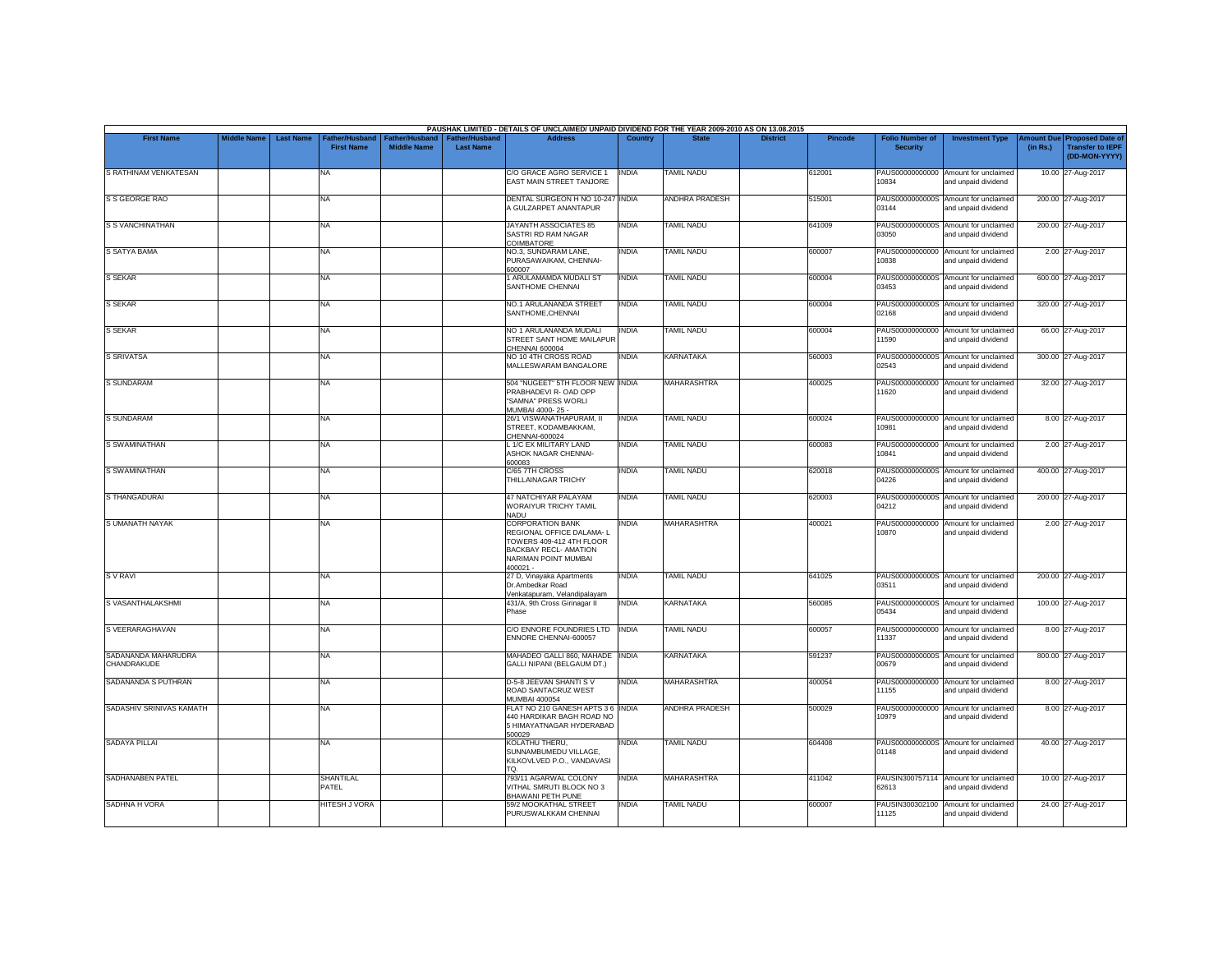|                                    |                    |                  |                                            |                                             |                                           | PAUSHAK LIMITED - DETAILS OF UNCLAIMED/ UNPAID DIVIDEND FOR THE YEAR 2009-2010 AS ON 13.08.2015                                              |              |                       |                 |         |                                           |                                                             |          |                                                                                |
|------------------------------------|--------------------|------------------|--------------------------------------------|---------------------------------------------|-------------------------------------------|----------------------------------------------------------------------------------------------------------------------------------------------|--------------|-----------------------|-----------------|---------|-------------------------------------------|-------------------------------------------------------------|----------|--------------------------------------------------------------------------------|
| <b>First Name</b>                  | <b>Middle Name</b> | <b>Last Name</b> | <b>Father/Husband</b><br><b>First Name</b> | <b>Father/Husband</b><br><b>Middle Name</b> | <b>Father/Husband</b><br><b>Last Name</b> | <b>Address</b>                                                                                                                               | Country      | <b>State</b>          | <b>District</b> | Pincode | <b>Folio Number of</b><br><b>Security</b> | <b>Investment Type</b>                                      | (in Rs.) | <b>Amount Due Proposed Date of</b><br><b>Transfer to IEPF</b><br>(DD-MON-YYYY) |
| S RATHINAM VENKATESAN              |                    |                  | <b>NA</b>                                  |                                             |                                           | C/O GRACE AGRO SERVICE 1<br>EAST MAIN STREET TANJORE                                                                                         | <b>INDIA</b> | <b>TAMIL NADU</b>     |                 | 612001  | 10834                                     | PAUS00000000000 Amount for unclaimed<br>and unpaid dividend |          | 10.00 27-Aug-2017                                                              |
| S S GEORGE RAO                     |                    |                  | <b>NA</b>                                  |                                             |                                           | <b>DENTAL SURGEON H NO 10-247 INDIA</b><br>A GULZARPET ANANTAPUR                                                                             |              | <b>ANDHRA PRADESH</b> |                 | 515001  | 03144                                     | PAUS0000000000S Amount for unclaimed<br>and unpaid dividend |          | 200.00 27-Aug-2017                                                             |
| <b>S S VANCHINATHAN</b>            |                    |                  | <b>NA</b>                                  |                                             |                                           | <b>JAYANTH ASSOCIATES 85</b><br>SASTRI RD RAM NAGAR<br>COIMBATORE                                                                            | <b>INDIA</b> | <b>TAMIL NADU</b>     |                 | 641009  | 03050                                     | PAUS0000000000S Amount for unclaimed<br>and unpaid dividend |          | 200.00 27-Aug-2017                                                             |
| <b>S SATYA BAMA</b>                |                    |                  | NA                                         |                                             |                                           | NO.3, SUNDARAM LANE,<br>PURASAWAIKAM, CHENNAI-<br>600007                                                                                     | INDIA        | <b>TAMIL NADU</b>     |                 | 600007  | 10838                                     | PAUS00000000000 Amount for unclaimed<br>and unpaid dividend |          | 2.00 27-Aug-2017                                                               |
| <b>S SEKAR</b>                     |                    |                  | <b>NA</b>                                  |                                             |                                           | 1 ARULAMAMDA MUDALI ST<br>SANTHOME CHENNAI                                                                                                   | INDIA        | <b>TAMIL NADU</b>     |                 | 600004  | 03453                                     | PAUS0000000000S Amount for unclaimed<br>and unpaid dividend |          | 600.00 27-Aug-2017                                                             |
| <b>S SEKAR</b>                     |                    |                  | <b>NA</b>                                  |                                             |                                           | NO.1 ARULANANDA STREET<br>SANTHOME.CHENNAI                                                                                                   | <b>INDIA</b> | <b>TAMIL NADU</b>     |                 | 600004  | 02168                                     | PAUS0000000000S Amount for unclaimed<br>and unpaid dividend |          | 320.00 27-Aug-2017                                                             |
| S SEKAR                            |                    |                  | <b>NA</b>                                  |                                             |                                           | NO 1 ARULANANDA MUDALI<br>STREET SANT HOME MAILAPUR<br>CHENNAI 600004                                                                        | <b>INDIA</b> | <b>TAMIL NADU</b>     |                 | 600004  | PAUS00000000000<br>11590                  | Amount for unclaimed<br>and unpaid dividend                 |          | 66.00 27-Aug-2017                                                              |
| <b>S SRIVATSA</b>                  |                    |                  | <b>NA</b>                                  |                                             |                                           | NO 10 4TH CROSS ROAD<br>MALLESWARAM BANGALORE                                                                                                | <b>INDIA</b> | <b>KARNATAKA</b>      |                 | 560003  | 02543                                     | PAUS0000000000S Amount for unclaimed<br>and unpaid dividend |          | 300.00 27-Aug-2017                                                             |
| <b>S SUNDARAM</b>                  |                    |                  | <b>NA</b>                                  |                                             |                                           | 504 "NUGEET" 5TH FLOOR NEW INDIA<br>PRABHADEVI R- OAD OPP<br>"SAMNA" PRESS WORLI<br>MUMBAI 4000-25 -                                         |              | MAHARASHTRA           |                 | 400025  | 11620                                     | PAUS00000000000 Amount for unclaimed<br>and unpaid dividend |          | 32.00 27-Aug-2017                                                              |
| <b>S SUNDARAM</b>                  |                    |                  | <b>NA</b>                                  |                                             |                                           | 26/1 VISWANATHAPURAM, II<br>STREET. KODAMBAKKAM.<br>CHENNAI-600024                                                                           | <b>INDIA</b> | <b>TAMIL NADU</b>     |                 | 600024  | 10981                                     | PAUS00000000000 Amount for unclaimed<br>and unpaid dividend |          | 8.00 27-Aug-2017                                                               |
| <b>S SWAMINATHAN</b>               |                    |                  | <b>NA</b>                                  |                                             |                                           | L 1/C EX MILITARY LAND<br>ASHOK NAGAR CHENNAI-<br>600083                                                                                     | <b>INDIA</b> | <b>TAMIL NADU</b>     |                 | 600083  | 10841                                     | PAUS00000000000 Amount for unclaimed<br>and unpaid dividend |          | 2.00 27-Aug-2017                                                               |
| S SWAMINATHAN                      |                    |                  | <b>NA</b>                                  |                                             |                                           | C/65 7TH CROSS<br>THILLAINAGAR TRICHY                                                                                                        | INDIA        | <b>TAMIL NADU</b>     |                 | 620018  | 04226                                     | PAUS0000000000S Amount for unclaimed<br>and unpaid dividend |          | 400.00 27-Aug-2017                                                             |
| S THANGADURAI                      |                    |                  | <b>NA</b>                                  |                                             |                                           | 47 NATCHIYAR PALAYAM<br>WORAIYUR TRICHY TAMIL<br>NADU                                                                                        | INDIA        | <b>TAMIL NADU</b>     |                 | 620003  | 04212                                     | PAUS0000000000S Amount for unclaimed<br>and unpaid dividend |          | 200.00 27-Aug-2017                                                             |
| <b>S UMANATH NAYAK</b>             |                    |                  | <b>NA</b>                                  |                                             |                                           | <b>CORPORATION BANK</b><br>REGIONAL OFFICE DALAMA-L<br>TOWERS 409-412 4TH FLOOR<br>BACKBAY RECL- AMATION<br>NARIMAN POINT MUMBAI<br>400021 - | INDIA        | <b>MAHARASHTRA</b>    |                 | 400021  | PAUS00000000000<br>10870                  | Amount for unclaimed<br>and unpaid dividend                 |          | 2.00 27-Aug-2017                                                               |
| S V RAVI                           |                    |                  | <b>NA</b>                                  |                                             |                                           | 27 D, Vinayaka Apartments<br>Dr.Ambedkar Road<br>Venkatapuram, Velandipalayam                                                                | <b>INDIA</b> | <b>TAMIL NADU</b>     |                 | 641025  | 03511                                     | PAUS0000000000S Amount for unclaimed<br>and unpaid dividend |          | 200.00 27-Aug-2017                                                             |
| S VASANTHALAKSHMI                  |                    |                  | <b>NA</b>                                  |                                             |                                           | 431/A, 9th Cross Girinagar II<br>Phase                                                                                                       | INDIA        | <b>KARNATAKA</b>      |                 | 560085  | PAUS0000000000S<br>05434                  | Amount for unclaimed<br>and unpaid dividend                 |          | 100.00 27-Aug-2017                                                             |
| S VEERARAGHAVAN                    |                    |                  | <b>NA</b>                                  |                                             |                                           | C/O ENNORE FOUNDRIES LTD INDIA<br>ENNORE CHENNAI-600057                                                                                      |              | <b>TAMIL NADU</b>     |                 | 600057  | 11337                                     | PAUS00000000000 Amount for unclaimed<br>and unpaid dividend |          | 8.00 27-Aug-2017                                                               |
| SADANANDA MAHARUDRA<br>CHANDRAKUDE |                    |                  | <b>NA</b>                                  |                                             |                                           | MAHADEO GALLI 860, MAHADE<br>GALLI NIPANI (BELGAUM DT.)                                                                                      | <b>INDIA</b> | <b>KARNATAKA</b>      |                 | 591237  | PAUS0000000000S<br>00679                  | Amount for unclaimed<br>and unpaid dividend                 |          | 800.00 27-Aug-2017                                                             |
| SADANANDA S PUTHRAN                |                    |                  | <b>NA</b>                                  |                                             |                                           | D-5-8 JEEVAN SHANTI S V<br>ROAD SANTACRUZ WEST<br>MUMBAI 400054                                                                              | INDIA        | <b>MAHARASHTRA</b>    |                 | 400054  | 11155                                     | PAUS00000000000 Amount for unclaimed<br>and unpaid dividend |          | 8.00 27-Aug-2017                                                               |
| SADASHIV SRINIVAS KAMATH           |                    |                  | <b>NA</b>                                  |                                             |                                           | FLAT NO 210 GANESH APTS 3 6 INDIA<br>440 HARDIKAR BAGH ROAD NO<br>5 HIMAYATNAGAR HYDERABAD<br>500029                                         |              | <b>ANDHRA PRADESH</b> |                 | 500029  | PAUS00000000000<br>10979                  | Amount for unclaimed<br>and unpaid dividend                 |          | 8.00 27-Aug-2017                                                               |
| <b>SADAYA PILLAI</b>               |                    |                  | <b>NA</b>                                  |                                             |                                           | KOLATHU THERU,<br>SUNNAMBUMEDU VILLAGE,<br>KILKOVLVED P.O., VANDAVASI<br>TQ.                                                                 | INDIA        | <b>TAMIL NADU</b>     |                 | 604408  | 01148                                     | PAUS0000000000S Amount for unclaimed<br>and unpaid dividend |          | 40.00 27-Aug-2017                                                              |
| SADHANABEN PATEL                   |                    |                  | <b>SHANTILAL</b><br>PATEL                  |                                             |                                           | 793/11 AGARWAL COLONY<br>VITHAL SMRUTI BLOCK NO 3<br><b>BHAWANI PETH PUNE</b>                                                                | <b>INDIA</b> | <b>MAHARASHTRA</b>    |                 | 411042  | 62613                                     | PAUSIN300757114 Amount for unclaimed<br>and unpaid dividend |          | 10.00 27-Aug-2017                                                              |
| SADHNA H VORA                      |                    |                  | <b>HITESH J VORA</b>                       |                                             |                                           | 59/2 MOOKATHAL STREET<br>PURUSWALKKAM CHENNAI                                                                                                | INDIA        | <b>TAMIL NADU</b>     |                 | 600007  | PAUSIN300302100<br>11125                  | Amount for unclaimed<br>and unpaid dividend                 |          | 24.00 27-Aug-2017                                                              |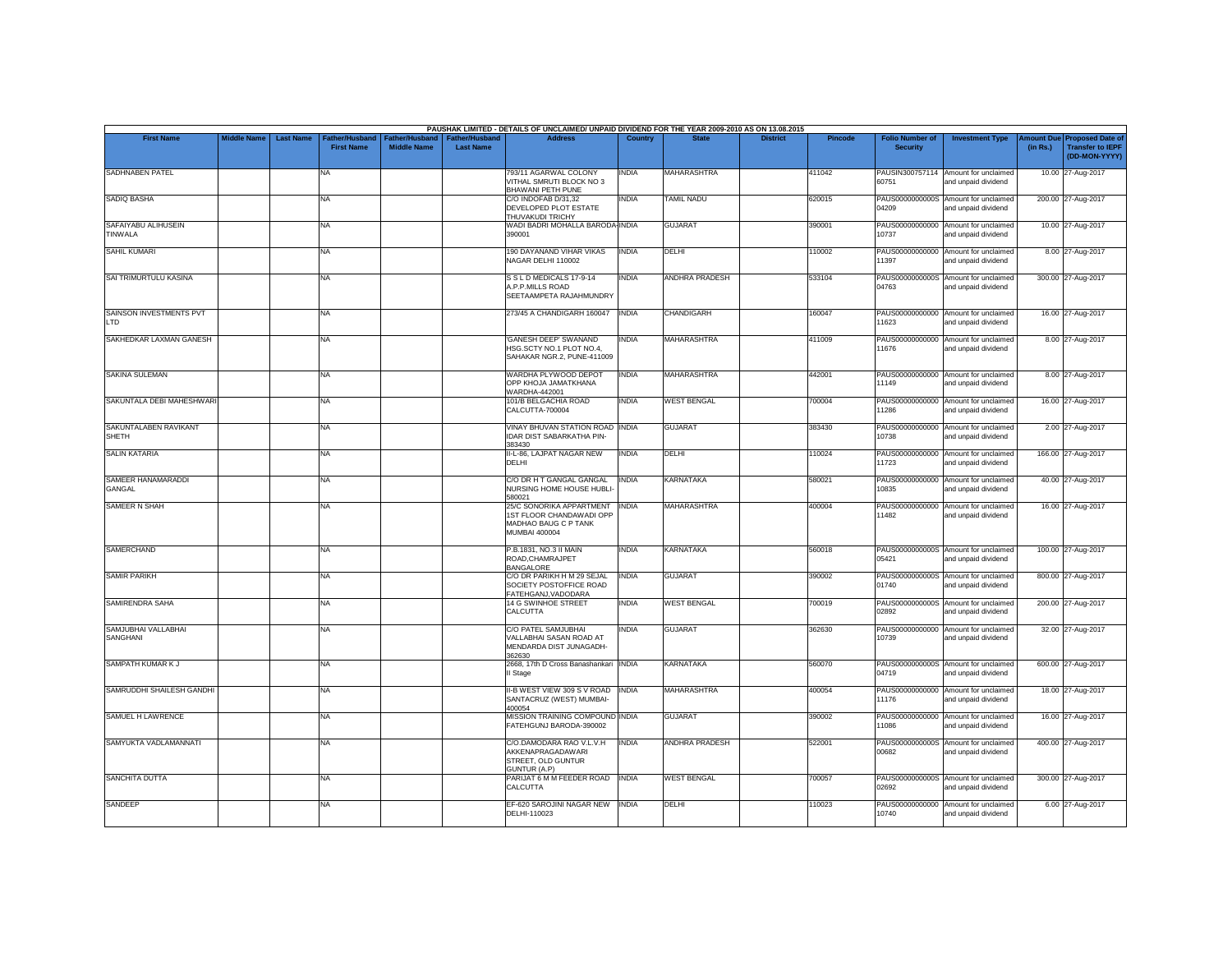|                                       |                    |                  |                                            |                                             |                                           | PAUSHAK LIMITED - DETAILS OF UNCLAIMED/ UNPAID DIVIDEND FOR THE YEAR 2009-2010 AS ON 13.08.2015      |              |                    |                 |         |                                           |                                                             |          |                                                                                |
|---------------------------------------|--------------------|------------------|--------------------------------------------|---------------------------------------------|-------------------------------------------|------------------------------------------------------------------------------------------------------|--------------|--------------------|-----------------|---------|-------------------------------------------|-------------------------------------------------------------|----------|--------------------------------------------------------------------------------|
| <b>First Name</b>                     | <b>Middle Name</b> | <b>Last Name</b> | <b>Father/Husband</b><br><b>First Name</b> | <b>Father/Husband</b><br><b>Middle Name</b> | <b>Father/Husband</b><br><b>Last Name</b> | <b>Address</b>                                                                                       | Country      | <b>State</b>       | <b>District</b> | Pincode | <b>Folio Number of</b><br><b>Security</b> | <b>Investment Type</b>                                      | (in Rs.) | <b>Amount Due Proposed Date of</b><br><b>Transfer to IEPF</b><br>(DD-MON-YYYY) |
| SADHNABEN PATEL                       |                    |                  | <b>NA</b>                                  |                                             |                                           | 793/11 AGARWAL COLONY<br>VITHAL SMRUTI BLOCK NO 3<br>BHAWANI PETH PUNE                               | INDIA        | <b>MAHARASHTRA</b> |                 | 411042  | 60751                                     | PAUSIN300757114 Amount for unclaimed<br>and unpaid dividend |          | 10.00 27-Aug-2017                                                              |
| <b>SADIQ BASHA</b>                    |                    |                  | <b>NA</b>                                  |                                             |                                           | C/O INDOFAB D/31.32<br>DEVELOPED PLOT ESTATE<br>THUVAKUDI TRICHY                                     | INDIA        | <b>TAMIL NADU</b>  |                 | 620015  | 04209                                     | PAUS0000000000S Amount for unclaimed<br>and unpaid dividend |          | 200.00 27-Aug-2017                                                             |
| SAFAIYABU ALIHUSEIN<br>TINWALA        |                    |                  | <b>NA</b>                                  |                                             |                                           | WADI BADRI MOHALLA BARODA-INDIA<br>390001                                                            |              | <b>GUJARAT</b>     |                 | 390001  | 10737                                     | PAUS00000000000 Amount for unclaimed<br>and unpaid dividend |          | 10.00 27-Aug-2017                                                              |
| <b>SAHIL KUMARI</b>                   |                    |                  | NA                                         |                                             |                                           | 190 DAYANAND VIHAR VIKAS<br>NAGAR DELHI 110002                                                       | <b>INDIA</b> | DELHI              |                 | 110002  | 11397                                     | PAUS00000000000 Amount for unclaimed<br>and unpaid dividend |          | 8.00 27-Aug-2017                                                               |
| SAI TRIMURTULU KASINA                 |                    |                  | <b>NA</b>                                  |                                             |                                           | S S L D MEDICALS 17-9-14<br>A.P.P.MILLS ROAD<br>SEETAAMPETA RAJAHMUNDRY                              | INDIA        | ANDHRA PRADESH     |                 | 533104  | 04763                                     | PAUS0000000000S Amount for unclaimed<br>and unpaid dividend |          | 300.00 27-Aug-2017                                                             |
| SAINSON INVESTMENTS PVT<br><b>LTD</b> |                    |                  | <b>NA</b>                                  |                                             |                                           | 273/45 A CHANDIGARH 160047                                                                           | <b>INDIA</b> | <b>CHANDIGARH</b>  |                 | 160047  | 11623                                     | PAUS00000000000 Amount for unclaimed<br>and unpaid dividend |          | 16.00 27-Aug-2017                                                              |
| SAKHEDKAR LAXMAN GANESH               |                    |                  | <b>NA</b>                                  |                                             |                                           | 'GANESH DEEP' SWANAND<br>HSG.SCTY NO.1 PLOT NO.4.<br>SAHAKAR NGR.2, PUNE-411009                      | <b>INDIA</b> | <b>MAHARASHTRA</b> |                 | 411009  | 11676                                     | PAUS00000000000 Amount for unclaimed<br>and unpaid dividend |          | 8.00 27-Aug-2017                                                               |
| SAKINA SULEMAN                        |                    |                  | <b>NA</b>                                  |                                             |                                           | WARDHA PLYWOOD DEPOT<br>OPP KHOJA JAMATKHANA<br>WARDHA-442001                                        | INDIA        | <b>MAHARASHTRA</b> |                 | 442001  | PAUS00000000000<br>11149                  | Amount for unclaimed<br>and unpaid dividend                 |          | 8.00 27-Aug-2017                                                               |
| SAKUNTALA DEBI MAHESHWARI             |                    |                  | <b>NA</b>                                  |                                             |                                           | 101/B BELGACHIA ROAD<br>CALCUTTA-700004                                                              | INDIA        | <b>WEST BENGAL</b> |                 | 700004  | PAUS00000000000<br>11286                  | Amount for unclaimed<br>and unpaid dividend                 |          | 16.00 27-Aug-2017                                                              |
| SAKUNTALABEN RAVIKANT<br><b>SHETH</b> |                    |                  | <b>NA</b>                                  |                                             |                                           | VINAY BHUVAN STATION ROAD INDIA<br><b>IDAR DIST SABARKATHA PIN-</b><br>383430                        |              | <b>GUJARAT</b>     |                 | 383430  | 10738                                     | PAUS00000000000 Amount for unclaimed<br>and unpaid dividend |          | 2.00 27-Aug-2017                                                               |
| <b>SALIN KATARIA</b>                  |                    |                  | <b>NA</b>                                  |                                             |                                           | II-L-86, LAJPAT NAGAR NEW<br><b>DELHI</b>                                                            | <b>INDIA</b> | DELHI              |                 | 110024  | 11723                                     | PAUS00000000000 Amount for unclaimed<br>and unpaid dividend |          | 166.00 27-Aug-2017                                                             |
| SAMEER HANAMARADDI<br>GANGAL          |                    |                  | <b>NA</b>                                  |                                             |                                           | C/O DR H T GANGAL GANGAL<br>NURSING HOME HOUSE HUBLI-<br>580021                                      | <b>INDIA</b> | <b>KARNATAKA</b>   |                 | 580021  | 10835                                     | PAUS00000000000 Amount for unclaimed<br>and unpaid dividend |          | 40.00 27-Aug-2017                                                              |
| SAMEER N SHAH                         |                    |                  | <b>NA</b>                                  |                                             |                                           | 25/C SONORIKA APPARTMENT<br>1ST FLOOR CHANDAWADI OPP<br>MADHAO BAUG C P TANK<br><b>MUMBAI 400004</b> | <b>INDIA</b> | <b>MAHARASHTRA</b> |                 | 400004  | PAUS00000000000<br>11482                  | Amount for unclaimed<br>and unpaid dividend                 |          | 16.00 27-Aug-2017                                                              |
| <b>SAMERCHAND</b>                     |                    |                  | <b>NA</b>                                  |                                             |                                           | P.B.1831, NO.3 II MAIN<br>ROAD.CHAMRAJPET<br><b>BANGALORE</b>                                        | <b>INDIA</b> | KARNATAKA          |                 | 560018  | 05421                                     | PAUS0000000000S Amount for unclaimed<br>and unpaid dividend |          | 100.00 27-Aug-2017                                                             |
| <b>SAMIR PARIKH</b>                   |                    |                  | <b>NA</b>                                  |                                             |                                           | C/O DR PARIKH H M 29 SEJAL<br>SOCIETY POSTOFFICE ROAD<br>FATEHGANJ, VADODARA                         | <b>INDIA</b> | <b>GUJARAT</b>     |                 | 390002  | 01740                                     | PAUS0000000000S Amount for unclaimed<br>and unpaid dividend |          | 800.00 27-Aug-2017                                                             |
| SAMIRENDRA SAHA                       |                    |                  | <b>NA</b>                                  |                                             |                                           | 14 G SWINHOE STREET<br>CALCUTTA                                                                      | INDIA        | <b>WEST BENGAL</b> |                 | 700019  | PAUS0000000000S<br>02892                  | Amount for unclaimed<br>and unpaid dividend                 |          | 200.00 27-Aug-2017                                                             |
| SAMJUBHAI VALLABHAI<br>SANGHANI       |                    |                  | <b>NA</b>                                  |                                             |                                           | C/O PATEL SAMJUBHAI<br>VALLABHAI SASAN ROAD AT<br>MENDARDA DIST JUNAGADH-<br>362630                  | INDIA        | <b>GUJARAT</b>     |                 | 362630  | 10739                                     | PAUS00000000000 Amount for unclaimed<br>and unpaid dividend |          | 32.00 27-Aug-2017                                                              |
| SAMPATH KUMAR K J                     |                    |                  | <b>NA</b>                                  |                                             |                                           | 2668, 17th D Cross Banashankari INDIA<br>II Stage                                                    |              | <b>KARNATAKA</b>   |                 | 560070  | 04719                                     | PAUS0000000000S Amount for unclaimed<br>and unpaid dividend |          | 600.00 27-Aug-2017                                                             |
| SAMRUDDHI SHAILESH GANDHI             |                    |                  | <b>NA</b>                                  |                                             |                                           | II-B WEST VIEW 309 S V ROAD<br>SANTACRUZ (WEST) MUMBAI-<br>400054                                    | <b>INDIA</b> | <b>MAHARASHTRA</b> |                 | 400054  | 11176                                     | PAUS00000000000 Amount for unclaimed<br>and unpaid dividend |          | 18.00 27-Aug-2017                                                              |
| SAMUEL H LAWRENCE                     |                    |                  | <b>NA</b>                                  |                                             |                                           | MISSION TRAINING COMPOUND INDIA<br>FATEHGUNJ BARODA-390002                                           |              | <b>GUJARAT</b>     |                 | 390002  | 11086                                     | PAUS00000000000 Amount for unclaimed<br>and unpaid dividend |          | 16.00 27-Aug-2017                                                              |
| SAMYUKTA VADLAMANNATI                 |                    |                  | <b>NA</b>                                  |                                             |                                           | C/O.DAMODARA RAO V.L.V.H<br>AKKENAPRAGADAWARI<br>STREET, OLD GUNTUR<br>GUNTUR (A.P)                  | <b>INDIA</b> | ANDHRA PRADESH     |                 | 522001  | 00682                                     | PAUS0000000000S Amount for unclaimed<br>and unpaid dividend |          | 400.00 27-Aug-2017                                                             |
| <b>SANCHITA DUTTA</b>                 |                    |                  | <b>NA</b>                                  |                                             |                                           | PARIJAT 6 M M FEEDER ROAD<br>CALCUTTA                                                                | <b>INDIA</b> | <b>WEST BENGAL</b> |                 | 700057  | 02692                                     | PAUS0000000000S Amount for unclaimed<br>and unpaid dividend |          | 300.00 27-Aug-2017                                                             |
| SANDEEP                               |                    |                  | <b>NA</b>                                  |                                             |                                           | EF-620 SAROJINI NAGAR NEW<br>DELHI-110023                                                            | <b>INDIA</b> | DELHI              |                 | 110023  | PAUS00000000000<br>10740                  | Amount for unclaimed<br>and unpaid dividend                 |          | 6.00 27-Aug-2017                                                               |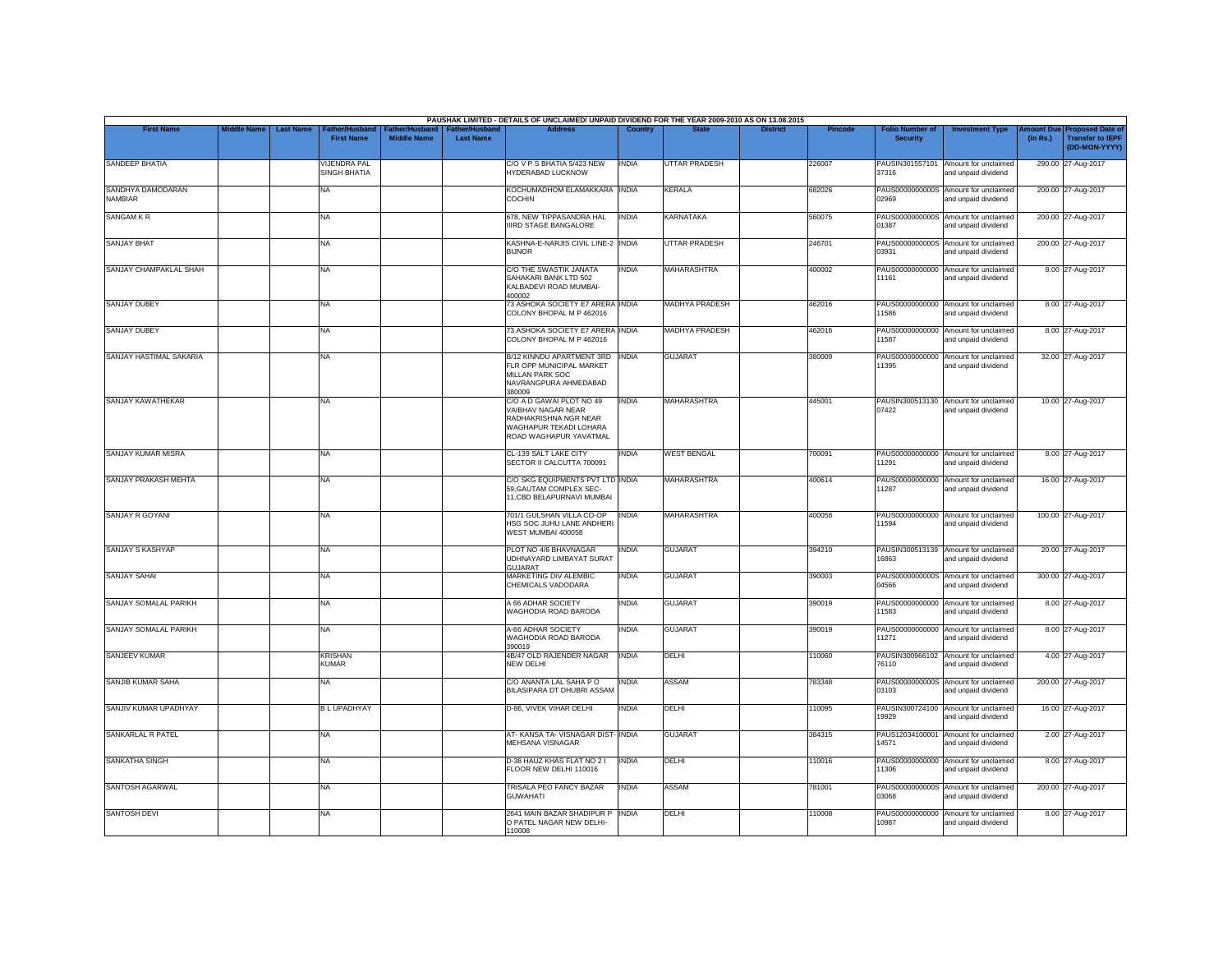|                              |                                        |                                                                                    |                                           | PAUSHAK LIMITED - DETAILS OF UNCLAIMED/ UNPAID DIVIDEND FOR THE YEAR 2009-2010 AS ON 13.08.2015                             |                |                       |                 |                |                                           |                                                             |          |                                                                        |
|------------------------------|----------------------------------------|------------------------------------------------------------------------------------|-------------------------------------------|-----------------------------------------------------------------------------------------------------------------------------|----------------|-----------------------|-----------------|----------------|-------------------------------------------|-------------------------------------------------------------|----------|------------------------------------------------------------------------|
| <b>First Name</b>            | <b>Middle Name</b><br><b>Last Name</b> | <b>Father/Husband</b><br>Father/Husband<br><b>First Name</b><br><b>Middle Name</b> | <b>Father/Husband</b><br><b>Last Name</b> | <b>Address</b>                                                                                                              | <b>Country</b> | <b>State</b>          | <b>District</b> | <b>Pincode</b> | <b>Folio Number of</b><br><b>Security</b> | <b>Investment Type</b>                                      | (in Rs.) | mount Due Proposed Date of<br><b>Transfer to IEPF</b><br>(DD-MON-YYYY) |
| SANDEEP BHATIA               |                                        | <b>VIJENDRA PAL</b><br>SINGH BHATIA                                                |                                           | C/O V P S BHATIA 5/423 NEW<br>HYDERABAD LUCKNOW                                                                             | <b>INDIA</b>   | <b>UTTAR PRADESH</b>  |                 | 226007         | 37316                                     | PAUSIN301557101 Amount for unclaimed<br>and unpaid dividend |          | 290.00 27-Aug-2017                                                     |
| SANDHYA DAMODARAN<br>NAMBIAR | <b>NA</b>                              |                                                                                    |                                           | KOCHUMADHOM ELAMAKKARA INDIA<br><b>COCHIN</b>                                                                               |                | <b>KERALA</b>         |                 | 682026         | 02969                                     | PAUS0000000000S Amount for unclaimed<br>and unpaid dividend |          | 200.00 27-Aug-2017                                                     |
| SANGAM KR                    | <b>NA</b>                              |                                                                                    |                                           | 678, NEW TIPPASANDRA HAL<br>IIIRD STAGE BANGALORE                                                                           | <b>INDIA</b>   | <b>KARNATAKA</b>      |                 | 560075         | PAUS0000000000S<br>01387                  | Amount for unclaimed<br>and unpaid dividend                 |          | 200.00 27-Aug-2017                                                     |
| <b>SANJAY BHAT</b>           | <b>NA</b>                              |                                                                                    |                                           | KASHNA-E-NARJIS CIVIL LINE-2 INDIA<br><b>BIJNOR</b>                                                                         |                | <b>UTTAR PRADESH</b>  |                 | 246701         | 03931                                     | PAUS0000000000S Amount for unclaimed<br>and unpaid dividend |          | 200.00 27-Aug-2017                                                     |
| SANJAY CHAMPAKLAL SHAH       | NA                                     |                                                                                    |                                           | C/O THE SWASTIK JANATA<br>SAHAKARI BANK LTD 502<br>KAI BADEVI ROAD MUMBAI-<br>400002                                        | INDIA          | MAHARASHTRA           |                 | 400002         | PAUS00000000000<br>11161                  | Amount for unclaimed<br>and unpaid dividend                 |          | 8.00 27-Aug-2017                                                       |
| <b>SANJAY DUBEY</b>          | <b>NA</b>                              |                                                                                    |                                           | 73 ASHOKA SOCIETY E7 ARERA INDIA<br>COLONY BHOPAL M P 462016                                                                |                | <b>MADHYA PRADESH</b> |                 | 462016         | 11586                                     | PAUS00000000000 Amount for unclaimed<br>and unpaid dividend |          | 8.00 27-Aug-2017                                                       |
| <b>SANJAY DUBEY</b>          | <b>NA</b>                              |                                                                                    |                                           | 73 ASHOKA SOCIETY E7 ARERA INDIA<br>COLONY BHOPAL M P 462016                                                                |                | MADHYA PRADESH        |                 | 462016         | 11587                                     | PAUS00000000000 Amount for unclaimed<br>and unpaid dividend |          | 8.00 27-Aug-2017                                                       |
| SANJAY HASTIMAL SAKARIA      | <b>NA</b>                              |                                                                                    |                                           | B/12 KINNDU APARTMENT 3RD<br>FLR OPP MUNICIPAL MARKET<br>MILLAN PARK SOC<br>NAVRANGPURA AHMEDABAD<br>380009                 | <b>INDIA</b>   | <b>GUJARAT</b>        |                 | 380009         | 11395                                     | PAUS00000000000 Amount for unclaimed<br>and unpaid dividend |          | 32.00 27-Aug-2017                                                      |
| SANJAY KAWATHEKAR            | <b>NA</b>                              |                                                                                    |                                           | C/O A D GAWAI PLOT NO 49<br>VAIBHAV NAGAR NEAR<br>RADHAKRISHNA NGR NEAR<br>WAGHAPUR TEKADI LOHARA<br>ROAD WAGHAPUR YAVATMAL | <b>INDIA</b>   | <b>MAHARASHTRA</b>    |                 | 445001         | 07422                                     | PAUSIN300513130 Amount for unclaimed<br>and unpaid dividend |          | 10.00 27-Aug-2017                                                      |
| <b>SANJAY KUMAR MISRA</b>    | <b>NA</b>                              |                                                                                    |                                           | CL-139 SALT LAKE CITY<br>SECTOR II CALCUTTA 700091                                                                          | <b>INDIA</b>   | <b>WEST BENGAL</b>    |                 | 700091         | 11291                                     | PAUS00000000000 Amount for unclaimed<br>and unpaid dividend |          | 8.00 27-Aug-2017                                                       |
| SANJAY PRAKASH MEHTA         | <b>NA</b>                              |                                                                                    |                                           | C/O SKG EQUIPMENTS PVT LTD INDIA<br>59. GAUTAM COMPLEX SEC-<br>11, CBD BELAPURNAVI MUMBAI                                   |                | <b>MAHARASHTRA</b>    |                 | 400614         | 11287                                     | PAUS00000000000 Amount for unclaimed<br>and unpaid dividend |          | 16.00 27-Aug-2017                                                      |
| <b>SANJAY R GOYANI</b>       | <b>NA</b>                              |                                                                                    |                                           | 701/1 GULSHAN VILLA CO-OP<br>HSG SOC JUHU LANE ANDHERI<br>WEST MUMBAI 400058                                                | <b>INDIA</b>   | <b>MAHARASHTRA</b>    |                 | 400058         | PAUS00000000000<br>11594                  | Amount for unclaimed<br>and unpaid dividend                 |          | 100.00 27-Aug-2017                                                     |
| SANJAY S KASHYAP             | <b>NA</b>                              |                                                                                    |                                           | PLOT NO 4/6 BHAVNAGAR<br>UDHNAYARD LIMBAYAT SURAT<br>GUJARAT                                                                | <b>INDIA</b>   | <b>GUJARAT</b>        |                 | 394210         | 16863                                     | PAUSIN300513139 Amount for unclaimed<br>and unpaid dividend |          | 20.00 27-Aug-2017                                                      |
| <b>SANJAY SAHAI</b>          | <b>NA</b>                              |                                                                                    |                                           | MARKETING DIV ALEMBIC<br>CHEMICALS VADODARA                                                                                 | <b>INDIA</b>   | <b>GUJARAT</b>        |                 | 390003         | 04566                                     | PAUS0000000000S Amount for unclaimed<br>and unpaid dividend |          | 300.00 27-Aug-2017                                                     |
| SANJAY SOMALAL PARIKH        | <b>NA</b>                              |                                                                                    |                                           | A 66 ADHAR SOCIETY<br>WAGHODIA ROAD BARODA                                                                                  | INDIA          | <b>GUJARAT</b>        |                 | 390019         | 11583                                     | PAUS00000000000 Amount for unclaimed<br>and unpaid dividend |          | 8.00 27-Aug-2017                                                       |
| SANJAY SOMALAL PARIKH        | <b>NA</b>                              |                                                                                    |                                           | A-66 ADHAR SOCIETY<br>WAGHODIA ROAD BARODA<br>390019                                                                        | INDIA          | <b>GUJARAT</b>        |                 | 390019         | 11271                                     | PAUS00000000000 Amount for unclaimed<br>and unpaid dividend |          | 8.00 27-Aug-2017                                                       |
| SANJEEV KUMAR                | <b>KRISHAN</b><br><b>KUMAR</b>         |                                                                                    |                                           | 4B/47 OLD RAJENDER NAGAR<br><b>NEW DELHI</b>                                                                                | <b>INDIA</b>   | DFI HI                |                 | 110060         | 76110                                     | PAUSIN300966102 Amount for unclaimed<br>and unpaid dividend |          | 4.00 27-Aug-2017                                                       |
| <b>SANJIB KUMAR SAHA</b>     | <b>NA</b>                              |                                                                                    |                                           | C/O ANANTA LAL SAHA PO<br>BILASIPARA DT DHUBRI ASSAM                                                                        | <b>INDIA</b>   | ASSAM                 |                 | 783348         | 03103                                     | PAUS0000000000S Amount for unclaimed<br>and unpaid dividend |          | 200.00 27-Aug-2017                                                     |
| SANJIV KUMAR UPADHYAY        |                                        | <b>BL UPADHYAY</b>                                                                 |                                           | D-86, VIVEK VIHAR DELHI                                                                                                     | INDIA          | DELHI                 |                 | 110095         | PAUSIN300724100<br>9929                   | Amount for unclaimed<br>and unpaid dividend                 |          | 16.00 27-Aug-2017                                                      |
| <b>SANKARLAL R PATEL</b>     | <b>NA</b>                              |                                                                                    |                                           | AT-KANSA TA- VISNAGAR DIST-INDIA<br>MEHSANA VISNAGAR                                                                        |                | <b>GUJARAT</b>        |                 | 384315         | 14571                                     | PAUS12034100001 Amount for unclaimed<br>and unpaid dividend |          | 2.00 27-Aug-2017                                                       |
| <b>SANKATHA SINGH</b>        | <b>NA</b>                              |                                                                                    |                                           | D-38 HAUZ KHAS FLAT NO 2 I<br>FLOOR NEW DELHI 110016                                                                        | <b>INDIA</b>   | <b>DELHI</b>          |                 | 110016         | 11306                                     | PAUS00000000000 Amount for unclaimed<br>and unpaid dividend |          | 8.00 27-Aug-2017                                                       |
| SANTOSH AGARWAL              | <b>NA</b>                              |                                                                                    |                                           | TRISALA PEO FANCY BAZAR<br><b>GUWAHATI</b>                                                                                  | <b>INDIA</b>   | ASSAM                 |                 | 781001         | 03068                                     | PAUS0000000000S Amount for unclaimed<br>and unpaid dividend |          | 200.00 27-Aug-2017                                                     |
| <b>SANTOSH DEVI</b>          | <b>NA</b>                              |                                                                                    |                                           | 2641 MAIN BAZAR SHADIPUR P<br>O PATEL NAGAR NEW DELHI-<br>110008                                                            | <b>INDIA</b>   | DELHI                 |                 | 110008         | PAUS00000000000<br>10987                  | Amount for unclaimed<br>and unpaid dividend                 |          | 8.00 27-Aug-2017                                                       |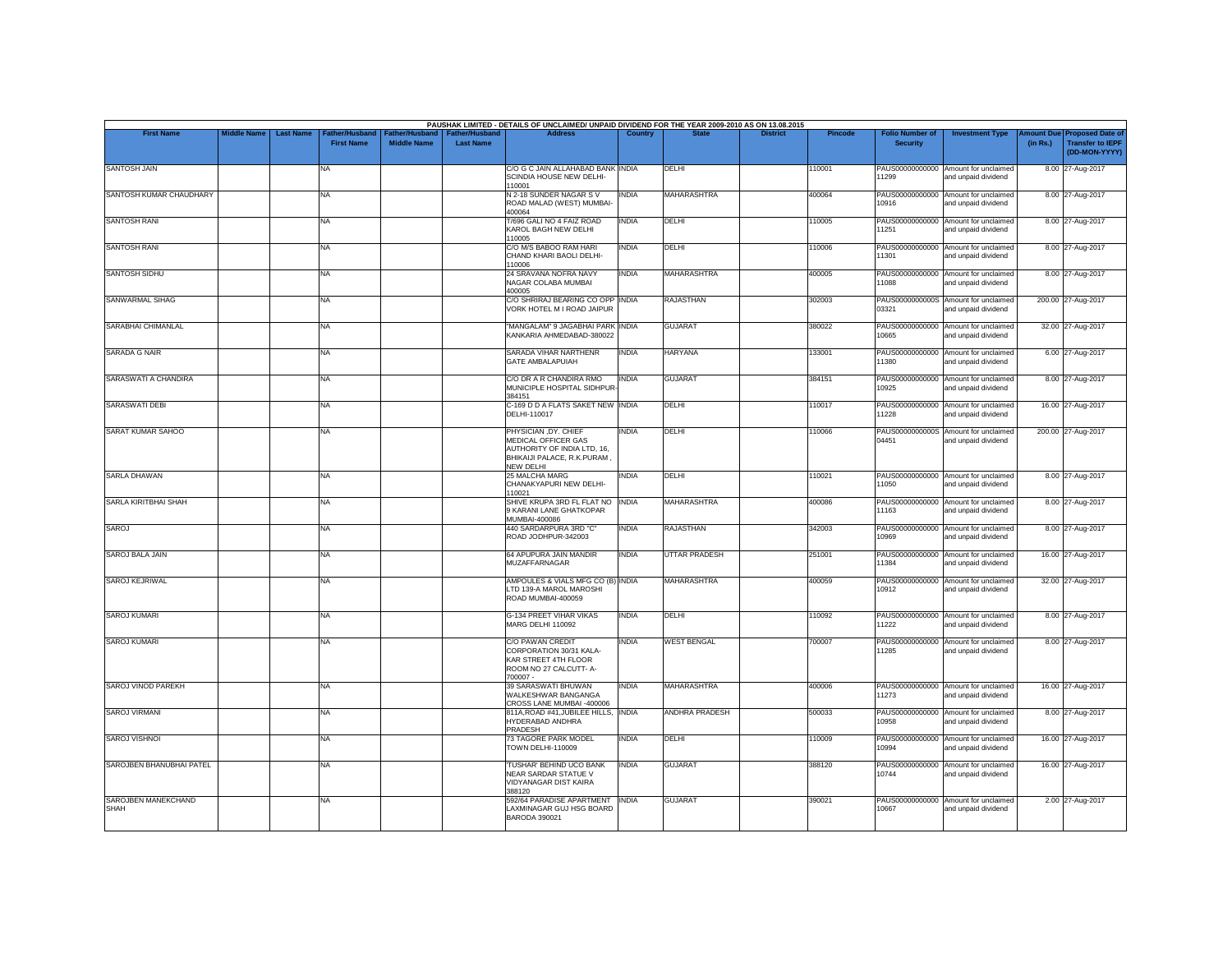|                             |                    |                  |                                    |                                             |                                    | PAUSHAK LIMITED - DETAILS OF UNCLAIMED/ UNPAID DIVIDEND FOR THE YEAR 2009-2010 AS ON 13.08.2015                        |              |                      |                 |                |                                           |                                                             |                       |                                                                     |
|-----------------------------|--------------------|------------------|------------------------------------|---------------------------------------------|------------------------------------|------------------------------------------------------------------------------------------------------------------------|--------------|----------------------|-----------------|----------------|-------------------------------------------|-------------------------------------------------------------|-----------------------|---------------------------------------------------------------------|
| <b>First Name</b>           | <b>Middle Name</b> | <b>Last Name</b> | ather/Husband<br><b>First Name</b> | <b>Father/Husband</b><br><b>Middle Name</b> | Father/Husband<br><b>Last Name</b> | <b>Address</b>                                                                                                         | Country      | <b>State</b>         | <b>District</b> | <b>Pincode</b> | <b>Folio Number of</b><br><b>Security</b> | <b>Investment Type</b>                                      | mount Due<br>(in Rs.) | <b>Proposed Date of</b><br><b>Transfer to IEPF</b><br>(DD-MON-YYYY) |
| <b>SANTOSH JAIN</b>         |                    |                  | <b>NA</b>                          |                                             |                                    | C/O G C JAIN ALLAHABAD BANK INDIA<br>SCINDIA HOUSE NEW DELHI-<br>110001                                                |              | DELHI                |                 | 110001         | PAUS00000000000<br>11299                  | Amount for unclaimed<br>and unpaid dividend                 |                       | 8.00 27-Aug-2017                                                    |
| SANTOSH KUMAR CHAUDHARY     |                    |                  | <b>NA</b>                          |                                             |                                    | N 2-18 SUNDER NAGAR S V<br>ROAD MALAD (WEST) MUMBAI-<br>400064                                                         | <b>INDIA</b> | <b>MAHARASHTRA</b>   |                 | 400064         | 10916                                     | PAUS00000000000 Amount for unclaimed<br>and unpaid dividend |                       | 8.00 27-Aug-2017                                                    |
| <b>SANTOSH RANI</b>         |                    |                  | <b>NA</b>                          |                                             |                                    | T/696 GALI NO 4 FAIZ ROAD<br>KAROL BAGH NEW DELHI<br>110005                                                            | <b>INDIA</b> | DELHI                |                 | 110005         | PAUS00000000000<br>11251                  | Amount for unclaimed<br>and unpaid dividend                 |                       | 8.00 27-Aug-2017                                                    |
| <b>SANTOSH RANI</b>         |                    |                  | <b>NA</b>                          |                                             |                                    | C/O M/S BABOO RAM HARI<br>CHAND KHARI BAOLI DELHI-<br>110006                                                           | india        | DELHI                |                 | 110006         | 11301                                     | PAUS00000000000 Amount for unclaimed<br>and unpaid dividend |                       | 8.00 27-Aug-2017                                                    |
| SANTOSH SIDHU               |                    |                  | <b>NA</b>                          |                                             |                                    | 24 SRAVANA NOFRA NAVY<br>NAGAR COLABA MUMBAI<br>400005                                                                 | <b>INDIA</b> | <b>MAHARASHTRA</b>   |                 | 400005         | 11088                                     | PAUS00000000000 Amount for unclaimed<br>and unpaid dividend |                       | 8.00 27-Aug-2017                                                    |
| SANWARMAL SIHAG             |                    |                  | <b>NA</b>                          |                                             |                                    | C/O SHRIRAJ BEARING CO OPP INDIA<br>VORK HOTEL M I ROAD JAIPUR                                                         |              | <b>RAJASTHAN</b>     |                 | 302003         | 03321                                     | PAUS0000000000S Amount for unclaimed<br>and unpaid dividend |                       | 200.00 27-Aug-2017                                                  |
| SARABHAI CHIMANLAL          |                    |                  | <b>NA</b>                          |                                             |                                    | "MANGALAM" 9 JAGABHAI PARK INDIA<br>KANKARIA AHMEDABAD-380022                                                          |              | <b>GUJARAT</b>       |                 | 380022         | PAUS00000000000<br>10665                  | Amount for unclaimed<br>and unpaid dividend                 |                       | 32.00 27-Aug-2017                                                   |
| <b>SARADA G NAIR</b>        |                    |                  | <b>NA</b>                          |                                             |                                    | SARADA VIHAR NARTHENR<br>GATE AMBALAPUIAH                                                                              | <b>INDIA</b> | <b>HARYANA</b>       |                 | 133001         | PAUS00000000000<br>11380                  | Amount for unclaimed<br>and unpaid dividend                 |                       | 6.00 27-Aug-2017                                                    |
| SARASWATI A CHANDIRA        |                    |                  | <b>NA</b>                          |                                             |                                    | C/O DR A R CHANDIRA RMO<br>MUNICIPLE HOSPITAL SIDHPUR<br>384151                                                        | <b>INDIA</b> | <b>GUJARAT</b>       |                 | 384151         | 10925                                     | PAUS00000000000 Amount for unclaimed<br>and unpaid dividend |                       | 8.00 27-Aug-2017                                                    |
| <b>SARASWATI DEBI</b>       |                    |                  | <b>NA</b>                          |                                             |                                    | C-169 D D A FLATS SAKET NEW INDIA<br>DELHI-110017                                                                      |              | DELHI                |                 | 110017         | PAUS00000000000<br>11228                  | Amount for unclaimed<br>and unpaid dividend                 |                       | 16.00 27-Aug-2017                                                   |
| <b>SARAT KUMAR SAHOO</b>    |                    |                  | <b>NA</b>                          |                                             |                                    | PHYSICIAN, DY. CHIEF<br>MEDICAL OFFICER GAS<br>AUTHORITY OF INDIA LTD, 16.<br>BHIKAIJI PALACE, R.K.PURAM.<br>NEW DELHI | INDIA        | <b>DELHI</b>         |                 | 110066         | 04451                                     | PAUS0000000000S Amount for unclaimed<br>and unpaid dividend |                       | 200.00 27-Aug-2017                                                  |
| <b>SARLA DHAWAN</b>         |                    |                  | <b>NA</b>                          |                                             |                                    | 25 MALCHA MARG<br>CHANAKYAPURI NEW DELHI-<br>110021                                                                    | <b>INDIA</b> | DELHI                |                 | 110021         | 11050                                     | PAUS00000000000 Amount for unclaimed<br>and unpaid dividend |                       | 8.00 27-Aug-2017                                                    |
| SARLA KIRITBHAI SHAH        |                    |                  | <b>NA</b>                          |                                             |                                    | SHIVE KRUPA 3RD FL FLAT NO<br>9 KARANI LANE GHATKOPAR<br><b>MUMBAI-400086</b>                                          | <b>INDIA</b> | <b>MAHARASHTRA</b>   |                 | 400086         | 11163                                     | PAUS00000000000 Amount for unclaimed<br>and unpaid dividend |                       | 8.00 27-Aug-2017                                                    |
| SAROJ                       |                    |                  | <b>NA</b>                          |                                             |                                    | 440 SARDARPURA 3RD "C"<br>ROAD JODHPUR-342003                                                                          | INDIA        | <b>RAJASTHAN</b>     |                 | 342003         | PAUS00000000000<br>10969                  | Amount for unclaimed<br>and unpaid dividend                 |                       | 8.00 27-Aug-2017                                                    |
| SAROJ BALA JAIN             |                    |                  | <b>NA</b>                          |                                             |                                    | 64 APUPURA JAIN MANDIR<br><b>MUZAFFARNAGAR</b>                                                                         | <b>INDIA</b> | <b>UTTAR PRADESH</b> |                 | 251001         | 11384                                     | PAUS00000000000 Amount for unclaimed<br>and unpaid dividend |                       | 16.00 27-Aug-2017                                                   |
| <b>SAROJ KEJRIWAL</b>       |                    |                  | <b>NA</b>                          |                                             |                                    | AMPOULES & VIALS MFG CO (B) INDIA<br>LTD 139-A MAROL MAROSHI<br>ROAD MUMBAI-400059                                     |              | <b>MAHARASHTRA</b>   |                 | 400059         | PAUS00000000000<br>10912                  | Amount for unclaimed<br>and unpaid dividend                 |                       | 32.00 27-Aug-2017                                                   |
| <b>SAROJ KUMARI</b>         |                    |                  | <b>NA</b>                          |                                             |                                    | <b>G-134 PREET VIHAR VIKAS</b><br>MARG DELHI 110092                                                                    | <b>INDIA</b> | <b>DFIHI</b>         |                 | 110092         | 11222                                     | PAUS00000000000 Amount for unclaimed<br>and unpaid dividend |                       | 8.00 27-Aug-2017                                                    |
| <b>SAROJ KUMARI</b>         |                    |                  | <b>NA</b>                          |                                             |                                    | <b>C/O PAWAN CREDIT</b><br>CORPORATION 30/31 KALA-<br>KAR STREET 4TH FLOOR<br>ROOM NO 27 CALCUTT- A-<br>700007 -       | INDIA        | <b>WEST BENGAL</b>   |                 | 700007         | 11285                                     | PAUS00000000000 Amount for unclaimed<br>and unpaid dividend |                       | 8.00 27-Aug-2017                                                    |
| SAROJ VINOD PAREKH          |                    |                  | <b>NA</b>                          |                                             |                                    | 39 SARASWATI BHUWAN<br>WALKESHWAR BANGANGA<br>CROSS LANE MUMBAI -400006                                                | <b>INDIA</b> | MAHARASHTRA          |                 | 400006         | 11273                                     | PAUS00000000000 Amount for unclaimed<br>and unpaid dividend |                       | 16.00 27-Aug-2017                                                   |
| <b>SAROJ VIRMANI</b>        |                    |                  | <b>NA</b>                          |                                             |                                    | 811A, ROAD #41, JUBILEE HILLS, INDIA<br>HYDERABAD ANDHRA<br>PRADESH                                                    |              | ANDHRA PRADESH       |                 | 500033         | PAUS00000000000<br>10958                  | Amount for unclaimed<br>and unpaid dividend                 |                       | 8.00 27-Aug-2017                                                    |
| <b>SAROJ VISHNOI</b>        |                    |                  | <b>NA</b>                          |                                             |                                    | 73 TAGORE PARK MODEL<br><b>TOWN DELHI-110009</b>                                                                       | <b>INDIA</b> | <b>DELHI</b>         |                 | 110009         | 10994                                     | PAUS00000000000 Amount for unclaimed<br>and unpaid dividend |                       | 16.00 27-Aug-2017                                                   |
| SAROJBEN BHANUBHAI PATEL    |                    |                  | <b>NA</b>                          |                                             |                                    | 'TUSHAR' BEHIND UCO BANK<br>NEAR SARDAR STATUE V<br>VIDYANAGAR DIST KAIRA<br>388120                                    | <b>INDIA</b> | <b>GUJARAT</b>       |                 | 388120         | PAUS00000000000<br>10744                  | Amount for unclaimed<br>and unpaid dividend                 |                       | 16.00 27-Aug-2017                                                   |
| SAROJBEN MANEKCHAND<br>SHAH |                    |                  | <b>NA</b>                          |                                             |                                    | 592/64 PARADISE APARTMENT INDIA<br>LAXMINAGAR GUJ HSG BOARD<br>BARODA 390021                                           |              | <b>GUJARAT</b>       |                 | 390021         | 10667                                     | PAUS00000000000 Amount for unclaimed<br>and unpaid dividend |                       | 2.00 27-Aug-2017                                                    |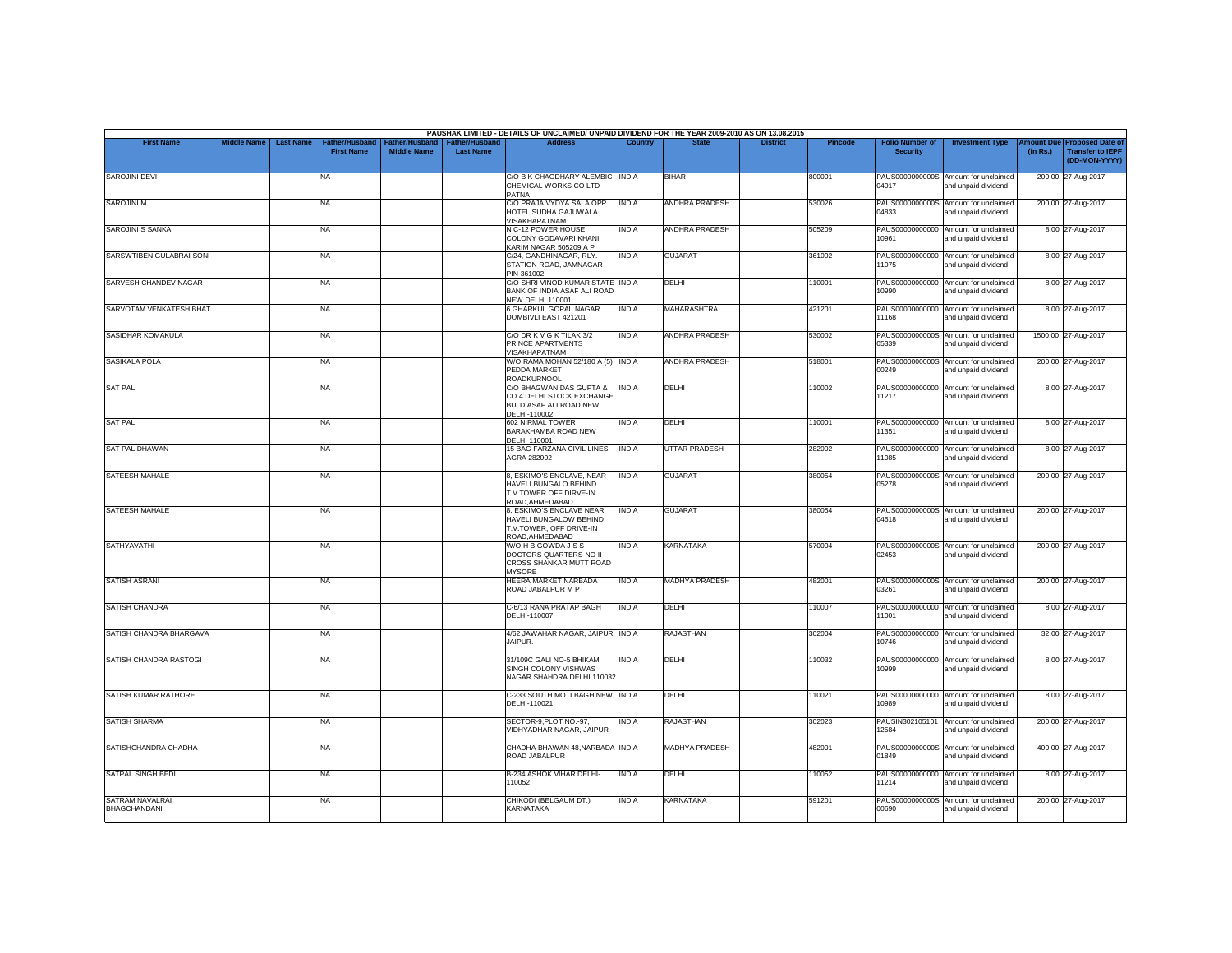|                                               |                    |                  |                                            |                                             |                                           | PAUSHAK LIMITED - DETAILS OF UNCLAIMED/ UNPAID DIVIDEND FOR THE YEAR 2009-2010 AS ON 13.08.2015  |              |                       |                 |         |                                           |                                                             |          |                                                                         |
|-----------------------------------------------|--------------------|------------------|--------------------------------------------|---------------------------------------------|-------------------------------------------|--------------------------------------------------------------------------------------------------|--------------|-----------------------|-----------------|---------|-------------------------------------------|-------------------------------------------------------------|----------|-------------------------------------------------------------------------|
| <b>First Name</b>                             | <b>Middle Name</b> | <b>Last Name</b> | <b>Father/Husband</b><br><b>First Name</b> | <b>Father/Husband</b><br><b>Middle Name</b> | <b>Father/Husband</b><br><b>Last Name</b> | <b>Address</b>                                                                                   | Country      | <b>State</b>          | <b>District</b> | Pincode | <b>Folio Number of</b><br><b>Security</b> | <b>Investment Type</b>                                      | (in Rs.) | Amount Due Proposed Date of<br><b>Transfer to IEPF</b><br>(DD-MON-YYYY) |
| <b>SAROJINI DEVI</b>                          |                    |                  | <b>NA</b>                                  |                                             |                                           | C/O B K CHAODHARY ALEMBIC INDIA<br>CHEMICAL WORKS CO LTD<br>PATNA                                |              | <b>BIHAR</b>          |                 | 800001  | 04017                                     | PAUS0000000000S Amount for unclaimed<br>and unpaid dividend |          | 200.00 27-Aug-2017                                                      |
| SAROJINI M                                    |                    |                  | <b>NA</b>                                  |                                             |                                           | C/O PRAJA VYDYA SALA OPP<br>HOTEL SUDHA GAJUWALA<br><b>VISAKHAPATNAM</b>                         | <b>INDIA</b> | <b>ANDHRA PRADESH</b> |                 | 530026  | 04833                                     | PAUS0000000000S Amount for unclaimed<br>and unpaid dividend |          | 200.00 27-Aug-2017                                                      |
| <b>SAROJINI S SANKA</b>                       |                    |                  | <b>NA</b>                                  |                                             |                                           | N C-12 POWER HOUSE<br>COLONY GODAVARI KHANI<br>KARIM NAGAR 505209 A P                            | INDIA        | <b>ANDHRA PRADESH</b> |                 | 505209  | 10961                                     | PAUS00000000000 Amount for unclaimed<br>and unpaid dividend |          | 8.00 27-Aug-2017                                                        |
| SARSWTIBEN GULABRAI SONI                      |                    |                  | <b>NA</b>                                  |                                             |                                           | C/24. GANDHINAGAR, RLY.<br>STATION ROAD, JAMNAGAR<br>PIN-361002                                  | <b>INDIA</b> | <b>GUJARAT</b>        |                 | 361002  | 11075                                     | PAUS00000000000 Amount for unclaimed<br>and unpaid dividend |          | 8.00 27-Aug-2017                                                        |
| SARVESH CHANDEV NAGAR                         |                    |                  | <b>NA</b>                                  |                                             |                                           | C/O SHRI VINOD KUMAR STATE INDIA<br>BANK OF INDIA ASAF ALI ROAD<br><b>NEW DELHI 110001</b>       |              | DELHI                 |                 | 110001  | PAUS00000000000<br>10990                  | Amount for unclaimed<br>and unpaid dividend                 |          | 8.00 27-Aug-2017                                                        |
| SARVOTAM VENKATESH BHAT                       |                    |                  | <b>NA</b>                                  |                                             |                                           | 6 GHARKUL GOPAL NAGAR<br>DOMBIVLI EAST 421201                                                    | <b>INDIA</b> | MAHARASHTRA           |                 | 421201  | 11168                                     | PAUS00000000000 Amount for unclaimed<br>and unpaid dividend |          | 8.00 27-Aug-2017                                                        |
| <b>SASIDHAR KOMAKULA</b>                      |                    |                  | <b>NA</b>                                  |                                             |                                           | C/O DR K V G K TILAK 3/2<br>PRINCE APARTMENTS<br>VISAKHAPATNAM                                   | INDIA        | <b>ANDHRA PRADESH</b> |                 | 530002  | 05339                                     | PAUS0000000000S Amount for unclaimed<br>and unpaid dividend |          | 1500.00 27-Aug-2017                                                     |
| SASIKALA POLA                                 |                    |                  | <b>NA</b>                                  |                                             |                                           | W/O RAMA MOHAN 52/180 A (5) INDIA<br>PEDDA MARKET<br><b>ROADKURNOOL</b>                          |              | <b>ANDHRA PRADESH</b> |                 | 518001  | 00249                                     | PAUS0000000000S Amount for unclaimed<br>and unpaid dividend |          | 200.00 27-Aug-2017                                                      |
| <b>SAT PAL</b>                                |                    |                  | <b>NA</b>                                  |                                             |                                           | C/O BHAGWAN DAS GUPTA &<br>CO 4 DELHI STOCK EXCHANGE<br>BULD ASAF ALI ROAD NEW<br>DELHI-110002   | <b>INDIA</b> | DELHI                 |                 | 110002  | 11217                                     | PAUS00000000000 Amount for unclaimed<br>and unpaid dividend |          | 8.00 27-Aug-2017                                                        |
| <b>SAT PAL</b>                                |                    |                  | <b>NA</b>                                  |                                             |                                           | 602 NIRMAL TOWER<br>BARAKHAMBA ROAD NEW<br>DELHI 110001                                          | INDIA        | DELHI                 |                 | 110001  | 11351                                     | PAUS00000000000 Amount for unclaimed<br>and unpaid dividend |          | 8.00 27-Aug-2017                                                        |
| <b>SAT PAL DHAWAN</b>                         |                    |                  | <b>NA</b>                                  |                                             |                                           | <b>15 BAG FARZANA CIVIL LINES</b><br>AGRA 282002                                                 | <b>INDIA</b> | <b>UTTAR PRADESH</b>  |                 | 282002  | PAUS00000000000<br>11085                  | Amount for unclaimed<br>and unpaid dividend                 |          | 8.00 27-Aug-2017                                                        |
| SATEESH MAHALE                                |                    |                  | <b>NA</b>                                  |                                             |                                           | 8, ESKIMO'S ENCLAVE, NEAR<br>HAVELI BUNGALO BEHIND<br>T.V.TOWER OFF DIRVE-IN<br>ROAD, AHMEDABAD  | <b>INDIA</b> | <b>GUJARAT</b>        |                 | 380054  | 05278                                     | PAUS0000000000S Amount for unclaimed<br>and unpaid dividend |          | 200.00 27-Aug-2017                                                      |
| SATEESH MAHALE                                |                    |                  | <b>NA</b>                                  |                                             |                                           | 8, ESKIMO'S ENCLAVE NEAR<br>HAVELI BUNGALOW BEHIND<br>T.V.TOWER, OFF DRIVE-IN<br>ROAD, AHMEDABAD | INDIA        | <b>GUJARAT</b>        |                 | 380054  | 04618                                     | PAUS0000000000S Amount for unclaimed<br>and unpaid dividend |          | 200.00 27-Aug-2017                                                      |
| <b>SATHYAVATHI</b>                            |                    |                  | <b>NA</b>                                  |                                             |                                           | W/OHBGOWDAJSS<br>DOCTORS QUARTERS-NO II<br>CROSS SHANKAR MUTT ROAD<br><b>MYSORE</b>              | INDIA        | <b>KARNATAKA</b>      |                 | 570004  | 02453                                     | PAUS0000000000S Amount for unclaimed<br>and unpaid dividend |          | 200.00 27-Aug-2017                                                      |
| <b>SATISH ASRANI</b>                          |                    |                  | <b>NA</b>                                  |                                             |                                           | <b>HEERA MARKET NARBADA</b><br>ROAD JABALPUR M P                                                 | INDIA        | <b>MADHYA PRADESH</b> |                 | 482001  | 03261                                     | PAUS0000000000S Amount for unclaimed<br>and unpaid dividend |          | 200.00 27-Aug-2017                                                      |
| <b>SATISH CHANDRA</b>                         |                    |                  | NA                                         |                                             |                                           | C-6/13 RANA PRATAP BAGH<br>DELHI-110007                                                          | <b>INDIA</b> | DELHI                 |                 | 110007  | 11001                                     | PAUS00000000000 Amount for unclaimed<br>and unpaid dividend |          | 8.00 27-Aug-2017                                                        |
| SATISH CHANDRA BHARGAVA                       |                    |                  | <b>NA</b>                                  |                                             |                                           | 4/62 JAWAHAR NAGAR, JAIPUR. INDIA<br>JAIPUR.                                                     |              | <b>RAJASTHAN</b>      |                 | 302004  | 10746                                     | PAUS00000000000 Amount for unclaimed<br>and unpaid dividend |          | 32.00 27-Aug-2017                                                       |
| SATISH CHANDRA RASTOGI                        |                    |                  | <b>NA</b>                                  |                                             |                                           | 31/109C GALI NO-5 BHIKAM<br>SINGH COLONY VISHWAS<br>NAGAR SHAHDRA DELHI 110032                   | <b>INDIA</b> | DELHI                 |                 | 110032  | 10999                                     | PAUS00000000000 Amount for unclaimed<br>and unpaid dividend |          | 8.00 27-Aug-2017                                                        |
| SATISH KUMAR RATHORE                          |                    |                  | <b>NA</b>                                  |                                             |                                           | C-233 SOUTH MOTI BAGH NEW INDIA<br>DELHI-110021                                                  |              | DELHI                 |                 | 110021  | 10989                                     | PAUS00000000000 Amount for unclaimed<br>and unpaid dividend |          | 8.00 27-Aug-2017                                                        |
| <b>SATISH SHARMA</b>                          |                    |                  | <b>NA</b>                                  |                                             |                                           | SECTOR-9, PLOT NO.-97,<br>VIDHYADHAR NAGAR, JAIPUR                                               | <b>INDIA</b> | <b>RAJASTHAN</b>      |                 | 302023  | 12584                                     | PAUSIN302105101 Amount for unclaimed<br>and unpaid dividend |          | 200.00 27-Aug-2017                                                      |
| SATISHCHANDRA CHADHA                          |                    |                  | <b>NA</b>                                  |                                             |                                           | CHADHA BHAWAN 48.NARBADA INDIA<br>ROAD JABALPUR                                                  |              | <b>MADHYA PRADESH</b> |                 | 482001  | 01849                                     | PAUS0000000000S Amount for unclaimed<br>and unpaid dividend |          | 400.00 27-Aug-2017                                                      |
| SATPAL SINGH BEDI                             |                    |                  | <b>NA</b>                                  |                                             |                                           | <b>B-234 ASHOK VIHAR DELHI-</b><br>110052                                                        | <b>INDIA</b> | DELHI                 |                 | 110052  | PAUS00000000000<br>11214                  | Amount for unclaimed<br>and unpaid dividend                 |          | 8.00 27-Aug-2017                                                        |
| <b>SATRAM NAVALRAI</b><br><b>BHAGCHANDANI</b> |                    |                  | <b>NA</b>                                  |                                             |                                           | CHIKODI (BELGAUM DT.)<br>KARNATAKA                                                               | INDIA        | <b>KARNATAKA</b>      |                 | 591201  | PAUS0000000000S<br>00690                  | Amount for unclaimed<br>and unpaid dividend                 |          | 200.00 27-Aug-2017                                                      |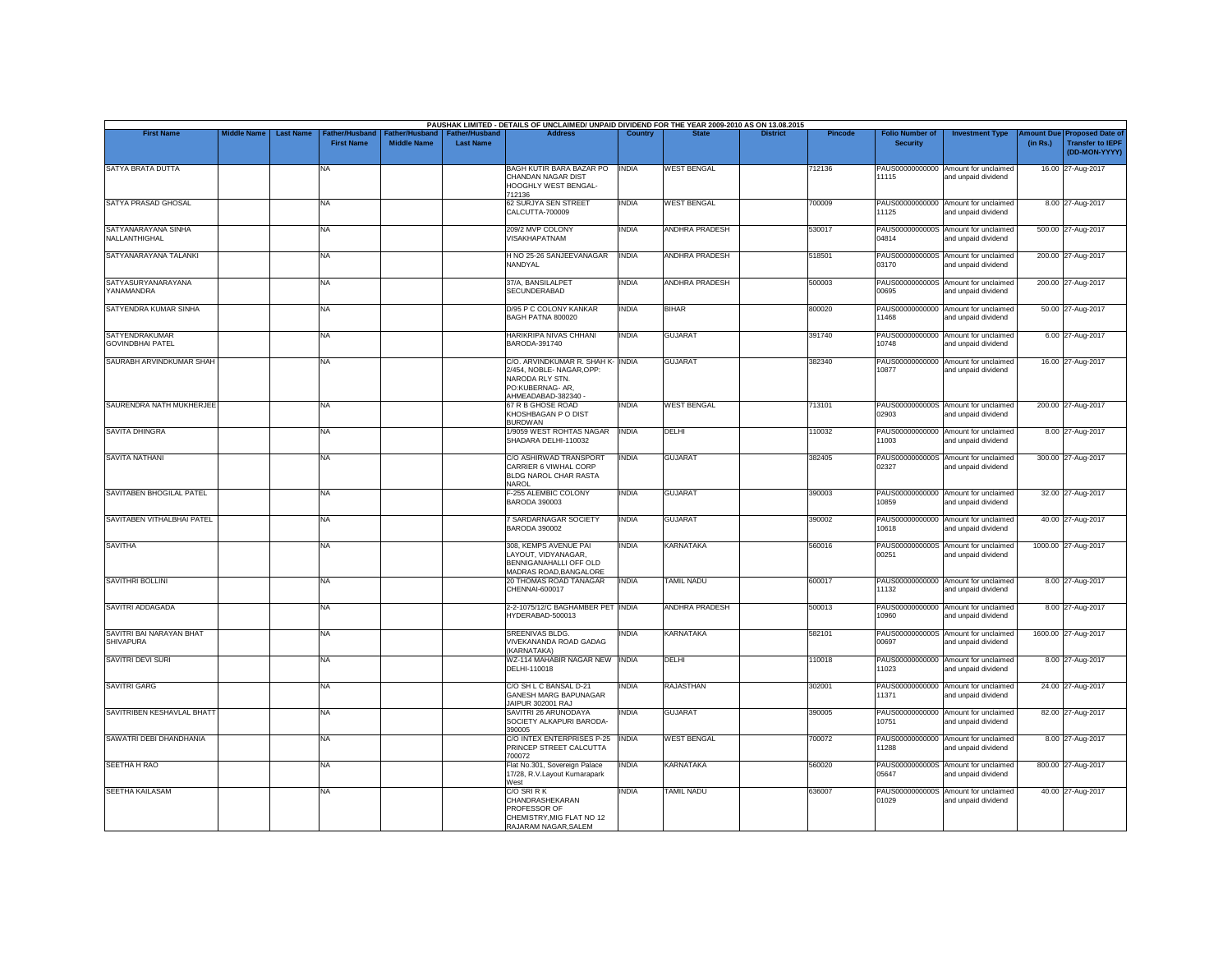| <b>First Name</b>                                | <b>Middle Name</b> | <b>Last Name</b> | Father/Husband    | ather/Hu:          | <b>Father/Hushand</b> | PAUSHAK LIMITED - DETAILS OF UNCLAIMED/ UNPAID DIVIDEND FOR THE YEAR 2009-2010 AS ON 13.08.2015<br><b>Address</b>           | Country      |                       | <b>District</b> | Pincode | <b>Folio Number of</b>   | <b>Investment Type</b>                                      | mount Due | <b>Proposed Date of</b>                  |
|--------------------------------------------------|--------------------|------------------|-------------------|--------------------|-----------------------|-----------------------------------------------------------------------------------------------------------------------------|--------------|-----------------------|-----------------|---------|--------------------------|-------------------------------------------------------------|-----------|------------------------------------------|
|                                                  |                    |                  | <b>First Name</b> | <b>Middle Name</b> | <b>Last Name</b>      |                                                                                                                             |              |                       |                 |         | <b>Security</b>          |                                                             | (in Rs.)  | <b>Transfer to IEPF</b><br>(DD-MON-YYYY) |
| SATYA BRATA DUTTA                                |                    |                  | NA                |                    |                       | BAGH KUTIR BARA BAZAR PO<br>CHANDAN NAGAR DIST<br>HOOGHLY WEST BENGAL-<br>712136                                            | <b>INDIA</b> | <b>WEST BENGAL</b>    |                 | 712136  | PAUS00000000000<br>11115 | Amount for unclaimed<br>and unpaid dividend                 |           | 16.00 27-Aug-2017                        |
| SATYA PRASAD GHOSAL                              |                    |                  | NA                |                    |                       | 62 SURJYA SEN STREET<br>CALCUTTA-700009                                                                                     | <b>INDIA</b> | <b>WEST BENGAL</b>    |                 | 700009  | PAUS00000000000<br>11125 | Amount for unclaimed<br>and unpaid dividend                 |           | 8.00 27-Aug-2017                         |
| SATYANARAYANA SINHA<br>NALLANTHIGHAL             |                    |                  | <b>NA</b>         |                    |                       | 209/2 MVP COLONY<br>VISAKHAPATNAM                                                                                           | <b>INDIA</b> | <b>ANDHRA PRADESH</b> |                 | 530017  | 04814                    | PAUS0000000000S Amount for unclaimed<br>and unpaid dividend |           | 500.00 27-Aug-2017                       |
| SATYANARAYANA TALANKI                            |                    |                  | NA                |                    |                       | H NO 25-26 SANJEEVANAGAR<br>NANDYAL                                                                                         | <b>INDIA</b> | <b>ANDHRA PRADESH</b> |                 | 518501  | PAUS0000000000S<br>03170 | Amount for unclaimed<br>and unpaid dividend                 |           | 200.00 27-Aug-2017                       |
| SATYASURYANARAYANA<br>YANAMANDRA                 |                    |                  | <b>NA</b>         |                    |                       | 37/A. BANSILALPET<br><b>SECUNDERABAD</b>                                                                                    | <b>INDIA</b> | ANDHRA PRADESH        |                 | 500003  | 00695                    | PAUS0000000000S Amount for unclaimed<br>and unpaid dividend |           | 200.00 27-Aug-2017                       |
| SATYENDRA KUMAR SINHA                            |                    |                  | NA                |                    |                       | D/95 P C COLONY KANKAR<br>BAGH PATNA 800020                                                                                 | <b>INDIA</b> | <b>BIHAR</b>          |                 | 800020  | PAUS00000000000<br>11468 | Amount for unclaimed<br>and unpaid dividend                 |           | 50.00 27-Aug-2017                        |
| <b>SATYENDRAKUMAR</b><br><b>GOVINDBHAI PATEL</b> |                    |                  | <b>NA</b>         |                    |                       | HARIKRIPA NIVAS CHHANI<br>BARODA-391740                                                                                     | <b>INDIA</b> | <b>GUJARAT</b>        |                 | 391740  | 10748                    | PAUS00000000000 Amount for unclaimed<br>and unpaid dividend |           | 6.00 27-Aug-2017                         |
| SAURABH ARVINDKUMAR SHAH                         |                    |                  | NA                |                    |                       | C/O. ARVINDKUMAR R. SHAH K- INDIA<br>2/454, NOBLE-NAGAR, OPP:<br>NARODA RLY STN.<br>PO:KUBERNAG- AR.<br>AHMEADABAD-382340 - |              | <b>GUJARAT</b>        |                 | 382340  | PAUS00000000000<br>10877 | Amount for unclaimed<br>and unpaid dividend                 |           | 16.00 27-Aug-2017                        |
| SAURENDRA NATH MUKHERJEE                         |                    |                  | NA                |                    |                       | 67 R B GHOSE ROAD<br>KHOSHBAGAN P O DIST<br><b>BURDWAN</b>                                                                  | <b>INDIA</b> | <b>WEST BENGAL</b>    |                 | 713101  | 02903                    | PAUS0000000000S Amount for unclaimed<br>and unpaid dividend |           | 200.00 27-Aug-2017                       |
| <b>SAVITA DHINGRA</b>                            |                    |                  | <b>NA</b>         |                    |                       | 1/9059 WEST ROHTAS NAGAR<br>SHADARA DELHI-110032                                                                            | <b>INDIA</b> | <b>DELHI</b>          |                 | 110032  | 11003                    | PAUS00000000000 Amount for unclaimed<br>and unpaid dividend |           | 8.00 27-Aug-2017                         |
| <b>SAVITA NATHANI</b>                            |                    |                  | NA                |                    |                       | C/O ASHIRWAD TRANSPORT<br>CARRIER 6 VIWHAL CORP<br>BLDG NAROL CHAR RASTA<br><b>NAROL</b>                                    | INDIA        | <b>GUJARAT</b>        |                 | 382405  | PAUS0000000000S<br>02327 | Amount for unclaimed<br>and unpaid dividend                 |           | 300.00 27-Aug-2017                       |
| SAVITABEN BHOGILAL PATEL                         |                    |                  | <b>NA</b>         |                    |                       | F-255 ALEMBIC COLONY<br>BARODA 390003                                                                                       | <b>INDIA</b> | <b>GUJARAT</b>        |                 | 390003  | PAUS00000000000<br>10859 | Amount for unclaimed<br>and unpaid dividend                 |           | 32.00 27-Aug-2017                        |
| SAVITABEN VITHALBHAI PATEL                       |                    |                  | NA                |                    |                       | <b>SARDARNAGAR SOCIETY</b><br><b>BARODA 390002</b>                                                                          | <b>INDIA</b> | GUJARAT               |                 | 390002  | PAUS00000000000<br>10618 | Amount for unclaimed<br>and unpaid dividend                 |           | 40.00 27-Aug-2017                        |
| <b>SAVITHA</b>                                   |                    |                  | NA                |                    |                       | 308, KEMPS AVENUE PAI<br>LAYOUT, VIDYANAGAR.<br>BENNIGANAHALLI OFF OLD<br>MADRAS ROAD, BANGALORE                            | <b>INDIA</b> | <b>KARNATAKA</b>      |                 | 560016  | 00251                    | PAUS0000000000S Amount for unclaimed<br>and unpaid dividend |           | 1000.00 27-Aug-2017                      |
| SAVITHRI BOLLINI                                 |                    |                  | NA                |                    |                       | 20 THOMAS ROAD TANAGAR<br>CHENNAI-600017                                                                                    | <b>INDIA</b> | <b>TAMIL NADU</b>     |                 | 600017  | PAUS00000000000<br>11132 | Amount for unclaimed<br>and unpaid dividend                 |           | 8.00 27-Aug-2017                         |
| SAVITRI ADDAGADA                                 |                    |                  | NA                |                    |                       | 2-2-1075/12/C BAGHAMBER PET INDIA<br>HYDERABAD-500013                                                                       |              | <b>ANDHRA PRADESH</b> |                 | 500013  | PAUS00000000000<br>10960 | Amount for unclaimed<br>and unpaid dividend                 |           | 8.00 27-Aug-2017                         |
| SAVITRI BAI NARAYAN BHAT<br><b>SHIVAPURA</b>     |                    |                  | <b>NA</b>         |                    |                       | SREENIVAS BLDG.<br>VIVEKANANDA ROAD GADAG<br>(KARNATAKA)                                                                    | <b>INDIA</b> | <b>KARNATAKA</b>      |                 | 582101  | 00697                    | PAUS0000000000S Amount for unclaimed<br>and unpaid dividend |           | 1600.00 27-Aug-2017                      |
| SAVITRI DEVI SURI                                |                    |                  | NA                |                    |                       | WZ-114 MAHABIR NAGAR NEW INDIA<br>DELHI-110018                                                                              |              | DELHI                 |                 | 110018  | PAUS00000000000<br>11023 | Amount for unclaimed<br>and unpaid dividend                 |           | 8.00 27-Aug-2017                         |
| <b>SAVITRI GARG</b>                              |                    |                  | <b>NA</b>         |                    |                       | C/O SH L C BANSAL D-21<br><b>GANESH MARG BAPUNAGAR</b><br>JAIPUR 302001 RAJ                                                 | <b>INDIA</b> | <b>RAJASTHAN</b>      |                 | 302001  | PAUS00000000000<br>11371 | Amount for unclaimed<br>and unpaid dividend                 |           | 24.00 27-Aug-2017                        |
| SAVITRIBEN KESHAVLAL BHATT                       |                    |                  | NA.               |                    |                       | SAVITRI 26 ARUNODAYA<br>SOCIETY ALKAPURI BARODA-<br>390005                                                                  | <b>INDIA</b> | <b>GUJARAT</b>        |                 | 390005  | PAUS00000000000<br>10751 | Amount for unclaimed<br>and unpaid dividend                 |           | 82.00 27-Aug-2017                        |
| SAWATRI DEBI DHANDHANIA                          |                    |                  | NA                |                    |                       | C/O INTEX ENTERPRISES P-25<br>PRINCEP STREET CALCUTTA<br>700072                                                             | <b>INDIA</b> | <b>WEST BENGAL</b>    |                 | 700072  | 11288                    | PAUS00000000000 Amount for unclaimed<br>and unpaid dividend |           | 8.00 27-Aug-2017                         |
| <b>SEETHA H RAO</b>                              |                    |                  | NA                |                    |                       | Flat No.301, Sovereign Palace<br>17/28, R.V.Layout Kumarapark<br>West                                                       | <b>INDIA</b> | <b>KARNATAKA</b>      |                 | 560020  | 05647                    | PAUS0000000000S Amount for unclaimed<br>and unpaid dividend |           | 800.00 27-Aug-2017                       |
| <b>SEETHA KAILASAM</b>                           |                    |                  | <b>NA</b>         |                    |                       | C/O SRI R K<br>CHANDRASHEKARAN<br>PROFESSOR OF<br>CHEMISTRY.MIG FLAT NO 12<br>RAJARAM NAGAR, SALEM                          | <b>INDIA</b> | <b>TAMIL NADU</b>     |                 | 636007  | 01029                    | PAUS0000000000S Amount for unclaimed<br>and unpaid dividend |           | 40.00 27-Aug-2017                        |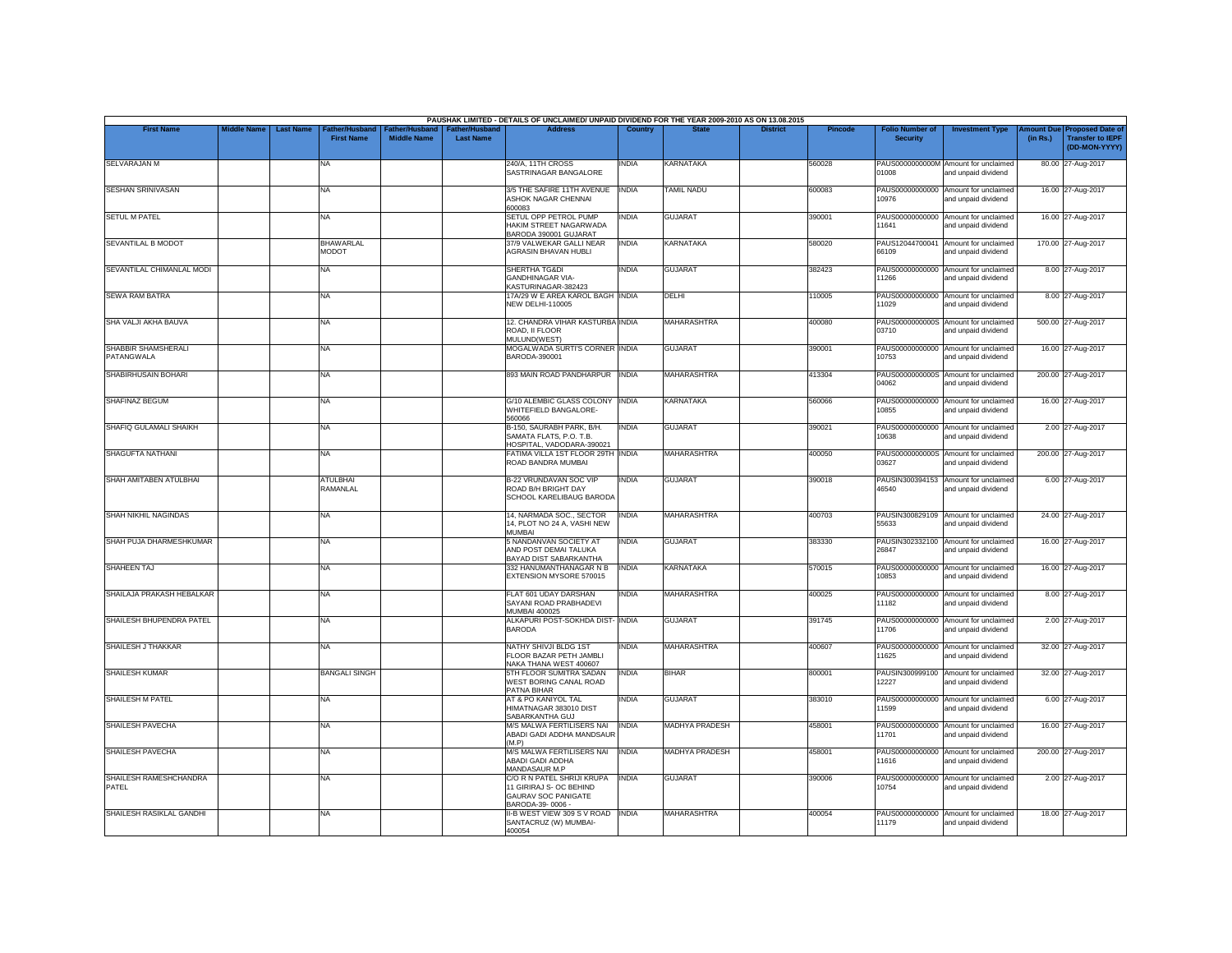|                                   |                    |                                                        |                                      |                                           | PAUSHAK LIMITED - DETAILS OF UNCLAIMED/ UNPAID DIVIDEND FOR THE YEAR 2009-2010 AS ON 13.08.2015  |              |                       |                 |         |                                           |                                                             |                       |                                                                     |
|-----------------------------------|--------------------|--------------------------------------------------------|--------------------------------------|-------------------------------------------|--------------------------------------------------------------------------------------------------|--------------|-----------------------|-----------------|---------|-------------------------------------------|-------------------------------------------------------------|-----------------------|---------------------------------------------------------------------|
| <b>First Name</b>                 | <b>Middle Name</b> | <b>Last Name</b><br>ather/Husband<br><b>First Name</b> | Father/Husband<br><b>Middle Name</b> | <b>Father/Husband</b><br><b>Last Name</b> | <b>Address</b>                                                                                   | Country      | <b>State</b>          | <b>District</b> | Pincode | <b>Folio Number of</b><br><b>Security</b> | <b>Investment Type</b>                                      | mount Due<br>(in Rs.) | <b>Proposed Date of</b><br><b>Transfer to IEPF</b><br>(DD-MON-YYYY) |
| <b>SELVARAJAN M</b>               |                    | NA                                                     |                                      |                                           | 240/A. 11TH CROSS<br>SASTRINAGAR BANGALORE                                                       | <b>INDIA</b> | <b>KARNATAKA</b>      |                 | 560028  | 01008                                     | PAUS0000000000M Amount for unclaimed<br>and unpaid dividend |                       | 80.00 27-Aug-2017                                                   |
| <b>SESHAN SRINIVASAN</b>          |                    | <b>NA</b>                                              |                                      |                                           | 3/5 THE SAFIRE 11TH AVENUE<br>ASHOK NAGAR CHENNAI<br>600083                                      | <b>INDIA</b> | <b>TAMIL NADU</b>     |                 | 600083  | 10976                                     | PAUS00000000000 Amount for unclaimed<br>and unpaid dividend |                       | 16.00 27-Aug-2017                                                   |
| <b>SETUL M PATEL</b>              |                    | <b>NA</b>                                              |                                      |                                           | SETUL OPP PETROL PUMP<br>HAKIM STREET NAGARWADA<br>BARODA 390001 GUJARAT                         | INDIA        | <b>GUJARAT</b>        |                 | 390001  | 11641                                     | PAUS00000000000 Amount for unclaimed<br>and unpaid dividend |                       | 16.00 27-Aug-2017                                                   |
| SEVANTILAL B MODOT                |                    | <b>BHAWARLAL</b><br>MODOT                              |                                      |                                           | 37/9 VALWEKAR GALLI NEAR<br><b>AGRASIN BHAVAN HUBLI</b>                                          | <b>INDIA</b> | <b>KARNATAKA</b>      |                 | 580020  | 66109                                     | PAUS12044700041 Amount for unclaimed<br>and unpaid dividend |                       | 170.00 27-Aug-2017                                                  |
| SEVANTILAL CHIMANLAL MODI         |                    | NA                                                     |                                      |                                           | SHERTHA TG&DI<br><b>GANDHINAGAR VIA-</b><br>KASTURINAGAR-382423                                  | <b>INDIA</b> | <b>GUJARAT</b>        |                 | 382423  | 11266                                     | PAUS00000000000 Amount for unclaimed<br>and unpaid dividend |                       | 8.00 27-Aug-2017                                                    |
| <b>SEWA RAM BATRA</b>             |                    | <b>NA</b>                                              |                                      |                                           | 17A/29 W E AREA KAROL BAGH INDIA<br><b>NEW DELHI-110005</b>                                      |              | DELHI                 |                 | 110005  | PAUS00000000000<br>11029                  | Amount for unclaimed<br>and unpaid dividend                 |                       | 8.00 27-Aug-2017                                                    |
| SHA VALJI AKHA BAUVA              |                    | <b>NA</b>                                              |                                      |                                           | 12. CHANDRA VIHAR KASTURBA INDIA<br>ROAD. II FLOOR<br>MULUND(WEST)                               |              | <b>MAHARASHTRA</b>    |                 | 400080  | 03710                                     | PAUS0000000000S Amount for unclaimed<br>and unpaid dividend |                       | 500.00 27-Aug-2017                                                  |
| SHABBIR SHAMSHERALI<br>PATANGWALA |                    | <b>NA</b>                                              |                                      |                                           | MOGALWADA SURTI'S CORNER INDIA<br>BARODA-390001                                                  |              | <b>GUJARAT</b>        |                 | 390001  | 10753                                     | PAUS00000000000 Amount for unclaimed<br>and unpaid dividend |                       | 16.00 27-Aug-2017                                                   |
| SHABIRHUSAIN BOHARI               |                    | <b>NA</b>                                              |                                      |                                           | 893 MAIN ROAD PANDHARPUR  INDIA                                                                  |              | <b>MAHARASHTRA</b>    |                 | 413304  | 04062                                     | PAUS0000000000S Amount for unclaimed<br>and unpaid dividend |                       | 200.00 27-Aug-2017                                                  |
| <b>SHAFINAZ BEGUM</b>             |                    | <b>NA</b>                                              |                                      |                                           | G/10 ALEMBIC GLASS COLONY INDIA<br>WHITEFIELD BANGALORE-<br>560066                               |              | <b>KARNATAKA</b>      |                 | 560066  | PAUS00000000000<br>10855                  | Amount for unclaimed<br>and unpaid dividend                 |                       | 16.00 27-Aug-2017                                                   |
| SHAFIQ GULAMALI SHAIKH            |                    | <b>NA</b>                                              |                                      |                                           | B-150, SAURABH PARK, B/H.<br>SAMATA FLATS, P.O. T.B.<br>HOSPITAL, VADODARA-390021                | <b>INDIA</b> | <b>GUJARAT</b>        |                 | 390021  | 10638                                     | PAUS00000000000 Amount for unclaimed<br>and unpaid dividend |                       | 2.00 27-Aug-2017                                                    |
| <b>SHAGUFTA NATHANI</b>           |                    | <b>NA</b>                                              |                                      |                                           | FATIMA VILLA 1ST FLOOR 29TH INDIA<br>ROAD BANDRA MUMBAI                                          |              | <b>MAHARASHTRA</b>    |                 | 400050  | PAUS0000000000S<br>03627                  | Amount for unclaimed<br>and unpaid dividend                 |                       | 200.00 27-Aug-2017                                                  |
| SHAH AMITABEN ATULBHAI            |                    | <b>ATULBHAI</b><br>RAMANLAL                            |                                      |                                           | <b>B-22 VRUNDAVAN SOC VIP</b><br>ROAD B/H BRIGHT DAY<br>SCHOOL KARELIBAUG BARODA                 | <b>INDIA</b> | <b>GUJARAT</b>        |                 | 390018  | PAUSIN300394153<br>46540                  | Amount for unclaimed<br>and unpaid dividend                 |                       | 6.00 27-Aug-2017                                                    |
| SHAH NIKHIL NAGINDAS              |                    | <b>NA</b>                                              |                                      |                                           | 14, NARMADA SOC., SECTOR<br>14, PLOT NO 24 A, VASHI NEW<br><b>MUMBAI</b>                         | <b>INDIA</b> | <b>MAHARASHTRA</b>    |                 | 400703  | 55633                                     | PAUSIN300829109 Amount for unclaimed<br>and unpaid dividend |                       | 24.00 27-Aug-2017                                                   |
| SHAH PUJA DHARMESHKUMAR           |                    | <b>NA</b>                                              |                                      |                                           | 5 NANDANVAN SOCIETY AT<br>AND POST DEMAI TALUKA<br>BAYAD DIST SABARKANTHA                        | <b>INDIA</b> | <b>GUJARAT</b>        |                 | 383330  | 26847                                     | PAUSIN302332100 Amount for unclaimed<br>and unpaid dividend |                       | 16.00 27-Aug-2017                                                   |
| SHAHEEN TAJ                       |                    | <b>NA</b>                                              |                                      |                                           | 332 HANUMANTHANAGAR N B<br>EXTENSION MYSORE 570015                                               | <b>INDIA</b> | <b>KARNATAKA</b>      |                 | 570015  | 10853                                     | PAUS00000000000 Amount for unclaimed<br>and unpaid dividend |                       | 16.00 27-Aug-2017                                                   |
| SHAILAJA PRAKASH HEBALKAR         |                    | <b>NA</b>                                              |                                      |                                           | FLAT 601 UDAY DARSHAN<br>SAYANI ROAD PRABHADEVI<br>MUMBAI 400025                                 | <b>INDIA</b> | MAHARASHTRA           |                 | 400025  | 11182                                     | PAUS00000000000 Amount for unclaimed<br>and unpaid dividend |                       | 8.00 27-Aug-2017                                                    |
| SHAILESH BHUPENDRA PATEL          |                    | <b>NA</b>                                              |                                      |                                           | ALKAPURI POST-SOKHDA DIST- INDIA<br><b>BARODA</b>                                                |              | <b>GUJARAT</b>        |                 | 391745  | 11706                                     | PAUS00000000000 Amount for unclaimed<br>and unpaid dividend |                       | 2.00 27-Aug-2017                                                    |
| SHAILESH J THAKKAR                |                    | <b>NA</b>                                              |                                      |                                           | NATHY SHIVJI BLDG 1ST<br>FLOOR BAZAR PETH JAMBLI<br>NAKA THANA WEST 400607                       | INDIA        | <b>MAHARASHTRA</b>    |                 | 400607  | PAUS00000000000<br>11625                  | Amount for unclaimed<br>and unpaid dividend                 |                       | 32.00 27-Aug-2017                                                   |
| <b>SHAILESH KUMAR</b>             |                    | <b>BANGALI SINGH</b>                                   |                                      |                                           | 5TH FLOOR SUMITRA SADAN<br>WEST BORING CANAL ROAD<br>PATNA BIHAR                                 | <b>INDIA</b> | <b>BIHAR</b>          |                 | 800001  | 12227                                     | PAUSIN300999100 Amount for unclaimed<br>and unpaid dividend |                       | 32.00 27-Aug-2017                                                   |
| <b>SHAILESH M PATEL</b>           |                    | <b>NA</b>                                              |                                      |                                           | AT & PO KANIYOL TAL<br>HIMATNAGAR 383010 DIST<br>SABARKANTHA GUJ                                 | <b>INDIA</b> | <b>GUJARAT</b>        |                 | 383010  | PAUS00000000000<br>11599                  | Amount for unclaimed<br>and unpaid dividend                 |                       | 6.00 27-Aug-2017                                                    |
| SHAILESH PAVECHA                  |                    | <b>NA</b>                                              |                                      |                                           | <b>M/S MALWA FERTILISERS NAI</b><br>ABADI GADI ADDHA MANDSAUR<br>(M.P)                           | <b>INDIA</b> | <b>MADHYA PRADESH</b> |                 | 458001  | 11701                                     | PAUS00000000000 Amount for unclaimed<br>and unpaid dividend |                       | 16.00 27-Aug-2017                                                   |
| SHAILESH PAVECHA                  |                    | <b>NA</b>                                              |                                      |                                           | <b>M/S MALWA FERTILISERS NAI</b><br>ABADI GADI ADDHA<br>MANDASAUR M.P                            | <b>INDIA</b> | <b>MADHYA PRADESH</b> |                 | 458001  | PAUS00000000000<br>11616                  | Amount for unclaimed<br>and unpaid dividend                 |                       | 200.00 27-Aug-2017                                                  |
| SHAILESH RAMESHCHANDRA<br>PATEL   |                    | <b>NA</b>                                              |                                      |                                           | C/O R N PATEL SHRIJI KRUPA<br>11 GIRIRAJ S- OC BEHIND<br>GAURAV SOC PANIGATE<br>BARODA-39-0006 - | <b>INDIA</b> | <b>GUJARAT</b>        |                 | 390006  | 10754                                     | PAUS00000000000 Amount for unclaimed<br>and unpaid dividend |                       | 2.00 27-Aug-2017                                                    |
| SHAILESH RASIKLAL GANDHI          |                    | <b>NA</b>                                              |                                      |                                           | II-B WEST VIEW 309 S V ROAD INDIA<br>SANTACRUZ (W) MUMBAI-<br>400054                             |              | <b>MAHARASHTRA</b>    |                 | 400054  | 11179                                     | PAUS00000000000 Amount for unclaimed<br>and unpaid dividend |                       | 18.00 27-Aug-2017                                                   |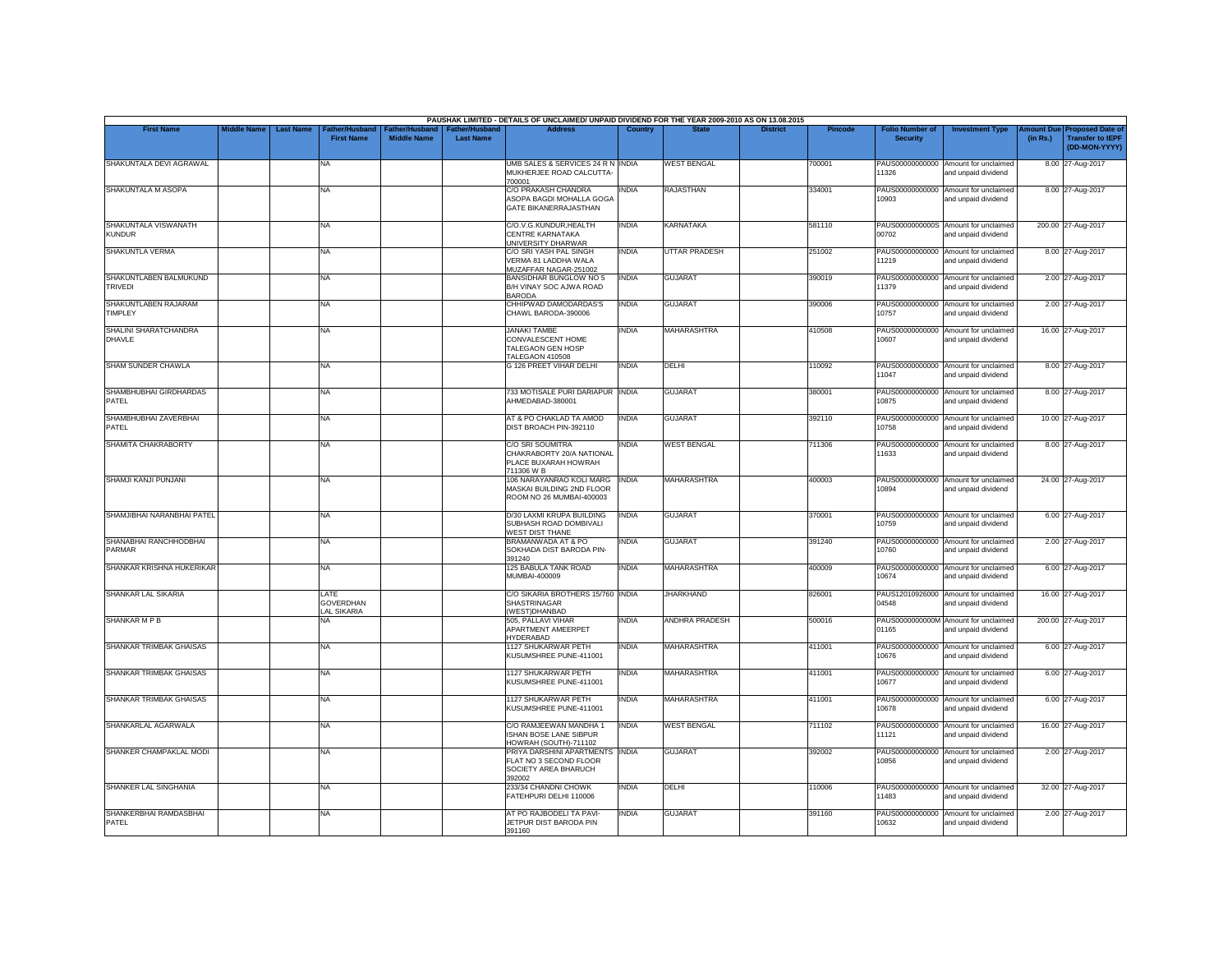|                                          |                    |                  |                                                |                                             |                                           | PAUSHAK LIMITED - DETAILS OF UNCLAIMED/ UNPAID DIVIDEND FOR THE YEAR 2009-2010 AS ON 13.08.2015 |                |                       |                 |         |                                           |                                                             |                                |                                                                     |
|------------------------------------------|--------------------|------------------|------------------------------------------------|---------------------------------------------|-------------------------------------------|-------------------------------------------------------------------------------------------------|----------------|-----------------------|-----------------|---------|-------------------------------------------|-------------------------------------------------------------|--------------------------------|---------------------------------------------------------------------|
| <b>First Name</b>                        | <b>Middle Name</b> | <b>Last Name</b> | Father/Husband<br><b>First Name</b>            | <b>Father/Husband</b><br><b>Middle Name</b> | <b>Father/Husband</b><br><b>Last Name</b> | <b>Address</b>                                                                                  | <b>Country</b> | <b>State</b>          | <b>District</b> | Pincode | <b>Folio Number of</b><br><b>Security</b> | <b>Investment Type</b>                                      | <b>Amount Duel</b><br>(in Rs.) | <b>Proposed Date of</b><br><b>Transfer to IEPF</b><br>(DD-MON-YYYY) |
| SHAKUNTALA DEVI AGRAWAL                  |                    |                  | <b>NA</b>                                      |                                             |                                           | UMB SALES & SERVICES 24 R N INDIA<br>MUKHERJEE ROAD CALCUTTA-<br>700001                         |                | <b>WEST BENGAL</b>    |                 | 700001  | 11326                                     | PAUS00000000000 Amount for unclaimed<br>and unpaid dividend |                                | 8.00 27-Aug-2017                                                    |
| SHAKUNTALA M ASOPA                       |                    |                  | <b>NA</b>                                      |                                             |                                           | C/O PRAKASH CHANDRA<br>ASOPA BAGDI MOHALLA GOGA<br>GATE BIKANERRAJASTHAN                        | <b>INDIA</b>   | <b>RAJASTHAN</b>      |                 | 334001  | 10903                                     | PAUS00000000000 Amount for unclaimed<br>and unpaid dividend |                                | 8.00 27-Aug-2017                                                    |
| SHAKUNTALA VISWANATH<br><b>KUNDUR</b>    |                    |                  | NA                                             |                                             |                                           | C/O.V.G.KUNDUR, HEALTH<br>CENTRE KARNATAKA<br>UNIVERSITY DHARWAR                                | INDIA          | <b>KARNATAKA</b>      |                 | 581110  | 00702                                     | PAUS0000000000S Amount for unclaimed<br>and unpaid dividend |                                | 200.00 27-Aug-2017                                                  |
| SHAKUNTLA VERMA                          |                    |                  | <b>NA</b>                                      |                                             |                                           | C/O SRI YASH PAL SINGH<br>VERMA 81 LADDHA WALA<br>MUZAFFAR NAGAR-251002                         | INDIA          | <b>UTTAR PRADESH</b>  |                 | 251002  | 11219                                     | PAUS00000000000 Amount for unclaimed<br>and unpaid dividend |                                | 8.00 27-Aug-2017                                                    |
| SHAKUNTLABEN BALMUKUND<br><b>TRIVEDI</b> |                    |                  | <b>NA</b>                                      |                                             |                                           | <b>BANSIDHAR BUNGLOW NO 5</b><br>B/H VINAY SOC AJWA ROAD<br><b>BARODA</b>                       | <b>INDIA</b>   | <b>GUJARAT</b>        |                 | 390019  | 11379                                     | PAUS00000000000 Amount for unclaimed<br>and unpaid dividend |                                | 2.00 27-Aug-2017                                                    |
| SHAKUNTLABEN RAJARAM<br>TIMPLEY          |                    |                  | <b>NA</b>                                      |                                             |                                           | CHHIPWAD DAMODARDAS'S<br>CHAWL BARODA-390006                                                    | <b>INDIA</b>   | <b>GUJARAT</b>        |                 | 390006  | 10757                                     | PAUS00000000000 Amount for unclaimed<br>and unpaid dividend |                                | 2.00 27-Aug-2017                                                    |
| SHALINI SHARATCHANDRA<br>DHAVLE          |                    |                  | <b>NA</b>                                      |                                             |                                           | <b>JANAKI TAMBE</b><br>CONVALESCENT HOME<br>TALEGAON GEN HOSP<br>TALEGAON 410508                | <b>INDIA</b>   | <b>MAHARASHTRA</b>    |                 | 410508  | 10607                                     | PAUS00000000000 Amount for unclaimed<br>and unpaid dividend |                                | 16.00 27-Aug-2017                                                   |
| SHAM SUNDER CHAWLA                       |                    |                  | <b>NA</b>                                      |                                             |                                           | G 126 PREET VIHAR DELHI                                                                         | <b>INDIA</b>   | DELHI                 |                 | 110092  | 11047                                     | PAUS00000000000 Amount for unclaimed<br>and unpaid dividend |                                | 8.00 27-Aug-2017                                                    |
| SHAMBHUBHAI GIRDHARDAS<br>PATEL          |                    |                  | <b>NA</b>                                      |                                             |                                           | 733 MOTISALE PURI DARIAPUR INDIA<br>AHMEDABAD-380001                                            |                | <b>GUJARAT</b>        |                 | 380001  | 10875                                     | PAUS00000000000 Amount for unclaimed<br>and unpaid dividend |                                | 8.00 27-Aug-2017                                                    |
| SHAMBHUBHAI ZAVERBHAI<br>PATEL           |                    |                  | <b>NA</b>                                      |                                             |                                           | AT & PO CHAKLAD TA AMOD<br>DIST BROACH PIN-392110                                               | <b>INDIA</b>   | <b>GUJARAT</b>        |                 | 392110  | PAUS00000000000<br>10758                  | Amount for unclaimed<br>and unpaid dividend                 |                                | 10.00 27-Aug-2017                                                   |
| SHAMITA CHAKRABORTY                      |                    |                  | <b>NA</b>                                      |                                             |                                           | <b>C/O SRI SOUMITRA</b><br>CHAKRABORTY 20/A NATIONAL<br>PLACE BUXARAH HOWRAH<br>711306 W B      | <b>INDIA</b>   | <b>WEST BENGAL</b>    |                 | 711306  | PAUS00000000000<br>11633                  | Amount for unclaimed<br>and unpaid dividend                 |                                | 8.00 27-Aug-2017                                                    |
| SHAMJI KANJI PUNJANI                     |                    |                  | <b>NA</b>                                      |                                             |                                           | 106 NARAYANRAO KOLI MARG<br>MASKAI BUILDING 2ND FLOOR<br>ROOM NO 26 MUMBAI-400003               | <b>INDIA</b>   | <b>MAHARASHTRA</b>    |                 | 400003  | 10894                                     | PAUS00000000000 Amount for unclaimed<br>and unpaid dividend |                                | 24.00 27-Aug-2017                                                   |
| SHAMJIBHAI NARANBHAI PATEL               |                    |                  | <b>NA</b>                                      |                                             |                                           | D/30 LAXMI KRUPA BUILDING<br>SUBHASH ROAD DOMBIVALI<br><b>WEST DIST THANE</b>                   | <b>INDIA</b>   | <b>GUJARAT</b>        |                 | 370001  | PAUS00000000000<br>10759                  | Amount for unclaimed<br>and unpaid dividend                 |                                | 6.00 27-Aug-2017                                                    |
| SHANABHAI RANCHHODBHAI<br>PARMAR         |                    |                  | <b>NA</b>                                      |                                             |                                           | BRAMANWADA AT & PO<br>SOKHADA DIST BARODA PIN-<br>391240                                        | INDIA          | <b>GUJARAT</b>        |                 | 391240  | 10760                                     | PAUS00000000000 Amount for unclaimed<br>and unpaid dividend |                                | 2.00 27-Aug-2017                                                    |
| SHANKAR KRISHNA HUKERIKAR                |                    |                  | <b>NA</b>                                      |                                             |                                           | <b>125 BABULA TANK ROAD</b><br>MUMBAI-400009                                                    | <b>INDIA</b>   | <b>MAHARASHTRA</b>    |                 | 400009  | PAUS00000000000<br>10674                  | Amount for unclaimed<br>and unpaid dividend                 |                                | 6.00 27-Aug-2017                                                    |
| SHANKAR LAL SIKARIA                      |                    |                  | LATE<br><b>GOVERDHAN</b><br><b>LAL SIKARIA</b> |                                             |                                           | C/O SIKARIA BROTHERS 15/760 INDIA<br>SHASTRINAGAR<br><b>WEST)DHANBAD</b>                        |                | <b>JHARKHAND</b>      |                 | 826001  | 04548                                     | PAUS12010926000 Amount for unclaimed<br>and unpaid dividend |                                | 16.00 27-Aug-2017                                                   |
| SHANKAR M P B                            |                    |                  | <b>NA</b>                                      |                                             |                                           | 505, PALLAVI VIHAR<br>APARTMENT AMEERPET<br><b>HYDERABAD</b>                                    | INDIA          | <b>ANDHRA PRADESH</b> |                 | 500016  | PAUS0000000000M<br>01165                  | Amount for unclaimed<br>and unpaid dividend                 |                                | 200.00 27-Aug-2017                                                  |
| SHANKAR TRIMBAK GHAISAS                  |                    |                  | NA                                             |                                             |                                           | 1127 SHUKARWAR PETH<br>KUSUMSHREE PUNE-411001                                                   | INDIA          | <b>MAHARASHTRA</b>    |                 | 411001  | 10676                                     | PAUS00000000000 Amount for unclaimed<br>and unpaid dividend |                                | 6.00 27-Aug-2017                                                    |
| SHANKAR TRIMBAK GHAISAS                  |                    |                  | <b>NA</b>                                      |                                             |                                           | 1127 SHUKARWAR PETH<br>KUSUMSHREE PUNE-411001                                                   | INDIA          | <b>MAHARASHTRA</b>    |                 | 411001  | PAUS00000000000<br>10677                  | Amount for unclaimed<br>and unpaid dividend                 |                                | 6.00 27-Aug-2017                                                    |
| <b>SHANKAR TRIMBAK GHAISAS</b>           |                    |                  | <b>NA</b>                                      |                                             |                                           | <b>1127 SHUKARWAR PETH</b><br>KUSUMSHREE PUNE-411001                                            | <b>INDIA</b>   | <b>MAHARASHTRA</b>    |                 | 411001  | 10678                                     | PAUS00000000000 Amount for unclaimed<br>and unpaid dividend |                                | 6.00 27-Aug-2017                                                    |
| SHANKARLAL AGARWALA                      |                    |                  | <b>NA</b>                                      |                                             |                                           | C/O RAMJEEWAN MANDHA 1<br>ISHAN BOSE LANE SIBPUR<br>HOWRAH (SOUTH)-711102                       | <b>INDIA</b>   | <b>WEST BENGAL</b>    |                 | 711102  | 11121                                     | PAUS00000000000 Amount for unclaimed<br>and unpaid dividend |                                | 16.00 27-Aug-2017                                                   |
| SHANKER CHAMPAKLAL MODI                  |                    |                  | <b>NA</b>                                      |                                             |                                           | PRIYA DARSHINI APARTMENTS INDIA<br>FLAT NO 3 SECOND FLOOR<br>SOCIETY AREA BHARUCH<br>392002     |                | <b>GUJARAT</b>        |                 | 392002  | PAUS00000000000<br>10856                  | Amount for unclaimed<br>and unpaid dividend                 |                                | 2.00 27-Aug-2017                                                    |
| SHANKER LAL SINGHANIA                    |                    |                  | <b>NA</b>                                      |                                             |                                           | 233/34 CHANDNI CHOWK<br>FATEHPURI DELHI 110006                                                  | <b>INDIA</b>   | DELHI                 |                 | 110006  | 11483                                     | PAUS00000000000 Amount for unclaimed<br>and unpaid dividend |                                | 32.00 27-Aug-2017                                                   |
| SHANKERBHAI RAMDASBHAI<br>PATEL          |                    |                  | <b>NA</b>                                      |                                             |                                           | AT PO RAJBODELI TA PAVI-<br>JETPUR DIST BARODA PIN<br>391160                                    | <b>INDIA</b>   | <b>GUJARAT</b>        |                 | 391160  | PAUS00000000000<br>0632                   | Amount for unclaimed<br>and unpaid dividend                 |                                | 2.00 27-Aug-2017                                                    |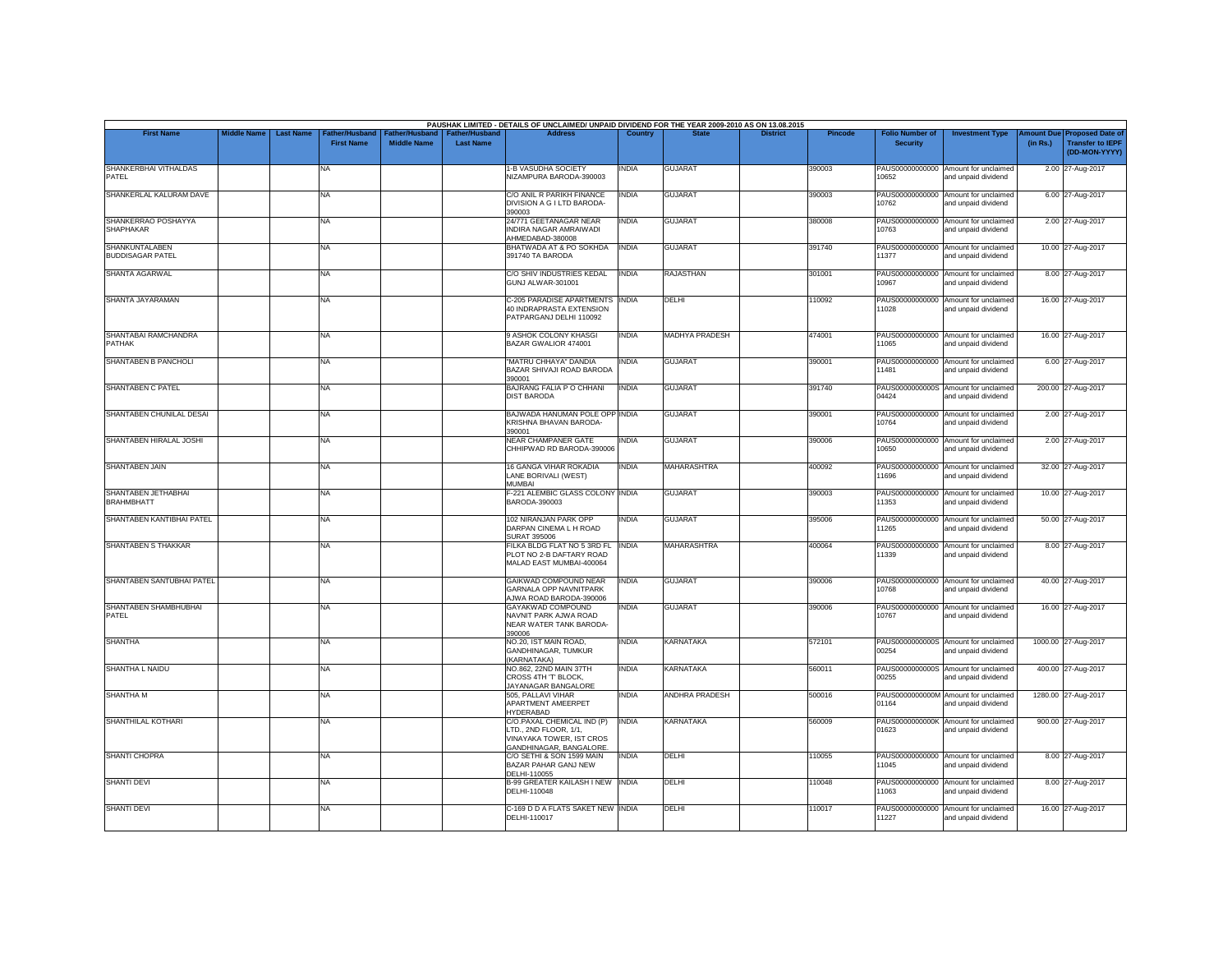| <b>First Name</b>                         | <b>Middle Name</b> | <b>Last Name</b> | Father/Husband    | Father/Husband     | <b>Father/Husband</b> | PAUSHAK LIMITED - DETAILS OF UNCLAIMED/ UNPAID DIVIDEND FOR THE YEAR 2009-2010 AS ON 13.08.2015<br><b>Address</b> | Country      |                       | <b>District</b> | <b>Pincode</b> | <b>Folio Number of</b>   | <b>Investment Type</b>                                      | <b>Imount Due</b> | <b>Proposed Date of</b>                  |
|-------------------------------------------|--------------------|------------------|-------------------|--------------------|-----------------------|-------------------------------------------------------------------------------------------------------------------|--------------|-----------------------|-----------------|----------------|--------------------------|-------------------------------------------------------------|-------------------|------------------------------------------|
|                                           |                    |                  | <b>First Name</b> | <b>Middle Name</b> | <b>Last Name</b>      |                                                                                                                   |              |                       |                 |                | <b>Security</b>          |                                                             | (in Rs.)          | <b>Transfer to IEPF</b><br>(DD-MON-YYYY) |
| SHANKERBHAI VITHALDAS<br>PATEL            |                    |                  | NA                |                    |                       | <b>1-B VASUDHA SOCIETY</b><br>NIZAMPURA BARODA-390003                                                             | <b>INDIA</b> | <b>GUJARAT</b>        |                 | 390003         | 10652                    | PAUS00000000000 Amount for unclaimed<br>and unpaid dividend |                   | 2.00 27-Aug-2017                         |
| SHANKERLAL KALURAM DAVE                   |                    |                  | NA                |                    |                       | C/O ANIL R PARIKH FINANCE<br>DIVISION A G I LTD BARODA-<br>390003                                                 | <b>INDIA</b> | <b>GUJARAT</b>        |                 | 390003         | 10762                    | PAUS00000000000 Amount for unclaimed<br>and unpaid dividend |                   | 6.00 27-Aug-2017                         |
| SHANKERRAO POSHAYYA<br><b>SHAPHAKAR</b>   |                    |                  | NA                |                    |                       | 24/771 GEETANAGAR NEAR<br>INDIRA NAGAR AMRAIWADI<br>AHMEDABAD-380008                                              | <b>INDIA</b> | <b>GUJARAT</b>        |                 | 380008         | 10763                    | PAUS00000000000 Amount for unclaimed<br>and unpaid dividend |                   | 2.00 27-Aug-2017                         |
| SHANKUNTALABEN<br><b>BUDDISAGAR PATEL</b> |                    |                  | NA                |                    |                       | BHATWADA AT & PO SOKHDA<br>391740 TA BARODA                                                                       | <b>INDIA</b> | <b>GUJARAT</b>        |                 | 391740         | 11377                    | PAUS00000000000 Amount for unclaimed<br>and unpaid dividend |                   | 10.00 27-Aug-2017                        |
| SHANTA AGARWAL                            |                    |                  | NA                |                    |                       | C/O SHIV INDUSTRIES KEDAL<br>GUNJ ALWAR-301001                                                                    | <b>INDIA</b> | <b>RAJASTHAN</b>      |                 | 301001         | 10967                    | PAUS00000000000 Amount for unclaimed<br>and unpaid dividend |                   | 8.00 27-Aug-2017                         |
| SHANTA JAYARAMAN                          |                    |                  | NA                |                    |                       | C-205 PARADISE APARTMENTS INDIA<br>40 INDRAPRASTA EXTENSION<br>PATPARGANJ DELHI 110092                            |              | DELHI                 |                 | 10092          | 11028                    | PAUS00000000000 Amount for unclaimed<br>and unpaid dividend |                   | 16.00 27-Aug-2017                        |
| SHANTABAI RAMCHANDRA<br>PATHAK            |                    |                  | NA                |                    |                       | 9 ASHOK COLONY KHASGI<br>BAZAR GWALIOR 474001                                                                     | <b>INDIA</b> | <b>MADHYA PRADESH</b> |                 | 474001         | 11065                    | PAUS00000000000 Amount for unclaimed<br>and unpaid dividend |                   | 16.00 27-Aug-2017                        |
| SHANTABEN B PANCHOLI                      |                    |                  | <b>NA</b>         |                    |                       | "MATRU CHHAYA" DANDIA<br>BAZAR SHIVAJI ROAD BARODA<br>390001                                                      | <b>INDIA</b> | <b>GUJARAT</b>        |                 | 390001         | 11481                    | PAUS00000000000 Amount for unclaimed<br>and unpaid dividend |                   | 6.00 27-Aug-2017                         |
| <b>SHANTABEN C PATEL</b>                  |                    |                  | NA                |                    |                       | BAJRANG FALIA P O CHHANI<br><b>DIST BARODA</b>                                                                    | <b>INDIA</b> | <b>GUJARAT</b>        |                 | 391740         | 04424                    | PAUS0000000000S Amount for unclaimed<br>and unpaid dividend |                   | 200.00 27-Aug-2017                       |
| SHANTABEN CHUNILAL DESAI                  |                    |                  | NA                |                    |                       | BAJWADA HANUMAN POLE OPP INDIA<br>KRISHNA BHAVAN BARODA-<br>390001                                                |              | <b>GUJARAT</b>        |                 | 390001         | 10764                    | PAUS00000000000 Amount for unclaimed<br>and unpaid dividend |                   | 2.00 27-Aug-2017                         |
| SHANTABEN HIRALAL JOSHI                   |                    |                  | NA                |                    |                       | <b>NEAR CHAMPANER GATE</b><br>CHHIPWAD RD BARODA-390006                                                           | <b>INDIA</b> | <b>GUJARAT</b>        |                 | 390006         | 10650                    | PAUS00000000000 Amount for unclaimed<br>and unpaid dividend |                   | 2.00 27-Aug-2017                         |
| SHANTABEN JAIN                            |                    |                  | NA                |                    |                       | 16 GANGA VIHAR ROKADIA<br>LANE BORIVALI (WEST)<br><b>MUMBAI</b>                                                   | <b>INDIA</b> | <b>MAHARASHTRA</b>    |                 | 400092         | 11696                    | PAUS00000000000 Amount for unclaimed<br>and unpaid dividend |                   | 32.00 27-Aug-2017                        |
| SHANTABEN JETHABHAI<br><b>BRAHMBHATT</b>  |                    |                  | NA                |                    |                       | F-221 ALEMBIC GLASS COLONY INDIA<br>BARODA-390003                                                                 |              | <b>GUJARAT</b>        |                 | 390003         | 11353                    | PAUS00000000000 Amount for unclaimed<br>and unpaid dividend |                   | 10.00 27-Aug-2017                        |
| SHANTABEN KANTIBHAI PATEL                 |                    |                  | NA                |                    |                       | 102 NIRANJAN PARK OPP<br>DARPAN CINEMA L H ROAD<br><b>SURAT 395006</b>                                            | <b>INDIA</b> | <b>GUJARAT</b>        |                 | 395006         | 11265                    | PAUS00000000000 Amount for unclaimed<br>and unpaid dividend |                   | 50.00 27-Aug-2017                        |
| SHANTABEN S THAKKAR                       |                    |                  | NA                |                    |                       | FILKA BLDG FLAT NO 5 3RD FL INDIA<br>PLOT NO 2-B DAFTARY ROAD<br>MALAD EAST MUMBAI-400064                         |              | <b>MAHARASHTRA</b>    |                 | 400064         | 11339                    | PAUS00000000000 Amount for unclaimed<br>and unpaid dividend |                   | 8.00 27-Aug-2017                         |
| SHANTABEN SANTUBHAI PATEL                 |                    |                  | NA                |                    |                       | <b>GAIKWAD COMPOUND NEAR</b><br><b>GARNALA OPP NAVNITPARK</b><br>AJWA ROAD BARODA-390006                          | <b>INDIA</b> | <b>GUJARAT</b>        |                 | 390006         | 10768                    | PAUS00000000000 Amount for unclaimed<br>and unpaid dividend |                   | 40.00 27-Aug-2017                        |
| SHANTABEN SHAMBHUBHAI<br>PATEL            |                    |                  | NA                |                    |                       | GAYAKWAD COMPOUND<br>NAVNIT PARK AJWA ROAD<br>NEAR WATER TANK BARODA-<br>390006                                   | <b>INDIA</b> | <b>GUJARAT</b>        |                 | 390006         | PAUS00000000000<br>10767 | Amount for unclaimed<br>and unpaid dividend                 |                   | 16.00 27-Aug-2017                        |
| <b>SHANTHA</b>                            |                    |                  | NA                |                    |                       | NO.20, IST MAIN ROAD,<br><b>GANDHINAGAR, TUMKUR</b><br>(KARNATAKA)                                                | <b>INDIA</b> | <b>KARNATAKA</b>      |                 | 572101         | 00254                    | PAUS0000000000S Amount for unclaimed<br>and unpaid dividend |                   | 1000.00 27-Aug-2017                      |
| SHANTHA L NAIDU                           |                    |                  | NA                |                    |                       | NO.862, 22ND MAIN 37TH<br>CROSS 4TH 'T' BLOCK.<br>JAYANAGAR BANGALORE                                             | <b>INDIA</b> | <b>KARNATAKA</b>      |                 | 560011         | 00255                    | PAUS0000000000S Amount for unclaimed<br>and unpaid dividend |                   | 400.00 27-Aug-2017                       |
| SHANTHA M                                 |                    |                  | NA                |                    |                       | 505, PALLAVI VIHAR<br><b>APARTMENT AMEERPET</b><br><b>HYDERABAD</b>                                               | <b>INDIA</b> | ANDHRA PRADESH        |                 | 500016         | 01164                    | PAUS0000000000M Amount for unclaimed<br>and unpaid dividend |                   | 1280.00 27-Aug-2017                      |
| SHANTHILAL KOTHARI                        |                    |                  | NA                |                    |                       | C/O.PAXAL CHEMICAL IND (P)<br>LTD., 2ND FLOOR, 1/1.<br>VINAYAKA TOWER, IST CROS<br>GANDHINAGAR, BANGALORE.        | <b>INDIA</b> | <b>KARNATAKA</b>      |                 | 560009         | 01623                    | PAUS0000000000K Amount for unclaimed<br>and unpaid dividend |                   | 900.00 27-Aug-2017                       |
| SHANTI CHOPRA                             |                    |                  | NA                |                    |                       | C/O SETHI & SON 1599 MAIN<br>BAZAR PAHAR GANJ NEW<br>DELHI-110055                                                 | <b>INDIA</b> | DELHI                 |                 | 110055         | 11045                    | PAUS00000000000 Amount for unclaimed<br>and unpaid dividend |                   | 8.00 27-Aug-2017                         |
| <b>SHANTI DEVI</b>                        |                    |                  | NA                |                    |                       | B-99 GREATER KAILASH I NEW INDIA<br>DELHI-110048                                                                  |              | DELHI                 |                 | 10048          | 11063                    | PAUS00000000000 Amount for unclaimed<br>and unpaid dividend |                   | 8.00 27-Aug-2017                         |
| <b>SHANTI DEVI</b>                        |                    |                  | NA                |                    |                       | C-169 D D A FLATS SAKET NEW INDIA<br>DELHI-110017                                                                 |              | <b>DELHI</b>          |                 | 110017         | 11227                    | PAUS00000000000 Amount for unclaimed<br>and unpaid dividend |                   | 16.00 27-Aug-2017                        |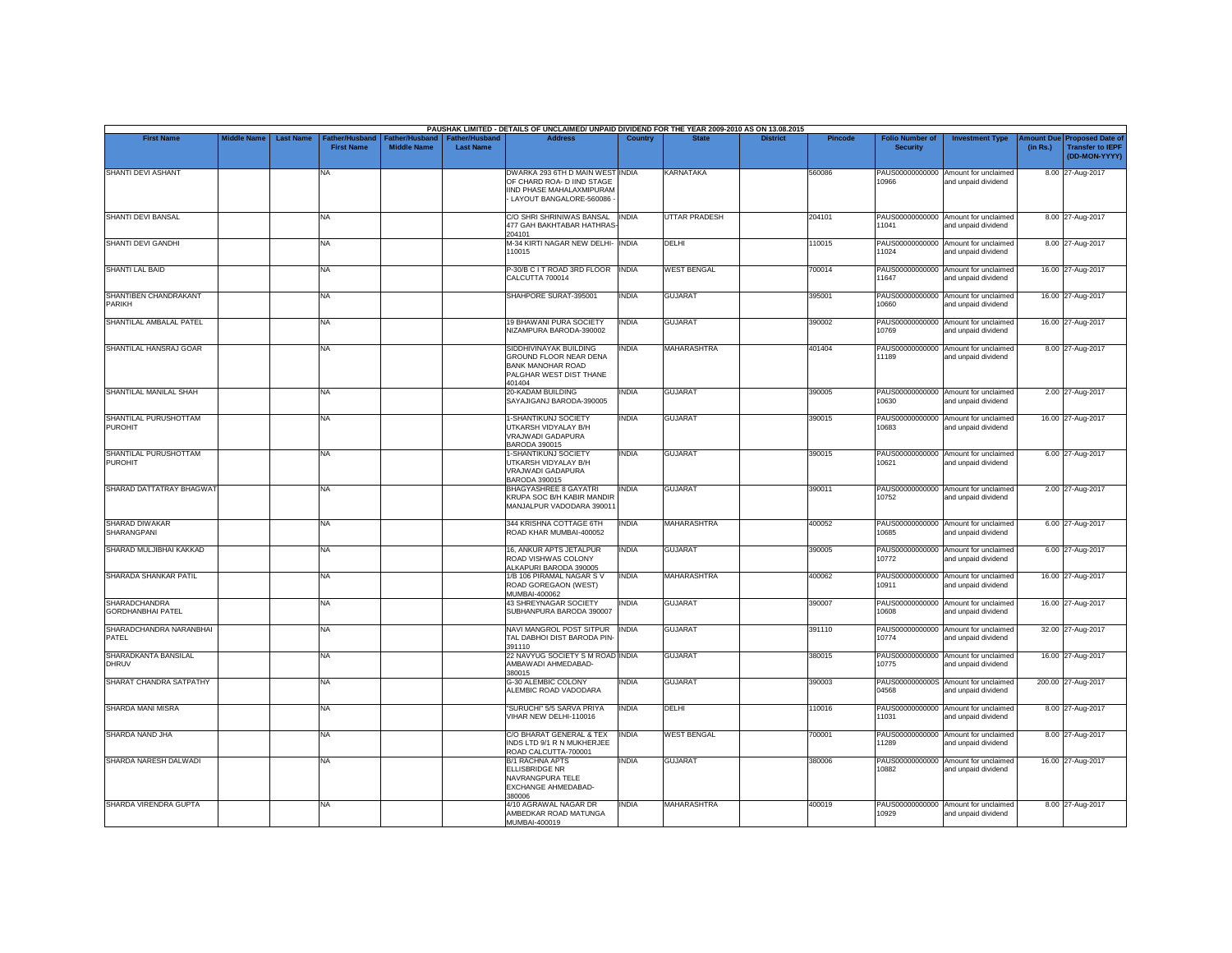|                                                  |                    |                  |                                     |                                      |                                           | PAUSHAK LIMITED - DETAILS OF UNCLAIMED/ UNPAID DIVIDEND FOR THE YEAR 2009-2010 AS ON 13.08.2015                        |                |                      |                 |                |                                           |                                                             |          |                                                                         |
|--------------------------------------------------|--------------------|------------------|-------------------------------------|--------------------------------------|-------------------------------------------|------------------------------------------------------------------------------------------------------------------------|----------------|----------------------|-----------------|----------------|-------------------------------------------|-------------------------------------------------------------|----------|-------------------------------------------------------------------------|
| <b>First Name</b>                                | <b>Middle Name</b> | <b>Last Name</b> | Father/Husband<br><b>First Name</b> | Father/Husband<br><b>Middle Name</b> | <b>Father/Husband</b><br><b>Last Name</b> | <b>Address</b>                                                                                                         | <b>Country</b> | <b>State</b>         | <b>District</b> | <b>Pincode</b> | <b>Folio Number of</b><br><b>Security</b> | <b>Investment Type</b>                                      | (in Rs.) | Amount Due Proposed Date of<br><b>Transfer to IEPF</b><br>(DD-MON-YYYY) |
| SHANTI DEVI ASHANT                               |                    |                  | <b>NA</b>                           |                                      |                                           | DWARKA 293 6TH D MAIN WEST INDIA<br>OF CHARD ROA- D IIND STAGE<br>IIND PHASE MAHALAXMIPURAM<br>LAYOUT BANGALORE-560086 |                | KARNATAKA            |                 | 560086         | 10966                                     | PAUS00000000000 Amount for unclaimed<br>and unpaid dividend |          | 8.00 27-Aug-2017                                                        |
| SHANTI DEVI BANSAL                               |                    |                  | <b>NA</b>                           |                                      |                                           | C/O SHRI SHRINIWAS BANSAL INDIA<br>477 GAH BAKHTABAR HATHRAS<br>204101                                                 |                | <b>UTTAR PRADESH</b> |                 | 204101         | 11041                                     | PAUS00000000000 Amount for unclaimed<br>and unpaid dividend |          | 8.00 27-Aug-2017                                                        |
| <b>SHANTI DEVI GANDHI</b>                        |                    |                  | <b>NA</b>                           |                                      |                                           | M-34 KIRTI NAGAR NEW DELHI- INDIA<br>110015                                                                            |                | DELHI                |                 | 110015         | 11024                                     | PAUS00000000000 Amount for unclaimed<br>and unpaid dividend |          | 8.00 27-Aug-2017                                                        |
| SHANTI LAL BAID                                  |                    |                  | <b>NA</b>                           |                                      |                                           | P-30/B C I T ROAD 3RD FLOOR<br>CALCUTTA 700014                                                                         | <b>INDIA</b>   | <b>WEST BENGAL</b>   |                 | 700014         | 11647                                     | PAUS00000000000 Amount for unclaimed<br>and unpaid dividend |          | 16.00 27-Aug-2017                                                       |
| SHANTIBEN CHANDRAKANT<br>PARIKH                  |                    |                  | <b>NA</b>                           |                                      |                                           | SHAHPORE SURAT-395001                                                                                                  | <b>INDIA</b>   | <b>GUJARAT</b>       |                 | 395001         | 10660                                     | PAUS00000000000 Amount for unclaimed<br>and unpaid dividend |          | 16.00 27-Aug-2017                                                       |
| SHANTILAL AMBALAL PATEL                          |                    |                  | NA                                  |                                      |                                           | <b>19 BHAWANI PURA SOCIETY</b><br>NIZAMPURA BARODA-390002                                                              | <b>INDIA</b>   | <b>GUJARAT</b>       |                 | 390002         | 10769                                     | PAUS00000000000 Amount for unclaimed<br>and unpaid dividend |          | 16.00 27-Aug-2017                                                       |
| SHANTILAL HANSRAJ GOAR                           |                    |                  | <b>NA</b>                           |                                      |                                           | SIDDHIVINAYAK BUILDING<br>GROUND FLOOR NEAR DENA<br><b>BANK MANOHAR ROAD</b><br>PALGHAR WEST DIST THANE<br>401404      | <b>INDIA</b>   | <b>MAHARASHTRA</b>   |                 | 401404         | 11189                                     | PAUS00000000000 Amount for unclaimed<br>and unpaid dividend |          | 8.00 27-Aug-2017                                                        |
| SHANTILAL MANILAL SHAH                           |                    |                  | <b>NA</b>                           |                                      |                                           | 20-KADAM BUILDING<br>SAYAJIGANJ BARODA-390005                                                                          | INDIA          | <b>GUJARAT</b>       |                 | 390005         | 0630                                      | PAUS00000000000 Amount for unclaimed<br>and unpaid dividend |          | 2.00 27-Aug-2017                                                        |
| SHANTILAL PURUSHOTTAM<br><b>PUROHIT</b>          |                    |                  | <b>NA</b>                           |                                      |                                           | 1-SHANTIKUNJ SOCIETY<br>UTKARSH VIDYALAY B/H<br>VRAJWADI GADAPURA<br>BARODA 390015                                     | <b>INDIA</b>   | <b>GUJARAT</b>       |                 | 390015         | 10683                                     | PAUS00000000000 Amount for unclaimed<br>and unpaid dividend |          | 16.00 27-Aug-2017                                                       |
| SHANTILAL PURUSHOTTAM<br><b>PUROHIT</b>          |                    |                  | <b>NA</b>                           |                                      |                                           | 1-SHANTIKUNJ SOCIETY<br>UTKARSH VIDYALAY B/H<br>VRAJWADI GADAPURA<br>BARODA 390015                                     | <b>INDIA</b>   | <b>GUJARAT</b>       |                 | 390015         | 10621                                     | PAUS00000000000 Amount for unclaimed<br>and unpaid dividend |          | 6.00 27-Aug-2017                                                        |
| SHARAD DATTATRAY BHAGWAT                         |                    |                  | <b>NA</b>                           |                                      |                                           | BHAGYASHREE 8 GAYATRI<br>KRUPA SOC B/H KABIR MANDIR<br>MANJALPUR VADODARA 390011                                       | <b>INDIA</b>   | <b>GUJARAT</b>       |                 | 390011         | 10752                                     | PAUS00000000000 Amount for unclaimed<br>and unpaid dividend |          | 2.00 27-Aug-2017                                                        |
| SHARAD DIWAKAR<br><b>SHARANGPANI</b>             |                    |                  | <b>NA</b>                           |                                      |                                           | 344 KRISHNA COTTAGE 6TH<br>ROAD KHAR MUMBAI-400052                                                                     | <b>INDIA</b>   | <b>MAHARASHTRA</b>   |                 | 400052         | 10685                                     | PAUS00000000000 Amount for unclaimed<br>and unpaid dividend |          | 6.00 27-Aug-2017                                                        |
| SHARAD MULJIBHAI KAKKAD                          |                    |                  | <b>NA</b>                           |                                      |                                           | 16, ANKUR APTS JETALPUR<br>ROAD VISHWAS COLONY<br>ALKAPURI BARODA 390005                                               | <b>INDIA</b>   | <b>GUJARAT</b>       |                 | 390005         | 10772                                     | PAUS00000000000 Amount for unclaimed<br>and unpaid dividend |          | 6.00 27-Aug-2017                                                        |
| SHARADA SHANKAR PATIL                            |                    |                  | <b>NA</b>                           |                                      |                                           | 1/B 106 PIRAMAL NAGAR SV<br>ROAD GOREGAON (WEST)<br>MUMBAI-400062                                                      | <b>INDIA</b>   | <b>MAHARASHTRA</b>   |                 | 400062         | 10911                                     | PAUS00000000000 Amount for unclaimed<br>and unpaid dividend |          | 16.00 27-Aug-2017                                                       |
| <b>SHARADCHANDRA</b><br><b>GORDHANBHAI PATEL</b> |                    |                  | <b>NA</b>                           |                                      |                                           | 43 SHREYNAGAR SOCIETY<br>SUBHANPURA BARODA 390007                                                                      | <b>INDIA</b>   | <b>GUJARAT</b>       |                 | 390007         | 10608                                     | PAUS00000000000 Amount for unclaimed<br>and unpaid dividend |          | 16.00 27-Aug-2017                                                       |
| SHARADCHANDRA NARANBHAI<br>PATEL                 |                    |                  | <b>NA</b>                           |                                      |                                           | NAVI MANGROL POST SITPUR   INDIA<br>TAL DABHOI DIST BARODA PIN-<br>391110                                              |                | <b>GUJARAT</b>       |                 | 391110         | 10774                                     | PAUS00000000000 Amount for unclaimed<br>and unpaid dividend |          | 32.00 27-Aug-2017                                                       |
| SHARADKANTA BANSILAL<br><b>DHRUV</b>             |                    |                  | <b>NA</b>                           |                                      |                                           | 22 NAVYUG SOCIETY S M ROAD INDIA<br>AMBAWADI AHMEDABAD-<br>380015                                                      |                | <b>GUJARAT</b>       |                 | 380015         | 10775                                     | PAUS00000000000 Amount for unclaimed<br>and unpaid dividend |          | 16.00 27-Aug-2017                                                       |
| SHARAT CHANDRA SATPATHY                          |                    |                  | <b>NA</b>                           |                                      |                                           | <b>G-30 ALEMBIC COLONY</b><br>ALEMBIC ROAD VADODARA                                                                    | INDIA          | <b>GUJARAT</b>       |                 | 390003         | 04568                                     | PAUS0000000000S Amount for unclaimed<br>and unpaid dividend |          | 200.00 27-Aug-2017                                                      |
| <b>SHARDA MANI MISRA</b>                         |                    |                  | <b>NA</b>                           |                                      |                                           | "SURUCHI" 5/5 SARVA PRIYA<br>VIHAR NEW DELHI-110016                                                                    | <b>INDIA</b>   | DELHI                |                 | 110016         | 11031                                     | PAUS00000000000 Amount for unclaimed<br>and unpaid dividend |          | 8.00 27-Aug-2017                                                        |
| SHARDA NAND JHA                                  |                    |                  | NA                                  |                                      |                                           | C/O BHARAT GENERAL & TEX<br>INDS LTD 9/1 R N MUKHERJEE<br>ROAD CALCUTTA-700001                                         | <b>INDIA</b>   | <b>WEST BENGAL</b>   |                 | 700001         | 11289                                     | PAUS00000000000 Amount for unclaimed<br>and unpaid dividend |          | 8.00 27-Aug-2017                                                        |
| SHARDA NARESH DALWADI                            |                    |                  | <b>NA</b>                           |                                      |                                           | B/1 RACHNA APTS<br>ELLISBRIDGE NR<br>NAVRANGPURA TELE<br><b>EXCHANGE AHMEDABAD-</b><br>380006                          | <b>INDIA</b>   | <b>GUJARAT</b>       |                 | 380006         | 10882                                     | PAUS00000000000 Amount for unclaimed<br>and unpaid dividend |          | 16.00 27-Aug-2017                                                       |
| SHARDA VIRENDRA GUPTA                            |                    |                  | <b>NA</b>                           |                                      |                                           | 4/10 AGRAWAL NAGAR DR<br>AMBEDKAR ROAD MATUNGA<br>MUMBAI-400019                                                        | INDIA          | <b>MAHARASHTRA</b>   |                 | 400019         | 10929                                     | PAUS00000000000 Amount for unclaimed<br>and unpaid dividend |          | 8.00 27-Aug-2017                                                        |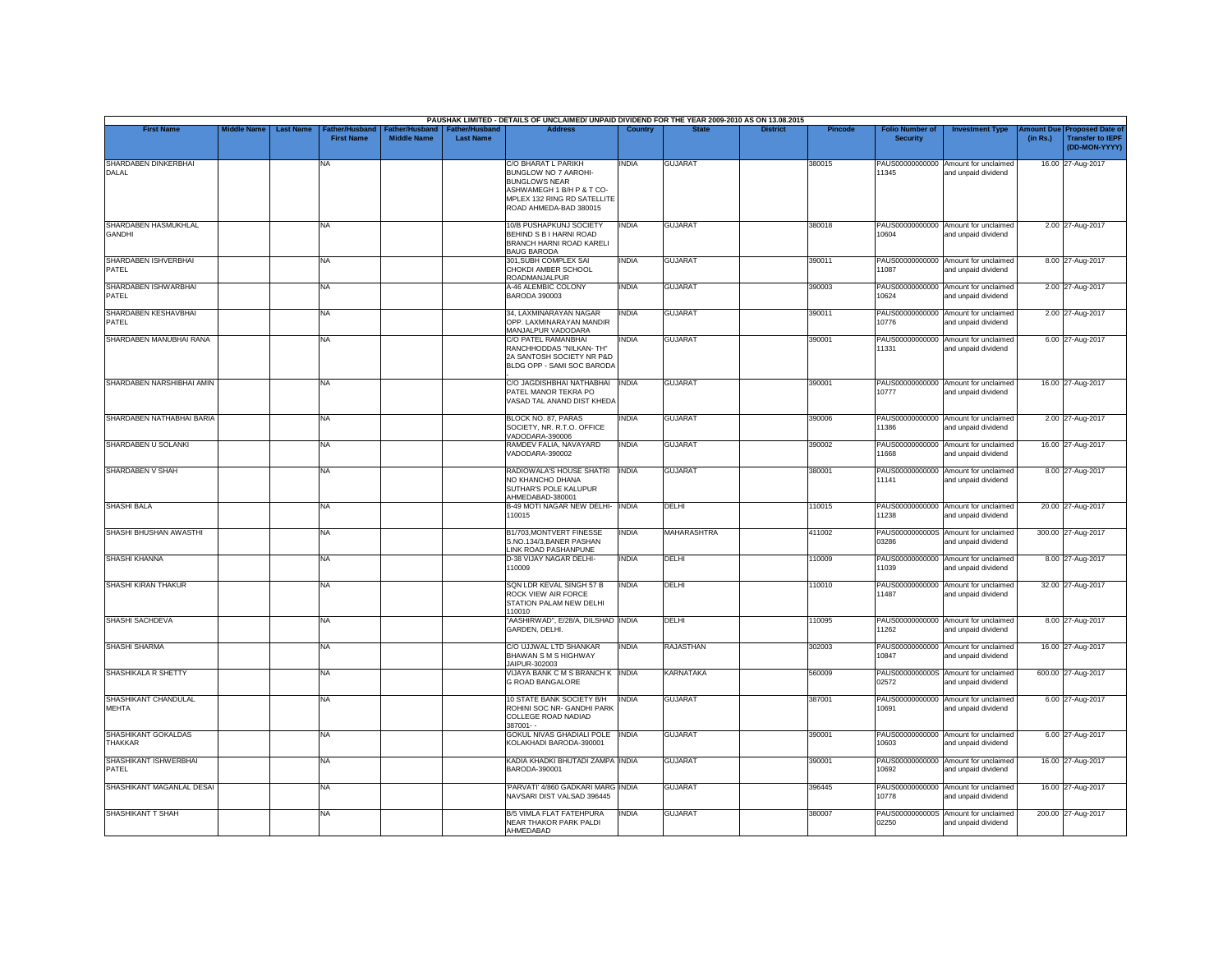|                                       |                    |                  |                                            |                                             |                                           | PAUSHAK LIMITED - DETAILS OF UNCLAIMED/ UNPAID DIVIDEND FOR THE YEAR 2009-2010 AS ON 13.08.2015                                                           |              |                  |                 |                |                                           |                                                             |                               |                                                                     |
|---------------------------------------|--------------------|------------------|--------------------------------------------|---------------------------------------------|-------------------------------------------|-----------------------------------------------------------------------------------------------------------------------------------------------------------|--------------|------------------|-----------------|----------------|-------------------------------------------|-------------------------------------------------------------|-------------------------------|---------------------------------------------------------------------|
| <b>First Name</b>                     | <b>Middle Name</b> | <b>Last Name</b> | <b>Father/Husband</b><br><b>First Name</b> | <b>Father/Husband</b><br><b>Middle Name</b> | <b>Father/Husband</b><br><b>Last Name</b> | <b>Address</b>                                                                                                                                            | Country      | <b>State</b>     | <b>District</b> | <b>Pincode</b> | <b>Folio Number of</b><br><b>Security</b> | <b>Investment Type</b>                                      | <b>Amount Due</b><br>(in Rs.) | <b>Proposed Date of</b><br><b>Transfer to IEPF</b><br>(DD-MON-YYYY) |
| SHARDABEN DINKERBHAI<br>DALAL         |                    |                  | NA.                                        |                                             |                                           | C/O BHARAT L PARIKH<br>BUNGLOW NO 7 AAROHI-<br><b>BUNGLOWS NEAR</b><br>ASHWAMEGH 1 B/H P & T CO-<br>MPLEX 132 RING RD SATELLITE<br>ROAD AHMEDA-BAD 380015 | INDIA        | <b>GUJARAT</b>   |                 | 380015         | 11345                                     | PAUS00000000000 Amount for unclaimed<br>and unpaid dividend |                               | 16.00 27-Aug-2017                                                   |
| SHARDABEN HASMUKHLAL<br><b>GANDHI</b> |                    |                  | <b>NA</b>                                  |                                             |                                           | 10/B PUSHAPKUNJ SOCIETY<br>BEHIND S B I HARNI ROAD<br>BRANCH HARNI ROAD KARELI<br><b>BAUG BARODA</b>                                                      | <b>INDIA</b> | <b>GUJARAT</b>   |                 | 380018         | 10604                                     | PAUS00000000000 Amount for unclaimed<br>and unpaid dividend |                               | 2.00 27-Aug-2017                                                    |
| SHARDABEN ISHVERBHAI<br>PATEL         |                    |                  | <b>NA</b>                                  |                                             |                                           | 301, SUBH COMPLEX SAI<br>CHOKDI AMBER SCHOOL<br>ROADMANJALPUR                                                                                             | INDIA        | <b>GUJARAT</b>   |                 | 390011         | 11087                                     | PAUS00000000000 Amount for unclaimed<br>and unpaid dividend |                               | 8.00 27-Aug-2017                                                    |
| SHARDABEN ISHWARBHAI<br><b>PATEL</b>  |                    |                  | <b>NA</b>                                  |                                             |                                           | A-46 ALEMBIC COLONY<br>BARODA 390003                                                                                                                      | <b>INDIA</b> | <b>GUJARAT</b>   |                 | 390003         | 10624                                     | PAUS00000000000 Amount for unclaimed<br>and unpaid dividend |                               | 2.00 27-Aug-2017                                                    |
| SHARDABEN KESHAVBHAI<br>PATEL         |                    |                  | <b>NA</b>                                  |                                             |                                           | 34, LAXMINARAYAN NAGAR<br>OPP. LAXMINARAYAN MANDIR<br>MANJALPUR VADODARA                                                                                  | <b>INDIA</b> | <b>GUJARAT</b>   |                 | 390011         | PAUS00000000000<br>10776                  | Amount for unclaimed<br>and unpaid dividend                 |                               | 2.00 27-Aug-2017                                                    |
| SHARDABEN MANUBHAI RANA               |                    |                  | <b>NA</b>                                  |                                             |                                           | C/O PATEL RAMANBHAI<br>RANCHHODDAS "NILKAN- TH"<br>2A SANTOSH SOCIETY NR P&D<br>BLDG OPP - SAMI SOC BARODA                                                | <b>INDIA</b> | <b>GUJARAT</b>   |                 | 390001         | 11331                                     | PAUS00000000000 Amount for unclaimed<br>and unpaid dividend |                               | 6.00 27-Aug-2017                                                    |
| SHARDABEN NARSHIBHAI AMIN             |                    |                  | NA.                                        |                                             |                                           | C/O JAGDISHBHAI NATHABHAI<br>PATEL MANOR TEKRA PO<br>VASAD TAL ANAND DIST KHEDA                                                                           | <b>INDIA</b> | <b>GUJARAT</b>   |                 | 390001         | 10777                                     | PAUS00000000000 Amount for unclaimed<br>and unpaid dividend |                               | 16.00 27-Aug-2017                                                   |
| SHARDABEN NATHABHAI BARIA             |                    |                  | <b>NA</b>                                  |                                             |                                           | BLOCK NO. 87, PARAS<br>SOCIETY, NR. R.T.O. OFFICE<br>VADODARA-390006                                                                                      | <b>INDIA</b> | <b>GUJARAT</b>   |                 | 390006         | 11386                                     | PAUS00000000000 Amount for unclaimed<br>and unpaid dividend |                               | 2.00 27-Aug-2017                                                    |
| SHARDABEN U SOLANKI                   |                    |                  | <b>NA</b>                                  |                                             |                                           | RAMDEV FALIA, NAVAYARD<br>VADODARA-390002                                                                                                                 | <b>INDIA</b> | <b>GUJARAT</b>   |                 | 390002         | 11668                                     | PAUS00000000000 Amount for unclaimed<br>and unpaid dividend |                               | 16.00 27-Aug-2017                                                   |
| SHARDABEN V SHAH                      |                    |                  | <b>NA</b>                                  |                                             |                                           | RADIOWALA'S HOUSE SHATRI<br>NO KHANCHO DHANA<br>SUTHAR'S POLE KALUPUR<br>AHMEDABAD-380001                                                                 | <b>INDIA</b> | <b>GUJARAT</b>   |                 | 380001         | 11141                                     | PAUS00000000000 Amount for unclaimed<br>and unpaid dividend |                               | 8.00 27-Aug-2017                                                    |
| <b>SHASHI BALA</b>                    |                    |                  | <b>NA</b>                                  |                                             |                                           | B-49 MOTI NAGAR NEW DELHI-<br>110015                                                                                                                      | <b>INDIA</b> | DELHI            |                 | 110015         | 11238                                     | PAUS00000000000 Amount for unclaimed<br>and unpaid dividend |                               | 20.00 27-Aug-2017                                                   |
| SHASHI BHUSHAN AWASTHI                |                    |                  | <b>NA</b>                                  |                                             |                                           | B1/703, MONTVERT FINESSE<br>S.NO.134/3.BANER PASHAN<br>INK ROAD PASHANPUNE                                                                                | <b>INDIA</b> | MAHARASHTRA      |                 | 411002         | 03286                                     | PAUS0000000000S Amount for unclaimed<br>and unpaid dividend |                               | 300.00 27-Aug-2017                                                  |
| SHASHI KHANNA                         |                    |                  | <b>NA</b>                                  |                                             |                                           | D-38 VIJAY NAGAR DELHI-<br>110009                                                                                                                         | <b>INDIA</b> | DELHI            |                 | 110009         | 11039                                     | PAUS00000000000 Amount for unclaimed<br>and unpaid dividend |                               | 8.00 27-Aug-2017                                                    |
| SHASHI KIRAN THAKUR                   |                    |                  | <b>NA</b>                                  |                                             |                                           | SQN LDR KEVAL SINGH 57 B<br>ROCK VIEW AIR FORCE<br>STATION PALAM NEW DELHI<br>110010                                                                      | <b>INDIA</b> | DELHI            |                 | 110010         | 11487                                     | PAUS00000000000 Amount for unclaimed<br>and unpaid dividend |                               | 32.00 27-Aug-2017                                                   |
| SHASHI SACHDEVA                       |                    |                  | <b>NA</b>                                  |                                             |                                           | "AASHIRWAD", E/28/A, DILSHAD INDIA<br>GARDEN, DELHI.                                                                                                      |              | DELHI            |                 | 110095         | 11262                                     | PAUS00000000000 Amount for unclaimed<br>and unpaid dividend |                               | 8.00 27-Aug-2017                                                    |
| <b>SHASHI SHARMA</b>                  |                    |                  | <b>NA</b>                                  |                                             |                                           | C/O UJJWAL LTD SHANKAR<br>BHAWAN S M S HIGHWAY<br>JAIPUR-302003                                                                                           | <b>INDIA</b> | <b>RAJASTHAN</b> |                 | 302003         | 10847                                     | PAUS00000000000 Amount for unclaimed<br>and unpaid dividend |                               | 16.00 27-Aug-2017                                                   |
| SHASHIKALA R SHETTY                   |                    |                  | <b>NA</b>                                  |                                             |                                           | VIJAYA BANK C M S BRANCH K INDIA<br>G ROAD BANGALORE                                                                                                      |              | KARNATAKA        |                 | 560009         | PAUS0000000000S<br>02572                  | Amount for unclaimed<br>and unpaid dividend                 |                               | 600.00 27-Aug-2017                                                  |
| SHASHIKANT CHANDULAL<br><b>MEHTA</b>  |                    |                  | <b>NA</b>                                  |                                             |                                           | 10 STATE BANK SOCIETY B/H<br>ROHINI SOC NR- GANDHI PARK<br>COLLEGE ROAD NADIAD<br>387001--                                                                | <b>INDIA</b> | <b>GUJARAT</b>   |                 | 387001         | 10691                                     | PAUS00000000000 Amount for unclaimed<br>and unpaid dividend |                               | 6.00 27-Aug-2017                                                    |
| SHASHIKANT GOKALDAS<br><b>THAKKAR</b> |                    |                  | <b>NA</b>                                  |                                             |                                           | GOKUL NIVAS GHADIALI POLE<br>KOLAKHADI BARODA-390001                                                                                                      | <b>INDIA</b> | <b>GUJARAT</b>   |                 | 390001         | 10603                                     | PAUS00000000000 Amount for unclaimed<br>and unpaid dividend |                               | 6.00 27-Aug-2017                                                    |
| SHASHIKANT ISHWERBHAI<br>PATEL        |                    |                  | <b>NA</b>                                  |                                             |                                           | KADIA KHADKI BHUTADI ZAMPA INDIA<br>BARODA-390001                                                                                                         |              | <b>GUJARAT</b>   |                 | 390001         | 10692                                     | PAUS00000000000 Amount for unclaimed<br>and unpaid dividend |                               | 16.00 27-Aug-2017                                                   |
| SHASHIKANT MAGANLAL DESAI             |                    |                  | <b>NA</b>                                  |                                             |                                           | 'PARVATI' 4/860 GADKARI MARG INDIA<br>NAVSARI DIST VALSAD 396445                                                                                          |              | <b>GUJARAT</b>   |                 | 396445         | 10778                                     | PAUS00000000000 Amount for unclaimed<br>and unpaid dividend |                               | 16.00 27-Aug-2017                                                   |
| SHASHIKANT T SHAH                     |                    |                  | <b>NA</b>                                  |                                             |                                           | <b>B/5 VIMLA FLAT FATEHPURA</b><br>NEAR THAKOR PARK PALDI<br>AHMEDABAD                                                                                    | <b>INDIA</b> | <b>GUJARAT</b>   |                 | 380007         | 02250                                     | PAUS0000000000S Amount for unclaimed<br>and unpaid dividend |                               | 200.00 27-Aug-2017                                                  |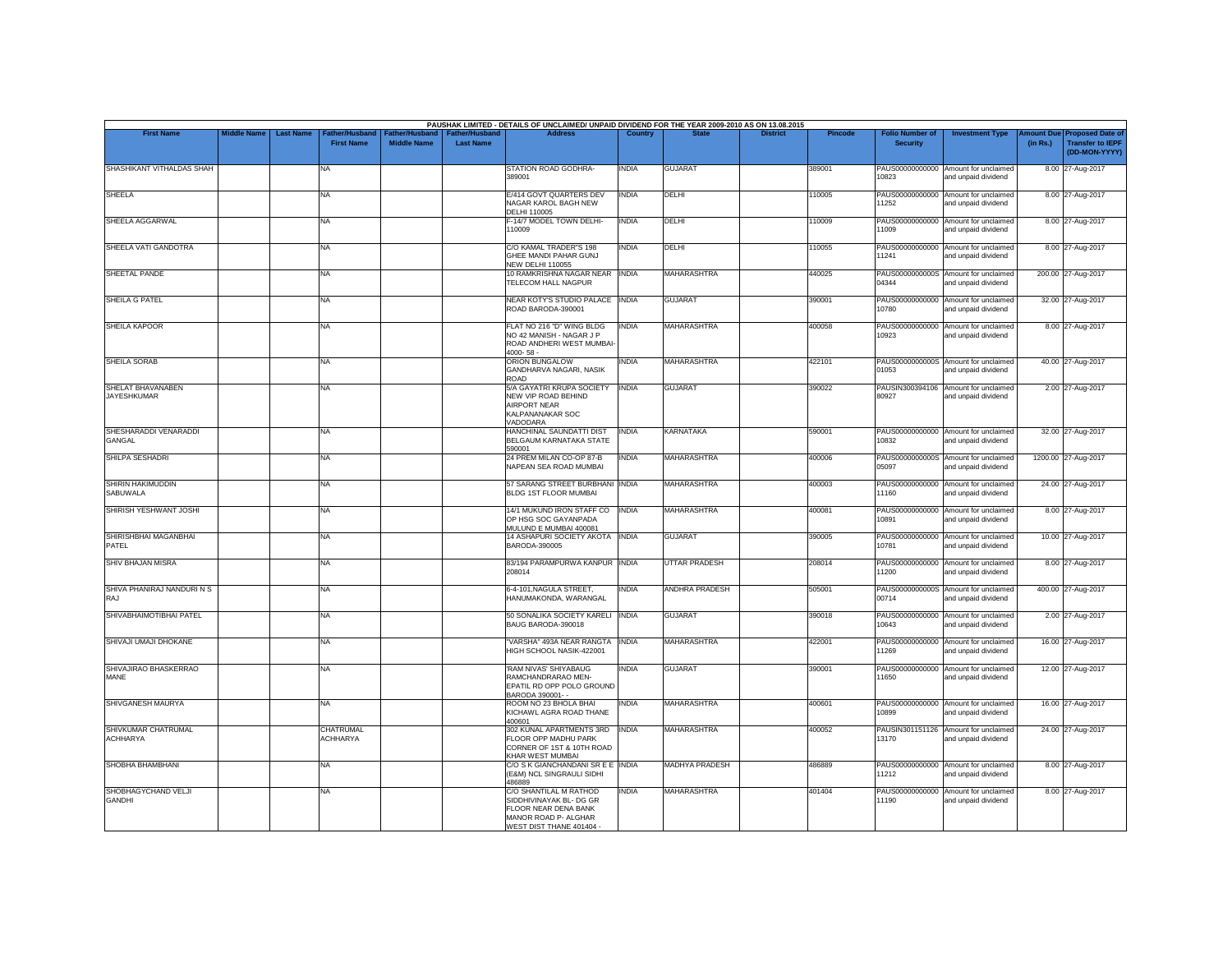|                                         | <b>Middle Name</b> | <b>Last Name</b> |                                     |                                      |                                           | PAUSHAK LIMITED - DETAILS OF UNCLAIMED/ UNPAID DIVIDEND FOR THE YEAR 2009-2010 AS ON 13.08.2015<br><b>Address</b>             | Country      |                       | <b>District</b> |                |                                           |                                                             |                       |                                                                     |
|-----------------------------------------|--------------------|------------------|-------------------------------------|--------------------------------------|-------------------------------------------|-------------------------------------------------------------------------------------------------------------------------------|--------------|-----------------------|-----------------|----------------|-------------------------------------------|-------------------------------------------------------------|-----------------------|---------------------------------------------------------------------|
| <b>First Name</b>                       |                    |                  | Father/Husband<br><b>First Name</b> | Father/Husband<br><b>Middle Name</b> | <b>Father/Husband</b><br><b>Last Name</b> |                                                                                                                               |              |                       |                 | <b>Pincode</b> | <b>Folio Number of</b><br><b>Security</b> | <b>Investment Type</b>                                      | mount Due<br>(in Rs.) | <b>Proposed Date of</b><br><b>Transfer to IEPF</b><br>(DD-MON-YYYY) |
| SHASHIKANT VITHALDAS SHAH               |                    |                  | NA                                  |                                      |                                           | STATION ROAD GODHRA-<br>389001                                                                                                | <b>INDIA</b> | <b>GUJARAT</b>        |                 | 389001         | 10823                                     | PAUS00000000000 Amount for unclaimed<br>and unpaid dividend |                       | 8.00 27-Aug-2017                                                    |
| <b>SHEELA</b>                           |                    |                  | NA                                  |                                      |                                           | E/414 GOVT QUARTERS DEV<br>NAGAR KAROL BAGH NEW<br><b>DELHI 110005</b>                                                        | <b>INDIA</b> | DELHI                 |                 | 10005          | PAUS00000000000<br>11252                  | Amount for unclaimed<br>and unpaid dividend                 |                       | 8.00 27-Aug-2017                                                    |
| SHEELA AGGARWAL                         |                    |                  | NA                                  |                                      |                                           | F-14/7 MODEL TOWN DELHI-<br>110009                                                                                            | <b>INDIA</b> | DELHI                 |                 | 110009         | 11009                                     | PAUS00000000000 Amount for unclaimed<br>and unpaid dividend |                       | 8.00 27-Aug-2017                                                    |
| SHEELA VATI GANDOTRA                    |                    |                  | NA                                  |                                      |                                           | C/O KAMAL TRADER"S 198<br>GHEE MANDI PAHAR GUNJ<br><b>NEW DELHI 110055</b>                                                    | <b>INDIA</b> | DELHI                 |                 | 110055         | 11241                                     | PAUS00000000000 Amount for unclaimed<br>and unpaid dividend |                       | 8.00 27-Aug-2017                                                    |
| SHEETAL PANDE                           |                    |                  | NA                                  |                                      |                                           | 10 RAMKRISHNA NAGAR NEAR INDIA<br>TELECOM HALL NAGPUR                                                                         |              | <b>MAHARASHTRA</b>    |                 | 440025         | 04344                                     | PAUS0000000000S Amount for unclaimed<br>and unpaid dividend |                       | 200.00 27-Aug-2017                                                  |
| SHEILA G PATEL                          |                    |                  | NA                                  |                                      |                                           | NEAR KOTY'S STUDIO PALACE INDIA<br>ROAD BARODA-390001                                                                         |              | <b>GUJARAT</b>        |                 | 390001         | 10780                                     | PAUS00000000000 Amount for unclaimed<br>and unpaid dividend |                       | 32.00 27-Aug-2017                                                   |
| SHEILA KAPOOR                           |                    |                  | NA                                  |                                      |                                           | FLAT NO 216 "D" WING BLDG<br>NO 42 MANISH - NAGAR J P<br>ROAD ANDHERI WEST MUMBAI<br>4000-58-                                 | <b>INDIA</b> | <b>MAHARASHTRA</b>    |                 | 400058         | PAUS00000000000<br>10923                  | Amount for unclaimed<br>and unpaid dividend                 |                       | 8.00 27-Aug-2017                                                    |
| SHEILA SORAB                            |                    |                  | NA                                  |                                      |                                           | ORION BUNGALOW<br>GANDHARVA NAGARI, NASIK<br><b>ROAD</b>                                                                      | <b>INDIA</b> | MAHARASHTRA           |                 | 422101         | 01053                                     | PAUS0000000000S Amount for unclaimed<br>and unpaid dividend |                       | 40.00 27-Aug-2017                                                   |
| SHELAT BHAVANABEN<br><b>JAYESHKUMAR</b> |                    |                  | NA.                                 |                                      |                                           | 5/A GAYATRI KRUPA SOCIETY<br>NEW VIP ROAD BEHIND<br><b>AIRPORT NEAR</b><br>KALPANANAKAR SOC<br>VADODARA                       | <b>INDIA</b> | <b>GUJARAT</b>        |                 | 390022         | 80927                                     | PAUSIN300394106 Amount for unclaimed<br>and unpaid dividend |                       | 2.00 27-Aug-2017                                                    |
| SHESHARADDI VENARADDI<br>GANGAL         |                    |                  | NA                                  |                                      |                                           | <b>HANCHINAL SAUNDATTI DIST</b><br>BELGAUM KARNATAKA STATE<br>590001                                                          | <b>INDIA</b> | KARNATAKA             |                 | 590001         | 10832                                     | PAUS00000000000 Amount for unclaimed<br>and unpaid dividend |                       | 32.00 27-Aug-2017                                                   |
| SHILPA SESHADRI                         |                    |                  | NA                                  |                                      |                                           | 24 PREM MILAN CO-OP 87-B<br>NAPEAN SEA ROAD MUMBAI                                                                            | <b>INDIA</b> | MAHARASHTRA           |                 | 400006         | 05097                                     | PAUS0000000000S Amount for unclaimed<br>and unpaid dividend |                       | 1200.00 27-Aug-2017                                                 |
| SHIRIN HAKIMUDDIN<br>SABUWALA           |                    |                  | NA                                  |                                      |                                           | 57 SARANG STREET BURBHANI INDIA<br>BLDG 1ST FLOOR MUMBAI                                                                      |              | MAHARASHTRA           |                 | 400003         | 11160                                     | PAUS00000000000 Amount for unclaimed<br>and unpaid dividend |                       | 24.00 27-Aug-2017                                                   |
| SHIRISH YESHWANT JOSHI                  |                    |                  | NA                                  |                                      |                                           | 14/1 MUKUND IRON STAFF CO<br>OP HSG SOC GAYANPADA<br>MULUND E MUMBAI 400081                                                   | <b>INDIA</b> | <b>MAHARASHTRA</b>    |                 | 400081         | 10891                                     | PAUS00000000000 Amount for unclaimed<br>and unpaid dividend |                       | 8.00 27-Aug-2017                                                    |
| SHIRISHBHAI MAGANBHAI<br>PATEL          |                    |                  | NA                                  |                                      |                                           | 14 ASHAPURI SOCIETY AKOTA INDIA<br>BARODA-390005                                                                              |              | <b>GUJARAT</b>        |                 | 390005         | 10781                                     | PAUS00000000000 Amount for unclaimed<br>and unpaid dividend |                       | 10.00 27-Aug-2017                                                   |
| SHIV BHAJAN MISRA                       |                    |                  | NA                                  |                                      |                                           | 83/194 PARAMPURWA KANPUR INDIA<br>208014                                                                                      |              | <b>UTTAR PRADESH</b>  |                 | 208014         | 11200                                     | PAUS00000000000 Amount for unclaimed<br>and unpaid dividend |                       | 8.00 27-Aug-2017                                                    |
| SHIVA PHANIRAJ NANDURI N S<br>RA.       |                    |                  | NA                                  |                                      |                                           | 6-4-101, NAGULA STREET,<br>HANUMAKONDA, WARANGAL                                                                              | <b>INDIA</b> | ANDHRA PRADESH        |                 | 505001         | 00714                                     | PAUS0000000000S Amount for unclaimed<br>and unpaid dividend |                       | 400.00 27-Aug-2017                                                  |
| SHIVABHAIMOTIBHAI PATEL                 |                    |                  | NA                                  |                                      |                                           | 50 SONALIKA SOCIETY KARELI INDIA<br>BAUG BARODA-390018                                                                        |              | <b>GUJARAT</b>        |                 | 390018         | 10643                                     | PAUS00000000000 Amount for unclaimed<br>and unpaid dividend |                       | 2.00 27-Aug-2017                                                    |
| SHIVAJI UMAJI DHOKANE                   |                    |                  | NA                                  |                                      |                                           | VARSHA" 493A NEAR RANGTA INDIA<br>HIGH SCHOOL NASIK-422001                                                                    |              | <b>MAHARASHTRA</b>    |                 | 422001         | 11269                                     | PAUS00000000000 Amount for unclaimed<br>and unpaid dividend |                       | 16.00 27-Aug-2017                                                   |
| SHIVAJIRAO BHASKERRAO<br>MANF           |                    |                  | NA                                  |                                      |                                           | 'RAM NIVAS' SHIYABAUG<br>RAMCHANDRARAO MEN-<br>EPATIL RD OPP POLO GROUND<br>BARODA 390001- -                                  | <b>INDIA</b> | <b>GUJARAT</b>        |                 | 390001         | PAUS00000000000<br>11650                  | Amount for unclaimed<br>and unpaid dividend                 |                       | 12.00 27-Aug-2017                                                   |
| SHIVGANESH MAURYA                       |                    |                  | NA.                                 |                                      |                                           | ROOM NO 23 BHOLA BHAI<br>KICHAWL AGRA ROAD THANE<br>400601                                                                    | <b>INDIA</b> | <b>MAHARASHTRA</b>    |                 | 400601         | 10899                                     | PAUS00000000000 Amount for unclaimed<br>and unpaid dividend |                       | 16.00 27-Aug-2017                                                   |
| SHIVKUMAR CHATRUMAL<br><b>ACHHARYA</b>  |                    |                  | CHATRUMAL<br>ACHHARYA               |                                      |                                           | 302 KUNAL APARTMENTS 3RD<br>FLOOR OPP MADHU PARK<br>CORNER OF 1ST & 10TH ROAD<br>KHAR WEST MUMBAI                             | <b>INDIA</b> | MAHARASHTRA           |                 | 400052         | 13170                                     | PAUSIN301151126 Amount for unclaimed<br>and unpaid dividend |                       | 24.00 27-Aug-2017                                                   |
| SHOBHA BHAMBHANI                        |                    |                  | NA                                  |                                      |                                           | C/O S K GIANCHANDANI SR E E INDIA<br>(E&M) NCL SINGRAULI SIDHI<br>486889                                                      |              | <b>MADHYA PRADESH</b> |                 | 486889         | 11212                                     | PAUS00000000000 Amount for unclaimed<br>and unpaid dividend |                       | 8.00 27-Aug-2017                                                    |
| SHOBHAGYCHAND VELJI<br><b>GANDHI</b>    |                    |                  | NA                                  |                                      |                                           | C/O SHANTILAL M RATHOD<br>SIDDHIVINAYAK BL- DG GR<br>FLOOR NEAR DENA BANK<br>MANOR ROAD P- ALGHAR<br>WEST DIST THANE 401404 - | <b>INDIA</b> | <b>MAHARASHTRA</b>    |                 | 401404         | 11190                                     | PAUS00000000000 Amount for unclaimed<br>and unpaid dividend |                       | 8.00 27-Aug-2017                                                    |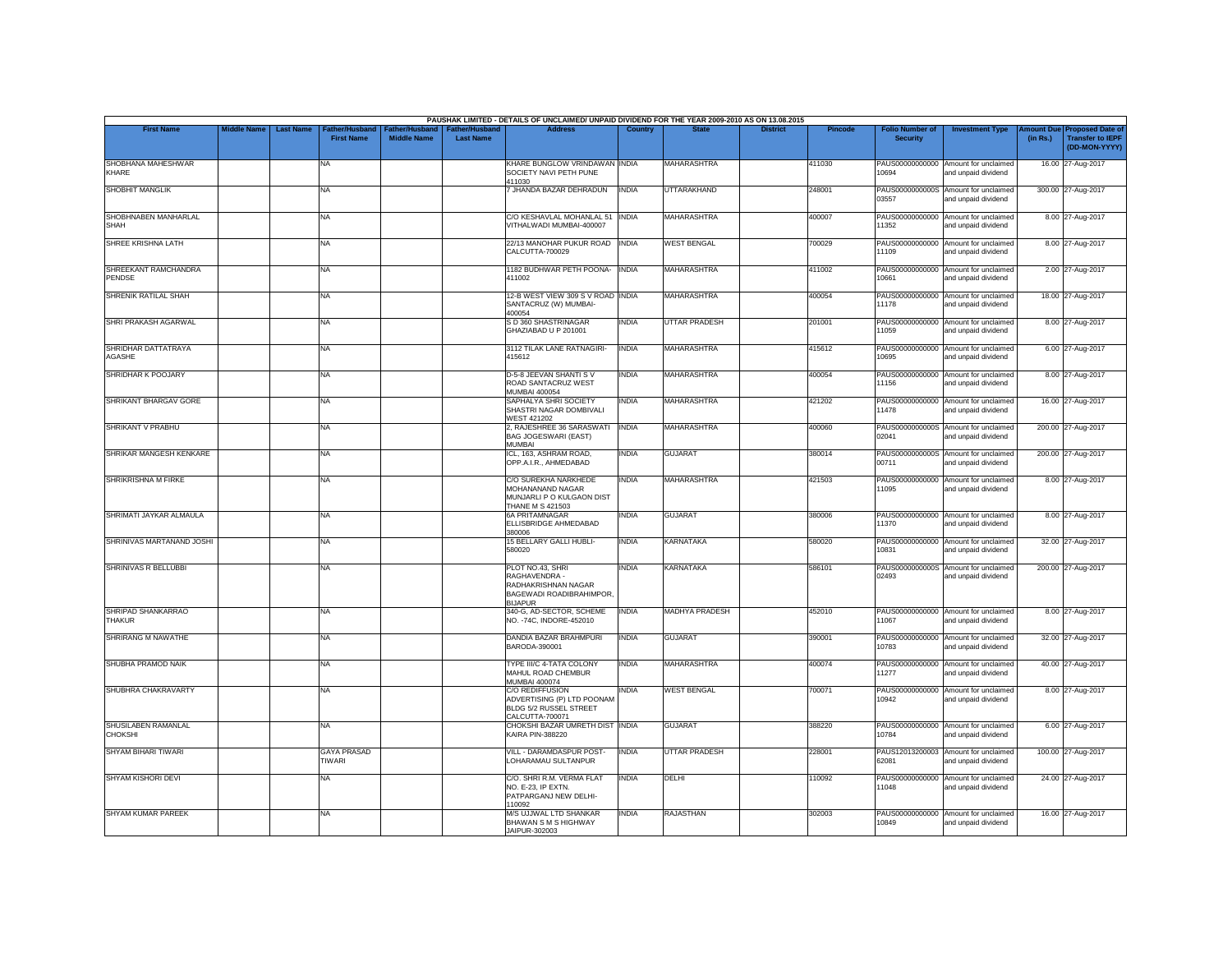|                                       |                    |                  |                                     |                                      |                                           | PAUSHAK LIMITED - DETAILS OF UNCLAIMED/ UNPAID DIVIDEND FOR THE YEAR 2009-2010 AS ON 13.08.2015              |                |                       |                 |                |                                           |                                                             |          |                                                                                |
|---------------------------------------|--------------------|------------------|-------------------------------------|--------------------------------------|-------------------------------------------|--------------------------------------------------------------------------------------------------------------|----------------|-----------------------|-----------------|----------------|-------------------------------------------|-------------------------------------------------------------|----------|--------------------------------------------------------------------------------|
| <b>First Name</b>                     | <b>Middle Name</b> | <b>Last Name</b> | Father/Husband<br><b>First Name</b> | Father/Husband<br><b>Middle Name</b> | <b>Father/Husband</b><br><b>Last Name</b> | <b>Address</b>                                                                                               | <b>Country</b> | <b>State</b>          | <b>District</b> | <b>Pincode</b> | <b>Folio Number of</b><br><b>Security</b> | <b>Investment Type</b>                                      | (in Rs.) | <b>Amount Due Proposed Date of</b><br><b>Transfer to IEPF</b><br>(DD-MON-YYYY) |
| SHOBHANA MAHESHWAR<br>KHARE           |                    |                  | NA                                  |                                      |                                           | KHARE BUNGLOW VRINDAWAN INDIA<br>SOCIETY NAVI PETH PUNE<br>411030                                            |                | <b>MAHARASHTRA</b>    |                 | 411030         | PAUS00000000000<br>10694                  | Amount for unclaimed<br>and unpaid dividend                 |          | 16.00 27-Aug-2017                                                              |
| <b>SHOBHIT MANGLIK</b>                |                    |                  | <b>NA</b>                           |                                      |                                           | 7 JHANDA BAZAR DEHRADUN                                                                                      | <b>INDIA</b>   | <b>UTTARAKHAND</b>    |                 | 248001         | 03557                                     | PAUS0000000000S Amount for unclaimed<br>and unpaid dividend |          | 300.00 27-Aug-2017                                                             |
| SHOBHNABEN MANHARLAL<br><b>SHAH</b>   |                    |                  | <b>NA</b>                           |                                      |                                           | C/O KESHAVLAL MOHANLAL 51<br>VITHALWADI MUMBAI-400007                                                        | <b>INDIA</b>   | <b>MAHARASHTRA</b>    |                 | 400007         | PAUS00000000000<br>11352                  | Amount for unclaimed<br>and unpaid dividend                 |          | 8.00 27-Aug-2017                                                               |
| SHREE KRISHNA LATH                    |                    |                  | <b>NA</b>                           |                                      |                                           | 22/13 MANOHAR PUKUR ROAD INDIA<br>CALCUTTA-700029                                                            |                | <b>WEST BENGAL</b>    |                 | 700029         | 11109                                     | PAUS00000000000 Amount for unclaimed<br>and unpaid dividend |          | 8.00 27-Aug-2017                                                               |
| SHREEKANT RAMCHANDRA<br>PENDSE        |                    |                  | NA                                  |                                      |                                           | 1182 BUDHWAR PETH POONA-<br>411002                                                                           | <b>INDIA</b>   | <b>MAHARASHTRA</b>    |                 | 411002         | PAUS00000000000<br>10661                  | Amount for unclaimed<br>and unpaid dividend                 |          | 2.00 27-Aug-2017                                                               |
| SHRENIK RATILAL SHAH                  |                    |                  | <b>NA</b>                           |                                      |                                           | 12-B WEST VIEW 309 S V ROAD INDIA<br>SANTACRUZ (W) MUMBAI-<br>400054                                         |                | MAHARASHTRA           |                 | 400054         | 11178                                     | PAUS00000000000 Amount for unclaimed<br>and unpaid dividend |          | 18.00 27-Aug-2017                                                              |
| SHRI PRAKASH AGARWAL                  |                    |                  | <b>NA</b>                           |                                      |                                           | S D 360 SHASTRINAGAR<br>GHAZIABAD U P 201001                                                                 | <b>INDIA</b>   | <b>UTTAR PRADESH</b>  |                 | 201001         | 11059                                     | PAUS00000000000 Amount for unclaimed<br>and unpaid dividend |          | 8.00 27-Aug-2017                                                               |
| SHRIDHAR DATTATRAYA<br>AGASHE         |                    |                  | <b>NA</b>                           |                                      |                                           | 3112 TILAK LANE RATNAGIRI-<br>415612                                                                         | <b>INDIA</b>   | <b>MAHARASHTRA</b>    |                 | 415612         | 10695                                     | PAUS00000000000 Amount for unclaimed<br>and unpaid dividend |          | 6.00 27-Aug-2017                                                               |
| SHRIDHAR K POOJARY                    |                    |                  | NA                                  |                                      |                                           | D-5-8 JEEVAN SHANTI SV<br>ROAD SANTACRUZ WEST<br><b>MUMBAI 400054</b>                                        | <b>INDIA</b>   | <b>MAHARASHTRA</b>    |                 | 400054         | PAUS00000000000<br>11156                  | Amount for unclaimed<br>and unpaid dividend                 |          | 8.00 27-Aug-2017                                                               |
| SHRIKANT BHARGAV GORE                 |                    |                  | <b>NA</b>                           |                                      |                                           | SAPHALYA SHRI SOCIETY<br>SHASTRI NAGAR DOMBIVALI<br><b>WEST 421202</b>                                       | <b>INDIA</b>   | MAHARASHTRA           |                 | 421202         | 11478                                     | PAUS00000000000 Amount for unclaimed<br>and unpaid dividend |          | 16.00 27-Aug-2017                                                              |
| SHRIKANT V PRABHU                     |                    |                  | <b>NA</b>                           |                                      |                                           | 2, RAJESHREE 36 SARASWATI<br><b>BAG JOGESWARI (EAST)</b><br>MUMBAI                                           | <b>INDIA</b>   | <b>MAHARASHTRA</b>    |                 | 400060         | 02041                                     | PAUS0000000000S Amount for unclaimed<br>and unpaid dividend |          | 200.00 27-Aug-2017                                                             |
| SHRIKAR MANGESH KENKARE               |                    |                  | <b>NA</b>                           |                                      |                                           | ICL, 163, ASHRAM ROAD,<br>OPP.A.I.R., AHMEDABAD                                                              | <b>INDIA</b>   | <b>GUJARAT</b>        |                 | 380014         | 00711                                     | PAUS0000000000S Amount for unclaimed<br>and unpaid dividend |          | 200.00 27-Aug-2017                                                             |
| SHRIKRISHNA M FIRKE                   |                    |                  | <b>NA</b>                           |                                      |                                           | C/O SUREKHA NARKHEDE<br>MOHANANAND NAGAR<br>MUNJARLI P O KULGAON DIST<br><b>THANE M S 421503</b>             | <b>INDIA</b>   | MAHARASHTRA           |                 | 421503         | 11095                                     | PAUS00000000000 Amount for unclaimed<br>and unpaid dividend |          | 8.00 27-Aug-2017                                                               |
| SHRIMATI JAYKAR ALMAULA               |                    |                  | <b>NA</b>                           |                                      |                                           | <b>6A PRITAMNAGAR</b><br>ELLISBRIDGE AHMEDABAD<br>380006                                                     | <b>INDIA</b>   | <b>GUJARAT</b>        |                 | 380006         | 11370                                     | PAUS00000000000 Amount for unclaimed<br>and unpaid dividend |          | 8.00 27-Aug-2017                                                               |
| SHRINIVAS MARTANAND JOSHI             |                    |                  | <b>NA</b>                           |                                      |                                           | 15 BELLARY GALLI HUBLI-<br>580020                                                                            | <b>INDIA</b>   | <b>KARNATAKA</b>      |                 | 580020         | 10831                                     | PAUS00000000000 Amount for unclaimed<br>and unpaid dividend |          | 32.00 27-Aug-2017                                                              |
| SHRINIVAS R BELLUBBI                  |                    |                  | <b>NA</b>                           |                                      |                                           | PLOT NO.43, SHRI<br>RAGHAVENDRA -<br>RADHAKRISHNAN NAGAR<br><b>BAGEWADI ROADIBRAHIMPOR</b><br><b>BIJAPUR</b> | <b>INDIA</b>   | <b>KARNATAKA</b>      |                 | 586101         | 02493                                     | PAUS0000000000S Amount for unclaimed<br>and unpaid dividend |          | 200.00 27-Aug-2017                                                             |
| SHRIPAD SHANKARRAO<br>THAKUR          |                    |                  | <b>NA</b>                           |                                      |                                           | 340-G, AD-SECTOR, SCHEME<br>NO. - 74C, INDORE-452010                                                         | <b>INDIA</b>   | <b>MADHYA PRADESH</b> |                 | 452010         | 11067                                     | PAUS00000000000 Amount for unclaimed<br>and unpaid dividend |          | 8.00 27-Aug-2017                                                               |
| <b>SHRIRANG M NAWATHE</b>             |                    |                  | <b>NA</b>                           |                                      |                                           | DANDIA BAZAR BRAHMPURI<br>BARODA-390001                                                                      | <b>INDIA</b>   | <b>GUJARAT</b>        |                 | 390001         | 10783                                     | PAUS00000000000 Amount for unclaimed<br>and unpaid dividend |          | 32.00 27-Aug-2017                                                              |
| SHUBHA PRAMOD NAIK                    |                    |                  | <b>NA</b>                           |                                      |                                           | TYPE III/C 4-TATA COLONY<br>MAHUL ROAD CHEMBUR<br><b>MUMBAI 400074</b>                                       | <b>INDIA</b>   | <b>MAHARASHTRA</b>    |                 | 400074         | PAUS00000000000<br>11277                  | Amount for unclaimed<br>and unpaid dividend                 |          | 40.00 27-Aug-2017                                                              |
| SHUBHRA CHAKRAVARTY                   |                    |                  | <b>NA</b>                           |                                      |                                           | <b>C/O REDIFFUSION</b><br>ADVERTISING (P) LTD POONAM<br>BLDG 5/2 RUSSEL STREET<br>CALCUTTA-700071            | <b>INDIA</b>   | <b>WEST BENGAL</b>    |                 | 700071         | 10942                                     | PAUS00000000000 Amount for unclaimed<br>and unpaid dividend |          | 8.00 27-Aug-2017                                                               |
| SHUSILABEN RAMANLAL<br><b>CHOKSHI</b> |                    |                  | <b>NA</b>                           |                                      |                                           | CHOKSHI BAZAR UMRETH DIST INDIA<br><b>KAIRA PIN-388220</b>                                                   |                | <b>GUJARAT</b>        |                 | 388220         | 10784                                     | PAUS00000000000 Amount for unclaimed<br>and unpaid dividend |          | 6.00 27-Aug-2017                                                               |
| <b>SHYAM BIHARI TIWARI</b>            |                    |                  | <b>GAYA PRASAD</b><br><b>TIWARI</b> |                                      |                                           | VILL - DARAMDASPUR POST-<br>LOHARAMAU SULTANPUR                                                              | <b>INDIA</b>   | <b>UTTAR PRADESH</b>  |                 | 228001         | 62081                                     | PAUS12013200003 Amount for unclaimed<br>and unpaid dividend |          | 100.00 27-Aug-2017                                                             |
| SHYAM KISHORI DEVI                    |                    |                  | <b>NA</b>                           |                                      |                                           | C/O. SHRI R.M. VERMA FLAT<br>NO. E-23, IP EXTN.<br>PATPARGANJ NEW DELHI-<br>110092                           | <b>INDIA</b>   | DELHI                 |                 | 110092         | 11048                                     | PAUS00000000000 Amount for unclaimed<br>and unpaid dividend |          | 24.00 27-Aug-2017                                                              |
| <b>SHYAM KUMAR PAREEK</b>             |                    |                  | <b>NA</b>                           |                                      |                                           | M/S UJJWAL LTD SHANKAR<br>BHAWAN S M S HIGHWAY<br>JAIPUR-302003                                              | <b>INDIA</b>   | <b>RAJASTHAN</b>      |                 | 302003         | 10849                                     | PAUS00000000000 Amount for unclaimed<br>and unpaid dividend |          | 16.00 27-Aug-2017                                                              |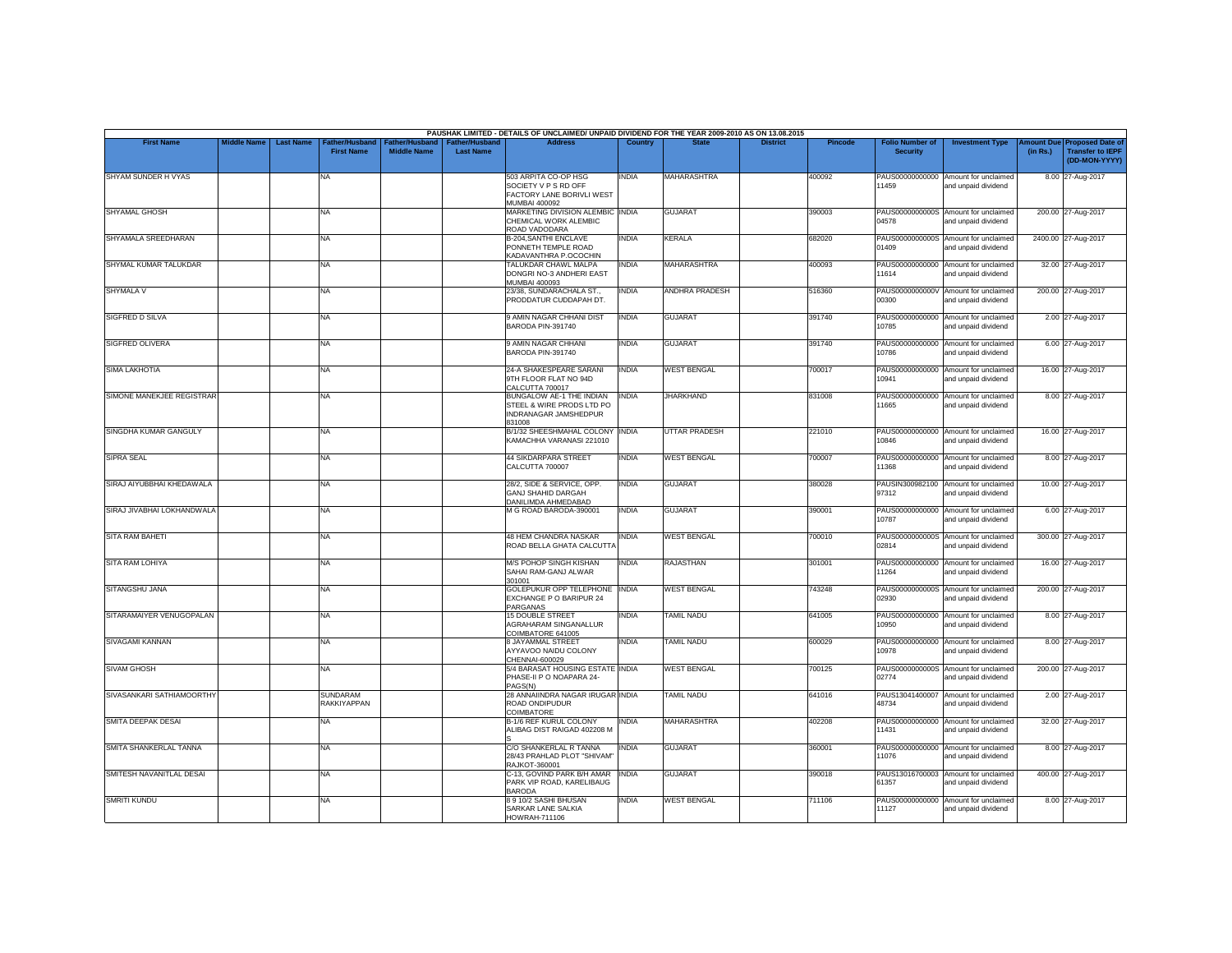|                            |                    |                  |                                       |                                             |                                           | PAUSHAK LIMITED - DETAILS OF UNCLAIMED/ UNPAID DIVIDEND FOR THE YEAR 2009-2010 AS ON 13.08.2015 |              |                      |                 |         |                                           |                                                             |          |                                                                         |
|----------------------------|--------------------|------------------|---------------------------------------|---------------------------------------------|-------------------------------------------|-------------------------------------------------------------------------------------------------|--------------|----------------------|-----------------|---------|-------------------------------------------|-------------------------------------------------------------|----------|-------------------------------------------------------------------------|
| <b>First Name</b>          | <b>Middle Name</b> | <b>Last Name</b> | Father/Husband<br><b>First Name</b>   | <b>Father/Husband</b><br><b>Middle Name</b> | <b>Father/Husband</b><br><b>Last Name</b> | <b>Address</b>                                                                                  | Country      | <b>State</b>         | <b>District</b> | Pincode | <b>Folio Number of</b><br><b>Security</b> | <b>Investment Type</b>                                      | (in Rs.) | Amount Due Proposed Date of<br><b>Transfer to IEPF</b><br>(DD-MON-YYYY) |
| SHYAM SUNDER H VYAS        |                    |                  | <b>NA</b>                             |                                             |                                           | 503 ARPITA CO-OP HSG<br>SOCIETY V P S RD OFF<br>FACTORY LANE BORIVLI WEST<br>MUMBAI 400092      | <b>INDIA</b> | <b>MAHARASHTRA</b>   |                 | 400092  | 11459                                     | PAUS00000000000 Amount for unclaimed<br>and unpaid dividend |          | 8.00 27-Aug-2017                                                        |
| SHYAMAL GHOSH              |                    |                  | NA                                    |                                             |                                           | MARKETING DIVISION ALEMBIC INDIA<br>CHEMICAL WORK ALEMBIC<br>ROAD VADODARA                      |              | <b>GUJARAT</b>       |                 | 390003  | 04578                                     | PAUS0000000000S Amount for unclaimed<br>and unpaid dividend |          | 200.00 27-Aug-2017                                                      |
| SHYAMALA SREEDHARAN        |                    |                  | NA                                    |                                             |                                           | <b>B-204.SANTHI ENCLAVE</b><br>PONNETH TEMPLE ROAD<br>KADAVANTHRA P.OCOCHIN                     | <b>INDIA</b> | <b>KERALA</b>        |                 | 682020  | 01409                                     | PAUS0000000000S Amount for unclaimed<br>and unpaid dividend |          | 2400.00 27-Aug-2017                                                     |
| SHYMAL KUMAR TALUKDAR      |                    |                  | <b>NA</b>                             |                                             |                                           | TALUKDAR CHAWL MALPA<br>DONGRI NO-3 ANDHERI EAST<br>MUMBAI 400093                               | <b>INDIA</b> | MAHARASHTRA          |                 | 400093  | PAUS00000000000<br>11614                  | Amount for unclaimed<br>and unpaid dividend                 |          | 32.00 27-Aug-2017                                                       |
| SHYMALA V                  |                    |                  | NA                                    |                                             |                                           | 23/38, SUNDARACHALA ST.,<br>PRODDATUR CUDDAPAH DT.                                              | <b>INDIA</b> | ANDHRA PRADESH       |                 | 516360  | PAUS0000000000V<br>00300                  | Amount for unclaimed<br>and unpaid dividend                 |          | 200.00 27-Aug-2017                                                      |
| <b>SIGFRED D SILVA</b>     |                    |                  | <b>NA</b>                             |                                             |                                           | <b>9 AMIN NAGAR CHHANI DIST</b><br>BARODA PIN-391740                                            | INDIA        | <b>GUJARAT</b>       |                 | 391740  | 10785                                     | PAUS00000000000 Amount for unclaimed<br>and unpaid dividend |          | 2.00 27-Aug-2017                                                        |
| <b>SIGFRED OLIVERA</b>     |                    |                  | <b>NA</b>                             |                                             |                                           | <b>9 AMIN NAGAR CHHANI</b><br>BARODA PIN-391740                                                 | <b>INDIA</b> | <b>GUJARAT</b>       |                 | 391740  | PAUS00000000000<br>10786                  | Amount for unclaimed<br>and unpaid dividend                 |          | 6.00 27-Aug-2017                                                        |
| SIMA LAKHOTIA              |                    |                  | <b>NA</b>                             |                                             |                                           | 24-A SHAKESPEARE SARANI<br>9TH FLOOR FLAT NO 94D<br>CALCUTTA 700017                             | <b>INDIA</b> | <b>WEST BENGAL</b>   |                 | 700017  | PAUS00000000000<br>10941                  | Amount for unclaimed<br>and unpaid dividend                 |          | 16.00 27-Aug-2017                                                       |
| SIMONE MANEKJEE REGISTRAR  |                    |                  | <b>NA</b>                             |                                             |                                           | <b>BUNGALOW AE-1 THE INDIAN</b><br>STEEL & WIRE PRODS LTD PO<br>INDRANAGAR JAMSHEDPUR<br>831008 | <b>INDIA</b> | <b>JHARKHAND</b>     |                 | 831008  | 11665                                     | PAUS00000000000 Amount for unclaimed<br>and unpaid dividend |          | 8.00 27-Aug-2017                                                        |
| SINGDHA KUMAR GANGULY      |                    |                  | <b>NA</b>                             |                                             |                                           | B/1/32 SHEESHMAHAL COLONY INDIA<br>KAMACHHA VARANASI 221010                                     |              | <b>UTTAR PRADESH</b> |                 | 221010  | 10846                                     | PAUS00000000000 Amount for unclaimed<br>and unpaid dividend |          | 16.00 27-Aug-2017                                                       |
| <b>SIPRA SEAL</b>          |                    |                  | NA                                    |                                             |                                           | <b>44 SIKDARPARA STREET</b><br>CALCUTTA 700007                                                  | <b>INDIA</b> | <b>WEST BENGAL</b>   |                 | 700007  | 11368                                     | PAUS00000000000 Amount for unclaimed<br>and unpaid dividend |          | 8.00 27-Aug-2017                                                        |
| SIRAJ AIYUBBHAI KHEDAWALA  |                    |                  | <b>NA</b>                             |                                             |                                           | 28/2, SIDE & SERVICE, OPP.<br><b>GANJ SHAHID DARGAH</b><br>DANILIMDA AHMEDABAD                  | <b>INDIA</b> | <b>GUJARAT</b>       |                 | 380028  | PAUSIN300982100<br>97312                  | Amount for unclaimed<br>and unpaid dividend                 |          | 10.00 27-Aug-2017                                                       |
| SIRAJ JIVABHAI LOKHANDWALA |                    |                  | <b>NA</b>                             |                                             |                                           | M G ROAD BARODA-390001                                                                          | <b>INDIA</b> | <b>GUJARAT</b>       |                 | 390001  | 10787                                     | PAUS00000000000 Amount for unclaimed<br>and unpaid dividend |          | 6.00 27-Aug-2017                                                        |
| <b>SITA RAM BAHETI</b>     |                    |                  | NA                                    |                                             |                                           | <b>48 HEM CHANDRA NASKAR</b><br>ROAD BELLA GHATA CALCUTT/                                       | <b>INDIA</b> | <b>WEST BENGAL</b>   |                 | 700010  | 02814                                     | PAUS0000000000S Amount for unclaimed<br>and unpaid dividend |          | 300.00 27-Aug-2017                                                      |
| SITA RAM LOHIYA            |                    |                  | <b>NA</b>                             |                                             |                                           | M/S POHOP SINGH KISHAN<br>SAHAI RAM-GANJ ALWAR<br>301001                                        | <b>INDIA</b> | <b>RAJASTHAN</b>     |                 | 301001  | 11264                                     | PAUS00000000000 Amount for unclaimed<br>and unpaid dividend |          | 16.00 27-Aug-2017                                                       |
| SITANGSHU JANA             |                    |                  | <b>NA</b>                             |                                             |                                           | GOLEPUKUR OPP TELEPHONE<br>EXCHANGE P O BARIPUR 24<br>PARGANAS                                  | <b>INDIA</b> | <b>WEST BENGAL</b>   |                 | 743248  | PAUS0000000000S<br>02930                  | Amount for unclaimed<br>and unpaid dividend                 |          | 200.00 27-Aug-2017                                                      |
| SITARAMAIYER VENUGOPALAN   |                    |                  | NA                                    |                                             |                                           | 15 DOUBLE STREET<br>AGRAHARAM SINGANALLUR<br>COIMBATORE 641005                                  | INDIA        | <b>TAMIL NADU</b>    |                 | 641005  | PAUS00000000000<br>10950                  | Amount for unclaimed<br>and unpaid dividend                 |          | 8.00 27-Aug-2017                                                        |
| SIVAGAMI KANNAN            |                    |                  | <b>NA</b>                             |                                             |                                           | 8 JAYAMMAL STREET<br>AYYAVOO NAIDU COLONY<br>CHENNAI-600029                                     | INDIA        | <b>TAMIL NADU</b>    |                 | 600029  | 10978                                     | PAUS00000000000 Amount for unclaimed<br>and unpaid dividend |          | 8.00 27-Aug-2017                                                        |
| <b>SIVAM GHOSH</b>         |                    |                  | <b>NA</b>                             |                                             |                                           | 5/4 BARASAT HOUSING ESTATE INDIA<br>PHASE-II P O NOAPARA 24-<br>PAGS(N)                         |              | <b>WEST BENGAL</b>   |                 | 700125  | PAUS0000000000S<br>02774                  | Amount for unclaimed<br>and unpaid dividend                 |          | 200.00 27-Aug-2017                                                      |
| SIVASANKARI SATHIAMOORTHY  |                    |                  | <b>SUNDARAM</b><br><b>RAKKIYAPPAN</b> |                                             |                                           | 28 ANNAIINDRA NAGAR IRUGAR INDIA<br>ROAD ONDIPUDUR<br>COIMBATORE                                |              | <b>TAMIL NADU</b>    |                 | 641016  | PAUS13041400007<br>48734                  | Amount for unclaimed<br>and unpaid dividend                 |          | 2.00 27-Aug-2017                                                        |
| SMITA DEEPAK DESAI         |                    |                  | <b>NA</b>                             |                                             |                                           | B-1/6 REF KURUL COLONY<br>ALIBAG DIST RAIGAD 402208 M                                           | <b>INDIA</b> | MAHARASHTRA          |                 | 402208  | 11431                                     | PAUS00000000000 Amount for unclaimed<br>and unpaid dividend |          | 32.00 27-Aug-2017                                                       |
| SMITA SHANKERLAL TANNA     |                    |                  | <b>NA</b>                             |                                             |                                           | C/O SHANKERLAL R TANNA<br>28/43 PRAHLAD PLOT "SHIVAM"<br><b>RAJKOT-360001</b>                   | <b>INDIA</b> | <b>GUJARAT</b>       |                 | 360001  | PAUS00000000000<br>11076                  | Amount for unclaimed<br>and unpaid dividend                 |          | 8.00 27-Aug-2017                                                        |
| SMITESH NAVANITLAL DESAI   |                    |                  | NA                                    |                                             |                                           | C-13, GOVIND PARK B/H AMAR<br>PARK VIP ROAD, KARELIBAUG<br><b>BARODA</b>                        | <b>INDIA</b> | <b>GUJARAT</b>       |                 | 390018  | PAUS13016700003<br>61357                  | Amount for unclaimed<br>and unpaid dividend                 |          | 400.00 27-Aug-2017                                                      |
| <b>SMRITI KUNDU</b>        |                    |                  | NA                                    |                                             |                                           | 8910/2 SASHI BHUSAN<br>SARKAR LANE SALKIA<br>HOWRAH-711106                                      | <b>INDIA</b> | <b>WEST BENGAL</b>   |                 | 711106  | 11127                                     | PAUS00000000000 Amount for unclaimed<br>and unpaid dividend |          | 8.00 27-Aug-2017                                                        |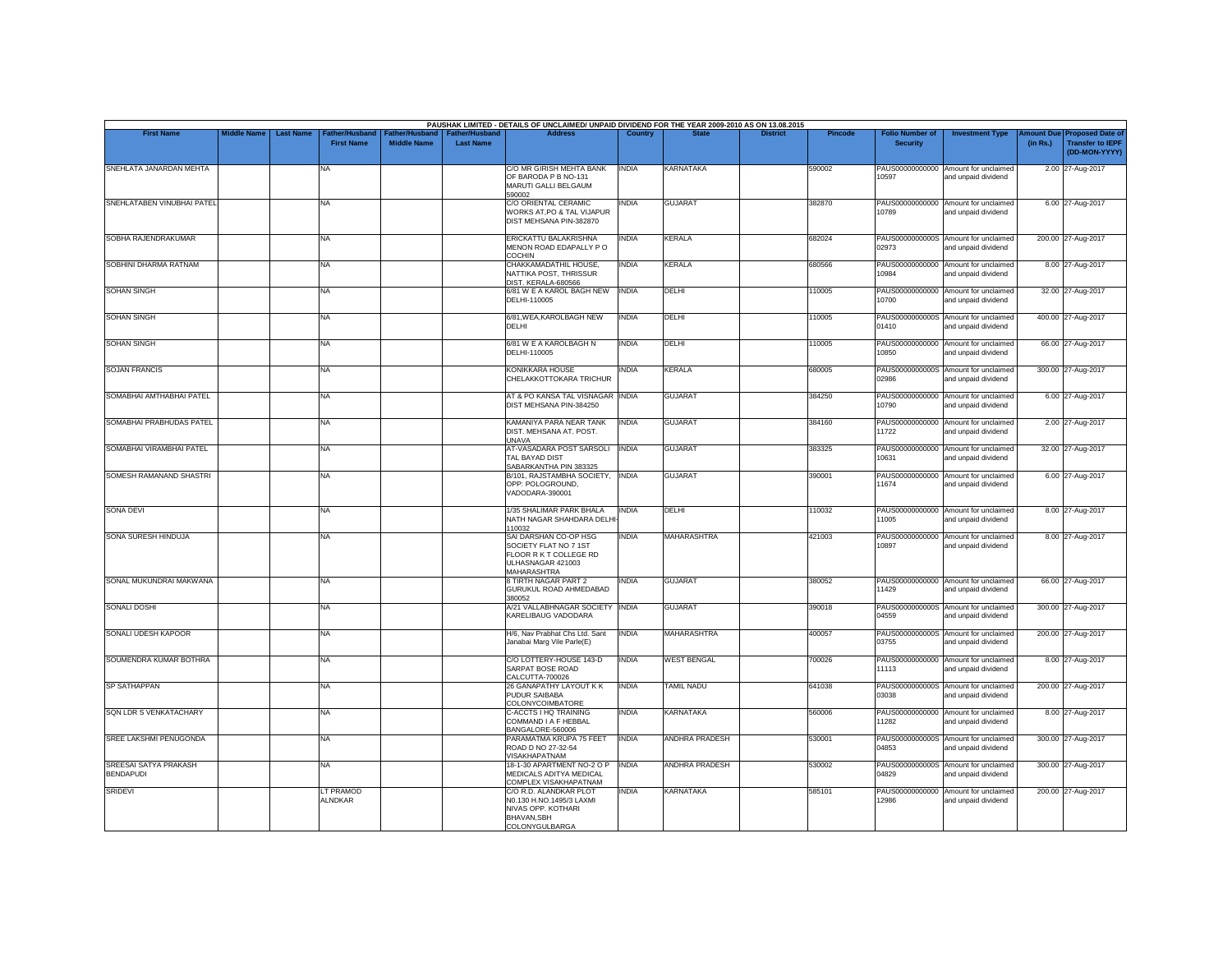|                                           |                    |                  |                                    |                                             |                                    | PAUSHAK LIMITED - DETAILS OF UNCLAIMED/ UNPAID DIVIDEND FOR THE YEAR 2009-2010 AS ON 13.08.2015              |              |                       |                 |                |                                           |                                                             |                       |                                                                     |
|-------------------------------------------|--------------------|------------------|------------------------------------|---------------------------------------------|------------------------------------|--------------------------------------------------------------------------------------------------------------|--------------|-----------------------|-----------------|----------------|-------------------------------------------|-------------------------------------------------------------|-----------------------|---------------------------------------------------------------------|
| <b>First Name</b>                         | <b>Middle Name</b> | <b>Last Name</b> | ather/Husband<br><b>First Name</b> | <b>Father/Husband</b><br><b>Middle Name</b> | Father/Husband<br><b>Last Name</b> | <b>Address</b>                                                                                               | Country      | <b>State</b>          | <b>District</b> | <b>Pincode</b> | <b>Folio Number of</b><br><b>Security</b> | <b>Investment Type</b>                                      | mount Due<br>(in Rs.) | <b>Proposed Date of</b><br><b>Transfer to IEPF</b><br>(DD-MON-YYYY) |
| SNEHLATA JANARDAN MEHTA                   |                    |                  | <b>NA</b>                          |                                             |                                    | C/O MR GIRISH MEHTA BANK<br>OF BARODA P B NO-131<br>MARUTI GALLI BELGAUM<br>590002                           | <b>INDIA</b> | KARNATAKA             |                 | 590002         | PAUS00000000000<br>10597                  | Amount for unclaimed<br>and unpaid dividend                 |                       | 2.00 27-Aug-2017                                                    |
| SNEHLATABEN VINUBHAI PATEL                |                    |                  | <b>NA</b>                          |                                             |                                    | C/O ORIENTAL CERAMIC<br>WORKS AT, PO & TAL VIJAPUR<br>DIST MEHSANA PIN-382870                                | INDIA        | <b>GUJARAT</b>        |                 | 382870         | 10789                                     | PAUS00000000000 Amount for unclaimed<br>and unpaid dividend |                       | 6.00 27-Aug-2017                                                    |
| SOBHA RAJENDRAKUMAR                       |                    |                  | <b>NA</b>                          |                                             |                                    | ERICKATTU BALAKRISHNA<br>MENON ROAD EDAPALLY PO<br>COCHIN                                                    | INDIA        | <b>KERALA</b>         |                 | 682024         | 02973                                     | PAUS0000000000S Amount for unclaimed<br>and unpaid dividend |                       | 200.00 27-Aug-2017                                                  |
| SOBHINI DHARMA RATNAM                     |                    |                  | <b>NA</b>                          |                                             |                                    | CHAKKAMADATHIL HOUSE,<br>NATTIKA POST, THRISSUR<br>DIST. KERALA-680566                                       | <b>INDIA</b> | <b>KERALA</b>         |                 | 680566         | 10984                                     | PAUS00000000000 Amount for unclaimed<br>and unpaid dividend |                       | 8.00 27-Aug-2017                                                    |
| <b>SOHAN SINGH</b>                        |                    |                  | <b>NA</b>                          |                                             |                                    | 6/81 W E A KAROL BAGH NEW<br>DELHI-110005                                                                    | <b>INDIA</b> | DELHI                 |                 | 110005         | PAUS00000000000<br>10700                  | Amount for unclaimed<br>and unpaid dividend                 |                       | 32.00 27-Aug-2017                                                   |
| <b>SOHAN SINGH</b>                        |                    |                  | <b>NA</b>                          |                                             |                                    | 6/81.WEA.KAROLBAGH NEW<br><b>DELHI</b>                                                                       | <b>INDIA</b> | DELHI                 |                 | 110005         | 01410                                     | PAUS0000000000S Amount for unclaimed<br>and unpaid dividend |                       | 400.00 27-Aug-2017                                                  |
| <b>SOHAN SINGH</b>                        |                    |                  | <b>NA</b>                          |                                             |                                    | 6/81 W E A KAROLBAGH N<br>DELHI-110005                                                                       | <b>INDIA</b> | DELHI                 |                 | 110005         | PAUS00000000000<br>10850                  | Amount for unclaimed<br>and unpaid dividend                 |                       | 66.00 27-Aug-2017                                                   |
| <b>SOJAN FRANCIS</b>                      |                    |                  | <b>NA</b>                          |                                             |                                    | KONIKKARA HOUSE<br>CHELAKKOTTOKARA TRICHUR                                                                   | INDIA        | <b>KERALA</b>         |                 | 680005         | 02986                                     | PAUS0000000000S Amount for unclaimed<br>and unpaid dividend |                       | 300.00 27-Aug-2017                                                  |
| SOMABHAI AMTHABHAI PATEL                  |                    |                  | <b>NA</b>                          |                                             |                                    | AT & PO KANSA TAL VISNAGAR INDIA<br>DIST MEHSANA PIN-384250                                                  |              | <b>GUJARAT</b>        |                 | 384250         | 10790                                     | PAUS00000000000 Amount for unclaimed<br>and unpaid dividend |                       | 6.00 27-Aug-2017                                                    |
| SOMABHAI PRABHUDAS PATEL                  |                    |                  | <b>NA</b>                          |                                             |                                    | KAMANIYA PARA NEAR TANK<br>DIST. MEHSANA AT. POST.<br>UNAVA                                                  | <b>INDIA</b> | <b>GUJARAT</b>        |                 | 384160         | 11722                                     | PAUS00000000000 Amount for unclaimed<br>and unpaid dividend |                       | 2.00 27-Aug-2017                                                    |
| SOMABHAI VIRAMBHAI PATEL                  |                    |                  | <b>NA</b>                          |                                             |                                    | AT-VASADARA POST SARSOLI<br>TAL BAYAD DIST<br>SABARKANTHA PIN 383325                                         | <b>INDIA</b> | <b>GUJARAT</b>        |                 | 383325         | PAUS00000000000<br>10631                  | Amount for unclaimed<br>and unpaid dividend                 |                       | 32.00 27-Aug-2017                                                   |
| SOMESH RAMANAND SHASTRI                   |                    |                  | <b>NA</b>                          |                                             |                                    | B/101, RAJSTAMBHA SOCIETY, INDIA<br>OPP: POLOGROUND,<br>VADODARA-390001                                      |              | <b>GUJARAT</b>        |                 | 390001         | 11674                                     | PAUS00000000000 Amount for unclaimed<br>and unpaid dividend |                       | 6.00 27-Aug-2017                                                    |
| <b>SONA DEVI</b>                          |                    |                  | <b>NA</b>                          |                                             |                                    | 1/35 SHALIMAR PARK BHALA<br>NATH NAGAR SHAHDARA DELH<br>110032                                               | <b>INDIA</b> | DELHI                 |                 | 110032         | 11005                                     | PAUS00000000000 Amount for unclaimed<br>and unpaid dividend |                       | 8.00 27-Aug-2017                                                    |
| SONA SURESH HINDUJA                       |                    |                  | <b>NA</b>                          |                                             |                                    | SAI DARSHAN CO-OP HSG<br>SOCIETY FLAT NO 7 1ST<br>FLOOR R K T COLLEGE RD<br>ULHASNAGAR 421003<br>MAHARASHTRA | INDIA        | MAHARASHTRA           |                 | 421003         | 10897                                     | PAUS00000000000 Amount for unclaimed<br>and unpaid dividend |                       | 8.00 27-Aug-2017                                                    |
| SONAL MUKUNDRAI MAKWANA                   |                    |                  | <b>NA</b>                          |                                             |                                    | 8 TIRTH NAGAR PART 2<br>GURUKUL ROAD AHMEDABAD<br>380052                                                     | INDIA        | <b>GUJARAT</b>        |                 | 380052         | 11429                                     | PAUS00000000000 Amount for unclaimed<br>and unpaid dividend |                       | 66.00 27-Aug-2017                                                   |
| <b>SONALI DOSHI</b>                       |                    |                  | <b>NA</b>                          |                                             |                                    | A/21 VALLABHNAGAR SOCIETY<br>KARELIBAUG VADODARA                                                             | <b>INDIA</b> | <b>GUJARAT</b>        |                 | 390018         | 04559                                     | PAUS0000000000S Amount for unclaimed<br>and unpaid dividend |                       | 300.00 27-Aug-2017                                                  |
| SONALI UDESH KAPOOR                       |                    |                  | <b>NA</b>                          |                                             |                                    | H/6, Nav Prabhat Chs Ltd. Sant<br>Janabai Marg Vile Parle(E)                                                 | <b>INDIA</b> | <b>MAHARASHTRA</b>    |                 | 400057         | PAUS0000000000S<br>03755                  | Amount for unclaimed<br>and unpaid dividend                 |                       | 200.00 27-Aug-2017                                                  |
| SOUMENDRA KUMAR BOTHRA                    |                    |                  | <b>NA</b>                          |                                             |                                    | C/O LOTTERY-HOUSE 143-D<br>SARPAT BOSE ROAD<br>CALCUTTA-700026                                               | <b>INDIA</b> | <b>WEST BENGAL</b>    |                 | 700026         | 11113                                     | PAUS00000000000 Amount for unclaimed<br>and unpaid dividend |                       | 8.00 27-Aug-2017                                                    |
| <b>SP SATHAPPAN</b>                       |                    |                  | <b>NA</b>                          |                                             |                                    | <b>26 GANAPATHY LAYOUT KK</b><br>PUDUR SAIBABA<br>COLONYCOIMBATORE                                           | <b>INDIA</b> | <b>TAMIL NADU</b>     |                 | 641038         | PAUS0000000000S<br>03038                  | Amount for unclaimed<br>and unpaid dividend                 |                       | 200.00 27-Aug-2017                                                  |
| SQN LDR S VENKATACHARY                    |                    |                  | <b>NA</b>                          |                                             |                                    | C-ACCTS I HQ TRAINING<br>COMMAND I A F HEBBAL<br>BANGALORE-560006                                            | <b>INDIA</b> | KARNATAKA             |                 | 560006         | 11282                                     | PAUS00000000000 Amount for unclaimed<br>and unpaid dividend |                       | 8.00 27-Aug-2017                                                    |
| SREE LAKSHMI PENUGONDA                    |                    |                  | <b>NA</b>                          |                                             |                                    | PARAMATMA KRUPA 75 FEET<br>ROAD D NO 27-32-54<br>VISAKHAPATNAM                                               | <b>INDIA</b> | <b>ANDHRA PRADESH</b> |                 | 530001         | 04853                                     | PAUS0000000000S Amount for unclaimed<br>and unpaid dividend |                       | 300.00 27-Aug-2017                                                  |
| SREESAI SATYA PRAKASH<br><b>BENDAPUDI</b> |                    |                  | <b>NA</b>                          |                                             |                                    | 18-1-30 APARTMENT NO-2 O P<br>MEDICALS ADITYA MEDICAL<br>COMPLEX VISAKHAPATNAM                               | <b>INDIA</b> | ANDHRA PRADESH        |                 | 530002         | 04829                                     | PAUS0000000000S Amount for unclaimed<br>and unpaid dividend |                       | 300.00 27-Aug-2017                                                  |
| <b>SRIDEVI</b>                            |                    |                  | LT PRAMOD<br><b>ALNDKAR</b>        |                                             |                                    | C/O R.D. ALANDKAR PLOT<br>N0.130 H.NO.1495/3 LAXMI<br>NIVAS OPP, KOTHARI<br>BHAVAN.SBH<br>COLONYGULBARGA     | <b>INDIA</b> | <b>KARNATAKA</b>      |                 | 585101         | PAUS00000000000<br>12986                  | Amount for unclaimed<br>and unpaid dividend                 |                       | 200.00 27-Aug-2017                                                  |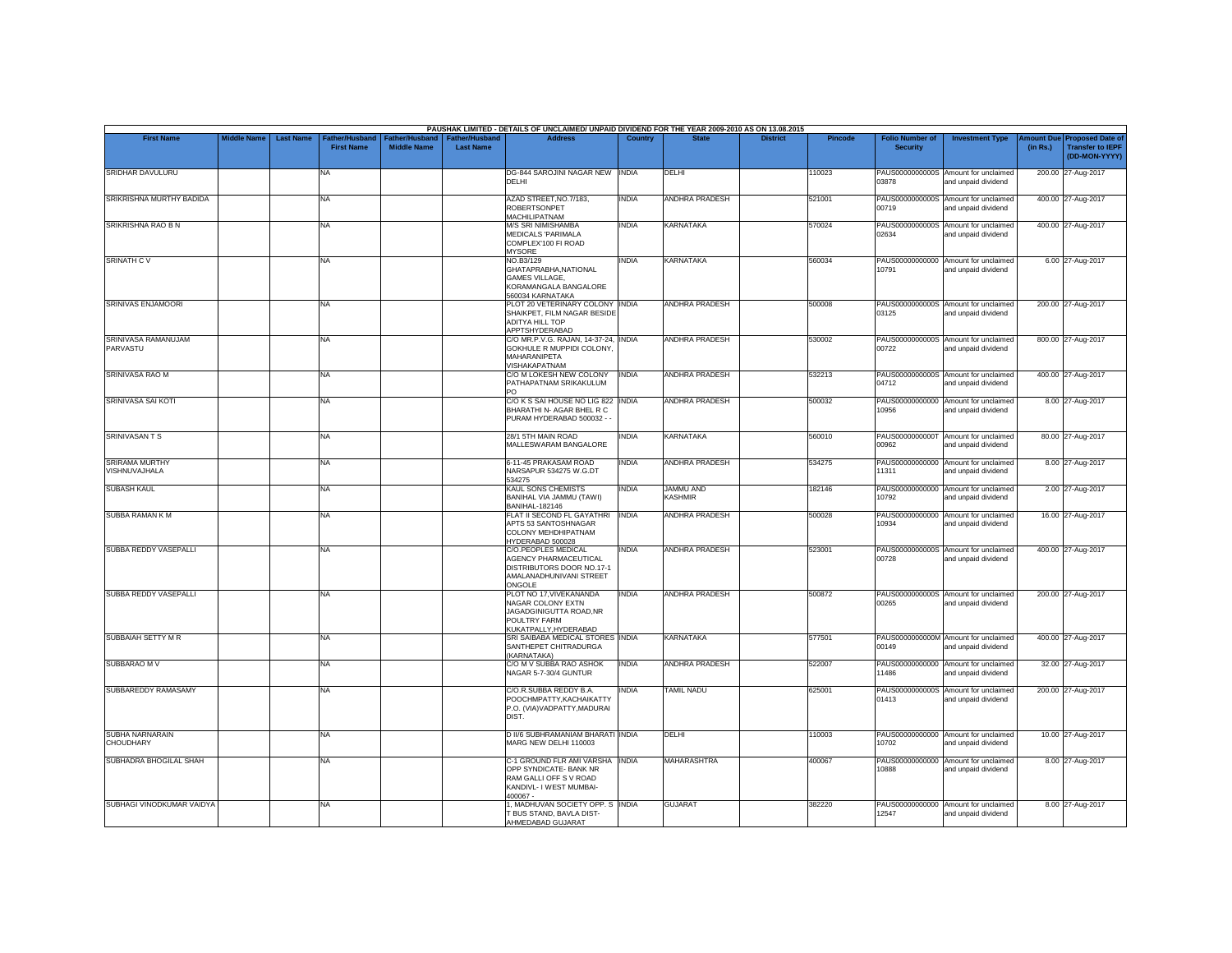|                                        |                    |                  |                                     |                                      |                                           | PAUSHAK LIMITED - DETAILS OF UNCLAIMED/ UNPAID DIVIDEND FOR THE YEAR 2009-2010 AS ON 13.08.2015                          |                |                                    |                 |                |                                           |                                                             |          |                                                                                |
|----------------------------------------|--------------------|------------------|-------------------------------------|--------------------------------------|-------------------------------------------|--------------------------------------------------------------------------------------------------------------------------|----------------|------------------------------------|-----------------|----------------|-------------------------------------------|-------------------------------------------------------------|----------|--------------------------------------------------------------------------------|
| <b>First Name</b>                      | <b>Middle Name</b> | <b>Last Name</b> | Father/Husband<br><b>First Name</b> | Father/Husband<br><b>Middle Name</b> | <b>Father/Husband</b><br><b>Last Name</b> | <b>Address</b>                                                                                                           | <b>Country</b> | <b>State</b>                       | <b>District</b> | <b>Pincode</b> | <b>Folio Number of</b><br><b>Security</b> | <b>Investment Type</b>                                      | (in Rs.) | <b>Amount Due Proposed Date of</b><br><b>Transfer to IEPF</b><br>(DD-MON-YYYY) |
| SRIDHAR DAVULURU                       |                    |                  | <b>NA</b>                           |                                      |                                           | DG-844 SAROJINI NAGAR NEW INDIA<br>DELHI                                                                                 |                | DELHI                              |                 | 110023         | 03878                                     | PAUS0000000000S Amount for unclaimed<br>and unpaid dividend |          | 200.00 27-Aug-2017                                                             |
| SRIKRISHNA MURTHY BADIDA               |                    |                  | <b>NA</b>                           |                                      |                                           | AZAD STREET.NO.7/183.<br>ROBERTSONPET<br>MACHILIPATNAM                                                                   | <b>INDIA</b>   | <b>ANDHRA PRADESH</b>              |                 | 521001         | PAUS0000000000S<br>00719                  | Amount for unclaimed<br>and unpaid dividend                 |          | 400.00 27-Aug-2017                                                             |
| <b>SRIKRISHNA RAO B N</b>              |                    |                  | <b>NA</b>                           |                                      |                                           | <b>M/S SRI NIMISHAMBA</b><br><b>MEDICALS 'PARIMALA</b><br>COMPLEX'100 FI ROAD<br><b>MYSORE</b>                           | <b>INDIA</b>   | <b>KARNATAKA</b>                   |                 | 570024         | 02634                                     | PAUS0000000000S Amount for unclaimed<br>and unpaid dividend |          | 400.00 27-Aug-2017                                                             |
| <b>SRINATH CV</b>                      |                    |                  | <b>NA</b>                           |                                      |                                           | NO.B3/129<br>GHATAPRABHA, NATIONAL<br><b>GAMES VILLAGE,</b><br>KORAMANGALA BANGALORE<br>560034 KARNATAKA                 | INDIA          | <b>KARNATAKA</b>                   |                 | 560034         | PAUS00000000000<br>10791                  | Amount for unclaimed<br>and unpaid dividend                 |          | 6.00 27-Aug-2017                                                               |
| SRINIVAS ENJAMOORI                     |                    |                  | <b>NA</b>                           |                                      |                                           | PLOT 20 VETERINARY COLONY INDIA<br>SHAIKPET, FILM NAGAR BESIDE<br><b>ADITYA HILL TOP</b><br>APPTSHYDERABAD               |                | <b>ANDHRA PRADESH</b>              |                 | 500008         | 03125                                     | PAUS0000000000S Amount for unclaimed<br>and unpaid dividend |          | 200.00 27-Aug-2017                                                             |
| SRINIVASA RAMANUJAM<br>PARVASTU        |                    |                  | <b>NA</b>                           |                                      |                                           | C/O MR.P.V.G. RAJAN. 14-37-24. INDIA<br>GOKHULE R MUPPIDI COLONY,<br>MAHARANIPETA<br>VISHAKAPATNAM                       |                | ANDHRA PRADESH                     |                 | 530002         | 00722                                     | PAUS0000000000S Amount for unclaimed<br>and unpaid dividend |          | 800.00 27-Aug-2017                                                             |
| SRINIVASA RAO M                        |                    |                  | <b>NA</b>                           |                                      |                                           | C/O M LOKESH NEW COLONY<br>PATHAPATNAM SRIKAKULUM<br>PO.                                                                 | <b>INDIA</b>   | ANDHRA PRADESH                     |                 | 532213         | 04712                                     | PAUS0000000000S Amount for unclaimed<br>and unpaid dividend |          | 400.00 27-Aug-2017                                                             |
| SRINIVASA SAI KOTI                     |                    |                  | <b>NA</b>                           |                                      |                                           | C/O K S SAI HOUSE NO LIG 822 INDIA<br>BHARATHI N- AGAR BHEL R C<br>PURAM HYDERABAD 500032 -                              |                | <b>ANDHRA PRADESH</b>              |                 | 500032         | PAUS00000000000<br>10956                  | Amount for unclaimed<br>and unpaid dividend                 |          | 8.00 27-Aug-2017                                                               |
| <b>SRINIVASANTS</b>                    |                    |                  | <b>NA</b>                           |                                      |                                           | 28/1 5TH MAIN ROAD<br>MALLESWARAM BANGALORE                                                                              | INDIA          | <b>KARNATAKA</b>                   |                 | 560010         | 00962                                     | PAUS0000000000T Amount for unclaimed<br>and unpaid dividend |          | 80.00 27-Aug-2017                                                              |
| <b>SRIRAMA MURTHY</b><br>VISHNUVAJHALA |                    |                  | <b>NA</b>                           |                                      |                                           | 6-11-45 PRAKASAM ROAD<br>NARSAPUR 534275 W.G.DT<br>534275                                                                | <b>INDIA</b>   | <b>ANDHRA PRADESH</b>              |                 | 534275         | 11311                                     | PAUS00000000000 Amount for unclaimed<br>and unpaid dividend |          | 8.00 27-Aug-2017                                                               |
| <b>SUBASH KAUL</b>                     |                    |                  | <b>NA</b>                           |                                      |                                           | KAUL SONS CHEMISTS<br>BANIHAL VIA JAMMU (TAWI)<br>BANIHAL-182146                                                         | <b>INDIA</b>   | <b>JAMMU AND</b><br><b>KASHMIR</b> |                 | 182146         | 10792                                     | PAUS00000000000 Amount for unclaimed<br>and unpaid dividend |          | 2.00 27-Aug-2017                                                               |
| SUBBA RAMAN K M                        |                    |                  | <b>NA</b>                           |                                      |                                           | FLAT II SECOND FL GAYATHRI<br>APTS 53 SANTOSHNAGAR<br>COLONY MEHDHIPATNAM<br>HYDERABAD 500028                            | <b>INDIA</b>   | ANDHRA PRADESH                     |                 | 500028         | PAUS00000000000<br>10934                  | Amount for unclaimed<br>and unpaid dividend                 |          | 16.00 27-Aug-2017                                                              |
| SUBBA REDDY VASEPALLI                  |                    |                  | <b>NA</b>                           |                                      |                                           | C/O.PEOPLES MEDICAL<br>AGENCY PHARMACEUTICAL<br>DISTRIBUTORS DOOR NO.17-1<br>AMALANADHUNIVANI STREET<br>ONGOLE           | <b>INDIA</b>   | ANDHRA PRADESH                     |                 | 523001         | 00728                                     | PAUS0000000000S Amount for unclaimed<br>and unpaid dividend |          | 400.00 27-Aug-2017                                                             |
| SUBBA REDDY VASEPALLI                  |                    |                  | <b>NA</b>                           |                                      |                                           | PLOT NO 17, VIVEKANANDA<br>NAGAR COLONY EXTN<br>JAGADGINIGUTTA ROAD, NR<br>POULTRY FARM<br>KUKATPALLY, HYDERABAD         | <b>INDIA</b>   | <b>ANDHRA PRADESH</b>              |                 | 500872         | 00265                                     | PAUS0000000000S Amount for unclaimed<br>and unpaid dividend |          | 200.00 27-Aug-2017                                                             |
| SUBBAIAH SETTY M R                     |                    |                  | <b>NA</b>                           |                                      |                                           | SRI SAIBABA MEDICAL STORES INDIA<br>SANTHEPET CHITRADURGA<br>(KARNATAKA)                                                 |                | <b>KARNATAKA</b>                   |                 | 577501         | 00149                                     | PAUS0000000000M Amount for unclaimed<br>and unpaid dividend |          | 400.00 27-Aug-2017                                                             |
| SUBBARAO M V                           |                    |                  | <b>NA</b>                           |                                      |                                           | C/O M V SUBBA RAO ASHOK<br>NAGAR 5-7-30/4 GUNTUR                                                                         | <b>INDIA</b>   | <b>ANDHRA PRADESH</b>              |                 | 522007         | PAUS00000000000<br>11486                  | Amount for unclaimed<br>and unpaid dividend                 |          | 32.00 27-Aug-2017                                                              |
| SUBBAREDDY RAMASAMY                    |                    |                  | <b>NA</b>                           |                                      |                                           | C/O.R.SUBBA REDDY B.A.<br>POOCHMPATTY, KACHAIKATTY<br>P.O. (VIA)VADPATTY, MADURAI<br>DIST.                               | <b>INDIA</b>   | <b>TAMIL NADU</b>                  |                 | 625001         | 01413                                     | PAUS0000000000S Amount for unclaimed<br>and unpaid dividend |          | 200.00 27-Aug-2017                                                             |
| SUBHA NARNARAIN<br>CHOUDHARY           |                    |                  | <b>NA</b>                           |                                      |                                           | D II/6 SUBHRAMANIAM BHARATI INDIA<br>MARG NEW DELHI 110003                                                               |                | DELHI                              |                 | 110003         | 10702                                     | PAUS00000000000 Amount for unclaimed<br>and unpaid dividend |          | 10.00 27-Aug-2017                                                              |
| SUBHADRA BHOGILAL SHAH                 |                    |                  | <b>NA</b>                           |                                      |                                           | C-1 GROUND FLR AMI VARSHA INDIA<br>OPP SYNDICATE- BANK NR<br>RAM GALLI OFF S V ROAD<br>KANDIVL- I WEST MUMBAI-<br>400067 |                | <b>MAHARASHTRA</b>                 |                 | 400067         | 88801                                     | PAUS00000000000 Amount for unclaimed<br>and unpaid dividend |          | 8.00 27-Aug-2017                                                               |
| SUBHAGI VINODKUMAR VAIDYA              |                    |                  | <b>NA</b>                           |                                      |                                           | . MADHUVAN SOCIETY OPP. S INDIA<br><b>BUS STAND, BAVLA DIST-</b><br>AHMEDABAD GUJARAT                                    |                | <b>GUJARAT</b>                     |                 | 382220         | 12547                                     | PAUS00000000000 Amount for unclaimed<br>and unpaid dividend |          | 8.00 27-Aug-2017                                                               |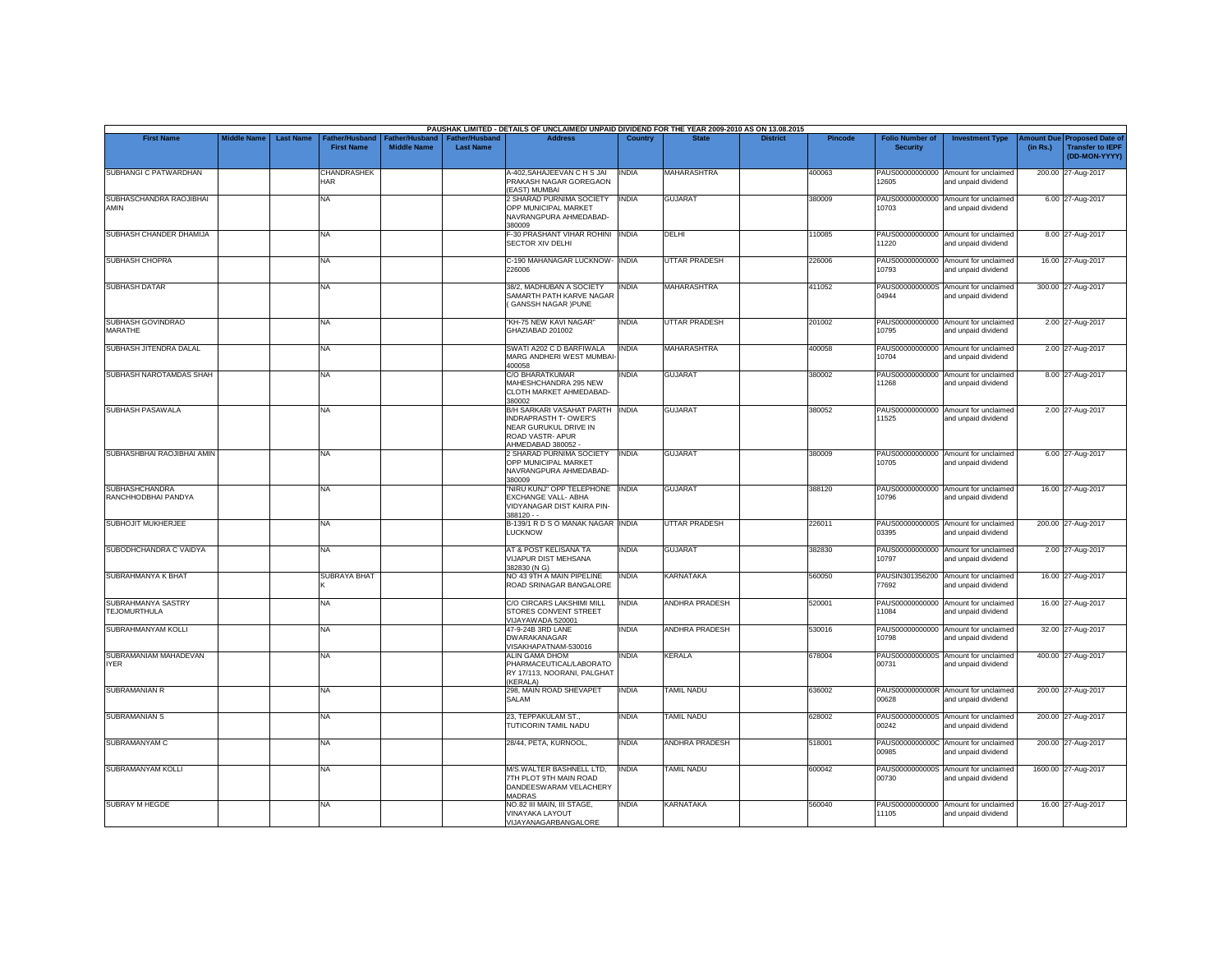|                                              |                                                                               |                                             |                                           | PAUSHAK LIMITED - DETAILS OF UNCLAIMED/ UNPAID DIVIDEND FOR THE YEAR 2009-2010 AS ON 13.08.2015                                  |                |                       |                 |                |                                           |                                                             |                               |                                                                     |
|----------------------------------------------|-------------------------------------------------------------------------------|---------------------------------------------|-------------------------------------------|----------------------------------------------------------------------------------------------------------------------------------|----------------|-----------------------|-----------------|----------------|-------------------------------------------|-------------------------------------------------------------|-------------------------------|---------------------------------------------------------------------|
| <b>First Name</b>                            | <b>Middle Name</b><br><b>Last Name</b><br>Father/Husband<br><b>First Name</b> | <b>Father/Husband</b><br><b>Middle Name</b> | <b>Father/Husband</b><br><b>Last Name</b> | <b>Address</b>                                                                                                                   | <b>Country</b> | <b>State</b>          | <b>District</b> | <b>Pincode</b> | <b>Folio Number of</b><br><b>Security</b> | <b>Investment Type</b>                                      | <b>Amount Due</b><br>(in Rs.) | <b>Proposed Date of</b><br><b>Transfer to IEPF</b><br>(DD-MON-YYYY) |
| SUBHANGI C PATWARDHAN                        | <b>CHANDRASHEK</b><br><b>HAR</b>                                              |                                             |                                           | A-402, SAHAJEEVAN C H S JAI<br>PRAKASH NAGAR GOREGAON<br>(EAST) MUMBAI                                                           | INDIA          | <b>MAHARASHTRA</b>    |                 | 400063         | 12605                                     | PAUS00000000000 Amount for unclaimed<br>and unpaid dividend |                               | 200.00 27-Aug-2017                                                  |
| SUBHASCHANDRA RAOJIBHAI<br>AMIN              | <b>NA</b>                                                                     |                                             |                                           | 2 SHARAD PURNIMA SOCIETY<br>OPP MUNICIPAL MARKET<br>NAVRANGPURA AHMEDABAD-<br>380009                                             | <b>INDIA</b>   | <b>GUJARAT</b>        |                 | 380009         | 10703                                     | PAUS00000000000 Amount for unclaimed<br>and unpaid dividend |                               | 6.00 27-Aug-2017                                                    |
| SUBHASH CHANDER DHAMIJA                      | <b>NA</b>                                                                     |                                             |                                           | F-30 PRASHANT VIHAR ROHINI INDIA<br><b>SECTOR XIV DELHI</b>                                                                      |                | DELHI                 |                 | 110085         | 11220                                     | PAUS00000000000 Amount for unclaimed<br>and unpaid dividend |                               | 8.00 27-Aug-2017                                                    |
| <b>SUBHASH CHOPRA</b>                        | <b>NA</b>                                                                     |                                             |                                           | C-190 MAHANAGAR LUCKNOW- INDIA<br>226006                                                                                         |                | <b>UTTAR PRADESH</b>  |                 | 226006         | 10793                                     | PAUS00000000000 Amount for unclaimed<br>and unpaid dividend |                               | 16.00 27-Aug-2017                                                   |
| <b>SUBHASH DATAR</b>                         | <b>NA</b>                                                                     |                                             |                                           | 38/2. MADHUBAN A SOCIETY<br>SAMARTH PATH KARVE NAGAR<br>(GANSSH NAGAR) PUNE                                                      | <b>INDIA</b>   | <b>MAHARASHTRA</b>    |                 | 411052         | 04944                                     | PAUS0000000000S Amount for unclaimed<br>and unpaid dividend |                               | 300.00 27-Aug-2017                                                  |
| SUBHASH GOVINDRAO<br>MARATHE                 | <b>NA</b>                                                                     |                                             |                                           | "KH-75 NEW KAVI NAGAR"<br>GHAZIABAD 201002                                                                                       | INDIA          | <b>UTTAR PRADESH</b>  |                 | 201002         | 10795                                     | PAUS00000000000 Amount for unclaimed<br>and unpaid dividend |                               | 2.00 27-Aug-2017                                                    |
| SUBHASH JITENDRA DALAL                       | <b>NA</b>                                                                     |                                             |                                           | SWATI A202 C D BARFIWALA<br>MARG ANDHERI WEST MUMBAI                                                                             | <b>INDIA</b>   | <b>MAHARASHTRA</b>    |                 | 400058         | 10704                                     | PAUS00000000000 Amount for unclaimed<br>and unpaid dividend |                               | 2.00 27-Aug-2017                                                    |
| SUBHASH NAROTAMDAS SHAH                      | <b>NA</b>                                                                     |                                             |                                           | 400058<br>C/O BHARATKUMAR<br>MAHESHCHANDRA 295 NEW<br>CLOTH MARKET AHMEDABAD-<br>380002                                          | INDIA          | <b>GUJARAT</b>        |                 | 380002         | PAUS00000000000<br>11268                  | Amount for unclaimed<br>and unpaid dividend                 |                               | 8.00 27-Aug-2017                                                    |
| SUBHASH PASAWALA                             | <b>NA</b>                                                                     |                                             |                                           | B/H SARKARI VASAHAT PARTH INDIA<br><b>INDRAPRASTH T- OWER'S</b><br>NEAR GURUKUL DRIVE IN<br>ROAD VASTR- APUR<br>AHMEDABAD 380052 |                | <b>GUJARAT</b>        |                 | 380052         | 11525                                     | PAUS00000000000 Amount for unclaimed<br>and unpaid dividend |                               | 2.00 27-Aug-2017                                                    |
| SUBHASHBHAI RAOJIBHAI AMIN                   | <b>NA</b>                                                                     |                                             |                                           | 2 SHARAD PURNIMA SOCIETY<br>OPP MUNICIPAL MARKET<br>NAVRANGPURA AHMEDABAD-<br>380009                                             | <b>INDIA</b>   | <b>GUJARAT</b>        |                 | 380009         | 10705                                     | PAUS00000000000 Amount for unclaimed<br>and unpaid dividend |                               | 6.00 27-Aug-2017                                                    |
| <b>SUBHASHCHANDRA</b><br>RANCHHODBHAI PANDYA | <b>NA</b>                                                                     |                                             |                                           | "NIRU KUNJ" OPP TELEPHONE<br>EXCHANGE VALL- ABHA<br>VIDYANAGAR DIST KAIRA PIN-<br>$388120 -$                                     | <b>INDIA</b>   | <b>GUJARAT</b>        |                 | 388120         | 10796                                     | PAUS00000000000 Amount for unclaimed<br>and unpaid dividend |                               | 16.00 27-Aug-2017                                                   |
| SUBHOJIT MUKHERJEE                           | <b>NA</b>                                                                     |                                             |                                           | B-139/1 R D S O MANAK NAGAR INDIA<br>LUCKNOW                                                                                     |                | <b>UTTAR PRADESH</b>  |                 | 226011         | PAUS0000000000S<br>03395                  | Amount for unclaimed<br>and unpaid dividend                 |                               | 200.00 27-Aug-2017                                                  |
| SUBODHCHANDRA C VAIDYA                       | <b>NA</b>                                                                     |                                             |                                           | AT & POST KELISANA TA<br><b>VIJAPUR DIST MEHSANA</b><br>382830 (N G)                                                             | <b>INDIA</b>   | <b>GUJARAT</b>        |                 | 382830         | 10797                                     | PAUS00000000000 Amount for unclaimed<br>and unpaid dividend |                               | 2.00 27-Aug-2017                                                    |
| SUBRAHMANYA K BHAT                           | <b>SUBRAYA BHAT</b>                                                           |                                             |                                           | NO 43 9TH A MAIN PIPELINE<br>ROAD SRINAGAR BANGALORE                                                                             | <b>INDIA</b>   | <b>KARNATAKA</b>      |                 | 560050         | 77692                                     | PAUSIN301356200 Amount for unclaimed<br>and unpaid dividend |                               | 16.00 27-Aug-2017                                                   |
| SUBRAHMANYA SASTRY<br><b>TEJOMURTHULA</b>    | <b>NA</b>                                                                     |                                             |                                           | C/O CIRCARS LAKSHIMI MILL<br>STORES CONVENT STREET<br>VIJAYAWADA 520001                                                          | <b>INDIA</b>   | <b>ANDHRA PRADESH</b> |                 | 520001         | PAUS00000000000<br>11084                  | Amount for unclaimed<br>and unpaid dividend                 |                               | 16.00 27-Aug-2017                                                   |
| SUBRAHMANYAM KOLLI                           | <b>NA</b>                                                                     |                                             |                                           | 47-9-24B 3RD LANE<br><b>DWARAKANAGAR</b><br>VISAKHAPATNAM-530016                                                                 | <b>INDIA</b>   | <b>ANDHRA PRADESH</b> |                 | 530016         | 10798                                     | PAUS00000000000 Amount for unclaimed<br>and unpaid dividend |                               | 32.00 27-Aug-2017                                                   |
| SUBRAMANIAM MAHADEVAN<br><b>IYER</b>         | <b>NA</b>                                                                     |                                             |                                           | ALIN GAMA DHOM<br>PHARMACEUTICAL/LABORATO<br>RY 17/113, NOORANI, PALGHAT<br>(KERALA)                                             | <b>INDIA</b>   | <b>KERALA</b>         |                 | 678004         | 00731                                     | PAUS0000000000S Amount for unclaimed<br>and unpaid dividend |                               | 400.00 27-Aug-2017                                                  |
| <b>SUBRAMANIAN R</b>                         | <b>NA</b>                                                                     |                                             |                                           | 298, MAIN ROAD SHEVAPET<br><b>SALAM</b>                                                                                          | <b>INDIA</b>   | <b>TAMIL NADU</b>     |                 | 636002         | 00628                                     | PAUS0000000000R Amount for unclaimed<br>and unpaid dividend |                               | 200.00 27-Aug-2017                                                  |
| <b>SUBRAMANIAN S</b>                         | <b>NA</b>                                                                     |                                             |                                           | 23, TEPPAKULAM ST.,<br>TUTICORIN TAMIL NADU                                                                                      | <b>INDIA</b>   | <b>TAMIL NADU</b>     |                 | 628002         | 00242                                     | PAUS0000000000S Amount for unclaimed<br>and unpaid dividend |                               | 200.00 27-Aug-2017                                                  |
| SUBRAMANYAM C                                | <b>NA</b>                                                                     |                                             |                                           | 28/44, PETA, KURNOOL,                                                                                                            | INDIA          | <b>ANDHRA PRADESH</b> |                 | 518001         | 00985                                     | PAUS0000000000C Amount for unclaimed<br>and unpaid dividend |                               | 200.00 27-Aug-2017                                                  |
| SUBRAMANYAM KOLLI                            | <b>NA</b>                                                                     |                                             |                                           | M/S.WALTER BASHNELL LTD,<br>7TH PLOT 9TH MAIN ROAD<br>DANDEESWARAM VELACHERY<br><b>MADRAS</b>                                    | <b>INDIA</b>   | <b>TAMIL NADU</b>     |                 | 600042         | 00730                                     | PAUS0000000000S Amount for unclaimed<br>and unpaid dividend |                               | 1600.00 27-Aug-2017                                                 |
| <b>SUBRAY M HEGDE</b>                        | <b>NA</b>                                                                     |                                             |                                           | NO.82 III MAIN. III STAGE.<br><b>VINAYAKA LAYOUT</b><br>VIJAYANAGARBANGALORE                                                     | INDIA          | <b>KARNATAKA</b>      |                 | 560040         | PAUS00000000000<br>11105                  | Amount for unclaimed<br>and unpaid dividend                 |                               | 16.00 27-Aug-2017                                                   |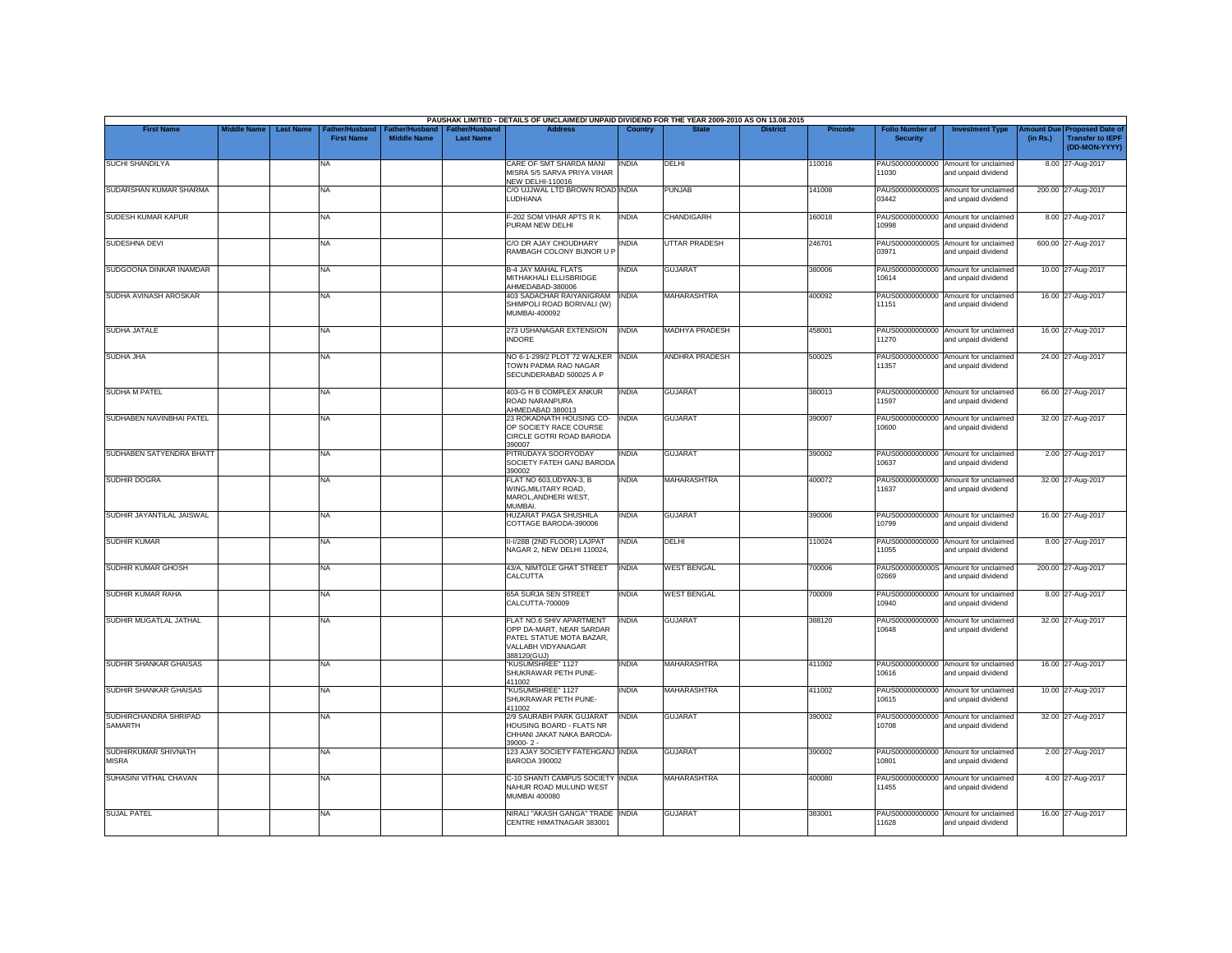|                                         |                    |                                                         |                                      |                                           | PAUSHAK LIMITED - DETAILS OF UNCLAIMED/ UNPAID DIVIDEND FOR THE YEAR 2009-2010 AS ON 13.08.2015                       |                |                      |                 |                |                                           |                                                             |          |                                                                        |
|-----------------------------------------|--------------------|---------------------------------------------------------|--------------------------------------|-------------------------------------------|-----------------------------------------------------------------------------------------------------------------------|----------------|----------------------|-----------------|----------------|-------------------------------------------|-------------------------------------------------------------|----------|------------------------------------------------------------------------|
| <b>First Name</b>                       | <b>Middle Name</b> | <b>Last Name</b><br>Father/Husband<br><b>First Name</b> | Father/Husband<br><b>Middle Name</b> | <b>Father/Husband</b><br><b>Last Name</b> | <b>Address</b>                                                                                                        | <b>Country</b> | <b>State</b>         | <b>District</b> | <b>Pincode</b> | <b>Folio Number of</b><br><b>Security</b> | <b>Investment Type</b>                                      | (in Rs.) | mount Due Proposed Date of<br><b>Transfer to IEPF</b><br>(DD-MON-YYYY) |
| <b>SUCHI SHANDILYA</b>                  |                    | NA                                                      |                                      |                                           | CARE OF SMT SHARDA MANI<br>MISRA 5/5 SARVA PRIYA VIHAR<br><b>NEW DELHI-110016</b>                                     | <b>INDIA</b>   | DELHI                |                 | 110016         | PAUS00000000000<br>11030                  | Amount for unclaimed<br>and unpaid dividend                 |          | 8.00 27-Aug-2017                                                       |
| SUDARSHAN KUMAR SHARMA                  |                    | <b>NA</b>                                               |                                      |                                           | C/O UJJWAL LTD BROWN ROAD INDIA<br>LUDHIANA                                                                           |                | <b>PUNJAB</b>        |                 | 141008         | 03442                                     | PAUS0000000000S Amount for unclaimed<br>and unpaid dividend |          | 200.00 27-Aug-2017                                                     |
| SUDESH KUMAR KAPUR                      |                    | <b>NA</b>                                               |                                      |                                           | F-202 SOM VIHAR APTS R K<br>PURAM NEW DELHI                                                                           | <b>INDIA</b>   | <b>CHANDIGARH</b>    |                 | 160018         | PAUS00000000000<br>10998                  | Amount for unclaimed<br>and unpaid dividend                 |          | 8.00 27-Aug-2017                                                       |
| SUDESHNA DEVI                           |                    | <b>NA</b>                                               |                                      |                                           | C/O DR AJAY CHOUDHARY<br>RAMBAGH COLONY BIJNOR U F                                                                    | <b>INDIA</b>   | <b>UTTAR PRADESH</b> |                 | 246701         | 03971                                     | PAUS0000000000S Amount for unclaimed<br>and unpaid dividend |          | 600.00 27-Aug-2017                                                     |
| SUDGOONA DINKAR INAMDAR                 |                    | NA                                                      |                                      |                                           | <b>B-4 JAY MAHAL FLATS</b><br>MITHAKHALI ELLISBRIDGE<br>AHMEDABAD-380006                                              | INDIA          | <b>GUJARAT</b>       |                 | 380006         | PAUS00000000000<br>10614                  | Amount for unclaimed<br>and unpaid dividend                 |          | 10.00 27-Aug-2017                                                      |
| SUDHA AVINASH AROSKAR                   |                    | <b>NA</b>                                               |                                      |                                           | 403 SADACHAR RAIYANIGRAM<br>SHIMPOLI ROAD BORIVALI (W)<br>MUMBAI-400092                                               | <b>INDIA</b>   | <b>MAHARASHTRA</b>   |                 | 400092         | 11151                                     | PAUS00000000000 Amount for unclaimed<br>and unpaid dividend |          | 16.00 27-Aug-2017                                                      |
| SUDHA JATALE                            |                    | <b>NA</b>                                               |                                      |                                           | 273 USHANAGAR EXTENSION<br><b>INDORF</b>                                                                              | <b>INDIA</b>   | MADHYA PRADESH       |                 | 458001         | 11270                                     | PAUS00000000000 Amount for unclaimed<br>and unpaid dividend |          | 16.00 27-Aug-2017                                                      |
| SUDHA JHA                               |                    | <b>NA</b>                                               |                                      |                                           | NO 6-1-299/2 PLOT 72 WALKER  INDIA<br>TOWN PADMA RAO NAGAR<br>SECUNDERABAD 500025 A P                                 |                | ANDHRA PRADESH       |                 | 500025         | 11357                                     | PAUS00000000000 Amount for unclaimed<br>and unpaid dividend |          | 24.00 27-Aug-2017                                                      |
| <b>SUDHA M PATEL</b>                    |                    | <b>NA</b>                                               |                                      |                                           | 403-G H B COMPLEX ANKUR<br>ROAD NARANPURA<br>AHMEDABAD 380013                                                         | <b>INDIA</b>   | <b>GUJARAT</b>       |                 | 380013         | 11597                                     | PAUS00000000000 Amount for unclaimed<br>and unpaid dividend |          | 66.00 27-Aug-2017                                                      |
| SUDHABEN NAVINBHAI PATEL                |                    | <b>NA</b>                                               |                                      |                                           | 23 ROKADNATH HOUSING CO-<br>OP SOCIETY RACE COURSE<br>CIRCLE GOTRI ROAD BARODA<br>390007                              | <b>INDIA</b>   | <b>GUJARAT</b>       |                 | 390007         | PAUS00000000000<br>10600                  | Amount for unclaimed<br>and unpaid dividend                 |          | 32.00 27-Aug-2017                                                      |
| SUDHABEN SATYENDRA BHATT                |                    | <b>NA</b>                                               |                                      |                                           | PITRUDAYA SOORYODAY<br>SOCIETY FATEH GANJ BARODA<br>390002                                                            | <b>INDIA</b>   | <b>GUJARAT</b>       |                 | 390002         | 10637                                     | PAUS00000000000 Amount for unclaimed<br>and unpaid dividend |          | 2.00 27-Aug-2017                                                       |
| <b>SUDHIR DOGRA</b>                     |                    | <b>NA</b>                                               |                                      |                                           | FLAT NO 603, UDYAN-3, B<br>WING.MILITARY ROAD.<br>MAROL, ANDHERI WEST,<br><b>MUMBAI</b>                               | INDIA          | <b>MAHARASHTRA</b>   |                 | 400072         | 11637                                     | PAUS00000000000 Amount for unclaimed<br>and unpaid dividend |          | 32.00 27-Aug-2017                                                      |
| SUDHIR JAYANTILAL JAISWAL               |                    | <b>NA</b>                                               |                                      |                                           | <b>HUZARAT PAGA SHUSHILA</b><br>COTTAGE BARODA-390006                                                                 | INDIA          | <b>GUJARAT</b>       |                 | 390006         | PAUS00000000000<br>10799                  | Amount for unclaimed<br>and unpaid dividend                 |          | 16.00 27-Aug-2017                                                      |
| <b>SUDHIR KUMAR</b>                     |                    | <b>NA</b>                                               |                                      |                                           | II-I/28B (2ND FLOOR) LAJPAT<br>NAGAR 2, NEW DELHI 110024,                                                             | <b>INDIA</b>   | DELHI                |                 | 110024         | 11055                                     | PAUS00000000000 Amount for unclaimed<br>and unpaid dividend |          | 8.00 27-Aug-2017                                                       |
| SUDHIR KUMAR GHOSH                      |                    | <b>NA</b>                                               |                                      |                                           | 43/A. NIMTOLE GHAT STREET<br>CALCUTTA                                                                                 | <b>INDIA</b>   | <b>WEST BENGAL</b>   |                 | 700006         | PAUS0000000000S<br>02669                  | Amount for unclaimed<br>and unpaid dividend                 |          | 200.00 27-Aug-2017                                                     |
| SUDHIR KUMAR RAHA                       |                    | <b>NA</b>                                               |                                      |                                           | 65A SURJA SEN STREET<br>CALCUTTA-700009                                                                               | <b>INDIA</b>   | <b>WEST BENGAL</b>   |                 | 700009         | 10940                                     | PAUS00000000000 Amount for unclaimed<br>and unpaid dividend |          | 8.00 27-Aug-2017                                                       |
| SUDHIR MUGATLAL JATHAL                  |                    | NA                                                      |                                      |                                           | FLAT NO.6 SHIV APARTMENT<br>OPP DA-MART, NEAR SARDAR<br>PATEL STATUE MOTA BAZAR.<br>VALLABH VIDYANAGAR<br>388120(GUJ) | <b>INDIA</b>   | <b>GUJARAT</b>       |                 | 388120         | PAUS00000000000<br>10648                  | Amount for unclaimed<br>and unpaid dividend                 |          | 32.00 27-Aug-2017                                                      |
| SUDHIR SHANKAR GHAISAS                  |                    | <b>NA</b>                                               |                                      |                                           | "KUSUMSHREE" 1127<br>SHUKRAWAR PETH PUNE-<br>411002                                                                   | <b>INDIA</b>   | <b>MAHARASHTRA</b>   |                 | 411002         | 10616                                     | PAUS00000000000 Amount for unclaimed<br>and unpaid dividend |          | 16.00 27-Aug-2017                                                      |
| SUDHIR SHANKAR GHAISAS                  |                    | <b>NA</b>                                               |                                      |                                           | "KUSUMSHREE" 1127<br>SHUKRAWAR PETH PUNE-<br>411002                                                                   | INDIA          | <b>MAHARASHTRA</b>   |                 | 411002         | 10615                                     | PAUS00000000000 Amount for unclaimed<br>and unpaid dividend |          | 10.00 27-Aug-2017                                                      |
| SUDHIRCHANDRA SHRIPAD<br><b>SAMARTH</b> |                    | NA                                                      |                                      |                                           | 2/9 SAURABH PARK GUJARAT<br>HOUSING BOARD - FLATS NR<br>CHHANI JAKAT NAKA BARODA-<br>39000-2-                         | <b>INDIA</b>   | <b>GUJARAT</b>       |                 | 390002         | PAUS00000000000<br>10708                  | Amount for unclaimed<br>and unpaid dividend                 |          | 32.00 27-Aug-2017                                                      |
| SUDHIRKUMAR SHIVNATH<br><b>MISRA</b>    |                    | <b>NA</b>                                               |                                      |                                           | 123 AJAY SOCIETY FATEHGANJ INDIA<br><b>BARODA 390002</b>                                                              |                | <b>GUJARAT</b>       |                 | 390002         | 10801                                     | PAUS00000000000 Amount for unclaimed<br>and unpaid dividend |          | 2.00 27-Aug-2017                                                       |
| SUHASINI VITHAL CHAVAN                  |                    | <b>NA</b>                                               |                                      |                                           | C-10 SHANTI CAMPUS SOCIETY INDIA<br>NAHUR ROAD MULUND WEST<br>MUMBAI 400080                                           |                | <b>MAHARASHTRA</b>   |                 | 400080         | 11455                                     | PAUS00000000000 Amount for unclaimed<br>and unpaid dividend |          | 4.00 27-Aug-2017                                                       |
| <b>SUJAL PATEL</b>                      |                    | <b>NA</b>                                               |                                      |                                           | NIRALI "AKASH GANGA" TRADE INDIA<br>CENTRE HIMATNAGAR 383001                                                          |                | <b>GUJARAT</b>       |                 | 383001         | 11628                                     | PAUS00000000000 Amount for unclaimed<br>and unpaid dividend |          | 16.00 27-Aug-2017                                                      |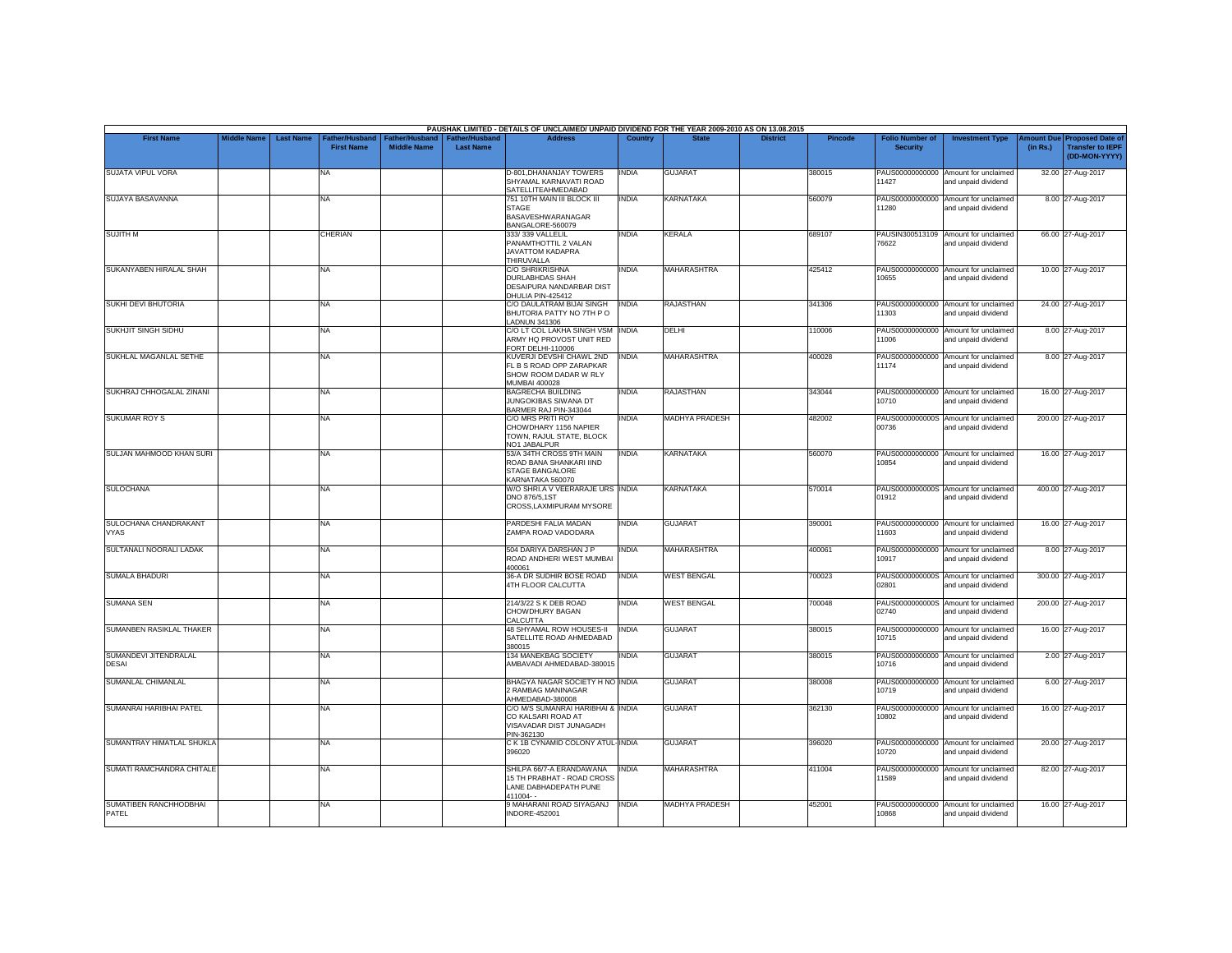|                                        |                    |                  |                                            |                                             |                                           | PAUSHAK LIMITED - DETAILS OF UNCLAIMED/ UNPAID DIVIDEND FOR THE YEAR 2009-2010 AS ON 13.08.2015                |              |                                  |                 |         |                                           |                                                             |          |                                                                                |
|----------------------------------------|--------------------|------------------|--------------------------------------------|---------------------------------------------|-------------------------------------------|----------------------------------------------------------------------------------------------------------------|--------------|----------------------------------|-----------------|---------|-------------------------------------------|-------------------------------------------------------------|----------|--------------------------------------------------------------------------------|
| <b>First Name</b>                      | <b>Middle Name</b> | <b>Last Name</b> | <b>Father/Husband</b><br><b>First Name</b> | <b>Father/Husband</b><br><b>Middle Name</b> | <b>Father/Husband</b><br><b>Last Name</b> | <b>Address</b>                                                                                                 | Country      | <b>State</b>                     | <b>District</b> | Pincode | <b>Folio Number of</b><br><b>Security</b> | <b>Investment Type</b>                                      | (in Rs.) | <b>Amount Due Proposed Date of</b><br><b>Transfer to IEPF</b><br>(DD-MON-YYYY) |
| <b>SUJATA VIPUL VORA</b>               |                    |                  | <b>NA</b>                                  |                                             |                                           | D-801, DHANANJAY TOWERS<br>SHYAMAL KARNAVATI ROAD<br>SATELLITEAHMEDABAD                                        | INDIA        | <b>GUJARAT</b>                   |                 | 380015  | 11427                                     | PAUS00000000000 Amount for unclaimed<br>and unpaid dividend |          | 32.00 27-Aug-2017                                                              |
| SUJAYA BASAVANNA                       |                    |                  | <b>NA</b>                                  |                                             |                                           | 751 10TH MAIN III BLOCK III<br><b>STAGE</b><br>BASAVESHWARANAGAR<br>BANGALORE-560079                           | <b>INDIA</b> | <b>KARNATAKA</b>                 |                 | 560079  | PAUS00000000000<br>11280                  | Amount for unclaimed<br>and unpaid dividend                 |          | 8.00 27-Aug-2017                                                               |
| <b>SUJITH M</b>                        |                    |                  | CHERIAN                                    |                                             |                                           | 333/339 VALLELIL<br>PANAMTHOTTIL 2 VALAN<br><b>JAVATTOM KADAPRA</b><br>THIRUVALLA                              | INDIA        | <b>KERALA</b>                    |                 | 689107  | PAUSIN300513109<br>76622                  | Amount for unclaimed<br>and unpaid dividend                 |          | 66.00 27-Aug-2017                                                              |
| SUKANYABEN HIRALAL SHAH                |                    |                  | <b>NA</b>                                  |                                             |                                           | <b>C/O SHRIKRISHNA</b><br><b>DURLABHDAS SHAH</b><br>DESAIPURA NANDARBAR DIST<br>DHULIA PIN-425412              | INDIA        | <b>MAHARASHTRA</b>               |                 | 425412  | 10655                                     | PAUS00000000000 Amount for unclaimed<br>and unpaid dividend |          | 10.00 27-Aug-2017                                                              |
| SUKHI DEVI BHUTORIA                    |                    |                  | <b>NA</b>                                  |                                             |                                           | C/O DAULATRAM BIJAI SINGH<br>BHUTORIA PATTY NO 7TH PO<br><b>LADNUN 341306</b>                                  | <b>INDIA</b> | <b>RAJASTHAN</b>                 |                 | 341306  | 11303                                     | PAUS00000000000 Amount for unclaimed<br>and unpaid dividend |          | 24.00 27-Aug-2017                                                              |
| <b>SUKHJIT SINGH SIDHU</b>             |                    |                  | <b>NA</b>                                  |                                             |                                           | C/O LT COL LAKHA SINGH VSM<br>ARMY HQ PROVOST UNIT RED<br>FORT DELHI-110006                                    | <b>INDIA</b> | DELHI                            |                 | 110006  | PAUS00000000000<br>11006                  | Amount for unclaimed<br>and unpaid dividend                 |          | 8.00 27-Aug-2017                                                               |
| SUKHLAL MAGANLAL SETHE                 |                    |                  | <b>NA</b>                                  |                                             |                                           | KUVERJI DEVSHI CHAWL 2ND<br>FL B S ROAD OPP ZARAPKAR<br>SHOW ROOM DADAR W RLY<br>MUMBAI 400028                 | <b>INDIA</b> | MAHARASHTRA                      |                 | 400028  | 11174                                     | PAUS00000000000 Amount for unclaimed<br>and unpaid dividend |          | 8.00 27-Aug-2017                                                               |
| SUKHRAJ CHHOGALAL ZINANI               |                    |                  | <b>NA</b>                                  |                                             |                                           | <b>BAGRECHA BUILDING</b><br><b>JUNGOKIBAS SIWANA DT</b><br>BARMER RAJ PIN-343044                               | INDIA        | <b>RAJASTHAN</b>                 |                 | 343044  | PAUS00000000000<br>10710                  | Amount for unclaimed<br>and unpaid dividend                 |          | 16.00 27-Aug-2017                                                              |
| <b>SUKUMAR ROY S</b>                   |                    |                  | <b>NA</b>                                  |                                             |                                           | C/O MRS PRITI ROY<br>CHOWDHARY 1156 NAPIER<br>TOWN, RAJUL STATE, BLOCK<br>NO1 JABALPUR                         | INDIA        | <b>MADHYA PRADESH</b>            |                 | 482002  | 00736                                     | PAUS0000000000S Amount for unclaimed<br>and unpaid dividend |          | 200.00 27-Aug-2017                                                             |
| SULJAN MAHMOOD KHAN SURI               |                    |                  | <b>NA</b>                                  |                                             |                                           | 53/A 34TH CROSS 9TH MAIN<br>ROAD BANA SHANKARI IIND<br><b>STAGE BANGALORE</b><br>KARNATAKA 560070              | INDIA        | <b>KARNATAKA</b>                 |                 | 560070  | 10854                                     | PAUS00000000000 Amount for unclaimed<br>and unpaid dividend |          | 16.00 27-Aug-2017                                                              |
| <b>SULOCHANA</b>                       |                    |                  | <b>NA</b>                                  |                                             |                                           | W/O SHRI.A V VEERARAJE URS INDIA<br>DNO 876/5.1ST<br>CROSS.LAXMIPURAM MYSORE                                   |              | <b>KARNATAKA</b>                 |                 | 570014  | 01912                                     | PAUS0000000000S Amount for unclaimed<br>and unpaid dividend |          | 400.00 27-Aug-2017                                                             |
| SULOCHANA CHANDRAKANT<br><b>VYAS</b>   |                    |                  | <b>NA</b>                                  |                                             |                                           | PARDESHI FALIA MADAN<br>ZAMPA ROAD VADODARA                                                                    | <b>INDIA</b> | <b>GUJARAT</b>                   |                 | 390001  | PAUS00000000000<br>11603                  | Amount for unclaimed<br>and unpaid dividend                 |          | 16.00 27-Aug-2017                                                              |
| SULTANALI NOORALI LADAK                |                    |                  | <b>NA</b>                                  |                                             |                                           | 504 DARIYA DARSHAN J P<br>ROAD ANDHERI WEST MUMBAI<br>400061                                                   | <b>INDIA</b> | <b>MAHARASHTRA</b>               |                 | 400061  | 10917                                     | PAUS00000000000 Amount for unclaimed<br>and unpaid dividend |          | 8.00 27-Aug-2017                                                               |
| SUMALA BHADURI                         |                    |                  | <b>NA</b>                                  |                                             |                                           | 36-A DR SUDHIR BOSE ROAD<br>4TH FLOOR CALCUTTA                                                                 | <b>INDIA</b> | <b>WEST BENGAL</b>               |                 | 700023  | 02801                                     | PAUS0000000000S Amount for unclaimed<br>and unpaid dividend |          | 300.00 27-Aug-2017                                                             |
| <b>SUMANA SEN</b>                      |                    |                  | <b>NA</b>                                  |                                             |                                           | 214/3/22 S K DEB ROAD<br>CHOWDHURY BAGAN<br>CALCUTTA                                                           | <b>INDIA</b> | <b>WEST BENGAL</b>               |                 | 700048  | 02740                                     | PAUS0000000000S Amount for unclaimed<br>and unpaid dividend |          | 200.00 27-Aug-2017                                                             |
| SUMANBEN RASIKLAL THAKER               |                    |                  | <b>NA</b>                                  |                                             |                                           | 48 SHYAMAL ROW HOUSES-II<br>SATELLITE ROAD AHMEDABAD<br>380015                                                 | <b>INDIA</b> | <b>GUJARAT</b>                   |                 | 380015  | 10715                                     | PAUS00000000000 Amount for unclaimed<br>and unpaid dividend |          | 16.00 27-Aug-2017                                                              |
| SUMANDEVI JITENDRALAL<br><b>DESAI</b>  |                    |                  | <b>NA</b>                                  |                                             |                                           | 134 MANEKBAG SOCIETY<br>AMBAVADI AHMEDABAD-380015                                                              | INDIA        | <b>GUJARAT</b>                   |                 | 380015  | 10716                                     | PAUS00000000000 Amount for unclaimed<br>and unpaid dividend |          | 2.00 27-Aug-2017                                                               |
| SUMANLAL CHIMANLAL                     |                    |                  | <b>NA</b><br><b>NA</b>                     |                                             |                                           | BHAGYA NAGAR SOCIETY H NO INDIA<br>2 RAMBAG MANINAGAR<br>AHMEDABAD-380008<br>C/O M/S SUMANRAI HARIBHAI & INDIA |              | <b>GUJARAT</b><br><b>GUJARAT</b> |                 | 380008  | PAUS00000000000<br>10719                  | Amount for unclaimed<br>and unpaid dividend                 |          | 6.00 27-Aug-2017                                                               |
| SUMANRAI HARIBHAI PATEL                |                    |                  |                                            |                                             |                                           | CO KALSARI ROAD AT<br>VISAVADAR DIST JUNAGADH<br>PIN-362130                                                    |              |                                  |                 | 362130  | 10802                                     | PAUS00000000000 Amount for unclaimed<br>and unpaid dividend |          | 16.00 27-Aug-2017                                                              |
| SUMANTRAY HIMATLAL SHUKLA              |                    |                  | <b>NA</b>                                  |                                             |                                           | C K 1B CYNAMID COLONY ATUL-INDIA<br>396020                                                                     |              | <b>GUJARAT</b>                   |                 | 396020  | 10720                                     | PAUS00000000000 Amount for unclaimed<br>and unpaid dividend |          | 20.00 27-Aug-2017                                                              |
| SUMATI RAMCHANDRA CHITALE              |                    |                  | <b>NA</b>                                  |                                             |                                           | SHILPA 66/7-A ERANDAWANA<br>15 TH PRABHAT - ROAD CROSS<br>LANE DABHADEPATH PUNE<br>411004--                    | <b>INDIA</b> | MAHARASHTRA                      |                 | 411004  | 11589                                     | PAUS00000000000 Amount for unclaimed<br>and unpaid dividend |          | 82.00 27-Aug-2017                                                              |
| SUMATIBEN RANCHHODBHAI<br><b>PATEL</b> |                    |                  | <b>NA</b>                                  |                                             |                                           | 9 MAHARANI ROAD SIYAGANJ<br><b>INDORE-452001</b>                                                               | <b>INDIA</b> | <b>MADHYA PRADESH</b>            |                 | 452001  | 88801                                     | PAUS00000000000 Amount for unclaimed<br>and unpaid dividend |          | 16.00 27-Aug-2017                                                              |
|                                        |                    |                  |                                            |                                             |                                           |                                                                                                                |              |                                  |                 |         |                                           |                                                             |          |                                                                                |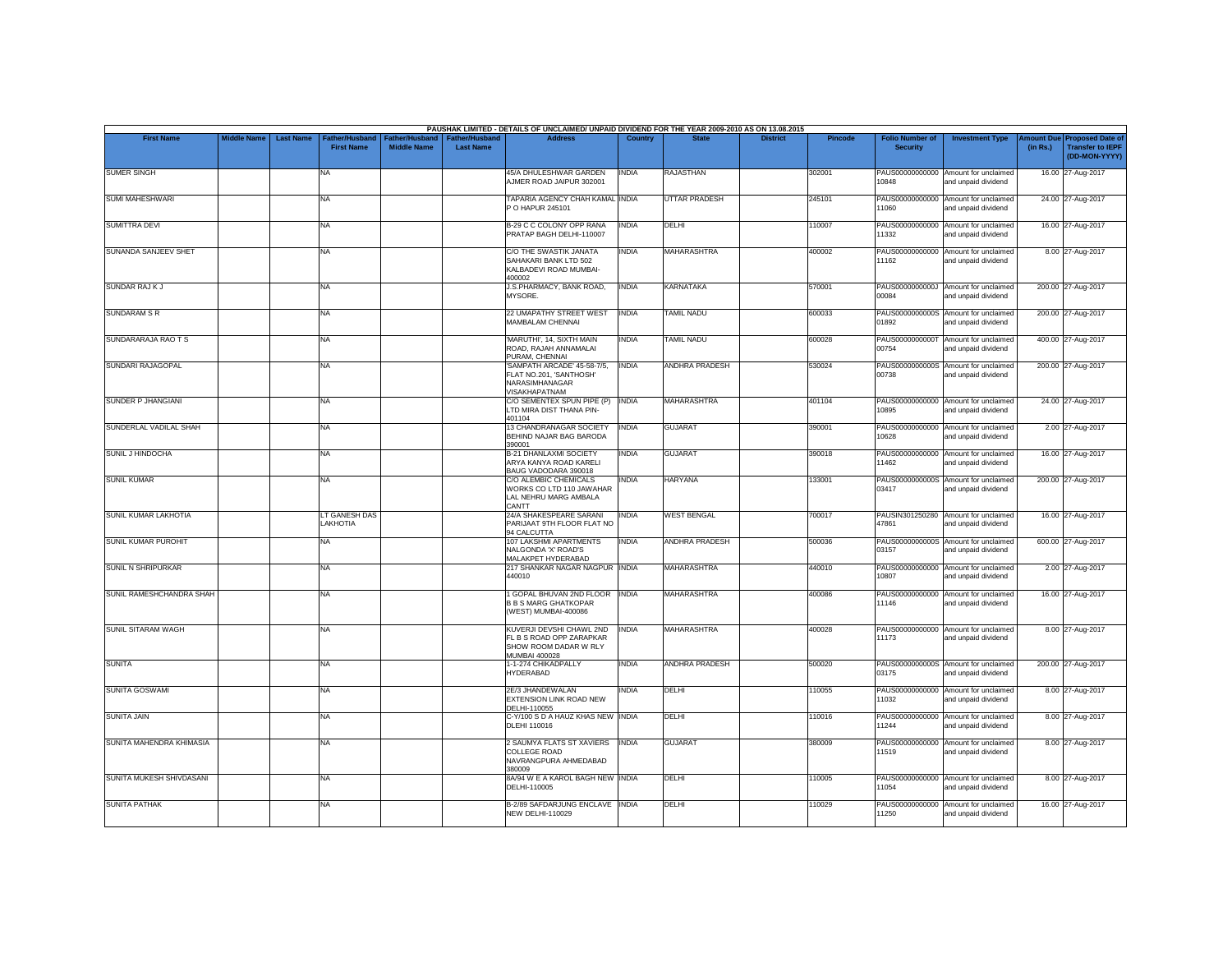|                            |                    |                  |                                     |                                      |                                           | PAUSHAK LIMITED - DETAILS OF UNCLAIMED/ UNPAID DIVIDEND FOR THE YEAR 2009-2010 AS ON 13.08.2015 |              |                       |                 |                |                                           |                                                             |                       |                                                                     |
|----------------------------|--------------------|------------------|-------------------------------------|--------------------------------------|-------------------------------------------|-------------------------------------------------------------------------------------------------|--------------|-----------------------|-----------------|----------------|-------------------------------------------|-------------------------------------------------------------|-----------------------|---------------------------------------------------------------------|
| <b>First Name</b>          | <b>Middle Name</b> | <b>Last Name</b> | Father/Husband<br><b>First Name</b> | Father/Husband<br><b>Middle Name</b> | <b>Father/Husband</b><br><b>Last Name</b> | <b>Address</b>                                                                                  | Country      | <b>State</b>          | <b>District</b> | <b>Pincode</b> | <b>Folio Number of</b><br><b>Security</b> | <b>Investment Type</b>                                      | mount Due<br>(in Rs.) | <b>Proposed Date of</b><br><b>Transfer to IEPF</b><br>(DD-MON-YYYY) |
| <b>SUMER SINGH</b>         |                    |                  | <b>NA</b>                           |                                      |                                           | 45/A DHULESHWAR GARDEN<br>AJMER ROAD JAIPUR 302001                                              | <b>INDIA</b> | <b>RAJASTHAN</b>      |                 | 302001         | 10848                                     | PAUS00000000000 Amount for unclaimed<br>and unpaid dividend |                       | 16.00 27-Aug-2017                                                   |
| <b>SUMI MAHESHWARI</b>     |                    |                  | <b>NA</b>                           |                                      |                                           | TAPARIA AGENCY CHAH KAMAL INDIA<br>P O HAPUR 245101                                             |              | <b>UTTAR PRADESH</b>  |                 | 245101         | 11060                                     | PAUS00000000000 Amount for unclaimed<br>and unpaid dividend |                       | 24.00 27-Aug-2017                                                   |
| <b>SUMITTRA DEVI</b>       |                    |                  | <b>NA</b>                           |                                      |                                           | <b>B-29 C C COLONY OPP RANA</b><br>PRATAP BAGH DELHI-110007                                     | INDIA        | DELHI                 |                 | 110007         | PAUS00000000000<br>11332                  | Amount for unclaimed<br>and unpaid dividend                 |                       | 16.00 27-Aug-2017                                                   |
| SUNANDA SANJEEV SHET       |                    |                  | <b>NA</b>                           |                                      |                                           | C/O THE SWASTIK JANATA<br>SAHAKARI BANK LTD 502<br>KALBADEVI ROAD MUMBAI-<br>400002             | INDIA        | MAHARASHTRA           |                 | 400002         | PAUS00000000000<br>11162                  | Amount for unclaimed<br>and unpaid dividend                 |                       | 8.00 27-Aug-2017                                                    |
| <b>SUNDAR RAJ KJ</b>       |                    |                  | <b>NA</b>                           |                                      |                                           | J.S.PHARMACY, BANK ROAD,<br>MYSORE.                                                             | <b>INDIA</b> | <b>KARNATAKA</b>      |                 | 570001         | 00084                                     | PAUS0000000000J Amount for unclaimed<br>and unpaid dividend |                       | 200.00 27-Aug-2017                                                  |
| <b>SUNDARAM S R</b>        |                    |                  | <b>NA</b>                           |                                      |                                           | 22 UMAPATHY STREET WEST<br><b>MAMBALAM CHENNAI</b>                                              | <b>INDIA</b> | <b>TAMIL NADU</b>     |                 | 600033         | 01892                                     | PAUS0000000000S Amount for unclaimed<br>and unpaid dividend |                       | 200.00 27-Aug-2017                                                  |
| SUNDARARAJA RAO T S        |                    |                  | <b>NA</b>                           |                                      |                                           | 'MARUTHI', 14, SIXTH MAIN<br>ROAD, RAJAH ANNAMALAI<br>PURAM, CHENNAI                            | <b>INDIA</b> | TAMIL NADU            |                 | 600028         | 00754                                     | PAUS0000000000T Amount for unclaimed<br>and unpaid dividend |                       | 400.00 27-Aug-2017                                                  |
| SUNDARI RAJAGOPAL          |                    |                  | <b>NA</b>                           |                                      |                                           | 'SAMPATH ARCADE' 45-58-7/5.<br>FLAT NO.201, 'SANTHOSH'<br>NARASIMHANAGAR<br>VISAKHAPATNAM       | <b>INDIA</b> | <b>ANDHRA PRADESH</b> |                 | 530024         | 00738                                     | PAUS0000000000S Amount for unclaimed<br>and unpaid dividend |                       | 200.00 27-Aug-2017                                                  |
| <b>SUNDER P JHANGIANI</b>  |                    |                  | <b>NA</b>                           |                                      |                                           | C/O SEMENTEX SPUN PIPE (P)<br>LTD MIRA DIST THANA PIN-<br>401104                                | <b>INDIA</b> | <b>MAHARASHTRA</b>    |                 | 401104         | 10895                                     | PAUS00000000000 Amount for unclaimed<br>and unpaid dividend |                       | 24.00 27-Aug-2017                                                   |
| SUNDERLAL VADILAL SHAH     |                    |                  | <b>NA</b>                           |                                      |                                           | 13 CHANDRANAGAR SOCIETY<br>BEHIND NAJAR BAG BARODA<br>390001                                    | <b>INDIA</b> | <b>GUJARAT</b>        |                 | 390001         | 10628                                     | PAUS00000000000 Amount for unclaimed<br>and unpaid dividend |                       | 2.00 27-Aug-2017                                                    |
| SUNIL J HINDOCHA           |                    |                  | <b>NA</b>                           |                                      |                                           | B-21 DHANLAXMI SOCIETY<br>ARYA KANYA ROAD KARELI<br>BAUG VADODARA 390018                        | INDIA        | <b>GUJARAT</b>        |                 | 390018         | 11462                                     | PAUS00000000000 Amount for unclaimed<br>and unpaid dividend |                       | 16.00 27-Aug-2017                                                   |
| <b>SUNIL KUMAR</b>         |                    |                  | <b>NA</b>                           |                                      |                                           | C/O ALEMBIC CHEMICALS<br>WORKS CO LTD 110 JAWAHAR<br>LAL NEHRU MARG AMBALA<br>CANTT             | <b>INDIA</b> | <b>HARYANA</b>        |                 | 133001         | 03417                                     | PAUS0000000000S Amount for unclaimed<br>and unpaid dividend |                       | 200.00 27-Aug-2017                                                  |
| SUNIL KUMAR LAKHOTIA       |                    |                  | LT GANESH DAS<br>LAKHOTIA           |                                      |                                           | 24/A SHAKESPEARE SARANI<br>PARIJAAT 9TH FLOOR FLAT NO<br>94 CALCUTTA                            | <b>INDIA</b> | <b>WEST BENGAL</b>    |                 | 700017         | 47861                                     | PAUSIN301250280 Amount for unclaimed<br>and unpaid dividend |                       | 16.00 27-Aug-2017                                                   |
| <b>SUNIL KUMAR PUROHIT</b> |                    |                  | <b>NA</b>                           |                                      |                                           | 107 LAKSHMI APARTMENTS<br>NALGONDA 'X' ROAD'S<br>MALAKPET HYDERABAD                             | <b>INDIA</b> | <b>ANDHRA PRADESH</b> |                 | 500036         | 03157                                     | PAUS0000000000S Amount for unclaimed<br>and unpaid dividend |                       | 600.00 27-Aug-2017                                                  |
| SUNIL N SHRIPURKAR         |                    |                  | <b>NA</b>                           |                                      |                                           | 217 SHANKAR NAGAR NAGPUR INDIA<br>440010                                                        |              | <b>MAHARASHTRA</b>    |                 | 440010         | 10807                                     | PAUS00000000000 Amount for unclaimed<br>and unpaid dividend |                       | 2.00 27-Aug-2017                                                    |
| SUNIL RAMESHCHANDRA SHAH   |                    |                  | <b>NA</b>                           |                                      |                                           | GOPAL BHUVAN 2ND FLOOR INDIA<br><b>B B S MARG GHATKOPAR</b><br>(WEST) MUMBAI-400086             |              | <b>MAHARASHTRA</b>    |                 | 400086         | PAUS00000000000<br>11146                  | Amount for unclaimed<br>and unpaid dividend                 |                       | 16.00 27-Aug-2017                                                   |
| <b>SUNIL SITARAM WAGH</b>  |                    |                  | <b>NA</b>                           |                                      |                                           | KUVERJI DEVSHI CHAWL 2ND<br>FL B S ROAD OPP ZARAPKAR<br>SHOW ROOM DADAR W RLY<br>MUMBAI 400028  | <b>INDIA</b> | <b>MAHARASHTRA</b>    |                 | 400028         | 11173                                     | PAUS00000000000 Amount for unclaimed<br>and unpaid dividend |                       | 8.00 27-Aug-2017                                                    |
| <b>SUNITA</b>              |                    |                  | <b>NA</b>                           |                                      |                                           | 1-1-274 CHIKADPALLY<br><b>HYDERABAD</b>                                                         | <b>INDIA</b> | <b>ANDHRA PRADESH</b> |                 | 500020         | 03175                                     | PAUS0000000000S Amount for unclaimed<br>and unpaid dividend |                       | 200.00 27-Aug-2017                                                  |
| <b>SUNITA GOSWAMI</b>      |                    |                  | <b>NA</b>                           |                                      |                                           | 2E/3 JHANDEWALAN<br>EXTENSION LINK ROAD NEW<br>DELHI-110055                                     | INDIA        | DELHI                 |                 | 110055         | 11032                                     | PAUS00000000000 Amount for unclaimed<br>and unpaid dividend |                       | 8.00 27-Aug-2017                                                    |
| <b>SUNITA JAIN</b>         |                    |                  | <b>NA</b>                           |                                      |                                           | C-Y/100 S D A HAUZ KHAS NEW INDIA<br>DLEHI 110016                                               |              | DELHI                 |                 | 110016         | 11244                                     | PAUS00000000000 Amount for unclaimed<br>and unpaid dividend |                       | 8.00 27-Aug-2017                                                    |
| SUNITA MAHENDRA KHIMASIA   |                    |                  | <b>NA</b>                           |                                      |                                           | 2 SAUMYA FLATS ST XAVIERS<br>COLLEGE ROAD<br>NAVRANGPURA AHMEDABAD<br>380009                    | <b>INDIA</b> | <b>GUJARAT</b>        |                 | 380009         | 11519                                     | PAUS00000000000 Amount for unclaimed<br>and unpaid dividend |                       | 8.00 27-Aug-2017                                                    |
| SUNITA MUKESH SHIVDASANI   |                    |                  | <b>NA</b>                           |                                      |                                           | 8A/94 W E A KAROL BAGH NEW INDIA<br>DELHI-110005                                                |              | DELHI                 |                 | 110005         | 11054                                     | PAUS00000000000 Amount for unclaimed<br>and unpaid dividend |                       | 8.00 27-Aug-2017                                                    |
| <b>SUNITA PATHAK</b>       |                    |                  | <b>NA</b>                           |                                      |                                           | B-2/89 SAFDARJUNG ENCLAVE INDIA<br><b>NEW DELHI-110029</b>                                      |              | <b>DELHI</b>          |                 | 110029         | PAUS00000000000<br>11250                  | Amount for unclaimed<br>and unpaid dividend                 |                       | 16.00 27-Aug-2017                                                   |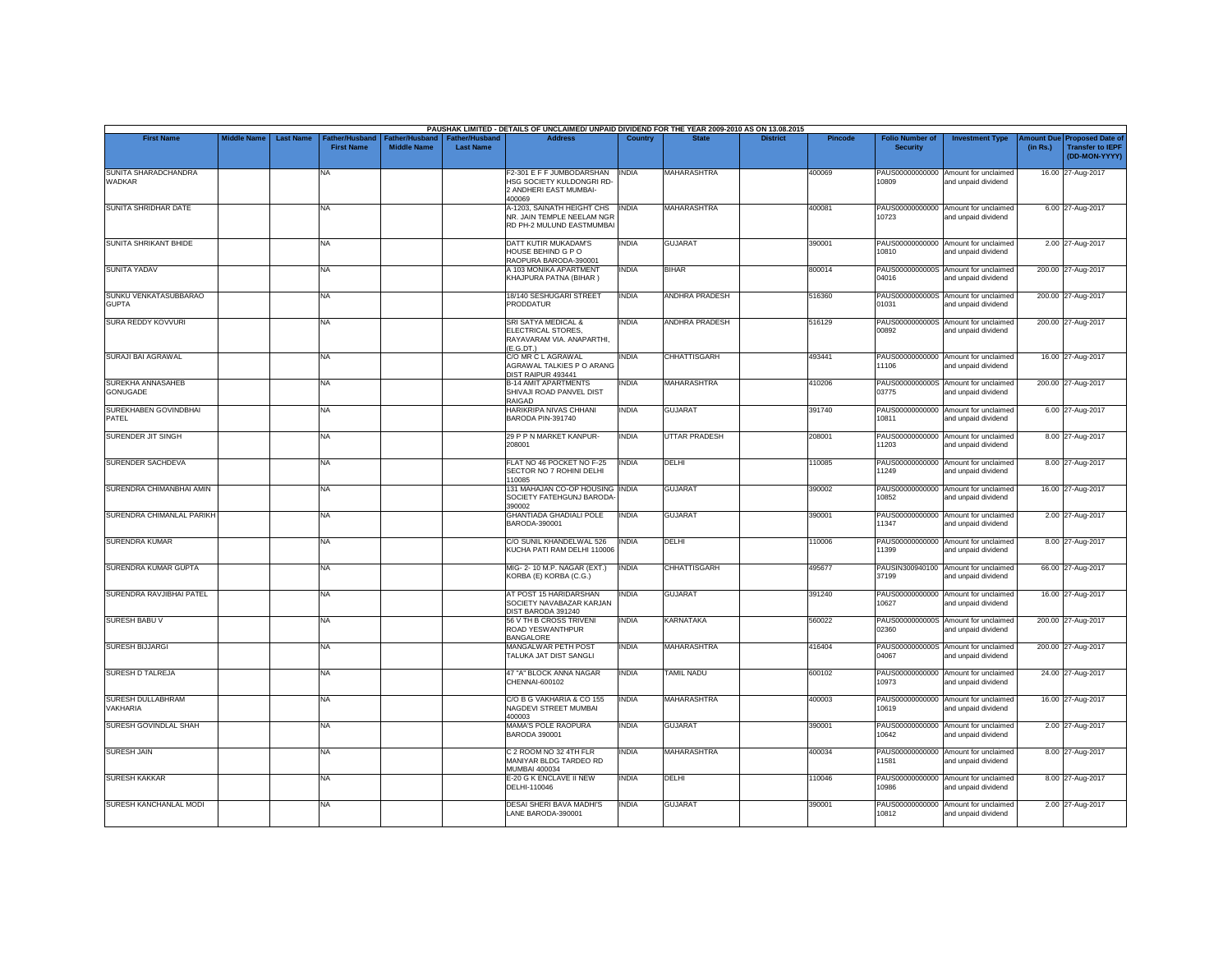|                                       |                    |                  |                                    |                                      |                                           | PAUSHAK LIMITED - DETAILS OF UNCLAIMED/ UNPAID DIVIDEND FOR THE YEAR 2009-2010 AS ON 13.08.2015 |              |                       |                 |                |                                           |                                                             |                       |                                                                     |
|---------------------------------------|--------------------|------------------|------------------------------------|--------------------------------------|-------------------------------------------|-------------------------------------------------------------------------------------------------|--------------|-----------------------|-----------------|----------------|-------------------------------------------|-------------------------------------------------------------|-----------------------|---------------------------------------------------------------------|
| <b>First Name</b>                     | <b>Middle Name</b> | <b>Last Name</b> | ather/Husband<br><b>First Name</b> | Father/Husband<br><b>Middle Name</b> | <b>Father/Husband</b><br><b>Last Name</b> | <b>Address</b>                                                                                  | Country      | <b>State</b>          | <b>District</b> | <b>Pincode</b> | <b>Folio Number of</b><br><b>Security</b> | <b>Investment Type</b>                                      | mount Due<br>(in Rs.) | <b>Proposed Date of</b><br><b>Transfer to IEPF</b><br>(DD-MON-YYYY) |
| SUNITA SHARADCHANDRA<br>WADKAR        |                    |                  | <b>NA</b>                          |                                      |                                           | F2-301 E F F JUMBODARSHAN<br>HSG SOCIETY KULDONGRI RD-<br>2 ANDHERI EAST MUMBAI-<br>400069      | <b>INDIA</b> | <b>MAHARASHTRA</b>    |                 | 400069         | 10809                                     | PAUS00000000000 Amount for unclaimed<br>and unpaid dividend |                       | 16.00 27-Aug-2017                                                   |
| SUNITA SHRIDHAR DATE                  |                    |                  | <b>NA</b>                          |                                      |                                           | A-1203, SAINATH HEIGHT CHS  INDIA<br>NR. JAIN TEMPLE NEELAM NGR<br>RD PH-2 MULUND EASTMUMBAI    |              | <b>MAHARASHTRA</b>    |                 | 400081         | 10723                                     | PAUS00000000000 Amount for unclaimed<br>and unpaid dividend |                       | 6.00 27-Aug-2017                                                    |
| <b>SUNITA SHRIKANT BHIDE</b>          |                    |                  | <b>NA</b>                          |                                      |                                           | DATT KUTIR MUKADAM'S<br>HOUSE BEHIND G P O<br>RAOPURA BARODA-390001                             | INDIA        | <b>GUJARAT</b>        |                 | 390001         | 10810                                     | PAUS00000000000 Amount for unclaimed<br>and unpaid dividend |                       | 2.00 27-Aug-2017                                                    |
| <b>SUNITA YADAV</b>                   |                    |                  | <b>NA</b>                          |                                      |                                           | A 103 MONIKA APARTMENT<br>KHAJPURA PATNA (BIHAR)                                                | <b>INDIA</b> | <b>BIHAR</b>          |                 | 800014         | 04016                                     | PAUS0000000000S Amount for unclaimed<br>and unpaid dividend |                       | 200.00 27-Aug-2017                                                  |
| SUNKU VENKATASUBBARAO<br><b>GUPTA</b> |                    |                  | <b>NA</b>                          |                                      |                                           | 18/140 SESHUGARI STREET<br><b>PRODDATUR</b>                                                     | <b>INDIA</b> | ANDHRA PRADESH        |                 | 516360         | 01031                                     | PAUS0000000000S Amount for unclaimed<br>and unpaid dividend |                       | 200.00 27-Aug-2017                                                  |
| SURA REDDY KOVVURI                    |                    |                  | <b>NA</b>                          |                                      |                                           | SRI SATYA MEDICAL &<br>ELECTRICAL STORES.<br>RAYAVARAM VIA. ANAPARTHI,<br>(E.G.DT.)             | INDIA        | <b>ANDHRA PRADESH</b> |                 | 516129         | PAUS0000000000S<br>00892                  | Amount for unclaimed<br>and unpaid dividend                 |                       | 200.00 27-Aug-2017                                                  |
| SURAJI BAI AGRAWAL                    |                    |                  | <b>NA</b>                          |                                      |                                           | C/O MR C L AGRAWAL<br>AGRAWAL TALKIES P O ARANG<br>DIST RAIPUR 493441                           | <b>INDIA</b> | <b>CHHATTISGARH</b>   |                 | 493441         | 11106                                     | PAUS00000000000 Amount for unclaimed<br>and unpaid dividend |                       | 16.00 27-Aug-2017                                                   |
| SUREKHA ANNASAHEB<br><b>GONUGADE</b>  |                    |                  | <b>NA</b>                          |                                      |                                           | <b>B-14 AMIT APARTMENTS</b><br>SHIVAJI ROAD PANVEL DIST<br>RAIGAD                               | INDIA        | <b>MAHARASHTRA</b>    |                 | 410206         | 03775                                     | PAUS0000000000S Amount for unclaimed<br>and unpaid dividend |                       | 200.00 27-Aug-2017                                                  |
| SUREKHABEN GOVINDBHAI<br>PATEL        |                    |                  | <b>NA</b>                          |                                      |                                           | HARIKRIPA NIVAS CHHANI<br>BARODA PIN-391740                                                     | INDIA        | <b>GUJARAT</b>        |                 | 391740         | 10811                                     | PAUS00000000000 Amount for unclaimed<br>and unpaid dividend |                       | 6.00 27-Aug-2017                                                    |
| SURENDER JIT SINGH                    |                    |                  | <b>NA</b>                          |                                      |                                           | 29 P P N MARKET KANPUR-<br>208001                                                               | <b>INDIA</b> | <b>UTTAR PRADESH</b>  |                 | 208001         | 11203                                     | PAUS00000000000 Amount for unclaimed<br>and unpaid dividend |                       | 8.00 27-Aug-2017                                                    |
| <b>SURENDER SACHDEVA</b>              |                    |                  | <b>NA</b>                          |                                      |                                           | FLAT NO 46 POCKET NO F-25<br>SECTOR NO 7 ROHINI DELHI<br>110085                                 | <b>INDIA</b> | DELHI                 |                 | 110085         | 11249                                     | PAUS00000000000 Amount for unclaimed<br>and unpaid dividend |                       | 8.00 27-Aug-2017                                                    |
| SURENDRA CHIMANBHAI AMIN              |                    |                  | <b>NA</b>                          |                                      |                                           | 131 MAHAJAN CO-OP HOUSING INDIA<br>SOCIETY FATEHGUNJ BARODA<br>390002                           |              | <b>GUJARAT</b>        |                 | 390002         | 10852                                     | PAUS00000000000 Amount for unclaimed<br>and unpaid dividend |                       | 16.00 27-Aug-2017                                                   |
| SURENDRA CHIMANLAL PARIKH             |                    |                  | <b>NA</b>                          |                                      |                                           | <b>GHANTIADA GHADIALI POLE</b><br>BARODA-390001                                                 | <b>INDIA</b> | <b>GUJARAT</b>        |                 | 390001         | 11347                                     | PAUS00000000000 Amount for unclaimed<br>and unpaid dividend |                       | 2.00 27-Aug-2017                                                    |
| <b>SURENDRA KUMAR</b>                 |                    |                  | <b>NA</b>                          |                                      |                                           | C/O SUNIL KHANDELWAL 526<br>KUCHA PATI RAM DELHI 110006                                         | <b>INDIA</b> | DELHI                 |                 | 110006         | 11399                                     | PAUS00000000000 Amount for unclaimed<br>and unpaid dividend |                       | 8.00 27-Aug-2017                                                    |
| SURENDRA KUMAR GUPTA                  |                    |                  | <b>NA</b>                          |                                      |                                           | MIG- 2-10 M.P. NAGAR (EXT.)<br>KORBA (E) KORBA (C.G.)                                           | <b>INDIA</b> | <b>CHHATTISGARH</b>   |                 | 495677         | 37199                                     | PAUSIN300940100 Amount for unclaimed<br>and unpaid dividend |                       | 66.00 27-Aug-2017                                                   |
| SURENDRA RAVJIBHAI PATEL              |                    |                  | <b>NA</b>                          |                                      |                                           | AT POST 15 HARIDARSHAN<br>SOCIETY NAVABAZAR KARJAN<br>DIST BARODA 391240                        | <b>INDIA</b> | <b>GUJARAT</b>        |                 | 391240         | 10627                                     | PAUS00000000000 Amount for unclaimed<br>and unpaid dividend |                       | 16.00 27-Aug-2017                                                   |
| SURESH BABU V                         |                    |                  | <b>NA</b>                          |                                      |                                           | 56 V TH B CROSS TRIVENI<br>ROAD YESWANTHPUR<br><b>BANGALORE</b>                                 | <b>INDIA</b> | <b>KARNATAKA</b>      |                 | 560022         | 02360                                     | PAUS0000000000S Amount for unclaimed<br>and unpaid dividend |                       | 200.00 27-Aug-2017                                                  |
| <b>SURESH BIJJARGI</b>                |                    |                  | <b>NA</b>                          |                                      |                                           | <b>MANGALWAR PETH POST</b><br>TALUKA JAT DIST SANGLI                                            | <b>INDIA</b> | <b>MAHARASHTRA</b>    |                 | 416404         | 04067                                     | PAUS0000000000S Amount for unclaimed<br>and unpaid dividend |                       | 200.00 27-Aug-2017                                                  |
| <b>SURESH D TALREJA</b>               |                    |                  | <b>NA</b>                          |                                      |                                           | 47 "A" BLOCK ANNA NAGAR<br>CHENNAI-600102                                                       | INDIA        | <b>TAMIL NADU</b>     |                 | 600102         | PAUS00000000000<br>10973                  | Amount for unclaimed<br>and unpaid dividend                 |                       | 24.00 27-Aug-2017                                                   |
| SURESH DULLABHRAM<br>VAKHARIA         |                    |                  | <b>NA</b>                          |                                      |                                           | C/O B G VAKHARIA & CO 155<br>NAGDEVI STREET MUMBAI<br>400003                                    | <b>INDIA</b> | <b>MAHARASHTRA</b>    |                 | 400003         | 10619                                     | PAUS00000000000 Amount for unclaimed<br>and unpaid dividend |                       | 16.00 27-Aug-2017                                                   |
| SURESH GOVINDLAL SHAH                 |                    |                  | <b>NA</b>                          |                                      |                                           | MAMA'S POLE RAOPURA<br>BARODA 390001                                                            | INDIA        | <b>GUJARAT</b>        |                 | 390001         | 10642                                     | PAUS00000000000 Amount for unclaimed<br>and unpaid dividend |                       | 2.00 27-Aug-2017                                                    |
| <b>SURESH JAIN</b>                    |                    |                  | <b>NA</b>                          |                                      |                                           | C 2 ROOM NO 32 4TH FLR<br>MANIYAR BLDG TARDEO RD<br>MUMBAI 400034                               | <b>INDIA</b> | <b>MAHARASHTRA</b>    |                 | 400034         | 11581                                     | PAUS00000000000 Amount for unclaimed<br>and unpaid dividend |                       | 8.00 27-Aug-2017                                                    |
| <b>SURESH KAKKAR</b>                  |                    |                  | <b>NA</b>                          |                                      |                                           | E-20 G K ENCLAVE II NEW<br>DELHI-110046                                                         | <b>INDIA</b> | DELHI                 |                 | 110046         | 10986                                     | PAUS00000000000 Amount for unclaimed<br>and unpaid dividend |                       | 8.00 27-Aug-2017                                                    |
| SURESH KANCHANLAL MODI                |                    |                  | <b>NA</b>                          |                                      |                                           | <b>DESAI SHERI BAVA MADHI'S</b><br>ANE BARODA-390001                                            | <b>INDIA</b> | <b>GUJARAT</b>        |                 | 390001         | PAUS00000000000<br>10812                  | Amount for unclaimed<br>and unpaid dividend                 |                       | 2.00 27-Aug-2017                                                    |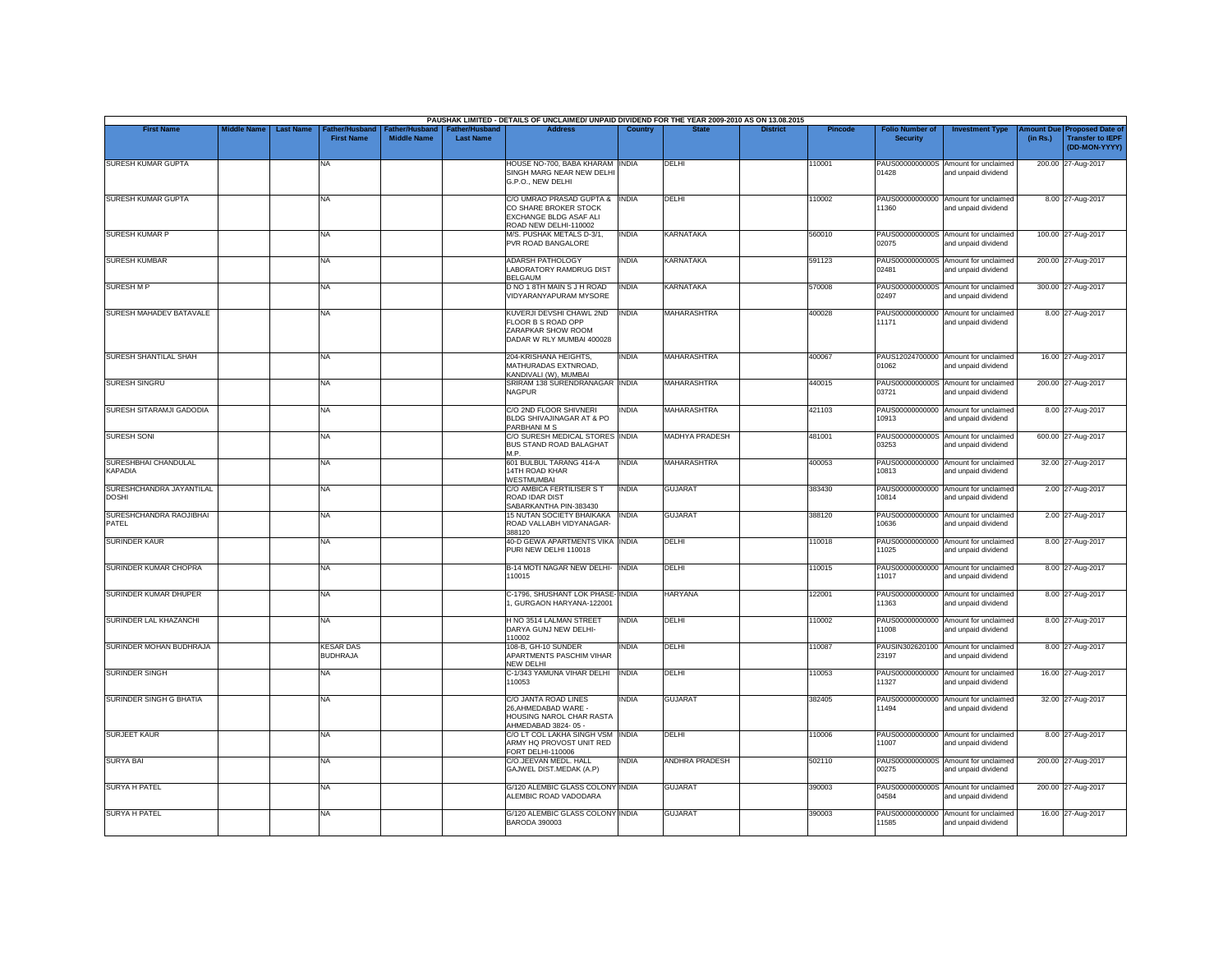|                                          |                                        |                                            |                                      |                                           | PAUSHAK LIMITED - DETAILS OF UNCLAIMED/ UNPAID DIVIDEND FOR THE YEAR 2009-2010 AS ON 13.08.2015            |                |                       |                 |                |                                           |                                                             |          |                                                                        |
|------------------------------------------|----------------------------------------|--------------------------------------------|--------------------------------------|-------------------------------------------|------------------------------------------------------------------------------------------------------------|----------------|-----------------------|-----------------|----------------|-------------------------------------------|-------------------------------------------------------------|----------|------------------------------------------------------------------------|
| <b>First Name</b>                        | <b>Middle Name</b><br><b>Last Name</b> | <b>Father/Husband</b><br><b>First Name</b> | Father/Husband<br><b>Middle Name</b> | <b>Father/Husband</b><br><b>Last Name</b> | <b>Address</b>                                                                                             | <b>Country</b> | <b>State</b>          | <b>District</b> | <b>Pincode</b> | <b>Folio Number of</b><br><b>Security</b> | <b>Investment Type</b>                                      | (in Rs.) | mount Due Proposed Date of<br><b>Transfer to IEPF</b><br>(DD-MON-YYYY) |
| SURESH KUMAR GUPTA                       |                                        | NA.                                        |                                      |                                           | HOUSE NO-700, BABA KHARAM INDIA<br>SINGH MARG NEAR NEW DELH<br>G.P.O., NEW DELHI                           |                | DELHI                 |                 | 110001         | 01428                                     | PAUS0000000000S Amount for unclaimed<br>and unpaid dividend |          | 200.00 27-Aug-2017                                                     |
| SURESH KUMAR GUPTA                       |                                        | <b>NA</b>                                  |                                      |                                           | C/O UMRAO PRASAD GUPTA & INDIA<br>CO SHARE BROKER STOCK<br>EXCHANGE BLDG ASAF ALI<br>ROAD NEW DELHI-110002 |                | DELHI                 |                 | 110002         | PAUS00000000000<br>11360                  | Amount for unclaimed<br>and unpaid dividend                 |          | 8.00 27-Aug-2017                                                       |
| <b>SURESH KUMAR P</b>                    |                                        | <b>NA</b>                                  |                                      |                                           | M/S. PUSHAK METALS D-3/1,<br>PVR ROAD BANGALORE                                                            | <b>INDIA</b>   | <b>KARNATAKA</b>      |                 | 560010         | 02075                                     | PAUS0000000000S Amount for unclaimed<br>and unpaid dividend |          | 100.00 27-Aug-2017                                                     |
| <b>SURESH KUMBAR</b>                     |                                        | <b>NA</b>                                  |                                      |                                           | <b>ADARSH PATHOLOGY</b><br>LABORATORY RAMDRUG DIST<br><b>BELGAUM</b>                                       | INDIA          | <b>KARNATAKA</b>      |                 | 591123         | 02481                                     | PAUS0000000000S Amount for unclaimed<br>and unpaid dividend |          | 200.00 27-Aug-2017                                                     |
| <b>SURESH M P</b>                        |                                        | <b>NA</b>                                  |                                      |                                           | D NO 1 8TH MAIN S J H ROAD<br>VIDYARANYAPURAM MYSORE                                                       | <b>INDIA</b>   | <b>KARNATAKA</b>      |                 | 570008         | 02497                                     | PAUS0000000000S Amount for unclaimed<br>and unpaid dividend |          | 300.00 27-Aug-2017                                                     |
| SURESH MAHADEV BATAVALE                  |                                        | <b>NA</b>                                  |                                      |                                           | KUVERJI DEVSHI CHAWL 2ND<br>FLOOR B S ROAD OPP<br>ZARAPKAR SHOW ROOM<br>DADAR W RLY MUMBAI 400028          | <b>INDIA</b>   | <b>MAHARASHTRA</b>    |                 | 400028         | PAUS00000000000<br>11171                  | Amount for unclaimed<br>and unpaid dividend                 |          | 8.00 27-Aug-2017                                                       |
| SURESH SHANTILAL SHAH                    |                                        | <b>NA</b>                                  |                                      |                                           | 204-KRISHANA HEIGHTS,<br>MATHURADAS EXTNROAD,<br>KANDIVALI (W), MUMBAI                                     | <b>INDIA</b>   | <b>MAHARASHTRA</b>    |                 | 400067         | 01062                                     | PAUS12024700000 Amount for unclaimed<br>and unpaid dividend |          | 16.00 27-Aug-2017                                                      |
| <b>SURESH SINGRU</b>                     |                                        | <b>NA</b>                                  |                                      |                                           | SRIRAM 138 SURENDRANAGAR INDIA<br><b>NAGPUR</b>                                                            |                | MAHARASHTRA           |                 | 440015         | 03721                                     | PAUS0000000000S Amount for unclaimed<br>and unpaid dividend |          | 200.00 27-Aug-2017                                                     |
| SURESH SITARAMJI GADODIA                 |                                        | <b>NA</b>                                  |                                      |                                           | C/O 2ND FLOOR SHIVNERI<br>BLDG SHIVAJINAGAR AT & PO<br>PARBHANI M S                                        | india          | <b>MAHARASHTRA</b>    |                 | 421103         | PAUS00000000000<br>10913                  | Amount for unclaimed<br>and unpaid dividend                 |          | 8.00 27-Aug-2017                                                       |
| <b>SURESH SONI</b>                       |                                        | <b>NA</b>                                  |                                      |                                           | C/O SURESH MEDICAL STORES INDIA<br>BUS STAND ROAD BALAGHAT<br>M <sub>P</sub>                               |                | <b>MADHYA PRADESH</b> |                 | 481001         | 03253                                     | PAUS0000000000S Amount for unclaimed<br>and unpaid dividend |          | 600.00 27-Aug-2017                                                     |
| SURESHBHAI CHANDULAL<br>KAPADIA          |                                        | <b>NA</b>                                  |                                      |                                           | 601 BULBUL TARANG 414-A<br>14TH ROAD KHAR<br><b>WESTMUMBAI</b>                                             | <b>INDIA</b>   | <b>MAHARASHTRA</b>    |                 | 400053         | 10813                                     | PAUS00000000000 Amount for unclaimed<br>and unpaid dividend |          | 32.00 27-Aug-2017                                                      |
| SURESHCHANDRA JAYANTILAL<br><b>DOSHI</b> |                                        | <b>NA</b>                                  |                                      |                                           | C/O AMBICA FERTILISER S T<br>ROAD IDAR DIST<br>SABARKANTHA PIN-383430                                      | <b>INDIA</b>   | <b>GUJARAT</b>        |                 | 383430         | 10814                                     | PAUS00000000000 Amount for unclaimed<br>and unpaid dividend |          | 2.00 27-Aug-2017                                                       |
| SURESHCHANDRA RAOJIBHAI<br>PATEL         |                                        | <b>NA</b>                                  |                                      |                                           | <b>15 NUTAN SOCIETY BHAIKAKA</b><br>ROAD VALLABH VIDYANAGAR-<br>388120                                     | <b>INDIA</b>   | <b>GUJARAT</b>        |                 | 388120         | PAUS00000000000<br>10636                  | Amount for unclaimed<br>and unpaid dividend                 |          | 2.00 27-Aug-2017                                                       |
| <b>SURINDER KAUR</b>                     |                                        | <b>NA</b>                                  |                                      |                                           | 40-D GEWA APARTMENTS VIKA INDIA<br>PURI NEW DELHI 110018                                                   |                | DELHI                 |                 | 110018         | PAUS00000000000<br>11025                  | Amount for unclaimed<br>and unpaid dividend                 |          | 8.00 27-Aug-2017                                                       |
| SURINDER KUMAR CHOPRA                    |                                        | <b>NA</b>                                  |                                      |                                           | B-14 MOTI NAGAR NEW DELHI- INDIA<br>110015                                                                 |                | DELHI                 |                 | 110015         | PAUS00000000000<br>11017                  | Amount for unclaimed<br>and unpaid dividend                 |          | 8.00 27-Aug-2017                                                       |
| SURINDER KUMAR DHUPER                    |                                        | <b>NA</b>                                  |                                      |                                           | C-1796, SHUSHANT LOK PHASE-INDIA<br>, GURGAON HARYANA-122001                                               |                | <b>HARYANA</b>        |                 | 122001         | 11363                                     | PAUS00000000000 Amount for unclaimed<br>and unpaid dividend |          | 8.00 27-Aug-2017                                                       |
| SURINDER LAL KHAZANCHI                   |                                        | NA                                         |                                      |                                           | H NO 3514 LALMAN STREET<br>DARYA GUNJ NEW DELHI-<br>110002                                                 | INDIA          | DELHI                 |                 | 110002         | PAUS00000000000<br>11008                  | Amount for unclaimed<br>and unpaid dividend                 |          | 8.00 27-Aug-2017                                                       |
| SURINDER MOHAN BUDHRAJA                  |                                        | <b>KESAR DAS</b><br><b>BUDHRAJA</b>        |                                      |                                           | 108-B, GH-10 SUNDER<br>APARTMENTS PASCHIM VIHAR<br>NEW DELHI                                               | INDIA          | DELHI                 |                 | 110087         | 23197                                     | PAUSIN302620100 Amount for unclaimed<br>and unpaid dividend |          | 8.00 27-Aug-2017                                                       |
| <b>SURINDER SINGH</b>                    |                                        | <b>NA</b>                                  |                                      |                                           | C-1/343 YAMUNA VIHAR DELHI<br>110053                                                                       | <b>INDIA</b>   | DELHI                 |                 | 110053         | 11327                                     | PAUS00000000000 Amount for unclaimed<br>and unpaid dividend |          | 16.00 27-Aug-2017                                                      |
| SURINDER SINGH G BHATIA                  |                                        | <b>NA</b>                                  |                                      |                                           | C/O JANTA ROAD LINES<br>26.AHMEDABAD WARE -<br>HOUSING NAROL CHAR RASTA<br>AHMEDABAD 3824-05 -             | <b>INDIA</b>   | <b>GUJARAT</b>        |                 | 382405         | 11494                                     | PAUS00000000000 Amount for unclaimed<br>and unpaid dividend |          | 32.00 27-Aug-2017                                                      |
| <b>SURJEET KAUR</b>                      |                                        | <b>NA</b>                                  |                                      |                                           | C/O LT COL LAKHA SINGH VSM INDIA<br>ARMY HQ PROVOST UNIT RED<br>FORT DELHI-110006                          |                | <b>DFIHI</b>          |                 | 110006         | 11007                                     | PAUS00000000000 Amount for unclaimed<br>and unpaid dividend |          | 8.00 27-Aug-2017                                                       |
| <b>SURYA BAI</b>                         |                                        | <b>NA</b>                                  |                                      |                                           | C/O.JEEVAN MEDL. HALL<br>GAJWEL DIST.MEDAK (A.P)                                                           | INDIA          | <b>ANDHRA PRADESH</b> |                 | 502110         | 00275                                     | PAUS0000000000S Amount for unclaimed<br>and unpaid dividend |          | 200.00 27-Aug-2017                                                     |
| <b>SURYA H PATEL</b>                     |                                        | <b>NA</b>                                  |                                      |                                           | G/120 ALEMBIC GLASS COLONY INDIA<br>ALEMBIC ROAD VADODARA                                                  |                | <b>GUJARAT</b>        |                 | 390003         | 04584                                     | PAUS0000000000S Amount for unclaimed<br>and unpaid dividend |          | 200.00 27-Aug-2017                                                     |
| <b>SURYA H PATEL</b>                     |                                        | <b>NA</b>                                  |                                      |                                           | <b>G/120 ALEMBIC GLASS COLONY INDIA</b><br><b>BARODA 390003</b>                                            |                | <b>GUJARAT</b>        |                 | 390003         | 11585                                     | PAUS00000000000 Amount for unclaimed<br>and unpaid dividend |          | 16.00 27-Aug-2017                                                      |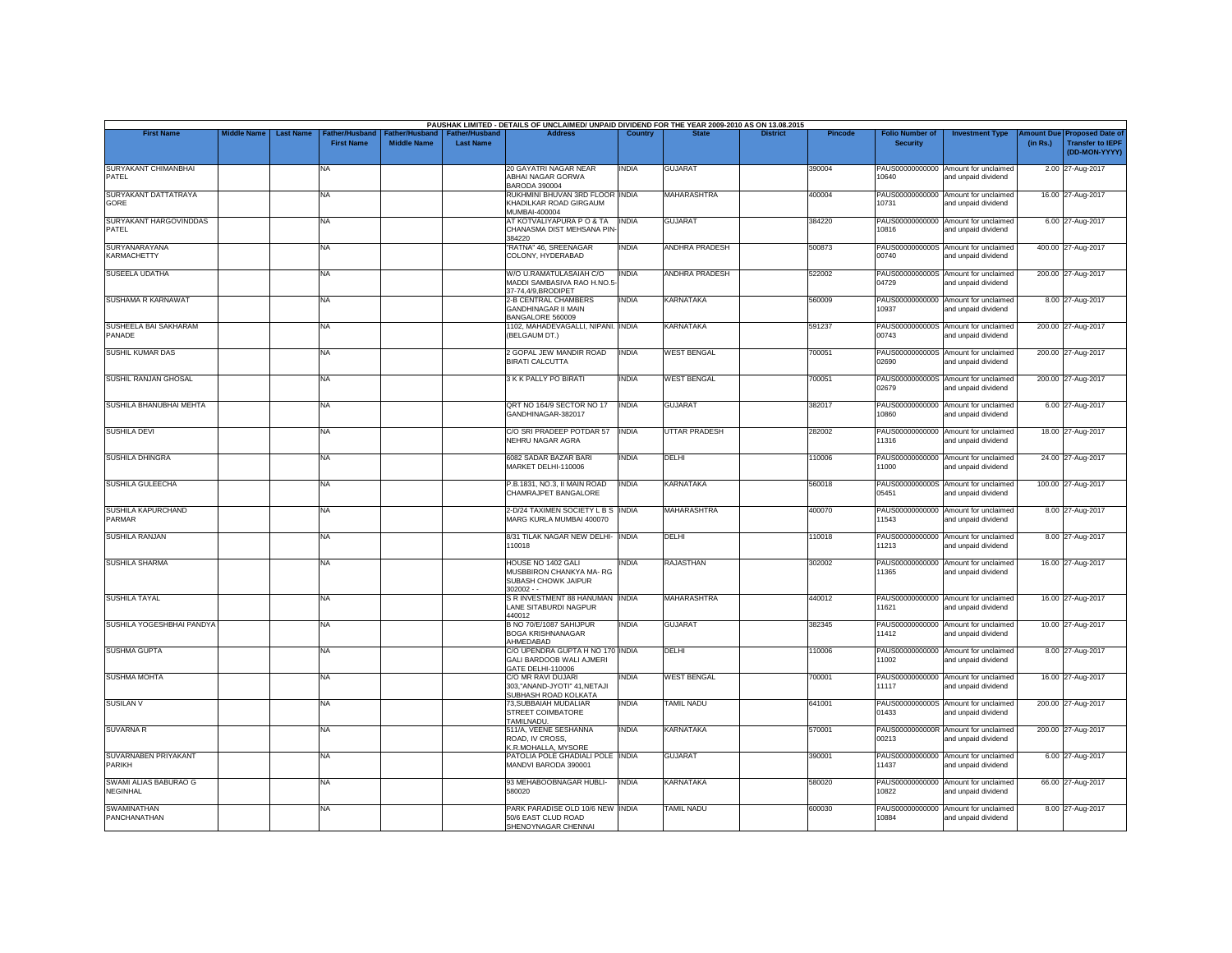| <b>First Name</b>                         | <b>Middle Name</b> | <b>Last Name</b> | <b>Father/Husband</b> | ather/Hu:          | <b>Father/Hushand</b> | PAUSHAK LIMITED - DETAILS OF UNCLAIMED/ UNPAID DIVIDEND FOR THE YEAR 2009-2010 AS ON 13.08.2015<br><b>Address</b> | Country      |                       | <b>District</b> | Pincode | <b>Folio Number of</b>   | <b>Investment Type</b>                                      | mount Due | <b>Proposed Date of</b>                  |
|-------------------------------------------|--------------------|------------------|-----------------------|--------------------|-----------------------|-------------------------------------------------------------------------------------------------------------------|--------------|-----------------------|-----------------|---------|--------------------------|-------------------------------------------------------------|-----------|------------------------------------------|
|                                           |                    |                  | <b>First Name</b>     | <b>Middle Name</b> | <b>Last Name</b>      |                                                                                                                   |              |                       |                 |         | <b>Security</b>          |                                                             | (in Rs.)  | <b>Transfer to IEPF</b><br>(DD-MON-YYYY) |
| SURYAKANT CHIMANBHAI<br>PATFI             |                    |                  | NA                    |                    |                       | 20 GAYATRI NAGAR NEAR<br>ABHAI NAGAR GORWA<br><b>BARODA 390004</b>                                                | <b>INDIA</b> | <b>GUJARAT</b>        |                 | 390004  | PAUS00000000000<br>10640 | Amount for unclaimed<br>and unpaid dividend                 |           | 2.00 27-Aug-2017                         |
| SURYAKANT DATTATRAYA<br>GORE              |                    |                  | NA                    |                    |                       | RUKHMINI BHUVAN 3RD FLOOR INDIA<br>KHADILKAR ROAD GIRGAUM<br>MUMBAI-400004                                        |              | <b>MAHARASHTRA</b>    |                 | 400004  | PAUS00000000000<br>10731 | Amount for unclaimed<br>and unpaid dividend                 |           | 16.00 27-Aug-2017                        |
| SURYAKANT HARGOVINDDAS<br><b>PATEL</b>    |                    |                  | NA                    |                    |                       | AT KOTVALIYAPURA P O & TA INDIA<br>CHANASMA DIST MEHSANA PIN<br>384220                                            |              | <b>GUJARAT</b>        |                 | 384220  | 10816                    | PAUS00000000000 Amount for unclaimed<br>and unpaid dividend |           | 6.00 27-Aug-2017                         |
| SURYANARAYANA<br><b>KARMACHETTY</b>       |                    |                  | NA                    |                    |                       | "RATNA" 46, SREENAGAR<br>COLONY, HYDERABAD                                                                        | <b>INDIA</b> | <b>ANDHRA PRADESH</b> |                 | 500873  | 00740                    | PAUS0000000000S Amount for unclaimed<br>and unpaid dividend |           | 400.00 27-Aug-2017                       |
| SUSEELA UDATHA                            |                    |                  | NA.                   |                    |                       | W/O U.RAMATULASAIAH C/O<br>MADDI SAMBASIVA RAO H.NO.5<br>37-74.4/9.BRODIPET                                       | <b>INDIA</b> | ANDHRA PRADESH        |                 | 522002  | 04729                    | PAUS0000000000S Amount for unclaimed<br>and unpaid dividend |           | 200.00 27-Aug-2017                       |
| SUSHAMA R KARNAWAT                        |                    |                  | NA                    |                    |                       | 2-B CENTRAL CHAMBERS<br><b>GANDHINAGAR II MAIN</b><br>BANGALORE 560009                                            | <b>INDIA</b> | KARNATAKA             |                 | 560009  | 10937                    | PAUS00000000000 Amount for unclaimed<br>and unpaid dividend |           | 8.00 27-Aug-2017                         |
| SUSHEELA BAI SAKHARAM<br>PANADE           |                    |                  | NA                    |                    |                       | 1102, MAHADEVAGALLI, NIPANI. INDIA<br>(BELGAUM DT.)                                                               |              | <b>KARNATAKA</b>      |                 | 591237  | 00743                    | PAUS0000000000S Amount for unclaimed<br>and unpaid dividend |           | 200.00 27-Aug-2017                       |
| SUSHIL KUMAR DAS                          |                    |                  | NA                    |                    |                       | 2 GOPAL JEW MANDIR ROAD<br><b>BIRATI CALCUTTA</b>                                                                 | <b>INDIA</b> | <b>WEST BENGAL</b>    |                 | 700051  | 02690                    | PAUS0000000000S Amount for unclaimed<br>and unpaid dividend |           | 200.00 27-Aug-2017                       |
| SUSHIL RANJAN GHOSAL                      |                    |                  | NA                    |                    |                       | 3 K K PALLY PO BIRATI                                                                                             | <b>INDIA</b> | <b>WEST BENGAL</b>    |                 | 700051  | 02679                    | PAUS0000000000S Amount for unclaimed<br>and unpaid dividend |           | 200.00 27-Aug-2017                       |
| SUSHILA BHANUBHAI MEHTA                   |                    |                  | NA                    |                    |                       | QRT NO 164/9 SECTOR NO 17<br>GANDHINAGAR-382017                                                                   | <b>INDIA</b> | <b>GUJARAT</b>        |                 | 382017  | PAUS00000000000<br>10860 | Amount for unclaimed<br>and unpaid dividend                 |           | 6.00 27-Aug-2017                         |
| <b>SUSHILA DEVI</b>                       |                    |                  | NA                    |                    |                       | C/O SRI PRADEEP POTDAR 57<br>NEHRU NAGAR AGRA                                                                     | <b>INDIA</b> | <b>UTTAR PRADESH</b>  |                 | 282002  | 11316                    | PAUS00000000000 Amount for unclaimed<br>and unpaid dividend |           | 18.00 27-Aug-2017                        |
| <b>SUSHILA DHINGRA</b>                    |                    |                  | NA                    |                    |                       | 6082 SADAR BAZAR BARI<br>MARKET DELHI-110006                                                                      | <b>INDIA</b> | DELHI                 |                 | 110006  | PAUS00000000000<br>11000 | Amount for unclaimed<br>and unpaid dividend                 |           | 24.00 27-Aug-2017                        |
| SUSHILA GULEECHA                          |                    |                  | <b>NA</b>             |                    |                       | P.B.1831, NO.3, II MAIN ROAD<br>CHAMRAJPET BANGALORE                                                              | <b>INDIA</b> | <b>KARNATAKA</b>      |                 | 560018  | 05451                    | PAUS0000000000S Amount for unclaimed<br>and unpaid dividend |           | 100.00 27-Aug-2017                       |
| SUSHILA KAPURCHAND<br>PARMAR              |                    |                  | NA                    |                    |                       | 2-D/24 TAXIMEN SOCIETY L B S INDIA<br>MARG KURLA MUMBAI 400070                                                    |              | <b>MAHARASHTRA</b>    |                 | 400070  | PAUS00000000000<br>11543 | Amount for unclaimed<br>and unpaid dividend                 |           | 8.00 27-Aug-2017                         |
| <b>SUSHILA RANJAN</b>                     |                    |                  | <b>NA</b>             |                    |                       | 8/31 TILAK NAGAR NEW DELHI- INDIA<br>110018                                                                       |              | <b>DELHI</b>          |                 | 110018  | PAUS00000000000<br>11213 | Amount for unclaimed<br>and unpaid dividend                 |           | 8.00 27-Aug-2017                         |
| <b>SUSHILA SHARMA</b>                     |                    |                  | NA                    |                    |                       | HOUSE NO 1402 GALI<br>MUSBBIRON CHANKYA MA-RG<br>SUBASH CHOWK JAIPUR<br>$302002 -$                                | <b>INDIA</b> | <b>RAJASTHAN</b>      |                 | 302002  | PAUS00000000000<br>11365 | Amount for unclaimed<br>and unpaid dividend                 |           | 16.00 27-Aug-2017                        |
| <b>SUSHILA TAYAL</b>                      |                    |                  | NA                    |                    |                       | S R INVESTMENT 88 HANUMAN INDIA<br>LANE SITABURDI NAGPUR<br>440012                                                |              | <b>MAHARASHTRA</b>    |                 | 440012  | 11621                    | PAUS00000000000 Amount for unclaimed<br>and unpaid dividend |           | 16.00 27-Aug-2017                        |
| SUSHILA YOGESHBHAI PANDYA                 |                    |                  | NA                    |                    |                       | B NO 70/E/1087 SAHIJPUR<br><b>BOGA KRISHNANAGAR</b><br>AHMEDABAD                                                  | <b>INDIA</b> | <b>GUJARAT</b>        |                 | 382345  | 11412                    | PAUS00000000000 Amount for unclaimed<br>and unpaid dividend |           | 10.00 27-Aug-2017                        |
| <b>SUSHMA GUPTA</b>                       |                    |                  | NA                    |                    |                       | C/O UPENDRA GUPTA H NO 170 INDIA<br><b>GALI BARDOOB WALI AJMERI</b><br>GATE DELHI-110006                          |              | DELHI                 |                 | 110006  | 11002                    | PAUS00000000000 Amount for unclaimed<br>and unpaid dividend |           | 8.00 27-Aug-2017                         |
| <b>SUSHMA MOHTA</b>                       |                    |                  | NA                    |                    |                       | C/O MR RAVI DUJARI<br>303,"ANAND-JYOTI" 41,NETAJI<br>SUBHASH ROAD KOLKATA                                         | INDIA        | <b>WEST BENGAL</b>    |                 | 700001  | PAUS00000000000<br>11117 | Amount for unclaimed<br>and unpaid dividend                 |           | 16.00 27-Aug-2017                        |
| <b>SUSILAN V</b>                          |                    |                  | <b>NA</b>             |                    |                       | 73, SUBBAIAH MUDALIAR<br>STREET COIMBATORE<br>TAMILNADU.                                                          | <b>INDIA</b> | <b>TAMIL NADU</b>     |                 | 641001  | 01433                    | PAUS0000000000S Amount for unclaimed<br>and unpaid dividend |           | 200.00 27-Aug-2017                       |
| <b>SUVARNA R</b>                          |                    |                  | NA                    |                    |                       | 511/A, VEENE SESHANNA<br>ROAD, IV CROSS.<br>K.R.MOHALLA, MYSORE                                                   | <b>INDIA</b> | KARNATAKA             |                 | 570001  | 00213                    | PAUS0000000000R Amount for unclaimed<br>and unpaid dividend |           | 200.00 27-Aug-2017                       |
| SUVARNABEN PRIYAKANT<br><b>PARIKH</b>     |                    |                  | NA                    |                    |                       | PATOLIA POLE GHADIALI POLE INDIA<br>MANDVI BARODA 390001                                                          |              | <b>GUJARAT</b>        |                 | 390001  | 11437                    | PAUS00000000000 Amount for unclaimed<br>and unpaid dividend |           | 6.00 27-Aug-2017                         |
| SWAMI ALIAS BABURAO G<br><b>NEGINHAL</b>  |                    |                  | NA                    |                    |                       | 93 MEHABOOBNAGAR HUBLI-<br>580020                                                                                 | <b>INDIA</b> | KARNATAKA             |                 | 580020  | 10822                    | PAUS00000000000 Amount for unclaimed<br>and unpaid dividend |           | 66.00 27-Aug-2017                        |
| <b>SWAMINATHAN</b><br><b>PANCHANATHAN</b> |                    |                  | NA                    |                    |                       | PARK PARADISE OLD 10/6 NEW INDIA<br>50/6 EAST CLUD ROAD<br>SHENOYNAGAR CHENNAI                                    |              | <b>TAMIL NADU</b>     |                 | 600030  | PAUS00000000000<br>10884 | Amount for unclaimed<br>and unpaid dividend                 |           | 8.00 27-Aug-2017                         |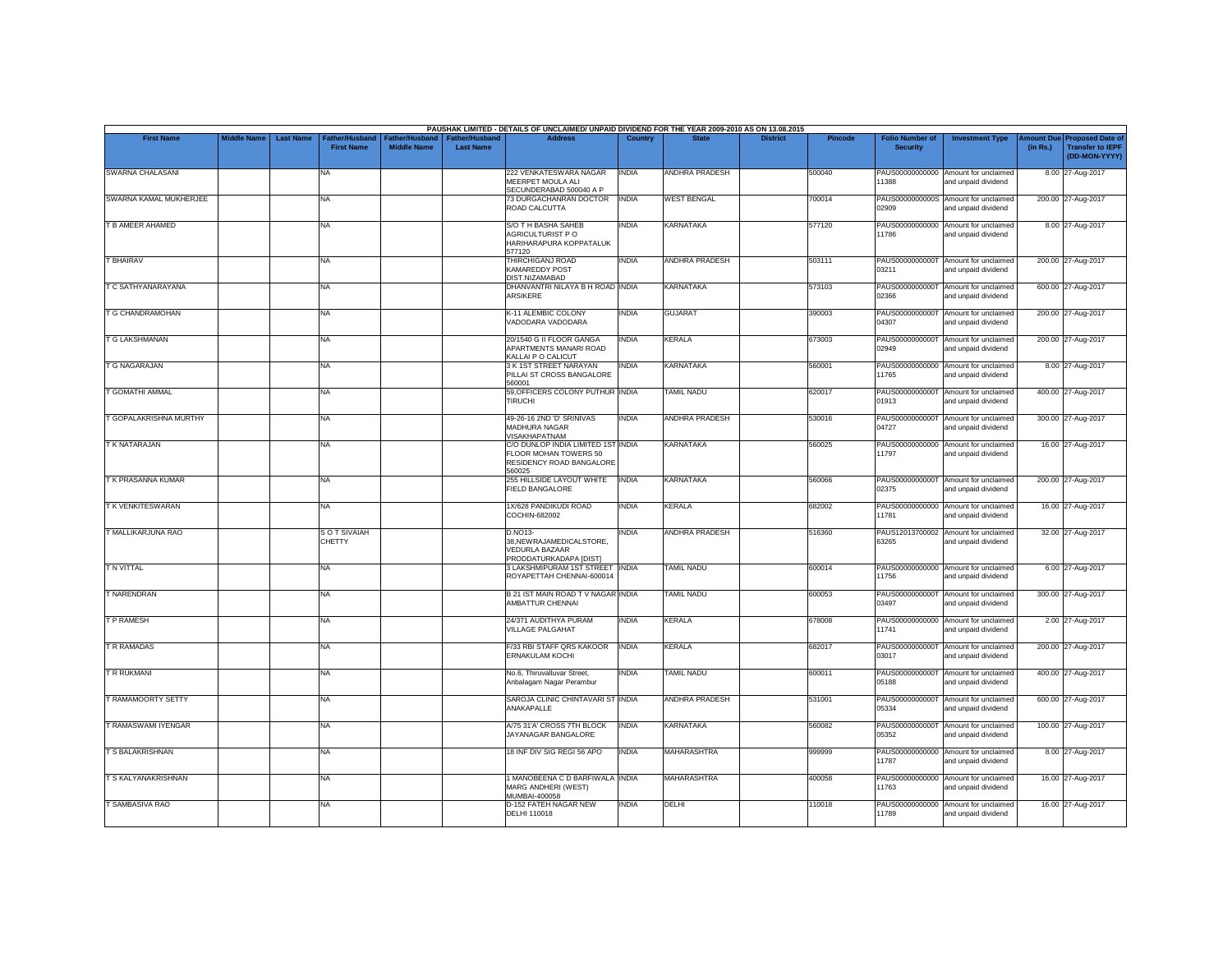|                         |                    |                  |                                     |                                      |                                           | PAUSHAK LIMITED - DETAILS OF UNCLAIMED/ UNPAID DIVIDEND FOR THE YEAR 2009-2010 AS ON 13.08.2015   |                |                       |                 |                |                                           |                                                             |          |                                                                        |
|-------------------------|--------------------|------------------|-------------------------------------|--------------------------------------|-------------------------------------------|---------------------------------------------------------------------------------------------------|----------------|-----------------------|-----------------|----------------|-------------------------------------------|-------------------------------------------------------------|----------|------------------------------------------------------------------------|
| <b>First Name</b>       | <b>Middle Name</b> | <b>Last Name</b> | Father/Husband<br><b>First Name</b> | Father/Husband<br><b>Middle Name</b> | <b>Father/Husband</b><br><b>Last Name</b> | <b>Address</b>                                                                                    | <b>Country</b> | <b>State</b>          | <b>District</b> | <b>Pincode</b> | <b>Folio Number of</b><br><b>Security</b> | <b>Investment Type</b>                                      | (in Rs.) | mount Due Proposed Date of<br><b>Transfer to IEPF</b><br>(DD-MON-YYYY) |
| SWARNA CHALASANI        |                    |                  | <b>NA</b>                           |                                      |                                           | 222 VENKATESWARA NAGAR<br>MEERPET MOULA ALI<br>SECUNDERABAD 500040 A P                            | <b>INDIA</b>   | ANDHRA PRADESH        |                 | 500040         | 11388                                     | PAUS00000000000 Amount for unclaimed<br>and unpaid dividend |          | 8.00 27-Aug-2017                                                       |
| SWARNA KAMAL MUKHERJEE  |                    |                  | <b>NA</b>                           |                                      |                                           | 73 DURGACHANRAN DOCTOR<br>ROAD CALCUTTA                                                           | <b>INDIA</b>   | <b>WEST BENGAL</b>    |                 | 700014         | 02909                                     | PAUS0000000000S Amount for unclaimed<br>and unpaid dividend |          | 200.00 27-Aug-2017                                                     |
| T B AMEER AHAMED        |                    |                  | <b>NA</b>                           |                                      |                                           | <b>S/O T H BASHA SAHEB</b><br>AGRICULTURIST P O<br>HARIHARAPURA KOPPATALUK<br>577120              | INDIA          | <b>KARNATAKA</b>      |                 | 577120         | PAUS00000000000<br>11786                  | Amount for unclaimed<br>and unpaid dividend                 |          | 8.00 27-Aug-2017                                                       |
| <b>T BHAIRAV</b>        |                    |                  | <b>NA</b>                           |                                      |                                           | THIRCHIGANJ ROAD<br>KAMAREDDY POST<br>DIST.NIZAMABAD                                              | INDIA          | ANDHRA PRADESH        |                 | 503111         | 03211                                     | PAUS0000000000T Amount for unclaimed<br>and unpaid dividend |          | 200.00 27-Aug-2017                                                     |
| T C SATHYANARAYANA      |                    |                  | <b>NA</b>                           |                                      |                                           | DHANVANTRI NILAYA B H ROAD INDIA<br>ARSIKERE                                                      |                | <b>KARNATAKA</b>      |                 | 573103         | 02366                                     | PAUS0000000000T Amount for unclaimed<br>and unpaid dividend |          | 600.00 27-Aug-2017                                                     |
| <b>T G CHANDRAMOHAN</b> |                    |                  | <b>NA</b>                           |                                      |                                           | K-11 ALEMBIC COLONY<br>VADODARA VADODARA                                                          | INDIA          | <b>GUJARAT</b>        |                 | 390003         | 04307                                     | PAUS0000000000T Amount for unclaimed<br>and unpaid dividend |          | 200.00 27-Aug-2017                                                     |
| T G LAKSHMANAN          |                    |                  | <b>NA</b>                           |                                      |                                           | 20/1540 G II FLOOR GANGA<br>APARTMENTS MANARI ROAD<br>KALLAI P O CALICUT                          | <b>INDIA</b>   | <b>KERALA</b>         |                 | 673003         | 02949                                     | PAUS0000000000T Amount for unclaimed<br>and unpaid dividend |          | 200.00 27-Aug-2017                                                     |
| <b>T G NAGARAJAN</b>    |                    |                  | <b>NA</b>                           |                                      |                                           | 3 K 1ST STREET NARAYAN<br>PILLAI ST CROSS BANGALORE<br>560001                                     | INDIA          | <b>KARNATAKA</b>      |                 | 560001         | PAUS00000000000<br>11765                  | Amount for unclaimed<br>and unpaid dividend                 |          | 8.00 27-Aug-2017                                                       |
| <b>T GOMATHI AMMAL</b>  |                    |                  | <b>NA</b>                           |                                      |                                           | 59, OFFICERS COLONY PUTHUR INDIA<br><b>TIRUCHI</b>                                                |                | <b>TAMIL NADU</b>     |                 | 620017         | PAUS0000000000T<br>01913                  | Amount for unclaimed<br>and unpaid dividend                 |          | 400.00 27-Aug-2017                                                     |
| T GOPALAKRISHNA MURTHY  |                    |                  | <b>NA</b>                           |                                      |                                           | 49-26-16 2ND 'D' SRINIVAS<br><b>MADHURA NAGAR</b><br><b>VISAKHAPATNAM</b>                         | INDIA          | <b>ANDHRA PRADESH</b> |                 | 530016         | 04727                                     | PAUS0000000000T Amount for unclaimed<br>and unpaid dividend |          | 300.00 27-Aug-2017                                                     |
| T K NATARAJAN           |                    |                  | <b>NA</b>                           |                                      |                                           | C/O DUNLOP INDIA LIMITED 1ST INDIA<br>FLOOR MOHAN TOWERS 50<br>RESIDENCY ROAD BANGALORE<br>560025 |                | <b>KARNATAKA</b>      |                 | 560025         | PAUS00000000000<br>11797                  | Amount for unclaimed<br>and unpaid dividend                 |          | 16.00 27-Aug-2017                                                      |
| T K PRASANNA KUMAR      |                    |                  | <b>NA</b>                           |                                      |                                           | 255 HILLSIDE LAYOUT WHITE<br><b>FIELD BANGALORE</b>                                               | <b>INDIA</b>   | <b>KARNATAKA</b>      |                 | 560066         | PAUS0000000000T<br>02375                  | Amount for unclaimed<br>and unpaid dividend                 |          | 200.00 27-Aug-2017                                                     |
| T K VENKITESWARAN       |                    |                  | <b>NA</b>                           |                                      |                                           | 1X/628 PANDIKUDI ROAD<br>COCHIN-682002                                                            | <b>INDIA</b>   | <b>KERALA</b>         |                 | 682002         | 11781                                     | PAUS00000000000 Amount for unclaimed<br>and unpaid dividend |          | 16.00 27-Aug-2017                                                      |
| T MALLIKARJUNA RAO      |                    |                  | <b>SOT SIVAIAH</b><br><b>CHETTY</b> |                                      |                                           | D.NO13-<br>38, NEW RAJAMEDICALSTORE,<br><b>VEDURLA BAZAAR</b><br>PRODDATURKADAPA [DIST]           | INDIA          | <b>ANDHRA PRADESH</b> |                 | 516360         | 63265                                     | PAUS12013700002 Amount for unclaimed<br>and unpaid dividend |          | 32.00 27-Aug-2017                                                      |
| <b>TN VITTAL</b>        |                    |                  | <b>NA</b>                           |                                      |                                           | 3 LAKSHMIPURAM 1ST STREET INDIA<br>ROYAPETTAH CHENNAI-600014                                      |                | <b>TAMIL NADU</b>     |                 | 600014         | 11756                                     | PAUS00000000000 Amount for unclaimed<br>and unpaid dividend |          | 6.00 27-Aug-2017                                                       |
| <b>T NARENDRAN</b>      |                    |                  | <b>NA</b>                           |                                      |                                           | <b>B 21 IST MAIN ROAD TV NAGAR INDIA</b><br>AMBATTUR CHENNAI                                      |                | <b>TAMIL NADU</b>     |                 | 600053         | 03497                                     | PAUS0000000000T Amount for unclaimed<br>and unpaid dividend |          | 300.00 27-Aug-2017                                                     |
| T P RAMESH              |                    |                  | <b>NA</b>                           |                                      |                                           | 24/371 AUDITHYA PURAM<br><b>VILLAGE PALGAHAT</b>                                                  | INDIA          | <b>KERALA</b>         |                 | 678008         | 11741                                     | PAUS00000000000 Amount for unclaimed<br>and unpaid dividend |          | 2.00 27-Aug-2017                                                       |
| T R RAMADAS             |                    |                  | <b>NA</b>                           |                                      |                                           | F/33 RBI STAFF QRS KAKOOR<br>ERNAKULAM KOCHI                                                      | <b>INDIA</b>   | <b>KERALA</b>         |                 | 682017         | 03017                                     | PAUS0000000000T Amount for unclaimed<br>and unpaid dividend |          | 200.00 27-Aug-2017                                                     |
| T R RUKMANI             |                    |                  | <b>NA</b>                           |                                      |                                           | No.6, Thiruvalluvar Street,<br>Anbalagam Nagar Perambur                                           | INDIA          | <b>TAMIL NADU</b>     |                 | 600011         | 05188                                     | PAUS0000000000T Amount for unclaimed<br>and unpaid dividend |          | 400.00 27-Aug-2017                                                     |
| T RAMAMOORTY SETTY      |                    |                  | <b>NA</b>                           |                                      |                                           | SAROJA CLINIC CHINTAVARI ST INDIA<br>ANAKAPALLE                                                   |                | <b>ANDHRA PRADESH</b> |                 | 531001         | PAUS0000000000T<br>05334                  | Amount for unclaimed<br>and unpaid dividend                 |          | 600.00 27-Aug-2017                                                     |
| T RAMASWAMI IYENGAR     |                    |                  | <b>NA</b>                           |                                      |                                           | A/75 31'A' CROSS 7TH BLOCK<br>JAYANAGAR BANGALORE                                                 | <b>INDIA</b>   | <b>KARNATAKA</b>      |                 | 560082         | 05352                                     | PAUS0000000000T Amount for unclaimed<br>and unpaid dividend |          | 100.00 27-Aug-2017                                                     |
| T S BALAKRISHNAN        |                    |                  | <b>NA</b>                           |                                      |                                           | 18 INF DIV SIG REGI 56 APO                                                                        | <b>INDIA</b>   | <b>MAHARASHTRA</b>    |                 | 999999         | 11787                                     | PAUS00000000000 Amount for unclaimed<br>and unpaid dividend |          | 8.00 27-Aug-2017                                                       |
| T S KALYANAKRISHNAN     |                    |                  | <b>NA</b>                           |                                      |                                           | 1 MANOBEENA C D BARFIWALA INDIA<br>MARG ANDHERI (WEST)<br>MUMBAI-400058                           |                | MAHARASHTRA           |                 | 400058         | 11763                                     | PAUS00000000000 Amount for unclaimed<br>and unpaid dividend |          | 16.00 27-Aug-2017                                                      |
| T SAMBASIVA RAO         |                    |                  | <b>NA</b>                           |                                      |                                           | <b>D-152 FATEH NAGAR NEW</b><br>DELHI 110018                                                      | <b>INDIA</b>   | DELHI                 |                 | 110018         | PAUS00000000000<br>11789                  | Amount for unclaimed<br>and unpaid dividend                 |          | 16.00 27-Aug-2017                                                      |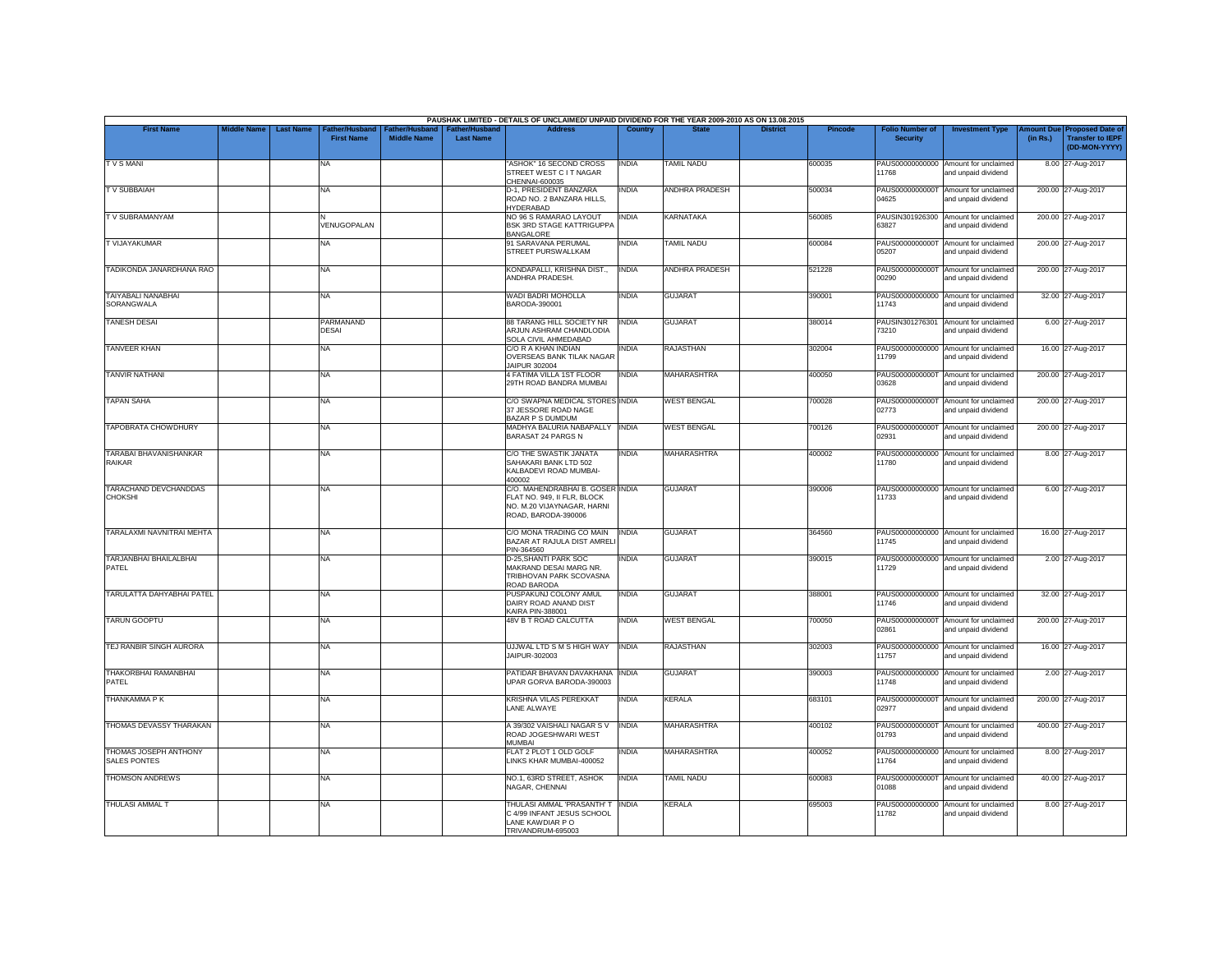|                                                |             |                  |                                    |                                             |                                           | PAUSHAK LIMITED - DETAILS OF UNCLAIMED/ UNPAID DIVIDEND FOR THE YEAR 2009-2010 AS ON 13.08.2015                      |              |                       |                 |         |                                           |                                                             |                       |                                                                     |
|------------------------------------------------|-------------|------------------|------------------------------------|---------------------------------------------|-------------------------------------------|----------------------------------------------------------------------------------------------------------------------|--------------|-----------------------|-----------------|---------|-------------------------------------------|-------------------------------------------------------------|-----------------------|---------------------------------------------------------------------|
| <b>First Name</b>                              | Middle Name | <b>Last Name</b> | ather/Husband<br><b>First Name</b> | <b>Father/Husband</b><br><b>Middle Name</b> | <b>Father/Husband</b><br><b>Last Name</b> | <b>Address</b>                                                                                                       | Country      | <b>State</b>          | <b>District</b> | Pincode | <b>Folio Number of</b><br><b>Security</b> | <b>Investment Type</b>                                      | mount Due<br>(in Rs.) | <b>Proposed Date of</b><br><b>Transfer to IEPF</b><br>(DD-MON-YYYY) |
| <b>TVSMANI</b>                                 |             |                  | NA                                 |                                             |                                           | "ASHOK" 16 SECOND CROSS<br>STREET WEST C I T NAGAR<br>CHENNAI-600035                                                 | INDIA        | <b>TAMIL NADU</b>     |                 | 600035  | PAUS00000000000<br>11768                  | Amount for unclaimed<br>and unpaid dividend                 |                       | 8.00 27-Aug-2017                                                    |
| <b>TV SUBBAIAH</b>                             |             |                  | NA                                 |                                             |                                           | D-1, PRESIDENT BANZARA<br>ROAD NO. 2 BANZARA HILLS,<br><b>HYDERABAD</b>                                              | INDIA        | <b>ANDHRA PRADESH</b> |                 | 500034  | 04625                                     | PAUS0000000000T Amount for unclaimed<br>and unpaid dividend |                       | 200.00 27-Aug-2017                                                  |
| TV SUBRAMANYAM                                 |             |                  | VENUGOPALAN                        |                                             |                                           | NO 96 S RAMARAO LAYOUT<br><b>BSK 3RD STAGE KATTRIGUPPA</b><br><b>BANGALORE</b>                                       | <b>INDIA</b> | <b>KARNATAKA</b>      |                 | 560085  | 63827                                     | PAUSIN301926300 Amount for unclaimed<br>and unpaid dividend |                       | 200.00 27-Aug-2017                                                  |
| T VIJAYAKUMAR                                  |             |                  | <b>NA</b>                          |                                             |                                           | 91 SARAVANA PERUMAL<br>STREET PURSWALLKAM                                                                            | <b>INDIA</b> | <b>TAMIL NADU</b>     |                 | 600084  | 05207                                     | PAUS0000000000T Amount for unclaimed<br>and unpaid dividend |                       | 200.00 27-Aug-2017                                                  |
| TADIKONDA JANARDHANA RAO                       |             |                  | NA                                 |                                             |                                           | KONDAPALLI, KRISHNA DIST.,<br>ANDHRA PRADESH.                                                                        | <b>INDIA</b> | ANDHRA PRADESH        |                 | 521228  | 00290                                     | PAUS0000000000T Amount for unclaimed<br>and unpaid dividend |                       | 200.00 27-Aug-2017                                                  |
| TAIYABALI NANABHAI<br>SORANGWALA               |             |                  | <b>NA</b>                          |                                             |                                           | WADI BADRI MOHOLLA<br>BARODA-390001                                                                                  | INDIA        | <b>GUJARAT</b>        |                 | 390001  | PAUS00000000000<br>11743                  | Amount for unclaimed<br>and unpaid dividend                 |                       | 32.00 27-Aug-2017                                                   |
| <b>TANESH DESAI</b>                            |             |                  | PARMANAND<br><b>DESAI</b>          |                                             |                                           | 88 TARANG HILL SOCIETY NR<br>ARJUN ASHRAM CHANDLODIA<br>SOLA CIVIL AHMEDABAD                                         | <b>INDIA</b> | <b>GUJARAT</b>        |                 | 380014  | 73210                                     | PAUSIN301276301 Amount for unclaimed<br>and unpaid dividend |                       | 6.00 27-Aug-2017                                                    |
| TANVEER KHAN                                   |             |                  | <b>NA</b>                          |                                             |                                           | C/O R A KHAN INDIAN<br><b>OVERSEAS BANK TILAK NAGAR</b><br><b>IAIPUR 302004</b>                                      | <b>INDIA</b> | RAJASTHAN             |                 | 302004  | 11799                                     | PAUS00000000000 Amount for unclaimed<br>and unpaid dividend |                       | 16.00 27-Aug-2017                                                   |
| <b>TANVIR NATHANI</b>                          |             |                  | <b>NA</b>                          |                                             |                                           | 4 FATIMA VILLA 1ST FLOOR<br>29TH ROAD BANDRA MUMBAI                                                                  | <b>INDIA</b> | <b>MAHARASHTRA</b>    |                 | 400050  | 03628                                     | PAUS0000000000T Amount for unclaimed<br>and unpaid dividend |                       | 200.00 27-Aug-2017                                                  |
| <b>TAPAN SAHA</b>                              |             |                  | <b>NA</b>                          |                                             |                                           | C/O SWAPNA MEDICAL STORES INDIA<br>37 JESSORE ROAD NAGE<br>BAZAR P S DUMDUM                                          |              | <b>WEST BENGAL</b>    |                 | 700028  | PAUS0000000000T<br>02773                  | Amount for unclaimed<br>and unpaid dividend                 |                       | 200.00 27-Aug-2017                                                  |
| <b>TAPOBRATA CHOWDHURY</b>                     |             |                  | <b>NA</b>                          |                                             |                                           | MADHYA BALURIA NABAPALLY INDIA<br>BARASAT 24 PARGS N                                                                 |              | <b>WEST BENGAL</b>    |                 | 700126  | 02931                                     | PAUS0000000000T Amount for unclaimed<br>and unpaid dividend |                       | 200.00 27-Aug-2017                                                  |
| <b>TARABAI BHAVANISHANKAR</b><br><b>RAIKAR</b> |             |                  | <b>NA</b>                          |                                             |                                           | C/O THE SWASTIK JANATA<br>SAHAKARI BANK LTD 502<br>KALBADEVI ROAD MUMBAI-<br>400002                                  | <b>INDIA</b> | <b>MAHARASHTRA</b>    |                 | 400002  | PAUS00000000000<br>11780                  | Amount for unclaimed<br>and unpaid dividend                 |                       | 8.00 27-Aug-2017                                                    |
| TARACHAND DEVCHANDDAS<br><b>CHOKSHI</b>        |             |                  | <b>NA</b>                          |                                             |                                           | C/O. MAHENDRABHAI B. GOSER INDIA<br>FLAT NO. 949, II FLR, BLOCK<br>NO. M.20 VIJAYNAGAR, HARNI<br>ROAD, BARODA-390006 |              | <b>GUJARAT</b>        |                 | 390006  | 11733                                     | PAUS00000000000 Amount for unclaimed<br>and unpaid dividend |                       | 6.00 27-Aug-2017                                                    |
| TARALAXMI NAVNITRAI MEHTA                      |             |                  | <b>NA</b>                          |                                             |                                           | C/O MONA TRADING CO MAIN<br>BAZAR AT RAJULA DIST AMREL<br>PIN-364560                                                 | <b>INDIA</b> | <b>GUJARAT</b>        |                 | 364560  | 11745                                     | PAUS00000000000 Amount for unclaimed<br>and unpaid dividend |                       | 16.00 27-Aug-2017                                                   |
| TARJANBHAI BHAILALBHAI<br>PATEL                |             |                  | <b>NA</b>                          |                                             |                                           | D-25. SHANTI PARK SOC<br>MAKRAND DESAI MARG NR.<br>TRIBHOVAN PARK SCOVASNA<br>ROAD BARODA                            | <b>INDIA</b> | <b>GUJARAT</b>        |                 | 390015  | 11729                                     | PAUS00000000000 Amount for unclaimed<br>and unpaid dividend |                       | 2.00 27-Aug-2017                                                    |
| TARULATTA DAHYABHAI PATEL                      |             |                  | <b>NA</b>                          |                                             |                                           | PUSPAKUNJ COLONY AMUL<br>DAIRY ROAD ANAND DIST<br>KAIRA PIN-388001                                                   | <b>INDIA</b> | <b>GUJARAT</b>        |                 | 388001  | 11746                                     | PAUS00000000000 Amount for unclaimed<br>and unpaid dividend |                       | 32.00 27-Aug-2017                                                   |
| <b>TARUN GOOPTU</b>                            |             |                  | <b>NA</b>                          |                                             |                                           | 48V B T ROAD CALCUTTA                                                                                                | INDIA        | <b>WEST BENGAL</b>    |                 | 700050  | 02861                                     | PAUS0000000000T Amount for unclaimed<br>and unpaid dividend |                       | 200.00 27-Aug-2017                                                  |
| TEJ RANBIR SINGH AURORA                        |             |                  | <b>NA</b>                          |                                             |                                           | UJJWAL LTD S M S HIGH WAY<br>JAIPUR-302003                                                                           | <b>INDIA</b> | <b>RAJASTHAN</b>      |                 | 302003  | 11757                                     | PAUS00000000000 Amount for unclaimed<br>and unpaid dividend |                       | 16.00 27-Aug-2017                                                   |
| THAKORBHAI RAMANBHAI<br>PATEL                  |             |                  | <b>NA</b>                          |                                             |                                           | PATIDAR BHAVAN DAVAKHANA INDIA<br>UPAR GORVA BARODA-390003                                                           |              | <b>GUJARAT</b>        |                 | 390003  | 11748                                     | PAUS00000000000 Amount for unclaimed<br>and unpaid dividend |                       | 2.00 27-Aug-2017                                                    |
| <b>THANKAMMA PK</b>                            |             |                  | <b>NA</b>                          |                                             |                                           | <b>KRISHNA VILAS PEREKKAT</b><br>LANE ALWAYE                                                                         | <b>INDIA</b> | KERALA                |                 | 683101  | PAUS0000000000T<br>02977                  | Amount for unclaimed<br>and unpaid dividend                 |                       | 200.00 27-Aug-2017                                                  |
| THOMAS DEVASSY THARAKAN                        |             |                  | <b>NA</b>                          |                                             |                                           | A 39/302 VAISHALI NAGAR S V<br>ROAD JOGESHWARI WEST<br><b>MUMBAI</b>                                                 | <b>INDIA</b> | <b>MAHARASHTRA</b>    |                 | 400102  | 01793                                     | PAUS0000000000T Amount for unclaimed<br>and unpaid dividend |                       | 400.00 27-Aug-2017                                                  |
| THOMAS JOSEPH ANTHONY<br>SALES PONTES          |             |                  | <b>NA</b>                          |                                             |                                           | FLAT 2 PLOT 1 OLD GOLF<br>LINKS KHAR MUMBAI-400052                                                                   | INDIA        | <b>MAHARASHTRA</b>    |                 | 400052  | PAUS00000000000<br>11764                  | Amount for unclaimed<br>and unpaid dividend                 |                       | 8.00 27-Aug-2017                                                    |
| THOMSON ANDREWS                                |             |                  | <b>NA</b>                          |                                             |                                           | NO.1, 63RD STREET, ASHOK<br>NAGAR, CHENNAI                                                                           | <b>INDIA</b> | <b>TAMIL NADU</b>     |                 | 600083  | 01088                                     | PAUS0000000000T Amount for unclaimed<br>and unpaid dividend |                       | 40.00 27-Aug-2017                                                   |
| <b>THULASI AMMAL 7</b>                         |             |                  | <b>NA</b>                          |                                             |                                           | THULASI AMMAL 'PRASANTH' T<br>24/99 INFANT JESUS SCHOOL<br>LANE KAWDIAR P O<br>TRIVANDRUM-695003                     | <b>INDIA</b> | <b>KERALA</b>         |                 | 695003  | PAUS00000000000<br>11782                  | Amount for unclaimed<br>and unpaid dividend                 |                       | 8.00 27-Aug-2017                                                    |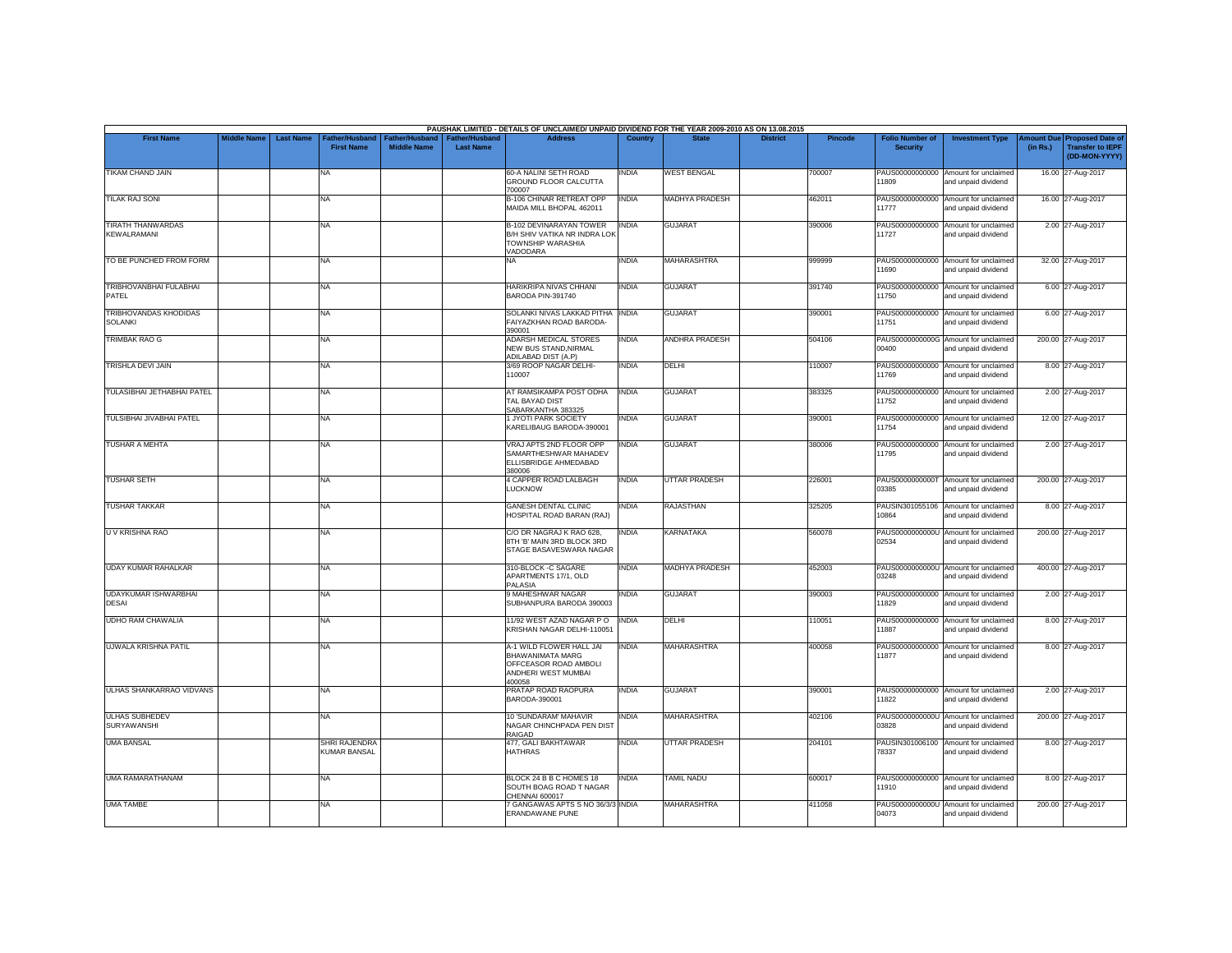|                                             |                    |                  |                                                 |                                      |                                           | PAUSHAK LIMITED - DETAILS OF UNCLAIMED/ UNPAID DIVIDEND FOR THE YEAR 2009-2010 AS ON 13.08.2015        |              |                       |                 |                |                                           |                                                             |                       |                                                                     |
|---------------------------------------------|--------------------|------------------|-------------------------------------------------|--------------------------------------|-------------------------------------------|--------------------------------------------------------------------------------------------------------|--------------|-----------------------|-----------------|----------------|-------------------------------------------|-------------------------------------------------------------|-----------------------|---------------------------------------------------------------------|
| <b>First Name</b>                           | <b>Middle Name</b> | <b>Last Name</b> | ather/Husband <sup>-</sup><br><b>First Name</b> | Father/Husband<br><b>Middle Name</b> | <b>Father/Husband</b><br><b>Last Name</b> | <b>Address</b>                                                                                         | Country      | <b>State</b>          | <b>District</b> | <b>Pincode</b> | <b>Folio Number of</b><br><b>Security</b> | <b>Investment Type</b>                                      | mount Due<br>(in Rs.) | <b>Proposed Date of</b><br><b>Transfer to IEPF</b><br>(DD-MON-YYYY) |
| TIKAM CHAND JAIN                            |                    |                  | <b>NA</b>                                       |                                      |                                           | 60-A NALINI SETH ROAD<br>GROUND FLOOR CALCUTTA<br>700007                                               | INDIA        | <b>WEST BENGAL</b>    |                 | 700007         | 11809                                     | PAUS00000000000 Amount for unclaimed<br>and unpaid dividend |                       | 16.00 27-Aug-2017                                                   |
| <b>TILAK RAJ SONI</b>                       |                    |                  | <b>NA</b>                                       |                                      |                                           | B-106 CHINAR RETREAT OPP<br>MAIDA MILL BHOPAL 462011                                                   | <b>INDIA</b> | MADHYA PRADESH        |                 | 462011         | 11777                                     | PAUS00000000000 Amount for unclaimed<br>and unpaid dividend |                       | 16.00 27-Aug-2017                                                   |
| <b>TIRATH THANWARDAS</b><br>KEWALRAMANI     |                    |                  | <b>NA</b>                                       |                                      |                                           | <b>B-102 DEVINARAYAN TOWER</b><br>B/H SHIV VATIKA NR INDRA LOK<br>TOWNSHIP WARASHIA<br>VADODARA        | <b>INDIA</b> | <b>GUJARAT</b>        |                 | 390006         | 11727                                     | PAUS00000000000 Amount for unclaimed<br>and unpaid dividend |                       | 2.00 27-Aug-2017                                                    |
| TO BE PUNCHED FROM FORM                     |                    |                  | <b>NA</b>                                       |                                      |                                           | NA.                                                                                                    | INDIA        | <b>MAHARASHTRA</b>    |                 | 999999         | 11690                                     | PAUS00000000000 Amount for unclaimed<br>and unpaid dividend |                       | 32.00 27-Aug-2017                                                   |
| TRIBHOVANBHAI FULABHAI<br>PATEL             |                    |                  | <b>NA</b>                                       |                                      |                                           | <b>HARIKRIPA NIVAS CHHANI</b><br>BARODA PIN-391740                                                     | <b>INDIA</b> | <b>GUJARAT</b>        |                 | 391740         | 11750                                     | PAUS00000000000 Amount for unclaimed<br>and unpaid dividend |                       | 6.00 27-Aug-2017                                                    |
| TRIBHOVANDAS KHODIDAS<br><b>SOLANKI</b>     |                    |                  | <b>NA</b>                                       |                                      |                                           | SOLANKI NIVAS LAKKAD PITHA INDIA<br>FAIYAZKHAN ROAD BARODA-<br>390001                                  |              | <b>GUJARAT</b>        |                 | 390001         | 11751                                     | PAUS00000000000 Amount for unclaimed<br>and unpaid dividend |                       | 6.00 27-Aug-2017                                                    |
| TRIMBAK RAO G                               |                    |                  | <b>NA</b>                                       |                                      |                                           | ADARSH MEDICAL STORES<br>NEW BUS STAND, NIRMAL<br>ADILABAD DIST (A.P)                                  | <b>INDIA</b> | ANDHRA PRADESH        |                 | 504106         | 00400                                     | PAUS0000000000G Amount for unclaimed<br>and unpaid dividend |                       | 200.00 27-Aug-2017                                                  |
| <b>TRISHLA DEVI JAIN</b>                    |                    |                  | <b>NA</b>                                       |                                      |                                           | 3/69 ROOP NAGAR DELHI-<br>10007                                                                        | <b>INDIA</b> | <b>DELHI</b>          |                 | 110007         | 11769                                     | PAUS00000000000 Amount for unclaimed<br>and unpaid dividend |                       | 8.00 27-Aug-2017                                                    |
| TULASIBHAI JETHABHAI PATEL                  |                    |                  | <b>NA</b>                                       |                                      |                                           | AT RAMSIKAMPA POST ODHA<br>TAL BAYAD DIST<br>SABARKANTHA 383325                                        | <b>INDIA</b> | <b>GUJARAT</b>        |                 | 383325         | PAUS00000000000<br>11752                  | Amount for unclaimed<br>and unpaid dividend                 |                       | 2.00 27-Aug-2017                                                    |
| TULSIBHAI JIVABHAI PATEL                    |                    |                  | <b>NA</b>                                       |                                      |                                           | 1 JYOTI PARK SOCIETY<br>KARELIBAUG BARODA-390001                                                       | INDIA        | <b>GUJARAT</b>        |                 | 390001         | 11754                                     | PAUS00000000000 Amount for unclaimed<br>and unpaid dividend |                       | 12.00 27-Aug-2017                                                   |
| <b>TUSHAR A MEHTA</b>                       |                    |                  | <b>NA</b>                                       |                                      |                                           | VRAJ APTS 2ND FLOOR OPP<br>SAMARTHESHWAR MAHADEV<br>ELLISBRIDGE AHMEDABAD<br>380006                    | <b>INDIA</b> | <b>GUJARAT</b>        |                 | 380006         | 11795                                     | PAUS00000000000 Amount for unclaimed<br>and unpaid dividend |                       | 2.00 27-Aug-2017                                                    |
| <b>TUSHAR SETH</b>                          |                    |                  | <b>NA</b>                                       |                                      |                                           | 4 CAPPER ROAD LALBAGH<br><b>LUCKNOW</b>                                                                | <b>INDIA</b> | <b>UTTAR PRADESH</b>  |                 | 226001         | 03385                                     | PAUS0000000000T Amount for unclaimed<br>and unpaid dividend |                       | 200.00 27-Aug-2017                                                  |
| <b>TUSHAR TAKKAR</b>                        |                    |                  | <b>NA</b>                                       |                                      |                                           | <b>GANESH DENTAL CLINIC</b><br>HOSPITAL ROAD BARAN (RAJ)                                               | INDIA        | <b>RAJASTHAN</b>      |                 | 325205         | 10864                                     | PAUSIN301055106 Amount for unclaimed<br>and unpaid dividend |                       | 8.00 27-Aug-2017                                                    |
| U V KRISHNA RAO                             |                    |                  | <b>NA</b>                                       |                                      |                                           | C/O DR NAGRAJ K RAO 628.<br>8TH 'B' MAIN 3RD BLOCK 3RD<br>STAGE BASAVESWARA NAGAR                      | INDIA        | <b>KARNATAKA</b>      |                 | 560078         | PAUS0000000000U<br>02534                  | Amount for unclaimed<br>and unpaid dividend                 |                       | 200.00 27-Aug-2017                                                  |
| <b>UDAY KUMAR RAHALKAR</b>                  |                    |                  | <b>NA</b>                                       |                                      |                                           | 310-BLOCK -C SAGARE<br>APARTMENTS 17/1, OLD<br>PALASIA                                                 | <b>INDIA</b> | <b>MADHYA PRADESH</b> |                 | 452003         | 03248                                     | PAUS0000000000U Amount for unclaimed<br>and unpaid dividend |                       | 400.00 27-Aug-2017                                                  |
| <b>UDAYKUMAR ISHWARBHAI</b><br><b>DESAI</b> |                    |                  | <b>NA</b>                                       |                                      |                                           | 9 MAHESHWAR NAGAR<br>SUBHANPURA BARODA 390003                                                          | india        | <b>GUJARAT</b>        |                 | 390003         | 11829                                     | PAUS00000000000 Amount for unclaimed<br>and unpaid dividend |                       | 2.00 27-Aug-2017                                                    |
| <b>UDHO RAM CHAWALIA</b>                    |                    |                  | <b>NA</b>                                       |                                      |                                           | 11/92 WEST AZAD NAGAR PO<br>KRISHAN NAGAR DELHI-110051                                                 | <b>INDIA</b> | DELHI                 |                 | 110051         | 11887                                     | PAUS00000000000 Amount for unclaimed<br>and unpaid dividend |                       | 8.00 27-Aug-2017                                                    |
| <b>UJWALA KRISHNA PATIL</b>                 |                    |                  | <b>NA</b>                                       |                                      |                                           | A-1 WILD FLOWER HALL JAI<br>BHAWANIMATA MARG<br>OFFCEASOR ROAD AMBOLI<br>ANDHERI WEST MUMBAI<br>100058 | <b>INDIA</b> | <b>MAHARASHTRA</b>    |                 | 400058         | PAUS00000000000<br>11877                  | Amount for unclaimed<br>and unpaid dividend                 |                       | 8.00 27-Aug-2017                                                    |
| <b>ULHAS SHANKARRAO VIDVANS</b>             |                    |                  | <b>NA</b>                                       |                                      |                                           | PRATAP ROAD RAOPURA<br>BARODA-390001                                                                   | INDIA        | <b>GUJARAT</b>        |                 | 390001         | 11822                                     | PAUS00000000000 Amount for unclaimed<br>and unpaid dividend |                       | 2.00 27-Aug-2017                                                    |
| <b>ULHAS SUBHEDEV</b><br>SURYAWANSHI        |                    |                  | <b>NA</b>                                       |                                      |                                           | 10 'SUNDARAM' MAHAVIR<br>NAGAR CHINCHPADA PEN DIST<br>RAIGAD                                           | INDIA        | <b>MAHARASHTRA</b>    |                 | 402106         | 03828                                     | PAUS0000000000U Amount for unclaimed<br>and unpaid dividend |                       | 200.00 27-Aug-2017                                                  |
| <b>UMA BANSAL</b>                           |                    |                  | <b>SHRI RAJENDRA</b><br><b>KUMAR BANSAL</b>     |                                      |                                           | 477, GALI BAKHTAWAR<br><b>HATHRAS</b>                                                                  | INDIA        | <b>UTTAR PRADESH</b>  |                 | 204101         | PAUSIN301006100<br>78337                  | Amount for unclaimed<br>and unpaid dividend                 |                       | 8.00 27-Aug-2017                                                    |
| <b>UMA RAMARATHANAM</b>                     |                    |                  | <b>NA</b>                                       |                                      |                                           | BLOCK 24 B B C HOMES 18<br>SOUTH BOAG ROAD T NAGAR<br>CHENNAI 600017                                   | <b>INDIA</b> | <b>TAMIL NADU</b>     |                 | 600017         | 11910                                     | PAUS00000000000 Amount for unclaimed<br>and unpaid dividend |                       | 8.00 27-Aug-2017                                                    |
| <b>UMA TAMBE</b>                            |                    |                  | <b>NA</b>                                       |                                      |                                           | <b>7 GANGAWAS APTS S NO 36/3/3 INDIA</b><br>ERANDAWANE PUNE                                            |              | <b>MAHARASHTRA</b>    |                 | 411058         | 04073                                     | PAUS0000000000U Amount for unclaimed<br>and unpaid dividend |                       | 200.00 27-Aug-2017                                                  |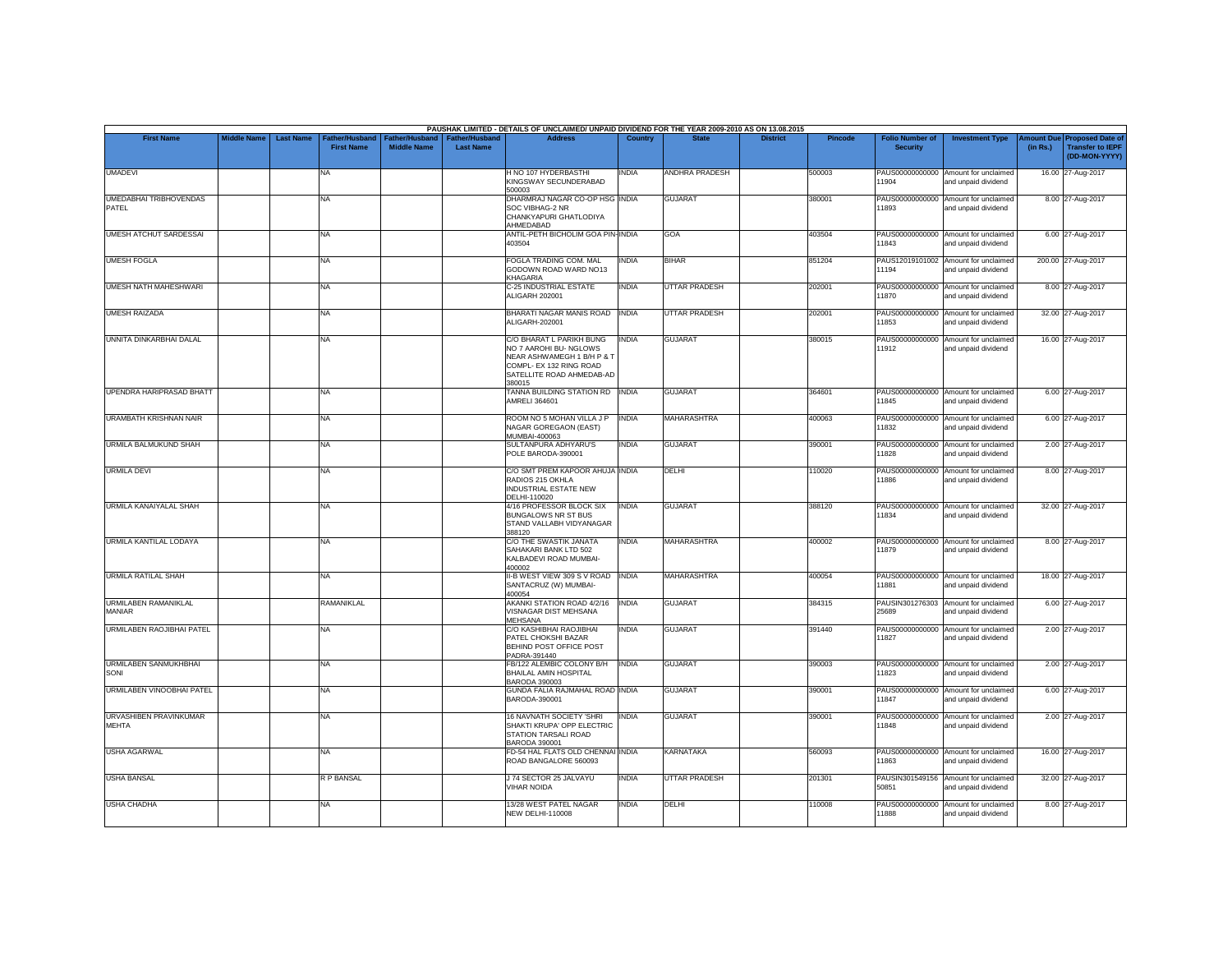|                                        |                    |                  |                                     |                                      |                                           | PAUSHAK LIMITED - DETAILS OF UNCLAIMED/ UNPAID DIVIDEND FOR THE YEAR 2009-2010 AS ON 13.08.2015                                                    |                |                      |                 |                |                                           |                                                             |                       |                                                                     |
|----------------------------------------|--------------------|------------------|-------------------------------------|--------------------------------------|-------------------------------------------|----------------------------------------------------------------------------------------------------------------------------------------------------|----------------|----------------------|-----------------|----------------|-------------------------------------------|-------------------------------------------------------------|-----------------------|---------------------------------------------------------------------|
| <b>First Name</b>                      | <b>Middle Name</b> | <b>Last Name</b> | Father/Husband<br><b>First Name</b> | Father/Husband<br><b>Middle Name</b> | <b>Father/Husband</b><br><b>Last Name</b> | <b>Address</b>                                                                                                                                     | <b>Country</b> | <b>State</b>         | <b>District</b> | <b>Pincode</b> | <b>Folio Number of</b><br><b>Security</b> | <b>Investment Type</b>                                      | mount Due<br>(in Rs.) | <b>Proposed Date of</b><br><b>Transfer to IEPF</b><br>(DD-MON-YYYY) |
| <b>UMADEVI</b>                         |                    |                  | <b>NA</b>                           |                                      |                                           | H NO 107 HYDERBASTHI<br>KINGSWAY SECUNDERABAD<br>500003                                                                                            | INDIA          | ANDHRA PRADESH       |                 | 500003         | 11904                                     | PAUS00000000000 Amount for unclaimed<br>and unpaid dividend |                       | 16.00 27-Aug-2017                                                   |
| <b>UMEDABHAI TRIBHOVENDAS</b><br>PATFI |                    |                  | <b>NA</b>                           |                                      |                                           | DHARMRAJ NAGAR CO-OP HSG INDIA<br>SOC VIBHAG-2 NR<br>CHANKYAPURI GHATLODIYA<br>AHMEDABAD                                                           |                | <b>GUJARAT</b>       |                 | 380001         | 11893                                     | PAUS00000000000 Amount for unclaimed<br>and unpaid dividend |                       | 8.00 27-Aug-2017                                                    |
| UMESH ATCHUT SARDESSAI                 |                    |                  | <b>NA</b>                           |                                      |                                           | ANTIL-PETH BICHOLIM GOA PIN-INDIA<br>403504                                                                                                        |                | GOA                  |                 | 403504         | 11843                                     | PAUS00000000000 Amount for unclaimed<br>and unpaid dividend |                       | 6.00 27-Aug-2017                                                    |
| <b>UMESH FOGLA</b>                     |                    |                  | <b>NA</b>                           |                                      |                                           | FOGLA TRADING COM, MAL<br>GODOWN ROAD WARD NO13<br>KHAGARIA                                                                                        | INDIA          | <b>BIHAR</b>         |                 | 851204         | 11194                                     | PAUS12019101002 Amount for unclaimed<br>and unpaid dividend |                       | 200.00 27-Aug-2017                                                  |
| UMESH NATH MAHESHWARI                  |                    |                  | <b>NA</b>                           |                                      |                                           | C-25 INDUSTRIAL ESTATE<br>ALIGARH 202001                                                                                                           | <b>INDIA</b>   | <b>UTTAR PRADESH</b> |                 | 202001         | 11870                                     | PAUS00000000000 Amount for unclaimed<br>and unpaid dividend |                       | 8.00 27-Aug-2017                                                    |
| <b>UMESH RAIZADA</b>                   |                    |                  | <b>NA</b>                           |                                      |                                           | BHARATI NAGAR MANIS ROAD INDIA<br>ALIGARH-202001                                                                                                   |                | <b>UTTAR PRADESH</b> |                 | 202001         | 11853                                     | PAUS00000000000 Amount for unclaimed<br>and unpaid dividend |                       | 32.00 27-Aug-2017                                                   |
| UNNITA DINKARBHAI DALAL                |                    |                  | <b>NA</b>                           |                                      |                                           | C/O BHARAT L PARIKH BUNG<br>NO 7 AAROHI BU- NGLOWS<br>NEAR ASHWAMEGH 1 B/H P & T<br>COMPL- EX 132 RING ROAD<br>SATELLITE ROAD AHMEDAB-AD<br>380015 | <b>INDIA</b>   | <b>GUJARAT</b>       |                 | 380015         | 11912                                     | PAUS00000000000 Amount for unclaimed<br>and unpaid dividend |                       | 16.00 27-Aug-2017                                                   |
| <b>UPENDRA HARIPRASAD BHATT</b>        |                    |                  | <b>NA</b>                           |                                      |                                           | TANNA BUILDING STATION RD INDIA<br><b>AMRELI 364601</b>                                                                                            |                | <b>GUJARAT</b>       |                 | 364601         | 11845                                     | PAUS00000000000 Amount for unclaimed<br>and unpaid dividend |                       | 6.00 27-Aug-2017                                                    |
| <b>URAMBATH KRISHNAN NAIR</b>          |                    |                  | <b>NA</b>                           |                                      |                                           | ROOM NO 5 MOHAN VILLA J P<br>NAGAR GOREGAON (EAST)<br>MUMBAI-400063                                                                                | <b>INDIA</b>   | <b>MAHARASHTRA</b>   |                 | 400063         | 11832                                     | PAUS00000000000 Amount for unclaimed<br>and unpaid dividend |                       | 6.00 27-Aug-2017                                                    |
| URMILA BALMUKUND SHAH                  |                    |                  | <b>NA</b>                           |                                      |                                           | SULTANPURA ADHYARU'S<br>POLE BARODA-390001                                                                                                         | <b>INDIA</b>   | <b>GUJARAT</b>       |                 | 390001         | 11828                                     | PAUS00000000000 Amount for unclaimed<br>and unpaid dividend |                       | 2.00 27-Aug-2017                                                    |
| <b>URMILA DEVI</b>                     |                    |                  | <b>NA</b>                           |                                      |                                           | C/O SMT PREM KAPOOR AHUJA INDIA<br>RADIOS 215 OKHLA<br>INDUSTRIAL ESTATE NEW<br>DELHI-110020                                                       |                | DELHI                |                 | 110020         | 11886                                     | PAUS00000000000 Amount for unclaimed<br>and unpaid dividend |                       | 8.00 27-Aug-2017                                                    |
| URMILA KANAIYALAL SHAH                 |                    |                  | <b>NA</b>                           |                                      |                                           | 4/16 PROFESSOR BLOCK SIX<br><b>BUNGALOWS NR ST BUS</b><br>STAND VALLABH VIDYANAGAR<br>388120                                                       | <b>INDIA</b>   | <b>GUJARAT</b>       |                 | 388120         | 11834                                     | PAUS00000000000 Amount for unclaimed<br>and unpaid dividend |                       | 32.00 27-Aug-2017                                                   |
| URMILA KANTILAL LODAYA                 |                    |                  | <b>NA</b>                           |                                      |                                           | C/O THE SWASTIK JANATA<br>SAHAKARI BANK LTD 502<br>KALBADEVI ROAD MUMBAI-<br>400002                                                                | <b>INDIA</b>   | MAHARASHTRA          |                 | 400002         | 11879                                     | PAUS00000000000 Amount for unclaimed<br>and unpaid dividend |                       | 8.00 27-Aug-2017                                                    |
| URMILA RATILAL SHAH                    |                    |                  | <b>NA</b>                           |                                      |                                           | II-B WEST VIEW 309 S V ROAD<br>SANTACRUZ (W) MUMBAI-<br>400054                                                                                     | <b>INDIA</b>   | <b>MAHARASHTRA</b>   |                 | 400054         | 11881                                     | PAUS00000000000 Amount for unclaimed<br>and unpaid dividend |                       | 18.00 27-Aug-2017                                                   |
| URMILABEN RAMANIKLAL<br>MANIAR         |                    |                  | RAMANIKLAL                          |                                      |                                           | AKANKI STATION ROAD 4/2/16<br>VISNAGAR DIST MEHSANA<br><b>MEHSANA</b>                                                                              | <b>INDIA</b>   | <b>GUJARAT</b>       |                 | 384315         | PAUSIN301276303<br>25689                  | Amount for unclaimed<br>and unpaid dividend                 |                       | 6.00 27-Aug-2017                                                    |
| <b>URMILABEN RAOJIBHAI PATEL</b>       |                    |                  | <b>NA</b>                           |                                      |                                           | C/O KASHIBHAI RAOJIBHAI<br>PATEL CHOKSHI BAZAR<br>BEHIND POST OFFICE POST<br>PADRA-391440                                                          | <b>INDIA</b>   | <b>GUJARAT</b>       |                 | 391440         | 11827                                     | PAUS00000000000 Amount for unclaimed<br>and unpaid dividend |                       | 2.00 27-Aug-2017                                                    |
| <b>URMILABEN SANMUKHBHAI</b><br>SONI   |                    |                  | <b>NA</b>                           |                                      |                                           | FB/122 ALEMBIC COLONY B/H<br>BHAILAL AMIN HOSPITAL<br>BARODA 390003                                                                                | <b>INDIA</b>   | <b>GUJARAT</b>       |                 | 390003         | 11823                                     | PAUS00000000000 Amount for unclaimed<br>and unpaid dividend |                       | 2.00 27-Aug-2017                                                    |
| <b>URMILABEN VINOOBHAI PATEL</b>       |                    |                  | <b>NA</b>                           |                                      |                                           | GUNDA FALIA RAJMAHAL ROAD INDIA<br>BARODA-390001                                                                                                   |                | <b>GUJARAT</b>       |                 | 390001         | 11847                                     | PAUS00000000000 Amount for unclaimed<br>and unpaid dividend |                       | 6.00 27-Aug-2017                                                    |
| URVASHIBEN PRAVINKUMAR<br>MEHTA        |                    |                  | <b>NA</b>                           |                                      |                                           | 16 NAVNATH SOCIETY 'SHRI<br>SHAKTI KRUPA' OPP ELECTRIC<br><b>STATION TARSALI ROAD</b><br>BARODA 390001                                             | <b>INDIA</b>   | <b>GUJARAT</b>       |                 | 390001         | 11848                                     | PAUS00000000000 Amount for unclaimed<br>and unpaid dividend |                       | 2.00 27-Aug-2017                                                    |
| <b>USHA AGARWAL</b>                    |                    |                  | <b>NA</b>                           |                                      |                                           | FD-54 HAL FLATS OLD CHENNAI INDIA<br>ROAD BANGALORE 560093                                                                                         |                | <b>KARNATAKA</b>     |                 | 560093         | 11863                                     | PAUS00000000000 Amount for unclaimed<br>and unpaid dividend |                       | 16.00 27-Aug-2017                                                   |
| <b>USHA BANSAL</b>                     |                    |                  | <b>R P BANSAL</b>                   |                                      |                                           | J 74 SECTOR 25 JALVAYU<br><b>VIHAR NOIDA</b>                                                                                                       | <b>INDIA</b>   | <b>UTTAR PRADESH</b> |                 | 201301         | PAUSIN301549156<br>50851                  | Amount for unclaimed<br>and unpaid dividend                 |                       | 32.00 27-Aug-2017                                                   |
| <b>USHA CHADHA</b>                     |                    |                  | <b>NA</b>                           |                                      |                                           | 13/28 WEST PATEL NAGAR<br><b>NEW DELHI-110008</b>                                                                                                  | INDIA          | DELHI                |                 | 110008         | PAUS00000000000<br>11888                  | Amount for unclaimed<br>and unpaid dividend                 |                       | 8.00 27-Aug-2017                                                    |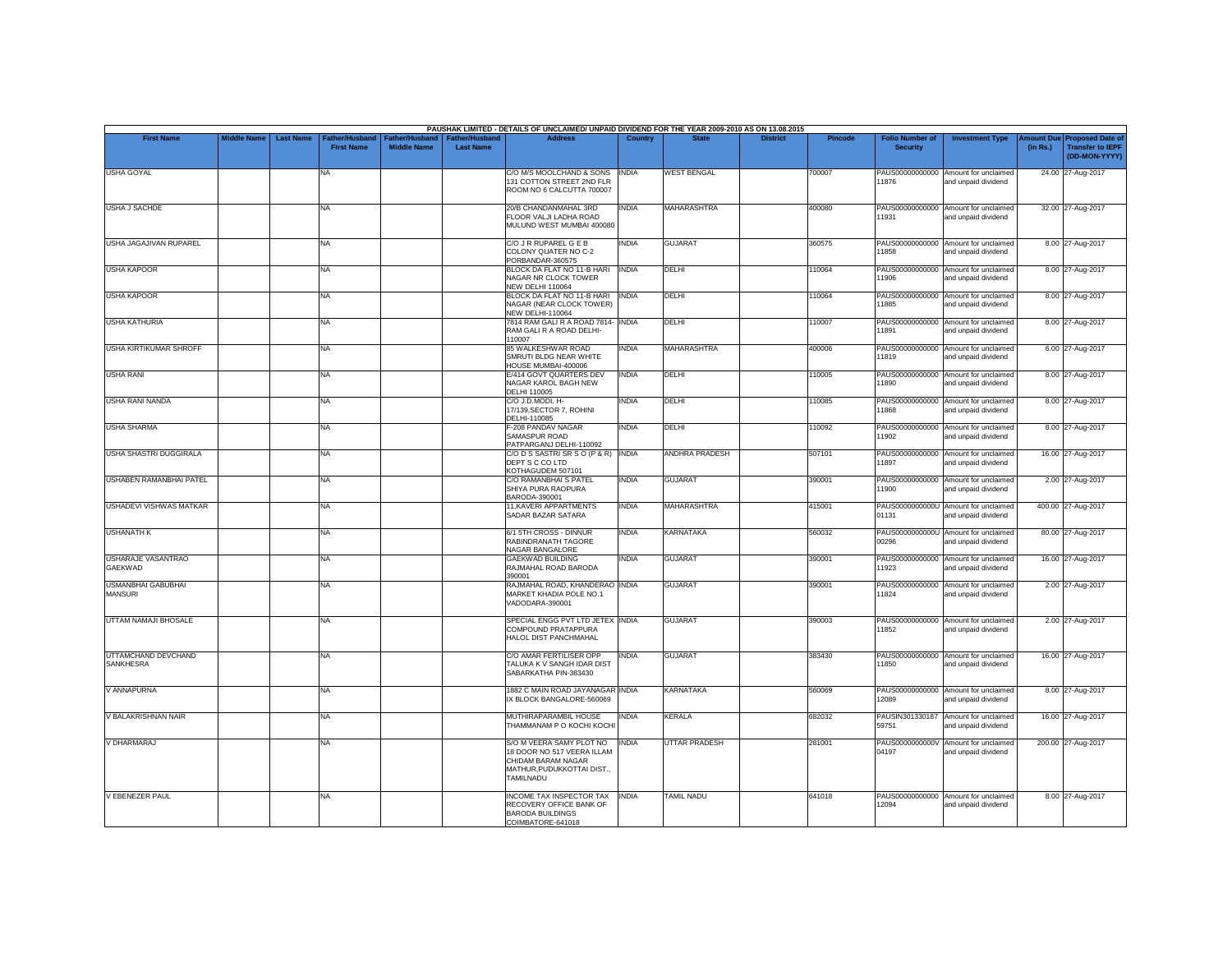|                                             |                    |                  |                                            |                                             |                                           | PAUSHAK LIMITED - DETAILS OF UNCLAIMED/ UNPAID DIVIDEND FOR THE YEAR 2009-2010 AS ON 13.08.2015                         |                |                       |                 |         |                                           |                                                             |          |                                                                         |
|---------------------------------------------|--------------------|------------------|--------------------------------------------|---------------------------------------------|-------------------------------------------|-------------------------------------------------------------------------------------------------------------------------|----------------|-----------------------|-----------------|---------|-------------------------------------------|-------------------------------------------------------------|----------|-------------------------------------------------------------------------|
| <b>First Name</b>                           | <b>Middle Name</b> | <b>Last Name</b> | <b>Father/Husband</b><br><b>First Name</b> | <b>Father/Husband</b><br><b>Middle Name</b> | <b>Father/Husband</b><br><b>Last Name</b> | <b>Address</b>                                                                                                          | <b>Country</b> | <b>State</b>          | <b>District</b> | Pincode | <b>Folio Number of</b><br><b>Security</b> | <b>Investment Type</b>                                      | (in Rs.) | Amount Due Proposed Date of<br><b>Transfer to IEPF</b><br>(DD-MON-YYYY) |
| <b>USHA GOYAL</b>                           |                    |                  | <b>NA</b>                                  |                                             |                                           | C/O M/S MOOLCHAND & SONS<br>131 COTTON STREET 2ND FLR<br>ROOM NO 6 CALCUTTA 700007                                      | <b>INDIA</b>   | <b>WEST BENGAL</b>    |                 | 700007  | 11876                                     | PAUS00000000000 Amount for unclaimed<br>and unpaid dividend |          | 24.00 27-Aug-2017                                                       |
| <b>USHA J SACHDE</b>                        |                    |                  | <b>NA</b>                                  |                                             |                                           | 20/B CHANDANMAHAL 3RD<br>FLOOR VALJI LADHA ROAD<br>MULUND WEST MUMBAI 400080                                            | INDIA          | <b>MAHARASHTRA</b>    |                 | 400080  | 11931                                     | PAUS00000000000 Amount for unclaimed<br>and unpaid dividend |          | 32.00 27-Aug-2017                                                       |
| <b>USHA JAGAJIVAN RUPAREL</b>               |                    |                  | <b>NA</b>                                  |                                             |                                           | C/O J R RUPAREL G E B<br>COLONY QUATER NO C-2<br>PORBANDAR-360575                                                       | INDIA          | <b>GUJARAT</b>        |                 | 360575  | 11858                                     | PAUS00000000000 Amount for unclaimed<br>and unpaid dividend |          | 8.00 27-Aug-2017                                                        |
| <b>USHA KAPOOR</b>                          |                    |                  | <b>NA</b>                                  |                                             |                                           | BLOCK DA FLAT NO 11-B HARI<br>NAGAR NR CLOCK TOWER<br>NEW DELHI 110064                                                  | <b>INDIA</b>   | DELHI                 |                 | 110064  | 11906                                     | PAUS00000000000 Amount for unclaimed<br>and unpaid dividend |          | 8.00 27-Aug-2017                                                        |
| <b>USHA KAPOOR</b>                          |                    |                  | <b>NA</b>                                  |                                             |                                           | BLOCK DA FLAT NO 11-B HARI<br>NAGAR (NEAR CLOCK TOWER)<br><b>NEW DELHI-110064</b>                                       | <b>INDIA</b>   | DELHI                 |                 | 110064  | 11885                                     | PAUS00000000000 Amount for unclaimed<br>and unpaid dividend |          | 8.00 27-Aug-2017                                                        |
| <b>USHA KATHURIA</b>                        |                    |                  | <b>NA</b>                                  |                                             |                                           | 7814 RAM GALI R A ROAD 7814- INDIA<br>RAM GALI R A ROAD DELHI-<br>110007                                                |                | <b>DELHI</b>          |                 | 110007  | 11891                                     | PAUS00000000000 Amount for unclaimed<br>and unpaid dividend |          | 8.00 27-Aug-2017                                                        |
| <b>USHA KIRTIKUMAR SHROFF</b>               |                    |                  | <b>NA</b>                                  |                                             |                                           | 85 WALKESHWAR ROAD<br>SMRUTI BLDG NEAR WHITE<br>HOUSE MUMBAI-400006                                                     | <b>INDIA</b>   | <b>MAHARASHTRA</b>    |                 | 400006  | 11819                                     | PAUS00000000000 Amount for unclaimed<br>and unpaid dividend |          | 6.00 27-Aug-2017                                                        |
| <b>USHA RANI</b>                            |                    |                  | <b>NA</b>                                  |                                             |                                           | E/414 GOVT QUARTERS DEV<br>NAGAR KAROL BAGH NEW<br><b>DELHI 110005</b>                                                  | <b>INDIA</b>   | DELHI                 |                 | 110005  | PAUS00000000000<br>11890                  | Amount for unclaimed<br>and unpaid dividend                 |          | 8.00 27-Aug-2017                                                        |
| <b>USHA RANI NANDA</b>                      |                    |                  | <b>NA</b>                                  |                                             |                                           | C/O J.D.MODI. H-<br>17/139, SECTOR 7, ROHINI<br>DELHI-110085                                                            | INDIA          | DELHI                 |                 | 110085  | PAUS00000000000<br>11868                  | Amount for unclaimed<br>and unpaid dividend                 |          | 8.00 27-Aug-2017                                                        |
| <b>USHA SHARMA</b>                          |                    |                  | <b>NA</b>                                  |                                             |                                           | F-208 PANDAV NAGAR<br>SAMASPUR ROAD<br>PATPARGANJ DELHI-110092                                                          | INDIA          | DELHI                 |                 | 110092  | 11902                                     | PAUS00000000000 Amount for unclaimed<br>and unpaid dividend |          | 8.00 27-Aug-2017                                                        |
| USHA SHASTRI DUGGIRALA                      |                    |                  | <b>NA</b>                                  |                                             |                                           | C/O D S SASTRI SR S O (P & R) INDIA<br>DEPT S C CO LTD<br>KOTHAGUDEM 507101                                             |                | <b>ANDHRA PRADESH</b> |                 | 507101  | 11897                                     | PAUS00000000000 Amount for unclaimed<br>and unpaid dividend |          | 16.00 27-Aug-2017                                                       |
| USHABEN RAMANBHAI PATEL                     |                    |                  | <b>NA</b>                                  |                                             |                                           | C/O RAMANBHAI S PATEL<br>SHIYA PURA RAOPURA<br>BARODA-390001                                                            | <b>INDIA</b>   | <b>GUJARAT</b>        |                 | 390001  | 11900                                     | PAUS00000000000 Amount for unclaimed<br>and unpaid dividend |          | 2.00 27-Aug-2017                                                        |
| <b>USHADEVI VISHWAS MATKAR</b>              |                    |                  | <b>NA</b>                                  |                                             |                                           | 11, KAVERI APPARTMENTS<br>SADAR BAZAR SATARA                                                                            | INDIA          | <b>MAHARASHTRA</b>    |                 | 415001  | 01131                                     | PAUS0000000000U Amount for unclaimed<br>and unpaid dividend |          | 400.00 27-Aug-2017                                                      |
| <b>USHANATH K</b>                           |                    |                  | <b>NA</b>                                  |                                             |                                           | 6/1 5TH CROSS - DINNUR<br>RABINDRANATH TAGORE<br>NAGAR BANGALORE                                                        | INDIA          | <b>KARNATAKA</b>      |                 | 560032  | 00296                                     | PAUS0000000000U Amount for unclaimed<br>and unpaid dividend |          | 80.00 27-Aug-2017                                                       |
| <b>USHARAJE VASANTRAO</b><br><b>GAEKWAD</b> |                    |                  | <b>NA</b>                                  |                                             |                                           | <b>GAEKWAD BUILDING</b><br>RAJMAHAL ROAD BARODA<br>390001                                                               | <b>INDIA</b>   | <b>GUJARAT</b>        |                 | 390001  | 11923                                     | PAUS00000000000 Amount for unclaimed<br>and unpaid dividend |          | 16.00 27-Aug-2017                                                       |
| <b>USMANBHAI GABUBHAI</b><br><b>MANSURI</b> |                    |                  | <b>NA</b>                                  |                                             |                                           | RAJMAHAL ROAD, KHANDERAO INDIA<br>MARKET KHADIA POLE NO.1<br>VADODARA-390001                                            |                | <b>GUJARAT</b>        |                 | 390001  | 11824                                     | PAUS00000000000 Amount for unclaimed<br>and unpaid dividend |          | 2.00 27-Aug-2017                                                        |
| UTTAM NAMAJI BHOSALE                        |                    |                  | <b>NA</b>                                  |                                             |                                           | SPECIAL ENGG PVT LTD JETEX INDIA<br>COMPOUND PRATAPPURA<br>HALOL DIST PANCHMAHAL                                        |                | <b>GUJARAT</b>        |                 | 390003  | 11852                                     | PAUS00000000000 Amount for unclaimed<br>and unpaid dividend |          | 2.00 27-Aug-2017                                                        |
| UTTAMCHAND DEVCHAND<br><b>SANKHESRA</b>     |                    |                  | <b>NA</b>                                  |                                             |                                           | C/O AMAR FERTILISER OPP<br>TALUKA K V SANGH IDAR DIST<br>SABARKATHA PIN-383430                                          | <b>INDIA</b>   | <b>GUJARAT</b>        |                 | 383430  | PAUS00000000000<br>11850                  | Amount for unclaimed<br>and unpaid dividend                 |          | 16.00 27-Aug-2017                                                       |
| V ANNAPURNA                                 |                    |                  | <b>NA</b>                                  |                                             |                                           | 1882 C MAIN ROAD JAYANAGAR INDIA<br>IX BLOCK BANGALORE-560069                                                           |                | <b>KARNATAKA</b>      |                 | 560069  | 12089                                     | PAUS00000000000 Amount for unclaimed<br>and unpaid dividend |          | 8.00 27-Aug-2017                                                        |
| V BALAKRISHNAN NAIR                         |                    |                  | <b>NA</b>                                  |                                             |                                           | MUTHIRAPARAMBIL HOUSE<br>THAMMANAM P O KOCHI KOCH                                                                       | INDIA          | <b>KERALA</b>         |                 | 682032  | 59751                                     | PAUSIN301330187 Amount for unclaimed<br>and unpaid dividend |          | 16.00 27-Aug-2017                                                       |
| V DHARMARAJ                                 |                    |                  | <b>NA</b>                                  |                                             |                                           | S/O M VEERA SAMY PLOT NO<br>18 DOOR NO 517 VEERA ILLAM<br>CHIDAM BARAM NAGAR<br>MATHUR, PUDUKKOTTAI DIST.,<br>TAMILNADU | <b>INDIA</b>   | <b>UTTAR PRADESH</b>  |                 | 281001  | 04197                                     | PAUS0000000000V Amount for unclaimed<br>and unpaid dividend |          | 200.00 27-Aug-2017                                                      |
| <b>V EBENEZER PAUL</b>                      |                    |                  | <b>NA</b>                                  |                                             |                                           | <b>INCOME TAX INSPECTOR TAX</b><br>RECOVERY OFFICE BANK OF<br><b>BARODA BUILDINGS</b><br>COIMBATORE-641018              | <b>INDIA</b>   | <b>TAMIL NADU</b>     |                 | 641018  | 12094                                     | PAUS00000000000 Amount for unclaimed<br>and unpaid dividend |          | 8.00 27-Aug-2017                                                        |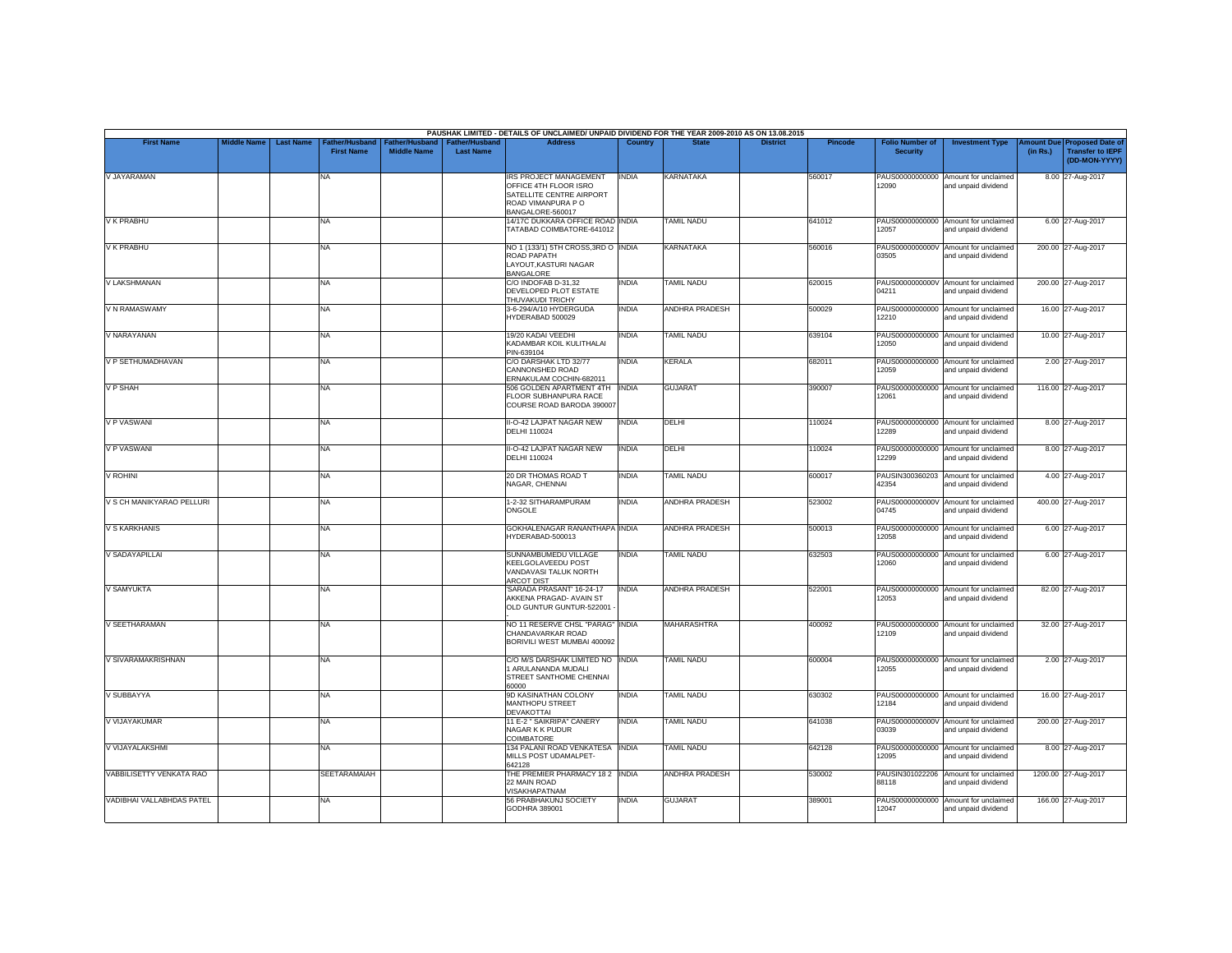|                           |                    |                  |                                     |                                             |                                           | PAUSHAK LIMITED - DETAILS OF UNCLAIMED/ UNPAID DIVIDEND FOR THE YEAR 2009-2010 AS ON 13.08.2015                             |                |                       |                 |                |                                           |                                                             |                               |                                                                     |
|---------------------------|--------------------|------------------|-------------------------------------|---------------------------------------------|-------------------------------------------|-----------------------------------------------------------------------------------------------------------------------------|----------------|-----------------------|-----------------|----------------|-------------------------------------------|-------------------------------------------------------------|-------------------------------|---------------------------------------------------------------------|
| <b>First Name</b>         | <b>Middle Name</b> | <b>Last Name</b> | Father/Husband<br><b>First Name</b> | <b>Father/Husband</b><br><b>Middle Name</b> | <b>Father/Husband</b><br><b>Last Name</b> | <b>Address</b>                                                                                                              | <b>Country</b> | <b>State</b>          | <b>District</b> | <b>Pincode</b> | <b>Folio Number of</b><br><b>Security</b> | <b>Investment Type</b>                                      | <b>Amount Due</b><br>(in Rs.) | <b>Proposed Date of</b><br><b>Transfer to IEPF</b><br>(DD-MON-YYYY) |
| V JAYARAMAN               |                    |                  | <b>NA</b>                           |                                             |                                           | <b>IRS PROJECT MANAGEMENT</b><br>OFFICE 4TH FLOOR ISRO<br>SATELLITE CENTRE AIRPORT<br>ROAD VIMANPURA PO<br>BANGALORE-560017 | <b>INDIA</b>   | KARNATAKA             |                 | 560017         | 12090                                     | PAUS00000000000 Amount for unclaimed<br>and unpaid dividend |                               | 8.00 27-Aug-2017                                                    |
| <b>V K PRABHU</b>         |                    |                  | <b>NA</b>                           |                                             |                                           | 14/17C DUKKARA OFFICE ROAD INDIA<br>TATABAD COIMBATORE-641012                                                               |                | <b>TAMIL NADU</b>     |                 | 641012         | PAUS00000000000<br>12057                  | Amount for unclaimed<br>and unpaid dividend                 |                               | 6.00 27-Aug-2017                                                    |
| V K PRABHU                |                    |                  | <b>NA</b>                           |                                             |                                           | NO 1 (133/1) 5TH CROSS, 3RD O INDIA<br>ROAD PAPATH<br>LAYOUT.KASTURI NAGAR<br>BANGALORE                                     |                | <b>KARNATAKA</b>      |                 | 560016         | 03505                                     | PAUS0000000000V Amount for unclaimed<br>and unpaid dividend |                               | 200.00 27-Aug-2017                                                  |
| V LAKSHMANAN              |                    |                  | <b>NA</b>                           |                                             |                                           | C/O INDOFAB D-31,32<br>DEVELOPED PLOT ESTATE<br>THUVAKUDI TRICHY                                                            | <b>INDIA</b>   | TAMIL NADU            |                 | 620015         | PAUS0000000000V<br>04211                  | Amount for unclaimed<br>and unpaid dividend                 |                               | 200.00 27-Aug-2017                                                  |
| V N RAMASWAMY             |                    |                  | <b>NA</b>                           |                                             |                                           | 3-6-294/A/10 HYDERGUDA<br>HYDERABAD 500029                                                                                  | INDIA          | <b>ANDHRA PRADESH</b> |                 | 500029         | PAUS00000000000<br>12210                  | Amount for unclaimed<br>and unpaid dividend                 |                               | 16.00 27-Aug-2017                                                   |
| V NARAYANAN               |                    |                  | <b>NA</b>                           |                                             |                                           | 19/20 KADAI VEEDHI<br>KADAMBAR KOIL KULITHALAI<br>PIN-639104                                                                | INDIA          | <b>TAMIL NADU</b>     |                 | 639104         | 12050                                     | PAUS00000000000 Amount for unclaimed<br>and unpaid dividend |                               | 10.00 27-Aug-2017                                                   |
| V P SETHUMADHAVAN         |                    |                  | <b>NA</b>                           |                                             |                                           | C/O DARSHAK LTD 32/77<br>CANNONSHED ROAD<br>ERNAKULAM COCHIN-682011                                                         | <b>INDIA</b>   | <b>KERALA</b>         |                 | 682011         | PAUS00000000000<br>12059                  | Amount for unclaimed<br>and unpaid dividend                 |                               | 2.00 27-Aug-2017                                                    |
| V P SHAH                  |                    |                  | <b>NA</b>                           |                                             |                                           | 506 GOLDEN APARTMENT 4TH<br>FLOOR SUBHANPURA RACE<br>COURSE ROAD BARODA 390007                                              | <b>INDIA</b>   | <b>GUJARAT</b>        |                 | 390007         | 12061                                     | PAUS00000000000 Amount for unclaimed<br>and unpaid dividend |                               | 116.00 27-Aug-2017                                                  |
| <b>V P VASWANI</b>        |                    |                  | NA                                  |                                             |                                           | II-O-42 LAJPAT NAGAR NEW<br><b>DELHI 110024</b>                                                                             | <b>INDIA</b>   | <b>DELHI</b>          |                 | 110024         | 12289                                     | PAUS00000000000 Amount for unclaimed<br>and unpaid dividend |                               | 8.00 27-Aug-2017                                                    |
| V P VASWANI               |                    |                  | NA                                  |                                             |                                           | II-O-42 LAJPAT NAGAR NEW<br><b>DELHI 110024</b>                                                                             | <b>INDIA</b>   | <b>DELHI</b>          |                 | 110024         | PAUS00000000000<br>12299                  | Amount for unclaimed<br>and unpaid dividend                 |                               | 8.00 27-Aug-2017                                                    |
| <b>V ROHINI</b>           |                    |                  | <b>NA</b>                           |                                             |                                           | 20 DR THOMAS ROAD T<br>NAGAR, CHENNAI                                                                                       | <b>INDIA</b>   | <b>TAMIL NADU</b>     |                 | 600017         | 42354                                     | PAUSIN300360203 Amount for unclaimed<br>and unpaid dividend |                               | 4.00 27-Aug-2017                                                    |
| V S CH MANIKYARAO PELLURI |                    |                  | <b>NA</b>                           |                                             |                                           | 1-2-32 SITHARAMPURAM<br>ONGOLE                                                                                              | <b>INDIA</b>   | ANDHRA PRADESH        |                 | 523002         | PAUS0000000000V<br>04745                  | Amount for unclaimed<br>and unpaid dividend                 |                               | 400.00 27-Aug-2017                                                  |
| <b>V S KARKHANIS</b>      |                    |                  | <b>NA</b>                           |                                             |                                           | GOKHALENAGAR RANANTHAPA INDIA<br>HYDERABAD-500013                                                                           |                | <b>ANDHRA PRADESH</b> |                 | 500013         | 12058                                     | PAUS00000000000 Amount for unclaimed<br>and unpaid dividend |                               | 6.00 27-Aug-2017                                                    |
| V SADAYAPILLAI            |                    |                  | <b>NA</b>                           |                                             |                                           | SUNNAMBUMEDU VILLAGE<br>KEELGOLAVEEDU POST<br>VANDAVASI TALUK NORTH<br><b>ARCOT DIST</b>                                    | INDIA          | <b>TAMIL NADU</b>     |                 | 632503         | PAUS00000000000<br>12060                  | Amount for unclaimed<br>and unpaid dividend                 |                               | 6.00 27-Aug-2017                                                    |
| <b>V SAMYUKTA</b>         |                    |                  | <b>NA</b>                           |                                             |                                           | SARADA PRASANT' 16-24-17<br>AKKENA PRAGAD- AVAIN ST<br>OLD GUNTUR GUNTUR-522001                                             | <b>INDIA</b>   | <b>ANDHRA PRADESH</b> |                 | 522001         | 12053                                     | PAUS00000000000 Amount for unclaimed<br>and unpaid dividend |                               | 82.00 27-Aug-2017                                                   |
| V SEETHARAMAN             |                    |                  | NA                                  |                                             |                                           | NO 11 RESERVE CHSL "PARAG" INDIA<br>CHANDAVARKAR ROAD<br>BORIVILI WEST MUMBAI 400092                                        |                | <b>MAHARASHTRA</b>    |                 | 400092         | PAUS00000000000<br>12109                  | Amount for unclaimed<br>and unpaid dividend                 |                               | 32.00 27-Aug-2017                                                   |
| V SIVARAMAKRISHNAN        |                    |                  | <b>NA</b>                           |                                             |                                           | C/O M/S DARSHAK LIMITED NO INDIA<br>1 ARULANANDA MUDALI<br>STREET SANTHOME CHENNAI<br>00008                                 |                | <b>TAMIL NADU</b>     |                 | 600004         | 12055                                     | PAUS00000000000 Amount for unclaimed<br>and unpaid dividend |                               | 2.00 27-Aug-2017                                                    |
| V SUBBAYYA                |                    |                  | <b>NA</b>                           |                                             |                                           | 9D KASINATHAN COLONY<br>MANTHOPU STREET<br><b>DEVAKOTTAI</b>                                                                | <b>INDIA</b>   | <b>TAMIL NADU</b>     |                 | 630302         | 12184                                     | PAUS00000000000 Amount for unclaimed<br>and unpaid dividend |                               | 16.00 27-Aug-2017                                                   |
| V VIJAYAKUMAR             |                    |                  | <b>NA</b>                           |                                             |                                           | 11 E-2 " SAIKRIPA" CANERY<br>NAGAR K K PUDUR<br>COIMBATORE                                                                  | <b>INDIA</b>   | TAMIL NADU            |                 | 641038         | 03039                                     | PAUS0000000000V Amount for unclaimed<br>and unpaid dividend |                               | 200.00 27-Aug-2017                                                  |
| V VIJAYALAKSHMI           |                    |                  | <b>NA</b>                           |                                             |                                           | 134 PALANI ROAD VENKATESA INDIA<br>MILLS POST UDAMALPET-<br>642128                                                          |                | <b>TAMIL NADU</b>     |                 | 642128         | 12095                                     | PAUS00000000000 Amount for unclaimed<br>and unpaid dividend |                               | 8.00 27-Aug-2017                                                    |
| VABBILISETTY VENKATA RAO  |                    |                  | <b>SEETARAMAIAH</b>                 |                                             |                                           | THE PREMIER PHARMACY 182 INDIA<br>22 MAIN ROAD<br>VISAKHAPATNAM                                                             |                | ANDHRA PRADESH        |                 | 530002         | PAUSIN301022206<br>88118                  | Amount for unclaimed<br>and unpaid dividend                 |                               | 1200.00 27-Aug-2017                                                 |
| VADIBHAI VALLABHDAS PATEL |                    |                  | NA                                  |                                             |                                           | 56 PRABHAKUNJ SOCIETY<br>GODHRA 389001                                                                                      | <b>INDIA</b>   | <b>GUJARAT</b>        |                 | 389001         | PAUS00000000000<br>12047                  | Amount for unclaimed<br>and unpaid dividend                 |                               | 166.00 27-Aug-2017                                                  |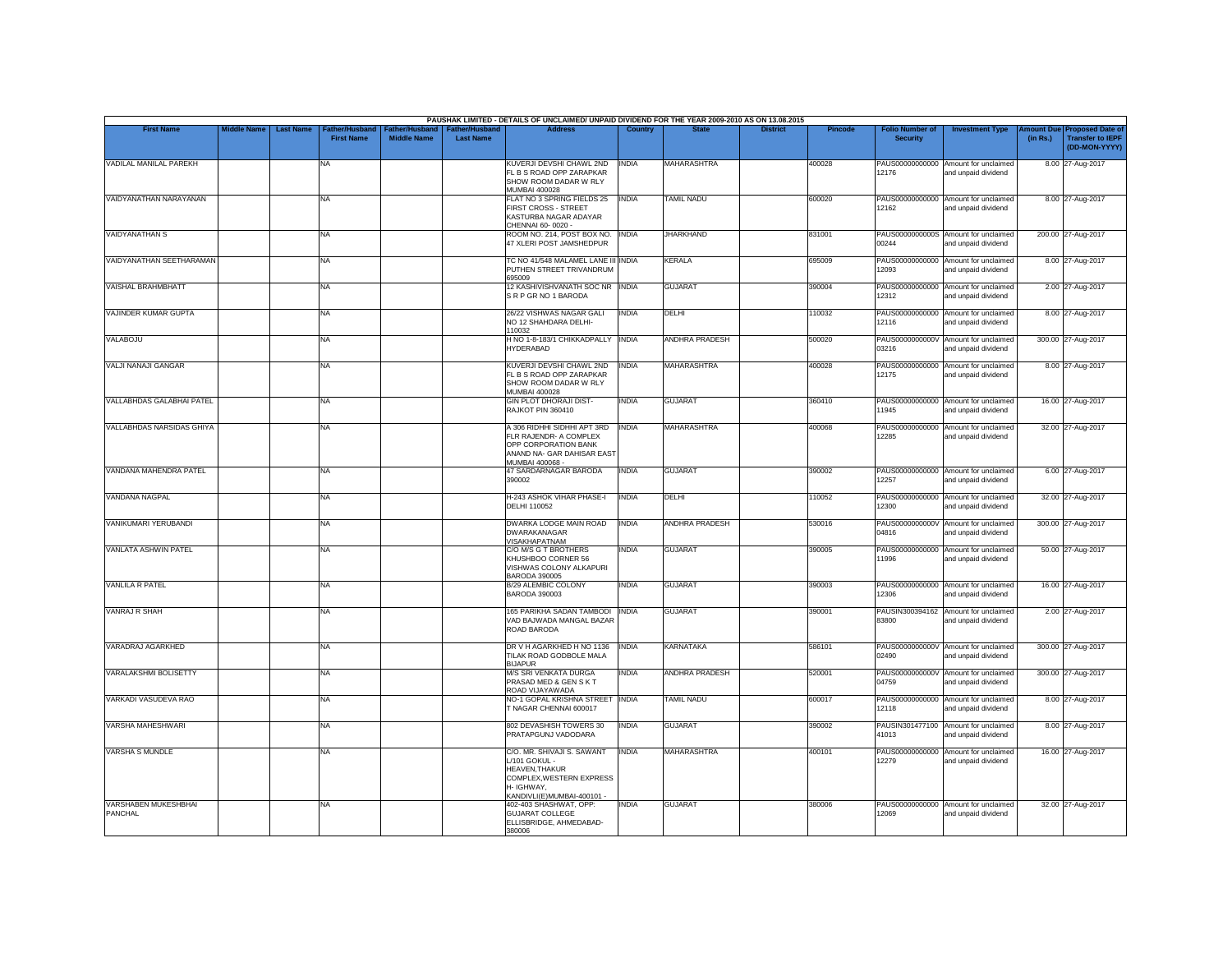|                                        |                    |                                                                |                                      |                                           | PAUSHAK LIMITED - DETAILS OF UNCLAIMED/ UNPAID DIVIDEND FOR THE YEAR 2009-2010 AS ON 13.08.2015                                             |                |                       |                 |                |                                           |                                                             |          |                                                                                |
|----------------------------------------|--------------------|----------------------------------------------------------------|--------------------------------------|-------------------------------------------|---------------------------------------------------------------------------------------------------------------------------------------------|----------------|-----------------------|-----------------|----------------|-------------------------------------------|-------------------------------------------------------------|----------|--------------------------------------------------------------------------------|
| <b>First Name</b>                      | <b>Middle Name</b> | <b>Last Name</b><br><b>Father/Husband</b><br><b>First Name</b> | Father/Husband<br><b>Middle Name</b> | <b>Father/Husband</b><br><b>Last Name</b> | <b>Address</b>                                                                                                                              | <b>Country</b> | <b>State</b>          | <b>District</b> | <b>Pincode</b> | <b>Folio Number of</b><br><b>Security</b> | <b>Investment Type</b>                                      | (in Rs.) | <b>Amount Due Proposed Date of</b><br><b>Transfer to IEPF</b><br>(DD-MON-YYYY) |
| VADILAL MANILAL PAREKH                 |                    | NA                                                             |                                      |                                           | KUVERJI DEVSHI CHAWL 2ND<br>FL B S ROAD OPP ZARAPKAR<br>SHOW ROOM DADAR W RLY<br><b>MUMBAI 400028</b>                                       | <b>INDIA</b>   | <b>MAHARASHTRA</b>    |                 | 400028         | 12176                                     | PAUS00000000000 Amount for unclaimed<br>and unpaid dividend |          | 8.00 27-Aug-2017                                                               |
| VAIDYANATHAN NARAYANAN                 |                    | <b>NA</b>                                                      |                                      |                                           | FLAT NO 3 SPRING FIELDS 25<br>FIRST CROSS - STREET<br>KASTURBA NAGAR ADAYAR<br>CHENNAI 60-0020 -                                            | <b>INDIA</b>   | <b>TAMIL NADU</b>     |                 | 600020         | 12162                                     | PAUS00000000000 Amount for unclaimed<br>and unpaid dividend |          | 8.00 27-Aug-2017                                                               |
| VAIDYANATHAN S                         |                    | <b>NA</b>                                                      |                                      |                                           | ROOM NO. 214, POST BOX NO.<br>47 XLERI POST JAMSHEDPUR                                                                                      | <b>INDIA</b>   | <b>JHARKHAND</b>      |                 | 831001         | 00244                                     | PAUS0000000000S Amount for unclaimed<br>and unpaid dividend |          | 200.00 27-Aug-2017                                                             |
| VAIDYANATHAN SEETHARAMAN               |                    | <b>NA</b>                                                      |                                      |                                           | TC NO 41/548 MALAMEL LANE III INDIA<br>PUTHEN STREET TRIVANDRUM<br>695009                                                                   |                | <b>KERALA</b>         |                 | 695009         | PAUS00000000000<br>12093                  | Amount for unclaimed<br>and unpaid dividend                 |          | 8.00 27-Aug-2017                                                               |
| <b>VAISHAL BRAHMBHATT</b>              |                    | <b>NA</b>                                                      |                                      |                                           | 12 KASHIVISHVANATH SOC NR INDIA<br>SRP GRNO 1 BARODA                                                                                        |                | <b>GUJARAT</b>        |                 | 390004         | 12312                                     | PAUS00000000000 Amount for unclaimed<br>and unpaid dividend |          | 2.00 27-Aug-2017                                                               |
| VAJINDER KUMAR GUPTA                   |                    | <b>NA</b>                                                      |                                      |                                           | 26/22 VISHWAS NAGAR GALI<br>NO 12 SHAHDARA DELHI-<br>110032                                                                                 | <b>INDIA</b>   | DELHI                 |                 | 110032         | PAUS00000000000<br>12116                  | Amount for unclaimed<br>and unpaid dividend                 |          | 8.00 27-Aug-2017                                                               |
| VALABOJU                               |                    | <b>NA</b>                                                      |                                      |                                           | H NO 1-8-183/1 CHIKKADPALLY  INDIA<br><b>HYDERABAD</b>                                                                                      |                | <b>ANDHRA PRADESH</b> |                 | 500020         | 03216                                     | PAUS0000000000V Amount for unclaimed<br>and unpaid dividend |          | 300.00 27-Aug-2017                                                             |
| VALJI NANAJI GANGAR                    |                    | <b>NA</b>                                                      |                                      |                                           | KUVERJI DEVSHI CHAWL 2ND<br>FL B S ROAD OPP ZARAPKAR<br>SHOW ROOM DADAR W RLY<br><b>MUMBAI 400028</b>                                       | <b>INDIA</b>   | <b>MAHARASHTRA</b>    |                 | 400028         | PAUS00000000000<br>12175                  | Amount for unclaimed<br>and unpaid dividend                 |          | 8.00 27-Aug-2017                                                               |
| VALLABHDAS GALABHAI PATEL              |                    | <b>NA</b>                                                      |                                      |                                           | GIN PLOT DHORAJI DIST-<br>RAJKOT PIN 360410                                                                                                 | <b>INDIA</b>   | <b>GUJARAT</b>        |                 | 360410         | 11945                                     | PAUS00000000000 Amount for unclaimed<br>and unpaid dividend |          | 16.00 27-Aug-2017                                                              |
| VALLABHDAS NARSIDAS GHIYA              |                    | <b>NA</b>                                                      |                                      |                                           | A 306 RIDHHI SIDHHI APT 3RD<br>FLR RAJENDR- A COMPLEX<br>OPP CORPORATION BANK<br>ANAND NA- GAR DAHISAR EAST<br>MUMBAI 400068 -              | <b>INDIA</b>   | <b>MAHARASHTRA</b>    |                 | 400068         | 12285                                     | PAUS00000000000 Amount for unclaimed<br>and unpaid dividend |          | 32.00 27-Aug-2017                                                              |
| VANDANA MAHENDRA PATEL                 |                    | <b>NA</b>                                                      |                                      |                                           | 47 SARDARNAGAR BARODA<br>390002                                                                                                             | <b>INDIA</b>   | <b>GUJARAT</b>        |                 | 390002         | 12257                                     | PAUS00000000000 Amount for unclaimed<br>and unpaid dividend |          | 6.00 27-Aug-2017                                                               |
| VANDANA NAGPAL                         |                    | <b>NA</b>                                                      |                                      |                                           | H-243 ASHOK VIHAR PHASE-I<br><b>DELHI 110052</b>                                                                                            | <b>INDIA</b>   | DELHI                 |                 | 110052         | 12300                                     | PAUS00000000000 Amount for unclaimed<br>and unpaid dividend |          | 32.00 27-Aug-2017                                                              |
| VANIKUMARI YERUBANDI                   |                    | NA                                                             |                                      |                                           | DWARKA LODGE MAIN ROAD<br><b>DWARAKANAGAR</b><br>VISAKHAPATNAM                                                                              | <b>INDIA</b>   | <b>ANDHRA PRADESH</b> |                 | 530016         | 04816                                     | PAUS0000000000V Amount for unclaimed<br>and unpaid dividend |          | 300.00 27-Aug-2017                                                             |
| VANLATA ASHWIN PATEL                   |                    | <b>NA</b>                                                      |                                      |                                           | C/O M/S G T BROTHERS<br>KHUSHBOO CORNER 56<br>VISHWAS COLONY ALKAPURI<br><b>BARODA 390005</b>                                               | <b>INDIA</b>   | <b>GUJARAT</b>        |                 | 390005         | 11996                                     | PAUS00000000000 Amount for unclaimed<br>and unpaid dividend |          | 50.00 27-Aug-2017                                                              |
| <b>VANLILA R PATEL</b>                 |                    | <b>NA</b>                                                      |                                      |                                           | B/29 ALEMBIC COLONY<br>BARODA 390003                                                                                                        | <b>INDIA</b>   | <b>GUJARAT</b>        |                 | 390003         | 12306                                     | PAUS00000000000 Amount for unclaimed<br>and unpaid dividend |          | 16.00 27-Aug-2017                                                              |
| <b>VANRAJ R SHAH</b>                   |                    | <b>NA</b>                                                      |                                      |                                           | <b>165 PARIKHA SADAN TAMBODI</b><br>VAD BAJWADA MANGAL BAZAR<br>ROAD BARODA                                                                 | <b>INDIA</b>   | <b>GUJARAT</b>        |                 | 390001         | PAUSIN300394162<br>83800                  | Amount for unclaimed<br>and unpaid dividend                 |          | 2.00 27-Aug-2017                                                               |
| VARADRAJ AGARKHED                      |                    | <b>NA</b>                                                      |                                      |                                           | DR V H AGARKHED H NO 1136<br>TILAK ROAD GODBOLE MALA<br><b>BIJAPUR</b>                                                                      | <b>INDIA</b>   | KARNATAKA             |                 | 586101         | 02490                                     | PAUS0000000000V Amount for unclaimed<br>and unpaid dividend |          | 300.00 27-Aug-2017                                                             |
| VARALAKSHMI BOLISETTY                  |                    | <b>NA</b>                                                      |                                      |                                           | M/S SRI VENKATA DURGA<br>PRASAD MED & GEN S K T<br>ROAD VIJAYAWADA                                                                          | INDIA          | ANDHRA PRADESH        |                 | 520001         | 04759                                     | PAUS0000000000V Amount for unclaimed<br>and unpaid dividend |          | 300.00 27-Aug-2017                                                             |
| VARKADI VASUDEVA RAO                   |                    | <b>NA</b>                                                      |                                      |                                           | NO-1 GOPAL KRISHNA STREET<br>NAGAR CHENNAI 600017                                                                                           | <b>INDIA</b>   | <b>TAMIL NADU</b>     |                 | 600017         | 12118                                     | PAUS00000000000 Amount for unclaimed<br>and unpaid dividend |          | 8.00 27-Aug-2017                                                               |
| VARSHA MAHESHWARI                      |                    | <b>NA</b>                                                      |                                      |                                           | 802 DEVASHISH TOWERS 30<br>PRATAPGUNJ VADODARA                                                                                              | <b>INDIA</b>   | <b>GUJARAT</b>        |                 | 390002         | 41013                                     | PAUSIN301477100 Amount for unclaimed<br>and unpaid dividend |          | 8.00 27-Aug-2017                                                               |
| <b>VARSHA S MUNDLE</b>                 |                    | <b>NA</b>                                                      |                                      |                                           | C/O. MR. SHIVAJI S. SAWANT<br>L/101 GOKUL -<br><b>HEAVEN.THAKUR</b><br>COMPLEX, WESTERN EXPRESS<br>H- IGHWAY.<br>KANDIVLI(E)MUMBAI-400101 - | <b>INDIA</b>   | <b>MAHARASHTRA</b>    |                 | 400101         | PAUS00000000000<br>12279                  | Amount for unclaimed<br>and unpaid dividend                 |          | 16.00 27-Aug-2017                                                              |
| VARSHABEN MUKESHBHAI<br><b>PANCHAL</b> |                    | <b>NA</b>                                                      |                                      |                                           | 402-403 SHASHWAT, OPP:<br><b>GUJARAT COLLEGE</b><br>ELLISBRIDGE, AHMEDABAD-<br>380006                                                       | <b>INDIA</b>   | <b>GUJARAT</b>        |                 | 380006         | 12069                                     | PAUS00000000000 Amount for unclaimed<br>and unpaid dividend |          | 32.00 27-Aug-2017                                                              |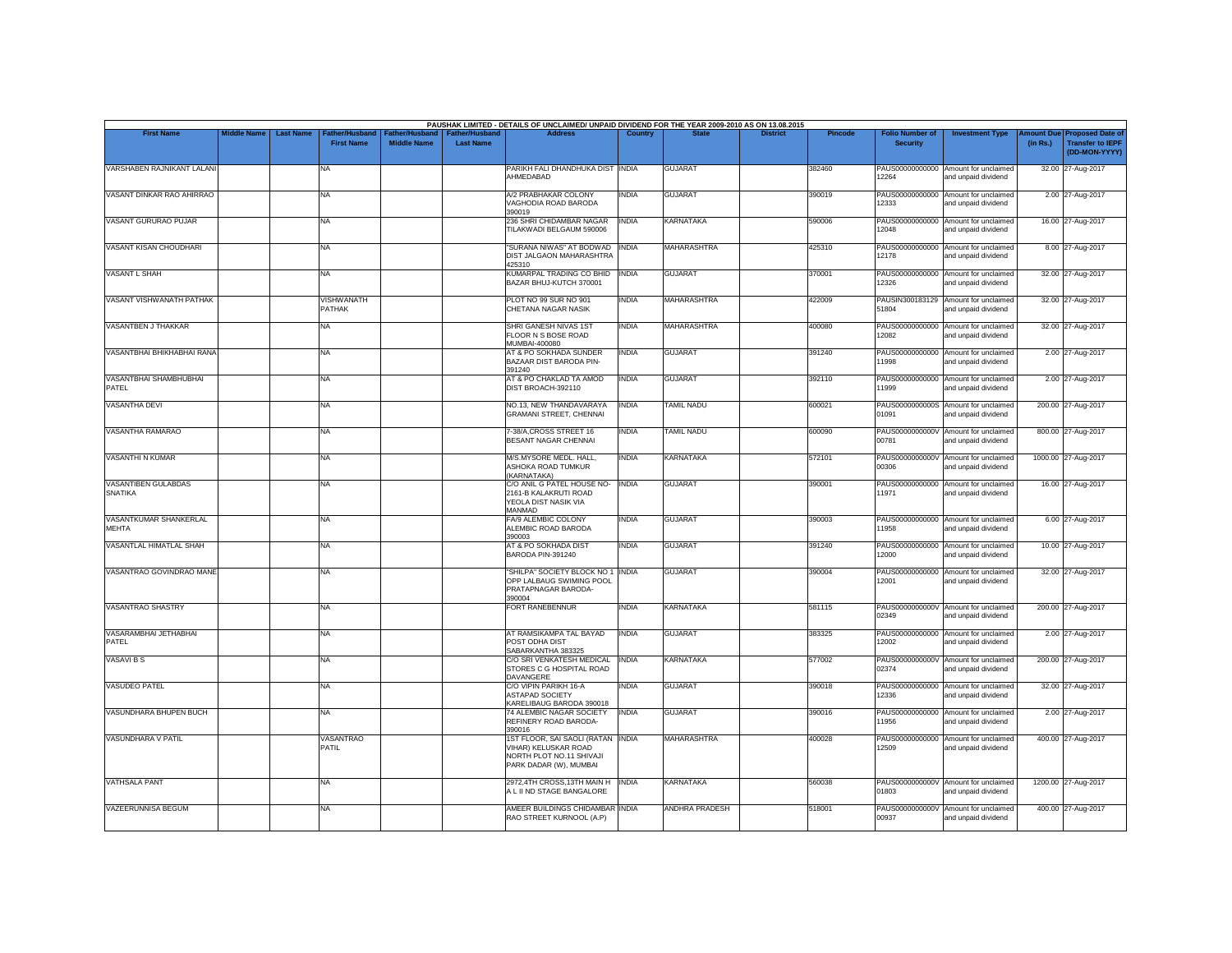|                                        |                    |                  |                                     |                                      |                                           | PAUSHAK LIMITED - DETAILS OF UNCLAIMED/ UNPAID DIVIDEND FOR THE YEAR 2009-2010 AS ON 13.08.2015                 |              |                       |                 |                |                                           |                                                             |                               |                                                                     |
|----------------------------------------|--------------------|------------------|-------------------------------------|--------------------------------------|-------------------------------------------|-----------------------------------------------------------------------------------------------------------------|--------------|-----------------------|-----------------|----------------|-------------------------------------------|-------------------------------------------------------------|-------------------------------|---------------------------------------------------------------------|
| <b>First Name</b>                      | <b>Middle Name</b> | <b>Last Name</b> | Father/Husband<br><b>First Name</b> | Father/Husband<br><b>Middle Name</b> | <b>Father/Husband</b><br><b>Last Name</b> | <b>Address</b>                                                                                                  |              |                       | <b>District</b> | <b>Pincode</b> | <b>Folio Number of</b><br><b>Security</b> | <b>Investment Type</b>                                      | <b>Imount Due</b><br>(in Rs.) | <b>Proposed Date of</b><br><b>Transfer to IEPF</b><br>(DD-MON-YYYY) |
| VARSHABEN RAJNIKANT LALANI             |                    |                  | NA                                  |                                      |                                           | PARIKH FALI DHANDHUKA DIST INDIA<br>AHMEDABAD                                                                   |              | <b>GUJARAT</b>        |                 | 382460         | 12264                                     | PAUS00000000000 Amount for unclaimed<br>and unpaid dividend |                               | 32.00 27-Aug-2017                                                   |
| VASANT DINKAR RAO AHIRRAO              |                    |                  | NA                                  |                                      |                                           | A/2 PRABHAKAR COLONY<br>VAGHODIA ROAD BARODA<br>390019                                                          | <b>INDIA</b> | <b>GUJARAT</b>        |                 | 390019         | PAUS00000000000<br>12333                  | Amount for unclaimed<br>and unpaid dividend                 |                               | 2.00 27-Aug-2017                                                    |
| VASANT GURURAO PUJAR                   |                    |                  | NA                                  |                                      |                                           | 236 SHRI CHIDAMBAR NAGAR<br>TILAKWADI BELGAUM 590006                                                            | <b>INDIA</b> | <b>KARNATAKA</b>      |                 | 590006         | 12048                                     | PAUS00000000000 Amount for unclaimed<br>and unpaid dividend |                               | 16.00 27-Aug-2017                                                   |
| VASANT KISAN CHOUDHARI                 |                    |                  | NA                                  |                                      |                                           | "SURANA NIWAS" AT BODWAD INDIA<br><b>DIST JALGAON MAHARASHTRA</b><br>425310                                     |              | MAHARASHTRA           |                 | 425310         | 12178                                     | PAUS00000000000 Amount for unclaimed<br>and unpaid dividend |                               | 8.00 27-Aug-2017                                                    |
| VASANT L SHAH                          |                    |                  | NA                                  |                                      |                                           | KUMARPAL TRADING CO BHID<br>BAZAR BHUJ-KUTCH 370001                                                             | <b>INDIA</b> | <b>GUJARAT</b>        |                 | 370001         | 12326                                     | PAUS00000000000 Amount for unclaimed<br>and unpaid dividend |                               | 32.00 27-Aug-2017                                                   |
| VASANT VISHWANATH PATHAK               |                    |                  | <b>VISHWANATH</b><br>PATHAK         |                                      |                                           | PLOT NO 99 SUR NO 901<br>CHETANA NAGAR NASIK                                                                    | <b>INDIA</b> | MAHARASHTRA           |                 | 422009         | 51804                                     | PAUSIN300183129 Amount for unclaimed<br>and unpaid dividend |                               | 32.00 27-Aug-2017                                                   |
| VASANTBEN J THAKKAR                    |                    |                  | NA                                  |                                      |                                           | SHRI GANESH NIVAS 1ST<br>FLOOR N S BOSE ROAD<br>MUMBAI-400080                                                   | <b>INDIA</b> | <b>MAHARASHTRA</b>    |                 | 400080         | PAUS00000000000<br>12082                  | Amount for unclaimed<br>and unpaid dividend                 |                               | 32.00 27-Aug-2017                                                   |
| VASANTBHAI BHIKHABHAI RANA             |                    |                  | NA.                                 |                                      |                                           | AT & PO SOKHADA SUNDER<br><b>BAZAAR DIST BARODA PIN-</b><br>391240                                              | <b>INDIA</b> | <b>GUJARAT</b>        |                 | 391240         | 11998                                     | PAUS00000000000 Amount for unclaimed<br>and unpaid dividend |                               | 2.00 27-Aug-2017                                                    |
| <b>VASANTBHAI SHAMBHUBHAI</b><br>PATEL |                    |                  | NA                                  |                                      |                                           | AT & PO CHAKLAD TA AMOD<br>DIST BROACH-392110                                                                   | <b>INDIA</b> | <b>GUJARAT</b>        |                 | 392110         | PAUS00000000000<br>1999                   | Amount for unclaimed<br>and unpaid dividend                 |                               | 2.00 27-Aug-2017                                                    |
| <b>VASANTHA DEVI</b>                   |                    |                  | NA                                  |                                      |                                           | NO.13, NEW THANDAVARAYA<br><b>GRAMANI STREET, CHENNAI</b>                                                       | <b>INDIA</b> | <b>TAMIL NADU</b>     |                 | 600021         | 01091                                     | PAUS0000000000S Amount for unclaimed<br>and unpaid dividend |                               | 200.00 27-Aug-2017                                                  |
| VASANTHA RAMARAO                       |                    |                  | NA                                  |                                      |                                           | 7-38/A.CROSS STREET 16<br>BESANT NAGAR CHENNAI                                                                  | <b>INDIA</b> | <b>TAMIL NADU</b>     |                 | 600090         | 00781                                     | PAUS0000000000V Amount for unclaimed<br>and unpaid dividend |                               | 800.00 27-Aug-2017                                                  |
| <b>VASANTHI N KUMAR</b>                |                    |                  | NA                                  |                                      |                                           | M/S.MYSORE MEDL. HALL,<br>ASHOKA ROAD TUMKUR<br>(KARNATAKA)                                                     | <b>INDIA</b> | KARNATAKA             |                 | 572101         | 00306                                     | PAUS0000000000V Amount for unclaimed<br>and unpaid dividend |                               | 1000.00 27-Aug-2017                                                 |
| VASANTIBEN GULABDAS<br><b>SNATIKA</b>  |                    |                  | NA                                  |                                      |                                           | C/O ANIL G PATEL HOUSE NO-<br>2161-B KALAKRUTI ROAD<br>YEOLA DIST NASIK VIA<br>MANMAD                           | <b>INDIA</b> | <b>GUJARAT</b>        |                 | 390001         | 11971                                     | PAUS00000000000 Amount for unclaimed<br>and unpaid dividend |                               | 16.00 27-Aug-2017                                                   |
| VASANTKUMAR SHANKERLAL<br>MEHTA        |                    |                  | NA                                  |                                      |                                           | FA/9 ALEMBIC COLONY<br>ALEMBIC ROAD BARODA<br>390003                                                            | <b>INDIA</b> | <b>GUJARAT</b>        |                 | 390003         | 11958                                     | PAUS00000000000 Amount for unclaimed<br>and unpaid dividend |                               | 6.00 27-Aug-2017                                                    |
| VASANTLAL HIMATLAL SHAH                |                    |                  | NA                                  |                                      |                                           | AT & PO SOKHADA DIST<br>BARODA PIN-391240                                                                       | <b>INDIA</b> | <b>GUJARAT</b>        |                 | 391240         | 12000                                     | PAUS00000000000 Amount for unclaimed<br>and unpaid dividend |                               | 10.00 27-Aug-2017                                                   |
| VASANTRAO GOVINDRAO MANE               |                    |                  | NA                                  |                                      |                                           | "SHILPA" SOCIETY BLOCK NO 1 INDIA<br>OPP LALBAUG SWIMING POOL<br>PRATAPNAGAR BARODA-<br>390004                  |              | <b>GUJARAT</b>        |                 | 390004         | PAUS00000000000<br>12001                  | Amount for unclaimed<br>and unpaid dividend                 |                               | 32.00 27-Aug-2017                                                   |
| <b>VASANTRAO SHASTRY</b>               |                    |                  | NA                                  |                                      |                                           | <b>FORT RANEBENNUR</b>                                                                                          | <b>INDIA</b> | <b>KARNATAKA</b>      |                 | 581115         | 02349                                     | PAUS0000000000V Amount for unclaimed<br>and unpaid dividend |                               | 200.00 27-Aug-2017                                                  |
| VASARAMBHAI JETHABHAI<br>PATEL         |                    |                  | NA                                  |                                      |                                           | AT RAMSIKAMPA TAL BAYAD<br>POST ODHA DIST<br>SABARKANTHA 383325                                                 | <b>INDIA</b> | <b>GUJARAT</b>        |                 | 383325         | 12002                                     | PAUS00000000000 Amount for unclaimed<br>and unpaid dividend |                               | 2.00 27-Aug-2017                                                    |
| <b>VASAVI B S</b>                      |                    |                  | NA                                  |                                      |                                           | C/O SRI VENKATESH MEDICAL<br>STORES C G HOSPITAL ROAD<br>DAVANGERE                                              | <b>INDIA</b> | <b>KARNATAKA</b>      |                 | 577002         | 02374                                     | PAUS0000000000V Amount for unclaimed<br>and unpaid dividend |                               | 200.00 27-Aug-2017                                                  |
| <b>VASUDEO PATEL</b>                   |                    |                  | NA                                  |                                      |                                           | C/O VIPIN PARIKH 16-A<br><b>ASTAPAD SOCIETY</b><br>KARELIBAUG BARODA 390018                                     | <b>INDIA</b> | <b>GUJARAT</b>        |                 | 390018         | 12336                                     | PAUS00000000000 Amount for unclaimed<br>and unpaid dividend |                               | 32.00 27-Aug-2017                                                   |
| VASUNDHARA BHUPEN BUCH                 |                    |                  | NA                                  |                                      |                                           | 74 ALEMBIC NAGAR SOCIETY<br>REFINERY ROAD BARODA-<br>390016                                                     | <b>INDIA</b> | <b>GUJARAT</b>        |                 | 390016         | 11956                                     | PAUS00000000000 Amount for unclaimed<br>and unpaid dividend |                               | 2.00 27-Aug-2017                                                    |
| <b>VASUNDHARA V PATIL</b>              |                    |                  | VASANTRAO<br>PATIL                  |                                      |                                           | 1ST FLOOR, SAI SAOLI (RATAN INDIA<br>VIHAR) KELUSKAR ROAD<br>NORTH PLOT NO.11 SHIVAJI<br>PARK DADAR (W), MUMBAI |              | <b>MAHARASHTRA</b>    |                 | 400028         | 12509                                     | PAUS00000000000 Amount for unclaimed<br>and unpaid dividend |                               | 400.00 27-Aug-2017                                                  |
| <b>VATHSALA PANT</b>                   |                    |                  | NA                                  |                                      |                                           | 2972,4TH CROSS,13TH MAIN H   INDIA<br>A L II ND STAGE BANGALORE                                                 |              | KARNATAKA             |                 | 560038         | 01803                                     | PAUS0000000000V Amount for unclaimed<br>and unpaid dividend |                               | 1200.00 27-Aug-2017                                                 |
| <b>VAZEERUNNISA BEGUM</b>              |                    |                  | NA                                  |                                      |                                           | AMEER BUILDINGS CHIDAMBAR INDIA<br>RAO STREET KURNOOL (A.P)                                                     |              | <b>ANDHRA PRADESH</b> |                 | 518001         | 00937                                     | PAUS0000000000V Amount for unclaimed<br>and unpaid dividend |                               | 400.00 27-Aug-2017                                                  |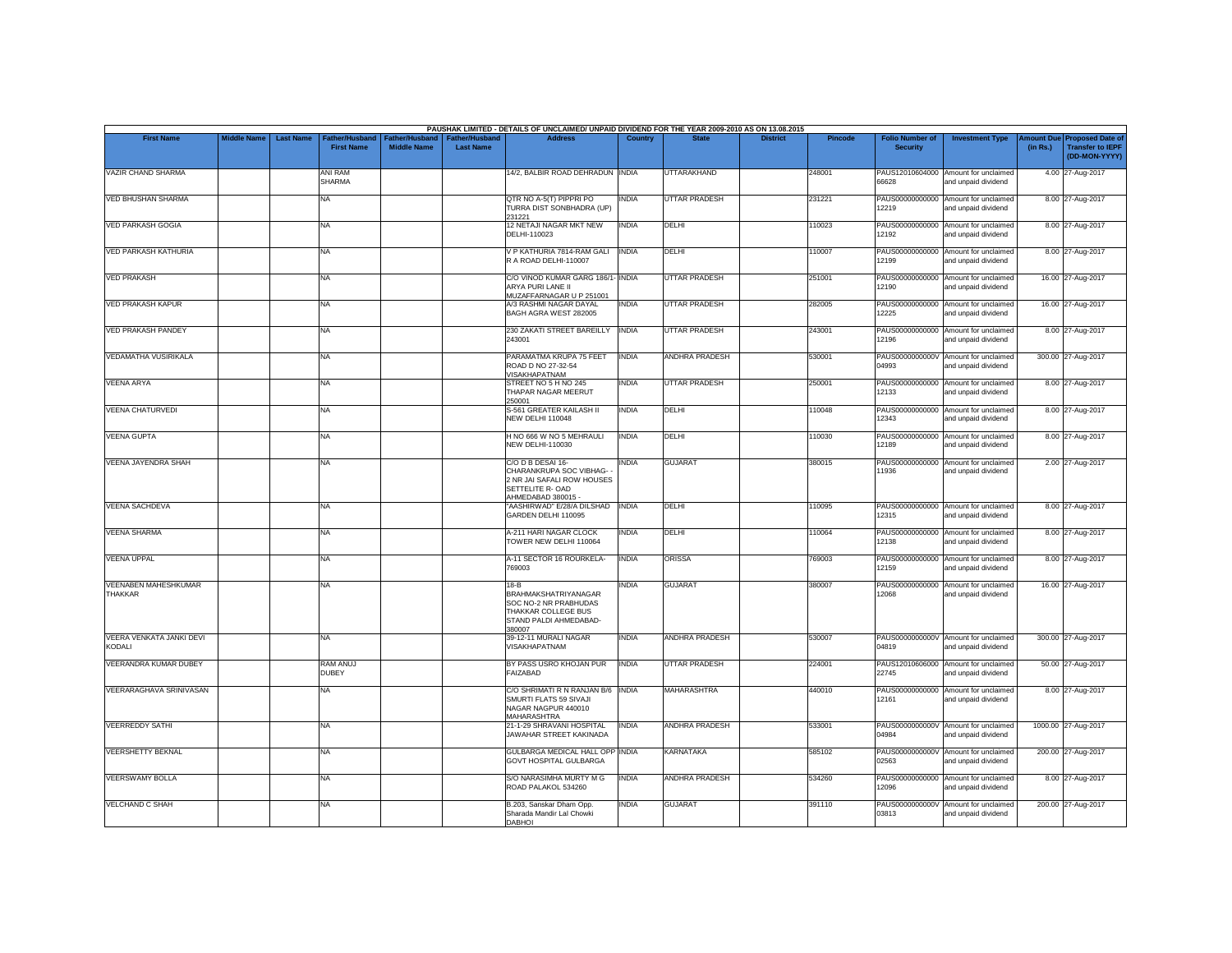|                                               |                    |                  |                                     |                                      |                                           | PAUSHAK LIMITED - DETAILS OF UNCLAIMED/ UNPAID DIVIDEND FOR THE YEAR 2009-2010 AS ON 13.08.2015                           |              |                       |                 |                |                                           |                                                             |          |                                                                        |
|-----------------------------------------------|--------------------|------------------|-------------------------------------|--------------------------------------|-------------------------------------------|---------------------------------------------------------------------------------------------------------------------------|--------------|-----------------------|-----------------|----------------|-------------------------------------------|-------------------------------------------------------------|----------|------------------------------------------------------------------------|
| <b>First Name</b>                             | <b>Middle Name</b> | <b>Last Name</b> | Father/Husband<br><b>First Name</b> | Father/Husband<br><b>Middle Name</b> | <b>Father/Husband</b><br><b>Last Name</b> | <b>Address</b>                                                                                                            | Country      | <b>State</b>          | <b>District</b> | <b>Pincode</b> | <b>Folio Number of</b><br><b>Security</b> | <b>Investment Type</b>                                      | (in Rs.) | mount Due Proposed Date of<br><b>Transfer to IEPF</b><br>(DD-MON-YYYY) |
| VAZIR CHAND SHARMA                            |                    |                  | ANI RAM<br><b>SHARMA</b>            |                                      |                                           | 14/2, BALBIR ROAD DEHRADUN INDIA                                                                                          |              | <b>UTTARAKHAND</b>    |                 | 248001         | 66628                                     | PAUS12010604000 Amount for unclaimed<br>and unpaid dividend |          | 4.00 27-Aug-2017                                                       |
| <b>VED BHUSHAN SHARMA</b>                     |                    |                  | <b>NA</b>                           |                                      |                                           | QTR NO A-5(T) PIPPRI PO<br>TURRA DIST SONBHADRA (UP)<br>231221                                                            | <b>INDIA</b> | <b>UTTAR PRADESH</b>  |                 | 231221         | 12219                                     | PAUS00000000000 Amount for unclaimed<br>and unpaid dividend |          | 8.00 27-Aug-2017                                                       |
| <b>VED PARKASH GOGIA</b>                      |                    |                  | <b>NA</b>                           |                                      |                                           | 12 NETAJI NAGAR MKT NEW<br>DELHI-110023                                                                                   | <b>INDIA</b> | DELHI                 |                 | 110023         | 12192                                     | PAUS00000000000 Amount for unclaimed<br>and unpaid dividend |          | 8.00 27-Aug-2017                                                       |
| <b>VED PARKASH KATHURIA</b>                   |                    |                  | <b>NA</b>                           |                                      |                                           | V P KATHURIA 7814-RAM GALI<br>R A ROAD DELHI-110007                                                                       | <b>INDIA</b> | DELHI                 |                 | 110007         | PAUS00000000000<br>12199                  | Amount for unclaimed<br>and unpaid dividend                 |          | 8.00 27-Aug-2017                                                       |
| <b>VED PRAKASH</b>                            |                    |                  | <b>NA</b>                           |                                      |                                           | C/O VINOD KUMAR GARG 186/1- INDIA<br>ARYA PURI LANE II<br>MUZAFFARNAGAR U P 251001                                        |              | <b>UTTAR PRADESH</b>  |                 | 251001         | 12190                                     | PAUS00000000000 Amount for unclaimed<br>and unpaid dividend |          | 16.00 27-Aug-2017                                                      |
| <b>VED PRAKASH KAPUR</b>                      |                    |                  | <b>NA</b>                           |                                      |                                           | A/3 RASHMI NAGAR DAYAL<br>BAGH AGRA WEST 282005                                                                           | INDIA        | <b>UTTAR PRADESH</b>  |                 | 282005         | 12225                                     | PAUS00000000000 Amount for unclaimed<br>and unpaid dividend |          | 16.00 27-Aug-2017                                                      |
| <b>VED PRAKASH PANDEY</b>                     |                    |                  | <b>NA</b>                           |                                      |                                           | 230 ZAKATI STREET BAREILLY<br>243001                                                                                      | <b>INDIA</b> | <b>UTTAR PRADESH</b>  |                 | 243001         | 12196                                     | PAUS00000000000 Amount for unclaimed<br>and unpaid dividend |          | 8.00 27-Aug-2017                                                       |
| VEDAMATHA VUSIRIKALA                          |                    |                  | <b>NA</b>                           |                                      |                                           | PARAMATMA KRUPA 75 FEET<br>ROAD D NO 27-32-54                                                                             | <b>INDIA</b> | ANDHRA PRADESH        |                 | 530001         | 04993                                     | PAUS0000000000V Amount for unclaimed<br>and unpaid dividend |          | 300.00 27-Aug-2017                                                     |
| <b>VEENA ARYA</b>                             |                    |                  | <b>NA</b>                           |                                      |                                           | VISAKHAPATNAM<br>STREET NO 5 H NO 245<br>THAPAR NAGAR MEERUT<br>250001                                                    | INDIA        | <b>UTTAR PRADESH</b>  |                 | 250001         | PAUS00000000000<br>12133                  | Amount for unclaimed<br>and unpaid dividend                 |          | 8.00 27-Aug-2017                                                       |
| <b>VEENA CHATURVEDI</b>                       |                    |                  | <b>NA</b>                           |                                      |                                           | S-561 GREATER KAILASH II<br>NEW DELHI 110048                                                                              | <b>INDIA</b> | DELHI                 |                 | 110048         | 12343                                     | PAUS00000000000 Amount for unclaimed<br>and unpaid dividend |          | 8.00 27-Aug-2017                                                       |
| <b>VEENA GUPTA</b>                            |                    |                  | <b>NA</b>                           |                                      |                                           | H NO 666 W NO 5 MEHRAULI<br><b>NEW DELHI-110030</b>                                                                       | <b>INDIA</b> | DELHI                 |                 | 110030         | 12189                                     | PAUS00000000000 Amount for unclaimed<br>and unpaid dividend |          | 8.00 27-Aug-2017                                                       |
| <b>VEENA JAYENDRA SHAH</b>                    |                    |                  | <b>NA</b>                           |                                      |                                           | C/O D B DESAI 16-<br>CHARANKRUPA SOC VIBHAG-<br>2 NR JAI SAFALI ROW HOUSES<br>SETTELITE R- OAD<br>AHMEDABAD 380015        | INDIA        | <b>GUJARAT</b>        |                 | 380015         | 11936                                     | PAUS00000000000 Amount for unclaimed<br>and unpaid dividend |          | 2.00 27-Aug-2017                                                       |
| <b>VEENA SACHDEVA</b>                         |                    |                  | <b>NA</b>                           |                                      |                                           | "AASHIRWAD" E/28/A DILSHAD<br>GARDEN DELHI 110095                                                                         | <b>INDIA</b> | DELHI                 |                 | 110095         | 12315                                     | PAUS00000000000 Amount for unclaimed<br>and unpaid dividend |          | 8.00 27-Aug-2017                                                       |
| <b>VEENA SHARMA</b>                           |                    |                  | <b>NA</b>                           |                                      |                                           | A-211 HARI NAGAR CLOCK<br>TOWER NEW DELHI 110064                                                                          | INDIA        | DELHI                 |                 | 110064         | 12138                                     | PAUS00000000000 Amount for unclaimed<br>and unpaid dividend |          | 8.00 27-Aug-2017                                                       |
| <b>VEENA UPPAL</b>                            |                    |                  | <b>NA</b>                           |                                      |                                           | A-11 SECTOR 16 ROURKELA-<br>769003                                                                                        | <b>INDIA</b> | ORISSA                |                 | 769003         | 12159                                     | PAUS00000000000 Amount for unclaimed<br>and unpaid dividend |          | 8.00 27-Aug-2017                                                       |
| <b>VEENABEN MAHESHKUMAR</b><br><b>THAKKAR</b> |                    |                  | <b>NA</b>                           |                                      |                                           | $18-B$<br><b>BRAHMAKSHATRIYANAGAR</b><br>SOC NO-2 NR PRABHUDAS<br>THAKKAR COLLEGE BUS<br>STAND PALDI AHMEDABAD-<br>380007 | <b>INDIA</b> | <b>GUJARAT</b>        |                 | 380007         | 12068                                     | PAUS00000000000 Amount for unclaimed<br>and unpaid dividend |          | 16.00 27-Aug-2017                                                      |
| VEERA VENKATA JANKI DEVI<br><b>KODALI</b>     |                    |                  | <b>NA</b>                           |                                      |                                           | 39-12-11 MURALI NAGAR<br>VISAKHAPATNAM                                                                                    | INDIA        | <b>ANDHRA PRADESH</b> |                 | 530007         | 04819                                     | PAUS0000000000V Amount for unclaimed<br>and unpaid dividend |          | 300.00 27-Aug-2017                                                     |
| VEERANDRA KUMAR DUBEY                         |                    |                  | <b>RAM ANUJ</b><br><b>DUBEY</b>     |                                      |                                           | BY PASS USRO KHOJAN PUR<br>FAIZABAD                                                                                       | <b>INDIA</b> | <b>UTTAR PRADESH</b>  |                 | 224001         | 22745                                     | PAUS12010606000 Amount for unclaimed<br>and unpaid dividend |          | 50.00 27-Aug-2017                                                      |
| VEERARAGHAVA SRINIVASAN                       |                    |                  | <b>NA</b>                           |                                      |                                           | C/O SHRIMATI R N RANJAN B/6 INDIA<br>SMURTI FLATS 59 SIVAJI<br>NAGAR NAGPUR 440010<br><b>MAHARASHTRA</b>                  |              | <b>MAHARASHTRA</b>    |                 | 440010         | 12161                                     | PAUS00000000000 Amount for unclaimed<br>and unpaid dividend |          | 8.00 27-Aug-2017                                                       |
| <b>VEERREDDY SATHI</b>                        |                    |                  | <b>NA</b>                           |                                      |                                           | 21-1-29 SHRAVANI HOSPITAL<br>JAWAHAR STREET KAKINADA                                                                      | <b>INDIA</b> | <b>ANDHRA PRADESH</b> |                 | 533001         | 04984                                     | PAUS0000000000V Amount for unclaimed<br>and unpaid dividend |          | 1000.00 27-Aug-2017                                                    |
| <b>VEERSHETTY BEKNAL</b>                      |                    |                  | <b>NA</b>                           |                                      |                                           | GULBARGA MEDICAL HALL OPP INDIA<br><b>GOVT HOSPITAL GULBARGA</b>                                                          |              | <b>KARNATAKA</b>      |                 | 585102         | 02563                                     | PAUS0000000000V Amount for unclaimed<br>and unpaid dividend |          | 200.00 27-Aug-2017                                                     |
| <b>VEERSWAMY BOLLA</b>                        |                    |                  | <b>NA</b>                           |                                      |                                           | S/O NARASIMHA MURTY M G<br>ROAD PALAKOL 534260                                                                            | <b>INDIA</b> | ANDHRA PRADESH        |                 | 534260         | 12096                                     | PAUS00000000000 Amount for unclaimed<br>and unpaid dividend |          | 8.00 27-Aug-2017                                                       |
| <b>VELCHAND C SHAH</b>                        |                    |                  | <b>NA</b>                           |                                      |                                           | B.203. Sanskar Dham Opp.<br>Sharada Mandir Lal Chowki<br><b>DABHOI</b>                                                    | INDIA        | <b>GUJARAT</b>        |                 | 391110         | PAUS0000000000V<br>03813                  | Amount for unclaimed<br>and unpaid dividend                 |          | 200.00 27-Aug-2017                                                     |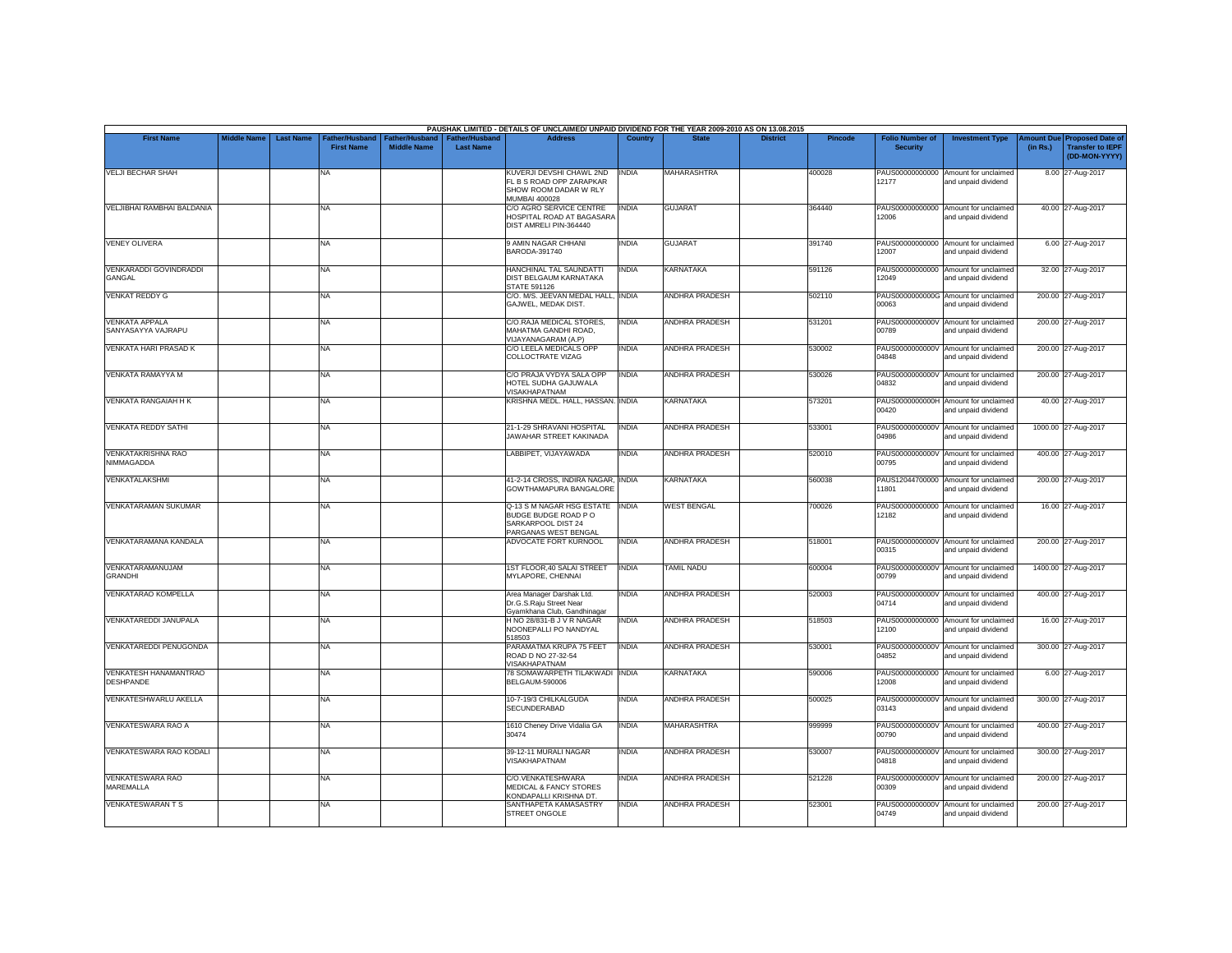|                                             |                    |                  |                                     |                                      |                                           | PAUSHAK LIMITED - DETAILS OF UNCLAIMED/ UNPAID DIVIDEND FOR THE YEAR 2009-2010 AS ON 13.08.2015       |                |                       |                 |                |                                           |                                                             |          |                                                                                |
|---------------------------------------------|--------------------|------------------|-------------------------------------|--------------------------------------|-------------------------------------------|-------------------------------------------------------------------------------------------------------|----------------|-----------------------|-----------------|----------------|-------------------------------------------|-------------------------------------------------------------|----------|--------------------------------------------------------------------------------|
| <b>First Name</b>                           | <b>Middle Name</b> | <b>Last Name</b> | Father/Husband<br><b>First Name</b> | Father/Husband<br><b>Middle Name</b> | <b>Father/Husband</b><br><b>Last Name</b> | <b>Address</b>                                                                                        | <b>Country</b> | <b>State</b>          | <b>District</b> | <b>Pincode</b> | <b>Folio Number of</b><br><b>Security</b> | <b>Investment Type</b>                                      | (in Rs.) | <b>Amount Due Proposed Date of</b><br><b>Transfer to IEPF</b><br>(DD-MON-YYYY) |
| <b>VELJI BECHAR SHAH</b>                    |                    |                  | <b>NA</b>                           |                                      |                                           | KUVERJI DEVSHI CHAWL 2ND<br>FL B S ROAD OPP ZARAPKAR<br>SHOW ROOM DADAR W RLY<br><b>MUMBAI 400028</b> | <b>INDIA</b>   | <b>MAHARASHTRA</b>    |                 | 400028         | 12177                                     | PAUS00000000000 Amount for unclaimed<br>and unpaid dividend |          | 8.00 27-Aug-2017                                                               |
| VELJIBHAI RAMBHAI BALDANIA                  |                    |                  | <b>NA</b>                           |                                      |                                           | C/O AGRO SERVICE CENTRE<br>HOSPITAL ROAD AT BAGASARA<br>DIST AMRELI PIN-364440                        | <b>INDIA</b>   | <b>GUJARAT</b>        |                 | 364440         | 12006                                     | PAUS00000000000 Amount for unclaimed<br>and unpaid dividend |          | 40.00 27-Aug-2017                                                              |
| <b>VENEY OLIVERA</b>                        |                    |                  | <b>NA</b>                           |                                      |                                           | 9 AMIN NAGAR CHHANI<br>BARODA-391740                                                                  | INDIA          | <b>GUJARAT</b>        |                 | 391740         | 12007                                     | PAUS00000000000 Amount for unclaimed<br>and unpaid dividend |          | 6.00 27-Aug-2017                                                               |
| VENKARADDI GOVINDRADDI<br>GANGAL            |                    |                  | <b>NA</b>                           |                                      |                                           | HANCHINAL TAL SAUNDATTI<br>DIST BELGAUM KARNATAKA<br><b>STATE 591126</b>                              | <b>INDIA</b>   | <b>KARNATAKA</b>      |                 | 591126         | 12049                                     | PAUS00000000000 Amount for unclaimed<br>and unpaid dividend |          | 32.00 27-Aug-2017                                                              |
| <b>VENKAT REDDY G</b>                       |                    |                  | <b>NA</b>                           |                                      |                                           | C/O. M/S. JEEVAN MEDAL HALL. INDIA<br>GAJWEL, MEDAK DIST.                                             |                | <b>ANDHRA PRADESH</b> |                 | 502110         | 00063                                     | PAUS0000000000G Amount for unclaimed<br>and unpaid dividend |          | 200.00 27-Aug-2017                                                             |
| <b>VENKATA APPALA</b><br>SANYASAYYA VAJRAPU |                    |                  | <b>NA</b>                           |                                      |                                           | C/O.RAJA MEDICAL STORES.<br>MAHATMA GANDHI ROAD.<br>VIJAYANAGARAM (A.P)                               | <b>INDIA</b>   | <b>ANDHRA PRADESH</b> |                 | 531201         | 00789                                     | PAUS0000000000V Amount for unclaimed<br>and unpaid dividend |          | 200.00 27-Aug-2017                                                             |
| VENKATA HARI PRASAD K                       |                    |                  | <b>NA</b>                           |                                      |                                           | C/O LEELA MEDICALS OPP<br>COLLOCTRATE VIZAG                                                           | <b>INDIA</b>   | ANDHRA PRADESH        |                 | 530002         | 04848                                     | PAUS0000000000V Amount for unclaimed<br>and unpaid dividend |          | 200.00 27-Aug-2017                                                             |
| <b>VENKATA RAMAYYA M</b>                    |                    |                  | <b>NA</b>                           |                                      |                                           | C/O PRAJA VYDYA SALA OPP<br>HOTEL SUDHA GAJUWALA<br><b>VISAKHAPATNAM</b>                              | <b>INDIA</b>   | <b>ANDHRA PRADESH</b> |                 | 530026         | 04832                                     | PAUS0000000000V Amount for unclaimed<br>and unpaid dividend |          | 200.00 27-Aug-2017                                                             |
| VENKATA RANGAIAH H K                        |                    |                  | <b>NA</b>                           |                                      |                                           | KRISHNA MEDL. HALL, HASSAN. INDIA                                                                     |                | KARNATAKA             |                 | 573201         | 00420                                     | PAUS0000000000H Amount for unclaimed<br>and unpaid dividend |          | 40.00 27-Aug-2017                                                              |
| <b>VENKATA REDDY SATHI</b>                  |                    |                  | <b>NA</b>                           |                                      |                                           | 21-1-29 SHRAVANI HOSPITAL<br>JAWAHAR STREET KAKINADA                                                  | <b>INDIA</b>   | <b>ANDHRA PRADESH</b> |                 | 533001         | 04986                                     | PAUS0000000000V Amount for unclaimed<br>and unpaid dividend |          | 1000.00 27-Aug-2017                                                            |
| <b>VENKATAKRISHNA RAO</b><br>NIMMAGADDA     |                    |                  | <b>NA</b>                           |                                      |                                           | LABBIPET, VIJAYAWADA                                                                                  | <b>INDIA</b>   | <b>ANDHRA PRADESH</b> |                 | 520010         | 00795                                     | PAUS0000000000V Amount for unclaimed<br>and unpaid dividend |          | 400.00 27-Aug-2017                                                             |
| VENKATALAKSHMI                              |                    |                  | <b>NA</b>                           |                                      |                                           | 41-2-14 CROSS, INDIRA NAGAR, INDIA<br><b>GOWTHAMAPURA BANGALORE</b>                                   |                | <b>KARNATAKA</b>      |                 | 560038         | 11801                                     | PAUS12044700000 Amount for unclaimed<br>and unpaid dividend |          | 200.00 27-Aug-2017                                                             |
| VENKATARAMAN SUKUMAR                        |                    |                  | <b>NA</b>                           |                                      |                                           | Q-13 S M NAGAR HSG ESTATE INDIA<br>BUDGE BUDGE ROAD PO<br>SARKARPOOL DIST 24<br>PARGANAS WEST BENGAL  |                | <b>WEST BENGAL</b>    |                 | 700026         | PAUS00000000000<br>12182                  | Amount for unclaimed<br>and unpaid dividend                 |          | 16.00 27-Aug-2017                                                              |
| VENKATARAMANA KANDALA                       |                    |                  | <b>NA</b>                           |                                      |                                           | ADVOCATE FORT KURNOOL                                                                                 | <b>INDIA</b>   | <b>ANDHRA PRADESH</b> |                 | 518001         | 00315                                     | PAUS0000000000V Amount for unclaimed<br>and unpaid dividend |          | 200.00 27-Aug-2017                                                             |
| VENKATARAMANUJAM<br><b>GRANDHI</b>          |                    |                  | <b>NA</b>                           |                                      |                                           | 1ST FLOOR, 40 SALAI STREET<br>MYLAPORE, CHENNAI                                                       | <b>INDIA</b>   | <b>TAMIL NADU</b>     |                 | 600004         | 00799                                     | PAUS0000000000V Amount for unclaimed<br>and unpaid dividend |          | 1400.00 27-Aug-2017                                                            |
| <b>VENKATARAO KOMPELLA</b>                  |                    |                  | <b>NA</b>                           |                                      |                                           | Area Manager Darshak Ltd.<br>Dr.G.S.Raju Street Near<br>Gyamkhana Club, Gandhinagar                   | INDIA          | <b>ANDHRA PRADESH</b> |                 | 520003         | 04714                                     | PAUS0000000000V Amount for unclaimed<br>and unpaid dividend |          | 400.00 27-Aug-2017                                                             |
| <b>VENKATAREDDI JANUPALA</b>                |                    |                  | <b>NA</b>                           |                                      |                                           | H NO 28/831-B J V R NAGAR<br>NOONEPALLI PO NANDYAL<br>518503                                          | <b>INDIA</b>   | <b>ANDHRA PRADESH</b> |                 | 518503         | 12100                                     | PAUS00000000000 Amount for unclaimed<br>and unpaid dividend |          | 16.00 27-Aug-2017                                                              |
| <b>VENKATAREDDI PENUGONDA</b>               |                    |                  | <b>NA</b>                           |                                      |                                           | PARAMATMA KRUPA 75 FEET<br>ROAD D NO 27-32-54<br>VISAKHAPATNAM                                        | <b>INDIA</b>   | <b>ANDHRA PRADESH</b> |                 | 530001         | PAUS0000000000V<br>04852                  | Amount for unclaimed<br>and unpaid dividend                 |          | 300.00 27-Aug-2017                                                             |
| VENKATESH HANAMANTRAO<br>DESHPANDE          |                    |                  | <b>NA</b>                           |                                      |                                           | 78 SOMAWARPETH TILAKWADI INDIA<br><b>BELGAUM-590006</b>                                               |                | <b>KARNATAKA</b>      |                 | 590006         | 12008                                     | PAUS00000000000 Amount for unclaimed<br>and unpaid dividend |          | 6.00 27-Aug-2017                                                               |
| VENKATESHWARLU AKELLA                       |                    |                  | <b>NA</b>                           |                                      |                                           | 10-7-19/3 CHILKALGUDA<br>SECUNDERABAD                                                                 | INDIA          | <b>ANDHRA PRADESH</b> |                 | 500025         | 03143                                     | PAUS0000000000V Amount for unclaimed<br>and unpaid dividend |          | 300.00 27-Aug-2017                                                             |
| <b>VENKATESWARA RAO A</b>                   |                    |                  | <b>NA</b>                           |                                      |                                           | 1610 Cheney Drive Vidalia GA<br>30474                                                                 | <b>INDIA</b>   | <b>MAHARASHTRA</b>    |                 | 999999         | PAUS0000000000V<br>00790                  | Amount for unclaimed<br>and unpaid dividend                 |          | 400.00 27-Aug-2017                                                             |
| VENKATESWARA RAO KODALI                     |                    |                  | <b>NA</b>                           |                                      |                                           | 39-12-11 MURALI NAGAR<br>/ISAKHAPATNAM                                                                | <b>INDIA</b>   | <b>ANDHRA PRADESH</b> |                 | 530007         | 04818                                     | PAUS0000000000V Amount for unclaimed<br>and unpaid dividend |          | 300.00 27-Aug-2017                                                             |
| <b>VENKATESWARA RAO</b><br>MAREMALLA        |                    |                  | <b>NA</b>                           |                                      |                                           | C/O.VENKATESHWARA<br><b>MEDICAL &amp; FANCY STORES</b><br>KONDAPALLI KRISHNA DT.                      | <b>INDIA</b>   | ANDHRA PRADESH        |                 | 521228         | 00309                                     | PAUS0000000000V Amount for unclaimed<br>and unpaid dividend |          | 200.00 27-Aug-2017                                                             |
| <b>VENKATESWARAN T S</b>                    |                    |                  | <b>NA</b>                           |                                      |                                           | SANTHAPETA KAMASASTRY<br>STREET ONGOLE                                                                | <b>INDIA</b>   | ANDHRA PRADESH        |                 | 523001         | 04749                                     | PAUS0000000000V Amount for unclaimed<br>and unpaid dividend |          | 200.00 27-Aug-2017                                                             |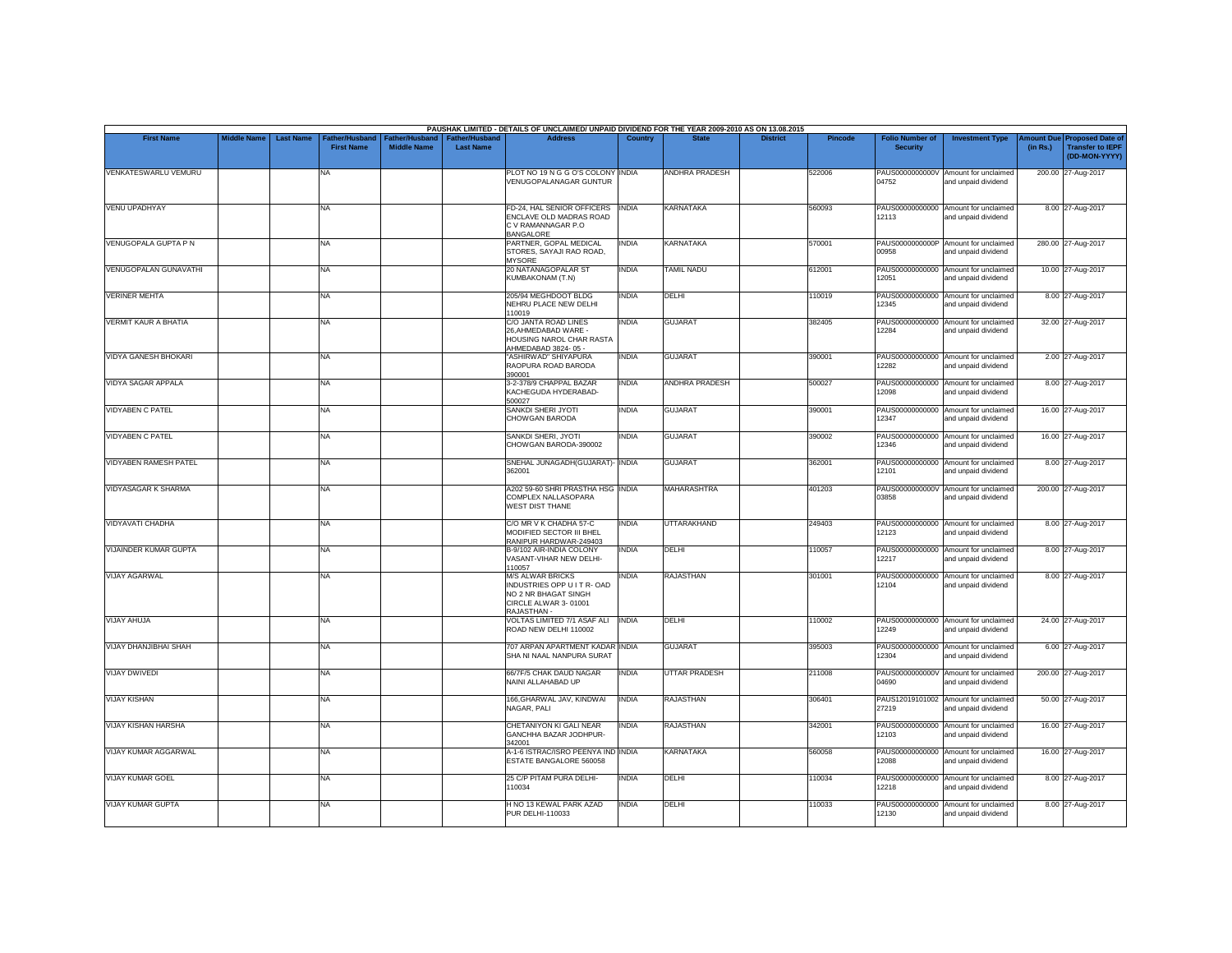|                              |                    |                  |                                     |                                      |                                           | PAUSHAK LIMITED - DETAILS OF UNCLAIMED/ UNPAID DIVIDEND FOR THE YEAR 2009-2010 AS ON 13.08.2015                       |                |                       |                 |         |                                           |                                                             |          |                                                                                |
|------------------------------|--------------------|------------------|-------------------------------------|--------------------------------------|-------------------------------------------|-----------------------------------------------------------------------------------------------------------------------|----------------|-----------------------|-----------------|---------|-------------------------------------------|-------------------------------------------------------------|----------|--------------------------------------------------------------------------------|
| <b>First Name</b>            | <b>Middle Name</b> | <b>Last Name</b> | Father/Husband<br><b>First Name</b> | Father/Husband<br><b>Middle Name</b> | <b>Father/Husband</b><br><b>Last Name</b> | <b>Address</b>                                                                                                        | <b>Country</b> | <b>State</b>          | <b>District</b> | Pincode | <b>Folio Number of</b><br><b>Security</b> | <b>Investment Type</b>                                      | (in Rs.) | <b>Amount Due Proposed Date of</b><br><b>Transfer to IEPF</b><br>(DD-MON-YYYY) |
| VENKATESWARLU VEMURU         |                    |                  | <b>NA</b>                           |                                      |                                           | PLOT NO 19 N G G O'S COLONY INDIA<br>VENUGOPALANAGAR GUNTUR                                                           |                | <b>ANDHRA PRADESH</b> |                 | 522006  | 04752                                     | PAUS0000000000V Amount for unclaimed<br>and unpaid dividend |          | 200.00 27-Aug-2017                                                             |
| <b>VENU UPADHYAY</b>         |                    |                  | <b>NA</b>                           |                                      |                                           | FD-24, HAL SENIOR OFFICERS<br>ENCLAVE OLD MADRAS ROAD<br>C V RAMANNAGAR P.O<br><b>BANGALORE</b>                       | <b>INDIA</b>   | <b>KARNATAKA</b>      |                 | 560093  | 12113                                     | PAUS00000000000 Amount for unclaimed<br>and unpaid dividend |          | 8.00 27-Aug-2017                                                               |
| VENUGOPALA GUPTA P N         |                    |                  | <b>NA</b>                           |                                      |                                           | PARTNER, GOPAL MEDICAL<br>STORES, SAYAJI RAO ROAD,<br><b>MYSORE</b>                                                   | INDIA          | <b>KARNATAKA</b>      |                 | 570001  | PAUS0000000000P<br>00958                  | Amount for unclaimed<br>and unpaid dividend                 |          | 280.00 27-Aug-2017                                                             |
| <b>VENUGOPALAN GUNAVATHI</b> |                    |                  | <b>NA</b>                           |                                      |                                           | 20 NATANAGOPALAR ST<br><b>KUMBAKONAM (T.N)</b>                                                                        | INDIA          | <b>TAMIL NADU</b>     |                 | 612001  | 12051                                     | PAUS00000000000 Amount for unclaimed<br>and unpaid dividend |          | 10.00 27-Aug-2017                                                              |
| <b>VERINER MEHTA</b>         |                    |                  | <b>NA</b>                           |                                      |                                           | 205/94 MEGHDOOT BLDG<br>NEHRU PLACE NEW DELHI<br>110019                                                               | INDIA          | DELHI                 |                 | 110019  | 12345                                     | PAUS00000000000 Amount for unclaimed<br>and unpaid dividend |          | 8.00 27-Aug-2017                                                               |
| <b>VERMIT KAUR A BHATIA</b>  |                    |                  | <b>NA</b>                           |                                      |                                           | C/O JANTA ROAD LINES<br>26.AHMEDABAD WARE -<br>HOUSING NAROL CHAR RASTA<br>AHMEDABAD 3824-05 -                        | <b>INDIA</b>   | <b>GUJARAT</b>        |                 | 382405  | PAUS00000000000<br>12284                  | Amount for unclaimed<br>and unpaid dividend                 |          | 32.00 27-Aug-2017                                                              |
| VIDYA GANESH BHOKARI         |                    |                  | <b>NA</b>                           |                                      |                                           | "ASHIRWAD" SHIYAPURA<br>RAOPURA ROAD BARODA<br>390001                                                                 | <b>INDIA</b>   | <b>GUJARAT</b>        |                 | 390001  | 12282                                     | PAUS00000000000 Amount for unclaimed<br>and unpaid dividend |          | 2.00 27-Aug-2017                                                               |
| <b>VIDYA SAGAR APPALA</b>    |                    |                  | <b>NA</b>                           |                                      |                                           | 3-2-378/9 CHAPPAL BAZAR<br>KACHEGUDA HYDERABAD-<br>500027                                                             | <b>INDIA</b>   | <b>ANDHRA PRADESH</b> |                 | 500027  | 12098                                     | PAUS00000000000 Amount for unclaimed<br>and unpaid dividend |          | 8.00 27-Aug-2017                                                               |
| <b>VIDYABEN C PATEL</b>      |                    |                  | <b>NA</b>                           |                                      |                                           | SANKDI SHERI JYOTI<br>CHOWGAN BARODA                                                                                  | INDIA          | <b>GUJARAT</b>        |                 | 390001  | 12347                                     | PAUS00000000000 Amount for unclaimed<br>and unpaid dividend |          | 16.00 27-Aug-2017                                                              |
| <b>VIDYABEN C PATEL</b>      |                    |                  | <b>NA</b>                           |                                      |                                           | SANKDI SHERI, JYOTI<br>CHOWGAN BARODA-390002                                                                          | INDIA          | <b>GUJARAT</b>        |                 | 390002  | 12346                                     | PAUS00000000000 Amount for unclaimed<br>and unpaid dividend |          | 16.00 27-Aug-2017                                                              |
| <b>VIDYABEN RAMESH PATEL</b> |                    |                  | <b>NA</b>                           |                                      |                                           | SNEHAL JUNAGADH(GUJARAT)- INDIA<br>362001                                                                             |                | <b>GUJARAT</b>        |                 | 362001  | PAUS00000000000<br>12101                  | Amount for unclaimed<br>and unpaid dividend                 |          | 8.00 27-Aug-2017                                                               |
| <b>VIDYASAGAR K SHARMA</b>   |                    |                  | <b>NA</b>                           |                                      |                                           | A202 59-60 SHRI PRASTHA HSG INDIA<br>COMPLEX NALLASOPARA<br><b>WEST DIST THANE</b>                                    |                | <b>MAHARASHTRA</b>    |                 | 401203  | 03858                                     | PAUS0000000000V Amount for unclaimed<br>and unpaid dividend |          | 200.00 27-Aug-2017                                                             |
| <b>VIDYAVATI CHADHA</b>      |                    |                  | <b>NA</b>                           |                                      |                                           | C/O MR V K CHADHA 57-C<br>MODIFIED SECTOR III BHEL<br>RANIPUR HARDWAR-249403                                          | INDIA          | <b>UTTARAKHAND</b>    |                 | 249403  | PAUS00000000000<br>12123                  | Amount for unclaimed<br>and unpaid dividend                 |          | 8.00 27-Aug-2017                                                               |
| VIJAINDER KUMAR GUPTA        |                    |                  | <b>NA</b>                           |                                      |                                           | B-9/102 AIR-INDIA COLONY<br>VASANT-VIHAR NEW DELHI-<br>110057                                                         | <b>INDIA</b>   | DELHI                 |                 | 110057  | 12217                                     | PAUS00000000000 Amount for unclaimed<br>and unpaid dividend |          | 8.00 27-Aug-2017                                                               |
| <b>VIJAY AGARWAL</b>         |                    |                  | <b>NA</b>                           |                                      |                                           | <b>M/S ALWAR BRICKS</b><br>INDUSTRIES OPP U I T R- OAD<br>NO 2 NR BHAGAT SINGH<br>CIRCLE ALWAR 3-01001<br>RAJASTHAN - | <b>INDIA</b>   | <b>RAJASTHAN</b>      |                 | 301001  | 12104                                     | PAUS00000000000 Amount for unclaimed<br>and unpaid dividend |          | 8.00 27-Aug-2017                                                               |
| <b>VIJAY AHUJA</b>           |                    |                  | <b>NA</b>                           |                                      |                                           | VOLTAS LIMITED 7/1 ASAF ALI<br>ROAD NEW DELHI 110002                                                                  | <b>INDIA</b>   | <b>DELHI</b>          |                 | 110002  | 12249                                     | PAUS00000000000 Amount for unclaimed<br>and unpaid dividend |          | 24.00 27-Aug-2017                                                              |
| VIJAY DHANJIBHAI SHAH        |                    |                  | <b>NA</b>                           |                                      |                                           | 707 ARPAN APARTMENT KADAR INDIA<br>SHA NI NAAL NANPURA SURAT                                                          |                | <b>GUJARAT</b>        |                 | 395003  | 12304                                     | PAUS00000000000 Amount for unclaimed<br>and unpaid dividend |          | 6.00 27-Aug-2017                                                               |
| <b>VIJAY DWIVEDI</b>         |                    |                  | NA                                  |                                      |                                           | 66/7F/5 CHAK DAUD NAGAR<br>NAINI ALLAHABAD UP                                                                         | INDIA          | <b>UTTAR PRADESH</b>  |                 | 211008  | 04690                                     | PAUS0000000000V Amount for unclaimed<br>and unpaid dividend |          | 200.00 27-Aug-2017                                                             |
| <b>VIJAY KISHAN</b>          |                    |                  | <b>NA</b>                           |                                      |                                           | 166.GHARWAL JAV, KINDWAI<br>NAGAR, PALI                                                                               | <b>INDIA</b>   | <b>RAJASTHAN</b>      |                 | 306401  | 27219                                     | PAUS12019101002 Amount for unclaimed<br>and unpaid dividend |          | 50.00 27-Aug-2017                                                              |
| <b>VIJAY KISHAN HARSHA</b>   |                    |                  | <b>NA</b>                           |                                      |                                           | CHETANIYON KI GALI NEAR<br>GANCHHA BAZAR JODHPUR-<br>342001                                                           | <b>INDIA</b>   | <b>RAJASTHAN</b>      |                 | 342001  | 12103                                     | PAUS00000000000 Amount for unclaimed<br>and unpaid dividend |          | 16.00 27-Aug-2017                                                              |
| VIJAY KUMAR AGGARWAL         |                    |                  | <b>NA</b>                           |                                      |                                           | A-1-6 ISTRAC/ISRO PEENYA IND INDIA<br>ESTATE BANGALORE 560058                                                         |                | <b>KARNATAKA</b>      |                 | 560058  | 12088                                     | PAUS00000000000 Amount for unclaimed<br>and unpaid dividend |          | 16.00 27-Aug-2017                                                              |
| <b>VIJAY KUMAR GOEL</b>      |                    |                  | <b>NA</b>                           |                                      |                                           | 25 C/P PITAM PURA DELHI-<br>110034                                                                                    | <b>INDIA</b>   | DELHI                 |                 | 110034  | 12218                                     | PAUS00000000000 Amount for unclaimed<br>and unpaid dividend |          | 8.00 27-Aug-2017                                                               |
| <b>VIJAY KUMAR GUPTA</b>     |                    |                  | <b>NA</b>                           |                                      |                                           | H NO 13 KEWAL PARK AZAD<br>PUR DELHI-110033                                                                           | INDIA          | DELHI                 |                 | 110033  | PAUS00000000000<br>12130                  | Amount for unclaimed<br>and unpaid dividend                 |          | 8.00 27-Aug-2017                                                               |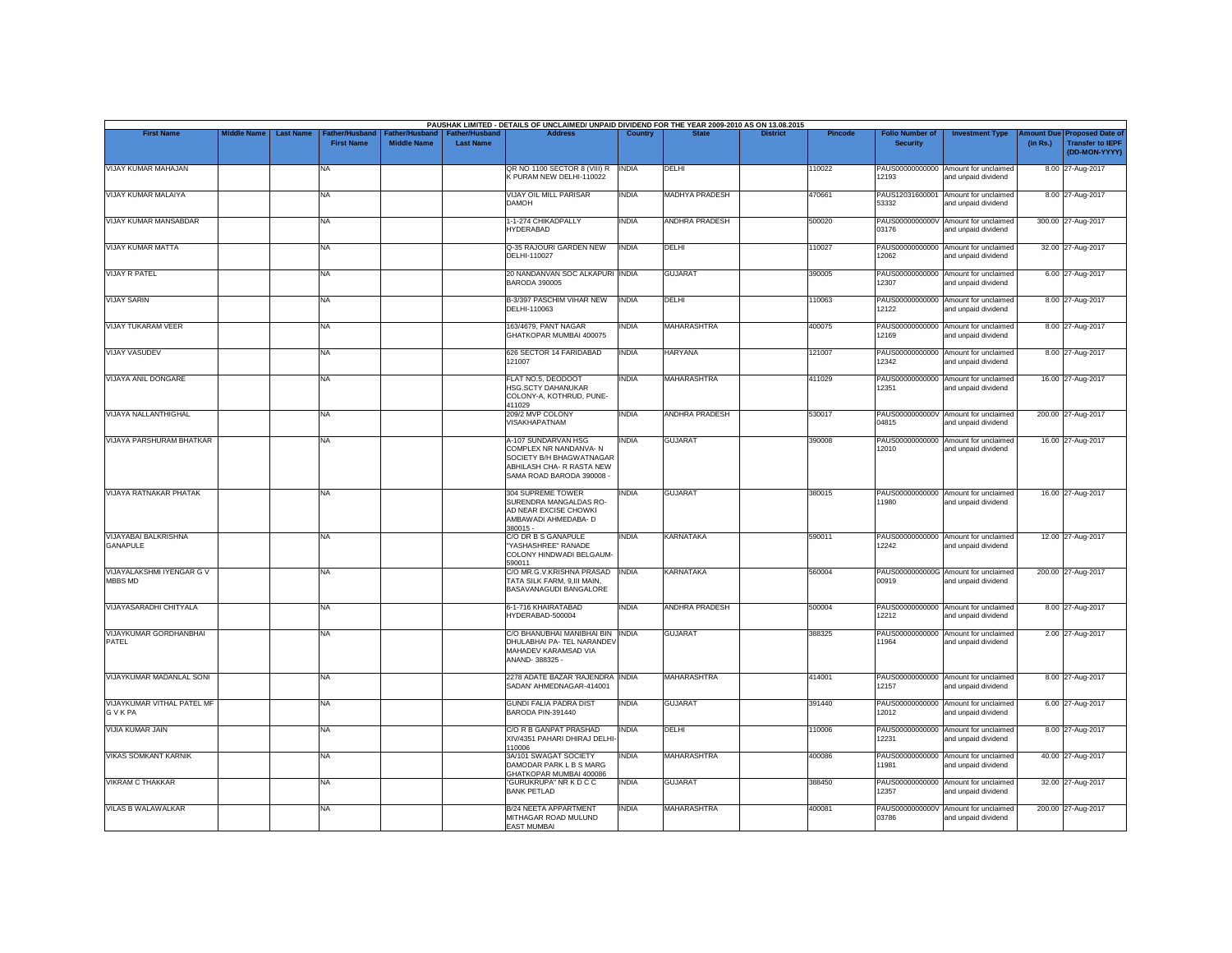|                                            |                    |                  |                                     |                                      |                                    | PAUSHAK LIMITED - DETAILS OF UNCLAIMED/ UNPAID DIVIDEND FOR THE YEAR 2009-2010 AS ON 13.08.2015                                    |              |                       |                 |                |                                           |                                                             |                               |                                                                     |
|--------------------------------------------|--------------------|------------------|-------------------------------------|--------------------------------------|------------------------------------|------------------------------------------------------------------------------------------------------------------------------------|--------------|-----------------------|-----------------|----------------|-------------------------------------------|-------------------------------------------------------------|-------------------------------|---------------------------------------------------------------------|
| <b>First Name</b>                          | <b>Middle Name</b> | <b>Last Name</b> | Father/Husband<br><b>First Name</b> | Father/Husband<br><b>Middle Name</b> | Father/Husband<br><b>Last Name</b> | <b>Address</b>                                                                                                                     | Country      |                       | <b>District</b> | <b>Pincode</b> | <b>Folio Number of</b><br><b>Security</b> | <b>Investment Type</b>                                      | <b>Amount Due</b><br>(in Rs.) | <b>Proposed Date of</b><br><b>Transfer to IEPF</b><br>(DD-MON-YYYY) |
| <b>VIJAY KUMAR MAHAJAN</b>                 |                    |                  | NA                                  |                                      |                                    | QR NO 1100 SECTOR 8 (VIII) R<br>K PURAM NEW DELHI-110022                                                                           | <b>INDIA</b> | DELHI                 |                 | 110022         | 12193                                     | PAUS00000000000 Amount for unclaimed<br>and unpaid dividend |                               | 8.00 27-Aug-2017                                                    |
| VIJAY KUMAR MALAIYA                        |                    |                  | NA                                  |                                      |                                    | VIJAY OIL MILL PARISAR<br><b>DAMOH</b>                                                                                             | <b>INDIA</b> | <b>MADHYA PRADESH</b> |                 | 470661         | PAUS12031600001<br>53332                  | Amount for unclaimed<br>and unpaid dividend                 |                               | 8.00 27-Aug-2017                                                    |
| VIJAY KUMAR MANSABDAR                      |                    |                  | NA                                  |                                      |                                    | 1-1-274 CHIKADPALLY<br><b>HYDERABAD</b>                                                                                            | <b>INDIA</b> | ANDHRA PRADESH        |                 | 500020         | 03176                                     | PAUS0000000000V Amount for unclaimed<br>and unpaid dividend |                               | 300.00 27-Aug-2017                                                  |
| <b>VIJAY KUMAR MATTA</b>                   |                    |                  | NA                                  |                                      |                                    | Q-35 RAJOURI GARDEN NEW<br>DELHI-110027                                                                                            | <b>INDIA</b> | DELHI                 |                 | 110027         | 12062                                     | PAUS00000000000 Amount for unclaimed<br>and unpaid dividend |                               | 32.00 27-Aug-2017                                                   |
| VIJAY R PATEL                              |                    |                  | NA                                  |                                      |                                    | 20 NANDANVAN SOC ALKAPURI INDIA<br><b>BARODA 390005</b>                                                                            |              | <b>GUJARAT</b>        |                 | 390005         | 12307                                     | PAUS00000000000 Amount for unclaimed<br>and unpaid dividend |                               | 6.00 27-Aug-2017                                                    |
| <b>VIJAY SARIN</b>                         |                    |                  | NA                                  |                                      |                                    | B-3/397 PASCHIM VIHAR NEW<br>DELHI-110063                                                                                          | <b>INDIA</b> | DELHI                 |                 | 110063         | 12122                                     | PAUS00000000000 Amount for unclaimed<br>and unpaid dividend |                               | 8.00 27-Aug-2017                                                    |
| <b>VIJAY TUKARAM VEER</b>                  |                    |                  | NA                                  |                                      |                                    | 163/4679, PANT NAGAR<br>GHATKOPAR MUMBAI 400075                                                                                    | <b>INDIA</b> | <b>MAHARASHTRA</b>    |                 | 400075         | 12169                                     | PAUS00000000000 Amount for unclaimed<br>and unpaid dividend |                               | 8.00 27-Aug-2017                                                    |
| <b>VIJAY VASUDEV</b>                       |                    |                  | NA.                                 |                                      |                                    | 626 SECTOR 14 FARIDABAD<br>121007                                                                                                  | <b>INDIA</b> | <b>HARYANA</b>        |                 | 121007         | 12342                                     | PAUS00000000000 Amount for unclaimed<br>and unpaid dividend |                               | 8.00 27-Aug-2017                                                    |
| <b>VIJAYA ANIL DONGARE</b>                 |                    |                  | NA                                  |                                      |                                    | FLAT NO.5, DEODOOT<br>HSG.SCTY DAHANUKAR<br>COLONY-A, KOTHRUD, PUNE-<br>411029                                                     | <b>INDIA</b> | <b>MAHARASHTRA</b>    |                 | 411029         | 12351                                     | PAUS00000000000 Amount for unclaimed<br>and unpaid dividend |                               | 16.00 27-Aug-2017                                                   |
| VIJAYA NALLANTHIGHAL                       |                    |                  | NA                                  |                                      |                                    | 209/2 MVP COLONY<br>VISAKHAPATNAM                                                                                                  | <b>INDIA</b> | ANDHRA PRADESH        |                 | 530017         | 04815                                     | PAUS0000000000V Amount for unclaimed<br>and unpaid dividend |                               | 200.00 27-Aug-2017                                                  |
| VIJAYA PARSHURAM BHATKAR                   |                    |                  | NA                                  |                                      |                                    | A-107 SUNDARVAN HSG<br>COMPLEX NR NANDANVA-N<br>SOCIETY B/H BHAGWATNAGAR<br>ABHILASH CHA- R RASTA NEW<br>SAMA ROAD BARODA 390008 - | <b>INDIA</b> | <b>GUJARAT</b>        |                 | 390008         | 12010                                     | PAUS00000000000 Amount for unclaimed<br>and unpaid dividend |                               | 16.00 27-Aug-2017                                                   |
| VIJAYA RATNAKAR PHATAK                     |                    |                  | NA                                  |                                      |                                    | 304 SUPREME TOWER<br>SURENDRA MANGALDAS RO-<br>AD NEAR EXCISE CHOWKI<br>AMBAWADI AHMEDABA- D<br>380015 -                           | <b>INDIA</b> | <b>GUJARAT</b>        |                 | 380015         | 11980                                     | PAUS00000000000 Amount for unclaimed<br>and unpaid dividend |                               | 16.00 27-Aug-2017                                                   |
| VIJAYABAI BALKRISHNA<br>GANAPULE           |                    |                  | NA                                  |                                      |                                    | C/O DR B S GANAPULE<br>"YASHASHREE" RANADE<br>COLONY HINDWADI BELGAUM-<br>590011                                                   | <b>INDIA</b> | KARNATAKA             |                 | 590011         | 12242                                     | PAUS00000000000 Amount for unclaimed<br>and unpaid dividend |                               | 12.00 27-Aug-2017                                                   |
| VIJAYALAKSHMI IYENGAR G V<br>MBBS MD       |                    |                  | NA                                  |                                      |                                    | C/O MR.G.V.KRISHNA PRASAD INDIA<br>TATA SILK FARM, 9.III MAIN.<br>BASAVANAGUDI BANGALORE                                           |              | KARNATAKA             |                 | 560004         | 00919                                     | PAUS0000000000G Amount for unclaimed<br>and unpaid dividend |                               | 200.00 27-Aug-2017                                                  |
| VIJAYASARADHI CHITYALA                     |                    |                  | NA                                  |                                      |                                    | 6-1-716 KHAIRATABAD<br>HYDERABAD-500004                                                                                            | <b>INDIA</b> | ANDHRA PRADESH        |                 | 500004         | 12212                                     | PAUS00000000000 Amount for unclaimed<br>and unpaid dividend |                               | 8.00 27-Aug-2017                                                    |
| VIJAYKUMAR GORDHANBHAI<br>PATEL            |                    |                  | NA                                  |                                      |                                    | C/O BHANUBHAI MANIBHAI BIN INDIA<br>DHULABHAI PA- TEL NARANDEV<br>MAHADEV KARAMSAD VIA<br>ANAND-388325 -                           |              | <b>GUJARAT</b>        |                 | 388325         | 11964                                     | PAUS00000000000 Amount for unclaimed<br>and unpaid dividend |                               | 2.00 27-Aug-2017                                                    |
| VIJAYKUMAR MADANLAL SONI                   |                    |                  | NA                                  |                                      |                                    | 2278 ADATE BAZAR 'RAJENDRA INDIA<br>SADAN' AHMEDNAGAR-414001                                                                       |              | MAHARASHTRA           |                 | 414001         | 12157                                     | PAUS00000000000 Amount for unclaimed<br>and unpaid dividend |                               | 8.00 27-Aug-2017                                                    |
| VIJAYKUMAR VITHAL PATEL MF<br><b>GVKPA</b> |                    |                  | NA.                                 |                                      |                                    | <b>GUNDI FALIA PADRA DIST</b><br>BARODA PIN-391440                                                                                 | <b>INDIA</b> | <b>GUJARAT</b>        |                 | 391440         | 12012                                     | PAUS00000000000 Amount for unclaimed<br>and unpaid dividend |                               | 6.00 27-Aug-2017                                                    |
| VIJIA KUMAR JAIN                           |                    |                  | NA                                  |                                      |                                    | C/O R B GANPAT PRASHAD<br>XIV/4351 PAHARI DHIRAJ DELHI<br>110006                                                                   | <b>INDIA</b> | DELHI                 |                 | 10006          | 12231                                     | PAUS00000000000 Amount for unclaimed<br>and unpaid dividend |                               | 8.00 27-Aug-2017                                                    |
| <b>VIKAS SOMKANT KARNIK</b>                |                    |                  | NA                                  |                                      |                                    | 3A/101 SWAGAT SOCIETY<br>DAMODAR PARK L B S MARG<br>GHATKOPAR MUMBAI 400086                                                        | <b>INDIA</b> | <b>MAHARASHTRA</b>    |                 | 400086         | 11981                                     | PAUS00000000000 Amount for unclaimed<br>and unpaid dividend |                               | 40.00 27-Aug-2017                                                   |
| VIKRAM C THAKKAR                           |                    |                  | NA                                  |                                      |                                    | "GURUKRUPA" NR K D C C<br><b>BANK PETLAD</b>                                                                                       | <b>INDIA</b> | <b>GUJARAT</b>        |                 | 388450         | 12357                                     | PAUS00000000000 Amount for unclaimed<br>and unpaid dividend |                               | 32.00 27-Aug-2017                                                   |
| <b>VILAS B WALAWALKAR</b>                  |                    |                  | NA                                  |                                      |                                    | <b>B/24 NEETA APPARTMENT</b><br>MITHAGAR ROAD MULUND<br><b>EAST MUMBAI</b>                                                         | <b>INDIA</b> | <b>MAHARASHTRA</b>    |                 | 400081         | 03786                                     | PAUS0000000000V Amount for unclaimed<br>and unpaid dividend |                               | 200.00 27-Aug-2017                                                  |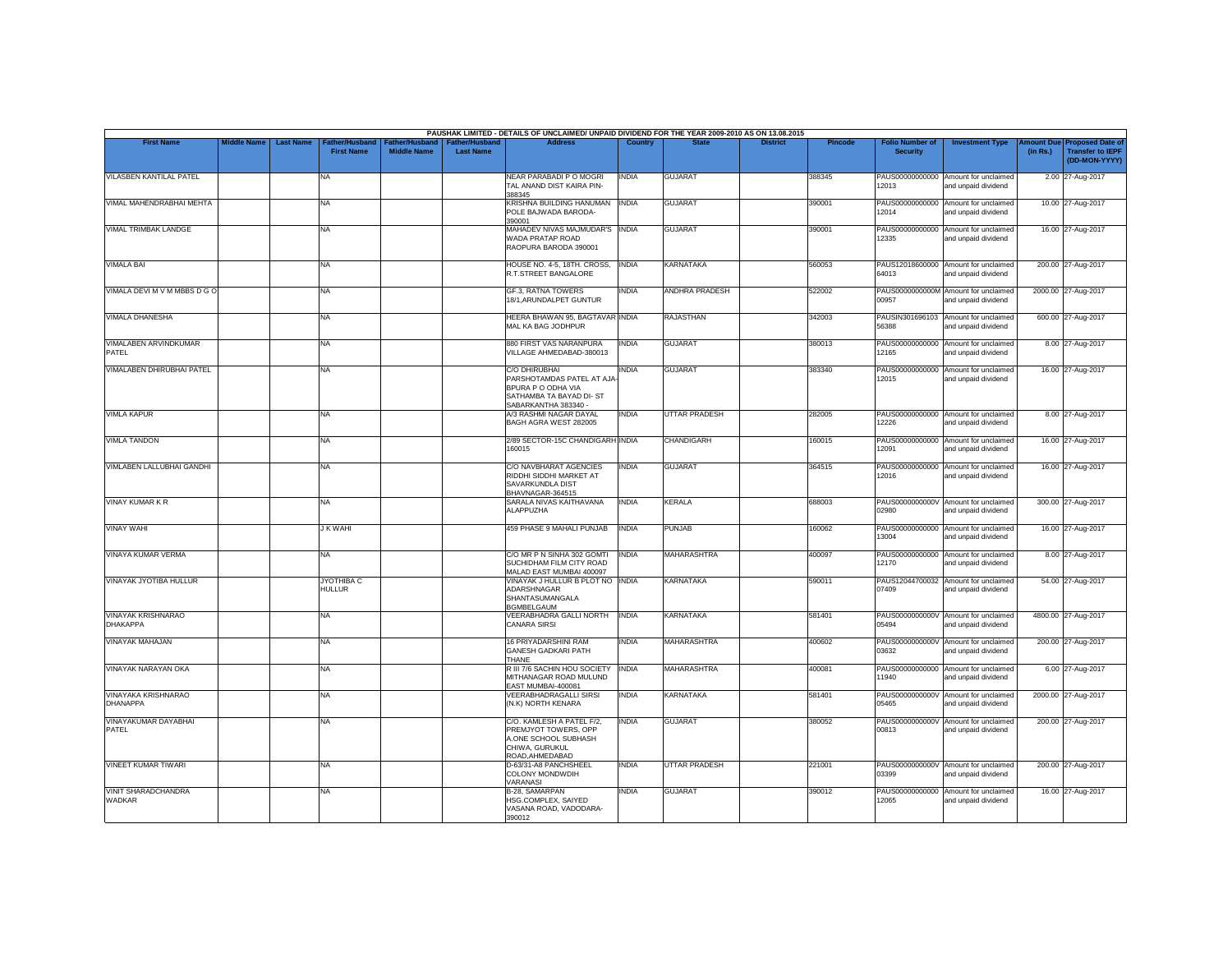|                                              |                    |                  |                                     |                                      |                                           | PAUSHAK LIMITED - DETAILS OF UNCLAIMED/ UNPAID DIVIDEND FOR THE YEAR 2009-2010 AS ON 13.08.2015                             |                |                       |                 |         |                                           |                                                             |                               |                                                                     |
|----------------------------------------------|--------------------|------------------|-------------------------------------|--------------------------------------|-------------------------------------------|-----------------------------------------------------------------------------------------------------------------------------|----------------|-----------------------|-----------------|---------|-------------------------------------------|-------------------------------------------------------------|-------------------------------|---------------------------------------------------------------------|
| <b>First Name</b>                            | <b>Middle Name</b> | <b>Last Name</b> | Father/Husband<br><b>First Name</b> | Father/Husband<br><b>Middle Name</b> | <b>Father/Husband</b><br><b>Last Name</b> | <b>Address</b>                                                                                                              | <b>Country</b> | <b>State</b>          | <b>District</b> | Pincode | <b>Folio Number of</b><br><b>Security</b> | <b>Investment Type</b>                                      | <b>Amount Due</b><br>(in Rs.) | <b>Proposed Date of</b><br><b>Transfer to IEPF</b><br>(DD-MON-YYYY) |
| VILASBEN KANTILAL PATEL                      |                    |                  | <b>NA</b>                           |                                      |                                           | NEAR PARABADI P O MOGRI<br>TAL ANAND DIST KAIRA PIN-<br>388345                                                              | <b>INDIA</b>   | <b>GUJARAT</b>        |                 | 388345  | 12013                                     | PAUS00000000000 Amount for unclaimed<br>and unpaid dividend |                               | 2.00 27-Aug-2017                                                    |
| VIMAL MAHENDRABHAI MEHTA                     |                    |                  | <b>NA</b>                           |                                      |                                           | KRISHNA BUILDING HANUMAN<br>POLE BAJWADA BARODA-<br>390001                                                                  | <b>INDIA</b>   | <b>GUJARAT</b>        |                 | 390001  | 12014                                     | PAUS00000000000 Amount for unclaimed<br>and unpaid dividend |                               | 10.00 27-Aug-2017                                                   |
| VIMAL TRIMBAK LANDGE                         |                    |                  | <b>NA</b>                           |                                      |                                           | MAHADEV NIVAS MAJMUDAR'S INDIA<br>WADA PRATAP ROAD<br>RAOPURA BARODA 390001                                                 |                | <b>GUJARAT</b>        |                 | 390001  | 12335                                     | PAUS00000000000 Amount for unclaimed<br>and unpaid dividend |                               | 16.00 27-Aug-2017                                                   |
| <b>VIMALA BAI</b>                            |                    |                  | <b>NA</b>                           |                                      |                                           | HOUSE NO. 4-5, 18TH. CROSS,<br>R.T.STREET BANGALORE                                                                         | <b>INDIA</b>   | <b>KARNATAKA</b>      |                 | 560053  | 64013                                     | PAUS12018600000 Amount for unclaimed<br>and unpaid dividend |                               | 200.00 27-Aug-2017                                                  |
| VIMALA DEVI M V M MBBS D G O                 |                    |                  | <b>NA</b>                           |                                      |                                           | <b>GF.3, RATNA TOWERS</b><br>18/1.ARUNDALPET GUNTUR                                                                         | INDIA          | <b>ANDHRA PRADESH</b> |                 | 522002  | 00957                                     | PAUS0000000000M Amount for unclaimed<br>and unpaid dividend |                               | 2000.00 27-Aug-2017                                                 |
| <b>VIMALA DHANESHA</b>                       |                    |                  | <b>NA</b>                           |                                      |                                           | HEERA BHAWAN 95, BAGTAVAR INDIA<br>MAL KA BAG JODHPUR                                                                       |                | <b>RAJASTHAN</b>      |                 | 342003  | 56388                                     | PAUSIN301696103 Amount for unclaimed<br>and unpaid dividend |                               | 600.00 27-Aug-2017                                                  |
| VIMALABEN ARVINDKUMAR<br>PATEL               |                    |                  | <b>NA</b>                           |                                      |                                           | 880 FIRST VAS NARANPURA<br>VILLAGE AHMEDABAD-380013                                                                         | <b>INDIA</b>   | <b>GUJARAT</b>        |                 | 380013  | 12165                                     | PAUS00000000000 Amount for unclaimed<br>and unpaid dividend |                               | 8.00 27-Aug-2017                                                    |
| VIMALABEN DHIRUBHAI PATEL                    |                    |                  | <b>NA</b>                           |                                      |                                           | <b>C/O DHIRUBHAI</b><br>PARSHOTAMDAS PATEL AT AJA<br>BPURA P O ODHA VIA<br>SATHAMBA TA BAYAD DI- ST<br>SABARKANTHA 383340 - | <b>INDIA</b>   | <b>GUJARAT</b>        |                 | 383340  | 12015                                     | PAUS00000000000 Amount for unclaimed<br>and unpaid dividend |                               | 16.00 27-Aug-2017                                                   |
| <b>VIMLA KAPUR</b>                           |                    |                  | <b>NA</b>                           |                                      |                                           | A/3 RASHMI NAGAR DAYAL<br>BAGH AGRA WEST 282005                                                                             | <b>INDIA</b>   | <b>UTTAR PRADESH</b>  |                 | 282005  | 12226                                     | PAUS00000000000 Amount for unclaimed<br>and unpaid dividend |                               | 8.00 27-Aug-2017                                                    |
| <b>VIMLA TANDON</b>                          |                    |                  | <b>NA</b>                           |                                      |                                           | 2/89 SECTOR-15C CHANDIGARH INDIA<br>160015                                                                                  |                | <b>CHANDIGARH</b>     |                 | 160015  | 12091                                     | PAUS00000000000 Amount for unclaimed<br>and unpaid dividend |                               | 16.00 27-Aug-2017                                                   |
| <b>VIMLABEN LALLUBHAI GANDHI</b>             |                    |                  | <b>NA</b>                           |                                      |                                           | C/O NAVBHARAT AGENCIES<br>RIDDHI SIDDHI MARKET AT<br>SAVARKUNDLA DIST<br>BHAVNAGAR-364515                                   | <b>INDIA</b>   | <b>GUJARAT</b>        |                 | 364515  | PAUS00000000000<br>12016                  | Amount for unclaimed<br>and unpaid dividend                 |                               | 16.00 27-Aug-2017                                                   |
| <b>VINAY KUMAR K R</b>                       |                    |                  | <b>NA</b>                           |                                      |                                           | SARALA NIVAS KAITHAVANA<br>ALAPPUZHA                                                                                        | <b>INDIA</b>   | <b>KERALA</b>         |                 | 688003  | 02980                                     | PAUS0000000000V Amount for unclaimed<br>and unpaid dividend |                               | 300.00 27-Aug-2017                                                  |
| <b>VINAY WAHI</b>                            |                    |                  | <b>J K WAHI</b>                     |                                      |                                           | 459 PHASE 9 MAHALI PUNJAB                                                                                                   | <b>INDIA</b>   | <b>PUNJAB</b>         |                 | 160062  | 13004                                     | PAUS00000000000 Amount for unclaimed<br>and unpaid dividend |                               | 16.00 27-Aug-2017                                                   |
| VINAYA KUMAR VERMA                           |                    |                  | <b>NA</b>                           |                                      |                                           | C/O MR P N SINHA 302 GOMTI<br>SUCHIDHAM FILM CITY ROAD<br>MALAD EAST MUMBAI 400097                                          | <b>INDIA</b>   | <b>MAHARASHTRA</b>    |                 | 400097  | PAUS00000000000<br>12170                  | Amount for unclaimed<br>and unpaid dividend                 |                               | 8.00 27-Aug-2017                                                    |
| VINAYAK JYOTIBA HULLUR                       |                    |                  | <b>JYOTHIBA C</b><br><b>HULLUR</b>  |                                      |                                           | VINAYAK J HULLUR B PLOT NO INDIA<br>ADARSHNAGAR<br>SHANTASUMANGALA<br>BGMBELGAUM                                            |                | <b>KARNATAKA</b>      |                 | 590011  | 07409                                     | PAUS12044700032 Amount for unclaimed<br>and unpaid dividend |                               | 54.00 27-Aug-2017                                                   |
| <b>VINAYAK KRISHNARAO</b><br><b>DHAKAPPA</b> |                    |                  | <b>NA</b>                           |                                      |                                           | VEERABHADRA GALLI NORTH<br>CANARA SIRSI                                                                                     | <b>INDIA</b>   | <b>KARNATAKA</b>      |                 | 581401  | 05494                                     | PAUS0000000000V Amount for unclaimed<br>and unpaid dividend |                               | 4800.00 27-Aug-2017                                                 |
| VINAYAK MAHAJAN                              |                    |                  | <b>NA</b>                           |                                      |                                           | 16 PRIYADARSHINI RAM<br><b>GANESH GADKARI PATH</b><br>THANE                                                                 | INDIA          | MAHARASHTRA           |                 | 400602  | 03632                                     | PAUS0000000000V Amount for unclaimed<br>and unpaid dividend |                               | 200.00 27-Aug-2017                                                  |
| <b>VINAYAK NARAYAN OKA</b>                   |                    |                  | <b>NA</b>                           |                                      |                                           | R III 7/6 SACHIN HOU SOCIETY<br>MITHANAGAR ROAD MULUND<br>EAST MUMBAI-400081                                                | <b>INDIA</b>   | MAHARASHTRA           |                 | 400081  | 11940                                     | PAUS00000000000 Amount for unclaimed<br>and unpaid dividend |                               | 6.00 27-Aug-2017                                                    |
| VINAYAKA KRISHNARAO<br><b>DHANAPPA</b>       |                    |                  | <b>NA</b>                           |                                      |                                           | VEERABHADRAGALLI SIRSI<br>(N.K) NORTH KENARA                                                                                | <b>INDIA</b>   | <b>KARNATAKA</b>      |                 | 581401  | 05465                                     | PAUS0000000000V Amount for unclaimed<br>and unpaid dividend |                               | 2000.00 27-Aug-2017                                                 |
| VINAYAKUMAR DAYABHAI<br>PATEL                |                    |                  | <b>NA</b>                           |                                      |                                           | C/O. KAMLESH A PATEL F/2.<br>PREMJYOT TOWERS, OPP<br>A.ONE SCHOOL SUBHASH<br>CHIWA, GURUKUL<br>ROAD.AHMEDABAD               | <b>INDIA</b>   | <b>GUJARAT</b>        |                 | 380052  | 00813                                     | PAUS0000000000V Amount for unclaimed<br>and unpaid dividend |                               | 200.00 27-Aug-2017                                                  |
| <b>VINEET KUMAR TIWARI</b>                   |                    |                  | <b>NA</b>                           |                                      |                                           | D-63/31-A8 PANCHSHEEL<br>COLONY MONDWDIH<br>VARANASI                                                                        | <b>INDIA</b>   | <b>UTTAR PRADESH</b>  |                 | 221001  | 03399                                     | PAUS0000000000V Amount for unclaimed<br>and unpaid dividend |                               | 200.00 27-Aug-2017                                                  |
| <b>VINIT SHARADCHANDRA</b><br>WADKAR         |                    |                  | <b>NA</b>                           |                                      |                                           | <b>B-28. SAMARPAN</b><br>HSG.COMPLEX, SAIYED<br>VASANA ROAD, VADODARA-<br>390012                                            | <b>INDIA</b>   | <b>GUJARAT</b>        |                 | 390012  | PAUS00000000000<br>12065                  | Amount for unclaimed<br>and unpaid dividend                 |                               | 16.00 27-Aug-2017                                                   |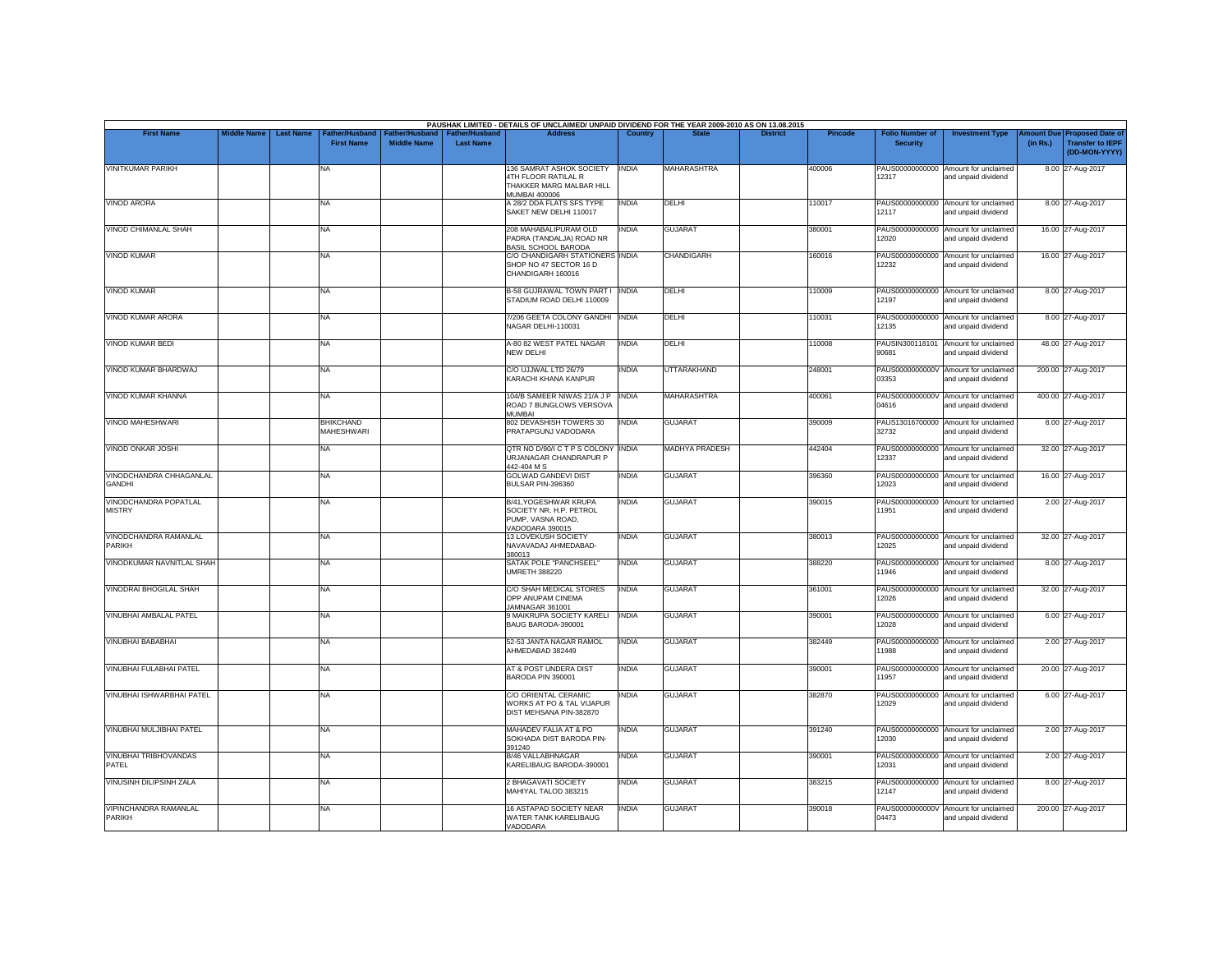| <b>First Name</b>                            | <b>Middle Name</b> | <b>Last Name</b> | <b>Father/Husband</b>                 | ather/Hu:          | <b>Father/Hushand</b> | PAUSHAK LIMITED - DETAILS OF UNCLAIMED/ UNPAID DIVIDEND FOR THE YEAR 2009-2010 AS ON 13.08.2015<br><b>Address</b> | Country      |                       | <b>District</b> | <b>Pincode</b> | <b>Folio Number of</b>   | <b>Investment Type</b>                                      | mount Due | <b>Proposed Date of</b>                  |
|----------------------------------------------|--------------------|------------------|---------------------------------------|--------------------|-----------------------|-------------------------------------------------------------------------------------------------------------------|--------------|-----------------------|-----------------|----------------|--------------------------|-------------------------------------------------------------|-----------|------------------------------------------|
|                                              |                    |                  | <b>First Name</b>                     | <b>Middle Name</b> | <b>Last Name</b>      |                                                                                                                   |              |                       |                 |                | <b>Security</b>          |                                                             | (in Rs.)  | <b>Transfer to IEPF</b><br>(DD-MON-YYYY) |
| <b>VINITKUMAR PARIKH</b>                     |                    |                  | NA                                    |                    |                       | 136 SAMRAT ASHOK SOCIETY<br>4TH FLOOR RATILAL R<br>THAKKER MARG MALBAR HILL<br><b>MUMBAI 400006</b>               | <b>INDIA</b> | <b>MAHARASHTRA</b>    |                 | 400006         | PAUS00000000000<br>12317 | Amount for unclaimed<br>and unpaid dividend                 |           | 8.00 27-Aug-2017                         |
| <b>VINOD ARORA</b>                           |                    |                  | NA                                    |                    |                       | A 28/2 DDA FLATS SFS TYPE<br>SAKET NEW DELHI 110017                                                               | <b>INDIA</b> | DELHI                 |                 | 110017         | PAUS00000000000<br>12117 | Amount for unclaimed<br>and unpaid dividend                 |           | 8.00 27-Aug-2017                         |
| <b>VINOD CHIMANLAL SHAH</b>                  |                    |                  | <b>NA</b>                             |                    |                       | 208 MAHABALIPURAM OLD<br>PADRA (TANDALJA) ROAD NR<br>BASIL SCHOOL BARODA                                          | <b>INDIA</b> | <b>GUJARAT</b>        |                 | 380001         | 12020                    | PAUS00000000000 Amount for unclaimed<br>and unpaid dividend |           | 16.00 27-Aug-2017                        |
| <b>VINOD KUMAR</b>                           |                    |                  | NA.                                   |                    |                       | C/O CHANDIGARH STATIONERS INDIA<br>SHOP NO 47 SECTOR 16 D<br>CHANDIGARH 160016                                    |              | CHANDIGARH            |                 | 160016         | PAUS00000000000<br>12232 | Amount for unclaimed<br>and unpaid dividend                 |           | 16.00 27-Aug-2017                        |
| <b>VINOD KUMAR</b>                           |                    |                  | NA                                    |                    |                       | <b>B-58 GUJRAWAL TOWN PART I INDIA</b><br>STADIUM ROAD DELHI 110009                                               |              | DELHI                 |                 | 110009         | PAUS00000000000<br>12197 | Amount for unclaimed<br>and unpaid dividend                 |           | 8.00 27-Aug-2017                         |
| VINOD KUMAR ARORA                            |                    |                  | NA                                    |                    |                       | 7/206 GEETA COLONY GANDHI INDIA<br>NAGAR DELHI-110031                                                             |              | DELHI                 |                 | 110031         | PAUS00000000000<br>12135 | Amount for unclaimed<br>and unpaid dividend                 |           | 8.00 27-Aug-2017                         |
| <b>VINOD KUMAR BEDI</b>                      |                    |                  | NA                                    |                    |                       | A-80 82 WEST PATEL NAGAR<br>NEW DELHI                                                                             | <b>INDIA</b> | DELHI                 |                 | 110008         | PAUSIN300118101<br>90681 | Amount for unclaimed<br>and unpaid dividend                 |           | 48.00 27-Aug-2017                        |
| VINOD KUMAR BHARDWAJ                         |                    |                  | NA                                    |                    |                       | C/O UJJWAL LTD 26/79<br>KARACHI KHANA KANPUR                                                                      | <b>INDIA</b> | UTTARAKHAND           |                 | 248001         | PAUS0000000000V<br>03353 | Amount for unclaimed<br>and unpaid dividend                 |           | 200.00 27-Aug-2017                       |
| VINOD KUMAR KHANNA                           |                    |                  | NA                                    |                    |                       | 104/B SAMEER NIWAS 21/A J P INDIA<br>ROAD 7 BUNGLOWS VERSOVA<br><b>MUMBAL</b>                                     |              | <b>MAHARASHTRA</b>    |                 | 400061         | PAUS0000000000V<br>04616 | Amount for unclaimed<br>and unpaid dividend                 |           | 400.00 27-Aug-2017                       |
| VINOD MAHESHWARI                             |                    |                  | <b>BHIKCHAND</b><br><b>MAHESHWARI</b> |                    |                       | 802 DEVASHISH TOWERS 30<br>PRATAPGUNJ VADODARA                                                                    | <b>INDIA</b> | <b>GUJARAT</b>        |                 | 390009         | 32732                    | PAUS13016700000 Amount for unclaimed<br>and unpaid dividend |           | 8.00 27-Aug-2017                         |
| VINOD ONKAR JOSHI                            |                    |                  | NA                                    |                    |                       | QTR NO D/90/I C T P S COLONY INDIA<br>URJANAGAR CHANDRAPUR P<br>442-404 M S                                       |              | <b>MADHYA PRADESH</b> |                 | 442404         | 12337                    | PAUS00000000000 Amount for unclaimed<br>and unpaid dividend |           | 32.00 27-Aug-2017                        |
| VINODCHANDRA CHHAGANLAL<br><b>GANDHI</b>     |                    |                  | <b>NA</b>                             |                    |                       | <b>GOLWAD GANDEVI DIST</b><br>BULSAR PIN-396360                                                                   | <b>INDIA</b> | <b>GUJARAT</b>        |                 | 396360         | PAUS00000000000<br>12023 | Amount for unclaimed<br>and unpaid dividend                 |           | 16.00 27-Aug-2017                        |
| VINODCHANDRA POPATLAL<br><b>MISTRY</b>       |                    |                  | NA.                                   |                    |                       | B/41, YOGESHWAR KRUPA<br>SOCIETY NR. H.P. PETROL<br>PUMP, VASNA ROAD,<br>VADODARA 390015                          | <b>INDIA</b> | <b>GUJARAT</b>        |                 | 390015         | PAUS00000000000<br>11951 | Amount for unclaimed<br>and unpaid dividend                 |           | 2.00 27-Aug-2017                         |
| VINODCHANDRA RAMANLAL<br>PARIKH              |                    |                  | <b>NA</b>                             |                    |                       | 13 LOVEKUSH SOCIETY<br>NAVAVADAJ AHMEDABAD-<br>380013                                                             | <b>INDIA</b> | <b>GUJARAT</b>        |                 | 380013         | 12025                    | PAUS00000000000 Amount for unclaimed<br>and unpaid dividend |           | 32.00 27-Aug-2017                        |
| VINODKUMAR NAVNITLAL SHAH                    |                    |                  | NA                                    |                    |                       | SATAK POLE "PANCHSEEL"<br><b>UMRETH 388220</b>                                                                    | <b>INDIA</b> | <b>GUJARAT</b>        |                 | 388220         | PAUS00000000000<br>11946 | Amount for unclaimed<br>and unpaid dividend                 |           | 8.00 27-Aug-2017                         |
| <b>VINODRAI BHOGILAL SHAH</b>                |                    |                  | <b>NA</b>                             |                    |                       | C/O SHAH MEDICAL STORES<br>OPP ANUPAM CINEMA<br>JAMNAGAR 361001                                                   | <b>INDIA</b> | <b>GUJARAT</b>        |                 | 361001         | PAUS00000000000<br>12026 | Amount for unclaimed<br>and unpaid dividend                 |           | 32.00 27-Aug-2017                        |
| <b>VINUBHAI AMBALAL PATEL</b>                |                    |                  | NA                                    |                    |                       | 9 MAIKRUPA SOCIETY KARELI<br>BAUG BARODA-390001                                                                   | <b>INDIA</b> | <b>GUJARAT</b>        |                 | 390001         | PAUS00000000000<br>12028 | Amount for unclaimed<br>and unpaid dividend                 |           | 6.00 27-Aug-2017                         |
| <b>VINUBHAI BABABHAI</b>                     |                    |                  | NA                                    |                    |                       | 52-53 JANTA NAGAR RAMOL<br>AHMEDABAD 382449                                                                       | <b>INDIA</b> | <b>GUJARAT</b>        |                 | 382449         | PAUS00000000000<br>11988 | Amount for unclaimed<br>and unpaid dividend                 |           | 2.00 27-Aug-2017                         |
| VINUBHAI FULABHAI PATEL                      |                    |                  | NA                                    |                    |                       | AT & POST UNDERA DIST<br>BARODA PIN 390001                                                                        | INDIA        | GUJARAT               |                 | 390001         | PAUS00000000000<br>11957 | Amount for unclaimed<br>and unpaid dividend                 |           | 20.00 27-Aug-2017                        |
| VINUBHAI ISHWARBHAI PATEL                    |                    |                  | <b>NA</b>                             |                    |                       | C/O ORIENTAL CERAMIC<br>WORKS AT PO & TAL VIJAPUR<br>DIST MEHSANA PIN-382870                                      | <b>INDIA</b> | <b>GUJARAT</b>        |                 | 382870         | PAUS00000000000<br>12029 | Amount for unclaimed<br>and unpaid dividend                 |           | 6.00 27-Aug-2017                         |
| VINUBHAI MULJIBHAI PATEL                     |                    |                  | NA                                    |                    |                       | MAHADEV FALIA AT & PO<br>SOKHADA DIST BARODA PIN-<br>391240                                                       | INDIA        | <b>GUJARAT</b>        |                 | 391240         | 12030                    | PAUS00000000000 Amount for unclaimed<br>and unpaid dividend |           | 2.00 27-Aug-2017                         |
| <b>VINUBHAI TRIBHOVANDAS</b><br><b>PATEL</b> |                    |                  | NA                                    |                    |                       | B/46 VALLABHNAGAR<br>KARELIBAUG BARODA-390001                                                                     | <b>INDIA</b> | <b>GUJARAT</b>        |                 | 390001         | 12031                    | PAUS00000000000 Amount for unclaimed<br>and unpaid dividend |           | 2.00 27-Aug-2017                         |
| VINUSINH DILIPSINH ZALA                      |                    |                  | NA                                    |                    |                       | 2 BHAGAVATI SOCIETY<br>MAHIYAL TALOD 383215                                                                       | INDIA        | <b>GUJARAT</b>        |                 | 383215         | PAUS00000000000<br>12147 | Amount for unclaimed<br>and unpaid dividend                 |           | 8.00 27-Aug-2017                         |
| VIPINCHANDRA RAMANLAL<br><b>PARIKH</b>       |                    |                  | NA                                    |                    |                       | 16 ASTAPAD SOCIETY NEAR<br>WATER TANK KARELIBAUG<br>VADODARA                                                      | <b>INDIA</b> | <b>GUJARAT</b>        |                 | 390018         | PAUS0000000000V<br>04473 | Amount for unclaimed<br>and unpaid dividend                 |           | 200.00 27-Aug-2017                       |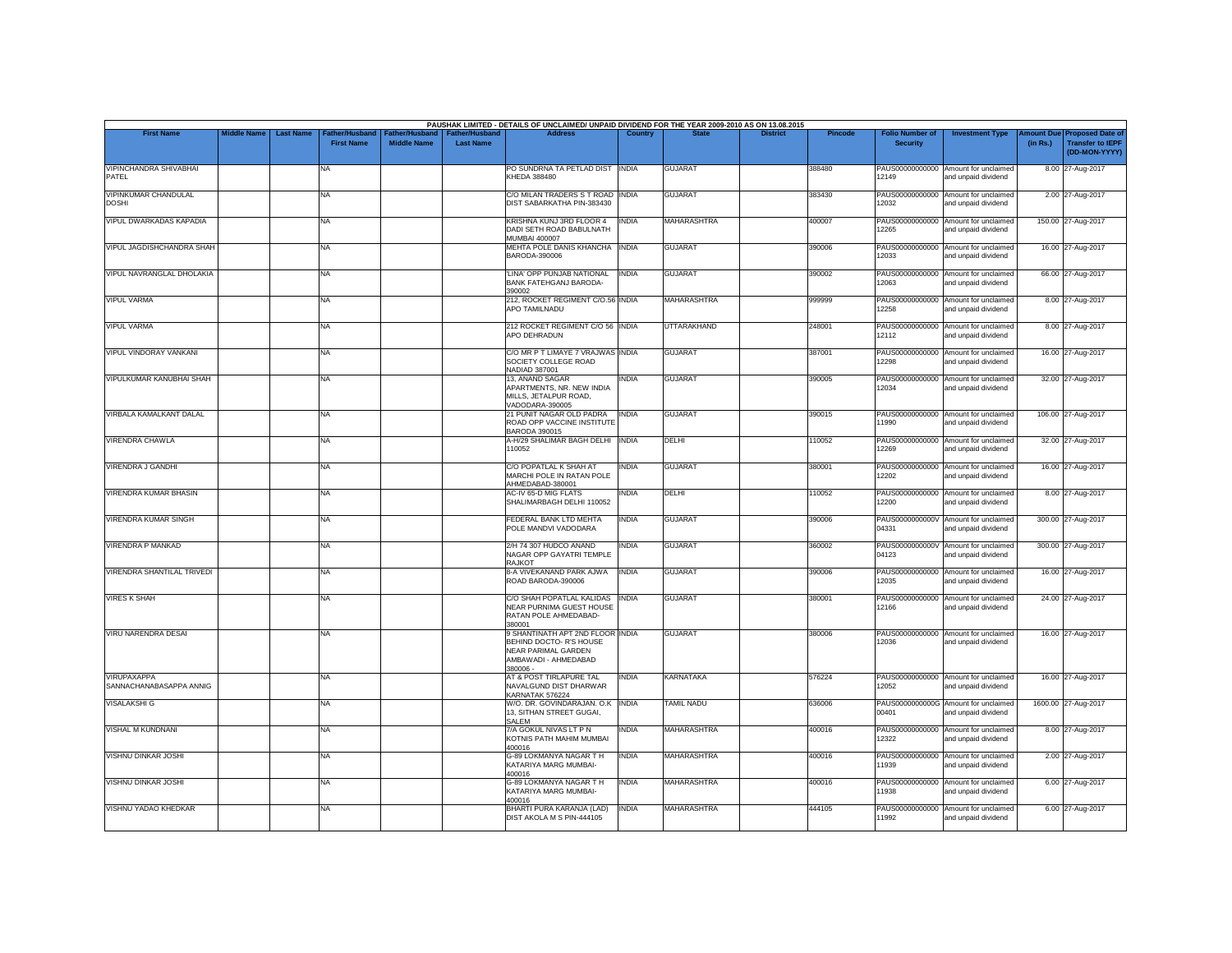| <b>First Name</b>                             | <b>Middle Name</b> | <b>Last Name</b> | Father/Husband    | Father/Husband     | <b>Father/Husband</b> | <b>Address</b>                                                                                                       | Country      |                    | <b>District</b> |                |                                           |                                                             |                               |                                                                     |
|-----------------------------------------------|--------------------|------------------|-------------------|--------------------|-----------------------|----------------------------------------------------------------------------------------------------------------------|--------------|--------------------|-----------------|----------------|-------------------------------------------|-------------------------------------------------------------|-------------------------------|---------------------------------------------------------------------|
|                                               |                    |                  | <b>First Name</b> | <b>Middle Name</b> | <b>Last Name</b>      |                                                                                                                      |              |                    |                 | <b>Pincode</b> | <b>Folio Number of</b><br><b>Security</b> | <b>Investment Type</b>                                      | <b>Imount Due</b><br>(in Rs.) | <b>Proposed Date of</b><br><b>Transfer to IEPF</b><br>(DD-MON-YYYY) |
| <b>VIPINCHANDRA SHIVABHAI</b><br>PATEL        |                    |                  | NA                |                    |                       | PO SUNDRNA TA PETLAD DIST INDIA<br>KHEDA 388480                                                                      |              | <b>GUJARAT</b>     |                 | 388480         | 12149                                     | PAUS00000000000 Amount for unclaimed<br>and unpaid dividend |                               | 8.00 27-Aug-2017                                                    |
| VIPINKUMAR CHANDULAL<br><b>DOSHI</b>          |                    |                  | NA                |                    |                       | C/O MILAN TRADERS S T ROAD INDIA<br>DIST SABARKATHA PIN-383430                                                       |              | <b>GUJARAT</b>     |                 | 383430         | PAUS00000000000<br>12032                  | Amount for unclaimed<br>and unpaid dividend                 |                               | 2.00 27-Aug-2017                                                    |
| VIPUL DWARKADAS KAPADIA                       |                    |                  | NA                |                    |                       | KRISHNA KUNJ 3RD FLOOR 4<br>DADI SETH ROAD BABULNATH<br><b>MUMBAI 400007</b>                                         | <b>INDIA</b> | <b>MAHARASHTRA</b> |                 | 400007         | 12265                                     | PAUS00000000000 Amount for unclaimed<br>and unpaid dividend |                               | 150.00 27-Aug-2017                                                  |
| VIPUL JAGDISHCHANDRA SHAH                     |                    |                  | NA                |                    |                       | MEHTA POLE DANIS KHANCHA INDIA<br>BARODA-390006                                                                      |              | <b>GUJARAT</b>     |                 | 390006         | 12033                                     | PAUS00000000000 Amount for unclaimed<br>and unpaid dividend |                               | 16.00 27-Aug-2017                                                   |
| VIPUL NAVRANGLAL DHOLAKIA                     |                    |                  | NA                |                    |                       | 'LINA' OPP PUNJAB NATIONAL<br><b>BANK FATEHGANJ BARODA-</b><br>390002                                                | <b>INDIA</b> | <b>GUJARAT</b>     |                 | 390002         | 12063                                     | PAUS00000000000 Amount for unclaimed<br>and unpaid dividend |                               | 66.00 27-Aug-2017                                                   |
| <b>VIPUL VARMA</b>                            |                    |                  | NA                |                    |                       | 212, ROCKET REGIMENT C/O.56 INDIA<br>APO TAMILNADU                                                                   |              | MAHARASHTRA        |                 | 999999         | 12258                                     | PAUS00000000000 Amount for unclaimed<br>and unpaid dividend |                               | 8.00 27-Aug-2017                                                    |
| <b>VIPUL VARMA</b>                            |                    |                  | NA                |                    |                       | 212 ROCKET REGIMENT C/O 56 INDIA<br>APO DEHRADUN                                                                     |              | <b>UTTARAKHAND</b> |                 | 248001         | 12112                                     | PAUS00000000000 Amount for unclaimed<br>and unpaid dividend |                               | 8.00 27-Aug-2017                                                    |
| VIPUL VINDORAY VANKANI                        |                    |                  | NA                |                    |                       | C/O MR P T LIMAYE 7 VRAJWAS INDIA<br>SOCIETY COLLEGE ROAD<br>NADIAD 387001                                           |              | <b>GUJARAT</b>     |                 | 387001         | 12298                                     | PAUS00000000000 Amount for unclaimed<br>and unpaid dividend |                               | 16.00 27-Aug-2017                                                   |
| VIPULKUMAR KANUBHAI SHAH                      |                    |                  | NA.               |                    |                       | 13, ANAND SAGAR<br>APARTMENTS, NR. NEW INDIA<br>MILLS, JETALPUR ROAD,<br>VADODARA-390005                             | <b>INDIA</b> | <b>GUJARAT</b>     |                 | 390005         | 12034                                     | PAUS00000000000 Amount for unclaimed<br>and unpaid dividend |                               | 32.00 27-Aug-2017                                                   |
| VIRBALA KAMALKANT DALAL                       |                    |                  | NA                |                    |                       | 21 PUNIT NAGAR OLD PADRA<br>ROAD OPP VACCINE INSTITUTE<br><b>BARODA 390015</b>                                       | <b>INDIA</b> | <b>GUJARAT</b>     |                 | 390015         | 11990                                     | PAUS00000000000 Amount for unclaimed<br>and unpaid dividend |                               | 106.00 27-Aug-2017                                                  |
| <b>VIRENDRA CHAWLA</b>                        |                    |                  | <b>NA</b>         |                    |                       | A-H/29 SHALIMAR BAGH DELHI   INDIA<br>110052                                                                         |              | DELHI              |                 | 10052          | 12269                                     | PAUS00000000000 Amount for unclaimed<br>and unpaid dividend |                               | 32.00 27-Aug-2017                                                   |
| VIRENDRA J GANDHI                             |                    |                  | NA                |                    |                       | C/O POPATLAL K SHAH AT<br>MARCHI POLE IN RATAN POLE<br>AHMEDABAD-380001                                              | <b>INDIA</b> | <b>GUJARAT</b>     |                 | 380001         | 12202                                     | PAUS00000000000 Amount for unclaimed<br>and unpaid dividend |                               | 16.00 27-Aug-2017                                                   |
| VIRENDRA KUMAR BHASIN                         |                    |                  | NA                |                    |                       | AC-IV 65-D MIG FLATS<br>SHALIMARBAGH DELHI 110052                                                                    | <b>INDIA</b> | DELHI              |                 | 110052         | 12200                                     | PAUS00000000000 Amount for unclaimed<br>and unpaid dividend |                               | 8.00 27-Aug-2017                                                    |
| <b>VIRENDRA KUMAR SINGH</b>                   |                    |                  | NA                |                    |                       | FEDERAL BANK LTD MEHTA<br>POLE MANDVI VADODARA                                                                       | <b>INDIA</b> | <b>GUJARAT</b>     |                 | 390006         | 04331                                     | PAUS0000000000V Amount for unclaimed<br>and unpaid dividend |                               | 300.00 27-Aug-2017                                                  |
| VIRENDRA P MANKAD                             |                    |                  | NA                |                    |                       | 2/H 74 307 HUDCO ANAND<br>NAGAR OPP GAYATRI TEMPLE<br><b>RAJKOT</b>                                                  | <b>INDIA</b> | <b>GUJARAT</b>     |                 | 360002         | 04123                                     | PAUS0000000000V Amount for unclaimed<br>and unpaid dividend |                               | 300.00 27-Aug-2017                                                  |
| <b>VIRENDRA SHANTILAL TRIVEDI</b>             |                    |                  | NA                |                    |                       | 8-A VIVEKANAND PARK AJWA<br>ROAD BARODA-390006                                                                       | <b>INDIA</b> | <b>GUJARAT</b>     |                 | 390006         | PAUS00000000000<br>12035                  | Amount for unclaimed<br>and unpaid dividend                 |                               | 16.00 27-Aug-2017                                                   |
| <b>VIRES K SHAH</b>                           |                    |                  | NA                |                    |                       | C/O SHAH POPATLAL KALIDAS INDIA<br>NEAR PURNIMA GUEST HOUSE<br>RATAN POLE AHMEDABAD-<br>380001                       |              | <b>GUJARAT</b>     |                 | 380001         | 12166                                     | PAUS00000000000 Amount for unclaimed<br>and unpaid dividend |                               | 24.00 27-Aug-2017                                                   |
| VIRU NARENDRA DESAI                           |                    |                  | NA                |                    |                       | 9 SHANTINATH APT 2ND FLOOR INDIA<br>BEHIND DOCTO- R'S HOUSE<br>NEAR PARIMAL GARDEN<br>AMBAWADI - AHMEDABAD<br>380006 |              | <b>GUJARAT</b>     |                 | 380006         | 12036                                     | PAUS00000000000 Amount for unclaimed<br>and unpaid dividend |                               | 16.00 27-Aug-2017                                                   |
| <b>VIRUPAXAPPA</b><br>SANNACHANABASAPPA ANNIG |                    |                  | NA                |                    |                       | AT & POST TIRLAPURE TAL<br>NAVALGUND DIST DHARWAR<br>KARNATAK 576224                                                 | <b>INDIA</b> | KARNATAKA          |                 | 576224         | 12052                                     | PAUS00000000000 Amount for unclaimed<br>and unpaid dividend |                               | 16.00 27-Aug-2017                                                   |
| <b>VISALAKSHI G</b>                           |                    |                  | <b>NA</b>         |                    |                       | W/O. DR. GOVINDARAJAN. O.K INDIA<br>13, SITHAN STREET GUGAI,<br>SALEM                                                |              | <b>TAMIL NADU</b>  |                 | 636006         | 00401                                     | PAUS0000000000G Amount for unclaimed<br>and unpaid dividend |                               | 1600.00 27-Aug-2017                                                 |
| <b>VISHAL M KUNDNANI</b>                      |                    |                  | NA                |                    |                       | 7/A GOKUL NIVAS LT P N<br>KOTNIS PATH MAHIM MUMBAI<br>400016                                                         | <b>INDIA</b> | MAHARASHTRA        |                 | 400016         | 12322                                     | PAUS00000000000 Amount for unclaimed<br>and unpaid dividend |                               | 8.00 27-Aug-2017                                                    |
| VISHNU DINKAR JOSHI                           |                    |                  | NA                |                    |                       | G-89 LOKMANYA NAGAR T H<br>KATARIYA MARG MUMBAI-<br>400016                                                           | <b>INDIA</b> | MAHARASHTRA        |                 | 400016         | 11939                                     | PAUS00000000000 Amount for unclaimed<br>and unpaid dividend |                               | 2.00 27-Aug-2017                                                    |
| VISHNU DINKAR JOSHI                           |                    |                  | NA                |                    |                       | G-89 LOKMANYA NAGAR T H<br>KATARIYA MARG MUMBAI-<br>400016                                                           | <b>INDIA</b> | MAHARASHTRA        |                 | 400016         | PAUS00000000000<br>11938                  | Amount for unclaimed<br>and unpaid dividend                 |                               | 6.00 27-Aug-2017                                                    |
| VISHNU YADAO KHEDKAR                          |                    |                  | NA                |                    |                       | BHARTI PURA KARANJA (LAD)<br>DIST AKOLA M S PIN-444105                                                               | <b>INDIA</b> | <b>MAHARASHTRA</b> |                 | 444105         | 11992                                     | PAUS00000000000 Amount for unclaimed<br>and unpaid dividend |                               | 6.00 27-Aug-2017                                                    |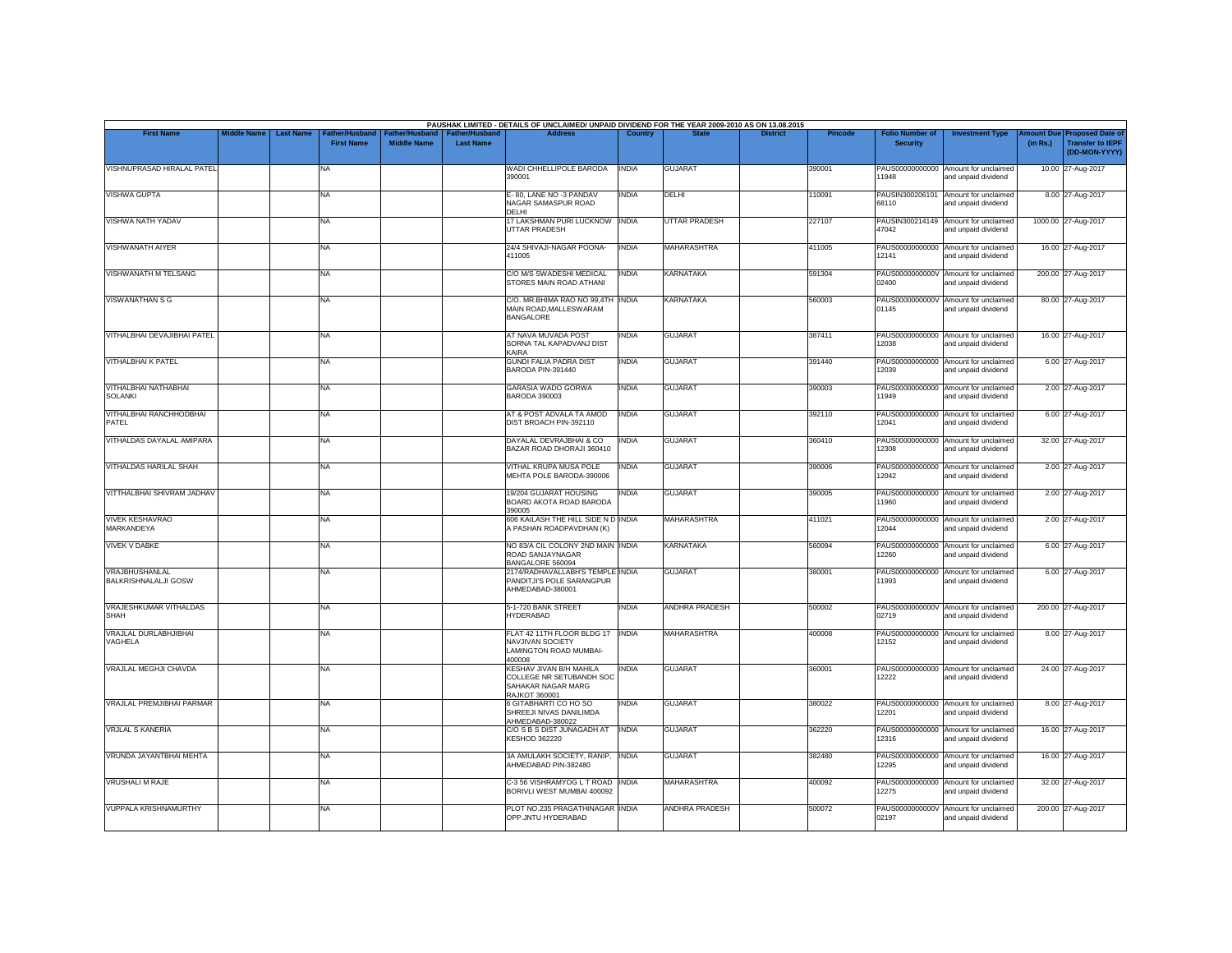| <b>First Name</b>                             | <b>Middle Name</b> | <b>Last Name</b> | <b>Father/Husband</b> |                    | <b>Father/Hushand</b> | PAUSHAK LIMITED - DETAILS OF UNCLAIMED/ UNPAID DIVIDEND FOR THE YEAR 2009-2010 AS ON 13.08.2015<br><b>Address</b> | Country      |                       | <b>District</b> | <b>Pincode</b> | <b>Folio Number of</b>   | <b>Investment Type</b>                                      | mount Due | <b>Proposed Date of</b>                  |
|-----------------------------------------------|--------------------|------------------|-----------------------|--------------------|-----------------------|-------------------------------------------------------------------------------------------------------------------|--------------|-----------------------|-----------------|----------------|--------------------------|-------------------------------------------------------------|-----------|------------------------------------------|
|                                               |                    |                  | <b>First Name</b>     | <b>Middle Name</b> | <b>Last Name</b>      |                                                                                                                   |              |                       |                 |                | <b>Security</b>          |                                                             | (in Rs.)  | <b>Transfer to IEPF</b><br>(DD-MON-YYYY) |
| VISHNUPRASAD HIRALAL PATEL                    |                    |                  | NA                    |                    |                       | WADI CHHELLIPOLE BARODA<br>390001                                                                                 | <b>INDIA</b> | <b>GUJARAT</b>        |                 | 390001         | PAUS00000000000<br>11948 | Amount for unclaimed<br>and unpaid dividend                 |           | 10.00 27-Aug-2017                        |
| <b>VISHWA GUPTA</b>                           |                    |                  | NA                    |                    |                       | E-80, LANE NO -3 PANDAV<br>NAGAR SAMASPUR ROAD<br>DFI HI                                                          | <b>INDIA</b> | DELHI                 |                 | 110091         | PAUSIN300206101<br>68110 | Amount for unclaimed<br>and unpaid dividend                 |           | 8.00 27-Aug-2017                         |
| VISHWA NATH YADAV                             |                    |                  | NA                    |                    |                       | 17 LAKSHMAN PURI LUCKNOW INDIA<br><b>UTTAR PRADESH</b>                                                            |              | UTTAR PRADESH         |                 | 227107         | 47042                    | PAUSIN300214149 Amount for unclaimed<br>and unpaid dividend |           | 1000.00 27-Aug-2017                      |
| <b>VISHWANATH AIYER</b>                       |                    |                  | NA                    |                    |                       | 24/4 SHIVAJI-NAGAR POONA-<br>411005                                                                               | <b>INDIA</b> | MAHARASHTRA           |                 | 411005         | PAUS00000000000<br>12141 | Amount for unclaimed<br>and unpaid dividend                 |           | 16.00 27-Aug-2017                        |
| VISHWANATH M TELSANG                          |                    |                  | NA.                   |                    |                       | C/O M/S SWADESHI MEDICAL<br>STORES MAIN ROAD ATHANI                                                               | <b>INDIA</b> | KARNATAKA             |                 | 591304         | 02400                    | PAUS0000000000V Amount for unclaimed<br>and unpaid dividend |           | 200.00 27-Aug-2017                       |
| VISWANATHAN S G                               |                    |                  | NA                    |                    |                       | C/O. MR.BHIMA RAO NO 99,4TH INDIA<br>MAIN ROAD.MALLESWARAM<br><b>BANGALORE</b>                                    |              | KARNATAKA             |                 | 560003         | PAUS0000000000V<br>01145 | Amount for unclaimed<br>and unpaid dividend                 |           | 80.00 27-Aug-2017                        |
| VITHALBHAI DEVAJIBHAI PATEL                   |                    |                  | <b>NA</b>             |                    |                       | AT NAVA MUVADA POST<br>SORNA TAL KAPADVANJ DIST<br>KAIRA                                                          | <b>INDIA</b> | <b>GUJARAT</b>        |                 | 387411         | 12038                    | PAUS00000000000 Amount for unclaimed<br>and unpaid dividend |           | 16.00 27-Aug-2017                        |
| <b>VITHALBHAI K PATEL</b>                     |                    |                  | NA                    |                    |                       | <b>GUNDI FALIA PADRA DIST</b><br>BARODA PIN-391440                                                                | INDIA        | <b>GUJARAT</b>        |                 | 391440         | PAUS00000000000<br>12039 | Amount for unclaimed<br>and unpaid dividend                 |           | 6.00 27-Aug-2017                         |
| <b>VITHALBHAI NATHABHAI</b><br><b>SOLANKI</b> |                    |                  | NA                    |                    |                       | <b>GARASIA WADO GORWA</b><br>BARODA 390003                                                                        | <b>INDIA</b> | <b>GUJARAT</b>        |                 | 390003         | PAUS00000000000<br>11949 | Amount for unclaimed<br>and unpaid dividend                 |           | 2.00 27-Aug-2017                         |
| VITHALBHAI RANCHHODBHAI<br>PATEL              |                    |                  | NA                    |                    |                       | AT & POST ADVALA TA AMOD<br>DIST BROACH PIN-392110                                                                | <b>INDIA</b> | <b>GUJARAT</b>        |                 | 392110         | PAUS00000000000<br>12041 | Amount for unclaimed<br>and unpaid dividend                 |           | 6.00 27-Aug-2017                         |
| VITHALDAS DAYALAL AMIPARA                     |                    |                  | NA                    |                    |                       | DAYALAL DEVRAJBHAI & CO<br>BAZAR ROAD DHORAJI 360410                                                              | <b>INDIA</b> | <b>GUJARAT</b>        |                 | 360410         | PAUS00000000000<br>12308 | Amount for unclaimed<br>and unpaid dividend                 |           | 32.00 27-Aug-2017                        |
| <b>VITHALDAS HARILAL SHAH</b>                 |                    |                  | NA                    |                    |                       | VITHAL KRUPA MUSA POLE<br>MEHTA POLE BARODA-390006                                                                | INDIA        | GUJARAT               |                 | 390006         | PAUS00000000000<br>12042 | Amount for unclaimed<br>and unpaid dividend                 |           | 2.00 27-Aug-2017                         |
| VITTHALBHAI SHIVRAM JADHAV                    |                    |                  | <b>NA</b>             |                    |                       | 19/204 GUJARAT HOUSING<br>BOARD AKOTA ROAD BARODA<br>390005                                                       | <b>INDIA</b> | <b>GUJARAT</b>        |                 | 390005         | PAUS00000000000<br>11960 | Amount for unclaimed<br>and unpaid dividend                 |           | 2.00 27-Aug-2017                         |
| <b>VIVEK KESHAVRAO</b><br>MARKANDEYA          |                    |                  | NA                    |                    |                       | 606 KAILASH THE HILL SIDE N D INDIA<br>A PASHAN ROADPAVDHAN (K)                                                   |              | <b>MAHARASHTRA</b>    |                 | 411021         | PAUS00000000000<br>12044 | Amount for unclaimed<br>and unpaid dividend                 |           | 2.00 27-Aug-2017                         |
| <b>VIVEK V DABKE</b>                          |                    |                  | NA                    |                    |                       | NO 83/A CIL COLONY 2ND MAIN INDIA<br>ROAD SANJAYNAGAR<br>BANGALORE 560094                                         |              | <b>KARNATAKA</b>      |                 | 560094         | PAUS00000000000<br>12260 | Amount for unclaimed<br>and unpaid dividend                 |           | 6.00 27-Aug-2017                         |
| VRAJBHUSHANLAL<br><b>BALKRISHNALALJI GOSW</b> |                    |                  | NA                    |                    |                       | 2174/RADHAVALLABH'S TEMPLE INDIA<br>PANDITJI'S POLE SARANGPUR<br>AHMEDABAD-380001                                 |              | <b>GUJARAT</b>        |                 | 380001         | PAUS00000000000<br>11993 | Amount for unclaimed<br>and unpaid dividend                 |           | 6.00 27-Aug-2017                         |
| <b>VRAJESHKUMAR VITHALDAS</b><br><b>SHAH</b>  |                    |                  | NA                    |                    |                       | 5-1-720 BANK STREET<br><b>HYDERABAD</b>                                                                           | <b>INDIA</b> | <b>ANDHRA PRADESH</b> |                 | 500002         | 02719                    | PAUS0000000000V Amount for unclaimed<br>and unpaid dividend |           | 200.00 27-Aug-2017                       |
| <b>VRAJLAL DURLABHJIBHAI</b><br>VAGHELA       |                    |                  | NA                    |                    |                       | FLAT 42 11TH FLOOR BLDG 17 INDIA<br>NAVJIVAN SOCIETY<br>LAMINGTON ROAD MUMBAI-<br>400008                          |              | <b>MAHARASHTRA</b>    |                 | 400008         | 12152                    | PAUS00000000000 Amount for unclaimed<br>and unpaid dividend |           | 8.00 27-Aug-2017                         |
| VRAJLAL MEGHJI CHAVDA                         |                    |                  | NA                    |                    |                       | KESHAV JIVAN B/H MAHILA<br>COLLEGE NR SETUBANDH SOC<br>SAHAKAR NAGAR MARG<br>RAJKOT 360001                        | INDIA        | <b>GUJARAT</b>        |                 | 360001         | PAUS00000000000<br>12222 | Amount for unclaimed<br>and unpaid dividend                 |           | 24.00 27-Aug-2017                        |
| <b>VRAJLAL PREMJIBHAI PARMAR</b>              |                    |                  | <b>NA</b>             |                    |                       | 6 GITABHARTI CO HO SO<br>SHREEJI NIVAS DANILIMDA<br>AHMEDABAD-380022                                              | <b>INDIA</b> | <b>GUJARAT</b>        |                 | 380022         | 12201                    | PAUS00000000000 Amount for unclaimed<br>and unpaid dividend |           | 8.00 27-Aug-2017                         |
| <b>VRJLAL S KANERIA</b>                       |                    |                  | NA                    |                    |                       | C/O S B S DIST JUNAGADH AT<br>KESHOD 362220                                                                       | <b>INDIA</b> | <b>GUJARAT</b>        |                 | 362220         | 12316                    | PAUS00000000000 Amount for unclaimed<br>and unpaid dividend |           | 16.00 27-Aug-2017                        |
| VRUNDA JAYANTBHAI MEHTA                       |                    |                  | NA                    |                    |                       | 3A AMULAKH SOCIETY, RANIP, INDIA<br>AHMEDABAD PIN-382480                                                          |              | <b>GUJARAT</b>        |                 | 382480         | 12295                    | PAUS00000000000 Amount for unclaimed<br>and unpaid dividend |           | 16.00 27-Aug-2017                        |
| <b>VRUSHALI M RAJE</b>                        |                    |                  | NA                    |                    |                       | C-3 56 VISHRAMYOG L T ROAD INDIA<br>BORIVLI WEST MUMBAI 400092                                                    |              | <b>MAHARASHTRA</b>    |                 | 400092         | PAUS00000000000<br>12275 | Amount for unclaimed<br>and unpaid dividend                 |           | 32.00 27-Aug-2017                        |
| <b>VUPPALA KRISHNAMURTHY</b>                  |                    |                  | NA                    |                    |                       | PLOT NO.235 PRAGATHINAGAR INDIA<br>OPP.JNTU HYDERABAD                                                             |              | ANDHRA PRADESH        |                 | 500072         | PAUS0000000000V<br>02197 | Amount for unclaimed<br>and unpaid dividend                 |           | 200.00 27-Aug-2017                       |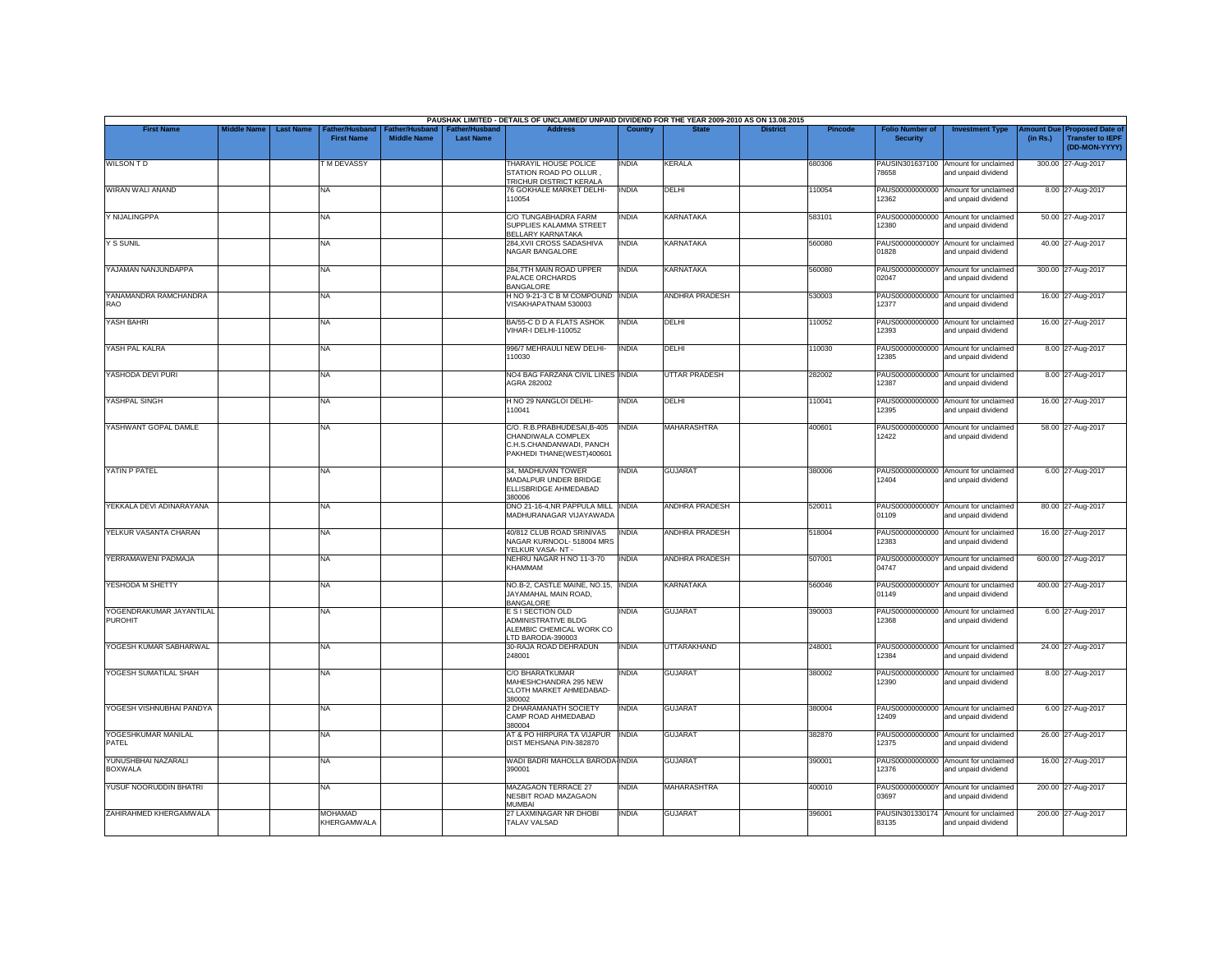|                                            |                    |                  |                                            |                                      |                                           | PAUSHAK LIMITED - DETAILS OF UNCLAIMED/ UNPAID DIVIDEND FOR THE YEAR 2009-2010 AS ON 13.08.2015            |              |                       |                 |                |                                           |                                                             |          |                                                                        |
|--------------------------------------------|--------------------|------------------|--------------------------------------------|--------------------------------------|-------------------------------------------|------------------------------------------------------------------------------------------------------------|--------------|-----------------------|-----------------|----------------|-------------------------------------------|-------------------------------------------------------------|----------|------------------------------------------------------------------------|
| <b>First Name</b>                          | <b>Middle Name</b> | <b>Last Name</b> | <b>Father/Husband</b><br><b>First Name</b> | Father/Husband<br><b>Middle Name</b> | <b>Father/Husband</b><br><b>Last Name</b> | <b>Address</b>                                                                                             | Country      | <b>State</b>          | <b>District</b> | <b>Pincode</b> | <b>Folio Number of</b><br><b>Security</b> | <b>Investment Type</b>                                      | (in Rs.) | mount Due Proposed Date of<br><b>Transfer to IEPF</b><br>(DD-MON-YYYY) |
| <b>WILSON TD</b>                           |                    |                  | <b>TM DEVASSY</b>                          |                                      |                                           | THARAYIL HOUSE POLICE<br>STATION ROAD PO OLLUR<br>TRICHUR DISTRICT KERALA                                  | INDIA        | KERALA                |                 | 680306         | 78658                                     | PAUSIN301637100 Amount for unclaimed<br>and unpaid dividend |          | 300.00 27-Aug-2017                                                     |
| WIRAN WALI ANAND                           |                    |                  | <b>NA</b>                                  |                                      |                                           | 76 GOKHALE MARKET DELHI-<br>110054                                                                         | <b>INDIA</b> | DELHI                 |                 | 110054         | 12362                                     | PAUS00000000000 Amount for unclaimed<br>and unpaid dividend |          | 8.00 27-Aug-2017                                                       |
| Y NIJALINGPPA                              |                    |                  | <b>NA</b>                                  |                                      |                                           | C/O TUNGABHADRA FARM<br>SUPPLIES KALAMMA STREET<br>BELLARY KARNATAKA                                       | <b>INDIA</b> | <b>KARNATAKA</b>      |                 | 583101         | PAUS00000000000<br>12380                  | Amount for unclaimed<br>and unpaid dividend                 |          | 50.00 27-Aug-2017                                                      |
| Y S SUNIL                                  |                    |                  | <b>NA</b>                                  |                                      |                                           | 284, XVII CROSS SADASHIVA<br>NAGAR BANGALORE                                                               | <b>INDIA</b> | <b>KARNATAKA</b>      |                 | 560080         | PAUS0000000000Y<br>01828                  | Amount for unclaimed<br>and unpaid dividend                 |          | 40.00 27-Aug-2017                                                      |
| YAJAMAN NANJUNDAPPA                        |                    |                  | <b>NA</b>                                  |                                      |                                           | 284,7TH MAIN ROAD UPPER<br>PALACE ORCHARDS<br><b>BANGALORE</b>                                             | INDIA        | <b>KARNATAKA</b>      |                 | 560080         | PAUS0000000000Y<br>02047                  | Amount for unclaimed<br>and unpaid dividend                 |          | 300.00 27-Aug-2017                                                     |
| YANAMANDRA RAMCHANDRA<br>RAO               |                    |                  | <b>NA</b>                                  |                                      |                                           | H NO 9-21-3 C B M COMPOUND INDIA<br>VISAKHAPATNAM 530003                                                   |              | <b>ANDHRA PRADESH</b> |                 | 530003         | 12377                                     | PAUS00000000000 Amount for unclaimed<br>and unpaid dividend |          | 16.00 27-Aug-2017                                                      |
| YASH BAHRI                                 |                    |                  | <b>NA</b>                                  |                                      |                                           | BA/55-C D D A FLATS ASHOK<br>VIHAR-I DELHI-110052                                                          | <b>INDIA</b> | DELHI                 |                 | 110052         | 12393                                     | PAUS00000000000 Amount for unclaimed<br>and unpaid dividend |          | 16.00 27-Aug-2017                                                      |
| YASH PAL KALRA                             |                    |                  | <b>NA</b>                                  |                                      |                                           | 996/7 MEHRAULI NEW DELHI-<br>110030                                                                        | <b>INDIA</b> | DELHI                 |                 | 110030         | 12385                                     | PAUS00000000000 Amount for unclaimed<br>and unpaid dividend |          | 8.00 27-Aug-2017                                                       |
| YASHODA DEVI PURI                          |                    |                  | <b>NA</b>                                  |                                      |                                           | NO4 BAG FARZANA CIVIL LINES INDIA<br>AGRA 282002                                                           |              | <b>UTTAR PRADESH</b>  |                 | 282002         | 12387                                     | PAUS00000000000 Amount for unclaimed<br>and unpaid dividend |          | 8.00 27-Aug-2017                                                       |
| YASHPAL SINGH                              |                    |                  | <b>NA</b>                                  |                                      |                                           | H NO 29 NANGLOI DELHI-<br>110041                                                                           | <b>INDIA</b> | DELHI                 |                 | 110041         | 12395                                     | PAUS00000000000 Amount for unclaimed<br>and unpaid dividend |          | 16.00 27-Aug-2017                                                      |
| YASHWANT GOPAL DAMLE                       |                    |                  | <b>NA</b>                                  |                                      |                                           | C/O. R.B.PRABHUDESAI, B-405<br>CHANDIWALA COMPLEX<br>C.H.S.CHANDANWADI, PANCH<br>PAKHEDI THANE(WEST)400601 | <b>INDIA</b> | <b>MAHARASHTRA</b>    |                 | 400601         | PAUS00000000000<br>12422                  | Amount for unclaimed<br>and unpaid dividend                 |          | 58.00 27-Aug-2017                                                      |
| YATIN P PATEL                              |                    |                  | <b>NA</b>                                  |                                      |                                           | 34, MADHUVAN TOWER<br>MADALPUR UNDER BRIDGE<br>ELLISBRIDGE AHMEDABAD<br>380006                             | INDIA        | <b>GUJARAT</b>        |                 | 380006         | 12404                                     | PAUS00000000000 Amount for unclaimed<br>and unpaid dividend |          | 6.00 27-Aug-2017                                                       |
| YEKKALA DEVI ADINARAYANA                   |                    |                  | <b>NA</b>                                  |                                      |                                           | DNO 21-16-4, NR PAPPULA MILL INDIA<br>MADHURANAGAR VIJAYAWADA                                              |              | <b>ANDHRA PRADESH</b> |                 | 520011         | PAUS0000000000Y<br>01109                  | Amount for unclaimed<br>and unpaid dividend                 |          | 80.00 27-Aug-2017                                                      |
| YELKUR VASANTA CHARAN                      |                    |                  | <b>NA</b>                                  |                                      |                                           | 40/812 CLUB ROAD SRINIVAS<br>NAGAR KURNOOL- 518004 MRS<br>YELKUR VASA-NT-                                  | <b>INDIA</b> | <b>ANDHRA PRADESH</b> |                 | 518004         | 12383                                     | PAUS00000000000 Amount for unclaimed<br>and unpaid dividend |          | 16.00 27-Aug-2017                                                      |
| YERRAMAWENI PADMAJA                        |                    |                  | <b>NA</b>                                  |                                      |                                           | NEHRU NAGAR H NO 11-3-70<br>KHAMMAM                                                                        | <b>INDIA</b> | ANDHRA PRADESH        |                 | 507001         | PAUS0000000000Y<br>04747                  | Amount for unclaimed<br>and unpaid dividend                 |          | 600.00 27-Aug-2017                                                     |
| YESHODA M SHETTY                           |                    |                  | <b>NA</b>                                  |                                      |                                           | NO.B-2, CASTLE MAINE, NO.15, INDIA<br>JAYAMAHAL MAIN ROAD,<br><b>BANGALORE</b>                             |              | <b>KARNATAKA</b>      |                 | 560046         | PAUS0000000000Y<br>01149                  | Amount for unclaimed<br>and unpaid dividend                 |          | 400.00 27-Aug-2017                                                     |
| YOGENDRAKUMAR JAYANTILAL<br><b>PUROHIT</b> |                    |                  | <b>NA</b>                                  |                                      |                                           | E S I SECTION OLD<br>ADMINISTRATIVE BLDG<br>ALEMBIC CHEMICAL WORK CO<br>LTD BARODA-390003                  | INDIA        | <b>GUJARAT</b>        |                 | 390003         | PAUS00000000000<br>12368                  | Amount for unclaimed<br>and unpaid dividend                 |          | 6.00 27-Aug-2017                                                       |
| YOGESH KUMAR SABHARWAL                     |                    |                  | <b>NA</b>                                  |                                      |                                           | 30-RAJA ROAD DEHRADUN<br>248001                                                                            | <b>INDIA</b> | <b>UTTARAKHAND</b>    |                 | 248001         | 12384                                     | PAUS00000000000 Amount for unclaimed<br>and unpaid dividend |          | 24.00 27-Aug-2017                                                      |
| YOGESH SUMATILAL SHAH                      |                    |                  | <b>NA</b>                                  |                                      |                                           | <b>C/O BHARATKUMAR</b><br>MAHESHCHANDRA 295 NEW<br>CLOTH MARKET AHMEDABAD-<br>380002                       | INDIA        | <b>GUJARAT</b>        |                 | 380002         | 12390                                     | PAUS00000000000 Amount for unclaimed<br>and unpaid dividend |          | 8.00 27-Aug-2017                                                       |
| YOGESH VISHNUBHAI PANDYA                   |                    |                  | <b>NA</b>                                  |                                      |                                           | 2 DHARAMANATH SOCIETY<br>CAMP ROAD AHMEDABAD<br>380004                                                     | INDIA        | <b>GUJARAT</b>        |                 | 380004         | PAUS00000000000<br>12409                  | Amount for unclaimed<br>and unpaid dividend                 |          | 6.00 27-Aug-2017                                                       |
| YOGESHKUMAR MANILAL<br>PATEL               |                    |                  | <b>NA</b>                                  |                                      |                                           | AT & PO HIRPURA TA VIJAPUR<br>DIST MEHSANA PIN-382870                                                      | <b>INDIA</b> | <b>GUJARAT</b>        |                 | 382870         | PAUS00000000000<br>12375                  | Amount for unclaimed<br>and unpaid dividend                 |          | 26.00 27-Aug-2017                                                      |
| YUNUSHBHAI NAZARALI<br><b>BOXWALA</b>      |                    |                  | <b>NA</b>                                  |                                      |                                           | WADI BADRI MAHOLLA BARODA INDIA<br>390001                                                                  |              | <b>GUJARAT</b>        |                 | 390001         | 12376                                     | PAUS00000000000 Amount for unclaimed<br>and unpaid dividend |          | 16.00 27-Aug-2017                                                      |
| YUSUF NOORUDDIN BHATRI                     |                    |                  | <b>NA</b>                                  |                                      |                                           | MAZAGAON TERRACE 27<br><b>NESBIT ROAD MAZAGAON</b><br>MUMBAI                                               | <b>INDIA</b> | MAHARASHTRA           |                 | 400010         | 03697                                     | PAUS0000000000Y Amount for unclaimed<br>and unpaid dividend |          | 200.00 27-Aug-2017                                                     |
| ZAHIRAHMED KHERGAMWALA                     |                    |                  | <b>MOHAMAD</b><br>KHERGAMWALA              |                                      |                                           | 27 LAXMINAGAR NR DHOBI<br>TALAV VALSAD                                                                     | INDIA        | <b>GUJARAT</b>        |                 | 396001         | 83135                                     | PAUSIN301330174 Amount for unclaimed<br>and unpaid dividend |          | 200.00 27-Aug-2017                                                     |